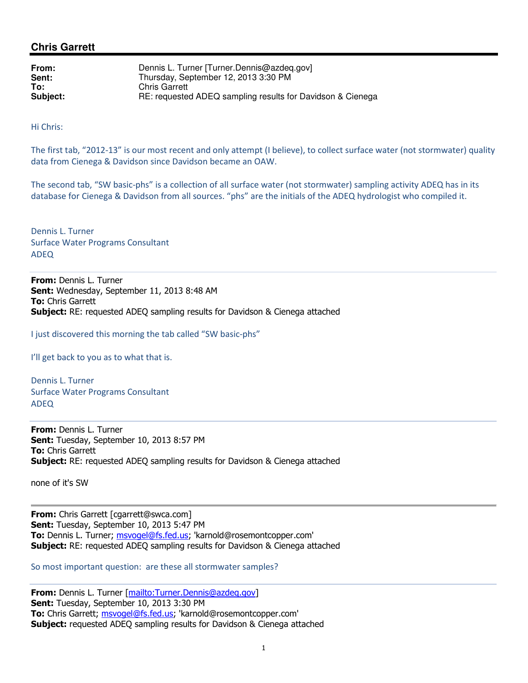## **Chris Garrett**

| From:    | Dennis L. Turner [Turner.Dennis@azdeq.gov]                 |
|----------|------------------------------------------------------------|
| Sent:    | Thursday, September 12, 2013 3:30 PM                       |
| To:      | <b>Chris Garrett</b>                                       |
| Subject: | RE: requested ADEQ sampling results for Davidson & Cienega |

Hi Chris:

The first tab, "2012-13" is our most recent and only attempt (I believe), to collect surface water (not stormwater) quality data from Cienega & Davidson since Davidson became an OAW.

The second tab, "SW basic-phs" is a collection of all surface water (not stormwater) sampling activity ADEQ has in its database for Cienega & Davidson from all sources. "phs" are the initials of the ADEQ hydrologist who compiled it.

Dennis L. Turner Surface Water Programs Consultant ADEQ

From: Dennis L. Turner Sent: Wednesday, September 11, 2013 8:48 AM To: Chris Garrett **Subject:** RE: requested ADEQ sampling results for Davidson & Cienega attached

I just discovered this morning the tab called "SW basic-phs"

I'll get back to you as to what that is.

Dennis L. Turner Surface Water Programs Consultant ADEQ

From: Dennis L. Turner Sent: Tuesday, September 10, 2013 8:57 PM **To: Chris Garrett Subject:** RE: requested ADEQ sampling results for Davidson & Cienega attached

none of it's SW

From: Chris Garrett [cgarrett@swca.com] Sent: Tuesday, September 10, 2013 5:47 PM To: Dennis L. Turner; msvogel@fs.fed.us; 'karnold@rosemontcopper.com' Subject: RE: requested ADEQ sampling results for Davidson & Cienega attached

So most important question: are these all stormwater samples?

From: Dennis L. Turner [mailto:Turner.Dennis@azdeq.gov] Sent: Tuesday, September 10, 2013 3:30 PM To: Chris Garrett; msvogel@fs.fed.us; 'karnold@rosemontcopper.com' **Subject:** requested ADEQ sampling results for Davidson & Cienega attached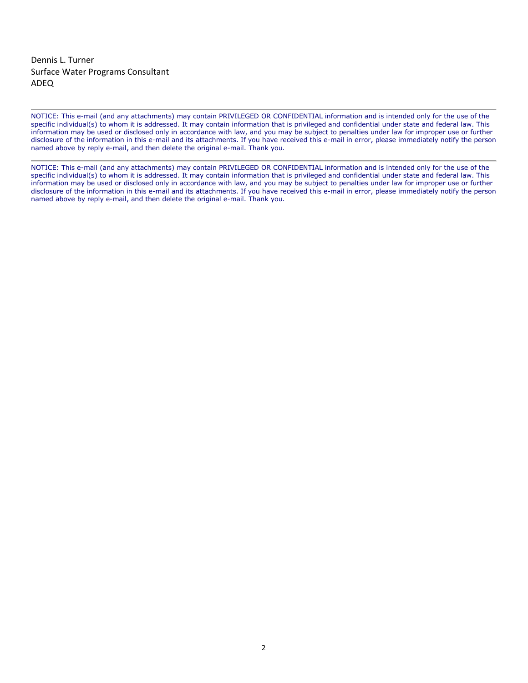Dennis L. Turner Surface Water Programs Consultant ADEQ

NOTICE: This e-mail (and any attachments) may contain PRIVILEGED OR CONFIDENTIAL information and is intended only for the use of the specific individual(s) to whom it is addressed. It may contain information that is privileged and confidential under state and federal law. This information may be used or disclosed only in accordance with law, and you may be subject to penalties under law for improper use or further disclosure of the information in this e-mail and its attachments. If you have received this e-mail in error, please immediately notify the person named above by reply e-mail, and then delete the original e-mail. Thank you.

NOTICE: This e-mail (and any attachments) may contain PRIVILEGED OR CONFIDENTIAL information and is intended only for the use of the specific individual(s) to whom it is addressed. It may contain information that is privileged and confidential under state and federal law. This information may be used or disclosed only in accordance with law, and you may be subject to penalties under law for improper use or further disclosure of the information in this e-mail and its attachments. If you have received this e-mail in error, please immediately notify the person named above by reply e-mail, and then delete the original e-mail. Thank you.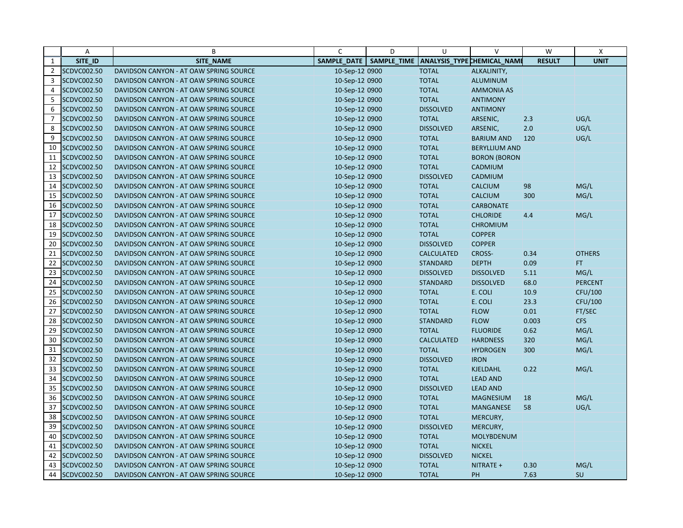| SAMPLE DATE   SAMPLE TIME<br>ANALYSIS_TYPE CHEMICAL_NAME<br><b>RESULT</b><br>$\mathbf{1}$<br>SITE ID<br><b>SITE NAME</b><br>$\overline{2}$<br>SCDVC002.50<br>DAVIDSON CANYON - AT OAW SPRING SOURCE<br>10-Sep-12 0900<br><b>TOTAL</b><br>ALKALINITY,<br>3<br>SCDVC002.50<br>10-Sep-12 0900<br><b>TOTAL</b><br>DAVIDSON CANYON - AT OAW SPRING SOURCE<br>ALUMINUM<br>4<br>SCDVC002.50<br>10-Sep-12 0900<br><b>TOTAL</b><br><b>AMMONIA AS</b><br>DAVIDSON CANYON - AT OAW SPRING SOURCE<br>SCDVC002.50<br><b>TOTAL</b><br>5<br>DAVIDSON CANYON - AT OAW SPRING SOURCE<br>10-Sep-12 0900<br><b>ANTIMONY</b><br>6<br>SCDVC002.50<br><b>DISSOLVED</b><br>DAVIDSON CANYON - AT OAW SPRING SOURCE<br>10-Sep-12 0900<br><b>ANTIMONY</b><br>$\overline{7}$<br><b>SCDVC002.50</b><br>DAVIDSON CANYON - AT OAW SPRING SOURCE<br>10-Sep-12 0900<br><b>TOTAL</b><br>ARSENIC,<br>2.3<br>SCDVC002.50<br><b>DISSOLVED</b><br>2.0<br>8<br>DAVIDSON CANYON - AT OAW SPRING SOURCE<br>10-Sep-12 0900<br>ARSENIC,<br>9<br><b>SCDVC002.50</b><br><b>TOTAL</b><br>120<br>DAVIDSON CANYON - AT OAW SPRING SOURCE<br>10-Sep-12 0900<br><b>BARIUM AND</b><br>SCDVC002.50<br><b>TOTAL</b><br>10<br>DAVIDSON CANYON - AT OAW SPRING SOURCE<br>10-Sep-12 0900<br><b>BERYLLIUM AND</b><br>11<br>SCDVC002.50<br>10-Sep-12 0900<br><b>TOTAL</b><br>DAVIDSON CANYON - AT OAW SPRING SOURCE<br><b>BORON (BORON</b><br>SCDVC002.50<br>12<br><b>TOTAL</b><br>CADMIUM<br>DAVIDSON CANYON - AT OAW SPRING SOURCE<br>10-Sep-12 0900<br>13<br>SCDVC002.50<br>DAVIDSON CANYON - AT OAW SPRING SOURCE<br>10-Sep-12 0900<br><b>DISSOLVED</b><br>CADMIUM<br>SCDVC002.50<br><b>TOTAL</b><br><b>CALCIUM</b><br>98<br>14<br>DAVIDSON CANYON - AT OAW SPRING SOURCE<br>10-Sep-12 0900<br>15<br>SCDVC002.50<br><b>TOTAL</b><br>DAVIDSON CANYON - AT OAW SPRING SOURCE<br>10-Sep-12 0900<br><b>CALCIUM</b><br>300<br>16<br>SCDVC002.50<br><b>TOTAL</b><br>DAVIDSON CANYON - AT OAW SPRING SOURCE<br>10-Sep-12 0900<br><b>CARBONATE</b><br>SCDVC002.50<br>17<br><b>TOTAL</b><br><b>CHLORIDE</b><br>4.4<br>DAVIDSON CANYON - AT OAW SPRING SOURCE<br>10-Sep-12 0900<br>18<br>SCDVC002.50<br><b>TOTAL</b><br>DAVIDSON CANYON - AT OAW SPRING SOURCE<br>10-Sep-12 0900<br><b>CHROMIUM</b><br>SCDVC002.50<br>19<br><b>TOTAL</b><br><b>COPPER</b><br>DAVIDSON CANYON - AT OAW SPRING SOURCE<br>10-Sep-12 0900<br>20<br>SCDVC002.50<br><b>DISSOLVED</b><br>DAVIDSON CANYON - AT OAW SPRING SOURCE<br>10-Sep-12 0900<br><b>COPPER</b><br>21<br><b>SCDVC002.50</b><br><b>CALCULATED</b><br><b>CROSS-</b><br>0.34<br>DAVIDSON CANYON - AT OAW SPRING SOURCE<br>10-Sep-12 0900<br>SCDVC002.50<br>22<br>10-Sep-12 0900<br><b>STANDARD</b><br><b>DEPTH</b><br>0.09<br>FT.<br>DAVIDSON CANYON - AT OAW SPRING SOURCE<br>23<br>SCDVC002.50<br>DAVIDSON CANYON - AT OAW SPRING SOURCE<br>10-Sep-12 0900<br><b>DISSOLVED</b><br><b>DISSOLVED</b><br>5.11<br>24<br>SCDVC002.50<br>10-Sep-12 0900<br><b>STANDARD</b><br><b>DISSOLVED</b><br>68.0<br>DAVIDSON CANYON - AT OAW SPRING SOURCE<br>SCDVC002.50<br>25<br>10-Sep-12 0900<br><b>TOTAL</b><br>E. COLI<br>10.9<br>DAVIDSON CANYON - AT OAW SPRING SOURCE<br>26<br>SCDVC002.50<br><b>TOTAL</b><br>E. COLI<br>23.3<br>10-Sep-12 0900<br>DAVIDSON CANYON - AT OAW SPRING SOURCE<br>27<br>SCDVC002.50<br><b>TOTAL</b><br><b>FLOW</b><br>0.01<br>DAVIDSON CANYON - AT OAW SPRING SOURCE<br>10-Sep-12 0900<br>28<br>SCDVC002.50<br>0.003<br><b>CFS</b><br>DAVIDSON CANYON - AT OAW SPRING SOURCE<br>10-Sep-12 0900<br><b>STANDARD</b><br><b>FLOW</b><br>29<br><b>SCDVC002.50</b><br><b>TOTAL</b><br><b>FLUORIDE</b><br>0.62<br>10-Sep-12 0900<br>DAVIDSON CANYON - AT OAW SPRING SOURCE<br>30<br>SCDVC002.50<br>10-Sep-12 0900<br><b>CALCULATED</b><br><b>HARDNESS</b><br>320<br>DAVIDSON CANYON - AT OAW SPRING SOURCE<br>SCDVC002.50<br><b>TOTAL</b><br>300<br>31<br>DAVIDSON CANYON - AT OAW SPRING SOURCE<br>10-Sep-12 0900<br><b>HYDROGEN</b><br>32<br>SCDVC002.50<br><b>DISSOLVED</b><br><b>IRON</b><br>DAVIDSON CANYON - AT OAW SPRING SOURCE<br>10-Sep-12 0900<br>33<br>SCDVC002.50<br>10-Sep-12 0900<br><b>TOTAL</b><br>KJELDAHL<br>0.22<br>DAVIDSON CANYON - AT OAW SPRING SOURCE<br>SCDVC002.50<br><b>TOTAL</b><br>34<br>10-Sep-12 0900<br><b>LEAD AND</b><br>DAVIDSON CANYON - AT OAW SPRING SOURCE<br>35<br>SCDVC002.50<br>10-Sep-12 0900<br><b>DISSOLVED</b><br><b>LEAD AND</b><br>DAVIDSON CANYON - AT OAW SPRING SOURCE<br>36<br><b>SCDVC002.50</b><br>DAVIDSON CANYON - AT OAW SPRING SOURCE<br>10-Sep-12 0900<br><b>TOTAL</b><br>18<br><b>MAGNESIUM</b><br>37<br>SCDVC002.50<br><b>TOTAL</b><br>58<br>DAVIDSON CANYON - AT OAW SPRING SOURCE<br>10-Sep-12 0900<br><b>MANGANESE</b><br>38<br>SCDVC002.50<br><b>TOTAL</b><br>DAVIDSON CANYON - AT OAW SPRING SOURCE<br>10-Sep-12 0900<br>MERCURY, | W<br>Χ         |
|-----------------------------------------------------------------------------------------------------------------------------------------------------------------------------------------------------------------------------------------------------------------------------------------------------------------------------------------------------------------------------------------------------------------------------------------------------------------------------------------------------------------------------------------------------------------------------------------------------------------------------------------------------------------------------------------------------------------------------------------------------------------------------------------------------------------------------------------------------------------------------------------------------------------------------------------------------------------------------------------------------------------------------------------------------------------------------------------------------------------------------------------------------------------------------------------------------------------------------------------------------------------------------------------------------------------------------------------------------------------------------------------------------------------------------------------------------------------------------------------------------------------------------------------------------------------------------------------------------------------------------------------------------------------------------------------------------------------------------------------------------------------------------------------------------------------------------------------------------------------------------------------------------------------------------------------------------------------------------------------------------------------------------------------------------------------------------------------------------------------------------------------------------------------------------------------------------------------------------------------------------------------------------------------------------------------------------------------------------------------------------------------------------------------------------------------------------------------------------------------------------------------------------------------------------------------------------------------------------------------------------------------------------------------------------------------------------------------------------------------------------------------------------------------------------------------------------------------------------------------------------------------------------------------------------------------------------------------------------------------------------------------------------------------------------------------------------------------------------------------------------------------------------------------------------------------------------------------------------------------------------------------------------------------------------------------------------------------------------------------------------------------------------------------------------------------------------------------------------------------------------------------------------------------------------------------------------------------------------------------------------------------------------------------------------------------------------------------------------------------------------------------------------------------------------------------------------------------------------------------------------------------------------------------------------------------------------------------------------------------------------------------------------------------------------------------------------------------------------------------------------------------------------------------------------------------------------------------------------------------------------------------------------------------------------------------------------------------------------------------------------------------------------------------------------------------------------------------------------------------------------------------------------------------------------------------------------------------------------------------------------------------------------------------------------------------------------------------------------------------------------------------------------------------------|----------------|
|                                                                                                                                                                                                                                                                                                                                                                                                                                                                                                                                                                                                                                                                                                                                                                                                                                                                                                                                                                                                                                                                                                                                                                                                                                                                                                                                                                                                                                                                                                                                                                                                                                                                                                                                                                                                                                                                                                                                                                                                                                                                                                                                                                                                                                                                                                                                                                                                                                                                                                                                                                                                                                                                                                                                                                                                                                                                                                                                                                                                                                                                                                                                                                                                                                                                                                                                                                                                                                                                                                                                                                                                                                                                                                                                                                                                                                                                                                                                                                                                                                                                                                                                                                                                                                                                                                                                                                                                                                                                                                                                                                                                                                                                                                                                                                                               | <b>UNIT</b>    |
|                                                                                                                                                                                                                                                                                                                                                                                                                                                                                                                                                                                                                                                                                                                                                                                                                                                                                                                                                                                                                                                                                                                                                                                                                                                                                                                                                                                                                                                                                                                                                                                                                                                                                                                                                                                                                                                                                                                                                                                                                                                                                                                                                                                                                                                                                                                                                                                                                                                                                                                                                                                                                                                                                                                                                                                                                                                                                                                                                                                                                                                                                                                                                                                                                                                                                                                                                                                                                                                                                                                                                                                                                                                                                                                                                                                                                                                                                                                                                                                                                                                                                                                                                                                                                                                                                                                                                                                                                                                                                                                                                                                                                                                                                                                                                                                               |                |
|                                                                                                                                                                                                                                                                                                                                                                                                                                                                                                                                                                                                                                                                                                                                                                                                                                                                                                                                                                                                                                                                                                                                                                                                                                                                                                                                                                                                                                                                                                                                                                                                                                                                                                                                                                                                                                                                                                                                                                                                                                                                                                                                                                                                                                                                                                                                                                                                                                                                                                                                                                                                                                                                                                                                                                                                                                                                                                                                                                                                                                                                                                                                                                                                                                                                                                                                                                                                                                                                                                                                                                                                                                                                                                                                                                                                                                                                                                                                                                                                                                                                                                                                                                                                                                                                                                                                                                                                                                                                                                                                                                                                                                                                                                                                                                                               |                |
|                                                                                                                                                                                                                                                                                                                                                                                                                                                                                                                                                                                                                                                                                                                                                                                                                                                                                                                                                                                                                                                                                                                                                                                                                                                                                                                                                                                                                                                                                                                                                                                                                                                                                                                                                                                                                                                                                                                                                                                                                                                                                                                                                                                                                                                                                                                                                                                                                                                                                                                                                                                                                                                                                                                                                                                                                                                                                                                                                                                                                                                                                                                                                                                                                                                                                                                                                                                                                                                                                                                                                                                                                                                                                                                                                                                                                                                                                                                                                                                                                                                                                                                                                                                                                                                                                                                                                                                                                                                                                                                                                                                                                                                                                                                                                                                               |                |
|                                                                                                                                                                                                                                                                                                                                                                                                                                                                                                                                                                                                                                                                                                                                                                                                                                                                                                                                                                                                                                                                                                                                                                                                                                                                                                                                                                                                                                                                                                                                                                                                                                                                                                                                                                                                                                                                                                                                                                                                                                                                                                                                                                                                                                                                                                                                                                                                                                                                                                                                                                                                                                                                                                                                                                                                                                                                                                                                                                                                                                                                                                                                                                                                                                                                                                                                                                                                                                                                                                                                                                                                                                                                                                                                                                                                                                                                                                                                                                                                                                                                                                                                                                                                                                                                                                                                                                                                                                                                                                                                                                                                                                                                                                                                                                                               |                |
|                                                                                                                                                                                                                                                                                                                                                                                                                                                                                                                                                                                                                                                                                                                                                                                                                                                                                                                                                                                                                                                                                                                                                                                                                                                                                                                                                                                                                                                                                                                                                                                                                                                                                                                                                                                                                                                                                                                                                                                                                                                                                                                                                                                                                                                                                                                                                                                                                                                                                                                                                                                                                                                                                                                                                                                                                                                                                                                                                                                                                                                                                                                                                                                                                                                                                                                                                                                                                                                                                                                                                                                                                                                                                                                                                                                                                                                                                                                                                                                                                                                                                                                                                                                                                                                                                                                                                                                                                                                                                                                                                                                                                                                                                                                                                                                               |                |
|                                                                                                                                                                                                                                                                                                                                                                                                                                                                                                                                                                                                                                                                                                                                                                                                                                                                                                                                                                                                                                                                                                                                                                                                                                                                                                                                                                                                                                                                                                                                                                                                                                                                                                                                                                                                                                                                                                                                                                                                                                                                                                                                                                                                                                                                                                                                                                                                                                                                                                                                                                                                                                                                                                                                                                                                                                                                                                                                                                                                                                                                                                                                                                                                                                                                                                                                                                                                                                                                                                                                                                                                                                                                                                                                                                                                                                                                                                                                                                                                                                                                                                                                                                                                                                                                                                                                                                                                                                                                                                                                                                                                                                                                                                                                                                                               | UG/L           |
|                                                                                                                                                                                                                                                                                                                                                                                                                                                                                                                                                                                                                                                                                                                                                                                                                                                                                                                                                                                                                                                                                                                                                                                                                                                                                                                                                                                                                                                                                                                                                                                                                                                                                                                                                                                                                                                                                                                                                                                                                                                                                                                                                                                                                                                                                                                                                                                                                                                                                                                                                                                                                                                                                                                                                                                                                                                                                                                                                                                                                                                                                                                                                                                                                                                                                                                                                                                                                                                                                                                                                                                                                                                                                                                                                                                                                                                                                                                                                                                                                                                                                                                                                                                                                                                                                                                                                                                                                                                                                                                                                                                                                                                                                                                                                                                               | UG/L           |
|                                                                                                                                                                                                                                                                                                                                                                                                                                                                                                                                                                                                                                                                                                                                                                                                                                                                                                                                                                                                                                                                                                                                                                                                                                                                                                                                                                                                                                                                                                                                                                                                                                                                                                                                                                                                                                                                                                                                                                                                                                                                                                                                                                                                                                                                                                                                                                                                                                                                                                                                                                                                                                                                                                                                                                                                                                                                                                                                                                                                                                                                                                                                                                                                                                                                                                                                                                                                                                                                                                                                                                                                                                                                                                                                                                                                                                                                                                                                                                                                                                                                                                                                                                                                                                                                                                                                                                                                                                                                                                                                                                                                                                                                                                                                                                                               | UG/L           |
|                                                                                                                                                                                                                                                                                                                                                                                                                                                                                                                                                                                                                                                                                                                                                                                                                                                                                                                                                                                                                                                                                                                                                                                                                                                                                                                                                                                                                                                                                                                                                                                                                                                                                                                                                                                                                                                                                                                                                                                                                                                                                                                                                                                                                                                                                                                                                                                                                                                                                                                                                                                                                                                                                                                                                                                                                                                                                                                                                                                                                                                                                                                                                                                                                                                                                                                                                                                                                                                                                                                                                                                                                                                                                                                                                                                                                                                                                                                                                                                                                                                                                                                                                                                                                                                                                                                                                                                                                                                                                                                                                                                                                                                                                                                                                                                               |                |
|                                                                                                                                                                                                                                                                                                                                                                                                                                                                                                                                                                                                                                                                                                                                                                                                                                                                                                                                                                                                                                                                                                                                                                                                                                                                                                                                                                                                                                                                                                                                                                                                                                                                                                                                                                                                                                                                                                                                                                                                                                                                                                                                                                                                                                                                                                                                                                                                                                                                                                                                                                                                                                                                                                                                                                                                                                                                                                                                                                                                                                                                                                                                                                                                                                                                                                                                                                                                                                                                                                                                                                                                                                                                                                                                                                                                                                                                                                                                                                                                                                                                                                                                                                                                                                                                                                                                                                                                                                                                                                                                                                                                                                                                                                                                                                                               |                |
|                                                                                                                                                                                                                                                                                                                                                                                                                                                                                                                                                                                                                                                                                                                                                                                                                                                                                                                                                                                                                                                                                                                                                                                                                                                                                                                                                                                                                                                                                                                                                                                                                                                                                                                                                                                                                                                                                                                                                                                                                                                                                                                                                                                                                                                                                                                                                                                                                                                                                                                                                                                                                                                                                                                                                                                                                                                                                                                                                                                                                                                                                                                                                                                                                                                                                                                                                                                                                                                                                                                                                                                                                                                                                                                                                                                                                                                                                                                                                                                                                                                                                                                                                                                                                                                                                                                                                                                                                                                                                                                                                                                                                                                                                                                                                                                               |                |
|                                                                                                                                                                                                                                                                                                                                                                                                                                                                                                                                                                                                                                                                                                                                                                                                                                                                                                                                                                                                                                                                                                                                                                                                                                                                                                                                                                                                                                                                                                                                                                                                                                                                                                                                                                                                                                                                                                                                                                                                                                                                                                                                                                                                                                                                                                                                                                                                                                                                                                                                                                                                                                                                                                                                                                                                                                                                                                                                                                                                                                                                                                                                                                                                                                                                                                                                                                                                                                                                                                                                                                                                                                                                                                                                                                                                                                                                                                                                                                                                                                                                                                                                                                                                                                                                                                                                                                                                                                                                                                                                                                                                                                                                                                                                                                                               |                |
|                                                                                                                                                                                                                                                                                                                                                                                                                                                                                                                                                                                                                                                                                                                                                                                                                                                                                                                                                                                                                                                                                                                                                                                                                                                                                                                                                                                                                                                                                                                                                                                                                                                                                                                                                                                                                                                                                                                                                                                                                                                                                                                                                                                                                                                                                                                                                                                                                                                                                                                                                                                                                                                                                                                                                                                                                                                                                                                                                                                                                                                                                                                                                                                                                                                                                                                                                                                                                                                                                                                                                                                                                                                                                                                                                                                                                                                                                                                                                                                                                                                                                                                                                                                                                                                                                                                                                                                                                                                                                                                                                                                                                                                                                                                                                                                               | MG/L           |
|                                                                                                                                                                                                                                                                                                                                                                                                                                                                                                                                                                                                                                                                                                                                                                                                                                                                                                                                                                                                                                                                                                                                                                                                                                                                                                                                                                                                                                                                                                                                                                                                                                                                                                                                                                                                                                                                                                                                                                                                                                                                                                                                                                                                                                                                                                                                                                                                                                                                                                                                                                                                                                                                                                                                                                                                                                                                                                                                                                                                                                                                                                                                                                                                                                                                                                                                                                                                                                                                                                                                                                                                                                                                                                                                                                                                                                                                                                                                                                                                                                                                                                                                                                                                                                                                                                                                                                                                                                                                                                                                                                                                                                                                                                                                                                                               | MG/L           |
|                                                                                                                                                                                                                                                                                                                                                                                                                                                                                                                                                                                                                                                                                                                                                                                                                                                                                                                                                                                                                                                                                                                                                                                                                                                                                                                                                                                                                                                                                                                                                                                                                                                                                                                                                                                                                                                                                                                                                                                                                                                                                                                                                                                                                                                                                                                                                                                                                                                                                                                                                                                                                                                                                                                                                                                                                                                                                                                                                                                                                                                                                                                                                                                                                                                                                                                                                                                                                                                                                                                                                                                                                                                                                                                                                                                                                                                                                                                                                                                                                                                                                                                                                                                                                                                                                                                                                                                                                                                                                                                                                                                                                                                                                                                                                                                               |                |
|                                                                                                                                                                                                                                                                                                                                                                                                                                                                                                                                                                                                                                                                                                                                                                                                                                                                                                                                                                                                                                                                                                                                                                                                                                                                                                                                                                                                                                                                                                                                                                                                                                                                                                                                                                                                                                                                                                                                                                                                                                                                                                                                                                                                                                                                                                                                                                                                                                                                                                                                                                                                                                                                                                                                                                                                                                                                                                                                                                                                                                                                                                                                                                                                                                                                                                                                                                                                                                                                                                                                                                                                                                                                                                                                                                                                                                                                                                                                                                                                                                                                                                                                                                                                                                                                                                                                                                                                                                                                                                                                                                                                                                                                                                                                                                                               | MG/L           |
|                                                                                                                                                                                                                                                                                                                                                                                                                                                                                                                                                                                                                                                                                                                                                                                                                                                                                                                                                                                                                                                                                                                                                                                                                                                                                                                                                                                                                                                                                                                                                                                                                                                                                                                                                                                                                                                                                                                                                                                                                                                                                                                                                                                                                                                                                                                                                                                                                                                                                                                                                                                                                                                                                                                                                                                                                                                                                                                                                                                                                                                                                                                                                                                                                                                                                                                                                                                                                                                                                                                                                                                                                                                                                                                                                                                                                                                                                                                                                                                                                                                                                                                                                                                                                                                                                                                                                                                                                                                                                                                                                                                                                                                                                                                                                                                               |                |
|                                                                                                                                                                                                                                                                                                                                                                                                                                                                                                                                                                                                                                                                                                                                                                                                                                                                                                                                                                                                                                                                                                                                                                                                                                                                                                                                                                                                                                                                                                                                                                                                                                                                                                                                                                                                                                                                                                                                                                                                                                                                                                                                                                                                                                                                                                                                                                                                                                                                                                                                                                                                                                                                                                                                                                                                                                                                                                                                                                                                                                                                                                                                                                                                                                                                                                                                                                                                                                                                                                                                                                                                                                                                                                                                                                                                                                                                                                                                                                                                                                                                                                                                                                                                                                                                                                                                                                                                                                                                                                                                                                                                                                                                                                                                                                                               |                |
|                                                                                                                                                                                                                                                                                                                                                                                                                                                                                                                                                                                                                                                                                                                                                                                                                                                                                                                                                                                                                                                                                                                                                                                                                                                                                                                                                                                                                                                                                                                                                                                                                                                                                                                                                                                                                                                                                                                                                                                                                                                                                                                                                                                                                                                                                                                                                                                                                                                                                                                                                                                                                                                                                                                                                                                                                                                                                                                                                                                                                                                                                                                                                                                                                                                                                                                                                                                                                                                                                                                                                                                                                                                                                                                                                                                                                                                                                                                                                                                                                                                                                                                                                                                                                                                                                                                                                                                                                                                                                                                                                                                                                                                                                                                                                                                               |                |
|                                                                                                                                                                                                                                                                                                                                                                                                                                                                                                                                                                                                                                                                                                                                                                                                                                                                                                                                                                                                                                                                                                                                                                                                                                                                                                                                                                                                                                                                                                                                                                                                                                                                                                                                                                                                                                                                                                                                                                                                                                                                                                                                                                                                                                                                                                                                                                                                                                                                                                                                                                                                                                                                                                                                                                                                                                                                                                                                                                                                                                                                                                                                                                                                                                                                                                                                                                                                                                                                                                                                                                                                                                                                                                                                                                                                                                                                                                                                                                                                                                                                                                                                                                                                                                                                                                                                                                                                                                                                                                                                                                                                                                                                                                                                                                                               | <b>OTHERS</b>  |
|                                                                                                                                                                                                                                                                                                                                                                                                                                                                                                                                                                                                                                                                                                                                                                                                                                                                                                                                                                                                                                                                                                                                                                                                                                                                                                                                                                                                                                                                                                                                                                                                                                                                                                                                                                                                                                                                                                                                                                                                                                                                                                                                                                                                                                                                                                                                                                                                                                                                                                                                                                                                                                                                                                                                                                                                                                                                                                                                                                                                                                                                                                                                                                                                                                                                                                                                                                                                                                                                                                                                                                                                                                                                                                                                                                                                                                                                                                                                                                                                                                                                                                                                                                                                                                                                                                                                                                                                                                                                                                                                                                                                                                                                                                                                                                                               |                |
|                                                                                                                                                                                                                                                                                                                                                                                                                                                                                                                                                                                                                                                                                                                                                                                                                                                                                                                                                                                                                                                                                                                                                                                                                                                                                                                                                                                                                                                                                                                                                                                                                                                                                                                                                                                                                                                                                                                                                                                                                                                                                                                                                                                                                                                                                                                                                                                                                                                                                                                                                                                                                                                                                                                                                                                                                                                                                                                                                                                                                                                                                                                                                                                                                                                                                                                                                                                                                                                                                                                                                                                                                                                                                                                                                                                                                                                                                                                                                                                                                                                                                                                                                                                                                                                                                                                                                                                                                                                                                                                                                                                                                                                                                                                                                                                               | MG/L           |
|                                                                                                                                                                                                                                                                                                                                                                                                                                                                                                                                                                                                                                                                                                                                                                                                                                                                                                                                                                                                                                                                                                                                                                                                                                                                                                                                                                                                                                                                                                                                                                                                                                                                                                                                                                                                                                                                                                                                                                                                                                                                                                                                                                                                                                                                                                                                                                                                                                                                                                                                                                                                                                                                                                                                                                                                                                                                                                                                                                                                                                                                                                                                                                                                                                                                                                                                                                                                                                                                                                                                                                                                                                                                                                                                                                                                                                                                                                                                                                                                                                                                                                                                                                                                                                                                                                                                                                                                                                                                                                                                                                                                                                                                                                                                                                                               | <b>PERCENT</b> |
|                                                                                                                                                                                                                                                                                                                                                                                                                                                                                                                                                                                                                                                                                                                                                                                                                                                                                                                                                                                                                                                                                                                                                                                                                                                                                                                                                                                                                                                                                                                                                                                                                                                                                                                                                                                                                                                                                                                                                                                                                                                                                                                                                                                                                                                                                                                                                                                                                                                                                                                                                                                                                                                                                                                                                                                                                                                                                                                                                                                                                                                                                                                                                                                                                                                                                                                                                                                                                                                                                                                                                                                                                                                                                                                                                                                                                                                                                                                                                                                                                                                                                                                                                                                                                                                                                                                                                                                                                                                                                                                                                                                                                                                                                                                                                                                               | CFU/100        |
|                                                                                                                                                                                                                                                                                                                                                                                                                                                                                                                                                                                                                                                                                                                                                                                                                                                                                                                                                                                                                                                                                                                                                                                                                                                                                                                                                                                                                                                                                                                                                                                                                                                                                                                                                                                                                                                                                                                                                                                                                                                                                                                                                                                                                                                                                                                                                                                                                                                                                                                                                                                                                                                                                                                                                                                                                                                                                                                                                                                                                                                                                                                                                                                                                                                                                                                                                                                                                                                                                                                                                                                                                                                                                                                                                                                                                                                                                                                                                                                                                                                                                                                                                                                                                                                                                                                                                                                                                                                                                                                                                                                                                                                                                                                                                                                               | CFU/100        |
|                                                                                                                                                                                                                                                                                                                                                                                                                                                                                                                                                                                                                                                                                                                                                                                                                                                                                                                                                                                                                                                                                                                                                                                                                                                                                                                                                                                                                                                                                                                                                                                                                                                                                                                                                                                                                                                                                                                                                                                                                                                                                                                                                                                                                                                                                                                                                                                                                                                                                                                                                                                                                                                                                                                                                                                                                                                                                                                                                                                                                                                                                                                                                                                                                                                                                                                                                                                                                                                                                                                                                                                                                                                                                                                                                                                                                                                                                                                                                                                                                                                                                                                                                                                                                                                                                                                                                                                                                                                                                                                                                                                                                                                                                                                                                                                               | FT/SEC         |
|                                                                                                                                                                                                                                                                                                                                                                                                                                                                                                                                                                                                                                                                                                                                                                                                                                                                                                                                                                                                                                                                                                                                                                                                                                                                                                                                                                                                                                                                                                                                                                                                                                                                                                                                                                                                                                                                                                                                                                                                                                                                                                                                                                                                                                                                                                                                                                                                                                                                                                                                                                                                                                                                                                                                                                                                                                                                                                                                                                                                                                                                                                                                                                                                                                                                                                                                                                                                                                                                                                                                                                                                                                                                                                                                                                                                                                                                                                                                                                                                                                                                                                                                                                                                                                                                                                                                                                                                                                                                                                                                                                                                                                                                                                                                                                                               |                |
|                                                                                                                                                                                                                                                                                                                                                                                                                                                                                                                                                                                                                                                                                                                                                                                                                                                                                                                                                                                                                                                                                                                                                                                                                                                                                                                                                                                                                                                                                                                                                                                                                                                                                                                                                                                                                                                                                                                                                                                                                                                                                                                                                                                                                                                                                                                                                                                                                                                                                                                                                                                                                                                                                                                                                                                                                                                                                                                                                                                                                                                                                                                                                                                                                                                                                                                                                                                                                                                                                                                                                                                                                                                                                                                                                                                                                                                                                                                                                                                                                                                                                                                                                                                                                                                                                                                                                                                                                                                                                                                                                                                                                                                                                                                                                                                               | MG/L           |
|                                                                                                                                                                                                                                                                                                                                                                                                                                                                                                                                                                                                                                                                                                                                                                                                                                                                                                                                                                                                                                                                                                                                                                                                                                                                                                                                                                                                                                                                                                                                                                                                                                                                                                                                                                                                                                                                                                                                                                                                                                                                                                                                                                                                                                                                                                                                                                                                                                                                                                                                                                                                                                                                                                                                                                                                                                                                                                                                                                                                                                                                                                                                                                                                                                                                                                                                                                                                                                                                                                                                                                                                                                                                                                                                                                                                                                                                                                                                                                                                                                                                                                                                                                                                                                                                                                                                                                                                                                                                                                                                                                                                                                                                                                                                                                                               | MG/L           |
|                                                                                                                                                                                                                                                                                                                                                                                                                                                                                                                                                                                                                                                                                                                                                                                                                                                                                                                                                                                                                                                                                                                                                                                                                                                                                                                                                                                                                                                                                                                                                                                                                                                                                                                                                                                                                                                                                                                                                                                                                                                                                                                                                                                                                                                                                                                                                                                                                                                                                                                                                                                                                                                                                                                                                                                                                                                                                                                                                                                                                                                                                                                                                                                                                                                                                                                                                                                                                                                                                                                                                                                                                                                                                                                                                                                                                                                                                                                                                                                                                                                                                                                                                                                                                                                                                                                                                                                                                                                                                                                                                                                                                                                                                                                                                                                               | MG/L           |
|                                                                                                                                                                                                                                                                                                                                                                                                                                                                                                                                                                                                                                                                                                                                                                                                                                                                                                                                                                                                                                                                                                                                                                                                                                                                                                                                                                                                                                                                                                                                                                                                                                                                                                                                                                                                                                                                                                                                                                                                                                                                                                                                                                                                                                                                                                                                                                                                                                                                                                                                                                                                                                                                                                                                                                                                                                                                                                                                                                                                                                                                                                                                                                                                                                                                                                                                                                                                                                                                                                                                                                                                                                                                                                                                                                                                                                                                                                                                                                                                                                                                                                                                                                                                                                                                                                                                                                                                                                                                                                                                                                                                                                                                                                                                                                                               |                |
|                                                                                                                                                                                                                                                                                                                                                                                                                                                                                                                                                                                                                                                                                                                                                                                                                                                                                                                                                                                                                                                                                                                                                                                                                                                                                                                                                                                                                                                                                                                                                                                                                                                                                                                                                                                                                                                                                                                                                                                                                                                                                                                                                                                                                                                                                                                                                                                                                                                                                                                                                                                                                                                                                                                                                                                                                                                                                                                                                                                                                                                                                                                                                                                                                                                                                                                                                                                                                                                                                                                                                                                                                                                                                                                                                                                                                                                                                                                                                                                                                                                                                                                                                                                                                                                                                                                                                                                                                                                                                                                                                                                                                                                                                                                                                                                               | MG/L           |
|                                                                                                                                                                                                                                                                                                                                                                                                                                                                                                                                                                                                                                                                                                                                                                                                                                                                                                                                                                                                                                                                                                                                                                                                                                                                                                                                                                                                                                                                                                                                                                                                                                                                                                                                                                                                                                                                                                                                                                                                                                                                                                                                                                                                                                                                                                                                                                                                                                                                                                                                                                                                                                                                                                                                                                                                                                                                                                                                                                                                                                                                                                                                                                                                                                                                                                                                                                                                                                                                                                                                                                                                                                                                                                                                                                                                                                                                                                                                                                                                                                                                                                                                                                                                                                                                                                                                                                                                                                                                                                                                                                                                                                                                                                                                                                                               |                |
|                                                                                                                                                                                                                                                                                                                                                                                                                                                                                                                                                                                                                                                                                                                                                                                                                                                                                                                                                                                                                                                                                                                                                                                                                                                                                                                                                                                                                                                                                                                                                                                                                                                                                                                                                                                                                                                                                                                                                                                                                                                                                                                                                                                                                                                                                                                                                                                                                                                                                                                                                                                                                                                                                                                                                                                                                                                                                                                                                                                                                                                                                                                                                                                                                                                                                                                                                                                                                                                                                                                                                                                                                                                                                                                                                                                                                                                                                                                                                                                                                                                                                                                                                                                                                                                                                                                                                                                                                                                                                                                                                                                                                                                                                                                                                                                               |                |
|                                                                                                                                                                                                                                                                                                                                                                                                                                                                                                                                                                                                                                                                                                                                                                                                                                                                                                                                                                                                                                                                                                                                                                                                                                                                                                                                                                                                                                                                                                                                                                                                                                                                                                                                                                                                                                                                                                                                                                                                                                                                                                                                                                                                                                                                                                                                                                                                                                                                                                                                                                                                                                                                                                                                                                                                                                                                                                                                                                                                                                                                                                                                                                                                                                                                                                                                                                                                                                                                                                                                                                                                                                                                                                                                                                                                                                                                                                                                                                                                                                                                                                                                                                                                                                                                                                                                                                                                                                                                                                                                                                                                                                                                                                                                                                                               | MG/L           |
|                                                                                                                                                                                                                                                                                                                                                                                                                                                                                                                                                                                                                                                                                                                                                                                                                                                                                                                                                                                                                                                                                                                                                                                                                                                                                                                                                                                                                                                                                                                                                                                                                                                                                                                                                                                                                                                                                                                                                                                                                                                                                                                                                                                                                                                                                                                                                                                                                                                                                                                                                                                                                                                                                                                                                                                                                                                                                                                                                                                                                                                                                                                                                                                                                                                                                                                                                                                                                                                                                                                                                                                                                                                                                                                                                                                                                                                                                                                                                                                                                                                                                                                                                                                                                                                                                                                                                                                                                                                                                                                                                                                                                                                                                                                                                                                               | UG/L           |
|                                                                                                                                                                                                                                                                                                                                                                                                                                                                                                                                                                                                                                                                                                                                                                                                                                                                                                                                                                                                                                                                                                                                                                                                                                                                                                                                                                                                                                                                                                                                                                                                                                                                                                                                                                                                                                                                                                                                                                                                                                                                                                                                                                                                                                                                                                                                                                                                                                                                                                                                                                                                                                                                                                                                                                                                                                                                                                                                                                                                                                                                                                                                                                                                                                                                                                                                                                                                                                                                                                                                                                                                                                                                                                                                                                                                                                                                                                                                                                                                                                                                                                                                                                                                                                                                                                                                                                                                                                                                                                                                                                                                                                                                                                                                                                                               |                |
| SCDVC002.50<br><b>DISSOLVED</b><br>39<br>10-Sep-12 0900<br>MERCURY,<br>DAVIDSON CANYON - AT OAW SPRING SOURCE                                                                                                                                                                                                                                                                                                                                                                                                                                                                                                                                                                                                                                                                                                                                                                                                                                                                                                                                                                                                                                                                                                                                                                                                                                                                                                                                                                                                                                                                                                                                                                                                                                                                                                                                                                                                                                                                                                                                                                                                                                                                                                                                                                                                                                                                                                                                                                                                                                                                                                                                                                                                                                                                                                                                                                                                                                                                                                                                                                                                                                                                                                                                                                                                                                                                                                                                                                                                                                                                                                                                                                                                                                                                                                                                                                                                                                                                                                                                                                                                                                                                                                                                                                                                                                                                                                                                                                                                                                                                                                                                                                                                                                                                                 |                |
| 40<br>SCDVC002.50<br>10-Sep-12 0900<br><b>TOTAL</b><br>MOLYBDENUM<br>DAVIDSON CANYON - AT OAW SPRING SOURCE                                                                                                                                                                                                                                                                                                                                                                                                                                                                                                                                                                                                                                                                                                                                                                                                                                                                                                                                                                                                                                                                                                                                                                                                                                                                                                                                                                                                                                                                                                                                                                                                                                                                                                                                                                                                                                                                                                                                                                                                                                                                                                                                                                                                                                                                                                                                                                                                                                                                                                                                                                                                                                                                                                                                                                                                                                                                                                                                                                                                                                                                                                                                                                                                                                                                                                                                                                                                                                                                                                                                                                                                                                                                                                                                                                                                                                                                                                                                                                                                                                                                                                                                                                                                                                                                                                                                                                                                                                                                                                                                                                                                                                                                                   |                |
| 41<br>SCDVC002.50<br>DAVIDSON CANYON - AT OAW SPRING SOURCE<br>10-Sep-12 0900<br><b>TOTAL</b><br><b>NICKEL</b>                                                                                                                                                                                                                                                                                                                                                                                                                                                                                                                                                                                                                                                                                                                                                                                                                                                                                                                                                                                                                                                                                                                                                                                                                                                                                                                                                                                                                                                                                                                                                                                                                                                                                                                                                                                                                                                                                                                                                                                                                                                                                                                                                                                                                                                                                                                                                                                                                                                                                                                                                                                                                                                                                                                                                                                                                                                                                                                                                                                                                                                                                                                                                                                                                                                                                                                                                                                                                                                                                                                                                                                                                                                                                                                                                                                                                                                                                                                                                                                                                                                                                                                                                                                                                                                                                                                                                                                                                                                                                                                                                                                                                                                                                |                |
| SCDVC002.50<br><b>DISSOLVED</b><br><b>NICKEL</b><br>42<br>DAVIDSON CANYON - AT OAW SPRING SOURCE<br>10-Sep-12 0900                                                                                                                                                                                                                                                                                                                                                                                                                                                                                                                                                                                                                                                                                                                                                                                                                                                                                                                                                                                                                                                                                                                                                                                                                                                                                                                                                                                                                                                                                                                                                                                                                                                                                                                                                                                                                                                                                                                                                                                                                                                                                                                                                                                                                                                                                                                                                                                                                                                                                                                                                                                                                                                                                                                                                                                                                                                                                                                                                                                                                                                                                                                                                                                                                                                                                                                                                                                                                                                                                                                                                                                                                                                                                                                                                                                                                                                                                                                                                                                                                                                                                                                                                                                                                                                                                                                                                                                                                                                                                                                                                                                                                                                                            |                |
| SCDVC002.50<br>43<br>10-Sep-12 0900<br><b>TOTAL</b><br>NITRATE +<br>0.30<br>DAVIDSON CANYON - AT OAW SPRING SOURCE                                                                                                                                                                                                                                                                                                                                                                                                                                                                                                                                                                                                                                                                                                                                                                                                                                                                                                                                                                                                                                                                                                                                                                                                                                                                                                                                                                                                                                                                                                                                                                                                                                                                                                                                                                                                                                                                                                                                                                                                                                                                                                                                                                                                                                                                                                                                                                                                                                                                                                                                                                                                                                                                                                                                                                                                                                                                                                                                                                                                                                                                                                                                                                                                                                                                                                                                                                                                                                                                                                                                                                                                                                                                                                                                                                                                                                                                                                                                                                                                                                                                                                                                                                                                                                                                                                                                                                                                                                                                                                                                                                                                                                                                            | MG/L           |
| 44<br>SCDVC002.50<br>SU<br>DAVIDSON CANYON - AT OAW SPRING SOURCE<br>10-Sep-12 0900<br><b>TOTAL</b><br>PH<br>7.63                                                                                                                                                                                                                                                                                                                                                                                                                                                                                                                                                                                                                                                                                                                                                                                                                                                                                                                                                                                                                                                                                                                                                                                                                                                                                                                                                                                                                                                                                                                                                                                                                                                                                                                                                                                                                                                                                                                                                                                                                                                                                                                                                                                                                                                                                                                                                                                                                                                                                                                                                                                                                                                                                                                                                                                                                                                                                                                                                                                                                                                                                                                                                                                                                                                                                                                                                                                                                                                                                                                                                                                                                                                                                                                                                                                                                                                                                                                                                                                                                                                                                                                                                                                                                                                                                                                                                                                                                                                                                                                                                                                                                                                                             |                |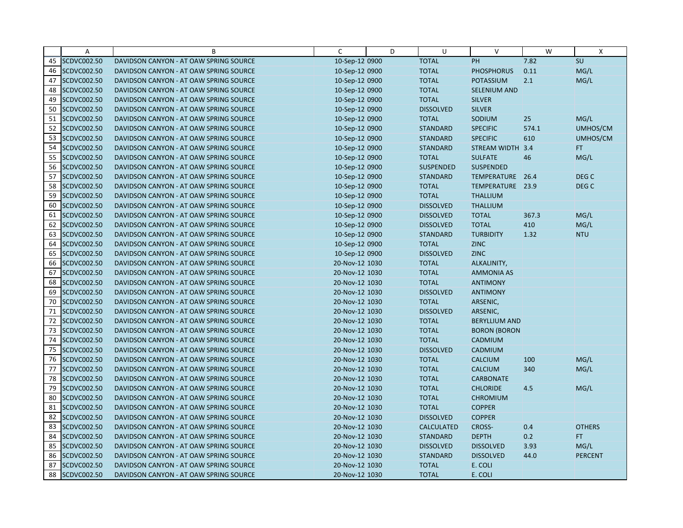|    | A                  | B                                      | C              | D | U                 | $\vee$               | W     | X                |
|----|--------------------|----------------------------------------|----------------|---|-------------------|----------------------|-------|------------------|
| 45 | SCDVC002.50        | DAVIDSON CANYON - AT OAW SPRING SOURCE | 10-Sep-12 0900 |   | <b>TOTAL</b>      | PH                   | 7.82  | SU               |
| 46 | SCDVC002.50        | DAVIDSON CANYON - AT OAW SPRING SOURCE | 10-Sep-12 0900 |   | <b>TOTAL</b>      | <b>PHOSPHORUS</b>    | 0.11  | MG/L             |
| 47 | SCDVC002.50        | DAVIDSON CANYON - AT OAW SPRING SOURCE | 10-Sep-12 0900 |   | <b>TOTAL</b>      | <b>POTASSIUM</b>     | 2.1   | MG/L             |
| 48 | SCDVC002.50        | DAVIDSON CANYON - AT OAW SPRING SOURCE | 10-Sep-12 0900 |   | <b>TOTAL</b>      | <b>SELENIUM AND</b>  |       |                  |
| 49 | SCDVC002.50        | DAVIDSON CANYON - AT OAW SPRING SOURCE | 10-Sep-12 0900 |   | <b>TOTAL</b>      | <b>SILVER</b>        |       |                  |
| 50 | SCDVC002.50        | DAVIDSON CANYON - AT OAW SPRING SOURCE | 10-Sep-12 0900 |   | <b>DISSOLVED</b>  | <b>SILVER</b>        |       |                  |
| 51 | SCDVC002.50        | DAVIDSON CANYON - AT OAW SPRING SOURCE | 10-Sep-12 0900 |   | <b>TOTAL</b>      | SODIUM               | 25    | MG/L             |
| 52 | SCDVC002.50        | DAVIDSON CANYON - AT OAW SPRING SOURCE | 10-Sep-12 0900 |   | <b>STANDARD</b>   | <b>SPECIFIC</b>      | 574.1 | UMHOS/CM         |
| 53 | SCDVC002.50        | DAVIDSON CANYON - AT OAW SPRING SOURCE | 10-Sep-12 0900 |   | <b>STANDARD</b>   | <b>SPECIFIC</b>      | 610   | UMHOS/CM         |
| 54 | SCDVC002.50        | DAVIDSON CANYON - AT OAW SPRING SOURCE | 10-Sep-12 0900 |   | <b>STANDARD</b>   | <b>STREAM WIDTH</b>  | 3.4   | FT.              |
| 55 | SCDVC002.50        | DAVIDSON CANYON - AT OAW SPRING SOURCE | 10-Sep-12 0900 |   | <b>TOTAL</b>      | <b>SULFATE</b>       | 46    | MG/L             |
| 56 | SCDVC002.50        | DAVIDSON CANYON - AT OAW SPRING SOURCE | 10-Sep-12 0900 |   | <b>SUSPENDED</b>  | <b>SUSPENDED</b>     |       |                  |
| 57 | SCDVC002.50        | DAVIDSON CANYON - AT OAW SPRING SOURCE | 10-Sep-12 0900 |   | <b>STANDARD</b>   | TEMPERATURE 26.4     |       | DEG C            |
| 58 | SCDVC002.50        | DAVIDSON CANYON - AT OAW SPRING SOURCE | 10-Sep-12 0900 |   | <b>TOTAL</b>      | TEMPERATURE 23.9     |       | DEG <sub>C</sub> |
| 59 | SCDVC002.50        | DAVIDSON CANYON - AT OAW SPRING SOURCE | 10-Sep-12 0900 |   | <b>TOTAL</b>      | <b>THALLIUM</b>      |       |                  |
| 60 | SCDVC002.50        | DAVIDSON CANYON - AT OAW SPRING SOURCE | 10-Sep-12 0900 |   | <b>DISSOLVED</b>  | <b>THALLIUM</b>      |       |                  |
| 61 | SCDVC002.50        | DAVIDSON CANYON - AT OAW SPRING SOURCE | 10-Sep-12 0900 |   | <b>DISSOLVED</b>  | <b>TOTAL</b>         | 367.3 | MG/L             |
| 62 | SCDVC002.50        | DAVIDSON CANYON - AT OAW SPRING SOURCE | 10-Sep-12 0900 |   | <b>DISSOLVED</b>  | <b>TOTAL</b>         | 410   | MG/L             |
| 63 | SCDVC002.50        | DAVIDSON CANYON - AT OAW SPRING SOURCE | 10-Sep-12 0900 |   | <b>STANDARD</b>   | <b>TURBIDITY</b>     | 1.32  | <b>NTU</b>       |
| 64 | SCDVC002.50        | DAVIDSON CANYON - AT OAW SPRING SOURCE | 10-Sep-12 0900 |   | <b>TOTAL</b>      | <b>ZINC</b>          |       |                  |
| 65 | SCDVC002.50        | DAVIDSON CANYON - AT OAW SPRING SOURCE | 10-Sep-12 0900 |   | <b>DISSOLVED</b>  | <b>ZINC</b>          |       |                  |
| 66 | SCDVC002.50        | DAVIDSON CANYON - AT OAW SPRING SOURCE | 20-Nov-12 1030 |   | <b>TOTAL</b>      | ALKALINITY,          |       |                  |
| 67 | SCDVC002.50        | DAVIDSON CANYON - AT OAW SPRING SOURCE | 20-Nov-12 1030 |   | <b>TOTAL</b>      | <b>AMMONIA AS</b>    |       |                  |
| 68 | SCDVC002.50        | DAVIDSON CANYON - AT OAW SPRING SOURCE | 20-Nov-12 1030 |   | <b>TOTAL</b>      | <b>ANTIMONY</b>      |       |                  |
| 69 | SCDVC002.50        | DAVIDSON CANYON - AT OAW SPRING SOURCE | 20-Nov-12 1030 |   | <b>DISSOLVED</b>  | <b>ANTIMONY</b>      |       |                  |
| 70 | SCDVC002.50        | DAVIDSON CANYON - AT OAW SPRING SOURCE | 20-Nov-12 1030 |   | <b>TOTAL</b>      | ARSENIC,             |       |                  |
| 71 | SCDVC002.50        | DAVIDSON CANYON - AT OAW SPRING SOURCE | 20-Nov-12 1030 |   | <b>DISSOLVED</b>  | ARSENIC,             |       |                  |
| 72 | SCDVC002.50        | DAVIDSON CANYON - AT OAW SPRING SOURCE | 20-Nov-12 1030 |   | <b>TOTAL</b>      | <b>BERYLLIUM AND</b> |       |                  |
| 73 | SCDVC002.50        | DAVIDSON CANYON - AT OAW SPRING SOURCE | 20-Nov-12 1030 |   | <b>TOTAL</b>      | <b>BORON (BORON</b>  |       |                  |
| 74 | SCDVC002.50        | DAVIDSON CANYON - AT OAW SPRING SOURCE | 20-Nov-12 1030 |   | <b>TOTAL</b>      | CADMIUM              |       |                  |
| 75 | SCDVC002.50        | DAVIDSON CANYON - AT OAW SPRING SOURCE | 20-Nov-12 1030 |   | <b>DISSOLVED</b>  | CADMIUM              |       |                  |
| 76 | SCDVC002.50        | DAVIDSON CANYON - AT OAW SPRING SOURCE | 20-Nov-12 1030 |   | <b>TOTAL</b>      | <b>CALCIUM</b>       | 100   | MG/L             |
| 77 | SCDVC002.50        | DAVIDSON CANYON - AT OAW SPRING SOURCE | 20-Nov-12 1030 |   | <b>TOTAL</b>      | <b>CALCIUM</b>       | 340   | MG/L             |
| 78 | SCDVC002.50        | DAVIDSON CANYON - AT OAW SPRING SOURCE | 20-Nov-12 1030 |   | <b>TOTAL</b>      | <b>CARBONATE</b>     |       |                  |
| 79 | SCDVC002.50        | DAVIDSON CANYON - AT OAW SPRING SOURCE | 20-Nov-12 1030 |   | <b>TOTAL</b>      | <b>CHLORIDE</b>      | 4.5   | MG/L             |
| 80 | SCDVC002.50        | DAVIDSON CANYON - AT OAW SPRING SOURCE | 20-Nov-12 1030 |   | <b>TOTAL</b>      | <b>CHROMIUM</b>      |       |                  |
| 81 | SCDVC002.50        | DAVIDSON CANYON - AT OAW SPRING SOURCE | 20-Nov-12 1030 |   | <b>TOTAL</b>      | <b>COPPER</b>        |       |                  |
| 82 | SCDVC002.50        | DAVIDSON CANYON - AT OAW SPRING SOURCE | 20-Nov-12 1030 |   | <b>DISSOLVED</b>  | <b>COPPER</b>        |       |                  |
| 83 | SCDVC002.50        | DAVIDSON CANYON - AT OAW SPRING SOURCE | 20-Nov-12 1030 |   | <b>CALCULATED</b> | CROSS-               | 0.4   | <b>OTHERS</b>    |
| 84 | SCDVC002.50        | DAVIDSON CANYON - AT OAW SPRING SOURCE | 20-Nov-12 1030 |   | <b>STANDARD</b>   | <b>DEPTH</b>         | 0.2   | FT.              |
| 85 | SCDVC002.50        | DAVIDSON CANYON - AT OAW SPRING SOURCE | 20-Nov-12 1030 |   | <b>DISSOLVED</b>  | <b>DISSOLVED</b>     | 3.93  | MG/L             |
| 86 | SCDVC002.50        | DAVIDSON CANYON - AT OAW SPRING SOURCE | 20-Nov-12 1030 |   | <b>STANDARD</b>   | <b>DISSOLVED</b>     | 44.0  | <b>PERCENT</b>   |
| 87 | SCDVC002.50        | DAVIDSON CANYON - AT OAW SPRING SOURCE | 20-Nov-12 1030 |   | <b>TOTAL</b>      | E. COLI              |       |                  |
| 88 | <b>SCDVC002.50</b> | DAVIDSON CANYON - AT OAW SPRING SOURCE | 20-Nov-12 1030 |   | <b>TOTAL</b>      | E. COLI              |       |                  |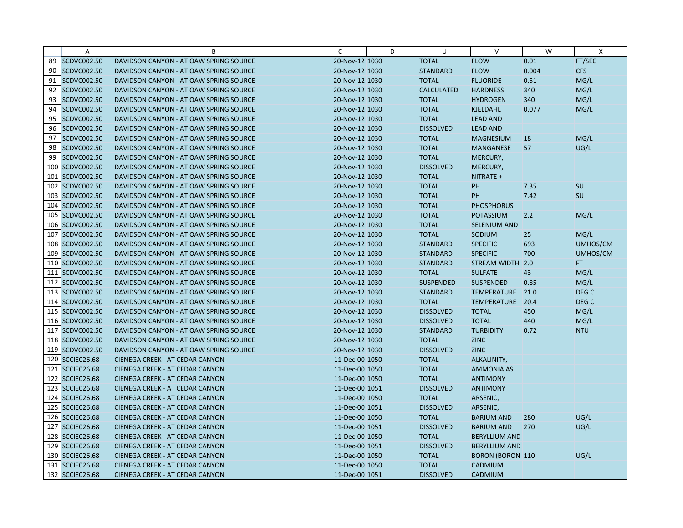|     | Α               | B                                      | C              | D | U                 | $\vee$                  | W     | X                |
|-----|-----------------|----------------------------------------|----------------|---|-------------------|-------------------------|-------|------------------|
| 89  | SCDVC002.50     | DAVIDSON CANYON - AT OAW SPRING SOURCE | 20-Nov-12 1030 |   | <b>TOTAL</b>      | <b>FLOW</b>             | 0.01  | FT/SEC           |
| 90  | SCDVC002.50     | DAVIDSON CANYON - AT OAW SPRING SOURCE | 20-Nov-12 1030 |   | <b>STANDARD</b>   | <b>FLOW</b>             | 0.004 | <b>CFS</b>       |
| 91  | SCDVC002.50     | DAVIDSON CANYON - AT OAW SPRING SOURCE | 20-Nov-12 1030 |   | <b>TOTAL</b>      | <b>FLUORIDE</b>         | 0.51  | MG/L             |
| 92  | SCDVC002.50     | DAVIDSON CANYON - AT OAW SPRING SOURCE | 20-Nov-12 1030 |   | <b>CALCULATED</b> | <b>HARDNESS</b>         | 340   | MG/L             |
| 93  | SCDVC002.50     | DAVIDSON CANYON - AT OAW SPRING SOURCE | 20-Nov-12 1030 |   | <b>TOTAL</b>      | <b>HYDROGEN</b>         | 340   | MG/L             |
| 94  | SCDVC002.50     | DAVIDSON CANYON - AT OAW SPRING SOURCE | 20-Nov-12 1030 |   | <b>TOTAL</b>      | <b>KJELDAHL</b>         | 0.077 | MG/L             |
| 95  | SCDVC002.50     | DAVIDSON CANYON - AT OAW SPRING SOURCE | 20-Nov-12 1030 |   | <b>TOTAL</b>      | <b>LEAD AND</b>         |       |                  |
| 96  | SCDVC002.50     | DAVIDSON CANYON - AT OAW SPRING SOURCE | 20-Nov-12 1030 |   | <b>DISSOLVED</b>  | <b>LEAD AND</b>         |       |                  |
| 97  | SCDVC002.50     | DAVIDSON CANYON - AT OAW SPRING SOURCE | 20-Nov-12 1030 |   | <b>TOTAL</b>      | <b>MAGNESIUM</b>        | 18    | MG/L             |
| 98  | SCDVC002.50     | DAVIDSON CANYON - AT OAW SPRING SOURCE | 20-Nov-12 1030 |   | <b>TOTAL</b>      | <b>MANGANESE</b>        | 57    | UG/L             |
| 99  | SCDVC002.50     | DAVIDSON CANYON - AT OAW SPRING SOURCE | 20-Nov-12 1030 |   | <b>TOTAL</b>      | MERCURY,                |       |                  |
|     | 100 SCDVC002.50 | DAVIDSON CANYON - AT OAW SPRING SOURCE | 20-Nov-12 1030 |   | <b>DISSOLVED</b>  | MERCURY,                |       |                  |
| 101 | SCDVC002.50     | DAVIDSON CANYON - AT OAW SPRING SOURCE | 20-Nov-12 1030 |   | <b>TOTAL</b>      | NITRATE +               |       |                  |
|     | 102 SCDVC002.50 | DAVIDSON CANYON - AT OAW SPRING SOURCE | 20-Nov-12 1030 |   | <b>TOTAL</b>      | PH                      | 7.35  | <b>SU</b>        |
|     | 103 SCDVC002.50 | DAVIDSON CANYON - AT OAW SPRING SOURCE | 20-Nov-12 1030 |   | <b>TOTAL</b>      | <b>PH</b>               | 7.42  | SU               |
| 104 | SCDVC002.50     | DAVIDSON CANYON - AT OAW SPRING SOURCE | 20-Nov-12 1030 |   | <b>TOTAL</b>      | <b>PHOSPHORUS</b>       |       |                  |
|     | 105 SCDVC002.50 | DAVIDSON CANYON - AT OAW SPRING SOURCE | 20-Nov-12 1030 |   | <b>TOTAL</b>      | <b>POTASSIUM</b>        | 2.2   | MG/L             |
|     | 106 SCDVC002.50 | DAVIDSON CANYON - AT OAW SPRING SOURCE | 20-Nov-12 1030 |   | <b>TOTAL</b>      | <b>SELENIUM AND</b>     |       |                  |
| 107 | SCDVC002.50     | DAVIDSON CANYON - AT OAW SPRING SOURCE | 20-Nov-12 1030 |   | <b>TOTAL</b>      | SODIUM                  | 25    | MG/L             |
|     | 108 SCDVC002.50 | DAVIDSON CANYON - AT OAW SPRING SOURCE | 20-Nov-12 1030 |   | <b>STANDARD</b>   | <b>SPECIFIC</b>         | 693   | UMHOS/CM         |
| 109 | SCDVC002.50     | DAVIDSON CANYON - AT OAW SPRING SOURCE | 20-Nov-12 1030 |   | <b>STANDARD</b>   | <b>SPECIFIC</b>         | 700   | UMHOS/CM         |
|     | 110 SCDVC002.50 | DAVIDSON CANYON - AT OAW SPRING SOURCE | 20-Nov-12 1030 |   | <b>STANDARD</b>   | STREAM WIDTH 2.0        |       | FT.              |
|     | 111 SCDVC002.50 | DAVIDSON CANYON - AT OAW SPRING SOURCE | 20-Nov-12 1030 |   | <b>TOTAL</b>      | <b>SULFATE</b>          | 43    | MG/L             |
|     | 112 SCDVC002.50 | DAVIDSON CANYON - AT OAW SPRING SOURCE | 20-Nov-12 1030 |   | <b>SUSPENDED</b>  | <b>SUSPENDED</b>        | 0.85  | MG/L             |
|     | 113 SCDVC002.50 | DAVIDSON CANYON - AT OAW SPRING SOURCE | 20-Nov-12 1030 |   | <b>STANDARD</b>   | TEMPERATURE             | 21.0  | DEG <sub>C</sub> |
|     | 114 SCDVC002.50 | DAVIDSON CANYON - AT OAW SPRING SOURCE | 20-Nov-12 1030 |   | <b>TOTAL</b>      | TEMPERATURE             | 20.4  | DEG <sub>C</sub> |
|     | 115 SCDVC002.50 | DAVIDSON CANYON - AT OAW SPRING SOURCE | 20-Nov-12 1030 |   | <b>DISSOLVED</b>  | <b>TOTAL</b>            | 450   | MG/L             |
|     | 116 SCDVC002.50 | DAVIDSON CANYON - AT OAW SPRING SOURCE | 20-Nov-12 1030 |   | <b>DISSOLVED</b>  | <b>TOTAL</b>            | 440   | MG/L             |
|     | 117 SCDVC002.50 | DAVIDSON CANYON - AT OAW SPRING SOURCE | 20-Nov-12 1030 |   | <b>STANDARD</b>   | <b>TURBIDITY</b>        | 0.72  | <b>NTU</b>       |
|     | 118 SCDVC002.50 | DAVIDSON CANYON - AT OAW SPRING SOURCE | 20-Nov-12 1030 |   | <b>TOTAL</b>      | <b>ZINC</b>             |       |                  |
|     | 119 SCDVC002.50 | DAVIDSON CANYON - AT OAW SPRING SOURCE | 20-Nov-12 1030 |   | <b>DISSOLVED</b>  | <b>ZINC</b>             |       |                  |
|     | 120 SCCIE026.68 | <b>CIENEGA CREEK - AT CEDAR CANYON</b> | 11-Dec-00 1050 |   | <b>TOTAL</b>      | ALKALINITY,             |       |                  |
|     | 121 SCCIE026.68 | CIENEGA CREEK - AT CEDAR CANYON        | 11-Dec-00 1050 |   | <b>TOTAL</b>      | <b>AMMONIA AS</b>       |       |                  |
|     | 122 SCCIE026.68 | <b>CIENEGA CREEK - AT CEDAR CANYON</b> | 11-Dec-00 1050 |   | <b>TOTAL</b>      | <b>ANTIMONY</b>         |       |                  |
|     | 123 SCCIE026.68 | CIENEGA CREEK - AT CEDAR CANYON        | 11-Dec-00 1051 |   | <b>DISSOLVED</b>  | <b>ANTIMONY</b>         |       |                  |
|     | 124 SCCIE026.68 | <b>CIENEGA CREEK - AT CEDAR CANYON</b> | 11-Dec-00 1050 |   | <b>TOTAL</b>      | ARSENIC,                |       |                  |
|     | 125 SCCIE026.68 | CIENEGA CREEK - AT CEDAR CANYON        | 11-Dec-00 1051 |   | <b>DISSOLVED</b>  | ARSENIC,                |       |                  |
|     | 126 SCCIE026.68 | CIENEGA CREEK - AT CEDAR CANYON        | 11-Dec-00 1050 |   | <b>TOTAL</b>      | <b>BARIUM AND</b>       | 280   | UG/L             |
|     | 127 SCCIE026.68 | CIENEGA CREEK - AT CEDAR CANYON        | 11-Dec-00 1051 |   | <b>DISSOLVED</b>  | <b>BARIUM AND</b>       | 270   | UG/L             |
|     | 128 SCCIE026.68 | <b>CIENEGA CREEK - AT CEDAR CANYON</b> | 11-Dec-00 1050 |   | <b>TOTAL</b>      | <b>BERYLLIUM AND</b>    |       |                  |
|     | 129 SCCIE026.68 | <b>CIENEGA CREEK - AT CEDAR CANYON</b> | 11-Dec-00 1051 |   | <b>DISSOLVED</b>  | <b>BERYLLIUM AND</b>    |       |                  |
|     | 130 SCCIE026.68 | CIENEGA CREEK - AT CEDAR CANYON        | 11-Dec-00 1050 |   | <b>TOTAL</b>      | <b>BORON (BORON 110</b> |       | UG/L             |
|     | 131 SCCIE026.68 | CIENEGA CREEK - AT CEDAR CANYON        | 11-Dec-00 1050 |   | <b>TOTAL</b>      | CADMIUM                 |       |                  |
|     | 132 SCCIE026.68 | CIENEGA CREEK - AT CEDAR CANYON        | 11-Dec-00 1051 |   | <b>DISSOLVED</b>  | CADMIUM                 |       |                  |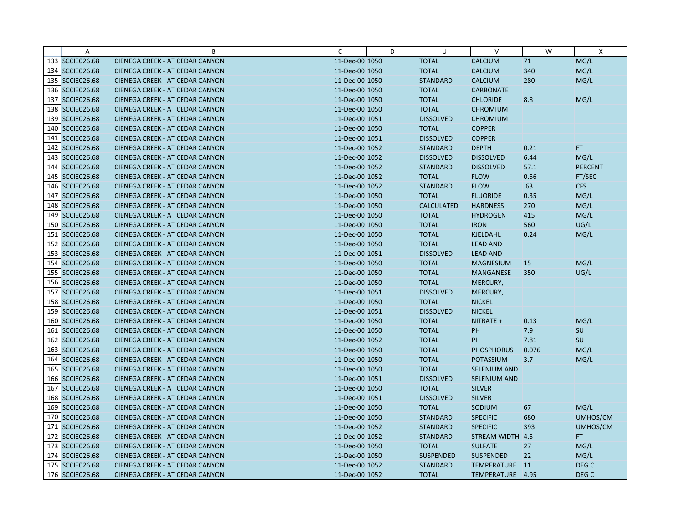|     | Α                  | B                                      | C              | D | U                 | $\vee$              | W     | $\boldsymbol{\mathsf{X}}$ |
|-----|--------------------|----------------------------------------|----------------|---|-------------------|---------------------|-------|---------------------------|
|     | 133 SCCIE026.68    | CIENEGA CREEK - AT CEDAR CANYON        | 11-Dec-00 1050 |   | <b>TOTAL</b>      | <b>CALCIUM</b>      | 71    | MG/L                      |
|     | 134 SCCIE026.68    | <b>CIENEGA CREEK - AT CEDAR CANYON</b> | 11-Dec-00 1050 |   | <b>TOTAL</b>      | <b>CALCIUM</b>      | 340   | MG/L                      |
|     | 135 SCCIE026.68    | <b>CIENEGA CREEK - AT CEDAR CANYON</b> | 11-Dec-00 1050 |   | <b>STANDARD</b>   | <b>CALCIUM</b>      | 280   | MG/L                      |
|     | 136 SCCIE026.68    | <b>CIENEGA CREEK - AT CEDAR CANYON</b> | 11-Dec-00 1050 |   | <b>TOTAL</b>      | <b>CARBONATE</b>    |       |                           |
|     | 137 SCCIE026.68    | <b>CIENEGA CREEK - AT CEDAR CANYON</b> | 11-Dec-00 1050 |   | <b>TOTAL</b>      | <b>CHLORIDE</b>     | 8.8   | MG/L                      |
|     | 138 SCCIE026.68    | <b>CIENEGA CREEK - AT CEDAR CANYON</b> | 11-Dec-00 1050 |   | <b>TOTAL</b>      | <b>CHROMIUM</b>     |       |                           |
|     | 139 SCCIE026.68    | <b>CIENEGA CREEK - AT CEDAR CANYON</b> | 11-Dec-00 1051 |   | <b>DISSOLVED</b>  | <b>CHROMIUM</b>     |       |                           |
|     | 140 SCCIE026.68    | <b>CIENEGA CREEK - AT CEDAR CANYON</b> | 11-Dec-00 1050 |   | <b>TOTAL</b>      | <b>COPPER</b>       |       |                           |
|     | 141 SCCIE026.68    | CIENEGA CREEK - AT CEDAR CANYON        | 11-Dec-00 1051 |   | <b>DISSOLVED</b>  | <b>COPPER</b>       |       |                           |
|     | 142 SCCIE026.68    | <b>CIENEGA CREEK - AT CEDAR CANYON</b> | 11-Dec-00 1052 |   | <b>STANDARD</b>   | <b>DEPTH</b>        | 0.21  | FT.                       |
|     | 143 SCCIE026.68    | <b>CIENEGA CREEK - AT CEDAR CANYON</b> | 11-Dec-00 1052 |   | <b>DISSOLVED</b>  | <b>DISSOLVED</b>    | 6.44  | MG/L                      |
|     | 144 SCCIE026.68    | CIENEGA CREEK - AT CEDAR CANYON        | 11-Dec-00 1052 |   | <b>STANDARD</b>   | <b>DISSOLVED</b>    | 57.1  | <b>PERCENT</b>            |
| 145 | <b>SCCIE026.68</b> | CIENEGA CREEK - AT CEDAR CANYON        | 11-Dec-00 1052 |   | <b>TOTAL</b>      | <b>FLOW</b>         | 0.56  | FT/SEC                    |
|     | 146 SCCIE026.68    | <b>CIENEGA CREEK - AT CEDAR CANYON</b> | 11-Dec-00 1052 |   | <b>STANDARD</b>   | <b>FLOW</b>         | .63   | <b>CFS</b>                |
|     | 147 SCCIE026.68    | <b>CIENEGA CREEK - AT CEDAR CANYON</b> | 11-Dec-00 1050 |   | <b>TOTAL</b>      | <b>FLUORIDE</b>     | 0.35  | MG/L                      |
| 148 | <b>SCCIE026.68</b> | <b>CIENEGA CREEK - AT CEDAR CANYON</b> | 11-Dec-00 1050 |   | <b>CALCULATED</b> | <b>HARDNESS</b>     | 270   | MG/L                      |
|     | 149 SCCIE026.68    | CIENEGA CREEK - AT CEDAR CANYON        | 11-Dec-00 1050 |   | <b>TOTAL</b>      | <b>HYDROGEN</b>     | 415   | MG/L                      |
|     | 150 SCCIE026.68    | CIENEGA CREEK - AT CEDAR CANYON        | 11-Dec-00 1050 |   | <b>TOTAL</b>      | <b>IRON</b>         | 560   | UG/L                      |
| 151 | <b>SCCIE026.68</b> | <b>CIENEGA CREEK - AT CEDAR CANYON</b> | 11-Dec-00 1050 |   | <b>TOTAL</b>      | <b>KJELDAHL</b>     | 0.24  | MG/L                      |
|     | 152 SCCIE026.68    | CIENEGA CREEK - AT CEDAR CANYON        | 11-Dec-00 1050 |   | <b>TOTAL</b>      | <b>LEAD AND</b>     |       |                           |
|     | 153 SCCIE026.68    | CIENEGA CREEK - AT CEDAR CANYON        | 11-Dec-00 1051 |   | <b>DISSOLVED</b>  | <b>LEAD AND</b>     |       |                           |
|     | 154 SCCIE026.68    | <b>CIENEGA CREEK - AT CEDAR CANYON</b> | 11-Dec-00 1050 |   | <b>TOTAL</b>      | <b>MAGNESIUM</b>    | 15    | MG/L                      |
|     | 155 SCCIE026.68    | CIENEGA CREEK - AT CEDAR CANYON        | 11-Dec-00 1050 |   | <b>TOTAL</b>      | <b>MANGANESE</b>    | 350   | UG/L                      |
|     | 156 SCCIE026.68    | <b>CIENEGA CREEK - AT CEDAR CANYON</b> | 11-Dec-00 1050 |   | <b>TOTAL</b>      | MERCURY,            |       |                           |
|     | 157 SCCIE026.68    | CIENEGA CREEK - AT CEDAR CANYON        | 11-Dec-00 1051 |   | <b>DISSOLVED</b>  | MERCURY,            |       |                           |
|     | 158 SCCIE026.68    | <b>CIENEGA CREEK - AT CEDAR CANYON</b> | 11-Dec-00 1050 |   | <b>TOTAL</b>      | <b>NICKEL</b>       |       |                           |
|     | 159 SCCIE026.68    | CIENEGA CREEK - AT CEDAR CANYON        | 11-Dec-00 1051 |   | <b>DISSOLVED</b>  | <b>NICKEL</b>       |       |                           |
|     | 160 SCCIE026.68    | CIENEGA CREEK - AT CEDAR CANYON        | 11-Dec-00 1050 |   | <b>TOTAL</b>      | NITRATE +           | 0.13  | MG/L                      |
|     | 161 SCCIE026.68    | <b>CIENEGA CREEK - AT CEDAR CANYON</b> | 11-Dec-00 1050 |   | <b>TOTAL</b>      | PH                  | 7.9   | SU                        |
|     | 162 SCCIE026.68    | <b>CIENEGA CREEK - AT CEDAR CANYON</b> | 11-Dec-00 1052 |   | <b>TOTAL</b>      | PH                  | 7.81  | SU                        |
|     | 163 SCCIE026.68    | CIENEGA CREEK - AT CEDAR CANYON        | 11-Dec-00 1050 |   | <b>TOTAL</b>      | <b>PHOSPHORUS</b>   | 0.076 | MG/L                      |
|     | 164 SCCIE026.68    | <b>CIENEGA CREEK - AT CEDAR CANYON</b> | 11-Dec-00 1050 |   | <b>TOTAL</b>      | <b>POTASSIUM</b>    | 3.7   | MG/L                      |
|     | 165 SCCIE026.68    | CIENEGA CREEK - AT CEDAR CANYON        | 11-Dec-00 1050 |   | <b>TOTAL</b>      | <b>SELENIUM AND</b> |       |                           |
|     | 166 SCCIE026.68    | <b>CIENEGA CREEK - AT CEDAR CANYON</b> | 11-Dec-00 1051 |   | <b>DISSOLVED</b>  | <b>SELENIUM AND</b> |       |                           |
|     | 167 SCCIE026.68    | <b>CIENEGA CREEK - AT CEDAR CANYON</b> | 11-Dec-00 1050 |   | <b>TOTAL</b>      | <b>SILVER</b>       |       |                           |
|     | 168 SCCIE026.68    | <b>CIENEGA CREEK - AT CEDAR CANYON</b> | 11-Dec-00 1051 |   | <b>DISSOLVED</b>  | <b>SILVER</b>       |       |                           |
|     | 169 SCCIE026.68    | CIENEGA CREEK - AT CEDAR CANYON        | 11-Dec-00 1050 |   | <b>TOTAL</b>      | SODIUM              | 67    | MG/L                      |
|     | 170 SCCIE026.68    | CIENEGA CREEK - AT CEDAR CANYON        | 11-Dec-00 1050 |   | <b>STANDARD</b>   | <b>SPECIFIC</b>     | 680   | UMHOS/CM                  |
| 171 | <b>SCCIE026.68</b> | CIENEGA CREEK - AT CEDAR CANYON        | 11-Dec-00 1052 |   | <b>STANDARD</b>   | <b>SPECIFIC</b>     | 393   | UMHOS/CM                  |
|     | 172 SCCIE026.68    | <b>CIENEGA CREEK - AT CEDAR CANYON</b> | 11-Dec-00 1052 |   | <b>STANDARD</b>   | STREAM WIDTH 4.5    |       | FT.                       |
|     | 173 SCCIE026.68    | <b>CIENEGA CREEK - AT CEDAR CANYON</b> | 11-Dec-00 1050 |   | <b>TOTAL</b>      | <b>SULFATE</b>      | 27    | MG/L                      |
|     | 174 SCCIE026.68    | CIENEGA CREEK - AT CEDAR CANYON        | 11-Dec-00 1050 |   | <b>SUSPENDED</b>  | <b>SUSPENDED</b>    | 22    | MG/L                      |
|     | 175 SCCIE026.68    | CIENEGA CREEK - AT CEDAR CANYON        | 11-Dec-00 1052 |   | <b>STANDARD</b>   | TEMPERATURE 11      |       | DEG <sub>C</sub>          |
|     | 176 SCCIE026.68    | CIENEGA CREEK - AT CEDAR CANYON        | 11-Dec-00 1052 |   | <b>TOTAL</b>      | TEMPERATURE 4.95    |       | DEG C                     |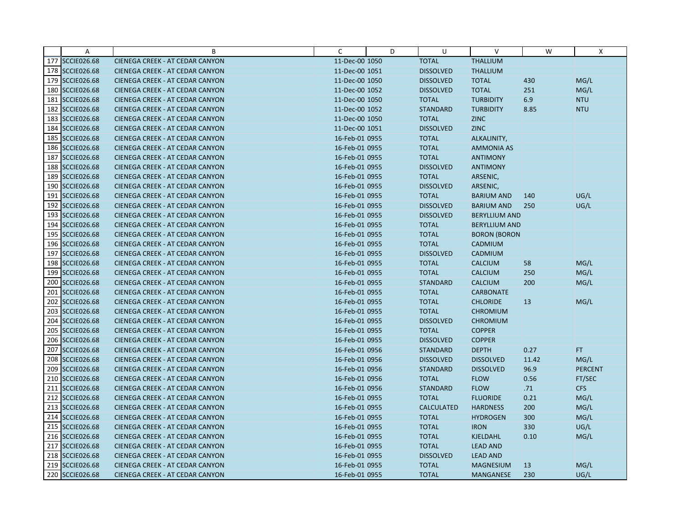|     | Α                  | B                                      | C              | D | U                 | $\vee$               | W     | X              |
|-----|--------------------|----------------------------------------|----------------|---|-------------------|----------------------|-------|----------------|
|     | 177 SCCIE026.68    | CIENEGA CREEK - AT CEDAR CANYON        | 11-Dec-00 1050 |   | <b>TOTAL</b>      | <b>THALLIUM</b>      |       |                |
|     | 178 SCCIE026.68    | CIENEGA CREEK - AT CEDAR CANYON        | 11-Dec-00 1051 |   | <b>DISSOLVED</b>  | <b>THALLIUM</b>      |       |                |
|     | 179 SCCIE026.68    | <b>CIENEGA CREEK - AT CEDAR CANYON</b> | 11-Dec-00 1050 |   | <b>DISSOLVED</b>  | <b>TOTAL</b>         | 430   | MG/L           |
|     | 180 SCCIE026.68    | <b>CIENEGA CREEK - AT CEDAR CANYON</b> | 11-Dec-00 1052 |   | <b>DISSOLVED</b>  | <b>TOTAL</b>         | 251   | MG/L           |
|     | 181 SCCIE026.68    | CIENEGA CREEK - AT CEDAR CANYON        | 11-Dec-00 1050 |   | <b>TOTAL</b>      | <b>TURBIDITY</b>     | 6.9   | <b>NTU</b>     |
|     | 182 SCCIE026.68    | CIENEGA CREEK - AT CEDAR CANYON        | 11-Dec-00 1052 |   | <b>STANDARD</b>   | <b>TURBIDITY</b>     | 8.85  | <b>NTU</b>     |
|     | 183 SCCIE026.68    | CIENEGA CREEK - AT CEDAR CANYON        | 11-Dec-00 1050 |   | <b>TOTAL</b>      | <b>ZINC</b>          |       |                |
|     | 184 SCCIE026.68    | <b>CIENEGA CREEK - AT CEDAR CANYON</b> | 11-Dec-00 1051 |   | <b>DISSOLVED</b>  | ZINC                 |       |                |
|     | 185 SCCIE026.68    | CIENEGA CREEK - AT CEDAR CANYON        | 16-Feb-01 0955 |   | <b>TOTAL</b>      | ALKALINITY,          |       |                |
|     | 186 SCCIE026.68    | CIENEGA CREEK - AT CEDAR CANYON        | 16-Feb-01 0955 |   | <b>TOTAL</b>      | <b>AMMONIA AS</b>    |       |                |
|     | 187 SCCIE026.68    | <b>CIENEGA CREEK - AT CEDAR CANYON</b> | 16-Feb-01 0955 |   | <b>TOTAL</b>      | <b>ANTIMONY</b>      |       |                |
|     | 188 SCCIE026.68    | CIENEGA CREEK - AT CEDAR CANYON        | 16-Feb-01 0955 |   | <b>DISSOLVED</b>  | <b>ANTIMONY</b>      |       |                |
| 189 | <b>SCCIE026.68</b> | CIENEGA CREEK - AT CEDAR CANYON        | 16-Feb-01 0955 |   | <b>TOTAL</b>      | ARSENIC,             |       |                |
|     | 190 SCCIE026.68    | CIENEGA CREEK - AT CEDAR CANYON        | 16-Feb-01 0955 |   | <b>DISSOLVED</b>  | ARSENIC,             |       |                |
|     | 191 SCCIE026.68    | <b>CIENEGA CREEK - AT CEDAR CANYON</b> | 16-Feb-01 0955 |   | <b>TOTAL</b>      | <b>BARIUM AND</b>    | 140   | UG/L           |
| 192 | <b>SCCIE026.68</b> | CIENEGA CREEK - AT CEDAR CANYON        | 16-Feb-01 0955 |   | <b>DISSOLVED</b>  | <b>BARIUM AND</b>    | 250   | UG/L           |
|     | 193 SCCIE026.68    | CIENEGA CREEK - AT CEDAR CANYON        | 16-Feb-01 0955 |   | <b>DISSOLVED</b>  | <b>BERYLLIUM AND</b> |       |                |
|     | 194 SCCIE026.68    | CIENEGA CREEK - AT CEDAR CANYON        | 16-Feb-01 0955 |   | <b>TOTAL</b>      | <b>BERYLLIUM AND</b> |       |                |
|     | 195 SCCIE026.68    | <b>CIENEGA CREEK - AT CEDAR CANYON</b> | 16-Feb-01 0955 |   | <b>TOTAL</b>      | <b>BORON (BORON</b>  |       |                |
|     | 196 SCCIE026.68    | CIENEGA CREEK - AT CEDAR CANYON        | 16-Feb-01 0955 |   | <b>TOTAL</b>      | CADMIUM              |       |                |
| 197 | <b>SCCIE026.68</b> | CIENEGA CREEK - AT CEDAR CANYON        | 16-Feb-01 0955 |   | <b>DISSOLVED</b>  | CADMIUM              |       |                |
|     | 198 SCCIE026.68    | CIENEGA CREEK - AT CEDAR CANYON        | 16-Feb-01 0955 |   | <b>TOTAL</b>      | <b>CALCIUM</b>       | 58    | MG/L           |
|     | 199 SCCIE026.68    | CIENEGA CREEK - AT CEDAR CANYON        | 16-Feb-01 0955 |   | <b>TOTAL</b>      | CALCIUM              | 250   | MG/L           |
|     | 200 SCCIE026.68    | <b>CIENEGA CREEK - AT CEDAR CANYON</b> | 16-Feb-01 0955 |   | <b>STANDARD</b>   | <b>CALCIUM</b>       | 200   | MG/L           |
|     | 201 SCCIE026.68    | CIENEGA CREEK - AT CEDAR CANYON        | 16-Feb-01 0955 |   | <b>TOTAL</b>      | <b>CARBONATE</b>     |       |                |
|     | 202 SCCIE026.68    | CIENEGA CREEK - AT CEDAR CANYON        | 16-Feb-01 0955 |   | <b>TOTAL</b>      | <b>CHLORIDE</b>      | 13    | MG/L           |
|     | 203 SCCIE026.68    | CIENEGA CREEK - AT CEDAR CANYON        | 16-Feb-01 0955 |   | <b>TOTAL</b>      | <b>CHROMIUM</b>      |       |                |
|     | 204 SCCIE026.68    | CIENEGA CREEK - AT CEDAR CANYON        | 16-Feb-01 0955 |   | <b>DISSOLVED</b>  | <b>CHROMIUM</b>      |       |                |
|     | 205 SCCIE026.68    | CIENEGA CREEK - AT CEDAR CANYON        | 16-Feb-01 0955 |   | <b>TOTAL</b>      | <b>COPPER</b>        |       |                |
|     | 206 SCCIE026.68    | <b>CIENEGA CREEK - AT CEDAR CANYON</b> | 16-Feb-01 0955 |   | <b>DISSOLVED</b>  | <b>COPPER</b>        |       |                |
|     | 207 SCCIE026.68    | CIENEGA CREEK - AT CEDAR CANYON        | 16-Feb-01 0956 |   | <b>STANDARD</b>   | <b>DEPTH</b>         | 0.27  | FT.            |
|     | 208 SCCIE026.68    | <b>CIENEGA CREEK - AT CEDAR CANYON</b> | 16-Feb-01 0956 |   | <b>DISSOLVED</b>  | <b>DISSOLVED</b>     | 11.42 | MG/L           |
|     | 209 SCCIE026.68    | CIENEGA CREEK - AT CEDAR CANYON        | 16-Feb-01 0956 |   | <b>STANDARD</b>   | <b>DISSOLVED</b>     | 96.9  | <b>PERCENT</b> |
|     | 210 SCCIE026.68    | <b>CIENEGA CREEK - AT CEDAR CANYON</b> | 16-Feb-01 0956 |   | <b>TOTAL</b>      | <b>FLOW</b>          | 0.56  | FT/SEC         |
|     | 211 SCCIE026.68    | CIENEGA CREEK - AT CEDAR CANYON        | 16-Feb-01 0956 |   | <b>STANDARD</b>   | <b>FLOW</b>          | .71   | <b>CFS</b>     |
|     | 212 SCCIE026.68    | CIENEGA CREEK - AT CEDAR CANYON        | 16-Feb-01 0955 |   | <b>TOTAL</b>      | <b>FLUORIDE</b>      | 0.21  | MG/L           |
|     | 213 SCCIE026.68    | CIENEGA CREEK - AT CEDAR CANYON        | 16-Feb-01 0955 |   | <b>CALCULATED</b> | <b>HARDNESS</b>      | 200   | MG/L           |
|     | 214 SCCIE026.68    | CIENEGA CREEK - AT CEDAR CANYON        | 16-Feb-01 0955 |   | <b>TOTAL</b>      | <b>HYDROGEN</b>      | 300   | MG/L           |
|     | 215 SCCIE026.68    | CIENEGA CREEK - AT CEDAR CANYON        | 16-Feb-01 0955 |   | <b>TOTAL</b>      | <b>IRON</b>          | 330   | UG/L           |
|     | 216 SCCIE026.68    | CIENEGA CREEK - AT CEDAR CANYON        | 16-Feb-01 0955 |   | <b>TOTAL</b>      | KJELDAHL             | 0.10  | MG/L           |
|     | 217 SCCIE026.68    | <b>CIENEGA CREEK - AT CEDAR CANYON</b> | 16-Feb-01 0955 |   | <b>TOTAL</b>      | <b>LEAD AND</b>      |       |                |
|     | 218 SCCIE026.68    | CIENEGA CREEK - AT CEDAR CANYON        | 16-Feb-01 0955 |   | <b>DISSOLVED</b>  | <b>LEAD AND</b>      |       |                |
|     | 219 SCCIE026.68    | CIENEGA CREEK - AT CEDAR CANYON        | 16-Feb-01 0955 |   | <b>TOTAL</b>      | <b>MAGNESIUM</b>     | 13    | MG/L           |
|     | 220 SCCIE026.68    | <b>CIENEGA CREEK - AT CEDAR CANYON</b> | 16-Feb-01 0955 |   | <b>TOTAL</b>      | MANGANESE            | 230   | UG/L           |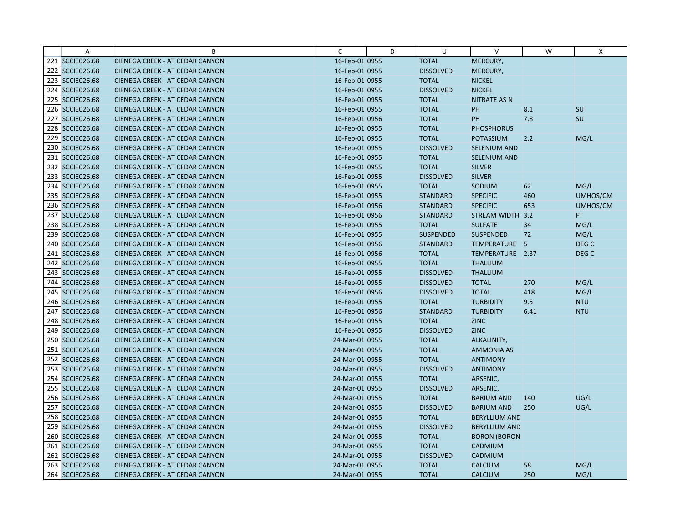|     | Α                  | B                                      | C              | D | U                | V                    | W    | X                |
|-----|--------------------|----------------------------------------|----------------|---|------------------|----------------------|------|------------------|
|     | 221 SCCIE026.68    | CIENEGA CREEK - AT CEDAR CANYON        | 16-Feb-01 0955 |   | <b>TOTAL</b>     | MERCURY,             |      |                  |
|     | 222 SCCIE026.68    | CIENEGA CREEK - AT CEDAR CANYON        | 16-Feb-01 0955 |   | <b>DISSOLVED</b> | MERCURY,             |      |                  |
|     | 223 SCCIE026.68    | CIENEGA CREEK - AT CEDAR CANYON        | 16-Feb-01 0955 |   | <b>TOTAL</b>     | <b>NICKEL</b>        |      |                  |
|     | 224 SCCIE026.68    | CIENEGA CREEK - AT CEDAR CANYON        | 16-Feb-01 0955 |   | <b>DISSOLVED</b> | <b>NICKEL</b>        |      |                  |
|     | 225 SCCIE026.68    | CIENEGA CREEK - AT CEDAR CANYON        | 16-Feb-01 0955 |   | <b>TOTAL</b>     | <b>NITRATE AS N</b>  |      |                  |
|     | 226 SCCIE026.68    | CIENEGA CREEK - AT CEDAR CANYON        | 16-Feb-01 0955 |   | <b>TOTAL</b>     | PH                   | 8.1  | <b>SU</b>        |
|     | 227 SCCIE026.68    | <b>CIENEGA CREEK - AT CEDAR CANYON</b> | 16-Feb-01 0956 |   | <b>TOTAL</b>     | PH                   | 7.8  | SU               |
|     | 228 SCCIE026.68    | CIENEGA CREEK - AT CEDAR CANYON        | 16-Feb-01 0955 |   | <b>TOTAL</b>     | <b>PHOSPHORUS</b>    |      |                  |
|     | 229 SCCIE026.68    | CIENEGA CREEK - AT CEDAR CANYON        | 16-Feb-01 0955 |   | <b>TOTAL</b>     | <b>POTASSIUM</b>     | 2.2  | MG/L             |
|     | 230 SCCIE026.68    | CIENEGA CREEK - AT CEDAR CANYON        | 16-Feb-01 0955 |   | <b>DISSOLVED</b> | <b>SELENIUM AND</b>  |      |                  |
|     | 231 SCCIE026.68    | <b>CIENEGA CREEK - AT CEDAR CANYON</b> | 16-Feb-01 0955 |   | <b>TOTAL</b>     | SELENIUM AND         |      |                  |
|     | 232 SCCIE026.68    | CIENEGA CREEK - AT CEDAR CANYON        | 16-Feb-01 0955 |   | <b>TOTAL</b>     | <b>SILVER</b>        |      |                  |
|     | 233 SCCIE026.68    | CIENEGA CREEK - AT CEDAR CANYON        | 16-Feb-01 0955 |   | <b>DISSOLVED</b> | <b>SILVER</b>        |      |                  |
|     | 234 SCCIE026.68    | <b>CIENEGA CREEK - AT CEDAR CANYON</b> | 16-Feb-01 0955 |   | <b>TOTAL</b>     | SODIUM               | 62   | MG/L             |
|     | 235 SCCIE026.68    | CIENEGA CREEK - AT CEDAR CANYON        | 16-Feb-01 0955 |   | <b>STANDARD</b>  | <b>SPECIFIC</b>      | 460  | UMHOS/CM         |
|     | 236 SCCIE026.68    | CIENEGA CREEK - AT CEDAR CANYON        | 16-Feb-01 0956 |   | <b>STANDARD</b>  | <b>SPECIFIC</b>      | 653  | UMHOS/CM         |
|     | 237 SCCIE026.68    | CIENEGA CREEK - AT CEDAR CANYON        | 16-Feb-01 0956 |   | <b>STANDARD</b>  | STREAM WIDTH 3.2     |      | FT.              |
|     | 238 SCCIE026.68    | CIENEGA CREEK - AT CEDAR CANYON        | 16-Feb-01 0955 |   | <b>TOTAL</b>     | <b>SULFATE</b>       | 34   | MG/L             |
|     | 239 SCCIE026.68    | CIENEGA CREEK - AT CEDAR CANYON        | 16-Feb-01 0955 |   | <b>SUSPENDED</b> | <b>SUSPENDED</b>     | 72   | MG/L             |
|     | 240 SCCIE026.68    | CIENEGA CREEK - AT CEDAR CANYON        | 16-Feb-01 0956 |   | <b>STANDARD</b>  | TEMPERATURE 5        |      | DEG C            |
| 241 | <b>SCCIE026.68</b> | CIENEGA CREEK - AT CEDAR CANYON        | 16-Feb-01 0956 |   | <b>TOTAL</b>     | TEMPERATURE 2.37     |      | DEG <sub>C</sub> |
|     | 242 SCCIE026.68    | <b>CIENEGA CREEK - AT CEDAR CANYON</b> | 16-Feb-01 0955 |   | <b>TOTAL</b>     | <b>THALLIUM</b>      |      |                  |
|     | 243 SCCIE026.68    | CIENEGA CREEK - AT CEDAR CANYON        | 16-Feb-01 0955 |   | <b>DISSOLVED</b> | <b>THALLIUM</b>      |      |                  |
|     | 244 SCCIE026.68    | CIENEGA CREEK - AT CEDAR CANYON        | 16-Feb-01 0955 |   | <b>DISSOLVED</b> | <b>TOTAL</b>         | 270  | MG/L             |
|     | 245 SCCIE026.68    | CIENEGA CREEK - AT CEDAR CANYON        | 16-Feb-01 0956 |   | <b>DISSOLVED</b> | <b>TOTAL</b>         | 418  | MG/L             |
|     | 246 SCCIE026.68    | <b>CIENEGA CREEK - AT CEDAR CANYON</b> | 16-Feb-01 0955 |   | <b>TOTAL</b>     | <b>TURBIDITY</b>     | 9.5  | <b>NTU</b>       |
|     | 247 SCCIE026.68    | CIENEGA CREEK - AT CEDAR CANYON        | 16-Feb-01 0956 |   | <b>STANDARD</b>  | <b>TURBIDITY</b>     | 6.41 | <b>NTU</b>       |
|     | 248 SCCIE026.68    | CIENEGA CREEK - AT CEDAR CANYON        | 16-Feb-01 0955 |   | <b>TOTAL</b>     | <b>ZINC</b>          |      |                  |
|     | 249 SCCIE026.68    | CIENEGA CREEK - AT CEDAR CANYON        | 16-Feb-01 0955 |   | <b>DISSOLVED</b> | <b>ZINC</b>          |      |                  |
|     | 250 SCCIE026.68    | CIENEGA CREEK - AT CEDAR CANYON        | 24-Mar-01 0955 |   | <b>TOTAL</b>     | ALKALINITY,          |      |                  |
|     | 251 SCCIE026.68    | CIENEGA CREEK - AT CEDAR CANYON        | 24-Mar-01 0955 |   | <b>TOTAL</b>     | <b>AMMONIA AS</b>    |      |                  |
|     | 252 SCCIE026.68    | CIENEGA CREEK - AT CEDAR CANYON        | 24-Mar-01 0955 |   | <b>TOTAL</b>     | <b>ANTIMONY</b>      |      |                  |
|     | 253 SCCIE026.68    | CIENEGA CREEK - AT CEDAR CANYON        | 24-Mar-01 0955 |   | <b>DISSOLVED</b> | <b>ANTIMONY</b>      |      |                  |
|     | 254 SCCIE026.68    | CIENEGA CREEK - AT CEDAR CANYON        | 24-Mar-01 0955 |   | <b>TOTAL</b>     | ARSENIC,             |      |                  |
|     | 255 SCCIE026.68    | CIENEGA CREEK - AT CEDAR CANYON        | 24-Mar-01 0955 |   | <b>DISSOLVED</b> | ARSENIC,             |      |                  |
|     | 256 SCCIE026.68    | <b>CIENEGA CREEK - AT CEDAR CANYON</b> | 24-Mar-01 0955 |   | <b>TOTAL</b>     | <b>BARIUM AND</b>    | 140  | UG/L             |
|     | 257 SCCIE026.68    | CIENEGA CREEK - AT CEDAR CANYON        | 24-Mar-01 0955 |   | <b>DISSOLVED</b> | <b>BARIUM AND</b>    | 250  | UG/L             |
|     | 258 SCCIE026.68    | CIENEGA CREEK - AT CEDAR CANYON        | 24-Mar-01 0955 |   | <b>TOTAL</b>     | <b>BERYLLIUM AND</b> |      |                  |
|     | 259 SCCIE026.68    | CIENEGA CREEK - AT CEDAR CANYON        | 24-Mar-01 0955 |   | <b>DISSOLVED</b> | <b>BERYLLIUM AND</b> |      |                  |
|     | 260 SCCIE026.68    | <b>CIENEGA CREEK - AT CEDAR CANYON</b> | 24-Mar-01 0955 |   | <b>TOTAL</b>     | <b>BORON (BORON</b>  |      |                  |
|     | 261 SCCIE026.68    | CIENEGA CREEK - AT CEDAR CANYON        | 24-Mar-01 0955 |   | <b>TOTAL</b>     | CADMIUM              |      |                  |
|     | 262 SCCIE026.68    | CIENEGA CREEK - AT CEDAR CANYON        | 24-Mar-01 0955 |   | <b>DISSOLVED</b> | CADMIUM              |      |                  |
|     | 263 SCCIE026.68    | CIENEGA CREEK - AT CEDAR CANYON        | 24-Mar-01 0955 |   | <b>TOTAL</b>     | <b>CALCIUM</b>       | 58   | MG/L             |
|     | 264 SCCIE026.68    | CIENEGA CREEK - AT CEDAR CANYON        | 24-Mar-01 0955 |   | <b>TOTAL</b>     | <b>CALCIUM</b>       | 250  | MG/L             |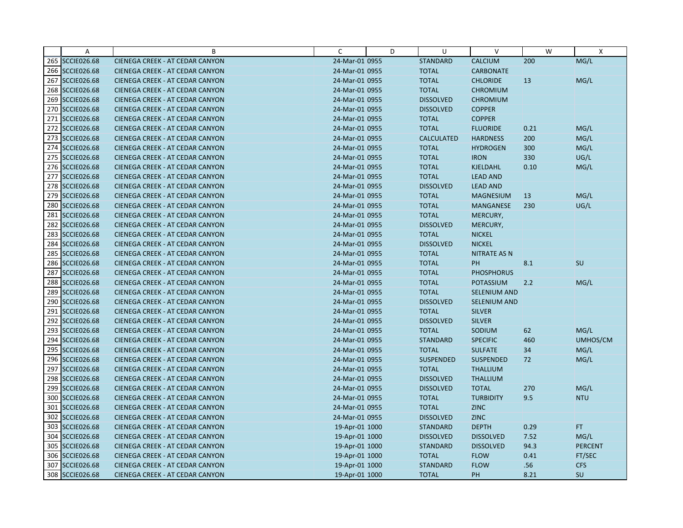|     | Α                  | B                                      | C              | D | U                 | $\vee$              | W    | X              |
|-----|--------------------|----------------------------------------|----------------|---|-------------------|---------------------|------|----------------|
|     | 265 SCCIE026.68    | CIENEGA CREEK - AT CEDAR CANYON        | 24-Mar-01 0955 |   | <b>STANDARD</b>   | <b>CALCIUM</b>      | 200  | MG/L           |
|     | 266 SCCIE026.68    | CIENEGA CREEK - AT CEDAR CANYON        | 24-Mar-01 0955 |   | <b>TOTAL</b>      | <b>CARBONATE</b>    |      |                |
|     | 267 SCCIE026.68    | CIENEGA CREEK - AT CEDAR CANYON        | 24-Mar-01 0955 |   | <b>TOTAL</b>      | <b>CHLORIDE</b>     | 13   | MG/L           |
|     | 268 SCCIE026.68    | CIENEGA CREEK - AT CEDAR CANYON        | 24-Mar-01 0955 |   | <b>TOTAL</b>      | <b>CHROMIUM</b>     |      |                |
|     | 269 SCCIE026.68    | CIENEGA CREEK - AT CEDAR CANYON        | 24-Mar-01 0955 |   | <b>DISSOLVED</b>  | <b>CHROMIUM</b>     |      |                |
|     | 270 SCCIE026.68    | <b>CIENEGA CREEK - AT CEDAR CANYON</b> | 24-Mar-01 0955 |   | <b>DISSOLVED</b>  | <b>COPPER</b>       |      |                |
|     | 271 SCCIE026.68    | <b>CIENEGA CREEK - AT CEDAR CANYON</b> | 24-Mar-01 0955 |   | <b>TOTAL</b>      | <b>COPPER</b>       |      |                |
|     | 272 SCCIE026.68    | CIENEGA CREEK - AT CEDAR CANYON        | 24-Mar-01 0955 |   | <b>TOTAL</b>      | <b>FLUORIDE</b>     | 0.21 | MG/L           |
|     | 273 SCCIE026.68    | CIENEGA CREEK - AT CEDAR CANYON        | 24-Mar-01 0955 |   | <b>CALCULATED</b> | <b>HARDNESS</b>     | 200  | MG/L           |
|     | 274 SCCIE026.68    | <b>CIENEGA CREEK - AT CEDAR CANYON</b> | 24-Mar-01 0955 |   | <b>TOTAL</b>      | <b>HYDROGEN</b>     | 300  | MG/L           |
|     | 275 SCCIE026.68    | <b>CIENEGA CREEK - AT CEDAR CANYON</b> | 24-Mar-01 0955 |   | <b>TOTAL</b>      | <b>IRON</b>         | 330  | UG/L           |
|     | 276 SCCIE026.68    | CIENEGA CREEK - AT CEDAR CANYON        | 24-Mar-01 0955 |   | <b>TOTAL</b>      | <b>KJELDAHL</b>     | 0.10 | MG/L           |
|     | 277 SCCIE026.68    | CIENEGA CREEK - AT CEDAR CANYON        | 24-Mar-01 0955 |   | <b>TOTAL</b>      | <b>LEAD AND</b>     |      |                |
|     | 278 SCCIE026.68    | <b>CIENEGA CREEK - AT CEDAR CANYON</b> | 24-Mar-01 0955 |   | <b>DISSOLVED</b>  | <b>LEAD AND</b>     |      |                |
|     | 279 SCCIE026.68    | CIENEGA CREEK - AT CEDAR CANYON        | 24-Mar-01 0955 |   | <b>TOTAL</b>      | <b>MAGNESIUM</b>    | 13   | MG/L           |
|     | 280 SCCIE026.68    | CIENEGA CREEK - AT CEDAR CANYON        | 24-Mar-01 0955 |   | <b>TOTAL</b>      | <b>MANGANESE</b>    | 230  | UG/L           |
|     | 281 SCCIE026.68    | CIENEGA CREEK - AT CEDAR CANYON        | 24-Mar-01 0955 |   | <b>TOTAL</b>      | MERCURY,            |      |                |
| 282 | <b>SCCIE026.68</b> | CIENEGA CREEK - AT CEDAR CANYON        | 24-Mar-01 0955 |   | <b>DISSOLVED</b>  | MERCURY,            |      |                |
|     | 283 SCCIE026.68    | CIENEGA CREEK - AT CEDAR CANYON        | 24-Mar-01 0955 |   | <b>TOTAL</b>      | <b>NICKEL</b>       |      |                |
|     | 284 SCCIE026.68    | CIENEGA CREEK - AT CEDAR CANYON        | 24-Mar-01 0955 |   | <b>DISSOLVED</b>  | <b>NICKEL</b>       |      |                |
| 285 | <b>SCCIE026.68</b> | CIENEGA CREEK - AT CEDAR CANYON        | 24-Mar-01 0955 |   | <b>TOTAL</b>      | <b>NITRATE AS N</b> |      |                |
|     | 286 SCCIE026.68    | CIENEGA CREEK - AT CEDAR CANYON        | 24-Mar-01 0955 |   | <b>TOTAL</b>      | PH                  | 8.1  | SU             |
|     | 287 SCCIE026.68    | CIENEGA CREEK - AT CEDAR CANYON        | 24-Mar-01 0955 |   | <b>TOTAL</b>      | <b>PHOSPHORUS</b>   |      |                |
|     | 288 SCCIE026.68    | CIENEGA CREEK - AT CEDAR CANYON        | 24-Mar-01 0955 |   | <b>TOTAL</b>      | <b>POTASSIUM</b>    | 2.2  | MG/L           |
|     | 289 SCCIE026.68    | CIENEGA CREEK - AT CEDAR CANYON        | 24-Mar-01 0955 |   | <b>TOTAL</b>      | SELENIUM AND        |      |                |
|     | 290 SCCIE026.68    | <b>CIENEGA CREEK - AT CEDAR CANYON</b> | 24-Mar-01 0955 |   | <b>DISSOLVED</b>  | <b>SELENIUM AND</b> |      |                |
| 291 | <b>SCCIE026.68</b> | CIENEGA CREEK - AT CEDAR CANYON        | 24-Mar-01 0955 |   | <b>TOTAL</b>      | <b>SILVER</b>       |      |                |
|     | 292 SCCIE026.68    | CIENEGA CREEK - AT CEDAR CANYON        | 24-Mar-01 0955 |   | <b>DISSOLVED</b>  | <b>SILVER</b>       |      |                |
|     | 293 SCCIE026.68    | CIENEGA CREEK - AT CEDAR CANYON        | 24-Mar-01 0955 |   | <b>TOTAL</b>      | SODIUM              | 62   | MG/L           |
|     | 294 SCCIE026.68    | CIENEGA CREEK - AT CEDAR CANYON        | 24-Mar-01 0955 |   | <b>STANDARD</b>   | <b>SPECIFIC</b>     | 460  | UMHOS/CM       |
|     | 295 SCCIE026.68    | CIENEGA CREEK - AT CEDAR CANYON        | 24-Mar-01 0955 |   | <b>TOTAL</b>      | <b>SULFATE</b>      | 34   | MG/L           |
|     | 296 SCCIE026.68    | CIENEGA CREEK - AT CEDAR CANYON        | 24-Mar-01 0955 |   | <b>SUSPENDED</b>  | <b>SUSPENDED</b>    | 72   | MG/L           |
|     | 297 SCCIE026.68    | CIENEGA CREEK - AT CEDAR CANYON        | 24-Mar-01 0955 |   | <b>TOTAL</b>      | <b>THALLIUM</b>     |      |                |
|     | 298 SCCIE026.68    | <b>CIENEGA CREEK - AT CEDAR CANYON</b> | 24-Mar-01 0955 |   | <b>DISSOLVED</b>  | <b>THALLIUM</b>     |      |                |
|     | 299 SCCIE026.68    | CIENEGA CREEK - AT CEDAR CANYON        | 24-Mar-01 0955 |   | <b>DISSOLVED</b>  | <b>TOTAL</b>        | 270  | MG/L           |
|     | 300 SCCIE026.68    | <b>CIENEGA CREEK - AT CEDAR CANYON</b> | 24-Mar-01 0955 |   | <b>TOTAL</b>      | <b>TURBIDITY</b>    | 9.5  | <b>NTU</b>     |
|     | 301 SCCIE026.68    | CIENEGA CREEK - AT CEDAR CANYON        | 24-Mar-01 0955 |   | <b>TOTAL</b>      | <b>ZINC</b>         |      |                |
|     | 302 SCCIE026.68    | CIENEGA CREEK - AT CEDAR CANYON        | 24-Mar-01 0955 |   | <b>DISSOLVED</b>  | <b>ZINC</b>         |      |                |
|     | 303 SCCIE026.68    | CIENEGA CREEK - AT CEDAR CANYON        | 19-Apr-01 1000 |   | <b>STANDARD</b>   | <b>DEPTH</b>        | 0.29 | FT.            |
|     | 304 SCCIE026.68    | <b>CIENEGA CREEK - AT CEDAR CANYON</b> | 19-Apr-01 1000 |   | <b>DISSOLVED</b>  | <b>DISSOLVED</b>    | 7.52 | MG/L           |
|     | 305 SCCIE026.68    | CIENEGA CREEK - AT CEDAR CANYON        | 19-Apr-01 1000 |   | <b>STANDARD</b>   | <b>DISSOLVED</b>    | 94.3 | <b>PERCENT</b> |
|     | 306 SCCIE026.68    | CIENEGA CREEK - AT CEDAR CANYON        | 19-Apr-01 1000 |   | <b>TOTAL</b>      | <b>FLOW</b>         | 0.41 | FT/SEC         |
|     | 307 SCCIE026.68    | CIENEGA CREEK - AT CEDAR CANYON        | 19-Apr-01 1000 |   | <b>STANDARD</b>   | <b>FLOW</b>         | .56  | <b>CFS</b>     |
|     | 308 SCCIE026.68    | CIENEGA CREEK - AT CEDAR CANYON        | 19-Apr-01 1000 |   | <b>TOTAL</b>      | PH                  | 8.21 | SU             |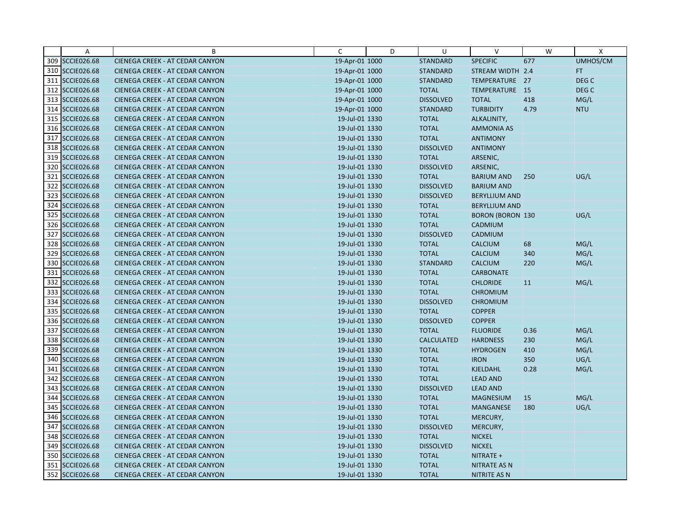|     | A                  | B                                      | C              | D | U                 | $\vee$                  | W    | X                |
|-----|--------------------|----------------------------------------|----------------|---|-------------------|-------------------------|------|------------------|
|     | 309 SCCIE026.68    | CIENEGA CREEK - AT CEDAR CANYON        | 19-Apr-01 1000 |   | <b>STANDARD</b>   | <b>SPECIFIC</b>         | 677  | UMHOS/CM         |
|     | 310 SCCIE026.68    | CIENEGA CREEK - AT CEDAR CANYON        | 19-Apr-01 1000 |   | <b>STANDARD</b>   | STREAM WIDTH 2.4        |      | FT.              |
|     | 311 SCCIE026.68    | <b>CIENEGA CREEK - AT CEDAR CANYON</b> | 19-Apr-01 1000 |   | <b>STANDARD</b>   | TEMPERATURE 27          |      | DEG <sub>C</sub> |
|     | 312 SCCIE026.68    | CIENEGA CREEK - AT CEDAR CANYON        | 19-Apr-01 1000 |   | <b>TOTAL</b>      | TEMPERATURE 15          |      | DEG <sub>C</sub> |
|     | 313 SCCIE026.68    | CIENEGA CREEK - AT CEDAR CANYON        | 19-Apr-01 1000 |   | <b>DISSOLVED</b>  | <b>TOTAL</b>            | 418  | MG/L             |
|     | 314 SCCIE026.68    | CIENEGA CREEK - AT CEDAR CANYON        | 19-Apr-01 1000 |   | <b>STANDARD</b>   | <b>TURBIDITY</b>        | 4.79 | <b>NTU</b>       |
|     | 315 SCCIE026.68    | <b>CIENEGA CREEK - AT CEDAR CANYON</b> | 19-Jul-01 1330 |   | <b>TOTAL</b>      | ALKALINITY,             |      |                  |
|     | 316 SCCIE026.68    | CIENEGA CREEK - AT CEDAR CANYON        | 19-Jul-01 1330 |   | <b>TOTAL</b>      | <b>AMMONIA AS</b>       |      |                  |
|     | 317 SCCIE026.68    | CIENEGA CREEK - AT CEDAR CANYON        | 19-Jul-01 1330 |   | <b>TOTAL</b>      | <b>ANTIMONY</b>         |      |                  |
|     | 318 SCCIE026.68    | CIENEGA CREEK - AT CEDAR CANYON        | 19-Jul-01 1330 |   | <b>DISSOLVED</b>  | <b>ANTIMONY</b>         |      |                  |
|     | 319 SCCIE026.68    | <b>CIENEGA CREEK - AT CEDAR CANYON</b> | 19-Jul-01 1330 |   | <b>TOTAL</b>      | ARSENIC,                |      |                  |
|     | 320 SCCIE026.68    | CIENEGA CREEK - AT CEDAR CANYON        | 19-Jul-01 1330 |   | <b>DISSOLVED</b>  | ARSENIC,                |      |                  |
| 321 | <b>SCCIE026.68</b> | CIENEGA CREEK - AT CEDAR CANYON        | 19-Jul-01 1330 |   | <b>TOTAL</b>      | <b>BARIUM AND</b>       | 250  | UG/L             |
|     | 322 SCCIE026.68    | CIENEGA CREEK - AT CEDAR CANYON        | 19-Jul-01 1330 |   | <b>DISSOLVED</b>  | <b>BARIUM AND</b>       |      |                  |
|     | 323 SCCIE026.68    | CIENEGA CREEK - AT CEDAR CANYON        | 19-Jul-01 1330 |   | <b>DISSOLVED</b>  | <b>BERYLLIUM AND</b>    |      |                  |
|     | 324 SCCIE026.68    | CIENEGA CREEK - AT CEDAR CANYON        | 19-Jul-01 1330 |   | <b>TOTAL</b>      | <b>BERYLLIUM AND</b>    |      |                  |
|     | 325 SCCIE026.68    | CIENEGA CREEK - AT CEDAR CANYON        | 19-Jul-01 1330 |   | <b>TOTAL</b>      | <b>BORON (BORON 130</b> |      | UG/L             |
|     | 326 SCCIE026.68    | CIENEGA CREEK - AT CEDAR CANYON        | 19-Jul-01 1330 |   | <b>TOTAL</b>      | CADMIUM                 |      |                  |
|     | 327 SCCIE026.68    | CIENEGA CREEK - AT CEDAR CANYON        | 19-Jul-01 1330 |   | <b>DISSOLVED</b>  | CADMIUM                 |      |                  |
|     | 328 SCCIE026.68    | CIENEGA CREEK - AT CEDAR CANYON        | 19-Jul-01 1330 |   | <b>TOTAL</b>      | CALCIUM                 | 68   | MG/L             |
|     | 329 SCCIE026.68    | CIENEGA CREEK - AT CEDAR CANYON        | 19-Jul-01 1330 |   | <b>TOTAL</b>      | CALCIUM                 | 340  | MG/L             |
|     | 330 SCCIE026.68    | CIENEGA CREEK - AT CEDAR CANYON        | 19-Jul-01 1330 |   | <b>STANDARD</b>   | <b>CALCIUM</b>          | 220  | MG/L             |
|     | 331 SCCIE026.68    | CIENEGA CREEK - AT CEDAR CANYON        | 19-Jul-01 1330 |   | <b>TOTAL</b>      | <b>CARBONATE</b>        |      |                  |
|     | 332 SCCIE026.68    | CIENEGA CREEK - AT CEDAR CANYON        | 19-Jul-01 1330 |   | <b>TOTAL</b>      | <b>CHLORIDE</b>         | 11   | MG/L             |
|     | 333 SCCIE026.68    | CIENEGA CREEK - AT CEDAR CANYON        | 19-Jul-01 1330 |   | <b>TOTAL</b>      | <b>CHROMIUM</b>         |      |                  |
|     | 334 SCCIE026.68    | <b>CIENEGA CREEK - AT CEDAR CANYON</b> | 19-Jul-01 1330 |   | <b>DISSOLVED</b>  | <b>CHROMIUM</b>         |      |                  |
|     | 335 SCCIE026.68    | CIENEGA CREEK - AT CEDAR CANYON        | 19-Jul-01 1330 |   | <b>TOTAL</b>      | <b>COPPER</b>           |      |                  |
|     | 336 SCCIE026.68    | CIENEGA CREEK - AT CEDAR CANYON        | 19-Jul-01 1330 |   | <b>DISSOLVED</b>  | <b>COPPER</b>           |      |                  |
|     | 337 SCCIE026.68    | CIENEGA CREEK - AT CEDAR CANYON        | 19-Jul-01 1330 |   | <b>TOTAL</b>      | <b>FLUORIDE</b>         | 0.36 | MG/L             |
|     | 338 SCCIE026.68    | CIENEGA CREEK - AT CEDAR CANYON        | 19-Jul-01 1330 |   | <b>CALCULATED</b> | <b>HARDNESS</b>         | 230  | MG/L             |
|     | 339 SCCIE026.68    | CIENEGA CREEK - AT CEDAR CANYON        | 19-Jul-01 1330 |   | <b>TOTAL</b>      | <b>HYDROGEN</b>         | 410  | MG/L             |
|     | 340 SCCIE026.68    | <b>CIENEGA CREEK - AT CEDAR CANYON</b> | 19-Jul-01 1330 |   | <b>TOTAL</b>      | <b>IRON</b>             | 350  | UG/L             |
|     | 341 SCCIE026.68    | CIENEGA CREEK - AT CEDAR CANYON        | 19-Jul-01 1330 |   | <b>TOTAL</b>      | <b>KJELDAHL</b>         | 0.28 | MG/L             |
|     | 342 SCCIE026.68    | CIENEGA CREEK - AT CEDAR CANYON        | 19-Jul-01 1330 |   | <b>TOTAL</b>      | <b>LEAD AND</b>         |      |                  |
|     | 343 SCCIE026.68    | CIENEGA CREEK - AT CEDAR CANYON        | 19-Jul-01 1330 |   | <b>DISSOLVED</b>  | <b>LEAD AND</b>         |      |                  |
|     | 344 SCCIE026.68    | <b>CIENEGA CREEK - AT CEDAR CANYON</b> | 19-Jul-01 1330 |   | <b>TOTAL</b>      | <b>MAGNESIUM</b>        | 15   | MG/L             |
|     | 345 SCCIE026.68    | CIENEGA CREEK - AT CEDAR CANYON        | 19-Jul-01 1330 |   | <b>TOTAL</b>      | <b>MANGANESE</b>        | 180  | UG/L             |
|     | 346 SCCIE026.68    | CIENEGA CREEK - AT CEDAR CANYON        | 19-Jul-01 1330 |   | <b>TOTAL</b>      | MERCURY,                |      |                  |
| 347 | <b>SCCIE026.68</b> | CIENEGA CREEK - AT CEDAR CANYON        | 19-Jul-01 1330 |   | <b>DISSOLVED</b>  | MERCURY,                |      |                  |
|     | 348 SCCIE026.68    | <b>CIENEGA CREEK - AT CEDAR CANYON</b> | 19-Jul-01 1330 |   | <b>TOTAL</b>      | <b>NICKEL</b>           |      |                  |
|     | 349 SCCIE026.68    | CIENEGA CREEK - AT CEDAR CANYON        | 19-Jul-01 1330 |   | <b>DISSOLVED</b>  | <b>NICKEL</b>           |      |                  |
|     | 350 SCCIE026.68    | CIENEGA CREEK - AT CEDAR CANYON        | 19-Jul-01 1330 |   | <b>TOTAL</b>      | NITRATE +               |      |                  |
|     | 351 SCCIE026.68    | CIENEGA CREEK - AT CEDAR CANYON        | 19-Jul-01 1330 |   | <b>TOTAL</b>      | <b>NITRATE AS N</b>     |      |                  |
|     | 352 SCCIE026.68    | CIENEGA CREEK - AT CEDAR CANYON        | 19-Jul-01 1330 |   | <b>TOTAL</b>      | NITRITE AS N            |      |                  |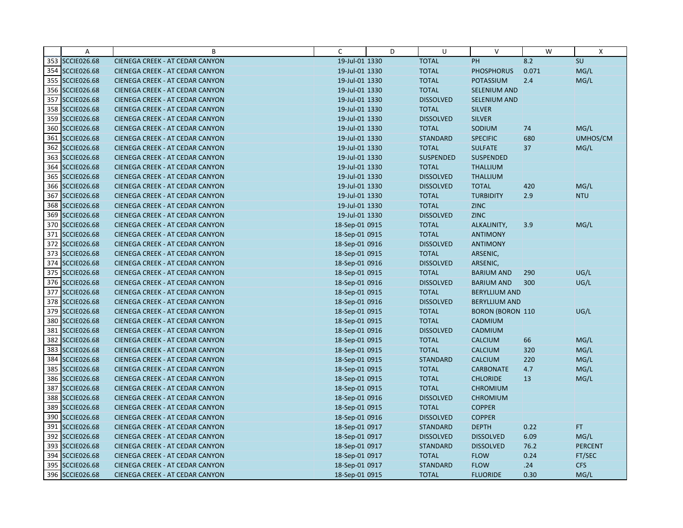|     | Α                  | B                                      | C              | D | U                | $\vee$                  | W     | X              |
|-----|--------------------|----------------------------------------|----------------|---|------------------|-------------------------|-------|----------------|
|     | 353 SCCIE026.68    | CIENEGA CREEK - AT CEDAR CANYON        | 19-Jul-01 1330 |   | <b>TOTAL</b>     | PH                      | 8.2   | SU             |
|     | 354 SCCIE026.68    | CIENEGA CREEK - AT CEDAR CANYON        | 19-Jul-01 1330 |   | <b>TOTAL</b>     | <b>PHOSPHORUS</b>       | 0.071 | MG/L           |
|     | 355 SCCIE026.68    | CIENEGA CREEK - AT CEDAR CANYON        | 19-Jul-01 1330 |   | <b>TOTAL</b>     | <b>POTASSIUM</b>        | 2.4   | MG/L           |
|     | 356 SCCIE026.68    | CIENEGA CREEK - AT CEDAR CANYON        | 19-Jul-01 1330 |   | <b>TOTAL</b>     | SELENIUM AND            |       |                |
|     | 357 SCCIE026.68    | CIENEGA CREEK - AT CEDAR CANYON        | 19-Jul-01 1330 |   | <b>DISSOLVED</b> | <b>SELENIUM AND</b>     |       |                |
|     | 358 SCCIE026.68    | CIENEGA CREEK - AT CEDAR CANYON        | 19-Jul-01 1330 |   | <b>TOTAL</b>     | <b>SILVER</b>           |       |                |
|     | 359 SCCIE026.68    | CIENEGA CREEK - AT CEDAR CANYON        | 19-Jul-01 1330 |   | <b>DISSOLVED</b> | <b>SILVER</b>           |       |                |
|     | 360 SCCIE026.68    | CIENEGA CREEK - AT CEDAR CANYON        | 19-Jul-01 1330 |   | <b>TOTAL</b>     | SODIUM                  | 74    | MG/L           |
| 361 | <b>SCCIE026.68</b> | CIENEGA CREEK - AT CEDAR CANYON        | 19-Jul-01 1330 |   | <b>STANDARD</b>  | <b>SPECIFIC</b>         | 680   | UMHOS/CM       |
|     | 362 SCCIE026.68    | CIENEGA CREEK - AT CEDAR CANYON        | 19-Jul-01 1330 |   | <b>TOTAL</b>     | <b>SULFATE</b>          | 37    | MG/L           |
|     | 363 SCCIE026.68    | CIENEGA CREEK - AT CEDAR CANYON        | 19-Jul-01 1330 |   | SUSPENDED        | <b>SUSPENDED</b>        |       |                |
|     | 364 SCCIE026.68    | CIENEGA CREEK - AT CEDAR CANYON        | 19-Jul-01 1330 |   | <b>TOTAL</b>     | <b>THALLIUM</b>         |       |                |
|     | 365 SCCIE026.68    | CIENEGA CREEK - AT CEDAR CANYON        | 19-Jul-01 1330 |   | <b>DISSOLVED</b> | <b>THALLIUM</b>         |       |                |
|     | 366 SCCIE026.68    | <b>CIENEGA CREEK - AT CEDAR CANYON</b> | 19-Jul-01 1330 |   | <b>DISSOLVED</b> | <b>TOTAL</b>            | 420   | MG/L           |
|     | 367 SCCIE026.68    | CIENEGA CREEK - AT CEDAR CANYON        | 19-Jul-01 1330 |   | <b>TOTAL</b>     | <b>TURBIDITY</b>        | 2.9   | <b>NTU</b>     |
|     | 368 SCCIE026.68    | CIENEGA CREEK - AT CEDAR CANYON        | 19-Jul-01 1330 |   | <b>TOTAL</b>     | <b>ZINC</b>             |       |                |
|     | 369 SCCIE026.68    | CIENEGA CREEK - AT CEDAR CANYON        | 19-Jul-01 1330 |   | <b>DISSOLVED</b> | <b>ZINC</b>             |       |                |
|     | 370 SCCIE026.68    | CIENEGA CREEK - AT CEDAR CANYON        | 18-Sep-01 0915 |   | <b>TOTAL</b>     | ALKALINITY,             | 3.9   | MG/L           |
| 371 | <b>SCCIE026.68</b> | <b>CIENEGA CREEK - AT CEDAR CANYON</b> | 18-Sep-01 0915 |   | <b>TOTAL</b>     | <b>ANTIMONY</b>         |       |                |
|     | 372 SCCIE026.68    | CIENEGA CREEK - AT CEDAR CANYON        | 18-Sep-01 0916 |   | <b>DISSOLVED</b> | <b>ANTIMONY</b>         |       |                |
|     | 373 SCCIE026.68    | CIENEGA CREEK - AT CEDAR CANYON        | 18-Sep-01 0915 |   | <b>TOTAL</b>     | ARSENIC,                |       |                |
|     | 374 SCCIE026.68    | CIENEGA CREEK - AT CEDAR CANYON        | 18-Sep-01 0916 |   | <b>DISSOLVED</b> | ARSENIC,                |       |                |
|     | 375 SCCIE026.68    | CIENEGA CREEK - AT CEDAR CANYON        | 18-Sep-01 0915 |   | <b>TOTAL</b>     | <b>BARIUM AND</b>       | 290   | UG/L           |
|     | 376 SCCIE026.68    | CIENEGA CREEK - AT CEDAR CANYON        | 18-Sep-01 0916 |   | <b>DISSOLVED</b> | <b>BARIUM AND</b>       | 300   | UG/L           |
|     | 377 SCCIE026.68    | CIENEGA CREEK - AT CEDAR CANYON        | 18-Sep-01 0915 |   | <b>TOTAL</b>     | <b>BERYLLIUM AND</b>    |       |                |
|     | 378 SCCIE026.68    | CIENEGA CREEK - AT CEDAR CANYON        | 18-Sep-01 0916 |   | <b>DISSOLVED</b> | <b>BERYLLIUM AND</b>    |       |                |
|     | 379 SCCIE026.68    | CIENEGA CREEK - AT CEDAR CANYON        | 18-Sep-01 0915 |   | <b>TOTAL</b>     | <b>BORON (BORON 110</b> |       | UG/L           |
|     | 380 SCCIE026.68    | <b>CIENEGA CREEK - AT CEDAR CANYON</b> | 18-Sep-01 0915 |   | <b>TOTAL</b>     | CADMIUM                 |       |                |
|     | 381 SCCIE026.68    | CIENEGA CREEK - AT CEDAR CANYON        | 18-Sep-01 0916 |   | <b>DISSOLVED</b> | CADMIUM                 |       |                |
|     | 382 SCCIE026.68    | CIENEGA CREEK - AT CEDAR CANYON        | 18-Sep-01 0915 |   | <b>TOTAL</b>     | <b>CALCIUM</b>          | 66    | MG/L           |
|     | 383 SCCIE026.68    | CIENEGA CREEK - AT CEDAR CANYON        | 18-Sep-01 0915 |   | <b>TOTAL</b>     | <b>CALCIUM</b>          | 320   | MG/L           |
|     | 384 SCCIE026.68    | CIENEGA CREEK - AT CEDAR CANYON        | 18-Sep-01 0915 |   | <b>STANDARD</b>  | <b>CALCIUM</b>          | 220   | MG/L           |
|     | 385 SCCIE026.68    | CIENEGA CREEK - AT CEDAR CANYON        | 18-Sep-01 0915 |   | <b>TOTAL</b>     | <b>CARBONATE</b>        | 4.7   | MG/L           |
|     | 386 SCCIE026.68    | CIENEGA CREEK - AT CEDAR CANYON        | 18-Sep-01 0915 |   | <b>TOTAL</b>     | <b>CHLORIDE</b>         | 13    | MG/L           |
|     | 387 SCCIE026.68    | CIENEGA CREEK - AT CEDAR CANYON        | 18-Sep-01 0915 |   | <b>TOTAL</b>     | <b>CHROMIUM</b>         |       |                |
|     | 388 SCCIE026.68    | CIENEGA CREEK - AT CEDAR CANYON        | 18-Sep-01 0916 |   | <b>DISSOLVED</b> | <b>CHROMIUM</b>         |       |                |
|     | 389 SCCIE026.68    | CIENEGA CREEK - AT CEDAR CANYON        | 18-Sep-01 0915 |   | <b>TOTAL</b>     | <b>COPPER</b>           |       |                |
|     | 390 SCCIE026.68    | CIENEGA CREEK - AT CEDAR CANYON        | 18-Sep-01 0916 |   | <b>DISSOLVED</b> | <b>COPPER</b>           |       |                |
| 391 | <b>SCCIE026.68</b> | CIENEGA CREEK - AT CEDAR CANYON        | 18-Sep-01 0917 |   | <b>STANDARD</b>  | <b>DEPTH</b>            | 0.22  | FT.            |
|     | 392 SCCIE026.68    | CIENEGA CREEK - AT CEDAR CANYON        | 18-Sep-01 0917 |   | <b>DISSOLVED</b> | <b>DISSOLVED</b>        | 6.09  | MG/L           |
|     | 393 SCCIE026.68    | CIENEGA CREEK - AT CEDAR CANYON        | 18-Sep-01 0917 |   | <b>STANDARD</b>  | <b>DISSOLVED</b>        | 76.2  | <b>PERCENT</b> |
|     | 394 SCCIE026.68    | CIENEGA CREEK - AT CEDAR CANYON        | 18-Sep-01 0917 |   | <b>TOTAL</b>     | <b>FLOW</b>             | 0.24  | FT/SEC         |
|     | 395 SCCIE026.68    | CIENEGA CREEK - AT CEDAR CANYON        | 18-Sep-01 0917 |   | <b>STANDARD</b>  | <b>FLOW</b>             | .24   | <b>CFS</b>     |
|     | 396 SCCIE026.68    | CIENEGA CREEK - AT CEDAR CANYON        | 18-Sep-01 0915 |   | <b>TOTAL</b>     | <b>FLUORIDE</b>         | 0.30  | MG/L           |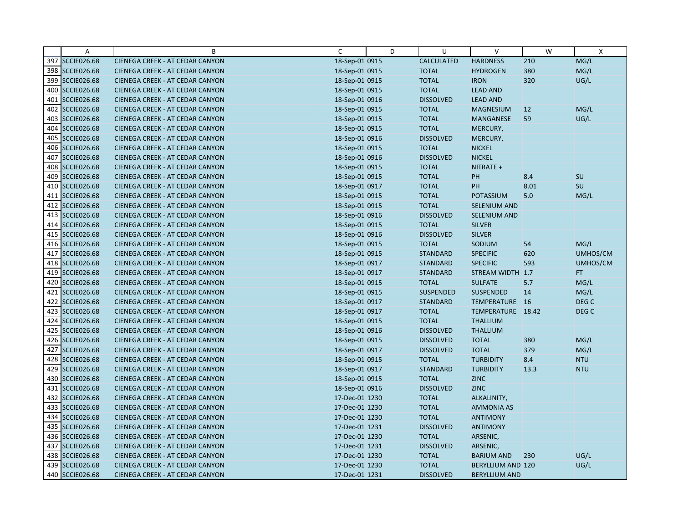|     | Α                  | B                                      | C              | D | U                | $\vee$                   | W    | X                |
|-----|--------------------|----------------------------------------|----------------|---|------------------|--------------------------|------|------------------|
|     | 397 SCCIE026.68    | CIENEGA CREEK - AT CEDAR CANYON        | 18-Sep-01 0915 |   | CALCULATED       | <b>HARDNESS</b>          | 210  | MG/L             |
|     | 398 SCCIE026.68    | CIENEGA CREEK - AT CEDAR CANYON        | 18-Sep-01 0915 |   | <b>TOTAL</b>     | <b>HYDROGEN</b>          | 380  | MG/L             |
|     | 399 SCCIE026.68    | <b>CIENEGA CREEK - AT CEDAR CANYON</b> | 18-Sep-01 0915 |   | <b>TOTAL</b>     | <b>IRON</b>              | 320  | UG/L             |
|     | 400 SCCIE026.68    | <b>CIENEGA CREEK - AT CEDAR CANYON</b> | 18-Sep-01 0915 |   | <b>TOTAL</b>     | <b>LEAD AND</b>          |      |                  |
|     | 401 SCCIE026.68    | CIENEGA CREEK - AT CEDAR CANYON        | 18-Sep-01 0916 |   | <b>DISSOLVED</b> | <b>LEAD AND</b>          |      |                  |
|     | 402 SCCIE026.68    | CIENEGA CREEK - AT CEDAR CANYON        | 18-Sep-01 0915 |   | <b>TOTAL</b>     | <b>MAGNESIUM</b>         | 12   | MG/L             |
|     | 403 SCCIE026.68    | <b>CIENEGA CREEK - AT CEDAR CANYON</b> | 18-Sep-01 0915 |   | <b>TOTAL</b>     | <b>MANGANESE</b>         | 59   | UG/L             |
|     | 404 SCCIE026.68    | CIENEGA CREEK - AT CEDAR CANYON        | 18-Sep-01 0915 |   | <b>TOTAL</b>     | MERCURY,                 |      |                  |
|     | 405 SCCIE026.68    | CIENEGA CREEK - AT CEDAR CANYON        | 18-Sep-01 0916 |   | <b>DISSOLVED</b> | MERCURY,                 |      |                  |
| 406 | <b>SCCIE026.68</b> | CIENEGA CREEK - AT CEDAR CANYON        | 18-Sep-01 0915 |   | <b>TOTAL</b>     | <b>NICKEL</b>            |      |                  |
|     | 407 SCCIE026.68    | <b>CIENEGA CREEK - AT CEDAR CANYON</b> | 18-Sep-01 0916 |   | <b>DISSOLVED</b> | <b>NICKEL</b>            |      |                  |
|     | 408 SCCIE026.68    | CIENEGA CREEK - AT CEDAR CANYON        | 18-Sep-01 0915 |   | <b>TOTAL</b>     | NITRATE +                |      |                  |
| 409 | <b>SCCIE026.68</b> | CIENEGA CREEK - AT CEDAR CANYON        | 18-Sep-01 0915 |   | <b>TOTAL</b>     | PH                       | 8.4  | <b>SU</b>        |
|     | 410 SCCIE026.68    | CIENEGA CREEK - AT CEDAR CANYON        | 18-Sep-01 0917 |   | <b>TOTAL</b>     | PH                       | 8.01 | SU               |
|     | 411 SCCIE026.68    | <b>CIENEGA CREEK - AT CEDAR CANYON</b> | 18-Sep-01 0915 |   | <b>TOTAL</b>     | POTASSIUM                | 5.0  | MG/L             |
|     | 412 SCCIE026.68    | CIENEGA CREEK - AT CEDAR CANYON        | 18-Sep-01 0915 |   | <b>TOTAL</b>     | <b>SELENIUM AND</b>      |      |                  |
|     | 413 SCCIE026.68    | CIENEGA CREEK - AT CEDAR CANYON        | 18-Sep-01 0916 |   | <b>DISSOLVED</b> | SELENIUM AND             |      |                  |
|     | 414 SCCIE026.68    | CIENEGA CREEK - AT CEDAR CANYON        | 18-Sep-01 0915 |   | <b>TOTAL</b>     | <b>SILVER</b>            |      |                  |
|     | 415 SCCIE026.68    | <b>CIENEGA CREEK - AT CEDAR CANYON</b> | 18-Sep-01 0916 |   | <b>DISSOLVED</b> | <b>SILVER</b>            |      |                  |
|     | 416 SCCIE026.68    | CIENEGA CREEK - AT CEDAR CANYON        | 18-Sep-01 0915 |   | <b>TOTAL</b>     | SODIUM                   | 54   | MG/L             |
| 417 | <b>SCCIE026.68</b> | <b>CIENEGA CREEK - AT CEDAR CANYON</b> | 18-Sep-01 0915 |   | <b>STANDARD</b>  | <b>SPECIFIC</b>          | 620  | UMHOS/CM         |
|     | 418 SCCIE026.68    | CIENEGA CREEK - AT CEDAR CANYON        | 18-Sep-01 0917 |   | <b>STANDARD</b>  | <b>SPECIFIC</b>          | 593  | UMHOS/CM         |
|     | 419 SCCIE026.68    | CIENEGA CREEK - AT CEDAR CANYON        | 18-Sep-01 0917 |   | <b>STANDARD</b>  | STREAM WIDTH 1.7         |      | FT.              |
|     | 420 SCCIE026.68    | <b>CIENEGA CREEK - AT CEDAR CANYON</b> | 18-Sep-01 0915 |   | <b>TOTAL</b>     | <b>SULFATE</b>           | 5.7  | MG/L             |
|     | 421 SCCIE026.68    | CIENEGA CREEK - AT CEDAR CANYON        | 18-Sep-01 0915 |   | SUSPENDED        | <b>SUSPENDED</b>         | 14   | MG/L             |
|     | 422 SCCIE026.68    | CIENEGA CREEK - AT CEDAR CANYON        | 18-Sep-01 0917 |   | <b>STANDARD</b>  | TEMPERATURE 16           |      | DEG <sub>C</sub> |
|     | 423 SCCIE026.68    | CIENEGA CREEK - AT CEDAR CANYON        | 18-Sep-01 0917 |   | <b>TOTAL</b>     | TEMPERATURE 18.42        |      | DEG C            |
|     | 424 SCCIE026.68    | CIENEGA CREEK - AT CEDAR CANYON        | 18-Sep-01 0915 |   | <b>TOTAL</b>     | <b>THALLIUM</b>          |      |                  |
|     | 425 SCCIE026.68    | CIENEGA CREEK - AT CEDAR CANYON        | 18-Sep-01 0916 |   | <b>DISSOLVED</b> | <b>THALLIUM</b>          |      |                  |
|     | 426 SCCIE026.68    | <b>CIENEGA CREEK - AT CEDAR CANYON</b> | 18-Sep-01 0915 |   | <b>DISSOLVED</b> | <b>TOTAL</b>             | 380  | MG/L             |
|     | 427 SCCIE026.68    | CIENEGA CREEK - AT CEDAR CANYON        | 18-Sep-01 0917 |   | <b>DISSOLVED</b> | <b>TOTAL</b>             | 379  | MG/L             |
|     | 428 SCCIE026.68    | <b>CIENEGA CREEK - AT CEDAR CANYON</b> | 18-Sep-01 0915 |   | <b>TOTAL</b>     | <b>TURBIDITY</b>         | 8.4  | <b>NTU</b>       |
|     | 429 SCCIE026.68    | CIENEGA CREEK - AT CEDAR CANYON        | 18-Sep-01 0917 |   | <b>STANDARD</b>  | <b>TURBIDITY</b>         | 13.3 | <b>NTU</b>       |
|     | 430 SCCIE026.68    | CIENEGA CREEK - AT CEDAR CANYON        | 18-Sep-01 0915 |   | <b>TOTAL</b>     | <b>ZINC</b>              |      |                  |
|     | 431 SCCIE026.68    | CIENEGA CREEK - AT CEDAR CANYON        | 18-Sep-01 0916 |   | <b>DISSOLVED</b> | <b>ZINC</b>              |      |                  |
|     | 432 SCCIE026.68    | <b>CIENEGA CREEK - AT CEDAR CANYON</b> | 17-Dec-01 1230 |   | <b>TOTAL</b>     | ALKALINITY,              |      |                  |
|     | 433 SCCIE026.68    | CIENEGA CREEK - AT CEDAR CANYON        | 17-Dec-01 1230 |   | <b>TOTAL</b>     | <b>AMMONIA AS</b>        |      |                  |
|     | 434 SCCIE026.68    | CIENEGA CREEK - AT CEDAR CANYON        | 17-Dec-01 1230 |   | <b>TOTAL</b>     | <b>ANTIMONY</b>          |      |                  |
|     | 435 SCCIE026.68    | CIENEGA CREEK - AT CEDAR CANYON        | 17-Dec-01 1231 |   | <b>DISSOLVED</b> | <b>ANTIMONY</b>          |      |                  |
|     | 436 SCCIE026.68    | CIENEGA CREEK - AT CEDAR CANYON        | 17-Dec-01 1230 |   | <b>TOTAL</b>     | ARSENIC,                 |      |                  |
|     | 437 SCCIE026.68    | <b>CIENEGA CREEK - AT CEDAR CANYON</b> | 17-Dec-01 1231 |   | <b>DISSOLVED</b> | ARSENIC,                 |      |                  |
|     | 438 SCCIE026.68    | CIENEGA CREEK - AT CEDAR CANYON        | 17-Dec-01 1230 |   | <b>TOTAL</b>     | <b>BARIUM AND</b>        | 230  | UG/L             |
|     | 439 SCCIE026.68    | CIENEGA CREEK - AT CEDAR CANYON        | 17-Dec-01 1230 |   | <b>TOTAL</b>     | <b>BERYLLIUM AND 120</b> |      | UG/L             |
|     | 440 SCCIE026.68    | <b>CIENEGA CREEK - AT CEDAR CANYON</b> | 17-Dec-01 1231 |   | <b>DISSOLVED</b> | <b>BERYLLIUM AND</b>     |      |                  |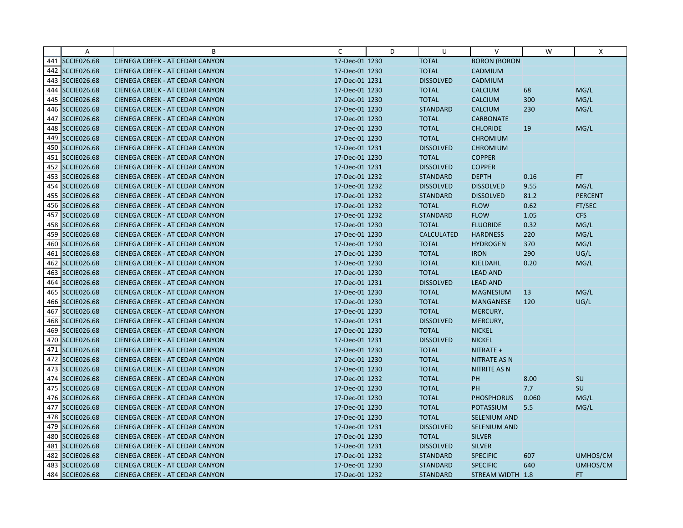|     | Α                  | B                                      | C              | D | U                 | $\vee$              | W     | X               |
|-----|--------------------|----------------------------------------|----------------|---|-------------------|---------------------|-------|-----------------|
|     | 441 SCCIE026.68    | CIENEGA CREEK - AT CEDAR CANYON        | 17-Dec-01 1230 |   | <b>TOTAL</b>      | <b>BORON (BORON</b> |       |                 |
|     | 442 SCCIE026.68    | CIENEGA CREEK - AT CEDAR CANYON        | 17-Dec-01 1230 |   | <b>TOTAL</b>      | CADMIUM             |       |                 |
|     | 443 SCCIE026.68    | <b>CIENEGA CREEK - AT CEDAR CANYON</b> | 17-Dec-01 1231 |   | <b>DISSOLVED</b>  | CADMIUM             |       |                 |
|     | 444 SCCIE026.68    | <b>CIENEGA CREEK - AT CEDAR CANYON</b> | 17-Dec-01 1230 |   | <b>TOTAL</b>      | <b>CALCIUM</b>      | 68    | MG/L            |
|     | 445 SCCIE026.68    | CIENEGA CREEK - AT CEDAR CANYON        | 17-Dec-01 1230 |   | <b>TOTAL</b>      | CALCIUM             | 300   | MG/L            |
|     | 446 SCCIE026.68    | CIENEGA CREEK - AT CEDAR CANYON        | 17-Dec-01 1230 |   | <b>STANDARD</b>   | <b>CALCIUM</b>      | 230   | MG/L            |
| 447 | <b>SCCIE026.68</b> | <b>CIENEGA CREEK - AT CEDAR CANYON</b> | 17-Dec-01 1230 |   | <b>TOTAL</b>      | <b>CARBONATE</b>    |       |                 |
|     | 448 SCCIE026.68    | <b>CIENEGA CREEK - AT CEDAR CANYON</b> | 17-Dec-01 1230 |   | <b>TOTAL</b>      | <b>CHLORIDE</b>     | 19    | MG/L            |
|     | 449 SCCIE026.68    | CIENEGA CREEK - AT CEDAR CANYON        | 17-Dec-01 1230 |   | <b>TOTAL</b>      | <b>CHROMIUM</b>     |       |                 |
|     | 450 SCCIE026.68    | CIENEGA CREEK - AT CEDAR CANYON        | 17-Dec-01 1231 |   | <b>DISSOLVED</b>  | <b>CHROMIUM</b>     |       |                 |
|     | 451 SCCIE026.68    | <b>CIENEGA CREEK - AT CEDAR CANYON</b> | 17-Dec-01 1230 |   | <b>TOTAL</b>      | <b>COPPER</b>       |       |                 |
|     | 452 SCCIE026.68    | CIENEGA CREEK - AT CEDAR CANYON        | 17-Dec-01 1231 |   | <b>DISSOLVED</b>  | <b>COPPER</b>       |       |                 |
|     | 453 SCCIE026.68    | CIENEGA CREEK - AT CEDAR CANYON        | 17-Dec-01 1232 |   | <b>STANDARD</b>   | <b>DEPTH</b>        | 0.16  | <b>FT</b>       |
|     | 454 SCCIE026.68    | CIENEGA CREEK - AT CEDAR CANYON        | 17-Dec-01 1232 |   | <b>DISSOLVED</b>  | <b>DISSOLVED</b>    | 9.55  | MG/L            |
|     | 455 SCCIE026.68    | <b>CIENEGA CREEK - AT CEDAR CANYON</b> | 17-Dec-01 1232 |   | <b>STANDARD</b>   | <b>DISSOLVED</b>    | 81.2  | <b>PERCENT</b>  |
|     | 456 SCCIE026.68    | CIENEGA CREEK - AT CEDAR CANYON        | 17-Dec-01 1232 |   | <b>TOTAL</b>      | <b>FLOW</b>         | 0.62  | FT/SEC          |
|     | 457 SCCIE026.68    | CIENEGA CREEK - AT CEDAR CANYON        | 17-Dec-01 1232 |   | <b>STANDARD</b>   | <b>FLOW</b>         | 1.05  | <b>CFS</b>      |
|     | 458 SCCIE026.68    | CIENEGA CREEK - AT CEDAR CANYON        | 17-Dec-01 1230 |   | <b>TOTAL</b>      | <b>FLUORIDE</b>     | 0.32  | MG/L            |
|     | 459 SCCIE026.68    | <b>CIENEGA CREEK - AT CEDAR CANYON</b> | 17-Dec-01 1230 |   | <b>CALCULATED</b> | <b>HARDNESS</b>     | 220   | MG/L            |
|     | 460 SCCIE026.68    | CIENEGA CREEK - AT CEDAR CANYON        | 17-Dec-01 1230 |   | <b>TOTAL</b>      | <b>HYDROGEN</b>     | 370   | MG/L            |
|     | 461 SCCIE026.68    | CIENEGA CREEK - AT CEDAR CANYON        | 17-Dec-01 1230 |   | <b>TOTAL</b>      | <b>IRON</b>         | 290   | UG/L            |
|     | 462 SCCIE026.68    | <b>CIENEGA CREEK - AT CEDAR CANYON</b> | 17-Dec-01 1230 |   | <b>TOTAL</b>      | KJELDAHL            | 0.20  | MG/L            |
|     | 463 SCCIE026.68    | CIENEGA CREEK - AT CEDAR CANYON        | 17-Dec-01 1230 |   | <b>TOTAL</b>      | <b>LEAD AND</b>     |       |                 |
|     | 464 SCCIE026.68    | <b>CIENEGA CREEK - AT CEDAR CANYON</b> | 17-Dec-01 1231 |   | <b>DISSOLVED</b>  | <b>LEAD AND</b>     |       |                 |
|     | 465 SCCIE026.68    | CIENEGA CREEK - AT CEDAR CANYON        | 17-Dec-01 1230 |   | <b>TOTAL</b>      | <b>MAGNESIUM</b>    | 13    | MG/L            |
|     | 466 SCCIE026.68    | CIENEGA CREEK - AT CEDAR CANYON        | 17-Dec-01 1230 |   | <b>TOTAL</b>      | <b>MANGANESE</b>    | 120   | UG/L            |
| 467 | <b>SCCIE026.68</b> | CIENEGA CREEK - AT CEDAR CANYON        | 17-Dec-01 1230 |   | <b>TOTAL</b>      | MERCURY,            |       |                 |
|     | 468 SCCIE026.68    | CIENEGA CREEK - AT CEDAR CANYON        | 17-Dec-01 1231 |   | <b>DISSOLVED</b>  | MERCURY,            |       |                 |
|     | 469 SCCIE026.68    | CIENEGA CREEK - AT CEDAR CANYON        | 17-Dec-01 1230 |   | <b>TOTAL</b>      | <b>NICKEL</b>       |       |                 |
|     | 470 SCCIE026.68    | <b>CIENEGA CREEK - AT CEDAR CANYON</b> | 17-Dec-01 1231 |   | <b>DISSOLVED</b>  | <b>NICKEL</b>       |       |                 |
|     | 471 SCCIE026.68    | CIENEGA CREEK - AT CEDAR CANYON        | 17-Dec-01 1230 |   | <b>TOTAL</b>      | NITRATE +           |       |                 |
|     | 472 SCCIE026.68    | <b>CIENEGA CREEK - AT CEDAR CANYON</b> | 17-Dec-01 1230 |   | <b>TOTAL</b>      | <b>NITRATE AS N</b> |       |                 |
|     | 473 SCCIE026.68    | CIENEGA CREEK - AT CEDAR CANYON        | 17-Dec-01 1230 |   | <b>TOTAL</b>      | <b>NITRITE AS N</b> |       |                 |
|     | 474 SCCIE026.68    | <b>CIENEGA CREEK - AT CEDAR CANYON</b> | 17-Dec-01 1232 |   | <b>TOTAL</b>      | PH                  | 8.00  | SU              |
|     | 475 SCCIE026.68    | CIENEGA CREEK - AT CEDAR CANYON        | 17-Dec-01 1230 |   | <b>TOTAL</b>      | PH                  | 7.7   | SU              |
|     | 476 SCCIE026.68    | CIENEGA CREEK - AT CEDAR CANYON        | 17-Dec-01 1230 |   | <b>TOTAL</b>      | <b>PHOSPHORUS</b>   | 0.060 | MG/L            |
|     | 477 SCCIE026.68    | CIENEGA CREEK - AT CEDAR CANYON        | 17-Dec-01 1230 |   | <b>TOTAL</b>      | <b>POTASSIUM</b>    | 5.5   | MG/L            |
|     | 478 SCCIE026.68    | CIENEGA CREEK - AT CEDAR CANYON        | 17-Dec-01 1230 |   | <b>TOTAL</b>      | SELENIUM AND        |       |                 |
|     | 479 SCCIE026.68    | CIENEGA CREEK - AT CEDAR CANYON        | 17-Dec-01 1231 |   | <b>DISSOLVED</b>  | SELENIUM AND        |       |                 |
|     | 480 SCCIE026.68    | CIENEGA CREEK - AT CEDAR CANYON        | 17-Dec-01 1230 |   | <b>TOTAL</b>      | <b>SILVER</b>       |       |                 |
|     | 481 SCCIE026.68    | <b>CIENEGA CREEK - AT CEDAR CANYON</b> | 17-Dec-01 1231 |   | <b>DISSOLVED</b>  | <b>SILVER</b>       |       |                 |
| 482 | <b>SCCIE026.68</b> | CIENEGA CREEK - AT CEDAR CANYON        | 17-Dec-01 1232 |   | <b>STANDARD</b>   | <b>SPECIFIC</b>     | 607   | <b>UMHOS/CM</b> |
|     | 483 SCCIE026.68    | CIENEGA CREEK - AT CEDAR CANYON        | 17-Dec-01 1230 |   | <b>STANDARD</b>   | <b>SPECIFIC</b>     | 640   | UMHOS/CM        |
|     | 484 SCCIE026.68    | <b>CIENEGA CREEK - AT CEDAR CANYON</b> | 17-Dec-01 1232 |   | <b>STANDARD</b>   | STREAM WIDTH 1.8    |       | <b>FT</b>       |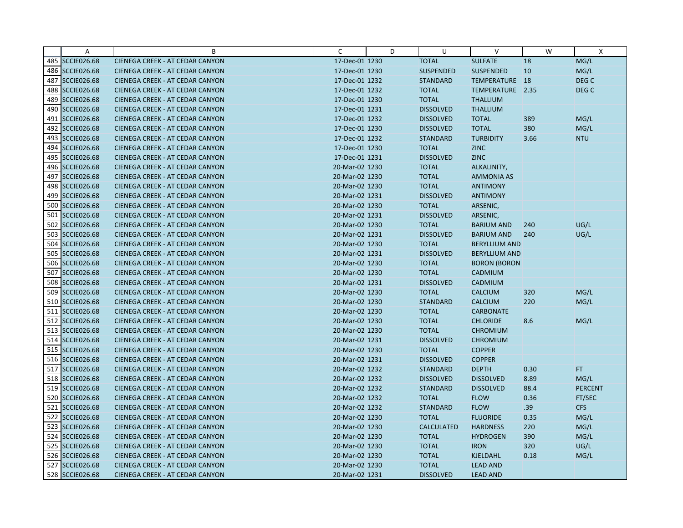|     | Α                  | B                                      | C              | D | U                 | $\vee$               | W    | X                |
|-----|--------------------|----------------------------------------|----------------|---|-------------------|----------------------|------|------------------|
|     | 485 SCCIE026.68    | CIENEGA CREEK - AT CEDAR CANYON        | 17-Dec-01 1230 |   | <b>TOTAL</b>      | <b>SULFATE</b>       | 18   | MG/L             |
|     | 486 SCCIE026.68    | CIENEGA CREEK - AT CEDAR CANYON        | 17-Dec-01 1230 |   | SUSPENDED         | <b>SUSPENDED</b>     | 10   | MG/L             |
| 487 | <b>SCCIE026.68</b> | <b>CIENEGA CREEK - AT CEDAR CANYON</b> | 17-Dec-01 1232 |   | <b>STANDARD</b>   | TEMPERATURE 18       |      | DEG <sub>C</sub> |
|     | 488 SCCIE026.68    | <b>CIENEGA CREEK - AT CEDAR CANYON</b> | 17-Dec-01 1232 |   | <b>TOTAL</b>      | TEMPERATURE 2.35     |      | DEG <sub>C</sub> |
|     | 489 SCCIE026.68    | CIENEGA CREEK - AT CEDAR CANYON        | 17-Dec-01 1230 |   | <b>TOTAL</b>      | <b>THALLIUM</b>      |      |                  |
|     | 490 SCCIE026.68    | CIENEGA CREEK - AT CEDAR CANYON        | 17-Dec-01 1231 |   | <b>DISSOLVED</b>  | <b>THALLIUM</b>      |      |                  |
|     | 491 SCCIE026.68    | CIENEGA CREEK - AT CEDAR CANYON        | 17-Dec-01 1232 |   | <b>DISSOLVED</b>  | <b>TOTAL</b>         | 389  | MG/L             |
|     | 492 SCCIE026.68    | <b>CIENEGA CREEK - AT CEDAR CANYON</b> | 17-Dec-01 1230 |   | <b>DISSOLVED</b>  | <b>TOTAL</b>         | 380  | MG/L             |
|     | 493 SCCIE026.68    | CIENEGA CREEK - AT CEDAR CANYON        | 17-Dec-01 1232 |   | <b>STANDARD</b>   | <b>TURBIDITY</b>     | 3.66 | <b>NTU</b>       |
|     | 494 SCCIE026.68    | CIENEGA CREEK - AT CEDAR CANYON        | 17-Dec-01 1230 |   | <b>TOTAL</b>      | <b>ZINC</b>          |      |                  |
|     | 495 SCCIE026.68    | <b>CIENEGA CREEK - AT CEDAR CANYON</b> | 17-Dec-01 1231 |   | <b>DISSOLVED</b>  | <b>ZINC</b>          |      |                  |
|     | 496 SCCIE026.68    | CIENEGA CREEK - AT CEDAR CANYON        | 20-Mar-02 1230 |   | <b>TOTAL</b>      | ALKALINITY,          |      |                  |
| 497 | <b>SCCIE026.68</b> | CIENEGA CREEK - AT CEDAR CANYON        | 20-Mar-02 1230 |   | <b>TOTAL</b>      | <b>AMMONIA AS</b>    |      |                  |
|     | 498 SCCIE026.68    | CIENEGA CREEK - AT CEDAR CANYON        | 20-Mar-02 1230 |   | <b>TOTAL</b>      | <b>ANTIMONY</b>      |      |                  |
|     | 499 SCCIE026.68    | <b>CIENEGA CREEK - AT CEDAR CANYON</b> | 20-Mar-02 1231 |   | <b>DISSOLVED</b>  | <b>ANTIMONY</b>      |      |                  |
|     | 500 SCCIE026.68    | CIENEGA CREEK - AT CEDAR CANYON        | 20-Mar-02 1230 |   | <b>TOTAL</b>      | ARSENIC,             |      |                  |
|     | 501 SCCIE026.68    | CIENEGA CREEK - AT CEDAR CANYON        | 20-Mar-02 1231 |   | <b>DISSOLVED</b>  | ARSENIC,             |      |                  |
|     | 502 SCCIE026.68    | CIENEGA CREEK - AT CEDAR CANYON        | 20-Mar-02 1230 |   | <b>TOTAL</b>      | <b>BARIUM AND</b>    | 240  | UG/L             |
| 503 | <b>SCCIE026.68</b> | <b>CIENEGA CREEK - AT CEDAR CANYON</b> | 20-Mar-02 1231 |   | <b>DISSOLVED</b>  | <b>BARIUM AND</b>    | 240  | UG/L             |
|     | 504 SCCIE026.68    | CIENEGA CREEK - AT CEDAR CANYON        | 20-Mar-02 1230 |   | <b>TOTAL</b>      | <b>BERYLLIUM AND</b> |      |                  |
|     | 505 SCCIE026.68    | CIENEGA CREEK - AT CEDAR CANYON        | 20-Mar-02 1231 |   | <b>DISSOLVED</b>  | <b>BERYLLIUM AND</b> |      |                  |
| 506 | <b>SCCIE026.68</b> | CIENEGA CREEK - AT CEDAR CANYON        | 20-Mar-02 1230 |   | <b>TOTAL</b>      | <b>BORON (BORON</b>  |      |                  |
|     | 507 SCCIE026.68    | CIENEGA CREEK - AT CEDAR CANYON        | 20-Mar-02 1230 |   | <b>TOTAL</b>      | CADMIUM              |      |                  |
| 508 | <b>SCCIE026.68</b> | CIENEGA CREEK - AT CEDAR CANYON        | 20-Mar-02 1231 |   | <b>DISSOLVED</b>  | CADMIUM              |      |                  |
|     | 509 SCCIE026.68    | CIENEGA CREEK - AT CEDAR CANYON        | 20-Mar-02 1230 |   | <b>TOTAL</b>      | <b>CALCIUM</b>       | 320  | MG/L             |
|     | 510 SCCIE026.68    | CIENEGA CREEK - AT CEDAR CANYON        | 20-Mar-02 1230 |   | <b>STANDARD</b>   | <b>CALCIUM</b>       | 220  | MG/L             |
|     | 511 SCCIE026.68    | CIENEGA CREEK - AT CEDAR CANYON        | 20-Mar-02 1230 |   | <b>TOTAL</b>      | <b>CARBONATE</b>     |      |                  |
|     | 512 SCCIE026.68    | CIENEGA CREEK - AT CEDAR CANYON        | 20-Mar-02 1230 |   | <b>TOTAL</b>      | <b>CHLORIDE</b>      | 8.6  | MG/L             |
|     | 513 SCCIE026.68    | CIENEGA CREEK - AT CEDAR CANYON        | 20-Mar-02 1230 |   | <b>TOTAL</b>      | <b>CHROMIUM</b>      |      |                  |
|     | 514 SCCIE026.68    | <b>CIENEGA CREEK - AT CEDAR CANYON</b> | 20-Mar-02 1231 |   | <b>DISSOLVED</b>  | <b>CHROMIUM</b>      |      |                  |
|     | 515 SCCIE026.68    | CIENEGA CREEK - AT CEDAR CANYON        | 20-Mar-02 1230 |   | <b>TOTAL</b>      | <b>COPPER</b>        |      |                  |
|     | 516 SCCIE026.68    | <b>CIENEGA CREEK - AT CEDAR CANYON</b> | 20-Mar-02 1231 |   | <b>DISSOLVED</b>  | <b>COPPER</b>        |      |                  |
|     | 517 SCCIE026.68    | CIENEGA CREEK - AT CEDAR CANYON        | 20-Mar-02 1232 |   | <b>STANDARD</b>   | <b>DEPTH</b>         | 0.30 | FT.              |
|     | 518 SCCIE026.68    | <b>CIENEGA CREEK - AT CEDAR CANYON</b> | 20-Mar-02 1232 |   | <b>DISSOLVED</b>  | <b>DISSOLVED</b>     | 8.89 | MG/L             |
|     | 519 SCCIE026.68    | CIENEGA CREEK - AT CEDAR CANYON        | 20-Mar-02 1232 |   | <b>STANDARD</b>   | <b>DISSOLVED</b>     | 88.4 | <b>PERCENT</b>   |
|     | 520 SCCIE026.68    | CIENEGA CREEK - AT CEDAR CANYON        | 20-Mar-02 1232 |   | <b>TOTAL</b>      | <b>FLOW</b>          | 0.36 | FT/SEC           |
|     | 521 SCCIE026.68    | CIENEGA CREEK - AT CEDAR CANYON        | 20-Mar-02 1232 |   | <b>STANDARD</b>   | <b>FLOW</b>          | .39  | <b>CFS</b>       |
|     | 522 SCCIE026.68    | CIENEGA CREEK - AT CEDAR CANYON        | 20-Mar-02 1230 |   | <b>TOTAL</b>      | <b>FLUORIDE</b>      | 0.35 | MG/L             |
|     | 523 SCCIE026.68    | CIENEGA CREEK - AT CEDAR CANYON        | 20-Mar-02 1230 |   | <b>CALCULATED</b> | <b>HARDNESS</b>      | 220  | MG/L             |
|     | 524 SCCIE026.68    | CIENEGA CREEK - AT CEDAR CANYON        | 20-Mar-02 1230 |   | <b>TOTAL</b>      | <b>HYDROGEN</b>      | 390  | MG/L             |
|     | 525 SCCIE026.68    | <b>CIENEGA CREEK - AT CEDAR CANYON</b> | 20-Mar-02 1230 |   | <b>TOTAL</b>      | <b>IRON</b>          | 320  | UG/L             |
|     | 526 SCCIE026.68    | CIENEGA CREEK - AT CEDAR CANYON        | 20-Mar-02 1230 |   | <b>TOTAL</b>      | KJELDAHL             | 0.18 | MG/L             |
|     | 527 SCCIE026.68    | CIENEGA CREEK - AT CEDAR CANYON        | 20-Mar-02 1230 |   | <b>TOTAL</b>      | <b>LEAD AND</b>      |      |                  |
|     | 528 SCCIE026.68    | <b>CIENEGA CREEK - AT CEDAR CANYON</b> | 20-Mar-02 1231 |   | <b>DISSOLVED</b>  | <b>LEAD AND</b>      |      |                  |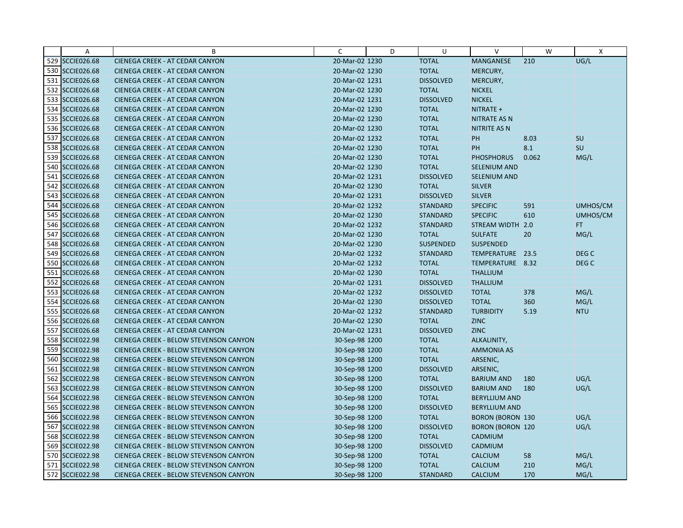|     | A                  | B                                      | C              | D | U                | V                       | W     | X                |
|-----|--------------------|----------------------------------------|----------------|---|------------------|-------------------------|-------|------------------|
|     | 529 SCCIE026.68    | CIENEGA CREEK - AT CEDAR CANYON        | 20-Mar-02 1230 |   | <b>TOTAL</b>     | MANGANESE               | 210   | UG/L             |
|     | 530 SCCIE026.68    | CIENEGA CREEK - AT CEDAR CANYON        | 20-Mar-02 1230 |   | <b>TOTAL</b>     | MERCURY,                |       |                  |
|     | 531 SCCIE026.68    | <b>CIENEGA CREEK - AT CEDAR CANYON</b> | 20-Mar-02 1231 |   | <b>DISSOLVED</b> | MERCURY,                |       |                  |
|     | 532 SCCIE026.68    | CIENEGA CREEK - AT CEDAR CANYON        | 20-Mar-02 1230 |   | <b>TOTAL</b>     | <b>NICKEL</b>           |       |                  |
|     | 533 SCCIE026.68    | <b>CIENEGA CREEK - AT CEDAR CANYON</b> | 20-Mar-02 1231 |   | <b>DISSOLVED</b> | <b>NICKEL</b>           |       |                  |
|     | 534 SCCIE026.68    | CIENEGA CREEK - AT CEDAR CANYON        | 20-Mar-02 1230 |   | <b>TOTAL</b>     | NITRATE +               |       |                  |
|     | 535 SCCIE026.68    | <b>CIENEGA CREEK - AT CEDAR CANYON</b> | 20-Mar-02 1230 |   | <b>TOTAL</b>     | <b>NITRATE AS N</b>     |       |                  |
|     | 536 SCCIE026.68    | <b>CIENEGA CREEK - AT CEDAR CANYON</b> | 20-Mar-02 1230 |   | <b>TOTAL</b>     | <b>NITRITE AS N</b>     |       |                  |
|     | 537 SCCIE026.68    | CIENEGA CREEK - AT CEDAR CANYON        | 20-Mar-02 1232 |   | <b>TOTAL</b>     | PH                      | 8.03  | <b>SU</b>        |
|     | 538 SCCIE026.68    | <b>CIENEGA CREEK - AT CEDAR CANYON</b> | 20-Mar-02 1230 |   | <b>TOTAL</b>     | PH                      | 8.1   | SU               |
|     | 539 SCCIE026.68    | <b>CIENEGA CREEK - AT CEDAR CANYON</b> | 20-Mar-02 1230 |   | <b>TOTAL</b>     | <b>PHOSPHORUS</b>       | 0.062 | MG/L             |
|     | 540 SCCIE026.68    | CIENEGA CREEK - AT CEDAR CANYON        | 20-Mar-02 1230 |   | <b>TOTAL</b>     | <b>SELENIUM AND</b>     |       |                  |
| 541 | <b>SCCIE026.68</b> | CIENEGA CREEK - AT CEDAR CANYON        | 20-Mar-02 1231 |   | <b>DISSOLVED</b> | <b>SELENIUM AND</b>     |       |                  |
|     | 542 SCCIE026.68    | CIENEGA CREEK - AT CEDAR CANYON        | 20-Mar-02 1230 |   | <b>TOTAL</b>     | <b>SILVER</b>           |       |                  |
|     | 543 SCCIE026.68    | CIENEGA CREEK - AT CEDAR CANYON        | 20-Mar-02 1231 |   | <b>DISSOLVED</b> | <b>SILVER</b>           |       |                  |
| 544 | <b>SCCIE026.68</b> | CIENEGA CREEK - AT CEDAR CANYON        | 20-Mar-02 1232 |   | <b>STANDARD</b>  | <b>SPECIFIC</b>         | 591   | UMHOS/CM         |
|     | 545 SCCIE026.68    | CIENEGA CREEK - AT CEDAR CANYON        | 20-Mar-02 1230 |   | <b>STANDARD</b>  | <b>SPECIFIC</b>         | 610   | UMHOS/CM         |
|     | 546 SCCIE026.68    | <b>CIENEGA CREEK - AT CEDAR CANYON</b> | 20-Mar-02 1232 |   | <b>STANDARD</b>  | <b>STREAM WIDTH</b>     | 2.0   | FT.              |
| 547 | <b>SCCIE026.68</b> | CIENEGA CREEK - AT CEDAR CANYON        | 20-Mar-02 1230 |   | <b>TOTAL</b>     | <b>SULFATE</b>          | 20    | MG/L             |
|     | 548 SCCIE026.68    | CIENEGA CREEK - AT CEDAR CANYON        | 20-Mar-02 1230 |   | SUSPENDED        | SUSPENDED               |       |                  |
| 549 | <b>SCCIE026.68</b> | CIENEGA CREEK - AT CEDAR CANYON        | 20-Mar-02 1232 |   | <b>STANDARD</b>  | TEMPERATURE 23.5        |       | DEG <sub>C</sub> |
|     | 550 SCCIE026.68    | CIENEGA CREEK - AT CEDAR CANYON        | 20-Mar-02 1232 |   | <b>TOTAL</b>     | TEMPERATURE 8.32        |       | DEG <sub>C</sub> |
|     | 551 SCCIE026.68    | CIENEGA CREEK - AT CEDAR CANYON        | 20-Mar-02 1230 |   | <b>TOTAL</b>     | <b>THALLIUM</b>         |       |                  |
|     | 552 SCCIE026.68    | <b>CIENEGA CREEK - AT CEDAR CANYON</b> | 20-Mar-02 1231 |   | <b>DISSOLVED</b> | <b>THALLIUM</b>         |       |                  |
|     | 553 SCCIE026.68    | CIENEGA CREEK - AT CEDAR CANYON        | 20-Mar-02 1232 |   | <b>DISSOLVED</b> | <b>TOTAL</b>            | 378   | MG/L             |
|     | 554 SCCIE026.68    | <b>CIENEGA CREEK - AT CEDAR CANYON</b> | 20-Mar-02 1230 |   | <b>DISSOLVED</b> | <b>TOTAL</b>            | 360   | MG/L             |
|     | 555 SCCIE026.68    | CIENEGA CREEK - AT CEDAR CANYON        | 20-Mar-02 1232 |   | <b>STANDARD</b>  | <b>TURBIDITY</b>        | 5.19  | <b>NTU</b>       |
|     | 556 SCCIE026.68    | CIENEGA CREEK - AT CEDAR CANYON        | 20-Mar-02 1230 |   | <b>TOTAL</b>     | <b>ZINC</b>             |       |                  |
|     | 557 SCCIE026.68    | <b>CIENEGA CREEK - AT CEDAR CANYON</b> | 20-Mar-02 1231 |   | <b>DISSOLVED</b> | <b>ZINC</b>             |       |                  |
|     | 558 SCCIE022.98    | CIENEGA CREEK - BELOW STEVENSON CANYON | 30-Sep-98 1200 |   | <b>TOTAL</b>     | ALKALINITY,             |       |                  |
|     | 559 SCCIE022.98    | CIENEGA CREEK - BELOW STEVENSON CANYON | 30-Sep-98 1200 |   | <b>TOTAL</b>     | <b>AMMONIA AS</b>       |       |                  |
|     | 560 SCCIE022.98    | CIENEGA CREEK - BELOW STEVENSON CANYON | 30-Sep-98 1200 |   | <b>TOTAL</b>     | ARSENIC,                |       |                  |
|     | 561 SCCIE022.98    | CIENEGA CREEK - BELOW STEVENSON CANYON | 30-Sep-98 1200 |   | <b>DISSOLVED</b> | ARSENIC,                |       |                  |
|     | 562 SCCIE022.98    | CIENEGA CREEK - BELOW STEVENSON CANYON | 30-Sep-98 1200 |   | <b>TOTAL</b>     | <b>BARIUM AND</b>       | 180   | UG/L             |
|     | 563 SCCIE022.98    | CIENEGA CREEK - BELOW STEVENSON CANYON | 30-Sep-98 1200 |   | <b>DISSOLVED</b> | <b>BARIUM AND</b>       | 180   | UG/L             |
|     | 564 SCCIE022.98    | CIENEGA CREEK - BELOW STEVENSON CANYON | 30-Sep-98 1200 |   | <b>TOTAL</b>     | <b>BERYLLIUM AND</b>    |       |                  |
|     | 565 SCCIE022.98    | CIENEGA CREEK - BELOW STEVENSON CANYON | 30-Sep-98 1200 |   | <b>DISSOLVED</b> | <b>BERYLLIUM AND</b>    |       |                  |
|     | 566 SCCIE022.98    | CIENEGA CREEK - BELOW STEVENSON CANYON | 30-Sep-98 1200 |   | <b>TOTAL</b>     | <b>BORON (BORON 130</b> |       | UG/L             |
| 567 | <b>SCCIE022.98</b> | CIENEGA CREEK - BELOW STEVENSON CANYON | 30-Sep-98 1200 |   | <b>DISSOLVED</b> | <b>BORON (BORON 120</b> |       | UG/L             |
|     | 568 SCCIE022.98    | CIENEGA CREEK - BELOW STEVENSON CANYON | 30-Sep-98 1200 |   | <b>TOTAL</b>     | <b>CADMIUM</b>          |       |                  |
|     | 569 SCCIE022.98    | CIENEGA CREEK - BELOW STEVENSON CANYON | 30-Sep-98 1200 |   | <b>DISSOLVED</b> | CADMIUM                 |       |                  |
|     | 570 SCCIE022.98    | CIENEGA CREEK - BELOW STEVENSON CANYON | 30-Sep-98 1200 |   | <b>TOTAL</b>     | <b>CALCIUM</b>          | 58    | MG/L             |
|     | 571 SCCIE022.98    | CIENEGA CREEK - BELOW STEVENSON CANYON | 30-Sep-98 1200 |   | <b>TOTAL</b>     | <b>CALCIUM</b>          | 210   | MG/L             |
|     | 572 SCCIE022.98    | CIENEGA CREEK - BELOW STEVENSON CANYON | 30-Sep-98 1200 |   | <b>STANDARD</b>  | <b>CALCIUM</b>          | 170   | MG/L             |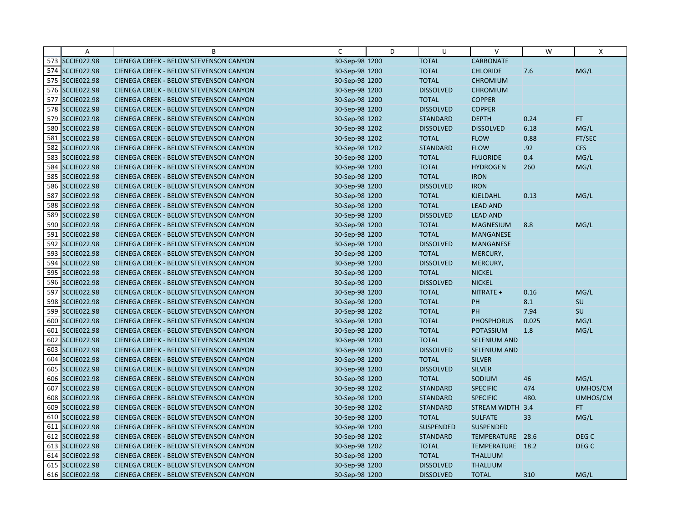|     | A                  | B                                      | C              | D | U                | $\vee$              | W     | X                |
|-----|--------------------|----------------------------------------|----------------|---|------------------|---------------------|-------|------------------|
|     | 573 SCCIE022.98    | CIENEGA CREEK - BELOW STEVENSON CANYON | 30-Sep-98 1200 |   | <b>TOTAL</b>     | <b>CARBONATE</b>    |       |                  |
|     | 574 SCCIE022.98    | CIENEGA CREEK - BELOW STEVENSON CANYON | 30-Sep-98 1200 |   | <b>TOTAL</b>     | <b>CHLORIDE</b>     | 7.6   | MG/L             |
|     | 575 SCCIE022.98    | CIENEGA CREEK - BELOW STEVENSON CANYON | 30-Sep-98 1200 |   | <b>TOTAL</b>     | <b>CHROMIUM</b>     |       |                  |
|     | 576 SCCIE022.98    | CIENEGA CREEK - BELOW STEVENSON CANYON | 30-Sep-98 1200 |   | <b>DISSOLVED</b> | <b>CHROMIUM</b>     |       |                  |
|     | 577 SCCIE022.98    | CIENEGA CREEK - BELOW STEVENSON CANYON | 30-Sep-98 1200 |   | <b>TOTAL</b>     | <b>COPPER</b>       |       |                  |
|     | 578 SCCIE022.98    | CIENEGA CREEK - BELOW STEVENSON CANYON | 30-Sep-98 1200 |   | <b>DISSOLVED</b> | <b>COPPER</b>       |       |                  |
|     | 579 SCCIE022.98    | CIENEGA CREEK - BELOW STEVENSON CANYON | 30-Sep-98 1202 |   | <b>STANDARD</b>  | <b>DEPTH</b>        | 0.24  | FT.              |
|     | 580 SCCIE022.98    | CIENEGA CREEK - BELOW STEVENSON CANYON | 30-Sep-98 1202 |   | <b>DISSOLVED</b> | <b>DISSOLVED</b>    | 6.18  | MG/L             |
| 581 | <b>SCCIE022.98</b> | CIENEGA CREEK - BELOW STEVENSON CANYON | 30-Sep-98 1202 |   | <b>TOTAL</b>     | <b>FLOW</b>         | 0.88  | FT/SEC           |
| 582 | <b>SCCIE022.98</b> | CIENEGA CREEK - BELOW STEVENSON CANYON | 30-Sep-98 1202 |   | <b>STANDARD</b>  | <b>FLOW</b>         | .92   | <b>CFS</b>       |
|     | 583 SCCIE022.98    | CIENEGA CREEK - BELOW STEVENSON CANYON | 30-Sep-98 1200 |   | <b>TOTAL</b>     | <b>FLUORIDE</b>     | 0.4   | MG/L             |
|     | 584 SCCIE022.98    | CIENEGA CREEK - BELOW STEVENSON CANYON | 30-Sep-98 1200 |   | <b>TOTAL</b>     | <b>HYDROGEN</b>     | 260   | MG/L             |
| 585 | <b>SCCIE022.98</b> | CIENEGA CREEK - BELOW STEVENSON CANYON | 30-Sep-98 1200 |   | <b>TOTAL</b>     | <b>IRON</b>         |       |                  |
|     | 586 SCCIE022.98    | CIENEGA CREEK - BELOW STEVENSON CANYON | 30-Sep-98 1200 |   | <b>DISSOLVED</b> | <b>IRON</b>         |       |                  |
| 587 | <b>SCCIE022.98</b> | CIENEGA CREEK - BELOW STEVENSON CANYON | 30-Sep-98 1200 |   | <b>TOTAL</b>     | <b>KJELDAHL</b>     | 0.13  | MG/L             |
| 588 | <b>SCCIE022.98</b> | CIENEGA CREEK - BELOW STEVENSON CANYON | 30-Sep-98 1200 |   | <b>TOTAL</b>     | <b>LEAD AND</b>     |       |                  |
|     | 589 SCCIE022.98    | CIENEGA CREEK - BELOW STEVENSON CANYON | 30-Sep-98 1200 |   | <b>DISSOLVED</b> | <b>LEAD AND</b>     |       |                  |
| 590 | <b>SCCIE022.98</b> | CIENEGA CREEK - BELOW STEVENSON CANYON | 30-Sep-98 1200 |   | <b>TOTAL</b>     | <b>MAGNESIUM</b>    | 8.8   | MG/L             |
| 591 | <b>SCCIE022.98</b> | CIENEGA CREEK - BELOW STEVENSON CANYON | 30-Sep-98 1200 |   | <b>TOTAL</b>     | <b>MANGANESE</b>    |       |                  |
|     | 592 SCCIE022.98    | CIENEGA CREEK - BELOW STEVENSON CANYON | 30-Sep-98 1200 |   | <b>DISSOLVED</b> | <b>MANGANESE</b>    |       |                  |
| 593 | <b>SCCIE022.98</b> | CIENEGA CREEK - BELOW STEVENSON CANYON | 30-Sep-98 1200 |   | <b>TOTAL</b>     | MERCURY,            |       |                  |
|     | 594 SCCIE022.98    | CIENEGA CREEK - BELOW STEVENSON CANYON | 30-Sep-98 1200 |   | <b>DISSOLVED</b> | MERCURY,            |       |                  |
|     | 595 SCCIE022.98    | CIENEGA CREEK - BELOW STEVENSON CANYON | 30-Sep-98 1200 |   | <b>TOTAL</b>     | <b>NICKEL</b>       |       |                  |
|     | 596 SCCIE022.98    | CIENEGA CREEK - BELOW STEVENSON CANYON | 30-Sep-98 1200 |   | <b>DISSOLVED</b> | <b>NICKEL</b>       |       |                  |
|     | 597 SCCIE022.98    | CIENEGA CREEK - BELOW STEVENSON CANYON | 30-Sep-98 1200 |   | <b>TOTAL</b>     | NITRATE +           | 0.16  | MG/L             |
|     | 598 SCCIE022.98    | CIENEGA CREEK - BELOW STEVENSON CANYON | 30-Sep-98 1200 |   | <b>TOTAL</b>     | PH                  | 8.1   | SU               |
| 599 | <b>SCCIE022.98</b> | CIENEGA CREEK - BELOW STEVENSON CANYON | 30-Sep-98 1202 |   | <b>TOTAL</b>     | PH                  | 7.94  | SU               |
|     | 600 SCCIE022.98    | CIENEGA CREEK - BELOW STEVENSON CANYON | 30-Sep-98 1200 |   | <b>TOTAL</b>     | <b>PHOSPHORUS</b>   | 0.025 | MG/L             |
|     | 601 SCCIE022.98    | CIENEGA CREEK - BELOW STEVENSON CANYON | 30-Sep-98 1200 |   | <b>TOTAL</b>     | <b>POTASSIUM</b>    | 1.8   | MG/L             |
|     | 602 SCCIE022.98    | CIENEGA CREEK - BELOW STEVENSON CANYON | 30-Sep-98 1200 |   | <b>TOTAL</b>     | <b>SELENIUM AND</b> |       |                  |
|     | 603 SCCIE022.98    | CIENEGA CREEK - BELOW STEVENSON CANYON | 30-Sep-98 1200 |   | <b>DISSOLVED</b> | <b>SELENIUM AND</b> |       |                  |
|     | 604 SCCIE022.98    | CIENEGA CREEK - BELOW STEVENSON CANYON | 30-Sep-98 1200 |   | <b>TOTAL</b>     | <b>SILVER</b>       |       |                  |
|     | 605 SCCIE022.98    | CIENEGA CREEK - BELOW STEVENSON CANYON | 30-Sep-98 1200 |   | <b>DISSOLVED</b> | <b>SILVER</b>       |       |                  |
|     | 606 SCCIE022.98    | CIENEGA CREEK - BELOW STEVENSON CANYON | 30-Sep-98 1200 |   | <b>TOTAL</b>     | SODIUM              | 46    | MG/L             |
|     | 607 SCCIE022.98    | CIENEGA CREEK - BELOW STEVENSON CANYON | 30-Sep-98 1202 |   | <b>STANDARD</b>  | <b>SPECIFIC</b>     | 474   | UMHOS/CM         |
|     | 608 SCCIE022.98    | CIENEGA CREEK - BELOW STEVENSON CANYON | 30-Sep-98 1200 |   | <b>STANDARD</b>  | <b>SPECIFIC</b>     | 480.  | UMHOS/CM         |
|     | 609 SCCIE022.98    | CIENEGA CREEK - BELOW STEVENSON CANYON | 30-Sep-98 1202 |   | <b>STANDARD</b>  | STREAM WIDTH 3.4    |       | FT.              |
|     | 610 SCCIE022.98    | CIENEGA CREEK - BELOW STEVENSON CANYON | 30-Sep-98 1200 |   | <b>TOTAL</b>     | <b>SULFATE</b>      | 33    | MG/L             |
| 611 | <b>SCCIE022.98</b> | CIENEGA CREEK - BELOW STEVENSON CANYON | 30-Sep-98 1200 |   | <b>SUSPENDED</b> | <b>SUSPENDED</b>    |       |                  |
|     | 612 SCCIE022.98    | CIENEGA CREEK - BELOW STEVENSON CANYON | 30-Sep-98 1202 |   | <b>STANDARD</b>  | TEMPERATURE 28.6    |       | DEG <sub>C</sub> |
|     | 613 SCCIE022.98    | CIENEGA CREEK - BELOW STEVENSON CANYON | 30-Sep-98 1202 |   | <b>TOTAL</b>     | TEMPERATURE 18.2    |       | DEG <sub>C</sub> |
|     | 614 SCCIE022.98    | CIENEGA CREEK - BELOW STEVENSON CANYON | 30-Sep-98 1200 |   | <b>TOTAL</b>     | <b>THALLIUM</b>     |       |                  |
|     | 615 SCCIE022.98    | CIENEGA CREEK - BELOW STEVENSON CANYON | 30-Sep-98 1200 |   | <b>DISSOLVED</b> | <b>THALLIUM</b>     |       |                  |
|     | 616 SCCIE022.98    | CIENEGA CREEK - BELOW STEVENSON CANYON | 30-Sep-98 1200 |   | <b>DISSOLVED</b> | <b>TOTAL</b>        | 310   | MG/L             |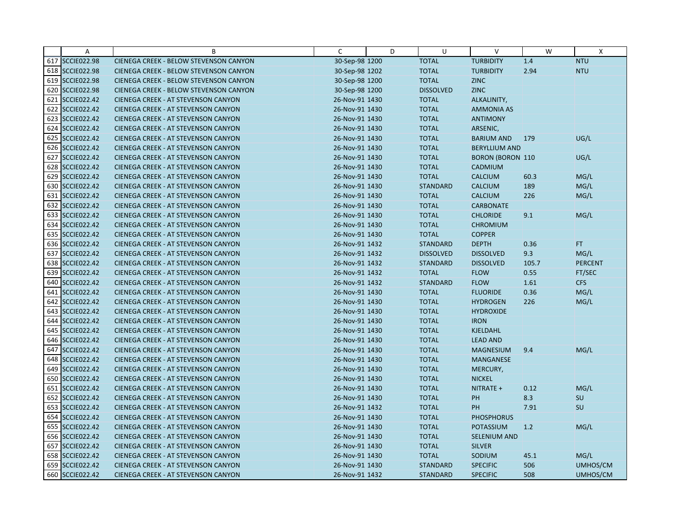|     | A                  | B                                          | C              | D | U                | $\vee$                  | W     | $\mathsf{x}$   |
|-----|--------------------|--------------------------------------------|----------------|---|------------------|-------------------------|-------|----------------|
|     | 617 SCCIE022.98    | CIENEGA CREEK - BELOW STEVENSON CANYON     | 30-Sep-98 1200 |   | <b>TOTAL</b>     | <b>TURBIDITY</b>        | 1.4   | <b>NTU</b>     |
|     | 618 SCCIE022.98    | CIENEGA CREEK - BELOW STEVENSON CANYON     | 30-Sep-98 1202 |   | <b>TOTAL</b>     | <b>TURBIDITY</b>        | 2.94  | <b>NTU</b>     |
|     | 619 SCCIE022.98    | CIENEGA CREEK - BELOW STEVENSON CANYON     | 30-Sep-98 1200 |   | <b>TOTAL</b>     | <b>ZINC</b>             |       |                |
|     | 620 SCCIE022.98    | CIENEGA CREEK - BELOW STEVENSON CANYON     | 30-Sep-98 1200 |   | <b>DISSOLVED</b> | <b>ZINC</b>             |       |                |
|     | 621 SCCIE022.42    | CIENEGA CREEK - AT STEVENSON CANYON        | 26-Nov-91 1430 |   | <b>TOTAL</b>     | ALKALINITY,             |       |                |
|     | 622 SCCIE022.42    | <b>CIENEGA CREEK - AT STEVENSON CANYON</b> | 26-Nov-91 1430 |   | <b>TOTAL</b>     | <b>AMMONIA AS</b>       |       |                |
|     | 623 SCCIE022.42    | <b>CIENEGA CREEK - AT STEVENSON CANYON</b> | 26-Nov-91 1430 |   | <b>TOTAL</b>     | <b>ANTIMONY</b>         |       |                |
|     | 624 SCCIE022.42    | <b>CIENEGA CREEK - AT STEVENSON CANYON</b> | 26-Nov-91 1430 |   | <b>TOTAL</b>     | ARSENIC,                |       |                |
|     | 625 SCCIE022.42    | CIENEGA CREEK - AT STEVENSON CANYON        | 26-Nov-91 1430 |   | <b>TOTAL</b>     | <b>BARIUM AND</b>       | 179   | UG/L           |
|     | 626 SCCIE022.42    | <b>CIENEGA CREEK - AT STEVENSON CANYON</b> | 26-Nov-91 1430 |   | <b>TOTAL</b>     | <b>BERYLLIUM AND</b>    |       |                |
|     | 627 SCCIE022.42    | <b>CIENEGA CREEK - AT STEVENSON CANYON</b> | 26-Nov-91 1430 |   | <b>TOTAL</b>     | <b>BORON (BORON 110</b> |       | UG/L           |
|     | 628 SCCIE022.42    | CIENEGA CREEK - AT STEVENSON CANYON        | 26-Nov-91 1430 |   | <b>TOTAL</b>     | CADMIUM                 |       |                |
|     | 629 SCCIE022.42    | CIENEGA CREEK - AT STEVENSON CANYON        | 26-Nov-91 1430 |   | <b>TOTAL</b>     | <b>CALCIUM</b>          | 60.3  | MG/L           |
|     | 630 SCCIE022.42    | <b>CIENEGA CREEK - AT STEVENSON CANYON</b> | 26-Nov-91 1430 |   | <b>STANDARD</b>  | <b>CALCIUM</b>          | 189   | MG/L           |
|     | 631 SCCIE022.42    | <b>CIENEGA CREEK - AT STEVENSON CANYON</b> | 26-Nov-91 1430 |   | <b>TOTAL</b>     | <b>CALCIUM</b>          | 226   | MG/L           |
| 632 | <b>SCCIE022.42</b> | <b>CIENEGA CREEK - AT STEVENSON CANYON</b> | 26-Nov-91 1430 |   | <b>TOTAL</b>     | <b>CARBONATE</b>        |       |                |
|     | 633 SCCIE022.42    | CIENEGA CREEK - AT STEVENSON CANYON        | 26-Nov-91 1430 |   | <b>TOTAL</b>     | <b>CHLORIDE</b>         | 9.1   | MG/L           |
|     | 634 SCCIE022.42    | <b>CIENEGA CREEK - AT STEVENSON CANYON</b> | 26-Nov-91 1430 |   | <b>TOTAL</b>     | <b>CHROMIUM</b>         |       |                |
|     | 635 SCCIE022.42    | <b>CIENEGA CREEK - AT STEVENSON CANYON</b> | 26-Nov-91 1430 |   | <b>TOTAL</b>     | <b>COPPER</b>           |       |                |
|     | 636 SCCIE022.42    | CIENEGA CREEK - AT STEVENSON CANYON        | 26-Nov-91 1432 |   | <b>STANDARD</b>  | <b>DEPTH</b>            | 0.36  | FT.            |
| 637 | <b>SCCIE022.42</b> | <b>CIENEGA CREEK - AT STEVENSON CANYON</b> | 26-Nov-91 1432 |   | <b>DISSOLVED</b> | <b>DISSOLVED</b>        | 9.3   | MG/L           |
|     | 638 SCCIE022.42    | <b>CIENEGA CREEK - AT STEVENSON CANYON</b> | 26-Nov-91 1432 |   | <b>STANDARD</b>  | <b>DISSOLVED</b>        | 105.7 | <b>PERCENT</b> |
|     | 639 SCCIE022.42    | <b>CIENEGA CREEK - AT STEVENSON CANYON</b> | 26-Nov-91 1432 |   | <b>TOTAL</b>     | <b>FLOW</b>             | 0.55  | FT/SEC         |
|     | 640 SCCIE022.42    | <b>CIENEGA CREEK - AT STEVENSON CANYON</b> | 26-Nov-91 1432 |   | <b>STANDARD</b>  | <b>FLOW</b>             | 1.61  | <b>CFS</b>     |
|     | 641 SCCIE022.42    | <b>CIENEGA CREEK - AT STEVENSON CANYON</b> | 26-Nov-91 1430 |   | <b>TOTAL</b>     | <b>FLUORIDE</b>         | 0.36  | MG/L           |
|     | 642 SCCIE022.42    | <b>CIENEGA CREEK - AT STEVENSON CANYON</b> | 26-Nov-91 1430 |   | <b>TOTAL</b>     | <b>HYDROGEN</b>         | 226   | MG/L           |
|     | 643 SCCIE022.42    | <b>CIENEGA CREEK - AT STEVENSON CANYON</b> | 26-Nov-91 1430 |   | <b>TOTAL</b>     | <b>HYDROXIDE</b>        |       |                |
|     | 644 SCCIE022.42    | CIENEGA CREEK - AT STEVENSON CANYON        | 26-Nov-91 1430 |   | <b>TOTAL</b>     | <b>IRON</b>             |       |                |
|     | 645 SCCIE022.42    | <b>CIENEGA CREEK - AT STEVENSON CANYON</b> | 26-Nov-91 1430 |   | <b>TOTAL</b>     | <b>KJELDAHL</b>         |       |                |
|     | 646 SCCIE022.42    | <b>CIENEGA CREEK - AT STEVENSON CANYON</b> | 26-Nov-91 1430 |   | <b>TOTAL</b>     | <b>LEAD AND</b>         |       |                |
|     | 647 SCCIE022.42    | <b>CIENEGA CREEK - AT STEVENSON CANYON</b> | 26-Nov-91 1430 |   | <b>TOTAL</b>     | <b>MAGNESIUM</b>        | 9.4   | MG/L           |
|     | 648 SCCIE022.42    | <b>CIENEGA CREEK - AT STEVENSON CANYON</b> | 26-Nov-91 1430 |   | <b>TOTAL</b>     | <b>MANGANESE</b>        |       |                |
|     | 649 SCCIE022.42    | <b>CIENEGA CREEK - AT STEVENSON CANYON</b> | 26-Nov-91 1430 |   | <b>TOTAL</b>     | MERCURY,                |       |                |
|     | 650 SCCIE022.42    | <b>CIENEGA CREEK - AT STEVENSON CANYON</b> | 26-Nov-91 1430 |   | <b>TOTAL</b>     | <b>NICKEL</b>           |       |                |
|     | 651 SCCIE022.42    | <b>CIENEGA CREEK - AT STEVENSON CANYON</b> | 26-Nov-91 1430 |   | <b>TOTAL</b>     | NITRATE +               | 0.12  | MG/L           |
|     | 652 SCCIE022.42    | <b>CIENEGA CREEK - AT STEVENSON CANYON</b> | 26-Nov-91 1430 |   | <b>TOTAL</b>     | PH                      | 8.3   | SU             |
|     | 653 SCCIE022.42    | <b>CIENEGA CREEK - AT STEVENSON CANYON</b> | 26-Nov-91 1432 |   | <b>TOTAL</b>     | PH                      | 7.91  | SU             |
|     | 654 SCCIE022.42    | <b>CIENEGA CREEK - AT STEVENSON CANYON</b> | 26-Nov-91 1430 |   | <b>TOTAL</b>     | <b>PHOSPHORUS</b>       |       |                |
|     | 655 SCCIE022.42    | CIENEGA CREEK - AT STEVENSON CANYON        | 26-Nov-91 1430 |   | <b>TOTAL</b>     | POTASSIUM               | 1.2   | MG/L           |
|     | 656 SCCIE022.42    | <b>CIENEGA CREEK - AT STEVENSON CANYON</b> | 26-Nov-91 1430 |   | <b>TOTAL</b>     | <b>SELENIUM AND</b>     |       |                |
|     | 657 SCCIE022.42    | <b>CIENEGA CREEK - AT STEVENSON CANYON</b> | 26-Nov-91 1430 |   | <b>TOTAL</b>     | <b>SILVER</b>           |       |                |
|     | 658 SCCIE022.42    | <b>CIENEGA CREEK - AT STEVENSON CANYON</b> | 26-Nov-91 1430 |   | <b>TOTAL</b>     | SODIUM                  | 45.1  | MG/L           |
|     | 659 SCCIE022.42    | <b>CIENEGA CREEK - AT STEVENSON CANYON</b> | 26-Nov-91 1430 |   | <b>STANDARD</b>  | <b>SPECIFIC</b>         | 506   | UMHOS/CM       |
|     | 660 SCCIE022.42    | CIENEGA CREEK - AT STEVENSON CANYON        | 26-Nov-91 1432 |   | <b>STANDARD</b>  | <b>SPECIFIC</b>         | 508   | UMHOS/CM       |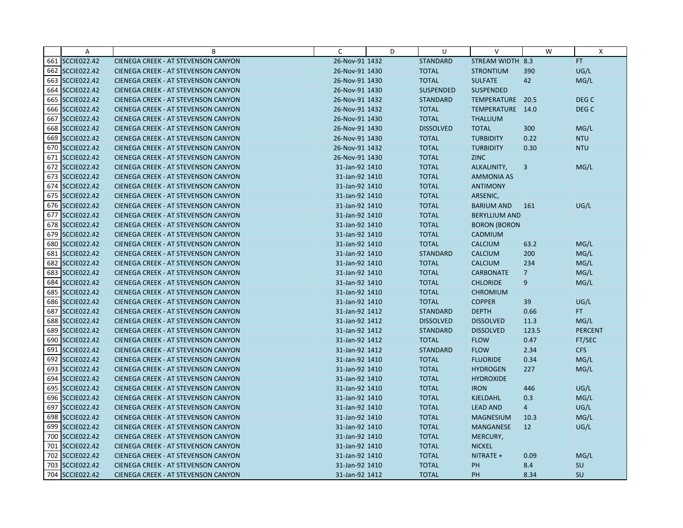|     | $\overline{A}$     | B                                          | C              | D | U                | $\vee$               | W              | X                |
|-----|--------------------|--------------------------------------------|----------------|---|------------------|----------------------|----------------|------------------|
|     | 661 SCCIE022.42    | CIENEGA CREEK - AT STEVENSON CANYON        | 26-Nov-91 1432 |   | <b>STANDARD</b>  | STREAM WIDTH 8.3     |                | FT.              |
|     | 662 SCCIE022.42    | CIENEGA CREEK - AT STEVENSON CANYON        | 26-Nov-91 1430 |   | <b>TOTAL</b>     | <b>STRONTIUM</b>     | 390            | UG/L             |
|     | 663 SCCIE022.42    | <b>CIENEGA CREEK - AT STEVENSON CANYON</b> | 26-Nov-91 1430 |   | <b>TOTAL</b>     | <b>SULFATE</b>       | 42             | MG/L             |
|     | 664 SCCIE022.42    | <b>CIENEGA CREEK - AT STEVENSON CANYON</b> | 26-Nov-91 1430 |   | <b>SUSPENDED</b> | <b>SUSPENDED</b>     |                |                  |
|     | 665 SCCIE022.42    | <b>CIENEGA CREEK - AT STEVENSON CANYON</b> | 26-Nov-91 1432 |   | <b>STANDARD</b>  | TEMPERATURE          | 20.5           | DEG C            |
|     | 666 SCCIE022.42    | <b>CIENEGA CREEK - AT STEVENSON CANYON</b> | 26-Nov-91 1432 |   | <b>TOTAL</b>     | TEMPERATURE 14.0     |                | DEG <sub>C</sub> |
|     | 667 SCCIE022.42    | <b>CIENEGA CREEK - AT STEVENSON CANYON</b> | 26-Nov-91 1430 |   | <b>TOTAL</b>     | <b>THALLIUM</b>      |                |                  |
|     | 668 SCCIE022.42    | <b>CIENEGA CREEK - AT STEVENSON CANYON</b> | 26-Nov-91 1430 |   | <b>DISSOLVED</b> | <b>TOTAL</b>         | 300            | MG/L             |
|     | 669 SCCIE022.42    | <b>CIENEGA CREEK - AT STEVENSON CANYON</b> | 26-Nov-91 1430 |   | <b>TOTAL</b>     | <b>TURBIDITY</b>     | 0.22           | <b>NTU</b>       |
|     | 670 SCCIE022.42    | <b>CIENEGA CREEK - AT STEVENSON CANYON</b> | 26-Nov-91 1432 |   | <b>TOTAL</b>     | <b>TURBIDITY</b>     | 0.30           | <b>NTU</b>       |
|     | 671 SCCIE022.42    | <b>CIENEGA CREEK - AT STEVENSON CANYON</b> | 26-Nov-91 1430 |   | <b>TOTAL</b>     | <b>ZINC</b>          |                |                  |
|     | 672 SCCIE022.42    | <b>CIENEGA CREEK - AT STEVENSON CANYON</b> | 31-Jan-92 1410 |   | <b>TOTAL</b>     | ALKALINITY,          | 3              | MG/L             |
|     | 673 SCCIE022.42    | CIENEGA CREEK - AT STEVENSON CANYON        | 31-Jan-92 1410 |   | <b>TOTAL</b>     | <b>AMMONIA AS</b>    |                |                  |
|     | 674 SCCIE022.42    | <b>CIENEGA CREEK - AT STEVENSON CANYON</b> | 31-Jan-92 1410 |   | <b>TOTAL</b>     | <b>ANTIMONY</b>      |                |                  |
|     | 675 SCCIE022.42    | <b>CIENEGA CREEK - AT STEVENSON CANYON</b> | 31-Jan-92 1410 |   | <b>TOTAL</b>     | ARSENIC,             |                |                  |
|     | 676 SCCIE022.42    | <b>CIENEGA CREEK - AT STEVENSON CANYON</b> | 31-Jan-92 1410 |   | <b>TOTAL</b>     | <b>BARIUM AND</b>    | 161            | UG/L             |
|     | 677 SCCIE022.42    | CIENEGA CREEK - AT STEVENSON CANYON        | 31-Jan-92 1410 |   | <b>TOTAL</b>     | <b>BERYLLIUM AND</b> |                |                  |
|     | 678 SCCIE022.42    | <b>CIENEGA CREEK - AT STEVENSON CANYON</b> | 31-Jan-92 1410 |   | <b>TOTAL</b>     | <b>BORON (BORON</b>  |                |                  |
|     | 679 SCCIE022.42    | <b>CIENEGA CREEK - AT STEVENSON CANYON</b> | 31-Jan-92 1410 |   | <b>TOTAL</b>     | CADMIUM              |                |                  |
|     | 680 SCCIE022.42    | CIENEGA CREEK - AT STEVENSON CANYON        | 31-Jan-92 1410 |   | <b>TOTAL</b>     | <b>CALCIUM</b>       | 63.2           | MG/L             |
|     | 681 SCCIE022.42    | <b>CIENEGA CREEK - AT STEVENSON CANYON</b> | 31-Jan-92 1410 |   | <b>STANDARD</b>  | <b>CALCIUM</b>       | 200            | MG/L             |
|     | 682 SCCIE022.42    | <b>CIENEGA CREEK - AT STEVENSON CANYON</b> | 31-Jan-92 1410 |   | <b>TOTAL</b>     | <b>CALCIUM</b>       | 234            | MG/L             |
|     | 683 SCCIE022.42    | <b>CIENEGA CREEK - AT STEVENSON CANYON</b> | 31-Jan-92 1410 |   | <b>TOTAL</b>     | <b>CARBONATE</b>     | $\overline{7}$ | MG/L             |
|     | 684 SCCIE022.42    | <b>CIENEGA CREEK - AT STEVENSON CANYON</b> | 31-Jan-92 1410 |   | <b>TOTAL</b>     | <b>CHLORIDE</b>      | 9              | MG/L             |
|     | 685 SCCIE022.42    | CIENEGA CREEK - AT STEVENSON CANYON        | 31-Jan-92 1410 |   | <b>TOTAL</b>     | <b>CHROMIUM</b>      |                |                  |
|     | 686 SCCIE022.42    | <b>CIENEGA CREEK - AT STEVENSON CANYON</b> | 31-Jan-92 1410 |   | <b>TOTAL</b>     | <b>COPPER</b>        | 39             | UG/L             |
| 687 | <b>SCCIE022.42</b> | <b>CIENEGA CREEK - AT STEVENSON CANYON</b> | 31-Jan-92 1412 |   | <b>STANDARD</b>  | <b>DEPTH</b>         | 0.66           | FT.              |
|     | 688 SCCIE022.42    | CIENEGA CREEK - AT STEVENSON CANYON        | 31-Jan-92 1412 |   | <b>DISSOLVED</b> | <b>DISSOLVED</b>     | 11.3           | MG/L             |
|     | 689 SCCIE022.42    | <b>CIENEGA CREEK - AT STEVENSON CANYON</b> | 31-Jan-92 1412 |   | <b>STANDARD</b>  | <b>DISSOLVED</b>     | 123.5          | <b>PERCENT</b>   |
|     | 690 SCCIE022.42    | <b>CIENEGA CREEK - AT STEVENSON CANYON</b> | 31-Jan-92 1412 |   | <b>TOTAL</b>     | <b>FLOW</b>          | 0.47           | FT/SEC           |
|     | 691 SCCIE022.42    | <b>CIENEGA CREEK - AT STEVENSON CANYON</b> | 31-Jan-92 1412 |   | <b>STANDARD</b>  | <b>FLOW</b>          | 2.34           | <b>CFS</b>       |
|     | 692 SCCIE022.42    | <b>CIENEGA CREEK - AT STEVENSON CANYON</b> | 31-Jan-92 1410 |   | <b>TOTAL</b>     | <b>FLUORIDE</b>      | 0.34           | MG/L             |
|     | 693 SCCIE022.42    | <b>CIENEGA CREEK - AT STEVENSON CANYON</b> | 31-Jan-92 1410 |   | <b>TOTAL</b>     | <b>HYDROGEN</b>      | 227            | MG/L             |
|     | 694 SCCIE022.42    | <b>CIENEGA CREEK - AT STEVENSON CANYON</b> | 31-Jan-92 1410 |   | <b>TOTAL</b>     | <b>HYDROXIDE</b>     |                |                  |
|     | 695 SCCIE022.42    | <b>CIENEGA CREEK - AT STEVENSON CANYON</b> | 31-Jan-92 1410 |   | <b>TOTAL</b>     | <b>IRON</b>          | 446            | UG/L             |
|     | 696 SCCIE022.42    | <b>CIENEGA CREEK - AT STEVENSON CANYON</b> | 31-Jan-92 1410 |   | <b>TOTAL</b>     | <b>KJELDAHL</b>      | 0.3            | MG/L             |
|     | 697 SCCIE022.42    | <b>CIENEGA CREEK - AT STEVENSON CANYON</b> | 31-Jan-92 1410 |   | <b>TOTAL</b>     | <b>LEAD AND</b>      | $\overline{4}$ | UG/L             |
|     | 698 SCCIE022.42    | <b>CIENEGA CREEK - AT STEVENSON CANYON</b> | 31-Jan-92 1410 |   | <b>TOTAL</b>     | <b>MAGNESIUM</b>     | 10.3           | MG/L             |
|     | 699 SCCIE022.42    | CIENEGA CREEK - AT STEVENSON CANYON        | 31-Jan-92 1410 |   | <b>TOTAL</b>     | <b>MANGANESE</b>     | 12             | UG/L             |
|     | 700 SCCIE022.42    | <b>CIENEGA CREEK - AT STEVENSON CANYON</b> | 31-Jan-92 1410 |   | <b>TOTAL</b>     | MERCURY,             |                |                  |
|     | 701 SCCIE022.42    | <b>CIENEGA CREEK - AT STEVENSON CANYON</b> | 31-Jan-92 1410 |   | <b>TOTAL</b>     | <b>NICKEL</b>        |                |                  |
|     | 702 SCCIE022.42    | <b>CIENEGA CREEK - AT STEVENSON CANYON</b> | 31-Jan-92 1410 |   | <b>TOTAL</b>     | NITRATE +            | 0.09           | MG/L             |
|     | 703 SCCIE022.42    | CIENEGA CREEK - AT STEVENSON CANYON        | 31-Jan-92 1410 |   | <b>TOTAL</b>     | PH                   | 8.4            | SU               |
|     | 704 SCCIE022.42    | CIENEGA CREEK - AT STEVENSON CANYON        | 31-Jan-92 1412 |   | <b>TOTAL</b>     | PH                   | 8.34           | SU               |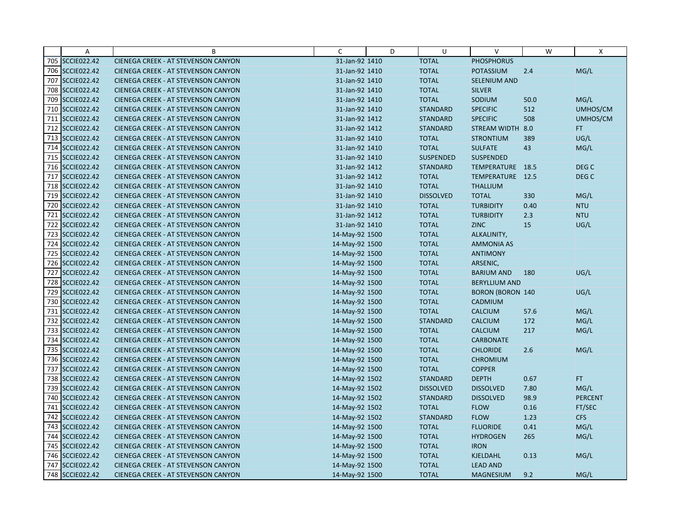|     | $\overline{A}$     | B                                          | C              | D | U                | $\vee$                  | W    | X                |
|-----|--------------------|--------------------------------------------|----------------|---|------------------|-------------------------|------|------------------|
|     | 705 SCCIE022.42    | CIENEGA CREEK - AT STEVENSON CANYON        | 31-Jan-92 1410 |   | <b>TOTAL</b>     | <b>PHOSPHORUS</b>       |      |                  |
|     | 706 SCCIE022.42    | <b>CIENEGA CREEK - AT STEVENSON CANYON</b> | 31-Jan-92 1410 |   | <b>TOTAL</b>     | POTASSIUM               | 2.4  | MG/L             |
|     | 707 SCCIE022.42    | <b>CIENEGA CREEK - AT STEVENSON CANYON</b> | 31-Jan-92 1410 |   | <b>TOTAL</b>     | <b>SELENIUM AND</b>     |      |                  |
|     | 708 SCCIE022.42    | <b>CIENEGA CREEK - AT STEVENSON CANYON</b> | 31-Jan-92 1410 |   | <b>TOTAL</b>     | <b>SILVER</b>           |      |                  |
|     | 709 SCCIE022.42    | <b>CIENEGA CREEK - AT STEVENSON CANYON</b> | 31-Jan-92 1410 |   | <b>TOTAL</b>     | SODIUM                  | 50.0 | MG/L             |
|     | 710 SCCIE022.42    | <b>CIENEGA CREEK - AT STEVENSON CANYON</b> | 31-Jan-92 1410 |   | <b>STANDARD</b>  | <b>SPECIFIC</b>         | 512  | UMHOS/CM         |
|     | 711 SCCIE022.42    | <b>CIENEGA CREEK - AT STEVENSON CANYON</b> | 31-Jan-92 1412 |   | <b>STANDARD</b>  | <b>SPECIFIC</b>         | 508  | UMHOS/CM         |
|     | 712 SCCIE022.42    | <b>CIENEGA CREEK - AT STEVENSON CANYON</b> | 31-Jan-92 1412 |   | <b>STANDARD</b>  | STREAM WIDTH 8.0        |      | FT.              |
|     | 713 SCCIE022.42    | CIENEGA CREEK - AT STEVENSON CANYON        | 31-Jan-92 1410 |   | <b>TOTAL</b>     | <b>STRONTIUM</b>        | 389  | UG/L             |
|     | 714 SCCIE022.42    | <b>CIENEGA CREEK - AT STEVENSON CANYON</b> | 31-Jan-92 1410 |   | <b>TOTAL</b>     | <b>SULFATE</b>          | 43   | MG/L             |
|     | 715 SCCIE022.42    | <b>CIENEGA CREEK - AT STEVENSON CANYON</b> | 31-Jan-92 1410 |   | <b>SUSPENDED</b> | <b>SUSPENDED</b>        |      |                  |
|     | 716 SCCIE022.42    | CIENEGA CREEK - AT STEVENSON CANYON        | 31-Jan-92 1412 |   | <b>STANDARD</b>  | TEMPERATURE             | 18.5 | DEG C            |
|     | 717 SCCIE022.42    | CIENEGA CREEK - AT STEVENSON CANYON        | 31-Jan-92 1412 |   | <b>TOTAL</b>     | TEMPERATURE 12.5        |      | DEG <sub>C</sub> |
|     | 718 SCCIE022.42    | <b>CIENEGA CREEK - AT STEVENSON CANYON</b> | 31-Jan-92 1410 |   | <b>TOTAL</b>     | <b>THALLIUM</b>         |      |                  |
|     | 719 SCCIE022.42    | <b>CIENEGA CREEK - AT STEVENSON CANYON</b> | 31-Jan-92 1410 |   | <b>DISSOLVED</b> | <b>TOTAL</b>            | 330  | MG/L             |
|     | 720 SCCIE022.42    | <b>CIENEGA CREEK - AT STEVENSON CANYON</b> | 31-Jan-92 1410 |   | <b>TOTAL</b>     | <b>TURBIDITY</b>        | 0.40 | <b>NTU</b>       |
|     | 721 SCCIE022.42    | CIENEGA CREEK - AT STEVENSON CANYON        | 31-Jan-92 1412 |   | <b>TOTAL</b>     | <b>TURBIDITY</b>        | 2.3  | <b>NTU</b>       |
|     | 722 SCCIE022.42    | CIENEGA CREEK - AT STEVENSON CANYON        | 31-Jan-92 1410 |   | <b>TOTAL</b>     | <b>ZINC</b>             | 15   | UG/L             |
|     | 723 SCCIE022.42    | <b>CIENEGA CREEK - AT STEVENSON CANYON</b> | 14-May-92 1500 |   | <b>TOTAL</b>     | ALKALINITY,             |      |                  |
|     | 724 SCCIE022.42    | CIENEGA CREEK - AT STEVENSON CANYON        | 14-May-92 1500 |   | <b>TOTAL</b>     | <b>AMMONIA AS</b>       |      |                  |
|     | 725 SCCIE022.42    | CIENEGA CREEK - AT STEVENSON CANYON        | 14-May-92 1500 |   | <b>TOTAL</b>     | <b>ANTIMONY</b>         |      |                  |
|     | 726 SCCIE022.42    | <b>CIENEGA CREEK - AT STEVENSON CANYON</b> | 14-May-92 1500 |   | <b>TOTAL</b>     | ARSENIC,                |      |                  |
|     | 727 SCCIE022.42    | CIENEGA CREEK - AT STEVENSON CANYON        | 14-May-92 1500 |   | <b>TOTAL</b>     | <b>BARIUM AND</b>       | 180  | UG/L             |
|     | 728 SCCIE022.42    | <b>CIENEGA CREEK - AT STEVENSON CANYON</b> | 14-May-92 1500 |   | <b>TOTAL</b>     | <b>BERYLLIUM AND</b>    |      |                  |
|     | 729 SCCIE022.42    | CIENEGA CREEK - AT STEVENSON CANYON        | 14-May-92 1500 |   | <b>TOTAL</b>     | <b>BORON (BORON 140</b> |      | UG/L             |
|     | 730 SCCIE022.42    | <b>CIENEGA CREEK - AT STEVENSON CANYON</b> | 14-May-92 1500 |   | <b>TOTAL</b>     | CADMIUM                 |      |                  |
|     | 731 SCCIE022.42    | CIENEGA CREEK - AT STEVENSON CANYON        | 14-May-92 1500 |   | <b>TOTAL</b>     | <b>CALCIUM</b>          | 57.6 | MG/L             |
|     | 732 SCCIE022.42    | CIENEGA CREEK - AT STEVENSON CANYON        | 14-May-92 1500 |   | <b>STANDARD</b>  | <b>CALCIUM</b>          | 172  | MG/L             |
|     | 733 SCCIE022.42    | <b>CIENEGA CREEK - AT STEVENSON CANYON</b> | 14-May-92 1500 |   | <b>TOTAL</b>     | <b>CALCIUM</b>          | 217  | MG/L             |
|     | 734 SCCIE022.42    | <b>CIENEGA CREEK - AT STEVENSON CANYON</b> | 14-May-92 1500 |   | <b>TOTAL</b>     | <b>CARBONATE</b>        |      |                  |
|     | 735 SCCIE022.42    | CIENEGA CREEK - AT STEVENSON CANYON        | 14-May-92 1500 |   | <b>TOTAL</b>     | <b>CHLORIDE</b>         | 2.6  | MG/L             |
|     | 736 SCCIE022.42    | <b>CIENEGA CREEK - AT STEVENSON CANYON</b> | 14-May-92 1500 |   | <b>TOTAL</b>     | <b>CHROMIUM</b>         |      |                  |
|     | 737 SCCIE022.42    | CIENEGA CREEK - AT STEVENSON CANYON        | 14-May-92 1500 |   | <b>TOTAL</b>     | <b>COPPER</b>           |      |                  |
|     | 738 SCCIE022.42    | <b>CIENEGA CREEK - AT STEVENSON CANYON</b> | 14-May-92 1502 |   | <b>STANDARD</b>  | <b>DEPTH</b>            | 0.67 | FT.              |
|     | 739 SCCIE022.42    | CIENEGA CREEK - AT STEVENSON CANYON        | 14-May-92 1502 |   | <b>DISSOLVED</b> | <b>DISSOLVED</b>        | 7.80 | MG/L             |
|     | 740 SCCIE022.42    | <b>CIENEGA CREEK - AT STEVENSON CANYON</b> | 14-May-92 1502 |   | <b>STANDARD</b>  | <b>DISSOLVED</b>        | 98.9 | <b>PERCENT</b>   |
|     | 741 SCCIE022.42    | <b>CIENEGA CREEK - AT STEVENSON CANYON</b> | 14-May-92 1502 |   | <b>TOTAL</b>     | <b>FLOW</b>             | 0.16 | FT/SEC           |
|     | 742 SCCIE022.42    | CIENEGA CREEK - AT STEVENSON CANYON        | 14-May-92 1502 |   | <b>STANDARD</b>  | <b>FLOW</b>             | 1.23 | <b>CFS</b>       |
|     | 743 SCCIE022.42    | CIENEGA CREEK - AT STEVENSON CANYON        | 14-May-92 1500 |   | <b>TOTAL</b>     | <b>FLUORIDE</b>         | 0.41 | MG/L             |
|     | 744 SCCIE022.42    | <b>CIENEGA CREEK - AT STEVENSON CANYON</b> | 14-May-92 1500 |   | <b>TOTAL</b>     | <b>HYDROGEN</b>         | 265  | MG/L             |
|     | 745 SCCIE022.42    | <b>CIENEGA CREEK - AT STEVENSON CANYON</b> | 14-May-92 1500 |   | <b>TOTAL</b>     | <b>IRON</b>             |      |                  |
| 746 | <b>SCCIE022.42</b> | CIENEGA CREEK - AT STEVENSON CANYON        | 14-May-92 1500 |   | <b>TOTAL</b>     | KJELDAHL                | 0.13 | MG/L             |
|     | 747 SCCIE022.42    | CIENEGA CREEK - AT STEVENSON CANYON        | 14-May-92 1500 |   | <b>TOTAL</b>     | <b>LEAD AND</b>         |      |                  |
|     | 748 SCCIE022.42    | CIENEGA CREEK - AT STEVENSON CANYON        | 14-May-92 1500 |   | <b>TOTAL</b>     | <b>MAGNESIUM</b>        | 9.2  | MG/L             |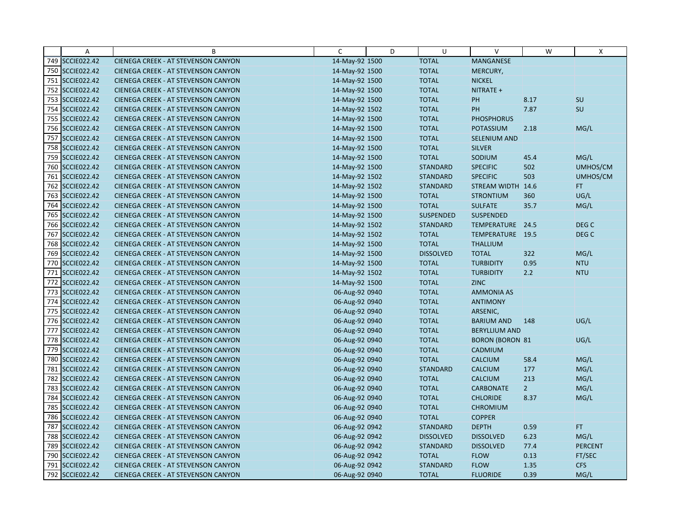|     | A                  | B                                          | C              | D | U                | $\vee$                 | W              | X                |
|-----|--------------------|--------------------------------------------|----------------|---|------------------|------------------------|----------------|------------------|
|     | 749 SCCIE022.42    | CIENEGA CREEK - AT STEVENSON CANYON        | 14-May-92 1500 |   | <b>TOTAL</b>     | MANGANESE              |                |                  |
|     | 750 SCCIE022.42    | <b>CIENEGA CREEK - AT STEVENSON CANYON</b> | 14-May-92 1500 |   | <b>TOTAL</b>     | MERCURY,               |                |                  |
|     | 751 SCCIE022.42    | <b>CIENEGA CREEK - AT STEVENSON CANYON</b> | 14-May-92 1500 |   | <b>TOTAL</b>     | <b>NICKEL</b>          |                |                  |
|     | 752 SCCIE022.42    | <b>CIENEGA CREEK - AT STEVENSON CANYON</b> | 14-May-92 1500 |   | <b>TOTAL</b>     | NITRATE +              |                |                  |
|     | 753 SCCIE022.42    | CIENEGA CREEK - AT STEVENSON CANYON        | 14-May-92 1500 |   | <b>TOTAL</b>     | PH                     | 8.17           | SU               |
|     | 754 SCCIE022.42    | CIENEGA CREEK - AT STEVENSON CANYON        | 14-May-92 1502 |   | <b>TOTAL</b>     | PH                     | 7.87           | SU               |
|     | 755 SCCIE022.42    | <b>CIENEGA CREEK - AT STEVENSON CANYON</b> | 14-May-92 1500 |   | <b>TOTAL</b>     | <b>PHOSPHORUS</b>      |                |                  |
|     | 756 SCCIE022.42    | CIENEGA CREEK - AT STEVENSON CANYON        | 14-May-92 1500 |   | <b>TOTAL</b>     | <b>POTASSIUM</b>       | 2.18           | MG/L             |
|     | 757 SCCIE022.42    | <b>CIENEGA CREEK - AT STEVENSON CANYON</b> | 14-May-92 1500 |   | <b>TOTAL</b>     | SELENIUM AND           |                |                  |
|     | 758 SCCIE022.42    | <b>CIENEGA CREEK - AT STEVENSON CANYON</b> | 14-May-92 1500 |   | <b>TOTAL</b>     | <b>SILVER</b>          |                |                  |
|     | 759 SCCIE022.42    | CIENEGA CREEK - AT STEVENSON CANYON        | 14-May-92 1500 |   | <b>TOTAL</b>     | SODIUM                 | 45.4           | MG/L             |
|     | 760 SCCIE022.42    | <b>CIENEGA CREEK - AT STEVENSON CANYON</b> | 14-May-92 1500 |   | <b>STANDARD</b>  | <b>SPECIFIC</b>        | 502            | UMHOS/CM         |
|     | 761 SCCIE022.42    | <b>CIENEGA CREEK - AT STEVENSON CANYON</b> | 14-May-92 1502 |   | <b>STANDARD</b>  | <b>SPECIFIC</b>        | 503            | UMHOS/CM         |
|     | 762 SCCIE022.42    | <b>CIENEGA CREEK - AT STEVENSON CANYON</b> | 14-May-92 1502 |   | <b>STANDARD</b>  | <b>STREAM WIDTH</b>    | 14.6           | FT.              |
|     | 763 SCCIE022.42    | <b>CIENEGA CREEK - AT STEVENSON CANYON</b> | 14-May-92 1500 |   | <b>TOTAL</b>     | <b>STRONTIUM</b>       | 360            | UG/L             |
|     | 764 SCCIE022.42    | <b>CIENEGA CREEK - AT STEVENSON CANYON</b> | 14-May-92 1500 |   | <b>TOTAL</b>     | <b>SULFATE</b>         | 35.7           | MG/L             |
|     | 765 SCCIE022.42    | CIENEGA CREEK - AT STEVENSON CANYON        | 14-May-92 1500 |   | <b>SUSPENDED</b> | <b>SUSPENDED</b>       |                |                  |
|     | 766 SCCIE022.42    | <b>CIENEGA CREEK - AT STEVENSON CANYON</b> | 14-May-92 1502 |   | <b>STANDARD</b>  | TEMPERATURE 24.5       |                | DEG <sub>C</sub> |
|     | 767 SCCIE022.42    | <b>CIENEGA CREEK - AT STEVENSON CANYON</b> | 14-May-92 1502 |   | <b>TOTAL</b>     | TEMPERATURE 19.5       |                | DEG <sub>C</sub> |
|     | 768 SCCIE022.42    | CIENEGA CREEK - AT STEVENSON CANYON        | 14-May-92 1500 |   | <b>TOTAL</b>     | <b>THALLIUM</b>        |                |                  |
|     | 769 SCCIE022.42    | <b>CIENEGA CREEK - AT STEVENSON CANYON</b> | 14-May-92 1500 |   | <b>DISSOLVED</b> | <b>TOTAL</b>           | 322            | MG/L             |
|     | 770 SCCIE022.42    | <b>CIENEGA CREEK - AT STEVENSON CANYON</b> | 14-May-92 1500 |   | <b>TOTAL</b>     | <b>TURBIDITY</b>       | 0.95           | <b>NTU</b>       |
|     | 771 SCCIE022.42    | <b>CIENEGA CREEK - AT STEVENSON CANYON</b> | 14-May-92 1502 |   | <b>TOTAL</b>     | <b>TURBIDITY</b>       | 2.2            | <b>NTU</b>       |
|     | 772 SCCIE022.42    | <b>CIENEGA CREEK - AT STEVENSON CANYON</b> | 14-May-92 1500 |   | <b>TOTAL</b>     | <b>ZINC</b>            |                |                  |
|     | 773 SCCIE022.42    | <b>CIENEGA CREEK - AT STEVENSON CANYON</b> | 06-Aug-92 0940 |   | <b>TOTAL</b>     | <b>AMMONIA AS</b>      |                |                  |
|     | 774 SCCIE022.42    | <b>CIENEGA CREEK - AT STEVENSON CANYON</b> | 06-Aug-92 0940 |   | <b>TOTAL</b>     | <b>ANTIMONY</b>        |                |                  |
|     | 775 SCCIE022.42    | <b>CIENEGA CREEK - AT STEVENSON CANYON</b> | 06-Aug-92 0940 |   | <b>TOTAL</b>     | ARSENIC,               |                |                  |
|     | 776 SCCIE022.42    | CIENEGA CREEK - AT STEVENSON CANYON        | 06-Aug-92 0940 |   | <b>TOTAL</b>     | <b>BARIUM AND</b>      | 148            | UG/L             |
|     | 777 SCCIE022.42    | CIENEGA CREEK - AT STEVENSON CANYON        | 06-Aug-92 0940 |   | <b>TOTAL</b>     | <b>BERYLLIUM AND</b>   |                |                  |
|     | 778 SCCIE022.42    | <b>CIENEGA CREEK - AT STEVENSON CANYON</b> | 06-Aug-92 0940 |   | <b>TOTAL</b>     | <b>BORON (BORON 81</b> |                | UG/L             |
|     | 779 SCCIE022.42    | <b>CIENEGA CREEK - AT STEVENSON CANYON</b> | 06-Aug-92 0940 |   | <b>TOTAL</b>     | CADMIUM                |                |                  |
|     | 780 SCCIE022.42    | <b>CIENEGA CREEK - AT STEVENSON CANYON</b> | 06-Aug-92 0940 |   | <b>TOTAL</b>     | <b>CALCIUM</b>         | 58.4           | MG/L             |
|     | 781 SCCIE022.42    | CIENEGA CREEK - AT STEVENSON CANYON        | 06-Aug-92 0940 |   | <b>STANDARD</b>  | <b>CALCIUM</b>         | 177            | MG/L             |
|     | 782 SCCIE022.42    | <b>CIENEGA CREEK - AT STEVENSON CANYON</b> | 06-Aug-92 0940 |   | <b>TOTAL</b>     | <b>CALCIUM</b>         | 213            | MG/L             |
|     | 783 SCCIE022.42    | <b>CIENEGA CREEK - AT STEVENSON CANYON</b> | 06-Aug-92 0940 |   | <b>TOTAL</b>     | <b>CARBONATE</b>       | 2 <sup>2</sup> | MG/L             |
|     | 784 SCCIE022.42    | <b>CIENEGA CREEK - AT STEVENSON CANYON</b> | 06-Aug-92 0940 |   | <b>TOTAL</b>     | <b>CHLORIDE</b>        | 8.37           | MG/L             |
|     | 785 SCCIE022.42    | <b>CIENEGA CREEK - AT STEVENSON CANYON</b> | 06-Aug-92 0940 |   | <b>TOTAL</b>     | <b>CHROMIUM</b>        |                |                  |
|     | 786 SCCIE022.42    | <b>CIENEGA CREEK - AT STEVENSON CANYON</b> | 06-Aug-92 0940 |   | <b>TOTAL</b>     | <b>COPPER</b>          |                |                  |
| 787 | <b>SCCIE022.42</b> | <b>CIENEGA CREEK - AT STEVENSON CANYON</b> | 06-Aug-92 0942 |   | <b>STANDARD</b>  | <b>DEPTH</b>           | 0.59           | FT.              |
|     | 788 SCCIE022.42    | <b>CIENEGA CREEK - AT STEVENSON CANYON</b> | 06-Aug-92 0942 |   | <b>DISSOLVED</b> | <b>DISSOLVED</b>       | 6.23           | MG/L             |
|     | 789 SCCIE022.42    | CIENEGA CREEK - AT STEVENSON CANYON        | 06-Aug-92 0942 |   | <b>STANDARD</b>  | <b>DISSOLVED</b>       | 77.4           | <b>PERCENT</b>   |
|     | 790 SCCIE022.42    | <b>CIENEGA CREEK - AT STEVENSON CANYON</b> | 06-Aug-92 0942 |   | <b>TOTAL</b>     | <b>FLOW</b>            | 0.13           | FT/SEC           |
|     | 791 SCCIE022.42    | <b>CIENEGA CREEK - AT STEVENSON CANYON</b> | 06-Aug-92 0942 |   | <b>STANDARD</b>  | <b>FLOW</b>            | 1.35           | <b>CFS</b>       |
|     | 792 SCCIE022.42    | CIENEGA CREEK - AT STEVENSON CANYON        | 06-Aug-92 0940 |   | <b>TOTAL</b>     | <b>FLUORIDE</b>        | 0.39           | MG/L             |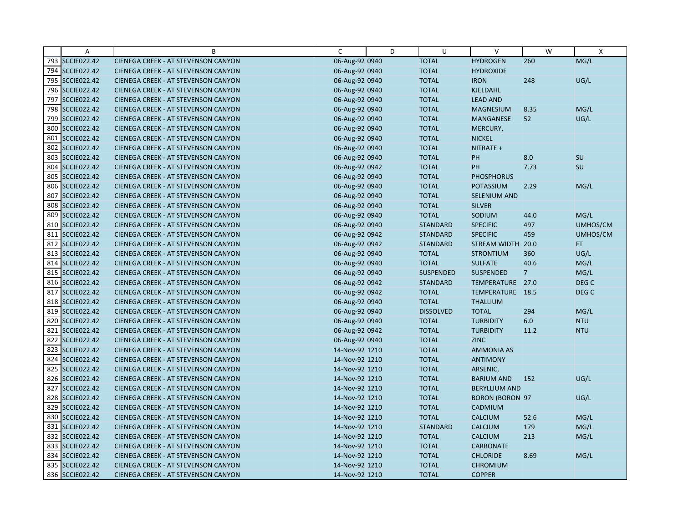|     | A                  | B                                          | C              | D | U                | v                      | W              | X                |
|-----|--------------------|--------------------------------------------|----------------|---|------------------|------------------------|----------------|------------------|
|     | 793 SCCIE022.42    | CIENEGA CREEK - AT STEVENSON CANYON        | 06-Aug-92 0940 |   | <b>TOTAL</b>     | <b>HYDROGEN</b>        | 260            | MG/L             |
|     | 794 SCCIE022.42    | CIENEGA CREEK - AT STEVENSON CANYON        | 06-Aug-92 0940 |   | <b>TOTAL</b>     | <b>HYDROXIDE</b>       |                |                  |
|     | 795 SCCIE022.42    | <b>CIENEGA CREEK - AT STEVENSON CANYON</b> | 06-Aug-92 0940 |   | <b>TOTAL</b>     | <b>IRON</b>            | 248            | UG/L             |
|     | 796 SCCIE022.42    | <b>CIENEGA CREEK - AT STEVENSON CANYON</b> | 06-Aug-92 0940 |   | <b>TOTAL</b>     | <b>KJELDAHL</b>        |                |                  |
|     | 797 SCCIE022.42    | <b>CIENEGA CREEK - AT STEVENSON CANYON</b> | 06-Aug-92 0940 |   | <b>TOTAL</b>     | <b>LEAD AND</b>        |                |                  |
|     | 798 SCCIE022.42    | <b>CIENEGA CREEK - AT STEVENSON CANYON</b> | 06-Aug-92 0940 |   | <b>TOTAL</b>     | <b>MAGNESIUM</b>       | 8.35           | MG/L             |
|     | 799 SCCIE022.42    | <b>CIENEGA CREEK - AT STEVENSON CANYON</b> | 06-Aug-92 0940 |   | <b>TOTAL</b>     | <b>MANGANESE</b>       | 52             | UG/L             |
|     | 800 SCCIE022.42    | <b>CIENEGA CREEK - AT STEVENSON CANYON</b> | 06-Aug-92 0940 |   | <b>TOTAL</b>     | MERCURY,               |                |                  |
|     | 801 SCCIE022.42    | CIENEGA CREEK - AT STEVENSON CANYON        | 06-Aug-92 0940 |   | <b>TOTAL</b>     | <b>NICKEL</b>          |                |                  |
|     | 802 SCCIE022.42    | <b>CIENEGA CREEK - AT STEVENSON CANYON</b> | 06-Aug-92 0940 |   | <b>TOTAL</b>     | NITRATE +              |                |                  |
|     | 803 SCCIE022.42    | <b>CIENEGA CREEK - AT STEVENSON CANYON</b> | 06-Aug-92 0940 |   | <b>TOTAL</b>     | <b>PH</b>              | 8.0            | SU               |
|     | 804 SCCIE022.42    | CIENEGA CREEK - AT STEVENSON CANYON        | 06-Aug-92 0942 |   | <b>TOTAL</b>     | PH                     | 7.73           | SU               |
| 805 | <b>SCCIE022.42</b> | CIENEGA CREEK - AT STEVENSON CANYON        | 06-Aug-92 0940 |   | <b>TOTAL</b>     | <b>PHOSPHORUS</b>      |                |                  |
|     | 806 SCCIE022.42    | <b>CIENEGA CREEK - AT STEVENSON CANYON</b> | 06-Aug-92 0940 |   | <b>TOTAL</b>     | <b>POTASSIUM</b>       | 2.29           | MG/L             |
|     | 807 SCCIE022.42    | <b>CIENEGA CREEK - AT STEVENSON CANYON</b> | 06-Aug-92 0940 |   | <b>TOTAL</b>     | <b>SELENIUM AND</b>    |                |                  |
| 808 | <b>SCCIE022.42</b> | <b>CIENEGA CREEK - AT STEVENSON CANYON</b> | 06-Aug-92 0940 |   | <b>TOTAL</b>     | <b>SILVER</b>          |                |                  |
|     | 809 SCCIE022.42    | CIENEGA CREEK - AT STEVENSON CANYON        | 06-Aug-92 0940 |   | <b>TOTAL</b>     | SODIUM                 | 44.0           | MG/L             |
|     | 810 SCCIE022.42    | CIENEGA CREEK - AT STEVENSON CANYON        | 06-Aug-92 0940 |   | <b>STANDARD</b>  | <b>SPECIFIC</b>        | 497            | UMHOS/CM         |
|     | 811 SCCIE022.42    | <b>CIENEGA CREEK - AT STEVENSON CANYON</b> | 06-Aug-92 0942 |   | <b>STANDARD</b>  | <b>SPECIFIC</b>        | 459            | UMHOS/CM         |
|     | 812 SCCIE022.42    | CIENEGA CREEK - AT STEVENSON CANYON        | 06-Aug-92 0942 |   | <b>STANDARD</b>  | <b>STREAM WIDTH</b>    | 20.0           | FT.              |
|     | 813 SCCIE022.42    | CIENEGA CREEK - AT STEVENSON CANYON        | 06-Aug-92 0940 |   | <b>TOTAL</b>     | <b>STRONTIUM</b>       | 360            | UG/L             |
|     | 814 SCCIE022.42    | <b>CIENEGA CREEK - AT STEVENSON CANYON</b> | 06-Aug-92 0940 |   | <b>TOTAL</b>     | <b>SULFATE</b>         | 40.6           | MG/L             |
|     | 815 SCCIE022.42    | CIENEGA CREEK - AT STEVENSON CANYON        | 06-Aug-92 0940 |   | SUSPENDED        | <b>SUSPENDED</b>       | $\overline{7}$ | MG/L             |
|     | 816 SCCIE022.42    | <b>CIENEGA CREEK - AT STEVENSON CANYON</b> | 06-Aug-92 0942 |   | <b>STANDARD</b>  | TEMPERATURE 27.0       |                | DEG C            |
|     | 817 SCCIE022.42    | CIENEGA CREEK - AT STEVENSON CANYON        | 06-Aug-92 0942 |   | <b>TOTAL</b>     | TEMPERATURE 18.5       |                | DEG <sub>C</sub> |
|     | 818 SCCIE022.42    | <b>CIENEGA CREEK - AT STEVENSON CANYON</b> | 06-Aug-92 0940 |   | <b>TOTAL</b>     | <b>THALLIUM</b>        |                |                  |
|     | 819 SCCIE022.42    | CIENEGA CREEK - AT STEVENSON CANYON        | 06-Aug-92 0940 |   | <b>DISSOLVED</b> | <b>TOTAL</b>           | 294            | MG/L             |
|     | 820 SCCIE022.42    | CIENEGA CREEK - AT STEVENSON CANYON        | 06-Aug-92 0940 |   | <b>TOTAL</b>     | <b>TURBIDITY</b>       | 6.0            | <b>NTU</b>       |
|     | 821 SCCIE022.42    | <b>CIENEGA CREEK - AT STEVENSON CANYON</b> | 06-Aug-92 0942 |   | <b>TOTAL</b>     | <b>TURBIDITY</b>       | 11.2           | <b>NTU</b>       |
|     | 822 SCCIE022.42    | <b>CIENEGA CREEK - AT STEVENSON CANYON</b> | 06-Aug-92 0940 |   | <b>TOTAL</b>     | <b>ZINC</b>            |                |                  |
|     | 823 SCCIE022.42    | CIENEGA CREEK - AT STEVENSON CANYON        | 14-Nov-92 1210 |   | <b>TOTAL</b>     | <b>AMMONIA AS</b>      |                |                  |
|     | 824 SCCIE022.42    | <b>CIENEGA CREEK - AT STEVENSON CANYON</b> | 14-Nov-92 1210 |   | <b>TOTAL</b>     | <b>ANTIMONY</b>        |                |                  |
|     | 825 SCCIE022.42    | CIENEGA CREEK - AT STEVENSON CANYON        | 14-Nov-92 1210 |   | <b>TOTAL</b>     | ARSENIC,               |                |                  |
|     | 826 SCCIE022.42    | <b>CIENEGA CREEK - AT STEVENSON CANYON</b> | 14-Nov-92 1210 |   | <b>TOTAL</b>     | <b>BARIUM AND</b>      | 152            | UG/L             |
|     | 827 SCCIE022.42    | CIENEGA CREEK - AT STEVENSON CANYON        | 14-Nov-92 1210 |   | <b>TOTAL</b>     | <b>BERYLLIUM AND</b>   |                |                  |
|     | 828 SCCIE022.42    | <b>CIENEGA CREEK - AT STEVENSON CANYON</b> | 14-Nov-92 1210 |   | <b>TOTAL</b>     | <b>BORON (BORON 97</b> |                | UG/L             |
|     | 829 SCCIE022.42    | <b>CIENEGA CREEK - AT STEVENSON CANYON</b> | 14-Nov-92 1210 |   | <b>TOTAL</b>     | CADMIUM                |                |                  |
|     | 830 SCCIE022.42    | CIENEGA CREEK - AT STEVENSON CANYON        | 14-Nov-92 1210 |   | <b>TOTAL</b>     | <b>CALCIUM</b>         | 52.6           | MG/L             |
|     | 831 SCCIE022.42    | CIENEGA CREEK - AT STEVENSON CANYON        | 14-Nov-92 1210 |   | <b>STANDARD</b>  | <b>CALCIUM</b>         | 179            | MG/L             |
|     | 832 SCCIE022.42    | <b>CIENEGA CREEK - AT STEVENSON CANYON</b> | 14-Nov-92 1210 |   | <b>TOTAL</b>     | <b>CALCIUM</b>         | 213            | MG/L             |
|     | 833 SCCIE022.42    | <b>CIENEGA CREEK - AT STEVENSON CANYON</b> | 14-Nov-92 1210 |   | <b>TOTAL</b>     | <b>CARBONATE</b>       |                |                  |
|     | 834 SCCIE022.42    | CIENEGA CREEK - AT STEVENSON CANYON        | 14-Nov-92 1210 |   | <b>TOTAL</b>     | <b>CHLORIDE</b>        | 8.69           | MG/L             |
|     | 835 SCCIE022.42    | CIENEGA CREEK - AT STEVENSON CANYON        | 14-Nov-92 1210 |   | <b>TOTAL</b>     | <b>CHROMIUM</b>        |                |                  |
|     | 836 SCCIE022.42    | CIENEGA CREEK - AT STEVENSON CANYON        | 14-Nov-92 1210 |   | <b>TOTAL</b>     | <b>COPPER</b>          |                |                  |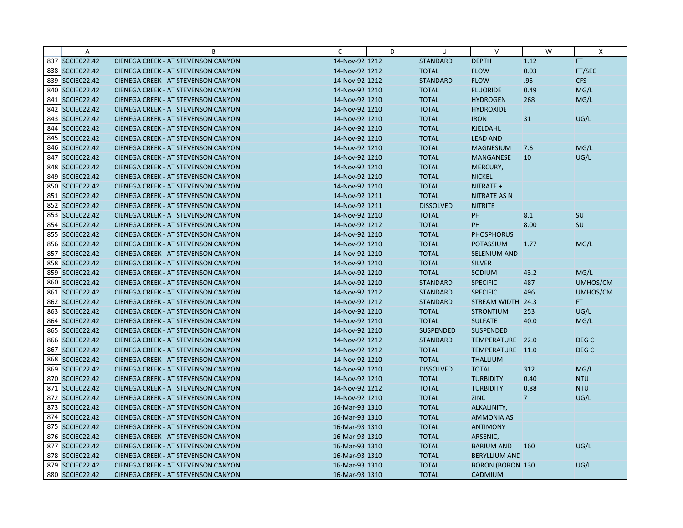|     | Α                  | B                                          | C              | D | U                | $\vee$                  | W              | X                |
|-----|--------------------|--------------------------------------------|----------------|---|------------------|-------------------------|----------------|------------------|
|     | 837 SCCIE022.42    | CIENEGA CREEK - AT STEVENSON CANYON        | 14-Nov-92 1212 |   | <b>STANDARD</b>  | <b>DEPTH</b>            | 1.12           | FT.              |
|     | 838 SCCIE022.42    | CIENEGA CREEK - AT STEVENSON CANYON        | 14-Nov-92 1212 |   | <b>TOTAL</b>     | <b>FLOW</b>             | 0.03           | FT/SEC           |
|     | 839 SCCIE022.42    | <b>CIENEGA CREEK - AT STEVENSON CANYON</b> | 14-Nov-92 1212 |   | <b>STANDARD</b>  | <b>FLOW</b>             | .95            | <b>CFS</b>       |
|     | 840 SCCIE022.42    | <b>CIENEGA CREEK - AT STEVENSON CANYON</b> | 14-Nov-92 1210 |   | <b>TOTAL</b>     | <b>FLUORIDE</b>         | 0.49           | MG/L             |
|     | 841 SCCIE022.42    | CIENEGA CREEK - AT STEVENSON CANYON        | 14-Nov-92 1210 |   | <b>TOTAL</b>     | <b>HYDROGEN</b>         | 268            | MG/L             |
|     | 842 SCCIE022.42    | CIENEGA CREEK - AT STEVENSON CANYON        | 14-Nov-92 1210 |   | <b>TOTAL</b>     | <b>HYDROXIDE</b>        |                |                  |
|     | 843 SCCIE022.42    | <b>CIENEGA CREEK - AT STEVENSON CANYON</b> | 14-Nov-92 1210 |   | <b>TOTAL</b>     | <b>IRON</b>             | 31             | UG/L             |
|     | 844 SCCIE022.42    | <b>CIENEGA CREEK - AT STEVENSON CANYON</b> | 14-Nov-92 1210 |   | <b>TOTAL</b>     | <b>KJELDAHL</b>         |                |                  |
|     | 845 SCCIE022.42    | CIENEGA CREEK - AT STEVENSON CANYON        | 14-Nov-92 1210 |   | <b>TOTAL</b>     | <b>LEAD AND</b>         |                |                  |
|     | 846 SCCIE022.42    | <b>CIENEGA CREEK - AT STEVENSON CANYON</b> | 14-Nov-92 1210 |   | <b>TOTAL</b>     | <b>MAGNESIUM</b>        | 7.6            | MG/L             |
|     | 847 SCCIE022.42    | <b>CIENEGA CREEK - AT STEVENSON CANYON</b> | 14-Nov-92 1210 |   | <b>TOTAL</b>     | <b>MANGANESE</b>        | 10             | UG/L             |
|     | 848 SCCIE022.42    | CIENEGA CREEK - AT STEVENSON CANYON        | 14-Nov-92 1210 |   | <b>TOTAL</b>     | MERCURY,                |                |                  |
| 849 | <b>SCCIE022.42</b> | CIENEGA CREEK - AT STEVENSON CANYON        | 14-Nov-92 1210 |   | <b>TOTAL</b>     | <b>NICKEL</b>           |                |                  |
|     | 850 SCCIE022.42    | <b>CIENEGA CREEK - AT STEVENSON CANYON</b> | 14-Nov-92 1210 |   | <b>TOTAL</b>     | NITRATE +               |                |                  |
|     | 851 SCCIE022.42    | <b>CIENEGA CREEK - AT STEVENSON CANYON</b> | 14-Nov-92 1211 |   | <b>TOTAL</b>     | <b>NITRATE AS N</b>     |                |                  |
|     | 852 SCCIE022.42    | <b>CIENEGA CREEK - AT STEVENSON CANYON</b> | 14-Nov-92 1211 |   | <b>DISSOLVED</b> | <b>NITRITE</b>          |                |                  |
|     | 853 SCCIE022.42    | CIENEGA CREEK - AT STEVENSON CANYON        | 14-Nov-92 1210 |   | <b>TOTAL</b>     | PH                      | 8.1            | <b>SU</b>        |
|     | 854 SCCIE022.42    | <b>CIENEGA CREEK - AT STEVENSON CANYON</b> | 14-Nov-92 1212 |   | <b>TOTAL</b>     | PH                      | 8.00           | SU               |
|     | 855 SCCIE022.42    | <b>CIENEGA CREEK - AT STEVENSON CANYON</b> | 14-Nov-92 1210 |   | <b>TOTAL</b>     | <b>PHOSPHORUS</b>       |                |                  |
|     | 856 SCCIE022.42    | CIENEGA CREEK - AT STEVENSON CANYON        | 14-Nov-92 1210 |   | <b>TOTAL</b>     | <b>POTASSIUM</b>        | 1.77           | MG/L             |
|     | 857 SCCIE022.42    | CIENEGA CREEK - AT STEVENSON CANYON        | 14-Nov-92 1210 |   | <b>TOTAL</b>     | <b>SELENIUM AND</b>     |                |                  |
|     | 858 SCCIE022.42    | <b>CIENEGA CREEK - AT STEVENSON CANYON</b> | 14-Nov-92 1210 |   | <b>TOTAL</b>     | <b>SILVER</b>           |                |                  |
|     | 859 SCCIE022.42    | CIENEGA CREEK - AT STEVENSON CANYON        | 14-Nov-92 1210 |   | <b>TOTAL</b>     | SODIUM                  | 43.2           | MG/L             |
|     | 860 SCCIE022.42    | <b>CIENEGA CREEK - AT STEVENSON CANYON</b> | 14-Nov-92 1210 |   | <b>STANDARD</b>  | <b>SPECIFIC</b>         | 487            | UMHOS/CM         |
|     | 861 SCCIE022.42    | CIENEGA CREEK - AT STEVENSON CANYON        | 14-Nov-92 1212 |   | <b>STANDARD</b>  | <b>SPECIFIC</b>         | 496            | UMHOS/CM         |
|     | 862 SCCIE022.42    | <b>CIENEGA CREEK - AT STEVENSON CANYON</b> | 14-Nov-92 1212 |   | <b>STANDARD</b>  | <b>STREAM WIDTH</b>     | 24.3           | FT.              |
|     | 863 SCCIE022.42    | CIENEGA CREEK - AT STEVENSON CANYON        | 14-Nov-92 1210 |   | <b>TOTAL</b>     | <b>STRONTIUM</b>        | 253            | UG/L             |
|     | 864 SCCIE022.42    | CIENEGA CREEK - AT STEVENSON CANYON        | 14-Nov-92 1210 |   | <b>TOTAL</b>     | <b>SULFATE</b>          | 40.0           | MG/L             |
|     | 865 SCCIE022.42    | <b>CIENEGA CREEK - AT STEVENSON CANYON</b> | 14-Nov-92 1210 |   | <b>SUSPENDED</b> | <b>SUSPENDED</b>        |                |                  |
|     | 866 SCCIE022.42    | <b>CIENEGA CREEK - AT STEVENSON CANYON</b> | 14-Nov-92 1212 |   | <b>STANDARD</b>  | TEMPERATURE 22.0        |                | DEG <sub>C</sub> |
|     | 867 SCCIE022.42    | <b>CIENEGA CREEK - AT STEVENSON CANYON</b> | 14-Nov-92 1212 |   | <b>TOTAL</b>     | TEMPERATURE 11.0        |                | DEG <sub>C</sub> |
|     | 868 SCCIE022.42    | <b>CIENEGA CREEK - AT STEVENSON CANYON</b> | 14-Nov-92 1210 |   | <b>TOTAL</b>     | <b>THALLIUM</b>         |                |                  |
|     | 869 SCCIE022.42    | CIENEGA CREEK - AT STEVENSON CANYON        | 14-Nov-92 1210 |   | <b>DISSOLVED</b> | <b>TOTAL</b>            | 312            | MG/L             |
|     | 870 SCCIE022.42    | <b>CIENEGA CREEK - AT STEVENSON CANYON</b> | 14-Nov-92 1210 |   | <b>TOTAL</b>     | <b>TURBIDITY</b>        | 0.40           | <b>NTU</b>       |
|     | 871 SCCIE022.42    | CIENEGA CREEK - AT STEVENSON CANYON        | 14-Nov-92 1212 |   | <b>TOTAL</b>     | <b>TURBIDITY</b>        | 0.88           | <b>NTU</b>       |
|     | 872 SCCIE022.42    | <b>CIENEGA CREEK - AT STEVENSON CANYON</b> | 14-Nov-92 1210 |   | <b>TOTAL</b>     | <b>ZINC</b>             | 7 <sup>1</sup> | UG/L             |
|     | 873 SCCIE022.42    | <b>CIENEGA CREEK - AT STEVENSON CANYON</b> | 16-Mar-93 1310 |   | <b>TOTAL</b>     | ALKALINITY,             |                |                  |
|     | 874 SCCIE022.42    | <b>CIENEGA CREEK - AT STEVENSON CANYON</b> | 16-Mar-93 1310 |   | <b>TOTAL</b>     | <b>AMMONIA AS</b>       |                |                  |
|     | 875 SCCIE022.42    | CIENEGA CREEK - AT STEVENSON CANYON        | 16-Mar-93 1310 |   | <b>TOTAL</b>     | <b>ANTIMONY</b>         |                |                  |
|     | 876 SCCIE022.42    | <b>CIENEGA CREEK - AT STEVENSON CANYON</b> | 16-Mar-93 1310 |   | <b>TOTAL</b>     | ARSENIC,                |                |                  |
|     | 877 SCCIE022.42    | <b>CIENEGA CREEK - AT STEVENSON CANYON</b> | 16-Mar-93 1310 |   | <b>TOTAL</b>     | <b>BARIUM AND</b>       | 160            | UG/L             |
|     | 878 SCCIE022.42    | <b>CIENEGA CREEK - AT STEVENSON CANYON</b> | 16-Mar-93 1310 |   | <b>TOTAL</b>     | <b>BERYLLIUM AND</b>    |                |                  |
|     | 879 SCCIE022.42    | <b>CIENEGA CREEK - AT STEVENSON CANYON</b> | 16-Mar-93 1310 |   | <b>TOTAL</b>     | <b>BORON (BORON 130</b> |                | UG/L             |
|     | 880 SCCIE022.42    | CIENEGA CREEK - AT STEVENSON CANYON        | 16-Mar-93 1310 |   | <b>TOTAL</b>     | CADMIUM                 |                |                  |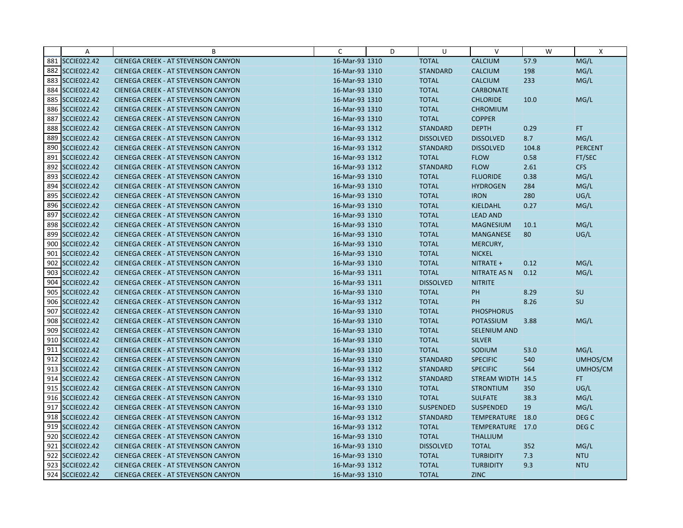|     | $\overline{A}$     | B                                          | C              | D | U                | $\vee$              | W     | $\mathsf{x}$     |
|-----|--------------------|--------------------------------------------|----------------|---|------------------|---------------------|-------|------------------|
|     | 881 SCCIE022.42    | CIENEGA CREEK - AT STEVENSON CANYON        | 16-Mar-93 1310 |   | <b>TOTAL</b>     | <b>CALCIUM</b>      | 57.9  | MG/L             |
|     | 882 SCCIE022.42    | <b>CIENEGA CREEK - AT STEVENSON CANYON</b> | 16-Mar-93 1310 |   | <b>STANDARD</b>  | <b>CALCIUM</b>      | 198   | MG/L             |
|     | 883 SCCIE022.42    | <b>CIENEGA CREEK - AT STEVENSON CANYON</b> | 16-Mar-93 1310 |   | <b>TOTAL</b>     | <b>CALCIUM</b>      | 233   | MG/L             |
|     | 884 SCCIE022.42    | <b>CIENEGA CREEK - AT STEVENSON CANYON</b> | 16-Mar-93 1310 |   | <b>TOTAL</b>     | <b>CARBONATE</b>    |       |                  |
|     | 885 SCCIE022.42    | <b>CIENEGA CREEK - AT STEVENSON CANYON</b> | 16-Mar-93 1310 |   | <b>TOTAL</b>     | <b>CHLORIDE</b>     | 10.0  | MG/L             |
|     | 886 SCCIE022.42    | <b>CIENEGA CREEK - AT STEVENSON CANYON</b> | 16-Mar-93 1310 |   | <b>TOTAL</b>     | <b>CHROMIUM</b>     |       |                  |
| 887 | <b>SCCIE022.42</b> | <b>CIENEGA CREEK - AT STEVENSON CANYON</b> | 16-Mar-93 1310 |   | <b>TOTAL</b>     | <b>COPPER</b>       |       |                  |
|     | 888 SCCIE022.42    | <b>CIENEGA CREEK - AT STEVENSON CANYON</b> | 16-Mar-93 1312 |   | <b>STANDARD</b>  | <b>DEPTH</b>        | 0.29  | FT.              |
|     | 889 SCCIE022.42    | <b>CIENEGA CREEK - AT STEVENSON CANYON</b> | 16-Mar-93 1312 |   | <b>DISSOLVED</b> | <b>DISSOLVED</b>    | 8.7   | MG/L             |
|     | 890 SCCIE022.42    | <b>CIENEGA CREEK - AT STEVENSON CANYON</b> | 16-Mar-93 1312 |   | <b>STANDARD</b>  | <b>DISSOLVED</b>    | 104.8 | <b>PERCENT</b>   |
|     | 891 SCCIE022.42    | <b>CIENEGA CREEK - AT STEVENSON CANYON</b> | 16-Mar-93 1312 |   | <b>TOTAL</b>     | <b>FLOW</b>         | 0.58  | FT/SEC           |
|     | 892 SCCIE022.42    | <b>CIENEGA CREEK - AT STEVENSON CANYON</b> | 16-Mar-93 1312 |   | <b>STANDARD</b>  | <b>FLOW</b>         | 2.61  | <b>CFS</b>       |
|     | 893 SCCIE022.42    | <b>CIENEGA CREEK - AT STEVENSON CANYON</b> | 16-Mar-93 1310 |   | <b>TOTAL</b>     | <b>FLUORIDE</b>     | 0.38  | MG/L             |
|     | 894 SCCIE022.42    | <b>CIENEGA CREEK - AT STEVENSON CANYON</b> | 16-Mar-93 1310 |   | <b>TOTAL</b>     | <b>HYDROGEN</b>     | 284   | MG/L             |
|     | 895 SCCIE022.42    | <b>CIENEGA CREEK - AT STEVENSON CANYON</b> | 16-Mar-93 1310 |   | <b>TOTAL</b>     | <b>IRON</b>         | 280   | UG/L             |
| 896 | <b>SCCIE022.42</b> | <b>CIENEGA CREEK - AT STEVENSON CANYON</b> | 16-Mar-93 1310 |   | <b>TOTAL</b>     | <b>KJELDAHL</b>     | 0.27  | MG/L             |
|     | 897 SCCIE022.42    | CIENEGA CREEK - AT STEVENSON CANYON        | 16-Mar-93 1310 |   | <b>TOTAL</b>     | <b>LEAD AND</b>     |       |                  |
|     | 898 SCCIE022.42    | <b>CIENEGA CREEK - AT STEVENSON CANYON</b> | 16-Mar-93 1310 |   | <b>TOTAL</b>     | <b>MAGNESIUM</b>    | 10.1  | MG/L             |
|     | 899 SCCIE022.42    | <b>CIENEGA CREEK - AT STEVENSON CANYON</b> | 16-Mar-93 1310 |   | <b>TOTAL</b>     | <b>MANGANESE</b>    | 80    | UG/L             |
|     | 900 SCCIE022.42    | CIENEGA CREEK - AT STEVENSON CANYON        | 16-Mar-93 1310 |   | <b>TOTAL</b>     | MERCURY,            |       |                  |
|     | 901 SCCIE022.42    | <b>CIENEGA CREEK - AT STEVENSON CANYON</b> | 16-Mar-93 1310 |   | <b>TOTAL</b>     | <b>NICKEL</b>       |       |                  |
|     | 902 SCCIE022.42    | <b>CIENEGA CREEK - AT STEVENSON CANYON</b> | 16-Mar-93 1310 |   | <b>TOTAL</b>     | NITRATE +           | 0.12  | MG/L             |
|     | 903 SCCIE022.42    | <b>CIENEGA CREEK - AT STEVENSON CANYON</b> | 16-Mar-93 1311 |   | <b>TOTAL</b>     | NITRATE AS N        | 0.12  | MG/L             |
|     | 904 SCCIE022.42    | <b>CIENEGA CREEK - AT STEVENSON CANYON</b> | 16-Mar-93 1311 |   | <b>DISSOLVED</b> | <b>NITRITE</b>      |       |                  |
|     | 905 SCCIE022.42    | <b>CIENEGA CREEK - AT STEVENSON CANYON</b> | 16-Mar-93 1310 |   | <b>TOTAL</b>     | PH                  | 8.29  | <b>SU</b>        |
|     | 906 SCCIE022.42    | <b>CIENEGA CREEK - AT STEVENSON CANYON</b> | 16-Mar-93 1312 |   | <b>TOTAL</b>     | PH                  | 8.26  | SU               |
| 907 | <b>SCCIE022.42</b> | <b>CIENEGA CREEK - AT STEVENSON CANYON</b> | 16-Mar-93 1310 |   | <b>TOTAL</b>     | <b>PHOSPHORUS</b>   |       |                  |
|     | 908 SCCIE022.42    | CIENEGA CREEK - AT STEVENSON CANYON        | 16-Mar-93 1310 |   | <b>TOTAL</b>     | <b>POTASSIUM</b>    | 3.88  | MG/L             |
|     | 909 SCCIE022.42    | <b>CIENEGA CREEK - AT STEVENSON CANYON</b> | 16-Mar-93 1310 |   | <b>TOTAL</b>     | <b>SELENIUM AND</b> |       |                  |
|     | 910 SCCIE022.42    | <b>CIENEGA CREEK - AT STEVENSON CANYON</b> | 16-Mar-93 1310 |   | <b>TOTAL</b>     | <b>SILVER</b>       |       |                  |
|     | 911 SCCIE022.42    | <b>CIENEGA CREEK - AT STEVENSON CANYON</b> | 16-Mar-93 1310 |   | <b>TOTAL</b>     | SODIUM              | 53.0  | MG/L             |
|     | 912 SCCIE022.42    | <b>CIENEGA CREEK - AT STEVENSON CANYON</b> | 16-Mar-93 1310 |   | <b>STANDARD</b>  | <b>SPECIFIC</b>     | 540   | UMHOS/CM         |
|     | 913 SCCIE022.42    | CIENEGA CREEK - AT STEVENSON CANYON        | 16-Mar-93 1312 |   | <b>STANDARD</b>  | <b>SPECIFIC</b>     | 564   | UMHOS/CM         |
|     | 914 SCCIE022.42    | <b>CIENEGA CREEK - AT STEVENSON CANYON</b> | 16-Mar-93 1312 |   | <b>STANDARD</b>  | STREAM WIDTH        | 14.5  | FT.              |
|     | 915 SCCIE022.42    | <b>CIENEGA CREEK - AT STEVENSON CANYON</b> | 16-Mar-93 1310 |   | <b>TOTAL</b>     | <b>STRONTIUM</b>    | 350   | UG/L             |
|     | 916 SCCIE022.42    | <b>CIENEGA CREEK - AT STEVENSON CANYON</b> | 16-Mar-93 1310 |   | <b>TOTAL</b>     | <b>SULFATE</b>      | 38.3  | MG/L             |
|     | 917 SCCIE022.42    | <b>CIENEGA CREEK - AT STEVENSON CANYON</b> | 16-Mar-93 1310 |   | <b>SUSPENDED</b> | <b>SUSPENDED</b>    | 19    | MG/L             |
|     | 918 SCCIE022.42    | <b>CIENEGA CREEK - AT STEVENSON CANYON</b> | 16-Mar-93 1312 |   | <b>STANDARD</b>  | TEMPERATURE 18.0    |       | DEG <sub>C</sub> |
|     | 919 SCCIE022.42    | <b>CIENEGA CREEK - AT STEVENSON CANYON</b> | 16-Mar-93 1312 |   | <b>TOTAL</b>     | TEMPERATURE 17.0    |       | DEG <sub>C</sub> |
|     | 920 SCCIE022.42    | <b>CIENEGA CREEK - AT STEVENSON CANYON</b> | 16-Mar-93 1310 |   | <b>TOTAL</b>     | <b>THALLIUM</b>     |       |                  |
|     | 921 SCCIE022.42    | <b>CIENEGA CREEK - AT STEVENSON CANYON</b> | 16-Mar-93 1310 |   | <b>DISSOLVED</b> | <b>TOTAL</b>        | 352   | MG/L             |
|     | 922 SCCIE022.42    | <b>CIENEGA CREEK - AT STEVENSON CANYON</b> | 16-Mar-93 1310 |   | <b>TOTAL</b>     | <b>TURBIDITY</b>    | 7.3   | <b>NTU</b>       |
|     | 923 SCCIE022.42    | <b>CIENEGA CREEK - AT STEVENSON CANYON</b> | 16-Mar-93 1312 |   | <b>TOTAL</b>     | <b>TURBIDITY</b>    | 9.3   | <b>NTU</b>       |
|     | 924 SCCIE022.42    | CIENEGA CREEK - AT STEVENSON CANYON        | 16-Mar-93 1310 |   | <b>TOTAL</b>     | <b>ZINC</b>         |       |                  |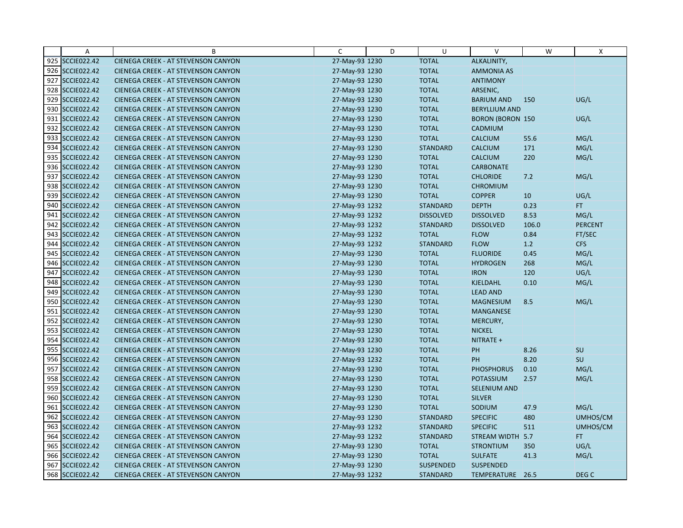| Α               | B                                          | C              | D | U                | $\vee$                  | W     | X              |
|-----------------|--------------------------------------------|----------------|---|------------------|-------------------------|-------|----------------|
| 925 SCCIE022.42 | CIENEGA CREEK - AT STEVENSON CANYON        | 27-May-93 1230 |   | <b>TOTAL</b>     | ALKALINITY,             |       |                |
| 926 SCCIE022.42 | <b>CIENEGA CREEK - AT STEVENSON CANYON</b> | 27-May-93 1230 |   | <b>TOTAL</b>     | <b>AMMONIA AS</b>       |       |                |
| 927 SCCIE022.42 | <b>CIENEGA CREEK - AT STEVENSON CANYON</b> | 27-May-93 1230 |   | <b>TOTAL</b>     | <b>ANTIMONY</b>         |       |                |
| 928 SCCIE022.42 | <b>CIENEGA CREEK - AT STEVENSON CANYON</b> | 27-May-93 1230 |   | <b>TOTAL</b>     | ARSENIC,                |       |                |
| 929 SCCIE022.42 | <b>CIENEGA CREEK - AT STEVENSON CANYON</b> | 27-May-93 1230 |   | <b>TOTAL</b>     | <b>BARIUM AND</b>       | 150   | UG/L           |
| 930 SCCIE022.42 | <b>CIENEGA CREEK - AT STEVENSON CANYON</b> | 27-May-93 1230 |   | <b>TOTAL</b>     | <b>BERYLLIUM AND</b>    |       |                |
| 931 SCCIE022.42 | <b>CIENEGA CREEK - AT STEVENSON CANYON</b> | 27-May-93 1230 |   | <b>TOTAL</b>     | <b>BORON (BORON 150</b> |       | UG/L           |
| 932 SCCIE022.42 | CIENEGA CREEK - AT STEVENSON CANYON        | 27-May-93 1230 |   | <b>TOTAL</b>     | <b>CADMIUM</b>          |       |                |
| 933 SCCIE022.42 | <b>CIENEGA CREEK - AT STEVENSON CANYON</b> | 27-May-93 1230 |   | <b>TOTAL</b>     | <b>CALCIUM</b>          | 55.6  | MG/L           |
| 934 SCCIE022.42 | <b>CIENEGA CREEK - AT STEVENSON CANYON</b> | 27-May-93 1230 |   | <b>STANDARD</b>  | <b>CALCIUM</b>          | 171   | MG/L           |
| 935 SCCIE022.42 | <b>CIENEGA CREEK - AT STEVENSON CANYON</b> | 27-May-93 1230 |   | <b>TOTAL</b>     | <b>CALCIUM</b>          | 220   | MG/L           |
| 936 SCCIE022.42 | CIENEGA CREEK - AT STEVENSON CANYON        | 27-May-93 1230 |   | <b>TOTAL</b>     | <b>CARBONATE</b>        |       |                |
| 937 SCCIE022.42 | <b>CIENEGA CREEK - AT STEVENSON CANYON</b> | 27-May-93 1230 |   | <b>TOTAL</b>     | <b>CHLORIDE</b>         | 7.2   | MG/L           |
| 938 SCCIE022.42 | CIENEGA CREEK - AT STEVENSON CANYON        | 27-May-93 1230 |   | <b>TOTAL</b>     | <b>CHROMIUM</b>         |       |                |
| 939 SCCIE022.42 | <b>CIENEGA CREEK - AT STEVENSON CANYON</b> | 27-May-93 1230 |   | <b>TOTAL</b>     | <b>COPPER</b>           | 10    | UG/L           |
| 940 SCCIE022.42 | <b>CIENEGA CREEK - AT STEVENSON CANYON</b> | 27-May-93 1232 |   | <b>STANDARD</b>  | <b>DEPTH</b>            | 0.23  | FT.            |
| 941 SCCIE022.42 | <b>CIENEGA CREEK - AT STEVENSON CANYON</b> | 27-May-93 1232 |   | <b>DISSOLVED</b> | <b>DISSOLVED</b>        | 8.53  | MG/L           |
| 942 SCCIE022.42 | <b>CIENEGA CREEK - AT STEVENSON CANYON</b> | 27-May-93 1232 |   | <b>STANDARD</b>  | <b>DISSOLVED</b>        | 106.0 | <b>PERCENT</b> |
| 943 SCCIE022.42 | <b>CIENEGA CREEK - AT STEVENSON CANYON</b> | 27-May-93 1232 |   | <b>TOTAL</b>     | <b>FLOW</b>             | 0.84  | FT/SEC         |
| 944 SCCIE022.42 | <b>CIENEGA CREEK - AT STEVENSON CANYON</b> | 27-May-93 1232 |   | <b>STANDARD</b>  | <b>FLOW</b>             | 1.2   | CFS            |
| 945 SCCIE022.42 | <b>CIENEGA CREEK - AT STEVENSON CANYON</b> | 27-May-93 1230 |   | <b>TOTAL</b>     | <b>FLUORIDE</b>         | 0.45  | MG/L           |
| 946 SCCIE022.42 | CIENEGA CREEK - AT STEVENSON CANYON        | 27-May-93 1230 |   | <b>TOTAL</b>     | <b>HYDROGEN</b>         | 268   | MG/L           |
| 947 SCCIE022.42 | <b>CIENEGA CREEK - AT STEVENSON CANYON</b> | 27-May-93 1230 |   | <b>TOTAL</b>     | <b>IRON</b>             | 120   | UG/L           |
| 948 SCCIE022.42 | <b>CIENEGA CREEK - AT STEVENSON CANYON</b> | 27-May-93 1230 |   | <b>TOTAL</b>     | <b>KJELDAHL</b>         | 0.10  | MG/L           |
| 949 SCCIE022.42 | <b>CIENEGA CREEK - AT STEVENSON CANYON</b> | 27-May-93 1230 |   | <b>TOTAL</b>     | <b>LEAD AND</b>         |       |                |
| 950 SCCIE022.42 | CIENEGA CREEK - AT STEVENSON CANYON        | 27-May-93 1230 |   | <b>TOTAL</b>     | <b>MAGNESIUM</b>        | 8.5   | MG/L           |
| 951 SCCIE022.42 | <b>CIENEGA CREEK - AT STEVENSON CANYON</b> | 27-May-93 1230 |   | <b>TOTAL</b>     | MANGANESE               |       |                |
| 952 SCCIE022.42 | <b>CIENEGA CREEK - AT STEVENSON CANYON</b> | 27-May-93 1230 |   | <b>TOTAL</b>     | MERCURY,                |       |                |
| 953 SCCIE022.42 | <b>CIENEGA CREEK - AT STEVENSON CANYON</b> | 27-May-93 1230 |   | <b>TOTAL</b>     | <b>NICKEL</b>           |       |                |
| 954 SCCIE022.42 | <b>CIENEGA CREEK - AT STEVENSON CANYON</b> | 27-May-93 1230 |   | <b>TOTAL</b>     | NITRATE +               |       |                |
| 955 SCCIE022.42 | <b>CIENEGA CREEK - AT STEVENSON CANYON</b> | 27-May-93 1230 |   | <b>TOTAL</b>     | PH                      | 8.26  | <b>SU</b>      |
| 956 SCCIE022.42 | <b>CIENEGA CREEK - AT STEVENSON CANYON</b> | 27-May-93 1232 |   | <b>TOTAL</b>     | PH                      | 8.20  | SU             |
| 957 SCCIE022.42 | <b>CIENEGA CREEK - AT STEVENSON CANYON</b> | 27-May-93 1230 |   | <b>TOTAL</b>     | <b>PHOSPHORUS</b>       | 0.10  | MG/L           |
| 958 SCCIE022.42 | <b>CIENEGA CREEK - AT STEVENSON CANYON</b> | 27-May-93 1230 |   | <b>TOTAL</b>     | <b>POTASSIUM</b>        | 2.57  | MG/L           |
| 959 SCCIE022.42 | <b>CIENEGA CREEK - AT STEVENSON CANYON</b> | 27-May-93 1230 |   | <b>TOTAL</b>     | SELENIUM AND            |       |                |
| 960 SCCIE022.42 | CIENEGA CREEK - AT STEVENSON CANYON        | 27-May-93 1230 |   | <b>TOTAL</b>     | <b>SILVER</b>           |       |                |
| 961 SCCIE022.42 | <b>CIENEGA CREEK - AT STEVENSON CANYON</b> | 27-May-93 1230 |   | <b>TOTAL</b>     | SODIUM                  | 47.9  | MG/L           |
| 962 SCCIE022.42 | <b>CIENEGA CREEK - AT STEVENSON CANYON</b> | 27-May-93 1230 |   | <b>STANDARD</b>  | <b>SPECIFIC</b>         | 480   | UMHOS/CM       |
| 963 SCCIE022.42 | <b>CIENEGA CREEK - AT STEVENSON CANYON</b> | 27-May-93 1232 |   | <b>STANDARD</b>  | <b>SPECIFIC</b>         | 511   | UMHOS/CM       |
| 964 SCCIE022.42 | <b>CIENEGA CREEK - AT STEVENSON CANYON</b> | 27-May-93 1232 |   | <b>STANDARD</b>  | STREAM WIDTH 5.7        |       | FT.            |
| 965 SCCIE022.42 | <b>CIENEGA CREEK - AT STEVENSON CANYON</b> | 27-May-93 1230 |   | <b>TOTAL</b>     | <b>STRONTIUM</b>        | 350   | UG/L           |
| 966 SCCIE022.42 | <b>CIENEGA CREEK - AT STEVENSON CANYON</b> | 27-May-93 1230 |   | <b>TOTAL</b>     | <b>SULFATE</b>          | 41.3  | MG/L           |
| 967 SCCIE022.42 | <b>CIENEGA CREEK - AT STEVENSON CANYON</b> | 27-May-93 1230 |   | SUSPENDED        | <b>SUSPENDED</b>        |       |                |
| 968 SCCIE022.42 | CIENEGA CREEK - AT STEVENSON CANYON        | 27-May-93 1232 |   | <b>STANDARD</b>  | TEMPERATURE 26.5        |       | DEG C          |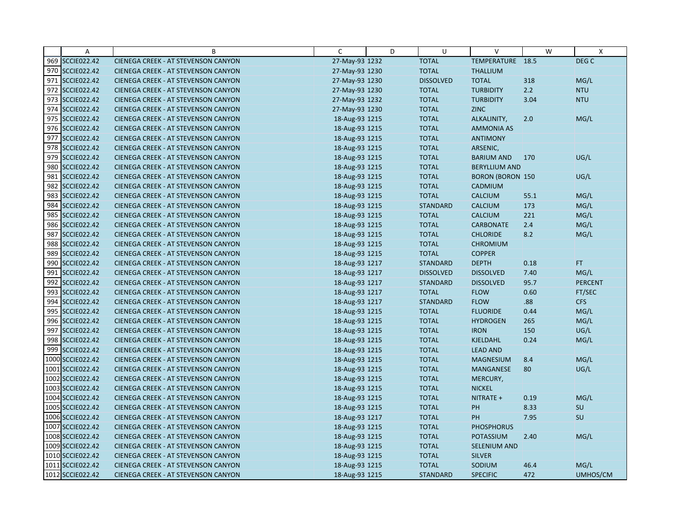|     | $\overline{A}$     | B                                          | C              | D | U                | $\vee$                  | W    | X                |
|-----|--------------------|--------------------------------------------|----------------|---|------------------|-------------------------|------|------------------|
|     | 969 SCCIE022.42    | CIENEGA CREEK - AT STEVENSON CANYON        | 27-May-93 1232 |   | <b>TOTAL</b>     | TEMPERATURE             | 18.5 | DEG <sub>C</sub> |
|     | 970 SCCIE022.42    | <b>CIENEGA CREEK - AT STEVENSON CANYON</b> | 27-May-93 1230 |   | <b>TOTAL</b>     | <b>THALLIUM</b>         |      |                  |
|     | 971 SCCIE022.42    | <b>CIENEGA CREEK - AT STEVENSON CANYON</b> | 27-May-93 1230 |   | <b>DISSOLVED</b> | <b>TOTAL</b>            | 318  | MG/L             |
|     | 972 SCCIE022.42    | <b>CIENEGA CREEK - AT STEVENSON CANYON</b> | 27-May-93 1230 |   | <b>TOTAL</b>     | <b>TURBIDITY</b>        | 2.2  | <b>NTU</b>       |
|     | 973 SCCIE022.42    | <b>CIENEGA CREEK - AT STEVENSON CANYON</b> | 27-May-93 1232 |   | <b>TOTAL</b>     | <b>TURBIDITY</b>        | 3.04 | <b>NTU</b>       |
|     | 974 SCCIE022.42    | <b>CIENEGA CREEK - AT STEVENSON CANYON</b> | 27-May-93 1230 |   | <b>TOTAL</b>     | <b>ZINC</b>             |      |                  |
|     | 975 SCCIE022.42    | <b>CIENEGA CREEK - AT STEVENSON CANYON</b> | 18-Aug-93 1215 |   | <b>TOTAL</b>     | ALKALINITY,             | 2.0  | MG/L             |
|     | 976 SCCIE022.42    | <b>CIENEGA CREEK - AT STEVENSON CANYON</b> | 18-Aug-93 1215 |   | <b>TOTAL</b>     | <b>AMMONIA AS</b>       |      |                  |
|     | 977 SCCIE022.42    | <b>CIENEGA CREEK - AT STEVENSON CANYON</b> | 18-Aug-93 1215 |   | <b>TOTAL</b>     | <b>ANTIMONY</b>         |      |                  |
|     | 978 SCCIE022.42    | <b>CIENEGA CREEK - AT STEVENSON CANYON</b> | 18-Aug-93 1215 |   | <b>TOTAL</b>     | ARSENIC,                |      |                  |
|     | 979 SCCIE022.42    | <b>CIENEGA CREEK - AT STEVENSON CANYON</b> | 18-Aug-93 1215 |   | <b>TOTAL</b>     | <b>BARIUM AND</b>       | 170  | UG/L             |
|     | 980 SCCIE022.42    | <b>CIENEGA CREEK - AT STEVENSON CANYON</b> | 18-Aug-93 1215 |   | <b>TOTAL</b>     | <b>BERYLLIUM AND</b>    |      |                  |
| 981 | <b>SCCIE022.42</b> | <b>CIENEGA CREEK - AT STEVENSON CANYON</b> | 18-Aug-93 1215 |   | <b>TOTAL</b>     | <b>BORON (BORON 150</b> |      | UG/L             |
|     | 982 SCCIE022.42    | <b>CIENEGA CREEK - AT STEVENSON CANYON</b> | 18-Aug-93 1215 |   | <b>TOTAL</b>     | CADMIUM                 |      |                  |
|     | 983 SCCIE022.42    | <b>CIENEGA CREEK - AT STEVENSON CANYON</b> | 18-Aug-93 1215 |   | <b>TOTAL</b>     | <b>CALCIUM</b>          | 55.1 | MG/L             |
| 984 | <b>SCCIE022.42</b> | CIENEGA CREEK - AT STEVENSON CANYON        | 18-Aug-93 1215 |   | <b>STANDARD</b>  | <b>CALCIUM</b>          | 173  | MG/L             |
|     | 985 SCCIE022.42    | <b>CIENEGA CREEK - AT STEVENSON CANYON</b> | 18-Aug-93 1215 |   | <b>TOTAL</b>     | CALCIUM                 | 221  | MG/L             |
|     | 986 SCCIE022.42    | <b>CIENEGA CREEK - AT STEVENSON CANYON</b> | 18-Aug-93 1215 |   | <b>TOTAL</b>     | <b>CARBONATE</b>        | 2.4  | MG/L             |
| 987 | <b>SCCIE022.42</b> | <b>CIENEGA CREEK - AT STEVENSON CANYON</b> | 18-Aug-93 1215 |   | <b>TOTAL</b>     | <b>CHLORIDE</b>         | 8.2  | MG/L             |
|     | 988 SCCIE022.42    | CIENEGA CREEK - AT STEVENSON CANYON        | 18-Aug-93 1215 |   | <b>TOTAL</b>     | <b>CHROMIUM</b>         |      |                  |
| 989 | <b>SCCIE022.42</b> | <b>CIENEGA CREEK - AT STEVENSON CANYON</b> | 18-Aug-93 1215 |   | <b>TOTAL</b>     | <b>COPPER</b>           |      |                  |
|     | 990 SCCIE022.42    | <b>CIENEGA CREEK - AT STEVENSON CANYON</b> | 18-Aug-93 1217 |   | <b>STANDARD</b>  | <b>DEPTH</b>            | 0.18 | FT.              |
|     | 991 SCCIE022.42    | <b>CIENEGA CREEK - AT STEVENSON CANYON</b> | 18-Aug-93 1217 |   | <b>DISSOLVED</b> | <b>DISSOLVED</b>        | 7.40 | MG/L             |
|     | 992 SCCIE022.42    | <b>CIENEGA CREEK - AT STEVENSON CANYON</b> | 18-Aug-93 1217 |   | <b>STANDARD</b>  | <b>DISSOLVED</b>        | 95.7 | <b>PERCENT</b>   |
|     | 993 SCCIE022.42    | <b>CIENEGA CREEK - AT STEVENSON CANYON</b> | 18-Aug-93 1217 |   | <b>TOTAL</b>     | <b>FLOW</b>             | 0.60 | FT/SEC           |
|     | 994 SCCIE022.42    | <b>CIENEGA CREEK - AT STEVENSON CANYON</b> | 18-Aug-93 1217 |   | <b>STANDARD</b>  | <b>FLOW</b>             | .88  | <b>CFS</b>       |
|     | 995 SCCIE022.42    | <b>CIENEGA CREEK - AT STEVENSON CANYON</b> | 18-Aug-93 1215 |   | <b>TOTAL</b>     | <b>FLUORIDE</b>         | 0.44 | MG/L             |
|     | 996 SCCIE022.42    | CIENEGA CREEK - AT STEVENSON CANYON        | 18-Aug-93 1215 |   | <b>TOTAL</b>     | <b>HYDROGEN</b>         | 265  | MG/L             |
|     | 997 SCCIE022.42    | <b>CIENEGA CREEK - AT STEVENSON CANYON</b> | 18-Aug-93 1215 |   | <b>TOTAL</b>     | <b>IRON</b>             | 150  | UG/L             |
|     | 998 SCCIE022.42    | <b>CIENEGA CREEK - AT STEVENSON CANYON</b> | 18-Aug-93 1215 |   | <b>TOTAL</b>     | <b>KJELDAHL</b>         | 0.24 | MG/L             |
|     | 999 SCCIE022.42    | <b>CIENEGA CREEK - AT STEVENSON CANYON</b> | 18-Aug-93 1215 |   | <b>TOTAL</b>     | <b>LEAD AND</b>         |      |                  |
|     | 1000 SCCIE022.42   | <b>CIENEGA CREEK - AT STEVENSON CANYON</b> | 18-Aug-93 1215 |   | <b>TOTAL</b>     | <b>MAGNESIUM</b>        | 8.4  | MG/L             |
|     | 1001 SCCIE022.42   | CIENEGA CREEK - AT STEVENSON CANYON        | 18-Aug-93 1215 |   | <b>TOTAL</b>     | <b>MANGANESE</b>        | 80   | UG/L             |
|     | 1002 SCCIE022.42   | <b>CIENEGA CREEK - AT STEVENSON CANYON</b> | 18-Aug-93 1215 |   | <b>TOTAL</b>     | MERCURY,                |      |                  |
|     | 1003 SCCIE022.42   | <b>CIENEGA CREEK - AT STEVENSON CANYON</b> | 18-Aug-93 1215 |   | <b>TOTAL</b>     | <b>NICKEL</b>           |      |                  |
|     | 1004 SCCIE022.42   | <b>CIENEGA CREEK - AT STEVENSON CANYON</b> | 18-Aug-93 1215 |   | <b>TOTAL</b>     | NITRATE +               | 0.19 | MG/L             |
|     | 1005 SCCIE022.42   | <b>CIENEGA CREEK - AT STEVENSON CANYON</b> | 18-Aug-93 1215 |   | <b>TOTAL</b>     | PH                      | 8.33 | SU               |
|     | 1006 SCCIE022.42   | <b>CIENEGA CREEK - AT STEVENSON CANYON</b> | 18-Aug-93 1217 |   | <b>TOTAL</b>     | PH                      | 7.95 | SU               |
|     | 1007 SCCIE022.42   | <b>CIENEGA CREEK - AT STEVENSON CANYON</b> | 18-Aug-93 1215 |   | <b>TOTAL</b>     | <b>PHOSPHORUS</b>       |      |                  |
|     | 1008 SCCIE022.42   | <b>CIENEGA CREEK - AT STEVENSON CANYON</b> | 18-Aug-93 1215 |   | <b>TOTAL</b>     | <b>POTASSIUM</b>        | 2.40 | MG/L             |
|     | 1009 SCCIE022.42   | <b>CIENEGA CREEK - AT STEVENSON CANYON</b> | 18-Aug-93 1215 |   | <b>TOTAL</b>     | <b>SELENIUM AND</b>     |      |                  |
|     | 1010 SCCIE022.42   | <b>CIENEGA CREEK - AT STEVENSON CANYON</b> | 18-Aug-93 1215 |   | <b>TOTAL</b>     | <b>SILVER</b>           |      |                  |
|     | 1011 SCCIE022.42   | <b>CIENEGA CREEK - AT STEVENSON CANYON</b> | 18-Aug-93 1215 |   | <b>TOTAL</b>     | SODIUM                  | 46.4 | MG/L             |
|     | 1012 SCCIE022.42   | CIENEGA CREEK - AT STEVENSON CANYON        | 18-Aug-93 1215 |   | <b>STANDARD</b>  | <b>SPECIFIC</b>         | 472  | UMHOS/CM         |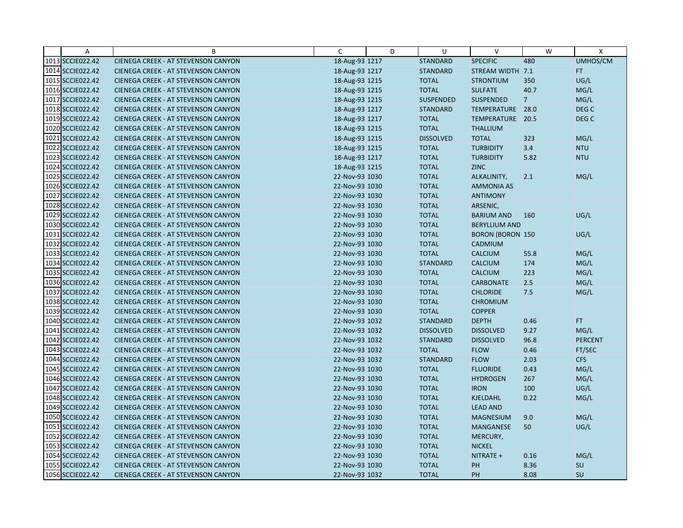| $\overline{A}$   | B                                          | C              | D | U                | $\vee$                  | W              | $\mathsf{x}$     |
|------------------|--------------------------------------------|----------------|---|------------------|-------------------------|----------------|------------------|
| 1013 SCCIE022.42 | CIENEGA CREEK - AT STEVENSON CANYON        | 18-Aug-93 1217 |   | <b>STANDARD</b>  | <b>SPECIFIC</b>         | 480            | UMHOS/CM         |
| 1014 SCCIE022.42 | <b>CIENEGA CREEK - AT STEVENSON CANYON</b> | 18-Aug-93 1217 |   | <b>STANDARD</b>  | STREAM WIDTH 7.1        |                | FT.              |
| 1015 SCCIE022.42 | <b>CIENEGA CREEK - AT STEVENSON CANYON</b> | 18-Aug-93 1215 |   | <b>TOTAL</b>     | <b>STRONTIUM</b>        | 350            | UG/L             |
| 1016 SCCIE022.42 | <b>CIENEGA CREEK - AT STEVENSON CANYON</b> | 18-Aug-93 1215 |   | <b>TOTAL</b>     | <b>SULFATE</b>          | 40.7           | MG/L             |
| 1017 SCCIE022.42 | <b>CIENEGA CREEK - AT STEVENSON CANYON</b> | 18-Aug-93 1215 |   | <b>SUSPENDED</b> | SUSPENDED               | $\overline{7}$ | MG/L             |
| 1018 SCCIE022.42 | <b>CIENEGA CREEK - AT STEVENSON CANYON</b> | 18-Aug-93 1217 |   | <b>STANDARD</b>  | TEMPERATURE             | 28.0           | DEG <sub>C</sub> |
| 1019 SCCIE022.42 | <b>CIENEGA CREEK - AT STEVENSON CANYON</b> | 18-Aug-93 1217 |   | <b>TOTAL</b>     | TEMPERATURE 20.5        |                | DEG <sub>C</sub> |
| 1020 SCCIE022.42 | <b>CIENEGA CREEK - AT STEVENSON CANYON</b> | 18-Aug-93 1215 |   | <b>TOTAL</b>     | <b>THALLIUM</b>         |                |                  |
| 1021 SCCIE022.42 | <b>CIENEGA CREEK - AT STEVENSON CANYON</b> | 18-Aug-93 1215 |   | <b>DISSOLVED</b> | <b>TOTAL</b>            | 323            | MG/L             |
| 1022 SCCIE022.42 | <b>CIENEGA CREEK - AT STEVENSON CANYON</b> | 18-Aug-93 1215 |   | <b>TOTAL</b>     | <b>TURBIDITY</b>        | 3.4            | <b>NTU</b>       |
| 1023 SCCIE022.42 | <b>CIENEGA CREEK - AT STEVENSON CANYON</b> | 18-Aug-93 1217 |   | <b>TOTAL</b>     | <b>TURBIDITY</b>        | 5.82           | <b>NTU</b>       |
| 1024 SCCIE022.42 | <b>CIENEGA CREEK - AT STEVENSON CANYON</b> | 18-Aug-93 1215 |   | <b>TOTAL</b>     | ZINC                    |                |                  |
| 1025 SCCIE022.42 | CIENEGA CREEK - AT STEVENSON CANYON        | 22-Nov-93 1030 |   | <b>TOTAL</b>     | ALKALINITY,             | 2.1            | MG/L             |
| 1026 SCCIE022.42 | <b>CIENEGA CREEK - AT STEVENSON CANYON</b> | 22-Nov-93 1030 |   | <b>TOTAL</b>     | <b>AMMONIA AS</b>       |                |                  |
| 1027 SCCIE022.42 | <b>CIENEGA CREEK - AT STEVENSON CANYON</b> | 22-Nov-93 1030 |   | <b>TOTAL</b>     | <b>ANTIMONY</b>         |                |                  |
| 1028 SCCIE022.42 | <b>CIENEGA CREEK - AT STEVENSON CANYON</b> | 22-Nov-93 1030 |   | <b>TOTAL</b>     | ARSENIC,                |                |                  |
| 1029 SCCIE022.42 | CIENEGA CREEK - AT STEVENSON CANYON        | 22-Nov-93 1030 |   | <b>TOTAL</b>     | <b>BARIUM AND</b>       | 160            | UG/L             |
| 1030 SCCIE022.42 | <b>CIENEGA CREEK - AT STEVENSON CANYON</b> | 22-Nov-93 1030 |   | <b>TOTAL</b>     | <b>BERYLLIUM AND</b>    |                |                  |
| 1031 SCCIE022.42 | <b>CIENEGA CREEK - AT STEVENSON CANYON</b> | 22-Nov-93 1030 |   | <b>TOTAL</b>     | <b>BORON (BORON 150</b> |                | UG/L             |
| 1032 SCCIE022.42 | <b>CIENEGA CREEK - AT STEVENSON CANYON</b> | 22-Nov-93 1030 |   | <b>TOTAL</b>     | CADMIUM                 |                |                  |
| 1033 SCCIE022.42 | <b>CIENEGA CREEK - AT STEVENSON CANYON</b> | 22-Nov-93 1030 |   | <b>TOTAL</b>     | <b>CALCIUM</b>          | 55.8           | MG/L             |
| 1034 SCCIE022.42 | <b>CIENEGA CREEK - AT STEVENSON CANYON</b> | 22-Nov-93 1030 |   | <b>STANDARD</b>  | <b>CALCIUM</b>          | 174            | MG/L             |
| 1035 SCCIE022.42 | <b>CIENEGA CREEK - AT STEVENSON CANYON</b> | 22-Nov-93 1030 |   | <b>TOTAL</b>     | <b>CALCIUM</b>          | 223            | MG/L             |
| 1036 SCCIE022.42 | <b>CIENEGA CREEK - AT STEVENSON CANYON</b> | 22-Nov-93 1030 |   | <b>TOTAL</b>     | <b>CARBONATE</b>        | 2.5            | MG/L             |
| 1037 SCCIE022.42 | <b>CIENEGA CREEK - AT STEVENSON CANYON</b> | 22-Nov-93 1030 |   | <b>TOTAL</b>     | <b>CHLORIDE</b>         | 7.5            | MG/L             |
| 1038 SCCIE022.42 | <b>CIENEGA CREEK - AT STEVENSON CANYON</b> | 22-Nov-93 1030 |   | <b>TOTAL</b>     | <b>CHROMIUM</b>         |                |                  |
| 1039 SCCIE022.42 | <b>CIENEGA CREEK - AT STEVENSON CANYON</b> | 22-Nov-93 1030 |   | <b>TOTAL</b>     | <b>COPPER</b>           |                |                  |
| 1040 SCCIE022.42 | <b>CIENEGA CREEK - AT STEVENSON CANYON</b> | 22-Nov-93 1032 |   | <b>STANDARD</b>  | <b>DEPTH</b>            | 0.46           | FT.              |
| 1041 SCCIE022.42 | <b>CIENEGA CREEK - AT STEVENSON CANYON</b> | 22-Nov-93 1032 |   | <b>DISSOLVED</b> | <b>DISSOLVED</b>        | 9.27           | MG/L             |
| 1042 SCCIE022.42 | <b>CIENEGA CREEK - AT STEVENSON CANYON</b> | 22-Nov-93 1032 |   | <b>STANDARD</b>  | <b>DISSOLVED</b>        | 96.8           | <b>PERCENT</b>   |
| 1043 SCCIE022.42 | <b>CIENEGA CREEK - AT STEVENSON CANYON</b> | 22-Nov-93 1032 |   | <b>TOTAL</b>     | <b>FLOW</b>             | 0.46           | FT/SEC           |
| 1044 SCCIE022.42 | <b>CIENEGA CREEK - AT STEVENSON CANYON</b> | 22-Nov-93 1032 |   | <b>STANDARD</b>  | <b>FLOW</b>             | 2.03           | <b>CFS</b>       |
| 1045 SCCIE022.42 | <b>CIENEGA CREEK - AT STEVENSON CANYON</b> | 22-Nov-93 1030 |   | <b>TOTAL</b>     | <b>FLUORIDE</b>         | 0.43           | MG/L             |
| 1046 SCCIE022.42 | <b>CIENEGA CREEK - AT STEVENSON CANYON</b> | 22-Nov-93 1030 |   | <b>TOTAL</b>     | <b>HYDROGEN</b>         | 267            | MG/L             |
| 1047 SCCIE022.42 | <b>CIENEGA CREEK - AT STEVENSON CANYON</b> | 22-Nov-93 1030 |   | <b>TOTAL</b>     | <b>IRON</b>             | 100            | UG/L             |
| 1048 SCCIE022.42 | <b>CIENEGA CREEK - AT STEVENSON CANYON</b> | 22-Nov-93 1030 |   | <b>TOTAL</b>     | <b>KJELDAHL</b>         | 0.22           | MG/L             |
| 1049 SCCIE022.42 | <b>CIENEGA CREEK - AT STEVENSON CANYON</b> | 22-Nov-93 1030 |   | <b>TOTAL</b>     | <b>LEAD AND</b>         |                |                  |
| 1050 SCCIE022.42 | <b>CIENEGA CREEK - AT STEVENSON CANYON</b> | 22-Nov-93 1030 |   | <b>TOTAL</b>     | <b>MAGNESIUM</b>        | 9.0            | MG/L             |
| 1051 SCCIE022.42 | <b>CIENEGA CREEK - AT STEVENSON CANYON</b> | 22-Nov-93 1030 |   | <b>TOTAL</b>     | <b>MANGANESE</b>        | 50             | UG/L             |
| 1052 SCCIE022.42 | <b>CIENEGA CREEK - AT STEVENSON CANYON</b> | 22-Nov-93 1030 |   | <b>TOTAL</b>     | MERCURY,                |                |                  |
| 1053 SCCIE022.42 | <b>CIENEGA CREEK - AT STEVENSON CANYON</b> | 22-Nov-93 1030 |   | <b>TOTAL</b>     | <b>NICKEL</b>           |                |                  |
| 1054 SCCIE022.42 | <b>CIENEGA CREEK - AT STEVENSON CANYON</b> | 22-Nov-93 1030 |   | <b>TOTAL</b>     | NITRATE +               | 0.16           | MG/L             |
| 1055 SCCIE022.42 | CIENEGA CREEK - AT STEVENSON CANYON        | 22-Nov-93 1030 |   | <b>TOTAL</b>     | PH                      | 8.36           | SU               |
| 1056 SCCIE022.42 | CIENEGA CREEK - AT STEVENSON CANYON        | 22-Nov-93 1032 |   | <b>TOTAL</b>     | PH                      | 8.08           | SU               |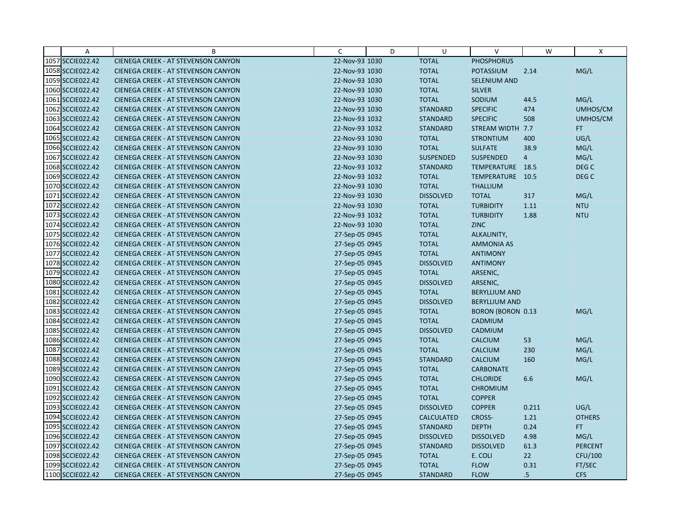| Α                | B                                          | C              | D | U                | $\vee$                   | W               | X                |
|------------------|--------------------------------------------|----------------|---|------------------|--------------------------|-----------------|------------------|
| 1057 SCCIE022.42 | CIENEGA CREEK - AT STEVENSON CANYON        | 22-Nov-93 1030 |   | <b>TOTAL</b>     | <b>PHOSPHORUS</b>        |                 |                  |
| 1058 SCCIE022.42 | <b>CIENEGA CREEK - AT STEVENSON CANYON</b> | 22-Nov-93 1030 |   | <b>TOTAL</b>     | <b>POTASSIUM</b>         | 2.14            | MG/L             |
| 1059 SCCIE022.42 | <b>CIENEGA CREEK - AT STEVENSON CANYON</b> | 22-Nov-93 1030 |   | <b>TOTAL</b>     | <b>SELENIUM AND</b>      |                 |                  |
| 1060 SCCIE022.42 | CIENEGA CREEK - AT STEVENSON CANYON        | 22-Nov-93 1030 |   | <b>TOTAL</b>     | <b>SILVER</b>            |                 |                  |
| 1061 SCCIE022.42 | <b>CIENEGA CREEK - AT STEVENSON CANYON</b> | 22-Nov-93 1030 |   | <b>TOTAL</b>     | SODIUM                   | 44.5            | MG/L             |
| 1062 SCCIE022.42 | <b>CIENEGA CREEK - AT STEVENSON CANYON</b> | 22-Nov-93 1030 |   | <b>STANDARD</b>  | <b>SPECIFIC</b>          | 474             | UMHOS/CM         |
| 1063 SCCIE022.42 | <b>CIENEGA CREEK - AT STEVENSON CANYON</b> | 22-Nov-93 1032 |   | <b>STANDARD</b>  | <b>SPECIFIC</b>          | 508             | UMHOS/CM         |
| 1064 SCCIE022.42 | <b>CIENEGA CREEK - AT STEVENSON CANYON</b> | 22-Nov-93 1032 |   | <b>STANDARD</b>  | STREAM WIDTH 7.7         |                 | FT.              |
| 1065 SCCIE022.42 | <b>CIENEGA CREEK - AT STEVENSON CANYON</b> | 22-Nov-93 1030 |   | <b>TOTAL</b>     | <b>STRONTIUM</b>         | 400             | UG/L             |
| 1066 SCCIE022.42 | <b>CIENEGA CREEK - AT STEVENSON CANYON</b> | 22-Nov-93 1030 |   | <b>TOTAL</b>     | <b>SULFATE</b>           | 38.9            | MG/L             |
| 1067 SCCIE022.42 | <b>CIENEGA CREEK - AT STEVENSON CANYON</b> | 22-Nov-93 1030 |   | SUSPENDED        | <b>SUSPENDED</b>         | $\overline{4}$  | MG/L             |
| 1068 SCCIE022.42 | <b>CIENEGA CREEK - AT STEVENSON CANYON</b> | 22-Nov-93 1032 |   | <b>STANDARD</b>  | TEMPERATURE 18.5         |                 | DEG C            |
| 1069 SCCIE022.42 | <b>CIENEGA CREEK - AT STEVENSON CANYON</b> | 22-Nov-93 1032 |   | <b>TOTAL</b>     | TEMPERATURE 10.5         |                 | DEG <sub>C</sub> |
| 1070 SCCIE022.42 | <b>CIENEGA CREEK - AT STEVENSON CANYON</b> | 22-Nov-93 1030 |   | <b>TOTAL</b>     | <b>THALLIUM</b>          |                 |                  |
| 1071 SCCIE022.42 | <b>CIENEGA CREEK - AT STEVENSON CANYON</b> | 22-Nov-93 1030 |   | <b>DISSOLVED</b> | <b>TOTAL</b>             | 317             | MG/L             |
| 1072 SCCIE022.42 | <b>CIENEGA CREEK - AT STEVENSON CANYON</b> | 22-Nov-93 1030 |   | <b>TOTAL</b>     | <b>TURBIDITY</b>         | 1.11            | <b>NTU</b>       |
| 1073 SCCIE022.42 | <b>CIENEGA CREEK - AT STEVENSON CANYON</b> | 22-Nov-93 1032 |   | <b>TOTAL</b>     | <b>TURBIDITY</b>         | 1.88            | <b>NTU</b>       |
| 1074 SCCIE022.42 | <b>CIENEGA CREEK - AT STEVENSON CANYON</b> | 22-Nov-93 1030 |   | <b>TOTAL</b>     | <b>ZINC</b>              |                 |                  |
| 1075 SCCIE022.42 | <b>CIENEGA CREEK - AT STEVENSON CANYON</b> | 27-Sep-05 0945 |   | <b>TOTAL</b>     | ALKALINITY,              |                 |                  |
| 1076 SCCIE022.42 | <b>CIENEGA CREEK - AT STEVENSON CANYON</b> | 27-Sep-05 0945 |   | <b>TOTAL</b>     | <b>AMMONIA AS</b>        |                 |                  |
| 1077 SCCIE022.42 | <b>CIENEGA CREEK - AT STEVENSON CANYON</b> | 27-Sep-05 0945 |   | <b>TOTAL</b>     | <b>ANTIMONY</b>          |                 |                  |
| 1078 SCCIE022.42 | <b>CIENEGA CREEK - AT STEVENSON CANYON</b> | 27-Sep-05 0945 |   | <b>DISSOLVED</b> | <b>ANTIMONY</b>          |                 |                  |
| 1079 SCCIE022.42 | <b>CIENEGA CREEK - AT STEVENSON CANYON</b> | 27-Sep-05 0945 |   | <b>TOTAL</b>     | ARSENIC,                 |                 |                  |
| 1080 SCCIE022.42 | <b>CIENEGA CREEK - AT STEVENSON CANYON</b> | 27-Sep-05 0945 |   | <b>DISSOLVED</b> | ARSENIC,                 |                 |                  |
| 1081 SCCIE022.42 | <b>CIENEGA CREEK - AT STEVENSON CANYON</b> | 27-Sep-05 0945 |   | <b>TOTAL</b>     | <b>BERYLLIUM AND</b>     |                 |                  |
| 1082 SCCIE022.42 | <b>CIENEGA CREEK - AT STEVENSON CANYON</b> | 27-Sep-05 0945 |   | <b>DISSOLVED</b> | <b>BERYLLIUM AND</b>     |                 |                  |
| 1083 SCCIE022.42 | <b>CIENEGA CREEK - AT STEVENSON CANYON</b> | 27-Sep-05 0945 |   | <b>TOTAL</b>     | <b>BORON (BORON 0.13</b> |                 | MG/L             |
| 1084 SCCIE022.42 | <b>CIENEGA CREEK - AT STEVENSON CANYON</b> | 27-Sep-05 0945 |   | <b>TOTAL</b>     | <b>CADMIUM</b>           |                 |                  |
| 1085 SCCIE022.42 | <b>CIENEGA CREEK - AT STEVENSON CANYON</b> | 27-Sep-05 0945 |   | <b>DISSOLVED</b> | CADMIUM                  |                 |                  |
| 1086 SCCIE022.42 | <b>CIENEGA CREEK - AT STEVENSON CANYON</b> | 27-Sep-05 0945 |   | <b>TOTAL</b>     | <b>CALCIUM</b>           | 53              | MG/L             |
| 1087 SCCIE022.42 | <b>CIENEGA CREEK - AT STEVENSON CANYON</b> | 27-Sep-05 0945 |   | <b>TOTAL</b>     | <b>CALCIUM</b>           | 230             | MG/L             |
| 1088 SCCIE022.42 | <b>CIENEGA CREEK - AT STEVENSON CANYON</b> | 27-Sep-05 0945 |   | <b>STANDARD</b>  | CALCIUM                  | 160             | MG/L             |
| 1089 SCCIE022.42 | <b>CIENEGA CREEK - AT STEVENSON CANYON</b> | 27-Sep-05 0945 |   | <b>TOTAL</b>     | <b>CARBONATE</b>         |                 |                  |
| 1090 SCCIE022.42 | <b>CIENEGA CREEK - AT STEVENSON CANYON</b> | 27-Sep-05 0945 |   | <b>TOTAL</b>     | <b>CHLORIDE</b>          | 6.6             | MG/L             |
| 1091 SCCIE022.42 | <b>CIENEGA CREEK - AT STEVENSON CANYON</b> | 27-Sep-05 0945 |   | <b>TOTAL</b>     | <b>CHROMIUM</b>          |                 |                  |
| 1092 SCCIE022.42 | <b>CIENEGA CREEK - AT STEVENSON CANYON</b> | 27-Sep-05 0945 |   | <b>TOTAL</b>     | <b>COPPER</b>            |                 |                  |
| 1093 SCCIE022.42 | <b>CIENEGA CREEK - AT STEVENSON CANYON</b> | 27-Sep-05 0945 |   | <b>DISSOLVED</b> | <b>COPPER</b>            | 0.211           | UG/L             |
| 1094 SCCIE022.42 | CIENEGA CREEK - AT STEVENSON CANYON        | 27-Sep-05 0945 |   | CALCULATED       | CROSS-                   | 1.21            | <b>OTHERS</b>    |
| 1095 SCCIE022.42 | <b>CIENEGA CREEK - AT STEVENSON CANYON</b> | 27-Sep-05 0945 |   | <b>STANDARD</b>  | <b>DEPTH</b>             | 0.24            | FT.              |
| 1096 SCCIE022.42 | <b>CIENEGA CREEK - AT STEVENSON CANYON</b> | 27-Sep-05 0945 |   | <b>DISSOLVED</b> | <b>DISSOLVED</b>         | 4.98            | MG/L             |
| 1097 SCCIE022.42 | <b>CIENEGA CREEK - AT STEVENSON CANYON</b> | 27-Sep-05 0945 |   | <b>STANDARD</b>  | <b>DISSOLVED</b>         | 61.3            | <b>PERCENT</b>   |
| 1098 SCCIE022.42 | <b>CIENEGA CREEK - AT STEVENSON CANYON</b> | 27-Sep-05 0945 |   | <b>TOTAL</b>     | E. COLI                  | 22              | CFU/100          |
| 1099 SCCIE022.42 | CIENEGA CREEK - AT STEVENSON CANYON        | 27-Sep-05 0945 |   | <b>TOTAL</b>     | <b>FLOW</b>              | 0.31            | FT/SEC           |
| 1100 SCCIE022.42 | <b>CIENEGA CREEK - AT STEVENSON CANYON</b> | 27-Sep-05 0945 |   | <b>STANDARD</b>  | <b>FLOW</b>              | $.5\phantom{0}$ | <b>CFS</b>       |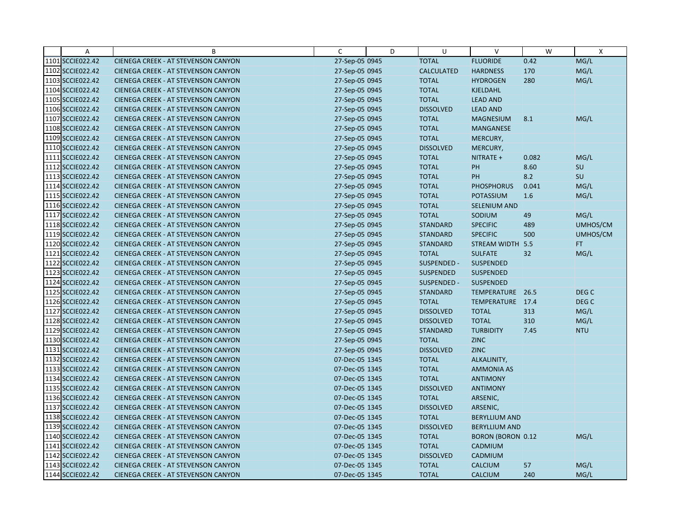| Α                | B                                          | C              | D | U                 | $\vee$                   | W     | $\mathsf{X}$     |
|------------------|--------------------------------------------|----------------|---|-------------------|--------------------------|-------|------------------|
| 1101 SCCIE022.42 | CIENEGA CREEK - AT STEVENSON CANYON        | 27-Sep-05 0945 |   | <b>TOTAL</b>      | <b>FLUORIDE</b>          | 0.42  | MG/L             |
| 1102 SCCIE022.42 | <b>CIENEGA CREEK - AT STEVENSON CANYON</b> | 27-Sep-05 0945 |   | <b>CALCULATED</b> | <b>HARDNESS</b>          | 170   | MG/L             |
| 1103 SCCIE022.42 | <b>CIENEGA CREEK - AT STEVENSON CANYON</b> | 27-Sep-05 0945 |   | <b>TOTAL</b>      | <b>HYDROGEN</b>          | 280   | MG/L             |
| 1104 SCCIE022.42 | <b>CIENEGA CREEK - AT STEVENSON CANYON</b> | 27-Sep-05 0945 |   | <b>TOTAL</b>      | <b>KJELDAHL</b>          |       |                  |
| 1105 SCCIE022.42 | <b>CIENEGA CREEK - AT STEVENSON CANYON</b> | 27-Sep-05 0945 |   | <b>TOTAL</b>      | <b>LEAD AND</b>          |       |                  |
| 1106 SCCIE022.42 | <b>CIENEGA CREEK - AT STEVENSON CANYON</b> | 27-Sep-05 0945 |   | <b>DISSOLVED</b>  | <b>LEAD AND</b>          |       |                  |
| 1107 SCCIE022.42 | <b>CIENEGA CREEK - AT STEVENSON CANYON</b> | 27-Sep-05 0945 |   | <b>TOTAL</b>      | <b>MAGNESIUM</b>         | 8.1   | MG/L             |
| 1108 SCCIE022.42 | CIENEGA CREEK - AT STEVENSON CANYON        | 27-Sep-05 0945 |   | <b>TOTAL</b>      | <b>MANGANESE</b>         |       |                  |
| 1109 SCCIE022.42 | <b>CIENEGA CREEK - AT STEVENSON CANYON</b> | 27-Sep-05 0945 |   | <b>TOTAL</b>      | MERCURY,                 |       |                  |
| 1110 SCCIE022.42 | <b>CIENEGA CREEK - AT STEVENSON CANYON</b> | 27-Sep-05 0945 |   | <b>DISSOLVED</b>  | MERCURY,                 |       |                  |
| 1111 SCCIE022.42 | <b>CIENEGA CREEK - AT STEVENSON CANYON</b> | 27-Sep-05 0945 |   | <b>TOTAL</b>      | NITRATE +                | 0.082 | MG/L             |
| 1112 SCCIE022.42 | <b>CIENEGA CREEK - AT STEVENSON CANYON</b> | 27-Sep-05 0945 |   | <b>TOTAL</b>      | PH                       | 8.60  | SU               |
| 1113 SCCIE022.42 | <b>CIENEGA CREEK - AT STEVENSON CANYON</b> | 27-Sep-05 0945 |   | <b>TOTAL</b>      | PH                       | 8.2   | SU               |
| 1114 SCCIE022.42 | <b>CIENEGA CREEK - AT STEVENSON CANYON</b> | 27-Sep-05 0945 |   | <b>TOTAL</b>      | <b>PHOSPHORUS</b>        | 0.041 | MG/L             |
| 1115 SCCIE022.42 | <b>CIENEGA CREEK - AT STEVENSON CANYON</b> | 27-Sep-05 0945 |   | <b>TOTAL</b>      | <b>POTASSIUM</b>         | 1.6   | MG/L             |
| 1116 SCCIE022.42 | <b>CIENEGA CREEK - AT STEVENSON CANYON</b> | 27-Sep-05 0945 |   | <b>TOTAL</b>      | <b>SELENIUM AND</b>      |       |                  |
| 1117 SCCIE022.42 | <b>CIENEGA CREEK - AT STEVENSON CANYON</b> | 27-Sep-05 0945 |   | <b>TOTAL</b>      | SODIUM                   | 49    | MG/L             |
| 1118 SCCIE022.42 | <b>CIENEGA CREEK - AT STEVENSON CANYON</b> | 27-Sep-05 0945 |   | <b>STANDARD</b>   | <b>SPECIFIC</b>          | 489   | UMHOS/CM         |
| 1119 SCCIE022.42 | <b>CIENEGA CREEK - AT STEVENSON CANYON</b> | 27-Sep-05 0945 |   | <b>STANDARD</b>   | <b>SPECIFIC</b>          | 500   | UMHOS/CM         |
| 1120 SCCIE022.42 | <b>CIENEGA CREEK - AT STEVENSON CANYON</b> | 27-Sep-05 0945 |   | <b>STANDARD</b>   | STREAM WIDTH 5.5         |       | FT.              |
| 1121 SCCIE022.42 | <b>CIENEGA CREEK - AT STEVENSON CANYON</b> | 27-Sep-05 0945 |   | <b>TOTAL</b>      | <b>SULFATE</b>           | 32    | MG/L             |
| 1122 SCCIE022.42 | CIENEGA CREEK - AT STEVENSON CANYON        | 27-Sep-05 0945 |   | SUSPENDED -       | SUSPENDED                |       |                  |
| 1123 SCCIE022.42 | <b>CIENEGA CREEK - AT STEVENSON CANYON</b> | 27-Sep-05 0945 |   | <b>SUSPENDED</b>  | <b>SUSPENDED</b>         |       |                  |
| 1124 SCCIE022.42 | <b>CIENEGA CREEK - AT STEVENSON CANYON</b> | 27-Sep-05 0945 |   | SUSPENDED -       | <b>SUSPENDED</b>         |       |                  |
| 1125 SCCIE022.42 | <b>CIENEGA CREEK - AT STEVENSON CANYON</b> | 27-Sep-05 0945 |   | <b>STANDARD</b>   | TEMPERATURE 26.5         |       | DEG <sub>C</sub> |
| 1126 SCCIE022.42 | CIENEGA CREEK - AT STEVENSON CANYON        | 27-Sep-05 0945 |   | <b>TOTAL</b>      | TEMPERATURE 17.4         |       | DEG <sub>C</sub> |
| 1127 SCCIE022.42 | <b>CIENEGA CREEK - AT STEVENSON CANYON</b> | 27-Sep-05 0945 |   | <b>DISSOLVED</b>  | <b>TOTAL</b>             | 313   | MG/L             |
| 1128 SCCIE022.42 | <b>CIENEGA CREEK - AT STEVENSON CANYON</b> | 27-Sep-05 0945 |   | <b>DISSOLVED</b>  | <b>TOTAL</b>             | 310   | MG/L             |
| 1129 SCCIE022.42 | <b>CIENEGA CREEK - AT STEVENSON CANYON</b> | 27-Sep-05 0945 |   | <b>STANDARD</b>   | <b>TURBIDITY</b>         | 7.45  | <b>NTU</b>       |
| 1130 SCCIE022.42 | <b>CIENEGA CREEK - AT STEVENSON CANYON</b> | 27-Sep-05 0945 |   | <b>TOTAL</b>      | <b>ZINC</b>              |       |                  |
| 1131 SCCIE022.42 | <b>CIENEGA CREEK - AT STEVENSON CANYON</b> | 27-Sep-05 0945 |   | <b>DISSOLVED</b>  | <b>ZINC</b>              |       |                  |
| 1132 SCCIE022.42 | <b>CIENEGA CREEK - AT STEVENSON CANYON</b> | 07-Dec-05 1345 |   | <b>TOTAL</b>      | ALKALINITY,              |       |                  |
| 1133 SCCIE022.42 | <b>CIENEGA CREEK - AT STEVENSON CANYON</b> | 07-Dec-05 1345 |   | <b>TOTAL</b>      | <b>AMMONIA AS</b>        |       |                  |
| 1134 SCCIE022.42 | <b>CIENEGA CREEK - AT STEVENSON CANYON</b> | 07-Dec-05 1345 |   | <b>TOTAL</b>      | <b>ANTIMONY</b>          |       |                  |
| 1135 SCCIE022.42 | <b>CIENEGA CREEK - AT STEVENSON CANYON</b> | 07-Dec-05 1345 |   | <b>DISSOLVED</b>  | <b>ANTIMONY</b>          |       |                  |
| 1136 SCCIE022.42 | <b>CIENEGA CREEK - AT STEVENSON CANYON</b> | 07-Dec-05 1345 |   | <b>TOTAL</b>      | ARSENIC,                 |       |                  |
| 1137 SCCIE022.42 | <b>CIENEGA CREEK - AT STEVENSON CANYON</b> | 07-Dec-05 1345 |   | <b>DISSOLVED</b>  | ARSENIC,                 |       |                  |
| 1138 SCCIE022.42 | <b>CIENEGA CREEK - AT STEVENSON CANYON</b> | 07-Dec-05 1345 |   | <b>TOTAL</b>      | <b>BERYLLIUM AND</b>     |       |                  |
| 1139 SCCIE022.42 | <b>CIENEGA CREEK - AT STEVENSON CANYON</b> | 07-Dec-05 1345 |   | <b>DISSOLVED</b>  | <b>BERYLLIUM AND</b>     |       |                  |
| 1140 SCCIE022.42 | <b>CIENEGA CREEK - AT STEVENSON CANYON</b> | 07-Dec-05 1345 |   | <b>TOTAL</b>      | <b>BORON (BORON 0.12</b> |       | MG/L             |
| 1141 SCCIE022.42 | <b>CIENEGA CREEK - AT STEVENSON CANYON</b> | 07-Dec-05 1345 |   | <b>TOTAL</b>      | CADMIUM                  |       |                  |
| 1142 SCCIE022.42 | <b>CIENEGA CREEK - AT STEVENSON CANYON</b> | 07-Dec-05 1345 |   | <b>DISSOLVED</b>  | CADMIUM                  |       |                  |
| 1143 SCCIE022.42 | <b>CIENEGA CREEK - AT STEVENSON CANYON</b> | 07-Dec-05 1345 |   | <b>TOTAL</b>      | <b>CALCIUM</b>           | 57    | MG/L             |
| 1144 SCCIE022.42 | CIENEGA CREEK - AT STEVENSON CANYON        | 07-Dec-05 1345 |   | <b>TOTAL</b>      | <b>CALCIUM</b>           | 240   | MG/L             |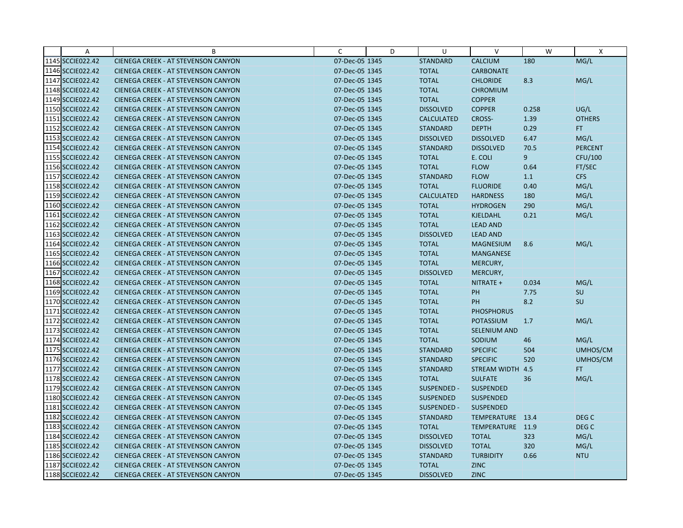| A                | B                                          | C              | D | U                 | $\vee$              | W     | X                |
|------------------|--------------------------------------------|----------------|---|-------------------|---------------------|-------|------------------|
| 1145 SCCIE022.42 | CIENEGA CREEK - AT STEVENSON CANYON        | 07-Dec-05 1345 |   | <b>STANDARD</b>   | <b>CALCIUM</b>      | 180   | MG/L             |
| 1146 SCCIE022.42 | <b>CIENEGA CREEK - AT STEVENSON CANYON</b> | 07-Dec-05 1345 |   | <b>TOTAL</b>      | <b>CARBONATE</b>    |       |                  |
| 1147 SCCIE022.42 | <b>CIENEGA CREEK - AT STEVENSON CANYON</b> | 07-Dec-05 1345 |   | <b>TOTAL</b>      | <b>CHLORIDE</b>     | 8.3   | MG/L             |
| 1148 SCCIE022.42 | <b>CIENEGA CREEK - AT STEVENSON CANYON</b> | 07-Dec-05 1345 |   | <b>TOTAL</b>      | <b>CHROMIUM</b>     |       |                  |
| 1149 SCCIE022.42 | <b>CIENEGA CREEK - AT STEVENSON CANYON</b> | 07-Dec-05 1345 |   | <b>TOTAL</b>      | <b>COPPER</b>       |       |                  |
| 1150 SCCIE022.42 | <b>CIENEGA CREEK - AT STEVENSON CANYON</b> | 07-Dec-05 1345 |   | <b>DISSOLVED</b>  | <b>COPPER</b>       | 0.258 | UG/L             |
| 1151 SCCIE022.42 | <b>CIENEGA CREEK - AT STEVENSON CANYON</b> | 07-Dec-05 1345 |   | <b>CALCULATED</b> | <b>CROSS-</b>       | 1.39  | <b>OTHERS</b>    |
| 1152 SCCIE022.42 | <b>CIENEGA CREEK - AT STEVENSON CANYON</b> | 07-Dec-05 1345 |   | <b>STANDARD</b>   | <b>DEPTH</b>        | 0.29  | FT.              |
| 1153 SCCIE022.42 | <b>CIENEGA CREEK - AT STEVENSON CANYON</b> | 07-Dec-05 1345 |   | <b>DISSOLVED</b>  | <b>DISSOLVED</b>    | 6.47  | MG/L             |
| 1154 SCCIE022.42 | <b>CIENEGA CREEK - AT STEVENSON CANYON</b> | 07-Dec-05 1345 |   | <b>STANDARD</b>   | <b>DISSOLVED</b>    | 70.5  | <b>PERCENT</b>   |
| 1155 SCCIE022.42 | <b>CIENEGA CREEK - AT STEVENSON CANYON</b> | 07-Dec-05 1345 |   | <b>TOTAL</b>      | E. COLI             | 9     | CFU/100          |
| 1156 SCCIE022.42 | <b>CIENEGA CREEK - AT STEVENSON CANYON</b> | 07-Dec-05 1345 |   | <b>TOTAL</b>      | <b>FLOW</b>         | 0.64  | FT/SEC           |
| 1157 SCCIE022.42 | <b>CIENEGA CREEK - AT STEVENSON CANYON</b> | 07-Dec-05 1345 |   | <b>STANDARD</b>   | <b>FLOW</b>         | 1.1   | <b>CFS</b>       |
| 1158 SCCIE022.42 | <b>CIENEGA CREEK - AT STEVENSON CANYON</b> | 07-Dec-05 1345 |   | <b>TOTAL</b>      | <b>FLUORIDE</b>     | 0.40  | MG/L             |
| 1159 SCCIE022.42 | <b>CIENEGA CREEK - AT STEVENSON CANYON</b> | 07-Dec-05 1345 |   | <b>CALCULATED</b> | <b>HARDNESS</b>     | 180   | MG/L             |
| 1160 SCCIE022.42 | <b>CIENEGA CREEK - AT STEVENSON CANYON</b> | 07-Dec-05 1345 |   | <b>TOTAL</b>      | <b>HYDROGEN</b>     | 290   | MG/L             |
| 1161 SCCIE022.42 | CIENEGA CREEK - AT STEVENSON CANYON        | 07-Dec-05 1345 |   | <b>TOTAL</b>      | <b>KJELDAHL</b>     | 0.21  | MG/L             |
| 1162 SCCIE022.42 | <b>CIENEGA CREEK - AT STEVENSON CANYON</b> | 07-Dec-05 1345 |   | <b>TOTAL</b>      | <b>LEAD AND</b>     |       |                  |
| 1163 SCCIE022.42 | <b>CIENEGA CREEK - AT STEVENSON CANYON</b> | 07-Dec-05 1345 |   | <b>DISSOLVED</b>  | <b>LEAD AND</b>     |       |                  |
| 1164 SCCIE022.42 | <b>CIENEGA CREEK - AT STEVENSON CANYON</b> | 07-Dec-05 1345 |   | <b>TOTAL</b>      | <b>MAGNESIUM</b>    | 8.6   | MG/L             |
| 1165 SCCIE022.42 | <b>CIENEGA CREEK - AT STEVENSON CANYON</b> | 07-Dec-05 1345 |   | <b>TOTAL</b>      | <b>MANGANESE</b>    |       |                  |
| 1166 SCCIE022.42 | <b>CIENEGA CREEK - AT STEVENSON CANYON</b> | 07-Dec-05 1345 |   | <b>TOTAL</b>      | MERCURY,            |       |                  |
| 1167 SCCIE022.42 | <b>CIENEGA CREEK - AT STEVENSON CANYON</b> | 07-Dec-05 1345 |   | <b>DISSOLVED</b>  | MERCURY,            |       |                  |
| 1168 SCCIE022.42 | <b>CIENEGA CREEK - AT STEVENSON CANYON</b> | 07-Dec-05 1345 |   | <b>TOTAL</b>      | NITRATE +           | 0.034 | MG/L             |
| 1169 SCCIE022.42 | CIENEGA CREEK - AT STEVENSON CANYON        | 07-Dec-05 1345 |   | <b>TOTAL</b>      | PH                  | 7.75  | SU               |
| 1170 SCCIE022.42 | <b>CIENEGA CREEK - AT STEVENSON CANYON</b> | 07-Dec-05 1345 |   | <b>TOTAL</b>      | <b>PH</b>           | 8.2   | <b>SU</b>        |
| 1171 SCCIE022.42 | <b>CIENEGA CREEK - AT STEVENSON CANYON</b> | 07-Dec-05 1345 |   | <b>TOTAL</b>      | <b>PHOSPHORUS</b>   |       |                  |
| 1172 SCCIE022.42 | <b>CIENEGA CREEK - AT STEVENSON CANYON</b> | 07-Dec-05 1345 |   | <b>TOTAL</b>      | <b>POTASSIUM</b>    | 1.7   | MG/L             |
| 1173 SCCIE022.42 | <b>CIENEGA CREEK - AT STEVENSON CANYON</b> | 07-Dec-05 1345 |   | <b>TOTAL</b>      | <b>SELENIUM AND</b> |       |                  |
| 1174 SCCIE022.42 | <b>CIENEGA CREEK - AT STEVENSON CANYON</b> | 07-Dec-05 1345 |   | <b>TOTAL</b>      | SODIUM              | 46    | MG/L             |
| 1175 SCCIE022.42 | <b>CIENEGA CREEK - AT STEVENSON CANYON</b> | 07-Dec-05 1345 |   | <b>STANDARD</b>   | <b>SPECIFIC</b>     | 504   | UMHOS/CM         |
| 1176 SCCIE022.42 | <b>CIENEGA CREEK - AT STEVENSON CANYON</b> | 07-Dec-05 1345 |   | <b>STANDARD</b>   | <b>SPECIFIC</b>     | 520   | UMHOS/CM         |
| 1177 SCCIE022.42 | <b>CIENEGA CREEK - AT STEVENSON CANYON</b> | 07-Dec-05 1345 |   | <b>STANDARD</b>   | STREAM WIDTH 4.5    |       | FT.              |
| 1178 SCCIE022.42 | <b>CIENEGA CREEK - AT STEVENSON CANYON</b> | 07-Dec-05 1345 |   | <b>TOTAL</b>      | <b>SULFATE</b>      | 36    | MG/L             |
| 1179 SCCIE022.42 | <b>CIENEGA CREEK - AT STEVENSON CANYON</b> | 07-Dec-05 1345 |   | SUSPENDED -       | SUSPENDED           |       |                  |
| 1180 SCCIE022.42 | <b>CIENEGA CREEK - AT STEVENSON CANYON</b> | 07-Dec-05 1345 |   | <b>SUSPENDED</b>  | <b>SUSPENDED</b>    |       |                  |
| 1181 SCCIE022.42 | <b>CIENEGA CREEK - AT STEVENSON CANYON</b> | 07-Dec-05 1345 |   | SUSPENDED -       | <b>SUSPENDED</b>    |       |                  |
| 1182 SCCIE022.42 | <b>CIENEGA CREEK - AT STEVENSON CANYON</b> | 07-Dec-05 1345 |   | <b>STANDARD</b>   | TEMPERATURE 13.4    |       | DEG <sub>C</sub> |
| 1183 SCCIE022.42 | CIENEGA CREEK - AT STEVENSON CANYON        | 07-Dec-05 1345 |   | <b>TOTAL</b>      | TEMPERATURE 11.9    |       | DEG <sub>C</sub> |
| 1184 SCCIE022.42 | <b>CIENEGA CREEK - AT STEVENSON CANYON</b> | 07-Dec-05 1345 |   | <b>DISSOLVED</b>  | <b>TOTAL</b>        | 323   | MG/L             |
| 1185 SCCIE022.42 | <b>CIENEGA CREEK - AT STEVENSON CANYON</b> | 07-Dec-05 1345 |   | <b>DISSOLVED</b>  | <b>TOTAL</b>        | 320   | MG/L             |
| 1186 SCCIE022.42 | <b>CIENEGA CREEK - AT STEVENSON CANYON</b> | 07-Dec-05 1345 |   | <b>STANDARD</b>   | <b>TURBIDITY</b>    | 0.66  | <b>NTU</b>       |
| 1187 SCCIE022.42 | <b>CIENEGA CREEK - AT STEVENSON CANYON</b> | 07-Dec-05 1345 |   | <b>TOTAL</b>      | <b>ZINC</b>         |       |                  |
| 1188 SCCIE022.42 | <b>CIENEGA CREEK - AT STEVENSON CANYON</b> | 07-Dec-05 1345 |   | <b>DISSOLVED</b>  | <b>ZINC</b>         |       |                  |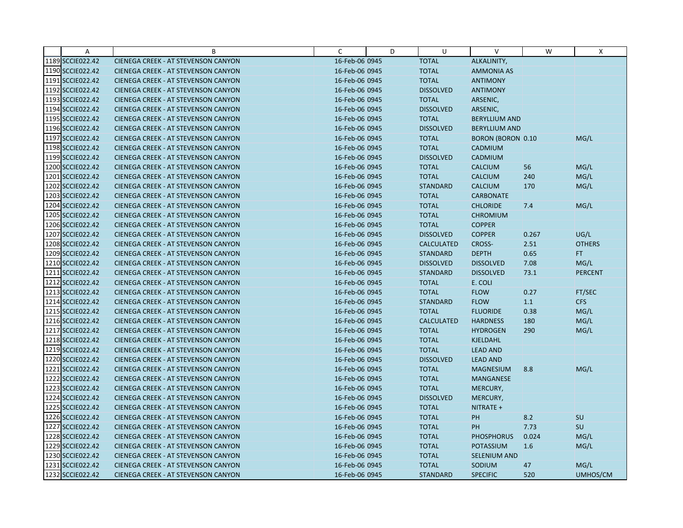| A                | B                                          | C              | D | U                 | $\vee$               | W     | Χ              |
|------------------|--------------------------------------------|----------------|---|-------------------|----------------------|-------|----------------|
| 1189 SCCIE022.42 | CIENEGA CREEK - AT STEVENSON CANYON        | 16-Feb-06 0945 |   | <b>TOTAL</b>      | ALKALINITY,          |       |                |
| 1190 SCCIE022.42 | <b>CIENEGA CREEK - AT STEVENSON CANYON</b> | 16-Feb-06 0945 |   | <b>TOTAL</b>      | <b>AMMONIA AS</b>    |       |                |
| 1191 SCCIE022.42 | <b>CIENEGA CREEK - AT STEVENSON CANYON</b> | 16-Feb-06 0945 |   | <b>TOTAL</b>      | <b>ANTIMONY</b>      |       |                |
| 1192 SCCIE022.42 | CIENEGA CREEK - AT STEVENSON CANYON        | 16-Feb-06 0945 |   | <b>DISSOLVED</b>  | <b>ANTIMONY</b>      |       |                |
| 1193 SCCIE022.42 | <b>CIENEGA CREEK - AT STEVENSON CANYON</b> | 16-Feb-06 0945 |   | <b>TOTAL</b>      | ARSENIC,             |       |                |
| 1194 SCCIE022.42 | <b>CIENEGA CREEK - AT STEVENSON CANYON</b> | 16-Feb-06 0945 |   | <b>DISSOLVED</b>  | ARSENIC,             |       |                |
| 1195 SCCIE022.42 | <b>CIENEGA CREEK - AT STEVENSON CANYON</b> | 16-Feb-06 0945 |   | <b>TOTAL</b>      | <b>BERYLLIUM AND</b> |       |                |
| 1196 SCCIE022.42 | <b>CIENEGA CREEK - AT STEVENSON CANYON</b> | 16-Feb-06 0945 |   | <b>DISSOLVED</b>  | <b>BERYLLIUM AND</b> |       |                |
| 1197 SCCIE022.42 | CIENEGA CREEK - AT STEVENSON CANYON        | 16-Feb-06 0945 |   | <b>TOTAL</b>      | BORON (BORON 0.10    |       | MG/L           |
| 1198 SCCIE022.42 | <b>CIENEGA CREEK - AT STEVENSON CANYON</b> | 16-Feb-06 0945 |   | <b>TOTAL</b>      | CADMIUM              |       |                |
| 1199 SCCIE022.42 | <b>CIENEGA CREEK - AT STEVENSON CANYON</b> | 16-Feb-06 0945 |   | <b>DISSOLVED</b>  | CADMIUM              |       |                |
| 1200 SCCIE022.42 | CIENEGA CREEK - AT STEVENSON CANYON        | 16-Feb-06 0945 |   | <b>TOTAL</b>      | <b>CALCIUM</b>       | 56    | MG/L           |
| 1201 SCCIE022.42 | CIENEGA CREEK - AT STEVENSON CANYON        | 16-Feb-06 0945 |   | <b>TOTAL</b>      | <b>CALCIUM</b>       | 240   | MG/L           |
| 1202 SCCIE022.42 | <b>CIENEGA CREEK - AT STEVENSON CANYON</b> | 16-Feb-06 0945 |   | <b>STANDARD</b>   | <b>CALCIUM</b>       | 170   | MG/L           |
| 1203 SCCIE022.42 | CIENEGA CREEK - AT STEVENSON CANYON        | 16-Feb-06 0945 |   | <b>TOTAL</b>      | <b>CARBONATE</b>     |       |                |
| 1204 SCCIE022.42 | <b>CIENEGA CREEK - AT STEVENSON CANYON</b> | 16-Feb-06 0945 |   | <b>TOTAL</b>      | <b>CHLORIDE</b>      | 7.4   | MG/L           |
| 1205 SCCIE022.42 | CIENEGA CREEK - AT STEVENSON CANYON        | 16-Feb-06 0945 |   | <b>TOTAL</b>      | <b>CHROMIUM</b>      |       |                |
| 1206 SCCIE022.42 | <b>CIENEGA CREEK - AT STEVENSON CANYON</b> | 16-Feb-06 0945 |   | <b>TOTAL</b>      | <b>COPPER</b>        |       |                |
| 1207 SCCIE022.42 | <b>CIENEGA CREEK - AT STEVENSON CANYON</b> | 16-Feb-06 0945 |   | <b>DISSOLVED</b>  | <b>COPPER</b>        | 0.267 | UG/L           |
| 1208 SCCIE022.42 | CIENEGA CREEK - AT STEVENSON CANYON        | 16-Feb-06 0945 |   | <b>CALCULATED</b> | <b>CROSS-</b>        | 2.51  | <b>OTHERS</b>  |
| 1209 SCCIE022.42 | <b>CIENEGA CREEK - AT STEVENSON CANYON</b> | 16-Feb-06 0945 |   | <b>STANDARD</b>   | <b>DEPTH</b>         | 0.65  | FT.            |
| 1210 SCCIE022.42 | <b>CIENEGA CREEK - AT STEVENSON CANYON</b> | 16-Feb-06 0945 |   | <b>DISSOLVED</b>  | <b>DISSOLVED</b>     | 7.08  | MG/L           |
| 1211 SCCIE022.42 | <b>CIENEGA CREEK - AT STEVENSON CANYON</b> | 16-Feb-06 0945 |   | <b>STANDARD</b>   | <b>DISSOLVED</b>     | 73.1  | <b>PERCENT</b> |
| 1212 SCCIE022.42 | <b>CIENEGA CREEK - AT STEVENSON CANYON</b> | 16-Feb-06 0945 |   | <b>TOTAL</b>      | E. COLI              |       |                |
| 1213 SCCIE022.42 | CIENEGA CREEK - AT STEVENSON CANYON        | 16-Feb-06 0945 |   | <b>TOTAL</b>      | <b>FLOW</b>          | 0.27  | FT/SEC         |
| 1214 SCCIE022.42 | <b>CIENEGA CREEK - AT STEVENSON CANYON</b> | 16-Feb-06 0945 |   | <b>STANDARD</b>   | <b>FLOW</b>          | 1.1   | <b>CFS</b>     |
| 1215 SCCIE022.42 | <b>CIENEGA CREEK - AT STEVENSON CANYON</b> | 16-Feb-06 0945 |   | <b>TOTAL</b>      | <b>FLUORIDE</b>      | 0.38  | MG/L           |
| 1216 SCCIE022.42 | CIENEGA CREEK - AT STEVENSON CANYON        | 16-Feb-06 0945 |   | <b>CALCULATED</b> | <b>HARDNESS</b>      | 180   | MG/L           |
| 1217 SCCIE022.42 | <b>CIENEGA CREEK - AT STEVENSON CANYON</b> | 16-Feb-06 0945 |   | <b>TOTAL</b>      | <b>HYDROGEN</b>      | 290   | MG/L           |
| 1218 SCCIE022.42 | <b>CIENEGA CREEK - AT STEVENSON CANYON</b> | 16-Feb-06 0945 |   | <b>TOTAL</b>      | KJELDAHL             |       |                |
| 1219 SCCIE022.42 | CIENEGA CREEK - AT STEVENSON CANYON        | 16-Feb-06 0945 |   | <b>TOTAL</b>      | <b>LEAD AND</b>      |       |                |
| 1220 SCCIE022.42 | <b>CIENEGA CREEK - AT STEVENSON CANYON</b> | 16-Feb-06 0945 |   | <b>DISSOLVED</b>  | <b>LEAD AND</b>      |       |                |
| 1221 SCCIE022.42 | CIENEGA CREEK - AT STEVENSON CANYON        | 16-Feb-06 0945 |   | <b>TOTAL</b>      | <b>MAGNESIUM</b>     | 8.8   | MG/L           |
| 1222 SCCIE022.42 | <b>CIENEGA CREEK - AT STEVENSON CANYON</b> | 16-Feb-06 0945 |   | <b>TOTAL</b>      | <b>MANGANESE</b>     |       |                |
| 1223 SCCIE022.42 | <b>CIENEGA CREEK - AT STEVENSON CANYON</b> | 16-Feb-06 0945 |   | <b>TOTAL</b>      | MERCURY,             |       |                |
| 1224 SCCIE022.42 | <b>CIENEGA CREEK - AT STEVENSON CANYON</b> | 16-Feb-06 0945 |   | <b>DISSOLVED</b>  | MERCURY,             |       |                |
| 1225 SCCIE022.42 | <b>CIENEGA CREEK - AT STEVENSON CANYON</b> | 16-Feb-06 0945 |   | <b>TOTAL</b>      | NITRATE +            |       |                |
| 1226 SCCIE022.42 | CIENEGA CREEK - AT STEVENSON CANYON        | 16-Feb-06 0945 |   | <b>TOTAL</b>      | PH                   | 8.2   | SU             |
| 1227 SCCIE022.42 | CIENEGA CREEK - AT STEVENSON CANYON        | 16-Feb-06 0945 |   | <b>TOTAL</b>      | PH                   | 7.73  | SU             |
| 1228 SCCIE022.42 | <b>CIENEGA CREEK - AT STEVENSON CANYON</b> | 16-Feb-06 0945 |   | <b>TOTAL</b>      | <b>PHOSPHORUS</b>    | 0.024 | MG/L           |
| 1229 SCCIE022.42 | <b>CIENEGA CREEK - AT STEVENSON CANYON</b> | 16-Feb-06 0945 |   | <b>TOTAL</b>      | POTASSIUM            | 1.6   | MG/L           |
| 1230 SCCIE022.42 | <b>CIENEGA CREEK - AT STEVENSON CANYON</b> | 16-Feb-06 0945 |   | <b>TOTAL</b>      | <b>SELENIUM AND</b>  |       |                |
| 1231 SCCIE022.42 | <b>CIENEGA CREEK - AT STEVENSON CANYON</b> | 16-Feb-06 0945 |   | <b>TOTAL</b>      | SODIUM               | 47    | MG/L           |
| 1232 SCCIE022.42 | CIENEGA CREEK - AT STEVENSON CANYON        | 16-Feb-06 0945 |   | <b>STANDARD</b>   | <b>SPECIFIC</b>      | 520   | UMHOS/CM       |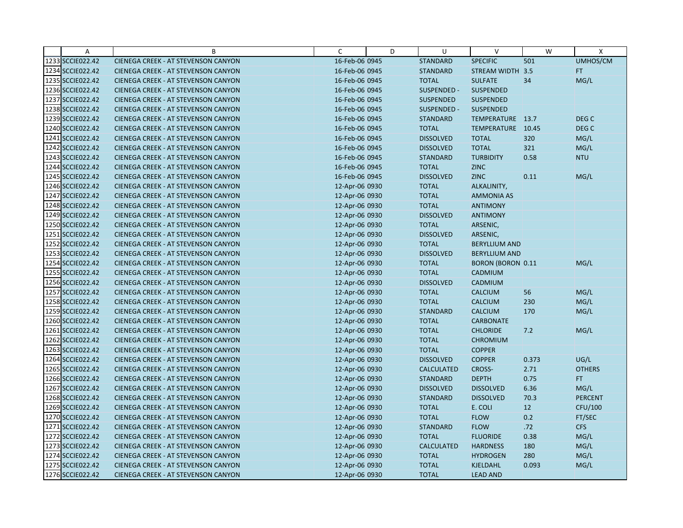| A                | B                                          | C              | D | U                 | v                        | W     | X                |
|------------------|--------------------------------------------|----------------|---|-------------------|--------------------------|-------|------------------|
| 1233 SCCIE022.42 | CIENEGA CREEK - AT STEVENSON CANYON        | 16-Feb-06 0945 |   | <b>STANDARD</b>   | <b>SPECIFIC</b>          | 501   | UMHOS/CM         |
| 1234 SCCIE022.42 | <b>CIENEGA CREEK - AT STEVENSON CANYON</b> | 16-Feb-06 0945 |   | <b>STANDARD</b>   | STREAM WIDTH 3.5         |       | FT.              |
| 1235 SCCIE022.42 | <b>CIENEGA CREEK - AT STEVENSON CANYON</b> | 16-Feb-06 0945 |   | <b>TOTAL</b>      | <b>SULFATE</b>           | 34    | MG/L             |
| 1236 SCCIE022.42 | <b>CIENEGA CREEK - AT STEVENSON CANYON</b> | 16-Feb-06 0945 |   | SUSPENDED -       | <b>SUSPENDED</b>         |       |                  |
| 1237 SCCIE022.42 | <b>CIENEGA CREEK - AT STEVENSON CANYON</b> | 16-Feb-06 0945 |   | <b>SUSPENDED</b>  | <b>SUSPENDED</b>         |       |                  |
| 1238 SCCIE022.42 | <b>CIENEGA CREEK - AT STEVENSON CANYON</b> | 16-Feb-06 0945 |   | SUSPENDED -       | SUSPENDED                |       |                  |
| 1239 SCCIE022.42 | <b>CIENEGA CREEK - AT STEVENSON CANYON</b> | 16-Feb-06 0945 |   | <b>STANDARD</b>   | TEMPERATURE 13.7         |       | DEG <sub>C</sub> |
| 1240 SCCIE022.42 | <b>CIENEGA CREEK - AT STEVENSON CANYON</b> | 16-Feb-06 0945 |   | <b>TOTAL</b>      | TEMPERATURE              | 10.45 | DEG <sub>C</sub> |
| 1241 SCCIE022.42 | <b>CIENEGA CREEK - AT STEVENSON CANYON</b> | 16-Feb-06 0945 |   | <b>DISSOLVED</b>  | <b>TOTAL</b>             | 320   | MG/L             |
| 1242 SCCIE022.42 | <b>CIENEGA CREEK - AT STEVENSON CANYON</b> | 16-Feb-06 0945 |   | <b>DISSOLVED</b>  | <b>TOTAL</b>             | 321   | MG/L             |
| 1243 SCCIE022.42 | <b>CIENEGA CREEK - AT STEVENSON CANYON</b> | 16-Feb-06 0945 |   | <b>STANDARD</b>   | <b>TURBIDITY</b>         | 0.58  | <b>NTU</b>       |
| 1244 SCCIE022.42 | <b>CIENEGA CREEK - AT STEVENSON CANYON</b> | 16-Feb-06 0945 |   | <b>TOTAL</b>      | <b>ZINC</b>              |       |                  |
| 1245 SCCIE022.42 | CIENEGA CREEK - AT STEVENSON CANYON        | 16-Feb-06 0945 |   | <b>DISSOLVED</b>  | <b>ZINC</b>              | 0.11  | MG/L             |
| 1246 SCCIE022.42 | <b>CIENEGA CREEK - AT STEVENSON CANYON</b> | 12-Apr-06 0930 |   | <b>TOTAL</b>      | ALKALINITY,              |       |                  |
| 1247 SCCIE022.42 | <b>CIENEGA CREEK - AT STEVENSON CANYON</b> | 12-Apr-06 0930 |   | <b>TOTAL</b>      | <b>AMMONIA AS</b>        |       |                  |
| 1248 SCCIE022.42 | CIENEGA CREEK - AT STEVENSON CANYON        | 12-Apr-06 0930 |   | <b>TOTAL</b>      | <b>ANTIMONY</b>          |       |                  |
| 1249 SCCIE022.42 | CIENEGA CREEK - AT STEVENSON CANYON        | 12-Apr-06 0930 |   | <b>DISSOLVED</b>  | <b>ANTIMONY</b>          |       |                  |
| 1250 SCCIE022.42 | <b>CIENEGA CREEK - AT STEVENSON CANYON</b> | 12-Apr-06 0930 |   | <b>TOTAL</b>      | ARSENIC,                 |       |                  |
| 1251 SCCIE022.42 | <b>CIENEGA CREEK - AT STEVENSON CANYON</b> | 12-Apr-06 0930 |   | <b>DISSOLVED</b>  | ARSENIC,                 |       |                  |
| 1252 SCCIE022.42 | CIENEGA CREEK - AT STEVENSON CANYON        | 12-Apr-06 0930 |   | <b>TOTAL</b>      | <b>BERYLLIUM AND</b>     |       |                  |
| 1253 SCCIE022.42 | <b>CIENEGA CREEK - AT STEVENSON CANYON</b> | 12-Apr-06 0930 |   | <b>DISSOLVED</b>  | <b>BERYLLIUM AND</b>     |       |                  |
| 1254 SCCIE022.42 | <b>CIENEGA CREEK - AT STEVENSON CANYON</b> | 12-Apr-06 0930 |   | <b>TOTAL</b>      | <b>BORON (BORON 0.11</b> |       | MG/L             |
| 1255 SCCIE022.42 | <b>CIENEGA CREEK - AT STEVENSON CANYON</b> | 12-Apr-06 0930 |   | <b>TOTAL</b>      | CADMIUM                  |       |                  |
| 1256 SCCIE022.42 | <b>CIENEGA CREEK - AT STEVENSON CANYON</b> | 12-Apr-06 0930 |   | <b>DISSOLVED</b>  | CADMIUM                  |       |                  |
| 1257 SCCIE022.42 | <b>CIENEGA CREEK - AT STEVENSON CANYON</b> | 12-Apr-06 0930 |   | <b>TOTAL</b>      | <b>CALCIUM</b>           | 56    | MG/L             |
| 1258 SCCIE022.42 | <b>CIENEGA CREEK - AT STEVENSON CANYON</b> | 12-Apr-06 0930 |   | <b>TOTAL</b>      | <b>CALCIUM</b>           | 230   | MG/L             |
| 1259 SCCIE022.42 | <b>CIENEGA CREEK - AT STEVENSON CANYON</b> | 12-Apr-06 0930 |   | <b>STANDARD</b>   | <b>CALCIUM</b>           | 170   | MG/L             |
| 1260 SCCIE022.42 | CIENEGA CREEK - AT STEVENSON CANYON        | 12-Apr-06 0930 |   | <b>TOTAL</b>      | <b>CARBONATE</b>         |       |                  |
| 1261 SCCIE022.42 | <b>CIENEGA CREEK - AT STEVENSON CANYON</b> | 12-Apr-06 0930 |   | <b>TOTAL</b>      | <b>CHLORIDE</b>          | 7.2   | MG/L             |
| 1262 SCCIE022.42 | <b>CIENEGA CREEK - AT STEVENSON CANYON</b> | 12-Apr-06 0930 |   | <b>TOTAL</b>      | <b>CHROMIUM</b>          |       |                  |
| 1263 SCCIE022.42 | <b>CIENEGA CREEK - AT STEVENSON CANYON</b> | 12-Apr-06 0930 |   | <b>TOTAL</b>      | <b>COPPER</b>            |       |                  |
| 1264 SCCIE022.42 | <b>CIENEGA CREEK - AT STEVENSON CANYON</b> | 12-Apr-06 0930 |   | <b>DISSOLVED</b>  | <b>COPPER</b>            | 0.373 | UG/L             |
| 1265 SCCIE022.42 | CIENEGA CREEK - AT STEVENSON CANYON        | 12-Apr-06 0930 |   | <b>CALCULATED</b> | CROSS-                   | 2.71  | <b>OTHERS</b>    |
| 1266 SCCIE022.42 | <b>CIENEGA CREEK - AT STEVENSON CANYON</b> | 12-Apr-06 0930 |   | <b>STANDARD</b>   | <b>DEPTH</b>             | 0.75  | FT.              |
| 1267 SCCIE022.42 | <b>CIENEGA CREEK - AT STEVENSON CANYON</b> | 12-Apr-06 0930 |   | <b>DISSOLVED</b>  | <b>DISSOLVED</b>         | 6.36  | MG/L             |
| 1268 SCCIE022.42 | <b>CIENEGA CREEK - AT STEVENSON CANYON</b> | 12-Apr-06 0930 |   | <b>STANDARD</b>   | <b>DISSOLVED</b>         | 70.3  | <b>PERCENT</b>   |
| 1269 SCCIE022.42 | <b>CIENEGA CREEK - AT STEVENSON CANYON</b> | 12-Apr-06 0930 |   | <b>TOTAL</b>      | E. COLI                  | 12    | CFU/100          |
| 1270 SCCIE022.42 | <b>CIENEGA CREEK - AT STEVENSON CANYON</b> | 12-Apr-06 0930 |   | <b>TOTAL</b>      | <b>FLOW</b>              | 0.2   | FT/SEC           |
| 1271 SCCIE022.42 | <b>CIENEGA CREEK - AT STEVENSON CANYON</b> | 12-Apr-06 0930 |   | <b>STANDARD</b>   | <b>FLOW</b>              | .72   | <b>CFS</b>       |
| 1272 SCCIE022.42 | <b>CIENEGA CREEK - AT STEVENSON CANYON</b> | 12-Apr-06 0930 |   | <b>TOTAL</b>      | <b>FLUORIDE</b>          | 0.38  | MG/L             |
| 1273 SCCIE022.42 | <b>CIENEGA CREEK - AT STEVENSON CANYON</b> | 12-Apr-06 0930 |   | <b>CALCULATED</b> | <b>HARDNESS</b>          | 180   | MG/L             |
| 1274 SCCIE022.42 | <b>CIENEGA CREEK - AT STEVENSON CANYON</b> | 12-Apr-06 0930 |   | <b>TOTAL</b>      | <b>HYDROGEN</b>          | 280   | MG/L             |
| 1275 SCCIE022.42 | <b>CIENEGA CREEK - AT STEVENSON CANYON</b> | 12-Apr-06 0930 |   | <b>TOTAL</b>      | <b>KJELDAHL</b>          | 0.093 | MG/L             |
| 1276 SCCIE022.42 | CIENEGA CREEK - AT STEVENSON CANYON        | 12-Apr-06 0930 |   | <b>TOTAL</b>      | <b>LEAD AND</b>          |       |                  |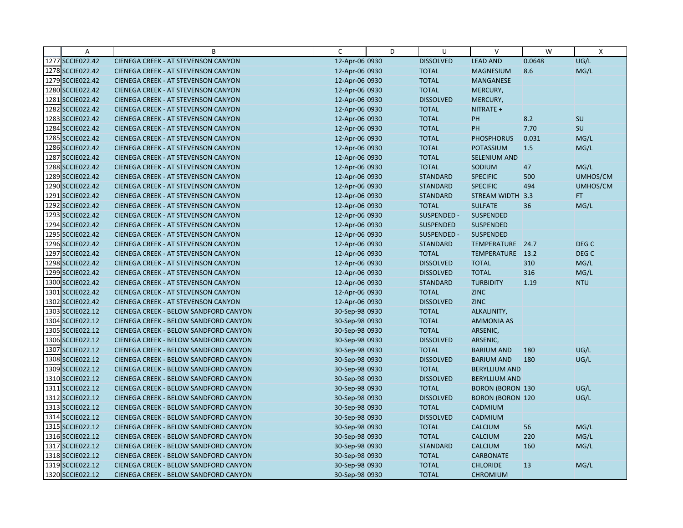| A                | B                                          | $\mathsf{C}$   | D | U                | $\vee$                  | W      | $\mathsf{X}$     |
|------------------|--------------------------------------------|----------------|---|------------------|-------------------------|--------|------------------|
| 1277 SCCIE022.42 | CIENEGA CREEK - AT STEVENSON CANYON        | 12-Apr-06 0930 |   | <b>DISSOLVED</b> | <b>LEAD AND</b>         | 0.0648 | UG/L             |
| 1278 SCCIE022.42 | <b>CIENEGA CREEK - AT STEVENSON CANYON</b> | 12-Apr-06 0930 |   | <b>TOTAL</b>     | <b>MAGNESIUM</b>        | 8.6    | MG/L             |
| 1279 SCCIE022.42 | <b>CIENEGA CREEK - AT STEVENSON CANYON</b> | 12-Apr-06 0930 |   | <b>TOTAL</b>     | <b>MANGANESE</b>        |        |                  |
| 1280 SCCIE022.42 | <b>CIENEGA CREEK - AT STEVENSON CANYON</b> | 12-Apr-06 0930 |   | <b>TOTAL</b>     | MERCURY,                |        |                  |
| 1281 SCCIE022.42 | CIENEGA CREEK - AT STEVENSON CANYON        | 12-Apr-06 0930 |   | <b>DISSOLVED</b> | MERCURY,                |        |                  |
| 1282 SCCIE022.42 | <b>CIENEGA CREEK - AT STEVENSON CANYON</b> | 12-Apr-06 0930 |   | <b>TOTAL</b>     | NITRATE +               |        |                  |
| 1283 SCCIE022.42 | <b>CIENEGA CREEK - AT STEVENSON CANYON</b> | 12-Apr-06 0930 |   | <b>TOTAL</b>     | PH                      | 8.2    | SU               |
| 1284 SCCIE022.42 | CIENEGA CREEK - AT STEVENSON CANYON        | 12-Apr-06 0930 |   | <b>TOTAL</b>     | <b>PH</b>               | 7.70   | SU               |
| 1285 SCCIE022.42 | <b>CIENEGA CREEK - AT STEVENSON CANYON</b> | 12-Apr-06 0930 |   | <b>TOTAL</b>     | <b>PHOSPHORUS</b>       | 0.031  | MG/L             |
| 1286 SCCIE022.42 | <b>CIENEGA CREEK - AT STEVENSON CANYON</b> | 12-Apr-06 0930 |   | <b>TOTAL</b>     | <b>POTASSIUM</b>        | 1.5    | MG/L             |
| 1287 SCCIE022.42 | CIENEGA CREEK - AT STEVENSON CANYON        | 12-Apr-06 0930 |   | <b>TOTAL</b>     | <b>SELENIUM AND</b>     |        |                  |
| 1288 SCCIE022.42 | <b>CIENEGA CREEK - AT STEVENSON CANYON</b> | 12-Apr-06 0930 |   | <b>TOTAL</b>     | SODIUM                  | 47     | MG/L             |
| 1289 SCCIE022.42 | <b>CIENEGA CREEK - AT STEVENSON CANYON</b> | 12-Apr-06 0930 |   | <b>STANDARD</b>  | <b>SPECIFIC</b>         | 500    | UMHOS/CM         |
| 1290 SCCIE022.42 | <b>CIENEGA CREEK - AT STEVENSON CANYON</b> | 12-Apr-06 0930 |   | <b>STANDARD</b>  | <b>SPECIFIC</b>         | 494    | UMHOS/CM         |
| 1291 SCCIE022.42 | <b>CIENEGA CREEK - AT STEVENSON CANYON</b> | 12-Apr-06 0930 |   | <b>STANDARD</b>  | STREAM WIDTH 3.3        |        | FT.              |
| 1292 SCCIE022.42 | <b>CIENEGA CREEK - AT STEVENSON CANYON</b> | 12-Apr-06 0930 |   | <b>TOTAL</b>     | <b>SULFATE</b>          | 36     | MG/L             |
| 1293 SCCIE022.42 | CIENEGA CREEK - AT STEVENSON CANYON        | 12-Apr-06 0930 |   | SUSPENDED -      | SUSPENDED               |        |                  |
| 1294 SCCIE022.42 | <b>CIENEGA CREEK - AT STEVENSON CANYON</b> | 12-Apr-06 0930 |   | <b>SUSPENDED</b> | <b>SUSPENDED</b>        |        |                  |
| 1295 SCCIE022.42 | <b>CIENEGA CREEK - AT STEVENSON CANYON</b> | 12-Apr-06 0930 |   | SUSPENDED -      | <b>SUSPENDED</b>        |        |                  |
| 1296 SCCIE022.42 | CIENEGA CREEK - AT STEVENSON CANYON        | 12-Apr-06 0930 |   | <b>STANDARD</b>  | TEMPERATURE 24.7        |        | DEG C            |
| 1297 SCCIE022.42 | <b>CIENEGA CREEK - AT STEVENSON CANYON</b> | 12-Apr-06 0930 |   | <b>TOTAL</b>     | TEMPERATURE 13.2        |        | DEG <sub>C</sub> |
| 1298 SCCIE022.42 | <b>CIENEGA CREEK - AT STEVENSON CANYON</b> | 12-Apr-06 0930 |   | <b>DISSOLVED</b> | <b>TOTAL</b>            | 310    | MG/L             |
| 1299 SCCIE022.42 | <b>CIENEGA CREEK - AT STEVENSON CANYON</b> | 12-Apr-06 0930 |   | <b>DISSOLVED</b> | <b>TOTAL</b>            | 316    | MG/L             |
| 1300 SCCIE022.42 | <b>CIENEGA CREEK - AT STEVENSON CANYON</b> | 12-Apr-06 0930 |   | <b>STANDARD</b>  | <b>TURBIDITY</b>        | 1.19   | <b>NTU</b>       |
| 1301 SCCIE022.42 | <b>CIENEGA CREEK - AT STEVENSON CANYON</b> | 12-Apr-06 0930 |   | <b>TOTAL</b>     | <b>ZINC</b>             |        |                  |
| 1302 SCCIE022.42 | <b>CIENEGA CREEK - AT STEVENSON CANYON</b> | 12-Apr-06 0930 |   | <b>DISSOLVED</b> | <b>ZINC</b>             |        |                  |
| 1303 SCCIE022.12 | CIENEGA CREEK - BELOW SANDFORD CANYON      | 30-Sep-98 0930 |   | <b>TOTAL</b>     | ALKALINITY,             |        |                  |
| 1304 SCCIE022.12 | CIENEGA CREEK - BELOW SANDFORD CANYON      | 30-Sep-98 0930 |   | <b>TOTAL</b>     | <b>AMMONIA AS</b>       |        |                  |
| 1305 SCCIE022.12 | CIENEGA CREEK - BELOW SANDFORD CANYON      | 30-Sep-98 0930 |   | <b>TOTAL</b>     | ARSENIC,                |        |                  |
| 1306 SCCIE022.12 | CIENEGA CREEK - BELOW SANDFORD CANYON      | 30-Sep-98 0930 |   | <b>DISSOLVED</b> | ARSENIC,                |        |                  |
| 1307 SCCIE022.12 | CIENEGA CREEK - BELOW SANDFORD CANYON      | 30-Sep-98 0930 |   | <b>TOTAL</b>     | <b>BARIUM AND</b>       | 180    | UG/L             |
| 1308 SCCIE022.12 | CIENEGA CREEK - BELOW SANDFORD CANYON      | 30-Sep-98 0930 |   | <b>DISSOLVED</b> | <b>BARIUM AND</b>       | 180    | UG/L             |
| 1309 SCCIE022.12 | CIENEGA CREEK - BELOW SANDFORD CANYON      | 30-Sep-98 0930 |   | <b>TOTAL</b>     | <b>BERYLLIUM AND</b>    |        |                  |
| 1310 SCCIE022.12 | CIENEGA CREEK - BELOW SANDFORD CANYON      | 30-Sep-98 0930 |   | <b>DISSOLVED</b> | <b>BERYLLIUM AND</b>    |        |                  |
| 1311 SCCIE022.12 | CIENEGA CREEK - BELOW SANDFORD CANYON      | 30-Sep-98 0930 |   | <b>TOTAL</b>     | <b>BORON (BORON 130</b> |        | UG/L             |
| 1312 SCCIE022.12 | CIENEGA CREEK - BELOW SANDFORD CANYON      | 30-Sep-98 0930 |   | <b>DISSOLVED</b> | <b>BORON (BORON 120</b> |        | UG/L             |
| 1313 SCCIE022.12 | CIENEGA CREEK - BELOW SANDFORD CANYON      | 30-Sep-98 0930 |   | <b>TOTAL</b>     | CADMIUM                 |        |                  |
| 1314 SCCIE022.12 | CIENEGA CREEK - BELOW SANDFORD CANYON      | 30-Sep-98 0930 |   | <b>DISSOLVED</b> | CADMIUM                 |        |                  |
| 1315 SCCIE022.12 | CIENEGA CREEK - BELOW SANDFORD CANYON      | 30-Sep-98 0930 |   | <b>TOTAL</b>     | <b>CALCIUM</b>          | 56     | MG/L             |
| 1316 SCCIE022.12 | CIENEGA CREEK - BELOW SANDFORD CANYON      | 30-Sep-98 0930 |   | <b>TOTAL</b>     | <b>CALCIUM</b>          | 220    | MG/L             |
| 1317 SCCIE022.12 | CIENEGA CREEK - BELOW SANDFORD CANYON      | 30-Sep-98 0930 |   | <b>STANDARD</b>  | <b>CALCIUM</b>          | 160    | MG/L             |
| 1318 SCCIE022.12 | CIENEGA CREEK - BELOW SANDFORD CANYON      | 30-Sep-98 0930 |   | <b>TOTAL</b>     | <b>CARBONATE</b>        |        |                  |
| 1319 SCCIE022.12 | CIENEGA CREEK - BELOW SANDFORD CANYON      | 30-Sep-98 0930 |   | <b>TOTAL</b>     | <b>CHLORIDE</b>         | 13     | MG/L             |
| 1320 SCCIE022.12 | CIENEGA CREEK - BELOW SANDFORD CANYON      | 30-Sep-98 0930 |   | <b>TOTAL</b>     | <b>CHROMIUM</b>         |        |                  |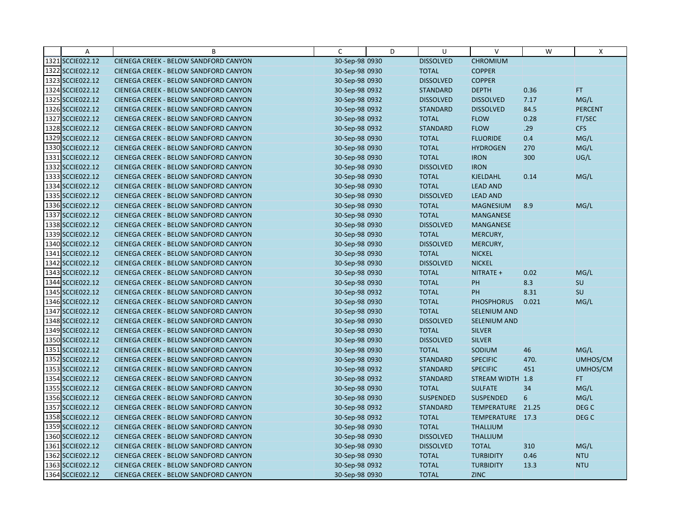| Α                | B                                     | C              | D | U                | $\vee$              | W     | X                |
|------------------|---------------------------------------|----------------|---|------------------|---------------------|-------|------------------|
| 1321 SCCIE022.12 | CIENEGA CREEK - BELOW SANDFORD CANYON | 30-Sep-98 0930 |   | <b>DISSOLVED</b> | <b>CHROMIUM</b>     |       |                  |
| 1322 SCCIE022.12 | CIENEGA CREEK - BELOW SANDFORD CANYON | 30-Sep-98 0930 |   | <b>TOTAL</b>     | <b>COPPER</b>       |       |                  |
| 1323 SCCIE022.12 | CIENEGA CREEK - BELOW SANDFORD CANYON | 30-Sep-98 0930 |   | <b>DISSOLVED</b> | <b>COPPER</b>       |       |                  |
| 1324 SCCIE022.12 | CIENEGA CREEK - BELOW SANDFORD CANYON | 30-Sep-98 0932 |   | <b>STANDARD</b>  | <b>DEPTH</b>        | 0.36  | FT.              |
| 1325 SCCIE022.12 | CIENEGA CREEK - BELOW SANDFORD CANYON | 30-Sep-98 0932 |   | <b>DISSOLVED</b> | <b>DISSOLVED</b>    | 7.17  | MG/L             |
| 1326 SCCIE022.12 | CIENEGA CREEK - BELOW SANDFORD CANYON | 30-Sep-98 0932 |   | <b>STANDARD</b>  | <b>DISSOLVED</b>    | 84.5  | <b>PERCENT</b>   |
| 1327 SCCIE022.12 | CIENEGA CREEK - BELOW SANDFORD CANYON | 30-Sep-98 0932 |   | <b>TOTAL</b>     | <b>FLOW</b>         | 0.28  | FT/SEC           |
| 1328 SCCIE022.12 | CIENEGA CREEK - BELOW SANDFORD CANYON | 30-Sep-98 0932 |   | <b>STANDARD</b>  | <b>FLOW</b>         | .29   | <b>CFS</b>       |
| 1329 SCCIE022.12 | CIENEGA CREEK - BELOW SANDFORD CANYON | 30-Sep-98 0930 |   | <b>TOTAL</b>     | <b>FLUORIDE</b>     | 0.4   | MG/L             |
| 1330 SCCIE022.12 | CIENEGA CREEK - BELOW SANDFORD CANYON | 30-Sep-98 0930 |   | <b>TOTAL</b>     | <b>HYDROGEN</b>     | 270   | MG/L             |
| 1331 SCCIE022.12 | CIENEGA CREEK - BELOW SANDFORD CANYON | 30-Sep-98 0930 |   | <b>TOTAL</b>     | <b>IRON</b>         | 300   | UG/L             |
| 1332 SCCIE022.12 | CIENEGA CREEK - BELOW SANDFORD CANYON | 30-Sep-98 0930 |   | <b>DISSOLVED</b> | <b>IRON</b>         |       |                  |
| 1333 SCCIE022.12 | CIENEGA CREEK - BELOW SANDFORD CANYON | 30-Sep-98 0930 |   | <b>TOTAL</b>     | <b>KJELDAHL</b>     | 0.14  | MG/L             |
| 1334 SCCIE022.12 | CIENEGA CREEK - BELOW SANDFORD CANYON | 30-Sep-98 0930 |   | <b>TOTAL</b>     | <b>LEAD AND</b>     |       |                  |
| 1335 SCCIE022.12 | CIENEGA CREEK - BELOW SANDFORD CANYON | 30-Sep-98 0930 |   | <b>DISSOLVED</b> | <b>LEAD AND</b>     |       |                  |
| 1336 SCCIE022.12 | CIENEGA CREEK - BELOW SANDFORD CANYON | 30-Sep-98 0930 |   | <b>TOTAL</b>     | <b>MAGNESIUM</b>    | 8.9   | MG/L             |
| 1337 SCCIE022.12 | CIENEGA CREEK - BELOW SANDFORD CANYON | 30-Sep-98 0930 |   | <b>TOTAL</b>     | <b>MANGANESE</b>    |       |                  |
| 1338 SCCIE022.12 | CIENEGA CREEK - BELOW SANDFORD CANYON | 30-Sep-98 0930 |   | <b>DISSOLVED</b> | <b>MANGANESE</b>    |       |                  |
| 1339 SCCIE022.12 | CIENEGA CREEK - BELOW SANDFORD CANYON | 30-Sep-98 0930 |   | <b>TOTAL</b>     | MERCURY,            |       |                  |
| 1340 SCCIE022.12 | CIENEGA CREEK - BELOW SANDFORD CANYON | 30-Sep-98 0930 |   | <b>DISSOLVED</b> | MERCURY,            |       |                  |
| 1341 SCCIE022.12 | CIENEGA CREEK - BELOW SANDFORD CANYON | 30-Sep-98 0930 |   | <b>TOTAL</b>     | <b>NICKEL</b>       |       |                  |
| 1342 SCCIE022.12 | CIENEGA CREEK - BELOW SANDFORD CANYON | 30-Sep-98 0930 |   | <b>DISSOLVED</b> | <b>NICKEL</b>       |       |                  |
| 1343 SCCIE022.12 | CIENEGA CREEK - BELOW SANDFORD CANYON | 30-Sep-98 0930 |   | <b>TOTAL</b>     | NITRATE +           | 0.02  | MG/L             |
| 1344 SCCIE022.12 | CIENEGA CREEK - BELOW SANDFORD CANYON | 30-Sep-98 0930 |   | <b>TOTAL</b>     | PH                  | 8.3   | SU               |
| 1345 SCCIE022.12 | CIENEGA CREEK - BELOW SANDFORD CANYON | 30-Sep-98 0932 |   | <b>TOTAL</b>     | PH                  | 8.31  | SU               |
| 1346 SCCIE022.12 | CIENEGA CREEK - BELOW SANDFORD CANYON | 30-Sep-98 0930 |   | <b>TOTAL</b>     | <b>PHOSPHORUS</b>   | 0.021 | MG/L             |
| 1347 SCCIE022.12 | CIENEGA CREEK - BELOW SANDFORD CANYON | 30-Sep-98 0930 |   | <b>TOTAL</b>     | <b>SELENIUM AND</b> |       |                  |
| 1348 SCCIE022.12 | CIENEGA CREEK - BELOW SANDFORD CANYON | 30-Sep-98 0930 |   | <b>DISSOLVED</b> | <b>SELENIUM AND</b> |       |                  |
| 1349 SCCIE022.12 | CIENEGA CREEK - BELOW SANDFORD CANYON | 30-Sep-98 0930 |   | <b>TOTAL</b>     | <b>SILVER</b>       |       |                  |
| 1350 SCCIE022.12 | CIENEGA CREEK - BELOW SANDFORD CANYON | 30-Sep-98 0930 |   | <b>DISSOLVED</b> | <b>SILVER</b>       |       |                  |
| 1351 SCCIE022.12 | CIENEGA CREEK - BELOW SANDFORD CANYON | 30-Sep-98 0930 |   | <b>TOTAL</b>     | SODIUM              | 46    | MG/L             |
| 1352 SCCIE022.12 | CIENEGA CREEK - BELOW SANDFORD CANYON | 30-Sep-98 0930 |   | <b>STANDARD</b>  | <b>SPECIFIC</b>     | 470.  | UMHOS/CM         |
| 1353 SCCIE022.12 | CIENEGA CREEK - BELOW SANDFORD CANYON | 30-Sep-98 0932 |   | <b>STANDARD</b>  | <b>SPECIFIC</b>     | 451   | UMHOS/CM         |
| 1354 SCCIE022.12 | CIENEGA CREEK - BELOW SANDFORD CANYON | 30-Sep-98 0932 |   | <b>STANDARD</b>  | STREAM WIDTH 1.8    |       | FT.              |
| 1355 SCCIE022.12 | CIENEGA CREEK - BELOW SANDFORD CANYON | 30-Sep-98 0930 |   | <b>TOTAL</b>     | <b>SULFATE</b>      | 34    | MG/L             |
| 1356 SCCIE022.12 | CIENEGA CREEK - BELOW SANDFORD CANYON | 30-Sep-98 0930 |   | <b>SUSPENDED</b> | <b>SUSPENDED</b>    | 6     | MG/L             |
| 1357 SCCIE022.12 | CIENEGA CREEK - BELOW SANDFORD CANYON | 30-Sep-98 0932 |   | <b>STANDARD</b>  | TEMPERATURE 21.25   |       | DEG <sub>C</sub> |
| 1358 SCCIE022.12 | CIENEGA CREEK - BELOW SANDFORD CANYON | 30-Sep-98 0932 |   | <b>TOTAL</b>     | TEMPERATURE 17.3    |       | DEG <sub>C</sub> |
| 1359 SCCIE022.12 | CIENEGA CREEK - BELOW SANDFORD CANYON | 30-Sep-98 0930 |   | <b>TOTAL</b>     | <b>THALLIUM</b>     |       |                  |
| 1360 SCCIE022.12 | CIENEGA CREEK - BELOW SANDFORD CANYON | 30-Sep-98 0930 |   | <b>DISSOLVED</b> | <b>THALLIUM</b>     |       |                  |
| 1361 SCCIE022.12 | CIENEGA CREEK - BELOW SANDFORD CANYON | 30-Sep-98 0930 |   | <b>DISSOLVED</b> | <b>TOTAL</b>        | 310   | MG/L             |
| 1362 SCCIE022.12 | CIENEGA CREEK - BELOW SANDFORD CANYON | 30-Sep-98 0930 |   | <b>TOTAL</b>     | <b>TURBIDITY</b>    | 0.46  | <b>NTU</b>       |
| 1363 SCCIE022.12 | CIENEGA CREEK - BELOW SANDFORD CANYON | 30-Sep-98 0932 |   | <b>TOTAL</b>     | <b>TURBIDITY</b>    | 13.3  | <b>NTU</b>       |
| 1364 SCCIE022.12 | CIENEGA CREEK - BELOW SANDFORD CANYON | 30-Sep-98 0930 |   | <b>TOTAL</b>     | <b>ZINC</b>         |       |                  |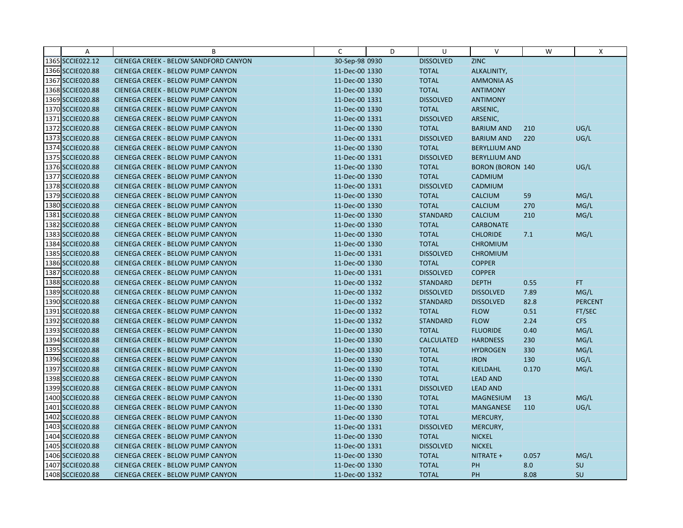| Α                | B                                        | C              | D | U                 | $\vee$                  | W     | X              |
|------------------|------------------------------------------|----------------|---|-------------------|-------------------------|-------|----------------|
| 1365 SCCIE022.12 | CIENEGA CREEK - BELOW SANDFORD CANYON    | 30-Sep-98 0930 |   | <b>DISSOLVED</b>  | <b>ZINC</b>             |       |                |
| 1366 SCCIE020.88 | <b>CIENEGA CREEK - BELOW PUMP CANYON</b> | 11-Dec-00 1330 |   | <b>TOTAL</b>      | ALKALINITY,             |       |                |
| 1367 SCCIE020.88 | <b>CIENEGA CREEK - BELOW PUMP CANYON</b> | 11-Dec-00 1330 |   | <b>TOTAL</b>      | <b>AMMONIA AS</b>       |       |                |
| 1368 SCCIE020.88 | CIENEGA CREEK - BELOW PUMP CANYON        | 11-Dec-00 1330 |   | <b>TOTAL</b>      | <b>ANTIMONY</b>         |       |                |
| 1369 SCCIE020.88 | <b>CIENEGA CREEK - BELOW PUMP CANYON</b> | 11-Dec-00 1331 |   | <b>DISSOLVED</b>  | <b>ANTIMONY</b>         |       |                |
| 1370 SCCIE020.88 | <b>CIENEGA CREEK - BELOW PUMP CANYON</b> | 11-Dec-00 1330 |   | <b>TOTAL</b>      | ARSENIC,                |       |                |
| 1371 SCCIE020.88 | <b>CIENEGA CREEK - BELOW PUMP CANYON</b> | 11-Dec-00 1331 |   | <b>DISSOLVED</b>  | ARSENIC,                |       |                |
| 1372 SCCIE020.88 | CIENEGA CREEK - BELOW PUMP CANYON        | 11-Dec-00 1330 |   | <b>TOTAL</b>      | <b>BARIUM AND</b>       | 210   | UG/L           |
| 1373 SCCIE020.88 | CIENEGA CREEK - BELOW PUMP CANYON        | 11-Dec-00 1331 |   | <b>DISSOLVED</b>  | <b>BARIUM AND</b>       | 220   | UG/L           |
| 1374 SCCIE020.88 | <b>CIENEGA CREEK - BELOW PUMP CANYON</b> | 11-Dec-00 1330 |   | <b>TOTAL</b>      | <b>BERYLLIUM AND</b>    |       |                |
| 1375 SCCIE020.88 | <b>CIENEGA CREEK - BELOW PUMP CANYON</b> | 11-Dec-00 1331 |   | <b>DISSOLVED</b>  | <b>BERYLLIUM AND</b>    |       |                |
| 1376 SCCIE020.88 | CIENEGA CREEK - BELOW PUMP CANYON        | 11-Dec-00 1330 |   | <b>TOTAL</b>      | <b>BORON (BORON 140</b> |       | UG/L           |
| 1377 SCCIE020.88 | <b>CIENEGA CREEK - BELOW PUMP CANYON</b> | 11-Dec-00 1330 |   | <b>TOTAL</b>      | CADMIUM                 |       |                |
| 1378 SCCIE020.88 | <b>CIENEGA CREEK - BELOW PUMP CANYON</b> | 11-Dec-00 1331 |   | <b>DISSOLVED</b>  | CADMIUM                 |       |                |
| 1379 SCCIE020.88 | <b>CIENEGA CREEK - BELOW PUMP CANYON</b> | 11-Dec-00 1330 |   | <b>TOTAL</b>      | <b>CALCIUM</b>          | 59    | MG/L           |
| 1380 SCCIE020.88 | <b>CIENEGA CREEK - BELOW PUMP CANYON</b> | 11-Dec-00 1330 |   | <b>TOTAL</b>      | <b>CALCIUM</b>          | 270   | MG/L           |
| 1381 SCCIE020.88 | CIENEGA CREEK - BELOW PUMP CANYON        | 11-Dec-00 1330 |   | <b>STANDARD</b>   | <b>CALCIUM</b>          | 210   | MG/L           |
| 1382 SCCIE020.88 | <b>CIENEGA CREEK - BELOW PUMP CANYON</b> | 11-Dec-00 1330 |   | <b>TOTAL</b>      | <b>CARBONATE</b>        |       |                |
| 1383 SCCIE020.88 | <b>CIENEGA CREEK - BELOW PUMP CANYON</b> | 11-Dec-00 1330 |   | <b>TOTAL</b>      | <b>CHLORIDE</b>         | 7.1   | MG/L           |
| 1384 SCCIE020.88 | CIENEGA CREEK - BELOW PUMP CANYON        | 11-Dec-00 1330 |   | <b>TOTAL</b>      | <b>CHROMIUM</b>         |       |                |
| 1385 SCCIE020.88 | <b>CIENEGA CREEK - BELOW PUMP CANYON</b> | 11-Dec-00 1331 |   | <b>DISSOLVED</b>  | <b>CHROMIUM</b>         |       |                |
| 1386 SCCIE020.88 | <b>CIENEGA CREEK - BELOW PUMP CANYON</b> | 11-Dec-00 1330 |   | <b>TOTAL</b>      | <b>COPPER</b>           |       |                |
| 1387 SCCIE020.88 | CIENEGA CREEK - BELOW PUMP CANYON        | 11-Dec-00 1331 |   | <b>DISSOLVED</b>  | <b>COPPER</b>           |       |                |
| 1388 SCCIE020.88 | <b>CIENEGA CREEK - BELOW PUMP CANYON</b> | 11-Dec-00 1332 |   | <b>STANDARD</b>   | <b>DEPTH</b>            | 0.55  | FT.            |
| 1389 SCCIE020.88 | CIENEGA CREEK - BELOW PUMP CANYON        | 11-Dec-00 1332 |   | <b>DISSOLVED</b>  | <b>DISSOLVED</b>        | 7.89  | MG/L           |
| 1390 SCCIE020.88 | <b>CIENEGA CREEK - BELOW PUMP CANYON</b> | 11-Dec-00 1332 |   | <b>STANDARD</b>   | <b>DISSOLVED</b>        | 82.8  | <b>PERCENT</b> |
| 1391 SCCIE020.88 | CIENEGA CREEK - BELOW PUMP CANYON        | 11-Dec-00 1332 |   | <b>TOTAL</b>      | <b>FLOW</b>             | 0.51  | FT/SEC         |
| 1392 SCCIE020.88 | <b>CIENEGA CREEK - BELOW PUMP CANYON</b> | 11-Dec-00 1332 |   | <b>STANDARD</b>   | <b>FLOW</b>             | 2.24  | <b>CFS</b>     |
| 1393 SCCIE020.88 | <b>CIENEGA CREEK - BELOW PUMP CANYON</b> | 11-Dec-00 1330 |   | <b>TOTAL</b>      | <b>FLUORIDE</b>         | 0.40  | MG/L           |
| 1394 SCCIE020.88 | <b>CIENEGA CREEK - BELOW PUMP CANYON</b> | 11-Dec-00 1330 |   | <b>CALCULATED</b> | <b>HARDNESS</b>         | 230   | MG/L           |
| 1395 SCCIE020.88 | CIENEGA CREEK - BELOW PUMP CANYON        | 11-Dec-00 1330 |   | <b>TOTAL</b>      | <b>HYDROGEN</b>         | 330   | MG/L           |
| 1396 SCCIE020.88 | <b>CIENEGA CREEK - BELOW PUMP CANYON</b> | 11-Dec-00 1330 |   | <b>TOTAL</b>      | <b>IRON</b>             | 130   | UG/L           |
| 1397 SCCIE020.88 | <b>CIENEGA CREEK - BELOW PUMP CANYON</b> | 11-Dec-00 1330 |   | <b>TOTAL</b>      | <b>KJELDAHL</b>         | 0.170 | MG/L           |
| 1398 SCCIE020.88 | <b>CIENEGA CREEK - BELOW PUMP CANYON</b> | 11-Dec-00 1330 |   | <b>TOTAL</b>      | <b>LEAD AND</b>         |       |                |
| 1399 SCCIE020.88 | <b>CIENEGA CREEK - BELOW PUMP CANYON</b> | 11-Dec-00 1331 |   | <b>DISSOLVED</b>  | <b>LEAD AND</b>         |       |                |
| 1400 SCCIE020.88 | <b>CIENEGA CREEK - BELOW PUMP CANYON</b> | 11-Dec-00 1330 |   | <b>TOTAL</b>      | <b>MAGNESIUM</b>        | 13    | MG/L           |
| 1401 SCCIE020.88 | <b>CIENEGA CREEK - BELOW PUMP CANYON</b> | 11-Dec-00 1330 |   | <b>TOTAL</b>      | <b>MANGANESE</b>        | 110   | UG/L           |
| 1402 SCCIE020.88 | CIENEGA CREEK - BELOW PUMP CANYON        | 11-Dec-00 1330 |   | <b>TOTAL</b>      | MERCURY,                |       |                |
| 1403 SCCIE020.88 | <b>CIENEGA CREEK - BELOW PUMP CANYON</b> | 11-Dec-00 1331 |   | <b>DISSOLVED</b>  | MERCURY,                |       |                |
| 1404 SCCIE020.88 | <b>CIENEGA CREEK - BELOW PUMP CANYON</b> | 11-Dec-00 1330 |   | <b>TOTAL</b>      | <b>NICKEL</b>           |       |                |
| 1405 SCCIE020.88 | CIENEGA CREEK - BELOW PUMP CANYON        | 11-Dec-00 1331 |   | <b>DISSOLVED</b>  | <b>NICKEL</b>           |       |                |
| 1406 SCCIE020.88 | CIENEGA CREEK - BELOW PUMP CANYON        | 11-Dec-00 1330 |   | <b>TOTAL</b>      | NITRATE +               | 0.057 | MG/L           |
| 1407 SCCIE020.88 | CIENEGA CREEK - BELOW PUMP CANYON        | 11-Dec-00 1330 |   | <b>TOTAL</b>      | PH                      | 8.0   | SU             |
| 1408 SCCIE020.88 | CIENEGA CREEK - BELOW PUMP CANYON        | 11-Dec-00 1332 |   | <b>TOTAL</b>      | PH                      | 8.08  | SU             |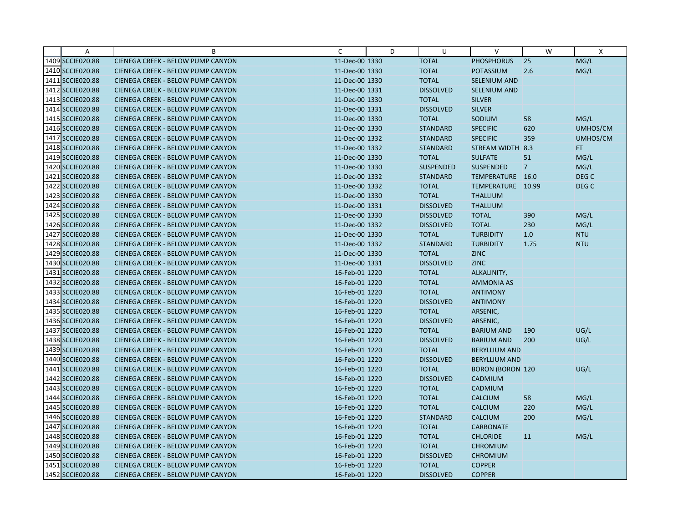| Α                | B                                        | C              | D | U                | $\vee$                  | W              | $\mathsf{X}$     |
|------------------|------------------------------------------|----------------|---|------------------|-------------------------|----------------|------------------|
| 1409 SCCIE020.88 | CIENEGA CREEK - BELOW PUMP CANYON        | 11-Dec-00 1330 |   | <b>TOTAL</b>     | <b>PHOSPHORUS</b>       | 25             | MG/L             |
| 1410 SCCIE020.88 | <b>CIENEGA CREEK - BELOW PUMP CANYON</b> | 11-Dec-00 1330 |   | <b>TOTAL</b>     | POTASSIUM               | 2.6            | MG/L             |
| 1411 SCCIE020.88 | <b>CIENEGA CREEK - BELOW PUMP CANYON</b> | 11-Dec-00 1330 |   | <b>TOTAL</b>     | <b>SELENIUM AND</b>     |                |                  |
| 1412 SCCIE020.88 | CIENEGA CREEK - BELOW PUMP CANYON        | 11-Dec-00 1331 |   | <b>DISSOLVED</b> | <b>SELENIUM AND</b>     |                |                  |
| 1413 SCCIE020.88 | CIENEGA CREEK - BELOW PUMP CANYON        | 11-Dec-00 1330 |   | <b>TOTAL</b>     | <b>SILVER</b>           |                |                  |
| 1414 SCCIE020.88 | <b>CIENEGA CREEK - BELOW PUMP CANYON</b> | 11-Dec-00 1331 |   | <b>DISSOLVED</b> | <b>SILVER</b>           |                |                  |
| 1415 SCCIE020.88 | <b>CIENEGA CREEK - BELOW PUMP CANYON</b> | 11-Dec-00 1330 |   | <b>TOTAL</b>     | SODIUM                  | 58             | MG/L             |
| 1416 SCCIE020.88 | CIENEGA CREEK - BELOW PUMP CANYON        | 11-Dec-00 1330 |   | <b>STANDARD</b>  | <b>SPECIFIC</b>         | 620            | UMHOS/CM         |
| 1417 SCCIE020.88 | CIENEGA CREEK - BELOW PUMP CANYON        | 11-Dec-00 1332 |   | <b>STANDARD</b>  | <b>SPECIFIC</b>         | 359            | UMHOS/CM         |
| 1418 SCCIE020.88 | <b>CIENEGA CREEK - BELOW PUMP CANYON</b> | 11-Dec-00 1332 |   | <b>STANDARD</b>  | STREAM WIDTH 8.3        |                | FT.              |
| 1419 SCCIE020.88 | <b>CIENEGA CREEK - BELOW PUMP CANYON</b> | 11-Dec-00 1330 |   | <b>TOTAL</b>     | <b>SULFATE</b>          | 51             | MG/L             |
| 1420 SCCIE020.88 | CIENEGA CREEK - BELOW PUMP CANYON        | 11-Dec-00 1330 |   | <b>SUSPENDED</b> | <b>SUSPENDED</b>        | 7 <sup>7</sup> | MG/L             |
| 1421 SCCIE020.88 | <b>CIENEGA CREEK - BELOW PUMP CANYON</b> | 11-Dec-00 1332 |   | <b>STANDARD</b>  | TEMPERATURE 16.0        |                | DEG C            |
| 1422 SCCIE020.88 | <b>CIENEGA CREEK - BELOW PUMP CANYON</b> | 11-Dec-00 1332 |   | <b>TOTAL</b>     | TEMPERATURE 10.99       |                | DEG <sub>C</sub> |
| 1423 SCCIE020.88 | CIENEGA CREEK - BELOW PUMP CANYON        | 11-Dec-00 1330 |   | <b>TOTAL</b>     | <b>THALLIUM</b>         |                |                  |
| 1424 SCCIE020.88 | <b>CIENEGA CREEK - BELOW PUMP CANYON</b> | 11-Dec-00 1331 |   | <b>DISSOLVED</b> | <b>THALLIUM</b>         |                |                  |
| 1425 SCCIE020.88 | <b>CIENEGA CREEK - BELOW PUMP CANYON</b> | 11-Dec-00 1330 |   | <b>DISSOLVED</b> | <b>TOTAL</b>            | 390            | MG/L             |
| 1426 SCCIE020.88 | <b>CIENEGA CREEK - BELOW PUMP CANYON</b> | 11-Dec-00 1332 |   | <b>DISSOLVED</b> | <b>TOTAL</b>            | 230            | MG/L             |
| 1427 SCCIE020.88 | CIENEGA CREEK - BELOW PUMP CANYON        | 11-Dec-00 1330 |   | <b>TOTAL</b>     | <b>TURBIDITY</b>        | 1.0            | <b>NTU</b>       |
| 1428 SCCIE020.88 | <b>CIENEGA CREEK - BELOW PUMP CANYON</b> | 11-Dec-00 1332 |   | <b>STANDARD</b>  | <b>TURBIDITY</b>        | 1.75           | <b>NTU</b>       |
| 1429 SCCIE020.88 | <b>CIENEGA CREEK - BELOW PUMP CANYON</b> | 11-Dec-00 1330 |   | <b>TOTAL</b>     | <b>ZINC</b>             |                |                  |
| 1430 SCCIE020.88 | <b>CIENEGA CREEK - BELOW PUMP CANYON</b> | 11-Dec-00 1331 |   | <b>DISSOLVED</b> | <b>ZINC</b>             |                |                  |
| 1431 SCCIE020.88 | CIENEGA CREEK - BELOW PUMP CANYON        | 16-Feb-01 1220 |   | <b>TOTAL</b>     | ALKALINITY,             |                |                  |
| 1432 SCCIE020.88 | <b>CIENEGA CREEK - BELOW PUMP CANYON</b> | 16-Feb-01 1220 |   | <b>TOTAL</b>     | <b>AMMONIA AS</b>       |                |                  |
| 1433 SCCIE020.88 | CIENEGA CREEK - BELOW PUMP CANYON        | 16-Feb-01 1220 |   | <b>TOTAL</b>     | <b>ANTIMONY</b>         |                |                  |
| 1434 SCCIE020.88 | <b>CIENEGA CREEK - BELOW PUMP CANYON</b> | 16-Feb-01 1220 |   | <b>DISSOLVED</b> | <b>ANTIMONY</b>         |                |                  |
| 1435 SCCIE020.88 | <b>CIENEGA CREEK - BELOW PUMP CANYON</b> | 16-Feb-01 1220 |   | <b>TOTAL</b>     | ARSENIC,                |                |                  |
| 1436 SCCIE020.88 | <b>CIENEGA CREEK - BELOW PUMP CANYON</b> | 16-Feb-01 1220 |   | <b>DISSOLVED</b> | ARSENIC,                |                |                  |
| 1437 SCCIE020.88 | <b>CIENEGA CREEK - BELOW PUMP CANYON</b> | 16-Feb-01 1220 |   | <b>TOTAL</b>     | <b>BARIUM AND</b>       | 190            | UG/L             |
| 1438 SCCIE020.88 | CIENEGA CREEK - BELOW PUMP CANYON        | 16-Feb-01 1220 |   | <b>DISSOLVED</b> | <b>BARIUM AND</b>       | 200            | UG/L             |
| 1439 SCCIE020.88 | CIENEGA CREEK - BELOW PUMP CANYON        | 16-Feb-01 1220 |   | <b>TOTAL</b>     | <b>BERYLLIUM AND</b>    |                |                  |
| 1440 SCCIE020.88 | <b>CIENEGA CREEK - BELOW PUMP CANYON</b> | 16-Feb-01 1220 |   | <b>DISSOLVED</b> | <b>BERYLLIUM AND</b>    |                |                  |
| 1441 SCCIE020.88 | <b>CIENEGA CREEK - BELOW PUMP CANYON</b> | 16-Feb-01 1220 |   | <b>TOTAL</b>     | <b>BORON (BORON 120</b> |                | UG/L             |
| 1442 SCCIE020.88 | CIENEGA CREEK - BELOW PUMP CANYON        | 16-Feb-01 1220 |   | <b>DISSOLVED</b> | CADMIUM                 |                |                  |
| 1443 SCCIE020.88 | <b>CIENEGA CREEK - BELOW PUMP CANYON</b> | 16-Feb-01 1220 |   | <b>TOTAL</b>     | CADMIUM                 |                |                  |
| 1444 SCCIE020.88 | <b>CIENEGA CREEK - BELOW PUMP CANYON</b> | 16-Feb-01 1220 |   | <b>TOTAL</b>     | <b>CALCIUM</b>          | 58             | MG/L             |
| 1445 SCCIE020.88 | CIENEGA CREEK - BELOW PUMP CANYON        | 16-Feb-01 1220 |   | <b>TOTAL</b>     | <b>CALCIUM</b>          | 220            | MG/L             |
| 1446 SCCIE020.88 | CIENEGA CREEK - BELOW PUMP CANYON        | 16-Feb-01 1220 |   | <b>STANDARD</b>  | CALCIUM                 | 200            | MG/L             |
| 1447 SCCIE020.88 | <b>CIENEGA CREEK - BELOW PUMP CANYON</b> | 16-Feb-01 1220 |   | <b>TOTAL</b>     | <b>CARBONATE</b>        |                |                  |
| 1448 SCCIE020.88 | <b>CIENEGA CREEK - BELOW PUMP CANYON</b> | 16-Feb-01 1220 |   | <b>TOTAL</b>     | <b>CHLORIDE</b>         | 11             | MG/L             |
| 1449 SCCIE020.88 | CIENEGA CREEK - BELOW PUMP CANYON        | 16-Feb-01 1220 |   | <b>TOTAL</b>     | <b>CHROMIUM</b>         |                |                  |
| 1450 SCCIE020.88 | CIENEGA CREEK - BELOW PUMP CANYON        | 16-Feb-01 1220 |   | <b>DISSOLVED</b> | <b>CHROMIUM</b>         |                |                  |
| 1451 SCCIE020.88 | <b>CIENEGA CREEK - BELOW PUMP CANYON</b> | 16-Feb-01 1220 |   | <b>TOTAL</b>     | <b>COPPER</b>           |                |                  |
| 1452 SCCIE020.88 | CIENEGA CREEK - BELOW PUMP CANYON        | 16-Feb-01 1220 |   | <b>DISSOLVED</b> | <b>COPPER</b>           |                |                  |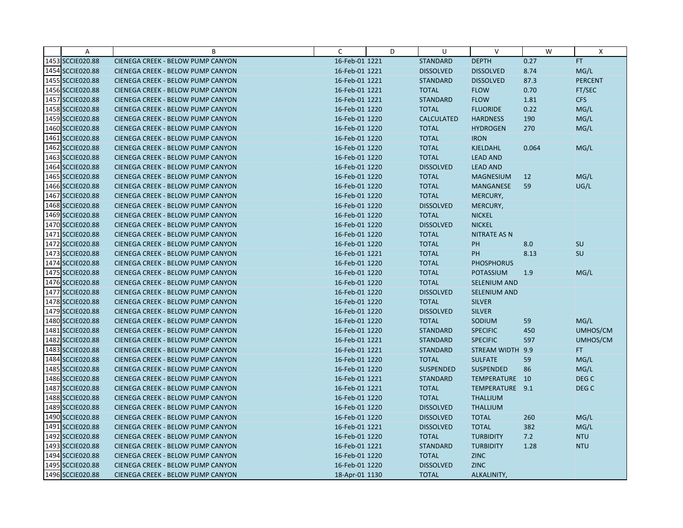| Α                | B                                        | C              | D | U                 | $\vee$              | W     | X                |
|------------------|------------------------------------------|----------------|---|-------------------|---------------------|-------|------------------|
| 1453 SCCIE020.88 | CIENEGA CREEK - BELOW PUMP CANYON        | 16-Feb-01 1221 |   | <b>STANDARD</b>   | <b>DEPTH</b>        | 0.27  | FT               |
| 1454 SCCIE020.88 | CIENEGA CREEK - BELOW PUMP CANYON        | 16-Feb-01 1221 |   | <b>DISSOLVED</b>  | <b>DISSOLVED</b>    | 8.74  | MG/L             |
| 1455 SCCIE020.88 | CIENEGA CREEK - BELOW PUMP CANYON        | 16-Feb-01 1221 |   | <b>STANDARD</b>   | <b>DISSOLVED</b>    | 87.3  | <b>PERCENT</b>   |
| 1456 SCCIE020.88 | <b>CIENEGA CREEK - BELOW PUMP CANYON</b> | 16-Feb-01 1221 |   | <b>TOTAL</b>      | <b>FLOW</b>         | 0.70  | FT/SEC           |
| 1457 SCCIE020.88 | <b>CIENEGA CREEK - BELOW PUMP CANYON</b> | 16-Feb-01 1221 |   | <b>STANDARD</b>   | <b>FLOW</b>         | 1.81  | <b>CFS</b>       |
| 1458 SCCIE020.88 | CIENEGA CREEK - BELOW PUMP CANYON        | 16-Feb-01 1220 |   | <b>TOTAL</b>      | <b>FLUORIDE</b>     | 0.22  | MG/L             |
| 1459 SCCIE020.88 | <b>CIENEGA CREEK - BELOW PUMP CANYON</b> | 16-Feb-01 1220 |   | <b>CALCULATED</b> | <b>HARDNESS</b>     | 190   | MG/L             |
| 1460 SCCIE020.88 | <b>CIENEGA CREEK - BELOW PUMP CANYON</b> | 16-Feb-01 1220 |   | <b>TOTAL</b>      | <b>HYDROGEN</b>     | 270   | MG/L             |
| 1461 SCCIE020.88 | CIENEGA CREEK - BELOW PUMP CANYON        | 16-Feb-01 1220 |   | <b>TOTAL</b>      | <b>IRON</b>         |       |                  |
| 1462 SCCIE020.88 | CIENEGA CREEK - BELOW PUMP CANYON        | 16-Feb-01 1220 |   | <b>TOTAL</b>      | <b>KJELDAHL</b>     | 0.064 | MG/L             |
| 1463 SCCIE020.88 | CIENEGA CREEK - BELOW PUMP CANYON        | 16-Feb-01 1220 |   | <b>TOTAL</b>      | <b>LEAD AND</b>     |       |                  |
| 1464 SCCIE020.88 | CIENEGA CREEK - BELOW PUMP CANYON        | 16-Feb-01 1220 |   | <b>DISSOLVED</b>  | <b>LEAD AND</b>     |       |                  |
| 1465 SCCIE020.88 | CIENEGA CREEK - BELOW PUMP CANYON        | 16-Feb-01 1220 |   | <b>TOTAL</b>      | <b>MAGNESIUM</b>    | 12    | MG/L             |
| 1466 SCCIE020.88 | <b>CIENEGA CREEK - BELOW PUMP CANYON</b> | 16-Feb-01 1220 |   | <b>TOTAL</b>      | <b>MANGANESE</b>    | 59    | UG/L             |
| 1467 SCCIE020.88 | CIENEGA CREEK - BELOW PUMP CANYON        | 16-Feb-01 1220 |   | <b>TOTAL</b>      | MERCURY,            |       |                  |
| 1468 SCCIE020.88 | CIENEGA CREEK - BELOW PUMP CANYON        | 16-Feb-01 1220 |   | <b>DISSOLVED</b>  | MERCURY,            |       |                  |
| 1469 SCCIE020.88 | CIENEGA CREEK - BELOW PUMP CANYON        | 16-Feb-01 1220 |   | <b>TOTAL</b>      | <b>NICKEL</b>       |       |                  |
| 1470 SCCIE020.88 | CIENEGA CREEK - BELOW PUMP CANYON        | 16-Feb-01 1220 |   | <b>DISSOLVED</b>  | <b>NICKEL</b>       |       |                  |
| 1471 SCCIE020.88 | CIENEGA CREEK - BELOW PUMP CANYON        | 16-Feb-01 1220 |   | <b>TOTAL</b>      | <b>NITRATE AS N</b> |       |                  |
| 1472 SCCIE020.88 | CIENEGA CREEK - BELOW PUMP CANYON        | 16-Feb-01 1220 |   | <b>TOTAL</b>      | PH                  | 8.0   | <b>SU</b>        |
| 1473 SCCIE020.88 | CIENEGA CREEK - BELOW PUMP CANYON        | 16-Feb-01 1221 |   | <b>TOTAL</b>      | PH                  | 8.13  | SU               |
| 1474 SCCIE020.88 | CIENEGA CREEK - BELOW PUMP CANYON        | 16-Feb-01 1220 |   | <b>TOTAL</b>      | <b>PHOSPHORUS</b>   |       |                  |
| 1475 SCCIE020.88 | CIENEGA CREEK - BELOW PUMP CANYON        | 16-Feb-01 1220 |   | <b>TOTAL</b>      | <b>POTASSIUM</b>    | 1.9   | MG/L             |
| 1476 SCCIE020.88 | CIENEGA CREEK - BELOW PUMP CANYON        | 16-Feb-01 1220 |   | <b>TOTAL</b>      | <b>SELENIUM AND</b> |       |                  |
| 1477 SCCIE020.88 | CIENEGA CREEK - BELOW PUMP CANYON        | 16-Feb-01 1220 |   | <b>DISSOLVED</b>  | SELENIUM AND        |       |                  |
| 1478 SCCIE020.88 | CIENEGA CREEK - BELOW PUMP CANYON        | 16-Feb-01 1220 |   | <b>TOTAL</b>      | <b>SILVER</b>       |       |                  |
| 1479 SCCIE020.88 | CIENEGA CREEK - BELOW PUMP CANYON        | 16-Feb-01 1220 |   | <b>DISSOLVED</b>  | <b>SILVER</b>       |       |                  |
| 1480 SCCIE020.88 | CIENEGA CREEK - BELOW PUMP CANYON        | 16-Feb-01 1220 |   | <b>TOTAL</b>      | SODIUM              | 59    | MG/L             |
| 1481 SCCIE020.88 | CIENEGA CREEK - BELOW PUMP CANYON        | 16-Feb-01 1220 |   | <b>STANDARD</b>   | <b>SPECIFIC</b>     | 450   | UMHOS/CM         |
| 1482 SCCIE020.88 | CIENEGA CREEK - BELOW PUMP CANYON        | 16-Feb-01 1221 |   | <b>STANDARD</b>   | <b>SPECIFIC</b>     | 597   | UMHOS/CM         |
| 1483 SCCIE020.88 | CIENEGA CREEK - BELOW PUMP CANYON        | 16-Feb-01 1221 |   | <b>STANDARD</b>   | STREAM WIDTH 9.9    |       | FT.              |
| 1484 SCCIE020.88 | CIENEGA CREEK - BELOW PUMP CANYON        | 16-Feb-01 1220 |   | <b>TOTAL</b>      | <b>SULFATE</b>      | 59    | MG/L             |
| 1485 SCCIE020.88 | CIENEGA CREEK - BELOW PUMP CANYON        | 16-Feb-01 1220 |   | <b>SUSPENDED</b>  | <b>SUSPENDED</b>    | 86    | MG/L             |
| 1486 SCCIE020.88 | CIENEGA CREEK - BELOW PUMP CANYON        | 16-Feb-01 1221 |   | <b>STANDARD</b>   | TEMPERATURE 10      |       | DEG <sub>C</sub> |
| 1487 SCCIE020.88 | CIENEGA CREEK - BELOW PUMP CANYON        | 16-Feb-01 1221 |   | <b>TOTAL</b>      | TEMPERATURE 9.1     |       | DEG <sub>C</sub> |
| 1488 SCCIE020.88 | <b>CIENEGA CREEK - BELOW PUMP CANYON</b> | 16-Feb-01 1220 |   | <b>TOTAL</b>      | <b>THALLIUM</b>     |       |                  |
| 1489 SCCIE020.88 | CIENEGA CREEK - BELOW PUMP CANYON        | 16-Feb-01 1220 |   | <b>DISSOLVED</b>  | <b>THALLIUM</b>     |       |                  |
| 1490 SCCIE020.88 | CIENEGA CREEK - BELOW PUMP CANYON        | 16-Feb-01 1220 |   | <b>DISSOLVED</b>  | <b>TOTAL</b>        | 260   | MG/L             |
| 1491 SCCIE020.88 | CIENEGA CREEK - BELOW PUMP CANYON        | 16-Feb-01 1221 |   | <b>DISSOLVED</b>  | <b>TOTAL</b>        | 382   | MG/L             |
| 1492 SCCIE020.88 | CIENEGA CREEK - BELOW PUMP CANYON        | 16-Feb-01 1220 |   | <b>TOTAL</b>      | <b>TURBIDITY</b>    | 7.2   | <b>NTU</b>       |
| 1493 SCCIE020.88 | CIENEGA CREEK - BELOW PUMP CANYON        | 16-Feb-01 1221 |   | <b>STANDARD</b>   | <b>TURBIDITY</b>    | 1.28  | <b>NTU</b>       |
| 1494 SCCIE020.88 | CIENEGA CREEK - BELOW PUMP CANYON        | 16-Feb-01 1220 |   | <b>TOTAL</b>      | <b>ZINC</b>         |       |                  |
| 1495 SCCIE020.88 | CIENEGA CREEK - BELOW PUMP CANYON        | 16-Feb-01 1220 |   | <b>DISSOLVED</b>  | <b>ZINC</b>         |       |                  |
| 1496 SCCIE020.88 | CIENEGA CREEK - BELOW PUMP CANYON        | 18-Apr-01 1130 |   | <b>TOTAL</b>      | ALKALINITY,         |       |                  |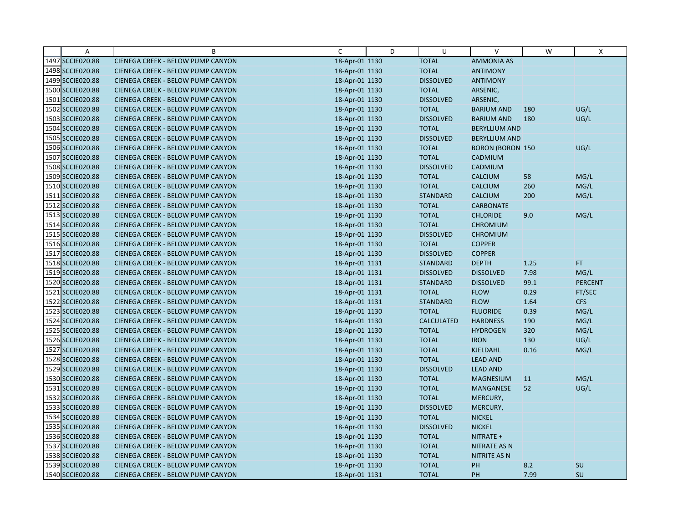| Α                | B                                        | C              | D | U                 | $\vee$                  | W    | X              |
|------------------|------------------------------------------|----------------|---|-------------------|-------------------------|------|----------------|
| 1497 SCCIE020.88 | CIENEGA CREEK - BELOW PUMP CANYON        | 18-Apr-01 1130 |   | <b>TOTAL</b>      | <b>AMMONIA AS</b>       |      |                |
| 1498 SCCIE020.88 | CIENEGA CREEK - BELOW PUMP CANYON        | 18-Apr-01 1130 |   | <b>TOTAL</b>      | <b>ANTIMONY</b>         |      |                |
| 1499 SCCIE020.88 | CIENEGA CREEK - BELOW PUMP CANYON        | 18-Apr-01 1130 |   | <b>DISSOLVED</b>  | <b>ANTIMONY</b>         |      |                |
| 1500 SCCIE020.88 | CIENEGA CREEK - BELOW PUMP CANYON        | 18-Apr-01 1130 |   | <b>TOTAL</b>      | ARSENIC,                |      |                |
| 1501 SCCIE020.88 | CIENEGA CREEK - BELOW PUMP CANYON        | 18-Apr-01 1130 |   | <b>DISSOLVED</b>  | ARSENIC,                |      |                |
| 1502 SCCIE020.88 | CIENEGA CREEK - BELOW PUMP CANYON        | 18-Apr-01 1130 |   | <b>TOTAL</b>      | <b>BARIUM AND</b>       | 180  | UG/L           |
| 1503 SCCIE020.88 | CIENEGA CREEK - BELOW PUMP CANYON        | 18-Apr-01 1130 |   | <b>DISSOLVED</b>  | <b>BARIUM AND</b>       | 180  | UG/L           |
| 1504 SCCIE020.88 | CIENEGA CREEK - BELOW PUMP CANYON        | 18-Apr-01 1130 |   | <b>TOTAL</b>      | <b>BERYLLIUM AND</b>    |      |                |
| 1505 SCCIE020.88 | CIENEGA CREEK - BELOW PUMP CANYON        | 18-Apr-01 1130 |   | <b>DISSOLVED</b>  | <b>BERYLLIUM AND</b>    |      |                |
| 1506 SCCIE020.88 | CIENEGA CREEK - BELOW PUMP CANYON        | 18-Apr-01 1130 |   | <b>TOTAL</b>      | <b>BORON (BORON 150</b> |      | UG/L           |
| 1507 SCCIE020.88 | CIENEGA CREEK - BELOW PUMP CANYON        | 18-Apr-01 1130 |   | <b>TOTAL</b>      | CADMIUM                 |      |                |
| 1508 SCCIE020.88 | CIENEGA CREEK - BELOW PUMP CANYON        | 18-Apr-01 1130 |   | <b>DISSOLVED</b>  | CADMIUM                 |      |                |
| 1509 SCCIE020.88 | CIENEGA CREEK - BELOW PUMP CANYON        | 18-Apr-01 1130 |   | <b>TOTAL</b>      | <b>CALCIUM</b>          | 58   | MG/L           |
| 1510 SCCIE020.88 | CIENEGA CREEK - BELOW PUMP CANYON        | 18-Apr-01 1130 |   | <b>TOTAL</b>      | <b>CALCIUM</b>          | 260  | MG/L           |
| 1511 SCCIE020.88 | CIENEGA CREEK - BELOW PUMP CANYON        | 18-Apr-01 1130 |   | <b>STANDARD</b>   | <b>CALCIUM</b>          | 200  | MG/L           |
| 1512 SCCIE020.88 | CIENEGA CREEK - BELOW PUMP CANYON        | 18-Apr-01 1130 |   | <b>TOTAL</b>      | <b>CARBONATE</b>        |      |                |
| 1513 SCCIE020.88 | CIENEGA CREEK - BELOW PUMP CANYON        | 18-Apr-01 1130 |   | <b>TOTAL</b>      | <b>CHLORIDE</b>         | 9.0  | MG/L           |
| 1514 SCCIE020.88 | CIENEGA CREEK - BELOW PUMP CANYON        | 18-Apr-01 1130 |   | <b>TOTAL</b>      | <b>CHROMIUM</b>         |      |                |
| 1515 SCCIE020.88 | <b>CIENEGA CREEK - BELOW PUMP CANYON</b> | 18-Apr-01 1130 |   | <b>DISSOLVED</b>  | <b>CHROMIUM</b>         |      |                |
| 1516 SCCIE020.88 | CIENEGA CREEK - BELOW PUMP CANYON        | 18-Apr-01 1130 |   | <b>TOTAL</b>      | <b>COPPER</b>           |      |                |
| 1517 SCCIE020.88 | CIENEGA CREEK - BELOW PUMP CANYON        | 18-Apr-01 1130 |   | <b>DISSOLVED</b>  | <b>COPPER</b>           |      |                |
| 1518 SCCIE020.88 | CIENEGA CREEK - BELOW PUMP CANYON        | 18-Apr-01 1131 |   | <b>STANDARD</b>   | <b>DEPTH</b>            | 1.25 | FT.            |
| 1519 SCCIE020.88 | CIENEGA CREEK - BELOW PUMP CANYON        | 18-Apr-01 1131 |   | <b>DISSOLVED</b>  | <b>DISSOLVED</b>        | 7.98 | MG/L           |
| 1520 SCCIE020.88 | CIENEGA CREEK - BELOW PUMP CANYON        | 18-Apr-01 1131 |   | <b>STANDARD</b>   | <b>DISSOLVED</b>        | 99.1 | <b>PERCENT</b> |
| 1521 SCCIE020.88 | CIENEGA CREEK - BELOW PUMP CANYON        | 18-Apr-01 1131 |   | <b>TOTAL</b>      | <b>FLOW</b>             | 0.29 | FT/SEC         |
| 1522 SCCIE020.88 | CIENEGA CREEK - BELOW PUMP CANYON        | 18-Apr-01 1131 |   | <b>STANDARD</b>   | <b>FLOW</b>             | 1.64 | <b>CFS</b>     |
| 1523 SCCIE020.88 | CIENEGA CREEK - BELOW PUMP CANYON        | 18-Apr-01 1130 |   | <b>TOTAL</b>      | <b>FLUORIDE</b>         | 0.39 | MG/L           |
| 1524 SCCIE020.88 | CIENEGA CREEK - BELOW PUMP CANYON        | 18-Apr-01 1130 |   | <b>CALCULATED</b> | <b>HARDNESS</b>         | 190  | MG/L           |
| 1525 SCCIE020.88 | CIENEGA CREEK - BELOW PUMP CANYON        | 18-Apr-01 1130 |   | <b>TOTAL</b>      | <b>HYDROGEN</b>         | 320  | MG/L           |
| 1526 SCCIE020.88 | <b>CIENEGA CREEK - BELOW PUMP CANYON</b> | 18-Apr-01 1130 |   | <b>TOTAL</b>      | <b>IRON</b>             | 130  | UG/L           |
| 1527 SCCIE020.88 | CIENEGA CREEK - BELOW PUMP CANYON        | 18-Apr-01 1130 |   | <b>TOTAL</b>      | KJELDAHL                | 0.16 | MG/L           |
| 1528 SCCIE020.88 | <b>CIENEGA CREEK - BELOW PUMP CANYON</b> | 18-Apr-01 1130 |   | <b>TOTAL</b>      | <b>LEAD AND</b>         |      |                |
| 1529 SCCIE020.88 | CIENEGA CREEK - BELOW PUMP CANYON        | 18-Apr-01 1130 |   | <b>DISSOLVED</b>  | <b>LEAD AND</b>         |      |                |
| 1530 SCCIE020.88 | <b>CIENEGA CREEK - BELOW PUMP CANYON</b> | 18-Apr-01 1130 |   | <b>TOTAL</b>      | <b>MAGNESIUM</b>        | 11   | MG/L           |
| 1531 SCCIE020.88 | CIENEGA CREEK - BELOW PUMP CANYON        | 18-Apr-01 1130 |   | <b>TOTAL</b>      | MANGANESE               | 52   | UG/L           |
| 1532 SCCIE020.88 | CIENEGA CREEK - BELOW PUMP CANYON        | 18-Apr-01 1130 |   | <b>TOTAL</b>      | MERCURY,                |      |                |
| 1533 SCCIE020.88 | CIENEGA CREEK - BELOW PUMP CANYON        | 18-Apr-01 1130 |   | <b>DISSOLVED</b>  | MERCURY,                |      |                |
| 1534 SCCIE020.88 | CIENEGA CREEK - BELOW PUMP CANYON        | 18-Apr-01 1130 |   | <b>TOTAL</b>      | <b>NICKEL</b>           |      |                |
| 1535 SCCIE020.88 | CIENEGA CREEK - BELOW PUMP CANYON        | 18-Apr-01 1130 |   | <b>DISSOLVED</b>  | <b>NICKEL</b>           |      |                |
| 1536 SCCIE020.88 | <b>CIENEGA CREEK - BELOW PUMP CANYON</b> | 18-Apr-01 1130 |   | <b>TOTAL</b>      | NITRATE +               |      |                |
| 1537 SCCIE020.88 | <b>CIENEGA CREEK - BELOW PUMP CANYON</b> | 18-Apr-01 1130 |   | <b>TOTAL</b>      | <b>NITRATE AS N</b>     |      |                |
| 1538 SCCIE020.88 | CIENEGA CREEK - BELOW PUMP CANYON        | 18-Apr-01 1130 |   | <b>TOTAL</b>      | NITRITE AS N            |      |                |
| 1539 SCCIE020.88 | CIENEGA CREEK - BELOW PUMP CANYON        | 18-Apr-01 1130 |   | <b>TOTAL</b>      | PH                      | 8.2  | <b>SU</b>      |
| 1540 SCCIE020.88 | CIENEGA CREEK - BELOW PUMP CANYON        | 18-Apr-01 1131 |   | <b>TOTAL</b>      | PH                      | 7.99 | SU             |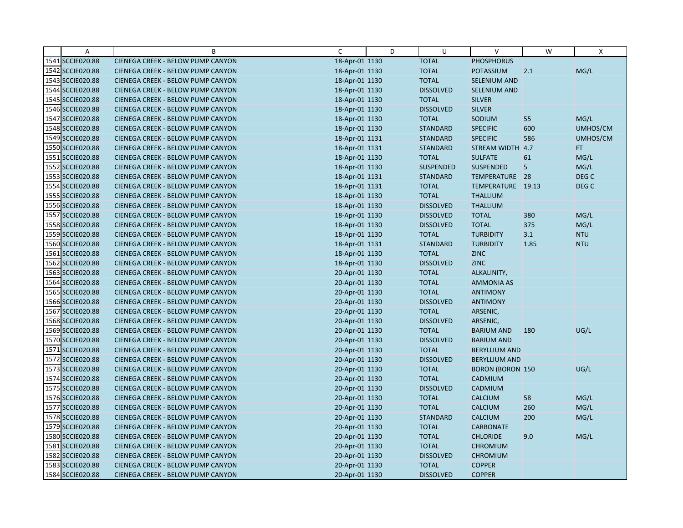| Α                | B                                        | C              | D | U                | $\vee$                  | W    | X          |
|------------------|------------------------------------------|----------------|---|------------------|-------------------------|------|------------|
| 1541 SCCIE020.88 | CIENEGA CREEK - BELOW PUMP CANYON        | 18-Apr-01 1130 |   | <b>TOTAL</b>     | <b>PHOSPHORUS</b>       |      |            |
| 1542 SCCIE020.88 | CIENEGA CREEK - BELOW PUMP CANYON        | 18-Apr-01 1130 |   | <b>TOTAL</b>     | <b>POTASSIUM</b>        | 2.1  | MG/L       |
| 1543 SCCIE020.88 | <b>CIENEGA CREEK - BELOW PUMP CANYON</b> | 18-Apr-01 1130 |   | <b>TOTAL</b>     | <b>SELENIUM AND</b>     |      |            |
| 1544 SCCIE020.88 | <b>CIENEGA CREEK - BELOW PUMP CANYON</b> | 18-Apr-01 1130 |   | <b>DISSOLVED</b> | SELENIUM AND            |      |            |
| 1545 SCCIE020.88 | CIENEGA CREEK - BELOW PUMP CANYON        | 18-Apr-01 1130 |   | <b>TOTAL</b>     | <b>SILVER</b>           |      |            |
| 1546 SCCIE020.88 | CIENEGA CREEK - BELOW PUMP CANYON        | 18-Apr-01 1130 |   | <b>DISSOLVED</b> | <b>SILVER</b>           |      |            |
| 1547 SCCIE020.88 | <b>CIENEGA CREEK - BELOW PUMP CANYON</b> | 18-Apr-01 1130 |   | <b>TOTAL</b>     | SODIUM                  | 55   | MG/L       |
| 1548 SCCIE020.88 | <b>CIENEGA CREEK - BELOW PUMP CANYON</b> | 18-Apr-01 1130 |   | <b>STANDARD</b>  | <b>SPECIFIC</b>         | 600  | UMHOS/CM   |
| 1549 SCCIE020.88 | CIENEGA CREEK - BELOW PUMP CANYON        | 18-Apr-01 1131 |   | <b>STANDARD</b>  | <b>SPECIFIC</b>         | 586  | UMHOS/CM   |
| 1550 SCCIE020.88 | CIENEGA CREEK - BELOW PUMP CANYON        | 18-Apr-01 1131 |   | <b>STANDARD</b>  | <b>STREAM WIDTH</b>     | 4.7  | FT.        |
| 1551 SCCIE020.88 | <b>CIENEGA CREEK - BELOW PUMP CANYON</b> | 18-Apr-01 1130 |   | <b>TOTAL</b>     | <b>SULFATE</b>          | 61   | MG/L       |
| 1552 SCCIE020.88 | CIENEGA CREEK - BELOW PUMP CANYON        | 18-Apr-01 1130 |   | <b>SUSPENDED</b> | <b>SUSPENDED</b>        | 5    | MG/L       |
| 1553 SCCIE020.88 | CIENEGA CREEK - BELOW PUMP CANYON        | 18-Apr-01 1131 |   | <b>STANDARD</b>  | TEMPERATURE 28          |      | DEG C      |
| 1554 SCCIE020.88 | CIENEGA CREEK - BELOW PUMP CANYON        | 18-Apr-01 1131 |   | <b>TOTAL</b>     | TEMPERATURE 19.13       |      | DEG C      |
| 1555 SCCIE020.88 | <b>CIENEGA CREEK - BELOW PUMP CANYON</b> | 18-Apr-01 1130 |   | <b>TOTAL</b>     | <b>THALLIUM</b>         |      |            |
| 1556 SCCIE020.88 | CIENEGA CREEK - BELOW PUMP CANYON        | 18-Apr-01 1130 |   | <b>DISSOLVED</b> | <b>THALLIUM</b>         |      |            |
| 1557 SCCIE020.88 | CIENEGA CREEK - BELOW PUMP CANYON        | 18-Apr-01 1130 |   | <b>DISSOLVED</b> | <b>TOTAL</b>            | 380  | MG/L       |
| 1558 SCCIE020.88 | CIENEGA CREEK - BELOW PUMP CANYON        | 18-Apr-01 1130 |   | <b>DISSOLVED</b> | <b>TOTAL</b>            | 375  | MG/L       |
| 1559 SCCIE020.88 | <b>CIENEGA CREEK - BELOW PUMP CANYON</b> | 18-Apr-01 1130 |   | <b>TOTAL</b>     | <b>TURBIDITY</b>        | 3.1  | <b>NTU</b> |
| 1560 SCCIE020.88 | CIENEGA CREEK - BELOW PUMP CANYON        | 18-Apr-01 1131 |   | <b>STANDARD</b>  | <b>TURBIDITY</b>        | 1.85 | <b>NTU</b> |
| 1561 SCCIE020.88 | CIENEGA CREEK - BELOW PUMP CANYON        | 18-Apr-01 1130 |   | <b>TOTAL</b>     | <b>ZINC</b>             |      |            |
| 1562 SCCIE020.88 | CIENEGA CREEK - BELOW PUMP CANYON        | 18-Apr-01 1130 |   | <b>DISSOLVED</b> | <b>ZINC</b>             |      |            |
| 1563 SCCIE020.88 | CIENEGA CREEK - BELOW PUMP CANYON        | 20-Apr-01 1130 |   | <b>TOTAL</b>     | ALKALINITY,             |      |            |
| 1564 SCCIE020.88 | <b>CIENEGA CREEK - BELOW PUMP CANYON</b> | 20-Apr-01 1130 |   | <b>TOTAL</b>     | <b>AMMONIA AS</b>       |      |            |
| 1565 SCCIE020.88 | CIENEGA CREEK - BELOW PUMP CANYON        | 20-Apr-01 1130 |   | <b>TOTAL</b>     | <b>ANTIMONY</b>         |      |            |
| 1566 SCCIE020.88 | <b>CIENEGA CREEK - BELOW PUMP CANYON</b> | 20-Apr-01 1130 |   | <b>DISSOLVED</b> | <b>ANTIMONY</b>         |      |            |
| 1567 SCCIE020.88 | CIENEGA CREEK - BELOW PUMP CANYON        | 20-Apr-01 1130 |   | <b>TOTAL</b>     | ARSENIC,                |      |            |
| 1568 SCCIE020.88 | CIENEGA CREEK - BELOW PUMP CANYON        | 20-Apr-01 1130 |   | <b>DISSOLVED</b> | ARSENIC,                |      |            |
| 1569 SCCIE020.88 | CIENEGA CREEK - BELOW PUMP CANYON        | 20-Apr-01 1130 |   | <b>TOTAL</b>     | <b>BARIUM AND</b>       | 180  | UG/L       |
| 1570 SCCIE020.88 | <b>CIENEGA CREEK - BELOW PUMP CANYON</b> | 20-Apr-01 1130 |   | <b>DISSOLVED</b> | <b>BARIUM AND</b>       |      |            |
| 1571 SCCIE020.88 | CIENEGA CREEK - BELOW PUMP CANYON        | 20-Apr-01 1130 |   | <b>TOTAL</b>     | <b>BERYLLIUM AND</b>    |      |            |
| 1572 SCCIE020.88 | <b>CIENEGA CREEK - BELOW PUMP CANYON</b> | 20-Apr-01 1130 |   | <b>DISSOLVED</b> | <b>BERYLLIUM AND</b>    |      |            |
| 1573 SCCIE020.88 | CIENEGA CREEK - BELOW PUMP CANYON        | 20-Apr-01 1130 |   | <b>TOTAL</b>     | <b>BORON (BORON 150</b> |      | UG/L       |
| 1574 SCCIE020.88 | <b>CIENEGA CREEK - BELOW PUMP CANYON</b> | 20-Apr-01 1130 |   | <b>TOTAL</b>     | CADMIUM                 |      |            |
| 1575 SCCIE020.88 | CIENEGA CREEK - BELOW PUMP CANYON        | 20-Apr-01 1130 |   | <b>DISSOLVED</b> | CADMIUM                 |      |            |
| 1576 SCCIE020.88 | CIENEGA CREEK - BELOW PUMP CANYON        | 20-Apr-01 1130 |   | <b>TOTAL</b>     | <b>CALCIUM</b>          | 58   | MG/L       |
| 1577 SCCIE020.88 | CIENEGA CREEK - BELOW PUMP CANYON        | 20-Apr-01 1130 |   | <b>TOTAL</b>     | <b>CALCIUM</b>          | 260  | MG/L       |
| 1578 SCCIE020.88 | CIENEGA CREEK - BELOW PUMP CANYON        | 20-Apr-01 1130 |   | <b>STANDARD</b>  | <b>CALCIUM</b>          | 200  | MG/L       |
| 1579 SCCIE020.88 | CIENEGA CREEK - BELOW PUMP CANYON        | 20-Apr-01 1130 |   | <b>TOTAL</b>     | <b>CARBONATE</b>        |      |            |
| 1580 SCCIE020.88 | <b>CIENEGA CREEK - BELOW PUMP CANYON</b> | 20-Apr-01 1130 |   | <b>TOTAL</b>     | <b>CHLORIDE</b>         | 9.0  | MG/L       |
| 1581 SCCIE020.88 | <b>CIENEGA CREEK - BELOW PUMP CANYON</b> | 20-Apr-01 1130 |   | <b>TOTAL</b>     | <b>CHROMIUM</b>         |      |            |
| 1582 SCCIE020.88 | CIENEGA CREEK - BELOW PUMP CANYON        | 20-Apr-01 1130 |   | <b>DISSOLVED</b> | <b>CHROMIUM</b>         |      |            |
| 1583 SCCIE020.88 | CIENEGA CREEK - BELOW PUMP CANYON        | 20-Apr-01 1130 |   | <b>TOTAL</b>     | <b>COPPER</b>           |      |            |
| 1584 SCCIE020.88 | CIENEGA CREEK - BELOW PUMP CANYON        | 20-Apr-01 1130 |   | <b>DISSOLVED</b> | <b>COPPER</b>           |      |            |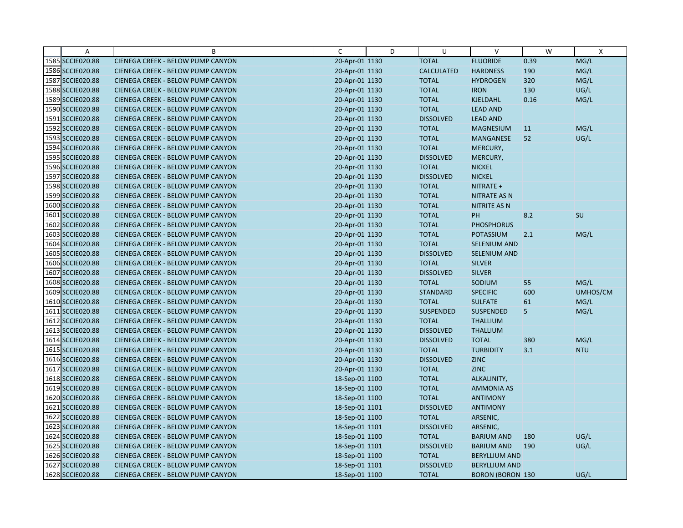| Α                | B                                        | C              | D | U                 | $\vee$                  | W    | $\mathsf{X}$ |
|------------------|------------------------------------------|----------------|---|-------------------|-------------------------|------|--------------|
| 1585 SCCIE020.88 | CIENEGA CREEK - BELOW PUMP CANYON        | 20-Apr-01 1130 |   | <b>TOTAL</b>      | <b>FLUORIDE</b>         | 0.39 | MG/L         |
| 1586 SCCIE020.88 | CIENEGA CREEK - BELOW PUMP CANYON        | 20-Apr-01 1130 |   | <b>CALCULATED</b> | <b>HARDNESS</b>         | 190  | MG/L         |
| 1587 SCCIE020.88 | <b>CIENEGA CREEK - BELOW PUMP CANYON</b> | 20-Apr-01 1130 |   | <b>TOTAL</b>      | <b>HYDROGEN</b>         | 320  | MG/L         |
| 1588 SCCIE020.88 | <b>CIENEGA CREEK - BELOW PUMP CANYON</b> | 20-Apr-01 1130 |   | <b>TOTAL</b>      | <b>IRON</b>             | 130  | UG/L         |
| 1589 SCCIE020.88 | CIENEGA CREEK - BELOW PUMP CANYON        | 20-Apr-01 1130 |   | <b>TOTAL</b>      | KJELDAHL                | 0.16 | MG/L         |
| 1590 SCCIE020.88 | CIENEGA CREEK - BELOW PUMP CANYON        | 20-Apr-01 1130 |   | <b>TOTAL</b>      | <b>LEAD AND</b>         |      |              |
| 1591 SCCIE020.88 | <b>CIENEGA CREEK - BELOW PUMP CANYON</b> | 20-Apr-01 1130 |   | <b>DISSOLVED</b>  | <b>LEAD AND</b>         |      |              |
| 1592 SCCIE020.88 | <b>CIENEGA CREEK - BELOW PUMP CANYON</b> | 20-Apr-01 1130 |   | <b>TOTAL</b>      | <b>MAGNESIUM</b>        | 11   | MG/L         |
| 1593 SCCIE020.88 | CIENEGA CREEK - BELOW PUMP CANYON        | 20-Apr-01 1130 |   | <b>TOTAL</b>      | MANGANESE               | 52   | UG/L         |
| 1594 SCCIE020.88 | CIENEGA CREEK - BELOW PUMP CANYON        | 20-Apr-01 1130 |   | <b>TOTAL</b>      | MERCURY,                |      |              |
| 1595 SCCIE020.88 | <b>CIENEGA CREEK - BELOW PUMP CANYON</b> | 20-Apr-01 1130 |   | <b>DISSOLVED</b>  | MERCURY,                |      |              |
| 1596 SCCIE020.88 | CIENEGA CREEK - BELOW PUMP CANYON        | 20-Apr-01 1130 |   | <b>TOTAL</b>      | <b>NICKEL</b>           |      |              |
| 1597 SCCIE020.88 | CIENEGA CREEK - BELOW PUMP CANYON        | 20-Apr-01 1130 |   | <b>DISSOLVED</b>  | <b>NICKEL</b>           |      |              |
| 1598 SCCIE020.88 | CIENEGA CREEK - BELOW PUMP CANYON        | 20-Apr-01 1130 |   | <b>TOTAL</b>      | NITRATE +               |      |              |
| 1599 SCCIE020.88 | <b>CIENEGA CREEK - BELOW PUMP CANYON</b> | 20-Apr-01 1130 |   | <b>TOTAL</b>      | <b>NITRATE AS N</b>     |      |              |
| 1600 SCCIE020.88 | CIENEGA CREEK - BELOW PUMP CANYON        | 20-Apr-01 1130 |   | <b>TOTAL</b>      | <b>NITRITE AS N</b>     |      |              |
| 1601 SCCIE020.88 | CIENEGA CREEK - BELOW PUMP CANYON        | 20-Apr-01 1130 |   | <b>TOTAL</b>      | PH                      | 8.2  | SU           |
| 1602 SCCIE020.88 | CIENEGA CREEK - BELOW PUMP CANYON        | 20-Apr-01 1130 |   | <b>TOTAL</b>      | <b>PHOSPHORUS</b>       |      |              |
| 1603 SCCIE020.88 | <b>CIENEGA CREEK - BELOW PUMP CANYON</b> | 20-Apr-01 1130 |   | <b>TOTAL</b>      | <b>POTASSIUM</b>        | 2.1  | MG/L         |
| 1604 SCCIE020.88 | CIENEGA CREEK - BELOW PUMP CANYON        | 20-Apr-01 1130 |   | <b>TOTAL</b>      | <b>SELENIUM AND</b>     |      |              |
| 1605 SCCIE020.88 | CIENEGA CREEK - BELOW PUMP CANYON        | 20-Apr-01 1130 |   | <b>DISSOLVED</b>  | <b>SELENIUM AND</b>     |      |              |
| 1606 SCCIE020.88 | CIENEGA CREEK - BELOW PUMP CANYON        | 20-Apr-01 1130 |   | <b>TOTAL</b>      | <b>SILVER</b>           |      |              |
| 1607 SCCIE020.88 | CIENEGA CREEK - BELOW PUMP CANYON        | 20-Apr-01 1130 |   | <b>DISSOLVED</b>  | <b>SILVER</b>           |      |              |
| 1608 SCCIE020.88 | CIENEGA CREEK - BELOW PUMP CANYON        | 20-Apr-01 1130 |   | <b>TOTAL</b>      | SODIUM                  | 55   | MG/L         |
| 1609 SCCIE020.88 | CIENEGA CREEK - BELOW PUMP CANYON        | 20-Apr-01 1130 |   | <b>STANDARD</b>   | <b>SPECIFIC</b>         | 600  | UMHOS/CM     |
| 1610 SCCIE020.88 | <b>CIENEGA CREEK - BELOW PUMP CANYON</b> | 20-Apr-01 1130 |   | <b>TOTAL</b>      | <b>SULFATE</b>          | 61   | MG/L         |
| 1611 SCCIE020.88 | CIENEGA CREEK - BELOW PUMP CANYON        | 20-Apr-01 1130 |   | <b>SUSPENDED</b>  | <b>SUSPENDED</b>        | 5    | MG/L         |
| 1612 SCCIE020.88 | CIENEGA CREEK - BELOW PUMP CANYON        | 20-Apr-01 1130 |   | <b>TOTAL</b>      | <b>THALLIUM</b>         |      |              |
| 1613 SCCIE020.88 | CIENEGA CREEK - BELOW PUMP CANYON        | 20-Apr-01 1130 |   | <b>DISSOLVED</b>  | <b>THALLIUM</b>         |      |              |
| 1614 SCCIE020.88 | <b>CIENEGA CREEK - BELOW PUMP CANYON</b> | 20-Apr-01 1130 |   | <b>DISSOLVED</b>  | <b>TOTAL</b>            | 380  | MG/L         |
| 1615 SCCIE020.88 | CIENEGA CREEK - BELOW PUMP CANYON        | 20-Apr-01 1130 |   | <b>TOTAL</b>      | <b>TURBIDITY</b>        | 3.1  | <b>NTU</b>   |
| 1616 SCCIE020.88 | <b>CIENEGA CREEK - BELOW PUMP CANYON</b> | 20-Apr-01 1130 |   | <b>DISSOLVED</b>  | <b>ZINC</b>             |      |              |
| 1617 SCCIE020.88 | CIENEGA CREEK - BELOW PUMP CANYON        | 20-Apr-01 1130 |   | <b>TOTAL</b>      | <b>ZINC</b>             |      |              |
| 1618 SCCIE020.88 | <b>CIENEGA CREEK - BELOW PUMP CANYON</b> | 18-Sep-01 1100 |   | <b>TOTAL</b>      | ALKALINITY,             |      |              |
| 1619 SCCIE020.88 | CIENEGA CREEK - BELOW PUMP CANYON        | 18-Sep-01 1100 |   | <b>TOTAL</b>      | <b>AMMONIA AS</b>       |      |              |
| 1620 SCCIE020.88 | CIENEGA CREEK - BELOW PUMP CANYON        | 18-Sep-01 1100 |   | <b>TOTAL</b>      | <b>ANTIMONY</b>         |      |              |
| 1621 SCCIE020.88 | CIENEGA CREEK - BELOW PUMP CANYON        | 18-Sep-01 1101 |   | <b>DISSOLVED</b>  | <b>ANTIMONY</b>         |      |              |
| 1622 SCCIE020.88 | CIENEGA CREEK - BELOW PUMP CANYON        | 18-Sep-01 1100 |   | <b>TOTAL</b>      | ARSENIC,                |      |              |
| 1623 SCCIE020.88 | CIENEGA CREEK - BELOW PUMP CANYON        | 18-Sep-01 1101 |   | <b>DISSOLVED</b>  | ARSENIC,                |      |              |
| 1624 SCCIE020.88 | <b>CIENEGA CREEK - BELOW PUMP CANYON</b> | 18-Sep-01 1100 |   | <b>TOTAL</b>      | <b>BARIUM AND</b>       | 180  | UG/L         |
| 1625 SCCIE020.88 | <b>CIENEGA CREEK - BELOW PUMP CANYON</b> | 18-Sep-01 1101 |   | <b>DISSOLVED</b>  | <b>BARIUM AND</b>       | 190  | UG/L         |
| 1626 SCCIE020.88 | CIENEGA CREEK - BELOW PUMP CANYON        | 18-Sep-01 1100 |   | <b>TOTAL</b>      | <b>BERYLLIUM AND</b>    |      |              |
| 1627 SCCIE020.88 | CIENEGA CREEK - BELOW PUMP CANYON        | 18-Sep-01 1101 |   | <b>DISSOLVED</b>  | <b>BERYLLIUM AND</b>    |      |              |
| 1628 SCCIE020.88 | CIENEGA CREEK - BELOW PUMP CANYON        | 18-Sep-01 1100 |   | <b>TOTAL</b>      | <b>BORON (BORON 130</b> |      | UG/L         |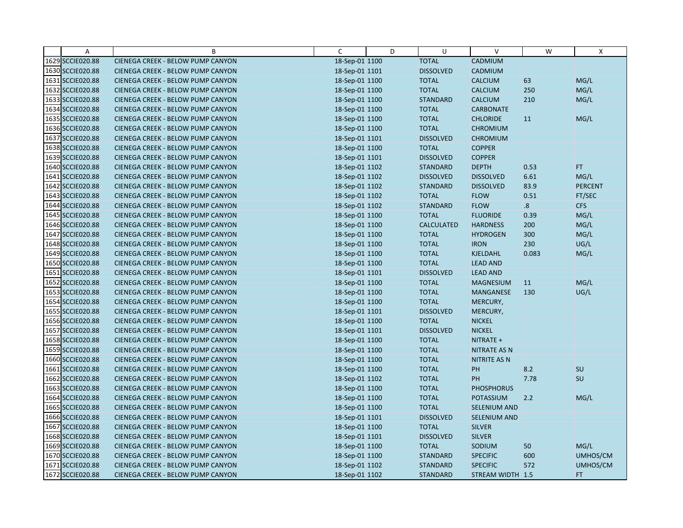| Α                | B                                        | C              | D | U                 | $\vee$              | W     | X              |
|------------------|------------------------------------------|----------------|---|-------------------|---------------------|-------|----------------|
| 1629 SCCIE020.88 | CIENEGA CREEK - BELOW PUMP CANYON        | 18-Sep-01 1100 |   | <b>TOTAL</b>      | CADMIUM             |       |                |
| 1630 SCCIE020.88 | CIENEGA CREEK - BELOW PUMP CANYON        | 18-Sep-01 1101 |   | <b>DISSOLVED</b>  | CADMIUM             |       |                |
| 1631 SCCIE020.88 | <b>CIENEGA CREEK - BELOW PUMP CANYON</b> | 18-Sep-01 1100 |   | <b>TOTAL</b>      | <b>CALCIUM</b>      | 63    | MG/L           |
| 1632 SCCIE020.88 | <b>CIENEGA CREEK - BELOW PUMP CANYON</b> | 18-Sep-01 1100 |   | <b>TOTAL</b>      | <b>CALCIUM</b>      | 250   | MG/L           |
| 1633 SCCIE020.88 | CIENEGA CREEK - BELOW PUMP CANYON        | 18-Sep-01 1100 |   | <b>STANDARD</b>   | <b>CALCIUM</b>      | 210   | MG/L           |
| 1634 SCCIE020.88 | CIENEGA CREEK - BELOW PUMP CANYON        | 18-Sep-01 1100 |   | <b>TOTAL</b>      | <b>CARBONATE</b>    |       |                |
| 1635 SCCIE020.88 | <b>CIENEGA CREEK - BELOW PUMP CANYON</b> | 18-Sep-01 1100 |   | <b>TOTAL</b>      | <b>CHLORIDE</b>     | 11    | MG/L           |
| 1636 SCCIE020.88 | <b>CIENEGA CREEK - BELOW PUMP CANYON</b> | 18-Sep-01 1100 |   | <b>TOTAL</b>      | <b>CHROMIUM</b>     |       |                |
| 1637 SCCIE020.88 | CIENEGA CREEK - BELOW PUMP CANYON        | 18-Sep-01 1101 |   | <b>DISSOLVED</b>  | <b>CHROMIUM</b>     |       |                |
| 1638 SCCIE020.88 | CIENEGA CREEK - BELOW PUMP CANYON        | 18-Sep-01 1100 |   | <b>TOTAL</b>      | <b>COPPER</b>       |       |                |
| 1639 SCCIE020.88 | <b>CIENEGA CREEK - BELOW PUMP CANYON</b> | 18-Sep-01 1101 |   | <b>DISSOLVED</b>  | <b>COPPER</b>       |       |                |
| 1640 SCCIE020.88 | CIENEGA CREEK - BELOW PUMP CANYON        | 18-Sep-01 1102 |   | <b>STANDARD</b>   | <b>DEPTH</b>        | 0.53  | FT.            |
| 1641 SCCIE020.88 | CIENEGA CREEK - BELOW PUMP CANYON        | 18-Sep-01 1102 |   | <b>DISSOLVED</b>  | <b>DISSOLVED</b>    | 6.61  | MG/L           |
| 1642 SCCIE020.88 | CIENEGA CREEK - BELOW PUMP CANYON        | 18-Sep-01 1102 |   | <b>STANDARD</b>   | <b>DISSOLVED</b>    | 83.9  | <b>PERCENT</b> |
| 1643 SCCIE020.88 | <b>CIENEGA CREEK - BELOW PUMP CANYON</b> | 18-Sep-01 1102 |   | <b>TOTAL</b>      | <b>FLOW</b>         | 0.51  | FT/SEC         |
| 1644 SCCIE020.88 | CIENEGA CREEK - BELOW PUMP CANYON        | 18-Sep-01 1102 |   | <b>STANDARD</b>   | <b>FLOW</b>         | 8.    | <b>CFS</b>     |
| 1645 SCCIE020.88 | CIENEGA CREEK - BELOW PUMP CANYON        | 18-Sep-01 1100 |   | <b>TOTAL</b>      | <b>FLUORIDE</b>     | 0.39  | MG/L           |
| 1646 SCCIE020.88 | CIENEGA CREEK - BELOW PUMP CANYON        | 18-Sep-01 1100 |   | <b>CALCULATED</b> | <b>HARDNESS</b>     | 200   | MG/L           |
| 1647 SCCIE020.88 | <b>CIENEGA CREEK - BELOW PUMP CANYON</b> | 18-Sep-01 1100 |   | <b>TOTAL</b>      | <b>HYDROGEN</b>     | 300   | MG/L           |
| 1648 SCCIE020.88 | CIENEGA CREEK - BELOW PUMP CANYON        | 18-Sep-01 1100 |   | <b>TOTAL</b>      | <b>IRON</b>         | 230   | UG/L           |
| 1649 SCCIE020.88 | CIENEGA CREEK - BELOW PUMP CANYON        | 18-Sep-01 1100 |   | <b>TOTAL</b>      | <b>KJELDAHL</b>     | 0.083 | MG/L           |
| 1650 SCCIE020.88 | CIENEGA CREEK - BELOW PUMP CANYON        | 18-Sep-01 1100 |   | <b>TOTAL</b>      | <b>LEAD AND</b>     |       |                |
| 1651 SCCIE020.88 | CIENEGA CREEK - BELOW PUMP CANYON        | 18-Sep-01 1101 |   | <b>DISSOLVED</b>  | <b>LEAD AND</b>     |       |                |
| 1652 SCCIE020.88 | CIENEGA CREEK - BELOW PUMP CANYON        | 18-Sep-01 1100 |   | <b>TOTAL</b>      | <b>MAGNESIUM</b>    | 11    | MG/L           |
| 1653 SCCIE020.88 | CIENEGA CREEK - BELOW PUMP CANYON        | 18-Sep-01 1100 |   | <b>TOTAL</b>      | MANGANESE           | 130   | UG/L           |
| 1654 SCCIE020.88 | <b>CIENEGA CREEK - BELOW PUMP CANYON</b> | 18-Sep-01 1100 |   | <b>TOTAL</b>      | MERCURY,            |       |                |
| 1655 SCCIE020.88 | CIENEGA CREEK - BELOW PUMP CANYON        | 18-Sep-01 1101 |   | <b>DISSOLVED</b>  | MERCURY,            |       |                |
| 1656 SCCIE020.88 | CIENEGA CREEK - BELOW PUMP CANYON        | 18-Sep-01 1100 |   | <b>TOTAL</b>      | <b>NICKEL</b>       |       |                |
| 1657 SCCIE020.88 | CIENEGA CREEK - BELOW PUMP CANYON        | 18-Sep-01 1101 |   | <b>DISSOLVED</b>  | <b>NICKEL</b>       |       |                |
| 1658 SCCIE020.88 | <b>CIENEGA CREEK - BELOW PUMP CANYON</b> | 18-Sep-01 1100 |   | <b>TOTAL</b>      | NITRATE +           |       |                |
| 1659 SCCIE020.88 | CIENEGA CREEK - BELOW PUMP CANYON        | 18-Sep-01 1100 |   | <b>TOTAL</b>      | <b>NITRATE AS N</b> |       |                |
| 1660 SCCIE020.88 | CIENEGA CREEK - BELOW PUMP CANYON        | 18-Sep-01 1100 |   | <b>TOTAL</b>      | <b>NITRITE AS N</b> |       |                |
| 1661 SCCIE020.88 | CIENEGA CREEK - BELOW PUMP CANYON        | 18-Sep-01 1100 |   | <b>TOTAL</b>      | PH                  | 8.2   | SU             |
| 1662 SCCIE020.88 | <b>CIENEGA CREEK - BELOW PUMP CANYON</b> | 18-Sep-01 1102 |   | <b>TOTAL</b>      | <b>PH</b>           | 7.78  | SU             |
| 1663 SCCIE020.88 | CIENEGA CREEK - BELOW PUMP CANYON        | 18-Sep-01 1100 |   | <b>TOTAL</b>      | <b>PHOSPHORUS</b>   |       |                |
| 1664 SCCIE020.88 | CIENEGA CREEK - BELOW PUMP CANYON        | 18-Sep-01 1100 |   | <b>TOTAL</b>      | <b>POTASSIUM</b>    | 2.2   | MG/L           |
| 1665 SCCIE020.88 | CIENEGA CREEK - BELOW PUMP CANYON        | 18-Sep-01 1100 |   | <b>TOTAL</b>      | <b>SELENIUM AND</b> |       |                |
| 1666 SCCIE020.88 | CIENEGA CREEK - BELOW PUMP CANYON        | 18-Sep-01 1101 |   | <b>DISSOLVED</b>  | SELENIUM AND        |       |                |
| 1667 SCCIE020.88 | CIENEGA CREEK - BELOW PUMP CANYON        | 18-Sep-01 1100 |   | <b>TOTAL</b>      | <b>SILVER</b>       |       |                |
| 1668 SCCIE020.88 | <b>CIENEGA CREEK - BELOW PUMP CANYON</b> | 18-Sep-01 1101 |   | <b>DISSOLVED</b>  | <b>SILVER</b>       |       |                |
| 1669 SCCIE020.88 | <b>CIENEGA CREEK - BELOW PUMP CANYON</b> | 18-Sep-01 1100 |   | <b>TOTAL</b>      | SODIUM              | 50    | MG/L           |
| 1670 SCCIE020.88 | CIENEGA CREEK - BELOW PUMP CANYON        | 18-Sep-01 1100 |   | <b>STANDARD</b>   | <b>SPECIFIC</b>     | 600   | UMHOS/CM       |
| 1671 SCCIE020.88 | CIENEGA CREEK - BELOW PUMP CANYON        | 18-Sep-01 1102 |   | <b>STANDARD</b>   | <b>SPECIFIC</b>     | 572   | UMHOS/CM       |
| 1672 SCCIE020.88 | CIENEGA CREEK - BELOW PUMP CANYON        | 18-Sep-01 1102 |   | <b>STANDARD</b>   | STREAM WIDTH 1.5    |       | FT.            |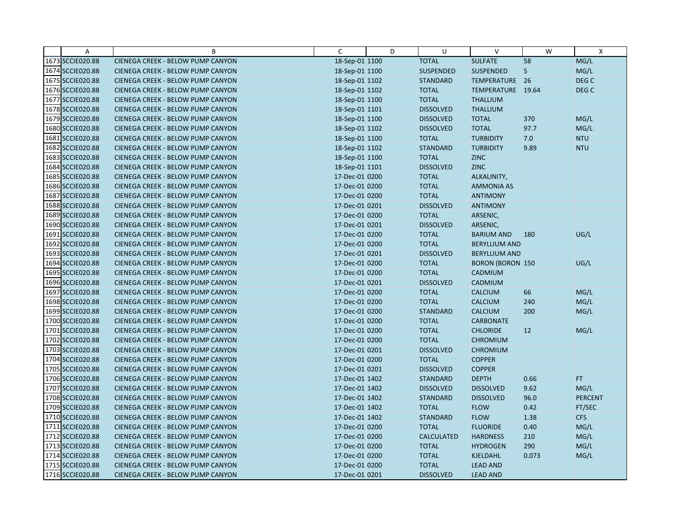| $\overline{A}$   | B                                        | C              | D | U                 | $\vee$                  | W         | $\mathsf{X}$     |
|------------------|------------------------------------------|----------------|---|-------------------|-------------------------|-----------|------------------|
| 1673 SCCIE020.88 | CIENEGA CREEK - BELOW PUMP CANYON        | 18-Sep-01 1100 |   | <b>TOTAL</b>      | <b>SULFATE</b>          | 58        | MG/L             |
| 1674 SCCIE020.88 | CIENEGA CREEK - BELOW PUMP CANYON        | 18-Sep-01 1100 |   | <b>SUSPENDED</b>  | SUSPENDED               | 5         | MG/L             |
| 1675 SCCIE020.88 | <b>CIENEGA CREEK - BELOW PUMP CANYON</b> | 18-Sep-01 1102 |   | <b>STANDARD</b>   | TEMPERATURE 26          |           | DEG <sub>C</sub> |
| 1676 SCCIE020.88 | CIENEGA CREEK - BELOW PUMP CANYON        | 18-Sep-01 1102 |   | <b>TOTAL</b>      | TEMPERATURE 19.64       |           | DEG <sub>C</sub> |
| 1677 SCCIE020.88 | CIENEGA CREEK - BELOW PUMP CANYON        | 18-Sep-01 1100 |   | <b>TOTAL</b>      | <b>THALLIUM</b>         |           |                  |
| 1678 SCCIE020.88 | <b>CIENEGA CREEK - BELOW PUMP CANYON</b> | 18-Sep-01 1101 |   | <b>DISSOLVED</b>  | <b>THALLIUM</b>         |           |                  |
| 1679 SCCIE020.88 | <b>CIENEGA CREEK - BELOW PUMP CANYON</b> | 18-Sep-01 1100 |   | <b>DISSOLVED</b>  | <b>TOTAL</b>            | 370       | MG/L             |
| 1680 SCCIE020.88 | CIENEGA CREEK - BELOW PUMP CANYON        | 18-Sep-01 1102 |   | <b>DISSOLVED</b>  | <b>TOTAL</b>            | 97.7      | MG/L             |
| 1681 SCCIE020.88 | CIENEGA CREEK - BELOW PUMP CANYON        | 18-Sep-01 1100 |   | <b>TOTAL</b>      | <b>TURBIDITY</b>        | 7.0       | <b>NTU</b>       |
| 1682 SCCIE020.88 | <b>CIENEGA CREEK - BELOW PUMP CANYON</b> | 18-Sep-01 1102 |   | <b>STANDARD</b>   | <b>TURBIDITY</b>        | 9.89      | <b>NTU</b>       |
| 1683 SCCIE020.88 | <b>CIENEGA CREEK - BELOW PUMP CANYON</b> | 18-Sep-01 1100 |   | <b>TOTAL</b>      | <b>ZINC</b>             |           |                  |
| 1684 SCCIE020.88 | CIENEGA CREEK - BELOW PUMP CANYON        | 18-Sep-01 1101 |   | <b>DISSOLVED</b>  | <b>ZINC</b>             |           |                  |
| 1685 SCCIE020.88 | CIENEGA CREEK - BELOW PUMP CANYON        | 17-Dec-01 0200 |   | <b>TOTAL</b>      | ALKALINITY,             |           |                  |
| 1686 SCCIE020.88 | <b>CIENEGA CREEK - BELOW PUMP CANYON</b> | 17-Dec-01 0200 |   | <b>TOTAL</b>      | <b>AMMONIA AS</b>       |           |                  |
| 1687 SCCIE020.88 | CIENEGA CREEK - BELOW PUMP CANYON        | 17-Dec-01 0200 |   | <b>TOTAL</b>      | <b>ANTIMONY</b>         |           |                  |
| 1688 SCCIE020.88 | <b>CIENEGA CREEK - BELOW PUMP CANYON</b> | 17-Dec-01 0201 |   | <b>DISSOLVED</b>  | <b>ANTIMONY</b>         |           |                  |
| 1689 SCCIE020.88 | CIENEGA CREEK - BELOW PUMP CANYON        | 17-Dec-01 0200 |   | <b>TOTAL</b>      | ARSENIC,                |           |                  |
| 1690 SCCIE020.88 | CIENEGA CREEK - BELOW PUMP CANYON        | 17-Dec-01 0201 |   | <b>DISSOLVED</b>  | ARSENIC,                |           |                  |
| 1691 SCCIE020.88 | CIENEGA CREEK - BELOW PUMP CANYON        | 17-Dec-01 0200 |   | <b>TOTAL</b>      | <b>BARIUM AND</b>       | 180       | UG/L             |
| 1692 SCCIE020.88 | <b>CIENEGA CREEK - BELOW PUMP CANYON</b> | 17-Dec-01 0200 |   | <b>TOTAL</b>      | <b>BERYLLIUM AND</b>    |           |                  |
| 1693 SCCIE020.88 | CIENEGA CREEK - BELOW PUMP CANYON        | 17-Dec-01 0201 |   | <b>DISSOLVED</b>  | <b>BERYLLIUM AND</b>    |           |                  |
| 1694 SCCIE020.88 | <b>CIENEGA CREEK - BELOW PUMP CANYON</b> | 17-Dec-01 0200 |   | <b>TOTAL</b>      | <b>BORON (BORON 150</b> |           | UG/L             |
| 1695 SCCIE020.88 | CIENEGA CREEK - BELOW PUMP CANYON        | 17-Dec-01 0200 |   | <b>TOTAL</b>      | CADMIUM                 |           |                  |
| 1696 SCCIE020.88 | <b>CIENEGA CREEK - BELOW PUMP CANYON</b> | 17-Dec-01 0201 |   | <b>DISSOLVED</b>  | CADMIUM                 |           |                  |
| 1697 SCCIE020.88 | CIENEGA CREEK - BELOW PUMP CANYON        | 17-Dec-01 0200 |   | <b>TOTAL</b>      | <b>CALCIUM</b>          | 66        | MG/L             |
| 1698 SCCIE020.88 | <b>CIENEGA CREEK - BELOW PUMP CANYON</b> | 17-Dec-01 0200 |   | <b>TOTAL</b>      | <b>CALCIUM</b>          | 240       | MG/L             |
| 1699 SCCIE020.88 | CIENEGA CREEK - BELOW PUMP CANYON        | 17-Dec-01 0200 |   | <b>STANDARD</b>   | <b>CALCIUM</b>          | 200       | MG/L             |
| 1700 SCCIE020.88 | CIENEGA CREEK - BELOW PUMP CANYON        | 17-Dec-01 0200 |   | <b>TOTAL</b>      | <b>CARBONATE</b>        |           |                  |
| 1701 SCCIE020.88 | <b>CIENEGA CREEK - BELOW PUMP CANYON</b> | 17-Dec-01 0200 |   | <b>TOTAL</b>      | <b>CHLORIDE</b>         | <b>12</b> | MG/L             |
| 1702 SCCIE020.88 | CIENEGA CREEK - BELOW PUMP CANYON        | 17-Dec-01 0200 |   | <b>TOTAL</b>      | <b>CHROMIUM</b>         |           |                  |
| 1703 SCCIE020.88 | CIENEGA CREEK - BELOW PUMP CANYON        | 17-Dec-01 0201 |   | <b>DISSOLVED</b>  | <b>CHROMIUM</b>         |           |                  |
| 1704 SCCIE020.88 | <b>CIENEGA CREEK - BELOW PUMP CANYON</b> | 17-Dec-01 0200 |   | <b>TOTAL</b>      | <b>COPPER</b>           |           |                  |
| 1705 SCCIE020.88 | <b>CIENEGA CREEK - BELOW PUMP CANYON</b> | 17-Dec-01 0201 |   | <b>DISSOLVED</b>  | <b>COPPER</b>           |           |                  |
| 1706 SCCIE020.88 | CIENEGA CREEK - BELOW PUMP CANYON        | 17-Dec-01 1402 |   | <b>STANDARD</b>   | <b>DEPTH</b>            | 0.66      | FT.              |
| 1707 SCCIE020.88 | CIENEGA CREEK - BELOW PUMP CANYON        | 17-Dec-01 1402 |   | <b>DISSOLVED</b>  | <b>DISSOLVED</b>        | 9.62      | MG/L             |
| 1708 SCCIE020.88 | <b>CIENEGA CREEK - BELOW PUMP CANYON</b> | 17-Dec-01 1402 |   | <b>STANDARD</b>   | <b>DISSOLVED</b>        | 96.0      | <b>PERCENT</b>   |
| 1709 SCCIE020.88 | CIENEGA CREEK - BELOW PUMP CANYON        | 17-Dec-01 1402 |   | <b>TOTAL</b>      | <b>FLOW</b>             | 0.42      | FT/SEC           |
| 1710 SCCIE020.88 | CIENEGA CREEK - BELOW PUMP CANYON        | 17-Dec-01 1402 |   | <b>STANDARD</b>   | <b>FLOW</b>             | 1.38      | <b>CFS</b>       |
| 1711 SCCIE020.88 | CIENEGA CREEK - BELOW PUMP CANYON        | 17-Dec-01 0200 |   | <b>TOTAL</b>      | <b>FLUORIDE</b>         | 0.40      | MG/L             |
| 1712 SCCIE020.88 | <b>CIENEGA CREEK - BELOW PUMP CANYON</b> | 17-Dec-01 0200 |   | <b>CALCULATED</b> | <b>HARDNESS</b>         | 210       | MG/L             |
| 1713 SCCIE020.88 | CIENEGA CREEK - BELOW PUMP CANYON        | 17-Dec-01 0200 |   | <b>TOTAL</b>      | <b>HYDROGEN</b>         | 290       | MG/L             |
| 1714 SCCIE020.88 | CIENEGA CREEK - BELOW PUMP CANYON        | 17-Dec-01 0200 |   | <b>TOTAL</b>      | <b>KJELDAHL</b>         | 0.073     | MG/L             |
| 1715 SCCIE020.88 | CIENEGA CREEK - BELOW PUMP CANYON        | 17-Dec-01 0200 |   | <b>TOTAL</b>      | <b>LEAD AND</b>         |           |                  |
| 1716 SCCIE020.88 | CIENEGA CREEK - BELOW PUMP CANYON        | 17-Dec-01 0201 |   | <b>DISSOLVED</b>  | <b>LEAD AND</b>         |           |                  |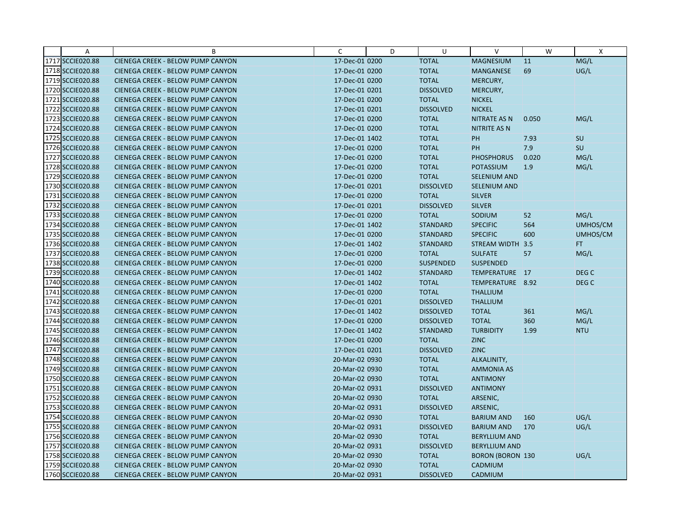| Α                | B                                        | $\mathsf{C}$   | D | U                | $\vee$                  | W     | $\mathsf{X}$     |
|------------------|------------------------------------------|----------------|---|------------------|-------------------------|-------|------------------|
| 1717 SCCIE020.88 | CIENEGA CREEK - BELOW PUMP CANYON        | 17-Dec-01 0200 |   | <b>TOTAL</b>     | <b>MAGNESIUM</b>        | 11    | MG/L             |
| 1718 SCCIE020.88 | CIENEGA CREEK - BELOW PUMP CANYON        | 17-Dec-01 0200 |   | <b>TOTAL</b>     | MANGANESE               | 69    | UG/L             |
| 1719 SCCIE020.88 | <b>CIENEGA CREEK - BELOW PUMP CANYON</b> | 17-Dec-01 0200 |   | <b>TOTAL</b>     | MERCURY,                |       |                  |
| 1720 SCCIE020.88 | CIENEGA CREEK - BELOW PUMP CANYON        | 17-Dec-01 0201 |   | <b>DISSOLVED</b> | MERCURY,                |       |                  |
| 1721 SCCIE020.88 | CIENEGA CREEK - BELOW PUMP CANYON        | 17-Dec-01 0200 |   | <b>TOTAL</b>     | <b>NICKEL</b>           |       |                  |
| 1722 SCCIE020.88 | <b>CIENEGA CREEK - BELOW PUMP CANYON</b> | 17-Dec-01 0201 |   | <b>DISSOLVED</b> | <b>NICKEL</b>           |       |                  |
| 1723 SCCIE020.88 | <b>CIENEGA CREEK - BELOW PUMP CANYON</b> | 17-Dec-01 0200 |   | <b>TOTAL</b>     | <b>NITRATE AS N</b>     | 0.050 | MG/L             |
| 1724 SCCIE020.88 | CIENEGA CREEK - BELOW PUMP CANYON        | 17-Dec-01 0200 |   | <b>TOTAL</b>     | <b>NITRITE AS N</b>     |       |                  |
| 1725 SCCIE020.88 | CIENEGA CREEK - BELOW PUMP CANYON        | 17-Dec-01 1402 |   | <b>TOTAL</b>     | PH                      | 7.93  | <b>SU</b>        |
| 1726 SCCIE020.88 | <b>CIENEGA CREEK - BELOW PUMP CANYON</b> | 17-Dec-01 0200 |   | <b>TOTAL</b>     | <b>PH</b>               | 7.9   | SU               |
| 1727 SCCIE020.88 | <b>CIENEGA CREEK - BELOW PUMP CANYON</b> | 17-Dec-01 0200 |   | <b>TOTAL</b>     | <b>PHOSPHORUS</b>       | 0.020 | MG/L             |
| 1728 SCCIE020.88 | CIENEGA CREEK - BELOW PUMP CANYON        | 17-Dec-01 0200 |   | <b>TOTAL</b>     | POTASSIUM               | 1.9   | MG/L             |
| 1729 SCCIE020.88 | <b>CIENEGA CREEK - BELOW PUMP CANYON</b> | 17-Dec-01 0200 |   | <b>TOTAL</b>     | <b>SELENIUM AND</b>     |       |                  |
| 1730 SCCIE020.88 | <b>CIENEGA CREEK - BELOW PUMP CANYON</b> | 17-Dec-01 0201 |   | <b>DISSOLVED</b> | <b>SELENIUM AND</b>     |       |                  |
| 1731 SCCIE020.88 | CIENEGA CREEK - BELOW PUMP CANYON        | 17-Dec-01 0200 |   | <b>TOTAL</b>     | <b>SILVER</b>           |       |                  |
| 1732 SCCIE020.88 | <b>CIENEGA CREEK - BELOW PUMP CANYON</b> | 17-Dec-01 0201 |   | <b>DISSOLVED</b> | <b>SILVER</b>           |       |                  |
| 1733 SCCIE020.88 | <b>CIENEGA CREEK - BELOW PUMP CANYON</b> | 17-Dec-01 0200 |   | <b>TOTAL</b>     | SODIUM                  | 52    | MG/L             |
| 1734 SCCIE020.88 | <b>CIENEGA CREEK - BELOW PUMP CANYON</b> | 17-Dec-01 1402 |   | <b>STANDARD</b>  | <b>SPECIFIC</b>         | 564   | UMHOS/CM         |
| 1735 SCCIE020.88 | CIENEGA CREEK - BELOW PUMP CANYON        | 17-Dec-01 0200 |   | <b>STANDARD</b>  | <b>SPECIFIC</b>         | 600   | UMHOS/CM         |
| 1736 SCCIE020.88 | <b>CIENEGA CREEK - BELOW PUMP CANYON</b> | 17-Dec-01 1402 |   | <b>STANDARD</b>  | STREAM WIDTH 3.5        |       | FT.              |
| 1737 SCCIE020.88 | <b>CIENEGA CREEK - BELOW PUMP CANYON</b> | 17-Dec-01 0200 |   | <b>TOTAL</b>     | <b>SULFATE</b>          | 57    | MG/L             |
| 1738 SCCIE020.88 | <b>CIENEGA CREEK - BELOW PUMP CANYON</b> | 17-Dec-01 0200 |   | <b>SUSPENDED</b> | <b>SUSPENDED</b>        |       |                  |
| 1739 SCCIE020.88 | CIENEGA CREEK - BELOW PUMP CANYON        | 17-Dec-01 1402 |   | <b>STANDARD</b>  | TEMPERATURE 17          |       | DEG C            |
| 1740 SCCIE020.88 | <b>CIENEGA CREEK - BELOW PUMP CANYON</b> | 17-Dec-01 1402 |   | <b>TOTAL</b>     | TEMPERATURE 8.92        |       | DEG <sub>C</sub> |
| 1741 SCCIE020.88 | CIENEGA CREEK - BELOW PUMP CANYON        | 17-Dec-01 0200 |   | <b>TOTAL</b>     | <b>THALLIUM</b>         |       |                  |
| 1742 SCCIE020.88 | <b>CIENEGA CREEK - BELOW PUMP CANYON</b> | 17-Dec-01 0201 |   | <b>DISSOLVED</b> | <b>THALLIUM</b>         |       |                  |
| 1743 SCCIE020.88 | CIENEGA CREEK - BELOW PUMP CANYON        | 17-Dec-01 1402 |   | <b>DISSOLVED</b> | <b>TOTAL</b>            | 361   | MG/L             |
| 1744 SCCIE020.88 | CIENEGA CREEK - BELOW PUMP CANYON        | 17-Dec-01 0200 |   | <b>DISSOLVED</b> | <b>TOTAL</b>            | 360   | MG/L             |
| 1745 SCCIE020.88 | <b>CIENEGA CREEK - BELOW PUMP CANYON</b> | 17-Dec-01 1402 |   | <b>STANDARD</b>  | <b>TURBIDITY</b>        | 1.99  | <b>NTU</b>       |
| 1746 SCCIE020.88 | CIENEGA CREEK - BELOW PUMP CANYON        | 17-Dec-01 0200 |   | <b>TOTAL</b>     | <b>ZINC</b>             |       |                  |
| 1747 SCCIE020.88 | CIENEGA CREEK - BELOW PUMP CANYON        | 17-Dec-01 0201 |   | <b>DISSOLVED</b> | <b>ZINC</b>             |       |                  |
| 1748 SCCIE020.88 | <b>CIENEGA CREEK - BELOW PUMP CANYON</b> | 20-Mar-02 0930 |   | <b>TOTAL</b>     | ALKALINITY,             |       |                  |
| 1749 SCCIE020.88 | <b>CIENEGA CREEK - BELOW PUMP CANYON</b> | 20-Mar-02 0930 |   | <b>TOTAL</b>     | <b>AMMONIA AS</b>       |       |                  |
| 1750 SCCIE020.88 | CIENEGA CREEK - BELOW PUMP CANYON        | 20-Mar-02 0930 |   | <b>TOTAL</b>     | <b>ANTIMONY</b>         |       |                  |
| 1751 SCCIE020.88 | <b>CIENEGA CREEK - BELOW PUMP CANYON</b> | 20-Mar-02 0931 |   | <b>DISSOLVED</b> | <b>ANTIMONY</b>         |       |                  |
| 1752 SCCIE020.88 | CIENEGA CREEK - BELOW PUMP CANYON        | 20-Mar-02 0930 |   | <b>TOTAL</b>     | ARSENIC,                |       |                  |
| 1753 SCCIE020.88 | CIENEGA CREEK - BELOW PUMP CANYON        | 20-Mar-02 0931 |   | <b>DISSOLVED</b> | ARSENIC,                |       |                  |
| 1754 SCCIE020.88 | CIENEGA CREEK - BELOW PUMP CANYON        | 20-Mar-02 0930 |   | <b>TOTAL</b>     | <b>BARIUM AND</b>       | 160   | UG/L             |
| 1755 SCCIE020.88 | CIENEGA CREEK - BELOW PUMP CANYON        | 20-Mar-02 0931 |   | <b>DISSOLVED</b> | <b>BARIUM AND</b>       | 170   | UG/L             |
| 1756 SCCIE020.88 | <b>CIENEGA CREEK - BELOW PUMP CANYON</b> | 20-Mar-02 0930 |   | <b>TOTAL</b>     | <b>BERYLLIUM AND</b>    |       |                  |
| 1757 SCCIE020.88 | CIENEGA CREEK - BELOW PUMP CANYON        | 20-Mar-02 0931 |   | <b>DISSOLVED</b> | <b>BERYLLIUM AND</b>    |       |                  |
| 1758 SCCIE020.88 | CIENEGA CREEK - BELOW PUMP CANYON        | 20-Mar-02 0930 |   | <b>TOTAL</b>     | <b>BORON (BORON 130</b> |       | UG/L             |
| 1759 SCCIE020.88 | <b>CIENEGA CREEK - BELOW PUMP CANYON</b> | 20-Mar-02 0930 |   | <b>TOTAL</b>     | CADMIUM                 |       |                  |
| 1760 SCCIE020.88 | CIENEGA CREEK - BELOW PUMP CANYON        | 20-Mar-02 0931 |   | <b>DISSOLVED</b> | <b>CADMIUM</b>          |       |                  |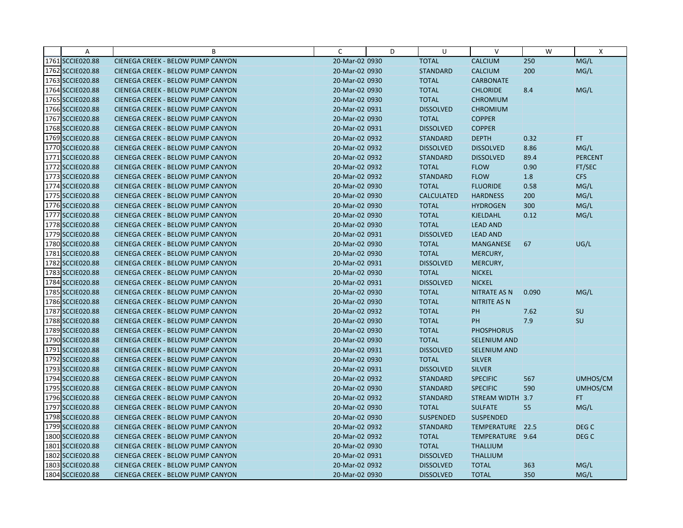| Α                | B                                        | C              | D | U                 | $\vee$              | W     | $\boldsymbol{\mathsf{X}}$ |
|------------------|------------------------------------------|----------------|---|-------------------|---------------------|-------|---------------------------|
| 1761 SCCIE020.88 | CIENEGA CREEK - BELOW PUMP CANYON        | 20-Mar-02 0930 |   | <b>TOTAL</b>      | <b>CALCIUM</b>      | 250   | MG/L                      |
| 1762 SCCIE020.88 | CIENEGA CREEK - BELOW PUMP CANYON        | 20-Mar-02 0930 |   | <b>STANDARD</b>   | <b>CALCIUM</b>      | 200   | MG/L                      |
| 1763 SCCIE020.88 | CIENEGA CREEK - BELOW PUMP CANYON        | 20-Mar-02 0930 |   | <b>TOTAL</b>      | <b>CARBONATE</b>    |       |                           |
| 1764 SCCIE020.88 | CIENEGA CREEK - BELOW PUMP CANYON        | 20-Mar-02 0930 |   | <b>TOTAL</b>      | <b>CHLORIDE</b>     | 8.4   | MG/L                      |
| 1765 SCCIE020.88 | CIENEGA CREEK - BELOW PUMP CANYON        | 20-Mar-02 0930 |   | <b>TOTAL</b>      | <b>CHROMIUM</b>     |       |                           |
| 1766 SCCIE020.88 | CIENEGA CREEK - BELOW PUMP CANYON        | 20-Mar-02 0931 |   | <b>DISSOLVED</b>  | <b>CHROMIUM</b>     |       |                           |
| 1767 SCCIE020.88 | CIENEGA CREEK - BELOW PUMP CANYON        | 20-Mar-02 0930 |   | <b>TOTAL</b>      | <b>COPPER</b>       |       |                           |
| 1768 SCCIE020.88 | <b>CIENEGA CREEK - BELOW PUMP CANYON</b> | 20-Mar-02 0931 |   | <b>DISSOLVED</b>  | <b>COPPER</b>       |       |                           |
| 1769 SCCIE020.88 | CIENEGA CREEK - BELOW PUMP CANYON        | 20-Mar-02 0932 |   | <b>STANDARD</b>   | <b>DEPTH</b>        | 0.32  | FT.                       |
| 1770 SCCIE020.88 | CIENEGA CREEK - BELOW PUMP CANYON        | 20-Mar-02 0932 |   | <b>DISSOLVED</b>  | <b>DISSOLVED</b>    | 8.86  | MG/L                      |
| 1771 SCCIE020.88 | CIENEGA CREEK - BELOW PUMP CANYON        | 20-Mar-02 0932 |   | <b>STANDARD</b>   | <b>DISSOLVED</b>    | 89.4  | <b>PERCENT</b>            |
| 1772 SCCIE020.88 | CIENEGA CREEK - BELOW PUMP CANYON        | 20-Mar-02 0932 |   | <b>TOTAL</b>      | <b>FLOW</b>         | 0.90  | FT/SEC                    |
| 1773 SCCIE020.88 | CIENEGA CREEK - BELOW PUMP CANYON        | 20-Mar-02 0932 |   | <b>STANDARD</b>   | <b>FLOW</b>         | 1.8   | <b>CFS</b>                |
| 1774 SCCIE020.88 | CIENEGA CREEK - BELOW PUMP CANYON        | 20-Mar-02 0930 |   | <b>TOTAL</b>      | <b>FLUORIDE</b>     | 0.58  | MG/L                      |
| 1775 SCCIE020.88 | CIENEGA CREEK - BELOW PUMP CANYON        | 20-Mar-02 0930 |   | <b>CALCULATED</b> | <b>HARDNESS</b>     | 200   | MG/L                      |
| 1776 SCCIE020.88 | CIENEGA CREEK - BELOW PUMP CANYON        | 20-Mar-02 0930 |   | <b>TOTAL</b>      | <b>HYDROGEN</b>     | 300   | MG/L                      |
| 1777 SCCIE020.88 | <b>CIENEGA CREEK - BELOW PUMP CANYON</b> | 20-Mar-02 0930 |   | <b>TOTAL</b>      | <b>KJELDAHL</b>     | 0.12  | MG/L                      |
| 1778 SCCIE020.88 | CIENEGA CREEK - BELOW PUMP CANYON        | 20-Mar-02 0930 |   | <b>TOTAL</b>      | <b>LEAD AND</b>     |       |                           |
| 1779 SCCIE020.88 | CIENEGA CREEK - BELOW PUMP CANYON        | 20-Mar-02 0931 |   | <b>DISSOLVED</b>  | <b>LEAD AND</b>     |       |                           |
| 1780 SCCIE020.88 | CIENEGA CREEK - BELOW PUMP CANYON        | 20-Mar-02 0930 |   | <b>TOTAL</b>      | <b>MANGANESE</b>    | 67    | UG/L                      |
| 1781 SCCIE020.88 | <b>CIENEGA CREEK - BELOW PUMP CANYON</b> | 20-Mar-02 0930 |   | <b>TOTAL</b>      | MERCURY,            |       |                           |
| 1782 SCCIE020.88 | CIENEGA CREEK - BELOW PUMP CANYON        | 20-Mar-02 0931 |   | <b>DISSOLVED</b>  | MERCURY,            |       |                           |
| 1783 SCCIE020.88 | CIENEGA CREEK - BELOW PUMP CANYON        | 20-Mar-02 0930 |   | <b>TOTAL</b>      | <b>NICKEL</b>       |       |                           |
| 1784 SCCIE020.88 | CIENEGA CREEK - BELOW PUMP CANYON        | 20-Mar-02 0931 |   | <b>DISSOLVED</b>  | <b>NICKEL</b>       |       |                           |
| 1785 SCCIE020.88 | CIENEGA CREEK - BELOW PUMP CANYON        | 20-Mar-02 0930 |   | <b>TOTAL</b>      | <b>NITRATE AS N</b> | 0.090 | MG/L                      |
| 1786 SCCIE020.88 | CIENEGA CREEK - BELOW PUMP CANYON        | 20-Mar-02 0930 |   | <b>TOTAL</b>      | <b>NITRITE AS N</b> |       |                           |
| 1787 SCCIE020.88 | CIENEGA CREEK - BELOW PUMP CANYON        | 20-Mar-02 0932 |   | <b>TOTAL</b>      | PH                  | 7.62  | SU                        |
| 1788 SCCIE020.88 | <b>CIENEGA CREEK - BELOW PUMP CANYON</b> | 20-Mar-02 0930 |   | <b>TOTAL</b>      | PH                  | 7.9   | SU                        |
| 1789 SCCIE020.88 | <b>CIENEGA CREEK - BELOW PUMP CANYON</b> | 20-Mar-02 0930 |   | <b>TOTAL</b>      | <b>PHOSPHORUS</b>   |       |                           |
| 1790 SCCIE020.88 | CIENEGA CREEK - BELOW PUMP CANYON        | 20-Mar-02 0930 |   | <b>TOTAL</b>      | SELENIUM AND        |       |                           |
| 1791 SCCIE020.88 | CIENEGA CREEK - BELOW PUMP CANYON        | 20-Mar-02 0931 |   | <b>DISSOLVED</b>  | SELENIUM AND        |       |                           |
| 1792 SCCIE020.88 | CIENEGA CREEK - BELOW PUMP CANYON        | 20-Mar-02 0930 |   | <b>TOTAL</b>      | <b>SILVER</b>       |       |                           |
| 1793 SCCIE020.88 | <b>CIENEGA CREEK - BELOW PUMP CANYON</b> | 20-Mar-02 0931 |   | <b>DISSOLVED</b>  | <b>SILVER</b>       |       |                           |
| 1794 SCCIE020.88 | CIENEGA CREEK - BELOW PUMP CANYON        | 20-Mar-02 0932 |   | <b>STANDARD</b>   | <b>SPECIFIC</b>     | 567   | UMHOS/CM                  |
| 1795 SCCIE020.88 | CIENEGA CREEK - BELOW PUMP CANYON        | 20-Mar-02 0930 |   | <b>STANDARD</b>   | <b>SPECIFIC</b>     | 590   | UMHOS/CM                  |
| 1796 SCCIE020.88 | <b>CIENEGA CREEK - BELOW PUMP CANYON</b> | 20-Mar-02 0932 |   | <b>STANDARD</b>   | STREAM WIDTH 3.7    |       | FT.                       |
| 1797 SCCIE020.88 | <b>CIENEGA CREEK - BELOW PUMP CANYON</b> | 20-Mar-02 0930 |   | <b>TOTAL</b>      | <b>SULFATE</b>      | 55    | MG/L                      |
| 1798 SCCIE020.88 | CIENEGA CREEK - BELOW PUMP CANYON        | 20-Mar-02 0930 |   | <b>SUSPENDED</b>  | <b>SUSPENDED</b>    |       |                           |
| 1799 SCCIE020.88 | CIENEGA CREEK - BELOW PUMP CANYON        | 20-Mar-02 0932 |   | <b>STANDARD</b>   | TEMPERATURE 22.5    |       | DEG <sub>C</sub>          |
| 1800 SCCIE020.88 | CIENEGA CREEK - BELOW PUMP CANYON        | 20-Mar-02 0932 |   | <b>TOTAL</b>      | TEMPERATURE 9.64    |       | DEG <sub>C</sub>          |
| 1801 SCCIE020.88 | CIENEGA CREEK - BELOW PUMP CANYON        | 20-Mar-02 0930 |   | <b>TOTAL</b>      | <b>THALLIUM</b>     |       |                           |
| 1802 SCCIE020.88 | CIENEGA CREEK - BELOW PUMP CANYON        | 20-Mar-02 0931 |   | <b>DISSOLVED</b>  | <b>THALLIUM</b>     |       |                           |
| 1803 SCCIE020.88 | CIENEGA CREEK - BELOW PUMP CANYON        | 20-Mar-02 0932 |   | <b>DISSOLVED</b>  | <b>TOTAL</b>        | 363   | MG/L                      |
| 1804 SCCIE020.88 | CIENEGA CREEK - BELOW PUMP CANYON        | 20-Mar-02 0930 |   | <b>DISSOLVED</b>  | <b>TOTAL</b>        | 350   | MG/L                      |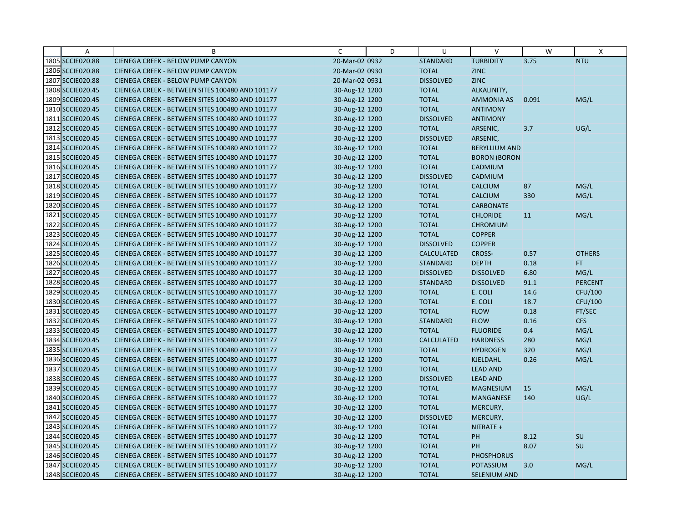| A                | B                                               | C              | D | U                 | $\vee$               | W     | X              |
|------------------|-------------------------------------------------|----------------|---|-------------------|----------------------|-------|----------------|
| 1805 SCCIE020.88 | CIENEGA CREEK - BELOW PUMP CANYON               | 20-Mar-02 0932 |   | <b>STANDARD</b>   | <b>TURBIDITY</b>     | 3.75  | <b>NTU</b>     |
| 1806 SCCIE020.88 | <b>CIENEGA CREEK - BELOW PUMP CANYON</b>        | 20-Mar-02 0930 |   | <b>TOTAL</b>      | <b>ZINC</b>          |       |                |
| 1807 SCCIE020.88 | <b>CIENEGA CREEK - BELOW PUMP CANYON</b>        | 20-Mar-02 0931 |   | <b>DISSOLVED</b>  | <b>ZINC</b>          |       |                |
| 1808 SCCIE020.45 | CIENEGA CREEK - BETWEEN SITES 100480 AND 101177 | 30-Aug-12 1200 |   | <b>TOTAL</b>      | ALKALINITY,          |       |                |
| 1809 SCCIE020.45 | CIENEGA CREEK - BETWEEN SITES 100480 AND 101177 | 30-Aug-12 1200 |   | <b>TOTAL</b>      | <b>AMMONIA AS</b>    | 0.091 | MG/L           |
| 1810 SCCIE020.45 | CIENEGA CREEK - BETWEEN SITES 100480 AND 101177 | 30-Aug-12 1200 |   | <b>TOTAL</b>      | <b>ANTIMONY</b>      |       |                |
| 1811 SCCIE020.45 | CIENEGA CREEK - BETWEEN SITES 100480 AND 101177 | 30-Aug-12 1200 |   | <b>DISSOLVED</b>  | <b>ANTIMONY</b>      |       |                |
| 1812 SCCIE020.45 | CIENEGA CREEK - BETWEEN SITES 100480 AND 101177 | 30-Aug-12 1200 |   | <b>TOTAL</b>      | ARSENIC,             | 3.7   | UG/L           |
| 1813 SCCIE020.45 | CIENEGA CREEK - BETWEEN SITES 100480 AND 101177 | 30-Aug-12 1200 |   | <b>DISSOLVED</b>  | ARSENIC,             |       |                |
| 1814 SCCIE020.45 | CIENEGA CREEK - BETWEEN SITES 100480 AND 101177 | 30-Aug-12 1200 |   | <b>TOTAL</b>      | <b>BERYLLIUM AND</b> |       |                |
| 1815 SCCIE020.45 | CIENEGA CREEK - BETWEEN SITES 100480 AND 101177 | 30-Aug-12 1200 |   | <b>TOTAL</b>      | <b>BORON (BORON</b>  |       |                |
| 1816 SCCIE020.45 | CIENEGA CREEK - BETWEEN SITES 100480 AND 101177 | 30-Aug-12 1200 |   | <b>TOTAL</b>      | CADMIUM              |       |                |
| 1817 SCCIE020.45 | CIENEGA CREEK - BETWEEN SITES 100480 AND 101177 | 30-Aug-12 1200 |   | <b>DISSOLVED</b>  | CADMIUM              |       |                |
| 1818 SCCIE020.45 | CIENEGA CREEK - BETWEEN SITES 100480 AND 101177 | 30-Aug-12 1200 |   | <b>TOTAL</b>      | <b>CALCIUM</b>       | 87    | MG/L           |
| 1819 SCCIE020.45 | CIENEGA CREEK - BETWEEN SITES 100480 AND 101177 | 30-Aug-12 1200 |   | <b>TOTAL</b>      | <b>CALCIUM</b>       | 330   | MG/L           |
| 1820 SCCIE020.45 | CIENEGA CREEK - BETWEEN SITES 100480 AND 101177 | 30-Aug-12 1200 |   | <b>TOTAL</b>      | <b>CARBONATE</b>     |       |                |
| 1821 SCCIE020.45 | CIENEGA CREEK - BETWEEN SITES 100480 AND 101177 | 30-Aug-12 1200 |   | <b>TOTAL</b>      | <b>CHLORIDE</b>      | 11    | MG/L           |
| 1822 SCCIE020.45 | CIENEGA CREEK - BETWEEN SITES 100480 AND 101177 | 30-Aug-12 1200 |   | <b>TOTAL</b>      | <b>CHROMIUM</b>      |       |                |
| 1823 SCCIE020.45 | CIENEGA CREEK - BETWEEN SITES 100480 AND 101177 | 30-Aug-12 1200 |   | <b>TOTAL</b>      | <b>COPPER</b>        |       |                |
| 1824 SCCIE020.45 | CIENEGA CREEK - BETWEEN SITES 100480 AND 101177 | 30-Aug-12 1200 |   | <b>DISSOLVED</b>  | <b>COPPER</b>        |       |                |
| 1825 SCCIE020.45 | CIENEGA CREEK - BETWEEN SITES 100480 AND 101177 | 30-Aug-12 1200 |   | <b>CALCULATED</b> | CROSS-               | 0.57  | <b>OTHERS</b>  |
| 1826 SCCIE020.45 | CIENEGA CREEK - BETWEEN SITES 100480 AND 101177 | 30-Aug-12 1200 |   | <b>STANDARD</b>   | <b>DEPTH</b>         | 0.18  | FT.            |
| 1827 SCCIE020.45 | CIENEGA CREEK - BETWEEN SITES 100480 AND 101177 | 30-Aug-12 1200 |   | <b>DISSOLVED</b>  | <b>DISSOLVED</b>     | 6.80  | MG/L           |
| 1828 SCCIE020.45 | CIENEGA CREEK - BETWEEN SITES 100480 AND 101177 | 30-Aug-12 1200 |   | <b>STANDARD</b>   | <b>DISSOLVED</b>     | 91.1  | <b>PERCENT</b> |
| 1829 SCCIE020.45 | CIENEGA CREEK - BETWEEN SITES 100480 AND 101177 | 30-Aug-12 1200 |   | <b>TOTAL</b>      | E. COLI              | 14.6  | CFU/100        |
| 1830 SCCIE020.45 | CIENEGA CREEK - BETWEEN SITES 100480 AND 101177 | 30-Aug-12 1200 |   | <b>TOTAL</b>      | E. COLI              | 18.7  | CFU/100        |
| 1831 SCCIE020.45 | CIENEGA CREEK - BETWEEN SITES 100480 AND 101177 | 30-Aug-12 1200 |   | <b>TOTAL</b>      | <b>FLOW</b>          | 0.18  | FT/SEC         |
| 1832 SCCIE020.45 | CIENEGA CREEK - BETWEEN SITES 100480 AND 101177 | 30-Aug-12 1200 |   | <b>STANDARD</b>   | <b>FLOW</b>          | 0.16  | <b>CFS</b>     |
| 1833 SCCIE020.45 | CIENEGA CREEK - BETWEEN SITES 100480 AND 101177 | 30-Aug-12 1200 |   | <b>TOTAL</b>      | <b>FLUORIDE</b>      | 0.4   | MG/L           |
| 1834 SCCIE020.45 | CIENEGA CREEK - BETWEEN SITES 100480 AND 101177 | 30-Aug-12 1200 |   | <b>CALCULATED</b> | <b>HARDNESS</b>      | 280   | MG/L           |
| 1835 SCCIE020.45 | CIENEGA CREEK - BETWEEN SITES 100480 AND 101177 | 30-Aug-12 1200 |   | <b>TOTAL</b>      | <b>HYDROGEN</b>      | 320   | MG/L           |
| 1836 SCCIE020.45 | CIENEGA CREEK - BETWEEN SITES 100480 AND 101177 | 30-Aug-12 1200 |   | <b>TOTAL</b>      | <b>KJELDAHL</b>      | 0.26  | MG/L           |
| 1837 SCCIE020.45 | CIENEGA CREEK - BETWEEN SITES 100480 AND 101177 | 30-Aug-12 1200 |   | <b>TOTAL</b>      | <b>LEAD AND</b>      |       |                |
| 1838 SCCIE020.45 | CIENEGA CREEK - BETWEEN SITES 100480 AND 101177 | 30-Aug-12 1200 |   | <b>DISSOLVED</b>  | <b>LEAD AND</b>      |       |                |
| 1839 SCCIE020.45 | CIENEGA CREEK - BETWEEN SITES 100480 AND 101177 | 30-Aug-12 1200 |   | <b>TOTAL</b>      | <b>MAGNESIUM</b>     | 15    | MG/L           |
| 1840 SCCIE020.45 | CIENEGA CREEK - BETWEEN SITES 100480 AND 101177 | 30-Aug-12 1200 |   | <b>TOTAL</b>      | <b>MANGANESE</b>     | 140   | UG/L           |
| 1841 SCCIE020.45 | CIENEGA CREEK - BETWEEN SITES 100480 AND 101177 | 30-Aug-12 1200 |   | <b>TOTAL</b>      | MERCURY,             |       |                |
| 1842 SCCIE020.45 | CIENEGA CREEK - BETWEEN SITES 100480 AND 101177 | 30-Aug-12 1200 |   | <b>DISSOLVED</b>  | MERCURY,             |       |                |
| 1843 SCCIE020.45 | CIENEGA CREEK - BETWEEN SITES 100480 AND 101177 | 30-Aug-12 1200 |   | <b>TOTAL</b>      | NITRATE +            |       |                |
| 1844 SCCIE020.45 | CIENEGA CREEK - BETWEEN SITES 100480 AND 101177 | 30-Aug-12 1200 |   | <b>TOTAL</b>      | <b>PH</b>            | 8.12  | SU             |
| 1845 SCCIE020.45 | CIENEGA CREEK - BETWEEN SITES 100480 AND 101177 | 30-Aug-12 1200 |   | <b>TOTAL</b>      | PH                   | 8.07  | SU             |
| 1846 SCCIE020.45 | CIENEGA CREEK - BETWEEN SITES 100480 AND 101177 | 30-Aug-12 1200 |   | <b>TOTAL</b>      | <b>PHOSPHORUS</b>    |       |                |
| 1847 SCCIE020.45 | CIENEGA CREEK - BETWEEN SITES 100480 AND 101177 | 30-Aug-12 1200 |   | <b>TOTAL</b>      | <b>POTASSIUM</b>     | 3.0   | MG/L           |
| 1848 SCCIE020.45 | CIENEGA CREEK - BETWEEN SITES 100480 AND 101177 | 30-Aug-12 1200 |   | <b>TOTAL</b>      | SELENIUM AND         |       |                |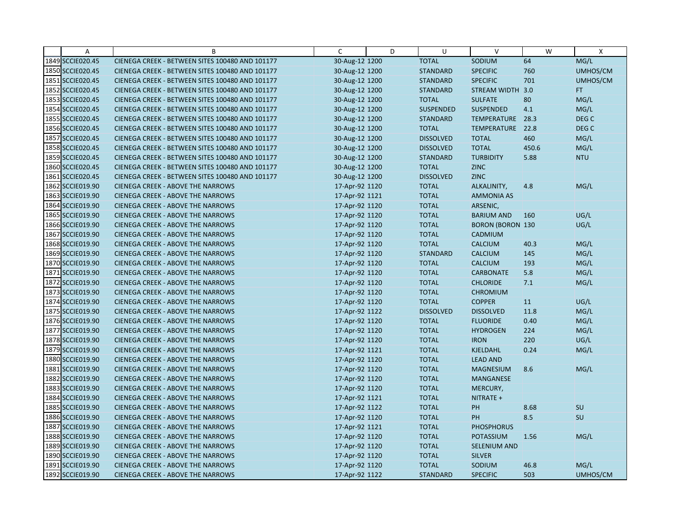| A                | B                                               | C              | D | U                | $\vee$                  | W     | $\mathsf{X}$     |
|------------------|-------------------------------------------------|----------------|---|------------------|-------------------------|-------|------------------|
| 1849 SCCIE020.45 | CIENEGA CREEK - BETWEEN SITES 100480 AND 101177 | 30-Aug-12 1200 |   | <b>TOTAL</b>     | SODIUM                  | 64    | MG/L             |
| 1850 SCCIE020.45 | CIENEGA CREEK - BETWEEN SITES 100480 AND 101177 | 30-Aug-12 1200 |   | <b>STANDARD</b>  | <b>SPECIFIC</b>         | 760   | UMHOS/CM         |
| 1851 SCCIE020.45 | CIENEGA CREEK - BETWEEN SITES 100480 AND 101177 | 30-Aug-12 1200 |   | <b>STANDARD</b>  | <b>SPECIFIC</b>         | 701   | UMHOS/CM         |
| 1852 SCCIE020.45 | CIENEGA CREEK - BETWEEN SITES 100480 AND 101177 | 30-Aug-12 1200 |   | <b>STANDARD</b>  | STREAM WIDTH 3.0        |       | FT.              |
| 1853 SCCIE020.45 | CIENEGA CREEK - BETWEEN SITES 100480 AND 101177 | 30-Aug-12 1200 |   | <b>TOTAL</b>     | <b>SULFATE</b>          | 80    | MG/L             |
| 1854 SCCIE020.45 | CIENEGA CREEK - BETWEEN SITES 100480 AND 101177 | 30-Aug-12 1200 |   | <b>SUSPENDED</b> | <b>SUSPENDED</b>        | 4.1   | MG/L             |
| 1855 SCCIE020.45 | CIENEGA CREEK - BETWEEN SITES 100480 AND 101177 | 30-Aug-12 1200 |   | <b>STANDARD</b>  | TEMPERATURE             | 28.3  | DEG <sub>C</sub> |
| 1856 SCCIE020.45 | CIENEGA CREEK - BETWEEN SITES 100480 AND 101177 | 30-Aug-12 1200 |   | <b>TOTAL</b>     | TEMPERATURE             | 22.8  | DEG <sub>C</sub> |
| 1857 SCCIE020.45 | CIENEGA CREEK - BETWEEN SITES 100480 AND 101177 | 30-Aug-12 1200 |   | <b>DISSOLVED</b> | <b>TOTAL</b>            | 460   | MG/L             |
| 1858 SCCIE020.45 | CIENEGA CREEK - BETWEEN SITES 100480 AND 101177 | 30-Aug-12 1200 |   | <b>DISSOLVED</b> | <b>TOTAL</b>            | 450.6 | MG/L             |
| 1859 SCCIE020.45 | CIENEGA CREEK - BETWEEN SITES 100480 AND 101177 | 30-Aug-12 1200 |   | <b>STANDARD</b>  | <b>TURBIDITY</b>        | 5.88  | <b>NTU</b>       |
| 1860 SCCIE020.45 | CIENEGA CREEK - BETWEEN SITES 100480 AND 101177 | 30-Aug-12 1200 |   | <b>TOTAL</b>     | <b>ZINC</b>             |       |                  |
| 1861 SCCIE020.45 | CIENEGA CREEK - BETWEEN SITES 100480 AND 101177 | 30-Aug-12 1200 |   | <b>DISSOLVED</b> | <b>ZINC</b>             |       |                  |
| 1862 SCCIE019.90 | <b>CIENEGA CREEK - ABOVE THE NARROWS</b>        | 17-Apr-92 1120 |   | <b>TOTAL</b>     | ALKALINITY,             | 4.8   | MG/L             |
| 1863 SCCIE019.90 | <b>CIENEGA CREEK - ABOVE THE NARROWS</b>        | 17-Apr-92 1121 |   | <b>TOTAL</b>     | <b>AMMONIA AS</b>       |       |                  |
| 1864 SCCIE019.90 | <b>CIENEGA CREEK - ABOVE THE NARROWS</b>        | 17-Apr-92 1120 |   | <b>TOTAL</b>     | ARSENIC,                |       |                  |
| 1865 SCCIE019.90 | <b>CIENEGA CREEK - ABOVE THE NARROWS</b>        | 17-Apr-92 1120 |   | <b>TOTAL</b>     | <b>BARIUM AND</b>       | 160   | UG/L             |
| 1866 SCCIE019.90 | <b>CIENEGA CREEK - ABOVE THE NARROWS</b>        | 17-Apr-92 1120 |   | <b>TOTAL</b>     | <b>BORON (BORON 130</b> |       | UG/L             |
| 1867 SCCIE019.90 | <b>CIENEGA CREEK - ABOVE THE NARROWS</b>        | 17-Apr-92 1120 |   | <b>TOTAL</b>     | CADMIUM                 |       |                  |
| 1868 SCCIE019.90 | <b>CIENEGA CREEK - ABOVE THE NARROWS</b>        | 17-Apr-92 1120 |   | <b>TOTAL</b>     | <b>CALCIUM</b>          | 40.3  | MG/L             |
| 1869 SCCIE019.90 | <b>CIENEGA CREEK - ABOVE THE NARROWS</b>        | 17-Apr-92 1120 |   | <b>STANDARD</b>  | <b>CALCIUM</b>          | 145   | MG/L             |
| 1870 SCCIE019.90 | <b>CIENEGA CREEK - ABOVE THE NARROWS</b>        | 17-Apr-92 1120 |   | <b>TOTAL</b>     | <b>CALCIUM</b>          | 193   | MG/L             |
| 1871 SCCIE019.90 | <b>CIENEGA CREEK - ABOVE THE NARROWS</b>        | 17-Apr-92 1120 |   | <b>TOTAL</b>     | <b>CARBONATE</b>        | 5.8   | MG/L             |
| 1872 SCCIE019.90 | <b>CIENEGA CREEK - ABOVE THE NARROWS</b>        | 17-Apr-92 1120 |   | <b>TOTAL</b>     | <b>CHLORIDE</b>         | 7.1   | MG/L             |
| 1873 SCCIE019.90 | <b>CIENEGA CREEK - ABOVE THE NARROWS</b>        | 17-Apr-92 1120 |   | <b>TOTAL</b>     | <b>CHROMIUM</b>         |       |                  |
| 1874 SCCIE019.90 | <b>CIENEGA CREEK - ABOVE THE NARROWS</b>        | 17-Apr-92 1120 |   | <b>TOTAL</b>     | <b>COPPER</b>           | 11    | UG/L             |
| 1875 SCCIE019.90 | <b>CIENEGA CREEK - ABOVE THE NARROWS</b>        | 17-Apr-92 1122 |   | <b>DISSOLVED</b> | <b>DISSOLVED</b>        | 11.8  | MG/L             |
| 1876 SCCIE019.90 | <b>CIENEGA CREEK - ABOVE THE NARROWS</b>        | 17-Apr-92 1120 |   | <b>TOTAL</b>     | <b>FLUORIDE</b>         | 0.40  | MG/L             |
| 1877 SCCIE019.90 | <b>CIENEGA CREEK - ABOVE THE NARROWS</b>        | 17-Apr-92 1120 |   | <b>TOTAL</b>     | <b>HYDROGEN</b>         | 224   | MG/L             |
| 1878 SCCIE019.90 | <b>CIENEGA CREEK - ABOVE THE NARROWS</b>        | 17-Apr-92 1120 |   | <b>TOTAL</b>     | <b>IRON</b>             | 220   | UG/L             |
| 1879 SCCIE019.90 | <b>CIENEGA CREEK - ABOVE THE NARROWS</b>        | 17-Apr-92 1121 |   | <b>TOTAL</b>     | KJELDAHL                | 0.24  | MG/L             |
| 1880 SCCIE019.90 | <b>CIENEGA CREEK - ABOVE THE NARROWS</b>        | 17-Apr-92 1120 |   | <b>TOTAL</b>     | <b>LEAD AND</b>         |       |                  |
| 1881 SCCIE019.90 | <b>CIENEGA CREEK - ABOVE THE NARROWS</b>        | 17-Apr-92 1120 |   | <b>TOTAL</b>     | <b>MAGNESIUM</b>        | 8.6   | MG/L             |
| 1882 SCCIE019.90 | <b>CIENEGA CREEK - ABOVE THE NARROWS</b>        | 17-Apr-92 1120 |   | <b>TOTAL</b>     | <b>MANGANESE</b>        |       |                  |
| 1883 SCCIE019.90 | <b>CIENEGA CREEK - ABOVE THE NARROWS</b>        | 17-Apr-92 1120 |   | <b>TOTAL</b>     | MERCURY,                |       |                  |
| 1884 SCCIE019.90 | <b>CIENEGA CREEK - ABOVE THE NARROWS</b>        | 17-Apr-92 1121 |   | <b>TOTAL</b>     | NITRATE +               |       |                  |
| 1885 SCCIE019.90 | <b>CIENEGA CREEK - ABOVE THE NARROWS</b>        | 17-Apr-92 1122 |   | <b>TOTAL</b>     | PH                      | 8.68  | SU               |
| 1886 SCCIE019.90 | <b>CIENEGA CREEK - ABOVE THE NARROWS</b>        | 17-Apr-92 1120 |   | <b>TOTAL</b>     | PH                      | 8.5   | SU               |
| 1887 SCCIE019.90 | <b>CIENEGA CREEK - ABOVE THE NARROWS</b>        | 17-Apr-92 1121 |   | <b>TOTAL</b>     | <b>PHOSPHORUS</b>       |       |                  |
| 1888 SCCIE019.90 | <b>CIENEGA CREEK - ABOVE THE NARROWS</b>        | 17-Apr-92 1120 |   | <b>TOTAL</b>     | <b>POTASSIUM</b>        | 1.56  | MG/L             |
| 1889 SCCIE019.90 | <b>CIENEGA CREEK - ABOVE THE NARROWS</b>        | 17-Apr-92 1120 |   | <b>TOTAL</b>     | <b>SELENIUM AND</b>     |       |                  |
| 1890 SCCIE019.90 | <b>CIENEGA CREEK - ABOVE THE NARROWS</b>        | 17-Apr-92 1120 |   | <b>TOTAL</b>     | <b>SILVER</b>           |       |                  |
| 1891 SCCIE019.90 | <b>CIENEGA CREEK - ABOVE THE NARROWS</b>        | 17-Apr-92 1120 |   | <b>TOTAL</b>     | SODIUM                  | 46.8  | MG/L             |
| 1892 SCCIE019.90 | <b>CIENEGA CREEK - ABOVE THE NARROWS</b>        | 17-Apr-92 1122 |   | <b>STANDARD</b>  | <b>SPECIFIC</b>         | 503   | UMHOS/CM         |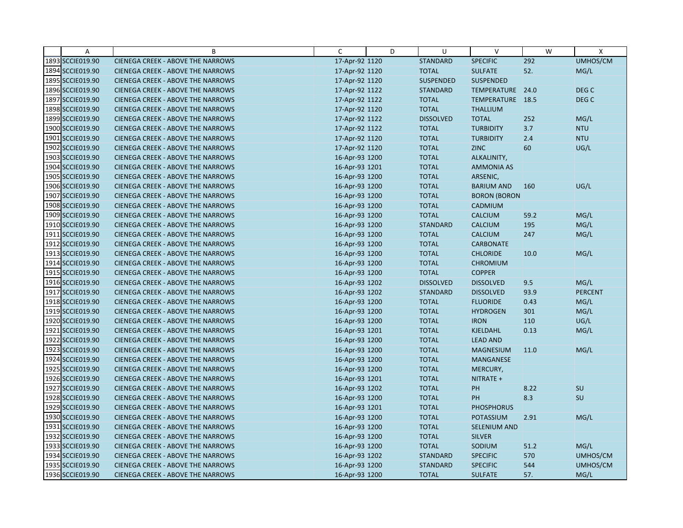| Α                | B                                        | C              | D | U                | $\vee$              | W    | X                |
|------------------|------------------------------------------|----------------|---|------------------|---------------------|------|------------------|
| 1893 SCCIE019.90 | <b>CIENEGA CREEK - ABOVE THE NARROWS</b> | 17-Apr-92 1120 |   | <b>STANDARD</b>  | <b>SPECIFIC</b>     | 292  | UMHOS/CM         |
| 1894 SCCIE019.90 | <b>CIENEGA CREEK - ABOVE THE NARROWS</b> | 17-Apr-92 1120 |   | <b>TOTAL</b>     | <b>SULFATE</b>      | 52.  | MG/L             |
| 1895 SCCIE019.90 | <b>CIENEGA CREEK - ABOVE THE NARROWS</b> | 17-Apr-92 1120 |   | <b>SUSPENDED</b> | <b>SUSPENDED</b>    |      |                  |
| 1896 SCCIE019.90 | <b>CIENEGA CREEK - ABOVE THE NARROWS</b> | 17-Apr-92 1122 |   | <b>STANDARD</b>  | TEMPERATURE 24.0    |      | DEG <sub>C</sub> |
| 1897 SCCIE019.90 | <b>CIENEGA CREEK - ABOVE THE NARROWS</b> | 17-Apr-92 1122 |   | <b>TOTAL</b>     | TEMPERATURE 18.5    |      | DEG <sub>C</sub> |
| 1898 SCCIE019.90 | <b>CIENEGA CREEK - ABOVE THE NARROWS</b> | 17-Apr-92 1120 |   | <b>TOTAL</b>     | <b>THALLIUM</b>     |      |                  |
| 1899 SCCIE019.90 | <b>CIENEGA CREEK - ABOVE THE NARROWS</b> | 17-Apr-92 1122 |   | <b>DISSOLVED</b> | <b>TOTAL</b>        | 252  | MG/L             |
| 1900 SCCIE019.90 | <b>CIENEGA CREEK - ABOVE THE NARROWS</b> | 17-Apr-92 1122 |   | <b>TOTAL</b>     | <b>TURBIDITY</b>    | 3.7  | <b>NTU</b>       |
| 1901 SCCIE019.90 | <b>CIENEGA CREEK - ABOVE THE NARROWS</b> | 17-Apr-92 1120 |   | <b>TOTAL</b>     | <b>TURBIDITY</b>    | 2.4  | <b>NTU</b>       |
| 1902 SCCIE019.90 | <b>CIENEGA CREEK - ABOVE THE NARROWS</b> | 17-Apr-92 1120 |   | <b>TOTAL</b>     | <b>ZINC</b>         | 60   | UG/L             |
| 1903 SCCIE019.90 | <b>CIENEGA CREEK - ABOVE THE NARROWS</b> | 16-Apr-93 1200 |   | <b>TOTAL</b>     | ALKALINITY,         |      |                  |
| 1904 SCCIE019.90 | <b>CIENEGA CREEK - ABOVE THE NARROWS</b> | 16-Apr-93 1201 |   | <b>TOTAL</b>     | <b>AMMONIA AS</b>   |      |                  |
| 1905 SCCIE019.90 | <b>CIENEGA CREEK - ABOVE THE NARROWS</b> | 16-Apr-93 1200 |   | <b>TOTAL</b>     | ARSENIC,            |      |                  |
| 1906 SCCIE019.90 | <b>CIENEGA CREEK - ABOVE THE NARROWS</b> | 16-Apr-93 1200 |   | <b>TOTAL</b>     | <b>BARIUM AND</b>   | 160  | UG/L             |
| 1907 SCCIE019.90 | <b>CIENEGA CREEK - ABOVE THE NARROWS</b> | 16-Apr-93 1200 |   | <b>TOTAL</b>     | <b>BORON (BORON</b> |      |                  |
| 1908 SCCIE019.90 | <b>CIENEGA CREEK - ABOVE THE NARROWS</b> | 16-Apr-93 1200 |   | <b>TOTAL</b>     | CADMIUM             |      |                  |
| 1909 SCCIE019.90 | <b>CIENEGA CREEK - ABOVE THE NARROWS</b> | 16-Apr-93 1200 |   | <b>TOTAL</b>     | <b>CALCIUM</b>      | 59.2 | MG/L             |
| 1910 SCCIE019.90 | <b>CIENEGA CREEK - ABOVE THE NARROWS</b> | 16-Apr-93 1200 |   | <b>STANDARD</b>  | CALCIUM             | 195  | MG/L             |
| 1911 SCCIE019.90 | <b>CIENEGA CREEK - ABOVE THE NARROWS</b> | 16-Apr-93 1200 |   | <b>TOTAL</b>     | <b>CALCIUM</b>      | 247  | MG/L             |
| 1912 SCCIE019.90 | <b>CIENEGA CREEK - ABOVE THE NARROWS</b> | 16-Apr-93 1200 |   | <b>TOTAL</b>     | <b>CARBONATE</b>    |      |                  |
| 1913 SCCIE019.90 | <b>CIENEGA CREEK - ABOVE THE NARROWS</b> | 16-Apr-93 1200 |   | <b>TOTAL</b>     | <b>CHLORIDE</b>     | 10.0 | MG/L             |
| 1914 SCCIE019.90 | <b>CIENEGA CREEK - ABOVE THE NARROWS</b> | 16-Apr-93 1200 |   | <b>TOTAL</b>     | <b>CHROMIUM</b>     |      |                  |
| 1915 SCCIE019.90 | <b>CIENEGA CREEK - ABOVE THE NARROWS</b> | 16-Apr-93 1200 |   | <b>TOTAL</b>     | <b>COPPER</b>       |      |                  |
| 1916 SCCIE019.90 | <b>CIENEGA CREEK - ABOVE THE NARROWS</b> | 16-Apr-93 1202 |   | <b>DISSOLVED</b> | <b>DISSOLVED</b>    | 9.5  | MG/L             |
| 1917 SCCIE019.90 | <b>CIENEGA CREEK - ABOVE THE NARROWS</b> | 16-Apr-93 1202 |   | <b>STANDARD</b>  | <b>DISSOLVED</b>    | 93.9 | <b>PERCENT</b>   |
| 1918 SCCIE019.90 | <b>CIENEGA CREEK - ABOVE THE NARROWS</b> | 16-Apr-93 1200 |   | <b>TOTAL</b>     | <b>FLUORIDE</b>     | 0.43 | MG/L             |
| 1919 SCCIE019.90 | <b>CIENEGA CREEK - ABOVE THE NARROWS</b> | 16-Apr-93 1200 |   | <b>TOTAL</b>     | <b>HYDROGEN</b>     | 301  | MG/L             |
| 1920 SCCIE019.90 | <b>CIENEGA CREEK - ABOVE THE NARROWS</b> | 16-Apr-93 1200 |   | <b>TOTAL</b>     | <b>IRON</b>         | 110  | UG/L             |
| 1921 SCCIE019.90 | <b>CIENEGA CREEK - ABOVE THE NARROWS</b> | 16-Apr-93 1201 |   | <b>TOTAL</b>     | KJELDAHL            | 0.13 | MG/L             |
| 1922 SCCIE019.90 | <b>CIENEGA CREEK - ABOVE THE NARROWS</b> | 16-Apr-93 1200 |   | <b>TOTAL</b>     | <b>LEAD AND</b>     |      |                  |
| 1923 SCCIE019.90 | <b>CIENEGA CREEK - ABOVE THE NARROWS</b> | 16-Apr-93 1200 |   | <b>TOTAL</b>     | <b>MAGNESIUM</b>    | 11.0 | MG/L             |
| 1924 SCCIE019.90 | <b>CIENEGA CREEK - ABOVE THE NARROWS</b> | 16-Apr-93 1200 |   | <b>TOTAL</b>     | <b>MANGANESE</b>    |      |                  |
| 1925 SCCIE019.90 | CIENEGA CREEK - ABOVE THE NARROWS        | 16-Apr-93 1200 |   | <b>TOTAL</b>     | MERCURY,            |      |                  |
| 1926 SCCIE019.90 | <b>CIENEGA CREEK - ABOVE THE NARROWS</b> | 16-Apr-93 1201 |   | <b>TOTAL</b>     | NITRATE +           |      |                  |
| 1927 SCCIE019.90 | <b>CIENEGA CREEK - ABOVE THE NARROWS</b> | 16-Apr-93 1202 |   | <b>TOTAL</b>     | PH                  | 8.22 | SU               |
| 1928 SCCIE019.90 | <b>CIENEGA CREEK - ABOVE THE NARROWS</b> | 16-Apr-93 1200 |   | <b>TOTAL</b>     | PH                  | 8.3  | SU               |
| 1929 SCCIE019.90 | <b>CIENEGA CREEK - ABOVE THE NARROWS</b> | 16-Apr-93 1201 |   | <b>TOTAL</b>     | <b>PHOSPHORUS</b>   |      |                  |
| 1930 SCCIE019.90 | <b>CIENEGA CREEK - ABOVE THE NARROWS</b> | 16-Apr-93 1200 |   | <b>TOTAL</b>     | POTASSIUM           | 2.91 | MG/L             |
| 1931 SCCIE019.90 | <b>CIENEGA CREEK - ABOVE THE NARROWS</b> | 16-Apr-93 1200 |   | <b>TOTAL</b>     | <b>SELENIUM AND</b> |      |                  |
| 1932 SCCIE019.90 | <b>CIENEGA CREEK - ABOVE THE NARROWS</b> | 16-Apr-93 1200 |   | <b>TOTAL</b>     | <b>SILVER</b>       |      |                  |
| 1933 SCCIE019.90 | <b>CIENEGA CREEK - ABOVE THE NARROWS</b> | 16-Apr-93 1200 |   | <b>TOTAL</b>     | SODIUM              | 51.2 | MG/L             |
| 1934 SCCIE019.90 | <b>CIENEGA CREEK - ABOVE THE NARROWS</b> | 16-Apr-93 1202 |   | <b>STANDARD</b>  | <b>SPECIFIC</b>     | 570  | UMHOS/CM         |
| 1935 SCCIE019.90 | <b>CIENEGA CREEK - ABOVE THE NARROWS</b> | 16-Apr-93 1200 |   | <b>STANDARD</b>  | <b>SPECIFIC</b>     | 544  | UMHOS/CM         |
| 1936 SCCIE019.90 | <b>CIENEGA CREEK - ABOVE THE NARROWS</b> | 16-Apr-93 1200 |   | <b>TOTAL</b>     | <b>SULFATE</b>      | 57.  | MG/L             |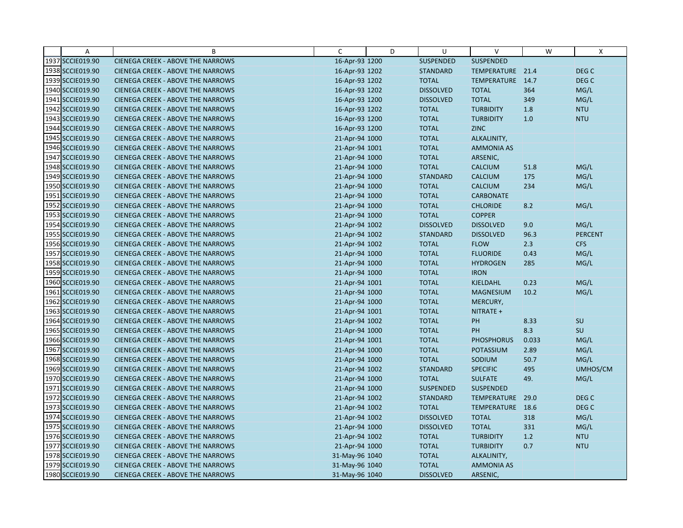| $\overline{A}$   | B                                        | C              | D | U                | $\vee$            | W     | X              |
|------------------|------------------------------------------|----------------|---|------------------|-------------------|-------|----------------|
| 1937 SCCIE019.90 | <b>CIENEGA CREEK - ABOVE THE NARROWS</b> | 16-Apr-93 1200 |   | <b>SUSPENDED</b> | SUSPENDED         |       |                |
| 1938 SCCIE019.90 | CIENEGA CREEK - ABOVE THE NARROWS        | 16-Apr-93 1202 |   | <b>STANDARD</b>  | TEMPERATURE 21.4  |       | DEG C          |
| 1939 SCCIE019.90 | <b>CIENEGA CREEK - ABOVE THE NARROWS</b> | 16-Apr-93 1202 |   | <b>TOTAL</b>     | TEMPERATURE 14.7  |       | DEG C          |
| 1940 SCCIE019.90 | <b>CIENEGA CREEK - ABOVE THE NARROWS</b> | 16-Apr-93 1202 |   | <b>DISSOLVED</b> | <b>TOTAL</b>      | 364   | MG/L           |
| 1941 SCCIE019.90 | <b>CIENEGA CREEK - ABOVE THE NARROWS</b> | 16-Apr-93 1200 |   | <b>DISSOLVED</b> | <b>TOTAL</b>      | 349   | MG/L           |
| 1942 SCCIE019.90 | <b>CIENEGA CREEK - ABOVE THE NARROWS</b> | 16-Apr-93 1202 |   | <b>TOTAL</b>     | <b>TURBIDITY</b>  | 1.8   | <b>NTU</b>     |
| 1943 SCCIE019.90 | <b>CIENEGA CREEK - ABOVE THE NARROWS</b> | 16-Apr-93 1200 |   | <b>TOTAL</b>     | <b>TURBIDITY</b>  | 1.0   | <b>NTU</b>     |
| 1944 SCCIE019.90 | <b>CIENEGA CREEK - ABOVE THE NARROWS</b> | 16-Apr-93 1200 |   | <b>TOTAL</b>     | <b>ZINC</b>       |       |                |
| 1945 SCCIE019.90 | <b>CIENEGA CREEK - ABOVE THE NARROWS</b> | 21-Apr-94 1000 |   | <b>TOTAL</b>     | ALKALINITY,       |       |                |
| 1946 SCCIE019.90 | <b>CIENEGA CREEK - ABOVE THE NARROWS</b> | 21-Apr-94 1001 |   | <b>TOTAL</b>     | <b>AMMONIA AS</b> |       |                |
| 1947 SCCIE019.90 | <b>CIENEGA CREEK - ABOVE THE NARROWS</b> | 21-Apr-94 1000 |   | <b>TOTAL</b>     | ARSENIC,          |       |                |
| 1948 SCCIE019.90 | <b>CIENEGA CREEK - ABOVE THE NARROWS</b> | 21-Apr-94 1000 |   | <b>TOTAL</b>     | <b>CALCIUM</b>    | 51.8  | MG/L           |
| 1949 SCCIE019.90 | <b>CIENEGA CREEK - ABOVE THE NARROWS</b> | 21-Apr-94 1000 |   | <b>STANDARD</b>  | <b>CALCIUM</b>    | 175   | MG/L           |
| 1950 SCCIE019.90 | <b>CIENEGA CREEK - ABOVE THE NARROWS</b> | 21-Apr-94 1000 |   | <b>TOTAL</b>     | <b>CALCIUM</b>    | 234   | MG/L           |
| 1951 SCCIE019.90 | <b>CIENEGA CREEK - ABOVE THE NARROWS</b> | 21-Apr-94 1000 |   | <b>TOTAL</b>     | <b>CARBONATE</b>  |       |                |
| 1952 SCCIE019.90 | <b>CIENEGA CREEK - ABOVE THE NARROWS</b> | 21-Apr-94 1000 |   | <b>TOTAL</b>     | <b>CHLORIDE</b>   | 8.2   | MG/L           |
| 1953 SCCIE019.90 | <b>CIENEGA CREEK - ABOVE THE NARROWS</b> | 21-Apr-94 1000 |   | <b>TOTAL</b>     | <b>COPPER</b>     |       |                |
| 1954 SCCIE019.90 | <b>CIENEGA CREEK - ABOVE THE NARROWS</b> | 21-Apr-94 1002 |   | <b>DISSOLVED</b> | <b>DISSOLVED</b>  | 9.0   | MG/L           |
| 1955 SCCIE019.90 | <b>CIENEGA CREEK - ABOVE THE NARROWS</b> | 21-Apr-94 1002 |   | <b>STANDARD</b>  | <b>DISSOLVED</b>  | 96.3  | <b>PERCENT</b> |
| 1956 SCCIE019.90 | <b>CIENEGA CREEK - ABOVE THE NARROWS</b> | 21-Apr-94 1002 |   | <b>TOTAL</b>     | <b>FLOW</b>       | 2.3   | <b>CFS</b>     |
| 1957 SCCIE019.90 | <b>CIENEGA CREEK - ABOVE THE NARROWS</b> | 21-Apr-94 1000 |   | <b>TOTAL</b>     | <b>FLUORIDE</b>   | 0.43  | MG/L           |
| 1958 SCCIE019.90 | <b>CIENEGA CREEK - ABOVE THE NARROWS</b> | 21-Apr-94 1000 |   | <b>TOTAL</b>     | <b>HYDROGEN</b>   | 285   | MG/L           |
| 1959 SCCIE019.90 | <b>CIENEGA CREEK - ABOVE THE NARROWS</b> | 21-Apr-94 1000 |   | <b>TOTAL</b>     | <b>IRON</b>       |       |                |
| 1960 SCCIE019.90 | <b>CIENEGA CREEK - ABOVE THE NARROWS</b> | 21-Apr-94 1001 |   | <b>TOTAL</b>     | KJELDAHL          | 0.23  | MG/L           |
| 1961 SCCIE019.90 | <b>CIENEGA CREEK - ABOVE THE NARROWS</b> | 21-Apr-94 1000 |   | <b>TOTAL</b>     | <b>MAGNESIUM</b>  | 10.2  | MG/L           |
| 1962 SCCIE019.90 | <b>CIENEGA CREEK - ABOVE THE NARROWS</b> | 21-Apr-94 1000 |   | <b>TOTAL</b>     | MERCURY,          |       |                |
| 1963 SCCIE019.90 | <b>CIENEGA CREEK - ABOVE THE NARROWS</b> | 21-Apr-94 1001 |   | <b>TOTAL</b>     | NITRATE +         |       |                |
| 1964 SCCIE019.90 | <b>CIENEGA CREEK - ABOVE THE NARROWS</b> | 21-Apr-94 1002 |   | <b>TOTAL</b>     | PH                | 8.33  | SU             |
| 1965 SCCIE019.90 | <b>CIENEGA CREEK - ABOVE THE NARROWS</b> | 21-Apr-94 1000 |   | <b>TOTAL</b>     | PH                | 8.3   | SU             |
| 1966 SCCIE019.90 | <b>CIENEGA CREEK - ABOVE THE NARROWS</b> | 21-Apr-94 1001 |   | <b>TOTAL</b>     | <b>PHOSPHORUS</b> | 0.033 | MG/L           |
| 1967 SCCIE019.90 | <b>CIENEGA CREEK - ABOVE THE NARROWS</b> | 21-Apr-94 1000 |   | <b>TOTAL</b>     | <b>POTASSIUM</b>  | 2.89  | MG/L           |
| 1968 SCCIE019.90 | <b>CIENEGA CREEK - ABOVE THE NARROWS</b> | 21-Apr-94 1000 |   | <b>TOTAL</b>     | SODIUM            | 50.7  | MG/L           |
| 1969 SCCIE019.90 | <b>CIENEGA CREEK - ABOVE THE NARROWS</b> | 21-Apr-94 1002 |   | <b>STANDARD</b>  | <b>SPECIFIC</b>   | 495   | UMHOS/CM       |
| 1970 SCCIE019.90 | <b>CIENEGA CREEK - ABOVE THE NARROWS</b> | 21-Apr-94 1000 |   | <b>TOTAL</b>     | <b>SULFATE</b>    | 49.   | MG/L           |
| 1971 SCCIE019.90 | <b>CIENEGA CREEK - ABOVE THE NARROWS</b> | 21-Apr-94 1000 |   | <b>SUSPENDED</b> | <b>SUSPENDED</b>  |       |                |
| 1972 SCCIE019.90 | <b>CIENEGA CREEK - ABOVE THE NARROWS</b> | 21-Apr-94 1002 |   | <b>STANDARD</b>  | TEMPERATURE       | 29.0  | DEG C          |
| 1973 SCCIE019.90 | <b>CIENEGA CREEK - ABOVE THE NARROWS</b> | 21-Apr-94 1002 |   | <b>TOTAL</b>     | TEMPERATURE       | 18.6  | DEG C          |
| 1974 SCCIE019.90 | <b>CIENEGA CREEK - ABOVE THE NARROWS</b> | 21-Apr-94 1002 |   | <b>DISSOLVED</b> | <b>TOTAL</b>      | 318   | MG/L           |
| 1975 SCCIE019.90 | <b>CIENEGA CREEK - ABOVE THE NARROWS</b> | 21-Apr-94 1000 |   | <b>DISSOLVED</b> | <b>TOTAL</b>      | 331   | MG/L           |
| 1976 SCCIE019.90 | <b>CIENEGA CREEK - ABOVE THE NARROWS</b> | 21-Apr-94 1002 |   | <b>TOTAL</b>     | <b>TURBIDITY</b>  | 1.2   | <b>NTU</b>     |
| 1977 SCCIE019.90 | <b>CIENEGA CREEK - ABOVE THE NARROWS</b> | 21-Apr-94 1000 |   | <b>TOTAL</b>     | <b>TURBIDITY</b>  | 0.7   | <b>NTU</b>     |
| 1978 SCCIE019.90 | <b>CIENEGA CREEK - ABOVE THE NARROWS</b> | 31-May-96 1040 |   | <b>TOTAL</b>     | ALKALINITY,       |       |                |
| 1979 SCCIE019.90 | <b>CIENEGA CREEK - ABOVE THE NARROWS</b> | 31-May-96 1040 |   | <b>TOTAL</b>     | <b>AMMONIA AS</b> |       |                |
| 1980 SCCIE019.90 | <b>CIENEGA CREEK - ABOVE THE NARROWS</b> | 31-May-96 1040 |   | <b>DISSOLVED</b> | ARSENIC,          |       |                |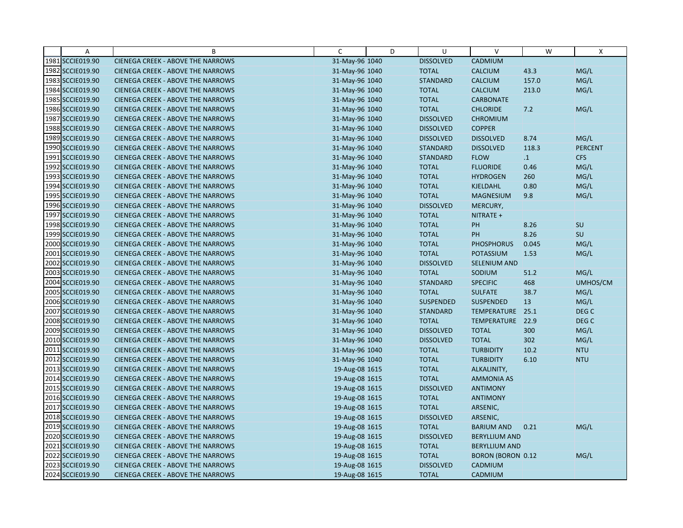| $\overline{A}$   | B                                        | C              | D | U                | $\vee$               | W         | X              |
|------------------|------------------------------------------|----------------|---|------------------|----------------------|-----------|----------------|
| 1981 SCCIE019.90 | <b>CIENEGA CREEK - ABOVE THE NARROWS</b> | 31-May-96 1040 |   | <b>DISSOLVED</b> | CADMIUM              |           |                |
| 1982 SCCIE019.90 | <b>CIENEGA CREEK - ABOVE THE NARROWS</b> | 31-May-96 1040 |   | <b>TOTAL</b>     | <b>CALCIUM</b>       | 43.3      | MG/L           |
| 1983 SCCIE019.90 | <b>CIENEGA CREEK - ABOVE THE NARROWS</b> | 31-May-96 1040 |   | <b>STANDARD</b>  | <b>CALCIUM</b>       | 157.0     | MG/L           |
| 1984 SCCIE019.90 | <b>CIENEGA CREEK - ABOVE THE NARROWS</b> | 31-May-96 1040 |   | <b>TOTAL</b>     | <b>CALCIUM</b>       | 213.0     | MG/L           |
| 1985 SCCIE019.90 | <b>CIENEGA CREEK - ABOVE THE NARROWS</b> | 31-May-96 1040 |   | <b>TOTAL</b>     | <b>CARBONATE</b>     |           |                |
| 1986 SCCIE019.90 | <b>CIENEGA CREEK - ABOVE THE NARROWS</b> | 31-May-96 1040 |   | <b>TOTAL</b>     | <b>CHLORIDE</b>      | 7.2       | MG/L           |
| 1987 SCCIE019.90 | <b>CIENEGA CREEK - ABOVE THE NARROWS</b> | 31-May-96 1040 |   | <b>DISSOLVED</b> | <b>CHROMIUM</b>      |           |                |
| 1988 SCCIE019.90 | <b>CIENEGA CREEK - ABOVE THE NARROWS</b> | 31-May-96 1040 |   | <b>DISSOLVED</b> | <b>COPPER</b>        |           |                |
| 1989 SCCIE019.90 | <b>CIENEGA CREEK - ABOVE THE NARROWS</b> | 31-May-96 1040 |   | <b>DISSOLVED</b> | <b>DISSOLVED</b>     | 8.74      | MG/L           |
| 1990 SCCIE019.90 | <b>CIENEGA CREEK - ABOVE THE NARROWS</b> | 31-May-96 1040 |   | <b>STANDARD</b>  | <b>DISSOLVED</b>     | 118.3     | <b>PERCENT</b> |
| 1991 SCCIE019.90 | <b>CIENEGA CREEK - ABOVE THE NARROWS</b> | 31-May-96 1040 |   | <b>STANDARD</b>  | <b>FLOW</b>          | $\cdot$ 1 | <b>CFS</b>     |
| 1992 SCCIE019.90 | <b>CIENEGA CREEK - ABOVE THE NARROWS</b> | 31-May-96 1040 |   | <b>TOTAL</b>     | <b>FLUORIDE</b>      | 0.46      | MG/L           |
| 1993 SCCIE019.90 | <b>CIENEGA CREEK - ABOVE THE NARROWS</b> | 31-May-96 1040 |   | <b>TOTAL</b>     | <b>HYDROGEN</b>      | 260       | MG/L           |
| 1994 SCCIE019.90 | <b>CIENEGA CREEK - ABOVE THE NARROWS</b> | 31-May-96 1040 |   | <b>TOTAL</b>     | KJELDAHL             | 0.80      | MG/L           |
| 1995 SCCIE019.90 | <b>CIENEGA CREEK - ABOVE THE NARROWS</b> | 31-May-96 1040 |   | <b>TOTAL</b>     | <b>MAGNESIUM</b>     | 9.8       | MG/L           |
| 1996 SCCIE019.90 | <b>CIENEGA CREEK - ABOVE THE NARROWS</b> | 31-May-96 1040 |   | <b>DISSOLVED</b> | MERCURY,             |           |                |
| 1997 SCCIE019.90 | <b>CIENEGA CREEK - ABOVE THE NARROWS</b> | 31-May-96 1040 |   | <b>TOTAL</b>     | NITRATE +            |           |                |
| 1998 SCCIE019.90 | <b>CIENEGA CREEK - ABOVE THE NARROWS</b> | 31-May-96 1040 |   | <b>TOTAL</b>     | PH                   | 8.26      | SU             |
| 1999 SCCIE019.90 | <b>CIENEGA CREEK - ABOVE THE NARROWS</b> | 31-May-96 1040 |   | <b>TOTAL</b>     | <b>PH</b>            | 8.26      | SU             |
| 2000 SCCIE019.90 | CIENEGA CREEK - ABOVE THE NARROWS        | 31-May-96 1040 |   | <b>TOTAL</b>     | <b>PHOSPHORUS</b>    | 0.045     | MG/L           |
| 2001 SCCIE019.90 | <b>CIENEGA CREEK - ABOVE THE NARROWS</b> | 31-May-96 1040 |   | <b>TOTAL</b>     | POTASSIUM            | 1.53      | MG/L           |
| 2002 SCCIE019.90 | <b>CIENEGA CREEK - ABOVE THE NARROWS</b> | 31-May-96 1040 |   | <b>DISSOLVED</b> | <b>SELENIUM AND</b>  |           |                |
| 2003 SCCIE019.90 | <b>CIENEGA CREEK - ABOVE THE NARROWS</b> | 31-May-96 1040 |   | <b>TOTAL</b>     | SODIUM               | 51.2      | MG/L           |
| 2004 SCCIE019.90 | <b>CIENEGA CREEK - ABOVE THE NARROWS</b> | 31-May-96 1040 |   | <b>STANDARD</b>  | <b>SPECIFIC</b>      | 468       | UMHOS/CM       |
| 2005 SCCIE019.90 | <b>CIENEGA CREEK - ABOVE THE NARROWS</b> | 31-May-96 1040 |   | <b>TOTAL</b>     | <b>SULFATE</b>       | 38.7      | MG/L           |
| 2006 SCCIE019.90 | <b>CIENEGA CREEK - ABOVE THE NARROWS</b> | 31-May-96 1040 |   | <b>SUSPENDED</b> | <b>SUSPENDED</b>     | 13        | MG/L           |
| 2007 SCCIE019.90 | <b>CIENEGA CREEK - ABOVE THE NARROWS</b> | 31-May-96 1040 |   | <b>STANDARD</b>  | TEMPERATURE          | 25.1      | DEG C          |
| 2008 SCCIE019.90 | <b>CIENEGA CREEK - ABOVE THE NARROWS</b> | 31-May-96 1040 |   | <b>TOTAL</b>     | TEMPERATURE          | 22.9      | DEG C          |
| 2009 SCCIE019.90 | <b>CIENEGA CREEK - ABOVE THE NARROWS</b> | 31-May-96 1040 |   | <b>DISSOLVED</b> | <b>TOTAL</b>         | 300       | MG/L           |
| 2010 SCCIE019.90 | <b>CIENEGA CREEK - ABOVE THE NARROWS</b> | 31-May-96 1040 |   | <b>DISSOLVED</b> | <b>TOTAL</b>         | 302       | MG/L           |
| 2011 SCCIE019.90 | <b>CIENEGA CREEK - ABOVE THE NARROWS</b> | 31-May-96 1040 |   | <b>TOTAL</b>     | <b>TURBIDITY</b>     | 10.2      | <b>NTU</b>     |
| 2012 SCCIE019.90 | <b>CIENEGA CREEK - ABOVE THE NARROWS</b> | 31-May-96 1040 |   | <b>TOTAL</b>     | <b>TURBIDITY</b>     | 6.10      | <b>NTU</b>     |
| 2013 SCCIE019.90 | <b>CIENEGA CREEK - ABOVE THE NARROWS</b> | 19-Aug-08 1615 |   | <b>TOTAL</b>     | ALKALINITY,          |           |                |
| 2014 SCCIE019.90 | <b>CIENEGA CREEK - ABOVE THE NARROWS</b> | 19-Aug-08 1615 |   | <b>TOTAL</b>     | <b>AMMONIA AS</b>    |           |                |
| 2015 SCCIE019.90 | <b>CIENEGA CREEK - ABOVE THE NARROWS</b> | 19-Aug-08 1615 |   | <b>DISSOLVED</b> | <b>ANTIMONY</b>      |           |                |
| 2016 SCCIE019.90 | <b>CIENEGA CREEK - ABOVE THE NARROWS</b> | 19-Aug-08 1615 |   | <b>TOTAL</b>     | <b>ANTIMONY</b>      |           |                |
| 2017 SCCIE019.90 | <b>CIENEGA CREEK - ABOVE THE NARROWS</b> | 19-Aug-08 1615 |   | <b>TOTAL</b>     | ARSENIC,             |           |                |
| 2018 SCCIE019.90 | <b>CIENEGA CREEK - ABOVE THE NARROWS</b> | 19-Aug-08 1615 |   | <b>DISSOLVED</b> | ARSENIC,             |           |                |
| 2019 SCCIE019.90 | <b>CIENEGA CREEK - ABOVE THE NARROWS</b> | 19-Aug-08 1615 |   | <b>TOTAL</b>     | <b>BARIUM AND</b>    | 0.21      | MG/L           |
| 2020 SCCIE019.90 | <b>CIENEGA CREEK - ABOVE THE NARROWS</b> | 19-Aug-08 1615 |   | <b>DISSOLVED</b> | <b>BERYLLIUM AND</b> |           |                |
| 2021 SCCIE019.90 | <b>CIENEGA CREEK - ABOVE THE NARROWS</b> | 19-Aug-08 1615 |   | <b>TOTAL</b>     | <b>BERYLLIUM AND</b> |           |                |
| 2022 SCCIE019.90 | <b>CIENEGA CREEK - ABOVE THE NARROWS</b> | 19-Aug-08 1615 |   | <b>TOTAL</b>     | BORON (BORON 0.12    |           | MG/L           |
| 2023 SCCIE019.90 | <b>CIENEGA CREEK - ABOVE THE NARROWS</b> | 19-Aug-08 1615 |   | <b>DISSOLVED</b> | CADMIUM              |           |                |
| 2024 SCCIE019.90 | <b>CIENEGA CREEK - ABOVE THE NARROWS</b> | 19-Aug-08 1615 |   | <b>TOTAL</b>     | <b>CADMIUM</b>       |           |                |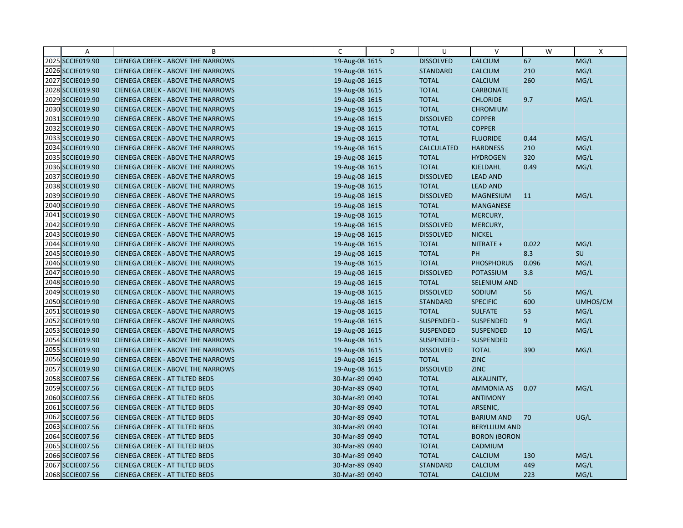| $\overline{A}$   | B                                        | C              | D | U                 | $\vee$               | W     | $\mathsf{x}$ |
|------------------|------------------------------------------|----------------|---|-------------------|----------------------|-------|--------------|
| 2025 SCCIE019.90 | <b>CIENEGA CREEK - ABOVE THE NARROWS</b> | 19-Aug-08 1615 |   | <b>DISSOLVED</b>  | <b>CALCIUM</b>       | 67    | MG/L         |
| 2026 SCCIE019.90 | <b>CIENEGA CREEK - ABOVE THE NARROWS</b> | 19-Aug-08 1615 |   | <b>STANDARD</b>   | <b>CALCIUM</b>       | 210   | MG/L         |
| 2027 SCCIE019.90 | <b>CIENEGA CREEK - ABOVE THE NARROWS</b> | 19-Aug-08 1615 |   | <b>TOTAL</b>      | <b>CALCIUM</b>       | 260   | MG/L         |
| 2028 SCCIE019.90 | <b>CIENEGA CREEK - ABOVE THE NARROWS</b> | 19-Aug-08 1615 |   | <b>TOTAL</b>      | <b>CARBONATE</b>     |       |              |
| 2029 SCCIE019.90 | <b>CIENEGA CREEK - ABOVE THE NARROWS</b> | 19-Aug-08 1615 |   | <b>TOTAL</b>      | <b>CHLORIDE</b>      | 9.7   | MG/L         |
| 2030 SCCIE019.90 | <b>CIENEGA CREEK - ABOVE THE NARROWS</b> | 19-Aug-08 1615 |   | <b>TOTAL</b>      | <b>CHROMIUM</b>      |       |              |
| 2031 SCCIE019.90 | <b>CIENEGA CREEK - ABOVE THE NARROWS</b> | 19-Aug-08 1615 |   | <b>DISSOLVED</b>  | <b>COPPER</b>        |       |              |
| 2032 SCCIE019.90 | <b>CIENEGA CREEK - ABOVE THE NARROWS</b> | 19-Aug-08 1615 |   | <b>TOTAL</b>      | <b>COPPER</b>        |       |              |
| 2033 SCCIE019.90 | <b>CIENEGA CREEK - ABOVE THE NARROWS</b> | 19-Aug-08 1615 |   | <b>TOTAL</b>      | <b>FLUORIDE</b>      | 0.44  | MG/L         |
| 2034 SCCIE019.90 | <b>CIENEGA CREEK - ABOVE THE NARROWS</b> | 19-Aug-08 1615 |   | <b>CALCULATED</b> | <b>HARDNESS</b>      | 210   | MG/L         |
| 2035 SCCIE019.90 | <b>CIENEGA CREEK - ABOVE THE NARROWS</b> | 19-Aug-08 1615 |   | <b>TOTAL</b>      | <b>HYDROGEN</b>      | 320   | MG/L         |
| 2036 SCCIE019.90 | <b>CIENEGA CREEK - ABOVE THE NARROWS</b> | 19-Aug-08 1615 |   | <b>TOTAL</b>      | <b>KJELDAHL</b>      | 0.49  | MG/L         |
| 2037 SCCIE019.90 | <b>CIENEGA CREEK - ABOVE THE NARROWS</b> | 19-Aug-08 1615 |   | <b>DISSOLVED</b>  | <b>LEAD AND</b>      |       |              |
| 2038 SCCIE019.90 | <b>CIENEGA CREEK - ABOVE THE NARROWS</b> | 19-Aug-08 1615 |   | <b>TOTAL</b>      | <b>LEAD AND</b>      |       |              |
| 2039 SCCIE019.90 | <b>CIENEGA CREEK - ABOVE THE NARROWS</b> | 19-Aug-08 1615 |   | <b>DISSOLVED</b>  | <b>MAGNESIUM</b>     | 11    | MG/L         |
| 2040 SCCIE019.90 | <b>CIENEGA CREEK - ABOVE THE NARROWS</b> | 19-Aug-08 1615 |   | <b>TOTAL</b>      | <b>MANGANESE</b>     |       |              |
| 2041 SCCIE019.90 | <b>CIENEGA CREEK - ABOVE THE NARROWS</b> | 19-Aug-08 1615 |   | <b>TOTAL</b>      | MERCURY,             |       |              |
| 2042 SCCIE019.90 | <b>CIENEGA CREEK - ABOVE THE NARROWS</b> | 19-Aug-08 1615 |   | <b>DISSOLVED</b>  | MERCURY,             |       |              |
| 2043 SCCIE019.90 | <b>CIENEGA CREEK - ABOVE THE NARROWS</b> | 19-Aug-08 1615 |   | <b>DISSOLVED</b>  | <b>NICKEL</b>        |       |              |
| 2044 SCCIE019.90 | <b>CIENEGA CREEK - ABOVE THE NARROWS</b> | 19-Aug-08 1615 |   | <b>TOTAL</b>      | NITRATE +            | 0.022 | MG/L         |
| 2045 SCCIE019.90 | <b>CIENEGA CREEK - ABOVE THE NARROWS</b> | 19-Aug-08 1615 |   | <b>TOTAL</b>      | PH                   | 8.3   | SU           |
| 2046 SCCIE019.90 | <b>CIENEGA CREEK - ABOVE THE NARROWS</b> | 19-Aug-08 1615 |   | <b>TOTAL</b>      | <b>PHOSPHORUS</b>    | 0.096 | MG/L         |
| 2047 SCCIE019.90 | <b>CIENEGA CREEK - ABOVE THE NARROWS</b> | 19-Aug-08 1615 |   | <b>DISSOLVED</b>  | POTASSIUM            | 3.8   | MG/L         |
| 2048 SCCIE019.90 | <b>CIENEGA CREEK - ABOVE THE NARROWS</b> | 19-Aug-08 1615 |   | <b>TOTAL</b>      | <b>SELENIUM AND</b>  |       |              |
| 2049 SCCIE019.90 | <b>CIENEGA CREEK - ABOVE THE NARROWS</b> | 19-Aug-08 1615 |   | <b>DISSOLVED</b>  | SODIUM               | 56    | MG/L         |
| 2050 SCCIE019.90 | <b>CIENEGA CREEK - ABOVE THE NARROWS</b> | 19-Aug-08 1615 |   | <b>STANDARD</b>   | <b>SPECIFIC</b>      | 600   | UMHOS/CM     |
| 2051 SCCIE019.90 | <b>CIENEGA CREEK - ABOVE THE NARROWS</b> | 19-Aug-08 1615 |   | <b>TOTAL</b>      | <b>SULFATE</b>       | 53    | MG/L         |
| 2052 SCCIE019.90 | <b>CIENEGA CREEK - ABOVE THE NARROWS</b> | 19-Aug-08 1615 |   | SUSPENDED -       | SUSPENDED            | 9     | MG/L         |
| 2053 SCCIE019.90 | <b>CIENEGA CREEK - ABOVE THE NARROWS</b> | 19-Aug-08 1615 |   | <b>SUSPENDED</b>  | <b>SUSPENDED</b>     | 10    | MG/L         |
| 2054 SCCIE019.90 | <b>CIENEGA CREEK - ABOVE THE NARROWS</b> | 19-Aug-08 1615 |   | SUSPENDED -       | <b>SUSPENDED</b>     |       |              |
| 2055 SCCIE019.90 | <b>CIENEGA CREEK - ABOVE THE NARROWS</b> | 19-Aug-08 1615 |   | <b>DISSOLVED</b>  | <b>TOTAL</b>         | 390   | MG/L         |
| 2056 SCCIE019.90 | <b>CIENEGA CREEK - ABOVE THE NARROWS</b> | 19-Aug-08 1615 |   | <b>TOTAL</b>      | <b>ZINC</b>          |       |              |
| 2057 SCCIE019.90 | <b>CIENEGA CREEK - ABOVE THE NARROWS</b> | 19-Aug-08 1615 |   | <b>DISSOLVED</b>  | <b>ZINC</b>          |       |              |
| 2058 SCCIE007.56 | <b>CIENEGA CREEK - AT TILTED BEDS</b>    | 30-Mar-89 0940 |   | <b>TOTAL</b>      | ALKALINITY,          |       |              |
| 2059 SCCIE007.56 | <b>CIENEGA CREEK - AT TILTED BEDS</b>    | 30-Mar-89 0940 |   | <b>TOTAL</b>      | <b>AMMONIA AS</b>    | 0.07  | MG/L         |
| 2060 SCCIE007.56 | <b>CIENEGA CREEK - AT TILTED BEDS</b>    | 30-Mar-89 0940 |   | <b>TOTAL</b>      | <b>ANTIMONY</b>      |       |              |
| 2061 SCCIE007.56 | <b>CIENEGA CREEK - AT TILTED BEDS</b>    | 30-Mar-89 0940 |   | <b>TOTAL</b>      | ARSENIC,             |       |              |
| 2062 SCCIE007.56 | <b>CIENEGA CREEK - AT TILTED BEDS</b>    | 30-Mar-89 0940 |   | <b>TOTAL</b>      | <b>BARIUM AND</b>    | 70    | UG/L         |
| 2063 SCCIE007.56 | CIENEGA CREEK - AT TILTED BEDS           | 30-Mar-89 0940 |   | <b>TOTAL</b>      | <b>BERYLLIUM AND</b> |       |              |
| 2064 SCCIE007.56 | <b>CIENEGA CREEK - AT TILTED BEDS</b>    | 30-Mar-89 0940 |   | <b>TOTAL</b>      | <b>BORON (BORON</b>  |       |              |
| 2065 SCCIE007.56 | <b>CIENEGA CREEK - AT TILTED BEDS</b>    | 30-Mar-89 0940 |   | <b>TOTAL</b>      | CADMIUM              |       |              |
| 2066 SCCIE007.56 | <b>CIENEGA CREEK - AT TILTED BEDS</b>    | 30-Mar-89 0940 |   | <b>TOTAL</b>      | <b>CALCIUM</b>       | 130   | MG/L         |
| 2067 SCCIE007.56 | <b>CIENEGA CREEK - AT TILTED BEDS</b>    | 30-Mar-89 0940 |   | <b>STANDARD</b>   | <b>CALCIUM</b>       | 449   | MG/L         |
| 2068 SCCIE007.56 | <b>CIENEGA CREEK - AT TILTED BEDS</b>    | 30-Mar-89 0940 |   | <b>TOTAL</b>      | <b>CALCIUM</b>       | 223   | MG/L         |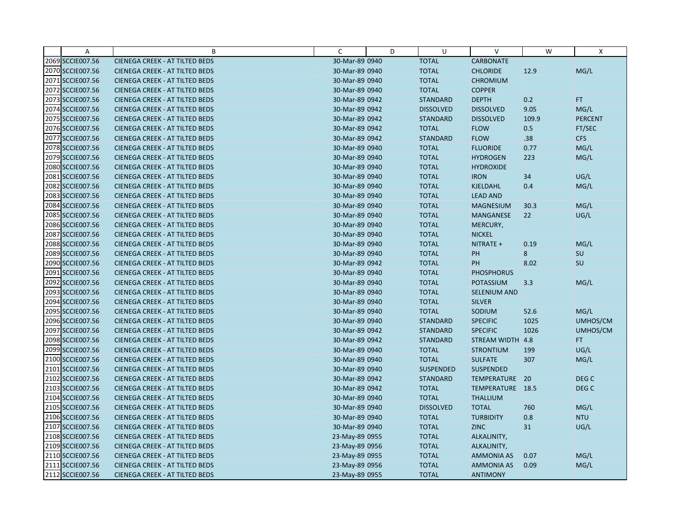| A                | B                                     | C              | D | U                | V                 | W     | X                |
|------------------|---------------------------------------|----------------|---|------------------|-------------------|-------|------------------|
| 2069 SCCIE007.56 | <b>CIENEGA CREEK - AT TILTED BEDS</b> | 30-Mar-89 0940 |   | <b>TOTAL</b>     | <b>CARBONATE</b>  |       |                  |
| 2070 SCCIE007.56 | <b>CIENEGA CREEK - AT TILTED BEDS</b> | 30-Mar-89 0940 |   | <b>TOTAL</b>     | <b>CHLORIDE</b>   | 12.9  | MG/L             |
| 2071 SCCIE007.56 | <b>CIENEGA CREEK - AT TILTED BEDS</b> | 30-Mar-89 0940 |   | <b>TOTAL</b>     | <b>CHROMIUM</b>   |       |                  |
| 2072 SCCIE007.56 | <b>CIENEGA CREEK - AT TILTED BEDS</b> | 30-Mar-89 0940 |   | <b>TOTAL</b>     | <b>COPPER</b>     |       |                  |
| 2073 SCCIE007.56 | <b>CIENEGA CREEK - AT TILTED BEDS</b> | 30-Mar-89 0942 |   | <b>STANDARD</b>  | <b>DEPTH</b>      | 0.2   | FT.              |
| 2074 SCCIE007.56 | <b>CIENEGA CREEK - AT TILTED BEDS</b> | 30-Mar-89 0942 |   | <b>DISSOLVED</b> | <b>DISSOLVED</b>  | 9.05  | MG/L             |
| 2075 SCCIE007.56 | <b>CIENEGA CREEK - AT TILTED BEDS</b> | 30-Mar-89 0942 |   | <b>STANDARD</b>  | <b>DISSOLVED</b>  | 109.9 | <b>PERCENT</b>   |
| 2076 SCCIE007.56 | <b>CIENEGA CREEK - AT TILTED BEDS</b> | 30-Mar-89 0942 |   | <b>TOTAL</b>     | <b>FLOW</b>       | 0.5   | FT/SEC           |
| 2077 SCCIE007.56 | <b>CIENEGA CREEK - AT TILTED BEDS</b> | 30-Mar-89 0942 |   | <b>STANDARD</b>  | <b>FLOW</b>       | .38   | <b>CFS</b>       |
| 2078 SCCIE007.56 | <b>CIENEGA CREEK - AT TILTED BEDS</b> | 30-Mar-89 0940 |   | <b>TOTAL</b>     | <b>FLUORIDE</b>   | 0.77  | MG/L             |
| 2079 SCCIE007.56 | <b>CIENEGA CREEK - AT TILTED BEDS</b> | 30-Mar-89 0940 |   | <b>TOTAL</b>     | <b>HYDROGEN</b>   | 223   | MG/L             |
| 2080 SCCIE007.56 | <b>CIENEGA CREEK - AT TILTED BEDS</b> | 30-Mar-89 0940 |   | <b>TOTAL</b>     | <b>HYDROXIDE</b>  |       |                  |
| 2081 SCCIE007.56 | <b>CIENEGA CREEK - AT TILTED BEDS</b> | 30-Mar-89 0940 |   | <b>TOTAL</b>     | <b>IRON</b>       | 34    | UG/L             |
| 2082 SCCIE007.56 | <b>CIENEGA CREEK - AT TILTED BEDS</b> | 30-Mar-89 0940 |   | <b>TOTAL</b>     | KJELDAHL          | 0.4   | MG/L             |
| 2083 SCCIE007.56 | <b>CIENEGA CREEK - AT TILTED BEDS</b> | 30-Mar-89 0940 |   | <b>TOTAL</b>     | <b>LEAD AND</b>   |       |                  |
| 2084 SCCIE007.56 | <b>CIENEGA CREEK - AT TILTED BEDS</b> | 30-Mar-89 0940 |   | <b>TOTAL</b>     | <b>MAGNESIUM</b>  | 30.3  | MG/L             |
| 2085 SCCIE007.56 | <b>CIENEGA CREEK - AT TILTED BEDS</b> | 30-Mar-89 0940 |   | <b>TOTAL</b>     | MANGANESE         | 22    | UG/L             |
| 2086 SCCIE007.56 | <b>CIENEGA CREEK - AT TILTED BEDS</b> | 30-Mar-89 0940 |   | <b>TOTAL</b>     | MERCURY,          |       |                  |
| 2087 SCCIE007.56 | <b>CIENEGA CREEK - AT TILTED BEDS</b> | 30-Mar-89 0940 |   | <b>TOTAL</b>     | <b>NICKEL</b>     |       |                  |
| 2088 SCCIE007.56 | <b>CIENEGA CREEK - AT TILTED BEDS</b> | 30-Mar-89 0940 |   | <b>TOTAL</b>     | NITRATE +         | 0.19  | MG/L             |
| 2089 SCCIE007.56 | <b>CIENEGA CREEK - AT TILTED BEDS</b> | 30-Mar-89 0940 |   | <b>TOTAL</b>     | PH                | 8     | SU               |
| 2090 SCCIE007.56 | <b>CIENEGA CREEK - AT TILTED BEDS</b> | 30-Mar-89 0942 |   | <b>TOTAL</b>     | PH                | 8.02  | SU               |
| 2091 SCCIE007.56 | <b>CIENEGA CREEK - AT TILTED BEDS</b> | 30-Mar-89 0940 |   | <b>TOTAL</b>     | <b>PHOSPHORUS</b> |       |                  |
| 2092 SCCIE007.56 | <b>CIENEGA CREEK - AT TILTED BEDS</b> | 30-Mar-89 0940 |   | <b>TOTAL</b>     | <b>POTASSIUM</b>  | 3.3   | MG/L             |
| 2093 SCCIE007.56 | <b>CIENEGA CREEK - AT TILTED BEDS</b> | 30-Mar-89 0940 |   | <b>TOTAL</b>     | SELENIUM AND      |       |                  |
| 2094 SCCIE007.56 | <b>CIENEGA CREEK - AT TILTED BEDS</b> | 30-Mar-89 0940 |   | <b>TOTAL</b>     | <b>SILVER</b>     |       |                  |
| 2095 SCCIE007.56 | <b>CIENEGA CREEK - AT TILTED BEDS</b> | 30-Mar-89 0940 |   | <b>TOTAL</b>     | SODIUM            | 52.6  | MG/L             |
| 2096 SCCIE007.56 | <b>CIENEGA CREEK - AT TILTED BEDS</b> | 30-Mar-89 0940 |   | <b>STANDARD</b>  | <b>SPECIFIC</b>   | 1025  | UMHOS/CM         |
| 2097 SCCIE007.56 | <b>CIENEGA CREEK - AT TILTED BEDS</b> | 30-Mar-89 0942 |   | <b>STANDARD</b>  | <b>SPECIFIC</b>   | 1026  | UMHOS/CM         |
| 2098 SCCIE007.56 | <b>CIENEGA CREEK - AT TILTED BEDS</b> | 30-Mar-89 0942 |   | <b>STANDARD</b>  | STREAM WIDTH 4.8  |       | FT.              |
| 2099 SCCIE007.56 | <b>CIENEGA CREEK - AT TILTED BEDS</b> | 30-Mar-89 0940 |   | <b>TOTAL</b>     | <b>STRONTIUM</b>  | 199   | UG/L             |
| 2100 SCCIE007.56 | <b>CIENEGA CREEK - AT TILTED BEDS</b> | 30-Mar-89 0940 |   | <b>TOTAL</b>     | <b>SULFATE</b>    | 307   | MG/L             |
| 2101 SCCIE007.56 | <b>CIENEGA CREEK - AT TILTED BEDS</b> | 30-Mar-89 0940 |   | <b>SUSPENDED</b> | <b>SUSPENDED</b>  |       |                  |
| 2102 SCCIE007.56 | <b>CIENEGA CREEK - AT TILTED BEDS</b> | 30-Mar-89 0942 |   | <b>STANDARD</b>  | TEMPERATURE 20    |       | DEG C            |
| 2103 SCCIE007.56 | <b>CIENEGA CREEK - AT TILTED BEDS</b> | 30-Mar-89 0942 |   | <b>TOTAL</b>     | TEMPERATURE 18.5  |       | DEG <sub>C</sub> |
| 2104 SCCIE007.56 | <b>CIENEGA CREEK - AT TILTED BEDS</b> | 30-Mar-89 0940 |   | <b>TOTAL</b>     | <b>THALLIUM</b>   |       |                  |
| 2105 SCCIE007.56 | <b>CIENEGA CREEK - AT TILTED BEDS</b> | 30-Mar-89 0940 |   | <b>DISSOLVED</b> | <b>TOTAL</b>      | 760   | MG/L             |
| 2106 SCCIE007.56 | <b>CIENEGA CREEK - AT TILTED BEDS</b> | 30-Mar-89 0940 |   | <b>TOTAL</b>     | <b>TURBIDITY</b>  | 0.8   | <b>NTU</b>       |
| 2107 SCCIE007.56 | CIENEGA CREEK - AT TILTED BEDS        | 30-Mar-89 0940 |   | <b>TOTAL</b>     | <b>ZINC</b>       | 31    | UG/L             |
| 2108 SCCIE007.56 | <b>CIENEGA CREEK - AT TILTED BEDS</b> | 23-May-89 0955 |   | <b>TOTAL</b>     | ALKALINITY,       |       |                  |
| 2109 SCCIE007.56 | <b>CIENEGA CREEK - AT TILTED BEDS</b> | 23-May-89 0956 |   | <b>TOTAL</b>     | ALKALINITY,       |       |                  |
| 2110 SCCIE007.56 | <b>CIENEGA CREEK - AT TILTED BEDS</b> | 23-May-89 0955 |   | <b>TOTAL</b>     | AMMONIA AS        | 0.07  | MG/L             |
| 2111 SCCIE007.56 | <b>CIENEGA CREEK - AT TILTED BEDS</b> | 23-May-89 0956 |   | <b>TOTAL</b>     | AMMONIA AS        | 0.09  | MG/L             |
| 2112 SCCIE007.56 | <b>CIENEGA CREEK - AT TILTED BEDS</b> | 23-May-89 0955 |   | <b>TOTAL</b>     | <b>ANTIMONY</b>   |       |                  |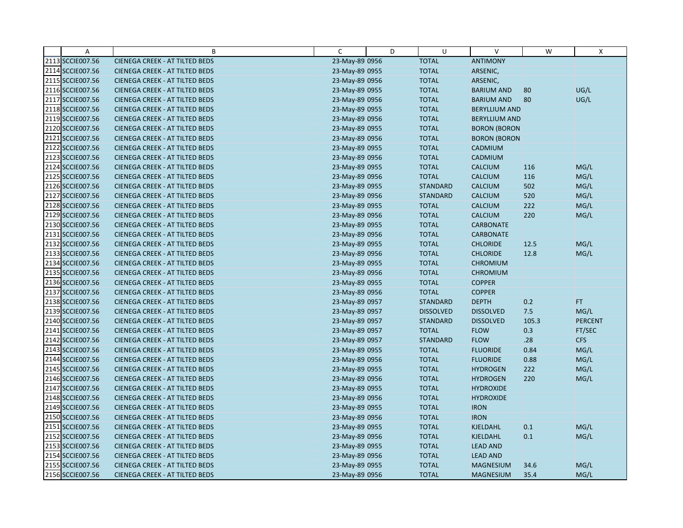| Α                | B                                     | C              | D | U                | $\vee$               | W     | Χ              |
|------------------|---------------------------------------|----------------|---|------------------|----------------------|-------|----------------|
| 2113 SCCIE007.56 | <b>CIENEGA CREEK - AT TILTED BEDS</b> | 23-May-89 0956 |   | <b>TOTAL</b>     | <b>ANTIMONY</b>      |       |                |
| 2114 SCCIE007.56 | <b>CIENEGA CREEK - AT TILTED BEDS</b> | 23-May-89 0955 |   | <b>TOTAL</b>     | ARSENIC,             |       |                |
| 2115 SCCIE007.56 | <b>CIENEGA CREEK - AT TILTED BEDS</b> | 23-May-89 0956 |   | <b>TOTAL</b>     | ARSENIC,             |       |                |
| 2116 SCCIE007.56 | <b>CIENEGA CREEK - AT TILTED BEDS</b> | 23-May-89 0955 |   | <b>TOTAL</b>     | <b>BARIUM AND</b>    | 80    | UG/L           |
| 2117 SCCIE007.56 | <b>CIENEGA CREEK - AT TILTED BEDS</b> | 23-May-89 0956 |   | <b>TOTAL</b>     | <b>BARIUM AND</b>    | 80    | UG/L           |
| 2118 SCCIE007.56 | <b>CIENEGA CREEK - AT TILTED BEDS</b> | 23-May-89 0955 |   | <b>TOTAL</b>     | <b>BERYLLIUM AND</b> |       |                |
| 2119 SCCIE007.56 | <b>CIENEGA CREEK - AT TILTED BEDS</b> | 23-May-89 0956 |   | <b>TOTAL</b>     | <b>BERYLLIUM AND</b> |       |                |
| 2120 SCCIE007.56 | <b>CIENEGA CREEK - AT TILTED BEDS</b> | 23-May-89 0955 |   | <b>TOTAL</b>     | <b>BORON (BORON</b>  |       |                |
| 2121 SCCIE007.56 | <b>CIENEGA CREEK - AT TILTED BEDS</b> | 23-May-89 0956 |   | <b>TOTAL</b>     | <b>BORON (BORON</b>  |       |                |
| 2122 SCCIE007.56 | <b>CIENEGA CREEK - AT TILTED BEDS</b> | 23-May-89 0955 |   | <b>TOTAL</b>     | CADMIUM              |       |                |
| 2123 SCCIE007.56 | <b>CIENEGA CREEK - AT TILTED BEDS</b> | 23-May-89 0956 |   | <b>TOTAL</b>     | CADMIUM              |       |                |
| 2124 SCCIE007.56 | CIENEGA CREEK - AT TILTED BEDS        | 23-May-89 0955 |   | <b>TOTAL</b>     | <b>CALCIUM</b>       | 116   | MG/L           |
| 2125 SCCIE007.56 | <b>CIENEGA CREEK - AT TILTED BEDS</b> | 23-May-89 0956 |   | <b>TOTAL</b>     | <b>CALCIUM</b>       | 116   | MG/L           |
| 2126 SCCIE007.56 | <b>CIENEGA CREEK - AT TILTED BEDS</b> | 23-May-89 0955 |   | <b>STANDARD</b>  | <b>CALCIUM</b>       | 502   | MG/L           |
| 2127 SCCIE007.56 | <b>CIENEGA CREEK - AT TILTED BEDS</b> | 23-May-89 0956 |   | <b>STANDARD</b>  | <b>CALCIUM</b>       | 520   | MG/L           |
| 2128 SCCIE007.56 | <b>CIENEGA CREEK - AT TILTED BEDS</b> | 23-May-89 0955 |   | <b>TOTAL</b>     | <b>CALCIUM</b>       | 222   | MG/L           |
| 2129 SCCIE007.56 | <b>CIENEGA CREEK - AT TILTED BEDS</b> | 23-May-89 0956 |   | <b>TOTAL</b>     | <b>CALCIUM</b>       | 220   | MG/L           |
| 2130 SCCIE007.56 | <b>CIENEGA CREEK - AT TILTED BEDS</b> | 23-May-89 0955 |   | <b>TOTAL</b>     | <b>CARBONATE</b>     |       |                |
| 2131 SCCIE007.56 | <b>CIENEGA CREEK - AT TILTED BEDS</b> | 23-May-89 0956 |   | <b>TOTAL</b>     | <b>CARBONATE</b>     |       |                |
| 2132 SCCIE007.56 | <b>CIENEGA CREEK - AT TILTED BEDS</b> | 23-May-89 0955 |   | <b>TOTAL</b>     | <b>CHLORIDE</b>      | 12.5  | MG/L           |
| 2133 SCCIE007.56 | <b>CIENEGA CREEK - AT TILTED BEDS</b> | 23-May-89 0956 |   | <b>TOTAL</b>     | <b>CHLORIDE</b>      | 12.8  | MG/L           |
| 2134 SCCIE007.56 | <b>CIENEGA CREEK - AT TILTED BEDS</b> | 23-May-89 0955 |   | <b>TOTAL</b>     | <b>CHROMIUM</b>      |       |                |
| 2135 SCCIE007.56 | <b>CIENEGA CREEK - AT TILTED BEDS</b> | 23-May-89 0956 |   | <b>TOTAL</b>     | <b>CHROMIUM</b>      |       |                |
| 2136 SCCIE007.56 | <b>CIENEGA CREEK - AT TILTED BEDS</b> | 23-May-89 0955 |   | <b>TOTAL</b>     | <b>COPPER</b>        |       |                |
| 2137 SCCIE007.56 | <b>CIENEGA CREEK - AT TILTED BEDS</b> | 23-May-89 0956 |   | <b>TOTAL</b>     | <b>COPPER</b>        |       |                |
| 2138 SCCIE007.56 | CIENEGA CREEK - AT TILTED BEDS        | 23-May-89 0957 |   | <b>STANDARD</b>  | <b>DEPTH</b>         | 0.2   | FT.            |
| 2139 SCCIE007.56 | <b>CIENEGA CREEK - AT TILTED BEDS</b> | 23-May-89 0957 |   | <b>DISSOLVED</b> | <b>DISSOLVED</b>     | 7.5   | MG/L           |
| 2140 SCCIE007.56 | <b>CIENEGA CREEK - AT TILTED BEDS</b> | 23-May-89 0957 |   | <b>STANDARD</b>  | <b>DISSOLVED</b>     | 105.3 | <b>PERCENT</b> |
| 2141 SCCIE007.56 | <b>CIENEGA CREEK - AT TILTED BEDS</b> | 23-May-89 0957 |   | <b>TOTAL</b>     | <b>FLOW</b>          | 0.3   | FT/SEC         |
| 2142 SCCIE007.56 | <b>CIENEGA CREEK - AT TILTED BEDS</b> | 23-May-89 0957 |   | <b>STANDARD</b>  | <b>FLOW</b>          | .28   | <b>CFS</b>     |
| 2143 SCCIE007.56 | <b>CIENEGA CREEK - AT TILTED BEDS</b> | 23-May-89 0955 |   | <b>TOTAL</b>     | <b>FLUORIDE</b>      | 0.84  | MG/L           |
| 2144 SCCIE007.56 | <b>CIENEGA CREEK - AT TILTED BEDS</b> | 23-May-89 0956 |   | <b>TOTAL</b>     | <b>FLUORIDE</b>      | 0.88  | MG/L           |
| 2145 SCCIE007.56 | <b>CIENEGA CREEK - AT TILTED BEDS</b> | 23-May-89 0955 |   | <b>TOTAL</b>     | <b>HYDROGEN</b>      | 222   | MG/L           |
| 2146 SCCIE007.56 | <b>CIENEGA CREEK - AT TILTED BEDS</b> | 23-May-89 0956 |   | <b>TOTAL</b>     | <b>HYDROGEN</b>      | 220   | MG/L           |
| 2147 SCCIE007.56 | <b>CIENEGA CREEK - AT TILTED BEDS</b> | 23-May-89 0955 |   | <b>TOTAL</b>     | <b>HYDROXIDE</b>     |       |                |
| 2148 SCCIE007.56 | <b>CIENEGA CREEK - AT TILTED BEDS</b> | 23-May-89 0956 |   | <b>TOTAL</b>     | <b>HYDROXIDE</b>     |       |                |
| 2149 SCCIE007.56 | <b>CIENEGA CREEK - AT TILTED BEDS</b> | 23-May-89 0955 |   | <b>TOTAL</b>     | <b>IRON</b>          |       |                |
| 2150 SCCIE007.56 | <b>CIENEGA CREEK - AT TILTED BEDS</b> | 23-May-89 0956 |   | <b>TOTAL</b>     | <b>IRON</b>          |       |                |
| 2151 SCCIE007.56 | <b>CIENEGA CREEK - AT TILTED BEDS</b> | 23-May-89 0955 |   | <b>TOTAL</b>     | KJELDAHL             | 0.1   | MG/L           |
| 2152 SCCIE007.56 | <b>CIENEGA CREEK - AT TILTED BEDS</b> | 23-May-89 0956 |   | <b>TOTAL</b>     | KJELDAHL             | 0.1   | MG/L           |
| 2153 SCCIE007.56 | <b>CIENEGA CREEK - AT TILTED BEDS</b> | 23-May-89 0955 |   | <b>TOTAL</b>     | <b>LEAD AND</b>      |       |                |
| 2154 SCCIE007.56 | <b>CIENEGA CREEK - AT TILTED BEDS</b> | 23-May-89 0956 |   | <b>TOTAL</b>     | <b>LEAD AND</b>      |       |                |
| 2155 SCCIE007.56 | <b>CIENEGA CREEK - AT TILTED BEDS</b> | 23-May-89 0955 |   | <b>TOTAL</b>     | <b>MAGNESIUM</b>     | 34.6  | MG/L           |
| 2156 SCCIE007.56 | <b>CIENEGA CREEK - AT TILTED BEDS</b> | 23-May-89 0956 |   | <b>TOTAL</b>     | <b>MAGNESIUM</b>     | 35.4  | MG/L           |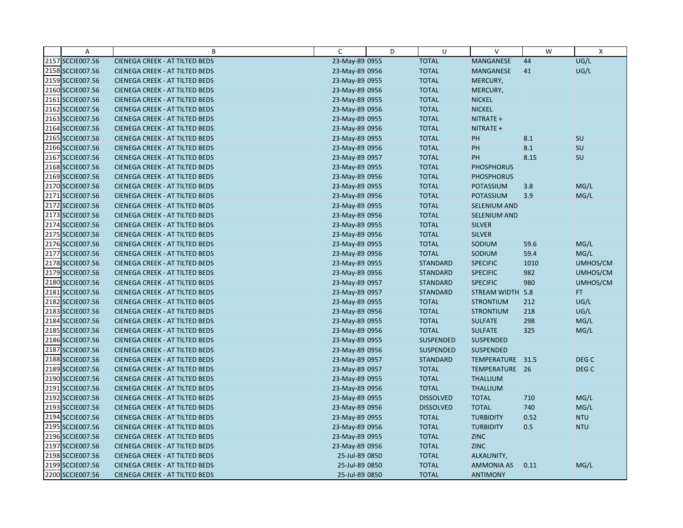| Α                | B                                     | C              | D | U                | V                   | W    | $\boldsymbol{\mathsf{X}}$ |
|------------------|---------------------------------------|----------------|---|------------------|---------------------|------|---------------------------|
| 2157 SCCIE007.56 | <b>CIENEGA CREEK - AT TILTED BEDS</b> | 23-May-89 0955 |   | <b>TOTAL</b>     | MANGANESE           | 44   | UG/L                      |
| 2158 SCCIE007.56 | <b>CIENEGA CREEK - AT TILTED BEDS</b> | 23-May-89 0956 |   | <b>TOTAL</b>     | MANGANESE           | 41   | UG/L                      |
| 2159 SCCIE007.56 | <b>CIENEGA CREEK - AT TILTED BEDS</b> | 23-May-89 0955 |   | <b>TOTAL</b>     | MERCURY,            |      |                           |
| 2160 SCCIE007.56 | <b>CIENEGA CREEK - AT TILTED BEDS</b> | 23-May-89 0956 |   | <b>TOTAL</b>     | MERCURY,            |      |                           |
| 2161 SCCIE007.56 | CIENEGA CREEK - AT TILTED BEDS        | 23-May-89 0955 |   | <b>TOTAL</b>     | <b>NICKEL</b>       |      |                           |
| 2162 SCCIE007.56 | <b>CIENEGA CREEK - AT TILTED BEDS</b> | 23-May-89 0956 |   | <b>TOTAL</b>     | <b>NICKEL</b>       |      |                           |
| 2163 SCCIE007.56 | <b>CIENEGA CREEK - AT TILTED BEDS</b> | 23-May-89 0955 |   | <b>TOTAL</b>     | NITRATE +           |      |                           |
| 2164 SCCIE007.56 | <b>CIENEGA CREEK - AT TILTED BEDS</b> | 23-May-89 0956 |   | <b>TOTAL</b>     | NITRATE +           |      |                           |
| 2165 SCCIE007.56 | CIENEGA CREEK - AT TILTED BEDS        | 23-May-89 0955 |   | <b>TOTAL</b>     | PH                  | 8.1  | <b>SU</b>                 |
| 2166 SCCIE007.56 | <b>CIENEGA CREEK - AT TILTED BEDS</b> | 23-May-89 0956 |   | <b>TOTAL</b>     | PH                  | 8.1  | SU                        |
| 2167 SCCIE007.56 | <b>CIENEGA CREEK - AT TILTED BEDS</b> | 23-May-89 0957 |   | <b>TOTAL</b>     | <b>PH</b>           | 8.15 | SU                        |
| 2168 SCCIE007.56 | <b>CIENEGA CREEK - AT TILTED BEDS</b> | 23-May-89 0955 |   | <b>TOTAL</b>     | <b>PHOSPHORUS</b>   |      |                           |
| 2169 SCCIE007.56 | <b>CIENEGA CREEK - AT TILTED BEDS</b> | 23-May-89 0956 |   | <b>TOTAL</b>     | <b>PHOSPHORUS</b>   |      |                           |
| 2170 SCCIE007.56 | <b>CIENEGA CREEK - AT TILTED BEDS</b> | 23-May-89 0955 |   | <b>TOTAL</b>     | <b>POTASSIUM</b>    | 3.8  | MG/L                      |
| 2171 SCCIE007.56 | <b>CIENEGA CREEK - AT TILTED BEDS</b> | 23-May-89 0956 |   | <b>TOTAL</b>     | <b>POTASSIUM</b>    | 3.9  | MG/L                      |
| 2172 SCCIE007.56 | <b>CIENEGA CREEK - AT TILTED BEDS</b> | 23-May-89 0955 |   | <b>TOTAL</b>     | <b>SELENIUM AND</b> |      |                           |
| 2173 SCCIE007.56 | <b>CIENEGA CREEK - AT TILTED BEDS</b> | 23-May-89 0956 |   | <b>TOTAL</b>     | SELENIUM AND        |      |                           |
| 2174 SCCIE007.56 | <b>CIENEGA CREEK - AT TILTED BEDS</b> | 23-May-89 0955 |   | <b>TOTAL</b>     | <b>SILVER</b>       |      |                           |
| 2175 SCCIE007.56 | <b>CIENEGA CREEK - AT TILTED BEDS</b> | 23-May-89 0956 |   | <b>TOTAL</b>     | <b>SILVER</b>       |      |                           |
| 2176 SCCIE007.56 | <b>CIENEGA CREEK - AT TILTED BEDS</b> | 23-May-89 0955 |   | <b>TOTAL</b>     | SODIUM              | 59.6 | MG/L                      |
| 2177 SCCIE007.56 | CIENEGA CREEK - AT TILTED BEDS        | 23-May-89 0956 |   | <b>TOTAL</b>     | SODIUM              | 59.4 | MG/L                      |
| 2178 SCCIE007.56 | <b>CIENEGA CREEK - AT TILTED BEDS</b> | 23-May-89 0955 |   | <b>STANDARD</b>  | <b>SPECIFIC</b>     | 1010 | UMHOS/CM                  |
| 2179 SCCIE007.56 | <b>CIENEGA CREEK - AT TILTED BEDS</b> | 23-May-89 0956 |   | <b>STANDARD</b>  | <b>SPECIFIC</b>     | 982  | UMHOS/CM                  |
| 2180 SCCIE007.56 | <b>CIENEGA CREEK - AT TILTED BEDS</b> | 23-May-89 0957 |   | <b>STANDARD</b>  | <b>SPECIFIC</b>     | 980  | UMHOS/CM                  |
| 2181 SCCIE007.56 | CIENEGA CREEK - AT TILTED BEDS        | 23-May-89 0957 |   | <b>STANDARD</b>  | STREAM WIDTH 5.8    |      | FT.                       |
| 2182 SCCIE007.56 | <b>CIENEGA CREEK - AT TILTED BEDS</b> | 23-May-89 0955 |   | <b>TOTAL</b>     | <b>STRONTIUM</b>    | 212  | UG/L                      |
| 2183 SCCIE007.56 | <b>CIENEGA CREEK - AT TILTED BEDS</b> | 23-May-89 0956 |   | <b>TOTAL</b>     | <b>STRONTIUM</b>    | 218  | UG/L                      |
| 2184 SCCIE007.56 | <b>CIENEGA CREEK - AT TILTED BEDS</b> | 23-May-89 0955 |   | <b>TOTAL</b>     | <b>SULFATE</b>      | 298  | MG/L                      |
| 2185 SCCIE007.56 | CIENEGA CREEK - AT TILTED BEDS        | 23-May-89 0956 |   | <b>TOTAL</b>     | <b>SULFATE</b>      | 325  | MG/L                      |
| 2186 SCCIE007.56 | <b>CIENEGA CREEK - AT TILTED BEDS</b> | 23-May-89 0955 |   | <b>SUSPENDED</b> | <b>SUSPENDED</b>    |      |                           |
| 2187 SCCIE007.56 | <b>CIENEGA CREEK - AT TILTED BEDS</b> | 23-May-89 0956 |   | SUSPENDED        | <b>SUSPENDED</b>    |      |                           |
| 2188 SCCIE007.56 | <b>CIENEGA CREEK - AT TILTED BEDS</b> | 23-May-89 0957 |   | <b>STANDARD</b>  | TEMPERATURE 31.5    |      | DEG <sub>C</sub>          |
| 2189 SCCIE007.56 | <b>CIENEGA CREEK - AT TILTED BEDS</b> | 23-May-89 0957 |   | <b>TOTAL</b>     | TEMPERATURE 26      |      | DEG <sub>C</sub>          |
| 2190 SCCIE007.56 | <b>CIENEGA CREEK - AT TILTED BEDS</b> | 23-May-89 0955 |   | <b>TOTAL</b>     | <b>THALLIUM</b>     |      |                           |
| 2191 SCCIE007.56 | <b>CIENEGA CREEK - AT TILTED BEDS</b> | 23-May-89 0956 |   | <b>TOTAL</b>     | <b>THALLIUM</b>     |      |                           |
| 2192 SCCIE007.56 | <b>CIENEGA CREEK - AT TILTED BEDS</b> | 23-May-89 0955 |   | <b>DISSOLVED</b> | <b>TOTAL</b>        | 710  | MG/L                      |
| 2193 SCCIE007.56 | CIENEGA CREEK - AT TILTED BEDS        | 23-May-89 0956 |   | <b>DISSOLVED</b> | <b>TOTAL</b>        | 740  | MG/L                      |
| 2194 SCCIE007.56 | <b>CIENEGA CREEK - AT TILTED BEDS</b> | 23-May-89 0955 |   | <b>TOTAL</b>     | <b>TURBIDITY</b>    | 0.52 | <b>NTU</b>                |
| 2195 SCCIE007.56 | <b>CIENEGA CREEK - AT TILTED BEDS</b> | 23-May-89 0956 |   | <b>TOTAL</b>     | <b>TURBIDITY</b>    | 0.5  | <b>NTU</b>                |
| 2196 SCCIE007.56 | CIENEGA CREEK - AT TILTED BEDS        | 23-May-89 0955 |   | <b>TOTAL</b>     | <b>ZINC</b>         |      |                           |
| 2197 SCCIE007.56 | <b>CIENEGA CREEK - AT TILTED BEDS</b> | 23-May-89 0956 |   | <b>TOTAL</b>     | <b>ZINC</b>         |      |                           |
| 2198 SCCIE007.56 | <b>CIENEGA CREEK - AT TILTED BEDS</b> | 25-Jul-89 0850 |   | <b>TOTAL</b>     | ALKALINITY,         |      |                           |
| 2199 SCCIE007.56 | <b>CIENEGA CREEK - AT TILTED BEDS</b> | 25-Jul-89 0850 |   | <b>TOTAL</b>     | <b>AMMONIA AS</b>   | 0.11 | MG/L                      |
| 2200 SCCIE007.56 | <b>CIENEGA CREEK - AT TILTED BEDS</b> | 25-Jul-89 0850 |   | <b>TOTAL</b>     | <b>ANTIMONY</b>     |      |                           |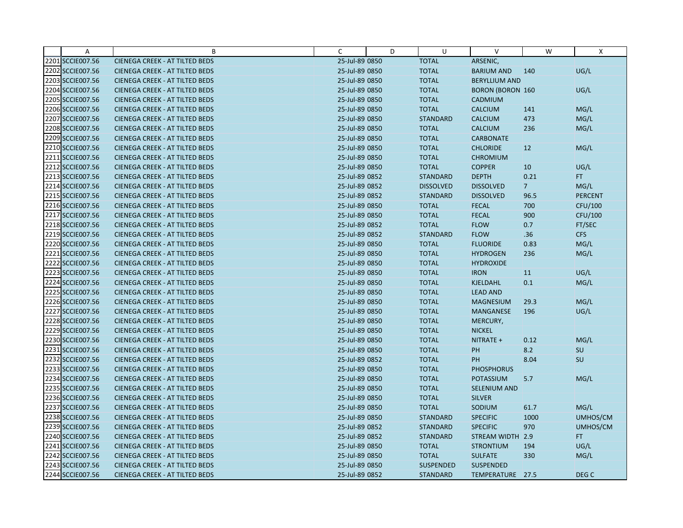| Α                | B                                     | C              | D | U                | v                       | W              | X              |
|------------------|---------------------------------------|----------------|---|------------------|-------------------------|----------------|----------------|
| 2201 SCCIE007.56 | <b>CIENEGA CREEK - AT TILTED BEDS</b> | 25-Jul-89 0850 |   | <b>TOTAL</b>     | ARSENIC,                |                |                |
| 2202 SCCIE007.56 | <b>CIENEGA CREEK - AT TILTED BEDS</b> | 25-Jul-89 0850 |   | <b>TOTAL</b>     | <b>BARIUM AND</b>       | 140            | UG/L           |
| 2203 SCCIE007.56 | <b>CIENEGA CREEK - AT TILTED BEDS</b> | 25-Jul-89 0850 |   | <b>TOTAL</b>     | <b>BERYLLIUM AND</b>    |                |                |
| 2204 SCCIE007.56 | <b>CIENEGA CREEK - AT TILTED BEDS</b> | 25-Jul-89 0850 |   | <b>TOTAL</b>     | <b>BORON (BORON 160</b> |                | UG/L           |
| 2205 SCCIE007.56 | <b>CIENEGA CREEK - AT TILTED BEDS</b> | 25-Jul-89 0850 |   | <b>TOTAL</b>     | CADMIUM                 |                |                |
| 2206 SCCIE007.56 | <b>CIENEGA CREEK - AT TILTED BEDS</b> | 25-Jul-89 0850 |   | <b>TOTAL</b>     | <b>CALCIUM</b>          | 141            | MG/L           |
| 2207 SCCIE007.56 | <b>CIENEGA CREEK - AT TILTED BEDS</b> | 25-Jul-89 0850 |   | <b>STANDARD</b>  | <b>CALCIUM</b>          | 473            | MG/L           |
| 2208 SCCIE007.56 | <b>CIENEGA CREEK - AT TILTED BEDS</b> | 25-Jul-89 0850 |   | <b>TOTAL</b>     | <b>CALCIUM</b>          | 236            | MG/L           |
| 2209 SCCIE007.56 | <b>CIENEGA CREEK - AT TILTED BEDS</b> | 25-Jul-89 0850 |   | <b>TOTAL</b>     | <b>CARBONATE</b>        |                |                |
| 2210 SCCIE007.56 | <b>CIENEGA CREEK - AT TILTED BEDS</b> | 25-Jul-89 0850 |   | <b>TOTAL</b>     | <b>CHLORIDE</b>         | 12             | MG/L           |
| 2211 SCCIE007.56 | <b>CIENEGA CREEK - AT TILTED BEDS</b> | 25-Jul-89 0850 |   | <b>TOTAL</b>     | <b>CHROMIUM</b>         |                |                |
| 2212 SCCIE007.56 | <b>CIENEGA CREEK - AT TILTED BEDS</b> | 25-Jul-89 0850 |   | <b>TOTAL</b>     | <b>COPPER</b>           | 10             | UG/L           |
| 2213 SCCIE007.56 | <b>CIENEGA CREEK - AT TILTED BEDS</b> | 25-Jul-89 0852 |   | <b>STANDARD</b>  | <b>DEPTH</b>            | 0.21           | FT.            |
| 2214 SCCIE007.56 | <b>CIENEGA CREEK - AT TILTED BEDS</b> | 25-Jul-89 0852 |   | <b>DISSOLVED</b> | <b>DISSOLVED</b>        | 7 <sup>2</sup> | MG/L           |
| 2215 SCCIE007.56 | <b>CIENEGA CREEK - AT TILTED BEDS</b> | 25-Jul-89 0852 |   | <b>STANDARD</b>  | <b>DISSOLVED</b>        | 96.5           | <b>PERCENT</b> |
| 2216 SCCIE007.56 | <b>CIENEGA CREEK - AT TILTED BEDS</b> | 25-Jul-89 0850 |   | <b>TOTAL</b>     | <b>FECAL</b>            | 700            | CFU/100        |
| 2217 SCCIE007.56 | <b>CIENEGA CREEK - AT TILTED BEDS</b> | 25-Jul-89 0850 |   | <b>TOTAL</b>     | <b>FECAL</b>            | 900            | CFU/100        |
| 2218 SCCIE007.56 | <b>CIENEGA CREEK - AT TILTED BEDS</b> | 25-Jul-89 0852 |   | <b>TOTAL</b>     | <b>FLOW</b>             | 0.7            | FT/SEC         |
| 2219 SCCIE007.56 | <b>CIENEGA CREEK - AT TILTED BEDS</b> | 25-Jul-89 0852 |   | <b>STANDARD</b>  | <b>FLOW</b>             | .36            | <b>CFS</b>     |
| 2220 SCCIE007.56 | <b>CIENEGA CREEK - AT TILTED BEDS</b> | 25-Jul-89 0850 |   | <b>TOTAL</b>     | <b>FLUORIDE</b>         | 0.83           | MG/L           |
| 2221 SCCIE007.56 | <b>CIENEGA CREEK - AT TILTED BEDS</b> | 25-Jul-89 0850 |   | <b>TOTAL</b>     | <b>HYDROGEN</b>         | 236            | MG/L           |
| 2222 SCCIE007.56 | <b>CIENEGA CREEK - AT TILTED BEDS</b> | 25-Jul-89 0850 |   | <b>TOTAL</b>     | <b>HYDROXIDE</b>        |                |                |
| 2223 SCCIE007.56 | <b>CIENEGA CREEK - AT TILTED BEDS</b> | 25-Jul-89 0850 |   | <b>TOTAL</b>     | <b>IRON</b>             | 11             | UG/L           |
| 2224 SCCIE007.56 | <b>CIENEGA CREEK - AT TILTED BEDS</b> | 25-Jul-89 0850 |   | <b>TOTAL</b>     | <b>KJELDAHL</b>         | 0.1            | MG/L           |
| 2225 SCCIE007.56 | <b>CIENEGA CREEK - AT TILTED BEDS</b> | 25-Jul-89 0850 |   | <b>TOTAL</b>     | <b>LEAD AND</b>         |                |                |
| 2226 SCCIE007.56 | <b>CIENEGA CREEK - AT TILTED BEDS</b> | 25-Jul-89 0850 |   | <b>TOTAL</b>     | <b>MAGNESIUM</b>        | 29.3           | MG/L           |
| 2227 SCCIE007.56 | <b>CIENEGA CREEK - AT TILTED BEDS</b> | 25-Jul-89 0850 |   | <b>TOTAL</b>     | MANGANESE               | 196            | UG/L           |
| 2228 SCCIE007.56 | <b>CIENEGA CREEK - AT TILTED BEDS</b> | 25-Jul-89 0850 |   | <b>TOTAL</b>     | MERCURY,                |                |                |
| 2229 SCCIE007.56 | <b>CIENEGA CREEK - AT TILTED BEDS</b> | 25-Jul-89 0850 |   | <b>TOTAL</b>     | <b>NICKEL</b>           |                |                |
| 2230 SCCIE007.56 | <b>CIENEGA CREEK - AT TILTED BEDS</b> | 25-Jul-89 0850 |   | <b>TOTAL</b>     | NITRATE +               | 0.12           | MG/L           |
| 2231 SCCIE007.56 | <b>CIENEGA CREEK - AT TILTED BEDS</b> | 25-Jul-89 0850 |   | <b>TOTAL</b>     | PH                      | 8.2            | SU             |
| 2232 SCCIE007.56 | <b>CIENEGA CREEK - AT TILTED BEDS</b> | 25-Jul-89 0852 |   | <b>TOTAL</b>     | <b>PH</b>               | 8.04           | SU             |
| 2233 SCCIE007.56 | <b>CIENEGA CREEK - AT TILTED BEDS</b> | 25-Jul-89 0850 |   | <b>TOTAL</b>     | <b>PHOSPHORUS</b>       |                |                |
| 2234 SCCIE007.56 | <b>CIENEGA CREEK - AT TILTED BEDS</b> | 25-Jul-89 0850 |   | <b>TOTAL</b>     | <b>POTASSIUM</b>        | 5.7            | MG/L           |
| 2235 SCCIE007.56 | <b>CIENEGA CREEK - AT TILTED BEDS</b> | 25-Jul-89 0850 |   | <b>TOTAL</b>     | <b>SELENIUM AND</b>     |                |                |
| 2236 SCCIE007.56 | <b>CIENEGA CREEK - AT TILTED BEDS</b> | 25-Jul-89 0850 |   | <b>TOTAL</b>     | <b>SILVER</b>           |                |                |
| 2237 SCCIE007.56 | <b>CIENEGA CREEK - AT TILTED BEDS</b> | 25-Jul-89 0850 |   | <b>TOTAL</b>     | SODIUM                  | 61.7           | MG/L           |
| 2238 SCCIE007.56 | <b>CIENEGA CREEK - AT TILTED BEDS</b> | 25-Jul-89 0850 |   | <b>STANDARD</b>  | <b>SPECIFIC</b>         | 1000           | UMHOS/CM       |
| 2239 SCCIE007.56 | <b>CIENEGA CREEK - AT TILTED BEDS</b> | 25-Jul-89 0852 |   | <b>STANDARD</b>  | <b>SPECIFIC</b>         | 970            | UMHOS/CM       |
| 2240 SCCIE007.56 | <b>CIENEGA CREEK - AT TILTED BEDS</b> | 25-Jul-89 0852 |   | <b>STANDARD</b>  | STREAM WIDTH 2.9        |                | FT.            |
| 2241 SCCIE007.56 | <b>CIENEGA CREEK - AT TILTED BEDS</b> | 25-Jul-89 0850 |   | <b>TOTAL</b>     | <b>STRONTIUM</b>        | 194            | UG/L           |
| 2242 SCCIE007.56 | <b>CIENEGA CREEK - AT TILTED BEDS</b> | 25-Jul-89 0850 |   | <b>TOTAL</b>     | <b>SULFATE</b>          | 330            | MG/L           |
| 2243 SCCIE007.56 | <b>CIENEGA CREEK - AT TILTED BEDS</b> | 25-Jul-89 0850 |   | <b>SUSPENDED</b> | <b>SUSPENDED</b>        |                |                |
| 2244 SCCIE007.56 | <b>CIENEGA CREEK - AT TILTED BEDS</b> | 25-Jul-89 0852 |   | <b>STANDARD</b>  | TEMPERATURE 27.5        |                | DEG C          |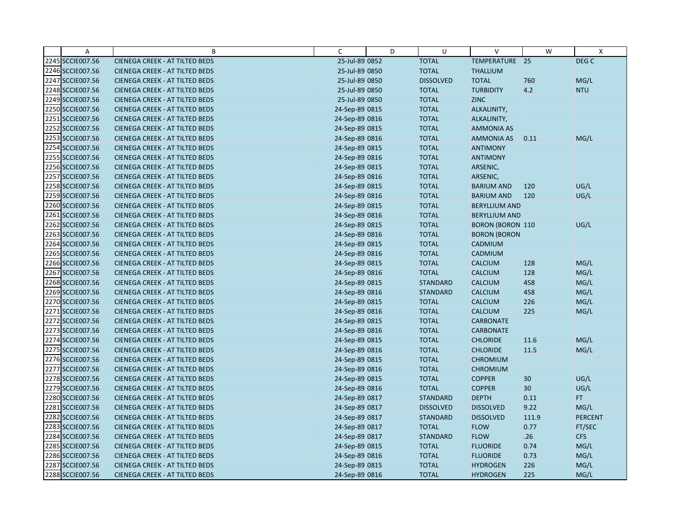| Α                | B                                     | C              | D | U                | V                       | W     | X              |
|------------------|---------------------------------------|----------------|---|------------------|-------------------------|-------|----------------|
| 2245 SCCIE007.56 | <b>CIENEGA CREEK - AT TILTED BEDS</b> | 25-Jul-89 0852 |   | <b>TOTAL</b>     | TEMPERATURE 25          |       | DEG C          |
| 2246 SCCIE007.56 | <b>CIENEGA CREEK - AT TILTED BEDS</b> | 25-Jul-89 0850 |   | <b>TOTAL</b>     | <b>THALLIUM</b>         |       |                |
| 2247 SCCIE007.56 | <b>CIENEGA CREEK - AT TILTED BEDS</b> | 25-Jul-89 0850 |   | <b>DISSOLVED</b> | <b>TOTAL</b>            | 760   | MG/L           |
| 2248 SCCIE007.56 | <b>CIENEGA CREEK - AT TILTED BEDS</b> | 25-Jul-89 0850 |   | <b>TOTAL</b>     | <b>TURBIDITY</b>        | 4.2   | <b>NTU</b>     |
| 2249 SCCIE007.56 | <b>CIENEGA CREEK - AT TILTED BEDS</b> | 25-Jul-89 0850 |   | <b>TOTAL</b>     | <b>ZINC</b>             |       |                |
| 2250 SCCIE007.56 | <b>CIENEGA CREEK - AT TILTED BEDS</b> | 24-Sep-89 0815 |   | <b>TOTAL</b>     | ALKALINITY,             |       |                |
| 2251 SCCIE007.56 | <b>CIENEGA CREEK - AT TILTED BEDS</b> | 24-Sep-89 0816 |   | <b>TOTAL</b>     | ALKALINITY,             |       |                |
| 2252 SCCIE007.56 | <b>CIENEGA CREEK - AT TILTED BEDS</b> | 24-Sep-89 0815 |   | <b>TOTAL</b>     | <b>AMMONIA AS</b>       |       |                |
| 2253 SCCIE007.56 | CIENEGA CREEK - AT TILTED BEDS        | 24-Sep-89 0816 |   | <b>TOTAL</b>     | AMMONIA AS              | 0.11  | MG/L           |
| 2254 SCCIE007.56 | <b>CIENEGA CREEK - AT TILTED BEDS</b> | 24-Sep-89 0815 |   | <b>TOTAL</b>     | <b>ANTIMONY</b>         |       |                |
| 2255 SCCIE007.56 | CIENEGA CREEK - AT TILTED BEDS        | 24-Sep-89 0816 |   | <b>TOTAL</b>     | <b>ANTIMONY</b>         |       |                |
| 2256 SCCIE007.56 | <b>CIENEGA CREEK - AT TILTED BEDS</b> | 24-Sep-89 0815 |   | <b>TOTAL</b>     | ARSENIC,                |       |                |
| 2257 SCCIE007.56 | <b>CIENEGA CREEK - AT TILTED BEDS</b> | 24-Sep-89 0816 |   | <b>TOTAL</b>     | ARSENIC,                |       |                |
| 2258 SCCIE007.56 | <b>CIENEGA CREEK - AT TILTED BEDS</b> | 24-Sep-89 0815 |   | <b>TOTAL</b>     | <b>BARIUM AND</b>       | 120   | UG/L           |
| 2259 SCCIE007.56 | <b>CIENEGA CREEK - AT TILTED BEDS</b> | 24-Sep-89 0816 |   | <b>TOTAL</b>     | <b>BARIUM AND</b>       | 120   | UG/L           |
| 2260 SCCIE007.56 | <b>CIENEGA CREEK - AT TILTED BEDS</b> | 24-Sep-89 0815 |   | <b>TOTAL</b>     | <b>BERYLLIUM AND</b>    |       |                |
| 2261 SCCIE007.56 | <b>CIENEGA CREEK - AT TILTED BEDS</b> | 24-Sep-89 0816 |   | <b>TOTAL</b>     | <b>BERYLLIUM AND</b>    |       |                |
| 2262 SCCIE007.56 | <b>CIENEGA CREEK - AT TILTED BEDS</b> | 24-Sep-89 0815 |   | <b>TOTAL</b>     | <b>BORON (BORON 110</b> |       | UG/L           |
| 2263 SCCIE007.56 | <b>CIENEGA CREEK - AT TILTED BEDS</b> | 24-Sep-89 0816 |   | <b>TOTAL</b>     | <b>BORON (BORON</b>     |       |                |
| 2264 SCCIE007.56 | <b>CIENEGA CREEK - AT TILTED BEDS</b> | 24-Sep-89 0815 |   | <b>TOTAL</b>     | CADMIUM                 |       |                |
| 2265 SCCIE007.56 | CIENEGA CREEK - AT TILTED BEDS        | 24-Sep-89 0816 |   | <b>TOTAL</b>     | <b>CADMIUM</b>          |       |                |
| 2266 SCCIE007.56 | <b>CIENEGA CREEK - AT TILTED BEDS</b> | 24-Sep-89 0815 |   | <b>TOTAL</b>     | <b>CALCIUM</b>          | 128   | MG/L           |
| 2267 SCCIE007.56 | <b>CIENEGA CREEK - AT TILTED BEDS</b> | 24-Sep-89 0816 |   | <b>TOTAL</b>     | <b>CALCIUM</b>          | 128   | MG/L           |
| 2268 SCCIE007.56 | CIENEGA CREEK - AT TILTED BEDS        | 24-Sep-89 0815 |   | <b>STANDARD</b>  | <b>CALCIUM</b>          | 458   | MG/L           |
| 2269 SCCIE007.56 | CIENEGA CREEK - AT TILTED BEDS        | 24-Sep-89 0816 |   | <b>STANDARD</b>  | <b>CALCIUM</b>          | 458   | MG/L           |
| 2270 SCCIE007.56 | <b>CIENEGA CREEK - AT TILTED BEDS</b> | 24-Sep-89 0815 |   | <b>TOTAL</b>     | <b>CALCIUM</b>          | 226   | MG/L           |
| 2271 SCCIE007.56 | <b>CIENEGA CREEK - AT TILTED BEDS</b> | 24-Sep-89 0816 |   | <b>TOTAL</b>     | <b>CALCIUM</b>          | 225   | MG/L           |
| 2272 SCCIE007.56 | <b>CIENEGA CREEK - AT TILTED BEDS</b> | 24-Sep-89 0815 |   | <b>TOTAL</b>     | <b>CARBONATE</b>        |       |                |
| 2273 SCCIE007.56 | CIENEGA CREEK - AT TILTED BEDS        | 24-Sep-89 0816 |   | <b>TOTAL</b>     | <b>CARBONATE</b>        |       |                |
| 2274 SCCIE007.56 | <b>CIENEGA CREEK - AT TILTED BEDS</b> | 24-Sep-89 0815 |   | <b>TOTAL</b>     | <b>CHLORIDE</b>         | 11.6  | MG/L           |
| 2275 SCCIE007.56 | <b>CIENEGA CREEK - AT TILTED BEDS</b> | 24-Sep-89 0816 |   | <b>TOTAL</b>     | <b>CHLORIDE</b>         | 11.5  | MG/L           |
| 2276 SCCIE007.56 | <b>CIENEGA CREEK - AT TILTED BEDS</b> | 24-Sep-89 0815 |   | <b>TOTAL</b>     | <b>CHROMIUM</b>         |       |                |
| 2277 SCCIE007.56 | <b>CIENEGA CREEK - AT TILTED BEDS</b> | 24-Sep-89 0816 |   | <b>TOTAL</b>     | <b>CHROMIUM</b>         |       |                |
| 2278 SCCIE007.56 | <b>CIENEGA CREEK - AT TILTED BEDS</b> | 24-Sep-89 0815 |   | <b>TOTAL</b>     | <b>COPPER</b>           | 30    | UG/L           |
| 2279 SCCIE007.56 | <b>CIENEGA CREEK - AT TILTED BEDS</b> | 24-Sep-89 0816 |   | <b>TOTAL</b>     | <b>COPPER</b>           | 30    | UG/L           |
| 2280 SCCIE007.56 | <b>CIENEGA CREEK - AT TILTED BEDS</b> | 24-Sep-89 0817 |   | <b>STANDARD</b>  | <b>DEPTH</b>            | 0.11  | FT.            |
| 2281 SCCIE007.56 | CIENEGA CREEK - AT TILTED BEDS        | 24-Sep-89 0817 |   | <b>DISSOLVED</b> | <b>DISSOLVED</b>        | 9.22  | MG/L           |
| 2282 SCCIE007.56 | <b>CIENEGA CREEK - AT TILTED BEDS</b> | 24-Sep-89 0817 |   | <b>STANDARD</b>  | <b>DISSOLVED</b>        | 111.9 | <b>PERCENT</b> |
| 2283 SCCIE007.56 | <b>CIENEGA CREEK - AT TILTED BEDS</b> | 24-Sep-89 0817 |   | <b>TOTAL</b>     | <b>FLOW</b>             | 0.77  | FT/SEC         |
| 2284 SCCIE007.56 | <b>CIENEGA CREEK - AT TILTED BEDS</b> | 24-Sep-89 0817 |   | <b>STANDARD</b>  | <b>FLOW</b>             | .26   | <b>CFS</b>     |
| 2285 SCCIE007.56 | <b>CIENEGA CREEK - AT TILTED BEDS</b> | 24-Sep-89 0815 |   | <b>TOTAL</b>     | <b>FLUORIDE</b>         | 0.74  | MG/L           |
| 2286 SCCIE007.56 | <b>CIENEGA CREEK - AT TILTED BEDS</b> | 24-Sep-89 0816 |   | <b>TOTAL</b>     | <b>FLUORIDE</b>         | 0.73  | MG/L           |
| 2287 SCCIE007.56 | <b>CIENEGA CREEK - AT TILTED BEDS</b> | 24-Sep-89 0815 |   | <b>TOTAL</b>     | <b>HYDROGEN</b>         | 226   | MG/L           |
| 2288 SCCIE007.56 | <b>CIENEGA CREEK - AT TILTED BEDS</b> | 24-Sep-89 0816 |   | <b>TOTAL</b>     | <b>HYDROGEN</b>         | 225   | MG/L           |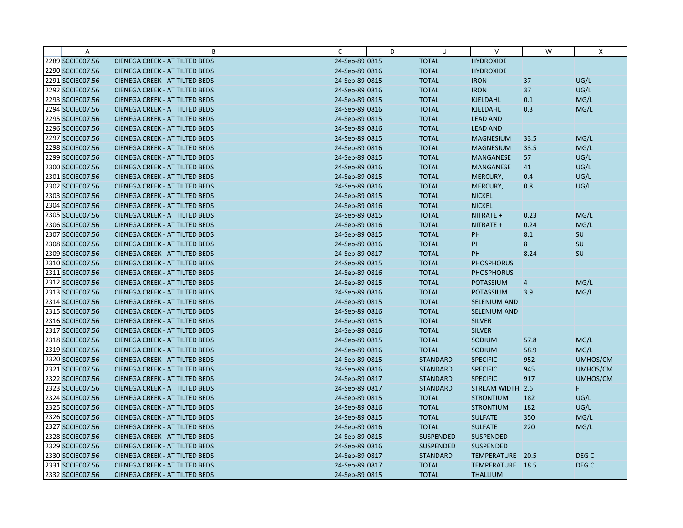| Α                | B                                     | C              | D | U                | $\vee$            | W              | X                |
|------------------|---------------------------------------|----------------|---|------------------|-------------------|----------------|------------------|
| 2289 SCCIE007.56 | <b>CIENEGA CREEK - AT TILTED BEDS</b> | 24-Sep-89 0815 |   | <b>TOTAL</b>     | <b>HYDROXIDE</b>  |                |                  |
| 2290 SCCIE007.56 | <b>CIENEGA CREEK - AT TILTED BEDS</b> | 24-Sep-89 0816 |   | <b>TOTAL</b>     | <b>HYDROXIDE</b>  |                |                  |
| 2291 SCCIE007.56 | <b>CIENEGA CREEK - AT TILTED BEDS</b> | 24-Sep-89 0815 |   | <b>TOTAL</b>     | <b>IRON</b>       | 37             | UG/L             |
| 2292 SCCIE007.56 | <b>CIENEGA CREEK - AT TILTED BEDS</b> | 24-Sep-89 0816 |   | <b>TOTAL</b>     | <b>IRON</b>       | 37             | UG/L             |
| 2293 SCCIE007.56 | <b>CIENEGA CREEK - AT TILTED BEDS</b> | 24-Sep-89 0815 |   | <b>TOTAL</b>     | <b>KJELDAHL</b>   | 0.1            | MG/L             |
| 2294 SCCIE007.56 | <b>CIENEGA CREEK - AT TILTED BEDS</b> | 24-Sep-89 0816 |   | <b>TOTAL</b>     | <b>KJELDAHL</b>   | 0.3            | MG/L             |
| 2295 SCCIE007.56 | <b>CIENEGA CREEK - AT TILTED BEDS</b> | 24-Sep-89 0815 |   | <b>TOTAL</b>     | <b>LEAD AND</b>   |                |                  |
| 2296 SCCIE007.56 | CIENEGA CREEK - AT TILTED BEDS        | 24-Sep-89 0816 |   | <b>TOTAL</b>     | <b>LEAD AND</b>   |                |                  |
| 2297 SCCIE007.56 | <b>CIENEGA CREEK - AT TILTED BEDS</b> | 24-Sep-89 0815 |   | <b>TOTAL</b>     | <b>MAGNESIUM</b>  | 33.5           | MG/L             |
| 2298 SCCIE007.56 | <b>CIENEGA CREEK - AT TILTED BEDS</b> | 24-Sep-89 0816 |   | <b>TOTAL</b>     | <b>MAGNESIUM</b>  | 33.5           | MG/L             |
| 2299 SCCIE007.56 | <b>CIENEGA CREEK - AT TILTED BEDS</b> | 24-Sep-89 0815 |   | <b>TOTAL</b>     | <b>MANGANESE</b>  | 57             | UG/L             |
| 2300 SCCIE007.56 | <b>CIENEGA CREEK - AT TILTED BEDS</b> | 24-Sep-89 0816 |   | <b>TOTAL</b>     | MANGANESE         | 41             | UG/L             |
| 2301 SCCIE007.56 | <b>CIENEGA CREEK - AT TILTED BEDS</b> | 24-Sep-89 0815 |   | <b>TOTAL</b>     | MERCURY,          | 0.4            | UG/L             |
| 2302 SCCIE007.56 | <b>CIENEGA CREEK - AT TILTED BEDS</b> | 24-Sep-89 0816 |   | <b>TOTAL</b>     | MERCURY,          | 0.8            | UG/L             |
| 2303 SCCIE007.56 | CIENEGA CREEK - AT TILTED BEDS        | 24-Sep-89 0815 |   | <b>TOTAL</b>     | <b>NICKEL</b>     |                |                  |
| 2304 SCCIE007.56 | <b>CIENEGA CREEK - AT TILTED BEDS</b> | 24-Sep-89 0816 |   | <b>TOTAL</b>     | <b>NICKEL</b>     |                |                  |
| 2305 SCCIE007.56 | <b>CIENEGA CREEK - AT TILTED BEDS</b> | 24-Sep-89 0815 |   | <b>TOTAL</b>     | NITRATE +         | 0.23           | MG/L             |
| 2306 SCCIE007.56 | <b>CIENEGA CREEK - AT TILTED BEDS</b> | 24-Sep-89 0816 |   | <b>TOTAL</b>     | NITRATE +         | 0.24           | MG/L             |
| 2307 SCCIE007.56 | <b>CIENEGA CREEK - AT TILTED BEDS</b> | 24-Sep-89 0815 |   | <b>TOTAL</b>     | PH                | 8.1            | SU               |
| 2308 SCCIE007.56 | <b>CIENEGA CREEK - AT TILTED BEDS</b> | 24-Sep-89 0816 |   | <b>TOTAL</b>     | PH                | 8              | SU               |
| 2309 SCCIE007.56 | <b>CIENEGA CREEK - AT TILTED BEDS</b> | 24-Sep-89 0817 |   | <b>TOTAL</b>     | <b>PH</b>         | 8.24           | SU               |
| 2310 SCCIE007.56 | <b>CIENEGA CREEK - AT TILTED BEDS</b> | 24-Sep-89 0815 |   | <b>TOTAL</b>     | <b>PHOSPHORUS</b> |                |                  |
| 2311 SCCIE007.56 | <b>CIENEGA CREEK - AT TILTED BEDS</b> | 24-Sep-89 0816 |   | <b>TOTAL</b>     | <b>PHOSPHORUS</b> |                |                  |
| 2312 SCCIE007.56 | <b>CIENEGA CREEK - AT TILTED BEDS</b> | 24-Sep-89 0815 |   | <b>TOTAL</b>     | <b>POTASSIUM</b>  | $\overline{4}$ | MG/L             |
| 2313 SCCIE007.56 | <b>CIENEGA CREEK - AT TILTED BEDS</b> | 24-Sep-89 0816 |   | <b>TOTAL</b>     | <b>POTASSIUM</b>  | 3.9            | MG/L             |
| 2314 SCCIE007.56 | <b>CIENEGA CREEK - AT TILTED BEDS</b> | 24-Sep-89 0815 |   | <b>TOTAL</b>     | SELENIUM AND      |                |                  |
| 2315 SCCIE007.56 | <b>CIENEGA CREEK - AT TILTED BEDS</b> | 24-Sep-89 0816 |   | <b>TOTAL</b>     | SELENIUM AND      |                |                  |
| 2316 SCCIE007.56 | <b>CIENEGA CREEK - AT TILTED BEDS</b> | 24-Sep-89 0815 |   | <b>TOTAL</b>     | <b>SILVER</b>     |                |                  |
| 2317 SCCIE007.56 | <b>CIENEGA CREEK - AT TILTED BEDS</b> | 24-Sep-89 0816 |   | <b>TOTAL</b>     | <b>SILVER</b>     |                |                  |
| 2318 SCCIE007.56 | <b>CIENEGA CREEK - AT TILTED BEDS</b> | 24-Sep-89 0815 |   | <b>TOTAL</b>     | SODIUM            | 57.8           | MG/L             |
| 2319 SCCIE007.56 | <b>CIENEGA CREEK - AT TILTED BEDS</b> | 24-Sep-89 0816 |   | <b>TOTAL</b>     | SODIUM            | 58.9           | MG/L             |
| 2320 SCCIE007.56 | <b>CIENEGA CREEK - AT TILTED BEDS</b> | 24-Sep-89 0815 |   | <b>STANDARD</b>  | <b>SPECIFIC</b>   | 952            | UMHOS/CM         |
| 2321 SCCIE007.56 | <b>CIENEGA CREEK - AT TILTED BEDS</b> | 24-Sep-89 0816 |   | <b>STANDARD</b>  | <b>SPECIFIC</b>   | 945            | UMHOS/CM         |
| 2322 SCCIE007.56 | <b>CIENEGA CREEK - AT TILTED BEDS</b> | 24-Sep-89 0817 |   | <b>STANDARD</b>  | <b>SPECIFIC</b>   | 917            | UMHOS/CM         |
| 2323 SCCIE007.56 | <b>CIENEGA CREEK - AT TILTED BEDS</b> | 24-Sep-89 0817 |   | <b>STANDARD</b>  | STREAM WIDTH 2.6  |                | FT.              |
| 2324 SCCIE007.56 | <b>CIENEGA CREEK - AT TILTED BEDS</b> | 24-Sep-89 0815 |   | <b>TOTAL</b>     | <b>STRONTIUM</b>  | 182            | UG/L             |
| 2325 SCCIE007.56 | <b>CIENEGA CREEK - AT TILTED BEDS</b> | 24-Sep-89 0816 |   | <b>TOTAL</b>     | <b>STRONTIUM</b>  | 182            | UG/L             |
| 2326 SCCIE007.56 | <b>CIENEGA CREEK - AT TILTED BEDS</b> | 24-Sep-89 0815 |   | <b>TOTAL</b>     | <b>SULFATE</b>    | 350            | MG/L             |
| 2327 SCCIE007.56 | <b>CIENEGA CREEK - AT TILTED BEDS</b> | 24-Sep-89 0816 |   | <b>TOTAL</b>     | <b>SULFATE</b>    | 220            | MG/L             |
| 2328 SCCIE007.56 | CIENEGA CREEK - AT TILTED BEDS        | 24-Sep-89 0815 |   | <b>SUSPENDED</b> | SUSPENDED         |                |                  |
| 2329 SCCIE007.56 | <b>CIENEGA CREEK - AT TILTED BEDS</b> | 24-Sep-89 0816 |   | <b>SUSPENDED</b> | <b>SUSPENDED</b>  |                |                  |
| 2330 SCCIE007.56 | <b>CIENEGA CREEK - AT TILTED BEDS</b> | 24-Sep-89 0817 |   | <b>STANDARD</b>  | TEMPERATURE 20.5  |                | DEG <sub>C</sub> |
| 2331 SCCIE007.56 | <b>CIENEGA CREEK - AT TILTED BEDS</b> | 24-Sep-89 0817 |   | <b>TOTAL</b>     | TEMPERATURE 18.5  |                | DEG <sub>C</sub> |
| 2332 SCCIE007.56 | <b>CIENEGA CREEK - AT TILTED BEDS</b> | 24-Sep-89 0815 |   | <b>TOTAL</b>     | <b>THALLIUM</b>   |                |                  |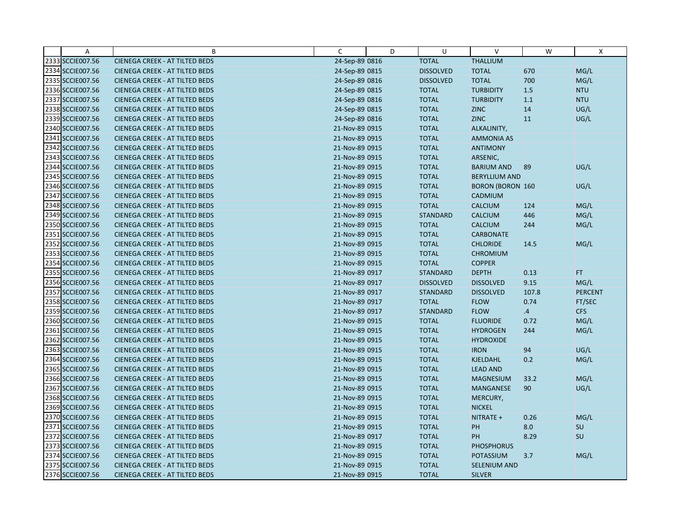| Α                | B                                     | C              | D | U                | $\vee$                  | W     | X              |
|------------------|---------------------------------------|----------------|---|------------------|-------------------------|-------|----------------|
| 2333 SCCIE007.56 | <b>CIENEGA CREEK - AT TILTED BEDS</b> | 24-Sep-89 0816 |   | <b>TOTAL</b>     | <b>THALLIUM</b>         |       |                |
| 2334 SCCIE007.56 | <b>CIENEGA CREEK - AT TILTED BEDS</b> | 24-Sep-89 0815 |   | <b>DISSOLVED</b> | <b>TOTAL</b>            | 670   | MG/L           |
| 2335 SCCIE007.56 | <b>CIENEGA CREEK - AT TILTED BEDS</b> | 24-Sep-89 0816 |   | <b>DISSOLVED</b> | <b>TOTAL</b>            | 700   | MG/L           |
| 2336 SCCIE007.56 | <b>CIENEGA CREEK - AT TILTED BEDS</b> | 24-Sep-89 0815 |   | <b>TOTAL</b>     | <b>TURBIDITY</b>        | $1.5$ | <b>NTU</b>     |
| 2337 SCCIE007.56 | <b>CIENEGA CREEK - AT TILTED BEDS</b> | 24-Sep-89 0816 |   | <b>TOTAL</b>     | <b>TURBIDITY</b>        | 1.1   | <b>NTU</b>     |
| 2338 SCCIE007.56 | <b>CIENEGA CREEK - AT TILTED BEDS</b> | 24-Sep-89 0815 |   | <b>TOTAL</b>     | <b>ZINC</b>             | 14    | UG/L           |
| 2339 SCCIE007.56 | <b>CIENEGA CREEK - AT TILTED BEDS</b> | 24-Sep-89 0816 |   | <b>TOTAL</b>     | <b>ZINC</b>             | 11    | UG/L           |
| 2340 SCCIE007.56 | <b>CIENEGA CREEK - AT TILTED BEDS</b> | 21-Nov-89 0915 |   | <b>TOTAL</b>     | ALKALINITY,             |       |                |
| 2341 SCCIE007.56 | <b>CIENEGA CREEK - AT TILTED BEDS</b> | 21-Nov-89 0915 |   | <b>TOTAL</b>     | <b>AMMONIA AS</b>       |       |                |
| 2342 SCCIE007.56 | <b>CIENEGA CREEK - AT TILTED BEDS</b> | 21-Nov-89 0915 |   | <b>TOTAL</b>     | <b>ANTIMONY</b>         |       |                |
| 2343 SCCIE007.56 | <b>CIENEGA CREEK - AT TILTED BEDS</b> | 21-Nov-89 0915 |   | <b>TOTAL</b>     | ARSENIC,                |       |                |
| 2344 SCCIE007.56 | CIENEGA CREEK - AT TILTED BEDS        | 21-Nov-89 0915 |   | <b>TOTAL</b>     | <b>BARIUM AND</b>       | 89    | UG/L           |
| 2345 SCCIE007.56 | <b>CIENEGA CREEK - AT TILTED BEDS</b> | 21-Nov-89 0915 |   | <b>TOTAL</b>     | <b>BERYLLIUM AND</b>    |       |                |
| 2346 SCCIE007.56 | CIENEGA CREEK - AT TILTED BEDS        | 21-Nov-89 0915 |   | <b>TOTAL</b>     | <b>BORON (BORON 160</b> |       | UG/L           |
| 2347 SCCIE007.56 | <b>CIENEGA CREEK - AT TILTED BEDS</b> | 21-Nov-89 0915 |   | <b>TOTAL</b>     | CADMIUM                 |       |                |
| 2348 SCCIE007.56 | <b>CIENEGA CREEK - AT TILTED BEDS</b> | 21-Nov-89 0915 |   | <b>TOTAL</b>     | <b>CALCIUM</b>          | 124   | MG/L           |
| 2349 SCCIE007.56 | CIENEGA CREEK - AT TILTED BEDS        | 21-Nov-89 0915 |   | <b>STANDARD</b>  | <b>CALCIUM</b>          | 446   | MG/L           |
| 2350 SCCIE007.56 | <b>CIENEGA CREEK - AT TILTED BEDS</b> | 21-Nov-89 0915 |   | <b>TOTAL</b>     | <b>CALCIUM</b>          | 244   | MG/L           |
| 2351 SCCIE007.56 | <b>CIENEGA CREEK - AT TILTED BEDS</b> | 21-Nov-89 0915 |   | <b>TOTAL</b>     | <b>CARBONATE</b>        |       |                |
| 2352 SCCIE007.56 | <b>CIENEGA CREEK - AT TILTED BEDS</b> | 21-Nov-89 0915 |   | <b>TOTAL</b>     | <b>CHLORIDE</b>         | 14.5  | MG/L           |
| 2353 SCCIE007.56 | <b>CIENEGA CREEK - AT TILTED BEDS</b> | 21-Nov-89 0915 |   | <b>TOTAL</b>     | <b>CHROMIUM</b>         |       |                |
| 2354 SCCIE007.56 | <b>CIENEGA CREEK - AT TILTED BEDS</b> | 21-Nov-89 0915 |   | <b>TOTAL</b>     | <b>COPPER</b>           |       |                |
| 2355 SCCIE007.56 | <b>CIENEGA CREEK - AT TILTED BEDS</b> | 21-Nov-89 0917 |   | <b>STANDARD</b>  | <b>DEPTH</b>            | 0.13  | FT.            |
| 2356 SCCIE007.56 | <b>CIENEGA CREEK - AT TILTED BEDS</b> | 21-Nov-89 0917 |   | <b>DISSOLVED</b> | <b>DISSOLVED</b>        | 9.15  | MG/L           |
| 2357 SCCIE007.56 | <b>CIENEGA CREEK - AT TILTED BEDS</b> | 21-Nov-89 0917 |   | <b>STANDARD</b>  | <b>DISSOLVED</b>        | 107.8 | <b>PERCENT</b> |
| 2358 SCCIE007.56 | <b>CIENEGA CREEK - AT TILTED BEDS</b> | 21-Nov-89 0917 |   | <b>TOTAL</b>     | <b>FLOW</b>             | 0.74  | FT/SEC         |
| 2359 SCCIE007.56 | <b>CIENEGA CREEK - AT TILTED BEDS</b> | 21-Nov-89 0917 |   | <b>STANDARD</b>  | <b>FLOW</b>             | .4    | <b>CFS</b>     |
| 2360 SCCIE007.56 | <b>CIENEGA CREEK - AT TILTED BEDS</b> | 21-Nov-89 0915 |   | <b>TOTAL</b>     | <b>FLUORIDE</b>         | 0.72  | MG/L           |
| 2361 SCCIE007.56 | <b>CIENEGA CREEK - AT TILTED BEDS</b> | 21-Nov-89 0915 |   | <b>TOTAL</b>     | <b>HYDROGEN</b>         | 244   | MG/L           |
| 2362 SCCIE007.56 | <b>CIENEGA CREEK - AT TILTED BEDS</b> | 21-Nov-89 0915 |   | <b>TOTAL</b>     | <b>HYDROXIDE</b>        |       |                |
| 2363 SCCIE007.56 | <b>CIENEGA CREEK - AT TILTED BEDS</b> | 21-Nov-89 0915 |   | <b>TOTAL</b>     | <b>IRON</b>             | 94    | UG/L           |
| 2364 SCCIE007.56 | <b>CIENEGA CREEK - AT TILTED BEDS</b> | 21-Nov-89 0915 |   | <b>TOTAL</b>     | <b>KJELDAHL</b>         | 0.2   | MG/L           |
| 2365 SCCIE007.56 | <b>CIENEGA CREEK - AT TILTED BEDS</b> | 21-Nov-89 0915 |   | <b>TOTAL</b>     | <b>LEAD AND</b>         |       |                |
| 2366 SCCIE007.56 | <b>CIENEGA CREEK - AT TILTED BEDS</b> | 21-Nov-89 0915 |   | <b>TOTAL</b>     | <b>MAGNESIUM</b>        | 33.2  | MG/L           |
| 2367 SCCIE007.56 | <b>CIENEGA CREEK - AT TILTED BEDS</b> | 21-Nov-89 0915 |   | <b>TOTAL</b>     | MANGANESE               | 90    | UG/L           |
| 2368 SCCIE007.56 | <b>CIENEGA CREEK - AT TILTED BEDS</b> | 21-Nov-89 0915 |   | <b>TOTAL</b>     | MERCURY,                |       |                |
| 2369 SCCIE007.56 | <b>CIENEGA CREEK - AT TILTED BEDS</b> | 21-Nov-89 0915 |   | <b>TOTAL</b>     | <b>NICKEL</b>           |       |                |
| 2370 SCCIE007.56 | CIENEGA CREEK - AT TILTED BEDS        | 21-Nov-89 0915 |   | <b>TOTAL</b>     | NITRATE +               | 0.26  | MG/L           |
| 2371 SCCIE007.56 | <b>CIENEGA CREEK - AT TILTED BEDS</b> | 21-Nov-89 0915 |   | <b>TOTAL</b>     | PH                      | 8.0   | SU             |
| 2372 SCCIE007.56 | <b>CIENEGA CREEK - AT TILTED BEDS</b> | 21-Nov-89 0917 |   | <b>TOTAL</b>     | PH                      | 8.29  | SU             |
| 2373 SCCIE007.56 | <b>CIENEGA CREEK - AT TILTED BEDS</b> | 21-Nov-89 0915 |   | <b>TOTAL</b>     | <b>PHOSPHORUS</b>       |       |                |
| 2374 SCCIE007.56 | <b>CIENEGA CREEK - AT TILTED BEDS</b> | 21-Nov-89 0915 |   | <b>TOTAL</b>     | <b>POTASSIUM</b>        | 3.7   | MG/L           |
| 2375 SCCIE007.56 | <b>CIENEGA CREEK - AT TILTED BEDS</b> | 21-Nov-89 0915 |   | <b>TOTAL</b>     | SELENIUM AND            |       |                |
| 2376 SCCIE007.56 | <b>CIENEGA CREEK - AT TILTED BEDS</b> | 21-Nov-89 0915 |   | <b>TOTAL</b>     | <b>SILVER</b>           |       |                |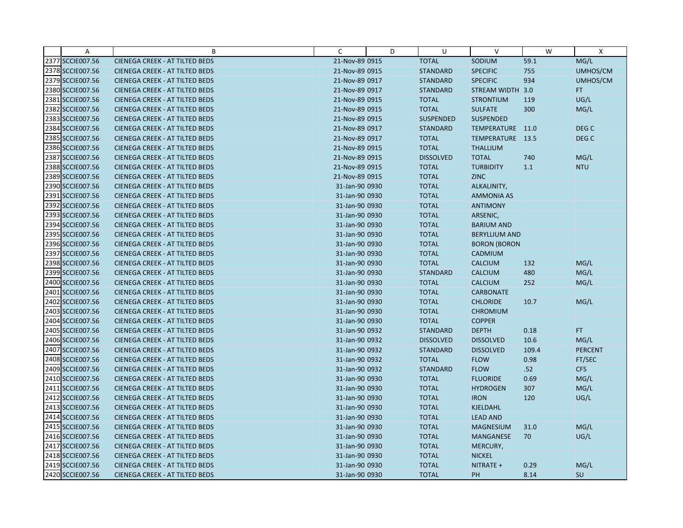| Α                | B                                     | C              | D | U                | $\vee$               | W     | X                |
|------------------|---------------------------------------|----------------|---|------------------|----------------------|-------|------------------|
| 2377 SCCIE007.56 | <b>CIENEGA CREEK - AT TILTED BEDS</b> | 21-Nov-89 0915 |   | <b>TOTAL</b>     | SODIUM               | 59.1  | MG/L             |
| 2378 SCCIE007.56 | <b>CIENEGA CREEK - AT TILTED BEDS</b> | 21-Nov-89 0915 |   | <b>STANDARD</b>  | <b>SPECIFIC</b>      | 755   | UMHOS/CM         |
| 2379 SCCIE007.56 | <b>CIENEGA CREEK - AT TILTED BEDS</b> | 21-Nov-89 0917 |   | <b>STANDARD</b>  | <b>SPECIFIC</b>      | 934   | UMHOS/CM         |
| 2380 SCCIE007.56 | <b>CIENEGA CREEK - AT TILTED BEDS</b> | 21-Nov-89 0917 |   | <b>STANDARD</b>  | STREAM WIDTH 3.0     |       | FT.              |
| 2381 SCCIE007.56 | <b>CIENEGA CREEK - AT TILTED BEDS</b> | 21-Nov-89 0915 |   | <b>TOTAL</b>     | <b>STRONTIUM</b>     | 119   | UG/L             |
| 2382 SCCIE007.56 | <b>CIENEGA CREEK - AT TILTED BEDS</b> | 21-Nov-89 0915 |   | <b>TOTAL</b>     | <b>SULFATE</b>       | 300   | MG/L             |
| 2383 SCCIE007.56 | <b>CIENEGA CREEK - AT TILTED BEDS</b> | 21-Nov-89 0915 |   | <b>SUSPENDED</b> | <b>SUSPENDED</b>     |       |                  |
| 2384 SCCIE007.56 | <b>CIENEGA CREEK - AT TILTED BEDS</b> | 21-Nov-89 0917 |   | <b>STANDARD</b>  | TEMPERATURE 11.0     |       | DEG C            |
| 2385 SCCIE007.56 | <b>CIENEGA CREEK - AT TILTED BEDS</b> | 21-Nov-89 0917 |   | <b>TOTAL</b>     | TEMPERATURE 13.5     |       | DEG <sub>C</sub> |
| 2386 SCCIE007.56 | <b>CIENEGA CREEK - AT TILTED BEDS</b> | 21-Nov-89 0915 |   | <b>TOTAL</b>     | <b>THALLIUM</b>      |       |                  |
| 2387 SCCIE007.56 | <b>CIENEGA CREEK - AT TILTED BEDS</b> | 21-Nov-89 0915 |   | <b>DISSOLVED</b> | <b>TOTAL</b>         | 740   | MG/L             |
| 2388 SCCIE007.56 | <b>CIENEGA CREEK - AT TILTED BEDS</b> | 21-Nov-89 0915 |   | <b>TOTAL</b>     | <b>TURBIDITY</b>     | 1.1   | <b>NTU</b>       |
| 2389 SCCIE007.56 | <b>CIENEGA CREEK - AT TILTED BEDS</b> | 21-Nov-89 0915 |   | <b>TOTAL</b>     | <b>ZINC</b>          |       |                  |
| 2390 SCCIE007.56 | <b>CIENEGA CREEK - AT TILTED BEDS</b> | 31-Jan-90 0930 |   | <b>TOTAL</b>     | ALKALINITY,          |       |                  |
| 2391 SCCIE007.56 | <b>CIENEGA CREEK - AT TILTED BEDS</b> | 31-Jan-90 0930 |   | <b>TOTAL</b>     | <b>AMMONIA AS</b>    |       |                  |
| 2392 SCCIE007.56 | <b>CIENEGA CREEK - AT TILTED BEDS</b> | 31-Jan-90 0930 |   | <b>TOTAL</b>     | <b>ANTIMONY</b>      |       |                  |
| 2393 SCCIE007.56 | <b>CIENEGA CREEK - AT TILTED BEDS</b> | 31-Jan-90 0930 |   | <b>TOTAL</b>     | ARSENIC,             |       |                  |
| 2394 SCCIE007.56 | <b>CIENEGA CREEK - AT TILTED BEDS</b> | 31-Jan-90 0930 |   | <b>TOTAL</b>     | <b>BARIUM AND</b>    |       |                  |
| 2395 SCCIE007.56 | <b>CIENEGA CREEK - AT TILTED BEDS</b> | 31-Jan-90 0930 |   | <b>TOTAL</b>     | <b>BERYLLIUM AND</b> |       |                  |
| 2396 SCCIE007.56 | <b>CIENEGA CREEK - AT TILTED BEDS</b> | 31-Jan-90 0930 |   | <b>TOTAL</b>     | <b>BORON (BORON</b>  |       |                  |
| 2397 SCCIE007.56 | <b>CIENEGA CREEK - AT TILTED BEDS</b> | 31-Jan-90 0930 |   | <b>TOTAL</b>     | CADMIUM              |       |                  |
| 2398 SCCIE007.56 | <b>CIENEGA CREEK - AT TILTED BEDS</b> | 31-Jan-90 0930 |   | <b>TOTAL</b>     | <b>CALCIUM</b>       | 132   | MG/L             |
| 2399 SCCIE007.56 | <b>CIENEGA CREEK - AT TILTED BEDS</b> | 31-Jan-90 0930 |   | <b>STANDARD</b>  | CALCIUM              | 480   | MG/L             |
| 2400 SCCIE007.56 | <b>CIENEGA CREEK - AT TILTED BEDS</b> | 31-Jan-90 0930 |   | <b>TOTAL</b>     | <b>CALCIUM</b>       | 252   | MG/L             |
| 2401 SCCIE007.56 | <b>CIENEGA CREEK - AT TILTED BEDS</b> | 31-Jan-90 0930 |   | <b>TOTAL</b>     | <b>CARBONATE</b>     |       |                  |
| 2402 SCCIE007.56 | <b>CIENEGA CREEK - AT TILTED BEDS</b> | 31-Jan-90 0930 |   | <b>TOTAL</b>     | <b>CHLORIDE</b>      | 10.7  | MG/L             |
| 2403 SCCIE007.56 | <b>CIENEGA CREEK - AT TILTED BEDS</b> | 31-Jan-90 0930 |   | <b>TOTAL</b>     | <b>CHROMIUM</b>      |       |                  |
| 2404 SCCIE007.56 | <b>CIENEGA CREEK - AT TILTED BEDS</b> | 31-Jan-90 0930 |   | <b>TOTAL</b>     | <b>COPPER</b>        |       |                  |
| 2405 SCCIE007.56 | <b>CIENEGA CREEK - AT TILTED BEDS</b> | 31-Jan-90 0932 |   | <b>STANDARD</b>  | <b>DEPTH</b>         | 0.18  | FT.              |
| 2406 SCCIE007.56 | <b>CIENEGA CREEK - AT TILTED BEDS</b> | 31-Jan-90 0932 |   | <b>DISSOLVED</b> | <b>DISSOLVED</b>     | 10.6  | MG/L             |
| 2407 SCCIE007.56 | <b>CIENEGA CREEK - AT TILTED BEDS</b> | 31-Jan-90 0932 |   | <b>STANDARD</b>  | <b>DISSOLVED</b>     | 109.4 | <b>PERCENT</b>   |
| 2408 SCCIE007.56 | <b>CIENEGA CREEK - AT TILTED BEDS</b> | 31-Jan-90 0932 |   | <b>TOTAL</b>     | <b>FLOW</b>          | 0.98  | FT/SEC           |
| 2409 SCCIE007.56 | <b>CIENEGA CREEK - AT TILTED BEDS</b> | 31-Jan-90 0932 |   | <b>STANDARD</b>  | <b>FLOW</b>          | .52   | <b>CFS</b>       |
| 2410 SCCIE007.56 | <b>CIENEGA CREEK - AT TILTED BEDS</b> | 31-Jan-90 0930 |   | <b>TOTAL</b>     | <b>FLUORIDE</b>      | 0.69  | MG/L             |
| 2411 SCCIE007.56 | <b>CIENEGA CREEK - AT TILTED BEDS</b> | 31-Jan-90 0930 |   | <b>TOTAL</b>     | <b>HYDROGEN</b>      | 307   | MG/L             |
| 2412 SCCIE007.56 | <b>CIENEGA CREEK - AT TILTED BEDS</b> | 31-Jan-90 0930 |   | <b>TOTAL</b>     | <b>IRON</b>          | 120   | UG/L             |
| 2413 SCCIE007.56 | <b>CIENEGA CREEK - AT TILTED BEDS</b> | 31-Jan-90 0930 |   | <b>TOTAL</b>     | KJELDAHL             |       |                  |
| 2414 SCCIE007.56 | <b>CIENEGA CREEK - AT TILTED BEDS</b> | 31-Jan-90 0930 |   | <b>TOTAL</b>     | <b>LEAD AND</b>      |       |                  |
| 2415 SCCIE007.56 | <b>CIENEGA CREEK - AT TILTED BEDS</b> | 31-Jan-90 0930 |   | <b>TOTAL</b>     | <b>MAGNESIUM</b>     | 31.0  | MG/L             |
| 2416 SCCIE007.56 | <b>CIENEGA CREEK - AT TILTED BEDS</b> | 31-Jan-90 0930 |   | <b>TOTAL</b>     | <b>MANGANESE</b>     | 70    | UG/L             |
| 2417 SCCIE007.56 | <b>CIENEGA CREEK - AT TILTED BEDS</b> | 31-Jan-90 0930 |   | <b>TOTAL</b>     | MERCURY,             |       |                  |
| 2418 SCCIE007.56 | <b>CIENEGA CREEK - AT TILTED BEDS</b> | 31-Jan-90 0930 |   | <b>TOTAL</b>     | <b>NICKEL</b>        |       |                  |
| 2419 SCCIE007.56 | <b>CIENEGA CREEK - AT TILTED BEDS</b> | 31-Jan-90 0930 |   | <b>TOTAL</b>     | NITRATE +            | 0.29  | MG/L             |
| 2420 SCCIE007.56 | <b>CIENEGA CREEK - AT TILTED BEDS</b> | 31-Jan-90 0930 |   | <b>TOTAL</b>     | PH                   | 8.14  | SU               |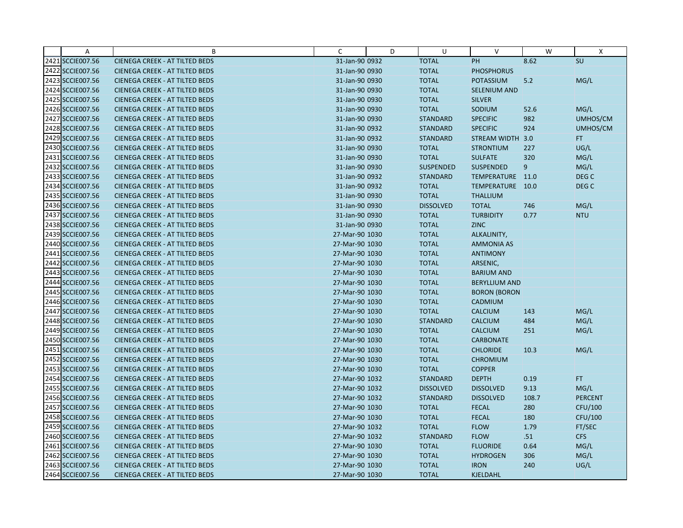| $\overline{A}$   | B                                     | C              | D | U                | $\vee$               | W     | X                |
|------------------|---------------------------------------|----------------|---|------------------|----------------------|-------|------------------|
| 2421 SCCIE007.56 | <b>CIENEGA CREEK - AT TILTED BEDS</b> | 31-Jan-90 0932 |   | <b>TOTAL</b>     | PH                   | 8.62  | SU               |
| 2422 SCCIE007.56 | <b>CIENEGA CREEK - AT TILTED BEDS</b> | 31-Jan-90 0930 |   | <b>TOTAL</b>     | <b>PHOSPHORUS</b>    |       |                  |
| 2423 SCCIE007.56 | <b>CIENEGA CREEK - AT TILTED BEDS</b> | 31-Jan-90 0930 |   | <b>TOTAL</b>     | <b>POTASSIUM</b>     | 5.2   | MG/L             |
| 2424 SCCIE007.56 | CIENEGA CREEK - AT TILTED BEDS        | 31-Jan-90 0930 |   | <b>TOTAL</b>     | SELENIUM AND         |       |                  |
| 2425 SCCIE007.56 | <b>CIENEGA CREEK - AT TILTED BEDS</b> | 31-Jan-90 0930 |   | <b>TOTAL</b>     | <b>SILVER</b>        |       |                  |
| 2426 SCCIE007.56 | <b>CIENEGA CREEK - AT TILTED BEDS</b> | 31-Jan-90 0930 |   | <b>TOTAL</b>     | SODIUM               | 52.6  | MG/L             |
| 2427 SCCIE007.56 | <b>CIENEGA CREEK - AT TILTED BEDS</b> | 31-Jan-90 0930 |   | <b>STANDARD</b>  | <b>SPECIFIC</b>      | 982   | UMHOS/CM         |
| 2428 SCCIE007.56 | <b>CIENEGA CREEK - AT TILTED BEDS</b> | 31-Jan-90 0932 |   | <b>STANDARD</b>  | <b>SPECIFIC</b>      | 924   | UMHOS/CM         |
| 2429 SCCIE007.56 | <b>CIENEGA CREEK - AT TILTED BEDS</b> | 31-Jan-90 0932 |   | <b>STANDARD</b>  | STREAM WIDTH 3.0     |       | FT.              |
| 2430 SCCIE007.56 | <b>CIENEGA CREEK - AT TILTED BEDS</b> | 31-Jan-90 0930 |   | <b>TOTAL</b>     | <b>STRONTIUM</b>     | 227   | UG/L             |
| 2431 SCCIE007.56 | <b>CIENEGA CREEK - AT TILTED BEDS</b> | 31-Jan-90 0930 |   | <b>TOTAL</b>     | <b>SULFATE</b>       | 320   | MG/L             |
| 2432 SCCIE007.56 | <b>CIENEGA CREEK - AT TILTED BEDS</b> | 31-Jan-90 0930 |   | <b>SUSPENDED</b> | <b>SUSPENDED</b>     | 9     | MG/L             |
| 2433 SCCIE007.56 | <b>CIENEGA CREEK - AT TILTED BEDS</b> | 31-Jan-90 0932 |   | <b>STANDARD</b>  | TEMPERATURE 11.0     |       | DEG C            |
| 2434 SCCIE007.56 | <b>CIENEGA CREEK - AT TILTED BEDS</b> | 31-Jan-90 0932 |   | <b>TOTAL</b>     | TEMPERATURE 10.0     |       | DEG <sub>C</sub> |
| 2435 SCCIE007.56 | <b>CIENEGA CREEK - AT TILTED BEDS</b> | 31-Jan-90 0930 |   | <b>TOTAL</b>     | <b>THALLIUM</b>      |       |                  |
| 2436 SCCIE007.56 | <b>CIENEGA CREEK - AT TILTED BEDS</b> | 31-Jan-90 0930 |   | <b>DISSOLVED</b> | <b>TOTAL</b>         | 746   | MG/L             |
| 2437 SCCIE007.56 | <b>CIENEGA CREEK - AT TILTED BEDS</b> | 31-Jan-90 0930 |   | <b>TOTAL</b>     | <b>TURBIDITY</b>     | 0.77  | <b>NTU</b>       |
| 2438 SCCIE007.56 | <b>CIENEGA CREEK - AT TILTED BEDS</b> | 31-Jan-90 0930 |   | <b>TOTAL</b>     | <b>ZINC</b>          |       |                  |
| 2439 SCCIE007.56 | <b>CIENEGA CREEK - AT TILTED BEDS</b> | 27-Mar-90 1030 |   | <b>TOTAL</b>     | ALKALINITY,          |       |                  |
| 2440 SCCIE007.56 | <b>CIENEGA CREEK - AT TILTED BEDS</b> | 27-Mar-90 1030 |   | <b>TOTAL</b>     | <b>AMMONIA AS</b>    |       |                  |
| 2441 SCCIE007.56 | <b>CIENEGA CREEK - AT TILTED BEDS</b> | 27-Mar-90 1030 |   | <b>TOTAL</b>     | <b>ANTIMONY</b>      |       |                  |
| 2442 SCCIE007.56 | <b>CIENEGA CREEK - AT TILTED BEDS</b> | 27-Mar-90 1030 |   | <b>TOTAL</b>     | ARSENIC,             |       |                  |
| 2443 SCCIE007.56 | <b>CIENEGA CREEK - AT TILTED BEDS</b> | 27-Mar-90 1030 |   | <b>TOTAL</b>     | <b>BARIUM AND</b>    |       |                  |
| 2444 SCCIE007.56 | <b>CIENEGA CREEK - AT TILTED BEDS</b> | 27-Mar-90 1030 |   | <b>TOTAL</b>     | <b>BERYLLIUM AND</b> |       |                  |
| 2445 SCCIE007.56 | <b>CIENEGA CREEK - AT TILTED BEDS</b> | 27-Mar-90 1030 |   | <b>TOTAL</b>     | <b>BORON (BORON</b>  |       |                  |
| 2446 SCCIE007.56 | <b>CIENEGA CREEK - AT TILTED BEDS</b> | 27-Mar-90 1030 |   | <b>TOTAL</b>     | CADMIUM              |       |                  |
| 2447 SCCIE007.56 | <b>CIENEGA CREEK - AT TILTED BEDS</b> | 27-Mar-90 1030 |   | <b>TOTAL</b>     | <b>CALCIUM</b>       | 143   | MG/L             |
| 2448 SCCIE007.56 | <b>CIENEGA CREEK - AT TILTED BEDS</b> | 27-Mar-90 1030 |   | <b>STANDARD</b>  | <b>CALCIUM</b>       | 484   | MG/L             |
| 2449 SCCIE007.56 | <b>CIENEGA CREEK - AT TILTED BEDS</b> | 27-Mar-90 1030 |   | <b>TOTAL</b>     | <b>CALCIUM</b>       | 251   | MG/L             |
| 2450 SCCIE007.56 | <b>CIENEGA CREEK - AT TILTED BEDS</b> | 27-Mar-90 1030 |   | <b>TOTAL</b>     | <b>CARBONATE</b>     |       |                  |
| 2451 SCCIE007.56 | CIENEGA CREEK - AT TILTED BEDS        | 27-Mar-90 1030 |   | <b>TOTAL</b>     | <b>CHLORIDE</b>      | 10.3  | MG/L             |
| 2452 SCCIE007.56 | <b>CIENEGA CREEK - AT TILTED BEDS</b> | 27-Mar-90 1030 |   | <b>TOTAL</b>     | <b>CHROMIUM</b>      |       |                  |
| 2453 SCCIE007.56 | <b>CIENEGA CREEK - AT TILTED BEDS</b> | 27-Mar-90 1030 |   | <b>TOTAL</b>     | <b>COPPER</b>        |       |                  |
| 2454 SCCIE007.56 | <b>CIENEGA CREEK - AT TILTED BEDS</b> | 27-Mar-90 1032 |   | <b>STANDARD</b>  | <b>DEPTH</b>         | 0.19  | FT.              |
| 2455 SCCIE007.56 | <b>CIENEGA CREEK - AT TILTED BEDS</b> | 27-Mar-90 1032 |   | <b>DISSOLVED</b> | <b>DISSOLVED</b>     | 9.13  | MG/L             |
| 2456 SCCIE007.56 | <b>CIENEGA CREEK - AT TILTED BEDS</b> | 27-Mar-90 1032 |   | <b>STANDARD</b>  | <b>DISSOLVED</b>     | 108.7 | <b>PERCENT</b>   |
| 2457 SCCIE007.56 | <b>CIENEGA CREEK - AT TILTED BEDS</b> | 27-Mar-90 1030 |   | <b>TOTAL</b>     | <b>FECAL</b>         | 280   | CFU/100          |
| 2458 SCCIE007.56 | <b>CIENEGA CREEK - AT TILTED BEDS</b> | 27-Mar-90 1030 |   | <b>TOTAL</b>     | <b>FECAL</b>         | 180   | <b>CFU/100</b>   |
| 2459 SCCIE007.56 | CIENEGA CREEK - AT TILTED BEDS        | 27-Mar-90 1032 |   | <b>TOTAL</b>     | <b>FLOW</b>          | 1.79  | FT/SEC           |
| 2460 SCCIE007.56 | <b>CIENEGA CREEK - AT TILTED BEDS</b> | 27-Mar-90 1032 |   | <b>STANDARD</b>  | <b>FLOW</b>          | .51   | <b>CFS</b>       |
| 2461 SCCIE007.56 | <b>CIENEGA CREEK - AT TILTED BEDS</b> | 27-Mar-90 1030 |   | <b>TOTAL</b>     | <b>FLUORIDE</b>      | 0.64  | MG/L             |
| 2462 SCCIE007.56 | <b>CIENEGA CREEK - AT TILTED BEDS</b> | 27-Mar-90 1030 |   | <b>TOTAL</b>     | <b>HYDROGEN</b>      | 306   | MG/L             |
| 2463 SCCIE007.56 | <b>CIENEGA CREEK - AT TILTED BEDS</b> | 27-Mar-90 1030 |   | <b>TOTAL</b>     | <b>IRON</b>          | 240   | UG/L             |
| 2464 SCCIE007.56 | <b>CIENEGA CREEK - AT TILTED BEDS</b> | 27-Mar-90 1030 |   | <b>TOTAL</b>     | KJELDAHL             |       |                  |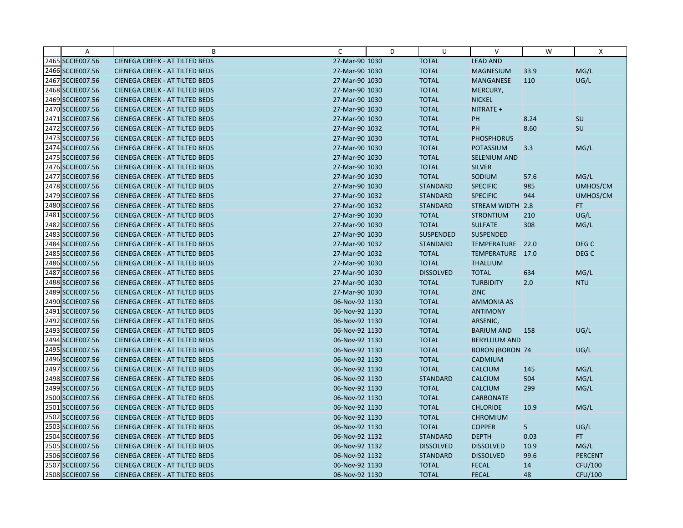| Α                | B                                     | С              | D | U                | V                      | W    | Χ                |
|------------------|---------------------------------------|----------------|---|------------------|------------------------|------|------------------|
| 2465 SCCIE007.56 | <b>CIENEGA CREEK - AT TILTED BEDS</b> | 27-Mar-90 1030 |   | <b>TOTAL</b>     | <b>LEAD AND</b>        |      |                  |
| 2466 SCCIE007.56 | <b>CIENEGA CREEK - AT TILTED BEDS</b> | 27-Mar-90 1030 |   | <b>TOTAL</b>     | <b>MAGNESIUM</b>       | 33.9 | MG/L             |
| 2467 SCCIE007.56 | <b>CIENEGA CREEK - AT TILTED BEDS</b> | 27-Mar-90 1030 |   | <b>TOTAL</b>     | <b>MANGANESE</b>       | 110  | UG/L             |
| 2468 SCCIE007.56 | <b>CIENEGA CREEK - AT TILTED BEDS</b> | 27-Mar-90 1030 |   | <b>TOTAL</b>     | MERCURY,               |      |                  |
| 2469 SCCIE007.56 | <b>CIENEGA CREEK - AT TILTED BEDS</b> | 27-Mar-90 1030 |   | <b>TOTAL</b>     | <b>NICKEL</b>          |      |                  |
| 2470 SCCIE007.56 | <b>CIENEGA CREEK - AT TILTED BEDS</b> | 27-Mar-90 1030 |   | <b>TOTAL</b>     | NITRATE +              |      |                  |
| 2471 SCCIE007.56 | <b>CIENEGA CREEK - AT TILTED BEDS</b> | 27-Mar-90 1030 |   | <b>TOTAL</b>     | PH                     | 8.24 | SU               |
| 2472 SCCIE007.56 | <b>CIENEGA CREEK - AT TILTED BEDS</b> | 27-Mar-90 1032 |   | <b>TOTAL</b>     | PH                     | 8.60 | SU               |
| 2473 SCCIE007.56 | <b>CIENEGA CREEK - AT TILTED BEDS</b> | 27-Mar-90 1030 |   | <b>TOTAL</b>     | <b>PHOSPHORUS</b>      |      |                  |
| 2474 SCCIE007.56 | <b>CIENEGA CREEK - AT TILTED BEDS</b> | 27-Mar-90 1030 |   | <b>TOTAL</b>     | <b>POTASSIUM</b>       | 3.3  | MG/L             |
| 2475 SCCIE007.56 | <b>CIENEGA CREEK - AT TILTED BEDS</b> | 27-Mar-90 1030 |   | <b>TOTAL</b>     | SELENIUM AND           |      |                  |
| 2476 SCCIE007.56 | <b>CIENEGA CREEK - AT TILTED BEDS</b> | 27-Mar-90 1030 |   | <b>TOTAL</b>     | <b>SILVER</b>          |      |                  |
| 2477 SCCIE007.56 | <b>CIENEGA CREEK - AT TILTED BEDS</b> | 27-Mar-90 1030 |   | <b>TOTAL</b>     | SODIUM                 | 57.6 | MG/L             |
| 2478 SCCIE007.56 | <b>CIENEGA CREEK - AT TILTED BEDS</b> | 27-Mar-90 1030 |   | <b>STANDARD</b>  | <b>SPECIFIC</b>        | 985  | UMHOS/CM         |
| 2479 SCCIE007.56 | <b>CIENEGA CREEK - AT TILTED BEDS</b> | 27-Mar-90 1032 |   | <b>STANDARD</b>  | <b>SPECIFIC</b>        | 944  | UMHOS/CM         |
| 2480 SCCIE007.56 | <b>CIENEGA CREEK - AT TILTED BEDS</b> | 27-Mar-90 1032 |   | <b>STANDARD</b>  | <b>STREAM WIDTH</b>    | 2.8  | FT.              |
| 2481 SCCIE007.56 | <b>CIENEGA CREEK - AT TILTED BEDS</b> | 27-Mar-90 1030 |   | <b>TOTAL</b>     | <b>STRONTIUM</b>       | 210  | UG/L             |
| 2482 SCCIE007.56 | <b>CIENEGA CREEK - AT TILTED BEDS</b> | 27-Mar-90 1030 |   | <b>TOTAL</b>     | <b>SULFATE</b>         | 308  | MG/L             |
| 2483 SCCIE007.56 | <b>CIENEGA CREEK - AT TILTED BEDS</b> | 27-Mar-90 1030 |   | <b>SUSPENDED</b> | <b>SUSPENDED</b>       |      |                  |
| 2484 SCCIE007.56 | <b>CIENEGA CREEK - AT TILTED BEDS</b> | 27-Mar-90 1032 |   | <b>STANDARD</b>  | TEMPERATURE 22.0       |      | DEG C            |
| 2485 SCCIE007.56 | <b>CIENEGA CREEK - AT TILTED BEDS</b> | 27-Mar-90 1032 |   | <b>TOTAL</b>     | TEMPERATURE 17.0       |      | DEG <sub>C</sub> |
| 2486 SCCIE007.56 | <b>CIENEGA CREEK - AT TILTED BEDS</b> | 27-Mar-90 1030 |   | <b>TOTAL</b>     | <b>THALLIUM</b>        |      |                  |
| 2487 SCCIE007.56 | <b>CIENEGA CREEK - AT TILTED BEDS</b> | 27-Mar-90 1030 |   | <b>DISSOLVED</b> | <b>TOTAL</b>           | 634  | MG/L             |
| 2488 SCCIE007.56 | <b>CIENEGA CREEK - AT TILTED BEDS</b> | 27-Mar-90 1030 |   | <b>TOTAL</b>     | <b>TURBIDITY</b>       | 2.0  | <b>NTU</b>       |
| 2489 SCCIE007.56 | <b>CIENEGA CREEK - AT TILTED BEDS</b> | 27-Mar-90 1030 |   | <b>TOTAL</b>     | <b>ZINC</b>            |      |                  |
| 2490 SCCIE007.56 | <b>CIENEGA CREEK - AT TILTED BEDS</b> | 06-Nov-92 1130 |   | <b>TOTAL</b>     | <b>AMMONIA AS</b>      |      |                  |
| 2491 SCCIE007.56 | <b>CIENEGA CREEK - AT TILTED BEDS</b> | 06-Nov-92 1130 |   | <b>TOTAL</b>     | <b>ANTIMONY</b>        |      |                  |
| 2492 SCCIE007.56 | <b>CIENEGA CREEK - AT TILTED BEDS</b> | 06-Nov-92 1130 |   | <b>TOTAL</b>     | ARSENIC,               |      |                  |
| 2493 SCCIE007.56 | <b>CIENEGA CREEK - AT TILTED BEDS</b> | 06-Nov-92 1130 |   | <b>TOTAL</b>     | <b>BARIUM AND</b>      | 158  | UG/L             |
| 2494 SCCIE007.56 | <b>CIENEGA CREEK - AT TILTED BEDS</b> | 06-Nov-92 1130 |   | <b>TOTAL</b>     | <b>BERYLLIUM AND</b>   |      |                  |
| 2495 SCCIE007.56 | <b>CIENEGA CREEK - AT TILTED BEDS</b> | 06-Nov-92 1130 |   | <b>TOTAL</b>     | <b>BORON (BORON 74</b> |      | UG/L             |
| 2496 SCCIE007.56 | <b>CIENEGA CREEK - AT TILTED BEDS</b> | 06-Nov-92 1130 |   | <b>TOTAL</b>     | CADMIUM                |      |                  |
| 2497 SCCIE007.56 | CIENEGA CREEK - AT TILTED BEDS        | 06-Nov-92 1130 |   | <b>TOTAL</b>     | CALCIUM                | 145  | MG/L             |
| 2498 SCCIE007.56 | <b>CIENEGA CREEK - AT TILTED BEDS</b> | 06-Nov-92 1130 |   | <b>STANDARD</b>  | <b>CALCIUM</b>         | 504  | MG/L             |
| 2499 SCCIE007.56 | <b>CIENEGA CREEK - AT TILTED BEDS</b> | 06-Nov-92 1130 |   | <b>TOTAL</b>     | <b>CALCIUM</b>         | 299  | MG/L             |
| 2500 SCCIE007.56 | <b>CIENEGA CREEK - AT TILTED BEDS</b> | 06-Nov-92 1130 |   | <b>TOTAL</b>     | <b>CARBONATE</b>       |      |                  |
| 2501 SCCIE007.56 | CIENEGA CREEK - AT TILTED BEDS        | 06-Nov-92 1130 |   | <b>TOTAL</b>     | <b>CHLORIDE</b>        | 10.9 | MG/L             |
| 2502 SCCIE007.56 | <b>CIENEGA CREEK - AT TILTED BEDS</b> | 06-Nov-92 1130 |   | <b>TOTAL</b>     | <b>CHROMIUM</b>        |      |                  |
| 2503 SCCIE007.56 | <b>CIENEGA CREEK - AT TILTED BEDS</b> | 06-Nov-92 1130 |   | <b>TOTAL</b>     | <b>COPPER</b>          | 5    | UG/L             |
| 2504 SCCIE007.56 | <b>CIENEGA CREEK - AT TILTED BEDS</b> | 06-Nov-92 1132 |   | <b>STANDARD</b>  | <b>DEPTH</b>           | 0.03 | FT.              |
| 2505 SCCIE007.56 | <b>CIENEGA CREEK - AT TILTED BEDS</b> | 06-Nov-92 1132 |   | <b>DISSOLVED</b> | <b>DISSOLVED</b>       | 10.9 | MG/L             |
| 2506 SCCIE007.56 | <b>CIENEGA CREEK - AT TILTED BEDS</b> | 06-Nov-92 1132 |   | <b>STANDARD</b>  | <b>DISSOLVED</b>       | 99.6 | <b>PERCENT</b>   |
| 2507 SCCIE007.56 | <b>CIENEGA CREEK - AT TILTED BEDS</b> | 06-Nov-92 1130 |   | <b>TOTAL</b>     | <b>FECAL</b>           | 14   | CFU/100          |
| 2508 SCCIE007.56 | <b>CIENEGA CREEK - AT TILTED BEDS</b> | 06-Nov-92 1130 |   | <b>TOTAL</b>     | <b>FECAL</b>           | 48   | CFU/100          |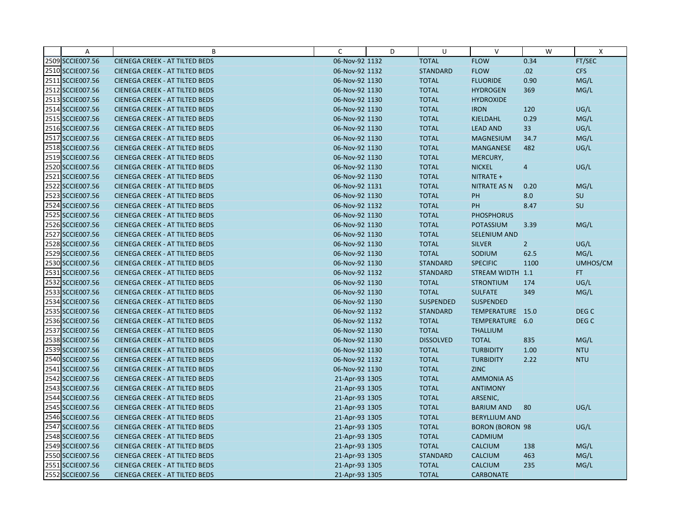| Α                | B                                     | C              | D | U                | $\vee$                 | W              | $\mathsf{X}$     |
|------------------|---------------------------------------|----------------|---|------------------|------------------------|----------------|------------------|
| 2509 SCCIE007.56 | <b>CIENEGA CREEK - AT TILTED BEDS</b> | 06-Nov-92 1132 |   | <b>TOTAL</b>     | <b>FLOW</b>            | 0.34           | FT/SEC           |
| 2510 SCCIE007.56 | <b>CIENEGA CREEK - AT TILTED BEDS</b> | 06-Nov-92 1132 |   | <b>STANDARD</b>  | <b>FLOW</b>            | .02            | <b>CFS</b>       |
| 2511 SCCIE007.56 | <b>CIENEGA CREEK - AT TILTED BEDS</b> | 06-Nov-92 1130 |   | <b>TOTAL</b>     | <b>FLUORIDE</b>        | 0.90           | MG/L             |
| 2512 SCCIE007.56 | <b>CIENEGA CREEK - AT TILTED BEDS</b> | 06-Nov-92 1130 |   | <b>TOTAL</b>     | <b>HYDROGEN</b>        | 369            | MG/L             |
| 2513 SCCIE007.56 | <b>CIENEGA CREEK - AT TILTED BEDS</b> | 06-Nov-92 1130 |   | <b>TOTAL</b>     | <b>HYDROXIDE</b>       |                |                  |
| 2514 SCCIE007.56 | <b>CIENEGA CREEK - AT TILTED BEDS</b> | 06-Nov-92 1130 |   | <b>TOTAL</b>     | <b>IRON</b>            | 120            | UG/L             |
| 2515 SCCIE007.56 | <b>CIENEGA CREEK - AT TILTED BEDS</b> | 06-Nov-92 1130 |   | <b>TOTAL</b>     | <b>KJELDAHL</b>        | 0.29           | MG/L             |
| 2516 SCCIE007.56 | <b>CIENEGA CREEK - AT TILTED BEDS</b> | 06-Nov-92 1130 |   | <b>TOTAL</b>     | <b>LEAD AND</b>        | 33             | UG/L             |
| 2517 SCCIE007.56 | <b>CIENEGA CREEK - AT TILTED BEDS</b> | 06-Nov-92 1130 |   | <b>TOTAL</b>     | <b>MAGNESIUM</b>       | 34.7           | MG/L             |
| 2518 SCCIE007.56 | <b>CIENEGA CREEK - AT TILTED BEDS</b> | 06-Nov-92 1130 |   | <b>TOTAL</b>     | <b>MANGANESE</b>       | 482            | UG/L             |
| 2519 SCCIE007.56 | <b>CIENEGA CREEK - AT TILTED BEDS</b> | 06-Nov-92 1130 |   | <b>TOTAL</b>     | MERCURY,               |                |                  |
| 2520 SCCIE007.56 | <b>CIENEGA CREEK - AT TILTED BEDS</b> | 06-Nov-92 1130 |   | <b>TOTAL</b>     | <b>NICKEL</b>          | $\overline{4}$ | UG/L             |
| 2521 SCCIE007.56 | <b>CIENEGA CREEK - AT TILTED BEDS</b> | 06-Nov-92 1130 |   | <b>TOTAL</b>     | NITRATE +              |                |                  |
| 2522 SCCIE007.56 | <b>CIENEGA CREEK - AT TILTED BEDS</b> | 06-Nov-92 1131 |   | <b>TOTAL</b>     | <b>NITRATE AS N</b>    | 0.20           | MG/L             |
| 2523 SCCIE007.56 | <b>CIENEGA CREEK - AT TILTED BEDS</b> | 06-Nov-92 1130 |   | <b>TOTAL</b>     | PH                     | 8.0            | SU               |
| 2524 SCCIE007.56 | <b>CIENEGA CREEK - AT TILTED BEDS</b> | 06-Nov-92 1132 |   | <b>TOTAL</b>     | PH                     | 8.47           | SU               |
| 2525 SCCIE007.56 | <b>CIENEGA CREEK - AT TILTED BEDS</b> | 06-Nov-92 1130 |   | <b>TOTAL</b>     | <b>PHOSPHORUS</b>      |                |                  |
| 2526 SCCIE007.56 | <b>CIENEGA CREEK - AT TILTED BEDS</b> | 06-Nov-92 1130 |   | <b>TOTAL</b>     | <b>POTASSIUM</b>       | 3.39           | MG/L             |
| 2527 SCCIE007.56 | <b>CIENEGA CREEK - AT TILTED BEDS</b> | 06-Nov-92 1130 |   | <b>TOTAL</b>     | SELENIUM AND           |                |                  |
| 2528 SCCIE007.56 | <b>CIENEGA CREEK - AT TILTED BEDS</b> | 06-Nov-92 1130 |   | <b>TOTAL</b>     | <b>SILVER</b>          | $\overline{2}$ | UG/L             |
| 2529 SCCIE007.56 | <b>CIENEGA CREEK - AT TILTED BEDS</b> | 06-Nov-92 1130 |   | <b>TOTAL</b>     | SODIUM                 | 62.5           | MG/L             |
| 2530 SCCIE007.56 | <b>CIENEGA CREEK - AT TILTED BEDS</b> | 06-Nov-92 1130 |   | <b>STANDARD</b>  | <b>SPECIFIC</b>        | 1100           | UMHOS/CM         |
| 2531 SCCIE007.56 | <b>CIENEGA CREEK - AT TILTED BEDS</b> | 06-Nov-92 1132 |   | <b>STANDARD</b>  | STREAM WIDTH 1.1       |                | FT.              |
| 2532 SCCIE007.56 | <b>CIENEGA CREEK - AT TILTED BEDS</b> | 06-Nov-92 1130 |   | <b>TOTAL</b>     | <b>STRONTIUM</b>       | 174            | UG/L             |
| 2533 SCCIE007.56 | <b>CIENEGA CREEK - AT TILTED BEDS</b> | 06-Nov-92 1130 |   | <b>TOTAL</b>     | <b>SULFATE</b>         | 349            | MG/L             |
| 2534 SCCIE007.56 | <b>CIENEGA CREEK - AT TILTED BEDS</b> | 06-Nov-92 1130 |   | <b>SUSPENDED</b> | <b>SUSPENDED</b>       |                |                  |
| 2535 SCCIE007.56 | <b>CIENEGA CREEK - AT TILTED BEDS</b> | 06-Nov-92 1132 |   | <b>STANDARD</b>  | TEMPERATURE 15.0       |                | DEG <sub>C</sub> |
| 2536 SCCIE007.56 | <b>CIENEGA CREEK - AT TILTED BEDS</b> | 06-Nov-92 1132 |   | <b>TOTAL</b>     | TEMPERATURE 6.0        |                | DEG <sub>C</sub> |
| 2537 SCCIE007.56 | <b>CIENEGA CREEK - AT TILTED BEDS</b> | 06-Nov-92 1130 |   | <b>TOTAL</b>     | <b>THALLIUM</b>        |                |                  |
| 2538 SCCIE007.56 | <b>CIENEGA CREEK - AT TILTED BEDS</b> | 06-Nov-92 1130 |   | <b>DISSOLVED</b> | <b>TOTAL</b>           | 835            | MG/L             |
| 2539 SCCIE007.56 | <b>CIENEGA CREEK - AT TILTED BEDS</b> | 06-Nov-92 1130 |   | <b>TOTAL</b>     | <b>TURBIDITY</b>       | 1.00           | <b>NTU</b>       |
| 2540 SCCIE007.56 | <b>CIENEGA CREEK - AT TILTED BEDS</b> | 06-Nov-92 1132 |   | <b>TOTAL</b>     | <b>TURBIDITY</b>       | 2.22           | <b>NTU</b>       |
| 2541 SCCIE007.56 | <b>CIENEGA CREEK - AT TILTED BEDS</b> | 06-Nov-92 1130 |   | <b>TOTAL</b>     | <b>ZINC</b>            |                |                  |
| 2542 SCCIE007.56 | <b>CIENEGA CREEK - AT TILTED BEDS</b> | 21-Apr-93 1305 |   | <b>TOTAL</b>     | <b>AMMONIA AS</b>      |                |                  |
| 2543 SCCIE007.56 | <b>CIENEGA CREEK - AT TILTED BEDS</b> | 21-Apr-93 1305 |   | <b>TOTAL</b>     | <b>ANTIMONY</b>        |                |                  |
| 2544 SCCIE007.56 | <b>CIENEGA CREEK - AT TILTED BEDS</b> | 21-Apr-93 1305 |   | <b>TOTAL</b>     | ARSENIC,               |                |                  |
| 2545 SCCIE007.56 | <b>CIENEGA CREEK - AT TILTED BEDS</b> | 21-Apr-93 1305 |   | <b>TOTAL</b>     | <b>BARIUM AND</b>      | 80             | UG/L             |
| 2546 SCCIE007.56 | <b>CIENEGA CREEK - AT TILTED BEDS</b> | 21-Apr-93 1305 |   | <b>TOTAL</b>     | <b>BERYLLIUM AND</b>   |                |                  |
| 2547 SCCIE007.56 | <b>CIENEGA CREEK - AT TILTED BEDS</b> | 21-Apr-93 1305 |   | <b>TOTAL</b>     | <b>BORON (BORON 98</b> |                | UG/L             |
| 2548 SCCIE007.56 | <b>CIENEGA CREEK - AT TILTED BEDS</b> | 21-Apr-93 1305 |   | <b>TOTAL</b>     | CADMIUM                |                |                  |
| 2549 SCCIE007.56 | <b>CIENEGA CREEK - AT TILTED BEDS</b> | 21-Apr-93 1305 |   | <b>TOTAL</b>     | <b>CALCIUM</b>         | 138            | MG/L             |
| 2550 SCCIE007.56 | <b>CIENEGA CREEK - AT TILTED BEDS</b> | 21-Apr-93 1305 |   | <b>STANDARD</b>  | <b>CALCIUM</b>         | 463            | MG/L             |
| 2551 SCCIE007.56 | <b>CIENEGA CREEK - AT TILTED BEDS</b> | 21-Apr-93 1305 |   | <b>TOTAL</b>     | <b>CALCIUM</b>         | 235            | MG/L             |
| 2552 SCCIE007.56 | <b>CIENEGA CREEK - AT TILTED BEDS</b> | 21-Apr-93 1305 |   | <b>TOTAL</b>     | <b>CARBONATE</b>       |                |                  |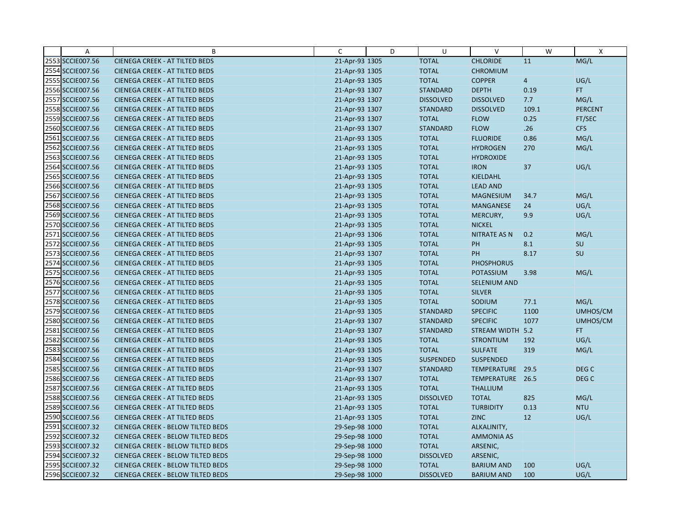| A                | B                                        | C              | D | U                | $\vee$              | W              | $\boldsymbol{\mathsf{X}}$ |
|------------------|------------------------------------------|----------------|---|------------------|---------------------|----------------|---------------------------|
| 2553 SCCIE007.56 | <b>CIENEGA CREEK - AT TILTED BEDS</b>    | 21-Apr-93 1305 |   | <b>TOTAL</b>     | <b>CHLORIDE</b>     | 11             | MG/L                      |
| 2554 SCCIE007.56 | <b>CIENEGA CREEK - AT TILTED BEDS</b>    | 21-Apr-93 1305 |   | <b>TOTAL</b>     | <b>CHROMIUM</b>     |                |                           |
| 2555 SCCIE007.56 | <b>CIENEGA CREEK - AT TILTED BEDS</b>    | 21-Apr-93 1305 |   | <b>TOTAL</b>     | <b>COPPER</b>       | $\overline{4}$ | UG/L                      |
| 2556 SCCIE007.56 | <b>CIENEGA CREEK - AT TILTED BEDS</b>    | 21-Apr-93 1307 |   | <b>STANDARD</b>  | <b>DEPTH</b>        | 0.19           | FT.                       |
| 2557 SCCIE007.56 | <b>CIENEGA CREEK - AT TILTED BEDS</b>    | 21-Apr-93 1307 |   | <b>DISSOLVED</b> | <b>DISSOLVED</b>    | 7.7            | MG/L                      |
| 2558 SCCIE007.56 | <b>CIENEGA CREEK - AT TILTED BEDS</b>    | 21-Apr-93 1307 |   | <b>STANDARD</b>  | <b>DISSOLVED</b>    | 109.1          | <b>PERCENT</b>            |
| 2559 SCCIE007.56 | <b>CIENEGA CREEK - AT TILTED BEDS</b>    | 21-Apr-93 1307 |   | <b>TOTAL</b>     | <b>FLOW</b>         | 0.25           | FT/SEC                    |
| 2560 SCCIE007.56 | <b>CIENEGA CREEK - AT TILTED BEDS</b>    | 21-Apr-93 1307 |   | <b>STANDARD</b>  | <b>FLOW</b>         | .26            | <b>CFS</b>                |
| 2561 SCCIE007.56 | <b>CIENEGA CREEK - AT TILTED BEDS</b>    | 21-Apr-93 1305 |   | <b>TOTAL</b>     | <b>FLUORIDE</b>     | 0.86           | MG/L                      |
| 2562 SCCIE007.56 | <b>CIENEGA CREEK - AT TILTED BEDS</b>    | 21-Apr-93 1305 |   | <b>TOTAL</b>     | <b>HYDROGEN</b>     | 270            | MG/L                      |
| 2563 SCCIE007.56 | <b>CIENEGA CREEK - AT TILTED BEDS</b>    | 21-Apr-93 1305 |   | <b>TOTAL</b>     | <b>HYDROXIDE</b>    |                |                           |
| 2564 SCCIE007.56 | <b>CIENEGA CREEK - AT TILTED BEDS</b>    | 21-Apr-93 1305 |   | <b>TOTAL</b>     | <b>IRON</b>         | 37             | UG/L                      |
| 2565 SCCIE007.56 | <b>CIENEGA CREEK - AT TILTED BEDS</b>    | 21-Apr-93 1305 |   | <b>TOTAL</b>     | <b>KJELDAHL</b>     |                |                           |
| 2566 SCCIE007.56 | <b>CIENEGA CREEK - AT TILTED BEDS</b>    | 21-Apr-93 1305 |   | <b>TOTAL</b>     | <b>LEAD AND</b>     |                |                           |
| 2567 SCCIE007.56 | <b>CIENEGA CREEK - AT TILTED BEDS</b>    | 21-Apr-93 1305 |   | <b>TOTAL</b>     | <b>MAGNESIUM</b>    | 34.7           | MG/L                      |
| 2568 SCCIE007.56 | <b>CIENEGA CREEK - AT TILTED BEDS</b>    | 21-Apr-93 1305 |   | <b>TOTAL</b>     | <b>MANGANESE</b>    | 24             | UG/L                      |
| 2569 SCCIE007.56 | <b>CIENEGA CREEK - AT TILTED BEDS</b>    | 21-Apr-93 1305 |   | <b>TOTAL</b>     | MERCURY,            | 9.9            | UG/L                      |
| 2570 SCCIE007.56 | <b>CIENEGA CREEK - AT TILTED BEDS</b>    | 21-Apr-93 1305 |   | <b>TOTAL</b>     | <b>NICKEL</b>       |                |                           |
| 2571 SCCIE007.56 | <b>CIENEGA CREEK - AT TILTED BEDS</b>    | 21-Apr-93 1306 |   | <b>TOTAL</b>     | <b>NITRATE AS N</b> | 0.2            | MG/L                      |
| 2572 SCCIE007.56 | <b>CIENEGA CREEK - AT TILTED BEDS</b>    | 21-Apr-93 1305 |   | <b>TOTAL</b>     | PH                  | 8.1            | SU                        |
| 2573 SCCIE007.56 | <b>CIENEGA CREEK - AT TILTED BEDS</b>    | 21-Apr-93 1307 |   | <b>TOTAL</b>     | PH                  | 8.17           | SU                        |
| 2574 SCCIE007.56 | <b>CIENEGA CREEK - AT TILTED BEDS</b>    | 21-Apr-93 1305 |   | <b>TOTAL</b>     | <b>PHOSPHORUS</b>   |                |                           |
| 2575 SCCIE007.56 | <b>CIENEGA CREEK - AT TILTED BEDS</b>    | 21-Apr-93 1305 |   | <b>TOTAL</b>     | POTASSIUM           | 3.98           | MG/L                      |
| 2576 SCCIE007.56 | <b>CIENEGA CREEK - AT TILTED BEDS</b>    | 21-Apr-93 1305 |   | <b>TOTAL</b>     | <b>SELENIUM AND</b> |                |                           |
| 2577 SCCIE007.56 | <b>CIENEGA CREEK - AT TILTED BEDS</b>    | 21-Apr-93 1305 |   | <b>TOTAL</b>     | <b>SILVER</b>       |                |                           |
| 2578 SCCIE007.56 | <b>CIENEGA CREEK - AT TILTED BEDS</b>    | 21-Apr-93 1305 |   | <b>TOTAL</b>     | SODIUM              | 77.1           | MG/L                      |
| 2579 SCCIE007.56 | <b>CIENEGA CREEK - AT TILTED BEDS</b>    | 21-Apr-93 1305 |   | <b>STANDARD</b>  | <b>SPECIFIC</b>     | 1100           | UMHOS/CM                  |
| 2580 SCCIE007.56 | <b>CIENEGA CREEK - AT TILTED BEDS</b>    | 21-Apr-93 1307 |   | <b>STANDARD</b>  | <b>SPECIFIC</b>     | 1077           | UMHOS/CM                  |
| 2581 SCCIE007.56 | <b>CIENEGA CREEK - AT TILTED BEDS</b>    | 21-Apr-93 1307 |   | <b>STANDARD</b>  | STREAM WIDTH 5.2    |                | FT.                       |
| 2582 SCCIE007.56 | <b>CIENEGA CREEK - AT TILTED BEDS</b>    | 21-Apr-93 1305 |   | <b>TOTAL</b>     | <b>STRONTIUM</b>    | 192            | UG/L                      |
| 2583 SCCIE007.56 | <b>CIENEGA CREEK - AT TILTED BEDS</b>    | 21-Apr-93 1305 |   | <b>TOTAL</b>     | <b>SULFATE</b>      | 319            | MG/L                      |
| 2584 SCCIE007.56 | <b>CIENEGA CREEK - AT TILTED BEDS</b>    | 21-Apr-93 1305 |   | <b>SUSPENDED</b> | <b>SUSPENDED</b>    |                |                           |
| 2585 SCCIE007.56 | <b>CIENEGA CREEK - AT TILTED BEDS</b>    | 21-Apr-93 1307 |   | <b>STANDARD</b>  | TEMPERATURE 29.5    |                | DEG <sub>C</sub>          |
| 2586 SCCIE007.56 | <b>CIENEGA CREEK - AT TILTED BEDS</b>    | 21-Apr-93 1307 |   | <b>TOTAL</b>     | TEMPERATURE 26.5    |                | DEG <sub>C</sub>          |
| 2587 SCCIE007.56 | <b>CIENEGA CREEK - AT TILTED BEDS</b>    | 21-Apr-93 1305 |   | <b>TOTAL</b>     | <b>THALLIUM</b>     |                |                           |
| 2588 SCCIE007.56 | <b>CIENEGA CREEK - AT TILTED BEDS</b>    | 21-Apr-93 1305 |   | <b>DISSOLVED</b> | <b>TOTAL</b>        | 825            | MG/L                      |
| 2589 SCCIE007.56 | <b>CIENEGA CREEK - AT TILTED BEDS</b>    | 21-Apr-93 1305 |   | <b>TOTAL</b>     | <b>TURBIDITY</b>    | 0.13           | <b>NTU</b>                |
| 2590 SCCIE007.56 | <b>CIENEGA CREEK - AT TILTED BEDS</b>    | 21-Apr-93 1305 |   | <b>TOTAL</b>     | <b>ZINC</b>         | 12             | UG/L                      |
| 2591 SCCIE007.32 | CIENEGA CREEK - BELOW TILTED BEDS        | 29-Sep-98 1000 |   | <b>TOTAL</b>     | ALKALINITY,         |                |                           |
| 2592 SCCIE007.32 | <b>CIENEGA CREEK - BELOW TILTED BEDS</b> | 29-Sep-98 1000 |   | <b>TOTAL</b>     | <b>AMMONIA AS</b>   |                |                           |
| 2593 SCCIE007.32 | <b>CIENEGA CREEK - BELOW TILTED BEDS</b> | 29-Sep-98 1000 |   | <b>TOTAL</b>     | ARSENIC,            |                |                           |
| 2594 SCCIE007.32 | CIENEGA CREEK - BELOW TILTED BEDS        | 29-Sep-98 1000 |   | <b>DISSOLVED</b> | ARSENIC,            |                |                           |
| 2595 SCCIE007.32 | CIENEGA CREEK - BELOW TILTED BEDS        | 29-Sep-98 1000 |   | <b>TOTAL</b>     | <b>BARIUM AND</b>   | 100            | UG/L                      |
| 2596 SCCIE007.32 | CIENEGA CREEK - BELOW TILTED BEDS        | 29-Sep-98 1000 |   | <b>DISSOLVED</b> | <b>BARIUM AND</b>   | 100            | UG/L                      |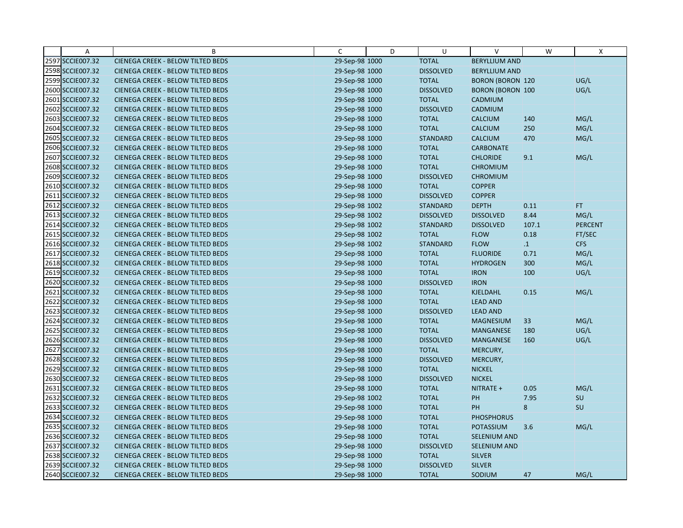| Α                | B                                        | C              | D | U                | $\vee$                  | W         | X              |
|------------------|------------------------------------------|----------------|---|------------------|-------------------------|-----------|----------------|
| 2597 SCCIE007.32 | CIENEGA CREEK - BELOW TILTED BEDS        | 29-Sep-98 1000 |   | <b>TOTAL</b>     | <b>BERYLLIUM AND</b>    |           |                |
| 2598 SCCIE007.32 | CIENEGA CREEK - BELOW TILTED BEDS        | 29-Sep-98 1000 |   | <b>DISSOLVED</b> | <b>BERYLLIUM AND</b>    |           |                |
| 2599 SCCIE007.32 | CIENEGA CREEK - BELOW TILTED BEDS        | 29-Sep-98 1000 |   | <b>TOTAL</b>     | <b>BORON (BORON 120</b> |           | UG/L           |
| 2600 SCCIE007.32 | CIENEGA CREEK - BELOW TILTED BEDS        | 29-Sep-98 1000 |   | <b>DISSOLVED</b> | <b>BORON (BORON 100</b> |           | UG/L           |
| 2601 SCCIE007.32 | CIENEGA CREEK - BELOW TILTED BEDS        | 29-Sep-98 1000 |   | <b>TOTAL</b>     | CADMIUM                 |           |                |
| 2602 SCCIE007.32 | CIENEGA CREEK - BELOW TILTED BEDS        | 29-Sep-98 1000 |   | <b>DISSOLVED</b> | CADMIUM                 |           |                |
| 2603 SCCIE007.32 | CIENEGA CREEK - BELOW TILTED BEDS        | 29-Sep-98 1000 |   | <b>TOTAL</b>     | <b>CALCIUM</b>          | 140       | MG/L           |
| 2604 SCCIE007.32 | CIENEGA CREEK - BELOW TILTED BEDS        | 29-Sep-98 1000 |   | <b>TOTAL</b>     | CALCIUM                 | 250       | MG/L           |
| 2605 SCCIE007.32 | CIENEGA CREEK - BELOW TILTED BEDS        | 29-Sep-98 1000 |   | <b>STANDARD</b>  | <b>CALCIUM</b>          | 470       | MG/L           |
| 2606 SCCIE007.32 | <b>CIENEGA CREEK - BELOW TILTED BEDS</b> | 29-Sep-98 1000 |   | <b>TOTAL</b>     | <b>CARBONATE</b>        |           |                |
| 2607 SCCIE007.32 | CIENEGA CREEK - BELOW TILTED BEDS        | 29-Sep-98 1000 |   | <b>TOTAL</b>     | <b>CHLORIDE</b>         | 9.1       | MG/L           |
| 2608 SCCIE007.32 | CIENEGA CREEK - BELOW TILTED BEDS        | 29-Sep-98 1000 |   | <b>TOTAL</b>     | <b>CHROMIUM</b>         |           |                |
| 2609 SCCIE007.32 | CIENEGA CREEK - BELOW TILTED BEDS        | 29-Sep-98 1000 |   | <b>DISSOLVED</b> | <b>CHROMIUM</b>         |           |                |
| 2610 SCCIE007.32 | <b>CIENEGA CREEK - BELOW TILTED BEDS</b> | 29-Sep-98 1000 |   | <b>TOTAL</b>     | <b>COPPER</b>           |           |                |
| 2611 SCCIE007.32 | <b>CIENEGA CREEK - BELOW TILTED BEDS</b> | 29-Sep-98 1000 |   | <b>DISSOLVED</b> | <b>COPPER</b>           |           |                |
| 2612 SCCIE007.32 | CIENEGA CREEK - BELOW TILTED BEDS        | 29-Sep-98 1002 |   | <b>STANDARD</b>  | <b>DEPTH</b>            | 0.11      | FT.            |
| 2613 SCCIE007.32 | <b>CIENEGA CREEK - BELOW TILTED BEDS</b> | 29-Sep-98 1002 |   | <b>DISSOLVED</b> | <b>DISSOLVED</b>        | 8.44      | MG/L           |
| 2614 SCCIE007.32 | CIENEGA CREEK - BELOW TILTED BEDS        | 29-Sep-98 1002 |   | <b>STANDARD</b>  | <b>DISSOLVED</b>        | 107.1     | <b>PERCENT</b> |
| 2615 SCCIE007.32 | <b>CIENEGA CREEK - BELOW TILTED BEDS</b> | 29-Sep-98 1002 |   | <b>TOTAL</b>     | <b>FLOW</b>             | 0.18      | FT/SEC         |
| 2616 SCCIE007.32 | CIENEGA CREEK - BELOW TILTED BEDS        | 29-Sep-98 1002 |   | <b>STANDARD</b>  | <b>FLOW</b>             | $\cdot$ 1 | <b>CFS</b>     |
| 2617 SCCIE007.32 | CIENEGA CREEK - BELOW TILTED BEDS        | 29-Sep-98 1000 |   | <b>TOTAL</b>     | <b>FLUORIDE</b>         | 0.71      | MG/L           |
| 2618 SCCIE007.32 | CIENEGA CREEK - BELOW TILTED BEDS        | 29-Sep-98 1000 |   | <b>TOTAL</b>     | <b>HYDROGEN</b>         | 300       | MG/L           |
| 2619 SCCIE007.32 | CIENEGA CREEK - BELOW TILTED BEDS        | 29-Sep-98 1000 |   | <b>TOTAL</b>     | <b>IRON</b>             | 100       | UG/L           |
| 2620 SCCIE007.32 | <b>CIENEGA CREEK - BELOW TILTED BEDS</b> | 29-Sep-98 1000 |   | <b>DISSOLVED</b> | <b>IRON</b>             |           |                |
| 2621 SCCIE007.32 | CIENEGA CREEK - BELOW TILTED BEDS        | 29-Sep-98 1000 |   | <b>TOTAL</b>     | KJELDAHL                | 0.15      | MG/L           |
| 2622 SCCIE007.32 | CIENEGA CREEK - BELOW TILTED BEDS        | 29-Sep-98 1000 |   | <b>TOTAL</b>     | <b>LEAD AND</b>         |           |                |
| 2623 SCCIE007.32 | CIENEGA CREEK - BELOW TILTED BEDS        | 29-Sep-98 1000 |   | <b>DISSOLVED</b> | <b>LEAD AND</b>         |           |                |
| 2624 SCCIE007.32 | <b>CIENEGA CREEK - BELOW TILTED BEDS</b> | 29-Sep-98 1000 |   | <b>TOTAL</b>     | <b>MAGNESIUM</b>        | 33        | MG/L           |
| 2625 SCCIE007.32 | CIENEGA CREEK - BELOW TILTED BEDS        | 29-Sep-98 1000 |   | <b>TOTAL</b>     | MANGANESE               | 180       | UG/L           |
| 2626 SCCIE007.32 | CIENEGA CREEK - BELOW TILTED BEDS        | 29-Sep-98 1000 |   | <b>DISSOLVED</b> | <b>MANGANESE</b>        | 160       | UG/L           |
| 2627 SCCIE007.32 | CIENEGA CREEK - BELOW TILTED BEDS        | 29-Sep-98 1000 |   | <b>TOTAL</b>     | MERCURY,                |           |                |
| 2628 SCCIE007.32 | CIENEGA CREEK - BELOW TILTED BEDS        | 29-Sep-98 1000 |   | <b>DISSOLVED</b> | MERCURY,                |           |                |
| 2629 SCCIE007.32 | CIENEGA CREEK - BELOW TILTED BEDS        | 29-Sep-98 1000 |   | <b>TOTAL</b>     | <b>NICKEL</b>           |           |                |
| 2630 SCCIE007.32 | CIENEGA CREEK - BELOW TILTED BEDS        | 29-Sep-98 1000 |   | <b>DISSOLVED</b> | <b>NICKEL</b>           |           |                |
| 2631 SCCIE007.32 | CIENEGA CREEK - BELOW TILTED BEDS        | 29-Sep-98 1000 |   | <b>TOTAL</b>     | NITRATE +               | 0.05      | MG/L           |
| 2632 SCCIE007.32 | CIENEGA CREEK - BELOW TILTED BEDS        | 29-Sep-98 1002 |   | <b>TOTAL</b>     | PH                      | 7.95      | SU             |
| 2633 SCCIE007.32 | CIENEGA CREEK - BELOW TILTED BEDS        | 29-Sep-98 1000 |   | <b>TOTAL</b>     | PH                      | 8         | SU             |
| 2634 SCCIE007.32 | CIENEGA CREEK - BELOW TILTED BEDS        | 29-Sep-98 1000 |   | <b>TOTAL</b>     | <b>PHOSPHORUS</b>       |           |                |
| 2635 SCCIE007.32 | <b>CIENEGA CREEK - BELOW TILTED BEDS</b> | 29-Sep-98 1000 |   | <b>TOTAL</b>     | <b>POTASSIUM</b>        | 3.6       | MG/L           |
| 2636 SCCIE007.32 | CIENEGA CREEK - BELOW TILTED BEDS        | 29-Sep-98 1000 |   | <b>TOTAL</b>     | SELENIUM AND            |           |                |
| 2637 SCCIE007.32 | CIENEGA CREEK - BELOW TILTED BEDS        | 29-Sep-98 1000 |   | <b>DISSOLVED</b> | <b>SELENIUM AND</b>     |           |                |
| 2638 SCCIE007.32 | CIENEGA CREEK - BELOW TILTED BEDS        | 29-Sep-98 1000 |   | <b>TOTAL</b>     | <b>SILVER</b>           |           |                |
| 2639 SCCIE007.32 | CIENEGA CREEK - BELOW TILTED BEDS        | 29-Sep-98 1000 |   | <b>DISSOLVED</b> | <b>SILVER</b>           |           |                |
| 2640 SCCIE007.32 | <b>CIENEGA CREEK - BELOW TILTED BEDS</b> | 29-Sep-98 1000 |   | <b>TOTAL</b>     | SODIUM                  | 47        | MG/L           |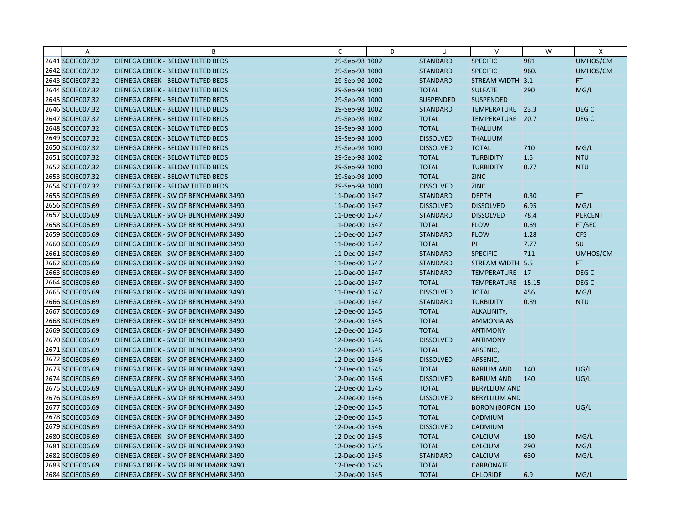| Α                | B                                        | C              | D | U                | $\vee$                  | W    | X                |
|------------------|------------------------------------------|----------------|---|------------------|-------------------------|------|------------------|
| 2641 SCCIE007.32 | CIENEGA CREEK - BELOW TILTED BEDS        | 29-Sep-98 1002 |   | <b>STANDARD</b>  | <b>SPECIFIC</b>         | 981  | UMHOS/CM         |
| 2642 SCCIE007.32 | <b>CIENEGA CREEK - BELOW TILTED BEDS</b> | 29-Sep-98 1000 |   | <b>STANDARD</b>  | <b>SPECIFIC</b>         | 960. | UMHOS/CM         |
| 2643 SCCIE007.32 | <b>CIENEGA CREEK - BELOW TILTED BEDS</b> | 29-Sep-98 1002 |   | <b>STANDARD</b>  | STREAM WIDTH 3.1        |      | FT.              |
| 2644 SCCIE007.32 | <b>CIENEGA CREEK - BELOW TILTED BEDS</b> | 29-Sep-98 1000 |   | <b>TOTAL</b>     | <b>SULFATE</b>          | 290  | MG/L             |
| 2645 SCCIE007.32 | <b>CIENEGA CREEK - BELOW TILTED BEDS</b> | 29-Sep-98 1000 |   | <b>SUSPENDED</b> | <b>SUSPENDED</b>        |      |                  |
| 2646 SCCIE007.32 | CIENEGA CREEK - BELOW TILTED BEDS        | 29-Sep-98 1002 |   | <b>STANDARD</b>  | TEMPERATURE             | 23.3 | DEG <sub>C</sub> |
| 2647 SCCIE007.32 | <b>CIENEGA CREEK - BELOW TILTED BEDS</b> | 29-Sep-98 1002 |   | <b>TOTAL</b>     | TEMPERATURE 20.7        |      | DEG <sub>C</sub> |
| 2648 SCCIE007.32 | <b>CIENEGA CREEK - BELOW TILTED BEDS</b> | 29-Sep-98 1000 |   | <b>TOTAL</b>     | <b>THALLIUM</b>         |      |                  |
| 2649 SCCIE007.32 | <b>CIENEGA CREEK - BELOW TILTED BEDS</b> | 29-Sep-98 1000 |   | <b>DISSOLVED</b> | <b>THALLIUM</b>         |      |                  |
| 2650 SCCIE007.32 | <b>CIENEGA CREEK - BELOW TILTED BEDS</b> | 29-Sep-98 1000 |   | <b>DISSOLVED</b> | <b>TOTAL</b>            | 710  | MG/L             |
| 2651 SCCIE007.32 | <b>CIENEGA CREEK - BELOW TILTED BEDS</b> | 29-Sep-98 1002 |   | <b>TOTAL</b>     | <b>TURBIDITY</b>        | 1.5  | <b>NTU</b>       |
| 2652 SCCIE007.32 | <b>CIENEGA CREEK - BELOW TILTED BEDS</b> | 29-Sep-98 1000 |   | <b>TOTAL</b>     | <b>TURBIDITY</b>        | 0.77 | <b>NTU</b>       |
| 2653 SCCIE007.32 | <b>CIENEGA CREEK - BELOW TILTED BEDS</b> | 29-Sep-98 1000 |   | <b>TOTAL</b>     | <b>ZINC</b>             |      |                  |
| 2654 SCCIE007.32 | CIENEGA CREEK - BELOW TILTED BEDS        | 29-Sep-98 1000 |   | <b>DISSOLVED</b> | <b>ZINC</b>             |      |                  |
| 2655 SCCIE006.69 | CIENEGA CREEK - SW OF BENCHMARK 3490     | 11-Dec-00 1547 |   | <b>STANDARD</b>  | <b>DEPTH</b>            | 0.30 | FT.              |
| 2656 SCCIE006.69 | CIENEGA CREEK - SW OF BENCHMARK 3490     | 11-Dec-00 1547 |   | <b>DISSOLVED</b> | <b>DISSOLVED</b>        | 6.95 | MG/L             |
| 2657 SCCIE006.69 | CIENEGA CREEK - SW OF BENCHMARK 3490     | 11-Dec-00 1547 |   | <b>STANDARD</b>  | <b>DISSOLVED</b>        | 78.4 | <b>PERCENT</b>   |
| 2658 SCCIE006.69 | CIENEGA CREEK - SW OF BENCHMARK 3490     | 11-Dec-00 1547 |   | <b>TOTAL</b>     | <b>FLOW</b>             | 0.69 | FT/SEC           |
| 2659 SCCIE006.69 | CIENEGA CREEK - SW OF BENCHMARK 3490     | 11-Dec-00 1547 |   | <b>STANDARD</b>  | <b>FLOW</b>             | 1.28 | <b>CFS</b>       |
| 2660 SCCIE006.69 | CIENEGA CREEK - SW OF BENCHMARK 3490     | 11-Dec-00 1547 |   | <b>TOTAL</b>     | PH                      | 7.77 | <b>SU</b>        |
| 2661 SCCIE006.69 | CIENEGA CREEK - SW OF BENCHMARK 3490     | 11-Dec-00 1547 |   | <b>STANDARD</b>  | <b>SPECIFIC</b>         | 711  | UMHOS/CM         |
| 2662 SCCIE006.69 | CIENEGA CREEK - SW OF BENCHMARK 3490     | 11-Dec-00 1547 |   | <b>STANDARD</b>  | STREAM WIDTH 5.5        |      | FT.              |
| 2663 SCCIE006.69 | CIENEGA CREEK - SW OF BENCHMARK 3490     | 11-Dec-00 1547 |   | <b>STANDARD</b>  | TEMPERATURE 17          |      | DEG <sub>C</sub> |
| 2664 SCCIE006.69 | CIENEGA CREEK - SW OF BENCHMARK 3490     | 11-Dec-00 1547 |   | <b>TOTAL</b>     | TEMPERATURE 15.15       |      | DEG <sub>C</sub> |
| 2665 SCCIE006.69 | CIENEGA CREEK - SW OF BENCHMARK 3490     | 11-Dec-00 1547 |   | <b>DISSOLVED</b> | <b>TOTAL</b>            | 456  | MG/L             |
| 2666 SCCIE006.69 | CIENEGA CREEK - SW OF BENCHMARK 3490     | 11-Dec-00 1547 |   | <b>STANDARD</b>  | <b>TURBIDITY</b>        | 0.89 | <b>NTU</b>       |
| 2667 SCCIE006.69 | CIENEGA CREEK - SW OF BENCHMARK 3490     | 12-Dec-00 1545 |   | <b>TOTAL</b>     | ALKALINITY,             |      |                  |
| 2668 SCCIE006.69 | CIENEGA CREEK - SW OF BENCHMARK 3490     | 12-Dec-00 1545 |   | <b>TOTAL</b>     | <b>AMMONIA AS</b>       |      |                  |
| 2669 SCCIE006.69 | CIENEGA CREEK - SW OF BENCHMARK 3490     | 12-Dec-00 1545 |   | <b>TOTAL</b>     | <b>ANTIMONY</b>         |      |                  |
| 2670 SCCIE006.69 | CIENEGA CREEK - SW OF BENCHMARK 3490     | 12-Dec-00 1546 |   | <b>DISSOLVED</b> | <b>ANTIMONY</b>         |      |                  |
| 2671 SCCIE006.69 | CIENEGA CREEK - SW OF BENCHMARK 3490     | 12-Dec-00 1545 |   | <b>TOTAL</b>     | ARSENIC,                |      |                  |
| 2672 SCCIE006.69 | CIENEGA CREEK - SW OF BENCHMARK 3490     | 12-Dec-00 1546 |   | <b>DISSOLVED</b> | ARSENIC,                |      |                  |
| 2673 SCCIE006.69 | CIENEGA CREEK - SW OF BENCHMARK 3490     | 12-Dec-00 1545 |   | <b>TOTAL</b>     | <b>BARIUM AND</b>       | 140  | UG/L             |
| 2674 SCCIE006.69 | CIENEGA CREEK - SW OF BENCHMARK 3490     | 12-Dec-00 1546 |   | <b>DISSOLVED</b> | <b>BARIUM AND</b>       | 140  | UG/L             |
| 2675 SCCIE006.69 | CIENEGA CREEK - SW OF BENCHMARK 3490     | 12-Dec-00 1545 |   | <b>TOTAL</b>     | <b>BERYLLIUM AND</b>    |      |                  |
| 2676 SCCIE006.69 | CIENEGA CREEK - SW OF BENCHMARK 3490     | 12-Dec-00 1546 |   | <b>DISSOLVED</b> | <b>BERYLLIUM AND</b>    |      |                  |
| 2677 SCCIE006.69 | CIENEGA CREEK - SW OF BENCHMARK 3490     | 12-Dec-00 1545 |   | <b>TOTAL</b>     | <b>BORON (BORON 130</b> |      | UG/L             |
| 2678 SCCIE006.69 | CIENEGA CREEK - SW OF BENCHMARK 3490     | 12-Dec-00 1545 |   | <b>TOTAL</b>     | CADMIUM                 |      |                  |
| 2679 SCCIE006.69 | CIENEGA CREEK - SW OF BENCHMARK 3490     | 12-Dec-00 1546 |   | <b>DISSOLVED</b> | CADMIUM                 |      |                  |
| 2680 SCCIE006.69 | CIENEGA CREEK - SW OF BENCHMARK 3490     | 12-Dec-00 1545 |   | <b>TOTAL</b>     | <b>CALCIUM</b>          | 180  | MG/L             |
| 2681 SCCIE006.69 | CIENEGA CREEK - SW OF BENCHMARK 3490     | 12-Dec-00 1545 |   | <b>TOTAL</b>     | <b>CALCIUM</b>          | 290  | MG/L             |
| 2682 SCCIE006.69 | CIENEGA CREEK - SW OF BENCHMARK 3490     | 12-Dec-00 1545 |   | <b>STANDARD</b>  | CALCIUM                 | 630  | MG/L             |
| 2683 SCCIE006.69 | CIENEGA CREEK - SW OF BENCHMARK 3490     | 12-Dec-00 1545 |   | <b>TOTAL</b>     | <b>CARBONATE</b>        |      |                  |
| 2684 SCCIE006.69 | CIENEGA CREEK - SW OF BENCHMARK 3490     | 12-Dec-00 1545 |   | <b>TOTAL</b>     | <b>CHLORIDE</b>         | 6.9  | MG/L             |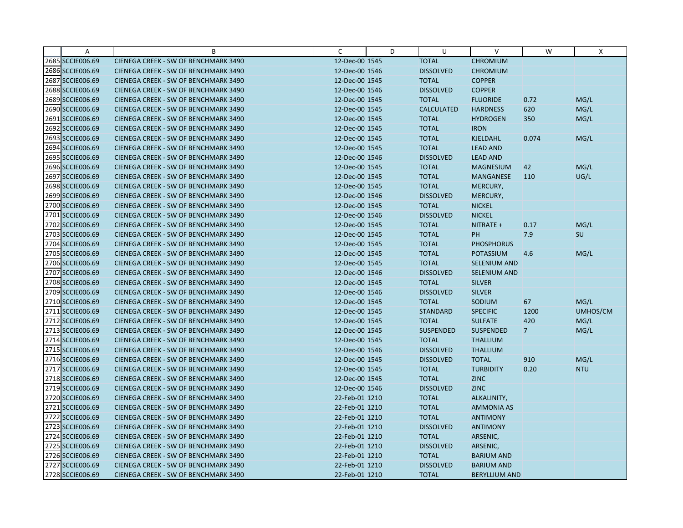| Α                | B                                    | $\mathsf{C}$   | D | U                 | V                    | W              | X          |
|------------------|--------------------------------------|----------------|---|-------------------|----------------------|----------------|------------|
| 2685 SCCIE006.69 | CIENEGA CREEK - SW OF BENCHMARK 3490 | 12-Dec-00 1545 |   | <b>TOTAL</b>      | <b>CHROMIUM</b>      |                |            |
| 2686 SCCIE006.69 | CIENEGA CREEK - SW OF BENCHMARK 3490 | 12-Dec-00 1546 |   | <b>DISSOLVED</b>  | <b>CHROMIUM</b>      |                |            |
| 2687 SCCIE006.69 | CIENEGA CREEK - SW OF BENCHMARK 3490 | 12-Dec-00 1545 |   | <b>TOTAL</b>      | <b>COPPER</b>        |                |            |
| 2688 SCCIE006.69 | CIENEGA CREEK - SW OF BENCHMARK 3490 | 12-Dec-00 1546 |   | <b>DISSOLVED</b>  | <b>COPPER</b>        |                |            |
| 2689 SCCIE006.69 | CIENEGA CREEK - SW OF BENCHMARK 3490 | 12-Dec-00 1545 |   | <b>TOTAL</b>      | <b>FLUORIDE</b>      | 0.72           | MG/L       |
| 2690 SCCIE006.69 | CIENEGA CREEK - SW OF BENCHMARK 3490 | 12-Dec-00 1545 |   | <b>CALCULATED</b> | <b>HARDNESS</b>      | 620            | MG/L       |
| 2691 SCCIE006.69 | CIENEGA CREEK - SW OF BENCHMARK 3490 | 12-Dec-00 1545 |   | <b>TOTAL</b>      | <b>HYDROGEN</b>      | 350            | MG/L       |
| 2692 SCCIE006.69 | CIENEGA CREEK - SW OF BENCHMARK 3490 | 12-Dec-00 1545 |   | <b>TOTAL</b>      | <b>IRON</b>          |                |            |
| 2693 SCCIE006.69 | CIENEGA CREEK - SW OF BENCHMARK 3490 | 12-Dec-00 1545 |   | <b>TOTAL</b>      | KJELDAHL             | 0.074          | MG/L       |
| 2694 SCCIE006.69 | CIENEGA CREEK - SW OF BENCHMARK 3490 | 12-Dec-00 1545 |   | <b>TOTAL</b>      | <b>LEAD AND</b>      |                |            |
| 2695 SCCIE006.69 | CIENEGA CREEK - SW OF BENCHMARK 3490 | 12-Dec-00 1546 |   | <b>DISSOLVED</b>  | <b>LEAD AND</b>      |                |            |
| 2696 SCCIE006.69 | CIENEGA CREEK - SW OF BENCHMARK 3490 | 12-Dec-00 1545 |   | <b>TOTAL</b>      | <b>MAGNESIUM</b>     | 42             | MG/L       |
| 2697 SCCIE006.69 | CIENEGA CREEK - SW OF BENCHMARK 3490 | 12-Dec-00 1545 |   | <b>TOTAL</b>      | <b>MANGANESE</b>     | 110            | UG/L       |
| 2698 SCCIE006.69 | CIENEGA CREEK - SW OF BENCHMARK 3490 | 12-Dec-00 1545 |   | <b>TOTAL</b>      | MERCURY,             |                |            |
| 2699 SCCIE006.69 | CIENEGA CREEK - SW OF BENCHMARK 3490 | 12-Dec-00 1546 |   | <b>DISSOLVED</b>  | MERCURY,             |                |            |
| 2700 SCCIE006.69 | CIENEGA CREEK - SW OF BENCHMARK 3490 | 12-Dec-00 1545 |   | <b>TOTAL</b>      | <b>NICKEL</b>        |                |            |
| 2701 SCCIE006.69 | CIENEGA CREEK - SW OF BENCHMARK 3490 | 12-Dec-00 1546 |   | <b>DISSOLVED</b>  | <b>NICKEL</b>        |                |            |
| 2702 SCCIE006.69 | CIENEGA CREEK - SW OF BENCHMARK 3490 | 12-Dec-00 1545 |   | <b>TOTAL</b>      | NITRATE +            | 0.17           | MG/L       |
| 2703 SCCIE006.69 | CIENEGA CREEK - SW OF BENCHMARK 3490 | 12-Dec-00 1545 |   | <b>TOTAL</b>      | <b>PH</b>            | 7.9            | SU         |
| 2704 SCCIE006.69 | CIENEGA CREEK - SW OF BENCHMARK 3490 | 12-Dec-00 1545 |   | <b>TOTAL</b>      | <b>PHOSPHORUS</b>    |                |            |
| 2705 SCCIE006.69 | CIENEGA CREEK - SW OF BENCHMARK 3490 | 12-Dec-00 1545 |   | <b>TOTAL</b>      | <b>POTASSIUM</b>     | 4.6            | MG/L       |
| 2706 SCCIE006.69 | CIENEGA CREEK - SW OF BENCHMARK 3490 | 12-Dec-00 1545 |   | <b>TOTAL</b>      | <b>SELENIUM AND</b>  |                |            |
| 2707 SCCIE006.69 | CIENEGA CREEK - SW OF BENCHMARK 3490 | 12-Dec-00 1546 |   | <b>DISSOLVED</b>  | <b>SELENIUM AND</b>  |                |            |
| 2708 SCCIE006.69 | CIENEGA CREEK - SW OF BENCHMARK 3490 | 12-Dec-00 1545 |   | <b>TOTAL</b>      | <b>SILVER</b>        |                |            |
| 2709 SCCIE006.69 | CIENEGA CREEK - SW OF BENCHMARK 3490 | 12-Dec-00 1546 |   | <b>DISSOLVED</b>  | <b>SILVER</b>        |                |            |
| 2710 SCCIE006.69 | CIENEGA CREEK - SW OF BENCHMARK 3490 | 12-Dec-00 1545 |   | <b>TOTAL</b>      | SODIUM               | 67             | MG/L       |
| 2711 SCCIE006.69 | CIENEGA CREEK - SW OF BENCHMARK 3490 | 12-Dec-00 1545 |   | <b>STANDARD</b>   | <b>SPECIFIC</b>      | 1200           | UMHOS/CM   |
| 2712 SCCIE006.69 | CIENEGA CREEK - SW OF BENCHMARK 3490 | 12-Dec-00 1545 |   | <b>TOTAL</b>      | <b>SULFATE</b>       | 420            | MG/L       |
| 2713 SCCIE006.69 | CIENEGA CREEK - SW OF BENCHMARK 3490 | 12-Dec-00 1545 |   | <b>SUSPENDED</b>  | <b>SUSPENDED</b>     | 7 <sup>1</sup> | MG/L       |
| 2714 SCCIE006.69 | CIENEGA CREEK - SW OF BENCHMARK 3490 | 12-Dec-00 1545 |   | <b>TOTAL</b>      | <b>THALLIUM</b>      |                |            |
| 2715 SCCIE006.69 | CIENEGA CREEK - SW OF BENCHMARK 3490 | 12-Dec-00 1546 |   | <b>DISSOLVED</b>  | <b>THALLIUM</b>      |                |            |
| 2716 SCCIE006.69 | CIENEGA CREEK - SW OF BENCHMARK 3490 | 12-Dec-00 1545 |   | <b>DISSOLVED</b>  | <b>TOTAL</b>         | 910            | MG/L       |
| 2717 SCCIE006.69 | CIENEGA CREEK - SW OF BENCHMARK 3490 | 12-Dec-00 1545 |   | <b>TOTAL</b>      | <b>TURBIDITY</b>     | 0.20           | <b>NTU</b> |
| 2718 SCCIE006.69 | CIENEGA CREEK - SW OF BENCHMARK 3490 | 12-Dec-00 1545 |   | <b>TOTAL</b>      | <b>ZINC</b>          |                |            |
| 2719 SCCIE006.69 | CIENEGA CREEK - SW OF BENCHMARK 3490 | 12-Dec-00 1546 |   | <b>DISSOLVED</b>  | <b>ZINC</b>          |                |            |
| 2720 SCCIE006.69 | CIENEGA CREEK - SW OF BENCHMARK 3490 | 22-Feb-01 1210 |   | <b>TOTAL</b>      | ALKALINITY,          |                |            |
| 2721 SCCIE006.69 | CIENEGA CREEK - SW OF BENCHMARK 3490 | 22-Feb-01 1210 |   | <b>TOTAL</b>      | <b>AMMONIA AS</b>    |                |            |
| 2722 SCCIE006.69 | CIENEGA CREEK - SW OF BENCHMARK 3490 | 22-Feb-01 1210 |   | <b>TOTAL</b>      | <b>ANTIMONY</b>      |                |            |
| 2723 SCCIE006.69 | CIENEGA CREEK - SW OF BENCHMARK 3490 | 22-Feb-01 1210 |   | <b>DISSOLVED</b>  | <b>ANTIMONY</b>      |                |            |
| 2724 SCCIE006.69 | CIENEGA CREEK - SW OF BENCHMARK 3490 | 22-Feb-01 1210 |   | <b>TOTAL</b>      | ARSENIC,             |                |            |
| 2725 SCCIE006.69 | CIENEGA CREEK - SW OF BENCHMARK 3490 | 22-Feb-01 1210 |   | <b>DISSOLVED</b>  | ARSENIC,             |                |            |
| 2726 SCCIE006.69 | CIENEGA CREEK - SW OF BENCHMARK 3490 | 22-Feb-01 1210 |   | <b>TOTAL</b>      | <b>BARIUM AND</b>    |                |            |
| 2727 SCCIE006.69 | CIENEGA CREEK - SW OF BENCHMARK 3490 | 22-Feb-01 1210 |   | <b>DISSOLVED</b>  | <b>BARIUM AND</b>    |                |            |
| 2728 SCCIE006.69 | CIENEGA CREEK - SW OF BENCHMARK 3490 | 22-Feb-01 1210 |   | <b>TOTAL</b>      | <b>BERYLLIUM AND</b> |                |            |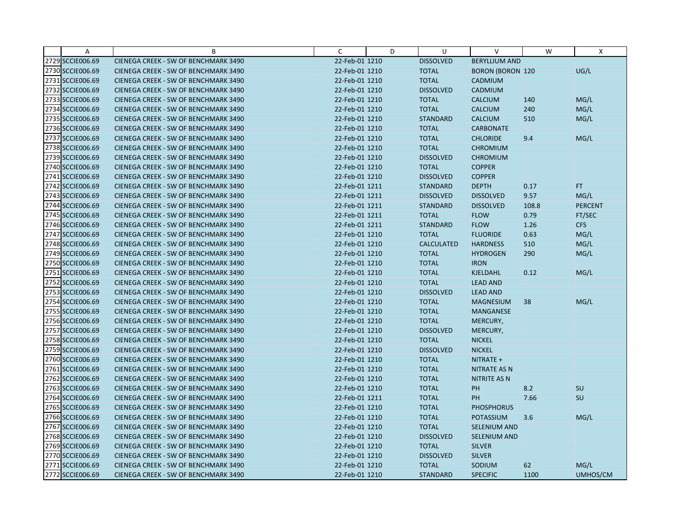| Α                | B                                           | C              | D | U                 | V                       | W     | X              |
|------------------|---------------------------------------------|----------------|---|-------------------|-------------------------|-------|----------------|
| 2729 SCCIE006.69 | CIENEGA CREEK - SW OF BENCHMARK 3490        | 22-Feb-01 1210 |   | <b>DISSOLVED</b>  | <b>BERYLLIUM AND</b>    |       |                |
| 2730 SCCIE006.69 | CIENEGA CREEK - SW OF BENCHMARK 3490        | 22-Feb-01 1210 |   | <b>TOTAL</b>      | <b>BORON (BORON 120</b> |       | UG/L           |
| 2731 SCCIE006.69 | CIENEGA CREEK - SW OF BENCHMARK 3490        | 22-Feb-01 1210 |   | <b>TOTAL</b>      | CADMIUM                 |       |                |
| 2732 SCCIE006.69 | CIENEGA CREEK - SW OF BENCHMARK 3490        | 22-Feb-01 1210 |   | <b>DISSOLVED</b>  | CADMIUM                 |       |                |
| 2733 SCCIE006.69 | CIENEGA CREEK - SW OF BENCHMARK 3490        | 22-Feb-01 1210 |   | <b>TOTAL</b>      | <b>CALCIUM</b>          | 140   | MG/L           |
| 2734 SCCIE006.69 | CIENEGA CREEK - SW OF BENCHMARK 3490        | 22-Feb-01 1210 |   | <b>TOTAL</b>      | <b>CALCIUM</b>          | 240   | MG/L           |
| 2735 SCCIE006.69 | CIENEGA CREEK - SW OF BENCHMARK 3490        | 22-Feb-01 1210 |   | <b>STANDARD</b>   | <b>CALCIUM</b>          | 510   | MG/L           |
| 2736 SCCIE006.69 | CIENEGA CREEK - SW OF BENCHMARK 3490        | 22-Feb-01 1210 |   | <b>TOTAL</b>      | <b>CARBONATE</b>        |       |                |
| 2737 SCCIE006.69 | CIENEGA CREEK - SW OF BENCHMARK 3490        | 22-Feb-01 1210 |   | <b>TOTAL</b>      | <b>CHLORIDE</b>         | 9.4   | MG/L           |
| 2738 SCCIE006.69 | CIENEGA CREEK - SW OF BENCHMARK 3490        | 22-Feb-01 1210 |   | <b>TOTAL</b>      | <b>CHROMIUM</b>         |       |                |
| 2739 SCCIE006.69 | CIENEGA CREEK - SW OF BENCHMARK 3490        | 22-Feb-01 1210 |   | <b>DISSOLVED</b>  | <b>CHROMIUM</b>         |       |                |
| 2740 SCCIE006.69 | CIENEGA CREEK - SW OF BENCHMARK 3490        | 22-Feb-01 1210 |   | <b>TOTAL</b>      | <b>COPPER</b>           |       |                |
| 2741 SCCIE006.69 | CIENEGA CREEK - SW OF BENCHMARK 3490        | 22-Feb-01 1210 |   | <b>DISSOLVED</b>  | <b>COPPER</b>           |       |                |
| 2742 SCCIE006.69 | CIENEGA CREEK - SW OF BENCHMARK 3490        | 22-Feb-01 1211 |   | <b>STANDARD</b>   | <b>DEPTH</b>            | 0.17  | FT.            |
| 2743 SCCIE006.69 | CIENEGA CREEK - SW OF BENCHMARK 3490        | 22-Feb-01 1211 |   | <b>DISSOLVED</b>  | <b>DISSOLVED</b>        | 9.57  | MG/L           |
| 2744 SCCIE006.69 | CIENEGA CREEK - SW OF BENCHMARK 3490        | 22-Feb-01 1211 |   | <b>STANDARD</b>   | <b>DISSOLVED</b>        | 108.8 | <b>PERCENT</b> |
| 2745 SCCIE006.69 | CIENEGA CREEK - SW OF BENCHMARK 3490        | 22-Feb-01 1211 |   | <b>TOTAL</b>      | <b>FLOW</b>             | 0.79  | FT/SEC         |
| 2746 SCCIE006.69 | CIENEGA CREEK - SW OF BENCHMARK 3490        | 22-Feb-01 1211 |   | <b>STANDARD</b>   | <b>FLOW</b>             | 1.26  | <b>CFS</b>     |
| 2747 SCCIE006.69 | CIENEGA CREEK - SW OF BENCHMARK 3490        | 22-Feb-01 1210 |   | <b>TOTAL</b>      | <b>FLUORIDE</b>         | 0.63  | MG/L           |
| 2748 SCCIE006.69 | CIENEGA CREEK - SW OF BENCHMARK 3490        | 22-Feb-01 1210 |   | <b>CALCULATED</b> | <b>HARDNESS</b>         | 510   | MG/L           |
| 2749 SCCIE006.69 | CIENEGA CREEK - SW OF BENCHMARK 3490        | 22-Feb-01 1210 |   | <b>TOTAL</b>      | <b>HYDROGEN</b>         | 290   | MG/L           |
| 2750 SCCIE006.69 | CIENEGA CREEK - SW OF BENCHMARK 3490        | 22-Feb-01 1210 |   | <b>TOTAL</b>      | <b>IRON</b>             |       |                |
| 2751 SCCIE006.69 | CIENEGA CREEK - SW OF BENCHMARK 3490        | 22-Feb-01 1210 |   | <b>TOTAL</b>      | <b>KJELDAHL</b>         | 0.12  | MG/L           |
| 2752 SCCIE006.69 | CIENEGA CREEK - SW OF BENCHMARK 3490        | 22-Feb-01 1210 |   | <b>TOTAL</b>      | <b>LEAD AND</b>         |       |                |
| 2753 SCCIE006.69 | CIENEGA CREEK - SW OF BENCHMARK 3490        | 22-Feb-01 1210 |   | <b>DISSOLVED</b>  | <b>LEAD AND</b>         |       |                |
| 2754 SCCIE006.69 | CIENEGA CREEK - SW OF BENCHMARK 3490        | 22-Feb-01 1210 |   | <b>TOTAL</b>      | <b>MAGNESIUM</b>        | 38    | MG/L           |
| 2755 SCCIE006.69 | CIENEGA CREEK - SW OF BENCHMARK 3490        | 22-Feb-01 1210 |   | <b>TOTAL</b>      | MANGANESE               |       |                |
| 2756 SCCIE006.69 | CIENEGA CREEK - SW OF BENCHMARK 3490        | 22-Feb-01 1210 |   | <b>TOTAL</b>      | MERCURY,                |       |                |
| 2757 SCCIE006.69 | <b>CIENEGA CREEK - SW OF BENCHMARK 3490</b> | 22-Feb-01 1210 |   | <b>DISSOLVED</b>  | MERCURY,                |       |                |
| 2758 SCCIE006.69 | CIENEGA CREEK - SW OF BENCHMARK 3490        | 22-Feb-01 1210 |   | <b>TOTAL</b>      | <b>NICKEL</b>           |       |                |
| 2759 SCCIE006.69 | CIENEGA CREEK - SW OF BENCHMARK 3490        | 22-Feb-01 1210 |   | <b>DISSOLVED</b>  | <b>NICKEL</b>           |       |                |
| 2760 SCCIE006.69 | CIENEGA CREEK - SW OF BENCHMARK 3490        | 22-Feb-01 1210 |   | <b>TOTAL</b>      | NITRATE +               |       |                |
| 2761 SCCIE006.69 | CIENEGA CREEK - SW OF BENCHMARK 3490        | 22-Feb-01 1210 |   | <b>TOTAL</b>      | <b>NITRATE AS N</b>     |       |                |
| 2762 SCCIE006.69 | CIENEGA CREEK - SW OF BENCHMARK 3490        | 22-Feb-01 1210 |   | <b>TOTAL</b>      | <b>NITRITE AS N</b>     |       |                |
| 2763 SCCIE006.69 | CIENEGA CREEK - SW OF BENCHMARK 3490        | 22-Feb-01 1210 |   | <b>TOTAL</b>      | PH                      | 8.2   | <b>SU</b>      |
| 2764 SCCIE006.69 | CIENEGA CREEK - SW OF BENCHMARK 3490        | 22-Feb-01 1211 |   | <b>TOTAL</b>      | PH                      | 7.66  | SU             |
| 2765 SCCIE006.69 | CIENEGA CREEK - SW OF BENCHMARK 3490        | 22-Feb-01 1210 |   | <b>TOTAL</b>      | <b>PHOSPHORUS</b>       |       |                |
| 2766 SCCIE006.69 | CIENEGA CREEK - SW OF BENCHMARK 3490        | 22-Feb-01 1210 |   | <b>TOTAL</b>      | <b>POTASSIUM</b>        | 3.6   | MG/L           |
| 2767 SCCIE006.69 | CIENEGA CREEK - SW OF BENCHMARK 3490        | 22-Feb-01 1210 |   | <b>TOTAL</b>      | SELENIUM AND            |       |                |
| 2768 SCCIE006.69 | CIENEGA CREEK - SW OF BENCHMARK 3490        | 22-Feb-01 1210 |   | <b>DISSOLVED</b>  | SELENIUM AND            |       |                |
| 2769 SCCIE006.69 | CIENEGA CREEK - SW OF BENCHMARK 3490        | 22-Feb-01 1210 |   | <b>TOTAL</b>      | <b>SILVER</b>           |       |                |
| 2770 SCCIE006.69 | CIENEGA CREEK - SW OF BENCHMARK 3490        | 22-Feb-01 1210 |   | <b>DISSOLVED</b>  | <b>SILVER</b>           |       |                |
| 2771 SCCIE006.69 | CIENEGA CREEK - SW OF BENCHMARK 3490        | 22-Feb-01 1210 |   | <b>TOTAL</b>      | SODIUM                  | 62    | MG/L           |
| 2772 SCCIE006.69 | CIENEGA CREEK - SW OF BENCHMARK 3490        | 22-Feb-01 1210 |   | <b>STANDARD</b>   | <b>SPECIFIC</b>         | 1100  | UMHOS/CM       |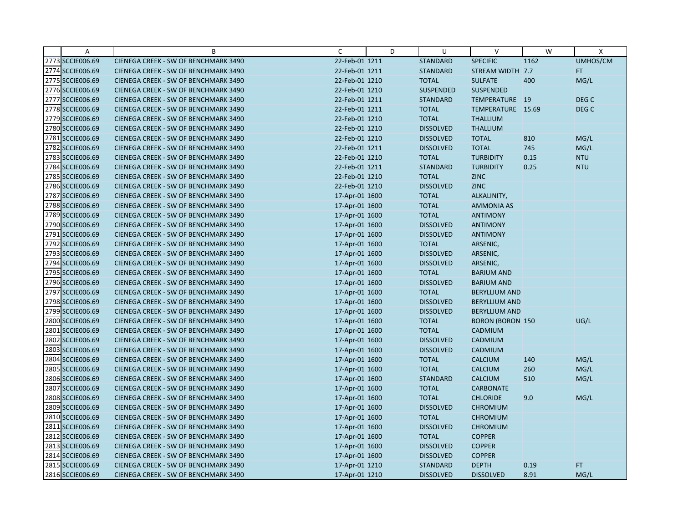| Α                | B                                    | C              | D | U                | $\vee$                  | W    | X                |
|------------------|--------------------------------------|----------------|---|------------------|-------------------------|------|------------------|
| 2773 SCCIE006.69 | CIENEGA CREEK - SW OF BENCHMARK 3490 | 22-Feb-01 1211 |   | <b>STANDARD</b>  | <b>SPECIFIC</b>         | 1162 | UMHOS/CM         |
| 2774 SCCIE006.69 | CIENEGA CREEK - SW OF BENCHMARK 3490 | 22-Feb-01 1211 |   | <b>STANDARD</b>  | STREAM WIDTH 7.7        |      | FT.              |
| 2775 SCCIE006.69 | CIENEGA CREEK - SW OF BENCHMARK 3490 | 22-Feb-01 1210 |   | <b>TOTAL</b>     | <b>SULFATE</b>          | 400  | MG/L             |
| 2776 SCCIE006.69 | CIENEGA CREEK - SW OF BENCHMARK 3490 | 22-Feb-01 1210 |   | <b>SUSPENDED</b> | <b>SUSPENDED</b>        |      |                  |
| 2777 SCCIE006.69 | CIENEGA CREEK - SW OF BENCHMARK 3490 | 22-Feb-01 1211 |   | <b>STANDARD</b>  | TEMPERATURE 19          |      | DEG <sub>C</sub> |
| 2778 SCCIE006.69 | CIENEGA CREEK - SW OF BENCHMARK 3490 | 22-Feb-01 1211 |   | <b>TOTAL</b>     | TEMPERATURE 15.69       |      | DEG <sub>C</sub> |
| 2779 SCCIE006.69 | CIENEGA CREEK - SW OF BENCHMARK 3490 | 22-Feb-01 1210 |   | <b>TOTAL</b>     | <b>THALLIUM</b>         |      |                  |
| 2780 SCCIE006.69 | CIENEGA CREEK - SW OF BENCHMARK 3490 | 22-Feb-01 1210 |   | <b>DISSOLVED</b> | <b>THALLIUM</b>         |      |                  |
| 2781 SCCIE006.69 | CIENEGA CREEK - SW OF BENCHMARK 3490 | 22-Feb-01 1210 |   | <b>DISSOLVED</b> | <b>TOTAL</b>            | 810  | MG/L             |
| 2782 SCCIE006.69 | CIENEGA CREEK - SW OF BENCHMARK 3490 | 22-Feb-01 1211 |   | <b>DISSOLVED</b> | <b>TOTAL</b>            | 745  | MG/L             |
| 2783 SCCIE006.69 | CIENEGA CREEK - SW OF BENCHMARK 3490 | 22-Feb-01 1210 |   | <b>TOTAL</b>     | <b>TURBIDITY</b>        | 0.15 | <b>NTU</b>       |
| 2784 SCCIE006.69 | CIENEGA CREEK - SW OF BENCHMARK 3490 | 22-Feb-01 1211 |   | <b>STANDARD</b>  | <b>TURBIDITY</b>        | 0.25 | <b>NTU</b>       |
| 2785 SCCIE006.69 | CIENEGA CREEK - SW OF BENCHMARK 3490 | 22-Feb-01 1210 |   | <b>TOTAL</b>     | <b>ZINC</b>             |      |                  |
| 2786 SCCIE006.69 | CIENEGA CREEK - SW OF BENCHMARK 3490 | 22-Feb-01 1210 |   | <b>DISSOLVED</b> | <b>ZINC</b>             |      |                  |
| 2787 SCCIE006.69 | CIENEGA CREEK - SW OF BENCHMARK 3490 | 17-Apr-01 1600 |   | <b>TOTAL</b>     | ALKALINITY,             |      |                  |
| 2788 SCCIE006.69 | CIENEGA CREEK - SW OF BENCHMARK 3490 | 17-Apr-01 1600 |   | <b>TOTAL</b>     | <b>AMMONIA AS</b>       |      |                  |
| 2789 SCCIE006.69 | CIENEGA CREEK - SW OF BENCHMARK 3490 | 17-Apr-01 1600 |   | <b>TOTAL</b>     | <b>ANTIMONY</b>         |      |                  |
| 2790 SCCIE006.69 | CIENEGA CREEK - SW OF BENCHMARK 3490 | 17-Apr-01 1600 |   | <b>DISSOLVED</b> | <b>ANTIMONY</b>         |      |                  |
| 2791 SCCIE006.69 | CIENEGA CREEK - SW OF BENCHMARK 3490 | 17-Apr-01 1600 |   | <b>DISSOLVED</b> | <b>ANTIMONY</b>         |      |                  |
| 2792 SCCIE006.69 | CIENEGA CREEK - SW OF BENCHMARK 3490 | 17-Apr-01 1600 |   | <b>TOTAL</b>     | ARSENIC,                |      |                  |
| 2793 SCCIE006.69 | CIENEGA CREEK - SW OF BENCHMARK 3490 | 17-Apr-01 1600 |   | <b>DISSOLVED</b> | ARSENIC,                |      |                  |
| 2794 SCCIE006.69 | CIENEGA CREEK - SW OF BENCHMARK 3490 | 17-Apr-01 1600 |   | <b>DISSOLVED</b> | ARSENIC,                |      |                  |
| 2795 SCCIE006.69 | CIENEGA CREEK - SW OF BENCHMARK 3490 | 17-Apr-01 1600 |   | <b>TOTAL</b>     | <b>BARIUM AND</b>       |      |                  |
| 2796 SCCIE006.69 | CIENEGA CREEK - SW OF BENCHMARK 3490 | 17-Apr-01 1600 |   | <b>DISSOLVED</b> | <b>BARIUM AND</b>       |      |                  |
| 2797 SCCIE006.69 | CIENEGA CREEK - SW OF BENCHMARK 3490 | 17-Apr-01 1600 |   | <b>TOTAL</b>     | <b>BERYLLIUM AND</b>    |      |                  |
| 2798 SCCIE006.69 | CIENEGA CREEK - SW OF BENCHMARK 3490 | 17-Apr-01 1600 |   | <b>DISSOLVED</b> | <b>BERYLLIUM AND</b>    |      |                  |
| 2799 SCCIE006.69 | CIENEGA CREEK - SW OF BENCHMARK 3490 | 17-Apr-01 1600 |   | <b>DISSOLVED</b> | <b>BERYLLIUM AND</b>    |      |                  |
| 2800 SCCIE006.69 | CIENEGA CREEK - SW OF BENCHMARK 3490 | 17-Apr-01 1600 |   | <b>TOTAL</b>     | <b>BORON (BORON 150</b> |      | UG/L             |
| 2801 SCCIE006.69 | CIENEGA CREEK - SW OF BENCHMARK 3490 | 17-Apr-01 1600 |   | <b>TOTAL</b>     | CADMIUM                 |      |                  |
| 2802 SCCIE006.69 | CIENEGA CREEK - SW OF BENCHMARK 3490 | 17-Apr-01 1600 |   | <b>DISSOLVED</b> | CADMIUM                 |      |                  |
| 2803 SCCIE006.69 | CIENEGA CREEK - SW OF BENCHMARK 3490 | 17-Apr-01 1600 |   | <b>DISSOLVED</b> | CADMIUM                 |      |                  |
| 2804 SCCIE006.69 | CIENEGA CREEK - SW OF BENCHMARK 3490 | 17-Apr-01 1600 |   | <b>TOTAL</b>     | <b>CALCIUM</b>          | 140  | MG/L             |
| 2805 SCCIE006.69 | CIENEGA CREEK - SW OF BENCHMARK 3490 | 17-Apr-01 1600 |   | <b>TOTAL</b>     | <b>CALCIUM</b>          | 260  | MG/L             |
| 2806 SCCIE006.69 | CIENEGA CREEK - SW OF BENCHMARK 3490 | 17-Apr-01 1600 |   | <b>STANDARD</b>  | <b>CALCIUM</b>          | 510  | MG/L             |
| 2807 SCCIE006.69 | CIENEGA CREEK - SW OF BENCHMARK 3490 | 17-Apr-01 1600 |   | <b>TOTAL</b>     | <b>CARBONATE</b>        |      |                  |
| 2808 SCCIE006.69 | CIENEGA CREEK - SW OF BENCHMARK 3490 | 17-Apr-01 1600 |   | <b>TOTAL</b>     | <b>CHLORIDE</b>         | 9.0  | MG/L             |
| 2809 SCCIE006.69 | CIENEGA CREEK - SW OF BENCHMARK 3490 | 17-Apr-01 1600 |   | <b>DISSOLVED</b> | <b>CHROMIUM</b>         |      |                  |
| 2810 SCCIE006.69 | CIENEGA CREEK - SW OF BENCHMARK 3490 | 17-Apr-01 1600 |   | <b>TOTAL</b>     | <b>CHROMIUM</b>         |      |                  |
| 2811 SCCIE006.69 | CIENEGA CREEK - SW OF BENCHMARK 3490 | 17-Apr-01 1600 |   | <b>DISSOLVED</b> | <b>CHROMIUM</b>         |      |                  |
| 2812 SCCIE006.69 | CIENEGA CREEK - SW OF BENCHMARK 3490 | 17-Apr-01 1600 |   | <b>TOTAL</b>     | <b>COPPER</b>           |      |                  |
| 2813 SCCIE006.69 | CIENEGA CREEK - SW OF BENCHMARK 3490 | 17-Apr-01 1600 |   | <b>DISSOLVED</b> | <b>COPPER</b>           |      |                  |
| 2814 SCCIE006.69 | CIENEGA CREEK - SW OF BENCHMARK 3490 | 17-Apr-01 1600 |   | <b>DISSOLVED</b> | <b>COPPER</b>           |      |                  |
| 2815 SCCIE006.69 | CIENEGA CREEK - SW OF BENCHMARK 3490 | 17-Apr-01 1210 |   | <b>STANDARD</b>  | <b>DEPTH</b>            | 0.19 | FT.              |
| 2816 SCCIE006.69 | CIENEGA CREEK - SW OF BENCHMARK 3490 | 17-Apr-01 1210 |   | <b>DISSOLVED</b> | <b>DISSOLVED</b>        | 8.91 | MG/L             |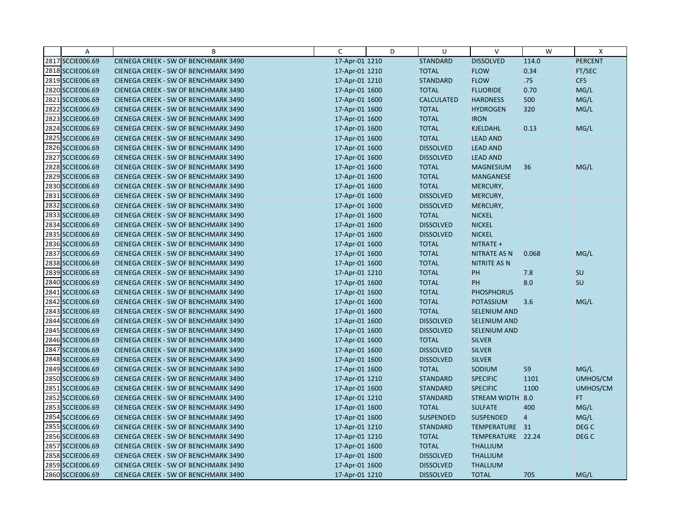| $\overline{A}$   | B                                    | C              | D | $\cup$            | $\vee$              | W              | X                |
|------------------|--------------------------------------|----------------|---|-------------------|---------------------|----------------|------------------|
| 2817 SCCIE006.69 | CIENEGA CREEK - SW OF BENCHMARK 3490 | 17-Apr-01 1210 |   | <b>STANDARD</b>   | <b>DISSOLVED</b>    | 114.0          | <b>PERCENT</b>   |
| 2818 SCCIE006.69 | CIENEGA CREEK - SW OF BENCHMARK 3490 | 17-Apr-01 1210 |   | <b>TOTAL</b>      | <b>FLOW</b>         | 0.34           | FT/SEC           |
| 2819 SCCIE006.69 | CIENEGA CREEK - SW OF BENCHMARK 3490 | 17-Apr-01 1210 |   | <b>STANDARD</b>   | <b>FLOW</b>         | .75            | <b>CFS</b>       |
| 2820 SCCIE006.69 | CIENEGA CREEK - SW OF BENCHMARK 3490 | 17-Apr-01 1600 |   | <b>TOTAL</b>      | <b>FLUORIDE</b>     | 0.70           | MG/L             |
| 2821 SCCIE006.69 | CIENEGA CREEK - SW OF BENCHMARK 3490 | 17-Apr-01 1600 |   | <b>CALCULATED</b> | <b>HARDNESS</b>     | 500            | MG/L             |
| 2822 SCCIE006.69 | CIENEGA CREEK - SW OF BENCHMARK 3490 | 17-Apr-01 1600 |   | <b>TOTAL</b>      | <b>HYDROGEN</b>     | 320            | MG/L             |
| 2823 SCCIE006.69 | CIENEGA CREEK - SW OF BENCHMARK 3490 | 17-Apr-01 1600 |   | <b>TOTAL</b>      | <b>IRON</b>         |                |                  |
| 2824 SCCIE006.69 | CIENEGA CREEK - SW OF BENCHMARK 3490 | 17-Apr-01 1600 |   | <b>TOTAL</b>      | <b>KJELDAHL</b>     | 0.13           | MG/L             |
| 2825 SCCIE006.69 | CIENEGA CREEK - SW OF BENCHMARK 3490 | 17-Apr-01 1600 |   | <b>TOTAL</b>      | <b>LEAD AND</b>     |                |                  |
| 2826 SCCIE006.69 | CIENEGA CREEK - SW OF BENCHMARK 3490 | 17-Apr-01 1600 |   | <b>DISSOLVED</b>  | <b>LEAD AND</b>     |                |                  |
| 2827 SCCIE006.69 | CIENEGA CREEK - SW OF BENCHMARK 3490 | 17-Apr-01 1600 |   | <b>DISSOLVED</b>  | <b>LEAD AND</b>     |                |                  |
| 2828 SCCIE006.69 | CIENEGA CREEK - SW OF BENCHMARK 3490 | 17-Apr-01 1600 |   | <b>TOTAL</b>      | <b>MAGNESIUM</b>    | 36             | MG/L             |
| 2829 SCCIE006.69 | CIENEGA CREEK - SW OF BENCHMARK 3490 | 17-Apr-01 1600 |   | <b>TOTAL</b>      | <b>MANGANESE</b>    |                |                  |
| 2830 SCCIE006.69 | CIENEGA CREEK - SW OF BENCHMARK 3490 | 17-Apr-01 1600 |   | <b>TOTAL</b>      | MERCURY,            |                |                  |
| 2831 SCCIE006.69 | CIENEGA CREEK - SW OF BENCHMARK 3490 | 17-Apr-01 1600 |   | <b>DISSOLVED</b>  | MERCURY,            |                |                  |
| 2832 SCCIE006.69 | CIENEGA CREEK - SW OF BENCHMARK 3490 | 17-Apr-01 1600 |   | <b>DISSOLVED</b>  | MERCURY,            |                |                  |
| 2833 SCCIE006.69 | CIENEGA CREEK - SW OF BENCHMARK 3490 | 17-Apr-01 1600 |   | <b>TOTAL</b>      | <b>NICKEL</b>       |                |                  |
| 2834 SCCIE006.69 | CIENEGA CREEK - SW OF BENCHMARK 3490 | 17-Apr-01 1600 |   | <b>DISSOLVED</b>  | <b>NICKEL</b>       |                |                  |
| 2835 SCCIE006.69 | CIENEGA CREEK - SW OF BENCHMARK 3490 | 17-Apr-01 1600 |   | <b>DISSOLVED</b>  | <b>NICKEL</b>       |                |                  |
| 2836 SCCIE006.69 | CIENEGA CREEK - SW OF BENCHMARK 3490 | 17-Apr-01 1600 |   | <b>TOTAL</b>      | NITRATE +           |                |                  |
| 2837 SCCIE006.69 | CIENEGA CREEK - SW OF BENCHMARK 3490 | 17-Apr-01 1600 |   | <b>TOTAL</b>      | <b>NITRATE AS N</b> | 0.068          | MG/L             |
| 2838 SCCIE006.69 | CIENEGA CREEK - SW OF BENCHMARK 3490 | 17-Apr-01 1600 |   | <b>TOTAL</b>      | <b>NITRITE AS N</b> |                |                  |
| 2839 SCCIE006.69 | CIENEGA CREEK - SW OF BENCHMARK 3490 | 17-Apr-01 1210 |   | <b>TOTAL</b>      | PH                  | 7.8            | SU               |
| 2840 SCCIE006.69 | CIENEGA CREEK - SW OF BENCHMARK 3490 | 17-Apr-01 1600 |   | <b>TOTAL</b>      | PH                  | 8.0            | <b>SU</b>        |
| 2841 SCCIE006.69 | CIENEGA CREEK - SW OF BENCHMARK 3490 | 17-Apr-01 1600 |   | <b>TOTAL</b>      | <b>PHOSPHORUS</b>   |                |                  |
| 2842 SCCIE006.69 | CIENEGA CREEK - SW OF BENCHMARK 3490 | 17-Apr-01 1600 |   | <b>TOTAL</b>      | <b>POTASSIUM</b>    | 3.6            | MG/L             |
| 2843 SCCIE006.69 | CIENEGA CREEK - SW OF BENCHMARK 3490 | 17-Apr-01 1600 |   | <b>TOTAL</b>      | SELENIUM AND        |                |                  |
| 2844 SCCIE006.69 | CIENEGA CREEK - SW OF BENCHMARK 3490 | 17-Apr-01 1600 |   | <b>DISSOLVED</b>  | SELENIUM AND        |                |                  |
| 2845 SCCIE006.69 | CIENEGA CREEK - SW OF BENCHMARK 3490 | 17-Apr-01 1600 |   | <b>DISSOLVED</b>  | SELENIUM AND        |                |                  |
| 2846 SCCIE006.69 | CIENEGA CREEK - SW OF BENCHMARK 3490 | 17-Apr-01 1600 |   | <b>TOTAL</b>      | <b>SILVER</b>       |                |                  |
| 2847 SCCIE006.69 | CIENEGA CREEK - SW OF BENCHMARK 3490 | 17-Apr-01 1600 |   | <b>DISSOLVED</b>  | <b>SILVER</b>       |                |                  |
| 2848 SCCIE006.69 | CIENEGA CREEK - SW OF BENCHMARK 3490 | 17-Apr-01 1600 |   | <b>DISSOLVED</b>  | <b>SILVER</b>       |                |                  |
| 2849 SCCIE006.69 | CIENEGA CREEK - SW OF BENCHMARK 3490 | 17-Apr-01 1600 |   | <b>TOTAL</b>      | SODIUM              | 59             | MG/L             |
| 2850 SCCIE006.69 | CIENEGA CREEK - SW OF BENCHMARK 3490 | 17-Apr-01 1210 |   | <b>STANDARD</b>   | <b>SPECIFIC</b>     | 1101           | UMHOS/CM         |
| 2851 SCCIE006.69 | CIENEGA CREEK - SW OF BENCHMARK 3490 | 17-Apr-01 1600 |   | <b>STANDARD</b>   | <b>SPECIFIC</b>     | 1100           | UMHOS/CM         |
| 2852 SCCIE006.69 | CIENEGA CREEK - SW OF BENCHMARK 3490 | 17-Apr-01 1210 |   | <b>STANDARD</b>   | STREAM WIDTH 8.0    |                | FT.              |
| 2853 SCCIE006.69 | CIENEGA CREEK - SW OF BENCHMARK 3490 | 17-Apr-01 1600 |   | <b>TOTAL</b>      | <b>SULFATE</b>      | 400            | MG/L             |
| 2854 SCCIE006.69 | CIENEGA CREEK - SW OF BENCHMARK 3490 | 17-Apr-01 1600 |   | <b>SUSPENDED</b>  | SUSPENDED           | $\overline{4}$ | MG/L             |
| 2855 SCCIE006.69 | CIENEGA CREEK - SW OF BENCHMARK 3490 | 17-Apr-01 1210 |   | <b>STANDARD</b>   | TEMPERATURE 31      |                | DEG <sub>C</sub> |
| 2856 SCCIE006.69 | CIENEGA CREEK - SW OF BENCHMARK 3490 | 17-Apr-01 1210 |   | <b>TOTAL</b>      | TEMPERATURE 22.24   |                | DEG <sub>C</sub> |
| 2857 SCCIE006.69 | CIENEGA CREEK - SW OF BENCHMARK 3490 | 17-Apr-01 1600 |   | <b>TOTAL</b>      | <b>THALLIUM</b>     |                |                  |
| 2858 SCCIE006.69 | CIENEGA CREEK - SW OF BENCHMARK 3490 | 17-Apr-01 1600 |   | <b>DISSOLVED</b>  | <b>THALLIUM</b>     |                |                  |
| 2859 SCCIE006.69 | CIENEGA CREEK - SW OF BENCHMARK 3490 | 17-Apr-01 1600 |   | <b>DISSOLVED</b>  | <b>THALLIUM</b>     |                |                  |
| 2860 SCCIE006.69 | CIENEGA CREEK - SW OF BENCHMARK 3490 | 17-Apr-01 1210 |   | <b>DISSOLVED</b>  | <b>TOTAL</b>        | 705            | MG/L             |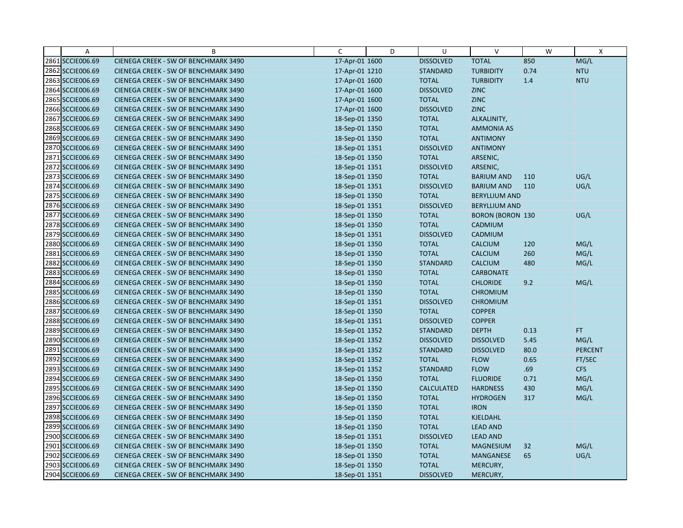| Α                | B                                    | C              | D | U                 | $\vee$                  | W    | $\mathsf{X}$   |
|------------------|--------------------------------------|----------------|---|-------------------|-------------------------|------|----------------|
| 2861 SCCIE006.69 | CIENEGA CREEK - SW OF BENCHMARK 3490 | 17-Apr-01 1600 |   | <b>DISSOLVED</b>  | <b>TOTAL</b>            | 850  | MG/L           |
| 2862 SCCIE006.69 | CIENEGA CREEK - SW OF BENCHMARK 3490 | 17-Apr-01 1210 |   | <b>STANDARD</b>   | <b>TURBIDITY</b>        | 0.74 | <b>NTU</b>     |
| 2863 SCCIE006.69 | CIENEGA CREEK - SW OF BENCHMARK 3490 | 17-Apr-01 1600 |   | <b>TOTAL</b>      | <b>TURBIDITY</b>        | 1.4  | <b>NTU</b>     |
| 2864 SCCIE006.69 | CIENEGA CREEK - SW OF BENCHMARK 3490 | 17-Apr-01 1600 |   | <b>DISSOLVED</b>  | <b>ZINC</b>             |      |                |
| 2865 SCCIE006.69 | CIENEGA CREEK - SW OF BENCHMARK 3490 | 17-Apr-01 1600 |   | <b>TOTAL</b>      | <b>ZINC</b>             |      |                |
| 2866 SCCIE006.69 | CIENEGA CREEK - SW OF BENCHMARK 3490 | 17-Apr-01 1600 |   | <b>DISSOLVED</b>  | <b>ZINC</b>             |      |                |
| 2867 SCCIE006.69 | CIENEGA CREEK - SW OF BENCHMARK 3490 | 18-Sep-01 1350 |   | <b>TOTAL</b>      | ALKALINITY,             |      |                |
| 2868 SCCIE006.69 | CIENEGA CREEK - SW OF BENCHMARK 3490 | 18-Sep-01 1350 |   | <b>TOTAL</b>      | <b>AMMONIA AS</b>       |      |                |
| 2869 SCCIE006.69 | CIENEGA CREEK - SW OF BENCHMARK 3490 | 18-Sep-01 1350 |   | <b>TOTAL</b>      | <b>ANTIMONY</b>         |      |                |
| 2870 SCCIE006.69 | CIENEGA CREEK - SW OF BENCHMARK 3490 | 18-Sep-01 1351 |   | <b>DISSOLVED</b>  | <b>ANTIMONY</b>         |      |                |
| 2871 SCCIE006.69 | CIENEGA CREEK - SW OF BENCHMARK 3490 | 18-Sep-01 1350 |   | <b>TOTAL</b>      | ARSENIC,                |      |                |
| 2872 SCCIE006.69 | CIENEGA CREEK - SW OF BENCHMARK 3490 | 18-Sep-01 1351 |   | <b>DISSOLVED</b>  | ARSENIC,                |      |                |
| 2873 SCCIE006.69 | CIENEGA CREEK - SW OF BENCHMARK 3490 | 18-Sep-01 1350 |   | <b>TOTAL</b>      | <b>BARIUM AND</b>       | 110  | UG/L           |
| 2874 SCCIE006.69 | CIENEGA CREEK - SW OF BENCHMARK 3490 | 18-Sep-01 1351 |   | <b>DISSOLVED</b>  | <b>BARIUM AND</b>       | 110  | UG/L           |
| 2875 SCCIE006.69 | CIENEGA CREEK - SW OF BENCHMARK 3490 | 18-Sep-01 1350 |   | <b>TOTAL</b>      | <b>BERYLLIUM AND</b>    |      |                |
| 2876 SCCIE006.69 | CIENEGA CREEK - SW OF BENCHMARK 3490 | 18-Sep-01 1351 |   | <b>DISSOLVED</b>  | <b>BERYLLIUM AND</b>    |      |                |
| 2877 SCCIE006.69 | CIENEGA CREEK - SW OF BENCHMARK 3490 | 18-Sep-01 1350 |   | <b>TOTAL</b>      | <b>BORON (BORON 130</b> |      | UG/L           |
| 2878 SCCIE006.69 | CIENEGA CREEK - SW OF BENCHMARK 3490 | 18-Sep-01 1350 |   | <b>TOTAL</b>      | CADMIUM                 |      |                |
| 2879 SCCIE006.69 | CIENEGA CREEK - SW OF BENCHMARK 3490 | 18-Sep-01 1351 |   | <b>DISSOLVED</b>  | CADMIUM                 |      |                |
| 2880 SCCIE006.69 | CIENEGA CREEK - SW OF BENCHMARK 3490 | 18-Sep-01 1350 |   | <b>TOTAL</b>      | <b>CALCIUM</b>          | 120  | MG/L           |
| 2881 SCCIE006.69 | CIENEGA CREEK - SW OF BENCHMARK 3490 | 18-Sep-01 1350 |   | <b>TOTAL</b>      | <b>CALCIUM</b>          | 260  | MG/L           |
| 2882 SCCIE006.69 | CIENEGA CREEK - SW OF BENCHMARK 3490 | 18-Sep-01 1350 |   | <b>STANDARD</b>   | <b>CALCIUM</b>          | 480  | MG/L           |
| 2883 SCCIE006.69 | CIENEGA CREEK - SW OF BENCHMARK 3490 | 18-Sep-01 1350 |   | <b>TOTAL</b>      | <b>CARBONATE</b>        |      |                |
| 2884 SCCIE006.69 | CIENEGA CREEK - SW OF BENCHMARK 3490 | 18-Sep-01 1350 |   | <b>TOTAL</b>      | <b>CHLORIDE</b>         | 9.2  | MG/L           |
| 2885 SCCIE006.69 | CIENEGA CREEK - SW OF BENCHMARK 3490 | 18-Sep-01 1350 |   | <b>TOTAL</b>      | <b>CHROMIUM</b>         |      |                |
| 2886 SCCIE006.69 | CIENEGA CREEK - SW OF BENCHMARK 3490 | 18-Sep-01 1351 |   | <b>DISSOLVED</b>  | <b>CHROMIUM</b>         |      |                |
| 2887 SCCIE006.69 | CIENEGA CREEK - SW OF BENCHMARK 3490 | 18-Sep-01 1350 |   | <b>TOTAL</b>      | <b>COPPER</b>           |      |                |
| 2888 SCCIE006.69 | CIENEGA CREEK - SW OF BENCHMARK 3490 | 18-Sep-01 1351 |   | <b>DISSOLVED</b>  | <b>COPPER</b>           |      |                |
| 2889 SCCIE006.69 | CIENEGA CREEK - SW OF BENCHMARK 3490 | 18-Sep-01 1352 |   | <b>STANDARD</b>   | <b>DEPTH</b>            | 0.13 | FT.            |
| 2890 SCCIE006.69 | CIENEGA CREEK - SW OF BENCHMARK 3490 | 18-Sep-01 1352 |   | <b>DISSOLVED</b>  | <b>DISSOLVED</b>        | 5.45 | MG/L           |
| 2891 SCCIE006.69 | CIENEGA CREEK - SW OF BENCHMARK 3490 | 18-Sep-01 1352 |   | <b>STANDARD</b>   | <b>DISSOLVED</b>        | 80.0 | <b>PERCENT</b> |
| 2892 SCCIE006.69 | CIENEGA CREEK - SW OF BENCHMARK 3490 | 18-Sep-01 1352 |   | <b>TOTAL</b>      | <b>FLOW</b>             | 0.65 | FT/SEC         |
| 2893 SCCIE006.69 | CIENEGA CREEK - SW OF BENCHMARK 3490 | 18-Sep-01 1352 |   | <b>STANDARD</b>   | <b>FLOW</b>             | .69  | <b>CFS</b>     |
| 2894 SCCIE006.69 | CIENEGA CREEK - SW OF BENCHMARK 3490 | 18-Sep-01 1350 |   | <b>TOTAL</b>      | <b>FLUORIDE</b>         | 0.71 | MG/L           |
| 2895 SCCIE006.69 | CIENEGA CREEK - SW OF BENCHMARK 3490 | 18-Sep-01 1350 |   | <b>CALCULATED</b> | <b>HARDNESS</b>         | 430  | MG/L           |
| 2896 SCCIE006.69 | CIENEGA CREEK - SW OF BENCHMARK 3490 | 18-Sep-01 1350 |   | <b>TOTAL</b>      | <b>HYDROGEN</b>         | 317  | MG/L           |
| 2897 SCCIE006.69 | CIENEGA CREEK - SW OF BENCHMARK 3490 | 18-Sep-01 1350 |   | <b>TOTAL</b>      | <b>IRON</b>             |      |                |
| 2898 SCCIE006.69 | CIENEGA CREEK - SW OF BENCHMARK 3490 | 18-Sep-01 1350 |   | <b>TOTAL</b>      | KJELDAHL                |      |                |
| 2899 SCCIE006.69 | CIENEGA CREEK - SW OF BENCHMARK 3490 | 18-Sep-01 1350 |   | <b>TOTAL</b>      | <b>LEAD AND</b>         |      |                |
| 2900 SCCIE006.69 | CIENEGA CREEK - SW OF BENCHMARK 3490 | 18-Sep-01 1351 |   | <b>DISSOLVED</b>  | <b>LEAD AND</b>         |      |                |
| 2901 SCCIE006.69 | CIENEGA CREEK - SW OF BENCHMARK 3490 | 18-Sep-01 1350 |   | <b>TOTAL</b>      | <b>MAGNESIUM</b>        | 32   | MG/L           |
| 2902 SCCIE006.69 | CIENEGA CREEK - SW OF BENCHMARK 3490 | 18-Sep-01 1350 |   | <b>TOTAL</b>      | MANGANESE               | 65   | UG/L           |
| 2903 SCCIE006.69 | CIENEGA CREEK - SW OF BENCHMARK 3490 | 18-Sep-01 1350 |   | <b>TOTAL</b>      | MERCURY,                |      |                |
| 2904 SCCIE006.69 | CIENEGA CREEK - SW OF BENCHMARK 3490 | 18-Sep-01 1351 |   | <b>DISSOLVED</b>  | MERCURY,                |      |                |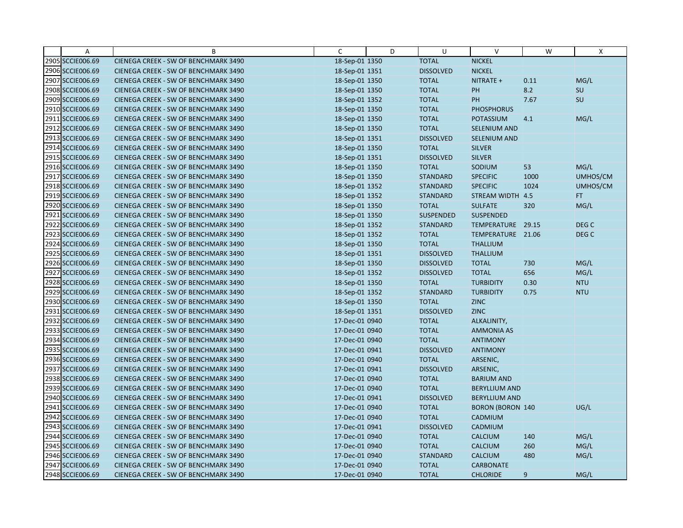| Α                | B                                    | C              | D | U                | $\vee$                  | W    | X                |
|------------------|--------------------------------------|----------------|---|------------------|-------------------------|------|------------------|
| 2905 SCCIE006.69 | CIENEGA CREEK - SW OF BENCHMARK 3490 | 18-Sep-01 1350 |   | <b>TOTAL</b>     | <b>NICKEL</b>           |      |                  |
| 2906 SCCIE006.69 | CIENEGA CREEK - SW OF BENCHMARK 3490 | 18-Sep-01 1351 |   | <b>DISSOLVED</b> | <b>NICKEL</b>           |      |                  |
| 2907 SCCIE006.69 | CIENEGA CREEK - SW OF BENCHMARK 3490 | 18-Sep-01 1350 |   | <b>TOTAL</b>     | NITRATE +               | 0.11 | MG/L             |
| 2908 SCCIE006.69 | CIENEGA CREEK - SW OF BENCHMARK 3490 | 18-Sep-01 1350 |   | <b>TOTAL</b>     | PH                      | 8.2  | SU               |
| 2909 SCCIE006.69 | CIENEGA CREEK - SW OF BENCHMARK 3490 | 18-Sep-01 1352 |   | <b>TOTAL</b>     | PH                      | 7.67 | SU               |
| 2910 SCCIE006.69 | CIENEGA CREEK - SW OF BENCHMARK 3490 | 18-Sep-01 1350 |   | <b>TOTAL</b>     | <b>PHOSPHORUS</b>       |      |                  |
| 2911 SCCIE006.69 | CIENEGA CREEK - SW OF BENCHMARK 3490 | 18-Sep-01 1350 |   | <b>TOTAL</b>     | <b>POTASSIUM</b>        | 4.1  | MG/L             |
| 2912 SCCIE006.69 | CIENEGA CREEK - SW OF BENCHMARK 3490 | 18-Sep-01 1350 |   | <b>TOTAL</b>     | <b>SELENIUM AND</b>     |      |                  |
| 2913 SCCIE006.69 | CIENEGA CREEK - SW OF BENCHMARK 3490 | 18-Sep-01 1351 |   | <b>DISSOLVED</b> | SELENIUM AND            |      |                  |
| 2914 SCCIE006.69 | CIENEGA CREEK - SW OF BENCHMARK 3490 | 18-Sep-01 1350 |   | <b>TOTAL</b>     | <b>SILVER</b>           |      |                  |
| 2915 SCCIE006.69 | CIENEGA CREEK - SW OF BENCHMARK 3490 | 18-Sep-01 1351 |   | <b>DISSOLVED</b> | <b>SILVER</b>           |      |                  |
| 2916 SCCIE006.69 | CIENEGA CREEK - SW OF BENCHMARK 3490 | 18-Sep-01 1350 |   | <b>TOTAL</b>     | SODIUM                  | 53   | MG/L             |
| 2917 SCCIE006.69 | CIENEGA CREEK - SW OF BENCHMARK 3490 | 18-Sep-01 1350 |   | <b>STANDARD</b>  | <b>SPECIFIC</b>         | 1000 | UMHOS/CM         |
| 2918 SCCIE006.69 | CIENEGA CREEK - SW OF BENCHMARK 3490 | 18-Sep-01 1352 |   | <b>STANDARD</b>  | <b>SPECIFIC</b>         | 1024 | UMHOS/CM         |
| 2919 SCCIE006.69 | CIENEGA CREEK - SW OF BENCHMARK 3490 | 18-Sep-01 1352 |   | <b>STANDARD</b>  | STREAM WIDTH 4.5        |      | FT.              |
| 2920 SCCIE006.69 | CIENEGA CREEK - SW OF BENCHMARK 3490 | 18-Sep-01 1350 |   | <b>TOTAL</b>     | <b>SULFATE</b>          | 320  | MG/L             |
| 2921 SCCIE006.69 | CIENEGA CREEK - SW OF BENCHMARK 3490 | 18-Sep-01 1350 |   | SUSPENDED        | <b>SUSPENDED</b>        |      |                  |
| 2922 SCCIE006.69 | CIENEGA CREEK - SW OF BENCHMARK 3490 | 18-Sep-01 1352 |   | <b>STANDARD</b>  | TEMPERATURE 29.15       |      | DEG <sub>C</sub> |
| 2923 SCCIE006.69 | CIENEGA CREEK - SW OF BENCHMARK 3490 | 18-Sep-01 1352 |   | <b>TOTAL</b>     | TEMPERATURE 21.06       |      | DEG C            |
| 2924 SCCIE006.69 | CIENEGA CREEK - SW OF BENCHMARK 3490 | 18-Sep-01 1350 |   | <b>TOTAL</b>     | <b>THALLIUM</b>         |      |                  |
| 2925 SCCIE006.69 | CIENEGA CREEK - SW OF BENCHMARK 3490 | 18-Sep-01 1351 |   | <b>DISSOLVED</b> | <b>THALLIUM</b>         |      |                  |
| 2926 SCCIE006.69 | CIENEGA CREEK - SW OF BENCHMARK 3490 | 18-Sep-01 1350 |   | <b>DISSOLVED</b> | <b>TOTAL</b>            | 730  | MG/L             |
| 2927 SCCIE006.69 | CIENEGA CREEK - SW OF BENCHMARK 3490 | 18-Sep-01 1352 |   | <b>DISSOLVED</b> | <b>TOTAL</b>            | 656  | MG/L             |
| 2928 SCCIE006.69 | CIENEGA CREEK - SW OF BENCHMARK 3490 | 18-Sep-01 1350 |   | <b>TOTAL</b>     | <b>TURBIDITY</b>        | 0.30 | <b>NTU</b>       |
| 2929 SCCIE006.69 | CIENEGA CREEK - SW OF BENCHMARK 3490 | 18-Sep-01 1352 |   | <b>STANDARD</b>  | <b>TURBIDITY</b>        | 0.75 | <b>NTU</b>       |
| 2930 SCCIE006.69 | CIENEGA CREEK - SW OF BENCHMARK 3490 | 18-Sep-01 1350 |   | <b>TOTAL</b>     | <b>ZINC</b>             |      |                  |
| 2931 SCCIE006.69 | CIENEGA CREEK - SW OF BENCHMARK 3490 | 18-Sep-01 1351 |   | <b>DISSOLVED</b> | <b>ZINC</b>             |      |                  |
| 2932 SCCIE006.69 | CIENEGA CREEK - SW OF BENCHMARK 3490 | 17-Dec-01 0940 |   | <b>TOTAL</b>     | ALKALINITY,             |      |                  |
| 2933 SCCIE006.69 | CIENEGA CREEK - SW OF BENCHMARK 3490 | 17-Dec-01 0940 |   | <b>TOTAL</b>     | <b>AMMONIA AS</b>       |      |                  |
| 2934 SCCIE006.69 | CIENEGA CREEK - SW OF BENCHMARK 3490 | 17-Dec-01 0940 |   | <b>TOTAL</b>     | <b>ANTIMONY</b>         |      |                  |
| 2935 SCCIE006.69 | CIENEGA CREEK - SW OF BENCHMARK 3490 | 17-Dec-01 0941 |   | <b>DISSOLVED</b> | <b>ANTIMONY</b>         |      |                  |
| 2936 SCCIE006.69 | CIENEGA CREEK - SW OF BENCHMARK 3490 | 17-Dec-01 0940 |   | <b>TOTAL</b>     | ARSENIC,                |      |                  |
| 2937 SCCIE006.69 | CIENEGA CREEK - SW OF BENCHMARK 3490 | 17-Dec-01 0941 |   | <b>DISSOLVED</b> | ARSENIC,                |      |                  |
| 2938 SCCIE006.69 | CIENEGA CREEK - SW OF BENCHMARK 3490 | 17-Dec-01 0940 |   | <b>TOTAL</b>     | <b>BARIUM AND</b>       |      |                  |
| 2939 SCCIE006.69 | CIENEGA CREEK - SW OF BENCHMARK 3490 | 17-Dec-01 0940 |   | <b>TOTAL</b>     | <b>BERYLLIUM AND</b>    |      |                  |
| 2940 SCCIE006.69 | CIENEGA CREEK - SW OF BENCHMARK 3490 | 17-Dec-01 0941 |   | <b>DISSOLVED</b> | <b>BERYLLIUM AND</b>    |      |                  |
| 2941 SCCIE006.69 | CIENEGA CREEK - SW OF BENCHMARK 3490 | 17-Dec-01 0940 |   | <b>TOTAL</b>     | <b>BORON (BORON 140</b> |      | UG/L             |
| 2942 SCCIE006.69 | CIENEGA CREEK - SW OF BENCHMARK 3490 | 17-Dec-01 0940 |   | <b>TOTAL</b>     | CADMIUM                 |      |                  |
| 2943 SCCIE006.69 | CIENEGA CREEK - SW OF BENCHMARK 3490 | 17-Dec-01 0941 |   | <b>DISSOLVED</b> | CADMIUM                 |      |                  |
| 2944 SCCIE006.69 | CIENEGA CREEK - SW OF BENCHMARK 3490 | 17-Dec-01 0940 |   | <b>TOTAL</b>     | <b>CALCIUM</b>          | 140  | MG/L             |
| 2945 SCCIE006.69 | CIENEGA CREEK - SW OF BENCHMARK 3490 | 17-Dec-01 0940 |   | <b>TOTAL</b>     | <b>CALCIUM</b>          | 260  | MG/L             |
| 2946 SCCIE006.69 | CIENEGA CREEK - SW OF BENCHMARK 3490 | 17-Dec-01 0940 |   | <b>STANDARD</b>  | <b>CALCIUM</b>          | 480  | MG/L             |
| 2947 SCCIE006.69 | CIENEGA CREEK - SW OF BENCHMARK 3490 | 17-Dec-01 0940 |   | <b>TOTAL</b>     | <b>CARBONATE</b>        |      |                  |
| 2948 SCCIE006.69 | CIENEGA CREEK - SW OF BENCHMARK 3490 | 17-Dec-01 0940 |   | <b>TOTAL</b>     | <b>CHLORIDE</b>         | 9    | MG/L             |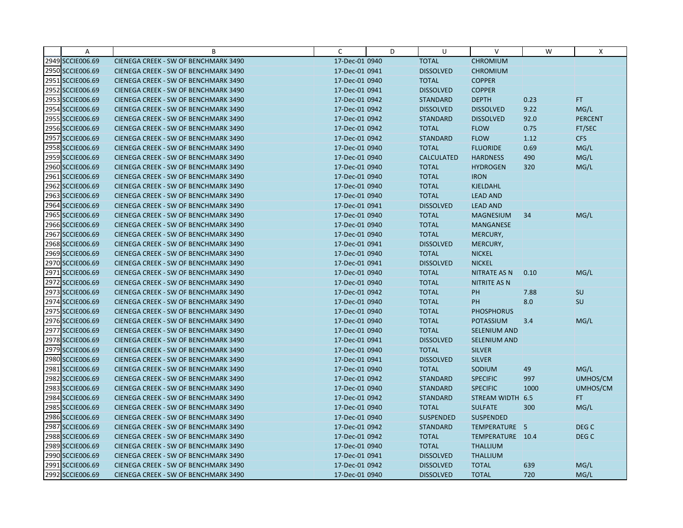| Α                | B                                    | C              | D | U                 | V                   | W    | X                |
|------------------|--------------------------------------|----------------|---|-------------------|---------------------|------|------------------|
| 2949 SCCIE006.69 | CIENEGA CREEK - SW OF BENCHMARK 3490 | 17-Dec-01 0940 |   | <b>TOTAL</b>      | <b>CHROMIUM</b>     |      |                  |
| 2950 SCCIE006.69 | CIENEGA CREEK - SW OF BENCHMARK 3490 | 17-Dec-01 0941 |   | <b>DISSOLVED</b>  | <b>CHROMIUM</b>     |      |                  |
| 2951 SCCIE006.69 | CIENEGA CREEK - SW OF BENCHMARK 3490 | 17-Dec-01 0940 |   | <b>TOTAL</b>      | <b>COPPER</b>       |      |                  |
| 2952 SCCIE006.69 | CIENEGA CREEK - SW OF BENCHMARK 3490 | 17-Dec-01 0941 |   | <b>DISSOLVED</b>  | <b>COPPER</b>       |      |                  |
| 2953 SCCIE006.69 | CIENEGA CREEK - SW OF BENCHMARK 3490 | 17-Dec-01 0942 |   | <b>STANDARD</b>   | <b>DEPTH</b>        | 0.23 | <b>FT</b>        |
| 2954 SCCIE006.69 | CIENEGA CREEK - SW OF BENCHMARK 3490 | 17-Dec-01 0942 |   | <b>DISSOLVED</b>  | <b>DISSOLVED</b>    | 9.22 | MG/L             |
| 2955 SCCIE006.69 | CIENEGA CREEK - SW OF BENCHMARK 3490 | 17-Dec-01 0942 |   | <b>STANDARD</b>   | <b>DISSOLVED</b>    | 92.0 | <b>PERCENT</b>   |
| 2956 SCCIE006.69 | CIENEGA CREEK - SW OF BENCHMARK 3490 | 17-Dec-01 0942 |   | <b>TOTAL</b>      | <b>FLOW</b>         | 0.75 | FT/SEC           |
| 2957 SCCIE006.69 | CIENEGA CREEK - SW OF BENCHMARK 3490 | 17-Dec-01 0942 |   | <b>STANDARD</b>   | <b>FLOW</b>         | 1.12 | <b>CFS</b>       |
| 2958 SCCIE006.69 | CIENEGA CREEK - SW OF BENCHMARK 3490 | 17-Dec-01 0940 |   | <b>TOTAL</b>      | <b>FLUORIDE</b>     | 0.69 | MG/L             |
| 2959 SCCIE006.69 | CIENEGA CREEK - SW OF BENCHMARK 3490 | 17-Dec-01 0940 |   | <b>CALCULATED</b> | <b>HARDNESS</b>     | 490  | MG/L             |
| 2960 SCCIE006.69 | CIENEGA CREEK - SW OF BENCHMARK 3490 | 17-Dec-01 0940 |   | <b>TOTAL</b>      | <b>HYDROGEN</b>     | 320  | MG/L             |
| 2961 SCCIE006.69 | CIENEGA CREEK - SW OF BENCHMARK 3490 | 17-Dec-01 0940 |   | <b>TOTAL</b>      | <b>IRON</b>         |      |                  |
| 2962 SCCIE006.69 | CIENEGA CREEK - SW OF BENCHMARK 3490 | 17-Dec-01 0940 |   | <b>TOTAL</b>      | KJELDAHL            |      |                  |
| 2963 SCCIE006.69 | CIENEGA CREEK - SW OF BENCHMARK 3490 | 17-Dec-01 0940 |   | <b>TOTAL</b>      | <b>LEAD AND</b>     |      |                  |
| 2964 SCCIE006.69 | CIENEGA CREEK - SW OF BENCHMARK 3490 | 17-Dec-01 0941 |   | <b>DISSOLVED</b>  | <b>LEAD AND</b>     |      |                  |
| 2965 SCCIE006.69 | CIENEGA CREEK - SW OF BENCHMARK 3490 | 17-Dec-01 0940 |   | <b>TOTAL</b>      | <b>MAGNESIUM</b>    | 34   | MG/L             |
| 2966 SCCIE006.69 | CIENEGA CREEK - SW OF BENCHMARK 3490 | 17-Dec-01 0940 |   | <b>TOTAL</b>      | <b>MANGANESE</b>    |      |                  |
| 2967 SCCIE006.69 | CIENEGA CREEK - SW OF BENCHMARK 3490 | 17-Dec-01 0940 |   | <b>TOTAL</b>      | MERCURY,            |      |                  |
| 2968 SCCIE006.69 | CIENEGA CREEK - SW OF BENCHMARK 3490 | 17-Dec-01 0941 |   | <b>DISSOLVED</b>  | MERCURY,            |      |                  |
| 2969 SCCIE006.69 | CIENEGA CREEK - SW OF BENCHMARK 3490 | 17-Dec-01 0940 |   | <b>TOTAL</b>      | <b>NICKEL</b>       |      |                  |
| 2970 SCCIE006.69 | CIENEGA CREEK - SW OF BENCHMARK 3490 | 17-Dec-01 0941 |   | <b>DISSOLVED</b>  | <b>NICKEL</b>       |      |                  |
| 2971 SCCIE006.69 | CIENEGA CREEK - SW OF BENCHMARK 3490 | 17-Dec-01 0940 |   | <b>TOTAL</b>      | NITRATE AS N        | 0.10 | MG/L             |
| 2972 SCCIE006.69 | CIENEGA CREEK - SW OF BENCHMARK 3490 | 17-Dec-01 0940 |   | <b>TOTAL</b>      | <b>NITRITE AS N</b> |      |                  |
| 2973 SCCIE006.69 | CIENEGA CREEK - SW OF BENCHMARK 3490 | 17-Dec-01 0942 |   | <b>TOTAL</b>      | PH                  | 7.88 | <b>SU</b>        |
| 2974 SCCIE006.69 | CIENEGA CREEK - SW OF BENCHMARK 3490 | 17-Dec-01 0940 |   | <b>TOTAL</b>      | <b>PH</b>           | 8.0  | SU               |
| 2975 SCCIE006.69 | CIENEGA CREEK - SW OF BENCHMARK 3490 | 17-Dec-01 0940 |   | <b>TOTAL</b>      | <b>PHOSPHORUS</b>   |      |                  |
| 2976 SCCIE006.69 | CIENEGA CREEK - SW OF BENCHMARK 3490 | 17-Dec-01 0940 |   | <b>TOTAL</b>      | <b>POTASSIUM</b>    | 3.4  | MG/L             |
| 2977 SCCIE006.69 | CIENEGA CREEK - SW OF BENCHMARK 3490 | 17-Dec-01 0940 |   | <b>TOTAL</b>      | <b>SELENIUM AND</b> |      |                  |
| 2978 SCCIE006.69 | CIENEGA CREEK - SW OF BENCHMARK 3490 | 17-Dec-01 0941 |   | <b>DISSOLVED</b>  | SELENIUM AND        |      |                  |
| 2979 SCCIE006.69 | CIENEGA CREEK - SW OF BENCHMARK 3490 | 17-Dec-01 0940 |   | <b>TOTAL</b>      | <b>SILVER</b>       |      |                  |
| 2980 SCCIE006.69 | CIENEGA CREEK - SW OF BENCHMARK 3490 | 17-Dec-01 0941 |   | <b>DISSOLVED</b>  | <b>SILVER</b>       |      |                  |
| 2981 SCCIE006.69 | CIENEGA CREEK - SW OF BENCHMARK 3490 | 17-Dec-01 0940 |   | <b>TOTAL</b>      | SODIUM              | 49   | MG/L             |
| 2982 SCCIE006.69 | CIENEGA CREEK - SW OF BENCHMARK 3490 | 17-Dec-01 0942 |   | <b>STANDARD</b>   | <b>SPECIFIC</b>     | 997  | UMHOS/CM         |
| 2983 SCCIE006.69 | CIENEGA CREEK - SW OF BENCHMARK 3490 | 17-Dec-01 0940 |   | <b>STANDARD</b>   | <b>SPECIFIC</b>     | 1000 | UMHOS/CM         |
| 2984 SCCIE006.69 | CIENEGA CREEK - SW OF BENCHMARK 3490 | 17-Dec-01 0942 |   | <b>STANDARD</b>   | STREAM WIDTH 6.5    |      | FT.              |
| 2985 SCCIE006.69 | CIENEGA CREEK - SW OF BENCHMARK 3490 | 17-Dec-01 0940 |   | <b>TOTAL</b>      | <b>SULFATE</b>      | 300  | MG/L             |
| 2986 SCCIE006.69 | CIENEGA CREEK - SW OF BENCHMARK 3490 | 17-Dec-01 0940 |   | <b>SUSPENDED</b>  | <b>SUSPENDED</b>    |      |                  |
| 2987 SCCIE006.69 | CIENEGA CREEK - SW OF BENCHMARK 3490 | 17-Dec-01 0942 |   | <b>STANDARD</b>   | TEMPERATURE 5       |      | DEG C            |
| 2988 SCCIE006.69 | CIENEGA CREEK - SW OF BENCHMARK 3490 | 17-Dec-01 0942 |   | <b>TOTAL</b>      | TEMPERATURE 10.4    |      | DEG <sub>C</sub> |
| 2989 SCCIE006.69 | CIENEGA CREEK - SW OF BENCHMARK 3490 | 17-Dec-01 0940 |   | <b>TOTAL</b>      | <b>THALLIUM</b>     |      |                  |
| 2990 SCCIE006.69 | CIENEGA CREEK - SW OF BENCHMARK 3490 | 17-Dec-01 0941 |   | <b>DISSOLVED</b>  | <b>THALLIUM</b>     |      |                  |
| 2991 SCCIE006.69 | CIENEGA CREEK - SW OF BENCHMARK 3490 | 17-Dec-01 0942 |   | <b>DISSOLVED</b>  | <b>TOTAL</b>        | 639  | MG/L             |
| 2992 SCCIE006.69 | CIENEGA CREEK - SW OF BENCHMARK 3490 | 17-Dec-01 0940 |   | <b>DISSOLVED</b>  | <b>TOTAL</b>        | 720  | MG/L             |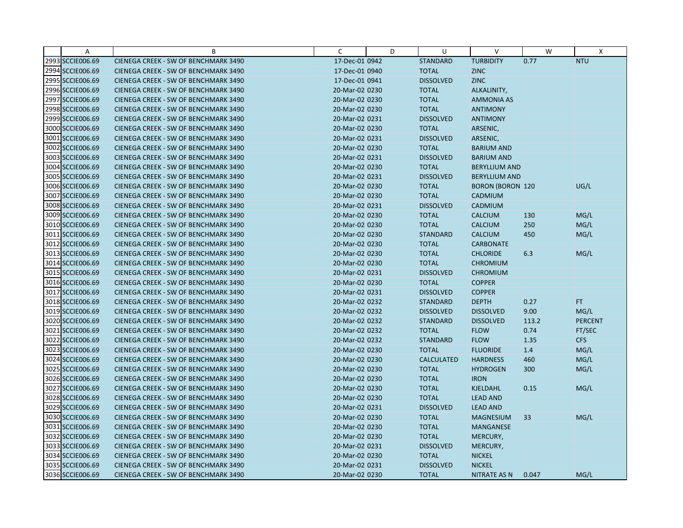| Α                | B                                    | C              | D | U                 | $\vee$                  | W     | Χ              |
|------------------|--------------------------------------|----------------|---|-------------------|-------------------------|-------|----------------|
| 2993 SCCIE006.69 | CIENEGA CREEK - SW OF BENCHMARK 3490 | 17-Dec-01 0942 |   | <b>STANDARD</b>   | <b>TURBIDITY</b>        | 0.77  | <b>NTU</b>     |
| 2994 SCCIE006.69 | CIENEGA CREEK - SW OF BENCHMARK 3490 | 17-Dec-01 0940 |   | <b>TOTAL</b>      | <b>ZINC</b>             |       |                |
| 2995 SCCIE006.69 | CIENEGA CREEK - SW OF BENCHMARK 3490 | 17-Dec-01 0941 |   | <b>DISSOLVED</b>  | <b>ZINC</b>             |       |                |
| 2996 SCCIE006.69 | CIENEGA CREEK - SW OF BENCHMARK 3490 | 20-Mar-02 0230 |   | <b>TOTAL</b>      | ALKALINITY,             |       |                |
| 2997 SCCIE006.69 | CIENEGA CREEK - SW OF BENCHMARK 3490 | 20-Mar-02 0230 |   | <b>TOTAL</b>      | <b>AMMONIA AS</b>       |       |                |
| 2998 SCCIE006.69 | CIENEGA CREEK - SW OF BENCHMARK 3490 | 20-Mar-02 0230 |   | <b>TOTAL</b>      | <b>ANTIMONY</b>         |       |                |
| 2999 SCCIE006.69 | CIENEGA CREEK - SW OF BENCHMARK 3490 | 20-Mar-02 0231 |   | <b>DISSOLVED</b>  | <b>ANTIMONY</b>         |       |                |
| 3000 SCCIE006.69 | CIENEGA CREEK - SW OF BENCHMARK 3490 | 20-Mar-02 0230 |   | <b>TOTAL</b>      | ARSENIC,                |       |                |
| 3001 SCCIE006.69 | CIENEGA CREEK - SW OF BENCHMARK 3490 | 20-Mar-02 0231 |   | <b>DISSOLVED</b>  | ARSENIC,                |       |                |
| 3002 SCCIE006.69 | CIENEGA CREEK - SW OF BENCHMARK 3490 | 20-Mar-02 0230 |   | <b>TOTAL</b>      | <b>BARIUM AND</b>       |       |                |
| 3003 SCCIE006.69 | CIENEGA CREEK - SW OF BENCHMARK 3490 | 20-Mar-02 0231 |   | <b>DISSOLVED</b>  | <b>BARIUM AND</b>       |       |                |
| 3004 SCCIE006.69 | CIENEGA CREEK - SW OF BENCHMARK 3490 | 20-Mar-02 0230 |   | <b>TOTAL</b>      | <b>BERYLLIUM AND</b>    |       |                |
| 3005 SCCIE006.69 | CIENEGA CREEK - SW OF BENCHMARK 3490 | 20-Mar-02 0231 |   | <b>DISSOLVED</b>  | <b>BERYLLIUM AND</b>    |       |                |
| 3006 SCCIE006.69 | CIENEGA CREEK - SW OF BENCHMARK 3490 | 20-Mar-02 0230 |   | <b>TOTAL</b>      | <b>BORON (BORON 120</b> |       | UG/L           |
| 3007 SCCIE006.69 | CIENEGA CREEK - SW OF BENCHMARK 3490 | 20-Mar-02 0230 |   | <b>TOTAL</b>      | CADMIUM                 |       |                |
| 3008 SCCIE006.69 | CIENEGA CREEK - SW OF BENCHMARK 3490 | 20-Mar-02 0231 |   | <b>DISSOLVED</b>  | CADMIUM                 |       |                |
| 3009 SCCIE006.69 | CIENEGA CREEK - SW OF BENCHMARK 3490 | 20-Mar-02 0230 |   | <b>TOTAL</b>      | <b>CALCIUM</b>          | 130   | MG/L           |
| 3010 SCCIE006.69 | CIENEGA CREEK - SW OF BENCHMARK 3490 | 20-Mar-02 0230 |   | <b>TOTAL</b>      | <b>CALCIUM</b>          | 250   | MG/L           |
| 3011 SCCIE006.69 | CIENEGA CREEK - SW OF BENCHMARK 3490 | 20-Mar-02 0230 |   | <b>STANDARD</b>   | <b>CALCIUM</b>          | 450   | MG/L           |
| 3012 SCCIE006.69 | CIENEGA CREEK - SW OF BENCHMARK 3490 | 20-Mar-02 0230 |   | <b>TOTAL</b>      | <b>CARBONATE</b>        |       |                |
| 3013 SCCIE006.69 | CIENEGA CREEK - SW OF BENCHMARK 3490 | 20-Mar-02 0230 |   | <b>TOTAL</b>      | <b>CHLORIDE</b>         | 6.3   | MG/L           |
| 3014 SCCIE006.69 | CIENEGA CREEK - SW OF BENCHMARK 3490 | 20-Mar-02 0230 |   | <b>TOTAL</b>      | <b>CHROMIUM</b>         |       |                |
| 3015 SCCIE006.69 | CIENEGA CREEK - SW OF BENCHMARK 3490 | 20-Mar-02 0231 |   | <b>DISSOLVED</b>  | <b>CHROMIUM</b>         |       |                |
| 3016 SCCIE006.69 | CIENEGA CREEK - SW OF BENCHMARK 3490 | 20-Mar-02 0230 |   | <b>TOTAL</b>      | <b>COPPER</b>           |       |                |
| 3017 SCCIE006.69 | CIENEGA CREEK - SW OF BENCHMARK 3490 | 20-Mar-02 0231 |   | <b>DISSOLVED</b>  | <b>COPPER</b>           |       |                |
| 3018 SCCIE006.69 | CIENEGA CREEK - SW OF BENCHMARK 3490 | 20-Mar-02 0232 |   | <b>STANDARD</b>   | <b>DEPTH</b>            | 0.27  | FT.            |
| 3019 SCCIE006.69 | CIENEGA CREEK - SW OF BENCHMARK 3490 | 20-Mar-02 0232 |   | <b>DISSOLVED</b>  | <b>DISSOLVED</b>        | 9.00  | MG/L           |
| 3020 SCCIE006.69 | CIENEGA CREEK - SW OF BENCHMARK 3490 | 20-Mar-02 0232 |   | <b>STANDARD</b>   | <b>DISSOLVED</b>        | 113.2 | <b>PERCENT</b> |
| 3021 SCCIE006.69 | CIENEGA CREEK - SW OF BENCHMARK 3490 | 20-Mar-02 0232 |   | <b>TOTAL</b>      | <b>FLOW</b>             | 0.74  | FT/SEC         |
| 3022 SCCIE006.69 | CIENEGA CREEK - SW OF BENCHMARK 3490 | 20-Mar-02 0232 |   | <b>STANDARD</b>   | <b>FLOW</b>             | 1.35  | <b>CFS</b>     |
| 3023 SCCIE006.69 | CIENEGA CREEK - SW OF BENCHMARK 3490 | 20-Mar-02 0230 |   | <b>TOTAL</b>      | <b>FLUORIDE</b>         | 1.4   | MG/L           |
| 3024 SCCIE006.69 | CIENEGA CREEK - SW OF BENCHMARK 3490 | 20-Mar-02 0230 |   | <b>CALCULATED</b> | <b>HARDNESS</b>         | 460   | MG/L           |
| 3025 SCCIE006.69 | CIENEGA CREEK - SW OF BENCHMARK 3490 | 20-Mar-02 0230 |   | <b>TOTAL</b>      | <b>HYDROGEN</b>         | 300   | MG/L           |
| 3026 SCCIE006.69 | CIENEGA CREEK - SW OF BENCHMARK 3490 | 20-Mar-02 0230 |   | <b>TOTAL</b>      | <b>IRON</b>             |       |                |
| 3027 SCCIE006.69 | CIENEGA CREEK - SW OF BENCHMARK 3490 | 20-Mar-02 0230 |   | <b>TOTAL</b>      | KJELDAHL                | 0.15  | MG/L           |
| 3028 SCCIE006.69 | CIENEGA CREEK - SW OF BENCHMARK 3490 | 20-Mar-02 0230 |   | <b>TOTAL</b>      | <b>LEAD AND</b>         |       |                |
| 3029 SCCIE006.69 | CIENEGA CREEK - SW OF BENCHMARK 3490 | 20-Mar-02 0231 |   | <b>DISSOLVED</b>  | <b>LEAD AND</b>         |       |                |
| 3030 SCCIE006.69 | CIENEGA CREEK - SW OF BENCHMARK 3490 | 20-Mar-02 0230 |   | <b>TOTAL</b>      | <b>MAGNESIUM</b>        | 33    | MG/L           |
| 3031 SCCIE006.69 | CIENEGA CREEK - SW OF BENCHMARK 3490 | 20-Mar-02 0230 |   | <b>TOTAL</b>      | <b>MANGANESE</b>        |       |                |
| 3032 SCCIE006.69 | CIENEGA CREEK - SW OF BENCHMARK 3490 | 20-Mar-02 0230 |   | <b>TOTAL</b>      | MERCURY,                |       |                |
| 3033 SCCIE006.69 | CIENEGA CREEK - SW OF BENCHMARK 3490 | 20-Mar-02 0231 |   | <b>DISSOLVED</b>  | MERCURY,                |       |                |
| 3034 SCCIE006.69 | CIENEGA CREEK - SW OF BENCHMARK 3490 | 20-Mar-02 0230 |   | <b>TOTAL</b>      | <b>NICKEL</b>           |       |                |
| 3035 SCCIE006.69 | CIENEGA CREEK - SW OF BENCHMARK 3490 | 20-Mar-02 0231 |   | <b>DISSOLVED</b>  | <b>NICKEL</b>           |       |                |
| 3036 SCCIE006.69 | CIENEGA CREEK - SW OF BENCHMARK 3490 | 20-Mar-02 0230 |   | <b>TOTAL</b>      | NITRATE AS N            | 0.047 | MG/L           |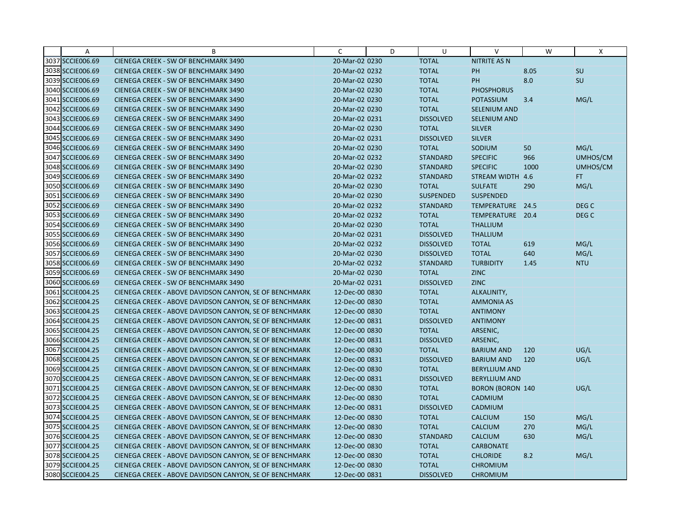| Α                | B                                                      | C              | D | U                | $\vee$                  | W    | X                |
|------------------|--------------------------------------------------------|----------------|---|------------------|-------------------------|------|------------------|
| 3037 SCCIE006.69 | CIENEGA CREEK - SW OF BENCHMARK 3490                   | 20-Mar-02 0230 |   | <b>TOTAL</b>     | <b>NITRITE AS N</b>     |      |                  |
| 3038 SCCIE006.69 | CIENEGA CREEK - SW OF BENCHMARK 3490                   | 20-Mar-02 0232 |   | <b>TOTAL</b>     | <b>PH</b>               | 8.05 | SU               |
| 3039 SCCIE006.69 | CIENEGA CREEK - SW OF BENCHMARK 3490                   | 20-Mar-02 0230 |   | <b>TOTAL</b>     | PH                      | 8.0  | SU               |
| 3040 SCCIE006.69 | CIENEGA CREEK - SW OF BENCHMARK 3490                   | 20-Mar-02 0230 |   | <b>TOTAL</b>     | <b>PHOSPHORUS</b>       |      |                  |
| 3041 SCCIE006.69 | CIENEGA CREEK - SW OF BENCHMARK 3490                   | 20-Mar-02 0230 |   | <b>TOTAL</b>     | <b>POTASSIUM</b>        | 3.4  | MG/L             |
| 3042 SCCIE006.69 | CIENEGA CREEK - SW OF BENCHMARK 3490                   | 20-Mar-02 0230 |   | <b>TOTAL</b>     | <b>SELENIUM AND</b>     |      |                  |
| 3043 SCCIE006.69 | CIENEGA CREEK - SW OF BENCHMARK 3490                   | 20-Mar-02 0231 |   | <b>DISSOLVED</b> | <b>SELENIUM AND</b>     |      |                  |
| 3044 SCCIE006.69 | CIENEGA CREEK - SW OF BENCHMARK 3490                   | 20-Mar-02 0230 |   | <b>TOTAL</b>     | <b>SILVER</b>           |      |                  |
| 3045 SCCIE006.69 | CIENEGA CREEK - SW OF BENCHMARK 3490                   | 20-Mar-02 0231 |   | <b>DISSOLVED</b> | <b>SILVER</b>           |      |                  |
| 3046 SCCIE006.69 | CIENEGA CREEK - SW OF BENCHMARK 3490                   | 20-Mar-02 0230 |   | <b>TOTAL</b>     | SODIUM                  | 50   | MG/L             |
| 3047 SCCIE006.69 | CIENEGA CREEK - SW OF BENCHMARK 3490                   | 20-Mar-02 0232 |   | <b>STANDARD</b>  | <b>SPECIFIC</b>         | 966  | UMHOS/CM         |
| 3048 SCCIE006.69 | CIENEGA CREEK - SW OF BENCHMARK 3490                   | 20-Mar-02 0230 |   | <b>STANDARD</b>  | <b>SPECIFIC</b>         | 1000 | UMHOS/CM         |
| 3049 SCCIE006.69 | CIENEGA CREEK - SW OF BENCHMARK 3490                   | 20-Mar-02 0232 |   | <b>STANDARD</b>  | <b>STREAM WIDTH</b>     | 4.6  | <b>FT</b>        |
| 3050 SCCIE006.69 | CIENEGA CREEK - SW OF BENCHMARK 3490                   | 20-Mar-02 0230 |   | <b>TOTAL</b>     | <b>SULFATE</b>          | 290  | MG/L             |
| 3051 SCCIE006.69 | CIENEGA CREEK - SW OF BENCHMARK 3490                   | 20-Mar-02 0230 |   | <b>SUSPENDED</b> | <b>SUSPENDED</b>        |      |                  |
| 3052 SCCIE006.69 | CIENEGA CREEK - SW OF BENCHMARK 3490                   | 20-Mar-02 0232 |   | <b>STANDARD</b>  | TEMPERATURE 24.5        |      | DEG C            |
| 3053 SCCIE006.69 | CIENEGA CREEK - SW OF BENCHMARK 3490                   | 20-Mar-02 0232 |   | <b>TOTAL</b>     | TEMPERATURE 20.4        |      | DEG <sub>C</sub> |
| 3054 SCCIE006.69 | CIENEGA CREEK - SW OF BENCHMARK 3490                   | 20-Mar-02 0230 |   | <b>TOTAL</b>     | <b>THALLIUM</b>         |      |                  |
| 3055 SCCIE006.69 | CIENEGA CREEK - SW OF BENCHMARK 3490                   | 20-Mar-02 0231 |   | <b>DISSOLVED</b> | <b>THALLIUM</b>         |      |                  |
| 3056 SCCIE006.69 | CIENEGA CREEK - SW OF BENCHMARK 3490                   | 20-Mar-02 0232 |   | <b>DISSOLVED</b> | <b>TOTAL</b>            | 619  | MG/L             |
| 3057 SCCIE006.69 | CIENEGA CREEK - SW OF BENCHMARK 3490                   | 20-Mar-02 0230 |   | <b>DISSOLVED</b> | <b>TOTAL</b>            | 640  | MG/L             |
| 3058 SCCIE006.69 | CIENEGA CREEK - SW OF BENCHMARK 3490                   | 20-Mar-02 0232 |   | <b>STANDARD</b>  | <b>TURBIDITY</b>        | 1.45 | <b>NTU</b>       |
| 3059 SCCIE006.69 | CIENEGA CREEK - SW OF BENCHMARK 3490                   | 20-Mar-02 0230 |   | <b>TOTAL</b>     | <b>ZINC</b>             |      |                  |
| 3060 SCCIE006.69 | CIENEGA CREEK - SW OF BENCHMARK 3490                   | 20-Mar-02 0231 |   | <b>DISSOLVED</b> | <b>ZINC</b>             |      |                  |
| 3061 SCCIE004.25 | CIENEGA CREEK - ABOVE DAVIDSON CANYON, SE OF BENCHMARK | 12-Dec-00 0830 |   | <b>TOTAL</b>     | ALKALINITY,             |      |                  |
| 3062 SCCIE004.25 | CIENEGA CREEK - ABOVE DAVIDSON CANYON, SE OF BENCHMARK | 12-Dec-00 0830 |   | <b>TOTAL</b>     | <b>AMMONIA AS</b>       |      |                  |
| 3063 SCCIE004.25 | CIENEGA CREEK - ABOVE DAVIDSON CANYON, SE OF BENCHMARK | 12-Dec-00 0830 |   | <b>TOTAL</b>     | <b>ANTIMONY</b>         |      |                  |
| 3064 SCCIE004.25 | CIENEGA CREEK - ABOVE DAVIDSON CANYON, SE OF BENCHMARK | 12-Dec-00 0831 |   | <b>DISSOLVED</b> | <b>ANTIMONY</b>         |      |                  |
| 3065 SCCIE004.25 | CIENEGA CREEK - ABOVE DAVIDSON CANYON, SE OF BENCHMARK | 12-Dec-00 0830 |   | <b>TOTAL</b>     | ARSENIC,                |      |                  |
| 3066 SCCIE004.25 | CIENEGA CREEK - ABOVE DAVIDSON CANYON, SE OF BENCHMARK | 12-Dec-00 0831 |   | <b>DISSOLVED</b> | ARSENIC,                |      |                  |
| 3067 SCCIE004.25 | CIENEGA CREEK - ABOVE DAVIDSON CANYON, SE OF BENCHMARK | 12-Dec-00 0830 |   | <b>TOTAL</b>     | <b>BARIUM AND</b>       | 120  | UG/L             |
| 3068 SCCIE004.25 | CIENEGA CREEK - ABOVE DAVIDSON CANYON, SE OF BENCHMARK | 12-Dec-00 0831 |   | <b>DISSOLVED</b> | <b>BARIUM AND</b>       | 120  | UG/L             |
| 3069 SCCIE004.25 | CIENEGA CREEK - ABOVE DAVIDSON CANYON, SE OF BENCHMARK | 12-Dec-00 0830 |   | <b>TOTAL</b>     | <b>BERYLLIUM AND</b>    |      |                  |
| 3070 SCCIE004.25 | CIENEGA CREEK - ABOVE DAVIDSON CANYON, SE OF BENCHMARK | 12-Dec-00 0831 |   | <b>DISSOLVED</b> | <b>BERYLLIUM AND</b>    |      |                  |
| 3071 SCCIE004.25 | CIENEGA CREEK - ABOVE DAVIDSON CANYON, SE OF BENCHMARK | 12-Dec-00 0830 |   | <b>TOTAL</b>     | <b>BORON (BORON 140</b> |      | UG/L             |
| 3072 SCCIE004.25 | CIENEGA CREEK - ABOVE DAVIDSON CANYON, SE OF BENCHMARK | 12-Dec-00 0830 |   | <b>TOTAL</b>     | CADMIUM                 |      |                  |
| 3073 SCCIE004.25 | CIENEGA CREEK - ABOVE DAVIDSON CANYON, SE OF BENCHMARK | 12-Dec-00 0831 |   | <b>DISSOLVED</b> | CADMIUM                 |      |                  |
| 3074 SCCIE004.25 | CIENEGA CREEK - ABOVE DAVIDSON CANYON, SE OF BENCHMARK | 12-Dec-00 0830 |   | <b>TOTAL</b>     | <b>CALCIUM</b>          | 150  | MG/L             |
| 3075 SCCIE004.25 | CIENEGA CREEK - ABOVE DAVIDSON CANYON, SE OF BENCHMARK | 12-Dec-00 0830 |   | <b>TOTAL</b>     | <b>CALCIUM</b>          | 270  | MG/L             |
| 3076 SCCIE004.25 | CIENEGA CREEK - ABOVE DAVIDSON CANYON, SE OF BENCHMARK | 12-Dec-00 0830 |   | <b>STANDARD</b>  | <b>CALCIUM</b>          | 630  | MG/L             |
| 3077 SCCIE004.25 | CIENEGA CREEK - ABOVE DAVIDSON CANYON, SE OF BENCHMARK | 12-Dec-00 0830 |   | <b>TOTAL</b>     | <b>CARBONATE</b>        |      |                  |
| 3078 SCCIE004.25 | CIENEGA CREEK - ABOVE DAVIDSON CANYON, SE OF BENCHMARK | 12-Dec-00 0830 |   | <b>TOTAL</b>     | <b>CHLORIDE</b>         | 8.2  | MG/L             |
| 3079 SCCIE004.25 | CIENEGA CREEK - ABOVE DAVIDSON CANYON, SE OF BENCHMARK | 12-Dec-00 0830 |   | <b>TOTAL</b>     | <b>CHROMIUM</b>         |      |                  |
| 3080 SCCIE004.25 | CIENEGA CREEK - ABOVE DAVIDSON CANYON, SE OF BENCHMARK | 12-Dec-00 0831 |   | <b>DISSOLVED</b> | <b>CHROMIUM</b>         |      |                  |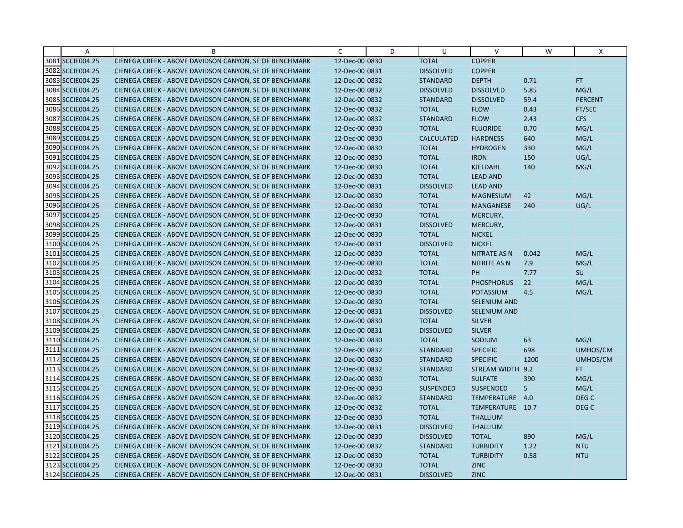| Α                | B                                                      | C              | D | U                 | $\vee$              | W     | X                |
|------------------|--------------------------------------------------------|----------------|---|-------------------|---------------------|-------|------------------|
| 3081 SCCIE004.25 | CIENEGA CREEK - ABOVE DAVIDSON CANYON, SE OF BENCHMARK | 12-Dec-00 0830 |   | <b>TOTAL</b>      | <b>COPPER</b>       |       |                  |
| 3082 SCCIE004.25 | CIENEGA CREEK - ABOVE DAVIDSON CANYON, SE OF BENCHMARK | 12-Dec-00 0831 |   | <b>DISSOLVED</b>  | <b>COPPER</b>       |       |                  |
| 3083 SCCIE004.25 | CIENEGA CREEK - ABOVE DAVIDSON CANYON, SE OF BENCHMARK | 12-Dec-00 0832 |   | <b>STANDARD</b>   | <b>DEPTH</b>        | 0.71  | FT.              |
| 3084 SCCIE004.25 | CIENEGA CREEK - ABOVE DAVIDSON CANYON, SE OF BENCHMARK | 12-Dec-00 0832 |   | <b>DISSOLVED</b>  | <b>DISSOLVED</b>    | 5.85  | MG/L             |
| 3085 SCCIE004.25 | CIENEGA CREEK - ABOVE DAVIDSON CANYON, SE OF BENCHMARK | 12-Dec-00 0832 |   | <b>STANDARD</b>   | <b>DISSOLVED</b>    | 59.4  | <b>PERCENT</b>   |
| 3086 SCCIE004.25 | CIENEGA CREEK - ABOVE DAVIDSON CANYON, SE OF BENCHMARK | 12-Dec-00 0832 |   | <b>TOTAL</b>      | <b>FLOW</b>         | 0.43  | FT/SEC           |
| 3087 SCCIE004.25 | CIENEGA CREEK - ABOVE DAVIDSON CANYON, SE OF BENCHMARK | 12-Dec-00 0832 |   | <b>STANDARD</b>   | <b>FLOW</b>         | 2.43  | <b>CFS</b>       |
| 3088 SCCIE004.25 | CIENEGA CREEK - ABOVE DAVIDSON CANYON, SE OF BENCHMARK | 12-Dec-00 0830 |   | <b>TOTAL</b>      | <b>FLUORIDE</b>     | 0.70  | MG/L             |
| 3089 SCCIE004.25 | CIENEGA CREEK - ABOVE DAVIDSON CANYON, SE OF BENCHMARK | 12-Dec-00 0830 |   | <b>CALCULATED</b> | <b>HARDNESS</b>     | 640   | MG/L             |
| 3090 SCCIE004.25 | CIENEGA CREEK - ABOVE DAVIDSON CANYON, SE OF BENCHMARK | 12-Dec-00 0830 |   | <b>TOTAL</b>      | <b>HYDROGEN</b>     | 330   | MG/L             |
| 3091 SCCIE004.25 | CIENEGA CREEK - ABOVE DAVIDSON CANYON, SE OF BENCHMARK | 12-Dec-00 0830 |   | <b>TOTAL</b>      | <b>IRON</b>         | 150   | UG/L             |
| 3092 SCCIE004.25 | CIENEGA CREEK - ABOVE DAVIDSON CANYON, SE OF BENCHMARK | 12-Dec-00 0830 |   | <b>TOTAL</b>      | KJELDAHL            | 140   | MG/L             |
| 3093 SCCIE004.25 | CIENEGA CREEK - ABOVE DAVIDSON CANYON, SE OF BENCHMARK | 12-Dec-00 0830 |   | <b>TOTAL</b>      | <b>LEAD AND</b>     |       |                  |
| 3094 SCCIE004.25 | CIENEGA CREEK - ABOVE DAVIDSON CANYON, SE OF BENCHMARK | 12-Dec-00 0831 |   | <b>DISSOLVED</b>  | <b>LEAD AND</b>     |       |                  |
| 3095 SCCIE004.25 | CIENEGA CREEK - ABOVE DAVIDSON CANYON, SE OF BENCHMARK | 12-Dec-00 0830 |   | <b>TOTAL</b>      | <b>MAGNESIUM</b>    | 42    | MG/L             |
| 3096 SCCIE004.25 | CIENEGA CREEK - ABOVE DAVIDSON CANYON, SE OF BENCHMARK | 12-Dec-00 0830 |   | <b>TOTAL</b>      | <b>MANGANESE</b>    | 240   | UG/L             |
| 3097 SCCIE004.25 | CIENEGA CREEK - ABOVE DAVIDSON CANYON, SE OF BENCHMARK | 12-Dec-00 0830 |   | <b>TOTAL</b>      | MERCURY,            |       |                  |
| 3098 SCCIE004.25 | CIENEGA CREEK - ABOVE DAVIDSON CANYON, SE OF BENCHMARK | 12-Dec-00 0831 |   | <b>DISSOLVED</b>  | MERCURY,            |       |                  |
| 3099 SCCIE004.25 | CIENEGA CREEK - ABOVE DAVIDSON CANYON, SE OF BENCHMARK | 12-Dec-00 0830 |   | <b>TOTAL</b>      | <b>NICKEL</b>       |       |                  |
| 3100 SCCIE004.25 | CIENEGA CREEK - ABOVE DAVIDSON CANYON, SE OF BENCHMARK | 12-Dec-00 0831 |   | <b>DISSOLVED</b>  | <b>NICKEL</b>       |       |                  |
| 3101 SCCIE004.25 | CIENEGA CREEK - ABOVE DAVIDSON CANYON, SE OF BENCHMARK | 12-Dec-00 0830 |   | <b>TOTAL</b>      | <b>NITRATE AS N</b> | 0.042 | MG/L             |
| 3102 SCCIE004.25 | CIENEGA CREEK - ABOVE DAVIDSON CANYON, SE OF BENCHMARK | 12-Dec-00 0830 |   | <b>TOTAL</b>      | <b>NITRITE AS N</b> | 7.9   | MG/L             |
| 3103 SCCIE004.25 | CIENEGA CREEK - ABOVE DAVIDSON CANYON, SE OF BENCHMARK | 12-Dec-00 0832 |   | <b>TOTAL</b>      | PH                  | 7.77  | SU               |
| 3104 SCCIE004.25 | CIENEGA CREEK - ABOVE DAVIDSON CANYON, SE OF BENCHMARK | 12-Dec-00 0830 |   | <b>TOTAL</b>      | <b>PHOSPHORUS</b>   | 22    | MG/L             |
| 3105 SCCIE004.25 | CIENEGA CREEK - ABOVE DAVIDSON CANYON, SE OF BENCHMARK | 12-Dec-00 0830 |   | <b>TOTAL</b>      | <b>POTASSIUM</b>    | 4.5   | MG/L             |
| 3106 SCCIE004.25 | CIENEGA CREEK - ABOVE DAVIDSON CANYON, SE OF BENCHMARK | 12-Dec-00 0830 |   | <b>TOTAL</b>      | <b>SELENIUM AND</b> |       |                  |
| 3107 SCCIE004.25 | CIENEGA CREEK - ABOVE DAVIDSON CANYON, SE OF BENCHMARK | 12-Dec-00 0831 |   | <b>DISSOLVED</b>  | SELENIUM AND        |       |                  |
| 3108 SCCIE004.25 | CIENEGA CREEK - ABOVE DAVIDSON CANYON, SE OF BENCHMARK | 12-Dec-00 0830 |   | <b>TOTAL</b>      | <b>SILVER</b>       |       |                  |
| 3109 SCCIE004.25 | CIENEGA CREEK - ABOVE DAVIDSON CANYON, SE OF BENCHMARK | 12-Dec-00 0831 |   | <b>DISSOLVED</b>  | <b>SILVER</b>       |       |                  |
| 3110 SCCIE004.25 | CIENEGA CREEK - ABOVE DAVIDSON CANYON, SE OF BENCHMARK | 12-Dec-00 0830 |   | <b>TOTAL</b>      | SODIUM              | 63    | MG/L             |
| 3111 SCCIE004.25 | CIENEGA CREEK - ABOVE DAVIDSON CANYON, SE OF BENCHMARK | 12-Dec-00 0832 |   | <b>STANDARD</b>   | <b>SPECIFIC</b>     | 698   | UMHOS/CM         |
| 3112 SCCIE004.25 | CIENEGA CREEK - ABOVE DAVIDSON CANYON, SE OF BENCHMARK | 12-Dec-00 0830 |   | <b>STANDARD</b>   | <b>SPECIFIC</b>     | 1200  | UMHOS/CM         |
| 3113 SCCIE004.25 | CIENEGA CREEK - ABOVE DAVIDSON CANYON, SE OF BENCHMARK | 12-Dec-00 0832 |   | <b>STANDARD</b>   | STREAM WIDTH 9.2    |       | FT.              |
| 3114 SCCIE004.25 | CIENEGA CREEK - ABOVE DAVIDSON CANYON, SE OF BENCHMARK | 12-Dec-00 0830 |   | <b>TOTAL</b>      | <b>SULFATE</b>      | 390   | MG/L             |
| 3115 SCCIE004.25 | CIENEGA CREEK - ABOVE DAVIDSON CANYON, SE OF BENCHMARK | 12-Dec-00 0830 |   | <b>SUSPENDED</b>  | <b>SUSPENDED</b>    | 5     | MG/L             |
| 3116 SCCIE004.25 | CIENEGA CREEK - ABOVE DAVIDSON CANYON, SE OF BENCHMARK | 12-Dec-00 0832 |   | <b>STANDARD</b>   | TEMPERATURE 4.0     |       | DEG C            |
| 3117 SCCIE004.25 | CIENEGA CREEK - ABOVE DAVIDSON CANYON, SE OF BENCHMARK | 12-Dec-00 0832 |   | <b>TOTAL</b>      | TEMPERATURE 10.7    |       | DEG <sub>C</sub> |
| 3118 SCCIE004.25 | CIENEGA CREEK - ABOVE DAVIDSON CANYON, SE OF BENCHMARK | 12-Dec-00 0830 |   | <b>TOTAL</b>      | <b>THALLIUM</b>     |       |                  |
| 3119 SCCIE004.25 | CIENEGA CREEK - ABOVE DAVIDSON CANYON, SE OF BENCHMARK | 12-Dec-00 0831 |   | <b>DISSOLVED</b>  | <b>THALLIUM</b>     |       |                  |
| 3120 SCCIE004.25 | CIENEGA CREEK - ABOVE DAVIDSON CANYON, SE OF BENCHMARK | 12-Dec-00 0830 |   | <b>DISSOLVED</b>  | <b>TOTAL</b>        | 890   | MG/L             |
| 3121 SCCIE004.25 | CIENEGA CREEK - ABOVE DAVIDSON CANYON, SE OF BENCHMARK | 12-Dec-00 0832 |   | <b>STANDARD</b>   | <b>TURBIDITY</b>    | 1.22  | <b>NTU</b>       |
| 3122 SCCIE004.25 | CIENEGA CREEK - ABOVE DAVIDSON CANYON, SE OF BENCHMARK | 12-Dec-00 0830 |   | <b>TOTAL</b>      | <b>TURBIDITY</b>    | 0.58  | <b>NTU</b>       |
| 3123 SCCIE004.25 | CIENEGA CREEK - ABOVE DAVIDSON CANYON, SE OF BENCHMARK | 12-Dec-00 0830 |   | <b>TOTAL</b>      | <b>ZINC</b>         |       |                  |
| 3124 SCCIE004.25 | CIENEGA CREEK - ABOVE DAVIDSON CANYON, SE OF BENCHMARK | 12-Dec-00 0831 |   | <b>DISSOLVED</b>  | <b>ZINC</b>         |       |                  |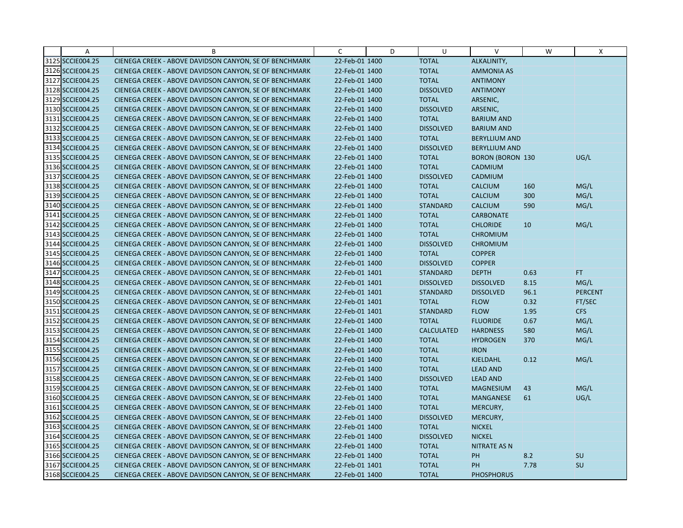| Α                | B                                                      | $\mathsf{C}$   | D | U                 | $\mathsf{V}$            | W    | Χ              |
|------------------|--------------------------------------------------------|----------------|---|-------------------|-------------------------|------|----------------|
| 3125 SCCIE004.25 | CIENEGA CREEK - ABOVE DAVIDSON CANYON, SE OF BENCHMARK | 22-Feb-01 1400 |   | <b>TOTAL</b>      | ALKALINITY,             |      |                |
| 3126 SCCIE004.25 | CIENEGA CREEK - ABOVE DAVIDSON CANYON, SE OF BENCHMARK | 22-Feb-01 1400 |   | <b>TOTAL</b>      | <b>AMMONIA AS</b>       |      |                |
| 3127 SCCIE004.25 | CIENEGA CREEK - ABOVE DAVIDSON CANYON, SE OF BENCHMARK | 22-Feb-01 1400 |   | <b>TOTAL</b>      | <b>ANTIMONY</b>         |      |                |
| 3128 SCCIE004.25 | CIENEGA CREEK - ABOVE DAVIDSON CANYON, SE OF BENCHMARK | 22-Feb-01 1400 |   | <b>DISSOLVED</b>  | <b>ANTIMONY</b>         |      |                |
| 3129 SCCIE004.25 | CIENEGA CREEK - ABOVE DAVIDSON CANYON, SE OF BENCHMARK | 22-Feb-01 1400 |   | <b>TOTAL</b>      | ARSENIC,                |      |                |
| 3130 SCCIE004.25 | CIENEGA CREEK - ABOVE DAVIDSON CANYON, SE OF BENCHMARK | 22-Feb-01 1400 |   | <b>DISSOLVED</b>  | ARSENIC,                |      |                |
| 3131 SCCIE004.25 | CIENEGA CREEK - ABOVE DAVIDSON CANYON, SE OF BENCHMARK | 22-Feb-01 1400 |   | <b>TOTAL</b>      | <b>BARIUM AND</b>       |      |                |
| 3132 SCCIE004.25 | CIENEGA CREEK - ABOVE DAVIDSON CANYON, SE OF BENCHMARK | 22-Feb-01 1400 |   | <b>DISSOLVED</b>  | <b>BARIUM AND</b>       |      |                |
| 3133 SCCIE004.25 | CIENEGA CREEK - ABOVE DAVIDSON CANYON, SE OF BENCHMARK | 22-Feb-01 1400 |   | <b>TOTAL</b>      | <b>BERYLLIUM AND</b>    |      |                |
| 3134 SCCIE004.25 | CIENEGA CREEK - ABOVE DAVIDSON CANYON, SE OF BENCHMARK | 22-Feb-01 1400 |   | <b>DISSOLVED</b>  | <b>BERYLLIUM AND</b>    |      |                |
| 3135 SCCIE004.25 | CIENEGA CREEK - ABOVE DAVIDSON CANYON, SE OF BENCHMARK | 22-Feb-01 1400 |   | <b>TOTAL</b>      | <b>BORON (BORON 130</b> |      | UG/L           |
| 3136 SCCIE004.25 | CIENEGA CREEK - ABOVE DAVIDSON CANYON, SE OF BENCHMARK | 22-Feb-01 1400 |   | <b>TOTAL</b>      | CADMIUM                 |      |                |
| 3137 SCCIE004.25 | CIENEGA CREEK - ABOVE DAVIDSON CANYON, SE OF BENCHMARK | 22-Feb-01 1400 |   | <b>DISSOLVED</b>  | <b>CADMIUM</b>          |      |                |
| 3138 SCCIE004.25 | CIENEGA CREEK - ABOVE DAVIDSON CANYON, SE OF BENCHMARK | 22-Feb-01 1400 |   | <b>TOTAL</b>      | <b>CALCIUM</b>          | 160  | MG/L           |
| 3139 SCCIE004.25 | CIENEGA CREEK - ABOVE DAVIDSON CANYON, SE OF BENCHMARK | 22-Feb-01 1400 |   | <b>TOTAL</b>      | <b>CALCIUM</b>          | 300  | MG/L           |
| 3140 SCCIE004.25 | CIENEGA CREEK - ABOVE DAVIDSON CANYON, SE OF BENCHMARK | 22-Feb-01 1400 |   | <b>STANDARD</b>   | <b>CALCIUM</b>          | 590  | MG/L           |
| 3141 SCCIE004.25 | CIENEGA CREEK - ABOVE DAVIDSON CANYON, SE OF BENCHMARK | 22-Feb-01 1400 |   | <b>TOTAL</b>      | <b>CARBONATE</b>        |      |                |
| 3142 SCCIE004.25 | CIENEGA CREEK - ABOVE DAVIDSON CANYON, SE OF BENCHMARK | 22-Feb-01 1400 |   | <b>TOTAL</b>      | <b>CHLORIDE</b>         | 10   | MG/L           |
| 3143 SCCIE004.25 | CIENEGA CREEK - ABOVE DAVIDSON CANYON, SE OF BENCHMARK | 22-Feb-01 1400 |   | <b>TOTAL</b>      | <b>CHROMIUM</b>         |      |                |
| 3144 SCCIE004.25 | CIENEGA CREEK - ABOVE DAVIDSON CANYON, SE OF BENCHMARK | 22-Feb-01 1400 |   | <b>DISSOLVED</b>  | <b>CHROMIUM</b>         |      |                |
| 3145 SCCIE004.25 | CIENEGA CREEK - ABOVE DAVIDSON CANYON, SE OF BENCHMARK | 22-Feb-01 1400 |   | <b>TOTAL</b>      | <b>COPPER</b>           |      |                |
| 3146 SCCIE004.25 | CIENEGA CREEK - ABOVE DAVIDSON CANYON, SE OF BENCHMARK | 22-Feb-01 1400 |   | <b>DISSOLVED</b>  | <b>COPPER</b>           |      |                |
| 3147 SCCIE004.25 | CIENEGA CREEK - ABOVE DAVIDSON CANYON, SE OF BENCHMARK | 22-Feb-01 1401 |   | <b>STANDARD</b>   | <b>DEPTH</b>            | 0.63 | FT.            |
| 3148 SCCIE004.25 | CIENEGA CREEK - ABOVE DAVIDSON CANYON, SE OF BENCHMARK | 22-Feb-01 1401 |   | <b>DISSOLVED</b>  | <b>DISSOLVED</b>        | 8.15 | MG/L           |
| 3149 SCCIE004.25 | CIENEGA CREEK - ABOVE DAVIDSON CANYON, SE OF BENCHMARK | 22-Feb-01 1401 |   | <b>STANDARD</b>   | <b>DISSOLVED</b>        | 96.1 | <b>PERCENT</b> |
| 3150 SCCIE004.25 | CIENEGA CREEK - ABOVE DAVIDSON CANYON, SE OF BENCHMARK | 22-Feb-01 1401 |   | <b>TOTAL</b>      | <b>FLOW</b>             | 0.32 | FT/SEC         |
| 3151 SCCIE004.25 | CIENEGA CREEK - ABOVE DAVIDSON CANYON, SE OF BENCHMARK | 22-Feb-01 1401 |   | <b>STANDARD</b>   | <b>FLOW</b>             | 1.95 | <b>CFS</b>     |
| 3152 SCCIE004.25 | CIENEGA CREEK - ABOVE DAVIDSON CANYON, SE OF BENCHMARK | 22-Feb-01 1400 |   | <b>TOTAL</b>      | <b>FLUORIDE</b>         | 0.67 | MG/L           |
| 3153 SCCIE004.25 | CIENEGA CREEK - ABOVE DAVIDSON CANYON, SE OF BENCHMARK | 22-Feb-01 1400 |   | <b>CALCULATED</b> | <b>HARDNESS</b>         | 580  | MG/L           |
| 3154 SCCIE004.25 | CIENEGA CREEK - ABOVE DAVIDSON CANYON, SE OF BENCHMARK | 22-Feb-01 1400 |   | <b>TOTAL</b>      | <b>HYDROGEN</b>         | 370  | MG/L           |
| 3155 SCCIE004.25 | CIENEGA CREEK - ABOVE DAVIDSON CANYON, SE OF BENCHMARK | 22-Feb-01 1400 |   | <b>TOTAL</b>      | <b>IRON</b>             |      |                |
| 3156 SCCIE004.25 | CIENEGA CREEK - ABOVE DAVIDSON CANYON, SE OF BENCHMARK | 22-Feb-01 1400 |   | <b>TOTAL</b>      | KJELDAHL                | 0.12 | MG/L           |
| 3157 SCCIE004.25 | CIENEGA CREEK - ABOVE DAVIDSON CANYON, SE OF BENCHMARK | 22-Feb-01 1400 |   | <b>TOTAL</b>      | <b>LEAD AND</b>         |      |                |
| 3158 SCCIE004.25 | CIENEGA CREEK - ABOVE DAVIDSON CANYON, SE OF BENCHMARK | 22-Feb-01 1400 |   | <b>DISSOLVED</b>  | <b>LEAD AND</b>         |      |                |
| 3159 SCCIE004.25 | CIENEGA CREEK - ABOVE DAVIDSON CANYON, SE OF BENCHMARK | 22-Feb-01 1400 |   | <b>TOTAL</b>      | <b>MAGNESIUM</b>        | 43   | MG/L           |
| 3160 SCCIE004.25 | CIENEGA CREEK - ABOVE DAVIDSON CANYON, SE OF BENCHMARK | 22-Feb-01 1400 |   | <b>TOTAL</b>      | <b>MANGANESE</b>        | 61   | UG/L           |
| 3161 SCCIE004.25 | CIENEGA CREEK - ABOVE DAVIDSON CANYON, SE OF BENCHMARK | 22-Feb-01 1400 |   | <b>TOTAL</b>      | MERCURY,                |      |                |
| 3162 SCCIE004.25 | CIENEGA CREEK - ABOVE DAVIDSON CANYON, SE OF BENCHMARK | 22-Feb-01 1400 |   | <b>DISSOLVED</b>  | MERCURY,                |      |                |
| 3163 SCCIE004.25 | CIENEGA CREEK - ABOVE DAVIDSON CANYON, SE OF BENCHMARK | 22-Feb-01 1400 |   | <b>TOTAL</b>      | <b>NICKEL</b>           |      |                |
| 3164 SCCIE004.25 | CIENEGA CREEK - ABOVE DAVIDSON CANYON, SE OF BENCHMARK | 22-Feb-01 1400 |   | <b>DISSOLVED</b>  | <b>NICKEL</b>           |      |                |
| 3165 SCCIE004.25 | CIENEGA CREEK - ABOVE DAVIDSON CANYON, SE OF BENCHMARK | 22-Feb-01 1400 |   | <b>TOTAL</b>      | <b>NITRATE AS N</b>     |      |                |
| 3166 SCCIE004.25 | CIENEGA CREEK - ABOVE DAVIDSON CANYON, SE OF BENCHMARK | 22-Feb-01 1400 |   | <b>TOTAL</b>      | PH                      | 8.2  | SU             |
| 3167 SCCIE004.25 | CIENEGA CREEK - ABOVE DAVIDSON CANYON, SE OF BENCHMARK | 22-Feb-01 1401 |   | <b>TOTAL</b>      | PH                      | 7.78 | SU             |
| 3168 SCCIE004.25 | CIENEGA CREEK - ABOVE DAVIDSON CANYON, SE OF BENCHMARK | 22-Feb-01 1400 |   | <b>TOTAL</b>      | <b>PHOSPHORUS</b>       |      |                |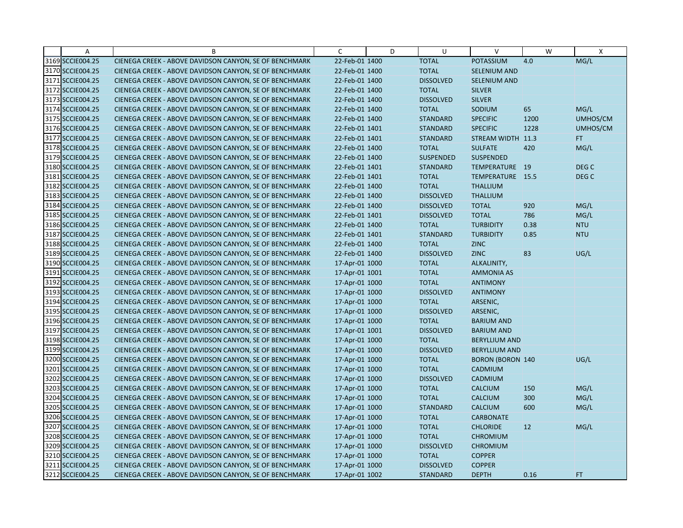| Α                | B                                                      | C              | D | U                | V                       | W    | X                |
|------------------|--------------------------------------------------------|----------------|---|------------------|-------------------------|------|------------------|
| 3169 SCCIE004.25 | CIENEGA CREEK - ABOVE DAVIDSON CANYON, SE OF BENCHMARK | 22-Feb-01 1400 |   | <b>TOTAL</b>     | POTASSIUM               | 4.0  | MG/L             |
| 3170 SCCIE004.25 | CIENEGA CREEK - ABOVE DAVIDSON CANYON, SE OF BENCHMARK | 22-Feb-01 1400 |   | <b>TOTAL</b>     | SELENIUM AND            |      |                  |
| 3171 SCCIE004.25 | CIENEGA CREEK - ABOVE DAVIDSON CANYON, SE OF BENCHMARK | 22-Feb-01 1400 |   | <b>DISSOLVED</b> | <b>SELENIUM AND</b>     |      |                  |
| 3172 SCCIE004.25 | CIENEGA CREEK - ABOVE DAVIDSON CANYON, SE OF BENCHMARK | 22-Feb-01 1400 |   | <b>TOTAL</b>     | <b>SILVER</b>           |      |                  |
| 3173 SCCIE004.25 | CIENEGA CREEK - ABOVE DAVIDSON CANYON, SE OF BENCHMARK | 22-Feb-01 1400 |   | <b>DISSOLVED</b> | <b>SILVER</b>           |      |                  |
| 3174 SCCIE004.25 | CIENEGA CREEK - ABOVE DAVIDSON CANYON, SE OF BENCHMARK | 22-Feb-01 1400 |   | <b>TOTAL</b>     | SODIUM                  | 65   | MG/L             |
| 3175 SCCIE004.25 | CIENEGA CREEK - ABOVE DAVIDSON CANYON, SE OF BENCHMARK | 22-Feb-01 1400 |   | <b>STANDARD</b>  | <b>SPECIFIC</b>         | 1200 | UMHOS/CM         |
| 3176 SCCIE004.25 | CIENEGA CREEK - ABOVE DAVIDSON CANYON, SE OF BENCHMARK | 22-Feb-01 1401 |   | <b>STANDARD</b>  | <b>SPECIFIC</b>         | 1228 | UMHOS/CM         |
| 3177 SCCIE004.25 | CIENEGA CREEK - ABOVE DAVIDSON CANYON, SE OF BENCHMARK | 22-Feb-01 1401 |   | <b>STANDARD</b>  | STREAM WIDTH 11.3       |      | FT.              |
| 3178 SCCIE004.25 | CIENEGA CREEK - ABOVE DAVIDSON CANYON, SE OF BENCHMARK | 22-Feb-01 1400 |   | <b>TOTAL</b>     | <b>SULFATE</b>          | 420  | MG/L             |
| 3179 SCCIE004.25 | CIENEGA CREEK - ABOVE DAVIDSON CANYON, SE OF BENCHMARK | 22-Feb-01 1400 |   | <b>SUSPENDED</b> | <b>SUSPENDED</b>        |      |                  |
| 3180 SCCIE004.25 | CIENEGA CREEK - ABOVE DAVIDSON CANYON, SE OF BENCHMARK | 22-Feb-01 1401 |   | <b>STANDARD</b>  | TEMPERATURE 19          |      | DEG <sub>C</sub> |
| 3181 SCCIE004.25 | CIENEGA CREEK - ABOVE DAVIDSON CANYON, SE OF BENCHMARK | 22-Feb-01 1401 |   | <b>TOTAL</b>     | TEMPERATURE 15.5        |      | DEG <sub>C</sub> |
| 3182 SCCIE004.25 | CIENEGA CREEK - ABOVE DAVIDSON CANYON, SE OF BENCHMARK | 22-Feb-01 1400 |   | <b>TOTAL</b>     | <b>THALLIUM</b>         |      |                  |
| 3183 SCCIE004.25 | CIENEGA CREEK - ABOVE DAVIDSON CANYON, SE OF BENCHMARK | 22-Feb-01 1400 |   | <b>DISSOLVED</b> | <b>THALLIUM</b>         |      |                  |
| 3184 SCCIE004.25 | CIENEGA CREEK - ABOVE DAVIDSON CANYON, SE OF BENCHMARK | 22-Feb-01 1400 |   | <b>DISSOLVED</b> | <b>TOTAL</b>            | 920  | MG/L             |
| 3185 SCCIE004.25 | CIENEGA CREEK - ABOVE DAVIDSON CANYON, SE OF BENCHMARK | 22-Feb-01 1401 |   | <b>DISSOLVED</b> | <b>TOTAL</b>            | 786  | MG/L             |
| 3186 SCCIE004.25 | CIENEGA CREEK - ABOVE DAVIDSON CANYON, SE OF BENCHMARK | 22-Feb-01 1400 |   | <b>TOTAL</b>     | <b>TURBIDITY</b>        | 0.38 | <b>NTU</b>       |
| 3187 SCCIE004.25 | CIENEGA CREEK - ABOVE DAVIDSON CANYON, SE OF BENCHMARK | 22-Feb-01 1401 |   | <b>STANDARD</b>  | <b>TURBIDITY</b>        | 0.85 | <b>NTU</b>       |
| 3188 SCCIE004.25 | CIENEGA CREEK - ABOVE DAVIDSON CANYON, SE OF BENCHMARK | 22-Feb-01 1400 |   | <b>TOTAL</b>     | <b>ZINC</b>             |      |                  |
| 3189 SCCIE004.25 | CIENEGA CREEK - ABOVE DAVIDSON CANYON, SE OF BENCHMARK | 22-Feb-01 1400 |   | <b>DISSOLVED</b> | <b>ZINC</b>             | 83   | UG/L             |
| 3190 SCCIE004.25 | CIENEGA CREEK - ABOVE DAVIDSON CANYON, SE OF BENCHMARK | 17-Apr-01 1000 |   | <b>TOTAL</b>     | ALKALINITY,             |      |                  |
| 3191 SCCIE004.25 | CIENEGA CREEK - ABOVE DAVIDSON CANYON, SE OF BENCHMARK | 17-Apr-01 1001 |   | <b>TOTAL</b>     | <b>AMMONIA AS</b>       |      |                  |
| 3192 SCCIE004.25 | CIENEGA CREEK - ABOVE DAVIDSON CANYON, SE OF BENCHMARK | 17-Apr-01 1000 |   | <b>TOTAL</b>     | <b>ANTIMONY</b>         |      |                  |
| 3193 SCCIE004.25 | CIENEGA CREEK - ABOVE DAVIDSON CANYON, SE OF BENCHMARK | 17-Apr-01 1000 |   | <b>DISSOLVED</b> | <b>ANTIMONY</b>         |      |                  |
| 3194 SCCIE004.25 | CIENEGA CREEK - ABOVE DAVIDSON CANYON, SE OF BENCHMARK | 17-Apr-01 1000 |   | <b>TOTAL</b>     | ARSENIC,                |      |                  |
| 3195 SCCIE004.25 | CIENEGA CREEK - ABOVE DAVIDSON CANYON, SE OF BENCHMARK | 17-Apr-01 1000 |   | <b>DISSOLVED</b> | ARSENIC,                |      |                  |
| 3196 SCCIE004.25 | CIENEGA CREEK - ABOVE DAVIDSON CANYON, SE OF BENCHMARK | 17-Apr-01 1000 |   | <b>TOTAL</b>     | <b>BARIUM AND</b>       |      |                  |
| 3197 SCCIE004.25 | CIENEGA CREEK - ABOVE DAVIDSON CANYON, SE OF BENCHMARK | 17-Apr-01 1001 |   | <b>DISSOLVED</b> | <b>BARIUM AND</b>       |      |                  |
| 3198 SCCIE004.25 | CIENEGA CREEK - ABOVE DAVIDSON CANYON, SE OF BENCHMARK | 17-Apr-01 1000 |   | <b>TOTAL</b>     | <b>BERYLLIUM AND</b>    |      |                  |
| 3199 SCCIE004.25 | CIENEGA CREEK - ABOVE DAVIDSON CANYON, SE OF BENCHMARK | 17-Apr-01 1000 |   | <b>DISSOLVED</b> | <b>BERYLLIUM AND</b>    |      |                  |
| 3200 SCCIE004.25 | CIENEGA CREEK - ABOVE DAVIDSON CANYON, SE OF BENCHMARK | 17-Apr-01 1000 |   | <b>TOTAL</b>     | <b>BORON (BORON 140</b> |      | UG/L             |
| 3201 SCCIE004.25 | CIENEGA CREEK - ABOVE DAVIDSON CANYON, SE OF BENCHMARK | 17-Apr-01 1000 |   | <b>TOTAL</b>     | CADMIUM                 |      |                  |
| 3202 SCCIE004.25 | CIENEGA CREEK - ABOVE DAVIDSON CANYON, SE OF BENCHMARK | 17-Apr-01 1000 |   | <b>DISSOLVED</b> | CADMIUM                 |      |                  |
| 3203 SCCIE004.25 | CIENEGA CREEK - ABOVE DAVIDSON CANYON, SE OF BENCHMARK | 17-Apr-01 1000 |   | <b>TOTAL</b>     | <b>CALCIUM</b>          | 150  | MG/L             |
| 3204 SCCIE004.25 | CIENEGA CREEK - ABOVE DAVIDSON CANYON, SE OF BENCHMARK | 17-Apr-01 1000 |   | <b>TOTAL</b>     | <b>CALCIUM</b>          | 300  | MG/L             |
| 3205 SCCIE004.25 | CIENEGA CREEK - ABOVE DAVIDSON CANYON, SE OF BENCHMARK | 17-Apr-01 1000 |   | <b>STANDARD</b>  | <b>CALCIUM</b>          | 600  | MG/L             |
| 3206 SCCIE004.25 | CIENEGA CREEK - ABOVE DAVIDSON CANYON, SE OF BENCHMARK | 17-Apr-01 1000 |   | <b>TOTAL</b>     | <b>CARBONATE</b>        |      |                  |
| 3207 SCCIE004.25 | CIENEGA CREEK - ABOVE DAVIDSON CANYON, SE OF BENCHMARK | 17-Apr-01 1000 |   | <b>TOTAL</b>     | <b>CHLORIDE</b>         | 12   | MG/L             |
| 3208 SCCIE004.25 | CIENEGA CREEK - ABOVE DAVIDSON CANYON, SE OF BENCHMARK | 17-Apr-01 1000 |   | <b>TOTAL</b>     | <b>CHROMIUM</b>         |      |                  |
| 3209 SCCIE004.25 | CIENEGA CREEK - ABOVE DAVIDSON CANYON, SE OF BENCHMARK | 17-Apr-01 1000 |   | <b>DISSOLVED</b> | <b>CHROMIUM</b>         |      |                  |
| 3210 SCCIE004.25 | CIENEGA CREEK - ABOVE DAVIDSON CANYON, SE OF BENCHMARK | 17-Apr-01 1000 |   | <b>TOTAL</b>     | <b>COPPER</b>           |      |                  |
| 3211 SCCIE004.25 | CIENEGA CREEK - ABOVE DAVIDSON CANYON, SE OF BENCHMARK | 17-Apr-01 1000 |   | <b>DISSOLVED</b> | <b>COPPER</b>           |      |                  |
| 3212 SCCIE004.25 | CIENEGA CREEK - ABOVE DAVIDSON CANYON, SE OF BENCHMARK | 17-Apr-01 1002 |   | <b>STANDARD</b>  | <b>DEPTH</b>            | 0.16 | <b>FT</b>        |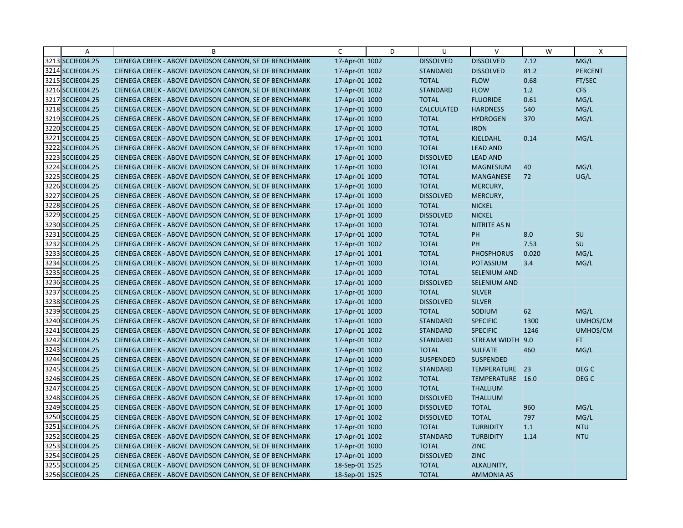| $\overline{A}$   | B                                                      | C              | D | U                 | $\vee$              | W     | X                |
|------------------|--------------------------------------------------------|----------------|---|-------------------|---------------------|-------|------------------|
| 3213 SCCIE004.25 | CIENEGA CREEK - ABOVE DAVIDSON CANYON, SE OF BENCHMARK | 17-Apr-01 1002 |   | <b>DISSOLVED</b>  | <b>DISSOLVED</b>    | 7.12  | MG/L             |
| 3214 SCCIE004.25 | CIENEGA CREEK - ABOVE DAVIDSON CANYON, SE OF BENCHMARK | 17-Apr-01 1002 |   | <b>STANDARD</b>   | <b>DISSOLVED</b>    | 81.2  | <b>PERCENT</b>   |
| 3215 SCCIE004.25 | CIENEGA CREEK - ABOVE DAVIDSON CANYON, SE OF BENCHMARK | 17-Apr-01 1002 |   | <b>TOTAL</b>      | <b>FLOW</b>         | 0.68  | FT/SEC           |
| 3216 SCCIE004.25 | CIENEGA CREEK - ABOVE DAVIDSON CANYON, SE OF BENCHMARK | 17-Apr-01 1002 |   | <b>STANDARD</b>   | <b>FLOW</b>         | 1.2   | <b>CFS</b>       |
| 3217 SCCIE004.25 | CIENEGA CREEK - ABOVE DAVIDSON CANYON, SE OF BENCHMARK | 17-Apr-01 1000 |   | <b>TOTAL</b>      | <b>FLUORIDE</b>     | 0.61  | MG/L             |
| 3218 SCCIE004.25 | CIENEGA CREEK - ABOVE DAVIDSON CANYON, SE OF BENCHMARK | 17-Apr-01 1000 |   | <b>CALCULATED</b> | <b>HARDNESS</b>     | 540   | MG/L             |
| 3219 SCCIE004.25 | CIENEGA CREEK - ABOVE DAVIDSON CANYON, SE OF BENCHMARK | 17-Apr-01 1000 |   | <b>TOTAL</b>      | <b>HYDROGEN</b>     | 370   | MG/L             |
| 3220 SCCIE004.25 | CIENEGA CREEK - ABOVE DAVIDSON CANYON, SE OF BENCHMARK | 17-Apr-01 1000 |   | <b>TOTAL</b>      | <b>IRON</b>         |       |                  |
| 3221 SCCIE004.25 | CIENEGA CREEK - ABOVE DAVIDSON CANYON, SE OF BENCHMARK | 17-Apr-01 1001 |   | <b>TOTAL</b>      | <b>KJELDAHL</b>     | 0.14  | MG/L             |
| 3222 SCCIE004.25 | CIENEGA CREEK - ABOVE DAVIDSON CANYON, SE OF BENCHMARK | 17-Apr-01 1000 |   | <b>TOTAL</b>      | <b>LEAD AND</b>     |       |                  |
| 3223 SCCIE004.25 | CIENEGA CREEK - ABOVE DAVIDSON CANYON, SE OF BENCHMARK | 17-Apr-01 1000 |   | <b>DISSOLVED</b>  | <b>LEAD AND</b>     |       |                  |
| 3224 SCCIE004.25 | CIENEGA CREEK - ABOVE DAVIDSON CANYON, SE OF BENCHMARK | 17-Apr-01 1000 |   | <b>TOTAL</b>      | <b>MAGNESIUM</b>    | 40    | MG/L             |
| 3225 SCCIE004.25 | CIENEGA CREEK - ABOVE DAVIDSON CANYON, SE OF BENCHMARK | 17-Apr-01 1000 |   | <b>TOTAL</b>      | <b>MANGANESE</b>    | 72    | UG/L             |
| 3226 SCCIE004.25 | CIENEGA CREEK - ABOVE DAVIDSON CANYON, SE OF BENCHMARK | 17-Apr-01 1000 |   | <b>TOTAL</b>      | MERCURY,            |       |                  |
| 3227 SCCIE004.25 | CIENEGA CREEK - ABOVE DAVIDSON CANYON, SE OF BENCHMARK | 17-Apr-01 1000 |   | <b>DISSOLVED</b>  | MERCURY,            |       |                  |
| 3228 SCCIE004.25 | CIENEGA CREEK - ABOVE DAVIDSON CANYON, SE OF BENCHMARK | 17-Apr-01 1000 |   | <b>TOTAL</b>      | <b>NICKEL</b>       |       |                  |
| 3229 SCCIE004.25 | CIENEGA CREEK - ABOVE DAVIDSON CANYON, SE OF BENCHMARK | 17-Apr-01 1000 |   | <b>DISSOLVED</b>  | <b>NICKEL</b>       |       |                  |
| 3230 SCCIE004.25 | CIENEGA CREEK - ABOVE DAVIDSON CANYON, SE OF BENCHMARK | 17-Apr-01 1000 |   | <b>TOTAL</b>      | <b>NITRITE AS N</b> |       |                  |
| 3231 SCCIE004.25 | CIENEGA CREEK - ABOVE DAVIDSON CANYON, SE OF BENCHMARK | 17-Apr-01 1000 |   | <b>TOTAL</b>      | PH                  | 8.0   | <b>SU</b>        |
| 3232 SCCIE004.25 | CIENEGA CREEK - ABOVE DAVIDSON CANYON, SE OF BENCHMARK | 17-Apr-01 1002 |   | <b>TOTAL</b>      | PH                  | 7.53  | SU               |
| 3233 SCCIE004.25 | CIENEGA CREEK - ABOVE DAVIDSON CANYON, SE OF BENCHMARK | 17-Apr-01 1001 |   | <b>TOTAL</b>      | <b>PHOSPHORUS</b>   | 0.020 | MG/L             |
| 3234 SCCIE004.25 | CIENEGA CREEK - ABOVE DAVIDSON CANYON, SE OF BENCHMARK | 17-Apr-01 1000 |   | <b>TOTAL</b>      | <b>POTASSIUM</b>    | 3.4   | MG/L             |
| 3235 SCCIE004.25 | CIENEGA CREEK - ABOVE DAVIDSON CANYON, SE OF BENCHMARK | 17-Apr-01 1000 |   | <b>TOTAL</b>      | SELENIUM AND        |       |                  |
| 3236 SCCIE004.25 | CIENEGA CREEK - ABOVE DAVIDSON CANYON, SE OF BENCHMARK | 17-Apr-01 1000 |   | <b>DISSOLVED</b>  | <b>SELENIUM AND</b> |       |                  |
| 3237 SCCIE004.25 | CIENEGA CREEK - ABOVE DAVIDSON CANYON, SE OF BENCHMARK | 17-Apr-01 1000 |   | <b>TOTAL</b>      | <b>SILVER</b>       |       |                  |
| 3238 SCCIE004.25 | CIENEGA CREEK - ABOVE DAVIDSON CANYON, SE OF BENCHMARK | 17-Apr-01 1000 |   | <b>DISSOLVED</b>  | <b>SILVER</b>       |       |                  |
| 3239 SCCIE004.25 | CIENEGA CREEK - ABOVE DAVIDSON CANYON, SE OF BENCHMARK | 17-Apr-01 1000 |   | <b>TOTAL</b>      | SODIUM              | 62    | MG/L             |
| 3240 SCCIE004.25 | CIENEGA CREEK - ABOVE DAVIDSON CANYON, SE OF BENCHMARK | 17-Apr-01 1000 |   | <b>STANDARD</b>   | <b>SPECIFIC</b>     | 1300  | UMHOS/CM         |
| 3241 SCCIE004.25 | CIENEGA CREEK - ABOVE DAVIDSON CANYON, SE OF BENCHMARK | 17-Apr-01 1002 |   | <b>STANDARD</b>   | <b>SPECIFIC</b>     | 1246  | UMHOS/CM         |
| 3242 SCCIE004.25 | CIENEGA CREEK - ABOVE DAVIDSON CANYON, SE OF BENCHMARK | 17-Apr-01 1002 |   | <b>STANDARD</b>   | <b>STREAM WIDTH</b> | 9.0   | FT.              |
| 3243 SCCIE004.25 | CIENEGA CREEK - ABOVE DAVIDSON CANYON, SE OF BENCHMARK | 17-Apr-01 1000 |   | <b>TOTAL</b>      | <b>SULFATE</b>      | 460   | MG/L             |
| 3244 SCCIE004.25 | CIENEGA CREEK - ABOVE DAVIDSON CANYON, SE OF BENCHMARK | 17-Apr-01 1000 |   | <b>SUSPENDED</b>  | <b>SUSPENDED</b>    |       |                  |
| 3245 SCCIE004.25 | CIENEGA CREEK - ABOVE DAVIDSON CANYON, SE OF BENCHMARK | 17-Apr-01 1002 |   | <b>STANDARD</b>   | TEMPERATURE 23      |       | DEG <sub>C</sub> |
| 3246 SCCIE004.25 | CIENEGA CREEK - ABOVE DAVIDSON CANYON, SE OF BENCHMARK | 17-Apr-01 1002 |   | <b>TOTAL</b>      | TEMPERATURE 16.0    |       | DEG <sub>C</sub> |
| 3247 SCCIE004.25 | CIENEGA CREEK - ABOVE DAVIDSON CANYON, SE OF BENCHMARK | 17-Apr-01 1000 |   | <b>TOTAL</b>      | <b>THALLIUM</b>     |       |                  |
| 3248 SCCIE004.25 | CIENEGA CREEK - ABOVE DAVIDSON CANYON, SE OF BENCHMARK | 17-Apr-01 1000 |   | <b>DISSOLVED</b>  | <b>THALLIUM</b>     |       |                  |
| 3249 SCCIE004.25 | CIENEGA CREEK - ABOVE DAVIDSON CANYON, SE OF BENCHMARK | 17-Apr-01 1000 |   | <b>DISSOLVED</b>  | <b>TOTAL</b>        | 960   | MG/L             |
| 3250 SCCIE004.25 | CIENEGA CREEK - ABOVE DAVIDSON CANYON, SE OF BENCHMARK | 17-Apr-01 1002 |   | <b>DISSOLVED</b>  | <b>TOTAL</b>        | 797   | MG/L             |
| 3251 SCCIE004.25 | CIENEGA CREEK - ABOVE DAVIDSON CANYON, SE OF BENCHMARK | 17-Apr-01 1000 |   | <b>TOTAL</b>      | <b>TURBIDITY</b>    | 1.1   | <b>NTU</b>       |
| 3252 SCCIE004.25 | CIENEGA CREEK - ABOVE DAVIDSON CANYON, SE OF BENCHMARK | 17-Apr-01 1002 |   | <b>STANDARD</b>   | <b>TURBIDITY</b>    | 1.14  | <b>NTU</b>       |
| 3253 SCCIE004.25 | CIENEGA CREEK - ABOVE DAVIDSON CANYON, SE OF BENCHMARK | 17-Apr-01 1000 |   | <b>TOTAL</b>      | <b>ZINC</b>         |       |                  |
| 3254 SCCIE004.25 | CIENEGA CREEK - ABOVE DAVIDSON CANYON, SE OF BENCHMARK | 17-Apr-01 1000 |   | <b>DISSOLVED</b>  | <b>ZINC</b>         |       |                  |
| 3255 SCCIE004.25 | CIENEGA CREEK - ABOVE DAVIDSON CANYON, SE OF BENCHMARK | 18-Sep-01 1525 |   | <b>TOTAL</b>      | ALKALINITY,         |       |                  |
| 3256 SCCIE004.25 | CIENEGA CREEK - ABOVE DAVIDSON CANYON, SE OF BENCHMARK | 18-Sep-01 1525 |   | <b>TOTAL</b>      | <b>AMMONIA AS</b>   |       |                  |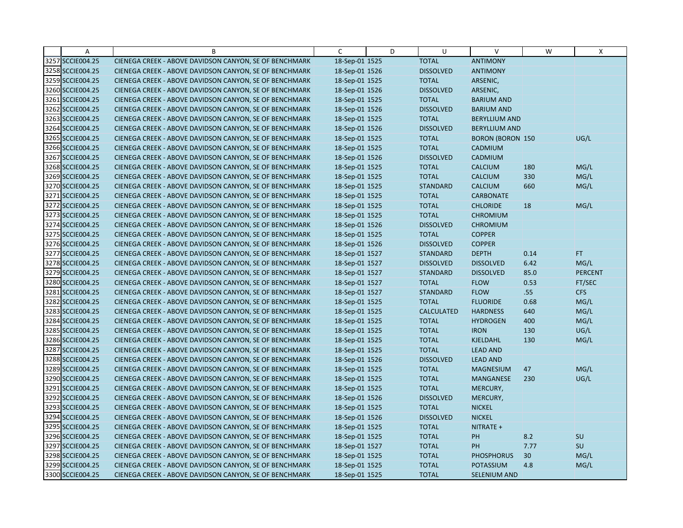| Α                | B                                                      | $\mathsf{C}$   | D | U                 | $\vee$                  | W    | X              |
|------------------|--------------------------------------------------------|----------------|---|-------------------|-------------------------|------|----------------|
| 3257 SCCIE004.25 | CIENEGA CREEK - ABOVE DAVIDSON CANYON, SE OF BENCHMARK | 18-Sep-01 1525 |   | <b>TOTAL</b>      | <b>ANTIMONY</b>         |      |                |
| 3258 SCCIE004.25 | CIENEGA CREEK - ABOVE DAVIDSON CANYON, SE OF BENCHMARK | 18-Sep-01 1526 |   | <b>DISSOLVED</b>  | <b>ANTIMONY</b>         |      |                |
| 3259 SCCIE004.25 | CIENEGA CREEK - ABOVE DAVIDSON CANYON, SE OF BENCHMARK | 18-Sep-01 1525 |   | <b>TOTAL</b>      | ARSENIC,                |      |                |
| 3260 SCCIE004.25 | CIENEGA CREEK - ABOVE DAVIDSON CANYON, SE OF BENCHMARK | 18-Sep-01 1526 |   | <b>DISSOLVED</b>  | ARSENIC,                |      |                |
| 3261 SCCIE004.25 | CIENEGA CREEK - ABOVE DAVIDSON CANYON, SE OF BENCHMARK | 18-Sep-01 1525 |   | <b>TOTAL</b>      | <b>BARIUM AND</b>       |      |                |
| 3262 SCCIE004.25 | CIENEGA CREEK - ABOVE DAVIDSON CANYON, SE OF BENCHMARK | 18-Sep-01 1526 |   | <b>DISSOLVED</b>  | <b>BARIUM AND</b>       |      |                |
| 3263 SCCIE004.25 | CIENEGA CREEK - ABOVE DAVIDSON CANYON, SE OF BENCHMARK | 18-Sep-01 1525 |   | <b>TOTAL</b>      | <b>BERYLLIUM AND</b>    |      |                |
| 3264 SCCIE004.25 | CIENEGA CREEK - ABOVE DAVIDSON CANYON, SE OF BENCHMARK | 18-Sep-01 1526 |   | <b>DISSOLVED</b>  | <b>BERYLLIUM AND</b>    |      |                |
| 3265 SCCIE004.25 | CIENEGA CREEK - ABOVE DAVIDSON CANYON, SE OF BENCHMARK | 18-Sep-01 1525 |   | <b>TOTAL</b>      | <b>BORON (BORON 150</b> |      | UG/L           |
| 3266 SCCIE004.25 | CIENEGA CREEK - ABOVE DAVIDSON CANYON, SE OF BENCHMARK | 18-Sep-01 1525 |   | <b>TOTAL</b>      | CADMIUM                 |      |                |
| 3267 SCCIE004.25 | CIENEGA CREEK - ABOVE DAVIDSON CANYON, SE OF BENCHMARK | 18-Sep-01 1526 |   | <b>DISSOLVED</b>  | CADMIUM                 |      |                |
| 3268 SCCIE004.25 | CIENEGA CREEK - ABOVE DAVIDSON CANYON, SE OF BENCHMARK | 18-Sep-01 1525 |   | <b>TOTAL</b>      | <b>CALCIUM</b>          | 180  | MG/L           |
| 3269 SCCIE004.25 | CIENEGA CREEK - ABOVE DAVIDSON CANYON, SE OF BENCHMARK | 18-Sep-01 1525 |   | <b>TOTAL</b>      | <b>CALCIUM</b>          | 330  | MG/L           |
| 3270 SCCIE004.25 | CIENEGA CREEK - ABOVE DAVIDSON CANYON, SE OF BENCHMARK | 18-Sep-01 1525 |   | <b>STANDARD</b>   | <b>CALCIUM</b>          | 660  | MG/L           |
| 3271 SCCIE004.25 | CIENEGA CREEK - ABOVE DAVIDSON CANYON, SE OF BENCHMARK | 18-Sep-01 1525 |   | <b>TOTAL</b>      | <b>CARBONATE</b>        |      |                |
| 3272 SCCIE004.25 | CIENEGA CREEK - ABOVE DAVIDSON CANYON, SE OF BENCHMARK | 18-Sep-01 1525 |   | <b>TOTAL</b>      | <b>CHLORIDE</b>         | 18   | MG/L           |
| 3273 SCCIE004.25 | CIENEGA CREEK - ABOVE DAVIDSON CANYON, SE OF BENCHMARK | 18-Sep-01 1525 |   | <b>TOTAL</b>      | <b>CHROMIUM</b>         |      |                |
| 3274 SCCIE004.25 | CIENEGA CREEK - ABOVE DAVIDSON CANYON, SE OF BENCHMARK | 18-Sep-01 1526 |   | <b>DISSOLVED</b>  | <b>CHROMIUM</b>         |      |                |
| 3275 SCCIE004.25 | CIENEGA CREEK - ABOVE DAVIDSON CANYON, SE OF BENCHMARK | 18-Sep-01 1525 |   | <b>TOTAL</b>      | <b>COPPER</b>           |      |                |
| 3276 SCCIE004.25 | CIENEGA CREEK - ABOVE DAVIDSON CANYON, SE OF BENCHMARK | 18-Sep-01 1526 |   | <b>DISSOLVED</b>  | <b>COPPER</b>           |      |                |
| 3277 SCCIE004.25 | CIENEGA CREEK - ABOVE DAVIDSON CANYON, SE OF BENCHMARK | 18-Sep-01 1527 |   | <b>STANDARD</b>   | <b>DEPTH</b>            | 0.14 | FT.            |
| 3278 SCCIE004.25 | CIENEGA CREEK - ABOVE DAVIDSON CANYON, SE OF BENCHMARK | 18-Sep-01 1527 |   | <b>DISSOLVED</b>  | <b>DISSOLVED</b>        | 6.42 | MG/L           |
| 3279 SCCIE004.25 | CIENEGA CREEK - ABOVE DAVIDSON CANYON, SE OF BENCHMARK | 18-Sep-01 1527 |   | <b>STANDARD</b>   | <b>DISSOLVED</b>        | 85.0 | <b>PERCENT</b> |
| 3280 SCCIE004.25 | CIENEGA CREEK - ABOVE DAVIDSON CANYON, SE OF BENCHMARK | 18-Sep-01 1527 |   | <b>TOTAL</b>      | <b>FLOW</b>             | 0.53 | FT/SEC         |
| 3281 SCCIE004.25 | CIENEGA CREEK - ABOVE DAVIDSON CANYON, SE OF BENCHMARK | 18-Sep-01 1527 |   | <b>STANDARD</b>   | <b>FLOW</b>             | .55  | <b>CFS</b>     |
| 3282 SCCIE004.25 | CIENEGA CREEK - ABOVE DAVIDSON CANYON, SE OF BENCHMARK | 18-Sep-01 1525 |   | <b>TOTAL</b>      | <b>FLUORIDE</b>         | 0.68 | MG/L           |
| 3283 SCCIE004.25 | CIENEGA CREEK - ABOVE DAVIDSON CANYON, SE OF BENCHMARK | 18-Sep-01 1525 |   | <b>CALCULATED</b> | <b>HARDNESS</b>         | 640  | MG/L           |
| 3284 SCCIE004.25 | CIENEGA CREEK - ABOVE DAVIDSON CANYON, SE OF BENCHMARK | 18-Sep-01 1525 |   | <b>TOTAL</b>      | <b>HYDROGEN</b>         | 400  | MG/L           |
| 3285 SCCIE004.25 | CIENEGA CREEK - ABOVE DAVIDSON CANYON, SE OF BENCHMARK | 18-Sep-01 1525 |   | <b>TOTAL</b>      | <b>IRON</b>             | 130  | UG/L           |
| 3286 SCCIE004.25 | CIENEGA CREEK - ABOVE DAVIDSON CANYON, SE OF BENCHMARK | 18-Sep-01 1525 |   | <b>TOTAL</b>      | <b>KJELDAHL</b>         | 130  | MG/L           |
| 3287 SCCIE004.25 | CIENEGA CREEK - ABOVE DAVIDSON CANYON, SE OF BENCHMARK | 18-Sep-01 1525 |   | <b>TOTAL</b>      | <b>LEAD AND</b>         |      |                |
| 3288 SCCIE004.25 | CIENEGA CREEK - ABOVE DAVIDSON CANYON, SE OF BENCHMARK | 18-Sep-01 1526 |   | <b>DISSOLVED</b>  | <b>LEAD AND</b>         |      |                |
| 3289 SCCIE004.25 | CIENEGA CREEK - ABOVE DAVIDSON CANYON, SE OF BENCHMARK | 18-Sep-01 1525 |   | <b>TOTAL</b>      | <b>MAGNESIUM</b>        | 47   | MG/L           |
| 3290 SCCIE004.25 | CIENEGA CREEK - ABOVE DAVIDSON CANYON, SE OF BENCHMARK | 18-Sep-01 1525 |   | <b>TOTAL</b>      | <b>MANGANESE</b>        | 230  | UG/L           |
| 3291 SCCIE004.25 | CIENEGA CREEK - ABOVE DAVIDSON CANYON, SE OF BENCHMARK | 18-Sep-01 1525 |   | <b>TOTAL</b>      | MERCURY,                |      |                |
| 3292 SCCIE004.25 | CIENEGA CREEK - ABOVE DAVIDSON CANYON, SE OF BENCHMARK | 18-Sep-01 1526 |   | <b>DISSOLVED</b>  | MERCURY,                |      |                |
| 3293 SCCIE004.25 | CIENEGA CREEK - ABOVE DAVIDSON CANYON, SE OF BENCHMARK | 18-Sep-01 1525 |   | <b>TOTAL</b>      | <b>NICKEL</b>           |      |                |
| 3294 SCCIE004.25 | CIENEGA CREEK - ABOVE DAVIDSON CANYON, SE OF BENCHMARK | 18-Sep-01 1526 |   | <b>DISSOLVED</b>  | <b>NICKEL</b>           |      |                |
| 3295 SCCIE004.25 | CIENEGA CREEK - ABOVE DAVIDSON CANYON, SE OF BENCHMARK | 18-Sep-01 1525 |   | <b>TOTAL</b>      | NITRATE +               |      |                |
| 3296 SCCIE004.25 | CIENEGA CREEK - ABOVE DAVIDSON CANYON, SE OF BENCHMARK | 18-Sep-01 1525 |   | <b>TOTAL</b>      | PH                      | 8.2  | SU             |
| 3297 SCCIE004.25 | CIENEGA CREEK - ABOVE DAVIDSON CANYON, SE OF BENCHMARK | 18-Sep-01 1527 |   | <b>TOTAL</b>      | <b>PH</b>               | 7.77 | SU             |
| 3298 SCCIE004.25 | CIENEGA CREEK - ABOVE DAVIDSON CANYON, SE OF BENCHMARK | 18-Sep-01 1525 |   | <b>TOTAL</b>      | <b>PHOSPHORUS</b>       | 30   | MG/L           |
| 3299 SCCIE004.25 | CIENEGA CREEK - ABOVE DAVIDSON CANYON, SE OF BENCHMARK | 18-Sep-01 1525 |   | <b>TOTAL</b>      | POTASSIUM               | 4.8  | MG/L           |
| 3300 SCCIE004.25 | CIENEGA CREEK - ABOVE DAVIDSON CANYON, SE OF BENCHMARK | 18-Sep-01 1525 |   | <b>TOTAL</b>      | <b>SELENIUM AND</b>     |      |                |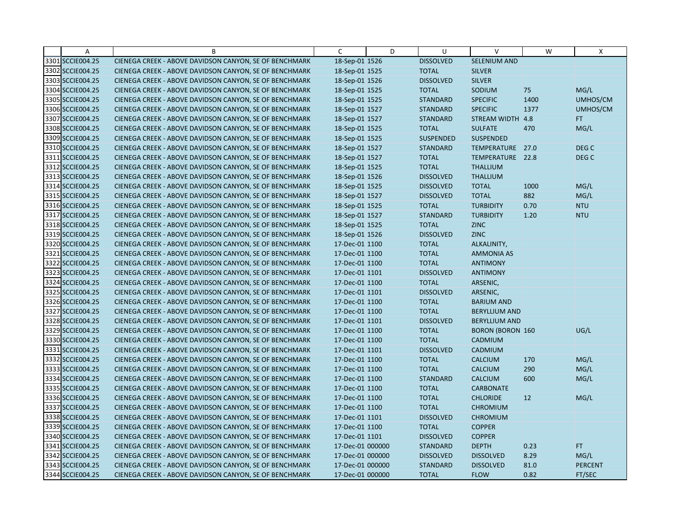| Α                | B                                                      | C                | D | U                | $\vee$                  | W    | X                |
|------------------|--------------------------------------------------------|------------------|---|------------------|-------------------------|------|------------------|
| 3301 SCCIE004.25 | CIENEGA CREEK - ABOVE DAVIDSON CANYON, SE OF BENCHMARK | 18-Sep-01 1526   |   | <b>DISSOLVED</b> | <b>SELENIUM AND</b>     |      |                  |
| 3302 SCCIE004.25 | CIENEGA CREEK - ABOVE DAVIDSON CANYON, SE OF BENCHMARK | 18-Sep-01 1525   |   | <b>TOTAL</b>     | <b>SILVER</b>           |      |                  |
| 3303 SCCIE004.25 | CIENEGA CREEK - ABOVE DAVIDSON CANYON, SE OF BENCHMARK | 18-Sep-01 1526   |   | <b>DISSOLVED</b> | <b>SILVER</b>           |      |                  |
| 3304 SCCIE004.25 | CIENEGA CREEK - ABOVE DAVIDSON CANYON, SE OF BENCHMARK | 18-Sep-01 1525   |   | <b>TOTAL</b>     | SODIUM                  | 75   | MG/L             |
| 3305 SCCIE004.25 | CIENEGA CREEK - ABOVE DAVIDSON CANYON, SE OF BENCHMARK | 18-Sep-01 1525   |   | <b>STANDARD</b>  | <b>SPECIFIC</b>         | 1400 | UMHOS/CM         |
| 3306 SCCIE004.25 | CIENEGA CREEK - ABOVE DAVIDSON CANYON, SE OF BENCHMARK | 18-Sep-01 1527   |   | <b>STANDARD</b>  | <b>SPECIFIC</b>         | 1377 | UMHOS/CM         |
| 3307 SCCIE004.25 | CIENEGA CREEK - ABOVE DAVIDSON CANYON, SE OF BENCHMARK | 18-Sep-01 1527   |   | <b>STANDARD</b>  | STREAM WIDTH 4.8        |      | FT.              |
| 3308 SCCIE004.25 | CIENEGA CREEK - ABOVE DAVIDSON CANYON, SE OF BENCHMARK | 18-Sep-01 1525   |   | <b>TOTAL</b>     | <b>SULFATE</b>          | 470  | MG/L             |
| 3309 SCCIE004.25 | CIENEGA CREEK - ABOVE DAVIDSON CANYON, SE OF BENCHMARK | 18-Sep-01 1525   |   | <b>SUSPENDED</b> | <b>SUSPENDED</b>        |      |                  |
| 3310 SCCIE004.25 | CIENEGA CREEK - ABOVE DAVIDSON CANYON, SE OF BENCHMARK | 18-Sep-01 1527   |   | <b>STANDARD</b>  | TEMPERATURE 27.0        |      | DEG <sub>C</sub> |
| 3311 SCCIE004.25 | CIENEGA CREEK - ABOVE DAVIDSON CANYON, SE OF BENCHMARK | 18-Sep-01 1527   |   | <b>TOTAL</b>     | TEMPERATURE 22.8        |      | DEG <sub>C</sub> |
| 3312 SCCIE004.25 | CIENEGA CREEK - ABOVE DAVIDSON CANYON, SE OF BENCHMARK | 18-Sep-01 1525   |   | <b>TOTAL</b>     | <b>THALLIUM</b>         |      |                  |
| 3313 SCCIE004.25 | CIENEGA CREEK - ABOVE DAVIDSON CANYON, SE OF BENCHMARK | 18-Sep-01 1526   |   | <b>DISSOLVED</b> | <b>THALLIUM</b>         |      |                  |
| 3314 SCCIE004.25 | CIENEGA CREEK - ABOVE DAVIDSON CANYON, SE OF BENCHMARK | 18-Sep-01 1525   |   | <b>DISSOLVED</b> | <b>TOTAL</b>            | 1000 | MG/L             |
| 3315 SCCIE004.25 | CIENEGA CREEK - ABOVE DAVIDSON CANYON, SE OF BENCHMARK | 18-Sep-01 1527   |   | <b>DISSOLVED</b> | <b>TOTAL</b>            | 882  | MG/L             |
| 3316 SCCIE004.25 | CIENEGA CREEK - ABOVE DAVIDSON CANYON, SE OF BENCHMARK | 18-Sep-01 1525   |   | <b>TOTAL</b>     | <b>TURBIDITY</b>        | 0.70 | <b>NTU</b>       |
| 3317 SCCIE004.25 | CIENEGA CREEK - ABOVE DAVIDSON CANYON, SE OF BENCHMARK | 18-Sep-01 1527   |   | <b>STANDARD</b>  | <b>TURBIDITY</b>        | 1.20 | <b>NTU</b>       |
| 3318 SCCIE004.25 | CIENEGA CREEK - ABOVE DAVIDSON CANYON, SE OF BENCHMARK | 18-Sep-01 1525   |   | <b>TOTAL</b>     | <b>ZINC</b>             |      |                  |
| 3319 SCCIE004.25 | CIENEGA CREEK - ABOVE DAVIDSON CANYON, SE OF BENCHMARK | 18-Sep-01 1526   |   | <b>DISSOLVED</b> | <b>ZINC</b>             |      |                  |
| 3320 SCCIE004.25 | CIENEGA CREEK - ABOVE DAVIDSON CANYON, SE OF BENCHMARK | 17-Dec-01 1100   |   | <b>TOTAL</b>     | ALKALINITY,             |      |                  |
| 3321 SCCIE004.25 | CIENEGA CREEK - ABOVE DAVIDSON CANYON, SE OF BENCHMARK | 17-Dec-01 1100   |   | <b>TOTAL</b>     | <b>AMMONIA AS</b>       |      |                  |
| 3322 SCCIE004.25 | CIENEGA CREEK - ABOVE DAVIDSON CANYON, SE OF BENCHMARK | 17-Dec-01 1100   |   | <b>TOTAL</b>     | <b>ANTIMONY</b>         |      |                  |
| 3323 SCCIE004.25 | CIENEGA CREEK - ABOVE DAVIDSON CANYON, SE OF BENCHMARK | 17-Dec-01 1101   |   | <b>DISSOLVED</b> | <b>ANTIMONY</b>         |      |                  |
| 3324 SCCIE004.25 | CIENEGA CREEK - ABOVE DAVIDSON CANYON, SE OF BENCHMARK | 17-Dec-01 1100   |   | <b>TOTAL</b>     | ARSENIC,                |      |                  |
| 3325 SCCIE004.25 | CIENEGA CREEK - ABOVE DAVIDSON CANYON, SE OF BENCHMARK | 17-Dec-01 1101   |   | <b>DISSOLVED</b> | ARSENIC,                |      |                  |
| 3326 SCCIE004.25 | CIENEGA CREEK - ABOVE DAVIDSON CANYON, SE OF BENCHMARK | 17-Dec-01 1100   |   | <b>TOTAL</b>     | <b>BARIUM AND</b>       |      |                  |
| 3327 SCCIE004.25 | CIENEGA CREEK - ABOVE DAVIDSON CANYON, SE OF BENCHMARK | 17-Dec-01 1100   |   | <b>TOTAL</b>     | <b>BERYLLIUM AND</b>    |      |                  |
| 3328 SCCIE004.25 | CIENEGA CREEK - ABOVE DAVIDSON CANYON, SE OF BENCHMARK | 17-Dec-01 1101   |   | <b>DISSOLVED</b> | <b>BERYLLIUM AND</b>    |      |                  |
| 3329 SCCIE004.25 | CIENEGA CREEK - ABOVE DAVIDSON CANYON, SE OF BENCHMARK | 17-Dec-01 1100   |   | <b>TOTAL</b>     | <b>BORON (BORON 160</b> |      | UG/L             |
| 3330 SCCIE004.25 | CIENEGA CREEK - ABOVE DAVIDSON CANYON, SE OF BENCHMARK | 17-Dec-01 1100   |   | <b>TOTAL</b>     | CADMIUM                 |      |                  |
| 3331 SCCIE004.25 | CIENEGA CREEK - ABOVE DAVIDSON CANYON, SE OF BENCHMARK | 17-Dec-01 1101   |   | <b>DISSOLVED</b> | CADMIUM                 |      |                  |
| 3332 SCCIE004.25 | CIENEGA CREEK - ABOVE DAVIDSON CANYON, SE OF BENCHMARK | 17-Dec-01 1100   |   | <b>TOTAL</b>     | <b>CALCIUM</b>          | 170  | MG/L             |
| 3333 SCCIE004.25 | CIENEGA CREEK - ABOVE DAVIDSON CANYON, SE OF BENCHMARK | 17-Dec-01 1100   |   | <b>TOTAL</b>     | <b>CALCIUM</b>          | 290  | MG/L             |
| 3334 SCCIE004.25 | CIENEGA CREEK - ABOVE DAVIDSON CANYON, SE OF BENCHMARK | 17-Dec-01 1100   |   | <b>STANDARD</b>  | CALCIUM                 | 600  | MG/L             |
| 3335 SCCIE004.25 | CIENEGA CREEK - ABOVE DAVIDSON CANYON, SE OF BENCHMARK | 17-Dec-01 1100   |   | <b>TOTAL</b>     | <b>CARBONATE</b>        |      |                  |
| 3336 SCCIE004.25 | CIENEGA CREEK - ABOVE DAVIDSON CANYON, SE OF BENCHMARK | 17-Dec-01 1100   |   | <b>TOTAL</b>     | <b>CHLORIDE</b>         | 12   | MG/L             |
| 3337 SCCIE004.25 | CIENEGA CREEK - ABOVE DAVIDSON CANYON, SE OF BENCHMARK | 17-Dec-01 1100   |   | <b>TOTAL</b>     | <b>CHROMIUM</b>         |      |                  |
| 3338 SCCIE004.25 | CIENEGA CREEK - ABOVE DAVIDSON CANYON, SE OF BENCHMARK | 17-Dec-01 1101   |   | <b>DISSOLVED</b> | <b>CHROMIUM</b>         |      |                  |
| 3339 SCCIE004.25 | CIENEGA CREEK - ABOVE DAVIDSON CANYON, SE OF BENCHMARK | 17-Dec-01 1100   |   | <b>TOTAL</b>     | <b>COPPER</b>           |      |                  |
| 3340 SCCIE004.25 | CIENEGA CREEK - ABOVE DAVIDSON CANYON, SE OF BENCHMARK | 17-Dec-01 1101   |   | <b>DISSOLVED</b> | <b>COPPER</b>           |      |                  |
| 3341 SCCIE004.25 | CIENEGA CREEK - ABOVE DAVIDSON CANYON, SE OF BENCHMARK | 17-Dec-01 000000 |   | <b>STANDARD</b>  | <b>DEPTH</b>            | 0.23 | FT.              |
| 3342 SCCIE004.25 | CIENEGA CREEK - ABOVE DAVIDSON CANYON, SE OF BENCHMARK | 17-Dec-01 000000 |   | <b>DISSOLVED</b> | <b>DISSOLVED</b>        | 8.29 | MG/L             |
| 3343 SCCIE004.25 | CIENEGA CREEK - ABOVE DAVIDSON CANYON, SE OF BENCHMARK | 17-Dec-01 000000 |   | <b>STANDARD</b>  | <b>DISSOLVED</b>        | 81.0 | <b>PERCENT</b>   |
| 3344 SCCIE004.25 | CIENEGA CREEK - ABOVE DAVIDSON CANYON, SE OF BENCHMARK | 17-Dec-01 000000 |   | <b>TOTAL</b>     | <b>FLOW</b>             | 0.82 | FT/SEC           |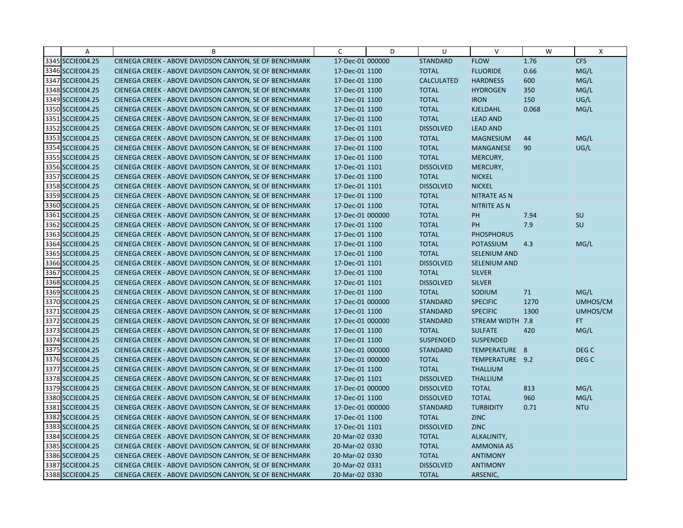| Α                | B                                                      | C                | D | U                 | $\mathsf{V}$        | W     | X                |
|------------------|--------------------------------------------------------|------------------|---|-------------------|---------------------|-------|------------------|
| 3345 SCCIE004.25 | CIENEGA CREEK - ABOVE DAVIDSON CANYON, SE OF BENCHMARK | 17-Dec-01 000000 |   | <b>STANDARD</b>   | <b>FLOW</b>         | 1.76  | <b>CFS</b>       |
| 3346 SCCIE004.25 | CIENEGA CREEK - ABOVE DAVIDSON CANYON, SE OF BENCHMARK | 17-Dec-01 1100   |   | <b>TOTAL</b>      | <b>FLUORIDE</b>     | 0.66  | MG/L             |
| 3347 SCCIE004.25 | CIENEGA CREEK - ABOVE DAVIDSON CANYON, SE OF BENCHMARK | 17-Dec-01 1100   |   | <b>CALCULATED</b> | <b>HARDNESS</b>     | 600   | MG/L             |
| 3348 SCCIE004.25 | CIENEGA CREEK - ABOVE DAVIDSON CANYON, SE OF BENCHMARK | 17-Dec-01 1100   |   | <b>TOTAL</b>      | <b>HYDROGEN</b>     | 350   | MG/L             |
| 3349 SCCIE004.25 | CIENEGA CREEK - ABOVE DAVIDSON CANYON, SE OF BENCHMARK | 17-Dec-01 1100   |   | <b>TOTAL</b>      | <b>IRON</b>         | 150   | UG/L             |
| 3350 SCCIE004.25 | CIENEGA CREEK - ABOVE DAVIDSON CANYON, SE OF BENCHMARK | 17-Dec-01 1100   |   | <b>TOTAL</b>      | <b>KJELDAHL</b>     | 0.068 | MG/L             |
| 3351 SCCIE004.25 | CIENEGA CREEK - ABOVE DAVIDSON CANYON, SE OF BENCHMARK | 17-Dec-01 1100   |   | <b>TOTAL</b>      | <b>LEAD AND</b>     |       |                  |
| 3352 SCCIE004.25 | CIENEGA CREEK - ABOVE DAVIDSON CANYON, SE OF BENCHMARK | 17-Dec-01 1101   |   | <b>DISSOLVED</b>  | <b>LEAD AND</b>     |       |                  |
| 3353 SCCIE004.25 | CIENEGA CREEK - ABOVE DAVIDSON CANYON, SE OF BENCHMARK | 17-Dec-01 1100   |   | <b>TOTAL</b>      | <b>MAGNESIUM</b>    | 44    | MG/L             |
| 3354 SCCIE004.25 | CIENEGA CREEK - ABOVE DAVIDSON CANYON, SE OF BENCHMARK | 17-Dec-01 1100   |   | <b>TOTAL</b>      | <b>MANGANESE</b>    | 90    | UG/L             |
| 3355 SCCIE004.25 | CIENEGA CREEK - ABOVE DAVIDSON CANYON, SE OF BENCHMARK | 17-Dec-01 1100   |   | <b>TOTAL</b>      | MERCURY,            |       |                  |
| 3356 SCCIE004.25 | CIENEGA CREEK - ABOVE DAVIDSON CANYON, SE OF BENCHMARK | 17-Dec-01 1101   |   | <b>DISSOLVED</b>  | MERCURY,            |       |                  |
| 3357 SCCIE004.25 | CIENEGA CREEK - ABOVE DAVIDSON CANYON, SE OF BENCHMARK | 17-Dec-01 1100   |   | <b>TOTAL</b>      | <b>NICKEL</b>       |       |                  |
| 3358 SCCIE004.25 | CIENEGA CREEK - ABOVE DAVIDSON CANYON, SE OF BENCHMARK | 17-Dec-01 1101   |   | <b>DISSOLVED</b>  | <b>NICKEL</b>       |       |                  |
| 3359 SCCIE004.25 | CIENEGA CREEK - ABOVE DAVIDSON CANYON, SE OF BENCHMARK | 17-Dec-01 1100   |   | <b>TOTAL</b>      | <b>NITRATE AS N</b> |       |                  |
| 3360 SCCIE004.25 | CIENEGA CREEK - ABOVE DAVIDSON CANYON, SE OF BENCHMARK | 17-Dec-01 1100   |   | <b>TOTAL</b>      | <b>NITRITE AS N</b> |       |                  |
| 3361 SCCIE004.25 | CIENEGA CREEK - ABOVE DAVIDSON CANYON, SE OF BENCHMARK | 17-Dec-01 000000 |   | <b>TOTAL</b>      | PH                  | 7.94  | <b>SU</b>        |
| 3362 SCCIE004.25 | CIENEGA CREEK - ABOVE DAVIDSON CANYON, SE OF BENCHMARK | 17-Dec-01 1100   |   | <b>TOTAL</b>      | PH                  | 7.9   | SU               |
| 3363 SCCIE004.25 | CIENEGA CREEK - ABOVE DAVIDSON CANYON, SE OF BENCHMARK | 17-Dec-01 1100   |   | <b>TOTAL</b>      | <b>PHOSPHORUS</b>   |       |                  |
| 3364 SCCIE004.25 | CIENEGA CREEK - ABOVE DAVIDSON CANYON, SE OF BENCHMARK | 17-Dec-01 1100   |   | <b>TOTAL</b>      | POTASSIUM           | 4.3   | MG/L             |
| 3365 SCCIE004.25 | CIENEGA CREEK - ABOVE DAVIDSON CANYON, SE OF BENCHMARK | 17-Dec-01 1100   |   | <b>TOTAL</b>      | <b>SELENIUM AND</b> |       |                  |
| 3366 SCCIE004.25 | CIENEGA CREEK - ABOVE DAVIDSON CANYON, SE OF BENCHMARK | 17-Dec-01 1101   |   | <b>DISSOLVED</b>  | <b>SELENIUM AND</b> |       |                  |
| 3367 SCCIE004.25 | CIENEGA CREEK - ABOVE DAVIDSON CANYON, SE OF BENCHMARK | 17-Dec-01 1100   |   | <b>TOTAL</b>      | <b>SILVER</b>       |       |                  |
| 3368 SCCIE004.25 | CIENEGA CREEK - ABOVE DAVIDSON CANYON, SE OF BENCHMARK | 17-Dec-01 1101   |   | <b>DISSOLVED</b>  | <b>SILVER</b>       |       |                  |
| 3369 SCCIE004.25 | CIENEGA CREEK - ABOVE DAVIDSON CANYON, SE OF BENCHMARK | 17-Dec-01 1100   |   | <b>TOTAL</b>      | SODIUM              | 71    | MG/L             |
| 3370 SCCIE004.25 | CIENEGA CREEK - ABOVE DAVIDSON CANYON, SE OF BENCHMARK | 17-Dec-01 000000 |   | <b>STANDARD</b>   | <b>SPECIFIC</b>     | 1270  | UMHOS/CM         |
| 3371 SCCIE004.25 | CIENEGA CREEK - ABOVE DAVIDSON CANYON, SE OF BENCHMARK | 17-Dec-01 1100   |   | <b>STANDARD</b>   | <b>SPECIFIC</b>     | 1300  | UMHOS/CM         |
| 3372 SCCIE004.25 | CIENEGA CREEK - ABOVE DAVIDSON CANYON, SE OF BENCHMARK | 17-Dec-01 000000 |   | <b>STANDARD</b>   | STREAM WIDTH 7.8    |       | FT.              |
| 3373 SCCIE004.25 | CIENEGA CREEK - ABOVE DAVIDSON CANYON, SE OF BENCHMARK | 17-Dec-01 1100   |   | <b>TOTAL</b>      | <b>SULFATE</b>      | 420   | MG/L             |
| 3374 SCCIE004.25 | CIENEGA CREEK - ABOVE DAVIDSON CANYON, SE OF BENCHMARK | 17-Dec-01 1100   |   | <b>SUSPENDED</b>  | <b>SUSPENDED</b>    |       |                  |
| 3375 SCCIE004.25 | CIENEGA CREEK - ABOVE DAVIDSON CANYON, SE OF BENCHMARK | 17-Dec-01 000000 |   | <b>STANDARD</b>   | TEMPERATURE 8       |       | DEG <sub>C</sub> |
| 3376 SCCIE004.25 | CIENEGA CREEK - ABOVE DAVIDSON CANYON, SE OF BENCHMARK | 17-Dec-01 000000 |   | <b>TOTAL</b>      | TEMPERATURE 9.2     |       | DEG <sub>C</sub> |
| 3377 SCCIE004.25 | CIENEGA CREEK - ABOVE DAVIDSON CANYON, SE OF BENCHMARK | 17-Dec-01 1100   |   | <b>TOTAL</b>      | <b>THALLIUM</b>     |       |                  |
| 3378 SCCIE004.25 | CIENEGA CREEK - ABOVE DAVIDSON CANYON, SE OF BENCHMARK | 17-Dec-01 1101   |   | <b>DISSOLVED</b>  | <b>THALLIUM</b>     |       |                  |
| 3379 SCCIE004.25 | CIENEGA CREEK - ABOVE DAVIDSON CANYON, SE OF BENCHMARK | 17-Dec-01 000000 |   | <b>DISSOLVED</b>  | <b>TOTAL</b>        | 813   | MG/L             |
| 3380 SCCIE004.25 | CIENEGA CREEK - ABOVE DAVIDSON CANYON, SE OF BENCHMARK | 17-Dec-01 1100   |   | <b>DISSOLVED</b>  | <b>TOTAL</b>        | 960   | MG/L             |
| 3381 SCCIE004.25 | CIENEGA CREEK - ABOVE DAVIDSON CANYON, SE OF BENCHMARK | 17-Dec-01 000000 |   | <b>STANDARD</b>   | <b>TURBIDITY</b>    | 0.71  | <b>NTU</b>       |
| 3382 SCCIE004.25 | CIENEGA CREEK - ABOVE DAVIDSON CANYON, SE OF BENCHMARK | 17-Dec-01 1100   |   | <b>TOTAL</b>      | <b>ZINC</b>         |       |                  |
| 3383 SCCIE004.25 | CIENEGA CREEK - ABOVE DAVIDSON CANYON, SE OF BENCHMARK | 17-Dec-01 1101   |   | <b>DISSOLVED</b>  | <b>ZINC</b>         |       |                  |
| 3384 SCCIE004.25 | CIENEGA CREEK - ABOVE DAVIDSON CANYON, SE OF BENCHMARK | 20-Mar-02 0330   |   | <b>TOTAL</b>      | ALKALINITY,         |       |                  |
| 3385 SCCIE004.25 | CIENEGA CREEK - ABOVE DAVIDSON CANYON, SE OF BENCHMARK | 20-Mar-02 0330   |   | <b>TOTAL</b>      | <b>AMMONIA AS</b>   |       |                  |
| 3386 SCCIE004.25 | CIENEGA CREEK - ABOVE DAVIDSON CANYON, SE OF BENCHMARK | 20-Mar-02 0330   |   | <b>TOTAL</b>      | <b>ANTIMONY</b>     |       |                  |
| 3387 SCCIE004.25 | CIENEGA CREEK - ABOVE DAVIDSON CANYON, SE OF BENCHMARK | 20-Mar-02 0331   |   | <b>DISSOLVED</b>  | <b>ANTIMONY</b>     |       |                  |
| 3388 SCCIE004.25 | CIENEGA CREEK - ABOVE DAVIDSON CANYON, SE OF BENCHMARK | 20-Mar-02 0330   |   | <b>TOTAL</b>      | ARSENIC,            |       |                  |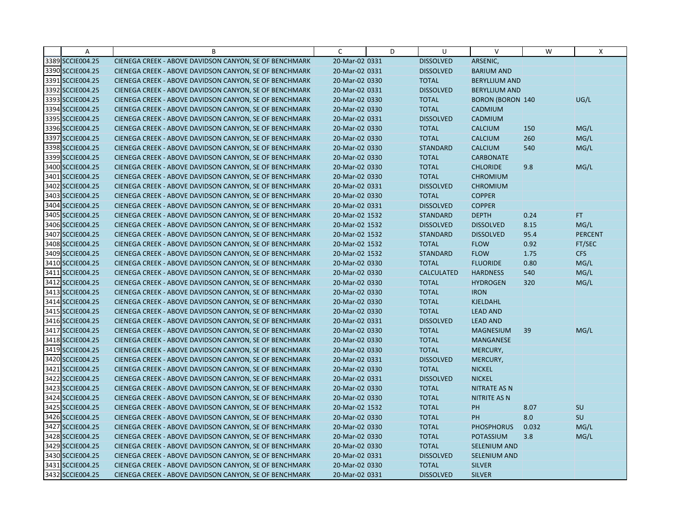| Α                | B                                                      | C              | D | U                 | $\vee$                  | W     | X              |
|------------------|--------------------------------------------------------|----------------|---|-------------------|-------------------------|-------|----------------|
| 3389 SCCIE004.25 | CIENEGA CREEK - ABOVE DAVIDSON CANYON, SE OF BENCHMARK | 20-Mar-02 0331 |   | <b>DISSOLVED</b>  | ARSENIC,                |       |                |
| 3390 SCCIE004.25 | CIENEGA CREEK - ABOVE DAVIDSON CANYON, SE OF BENCHMARK | 20-Mar-02 0331 |   | <b>DISSOLVED</b>  | <b>BARIUM AND</b>       |       |                |
| 3391 SCCIE004.25 | CIENEGA CREEK - ABOVE DAVIDSON CANYON, SE OF BENCHMARK | 20-Mar-02 0330 |   | <b>TOTAL</b>      | <b>BERYLLIUM AND</b>    |       |                |
| 3392 SCCIE004.25 | CIENEGA CREEK - ABOVE DAVIDSON CANYON, SE OF BENCHMARK | 20-Mar-02 0331 |   | <b>DISSOLVED</b>  | <b>BERYLLIUM AND</b>    |       |                |
| 3393 SCCIE004.25 | CIENEGA CREEK - ABOVE DAVIDSON CANYON, SE OF BENCHMARK | 20-Mar-02 0330 |   | <b>TOTAL</b>      | <b>BORON (BORON 140</b> |       | UG/L           |
| 3394 SCCIE004.25 | CIENEGA CREEK - ABOVE DAVIDSON CANYON, SE OF BENCHMARK | 20-Mar-02 0330 |   | <b>TOTAL</b>      | <b>CADMIUM</b>          |       |                |
| 3395 SCCIE004.25 | CIENEGA CREEK - ABOVE DAVIDSON CANYON, SE OF BENCHMARK | 20-Mar-02 0331 |   | <b>DISSOLVED</b>  | <b>CADMIUM</b>          |       |                |
| 3396 SCCIE004.25 | CIENEGA CREEK - ABOVE DAVIDSON CANYON, SE OF BENCHMARK | 20-Mar-02 0330 |   | <b>TOTAL</b>      | <b>CALCIUM</b>          | 150   | MG/L           |
| 3397 SCCIE004.25 | CIENEGA CREEK - ABOVE DAVIDSON CANYON, SE OF BENCHMARK | 20-Mar-02 0330 |   | <b>TOTAL</b>      | <b>CALCIUM</b>          | 260   | MG/L           |
| 3398 SCCIE004.25 | CIENEGA CREEK - ABOVE DAVIDSON CANYON, SE OF BENCHMARK | 20-Mar-02 0330 |   | <b>STANDARD</b>   | <b>CALCIUM</b>          | 540   | MG/L           |
| 3399 SCCIE004.25 | CIENEGA CREEK - ABOVE DAVIDSON CANYON, SE OF BENCHMARK | 20-Mar-02 0330 |   | <b>TOTAL</b>      | <b>CARBONATE</b>        |       |                |
| 3400 SCCIE004.25 | CIENEGA CREEK - ABOVE DAVIDSON CANYON, SE OF BENCHMARK | 20-Mar-02 0330 |   | <b>TOTAL</b>      | <b>CHLORIDE</b>         | 9.8   | MG/L           |
| 3401 SCCIE004.25 | CIENEGA CREEK - ABOVE DAVIDSON CANYON, SE OF BENCHMARK | 20-Mar-02 0330 |   | <b>TOTAL</b>      | <b>CHROMIUM</b>         |       |                |
| 3402 SCCIE004.25 | CIENEGA CREEK - ABOVE DAVIDSON CANYON, SE OF BENCHMARK | 20-Mar-02 0331 |   | <b>DISSOLVED</b>  | <b>CHROMIUM</b>         |       |                |
| 3403 SCCIE004.25 | CIENEGA CREEK - ABOVE DAVIDSON CANYON, SE OF BENCHMARK | 20-Mar-02 0330 |   | <b>TOTAL</b>      | <b>COPPER</b>           |       |                |
| 3404 SCCIE004.25 | CIENEGA CREEK - ABOVE DAVIDSON CANYON, SE OF BENCHMARK | 20-Mar-02 0331 |   | <b>DISSOLVED</b>  | <b>COPPER</b>           |       |                |
| 3405 SCCIE004.25 | CIENEGA CREEK - ABOVE DAVIDSON CANYON, SE OF BENCHMARK | 20-Mar-02 1532 |   | <b>STANDARD</b>   | <b>DEPTH</b>            | 0.24  | FT.            |
| 3406 SCCIE004.25 | CIENEGA CREEK - ABOVE DAVIDSON CANYON, SE OF BENCHMARK | 20-Mar-02 1532 |   | <b>DISSOLVED</b>  | <b>DISSOLVED</b>        | 8.15  | MG/L           |
| 3407 SCCIE004.25 | CIENEGA CREEK - ABOVE DAVIDSON CANYON, SE OF BENCHMARK | 20-Mar-02 1532 |   | <b>STANDARD</b>   | <b>DISSOLVED</b>        | 95.4  | <b>PERCENT</b> |
| 3408 SCCIE004.25 | CIENEGA CREEK - ABOVE DAVIDSON CANYON, SE OF BENCHMARK | 20-Mar-02 1532 |   | <b>TOTAL</b>      | <b>FLOW</b>             | 0.92  | FT/SEC         |
| 3409 SCCIE004.25 | CIENEGA CREEK - ABOVE DAVIDSON CANYON, SE OF BENCHMARK | 20-Mar-02 1532 |   | <b>STANDARD</b>   | <b>FLOW</b>             | 1.75  | CFS            |
| 3410 SCCIE004.25 | CIENEGA CREEK - ABOVE DAVIDSON CANYON, SE OF BENCHMARK | 20-Mar-02 0330 |   | <b>TOTAL</b>      | <b>FLUORIDE</b>         | 0.80  | MG/L           |
| 3411 SCCIE004.25 | CIENEGA CREEK - ABOVE DAVIDSON CANYON, SE OF BENCHMARK | 20-Mar-02 0330 |   | <b>CALCULATED</b> | <b>HARDNESS</b>         | 540   | MG/L           |
| 3412 SCCIE004.25 | CIENEGA CREEK - ABOVE DAVIDSON CANYON, SE OF BENCHMARK | 20-Mar-02 0330 |   | <b>TOTAL</b>      | <b>HYDROGEN</b>         | 320   | MG/L           |
| 3413 SCCIE004.25 | CIENEGA CREEK - ABOVE DAVIDSON CANYON, SE OF BENCHMARK | 20-Mar-02 0330 |   | <b>TOTAL</b>      | <b>IRON</b>             |       |                |
| 3414 SCCIE004.25 | CIENEGA CREEK - ABOVE DAVIDSON CANYON, SE OF BENCHMARK | 20-Mar-02 0330 |   | <b>TOTAL</b>      | KJELDAHL                |       |                |
| 3415 SCCIE004.25 | CIENEGA CREEK - ABOVE DAVIDSON CANYON, SE OF BENCHMARK | 20-Mar-02 0330 |   | <b>TOTAL</b>      | <b>LEAD AND</b>         |       |                |
| 3416 SCCIE004.25 | CIENEGA CREEK - ABOVE DAVIDSON CANYON, SE OF BENCHMARK | 20-Mar-02 0331 |   | <b>DISSOLVED</b>  | <b>LEAD AND</b>         |       |                |
| 3417 SCCIE004.25 | CIENEGA CREEK - ABOVE DAVIDSON CANYON, SE OF BENCHMARK | 20-Mar-02 0330 |   | <b>TOTAL</b>      | <b>MAGNESIUM</b>        | 39    | MG/L           |
| 3418 SCCIE004.25 | CIENEGA CREEK - ABOVE DAVIDSON CANYON, SE OF BENCHMARK | 20-Mar-02 0330 |   | <b>TOTAL</b>      | MANGANESE               |       |                |
| 3419 SCCIE004.25 | CIENEGA CREEK - ABOVE DAVIDSON CANYON, SE OF BENCHMARK | 20-Mar-02 0330 |   | <b>TOTAL</b>      | MERCURY,                |       |                |
| 3420 SCCIE004.25 | CIENEGA CREEK - ABOVE DAVIDSON CANYON, SE OF BENCHMARK | 20-Mar-02 0331 |   | <b>DISSOLVED</b>  | MERCURY,                |       |                |
| 3421 SCCIE004.25 | CIENEGA CREEK - ABOVE DAVIDSON CANYON, SE OF BENCHMARK | 20-Mar-02 0330 |   | <b>TOTAL</b>      | <b>NICKEL</b>           |       |                |
| 3422 SCCIE004.25 | CIENEGA CREEK - ABOVE DAVIDSON CANYON, SE OF BENCHMARK | 20-Mar-02 0331 |   | <b>DISSOLVED</b>  | <b>NICKEL</b>           |       |                |
| 3423 SCCIE004.25 | CIENEGA CREEK - ABOVE DAVIDSON CANYON, SE OF BENCHMARK | 20-Mar-02 0330 |   | <b>TOTAL</b>      | <b>NITRATE AS N</b>     |       |                |
| 3424 SCCIE004.25 | CIENEGA CREEK - ABOVE DAVIDSON CANYON, SE OF BENCHMARK | 20-Mar-02 0330 |   | <b>TOTAL</b>      | <b>NITRITE AS N</b>     |       |                |
| 3425 SCCIE004.25 | CIENEGA CREEK - ABOVE DAVIDSON CANYON, SE OF BENCHMARK | 20-Mar-02 1532 |   | <b>TOTAL</b>      | <b>PH</b>               | 8.07  | SU             |
| 3426 SCCIE004.25 | CIENEGA CREEK - ABOVE DAVIDSON CANYON, SE OF BENCHMARK | 20-Mar-02 0330 |   | <b>TOTAL</b>      | PH                      | 8.0   | SU             |
| 3427 SCCIE004.25 | CIENEGA CREEK - ABOVE DAVIDSON CANYON, SE OF BENCHMARK | 20-Mar-02 0330 |   | <b>TOTAL</b>      | <b>PHOSPHORUS</b>       | 0.032 | MG/L           |
| 3428 SCCIE004.25 | CIENEGA CREEK - ABOVE DAVIDSON CANYON, SE OF BENCHMARK | 20-Mar-02 0330 |   | <b>TOTAL</b>      | POTASSIUM               | 3.8   | MG/L           |
| 3429 SCCIE004.25 | CIENEGA CREEK - ABOVE DAVIDSON CANYON, SE OF BENCHMARK | 20-Mar-02 0330 |   | <b>TOTAL</b>      | <b>SELENIUM AND</b>     |       |                |
| 3430 SCCIE004.25 | CIENEGA CREEK - ABOVE DAVIDSON CANYON, SE OF BENCHMARK | 20-Mar-02 0331 |   | <b>DISSOLVED</b>  | <b>SELENIUM AND</b>     |       |                |
| 3431 SCCIE004.25 | CIENEGA CREEK - ABOVE DAVIDSON CANYON, SE OF BENCHMARK | 20-Mar-02 0330 |   | <b>TOTAL</b>      | <b>SILVER</b>           |       |                |
| 3432 SCCIE004.25 | CIENEGA CREEK - ABOVE DAVIDSON CANYON, SE OF BENCHMARK | 20-Mar-02 0331 |   | <b>DISSOLVED</b>  | <b>SILVER</b>           |       |                |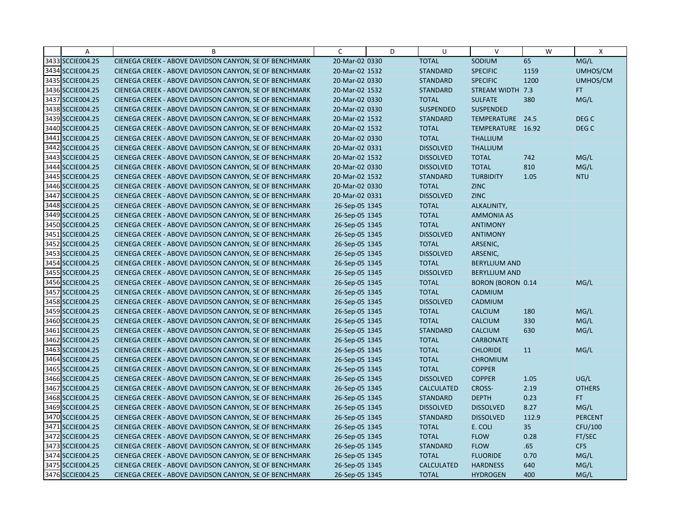| Α                | B                                                      | C              | D | U                 | $\vee$                   | W     | X                |
|------------------|--------------------------------------------------------|----------------|---|-------------------|--------------------------|-------|------------------|
| 3433 SCCIE004.25 | CIENEGA CREEK - ABOVE DAVIDSON CANYON, SE OF BENCHMARK | 20-Mar-02 0330 |   | <b>TOTAL</b>      | SODIUM                   | 65    | MG/L             |
| 3434 SCCIE004.25 | CIENEGA CREEK - ABOVE DAVIDSON CANYON, SE OF BENCHMARK | 20-Mar-02 1532 |   | <b>STANDARD</b>   | <b>SPECIFIC</b>          | 1159  | UMHOS/CM         |
| 3435 SCCIE004.25 | CIENEGA CREEK - ABOVE DAVIDSON CANYON, SE OF BENCHMARK | 20-Mar-02 0330 |   | <b>STANDARD</b>   | <b>SPECIFIC</b>          | 1200  | UMHOS/CM         |
| 3436 SCCIE004.25 | CIENEGA CREEK - ABOVE DAVIDSON CANYON, SE OF BENCHMARK | 20-Mar-02 1532 |   | <b>STANDARD</b>   | STREAM WIDTH 7.3         |       | FT.              |
| 3437 SCCIE004.25 | CIENEGA CREEK - ABOVE DAVIDSON CANYON, SE OF BENCHMARK | 20-Mar-02 0330 |   | <b>TOTAL</b>      | <b>SULFATE</b>           | 380   | MG/L             |
| 3438 SCCIE004.25 | CIENEGA CREEK - ABOVE DAVIDSON CANYON, SE OF BENCHMARK | 20-Mar-02 0330 |   | <b>SUSPENDED</b>  | <b>SUSPENDED</b>         |       |                  |
| 3439 SCCIE004.25 | CIENEGA CREEK - ABOVE DAVIDSON CANYON, SE OF BENCHMARK | 20-Mar-02 1532 |   | <b>STANDARD</b>   | TEMPERATURE 24.5         |       | DEG <sub>C</sub> |
| 3440 SCCIE004.25 | CIENEGA CREEK - ABOVE DAVIDSON CANYON, SE OF BENCHMARK | 20-Mar-02 1532 |   | <b>TOTAL</b>      | TEMPERATURE 16.92        |       | DEG <sub>C</sub> |
| 3441 SCCIE004.25 | CIENEGA CREEK - ABOVE DAVIDSON CANYON, SE OF BENCHMARK | 20-Mar-02 0330 |   | <b>TOTAL</b>      | <b>THALLIUM</b>          |       |                  |
| 3442 SCCIE004.25 | CIENEGA CREEK - ABOVE DAVIDSON CANYON, SE OF BENCHMARK | 20-Mar-02 0331 |   | <b>DISSOLVED</b>  | <b>THALLIUM</b>          |       |                  |
| 3443 SCCIE004.25 | CIENEGA CREEK - ABOVE DAVIDSON CANYON, SE OF BENCHMARK | 20-Mar-02 1532 |   | <b>DISSOLVED</b>  | <b>TOTAL</b>             | 742   | MG/L             |
| 3444 SCCIE004.25 | CIENEGA CREEK - ABOVE DAVIDSON CANYON, SE OF BENCHMARK | 20-Mar-02 0330 |   | <b>DISSOLVED</b>  | <b>TOTAL</b>             | 810   | MG/L             |
| 3445 SCCIE004.25 | CIENEGA CREEK - ABOVE DAVIDSON CANYON, SE OF BENCHMARK | 20-Mar-02 1532 |   | <b>STANDARD</b>   | <b>TURBIDITY</b>         | 1.05  | <b>NTU</b>       |
| 3446 SCCIE004.25 | CIENEGA CREEK - ABOVE DAVIDSON CANYON, SE OF BENCHMARK | 20-Mar-02 0330 |   | <b>TOTAL</b>      | <b>ZINC</b>              |       |                  |
| 3447 SCCIE004.25 | CIENEGA CREEK - ABOVE DAVIDSON CANYON, SE OF BENCHMARK | 20-Mar-02 0331 |   | <b>DISSOLVED</b>  | <b>ZINC</b>              |       |                  |
| 3448 SCCIE004.25 | CIENEGA CREEK - ABOVE DAVIDSON CANYON, SE OF BENCHMARK | 26-Sep-05 1345 |   | <b>TOTAL</b>      | ALKALINITY,              |       |                  |
| 3449 SCCIE004.25 | CIENEGA CREEK - ABOVE DAVIDSON CANYON, SE OF BENCHMARK | 26-Sep-05 1345 |   | <b>TOTAL</b>      | <b>AMMONIA AS</b>        |       |                  |
| 3450 SCCIE004.25 | CIENEGA CREEK - ABOVE DAVIDSON CANYON, SE OF BENCHMARK | 26-Sep-05 1345 |   | <b>TOTAL</b>      | <b>ANTIMONY</b>          |       |                  |
| 3451 SCCIE004.25 | CIENEGA CREEK - ABOVE DAVIDSON CANYON, SE OF BENCHMARK | 26-Sep-05 1345 |   | <b>DISSOLVED</b>  | <b>ANTIMONY</b>          |       |                  |
| 3452 SCCIE004.25 | CIENEGA CREEK - ABOVE DAVIDSON CANYON, SE OF BENCHMARK | 26-Sep-05 1345 |   | <b>TOTAL</b>      | ARSENIC,                 |       |                  |
| 3453 SCCIE004.25 | CIENEGA CREEK - ABOVE DAVIDSON CANYON, SE OF BENCHMARK | 26-Sep-05 1345 |   | <b>DISSOLVED</b>  | ARSENIC,                 |       |                  |
| 3454 SCCIE004.25 | CIENEGA CREEK - ABOVE DAVIDSON CANYON, SE OF BENCHMARK | 26-Sep-05 1345 |   | <b>TOTAL</b>      | <b>BERYLLIUM AND</b>     |       |                  |
| 3455 SCCIE004.25 | CIENEGA CREEK - ABOVE DAVIDSON CANYON, SE OF BENCHMARK | 26-Sep-05 1345 |   | <b>DISSOLVED</b>  | <b>BERYLLIUM AND</b>     |       |                  |
| 3456 SCCIE004.25 | CIENEGA CREEK - ABOVE DAVIDSON CANYON, SE OF BENCHMARK | 26-Sep-05 1345 |   | <b>TOTAL</b>      | <b>BORON (BORON 0.14</b> |       | MG/L             |
| 3457 SCCIE004.25 | CIENEGA CREEK - ABOVE DAVIDSON CANYON, SE OF BENCHMARK | 26-Sep-05 1345 |   | <b>TOTAL</b>      | CADMIUM                  |       |                  |
| 3458 SCCIE004.25 | CIENEGA CREEK - ABOVE DAVIDSON CANYON, SE OF BENCHMARK | 26-Sep-05 1345 |   | <b>DISSOLVED</b>  | CADMIUM                  |       |                  |
| 3459 SCCIE004.25 | CIENEGA CREEK - ABOVE DAVIDSON CANYON, SE OF BENCHMARK | 26-Sep-05 1345 |   | <b>TOTAL</b>      | <b>CALCIUM</b>           | 180   | MG/L             |
| 3460 SCCIE004.25 | CIENEGA CREEK - ABOVE DAVIDSON CANYON, SE OF BENCHMARK | 26-Sep-05 1345 |   | <b>TOTAL</b>      | <b>CALCIUM</b>           | 330   | MG/L             |
| 3461 SCCIE004.25 | CIENEGA CREEK - ABOVE DAVIDSON CANYON, SE OF BENCHMARK | 26-Sep-05 1345 |   | <b>STANDARD</b>   | <b>CALCIUM</b>           | 630   | MG/L             |
| 3462 SCCIE004.25 | CIENEGA CREEK - ABOVE DAVIDSON CANYON, SE OF BENCHMARK | 26-Sep-05 1345 |   | <b>TOTAL</b>      | <b>CARBONATE</b>         |       |                  |
| 3463 SCCIE004.25 | CIENEGA CREEK - ABOVE DAVIDSON CANYON, SE OF BENCHMARK | 26-Sep-05 1345 |   | <b>TOTAL</b>      | <b>CHLORIDE</b>          | 11    | MG/L             |
| 3464 SCCIE004.25 | CIENEGA CREEK - ABOVE DAVIDSON CANYON, SE OF BENCHMARK | 26-Sep-05 1345 |   | <b>TOTAL</b>      | <b>CHROMIUM</b>          |       |                  |
| 3465 SCCIE004.25 | CIENEGA CREEK - ABOVE DAVIDSON CANYON, SE OF BENCHMARK | 26-Sep-05 1345 |   | <b>TOTAL</b>      | <b>COPPER</b>            |       |                  |
| 3466 SCCIE004.25 | CIENEGA CREEK - ABOVE DAVIDSON CANYON, SE OF BENCHMARK | 26-Sep-05 1345 |   | <b>DISSOLVED</b>  | <b>COPPER</b>            | 1.05  | UG/L             |
| 3467 SCCIE004.25 | CIENEGA CREEK - ABOVE DAVIDSON CANYON, SE OF BENCHMARK | 26-Sep-05 1345 |   | <b>CALCULATED</b> | CROSS-                   | 2.19  | <b>OTHERS</b>    |
| 3468 SCCIE004.25 | CIENEGA CREEK - ABOVE DAVIDSON CANYON, SE OF BENCHMARK | 26-Sep-05 1345 |   | <b>STANDARD</b>   | <b>DEPTH</b>             | 0.23  | FT.              |
| 3469 SCCIE004.25 | CIENEGA CREEK - ABOVE DAVIDSON CANYON, SE OF BENCHMARK | 26-Sep-05 1345 |   | <b>DISSOLVED</b>  | <b>DISSOLVED</b>         | 8.27  | MG/L             |
| 3470 SCCIE004.25 | CIENEGA CREEK - ABOVE DAVIDSON CANYON, SE OF BENCHMARK | 26-Sep-05 1345 |   | <b>STANDARD</b>   | <b>DISSOLVED</b>         | 112.9 | <b>PERCENT</b>   |
| 3471 SCCIE004.25 | CIENEGA CREEK - ABOVE DAVIDSON CANYON, SE OF BENCHMARK | 26-Sep-05 1345 |   | <b>TOTAL</b>      | E. COLI                  | 35    | CFU/100          |
| 3472 SCCIE004.25 | CIENEGA CREEK - ABOVE DAVIDSON CANYON, SE OF BENCHMARK | 26-Sep-05 1345 |   | <b>TOTAL</b>      | <b>FLOW</b>              | 0.28  | FT/SEC           |
| 3473 SCCIE004.25 | CIENEGA CREEK - ABOVE DAVIDSON CANYON, SE OF BENCHMARK | 26-Sep-05 1345 |   | <b>STANDARD</b>   | <b>FLOW</b>              | .65   | <b>CFS</b>       |
| 3474 SCCIE004.25 | CIENEGA CREEK - ABOVE DAVIDSON CANYON, SE OF BENCHMARK | 26-Sep-05 1345 |   | <b>TOTAL</b>      | <b>FLUORIDE</b>          | 0.70  | MG/L             |
| 3475 SCCIE004.25 | CIENEGA CREEK - ABOVE DAVIDSON CANYON, SE OF BENCHMARK | 26-Sep-05 1345 |   | <b>CALCULATED</b> | <b>HARDNESS</b>          | 640   | MG/L             |
| 3476 SCCIE004.25 | CIENEGA CREEK - ABOVE DAVIDSON CANYON, SE OF BENCHMARK | 26-Sep-05 1345 |   | <b>TOTAL</b>      | <b>HYDROGEN</b>          | 400   | MG/L             |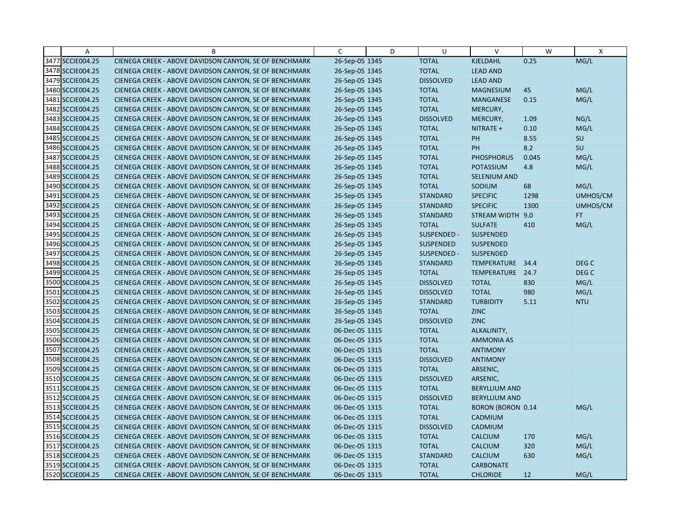| Α                | B                                                      | C              | D | U                | $\vee$                   | W         | X                |
|------------------|--------------------------------------------------------|----------------|---|------------------|--------------------------|-----------|------------------|
| 3477 SCCIE004.25 | CIENEGA CREEK - ABOVE DAVIDSON CANYON, SE OF BENCHMARK | 26-Sep-05 1345 |   | <b>TOTAL</b>     | KJELDAHL                 | 0.25      | MG/L             |
| 3478 SCCIE004.25 | CIENEGA CREEK - ABOVE DAVIDSON CANYON, SE OF BENCHMARK | 26-Sep-05 1345 |   | <b>TOTAL</b>     | <b>LEAD AND</b>          |           |                  |
| 3479 SCCIE004.25 | CIENEGA CREEK - ABOVE DAVIDSON CANYON, SE OF BENCHMARK | 26-Sep-05 1345 |   | <b>DISSOLVED</b> | <b>LEAD AND</b>          |           |                  |
| 3480 SCCIE004.25 | CIENEGA CREEK - ABOVE DAVIDSON CANYON, SE OF BENCHMARK | 26-Sep-05 1345 |   | <b>TOTAL</b>     | <b>MAGNESIUM</b>         | 45        | MG/L             |
| 3481 SCCIE004.25 | CIENEGA CREEK - ABOVE DAVIDSON CANYON, SE OF BENCHMARK | 26-Sep-05 1345 |   | <b>TOTAL</b>     | MANGANESE                | 0.15      | MG/L             |
| 3482 SCCIE004.25 | CIENEGA CREEK - ABOVE DAVIDSON CANYON, SE OF BENCHMARK | 26-Sep-05 1345 |   | <b>TOTAL</b>     | MERCURY,                 |           |                  |
| 3483 SCCIE004.25 | CIENEGA CREEK - ABOVE DAVIDSON CANYON, SE OF BENCHMARK | 26-Sep-05 1345 |   | <b>DISSOLVED</b> | MERCURY,                 | 1.09      | NG/L             |
| 3484 SCCIE004.25 | CIENEGA CREEK - ABOVE DAVIDSON CANYON, SE OF BENCHMARK | 26-Sep-05 1345 |   | <b>TOTAL</b>     | NITRATE +                | 0.10      | MG/L             |
| 3485 SCCIE004.25 | CIENEGA CREEK - ABOVE DAVIDSON CANYON, SE OF BENCHMARK | 26-Sep-05 1345 |   | <b>TOTAL</b>     | PH                       | 8.55      | SU               |
| 3486 SCCIE004.25 | CIENEGA CREEK - ABOVE DAVIDSON CANYON, SE OF BENCHMARK | 26-Sep-05 1345 |   | <b>TOTAL</b>     | <b>PH</b>                | 8.2       | SU               |
| 3487 SCCIE004.25 | CIENEGA CREEK - ABOVE DAVIDSON CANYON, SE OF BENCHMARK | 26-Sep-05 1345 |   | <b>TOTAL</b>     | <b>PHOSPHORUS</b>        | 0.045     | MG/L             |
| 3488 SCCIE004.25 | CIENEGA CREEK - ABOVE DAVIDSON CANYON, SE OF BENCHMARK | 26-Sep-05 1345 |   | <b>TOTAL</b>     | <b>POTASSIUM</b>         | 4.8       | MG/L             |
| 3489 SCCIE004.25 | CIENEGA CREEK - ABOVE DAVIDSON CANYON, SE OF BENCHMARK | 26-Sep-05 1345 |   | <b>TOTAL</b>     | <b>SELENIUM AND</b>      |           |                  |
| 3490 SCCIE004.25 | CIENEGA CREEK - ABOVE DAVIDSON CANYON, SE OF BENCHMARK | 26-Sep-05 1345 |   | <b>TOTAL</b>     | SODIUM                   | 68        | MG/L             |
| 3491 SCCIE004.25 | CIENEGA CREEK - ABOVE DAVIDSON CANYON, SE OF BENCHMARK | 26-Sep-05 1345 |   | <b>STANDARD</b>  | <b>SPECIFIC</b>          | 1298      | UMHOS/CM         |
| 3492 SCCIE004.25 | CIENEGA CREEK - ABOVE DAVIDSON CANYON, SE OF BENCHMARK | 26-Sep-05 1345 |   | <b>STANDARD</b>  | <b>SPECIFIC</b>          | 1300      | UMHOS/CM         |
| 3493 SCCIE004.25 | CIENEGA CREEK - ABOVE DAVIDSON CANYON, SE OF BENCHMARK | 26-Sep-05 1345 |   | <b>STANDARD</b>  | STREAM WIDTH             | 9.0       | FT.              |
| 3494 SCCIE004.25 | CIENEGA CREEK - ABOVE DAVIDSON CANYON, SE OF BENCHMARK | 26-Sep-05 1345 |   | <b>TOTAL</b>     | <b>SULFATE</b>           | 410       | MG/L             |
| 3495 SCCIE004.25 | CIENEGA CREEK - ABOVE DAVIDSON CANYON, SE OF BENCHMARK | 26-Sep-05 1345 |   | SUSPENDED -      | <b>SUSPENDED</b>         |           |                  |
| 3496 SCCIE004.25 | CIENEGA CREEK - ABOVE DAVIDSON CANYON, SE OF BENCHMARK | 26-Sep-05 1345 |   | <b>SUSPENDED</b> | <b>SUSPENDED</b>         |           |                  |
| 3497 SCCIE004.25 | CIENEGA CREEK - ABOVE DAVIDSON CANYON, SE OF BENCHMARK | 26-Sep-05 1345 |   | SUSPENDED -      | SUSPENDED                |           |                  |
| 3498 SCCIE004.25 | CIENEGA CREEK - ABOVE DAVIDSON CANYON, SE OF BENCHMARK | 26-Sep-05 1345 |   | <b>STANDARD</b>  | TEMPERATURE              | 34.4      | DEG <sub>C</sub> |
| 3499 SCCIE004.25 | CIENEGA CREEK - ABOVE DAVIDSON CANYON, SE OF BENCHMARK | 26-Sep-05 1345 |   | <b>TOTAL</b>     | TEMPERATURE 24.7         |           | DEG <sub>C</sub> |
| 3500 SCCIE004.25 | CIENEGA CREEK - ABOVE DAVIDSON CANYON, SE OF BENCHMARK | 26-Sep-05 1345 |   | <b>DISSOLVED</b> | <b>TOTAL</b>             | 830       | MG/L             |
| 3501 SCCIE004.25 | CIENEGA CREEK - ABOVE DAVIDSON CANYON, SE OF BENCHMARK | 26-Sep-05 1345 |   | <b>DISSOLVED</b> | <b>TOTAL</b>             | 980       | MG/L             |
| 3502 SCCIE004.25 | CIENEGA CREEK - ABOVE DAVIDSON CANYON, SE OF BENCHMARK | 26-Sep-05 1345 |   | <b>STANDARD</b>  | <b>TURBIDITY</b>         | 5.11      | <b>NTU</b>       |
| 3503 SCCIE004.25 | CIENEGA CREEK - ABOVE DAVIDSON CANYON, SE OF BENCHMARK | 26-Sep-05 1345 |   | <b>TOTAL</b>     | <b>ZINC</b>              |           |                  |
| 3504 SCCIE004.25 | CIENEGA CREEK - ABOVE DAVIDSON CANYON, SE OF BENCHMARK | 26-Sep-05 1345 |   | <b>DISSOLVED</b> | <b>ZINC</b>              |           |                  |
| 3505 SCCIE004.25 | CIENEGA CREEK - ABOVE DAVIDSON CANYON, SE OF BENCHMARK | 06-Dec-05 1315 |   | <b>TOTAL</b>     | ALKALINITY,              |           |                  |
| 3506 SCCIE004.25 | CIENEGA CREEK - ABOVE DAVIDSON CANYON, SE OF BENCHMARK | 06-Dec-05 1315 |   | <b>TOTAL</b>     | <b>AMMONIA AS</b>        |           |                  |
| 3507 SCCIE004.25 | CIENEGA CREEK - ABOVE DAVIDSON CANYON, SE OF BENCHMARK | 06-Dec-05 1315 |   | <b>TOTAL</b>     | <b>ANTIMONY</b>          |           |                  |
| 3508 SCCIE004.25 | CIENEGA CREEK - ABOVE DAVIDSON CANYON, SE OF BENCHMARK | 06-Dec-05 1315 |   | <b>DISSOLVED</b> | <b>ANTIMONY</b>          |           |                  |
| 3509 SCCIE004.25 | CIENEGA CREEK - ABOVE DAVIDSON CANYON, SE OF BENCHMARK | 06-Dec-05 1315 |   | <b>TOTAL</b>     | ARSENIC,                 |           |                  |
| 3510 SCCIE004.25 | CIENEGA CREEK - ABOVE DAVIDSON CANYON, SE OF BENCHMARK | 06-Dec-05 1315 |   | <b>DISSOLVED</b> | ARSENIC,                 |           |                  |
| 3511 SCCIE004.25 | CIENEGA CREEK - ABOVE DAVIDSON CANYON, SE OF BENCHMARK | 06-Dec-05 1315 |   | <b>TOTAL</b>     | <b>BERYLLIUM AND</b>     |           |                  |
| 3512 SCCIE004.25 | CIENEGA CREEK - ABOVE DAVIDSON CANYON, SE OF BENCHMARK | 06-Dec-05 1315 |   | <b>DISSOLVED</b> | <b>BERYLLIUM AND</b>     |           |                  |
| 3513 SCCIE004.25 | CIENEGA CREEK - ABOVE DAVIDSON CANYON, SE OF BENCHMARK | 06-Dec-05 1315 |   | <b>TOTAL</b>     | <b>BORON (BORON 0.14</b> |           | MG/L             |
| 3514 SCCIE004.25 | CIENEGA CREEK - ABOVE DAVIDSON CANYON, SE OF BENCHMARK | 06-Dec-05 1315 |   | <b>TOTAL</b>     | CADMIUM                  |           |                  |
| 3515 SCCIE004.25 | CIENEGA CREEK - ABOVE DAVIDSON CANYON, SE OF BENCHMARK | 06-Dec-05 1315 |   | <b>DISSOLVED</b> | CADMIUM                  |           |                  |
| 3516 SCCIE004.25 | CIENEGA CREEK - ABOVE DAVIDSON CANYON, SE OF BENCHMARK | 06-Dec-05 1315 |   | <b>TOTAL</b>     | <b>CALCIUM</b>           | 170       | MG/L             |
| 3517 SCCIE004.25 | CIENEGA CREEK - ABOVE DAVIDSON CANYON, SE OF BENCHMARK | 06-Dec-05 1315 |   | <b>TOTAL</b>     | <b>CALCIUM</b>           | 320       | MG/L             |
| 3518 SCCIE004.25 | CIENEGA CREEK - ABOVE DAVIDSON CANYON, SE OF BENCHMARK | 06-Dec-05 1315 |   | <b>STANDARD</b>  | <b>CALCIUM</b>           | 630       | MG/L             |
| 3519 SCCIE004.25 | CIENEGA CREEK - ABOVE DAVIDSON CANYON, SE OF BENCHMARK | 06-Dec-05 1315 |   | <b>TOTAL</b>     | <b>CARBONATE</b>         |           |                  |
| 3520 SCCIE004.25 | CIENEGA CREEK - ABOVE DAVIDSON CANYON, SE OF BENCHMARK | 06-Dec-05 1315 |   | <b>TOTAL</b>     | <b>CHLORIDE</b>          | <b>12</b> | MG/L             |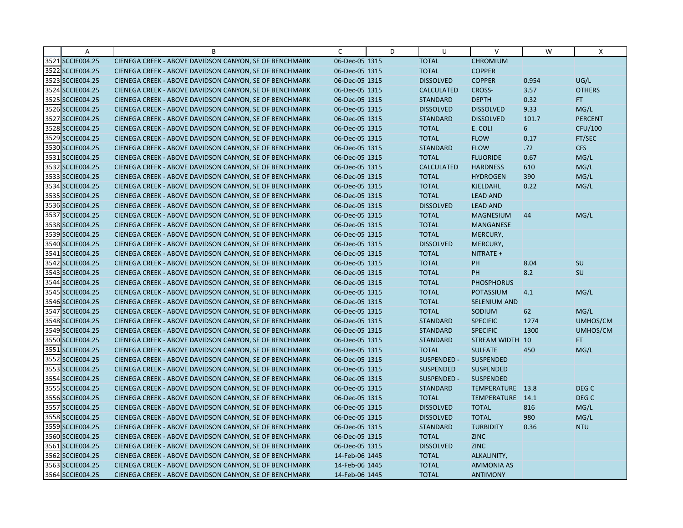| Α                | B                                                      | $\mathsf{C}$   | D | U                 | $\vee$              | W     | X              |
|------------------|--------------------------------------------------------|----------------|---|-------------------|---------------------|-------|----------------|
| 3521 SCCIE004.25 | CIENEGA CREEK - ABOVE DAVIDSON CANYON, SE OF BENCHMARK | 06-Dec-05 1315 |   | <b>TOTAL</b>      | <b>CHROMIUM</b>     |       |                |
| 3522 SCCIE004.25 | CIENEGA CREEK - ABOVE DAVIDSON CANYON, SE OF BENCHMARK | 06-Dec-05 1315 |   | <b>TOTAL</b>      | <b>COPPER</b>       |       |                |
| 3523 SCCIE004.25 | CIENEGA CREEK - ABOVE DAVIDSON CANYON, SE OF BENCHMARK | 06-Dec-05 1315 |   | <b>DISSOLVED</b>  | <b>COPPER</b>       | 0.954 | UG/L           |
| 3524 SCCIE004.25 | CIENEGA CREEK - ABOVE DAVIDSON CANYON, SE OF BENCHMARK | 06-Dec-05 1315 |   | <b>CALCULATED</b> | CROSS-              | 3.57  | <b>OTHERS</b>  |
| 3525 SCCIE004.25 | CIENEGA CREEK - ABOVE DAVIDSON CANYON, SE OF BENCHMARK | 06-Dec-05 1315 |   | <b>STANDARD</b>   | <b>DEPTH</b>        | 0.32  | FT.            |
| 3526 SCCIE004.25 | CIENEGA CREEK - ABOVE DAVIDSON CANYON, SE OF BENCHMARK | 06-Dec-05 1315 |   | <b>DISSOLVED</b>  | <b>DISSOLVED</b>    | 9.33  | MG/L           |
| 3527 SCCIE004.25 | CIENEGA CREEK - ABOVE DAVIDSON CANYON, SE OF BENCHMARK | 06-Dec-05 1315 |   | <b>STANDARD</b>   | <b>DISSOLVED</b>    | 101.7 | <b>PERCENT</b> |
| 3528 SCCIE004.25 | CIENEGA CREEK - ABOVE DAVIDSON CANYON, SE OF BENCHMARK | 06-Dec-05 1315 |   | <b>TOTAL</b>      | E. COLI             | 6     | CFU/100        |
| 3529 SCCIE004.25 | CIENEGA CREEK - ABOVE DAVIDSON CANYON, SE OF BENCHMARK | 06-Dec-05 1315 |   | <b>TOTAL</b>      | <b>FLOW</b>         | 0.17  | FT/SEC         |
| 3530 SCCIE004.25 | CIENEGA CREEK - ABOVE DAVIDSON CANYON, SE OF BENCHMARK | 06-Dec-05 1315 |   | <b>STANDARD</b>   | <b>FLOW</b>         | .72   | <b>CFS</b>     |
| 3531 SCCIE004.25 | CIENEGA CREEK - ABOVE DAVIDSON CANYON, SE OF BENCHMARK | 06-Dec-05 1315 |   | <b>TOTAL</b>      | <b>FLUORIDE</b>     | 0.67  | MG/L           |
| 3532 SCCIE004.25 | CIENEGA CREEK - ABOVE DAVIDSON CANYON, SE OF BENCHMARK | 06-Dec-05 1315 |   | <b>CALCULATED</b> | <b>HARDNESS</b>     | 610   | MG/L           |
| 3533 SCCIE004.25 | CIENEGA CREEK - ABOVE DAVIDSON CANYON, SE OF BENCHMARK | 06-Dec-05 1315 |   | <b>TOTAL</b>      | <b>HYDROGEN</b>     | 390   | MG/L           |
| 3534 SCCIE004.25 | CIENEGA CREEK - ABOVE DAVIDSON CANYON, SE OF BENCHMARK | 06-Dec-05 1315 |   | <b>TOTAL</b>      | <b>KJELDAHL</b>     | 0.22  | MG/L           |
| 3535 SCCIE004.25 | CIENEGA CREEK - ABOVE DAVIDSON CANYON, SE OF BENCHMARK | 06-Dec-05 1315 |   | <b>TOTAL</b>      | <b>LEAD AND</b>     |       |                |
| 3536 SCCIE004.25 | CIENEGA CREEK - ABOVE DAVIDSON CANYON, SE OF BENCHMARK | 06-Dec-05 1315 |   | <b>DISSOLVED</b>  | <b>LEAD AND</b>     |       |                |
| 3537 SCCIE004.25 | CIENEGA CREEK - ABOVE DAVIDSON CANYON, SE OF BENCHMARK | 06-Dec-05 1315 |   | <b>TOTAL</b>      | <b>MAGNESIUM</b>    | 44    | MG/L           |
| 3538 SCCIE004.25 | CIENEGA CREEK - ABOVE DAVIDSON CANYON, SE OF BENCHMARK | 06-Dec-05 1315 |   | <b>TOTAL</b>      | <b>MANGANESE</b>    |       |                |
| 3539 SCCIE004.25 | CIENEGA CREEK - ABOVE DAVIDSON CANYON, SE OF BENCHMARK | 06-Dec-05 1315 |   | <b>TOTAL</b>      | MERCURY,            |       |                |
| 3540 SCCIE004.25 | CIENEGA CREEK - ABOVE DAVIDSON CANYON, SE OF BENCHMARK | 06-Dec-05 1315 |   | <b>DISSOLVED</b>  | MERCURY,            |       |                |
| 3541 SCCIE004.25 | CIENEGA CREEK - ABOVE DAVIDSON CANYON, SE OF BENCHMARK | 06-Dec-05 1315 |   | <b>TOTAL</b>      | NITRATE +           |       |                |
| 3542 SCCIE004.25 | CIENEGA CREEK - ABOVE DAVIDSON CANYON, SE OF BENCHMARK | 06-Dec-05 1315 |   | <b>TOTAL</b>      | PH                  | 8.04  | SU             |
| 3543 SCCIE004.25 | CIENEGA CREEK - ABOVE DAVIDSON CANYON, SE OF BENCHMARK | 06-Dec-05 1315 |   | <b>TOTAL</b>      | PH                  | 8.2   | SU             |
| 3544 SCCIE004.25 | CIENEGA CREEK - ABOVE DAVIDSON CANYON, SE OF BENCHMARK | 06-Dec-05 1315 |   | <b>TOTAL</b>      | <b>PHOSPHORUS</b>   |       |                |
| 3545 SCCIE004.25 | CIENEGA CREEK - ABOVE DAVIDSON CANYON, SE OF BENCHMARK | 06-Dec-05 1315 |   | <b>TOTAL</b>      | <b>POTASSIUM</b>    | 4.1   | MG/L           |
| 3546 SCCIE004.25 | CIENEGA CREEK - ABOVE DAVIDSON CANYON, SE OF BENCHMARK | 06-Dec-05 1315 |   | <b>TOTAL</b>      | <b>SELENIUM AND</b> |       |                |
| 3547 SCCIE004.25 | CIENEGA CREEK - ABOVE DAVIDSON CANYON, SE OF BENCHMARK | 06-Dec-05 1315 |   | <b>TOTAL</b>      | SODIUM              | 62    | MG/L           |
| 3548 SCCIE004.25 | CIENEGA CREEK - ABOVE DAVIDSON CANYON, SE OF BENCHMARK | 06-Dec-05 1315 |   | <b>STANDARD</b>   | <b>SPECIFIC</b>     | 1274  | UMHOS/CM       |
| 3549 SCCIE004.25 | CIENEGA CREEK - ABOVE DAVIDSON CANYON, SE OF BENCHMARK | 06-Dec-05 1315 |   | <b>STANDARD</b>   | <b>SPECIFIC</b>     | 1300  | UMHOS/CM       |
| 3550 SCCIE004.25 | CIENEGA CREEK - ABOVE DAVIDSON CANYON, SE OF BENCHMARK | 06-Dec-05 1315 |   | <b>STANDARD</b>   | STREAM WIDTH 10     |       | FT.            |
| 3551 SCCIE004.25 | CIENEGA CREEK - ABOVE DAVIDSON CANYON, SE OF BENCHMARK | 06-Dec-05 1315 |   | <b>TOTAL</b>      | <b>SULFATE</b>      | 450   | MG/L           |
| 3552 SCCIE004.25 | CIENEGA CREEK - ABOVE DAVIDSON CANYON, SE OF BENCHMARK | 06-Dec-05 1315 |   | SUSPENDED -       | <b>SUSPENDED</b>    |       |                |
| 3553 SCCIE004.25 | CIENEGA CREEK - ABOVE DAVIDSON CANYON, SE OF BENCHMARK | 06-Dec-05 1315 |   | <b>SUSPENDED</b>  | SUSPENDED           |       |                |
| 3554 SCCIE004.25 | CIENEGA CREEK - ABOVE DAVIDSON CANYON, SE OF BENCHMARK | 06-Dec-05 1315 |   | SUSPENDED -       | <b>SUSPENDED</b>    |       |                |
| 3555 SCCIE004.25 | CIENEGA CREEK - ABOVE DAVIDSON CANYON, SE OF BENCHMARK | 06-Dec-05 1315 |   | <b>STANDARD</b>   | TEMPERATURE 13.8    |       | DEG C          |
| 3556 SCCIE004.25 | CIENEGA CREEK - ABOVE DAVIDSON CANYON, SE OF BENCHMARK | 06-Dec-05 1315 |   | <b>TOTAL</b>      | TEMPERATURE 14.1    |       | DEG C          |
| 3557 SCCIE004.25 | CIENEGA CREEK - ABOVE DAVIDSON CANYON, SE OF BENCHMARK | 06-Dec-05 1315 |   | <b>DISSOLVED</b>  | <b>TOTAL</b>        | 816   | MG/L           |
| 3558 SCCIE004.25 | CIENEGA CREEK - ABOVE DAVIDSON CANYON, SE OF BENCHMARK | 06-Dec-05 1315 |   | <b>DISSOLVED</b>  | <b>TOTAL</b>        | 980   | MG/L           |
| 3559 SCCIE004.25 | CIENEGA CREEK - ABOVE DAVIDSON CANYON, SE OF BENCHMARK | 06-Dec-05 1315 |   | <b>STANDARD</b>   | <b>TURBIDITY</b>    | 0.36  | <b>NTU</b>     |
| 3560 SCCIE004.25 | CIENEGA CREEK - ABOVE DAVIDSON CANYON, SE OF BENCHMARK | 06-Dec-05 1315 |   | <b>TOTAL</b>      | <b>ZINC</b>         |       |                |
| 3561 SCCIE004.25 | CIENEGA CREEK - ABOVE DAVIDSON CANYON, SE OF BENCHMARK | 06-Dec-05 1315 |   | <b>DISSOLVED</b>  | <b>ZINC</b>         |       |                |
| 3562 SCCIE004.25 | CIENEGA CREEK - ABOVE DAVIDSON CANYON, SE OF BENCHMARK | 14-Feb-06 1445 |   | <b>TOTAL</b>      | ALKALINITY,         |       |                |
| 3563 SCCIE004.25 | CIENEGA CREEK - ABOVE DAVIDSON CANYON, SE OF BENCHMARK | 14-Feb-06 1445 |   | <b>TOTAL</b>      | <b>AMMONIA AS</b>   |       |                |
| 3564 SCCIE004.25 | CIENEGA CREEK - ABOVE DAVIDSON CANYON, SE OF BENCHMARK | 14-Feb-06 1445 |   | <b>TOTAL</b>      | <b>ANTIMONY</b>     |       |                |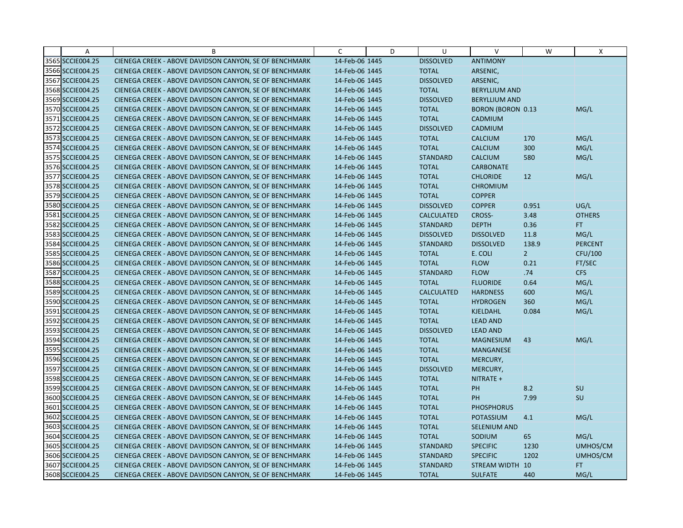| Α                | B                                                      | C              | D | U                 | $\vee$                   | W              | Χ              |
|------------------|--------------------------------------------------------|----------------|---|-------------------|--------------------------|----------------|----------------|
| 3565 SCCIE004.25 | CIENEGA CREEK - ABOVE DAVIDSON CANYON, SE OF BENCHMARK | 14-Feb-06 1445 |   | <b>DISSOLVED</b>  | <b>ANTIMONY</b>          |                |                |
| 3566 SCCIE004.25 | CIENEGA CREEK - ABOVE DAVIDSON CANYON, SE OF BENCHMARK | 14-Feb-06 1445 |   | <b>TOTAL</b>      | ARSENIC,                 |                |                |
| 3567 SCCIE004.25 | CIENEGA CREEK - ABOVE DAVIDSON CANYON, SE OF BENCHMARK | 14-Feb-06 1445 |   | <b>DISSOLVED</b>  | ARSENIC,                 |                |                |
| 3568 SCCIE004.25 | CIENEGA CREEK - ABOVE DAVIDSON CANYON, SE OF BENCHMARK | 14-Feb-06 1445 |   | <b>TOTAL</b>      | <b>BERYLLIUM AND</b>     |                |                |
| 3569 SCCIE004.25 | CIENEGA CREEK - ABOVE DAVIDSON CANYON, SE OF BENCHMARK | 14-Feb-06 1445 |   | <b>DISSOLVED</b>  | <b>BERYLLIUM AND</b>     |                |                |
| 3570 SCCIE004.25 | CIENEGA CREEK - ABOVE DAVIDSON CANYON, SE OF BENCHMARK | 14-Feb-06 1445 |   | <b>TOTAL</b>      | <b>BORON (BORON 0.13</b> |                | MG/L           |
| 3571 SCCIE004.25 | CIENEGA CREEK - ABOVE DAVIDSON CANYON, SE OF BENCHMARK | 14-Feb-06 1445 |   | <b>TOTAL</b>      | <b>CADMIUM</b>           |                |                |
| 3572 SCCIE004.25 | CIENEGA CREEK - ABOVE DAVIDSON CANYON, SE OF BENCHMARK | 14-Feb-06 1445 |   | <b>DISSOLVED</b>  | CADMIUM                  |                |                |
| 3573 SCCIE004.25 | CIENEGA CREEK - ABOVE DAVIDSON CANYON, SE OF BENCHMARK | 14-Feb-06 1445 |   | <b>TOTAL</b>      | <b>CALCIUM</b>           | 170            | MG/L           |
| 3574 SCCIE004.25 | CIENEGA CREEK - ABOVE DAVIDSON CANYON, SE OF BENCHMARK | 14-Feb-06 1445 |   | <b>TOTAL</b>      | <b>CALCIUM</b>           | 300            | MG/L           |
| 3575 SCCIE004.25 | CIENEGA CREEK - ABOVE DAVIDSON CANYON, SE OF BENCHMARK | 14-Feb-06 1445 |   | <b>STANDARD</b>   | <b>CALCIUM</b>           | 580            | MG/L           |
| 3576 SCCIE004.25 | CIENEGA CREEK - ABOVE DAVIDSON CANYON, SE OF BENCHMARK | 14-Feb-06 1445 |   | <b>TOTAL</b>      | <b>CARBONATE</b>         |                |                |
| 3577 SCCIE004.25 | CIENEGA CREEK - ABOVE DAVIDSON CANYON, SE OF BENCHMARK | 14-Feb-06 1445 |   | <b>TOTAL</b>      | <b>CHLORIDE</b>          | 12             | MG/L           |
| 3578 SCCIE004.25 | CIENEGA CREEK - ABOVE DAVIDSON CANYON, SE OF BENCHMARK | 14-Feb-06 1445 |   | <b>TOTAL</b>      | <b>CHROMIUM</b>          |                |                |
| 3579 SCCIE004.25 | CIENEGA CREEK - ABOVE DAVIDSON CANYON, SE OF BENCHMARK | 14-Feb-06 1445 |   | <b>TOTAL</b>      | <b>COPPER</b>            |                |                |
| 3580 SCCIE004.25 | CIENEGA CREEK - ABOVE DAVIDSON CANYON, SE OF BENCHMARK | 14-Feb-06 1445 |   | <b>DISSOLVED</b>  | <b>COPPER</b>            | 0.951          | UG/L           |
| 3581 SCCIE004.25 | CIENEGA CREEK - ABOVE DAVIDSON CANYON, SE OF BENCHMARK | 14-Feb-06 1445 |   | <b>CALCULATED</b> | <b>CROSS-</b>            | 3.48           | <b>OTHERS</b>  |
| 3582 SCCIE004.25 | CIENEGA CREEK - ABOVE DAVIDSON CANYON, SE OF BENCHMARK | 14-Feb-06 1445 |   | <b>STANDARD</b>   | <b>DEPTH</b>             | 0.36           | FT.            |
| 3583 SCCIE004.25 | CIENEGA CREEK - ABOVE DAVIDSON CANYON, SE OF BENCHMARK | 14-Feb-06 1445 |   | <b>DISSOLVED</b>  | <b>DISSOLVED</b>         | 11.8           | MG/L           |
| 3584 SCCIE004.25 | CIENEGA CREEK - ABOVE DAVIDSON CANYON, SE OF BENCHMARK | 14-Feb-06 1445 |   | <b>STANDARD</b>   | <b>DISSOLVED</b>         | 138.9          | <b>PERCENT</b> |
| 3585 SCCIE004.25 | CIENEGA CREEK - ABOVE DAVIDSON CANYON, SE OF BENCHMARK | 14-Feb-06 1445 |   | <b>TOTAL</b>      | E. COLI                  | 2 <sup>7</sup> | CFU/100        |
| 3586 SCCIE004.25 | CIENEGA CREEK - ABOVE DAVIDSON CANYON, SE OF BENCHMARK | 14-Feb-06 1445 |   | <b>TOTAL</b>      | <b>FLOW</b>              | 0.21           | FT/SEC         |
| 3587 SCCIE004.25 | CIENEGA CREEK - ABOVE DAVIDSON CANYON, SE OF BENCHMARK | 14-Feb-06 1445 |   | <b>STANDARD</b>   | <b>FLOW</b>              | .74            | <b>CFS</b>     |
| 3588 SCCIE004.25 | CIENEGA CREEK - ABOVE DAVIDSON CANYON, SE OF BENCHMARK | 14-Feb-06 1445 |   | <b>TOTAL</b>      | <b>FLUORIDE</b>          | 0.64           | MG/L           |
| 3589 SCCIE004.25 | CIENEGA CREEK - ABOVE DAVIDSON CANYON, SE OF BENCHMARK | 14-Feb-06 1445 |   | <b>CALCULATED</b> | <b>HARDNESS</b>          | 600            | MG/L           |
| 3590 SCCIE004.25 | CIENEGA CREEK - ABOVE DAVIDSON CANYON, SE OF BENCHMARK | 14-Feb-06 1445 |   | <b>TOTAL</b>      | <b>HYDROGEN</b>          | 360            | MG/L           |
| 3591 SCCIE004.25 | CIENEGA CREEK - ABOVE DAVIDSON CANYON, SE OF BENCHMARK | 14-Feb-06 1445 |   | <b>TOTAL</b>      | KJELDAHL                 | 0.084          | MG/L           |
| 3592 SCCIE004.25 | CIENEGA CREEK - ABOVE DAVIDSON CANYON, SE OF BENCHMARK | 14-Feb-06 1445 |   | <b>TOTAL</b>      | <b>LEAD AND</b>          |                |                |
| 3593 SCCIE004.25 | CIENEGA CREEK - ABOVE DAVIDSON CANYON, SE OF BENCHMARK | 14-Feb-06 1445 |   | <b>DISSOLVED</b>  | <b>LEAD AND</b>          |                |                |
| 3594 SCCIE004.25 | CIENEGA CREEK - ABOVE DAVIDSON CANYON, SE OF BENCHMARK | 14-Feb-06 1445 |   | <b>TOTAL</b>      | <b>MAGNESIUM</b>         | 43             | MG/L           |
| 3595 SCCIE004.25 | CIENEGA CREEK - ABOVE DAVIDSON CANYON, SE OF BENCHMARK | 14-Feb-06 1445 |   | <b>TOTAL</b>      | MANGANESE                |                |                |
| 3596 SCCIE004.25 | CIENEGA CREEK - ABOVE DAVIDSON CANYON, SE OF BENCHMARK | 14-Feb-06 1445 |   | <b>TOTAL</b>      | MERCURY,                 |                |                |
| 3597 SCCIE004.25 | CIENEGA CREEK - ABOVE DAVIDSON CANYON, SE OF BENCHMARK | 14-Feb-06 1445 |   | <b>DISSOLVED</b>  | MERCURY,                 |                |                |
| 3598 SCCIE004.25 | CIENEGA CREEK - ABOVE DAVIDSON CANYON, SE OF BENCHMARK | 14-Feb-06 1445 |   | <b>TOTAL</b>      | NITRATE +                |                |                |
| 3599 SCCIE004.25 | CIENEGA CREEK - ABOVE DAVIDSON CANYON, SE OF BENCHMARK | 14-Feb-06 1445 |   | <b>TOTAL</b>      | PH                       | 8.2            | SU             |
| 3600 SCCIE004.25 | CIENEGA CREEK - ABOVE DAVIDSON CANYON, SE OF BENCHMARK | 14-Feb-06 1445 |   | <b>TOTAL</b>      | <b>PH</b>                | 7.99           | SU             |
| 3601 SCCIE004.25 | CIENEGA CREEK - ABOVE DAVIDSON CANYON, SE OF BENCHMARK | 14-Feb-06 1445 |   | <b>TOTAL</b>      | <b>PHOSPHORUS</b>        |                |                |
| 3602 SCCIE004.25 | CIENEGA CREEK - ABOVE DAVIDSON CANYON, SE OF BENCHMARK | 14-Feb-06 1445 |   | <b>TOTAL</b>      | POTASSIUM                | 4.1            | MG/L           |
| 3603 SCCIE004.25 | CIENEGA CREEK - ABOVE DAVIDSON CANYON, SE OF BENCHMARK | 14-Feb-06 1445 |   | <b>TOTAL</b>      | <b>SELENIUM AND</b>      |                |                |
| 3604 SCCIE004.25 | CIENEGA CREEK - ABOVE DAVIDSON CANYON, SE OF BENCHMARK | 14-Feb-06 1445 |   | <b>TOTAL</b>      | SODIUM                   | 65             | MG/L           |
| 3605 SCCIE004.25 | CIENEGA CREEK - ABOVE DAVIDSON CANYON, SE OF BENCHMARK | 14-Feb-06 1445 |   | <b>STANDARD</b>   | <b>SPECIFIC</b>          | 1230           | UMHOS/CM       |
| 3606 SCCIE004.25 | CIENEGA CREEK - ABOVE DAVIDSON CANYON, SE OF BENCHMARK | 14-Feb-06 1445 |   | <b>STANDARD</b>   | <b>SPECIFIC</b>          | 1202           | UMHOS/CM       |
| 3607 SCCIE004.25 | CIENEGA CREEK - ABOVE DAVIDSON CANYON, SE OF BENCHMARK | 14-Feb-06 1445 |   | <b>STANDARD</b>   | STREAM WIDTH 10          |                | FT.            |
| 3608 SCCIE004.25 | CIENEGA CREEK - ABOVE DAVIDSON CANYON, SE OF BENCHMARK | 14-Feb-06 1445 |   | <b>TOTAL</b>      | <b>SULFATE</b>           | 440            | MG/L           |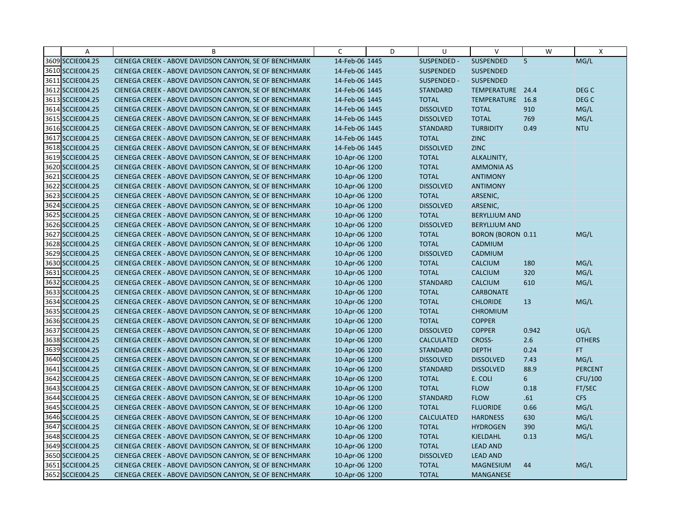| A                | B                                                      | C              | D | U                 | V                        | W              | X                |
|------------------|--------------------------------------------------------|----------------|---|-------------------|--------------------------|----------------|------------------|
| 3609 SCCIE004.25 | CIENEGA CREEK - ABOVE DAVIDSON CANYON, SE OF BENCHMARK | 14-Feb-06 1445 |   | SUSPENDED -       | SUSPENDED                | $\overline{5}$ | MG/L             |
| 3610 SCCIE004.25 | CIENEGA CREEK - ABOVE DAVIDSON CANYON, SE OF BENCHMARK | 14-Feb-06 1445 |   | <b>SUSPENDED</b>  | <b>SUSPENDED</b>         |                |                  |
| 3611 SCCIE004.25 | CIENEGA CREEK - ABOVE DAVIDSON CANYON, SE OF BENCHMARK | 14-Feb-06 1445 |   | SUSPENDED -       | <b>SUSPENDED</b>         |                |                  |
| 3612 SCCIE004.25 | CIENEGA CREEK - ABOVE DAVIDSON CANYON, SE OF BENCHMARK | 14-Feb-06 1445 |   | <b>STANDARD</b>   | TEMPERATURE 24.4         |                | DEG <sub>C</sub> |
| 3613 SCCIE004.25 | CIENEGA CREEK - ABOVE DAVIDSON CANYON, SE OF BENCHMARK | 14-Feb-06 1445 |   | <b>TOTAL</b>      | <b>TEMPERATURE</b>       | 16.8           | DEG C            |
| 3614 SCCIE004.25 | CIENEGA CREEK - ABOVE DAVIDSON CANYON, SE OF BENCHMARK | 14-Feb-06 1445 |   | <b>DISSOLVED</b>  | <b>TOTAL</b>             | 910            | MG/L             |
| 3615 SCCIE004.25 | CIENEGA CREEK - ABOVE DAVIDSON CANYON, SE OF BENCHMARK | 14-Feb-06 1445 |   | <b>DISSOLVED</b>  | <b>TOTAL</b>             | 769            | MG/L             |
| 3616 SCCIE004.25 | CIENEGA CREEK - ABOVE DAVIDSON CANYON, SE OF BENCHMARK | 14-Feb-06 1445 |   | <b>STANDARD</b>   | <b>TURBIDITY</b>         | 0.49           | <b>NTU</b>       |
| 3617 SCCIE004.25 | CIENEGA CREEK - ABOVE DAVIDSON CANYON, SE OF BENCHMARK | 14-Feb-06 1445 |   | <b>TOTAL</b>      | <b>ZINC</b>              |                |                  |
| 3618 SCCIE004.25 | CIENEGA CREEK - ABOVE DAVIDSON CANYON, SE OF BENCHMARK | 14-Feb-06 1445 |   | <b>DISSOLVED</b>  | <b>ZINC</b>              |                |                  |
| 3619 SCCIE004.25 | CIENEGA CREEK - ABOVE DAVIDSON CANYON, SE OF BENCHMARK | 10-Apr-06 1200 |   | <b>TOTAL</b>      | ALKALINITY,              |                |                  |
| 3620 SCCIE004.25 | CIENEGA CREEK - ABOVE DAVIDSON CANYON, SE OF BENCHMARK | 10-Apr-06 1200 |   | <b>TOTAL</b>      | <b>AMMONIA AS</b>        |                |                  |
| 3621 SCCIE004.25 | CIENEGA CREEK - ABOVE DAVIDSON CANYON, SE OF BENCHMARK | 10-Apr-06 1200 |   | <b>TOTAL</b>      | <b>ANTIMONY</b>          |                |                  |
| 3622 SCCIE004.25 | CIENEGA CREEK - ABOVE DAVIDSON CANYON, SE OF BENCHMARK | 10-Apr-06 1200 |   | <b>DISSOLVED</b>  | <b>ANTIMONY</b>          |                |                  |
| 3623 SCCIE004.25 | CIENEGA CREEK - ABOVE DAVIDSON CANYON, SE OF BENCHMARK | 10-Apr-06 1200 |   | <b>TOTAL</b>      | ARSENIC,                 |                |                  |
| 3624 SCCIE004.25 | CIENEGA CREEK - ABOVE DAVIDSON CANYON, SE OF BENCHMARK | 10-Apr-06 1200 |   | <b>DISSOLVED</b>  | ARSENIC,                 |                |                  |
| 3625 SCCIE004.25 | CIENEGA CREEK - ABOVE DAVIDSON CANYON, SE OF BENCHMARK | 10-Apr-06 1200 |   | <b>TOTAL</b>      | <b>BERYLLIUM AND</b>     |                |                  |
| 3626 SCCIE004.25 | CIENEGA CREEK - ABOVE DAVIDSON CANYON, SE OF BENCHMARK | 10-Apr-06 1200 |   | <b>DISSOLVED</b>  | <b>BERYLLIUM AND</b>     |                |                  |
| 3627 SCCIE004.25 | CIENEGA CREEK - ABOVE DAVIDSON CANYON, SE OF BENCHMARK | 10-Apr-06 1200 |   | <b>TOTAL</b>      | <b>BORON (BORON 0.11</b> |                | MG/L             |
| 3628 SCCIE004.25 | CIENEGA CREEK - ABOVE DAVIDSON CANYON, SE OF BENCHMARK | 10-Apr-06 1200 |   | <b>TOTAL</b>      | CADMIUM                  |                |                  |
| 3629 SCCIE004.25 | CIENEGA CREEK - ABOVE DAVIDSON CANYON, SE OF BENCHMARK | 10-Apr-06 1200 |   | <b>DISSOLVED</b>  | CADMIUM                  |                |                  |
| 3630 SCCIE004.25 | CIENEGA CREEK - ABOVE DAVIDSON CANYON, SE OF BENCHMARK | 10-Apr-06 1200 |   | <b>TOTAL</b>      | <b>CALCIUM</b>           | 180            | MG/L             |
| 3631 SCCIE004.25 | CIENEGA CREEK - ABOVE DAVIDSON CANYON, SE OF BENCHMARK | 10-Apr-06 1200 |   | <b>TOTAL</b>      | <b>CALCIUM</b>           | 320            | MG/L             |
| 3632 SCCIE004.25 | CIENEGA CREEK - ABOVE DAVIDSON CANYON, SE OF BENCHMARK | 10-Apr-06 1200 |   | <b>STANDARD</b>   | <b>CALCIUM</b>           | 610            | MG/L             |
| 3633 SCCIE004.25 | CIENEGA CREEK - ABOVE DAVIDSON CANYON, SE OF BENCHMARK | 10-Apr-06 1200 |   | <b>TOTAL</b>      | <b>CARBONATE</b>         |                |                  |
| 3634 SCCIE004.25 | CIENEGA CREEK - ABOVE DAVIDSON CANYON, SE OF BENCHMARK | 10-Apr-06 1200 |   | <b>TOTAL</b>      | <b>CHLORIDE</b>          | 13             | MG/L             |
| 3635 SCCIE004.25 | CIENEGA CREEK - ABOVE DAVIDSON CANYON, SE OF BENCHMARK | 10-Apr-06 1200 |   | <b>TOTAL</b>      | <b>CHROMIUM</b>          |                |                  |
| 3636 SCCIE004.25 | CIENEGA CREEK - ABOVE DAVIDSON CANYON, SE OF BENCHMARK | 10-Apr-06 1200 |   | <b>TOTAL</b>      | <b>COPPER</b>            |                |                  |
| 3637 SCCIE004.25 | CIENEGA CREEK - ABOVE DAVIDSON CANYON, SE OF BENCHMARK | 10-Apr-06 1200 |   | <b>DISSOLVED</b>  | <b>COPPER</b>            | 0.942          | UG/L             |
| 3638 SCCIE004.25 | CIENEGA CREEK - ABOVE DAVIDSON CANYON, SE OF BENCHMARK | 10-Apr-06 1200 |   | <b>CALCULATED</b> | CROSS-                   | 2.6            | <b>OTHERS</b>    |
| 3639 SCCIE004.25 | CIENEGA CREEK - ABOVE DAVIDSON CANYON, SE OF BENCHMARK | 10-Apr-06 1200 |   | <b>STANDARD</b>   | <b>DEPTH</b>             | 0.24           | FT.              |
| 3640 SCCIE004.25 | CIENEGA CREEK - ABOVE DAVIDSON CANYON, SE OF BENCHMARK | 10-Apr-06 1200 |   | <b>DISSOLVED</b>  | <b>DISSOLVED</b>         | 7.43           | MG/L             |
| 3641 SCCIE004.25 | CIENEGA CREEK - ABOVE DAVIDSON CANYON, SE OF BENCHMARK | 10-Apr-06 1200 |   | <b>STANDARD</b>   | <b>DISSOLVED</b>         | 88.9           | <b>PERCENT</b>   |
| 3642 SCCIE004.25 | CIENEGA CREEK - ABOVE DAVIDSON CANYON, SE OF BENCHMARK | 10-Apr-06 1200 |   | <b>TOTAL</b>      | E. COLI                  | 6              | CFU/100          |
| 3643 SCCIE004.25 | CIENEGA CREEK - ABOVE DAVIDSON CANYON, SE OF BENCHMARK | 10-Apr-06 1200 |   | <b>TOTAL</b>      | <b>FLOW</b>              | 0.18           | FT/SEC           |
| 3644 SCCIE004.25 | CIENEGA CREEK - ABOVE DAVIDSON CANYON, SE OF BENCHMARK | 10-Apr-06 1200 |   | <b>STANDARD</b>   | <b>FLOW</b>              | .61            | <b>CFS</b>       |
| 3645 SCCIE004.25 | CIENEGA CREEK - ABOVE DAVIDSON CANYON, SE OF BENCHMARK | 10-Apr-06 1200 |   | <b>TOTAL</b>      | <b>FLUORIDE</b>          | 0.66           | MG/L             |
| 3646 SCCIE004.25 | CIENEGA CREEK - ABOVE DAVIDSON CANYON, SE OF BENCHMARK | 10-Apr-06 1200 |   | <b>CALCULATED</b> | <b>HARDNESS</b>          | 630            | MG/L             |
| 3647 SCCIE004.25 | CIENEGA CREEK - ABOVE DAVIDSON CANYON, SE OF BENCHMARK | 10-Apr-06 1200 |   | <b>TOTAL</b>      | <b>HYDROGEN</b>          | 390            | MG/L             |
| 3648 SCCIE004.25 | CIENEGA CREEK - ABOVE DAVIDSON CANYON, SE OF BENCHMARK | 10-Apr-06 1200 |   | <b>TOTAL</b>      | <b>KJELDAHL</b>          | 0.13           | MG/L             |
| 3649 SCCIE004.25 | CIENEGA CREEK - ABOVE DAVIDSON CANYON, SE OF BENCHMARK | 10-Apr-06 1200 |   | <b>TOTAL</b>      | <b>LEAD AND</b>          |                |                  |
| 3650 SCCIE004.25 | CIENEGA CREEK - ABOVE DAVIDSON CANYON, SE OF BENCHMARK | 10-Apr-06 1200 |   | <b>DISSOLVED</b>  | <b>LEAD AND</b>          |                |                  |
| 3651 SCCIE004.25 | CIENEGA CREEK - ABOVE DAVIDSON CANYON, SE OF BENCHMARK | 10-Apr-06 1200 |   | <b>TOTAL</b>      | <b>MAGNESIUM</b>         | 44             | MG/L             |
| 3652 SCCIE004.25 | CIENEGA CREEK - ABOVE DAVIDSON CANYON, SE OF BENCHMARK | 10-Apr-06 1200 |   | <b>TOTAL</b>      | MANGANESE                |                |                  |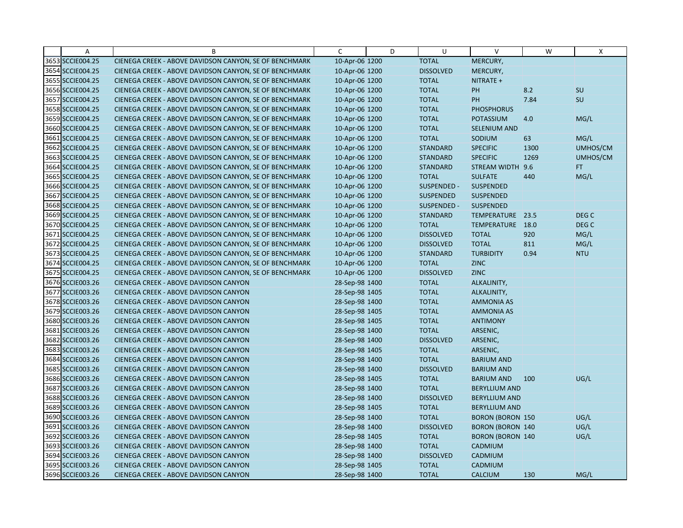| A                | B                                                      | $\mathsf{C}$   | D | U                | $\vee$                  | W    | X                |
|------------------|--------------------------------------------------------|----------------|---|------------------|-------------------------|------|------------------|
| 3653 SCCIE004.25 | CIENEGA CREEK - ABOVE DAVIDSON CANYON, SE OF BENCHMARK | 10-Apr-06 1200 |   | <b>TOTAL</b>     | MERCURY,                |      |                  |
| 3654 SCCIE004.25 | CIENEGA CREEK - ABOVE DAVIDSON CANYON, SE OF BENCHMARK | 10-Apr-06 1200 |   | <b>DISSOLVED</b> | MERCURY,                |      |                  |
| 3655 SCCIE004.25 | CIENEGA CREEK - ABOVE DAVIDSON CANYON, SE OF BENCHMARK | 10-Apr-06 1200 |   | <b>TOTAL</b>     | NITRATE +               |      |                  |
| 3656 SCCIE004.25 | CIENEGA CREEK - ABOVE DAVIDSON CANYON, SE OF BENCHMARK | 10-Apr-06 1200 |   | <b>TOTAL</b>     | PH                      | 8.2  | SU               |
| 3657 SCCIE004.25 | CIENEGA CREEK - ABOVE DAVIDSON CANYON, SE OF BENCHMARK | 10-Apr-06 1200 |   | <b>TOTAL</b>     | PH                      | 7.84 | SU               |
| 3658 SCCIE004.25 | CIENEGA CREEK - ABOVE DAVIDSON CANYON, SE OF BENCHMARK | 10-Apr-06 1200 |   | <b>TOTAL</b>     | <b>PHOSPHORUS</b>       |      |                  |
| 3659 SCCIE004.25 | CIENEGA CREEK - ABOVE DAVIDSON CANYON, SE OF BENCHMARK | 10-Apr-06 1200 |   | <b>TOTAL</b>     | <b>POTASSIUM</b>        | 4.0  | MG/L             |
| 3660 SCCIE004.25 | CIENEGA CREEK - ABOVE DAVIDSON CANYON, SE OF BENCHMARK | 10-Apr-06 1200 |   | <b>TOTAL</b>     | SELENIUM AND            |      |                  |
| 3661 SCCIE004.25 | CIENEGA CREEK - ABOVE DAVIDSON CANYON, SE OF BENCHMARK | 10-Apr-06 1200 |   | <b>TOTAL</b>     | SODIUM                  | 63   | MG/L             |
| 3662 SCCIE004.25 | CIENEGA CREEK - ABOVE DAVIDSON CANYON, SE OF BENCHMARK | 10-Apr-06 1200 |   | <b>STANDARD</b>  | <b>SPECIFIC</b>         | 1300 | UMHOS/CM         |
| 3663 SCCIE004.25 | CIENEGA CREEK - ABOVE DAVIDSON CANYON, SE OF BENCHMARK | 10-Apr-06 1200 |   | <b>STANDARD</b>  | <b>SPECIFIC</b>         | 1269 | UMHOS/CM         |
| 3664 SCCIE004.25 | CIENEGA CREEK - ABOVE DAVIDSON CANYON, SE OF BENCHMARK | 10-Apr-06 1200 |   | <b>STANDARD</b>  | STREAM WIDTH            | 9.6  | FT.              |
| 3665 SCCIE004.25 | CIENEGA CREEK - ABOVE DAVIDSON CANYON, SE OF BENCHMARK | 10-Apr-06 1200 |   | <b>TOTAL</b>     | <b>SULFATE</b>          | 440  | MG/L             |
| 3666 SCCIE004.25 | CIENEGA CREEK - ABOVE DAVIDSON CANYON, SE OF BENCHMARK | 10-Apr-06 1200 |   | SUSPENDED -      | <b>SUSPENDED</b>        |      |                  |
| 3667 SCCIE004.25 | CIENEGA CREEK - ABOVE DAVIDSON CANYON, SE OF BENCHMARK | 10-Apr-06 1200 |   | <b>SUSPENDED</b> | <b>SUSPENDED</b>        |      |                  |
| 3668 SCCIE004.25 | CIENEGA CREEK - ABOVE DAVIDSON CANYON, SE OF BENCHMARK | 10-Apr-06 1200 |   | SUSPENDED -      | <b>SUSPENDED</b>        |      |                  |
| 3669 SCCIE004.25 | CIENEGA CREEK - ABOVE DAVIDSON CANYON, SE OF BENCHMARK | 10-Apr-06 1200 |   | <b>STANDARD</b>  | TEMPERATURE 23.5        |      | DEG <sub>C</sub> |
| 3670 SCCIE004.25 | CIENEGA CREEK - ABOVE DAVIDSON CANYON, SE OF BENCHMARK | 10-Apr-06 1200 |   | <b>TOTAL</b>     | TEMPERATURE             | 18.0 | DEG <sub>C</sub> |
| 3671 SCCIE004.25 | CIENEGA CREEK - ABOVE DAVIDSON CANYON, SE OF BENCHMARK | 10-Apr-06 1200 |   | <b>DISSOLVED</b> | <b>TOTAL</b>            | 920  | MG/L             |
| 3672 SCCIE004.25 | CIENEGA CREEK - ABOVE DAVIDSON CANYON, SE OF BENCHMARK | 10-Apr-06 1200 |   | <b>DISSOLVED</b> | <b>TOTAL</b>            | 811  | MG/L             |
| 3673 SCCIE004.25 | CIENEGA CREEK - ABOVE DAVIDSON CANYON, SE OF BENCHMARK | 10-Apr-06 1200 |   | <b>STANDARD</b>  | <b>TURBIDITY</b>        | 0.94 | <b>NTU</b>       |
| 3674 SCCIE004.25 | CIENEGA CREEK - ABOVE DAVIDSON CANYON, SE OF BENCHMARK | 10-Apr-06 1200 |   | <b>TOTAL</b>     | <b>ZINC</b>             |      |                  |
| 3675 SCCIE004.25 | CIENEGA CREEK - ABOVE DAVIDSON CANYON, SE OF BENCHMARK | 10-Apr-06 1200 |   | <b>DISSOLVED</b> | <b>ZINC</b>             |      |                  |
| 3676 SCCIE003.26 | CIENEGA CREEK - ABOVE DAVIDSON CANYON                  | 28-Sep-98 1400 |   | <b>TOTAL</b>     | ALKALINITY,             |      |                  |
| 3677 SCCIE003.26 | CIENEGA CREEK - ABOVE DAVIDSON CANYON                  | 28-Sep-98 1405 |   | <b>TOTAL</b>     | ALKALINITY,             |      |                  |
| 3678 SCCIE003.26 | CIENEGA CREEK - ABOVE DAVIDSON CANYON                  | 28-Sep-98 1400 |   | <b>TOTAL</b>     | <b>AMMONIA AS</b>       |      |                  |
| 3679 SCCIE003.26 | CIENEGA CREEK - ABOVE DAVIDSON CANYON                  | 28-Sep-98 1405 |   | <b>TOTAL</b>     | <b>AMMONIA AS</b>       |      |                  |
| 3680 SCCIE003.26 | CIENEGA CREEK - ABOVE DAVIDSON CANYON                  | 28-Sep-98 1405 |   | <b>TOTAL</b>     | <b>ANTIMONY</b>         |      |                  |
| 3681 SCCIE003.26 | CIENEGA CREEK - ABOVE DAVIDSON CANYON                  | 28-Sep-98 1400 |   | <b>TOTAL</b>     | ARSENIC,                |      |                  |
| 3682 SCCIE003.26 | CIENEGA CREEK - ABOVE DAVIDSON CANYON                  | 28-Sep-98 1400 |   | <b>DISSOLVED</b> | ARSENIC,                |      |                  |
| 3683 SCCIE003.26 | CIENEGA CREEK - ABOVE DAVIDSON CANYON                  | 28-Sep-98 1405 |   | <b>TOTAL</b>     | ARSENIC,                |      |                  |
| 3684 SCCIE003.26 | CIENEGA CREEK - ABOVE DAVIDSON CANYON                  | 28-Sep-98 1400 |   | <b>TOTAL</b>     | <b>BARIUM AND</b>       |      |                  |
| 3685 SCCIE003.26 | CIENEGA CREEK - ABOVE DAVIDSON CANYON                  | 28-Sep-98 1400 |   | <b>DISSOLVED</b> | <b>BARIUM AND</b>       |      |                  |
| 3686 SCCIE003.26 | CIENEGA CREEK - ABOVE DAVIDSON CANYON                  | 28-Sep-98 1405 |   | <b>TOTAL</b>     | <b>BARIUM AND</b>       | 100  | UG/L             |
| 3687 SCCIE003.26 | CIENEGA CREEK - ABOVE DAVIDSON CANYON                  | 28-Sep-98 1400 |   | <b>TOTAL</b>     | <b>BERYLLIUM AND</b>    |      |                  |
| 3688 SCCIE003.26 | CIENEGA CREEK - ABOVE DAVIDSON CANYON                  | 28-Sep-98 1400 |   | <b>DISSOLVED</b> | <b>BERYLLIUM AND</b>    |      |                  |
| 3689 SCCIE003.26 | CIENEGA CREEK - ABOVE DAVIDSON CANYON                  | 28-Sep-98 1405 |   | <b>TOTAL</b>     | <b>BERYLLIUM AND</b>    |      |                  |
| 3690 SCCIE003.26 | CIENEGA CREEK - ABOVE DAVIDSON CANYON                  | 28-Sep-98 1400 |   | <b>TOTAL</b>     | <b>BORON (BORON 150</b> |      | UG/L             |
| 3691 SCCIE003.26 | CIENEGA CREEK - ABOVE DAVIDSON CANYON                  | 28-Sep-98 1400 |   | <b>DISSOLVED</b> | <b>BORON (BORON 140</b> |      | UG/L             |
| 3692 SCCIE003.26 | CIENEGA CREEK - ABOVE DAVIDSON CANYON                  | 28-Sep-98 1405 |   | <b>TOTAL</b>     | <b>BORON (BORON 140</b> |      | UG/L             |
| 3693 SCCIE003.26 | CIENEGA CREEK - ABOVE DAVIDSON CANYON                  | 28-Sep-98 1400 |   | <b>TOTAL</b>     | CADMIUM                 |      |                  |
| 3694 SCCIE003.26 | CIENEGA CREEK - ABOVE DAVIDSON CANYON                  | 28-Sep-98 1400 |   | <b>DISSOLVED</b> | CADMIUM                 |      |                  |
| 3695 SCCIE003.26 | CIENEGA CREEK - ABOVE DAVIDSON CANYON                  | 28-Sep-98 1405 |   | <b>TOTAL</b>     | CADMIUM                 |      |                  |
| 3696 SCCIE003.26 | CIENEGA CREEK - ABOVE DAVIDSON CANYON                  | 28-Sep-98 1400 |   | <b>TOTAL</b>     | <b>CALCIUM</b>          | 130  | MG/L             |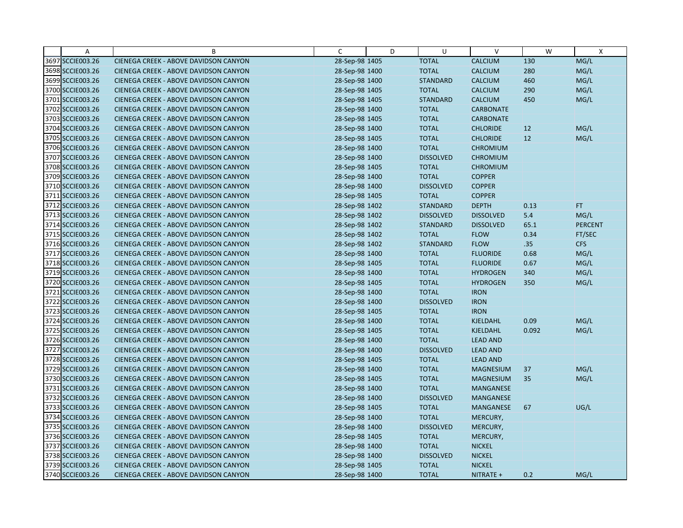| A                | B                                     | C              | D | U                | $\vee$           | W     | $\mathsf{X}$   |
|------------------|---------------------------------------|----------------|---|------------------|------------------|-------|----------------|
| 3697 SCCIE003.26 | CIENEGA CREEK - ABOVE DAVIDSON CANYON | 28-Sep-98 1405 |   | <b>TOTAL</b>     | <b>CALCIUM</b>   | 130   | MG/L           |
| 3698 SCCIE003.26 | CIENEGA CREEK - ABOVE DAVIDSON CANYON | 28-Sep-98 1400 |   | <b>TOTAL</b>     | <b>CALCIUM</b>   | 280   | MG/L           |
| 3699 SCCIE003.26 | CIENEGA CREEK - ABOVE DAVIDSON CANYON | 28-Sep-98 1400 |   | <b>STANDARD</b>  | <b>CALCIUM</b>   | 460   | MG/L           |
| 3700 SCCIE003.26 | CIENEGA CREEK - ABOVE DAVIDSON CANYON | 28-Sep-98 1405 |   | <b>TOTAL</b>     | <b>CALCIUM</b>   | 290   | MG/L           |
| 3701 SCCIE003.26 | CIENEGA CREEK - ABOVE DAVIDSON CANYON | 28-Sep-98 1405 |   | <b>STANDARD</b>  | <b>CALCIUM</b>   | 450   | MG/L           |
| 3702 SCCIE003.26 | CIENEGA CREEK - ABOVE DAVIDSON CANYON | 28-Sep-98 1400 |   | <b>TOTAL</b>     | <b>CARBONATE</b> |       |                |
| 3703 SCCIE003.26 | CIENEGA CREEK - ABOVE DAVIDSON CANYON | 28-Sep-98 1405 |   | <b>TOTAL</b>     | <b>CARBONATE</b> |       |                |
| 3704 SCCIE003.26 | CIENEGA CREEK - ABOVE DAVIDSON CANYON | 28-Sep-98 1400 |   | <b>TOTAL</b>     | <b>CHLORIDE</b>  | 12    | MG/L           |
| 3705 SCCIE003.26 | CIENEGA CREEK - ABOVE DAVIDSON CANYON | 28-Sep-98 1405 |   | <b>TOTAL</b>     | <b>CHLORIDE</b>  | 12    | MG/L           |
| 3706 SCCIE003.26 | CIENEGA CREEK - ABOVE DAVIDSON CANYON | 28-Sep-98 1400 |   | <b>TOTAL</b>     | <b>CHROMIUM</b>  |       |                |
| 3707 SCCIE003.26 | CIENEGA CREEK - ABOVE DAVIDSON CANYON | 28-Sep-98 1400 |   | <b>DISSOLVED</b> | <b>CHROMIUM</b>  |       |                |
| 3708 SCCIE003.26 | CIENEGA CREEK - ABOVE DAVIDSON CANYON | 28-Sep-98 1405 |   | <b>TOTAL</b>     | <b>CHROMIUM</b>  |       |                |
| 3709 SCCIE003.26 | CIENEGA CREEK - ABOVE DAVIDSON CANYON | 28-Sep-98 1400 |   | <b>TOTAL</b>     | <b>COPPER</b>    |       |                |
| 3710 SCCIE003.26 | CIENEGA CREEK - ABOVE DAVIDSON CANYON | 28-Sep-98 1400 |   | <b>DISSOLVED</b> | <b>COPPER</b>    |       |                |
| 3711 SCCIE003.26 | CIENEGA CREEK - ABOVE DAVIDSON CANYON | 28-Sep-98 1405 |   | <b>TOTAL</b>     | <b>COPPER</b>    |       |                |
| 3712 SCCIE003.26 | CIENEGA CREEK - ABOVE DAVIDSON CANYON | 28-Sep-98 1402 |   | <b>STANDARD</b>  | <b>DEPTH</b>     | 0.13  | FT.            |
| 3713 SCCIE003.26 | CIENEGA CREEK - ABOVE DAVIDSON CANYON | 28-Sep-98 1402 |   | <b>DISSOLVED</b> | <b>DISSOLVED</b> | 5.4   | MG/L           |
| 3714 SCCIE003.26 | CIENEGA CREEK - ABOVE DAVIDSON CANYON | 28-Sep-98 1402 |   | <b>STANDARD</b>  | <b>DISSOLVED</b> | 65.1  | <b>PERCENT</b> |
| 3715 SCCIE003.26 | CIENEGA CREEK - ABOVE DAVIDSON CANYON | 28-Sep-98 1402 |   | <b>TOTAL</b>     | <b>FLOW</b>      | 0.34  | FT/SEC         |
| 3716 SCCIE003.26 | CIENEGA CREEK - ABOVE DAVIDSON CANYON | 28-Sep-98 1402 |   | <b>STANDARD</b>  | <b>FLOW</b>      | .35   | <b>CFS</b>     |
| 3717 SCCIE003.26 | CIENEGA CREEK - ABOVE DAVIDSON CANYON | 28-Sep-98 1400 |   | <b>TOTAL</b>     | <b>FLUORIDE</b>  | 0.68  | MG/L           |
| 3718 SCCIE003.26 | CIENEGA CREEK - ABOVE DAVIDSON CANYON | 28-Sep-98 1405 |   | <b>TOTAL</b>     | <b>FLUORIDE</b>  | 0.67  | MG/L           |
| 3719 SCCIE003.26 | CIENEGA CREEK - ABOVE DAVIDSON CANYON | 28-Sep-98 1400 |   | <b>TOTAL</b>     | <b>HYDROGEN</b>  | 340   | MG/L           |
| 3720 SCCIE003.26 | CIENEGA CREEK - ABOVE DAVIDSON CANYON | 28-Sep-98 1405 |   | <b>TOTAL</b>     | <b>HYDROGEN</b>  | 350   | MG/L           |
| 3721 SCCIE003.26 | CIENEGA CREEK - ABOVE DAVIDSON CANYON | 28-Sep-98 1400 |   | <b>TOTAL</b>     | <b>IRON</b>      |       |                |
| 3722 SCCIE003.26 | CIENEGA CREEK - ABOVE DAVIDSON CANYON | 28-Sep-98 1400 |   | <b>DISSOLVED</b> | <b>IRON</b>      |       |                |
| 3723 SCCIE003.26 | CIENEGA CREEK - ABOVE DAVIDSON CANYON | 28-Sep-98 1405 |   | <b>TOTAL</b>     | <b>IRON</b>      |       |                |
| 3724 SCCIE003.26 | CIENEGA CREEK - ABOVE DAVIDSON CANYON | 28-Sep-98 1400 |   | <b>TOTAL</b>     | KJELDAHL         | 0.09  | MG/L           |
| 3725 SCCIE003.26 | CIENEGA CREEK - ABOVE DAVIDSON CANYON | 28-Sep-98 1405 |   | <b>TOTAL</b>     | KJELDAHL         | 0.092 | MG/L           |
| 3726 SCCIE003.26 | CIENEGA CREEK - ABOVE DAVIDSON CANYON | 28-Sep-98 1400 |   | <b>TOTAL</b>     | <b>LEAD AND</b>  |       |                |
| 3727 SCCIE003.26 | CIENEGA CREEK - ABOVE DAVIDSON CANYON | 28-Sep-98 1400 |   | <b>DISSOLVED</b> | <b>LEAD AND</b>  |       |                |
| 3728 SCCIE003.26 | CIENEGA CREEK - ABOVE DAVIDSON CANYON | 28-Sep-98 1405 |   | <b>TOTAL</b>     | <b>LEAD AND</b>  |       |                |
| 3729 SCCIE003.26 | CIENEGA CREEK - ABOVE DAVIDSON CANYON | 28-Sep-98 1400 |   | <b>TOTAL</b>     | <b>MAGNESIUM</b> | 37    | MG/L           |
| 3730 SCCIE003.26 | CIENEGA CREEK - ABOVE DAVIDSON CANYON | 28-Sep-98 1405 |   | <b>TOTAL</b>     | <b>MAGNESIUM</b> | 35    | MG/L           |
| 3731 SCCIE003.26 | CIENEGA CREEK - ABOVE DAVIDSON CANYON | 28-Sep-98 1400 |   | <b>TOTAL</b>     | <b>MANGANESE</b> |       |                |
| 3732 SCCIE003.26 | CIENEGA CREEK - ABOVE DAVIDSON CANYON | 28-Sep-98 1400 |   | <b>DISSOLVED</b> | <b>MANGANESE</b> |       |                |
| 3733 SCCIE003.26 | CIENEGA CREEK - ABOVE DAVIDSON CANYON | 28-Sep-98 1405 |   | <b>TOTAL</b>     | <b>MANGANESE</b> | 67    | UG/L           |
| 3734 SCCIE003.26 | CIENEGA CREEK - ABOVE DAVIDSON CANYON | 28-Sep-98 1400 |   | <b>TOTAL</b>     | MERCURY,         |       |                |
| 3735 SCCIE003.26 | CIENEGA CREEK - ABOVE DAVIDSON CANYON | 28-Sep-98 1400 |   | <b>DISSOLVED</b> | MERCURY,         |       |                |
| 3736 SCCIE003.26 | CIENEGA CREEK - ABOVE DAVIDSON CANYON | 28-Sep-98 1405 |   | <b>TOTAL</b>     | MERCURY,         |       |                |
| 3737 SCCIE003.26 | CIENEGA CREEK - ABOVE DAVIDSON CANYON | 28-Sep-98 1400 |   | <b>TOTAL</b>     | <b>NICKEL</b>    |       |                |
| 3738 SCCIE003.26 | CIENEGA CREEK - ABOVE DAVIDSON CANYON | 28-Sep-98 1400 |   | <b>DISSOLVED</b> | <b>NICKEL</b>    |       |                |
| 3739 SCCIE003.26 | CIENEGA CREEK - ABOVE DAVIDSON CANYON | 28-Sep-98 1405 |   | <b>TOTAL</b>     | <b>NICKEL</b>    |       |                |
| 3740 SCCIE003.26 | CIENEGA CREEK - ABOVE DAVIDSON CANYON | 28-Sep-98 1400 |   | <b>TOTAL</b>     | NITRATE +        | 0.2   | MG/L           |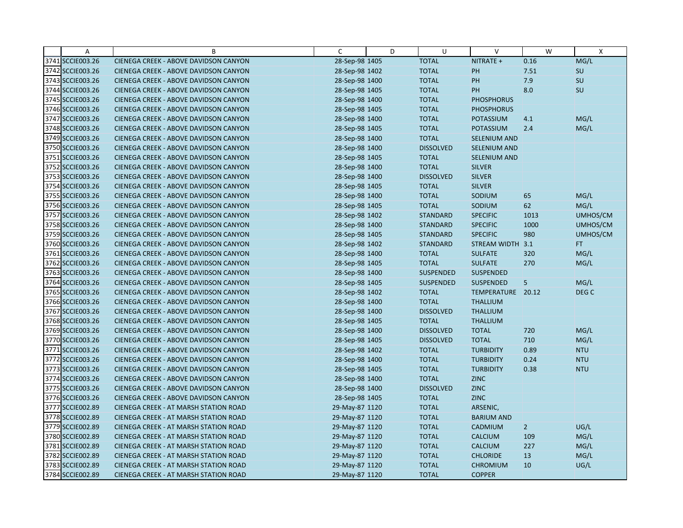| A                | B                                            | C              | D | U                | $\vee$              | W              | $\mathsf{X}$     |
|------------------|----------------------------------------------|----------------|---|------------------|---------------------|----------------|------------------|
| 3741 SCCIE003.26 | CIENEGA CREEK - ABOVE DAVIDSON CANYON        | 28-Sep-98 1405 |   | <b>TOTAL</b>     | NITRATE +           | 0.16           | MG/L             |
| 3742 SCCIE003.26 | CIENEGA CREEK - ABOVE DAVIDSON CANYON        | 28-Sep-98 1402 |   | <b>TOTAL</b>     | PH                  | 7.51           | SU               |
| 3743 SCCIE003.26 | CIENEGA CREEK - ABOVE DAVIDSON CANYON        | 28-Sep-98 1400 |   | <b>TOTAL</b>     | PH                  | 7.9            | SU               |
| 3744 SCCIE003.26 | CIENEGA CREEK - ABOVE DAVIDSON CANYON        | 28-Sep-98 1405 |   | <b>TOTAL</b>     | PH                  | 8.0            | SU               |
| 3745 SCCIE003.26 | CIENEGA CREEK - ABOVE DAVIDSON CANYON        | 28-Sep-98 1400 |   | <b>TOTAL</b>     | <b>PHOSPHORUS</b>   |                |                  |
| 3746 SCCIE003.26 | CIENEGA CREEK - ABOVE DAVIDSON CANYON        | 28-Sep-98 1405 |   | <b>TOTAL</b>     | <b>PHOSPHORUS</b>   |                |                  |
| 3747 SCCIE003.26 | CIENEGA CREEK - ABOVE DAVIDSON CANYON        | 28-Sep-98 1400 |   | <b>TOTAL</b>     | POTASSIUM           | 4.1            | MG/L             |
| 3748 SCCIE003.26 | CIENEGA CREEK - ABOVE DAVIDSON CANYON        | 28-Sep-98 1405 |   | <b>TOTAL</b>     | <b>POTASSIUM</b>    | 2.4            | MG/L             |
| 3749 SCCIE003.26 | CIENEGA CREEK - ABOVE DAVIDSON CANYON        | 28-Sep-98 1400 |   | <b>TOTAL</b>     | <b>SELENIUM AND</b> |                |                  |
| 3750 SCCIE003.26 | CIENEGA CREEK - ABOVE DAVIDSON CANYON        | 28-Sep-98 1400 |   | <b>DISSOLVED</b> | SELENIUM AND        |                |                  |
| 3751 SCCIE003.26 | CIENEGA CREEK - ABOVE DAVIDSON CANYON        | 28-Sep-98 1405 |   | <b>TOTAL</b>     | SELENIUM AND        |                |                  |
| 3752 SCCIE003.26 | CIENEGA CREEK - ABOVE DAVIDSON CANYON        | 28-Sep-98 1400 |   | <b>TOTAL</b>     | <b>SILVER</b>       |                |                  |
| 3753 SCCIE003.26 | CIENEGA CREEK - ABOVE DAVIDSON CANYON        | 28-Sep-98 1400 |   | <b>DISSOLVED</b> | <b>SILVER</b>       |                |                  |
| 3754 SCCIE003.26 | CIENEGA CREEK - ABOVE DAVIDSON CANYON        | 28-Sep-98 1405 |   | <b>TOTAL</b>     | <b>SILVER</b>       |                |                  |
| 3755 SCCIE003.26 | CIENEGA CREEK - ABOVE DAVIDSON CANYON        | 28-Sep-98 1400 |   | <b>TOTAL</b>     | SODIUM              | 65             | MG/L             |
| 3756 SCCIE003.26 | CIENEGA CREEK - ABOVE DAVIDSON CANYON        | 28-Sep-98 1405 |   | <b>TOTAL</b>     | SODIUM              | 62             | MG/L             |
| 3757 SCCIE003.26 | CIENEGA CREEK - ABOVE DAVIDSON CANYON        | 28-Sep-98 1402 |   | <b>STANDARD</b>  | <b>SPECIFIC</b>     | 1013           | UMHOS/CM         |
| 3758 SCCIE003.26 | CIENEGA CREEK - ABOVE DAVIDSON CANYON        | 28-Sep-98 1400 |   | <b>STANDARD</b>  | <b>SPECIFIC</b>     | 1000           | UMHOS/CM         |
| 3759 SCCIE003.26 | CIENEGA CREEK - ABOVE DAVIDSON CANYON        | 28-Sep-98 1405 |   | <b>STANDARD</b>  | <b>SPECIFIC</b>     | 980            | UMHOS/CM         |
| 3760 SCCIE003.26 | CIENEGA CREEK - ABOVE DAVIDSON CANYON        | 28-Sep-98 1402 |   | <b>STANDARD</b>  | STREAM WIDTH 3.1    |                | FT.              |
| 3761 SCCIE003.26 | CIENEGA CREEK - ABOVE DAVIDSON CANYON        | 28-Sep-98 1400 |   | <b>TOTAL</b>     | <b>SULFATE</b>      | 320            | MG/L             |
| 3762 SCCIE003.26 | CIENEGA CREEK - ABOVE DAVIDSON CANYON        | 28-Sep-98 1405 |   | <b>TOTAL</b>     | <b>SULFATE</b>      | 270            | MG/L             |
| 3763 SCCIE003.26 | CIENEGA CREEK - ABOVE DAVIDSON CANYON        | 28-Sep-98 1400 |   | <b>SUSPENDED</b> | <b>SUSPENDED</b>    |                |                  |
| 3764 SCCIE003.26 | CIENEGA CREEK - ABOVE DAVIDSON CANYON        | 28-Sep-98 1405 |   | <b>SUSPENDED</b> | <b>SUSPENDED</b>    | 5              | MG/L             |
| 3765 SCCIE003.26 | CIENEGA CREEK - ABOVE DAVIDSON CANYON        | 28-Sep-98 1402 |   | <b>TOTAL</b>     | TEMPERATURE 20.12   |                | DEG <sub>C</sub> |
| 3766 SCCIE003.26 | CIENEGA CREEK - ABOVE DAVIDSON CANYON        | 28-Sep-98 1400 |   | <b>TOTAL</b>     | <b>THALLIUM</b>     |                |                  |
| 3767 SCCIE003.26 | CIENEGA CREEK - ABOVE DAVIDSON CANYON        | 28-Sep-98 1400 |   | <b>DISSOLVED</b> | <b>THALLIUM</b>     |                |                  |
| 3768 SCCIE003.26 | CIENEGA CREEK - ABOVE DAVIDSON CANYON        | 28-Sep-98 1405 |   | <b>TOTAL</b>     | <b>THALLIUM</b>     |                |                  |
| 3769 SCCIE003.26 | CIENEGA CREEK - ABOVE DAVIDSON CANYON        | 28-Sep-98 1400 |   | <b>DISSOLVED</b> | <b>TOTAL</b>        | 720            | MG/L             |
| 3770 SCCIE003.26 | CIENEGA CREEK - ABOVE DAVIDSON CANYON        | 28-Sep-98 1405 |   | <b>DISSOLVED</b> | <b>TOTAL</b>        | 710            | MG/L             |
| 3771 SCCIE003.26 | CIENEGA CREEK - ABOVE DAVIDSON CANYON        | 28-Sep-98 1402 |   | <b>TOTAL</b>     | <b>TURBIDITY</b>    | 0.89           | <b>NTU</b>       |
| 3772 SCCIE003.26 | CIENEGA CREEK - ABOVE DAVIDSON CANYON        | 28-Sep-98 1400 |   | <b>TOTAL</b>     | <b>TURBIDITY</b>    | 0.24           | <b>NTU</b>       |
| 3773 SCCIE003.26 | CIENEGA CREEK - ABOVE DAVIDSON CANYON        | 28-Sep-98 1405 |   | <b>TOTAL</b>     | <b>TURBIDITY</b>    | 0.38           | <b>NTU</b>       |
| 3774 SCCIE003.26 | CIENEGA CREEK - ABOVE DAVIDSON CANYON        | 28-Sep-98 1400 |   | <b>TOTAL</b>     | <b>ZINC</b>         |                |                  |
| 3775 SCCIE003.26 | CIENEGA CREEK - ABOVE DAVIDSON CANYON        | 28-Sep-98 1400 |   | <b>DISSOLVED</b> | <b>ZINC</b>         |                |                  |
| 3776 SCCIE003.26 | CIENEGA CREEK - ABOVE DAVIDSON CANYON        | 28-Sep-98 1405 |   | <b>TOTAL</b>     | <b>ZINC</b>         |                |                  |
| 3777 SCCIE002.89 | <b>CIENEGA CREEK - AT MARSH STATION ROAD</b> | 29-May-87 1120 |   | <b>TOTAL</b>     | ARSENIC,            |                |                  |
| 3778 SCCIE002.89 | CIENEGA CREEK - AT MARSH STATION ROAD        | 29-May-87 1120 |   | <b>TOTAL</b>     | <b>BARIUM AND</b>   |                |                  |
| 3779 SCCIE002.89 | CIENEGA CREEK - AT MARSH STATION ROAD        | 29-May-87 1120 |   | <b>TOTAL</b>     | CADMIUM             | $\overline{2}$ | UG/L             |
| 3780 SCCIE002.89 | <b>CIENEGA CREEK - AT MARSH STATION ROAD</b> | 29-May-87 1120 |   | <b>TOTAL</b>     | <b>CALCIUM</b>      | 109            | MG/L             |
| 3781 SCCIE002.89 | <b>CIENEGA CREEK - AT MARSH STATION ROAD</b> | 29-May-87 1120 |   | <b>TOTAL</b>     | <b>CALCIUM</b>      | 227            | MG/L             |
| 3782 SCCIE002.89 | CIENEGA CREEK - AT MARSH STATION ROAD        | 29-May-87 1120 |   | <b>TOTAL</b>     | <b>CHLORIDE</b>     | 13             | MG/L             |
| 3783 SCCIE002.89 | <b>CIENEGA CREEK - AT MARSH STATION ROAD</b> | 29-May-87 1120 |   | <b>TOTAL</b>     | <b>CHROMIUM</b>     | 10             | UG/L             |
| 3784 SCCIE002.89 | CIENEGA CREEK - AT MARSH STATION ROAD        | 29-May-87 1120 |   | <b>TOTAL</b>     | <b>COPPER</b>       |                |                  |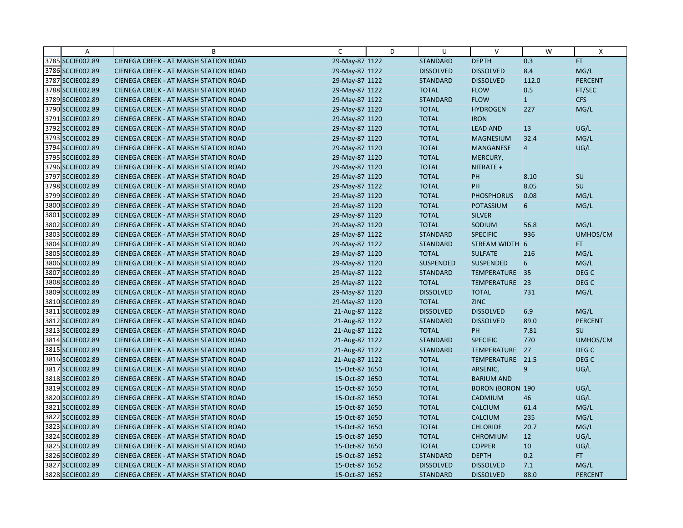| A                | B                                            | C              | D | U                | $\vee$                  | W              | Χ                |
|------------------|----------------------------------------------|----------------|---|------------------|-------------------------|----------------|------------------|
| 3785 SCCIE002.89 | CIENEGA CREEK - AT MARSH STATION ROAD        | 29-May-87 1122 |   | <b>STANDARD</b>  | <b>DEPTH</b>            | 0.3            | <b>FT</b>        |
| 3786 SCCIE002.89 | CIENEGA CREEK - AT MARSH STATION ROAD        | 29-May-87 1122 |   | <b>DISSOLVED</b> | <b>DISSOLVED</b>        | 8.4            | MG/L             |
| 3787 SCCIE002.89 | <b>CIENEGA CREEK - AT MARSH STATION ROAD</b> | 29-May-87 1122 |   | <b>STANDARD</b>  | <b>DISSOLVED</b>        | 112.0          | <b>PERCENT</b>   |
| 3788 SCCIE002.89 | <b>CIENEGA CREEK - AT MARSH STATION ROAD</b> | 29-May-87 1122 |   | <b>TOTAL</b>     | <b>FLOW</b>             | 0.5            | FT/SEC           |
| 3789 SCCIE002.89 | <b>CIENEGA CREEK - AT MARSH STATION ROAD</b> | 29-May-87 1122 |   | <b>STANDARD</b>  | <b>FLOW</b>             | $ 1\rangle$    | <b>CFS</b>       |
| 3790 SCCIE002.89 | <b>CIENEGA CREEK - AT MARSH STATION ROAD</b> | 29-May-87 1120 |   | <b>TOTAL</b>     | <b>HYDROGEN</b>         | 227            | MG/L             |
| 3791 SCCIE002.89 | <b>CIENEGA CREEK - AT MARSH STATION ROAD</b> | 29-May-87 1120 |   | <b>TOTAL</b>     | <b>IRON</b>             |                |                  |
| 3792 SCCIE002.89 | <b>CIENEGA CREEK - AT MARSH STATION ROAD</b> | 29-May-87 1120 |   | <b>TOTAL</b>     | <b>LEAD AND</b>         | 13             | UG/L             |
| 3793 SCCIE002.89 | CIENEGA CREEK - AT MARSH STATION ROAD        | 29-May-87 1120 |   | <b>TOTAL</b>     | <b>MAGNESIUM</b>        | 32.4           | MG/L             |
| 3794 SCCIE002.89 | <b>CIENEGA CREEK - AT MARSH STATION ROAD</b> | 29-May-87 1120 |   | <b>TOTAL</b>     | <b>MANGANESE</b>        | $\overline{4}$ | UG/L             |
| 3795 SCCIE002.89 | <b>CIENEGA CREEK - AT MARSH STATION ROAD</b> | 29-May-87 1120 |   | <b>TOTAL</b>     | MERCURY,                |                |                  |
| 3796 SCCIE002.89 | CIENEGA CREEK - AT MARSH STATION ROAD        | 29-May-87 1120 |   | <b>TOTAL</b>     | NITRATE +               |                |                  |
| 3797 SCCIE002.89 | <b>CIENEGA CREEK - AT MARSH STATION ROAD</b> | 29-May-87 1120 |   | <b>TOTAL</b>     | PH                      | 8.10           | SU               |
| 3798 SCCIE002.89 | <b>CIENEGA CREEK - AT MARSH STATION ROAD</b> | 29-May-87 1122 |   | <b>TOTAL</b>     | PH                      | 8.05           | SU               |
| 3799 SCCIE002.89 | <b>CIENEGA CREEK - AT MARSH STATION ROAD</b> | 29-May-87 1120 |   | <b>TOTAL</b>     | <b>PHOSPHORUS</b>       | 0.08           | MG/L             |
| 3800 SCCIE002.89 | <b>CIENEGA CREEK - AT MARSH STATION ROAD</b> | 29-May-87 1120 |   | <b>TOTAL</b>     | <b>POTASSIUM</b>        | 6              | MG/L             |
| 3801 SCCIE002.89 | CIENEGA CREEK - AT MARSH STATION ROAD        | 29-May-87 1120 |   | <b>TOTAL</b>     | <b>SILVER</b>           |                |                  |
| 3802 SCCIE002.89 | <b>CIENEGA CREEK - AT MARSH STATION ROAD</b> | 29-May-87 1120 |   | <b>TOTAL</b>     | SODIUM                  | 56.8           | MG/L             |
| 3803 SCCIE002.89 | <b>CIENEGA CREEK - AT MARSH STATION ROAD</b> | 29-May-87 1122 |   | <b>STANDARD</b>  | <b>SPECIFIC</b>         | 936            | UMHOS/CM         |
| 3804 SCCIE002.89 | <b>CIENEGA CREEK - AT MARSH STATION ROAD</b> | 29-May-87 1122 |   | <b>STANDARD</b>  | STREAM WIDTH            | 6              | FT.              |
| 3805 SCCIE002.89 | <b>CIENEGA CREEK - AT MARSH STATION ROAD</b> | 29-May-87 1120 |   | <b>TOTAL</b>     | <b>SULFATE</b>          | 216            | MG/L             |
| 3806 SCCIE002.89 | <b>CIENEGA CREEK - AT MARSH STATION ROAD</b> | 29-May-87 1120 |   | <b>SUSPENDED</b> | <b>SUSPENDED</b>        | 6              | MG/L             |
| 3807 SCCIE002.89 | CIENEGA CREEK - AT MARSH STATION ROAD        | 29-May-87 1122 |   | <b>STANDARD</b>  | TEMPERATURE 35          |                | DEG C            |
| 3808 SCCIE002.89 | <b>CIENEGA CREEK - AT MARSH STATION ROAD</b> | 29-May-87 1122 |   | <b>TOTAL</b>     | TEMPERATURE             | 23             | DEG <sub>C</sub> |
| 3809 SCCIE002.89 | CIENEGA CREEK - AT MARSH STATION ROAD        | 29-May-87 1120 |   | <b>DISSOLVED</b> | <b>TOTAL</b>            | 731            | MG/L             |
| 3810 SCCIE002.89 | CIENEGA CREEK - AT MARSH STATION ROAD        | 29-May-87 1120 |   | <b>TOTAL</b>     | <b>ZINC</b>             |                |                  |
| 3811 SCCIE002.89 | CIENEGA CREEK - AT MARSH STATION ROAD        | 21-Aug-87 1122 |   | <b>DISSOLVED</b> | <b>DISSOLVED</b>        | 6.9            | MG/L             |
| 3812 SCCIE002.89 | CIENEGA CREEK - AT MARSH STATION ROAD        | 21-Aug-87 1122 |   | <b>STANDARD</b>  | <b>DISSOLVED</b>        | 89.0           | <b>PERCENT</b>   |
| 3813 SCCIE002.89 | <b>CIENEGA CREEK - AT MARSH STATION ROAD</b> | 21-Aug-87 1122 |   | <b>TOTAL</b>     | PH                      | 7.81           | SU               |
| 3814 SCCIE002.89 | <b>CIENEGA CREEK - AT MARSH STATION ROAD</b> | 21-Aug-87 1122 |   | <b>STANDARD</b>  | <b>SPECIFIC</b>         | 770            | UMHOS/CM         |
| 3815 SCCIE002.89 | CIENEGA CREEK - AT MARSH STATION ROAD        | 21-Aug-87 1122 |   | <b>STANDARD</b>  | TEMPERATURE             | 27             | DEG <sub>C</sub> |
| 3816 SCCIE002.89 | <b>CIENEGA CREEK - AT MARSH STATION ROAD</b> | 21-Aug-87 1122 |   | <b>TOTAL</b>     | TEMPERATURE 21.5        |                | DEG <sub>C</sub> |
| 3817 SCCIE002.89 | CIENEGA CREEK - AT MARSH STATION ROAD        | 15-Oct-87 1650 |   | <b>TOTAL</b>     | ARSENIC,                | $\overline{9}$ | UG/L             |
| 3818 SCCIE002.89 | <b>CIENEGA CREEK - AT MARSH STATION ROAD</b> | 15-Oct-87 1650 |   | <b>TOTAL</b>     | <b>BARIUM AND</b>       |                |                  |
| 3819 SCCIE002.89 | CIENEGA CREEK - AT MARSH STATION ROAD        | 15-Oct-87 1650 |   | <b>TOTAL</b>     | <b>BORON (BORON 190</b> |                | UG/L             |
| 3820 SCCIE002.89 | <b>CIENEGA CREEK - AT MARSH STATION ROAD</b> | 15-Oct-87 1650 |   | <b>TOTAL</b>     | CADMIUM                 | 46             | UG/L             |
| 3821 SCCIE002.89 | <b>CIENEGA CREEK - AT MARSH STATION ROAD</b> | 15-Oct-87 1650 |   | <b>TOTAL</b>     | <b>CALCIUM</b>          | 61.4           | MG/L             |
| 3822 SCCIE002.89 | CIENEGA CREEK - AT MARSH STATION ROAD        | 15-Oct-87 1650 |   | <b>TOTAL</b>     | <b>CALCIUM</b>          | 235            | MG/L             |
| 3823 SCCIE002.89 | CIENEGA CREEK - AT MARSH STATION ROAD        | 15-Oct-87 1650 |   | <b>TOTAL</b>     | <b>CHLORIDE</b>         | 20.7           | MG/L             |
| 3824 SCCIE002.89 | <b>CIENEGA CREEK - AT MARSH STATION ROAD</b> | 15-Oct-87 1650 |   | <b>TOTAL</b>     | <b>CHROMIUM</b>         | 12             | UG/L             |
| 3825 SCCIE002.89 | <b>CIENEGA CREEK - AT MARSH STATION ROAD</b> | 15-Oct-87 1650 |   | <b>TOTAL</b>     | <b>COPPER</b>           | 10             | UG/L             |
| 3826 SCCIE002.89 | <b>CIENEGA CREEK - AT MARSH STATION ROAD</b> | 15-Oct-87 1652 |   | <b>STANDARD</b>  | <b>DEPTH</b>            | 0.2            | FT.              |
| 3827 SCCIE002.89 | CIENEGA CREEK - AT MARSH STATION ROAD        | 15-Oct-87 1652 |   | <b>DISSOLVED</b> | <b>DISSOLVED</b>        | 7.1            | MG/L             |
| 3828 SCCIE002.89 | CIENEGA CREEK - AT MARSH STATION ROAD        | 15-Oct-87 1652 |   | <b>STANDARD</b>  | <b>DISSOLVED</b>        | 88.0           | <b>PERCENT</b>   |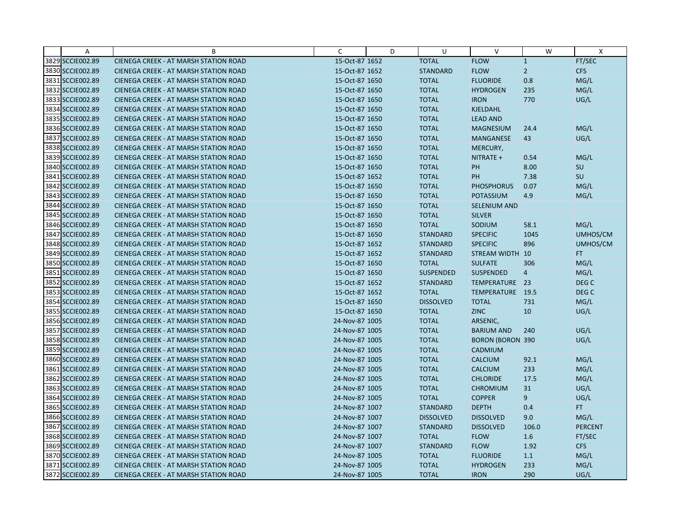| A                | B                                            | C              | D | U                | $\vee$                  | W              | Χ                |
|------------------|----------------------------------------------|----------------|---|------------------|-------------------------|----------------|------------------|
| 3829 SCCIE002.89 | CIENEGA CREEK - AT MARSH STATION ROAD        | 15-Oct-87 1652 |   | <b>TOTAL</b>     | <b>FLOW</b>             | 1              | FT/SEC           |
| 3830 SCCIE002.89 | <b>CIENEGA CREEK - AT MARSH STATION ROAD</b> | 15-Oct-87 1652 |   | <b>STANDARD</b>  | <b>FLOW</b>             | $\overline{2}$ | <b>CFS</b>       |
| 3831 SCCIE002.89 | <b>CIENEGA CREEK - AT MARSH STATION ROAD</b> | 15-Oct-87 1650 |   | <b>TOTAL</b>     | <b>FLUORIDE</b>         | 0.8            | MG/L             |
| 3832 SCCIE002.89 | <b>CIENEGA CREEK - AT MARSH STATION ROAD</b> | 15-Oct-87 1650 |   | <b>TOTAL</b>     | <b>HYDROGEN</b>         | 235            | MG/L             |
| 3833 SCCIE002.89 | <b>CIENEGA CREEK - AT MARSH STATION ROAD</b> | 15-Oct-87 1650 |   | <b>TOTAL</b>     | <b>IRON</b>             | 770            | UG/L             |
| 3834 SCCIE002.89 | <b>CIENEGA CREEK - AT MARSH STATION ROAD</b> | 15-Oct-87 1650 |   | <b>TOTAL</b>     | <b>KJELDAHL</b>         |                |                  |
| 3835 SCCIE002.89 | <b>CIENEGA CREEK - AT MARSH STATION ROAD</b> | 15-Oct-87 1650 |   | <b>TOTAL</b>     | <b>LEAD AND</b>         |                |                  |
| 3836 SCCIE002.89 | <b>CIENEGA CREEK - AT MARSH STATION ROAD</b> | 15-Oct-87 1650 |   | <b>TOTAL</b>     | <b>MAGNESIUM</b>        | 24.4           | MG/L             |
| 3837 SCCIE002.89 | CIENEGA CREEK - AT MARSH STATION ROAD        | 15-Oct-87 1650 |   | <b>TOTAL</b>     | <b>MANGANESE</b>        | 43             | UG/L             |
| 3838 SCCIE002.89 | <b>CIENEGA CREEK - AT MARSH STATION ROAD</b> | 15-Oct-87 1650 |   | <b>TOTAL</b>     | MERCURY,                |                |                  |
| 3839 SCCIE002.89 | <b>CIENEGA CREEK - AT MARSH STATION ROAD</b> | 15-Oct-87 1650 |   | <b>TOTAL</b>     | NITRATE +               | 0.54           | MG/L             |
| 3840 SCCIE002.89 | CIENEGA CREEK - AT MARSH STATION ROAD        | 15-Oct-87 1650 |   | <b>TOTAL</b>     | PH                      | 8.00           | SU               |
| 3841 SCCIE002.89 | <b>CIENEGA CREEK - AT MARSH STATION ROAD</b> | 15-Oct-87 1652 |   | <b>TOTAL</b>     | PH                      | 7.38           | SU               |
| 3842 SCCIE002.89 | <b>CIENEGA CREEK - AT MARSH STATION ROAD</b> | 15-Oct-87 1650 |   | <b>TOTAL</b>     | <b>PHOSPHORUS</b>       | 0.07           | MG/L             |
| 3843 SCCIE002.89 | <b>CIENEGA CREEK - AT MARSH STATION ROAD</b> | 15-Oct-87 1650 |   | <b>TOTAL</b>     | <b>POTASSIUM</b>        | 4.9            | MG/L             |
| 3844 SCCIE002.89 | <b>CIENEGA CREEK - AT MARSH STATION ROAD</b> | 15-Oct-87 1650 |   | <b>TOTAL</b>     | <b>SELENIUM AND</b>     |                |                  |
| 3845 SCCIE002.89 | CIENEGA CREEK - AT MARSH STATION ROAD        | 15-Oct-87 1650 |   | <b>TOTAL</b>     | <b>SILVER</b>           |                |                  |
| 3846 SCCIE002.89 | <b>CIENEGA CREEK - AT MARSH STATION ROAD</b> | 15-Oct-87 1650 |   | <b>TOTAL</b>     | SODIUM                  | 58.1           | MG/L             |
| 3847 SCCIE002.89 | <b>CIENEGA CREEK - AT MARSH STATION ROAD</b> | 15-Oct-87 1650 |   | <b>STANDARD</b>  | <b>SPECIFIC</b>         | 1045           | UMHOS/CM         |
| 3848 SCCIE002.89 | <b>CIENEGA CREEK - AT MARSH STATION ROAD</b> | 15-Oct-87 1652 |   | <b>STANDARD</b>  | <b>SPECIFIC</b>         | 896            | UMHOS/CM         |
| 3849 SCCIE002.89 | <b>CIENEGA CREEK - AT MARSH STATION ROAD</b> | 15-Oct-87 1652 |   | <b>STANDARD</b>  | STREAM WIDTH            | <b>10</b>      | FT.              |
| 3850 SCCIE002.89 | <b>CIENEGA CREEK - AT MARSH STATION ROAD</b> | 15-Oct-87 1650 |   | <b>TOTAL</b>     | <b>SULFATE</b>          | 306            | MG/L             |
| 3851 SCCIE002.89 | <b>CIENEGA CREEK - AT MARSH STATION ROAD</b> | 15-Oct-87 1650 |   | SUSPENDED        | SUSPENDED               | $\overline{4}$ | MG/L             |
| 3852 SCCIE002.89 | <b>CIENEGA CREEK - AT MARSH STATION ROAD</b> | 15-Oct-87 1652 |   | <b>STANDARD</b>  | TEMPERATURE 23          |                | DEG <sub>C</sub> |
| 3853 SCCIE002.89 | CIENEGA CREEK - AT MARSH STATION ROAD        | 15-Oct-87 1652 |   | <b>TOTAL</b>     | TEMPERATURE 19.5        |                | DEG <sub>C</sub> |
| 3854 SCCIE002.89 | <b>CIENEGA CREEK - AT MARSH STATION ROAD</b> | 15-Oct-87 1650 |   | <b>DISSOLVED</b> | <b>TOTAL</b>            | 731            | MG/L             |
| 3855 SCCIE002.89 | CIENEGA CREEK - AT MARSH STATION ROAD        | 15-Oct-87 1650 |   | <b>TOTAL</b>     | <b>ZINC</b>             | 10             | UG/L             |
| 3856 SCCIE002.89 | CIENEGA CREEK - AT MARSH STATION ROAD        | 24-Nov-87 1005 |   | <b>TOTAL</b>     | ARSENIC,                |                |                  |
| 3857 SCCIE002.89 | <b>CIENEGA CREEK - AT MARSH STATION ROAD</b> | 24-Nov-87 1005 |   | <b>TOTAL</b>     | <b>BARIUM AND</b>       | 240            | UG/L             |
| 3858 SCCIE002.89 | <b>CIENEGA CREEK - AT MARSH STATION ROAD</b> | 24-Nov-87 1005 |   | <b>TOTAL</b>     | <b>BORON (BORON 390</b> |                | UG/L             |
| 3859 SCCIE002.89 | CIENEGA CREEK - AT MARSH STATION ROAD        | 24-Nov-87 1005 |   | <b>TOTAL</b>     | CADMIUM                 |                |                  |
| 3860 SCCIE002.89 | <b>CIENEGA CREEK - AT MARSH STATION ROAD</b> | 24-Nov-87 1005 |   | <b>TOTAL</b>     | <b>CALCIUM</b>          | 92.1           | MG/L             |
| 3861 SCCIE002.89 | <b>CIENEGA CREEK - AT MARSH STATION ROAD</b> | 24-Nov-87 1005 |   | <b>TOTAL</b>     | <b>CALCIUM</b>          | 233            | MG/L             |
| 3862 SCCIE002.89 | <b>CIENEGA CREEK - AT MARSH STATION ROAD</b> | 24-Nov-87 1005 |   | <b>TOTAL</b>     | <b>CHLORIDE</b>         | 17.5           | MG/L             |
| 3863 SCCIE002.89 | <b>CIENEGA CREEK - AT MARSH STATION ROAD</b> | 24-Nov-87 1005 |   | <b>TOTAL</b>     | <b>CHROMIUM</b>         | 31             | UG/L             |
| 3864 SCCIE002.89 | <b>CIENEGA CREEK - AT MARSH STATION ROAD</b> | 24-Nov-87 1005 |   | <b>TOTAL</b>     | <b>COPPER</b>           | 9              | UG/L             |
| 3865 SCCIE002.89 | <b>CIENEGA CREEK - AT MARSH STATION ROAD</b> | 24-Nov-87 1007 |   | <b>STANDARD</b>  | <b>DEPTH</b>            | 0.4            | <b>FT</b>        |
| 3866 SCCIE002.89 | CIENEGA CREEK - AT MARSH STATION ROAD        | 24-Nov-87 1007 |   | <b>DISSOLVED</b> | <b>DISSOLVED</b>        | 9.0            | MG/L             |
| 3867 SCCIE002.89 | <b>CIENEGA CREEK - AT MARSH STATION ROAD</b> | 24-Nov-87 1007 |   | <b>STANDARD</b>  | <b>DISSOLVED</b>        | 106.0          | <b>PERCENT</b>   |
| 3868 SCCIE002.89 | <b>CIENEGA CREEK - AT MARSH STATION ROAD</b> | 24-Nov-87 1007 |   | <b>TOTAL</b>     | <b>FLOW</b>             | 1.6            | FT/SEC           |
| 3869 SCCIE002.89 | <b>CIENEGA CREEK - AT MARSH STATION ROAD</b> | 24-Nov-87 1007 |   | <b>STANDARD</b>  | <b>FLOW</b>             | 1.92           | <b>CFS</b>       |
| 3870 SCCIE002.89 | <b>CIENEGA CREEK - AT MARSH STATION ROAD</b> | 24-Nov-87 1005 |   | <b>TOTAL</b>     | <b>FLUORIDE</b>         | 1.1            | MG/L             |
| 3871 SCCIE002.89 | <b>CIENEGA CREEK - AT MARSH STATION ROAD</b> | 24-Nov-87 1005 |   | <b>TOTAL</b>     | <b>HYDROGEN</b>         | 233            | MG/L             |
| 3872 SCCIE002.89 | CIENEGA CREEK - AT MARSH STATION ROAD        | 24-Nov-87 1005 |   | <b>TOTAL</b>     | <b>IRON</b>             | 290            | UG/L             |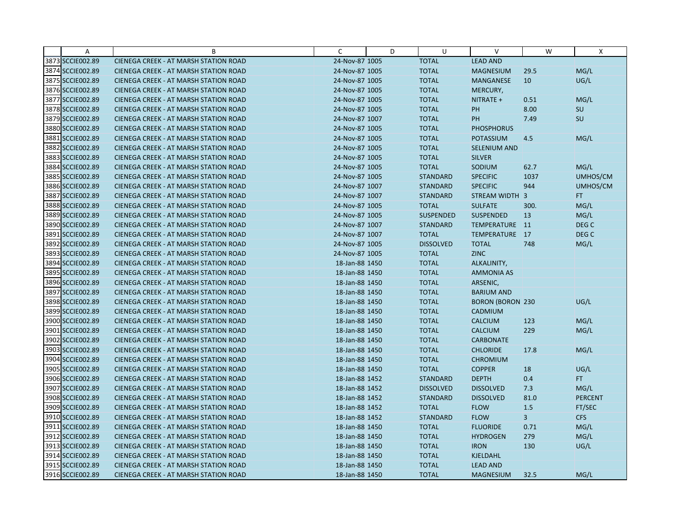| A                | B                                            | C              | D | U                | $\vee$                  | W    | X                |
|------------------|----------------------------------------------|----------------|---|------------------|-------------------------|------|------------------|
| 3873 SCCIE002.89 | CIENEGA CREEK - AT MARSH STATION ROAD        | 24-Nov-87 1005 |   | <b>TOTAL</b>     | <b>LEAD AND</b>         |      |                  |
| 3874 SCCIE002.89 | <b>CIENEGA CREEK - AT MARSH STATION ROAD</b> | 24-Nov-87 1005 |   | <b>TOTAL</b>     | <b>MAGNESIUM</b>        | 29.5 | MG/L             |
| 3875 SCCIE002.89 | <b>CIENEGA CREEK - AT MARSH STATION ROAD</b> | 24-Nov-87 1005 |   | <b>TOTAL</b>     | <b>MANGANESE</b>        | 10   | UG/L             |
| 3876 SCCIE002.89 | <b>CIENEGA CREEK - AT MARSH STATION ROAD</b> | 24-Nov-87 1005 |   | <b>TOTAL</b>     | MERCURY,                |      |                  |
| 3877 SCCIE002.89 | <b>CIENEGA CREEK - AT MARSH STATION ROAD</b> | 24-Nov-87 1005 |   | <b>TOTAL</b>     | NITRATE +               | 0.51 | MG/L             |
| 3878 SCCIE002.89 | <b>CIENEGA CREEK - AT MARSH STATION ROAD</b> | 24-Nov-87 1005 |   | <b>TOTAL</b>     | PH                      | 8.00 | SU               |
| 3879 SCCIE002.89 | <b>CIENEGA CREEK - AT MARSH STATION ROAD</b> | 24-Nov-87 1007 |   | <b>TOTAL</b>     | PH                      | 7.49 | SU               |
| 3880 SCCIE002.89 | <b>CIENEGA CREEK - AT MARSH STATION ROAD</b> | 24-Nov-87 1005 |   | <b>TOTAL</b>     | <b>PHOSPHORUS</b>       |      |                  |
| 3881 SCCIE002.89 | CIENEGA CREEK - AT MARSH STATION ROAD        | 24-Nov-87 1005 |   | <b>TOTAL</b>     | <b>POTASSIUM</b>        | 4.5  | MG/L             |
| 3882 SCCIE002.89 | <b>CIENEGA CREEK - AT MARSH STATION ROAD</b> | 24-Nov-87 1005 |   | <b>TOTAL</b>     | <b>SELENIUM AND</b>     |      |                  |
| 3883 SCCIE002.89 | <b>CIENEGA CREEK - AT MARSH STATION ROAD</b> | 24-Nov-87 1005 |   | <b>TOTAL</b>     | <b>SILVER</b>           |      |                  |
| 3884 SCCIE002.89 | CIENEGA CREEK - AT MARSH STATION ROAD        | 24-Nov-87 1005 |   | <b>TOTAL</b>     | SODIUM                  | 62.7 | MG/L             |
| 3885 SCCIE002.89 | <b>CIENEGA CREEK - AT MARSH STATION ROAD</b> | 24-Nov-87 1005 |   | <b>STANDARD</b>  | <b>SPECIFIC</b>         | 1037 | UMHOS/CM         |
| 3886 SCCIE002.89 | <b>CIENEGA CREEK - AT MARSH STATION ROAD</b> | 24-Nov-87 1007 |   | <b>STANDARD</b>  | <b>SPECIFIC</b>         | 944  | UMHOS/CM         |
| 3887 SCCIE002.89 | <b>CIENEGA CREEK - AT MARSH STATION ROAD</b> | 24-Nov-87 1007 |   | <b>STANDARD</b>  | STREAM WIDTH 3          |      | FT.              |
| 3888 SCCIE002.89 | <b>CIENEGA CREEK - AT MARSH STATION ROAD</b> | 24-Nov-87 1005 |   | <b>TOTAL</b>     | <b>SULFATE</b>          | 300. | MG/L             |
| 3889 SCCIE002.89 | CIENEGA CREEK - AT MARSH STATION ROAD        | 24-Nov-87 1005 |   | <b>SUSPENDED</b> | SUSPENDED               | 13   | MG/L             |
| 3890 SCCIE002.89 | <b>CIENEGA CREEK - AT MARSH STATION ROAD</b> | 24-Nov-87 1007 |   | <b>STANDARD</b>  | TEMPERATURE 11          |      | DEG <sub>C</sub> |
| 3891 SCCIE002.89 | <b>CIENEGA CREEK - AT MARSH STATION ROAD</b> | 24-Nov-87 1007 |   | <b>TOTAL</b>     | TEMPERATURE 17          |      | DEG <sub>C</sub> |
| 3892 SCCIE002.89 | <b>CIENEGA CREEK - AT MARSH STATION ROAD</b> | 24-Nov-87 1005 |   | <b>DISSOLVED</b> | <b>TOTAL</b>            | 748  | MG/L             |
| 3893 SCCIE002.89 | <b>CIENEGA CREEK - AT MARSH STATION ROAD</b> | 24-Nov-87 1005 |   | <b>TOTAL</b>     | <b>ZINC</b>             |      |                  |
| 3894 SCCIE002.89 | <b>CIENEGA CREEK - AT MARSH STATION ROAD</b> | 18-Jan-88 1450 |   | <b>TOTAL</b>     | ALKALINITY,             |      |                  |
| 3895 SCCIE002.89 | CIENEGA CREEK - AT MARSH STATION ROAD        | 18-Jan-88 1450 |   | <b>TOTAL</b>     | <b>AMMONIA AS</b>       |      |                  |
| 3896 SCCIE002.89 | <b>CIENEGA CREEK - AT MARSH STATION ROAD</b> | 18-Jan-88 1450 |   | <b>TOTAL</b>     | ARSENIC,                |      |                  |
| 3897 SCCIE002.89 | CIENEGA CREEK - AT MARSH STATION ROAD        | 18-Jan-88 1450 |   | <b>TOTAL</b>     | <b>BARIUM AND</b>       |      |                  |
| 3898 SCCIE002.89 | <b>CIENEGA CREEK - AT MARSH STATION ROAD</b> | 18-Jan-88 1450 |   | <b>TOTAL</b>     | <b>BORON (BORON 230</b> |      | UG/L             |
| 3899 SCCIE002.89 | <b>CIENEGA CREEK - AT MARSH STATION ROAD</b> | 18-Jan-88 1450 |   | <b>TOTAL</b>     | CADMIUM                 |      |                  |
| 3900 SCCIE002.89 | CIENEGA CREEK - AT MARSH STATION ROAD        | 18-Jan-88 1450 |   | <b>TOTAL</b>     | <b>CALCIUM</b>          | 123  | MG/L             |
| 3901 SCCIE002.89 | <b>CIENEGA CREEK - AT MARSH STATION ROAD</b> | 18-Jan-88 1450 |   | <b>TOTAL</b>     | <b>CALCIUM</b>          | 229  | MG/L             |
| 3902 SCCIE002.89 | <b>CIENEGA CREEK - AT MARSH STATION ROAD</b> | 18-Jan-88 1450 |   | <b>TOTAL</b>     | <b>CARBONATE</b>        |      |                  |
| 3903 SCCIE002.89 | CIENEGA CREEK - AT MARSH STATION ROAD        | 18-Jan-88 1450 |   | <b>TOTAL</b>     | <b>CHLORIDE</b>         | 17.8 | MG/L             |
| 3904 SCCIE002.89 | <b>CIENEGA CREEK - AT MARSH STATION ROAD</b> | 18-Jan-88 1450 |   | <b>TOTAL</b>     | <b>CHROMIUM</b>         |      |                  |
| 3905 SCCIE002.89 | <b>CIENEGA CREEK - AT MARSH STATION ROAD</b> | 18-Jan-88 1450 |   | <b>TOTAL</b>     | <b>COPPER</b>           | 18   | UG/L             |
| 3906 SCCIE002.89 | <b>CIENEGA CREEK - AT MARSH STATION ROAD</b> | 18-Jan-88 1452 |   | <b>STANDARD</b>  | <b>DEPTH</b>            | 0.4  | FT.              |
| 3907 SCCIE002.89 | <b>CIENEGA CREEK - AT MARSH STATION ROAD</b> | 18-Jan-88 1452 |   | <b>DISSOLVED</b> | <b>DISSOLVED</b>        | 7.3  | MG/L             |
| 3908 SCCIE002.89 | <b>CIENEGA CREEK - AT MARSH STATION ROAD</b> | 18-Jan-88 1452 |   | <b>STANDARD</b>  | <b>DISSOLVED</b>        | 81.0 | <b>PERCENT</b>   |
| 3909 SCCIE002.89 | <b>CIENEGA CREEK - AT MARSH STATION ROAD</b> | 18-Jan-88 1452 |   | <b>TOTAL</b>     | <b>FLOW</b>             | 1.5  | FT/SEC           |
| 3910 SCCIE002.89 | CIENEGA CREEK - AT MARSH STATION ROAD        | 18-Jan-88 1452 |   | <b>STANDARD</b>  | <b>FLOW</b>             | 3    | <b>CFS</b>       |
| 3911 SCCIE002.89 | CIENEGA CREEK - AT MARSH STATION ROAD        | 18-Jan-88 1450 |   | <b>TOTAL</b>     | <b>FLUORIDE</b>         | 0.71 | MG/L             |
| 3912 SCCIE002.89 | <b>CIENEGA CREEK - AT MARSH STATION ROAD</b> | 18-Jan-88 1450 |   | <b>TOTAL</b>     | <b>HYDROGEN</b>         | 279  | MG/L             |
| 3913 SCCIE002.89 | <b>CIENEGA CREEK - AT MARSH STATION ROAD</b> | 18-Jan-88 1450 |   | <b>TOTAL</b>     | <b>IRON</b>             | 130  | UG/L             |
| 3914 SCCIE002.89 | <b>CIENEGA CREEK - AT MARSH STATION ROAD</b> | 18-Jan-88 1450 |   | <b>TOTAL</b>     | KJELDAHL                |      |                  |
| 3915 SCCIE002.89 | <b>CIENEGA CREEK - AT MARSH STATION ROAD</b> | 18-Jan-88 1450 |   | <b>TOTAL</b>     | <b>LEAD AND</b>         |      |                  |
| 3916 SCCIE002.89 | CIENEGA CREEK - AT MARSH STATION ROAD        | 18-Jan-88 1450 |   | <b>TOTAL</b>     | <b>MAGNESIUM</b>        | 32.5 | MG/L             |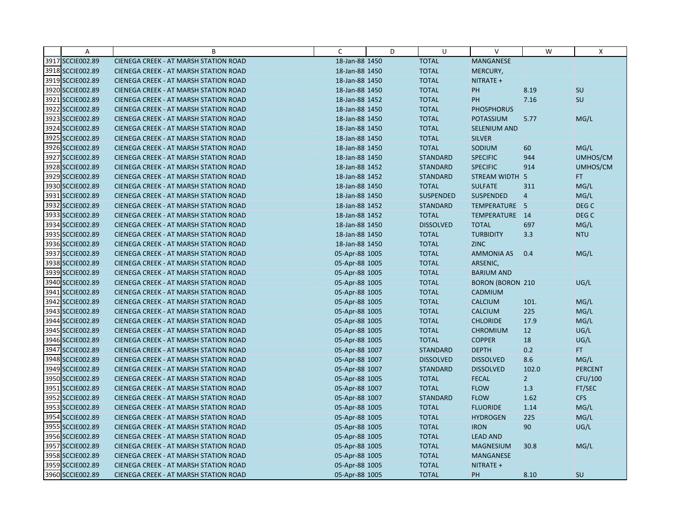| A                | B                                            | C              | D | U                | $\vee$                  | W              | X                |
|------------------|----------------------------------------------|----------------|---|------------------|-------------------------|----------------|------------------|
| 3917 SCCIE002.89 | CIENEGA CREEK - AT MARSH STATION ROAD        | 18-Jan-88 1450 |   | <b>TOTAL</b>     | MANGANESE               |                |                  |
| 3918 SCCIE002.89 | <b>CIENEGA CREEK - AT MARSH STATION ROAD</b> | 18-Jan-88 1450 |   | <b>TOTAL</b>     | MERCURY,                |                |                  |
| 3919 SCCIE002.89 | <b>CIENEGA CREEK - AT MARSH STATION ROAD</b> | 18-Jan-88 1450 |   | <b>TOTAL</b>     | NITRATE +               |                |                  |
| 3920 SCCIE002.89 | CIENEGA CREEK - AT MARSH STATION ROAD        | 18-Jan-88 1450 |   | <b>TOTAL</b>     | PH                      | 8.19           | SU               |
| 3921 SCCIE002.89 | <b>CIENEGA CREEK - AT MARSH STATION ROAD</b> | 18-Jan-88 1452 |   | <b>TOTAL</b>     | PH                      | 7.16           | SU               |
| 3922 SCCIE002.89 | <b>CIENEGA CREEK - AT MARSH STATION ROAD</b> | 18-Jan-88 1450 |   | <b>TOTAL</b>     | <b>PHOSPHORUS</b>       |                |                  |
| 3923 SCCIE002.89 | <b>CIENEGA CREEK - AT MARSH STATION ROAD</b> | 18-Jan-88 1450 |   | <b>TOTAL</b>     | <b>POTASSIUM</b>        | 5.77           | MG/L             |
| 3924 SCCIE002.89 | <b>CIENEGA CREEK - AT MARSH STATION ROAD</b> | 18-Jan-88 1450 |   | <b>TOTAL</b>     | SELENIUM AND            |                |                  |
| 3925 SCCIE002.89 | CIENEGA CREEK - AT MARSH STATION ROAD        | 18-Jan-88 1450 |   | <b>TOTAL</b>     | <b>SILVER</b>           |                |                  |
| 3926 SCCIE002.89 | <b>CIENEGA CREEK - AT MARSH STATION ROAD</b> | 18-Jan-88 1450 |   | <b>TOTAL</b>     | SODIUM                  | 60             | MG/L             |
| 3927 SCCIE002.89 | <b>CIENEGA CREEK - AT MARSH STATION ROAD</b> | 18-Jan-88 1450 |   | <b>STANDARD</b>  | <b>SPECIFIC</b>         | 944            | UMHOS/CM         |
| 3928 SCCIE002.89 | CIENEGA CREEK - AT MARSH STATION ROAD        | 18-Jan-88 1452 |   | <b>STANDARD</b>  | <b>SPECIFIC</b>         | 914            | UMHOS/CM         |
| 3929 SCCIE002.89 | <b>CIENEGA CREEK - AT MARSH STATION ROAD</b> | 18-Jan-88 1452 |   | <b>STANDARD</b>  | <b>STREAM WIDTH</b>     | 5              | FT.              |
| 3930 SCCIE002.89 | <b>CIENEGA CREEK - AT MARSH STATION ROAD</b> | 18-Jan-88 1450 |   | <b>TOTAL</b>     | <b>SULFATE</b>          | 311            | MG/L             |
| 3931 SCCIE002.89 | <b>CIENEGA CREEK - AT MARSH STATION ROAD</b> | 18-Jan-88 1450 |   | <b>SUSPENDED</b> | <b>SUSPENDED</b>        | $\overline{4}$ | MG/L             |
| 3932 SCCIE002.89 | <b>CIENEGA CREEK - AT MARSH STATION ROAD</b> | 18-Jan-88 1452 |   | <b>STANDARD</b>  | TEMPERATURE 5           |                | DEG <sub>C</sub> |
| 3933 SCCIE002.89 | CIENEGA CREEK - AT MARSH STATION ROAD        | 18-Jan-88 1452 |   | <b>TOTAL</b>     | TEMPERATURE 14          |                | DEG C            |
| 3934 SCCIE002.89 | <b>CIENEGA CREEK - AT MARSH STATION ROAD</b> | 18-Jan-88 1450 |   | <b>DISSOLVED</b> | <b>TOTAL</b>            | 697            | MG/L             |
| 3935 SCCIE002.89 | <b>CIENEGA CREEK - AT MARSH STATION ROAD</b> | 18-Jan-88 1450 |   | <b>TOTAL</b>     | <b>TURBIDITY</b>        | 3.3            | <b>NTU</b>       |
| 3936 SCCIE002.89 | CIENEGA CREEK - AT MARSH STATION ROAD        | 18-Jan-88 1450 |   | <b>TOTAL</b>     | <b>ZINC</b>             |                |                  |
| 3937 SCCIE002.89 | <b>CIENEGA CREEK - AT MARSH STATION ROAD</b> | 05-Apr-88 1005 |   | <b>TOTAL</b>     | <b>AMMONIA AS</b>       | 0.4            | MG/L             |
| 3938 SCCIE002.89 | <b>CIENEGA CREEK - AT MARSH STATION ROAD</b> | 05-Apr-88 1005 |   | <b>TOTAL</b>     | ARSENIC,                |                |                  |
| 3939 SCCIE002.89 | CIENEGA CREEK - AT MARSH STATION ROAD        | 05-Apr-88 1005 |   | <b>TOTAL</b>     | <b>BARIUM AND</b>       |                |                  |
| 3940 SCCIE002.89 | <b>CIENEGA CREEK - AT MARSH STATION ROAD</b> | 05-Apr-88 1005 |   | <b>TOTAL</b>     | <b>BORON (BORON 210</b> |                | UG/L             |
| 3941 SCCIE002.89 | CIENEGA CREEK - AT MARSH STATION ROAD        | 05-Apr-88 1005 |   | <b>TOTAL</b>     | CADMIUM                 |                |                  |
| 3942 SCCIE002.89 | <b>CIENEGA CREEK - AT MARSH STATION ROAD</b> | 05-Apr-88 1005 |   | <b>TOTAL</b>     | <b>CALCIUM</b>          | 101.           | MG/L             |
| 3943 SCCIE002.89 | <b>CIENEGA CREEK - AT MARSH STATION ROAD</b> | 05-Apr-88 1005 |   | <b>TOTAL</b>     | <b>CALCIUM</b>          | 225            | MG/L             |
| 3944 SCCIE002.89 | CIENEGA CREEK - AT MARSH STATION ROAD        | 05-Apr-88 1005 |   | <b>TOTAL</b>     | <b>CHLORIDE</b>         | 17.9           | MG/L             |
| 3945 SCCIE002.89 | <b>CIENEGA CREEK - AT MARSH STATION ROAD</b> | 05-Apr-88 1005 |   | <b>TOTAL</b>     | <b>CHROMIUM</b>         | 12             | UG/L             |
| 3946 SCCIE002.89 | <b>CIENEGA CREEK - AT MARSH STATION ROAD</b> | 05-Apr-88 1005 |   | <b>TOTAL</b>     | <b>COPPER</b>           | 18             | UG/L             |
| 3947 SCCIE002.89 | CIENEGA CREEK - AT MARSH STATION ROAD        | 05-Apr-88 1007 |   | <b>STANDARD</b>  | <b>DEPTH</b>            | 0.2            | FT.              |
| 3948 SCCIE002.89 | <b>CIENEGA CREEK - AT MARSH STATION ROAD</b> | 05-Apr-88 1007 |   | <b>DISSOLVED</b> | <b>DISSOLVED</b>        | 8.6            | MG/L             |
| 3949 SCCIE002.89 | <b>CIENEGA CREEK - AT MARSH STATION ROAD</b> | 05-Apr-88 1007 |   | <b>STANDARD</b>  | <b>DISSOLVED</b>        | 102.0          | <b>PERCENT</b>   |
| 3950 SCCIE002.89 | <b>CIENEGA CREEK - AT MARSH STATION ROAD</b> | 05-Apr-88 1005 |   | <b>TOTAL</b>     | <b>FECAL</b>            | 2 <sup>1</sup> | CFU/100          |
| 3951 SCCIE002.89 | <b>CIENEGA CREEK - AT MARSH STATION ROAD</b> | 05-Apr-88 1007 |   | <b>TOTAL</b>     | <b>FLOW</b>             | 1.3            | FT/SEC           |
| 3952 SCCIE002.89 | <b>CIENEGA CREEK - AT MARSH STATION ROAD</b> | 05-Apr-88 1007 |   | <b>STANDARD</b>  | <b>FLOW</b>             | 1.62           | <b>CFS</b>       |
| 3953 SCCIE002.89 | <b>CIENEGA CREEK - AT MARSH STATION ROAD</b> | 05-Apr-88 1005 |   | <b>TOTAL</b>     | <b>FLUORIDE</b>         | 1.14           | MG/L             |
| 3954 SCCIE002.89 | <b>CIENEGA CREEK - AT MARSH STATION ROAD</b> | 05-Apr-88 1005 |   | <b>TOTAL</b>     | <b>HYDROGEN</b>         | 225            | MG/L             |
| 3955 SCCIE002.89 | CIENEGA CREEK - AT MARSH STATION ROAD        | 05-Apr-88 1005 |   | <b>TOTAL</b>     | <b>IRON</b>             | 90             | UG/L             |
| 3956 SCCIE002.89 | <b>CIENEGA CREEK - AT MARSH STATION ROAD</b> | 05-Apr-88 1005 |   | <b>TOTAL</b>     | <b>LEAD AND</b>         |                |                  |
| 3957 SCCIE002.89 | <b>CIENEGA CREEK - AT MARSH STATION ROAD</b> | 05-Apr-88 1005 |   | <b>TOTAL</b>     | <b>MAGNESIUM</b>        | 30.8           | MG/L             |
| 3958 SCCIE002.89 | CIENEGA CREEK - AT MARSH STATION ROAD        | 05-Apr-88 1005 |   | <b>TOTAL</b>     | <b>MANGANESE</b>        |                |                  |
| 3959 SCCIE002.89 | CIENEGA CREEK - AT MARSH STATION ROAD        | 05-Apr-88 1005 |   | <b>TOTAL</b>     | NITRATE +               |                |                  |
| 3960 SCCIE002.89 | CIENEGA CREEK - AT MARSH STATION ROAD        | 05-Apr-88 1005 |   | <b>TOTAL</b>     | PH                      | 8.10           | <b>SU</b>        |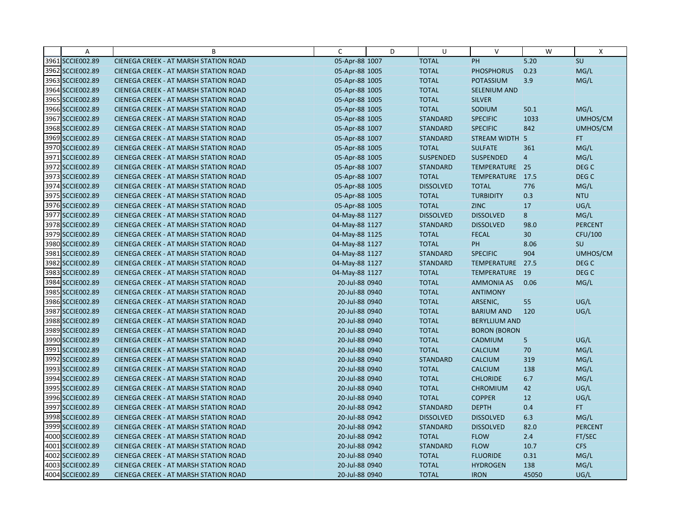| A                | B                                            | C              | D | U                | $\vee$               | W              | X                |
|------------------|----------------------------------------------|----------------|---|------------------|----------------------|----------------|------------------|
| 3961 SCCIE002.89 | CIENEGA CREEK - AT MARSH STATION ROAD        | 05-Apr-88 1007 |   | <b>TOTAL</b>     | PH                   | 5.20           | SU               |
| 3962 SCCIE002.89 | <b>CIENEGA CREEK - AT MARSH STATION ROAD</b> | 05-Apr-88 1005 |   | <b>TOTAL</b>     | <b>PHOSPHORUS</b>    | 0.23           | MG/L             |
| 3963 SCCIE002.89 | <b>CIENEGA CREEK - AT MARSH STATION ROAD</b> | 05-Apr-88 1005 |   | <b>TOTAL</b>     | <b>POTASSIUM</b>     | 3.9            | MG/L             |
| 3964 SCCIE002.89 | CIENEGA CREEK - AT MARSH STATION ROAD        | 05-Apr-88 1005 |   | <b>TOTAL</b>     | <b>SELENIUM AND</b>  |                |                  |
| 3965 SCCIE002.89 | <b>CIENEGA CREEK - AT MARSH STATION ROAD</b> | 05-Apr-88 1005 |   | <b>TOTAL</b>     | <b>SILVER</b>        |                |                  |
| 3966 SCCIE002.89 | <b>CIENEGA CREEK - AT MARSH STATION ROAD</b> | 05-Apr-88 1005 |   | <b>TOTAL</b>     | SODIUM               | 50.1           | MG/L             |
| 3967 SCCIE002.89 | <b>CIENEGA CREEK - AT MARSH STATION ROAD</b> | 05-Apr-88 1005 |   | <b>STANDARD</b>  | <b>SPECIFIC</b>      | 1033           | UMHOS/CM         |
| 3968 SCCIE002.89 | <b>CIENEGA CREEK - AT MARSH STATION ROAD</b> | 05-Apr-88 1007 |   | <b>STANDARD</b>  | <b>SPECIFIC</b>      | 842            | UMHOS/CM         |
| 3969 SCCIE002.89 | CIENEGA CREEK - AT MARSH STATION ROAD        | 05-Apr-88 1007 |   | <b>STANDARD</b>  | STREAM WIDTH 5       |                | FT.              |
| 3970 SCCIE002.89 | <b>CIENEGA CREEK - AT MARSH STATION ROAD</b> | 05-Apr-88 1005 |   | <b>TOTAL</b>     | <b>SULFATE</b>       | 361            | MG/L             |
| 3971 SCCIE002.89 | <b>CIENEGA CREEK - AT MARSH STATION ROAD</b> | 05-Apr-88 1005 |   | <b>SUSPENDED</b> | <b>SUSPENDED</b>     | $\overline{4}$ | MG/L             |
| 3972 SCCIE002.89 | CIENEGA CREEK - AT MARSH STATION ROAD        | 05-Apr-88 1007 |   | <b>STANDARD</b>  | TEMPERATURE 25       |                | DEG <sub>C</sub> |
| 3973 SCCIE002.89 | <b>CIENEGA CREEK - AT MARSH STATION ROAD</b> | 05-Apr-88 1007 |   | <b>TOTAL</b>     | TEMPERATURE 17.5     |                | DEG C            |
| 3974 SCCIE002.89 | <b>CIENEGA CREEK - AT MARSH STATION ROAD</b> | 05-Apr-88 1005 |   | <b>DISSOLVED</b> | <b>TOTAL</b>         | 776            | MG/L             |
| 3975 SCCIE002.89 | <b>CIENEGA CREEK - AT MARSH STATION ROAD</b> | 05-Apr-88 1005 |   | <b>TOTAL</b>     | <b>TURBIDITY</b>     | 0.3            | <b>NTU</b>       |
| 3976 SCCIE002.89 | CIENEGA CREEK - AT MARSH STATION ROAD        | 05-Apr-88 1005 |   | <b>TOTAL</b>     | <b>ZINC</b>          | 17             | UG/L             |
| 3977 SCCIE002.89 | CIENEGA CREEK - AT MARSH STATION ROAD        | 04-May-88 1127 |   | <b>DISSOLVED</b> | <b>DISSOLVED</b>     | 8              | MG/L             |
| 3978 SCCIE002.89 | <b>CIENEGA CREEK - AT MARSH STATION ROAD</b> | 04-May-88 1127 |   | <b>STANDARD</b>  | <b>DISSOLVED</b>     | 98.0           | <b>PERCENT</b>   |
| 3979 SCCIE002.89 | <b>CIENEGA CREEK - AT MARSH STATION ROAD</b> | 04-May-88 1125 |   | <b>TOTAL</b>     | <b>FECAL</b>         | 30             | CFU/100          |
| 3980 SCCIE002.89 | CIENEGA CREEK - AT MARSH STATION ROAD        | 04-May-88 1127 |   | <b>TOTAL</b>     | PH                   | 8.06           | SU               |
| 3981 SCCIE002.89 | <b>CIENEGA CREEK - AT MARSH STATION ROAD</b> | 04-May-88 1127 |   | <b>STANDARD</b>  | <b>SPECIFIC</b>      | 904            | UMHOS/CM         |
| 3982 SCCIE002.89 | <b>CIENEGA CREEK - AT MARSH STATION ROAD</b> | 04-May-88 1127 |   | <b>STANDARD</b>  | TEMPERATURE          | 27.5           | DEG <sub>C</sub> |
| 3983 SCCIE002.89 | <b>CIENEGA CREEK - AT MARSH STATION ROAD</b> | 04-May-88 1127 |   | <b>TOTAL</b>     | TEMPERATURE 19       |                | DEG C            |
| 3984 SCCIE002.89 | <b>CIENEGA CREEK - AT MARSH STATION ROAD</b> | 20-Jul-88 0940 |   | <b>TOTAL</b>     | <b>AMMONIA AS</b>    | 0.06           | MG/L             |
| 3985 SCCIE002.89 | CIENEGA CREEK - AT MARSH STATION ROAD        | 20-Jul-88 0940 |   | <b>TOTAL</b>     | <b>ANTIMONY</b>      |                |                  |
| 3986 SCCIE002.89 | <b>CIENEGA CREEK - AT MARSH STATION ROAD</b> | 20-Jul-88 0940 |   | <b>TOTAL</b>     | ARSENIC,             | 55             | UG/L             |
| 3987 SCCIE002.89 | <b>CIENEGA CREEK - AT MARSH STATION ROAD</b> | 20-Jul-88 0940 |   | <b>TOTAL</b>     | <b>BARIUM AND</b>    | 120            | UG/L             |
| 3988 SCCIE002.89 | CIENEGA CREEK - AT MARSH STATION ROAD        | 20-Jul-88 0940 |   | <b>TOTAL</b>     | <b>BERYLLIUM AND</b> |                |                  |
| 3989 SCCIE002.89 | <b>CIENEGA CREEK - AT MARSH STATION ROAD</b> | 20-Jul-88 0940 |   | <b>TOTAL</b>     | <b>BORON (BORON</b>  |                |                  |
| 3990 SCCIE002.89 | <b>CIENEGA CREEK - AT MARSH STATION ROAD</b> | 20-Jul-88 0940 |   | <b>TOTAL</b>     | CADMIUM              | 5              | UG/L             |
| 3991 SCCIE002.89 | CIENEGA CREEK - AT MARSH STATION ROAD        | 20-Jul-88 0940 |   | <b>TOTAL</b>     | <b>CALCIUM</b>       | 70             | MG/L             |
| 3992 SCCIE002.89 | <b>CIENEGA CREEK - AT MARSH STATION ROAD</b> | 20-Jul-88 0940 |   | <b>STANDARD</b>  | <b>CALCIUM</b>       | 319            | MG/L             |
| 3993 SCCIE002.89 | <b>CIENEGA CREEK - AT MARSH STATION ROAD</b> | 20-Jul-88 0940 |   | <b>TOTAL</b>     | <b>CALCIUM</b>       | 138            | MG/L             |
| 3994 SCCIE002.89 | <b>CIENEGA CREEK - AT MARSH STATION ROAD</b> | 20-Jul-88 0940 |   | <b>TOTAL</b>     | <b>CHLORIDE</b>      | 6.7            | MG/L             |
| 3995 SCCIE002.89 | <b>CIENEGA CREEK - AT MARSH STATION ROAD</b> | 20-Jul-88 0940 |   | <b>TOTAL</b>     | <b>CHROMIUM</b>      | 42             | UG/L             |
| 3996 SCCIE002.89 | <b>CIENEGA CREEK - AT MARSH STATION ROAD</b> | 20-Jul-88 0940 |   | <b>TOTAL</b>     | <b>COPPER</b>        | 12             | UG/L             |
| 3997 SCCIE002.89 | <b>CIENEGA CREEK - AT MARSH STATION ROAD</b> | 20-Jul-88 0942 |   | <b>STANDARD</b>  | <b>DEPTH</b>         | 0.4            | FT.              |
| 3998 SCCIE002.89 | CIENEGA CREEK - AT MARSH STATION ROAD        | 20-Jul-88 0942 |   | <b>DISSOLVED</b> | <b>DISSOLVED</b>     | 6.3            | MG/L             |
| 3999 SCCIE002.89 | CIENEGA CREEK - AT MARSH STATION ROAD        | 20-Jul-88 0942 |   | <b>STANDARD</b>  | <b>DISSOLVED</b>     | 82.0           | <b>PERCENT</b>   |
| 4000 SCCIE002.89 | <b>CIENEGA CREEK - AT MARSH STATION ROAD</b> | 20-Jul-88 0942 |   | <b>TOTAL</b>     | <b>FLOW</b>          | 2.4            | FT/SEC           |
| 4001 SCCIE002.89 | <b>CIENEGA CREEK - AT MARSH STATION ROAD</b> | 20-Jul-88 0942 |   | <b>STANDARD</b>  | <b>FLOW</b>          | 10.7           | <b>CFS</b>       |
| 4002 SCCIE002.89 | <b>CIENEGA CREEK - AT MARSH STATION ROAD</b> | 20-Jul-88 0940 |   | <b>TOTAL</b>     | <b>FLUORIDE</b>      | 0.31           | MG/L             |
| 4003 SCCIE002.89 | <b>CIENEGA CREEK - AT MARSH STATION ROAD</b> | 20-Jul-88 0940 |   | <b>TOTAL</b>     | <b>HYDROGEN</b>      | 138            | MG/L             |
| 4004 SCCIE002.89 | CIENEGA CREEK - AT MARSH STATION ROAD        | 20-Jul-88 0940 |   | <b>TOTAL</b>     | <b>IRON</b>          | 45050          | UG/L             |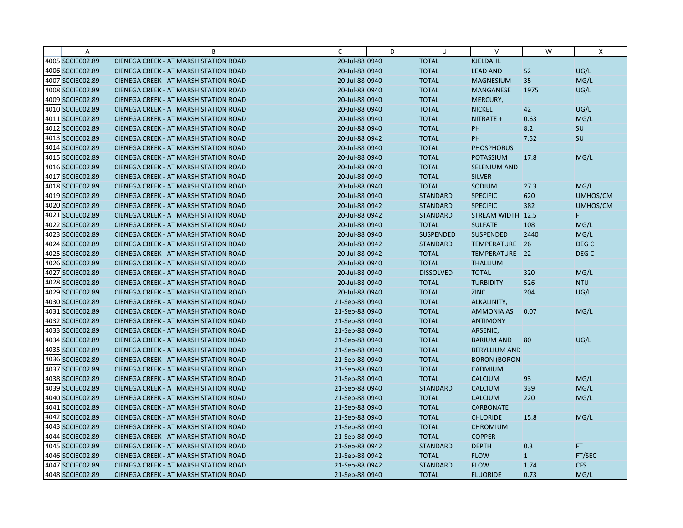| $\overline{A}$   | B                                            | C              | D | U                | $\vee$               | W            | X                |
|------------------|----------------------------------------------|----------------|---|------------------|----------------------|--------------|------------------|
| 4005 SCCIE002.89 | CIENEGA CREEK - AT MARSH STATION ROAD        | 20-Jul-88 0940 |   | <b>TOTAL</b>     | KJELDAHL             |              |                  |
| 4006 SCCIE002.89 | CIENEGA CREEK - AT MARSH STATION ROAD        | 20-Jul-88 0940 |   | <b>TOTAL</b>     | <b>LEAD AND</b>      | 52           | UG/L             |
| 4007 SCCIE002.89 | <b>CIENEGA CREEK - AT MARSH STATION ROAD</b> | 20-Jul-88 0940 |   | <b>TOTAL</b>     | <b>MAGNESIUM</b>     | 35           | MG/L             |
| 4008 SCCIE002.89 | <b>CIENEGA CREEK - AT MARSH STATION ROAD</b> | 20-Jul-88 0940 |   | <b>TOTAL</b>     | <b>MANGANESE</b>     | 1975         | UG/L             |
| 4009 SCCIE002.89 | CIENEGA CREEK - AT MARSH STATION ROAD        | 20-Jul-88 0940 |   | <b>TOTAL</b>     | MERCURY,             |              |                  |
| 4010 SCCIE002.89 | <b>CIENEGA CREEK - AT MARSH STATION ROAD</b> | 20-Jul-88 0940 |   | <b>TOTAL</b>     | <b>NICKEL</b>        | 42           | UG/L             |
| 4011 SCCIE002.89 | <b>CIENEGA CREEK - AT MARSH STATION ROAD</b> | 20-Jul-88 0940 |   | <b>TOTAL</b>     | NITRATE +            | 0.63         | MG/L             |
| 4012 SCCIE002.89 | <b>CIENEGA CREEK - AT MARSH STATION ROAD</b> | 20-Jul-88 0940 |   | <b>TOTAL</b>     | PH                   | 8.2          | <b>SU</b>        |
| 4013 SCCIE002.89 | CIENEGA CREEK - AT MARSH STATION ROAD        | 20-Jul-88 0942 |   | <b>TOTAL</b>     | PH                   | 7.52         | SU               |
| 4014 SCCIE002.89 | <b>CIENEGA CREEK - AT MARSH STATION ROAD</b> | 20-Jul-88 0940 |   | <b>TOTAL</b>     | <b>PHOSPHORUS</b>    |              |                  |
| 4015 SCCIE002.89 | <b>CIENEGA CREEK - AT MARSH STATION ROAD</b> | 20-Jul-88 0940 |   | <b>TOTAL</b>     | <b>POTASSIUM</b>     | 17.8         | MG/L             |
| 4016 SCCIE002.89 | CIENEGA CREEK - AT MARSH STATION ROAD        | 20-Jul-88 0940 |   | <b>TOTAL</b>     | SELENIUM AND         |              |                  |
| 4017 SCCIE002.89 | <b>CIENEGA CREEK - AT MARSH STATION ROAD</b> | 20-Jul-88 0940 |   | <b>TOTAL</b>     | <b>SILVER</b>        |              |                  |
| 4018 SCCIE002.89 | <b>CIENEGA CREEK - AT MARSH STATION ROAD</b> | 20-Jul-88 0940 |   | <b>TOTAL</b>     | SODIUM               | 27.3         | MG/L             |
| 4019 SCCIE002.89 | <b>CIENEGA CREEK - AT MARSH STATION ROAD</b> | 20-Jul-88 0940 |   | <b>STANDARD</b>  | <b>SPECIFIC</b>      | 620          | UMHOS/CM         |
| 4020 SCCIE002.89 | CIENEGA CREEK - AT MARSH STATION ROAD        | 20-Jul-88 0942 |   | <b>STANDARD</b>  | <b>SPECIFIC</b>      | 382          | UMHOS/CM         |
| 4021 SCCIE002.89 | CIENEGA CREEK - AT MARSH STATION ROAD        | 20-Jul-88 0942 |   | <b>STANDARD</b>  | STREAM WIDTH 12.5    |              | FT.              |
| 4022 SCCIE002.89 | CIENEGA CREEK - AT MARSH STATION ROAD        | 20-Jul-88 0940 |   | <b>TOTAL</b>     | <b>SULFATE</b>       | 108          | MG/L             |
| 4023 SCCIE002.89 | <b>CIENEGA CREEK - AT MARSH STATION ROAD</b> | 20-Jul-88 0940 |   | <b>SUSPENDED</b> | <b>SUSPENDED</b>     | 2440         | MG/L             |
| 4024 SCCIE002.89 | <b>CIENEGA CREEK - AT MARSH STATION ROAD</b> | 20-Jul-88 0942 |   | <b>STANDARD</b>  | TEMPERATURE 26       |              | DEG C            |
| 4025 SCCIE002.89 | <b>CIENEGA CREEK - AT MARSH STATION ROAD</b> | 20-Jul-88 0942 |   | <b>TOTAL</b>     | TEMPERATURE 22       |              | DEG <sub>C</sub> |
| 4026 SCCIE002.89 | <b>CIENEGA CREEK - AT MARSH STATION ROAD</b> | 20-Jul-88 0940 |   | <b>TOTAL</b>     | <b>THALLIUM</b>      |              |                  |
| 4027 SCCIE002.89 | CIENEGA CREEK - AT MARSH STATION ROAD        | 20-Jul-88 0940 |   | <b>DISSOLVED</b> | <b>TOTAL</b>         | 320          | MG/L             |
| 4028 SCCIE002.89 | <b>CIENEGA CREEK - AT MARSH STATION ROAD</b> | 20-Jul-88 0940 |   | <b>TOTAL</b>     | <b>TURBIDITY</b>     | 526          | <b>NTU</b>       |
| 4029 SCCIE002.89 | CIENEGA CREEK - AT MARSH STATION ROAD        | 20-Jul-88 0940 |   | <b>TOTAL</b>     | <b>ZINC</b>          | 204          | UG/L             |
| 4030 SCCIE002.89 | <b>CIENEGA CREEK - AT MARSH STATION ROAD</b> | 21-Sep-88 0940 |   | <b>TOTAL</b>     | ALKALINITY,          |              |                  |
| 4031 SCCIE002.89 | CIENEGA CREEK - AT MARSH STATION ROAD        | 21-Sep-88 0940 |   | <b>TOTAL</b>     | <b>AMMONIA AS</b>    | 0.07         | MG/L             |
| 4032 SCCIE002.89 | CIENEGA CREEK - AT MARSH STATION ROAD        | 21-Sep-88 0940 |   | <b>TOTAL</b>     | <b>ANTIMONY</b>      |              |                  |
| 4033 SCCIE002.89 | <b>CIENEGA CREEK - AT MARSH STATION ROAD</b> | 21-Sep-88 0940 |   | <b>TOTAL</b>     | ARSENIC,             |              |                  |
| 4034 SCCIE002.89 | <b>CIENEGA CREEK - AT MARSH STATION ROAD</b> | 21-Sep-88 0940 |   | <b>TOTAL</b>     | <b>BARIUM AND</b>    | 80           | UG/L             |
| 4035 SCCIE002.89 | CIENEGA CREEK - AT MARSH STATION ROAD        | 21-Sep-88 0940 |   | <b>TOTAL</b>     | <b>BERYLLIUM AND</b> |              |                  |
| 4036 SCCIE002.89 | <b>CIENEGA CREEK - AT MARSH STATION ROAD</b> | 21-Sep-88 0940 |   | <b>TOTAL</b>     | <b>BORON (BORON</b>  |              |                  |
| 4037 SCCIE002.89 | <b>CIENEGA CREEK - AT MARSH STATION ROAD</b> | 21-Sep-88 0940 |   | <b>TOTAL</b>     | CADMIUM              |              |                  |
| 4038 SCCIE002.89 | <b>CIENEGA CREEK - AT MARSH STATION ROAD</b> | 21-Sep-88 0940 |   | <b>TOTAL</b>     | <b>CALCIUM</b>       | 93           | MG/L             |
| 4039 SCCIE002.89 | CIENEGA CREEK - AT MARSH STATION ROAD        | 21-Sep-88 0940 |   | <b>STANDARD</b>  | <b>CALCIUM</b>       | 339          | MG/L             |
| 4040 SCCIE002.89 | <b>CIENEGA CREEK - AT MARSH STATION ROAD</b> | 21-Sep-88 0940 |   | <b>TOTAL</b>     | <b>CALCIUM</b>       | 220          | MG/L             |
| 4041 SCCIE002.89 | <b>CIENEGA CREEK - AT MARSH STATION ROAD</b> | 21-Sep-88 0940 |   | <b>TOTAL</b>     | <b>CARBONATE</b>     |              |                  |
| 4042 SCCIE002.89 | CIENEGA CREEK - AT MARSH STATION ROAD        | 21-Sep-88 0940 |   | <b>TOTAL</b>     | <b>CHLORIDE</b>      | 15.8         | MG/L             |
| 4043 SCCIE002.89 | CIENEGA CREEK - AT MARSH STATION ROAD        | 21-Sep-88 0940 |   | <b>TOTAL</b>     | <b>CHROMIUM</b>      |              |                  |
| 4044 SCCIE002.89 | <b>CIENEGA CREEK - AT MARSH STATION ROAD</b> | 21-Sep-88 0940 |   | <b>TOTAL</b>     | <b>COPPER</b>        |              |                  |
| 4045 SCCIE002.89 | <b>CIENEGA CREEK - AT MARSH STATION ROAD</b> | 21-Sep-88 0942 |   | <b>STANDARD</b>  | <b>DEPTH</b>         | 0.3          | FT.              |
| 4046 SCCIE002.89 | CIENEGA CREEK - AT MARSH STATION ROAD        | 21-Sep-88 0942 |   | <b>TOTAL</b>     | <b>FLOW</b>          | $\mathbf{1}$ | FT/SEC           |
| 4047 SCCIE002.89 | CIENEGA CREEK - AT MARSH STATION ROAD        | 21-Sep-88 0942 |   | <b>STANDARD</b>  | <b>FLOW</b>          | 1.74         | <b>CFS</b>       |
| 4048 SCCIE002.89 | CIENEGA CREEK - AT MARSH STATION ROAD        | 21-Sep-88 0940 |   | <b>TOTAL</b>     | <b>FLUORIDE</b>      | 0.73         | MG/L             |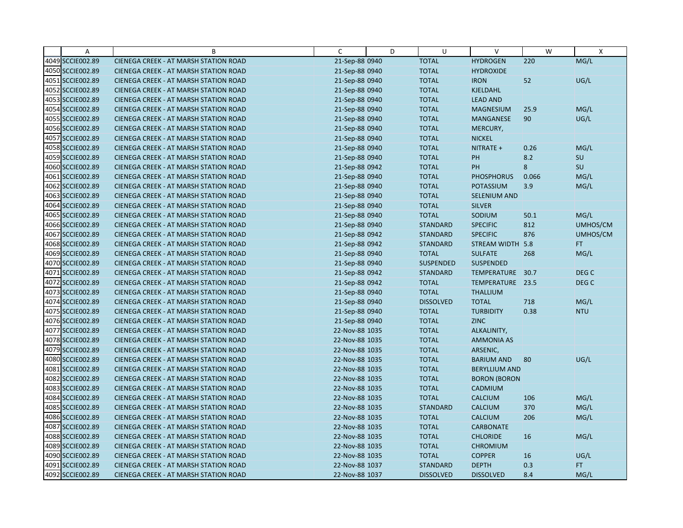| $\overline{A}$   | B                                            | C              | D | U                | $\vee$               | W     | X                |
|------------------|----------------------------------------------|----------------|---|------------------|----------------------|-------|------------------|
| 4049 SCCIE002.89 | CIENEGA CREEK - AT MARSH STATION ROAD        | 21-Sep-88 0940 |   | <b>TOTAL</b>     | <b>HYDROGEN</b>      | 220   | MG/L             |
| 4050 SCCIE002.89 | CIENEGA CREEK - AT MARSH STATION ROAD        | 21-Sep-88 0940 |   | <b>TOTAL</b>     | <b>HYDROXIDE</b>     |       |                  |
| 4051 SCCIE002.89 | <b>CIENEGA CREEK - AT MARSH STATION ROAD</b> | 21-Sep-88 0940 |   | <b>TOTAL</b>     | <b>IRON</b>          | 52    | UG/L             |
| 4052 SCCIE002.89 | <b>CIENEGA CREEK - AT MARSH STATION ROAD</b> | 21-Sep-88 0940 |   | <b>TOTAL</b>     | <b>KJELDAHL</b>      |       |                  |
| 4053 SCCIE002.89 | CIENEGA CREEK - AT MARSH STATION ROAD        | 21-Sep-88 0940 |   | <b>TOTAL</b>     | <b>LEAD AND</b>      |       |                  |
| 4054 SCCIE002.89 | <b>CIENEGA CREEK - AT MARSH STATION ROAD</b> | 21-Sep-88 0940 |   | <b>TOTAL</b>     | <b>MAGNESIUM</b>     | 25.9  | MG/L             |
| 4055 SCCIE002.89 | <b>CIENEGA CREEK - AT MARSH STATION ROAD</b> | 21-Sep-88 0940 |   | <b>TOTAL</b>     | <b>MANGANESE</b>     | 90    | UG/L             |
| 4056 SCCIE002.89 | <b>CIENEGA CREEK - AT MARSH STATION ROAD</b> | 21-Sep-88 0940 |   | <b>TOTAL</b>     | MERCURY,             |       |                  |
| 4057 SCCIE002.89 | CIENEGA CREEK - AT MARSH STATION ROAD        | 21-Sep-88 0940 |   | <b>TOTAL</b>     | <b>NICKEL</b>        |       |                  |
| 4058 SCCIE002.89 | <b>CIENEGA CREEK - AT MARSH STATION ROAD</b> | 21-Sep-88 0940 |   | <b>TOTAL</b>     | NITRATE +            | 0.26  | MG/L             |
| 4059 SCCIE002.89 | <b>CIENEGA CREEK - AT MARSH STATION ROAD</b> | 21-Sep-88 0940 |   | <b>TOTAL</b>     | PH                   | 8.2   | SU               |
| 4060 SCCIE002.89 | CIENEGA CREEK - AT MARSH STATION ROAD        | 21-Sep-88 0942 |   | <b>TOTAL</b>     | <b>PH</b>            | 8     | SU               |
| 4061 SCCIE002.89 | <b>CIENEGA CREEK - AT MARSH STATION ROAD</b> | 21-Sep-88 0940 |   | <b>TOTAL</b>     | <b>PHOSPHORUS</b>    | 0.066 | MG/L             |
| 4062 SCCIE002.89 | <b>CIENEGA CREEK - AT MARSH STATION ROAD</b> | 21-Sep-88 0940 |   | <b>TOTAL</b>     | <b>POTASSIUM</b>     | 3.9   | MG/L             |
| 4063 SCCIE002.89 | <b>CIENEGA CREEK - AT MARSH STATION ROAD</b> | 21-Sep-88 0940 |   | <b>TOTAL</b>     | <b>SELENIUM AND</b>  |       |                  |
| 4064 SCCIE002.89 | CIENEGA CREEK - AT MARSH STATION ROAD        | 21-Sep-88 0940 |   | <b>TOTAL</b>     | <b>SILVER</b>        |       |                  |
| 4065 SCCIE002.89 | CIENEGA CREEK - AT MARSH STATION ROAD        | 21-Sep-88 0940 |   | <b>TOTAL</b>     | SODIUM               | 50.1  | MG/L             |
| 4066 SCCIE002.89 | CIENEGA CREEK - AT MARSH STATION ROAD        | 21-Sep-88 0940 |   | <b>STANDARD</b>  | <b>SPECIFIC</b>      | 812   | UMHOS/CM         |
| 4067 SCCIE002.89 | <b>CIENEGA CREEK - AT MARSH STATION ROAD</b> | 21-Sep-88 0942 |   | <b>STANDARD</b>  | <b>SPECIFIC</b>      | 876   | UMHOS/CM         |
| 4068 SCCIE002.89 | <b>CIENEGA CREEK - AT MARSH STATION ROAD</b> | 21-Sep-88 0942 |   | <b>STANDARD</b>  | STREAM WIDTH 5.8     |       | FT.              |
| 4069 SCCIE002.89 | <b>CIENEGA CREEK - AT MARSH STATION ROAD</b> | 21-Sep-88 0940 |   | <b>TOTAL</b>     | <b>SULFATE</b>       | 268   | MG/L             |
| 4070 SCCIE002.89 | <b>CIENEGA CREEK - AT MARSH STATION ROAD</b> | 21-Sep-88 0940 |   | <b>SUSPENDED</b> | <b>SUSPENDED</b>     |       |                  |
| 4071 SCCIE002.89 | CIENEGA CREEK - AT MARSH STATION ROAD        | 21-Sep-88 0942 |   | <b>STANDARD</b>  | TEMPERATURE          | 30.7  | DEG C            |
| 4072 SCCIE002.89 | <b>CIENEGA CREEK - AT MARSH STATION ROAD</b> | 21-Sep-88 0942 |   | <b>TOTAL</b>     | TEMPERATURE 23.5     |       | DEG <sub>C</sub> |
| 4073 SCCIE002.89 | CIENEGA CREEK - AT MARSH STATION ROAD        | 21-Sep-88 0940 |   | <b>TOTAL</b>     | <b>THALLIUM</b>      |       |                  |
| 4074 SCCIE002.89 | CIENEGA CREEK - AT MARSH STATION ROAD        | 21-Sep-88 0940 |   | <b>DISSOLVED</b> | <b>TOTAL</b>         | 718   | MG/L             |
| 4075 SCCIE002.89 | CIENEGA CREEK - AT MARSH STATION ROAD        | 21-Sep-88 0940 |   | <b>TOTAL</b>     | <b>TURBIDITY</b>     | 0.38  | <b>NTU</b>       |
| 4076 SCCIE002.89 | CIENEGA CREEK - AT MARSH STATION ROAD        | 21-Sep-88 0940 |   | <b>TOTAL</b>     | <b>ZINC</b>          |       |                  |
| 4077 SCCIE002.89 | <b>CIENEGA CREEK - AT MARSH STATION ROAD</b> | 22-Nov-88 1035 |   | <b>TOTAL</b>     | ALKALINITY,          |       |                  |
| 4078 SCCIE002.89 | <b>CIENEGA CREEK - AT MARSH STATION ROAD</b> | 22-Nov-88 1035 |   | <b>TOTAL</b>     | <b>AMMONIA AS</b>    |       |                  |
| 4079 SCCIE002.89 | CIENEGA CREEK - AT MARSH STATION ROAD        | 22-Nov-88 1035 |   | <b>TOTAL</b>     | ARSENIC,             |       |                  |
| 4080 SCCIE002.89 | <b>CIENEGA CREEK - AT MARSH STATION ROAD</b> | 22-Nov-88 1035 |   | <b>TOTAL</b>     | <b>BARIUM AND</b>    | 80    | UG/L             |
| 4081 SCCIE002.89 | <b>CIENEGA CREEK - AT MARSH STATION ROAD</b> | 22-Nov-88 1035 |   | <b>TOTAL</b>     | <b>BERYLLIUM AND</b> |       |                  |
| 4082 SCCIE002.89 | <b>CIENEGA CREEK - AT MARSH STATION ROAD</b> | 22-Nov-88 1035 |   | <b>TOTAL</b>     | <b>BORON (BORON</b>  |       |                  |
| 4083 SCCIE002.89 | CIENEGA CREEK - AT MARSH STATION ROAD        | 22-Nov-88 1035 |   | <b>TOTAL</b>     | CADMIUM              |       |                  |
| 4084 SCCIE002.89 | <b>CIENEGA CREEK - AT MARSH STATION ROAD</b> | 22-Nov-88 1035 |   | <b>TOTAL</b>     | <b>CALCIUM</b>       | 106   | MG/L             |
| 4085 SCCIE002.89 | <b>CIENEGA CREEK - AT MARSH STATION ROAD</b> | 22-Nov-88 1035 |   | <b>STANDARD</b>  | <b>CALCIUM</b>       | 370   | MG/L             |
| 4086 SCCIE002.89 | CIENEGA CREEK - AT MARSH STATION ROAD        | 22-Nov-88 1035 |   | <b>TOTAL</b>     | <b>CALCIUM</b>       | 206   | MG/L             |
| 4087 SCCIE002.89 | CIENEGA CREEK - AT MARSH STATION ROAD        | 22-Nov-88 1035 |   | <b>TOTAL</b>     | <b>CARBONATE</b>     |       |                  |
| 4088 SCCIE002.89 | <b>CIENEGA CREEK - AT MARSH STATION ROAD</b> | 22-Nov-88 1035 |   | <b>TOTAL</b>     | <b>CHLORIDE</b>      | 16    | MG/L             |
| 4089 SCCIE002.89 | <b>CIENEGA CREEK - AT MARSH STATION ROAD</b> | 22-Nov-88 1035 |   | <b>TOTAL</b>     | <b>CHROMIUM</b>      |       |                  |
| 4090 SCCIE002.89 | CIENEGA CREEK - AT MARSH STATION ROAD        | 22-Nov-88 1035 |   | <b>TOTAL</b>     | <b>COPPER</b>        | 16    | UG/L             |
| 4091 SCCIE002.89 | CIENEGA CREEK - AT MARSH STATION ROAD        | 22-Nov-88 1037 |   | <b>STANDARD</b>  | <b>DEPTH</b>         | 0.3   | FT.              |
| 4092 SCCIE002.89 | CIENEGA CREEK - AT MARSH STATION ROAD        | 22-Nov-88 1037 |   | <b>DISSOLVED</b> | <b>DISSOLVED</b>     | 8.4   | MG/L             |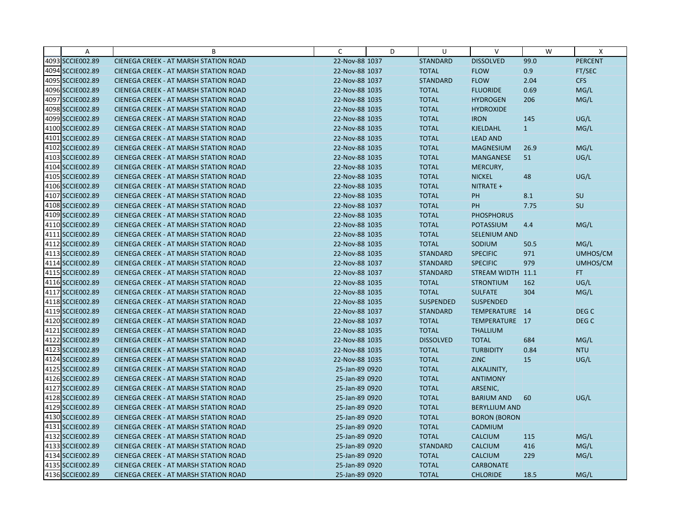| A                | B                                            | C              | D | U                | $\vee$               | W            | X                |
|------------------|----------------------------------------------|----------------|---|------------------|----------------------|--------------|------------------|
| 4093 SCCIE002.89 | CIENEGA CREEK - AT MARSH STATION ROAD        | 22-Nov-88 1037 |   | <b>STANDARD</b>  | <b>DISSOLVED</b>     | 99.0         | <b>PERCENT</b>   |
| 4094 SCCIE002.89 | <b>CIENEGA CREEK - AT MARSH STATION ROAD</b> | 22-Nov-88 1037 |   | <b>TOTAL</b>     | <b>FLOW</b>          | 0.9          | FT/SEC           |
| 4095 SCCIE002.89 | <b>CIENEGA CREEK - AT MARSH STATION ROAD</b> | 22-Nov-88 1037 |   | <b>STANDARD</b>  | <b>FLOW</b>          | 2.04         | <b>CFS</b>       |
| 4096 SCCIE002.89 | CIENEGA CREEK - AT MARSH STATION ROAD        | 22-Nov-88 1035 |   | <b>TOTAL</b>     | <b>FLUORIDE</b>      | 0.69         | MG/L             |
| 4097 SCCIE002.89 | CIENEGA CREEK - AT MARSH STATION ROAD        | 22-Nov-88 1035 |   | <b>TOTAL</b>     | <b>HYDROGEN</b>      | 206          | MG/L             |
| 4098 SCCIE002.89 | <b>CIENEGA CREEK - AT MARSH STATION ROAD</b> | 22-Nov-88 1035 |   | <b>TOTAL</b>     | <b>HYDROXIDE</b>     |              |                  |
| 4099 SCCIE002.89 | CIENEGA CREEK - AT MARSH STATION ROAD        | 22-Nov-88 1035 |   | <b>TOTAL</b>     | <b>IRON</b>          | 145          | UG/L             |
| 4100 SCCIE002.89 | <b>CIENEGA CREEK - AT MARSH STATION ROAD</b> | 22-Nov-88 1035 |   | <b>TOTAL</b>     | <b>KJELDAHL</b>      | $\mathbf{1}$ | MG/L             |
| 4101 SCCIE002.89 | CIENEGA CREEK - AT MARSH STATION ROAD        | 22-Nov-88 1035 |   | <b>TOTAL</b>     | <b>LEAD AND</b>      |              |                  |
| 4102 SCCIE002.89 | <b>CIENEGA CREEK - AT MARSH STATION ROAD</b> | 22-Nov-88 1035 |   | <b>TOTAL</b>     | <b>MAGNESIUM</b>     | 26.9         | MG/L             |
| 4103 SCCIE002.89 | <b>CIENEGA CREEK - AT MARSH STATION ROAD</b> | 22-Nov-88 1035 |   | <b>TOTAL</b>     | <b>MANGANESE</b>     | 51           | UG/L             |
| 4104 SCCIE002.89 | CIENEGA CREEK - AT MARSH STATION ROAD        | 22-Nov-88 1035 |   | <b>TOTAL</b>     | MERCURY,             |              |                  |
| 4105 SCCIE002.89 | <b>CIENEGA CREEK - AT MARSH STATION ROAD</b> | 22-Nov-88 1035 |   | <b>TOTAL</b>     | <b>NICKEL</b>        | 48           | UG/L             |
| 4106 SCCIE002.89 | <b>CIENEGA CREEK - AT MARSH STATION ROAD</b> | 22-Nov-88 1035 |   | <b>TOTAL</b>     | NITRATE +            |              |                  |
| 4107 SCCIE002.89 | <b>CIENEGA CREEK - AT MARSH STATION ROAD</b> | 22-Nov-88 1035 |   | <b>TOTAL</b>     | PH                   | 8.1          | SU               |
| 4108 SCCIE002.89 | <b>CIENEGA CREEK - AT MARSH STATION ROAD</b> | 22-Nov-88 1037 |   | <b>TOTAL</b>     | PH                   | 7.75         | <b>SU</b>        |
| 4109 SCCIE002.89 | CIENEGA CREEK - AT MARSH STATION ROAD        | 22-Nov-88 1035 |   | <b>TOTAL</b>     | <b>PHOSPHORUS</b>    |              |                  |
| 4110 SCCIE002.89 | <b>CIENEGA CREEK - AT MARSH STATION ROAD</b> | 22-Nov-88 1035 |   | <b>TOTAL</b>     | <b>POTASSIUM</b>     | 4.4          | MG/L             |
| 4111 SCCIE002.89 | <b>CIENEGA CREEK - AT MARSH STATION ROAD</b> | 22-Nov-88 1035 |   | <b>TOTAL</b>     | <b>SELENIUM AND</b>  |              |                  |
| 4112 SCCIE002.89 | <b>CIENEGA CREEK - AT MARSH STATION ROAD</b> | 22-Nov-88 1035 |   | <b>TOTAL</b>     | SODIUM               | 50.5         | MG/L             |
| 4113 SCCIE002.89 | <b>CIENEGA CREEK - AT MARSH STATION ROAD</b> | 22-Nov-88 1035 |   | <b>STANDARD</b>  | <b>SPECIFIC</b>      | 971          | UMHOS/CM         |
| 4114 SCCIE002.89 | <b>CIENEGA CREEK - AT MARSH STATION ROAD</b> | 22-Nov-88 1037 |   | <b>STANDARD</b>  | <b>SPECIFIC</b>      | 979          | UMHOS/CM         |
| 4115 SCCIE002.89 | CIENEGA CREEK - AT MARSH STATION ROAD        | 22-Nov-88 1037 |   | <b>STANDARD</b>  | STREAM WIDTH 11.1    |              | FT.              |
| 4116 SCCIE002.89 | <b>CIENEGA CREEK - AT MARSH STATION ROAD</b> | 22-Nov-88 1035 |   | <b>TOTAL</b>     | <b>STRONTIUM</b>     | 162          | UG/L             |
| 4117 SCCIE002.89 | CIENEGA CREEK - AT MARSH STATION ROAD        | 22-Nov-88 1035 |   | <b>TOTAL</b>     | <b>SULFATE</b>       | 304          | MG/L             |
| 4118 SCCIE002.89 | <b>CIENEGA CREEK - AT MARSH STATION ROAD</b> | 22-Nov-88 1035 |   | <b>SUSPENDED</b> | <b>SUSPENDED</b>     |              |                  |
| 4119 SCCIE002.89 | CIENEGA CREEK - AT MARSH STATION ROAD        | 22-Nov-88 1037 |   | <b>STANDARD</b>  | TEMPERATURE 14       |              | DEG C            |
| 4120 SCCIE002.89 | CIENEGA CREEK - AT MARSH STATION ROAD        | 22-Nov-88 1037 |   | <b>TOTAL</b>     | TEMPERATURE 17       |              | DEG <sub>C</sub> |
| 4121 SCCIE002.89 | <b>CIENEGA CREEK - AT MARSH STATION ROAD</b> | 22-Nov-88 1035 |   | <b>TOTAL</b>     | <b>THALLIUM</b>      |              |                  |
| 4122 SCCIE002.89 | <b>CIENEGA CREEK - AT MARSH STATION ROAD</b> | 22-Nov-88 1035 |   | <b>DISSOLVED</b> | <b>TOTAL</b>         | 684          | MG/L             |
| 4123 SCCIE002.89 | CIENEGA CREEK - AT MARSH STATION ROAD        | 22-Nov-88 1035 |   | <b>TOTAL</b>     | <b>TURBIDITY</b>     | 0.84         | <b>NTU</b>       |
| 4124 SCCIE002.89 | <b>CIENEGA CREEK - AT MARSH STATION ROAD</b> | 22-Nov-88 1035 |   | <b>TOTAL</b>     | <b>ZINC</b>          | 15           | UG/L             |
| 4125 SCCIE002.89 | <b>CIENEGA CREEK - AT MARSH STATION ROAD</b> | 25-Jan-89 0920 |   | <b>TOTAL</b>     | ALKALINITY,          |              |                  |
| 4126 SCCIE002.89 | <b>CIENEGA CREEK - AT MARSH STATION ROAD</b> | 25-Jan-89 0920 |   | <b>TOTAL</b>     | <b>ANTIMONY</b>      |              |                  |
| 4127 SCCIE002.89 | <b>CIENEGA CREEK - AT MARSH STATION ROAD</b> | 25-Jan-89 0920 |   | <b>TOTAL</b>     | ARSENIC,             |              |                  |
| 4128 SCCIE002.89 | <b>CIENEGA CREEK - AT MARSH STATION ROAD</b> | 25-Jan-89 0920 |   | <b>TOTAL</b>     | <b>BARIUM AND</b>    | 60           | UG/L             |
| 4129 SCCIE002.89 | <b>CIENEGA CREEK - AT MARSH STATION ROAD</b> | 25-Jan-89 0920 |   | <b>TOTAL</b>     | <b>BERYLLIUM AND</b> |              |                  |
| 4130 SCCIE002.89 | CIENEGA CREEK - AT MARSH STATION ROAD        | 25-Jan-89 0920 |   | <b>TOTAL</b>     | <b>BORON (BORON</b>  |              |                  |
| 4131 SCCIE002.89 | CIENEGA CREEK - AT MARSH STATION ROAD        | 25-Jan-89 0920 |   | <b>TOTAL</b>     | CADMIUM              |              |                  |
| 4132 SCCIE002.89 | <b>CIENEGA CREEK - AT MARSH STATION ROAD</b> | 25-Jan-89 0920 |   | <b>TOTAL</b>     | <b>CALCIUM</b>       | 115          | MG/L             |
| 4133 SCCIE002.89 | <b>CIENEGA CREEK - AT MARSH STATION ROAD</b> | 25-Jan-89 0920 |   | <b>STANDARD</b>  | <b>CALCIUM</b>       | 416          | MG/L             |
| 4134 SCCIE002.89 | CIENEGA CREEK - AT MARSH STATION ROAD        | 25-Jan-89 0920 |   | <b>TOTAL</b>     | <b>CALCIUM</b>       | 229          | MG/L             |
| 4135 SCCIE002.89 | <b>CIENEGA CREEK - AT MARSH STATION ROAD</b> | 25-Jan-89 0920 |   | <b>TOTAL</b>     | <b>CARBONATE</b>     |              |                  |
| 4136 SCCIE002.89 | CIENEGA CREEK - AT MARSH STATION ROAD        | 25-Jan-89 0920 |   | <b>TOTAL</b>     | <b>CHLORIDE</b>      | 18.5         | MG/L             |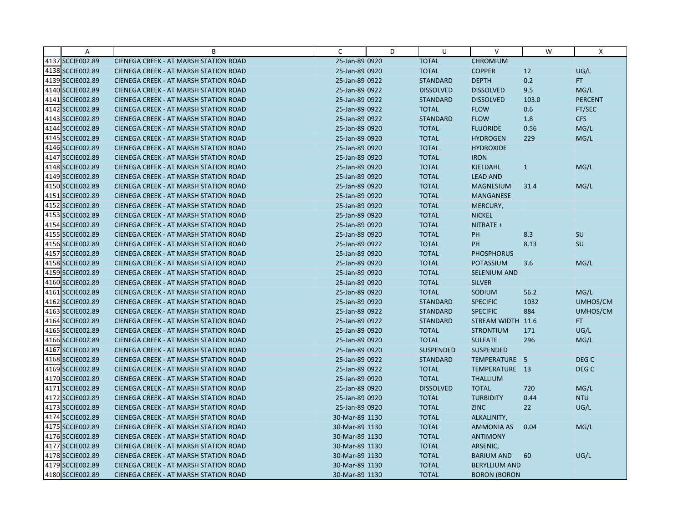| A                | B                                            | C              | D | U                | $\vee$               | W     | X                |
|------------------|----------------------------------------------|----------------|---|------------------|----------------------|-------|------------------|
| 4137 SCCIE002.89 | CIENEGA CREEK - AT MARSH STATION ROAD        | 25-Jan-89 0920 |   | <b>TOTAL</b>     | <b>CHROMIUM</b>      |       |                  |
| 4138 SCCIE002.89 | CIENEGA CREEK - AT MARSH STATION ROAD        | 25-Jan-89 0920 |   | <b>TOTAL</b>     | <b>COPPER</b>        | 12    | UG/L             |
| 4139 SCCIE002.89 | <b>CIENEGA CREEK - AT MARSH STATION ROAD</b> | 25-Jan-89 0922 |   | <b>STANDARD</b>  | <b>DEPTH</b>         | 0.2   | FT.              |
| 4140 SCCIE002.89 | <b>CIENEGA CREEK - AT MARSH STATION ROAD</b> | 25-Jan-89 0922 |   | <b>DISSOLVED</b> | <b>DISSOLVED</b>     | 9.5   | MG/L             |
| 4141 SCCIE002.89 | <b>CIENEGA CREEK - AT MARSH STATION ROAD</b> | 25-Jan-89 0922 |   | <b>STANDARD</b>  | <b>DISSOLVED</b>     | 103.0 | <b>PERCENT</b>   |
| 4142 SCCIE002.89 | CIENEGA CREEK - AT MARSH STATION ROAD        | 25-Jan-89 0922 |   | <b>TOTAL</b>     | <b>FLOW</b>          | 0.6   | FT/SEC           |
| 4143 SCCIE002.89 | <b>CIENEGA CREEK - AT MARSH STATION ROAD</b> | 25-Jan-89 0922 |   | <b>STANDARD</b>  | <b>FLOW</b>          | 1.8   | <b>CFS</b>       |
| 4144 SCCIE002.89 | CIENEGA CREEK - AT MARSH STATION ROAD        | 25-Jan-89 0920 |   | <b>TOTAL</b>     | <b>FLUORIDE</b>      | 0.56  | MG/L             |
| 4145 SCCIE002.89 | <b>CIENEGA CREEK - AT MARSH STATION ROAD</b> | 25-Jan-89 0920 |   | <b>TOTAL</b>     | <b>HYDROGEN</b>      | 229   | MG/L             |
| 4146 SCCIE002.89 | <b>CIENEGA CREEK - AT MARSH STATION ROAD</b> | 25-Jan-89 0920 |   | <b>TOTAL</b>     | <b>HYDROXIDE</b>     |       |                  |
| 4147 SCCIE002.89 | <b>CIENEGA CREEK - AT MARSH STATION ROAD</b> | 25-Jan-89 0920 |   | <b>TOTAL</b>     | <b>IRON</b>          |       |                  |
| 4148 SCCIE002.89 | CIENEGA CREEK - AT MARSH STATION ROAD        | 25-Jan-89 0920 |   | <b>TOTAL</b>     | <b>KJELDAHL</b>      | 1     | MG/L             |
| 4149 SCCIE002.89 | CIENEGA CREEK - AT MARSH STATION ROAD        | 25-Jan-89 0920 |   | <b>TOTAL</b>     | <b>LEAD AND</b>      |       |                  |
| 4150 SCCIE002.89 | CIENEGA CREEK - AT MARSH STATION ROAD        | 25-Jan-89 0920 |   | <b>TOTAL</b>     | <b>MAGNESIUM</b>     | 31.4  | MG/L             |
| 4151 SCCIE002.89 | <b>CIENEGA CREEK - AT MARSH STATION ROAD</b> | 25-Jan-89 0920 |   | <b>TOTAL</b>     | <b>MANGANESE</b>     |       |                  |
| 4152 SCCIE002.89 | CIENEGA CREEK - AT MARSH STATION ROAD        | 25-Jan-89 0920 |   | <b>TOTAL</b>     | MERCURY,             |       |                  |
| 4153 SCCIE002.89 | CIENEGA CREEK - AT MARSH STATION ROAD        | 25-Jan-89 0920 |   | <b>TOTAL</b>     | <b>NICKEL</b>        |       |                  |
| 4154 SCCIE002.89 | CIENEGA CREEK - AT MARSH STATION ROAD        | 25-Jan-89 0920 |   | <b>TOTAL</b>     | NITRATE +            |       |                  |
| 4155 SCCIE002.89 | <b>CIENEGA CREEK - AT MARSH STATION ROAD</b> | 25-Jan-89 0920 |   | <b>TOTAL</b>     | PH                   | 8.3   | SU               |
| 4156 SCCIE002.89 | CIENEGA CREEK - AT MARSH STATION ROAD        | 25-Jan-89 0922 |   | <b>TOTAL</b>     | <b>PH</b>            | 8.13  | SU               |
| 4157 SCCIE002.89 | CIENEGA CREEK - AT MARSH STATION ROAD        | 25-Jan-89 0920 |   | <b>TOTAL</b>     | <b>PHOSPHORUS</b>    |       |                  |
| 4158 SCCIE002.89 | CIENEGA CREEK - AT MARSH STATION ROAD        | 25-Jan-89 0920 |   | <b>TOTAL</b>     | <b>POTASSIUM</b>     | 3.6   | MG/L             |
| 4159 SCCIE002.89 | <b>CIENEGA CREEK - AT MARSH STATION ROAD</b> | 25-Jan-89 0920 |   | <b>TOTAL</b>     | SELENIUM AND         |       |                  |
| 4160 SCCIE002.89 | <b>CIENEGA CREEK - AT MARSH STATION ROAD</b> | 25-Jan-89 0920 |   | <b>TOTAL</b>     | <b>SILVER</b>        |       |                  |
| 4161 SCCIE002.89 | CIENEGA CREEK - AT MARSH STATION ROAD        | 25-Jan-89 0920 |   | <b>TOTAL</b>     | SODIUM               | 56.2  | MG/L             |
| 4162 SCCIE002.89 | CIENEGA CREEK - AT MARSH STATION ROAD        | 25-Jan-89 0920 |   | <b>STANDARD</b>  | <b>SPECIFIC</b>      | 1032  | UMHOS/CM         |
| 4163 SCCIE002.89 | CIENEGA CREEK - AT MARSH STATION ROAD        | 25-Jan-89 0922 |   | <b>STANDARD</b>  | <b>SPECIFIC</b>      | 884   | UMHOS/CM         |
| 4164 SCCIE002.89 | <b>CIENEGA CREEK - AT MARSH STATION ROAD</b> | 25-Jan-89 0922 |   | <b>STANDARD</b>  | STREAM WIDTH 11.6    |       | FT.              |
| 4165 SCCIE002.89 | <b>CIENEGA CREEK - AT MARSH STATION ROAD</b> | 25-Jan-89 0920 |   | <b>TOTAL</b>     | <b>STRONTIUM</b>     | 171   | UG/L             |
| 4166 SCCIE002.89 | CIENEGA CREEK - AT MARSH STATION ROAD        | 25-Jan-89 0920 |   | <b>TOTAL</b>     | <b>SULFATE</b>       | 296   | MG/L             |
| 4167 SCCIE002.89 | CIENEGA CREEK - AT MARSH STATION ROAD        | 25-Jan-89 0920 |   | <b>SUSPENDED</b> | <b>SUSPENDED</b>     |       |                  |
| 4168 SCCIE002.89 | <b>CIENEGA CREEK - AT MARSH STATION ROAD</b> | 25-Jan-89 0922 |   | <b>STANDARD</b>  | TEMPERATURE 5        |       | DEG C            |
| 4169 SCCIE002.89 | <b>CIENEGA CREEK - AT MARSH STATION ROAD</b> | 25-Jan-89 0922 |   | <b>TOTAL</b>     | TEMPERATURE 13       |       | DEG <sub>C</sub> |
| 4170 SCCIE002.89 | <b>CIENEGA CREEK - AT MARSH STATION ROAD</b> | 25-Jan-89 0920 |   | <b>TOTAL</b>     | <b>THALLIUM</b>      |       |                  |
| 4171 SCCIE002.89 | CIENEGA CREEK - AT MARSH STATION ROAD        | 25-Jan-89 0920 |   | <b>DISSOLVED</b> | <b>TOTAL</b>         | 720   | MG/L             |
| 4172 SCCIE002.89 | <b>CIENEGA CREEK - AT MARSH STATION ROAD</b> | 25-Jan-89 0920 |   | <b>TOTAL</b>     | <b>TURBIDITY</b>     | 0.44  | <b>NTU</b>       |
| 4173 SCCIE002.89 | CIENEGA CREEK - AT MARSH STATION ROAD        | 25-Jan-89 0920 |   | <b>TOTAL</b>     | <b>ZINC</b>          | 22    | UG/L             |
| 4174 SCCIE002.89 | CIENEGA CREEK - AT MARSH STATION ROAD        | 30-Mar-89 1130 |   | <b>TOTAL</b>     | ALKALINITY,          |       |                  |
| 4175 SCCIE002.89 | <b>CIENEGA CREEK - AT MARSH STATION ROAD</b> | 30-Mar-89 1130 |   | <b>TOTAL</b>     | <b>AMMONIA AS</b>    | 0.04  | MG/L             |
| 4176 SCCIE002.89 | CIENEGA CREEK - AT MARSH STATION ROAD        | 30-Mar-89 1130 |   | <b>TOTAL</b>     | <b>ANTIMONY</b>      |       |                  |
| 4177 SCCIE002.89 | CIENEGA CREEK - AT MARSH STATION ROAD        | 30-Mar-89 1130 |   | <b>TOTAL</b>     | ARSENIC,             |       |                  |
| 4178 SCCIE002.89 | CIENEGA CREEK - AT MARSH STATION ROAD        | 30-Mar-89 1130 |   | <b>TOTAL</b>     | <b>BARIUM AND</b>    | 60    | UG/L             |
| 4179 SCCIE002.89 | <b>CIENEGA CREEK - AT MARSH STATION ROAD</b> | 30-Mar-89 1130 |   | <b>TOTAL</b>     | <b>BERYLLIUM AND</b> |       |                  |
| 4180 SCCIE002.89 | CIENEGA CREEK - AT MARSH STATION ROAD        | 30-Mar-89 1130 |   | <b>TOTAL</b>     | <b>BORON (BORON</b>  |       |                  |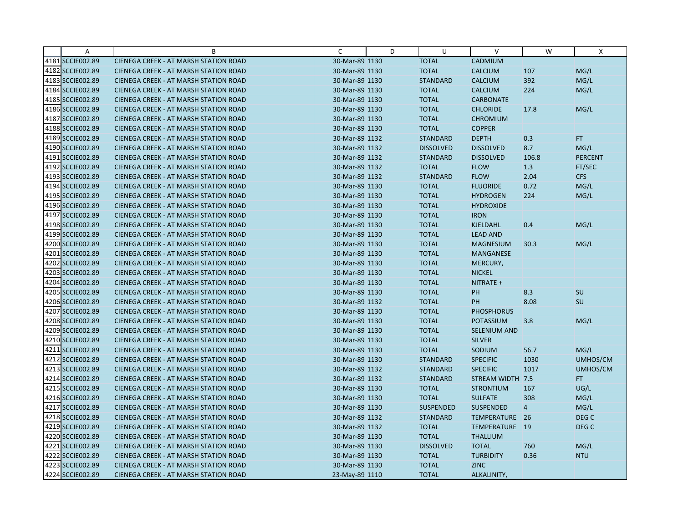| A                | B                                            | C              | D | U                | $\vee$              | W              | X              |
|------------------|----------------------------------------------|----------------|---|------------------|---------------------|----------------|----------------|
| 4181 SCCIE002.89 | CIENEGA CREEK - AT MARSH STATION ROAD        | 30-Mar-89 1130 |   | <b>TOTAL</b>     | CADMIUM             |                |                |
| 4182 SCCIE002.89 | <b>CIENEGA CREEK - AT MARSH STATION ROAD</b> | 30-Mar-89 1130 |   | <b>TOTAL</b>     | <b>CALCIUM</b>      | 107            | MG/L           |
| 4183 SCCIE002.89 | <b>CIENEGA CREEK - AT MARSH STATION ROAD</b> | 30-Mar-89 1130 |   | <b>STANDARD</b>  | <b>CALCIUM</b>      | 392            | MG/L           |
| 4184 SCCIE002.89 | <b>CIENEGA CREEK - AT MARSH STATION ROAD</b> | 30-Mar-89 1130 |   | <b>TOTAL</b>     | <b>CALCIUM</b>      | 224            | MG/L           |
| 4185 SCCIE002.89 | <b>CIENEGA CREEK - AT MARSH STATION ROAD</b> | 30-Mar-89 1130 |   | <b>TOTAL</b>     | <b>CARBONATE</b>    |                |                |
| 4186 SCCIE002.89 | <b>CIENEGA CREEK - AT MARSH STATION ROAD</b> | 30-Mar-89 1130 |   | <b>TOTAL</b>     | <b>CHLORIDE</b>     | 17.8           | MG/L           |
| 4187 SCCIE002.89 | <b>CIENEGA CREEK - AT MARSH STATION ROAD</b> | 30-Mar-89 1130 |   | <b>TOTAL</b>     | <b>CHROMIUM</b>     |                |                |
| 4188 SCCIE002.89 | <b>CIENEGA CREEK - AT MARSH STATION ROAD</b> | 30-Mar-89 1130 |   | <b>TOTAL</b>     | <b>COPPER</b>       |                |                |
| 4189 SCCIE002.89 | <b>CIENEGA CREEK - AT MARSH STATION ROAD</b> | 30-Mar-89 1132 |   | <b>STANDARD</b>  | <b>DEPTH</b>        | 0.3            | FT.            |
| 4190 SCCIE002.89 | <b>CIENEGA CREEK - AT MARSH STATION ROAD</b> | 30-Mar-89 1132 |   | <b>DISSOLVED</b> | <b>DISSOLVED</b>    | 8.7            | MG/L           |
| 4191 SCCIE002.89 | <b>CIENEGA CREEK - AT MARSH STATION ROAD</b> | 30-Mar-89 1132 |   | <b>STANDARD</b>  | <b>DISSOLVED</b>    | 106.8          | <b>PERCENT</b> |
| 4192 SCCIE002.89 | <b>CIENEGA CREEK - AT MARSH STATION ROAD</b> | 30-Mar-89 1132 |   | <b>TOTAL</b>     | <b>FLOW</b>         | 1.3            | FT/SEC         |
| 4193 SCCIE002.89 | <b>CIENEGA CREEK - AT MARSH STATION ROAD</b> | 30-Mar-89 1132 |   | <b>STANDARD</b>  | <b>FLOW</b>         | 2.04           | <b>CFS</b>     |
| 4194 SCCIE002.89 | <b>CIENEGA CREEK - AT MARSH STATION ROAD</b> | 30-Mar-89 1130 |   | <b>TOTAL</b>     | <b>FLUORIDE</b>     | 0.72           | MG/L           |
| 4195 SCCIE002.89 | <b>CIENEGA CREEK - AT MARSH STATION ROAD</b> | 30-Mar-89 1130 |   | <b>TOTAL</b>     | <b>HYDROGEN</b>     | 224            | MG/L           |
| 4196 SCCIE002.89 | <b>CIENEGA CREEK - AT MARSH STATION ROAD</b> | 30-Mar-89 1130 |   | <b>TOTAL</b>     | <b>HYDROXIDE</b>    |                |                |
| 4197 SCCIE002.89 | <b>CIENEGA CREEK - AT MARSH STATION ROAD</b> | 30-Mar-89 1130 |   | <b>TOTAL</b>     | <b>IRON</b>         |                |                |
| 4198 SCCIE002.89 | <b>CIENEGA CREEK - AT MARSH STATION ROAD</b> | 30-Mar-89 1130 |   | <b>TOTAL</b>     | <b>KJELDAHL</b>     | 0.4            | MG/L           |
| 4199 SCCIE002.89 | <b>CIENEGA CREEK - AT MARSH STATION ROAD</b> | 30-Mar-89 1130 |   | <b>TOTAL</b>     | <b>LEAD AND</b>     |                |                |
| 4200 SCCIE002.89 | <b>CIENEGA CREEK - AT MARSH STATION ROAD</b> | 30-Mar-89 1130 |   | <b>TOTAL</b>     | <b>MAGNESIUM</b>    | 30.3           | MG/L           |
| 4201 SCCIE002.89 | <b>CIENEGA CREEK - AT MARSH STATION ROAD</b> | 30-Mar-89 1130 |   | <b>TOTAL</b>     | <b>MANGANESE</b>    |                |                |
| 4202 SCCIE002.89 | <b>CIENEGA CREEK - AT MARSH STATION ROAD</b> | 30-Mar-89 1130 |   | <b>TOTAL</b>     | MERCURY,            |                |                |
| 4203 SCCIE002.89 | CIENEGA CREEK - AT MARSH STATION ROAD        | 30-Mar-89 1130 |   | <b>TOTAL</b>     | <b>NICKEL</b>       |                |                |
| 4204 SCCIE002.89 | <b>CIENEGA CREEK - AT MARSH STATION ROAD</b> | 30-Mar-89 1130 |   | <b>TOTAL</b>     | NITRATE +           |                |                |
| 4205 SCCIE002.89 | CIENEGA CREEK - AT MARSH STATION ROAD        | 30-Mar-89 1130 |   | <b>TOTAL</b>     | PH                  | 8.3            | <b>SU</b>      |
| 4206 SCCIE002.89 | CIENEGA CREEK - AT MARSH STATION ROAD        | 30-Mar-89 1132 |   | <b>TOTAL</b>     | <b>PH</b>           | 8.08           | SU             |
| 4207 SCCIE002.89 | <b>CIENEGA CREEK - AT MARSH STATION ROAD</b> | 30-Mar-89 1130 |   | <b>TOTAL</b>     | <b>PHOSPHORUS</b>   |                |                |
| 4208 SCCIE002.89 | CIENEGA CREEK - AT MARSH STATION ROAD        | 30-Mar-89 1130 |   | <b>TOTAL</b>     | <b>POTASSIUM</b>    | 3.8            | MG/L           |
| 4209 SCCIE002.89 | <b>CIENEGA CREEK - AT MARSH STATION ROAD</b> | 30-Mar-89 1130 |   | <b>TOTAL</b>     | <b>SELENIUM AND</b> |                |                |
| 4210 SCCIE002.89 | <b>CIENEGA CREEK - AT MARSH STATION ROAD</b> | 30-Mar-89 1130 |   | <b>TOTAL</b>     | <b>SILVER</b>       |                |                |
| 4211 SCCIE002.89 | CIENEGA CREEK - AT MARSH STATION ROAD        | 30-Mar-89 1130 |   | <b>TOTAL</b>     | SODIUM              | 56.7           | MG/L           |
| 4212 SCCIE002.89 | <b>CIENEGA CREEK - AT MARSH STATION ROAD</b> | 30-Mar-89 1130 |   | <b>STANDARD</b>  | <b>SPECIFIC</b>     | 1030           | UMHOS/CM       |
| 4213 SCCIE002.89 | <b>CIENEGA CREEK - AT MARSH STATION ROAD</b> | 30-Mar-89 1132 |   | <b>STANDARD</b>  | <b>SPECIFIC</b>     | 1017           | UMHOS/CM       |
| 4214 SCCIE002.89 | <b>CIENEGA CREEK - AT MARSH STATION ROAD</b> | 30-Mar-89 1132 |   | <b>STANDARD</b>  | STREAM WIDTH 7.5    |                | FT.            |
| 4215 SCCIE002.89 | <b>CIENEGA CREEK - AT MARSH STATION ROAD</b> | 30-Mar-89 1130 |   | <b>TOTAL</b>     | <b>STRONTIUM</b>    | 167            | UG/L           |
| 4216 SCCIE002.89 | <b>CIENEGA CREEK - AT MARSH STATION ROAD</b> | 30-Mar-89 1130 |   | <b>TOTAL</b>     | <b>SULFATE</b>      | 308            | MG/L           |
| 4217 SCCIE002.89 | <b>CIENEGA CREEK - AT MARSH STATION ROAD</b> | 30-Mar-89 1130 |   | <b>SUSPENDED</b> | <b>SUSPENDED</b>    | $\overline{4}$ | MG/L           |
| 4218 SCCIE002.89 | CIENEGA CREEK - AT MARSH STATION ROAD        | 30-Mar-89 1132 |   | <b>STANDARD</b>  | TEMPERATURE 26      |                | DEG C          |
| 4219 SCCIE002.89 | CIENEGA CREEK - AT MARSH STATION ROAD        | 30-Mar-89 1132 |   | <b>TOTAL</b>     | TEMPERATURE 19      |                | DEG C          |
| 4220 SCCIE002.89 | <b>CIENEGA CREEK - AT MARSH STATION ROAD</b> | 30-Mar-89 1130 |   | <b>TOTAL</b>     | <b>THALLIUM</b>     |                |                |
| 4221 SCCIE002.89 | <b>CIENEGA CREEK - AT MARSH STATION ROAD</b> | 30-Mar-89 1130 |   | <b>DISSOLVED</b> | <b>TOTAL</b>        | 760            | MG/L           |
| 4222 SCCIE002.89 | CIENEGA CREEK - AT MARSH STATION ROAD        | 30-Mar-89 1130 |   | <b>TOTAL</b>     | <b>TURBIDITY</b>    | 0.36           | <b>NTU</b>     |
| 4223 SCCIE002.89 | <b>CIENEGA CREEK - AT MARSH STATION ROAD</b> | 30-Mar-89 1130 |   | <b>TOTAL</b>     | <b>ZINC</b>         |                |                |
| 4224 SCCIE002.89 | CIENEGA CREEK - AT MARSH STATION ROAD        | 23-May-89 1110 |   | <b>TOTAL</b>     | ALKALINITY,         |                |                |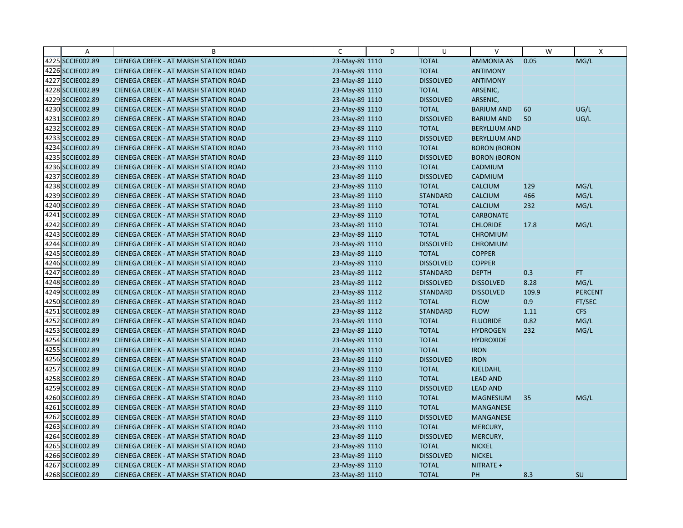| Α                | B                                            | C              | D | U                | V                    | W     | X              |
|------------------|----------------------------------------------|----------------|---|------------------|----------------------|-------|----------------|
| 4225 SCCIE002.89 | CIENEGA CREEK - AT MARSH STATION ROAD        | 23-May-89 1110 |   | <b>TOTAL</b>     | <b>AMMONIA AS</b>    | 0.05  | MG/L           |
| 4226 SCCIE002.89 | CIENEGA CREEK - AT MARSH STATION ROAD        | 23-May-89 1110 |   | <b>TOTAL</b>     | <b>ANTIMONY</b>      |       |                |
| 4227 SCCIE002.89 | <b>CIENEGA CREEK - AT MARSH STATION ROAD</b> | 23-May-89 1110 |   | <b>DISSOLVED</b> | <b>ANTIMONY</b>      |       |                |
| 4228 SCCIE002.89 | <b>CIENEGA CREEK - AT MARSH STATION ROAD</b> | 23-May-89 1110 |   | <b>TOTAL</b>     | ARSENIC,             |       |                |
| 4229 SCCIE002.89 | CIENEGA CREEK - AT MARSH STATION ROAD        | 23-May-89 1110 |   | <b>DISSOLVED</b> | ARSENIC,             |       |                |
| 4230 SCCIE002.89 | CIENEGA CREEK - AT MARSH STATION ROAD        | 23-May-89 1110 |   | <b>TOTAL</b>     | <b>BARIUM AND</b>    | 60    | UG/L           |
| 4231 SCCIE002.89 | <b>CIENEGA CREEK - AT MARSH STATION ROAD</b> | 23-May-89 1110 |   | <b>DISSOLVED</b> | <b>BARIUM AND</b>    | 50    | UG/L           |
| 4232 SCCIE002.89 | CIENEGA CREEK - AT MARSH STATION ROAD        | 23-May-89 1110 |   | <b>TOTAL</b>     | <b>BERYLLIUM AND</b> |       |                |
| 4233 SCCIE002.89 | CIENEGA CREEK - AT MARSH STATION ROAD        | 23-May-89 1110 |   | <b>DISSOLVED</b> | <b>BERYLLIUM AND</b> |       |                |
| 4234 SCCIE002.89 | CIENEGA CREEK - AT MARSH STATION ROAD        | 23-May-89 1110 |   | <b>TOTAL</b>     | <b>BORON (BORON</b>  |       |                |
| 4235 SCCIE002.89 | CIENEGA CREEK - AT MARSH STATION ROAD        | 23-May-89 1110 |   | <b>DISSOLVED</b> | <b>BORON (BORON</b>  |       |                |
| 4236 SCCIE002.89 | CIENEGA CREEK - AT MARSH STATION ROAD        | 23-May-89 1110 |   | <b>TOTAL</b>     | CADMIUM              |       |                |
| 4237 SCCIE002.89 | CIENEGA CREEK - AT MARSH STATION ROAD        | 23-May-89 1110 |   | <b>DISSOLVED</b> | CADMIUM              |       |                |
| 4238 SCCIE002.89 | CIENEGA CREEK - AT MARSH STATION ROAD        | 23-May-89 1110 |   | <b>TOTAL</b>     | <b>CALCIUM</b>       | 129   | MG/L           |
| 4239 SCCIE002.89 | <b>CIENEGA CREEK - AT MARSH STATION ROAD</b> | 23-May-89 1110 |   | <b>STANDARD</b>  | <b>CALCIUM</b>       | 466   | MG/L           |
| 4240 SCCIE002.89 | CIENEGA CREEK - AT MARSH STATION ROAD        | 23-May-89 1110 |   | <b>TOTAL</b>     | <b>CALCIUM</b>       | 232   | MG/L           |
| 4241 SCCIE002.89 | CIENEGA CREEK - AT MARSH STATION ROAD        | 23-May-89 1110 |   | <b>TOTAL</b>     | <b>CARBONATE</b>     |       |                |
| 4242 SCCIE002.89 | CIENEGA CREEK - AT MARSH STATION ROAD        | 23-May-89 1110 |   | <b>TOTAL</b>     | <b>CHLORIDE</b>      | 17.8  | MG/L           |
| 4243 SCCIE002.89 | <b>CIENEGA CREEK - AT MARSH STATION ROAD</b> | 23-May-89 1110 |   | <b>TOTAL</b>     | <b>CHROMIUM</b>      |       |                |
| 4244 SCCIE002.89 | CIENEGA CREEK - AT MARSH STATION ROAD        | 23-May-89 1110 |   | <b>DISSOLVED</b> | <b>CHROMIUM</b>      |       |                |
| 4245 SCCIE002.89 | CIENEGA CREEK - AT MARSH STATION ROAD        | 23-May-89 1110 |   | <b>TOTAL</b>     | <b>COPPER</b>        |       |                |
| 4246 SCCIE002.89 | CIENEGA CREEK - AT MARSH STATION ROAD        | 23-May-89 1110 |   | <b>DISSOLVED</b> | <b>COPPER</b>        |       |                |
| 4247 SCCIE002.89 | CIENEGA CREEK - AT MARSH STATION ROAD        | 23-May-89 1112 |   | <b>STANDARD</b>  | <b>DEPTH</b>         | 0.3   | FT.            |
| 4248 SCCIE002.89 | CIENEGA CREEK - AT MARSH STATION ROAD        | 23-May-89 1112 |   | <b>DISSOLVED</b> | <b>DISSOLVED</b>     | 8.28  | MG/L           |
| 4249 SCCIE002.89 | CIENEGA CREEK - AT MARSH STATION ROAD        | 23-May-89 1112 |   | <b>STANDARD</b>  | <b>DISSOLVED</b>     | 109.9 | <b>PERCENT</b> |
| 4250 SCCIE002.89 | CIENEGA CREEK - AT MARSH STATION ROAD        | 23-May-89 1112 |   | <b>TOTAL</b>     | <b>FLOW</b>          | 0.9   | FT/SEC         |
| 4251 SCCIE002.89 | CIENEGA CREEK - AT MARSH STATION ROAD        | 23-May-89 1112 |   | <b>STANDARD</b>  | <b>FLOW</b>          | 1.11  | <b>CFS</b>     |
| 4252 SCCIE002.89 | CIENEGA CREEK - AT MARSH STATION ROAD        | 23-May-89 1110 |   | <b>TOTAL</b>     | <b>FLUORIDE</b>      | 0.82  | MG/L           |
| 4253 SCCIE002.89 | CIENEGA CREEK - AT MARSH STATION ROAD        | 23-May-89 1110 |   | <b>TOTAL</b>     | <b>HYDROGEN</b>      | 232   | MG/L           |
| 4254 SCCIE002.89 | <b>CIENEGA CREEK - AT MARSH STATION ROAD</b> | 23-May-89 1110 |   | <b>TOTAL</b>     | <b>HYDROXIDE</b>     |       |                |
| 4255 SCCIE002.89 | CIENEGA CREEK - AT MARSH STATION ROAD        | 23-May-89 1110 |   | <b>TOTAL</b>     | <b>IRON</b>          |       |                |
| 4256 SCCIE002.89 | CIENEGA CREEK - AT MARSH STATION ROAD        | 23-May-89 1110 |   | <b>DISSOLVED</b> | <b>IRON</b>          |       |                |
| 4257 SCCIE002.89 | CIENEGA CREEK - AT MARSH STATION ROAD        | 23-May-89 1110 |   | <b>TOTAL</b>     | KJELDAHL             |       |                |
| 4258 SCCIE002.89 | CIENEGA CREEK - AT MARSH STATION ROAD        | 23-May-89 1110 |   | <b>TOTAL</b>     | <b>LEAD AND</b>      |       |                |
| 4259 SCCIE002.89 | CIENEGA CREEK - AT MARSH STATION ROAD        | 23-May-89 1110 |   | <b>DISSOLVED</b> | <b>LEAD AND</b>      |       |                |
| 4260 SCCIE002.89 | CIENEGA CREEK - AT MARSH STATION ROAD        | 23-May-89 1110 |   | <b>TOTAL</b>     | <b>MAGNESIUM</b>     | 35    | MG/L           |
| 4261 SCCIE002.89 | <b>CIENEGA CREEK - AT MARSH STATION ROAD</b> | 23-May-89 1110 |   | <b>TOTAL</b>     | <b>MANGANESE</b>     |       |                |
| 4262 SCCIE002.89 | CIENEGA CREEK - AT MARSH STATION ROAD        | 23-May-89 1110 |   | <b>DISSOLVED</b> | MANGANESE            |       |                |
| 4263 SCCIE002.89 | CIENEGA CREEK - AT MARSH STATION ROAD        | 23-May-89 1110 |   | <b>TOTAL</b>     | MERCURY,             |       |                |
| 4264 SCCIE002.89 | <b>CIENEGA CREEK - AT MARSH STATION ROAD</b> | 23-May-89 1110 |   | <b>DISSOLVED</b> | MERCURY,             |       |                |
| 4265 SCCIE002.89 | <b>CIENEGA CREEK - AT MARSH STATION ROAD</b> | 23-May-89 1110 |   | <b>TOTAL</b>     | <b>NICKEL</b>        |       |                |
| 4266 SCCIE002.89 | CIENEGA CREEK - AT MARSH STATION ROAD        | 23-May-89 1110 |   | <b>DISSOLVED</b> | <b>NICKEL</b>        |       |                |
| 4267 SCCIE002.89 | CIENEGA CREEK - AT MARSH STATION ROAD        | 23-May-89 1110 |   | <b>TOTAL</b>     | NITRATE +            |       |                |
| 4268 SCCIE002.89 | CIENEGA CREEK - AT MARSH STATION ROAD        | 23-May-89 1110 |   | <b>TOTAL</b>     | PH                   | 8.3   | <b>SU</b>      |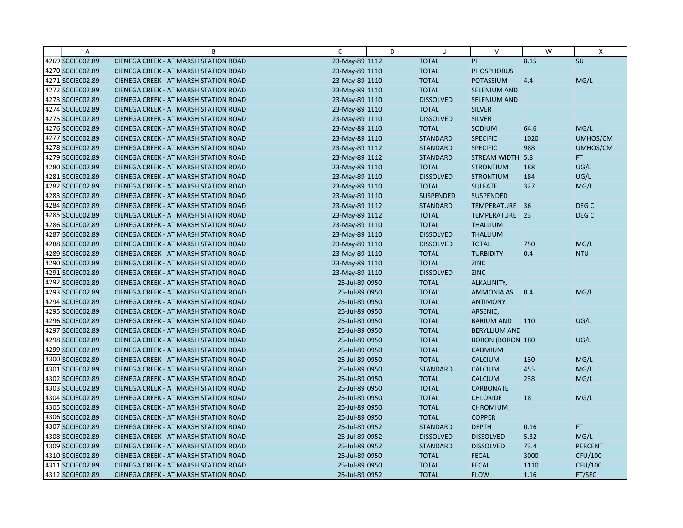| Α                | B                                            | C              | D | U                | $\vee$                  | W    | X                |
|------------------|----------------------------------------------|----------------|---|------------------|-------------------------|------|------------------|
| 4269 SCCIE002.89 | CIENEGA CREEK - AT MARSH STATION ROAD        | 23-May-89 1112 |   | <b>TOTAL</b>     | PH                      | 8.15 | SU               |
| 4270 SCCIE002.89 | <b>CIENEGA CREEK - AT MARSH STATION ROAD</b> | 23-May-89 1110 |   | <b>TOTAL</b>     | <b>PHOSPHORUS</b>       |      |                  |
| 4271 SCCIE002.89 | <b>CIENEGA CREEK - AT MARSH STATION ROAD</b> | 23-May-89 1110 |   | <b>TOTAL</b>     | <b>POTASSIUM</b>        | 4.4  | MG/L             |
| 4272 SCCIE002.89 | <b>CIENEGA CREEK - AT MARSH STATION ROAD</b> | 23-May-89 1110 |   | <b>TOTAL</b>     | <b>SELENIUM AND</b>     |      |                  |
| 4273 SCCIE002.89 | <b>CIENEGA CREEK - AT MARSH STATION ROAD</b> | 23-May-89 1110 |   | <b>DISSOLVED</b> | SELENIUM AND            |      |                  |
| 4274 SCCIE002.89 | CIENEGA CREEK - AT MARSH STATION ROAD        | 23-May-89 1110 |   | <b>TOTAL</b>     | <b>SILVER</b>           |      |                  |
| 4275 SCCIE002.89 | <b>CIENEGA CREEK - AT MARSH STATION ROAD</b> | 23-May-89 1110 |   | <b>DISSOLVED</b> | <b>SILVER</b>           |      |                  |
| 4276 SCCIE002.89 | <b>CIENEGA CREEK - AT MARSH STATION ROAD</b> | 23-May-89 1110 |   | <b>TOTAL</b>     | SODIUM                  | 64.6 | MG/L             |
| 4277 SCCIE002.89 | CIENEGA CREEK - AT MARSH STATION ROAD        | 23-May-89 1110 |   | <b>STANDARD</b>  | <b>SPECIFIC</b>         | 1020 | UMHOS/CM         |
| 4278 SCCIE002.89 | CIENEGA CREEK - AT MARSH STATION ROAD        | 23-May-89 1112 |   | <b>STANDARD</b>  | <b>SPECIFIC</b>         | 988  | UMHOS/CM         |
| 4279 SCCIE002.89 | <b>CIENEGA CREEK - AT MARSH STATION ROAD</b> | 23-May-89 1112 |   | <b>STANDARD</b>  | STREAM WIDTH 5.8        |      | FT.              |
| 4280 SCCIE002.89 | <b>CIENEGA CREEK - AT MARSH STATION ROAD</b> | 23-May-89 1110 |   | <b>TOTAL</b>     | <b>STRONTIUM</b>        | 188  | UG/L             |
| 4281 SCCIE002.89 | CIENEGA CREEK - AT MARSH STATION ROAD        | 23-May-89 1110 |   | <b>DISSOLVED</b> | <b>STRONTIUM</b>        | 184  | UG/L             |
| 4282 SCCIE002.89 | <b>CIENEGA CREEK - AT MARSH STATION ROAD</b> | 23-May-89 1110 |   | <b>TOTAL</b>     | <b>SULFATE</b>          | 327  | MG/L             |
| 4283 SCCIE002.89 | <b>CIENEGA CREEK - AT MARSH STATION ROAD</b> | 23-May-89 1110 |   | <b>SUSPENDED</b> | <b>SUSPENDED</b>        |      |                  |
| 4284 SCCIE002.89 | <b>CIENEGA CREEK - AT MARSH STATION ROAD</b> | 23-May-89 1112 |   | <b>STANDARD</b>  | TEMPERATURE 36          |      | DEG <sub>C</sub> |
| 4285 SCCIE002.89 | CIENEGA CREEK - AT MARSH STATION ROAD        | 23-May-89 1112 |   | <b>TOTAL</b>     | TEMPERATURE 23          |      | DEG C            |
| 4286 SCCIE002.89 | <b>CIENEGA CREEK - AT MARSH STATION ROAD</b> | 23-May-89 1110 |   | <b>TOTAL</b>     | <b>THALLIUM</b>         |      |                  |
| 4287 SCCIE002.89 | <b>CIENEGA CREEK - AT MARSH STATION ROAD</b> | 23-May-89 1110 |   | <b>DISSOLVED</b> | <b>THALLIUM</b>         |      |                  |
| 4288 SCCIE002.89 | CIENEGA CREEK - AT MARSH STATION ROAD        | 23-May-89 1110 |   | <b>DISSOLVED</b> | <b>TOTAL</b>            | 750  | MG/L             |
| 4289 SCCIE002.89 | <b>CIENEGA CREEK - AT MARSH STATION ROAD</b> | 23-May-89 1110 |   | <b>TOTAL</b>     | <b>TURBIDITY</b>        | 0.4  | <b>NTU</b>       |
| 4290 SCCIE002.89 | CIENEGA CREEK - AT MARSH STATION ROAD        | 23-May-89 1110 |   | <b>TOTAL</b>     | <b>ZINC</b>             |      |                  |
| 4291 SCCIE002.89 | CIENEGA CREEK - AT MARSH STATION ROAD        | 23-May-89 1110 |   | <b>DISSOLVED</b> | <b>ZINC</b>             |      |                  |
| 4292 SCCIE002.89 | <b>CIENEGA CREEK - AT MARSH STATION ROAD</b> | 25-Jul-89 0950 |   | <b>TOTAL</b>     | ALKALINITY,             |      |                  |
| 4293 SCCIE002.89 | <b>CIENEGA CREEK - AT MARSH STATION ROAD</b> | 25-Jul-89 0950 |   | <b>TOTAL</b>     | <b>AMMONIA AS</b>       | 0.4  | MG/L             |
| 4294 SCCIE002.89 | CIENEGA CREEK - AT MARSH STATION ROAD        | 25-Jul-89 0950 |   | <b>TOTAL</b>     | <b>ANTIMONY</b>         |      |                  |
| 4295 SCCIE002.89 | <b>CIENEGA CREEK - AT MARSH STATION ROAD</b> | 25-Jul-89 0950 |   | <b>TOTAL</b>     | ARSENIC,                |      |                  |
| 4296 SCCIE002.89 | <b>CIENEGA CREEK - AT MARSH STATION ROAD</b> | 25-Jul-89 0950 |   | <b>TOTAL</b>     | <b>BARIUM AND</b>       | 110  | UG/L             |
| 4297 SCCIE002.89 | <b>CIENEGA CREEK - AT MARSH STATION ROAD</b> | 25-Jul-89 0950 |   | <b>TOTAL</b>     | <b>BERYLLIUM AND</b>    |      |                  |
| 4298 SCCIE002.89 | <b>CIENEGA CREEK - AT MARSH STATION ROAD</b> | 25-Jul-89 0950 |   | <b>TOTAL</b>     | <b>BORON (BORON 180</b> |      | UG/L             |
| 4299 SCCIE002.89 | <b>CIENEGA CREEK - AT MARSH STATION ROAD</b> | 25-Jul-89 0950 |   | <b>TOTAL</b>     | CADMIUM                 |      |                  |
| 4300 SCCIE002.89 | <b>CIENEGA CREEK - AT MARSH STATION ROAD</b> | 25-Jul-89 0950 |   | <b>TOTAL</b>     | <b>CALCIUM</b>          | 130  | MG/L             |
| 4301 SCCIE002.89 | CIENEGA CREEK - AT MARSH STATION ROAD        | 25-Jul-89 0950 |   | <b>STANDARD</b>  | <b>CALCIUM</b>          | 455  | MG/L             |
| 4302 SCCIE002.89 | <b>CIENEGA CREEK - AT MARSH STATION ROAD</b> | 25-Jul-89 0950 |   | <b>TOTAL</b>     | <b>CALCIUM</b>          | 238  | MG/L             |
| 4303 SCCIE002.89 | <b>CIENEGA CREEK - AT MARSH STATION ROAD</b> | 25-Jul-89 0950 |   | <b>TOTAL</b>     | <b>CARBONATE</b>        |      |                  |
| 4304 SCCIE002.89 | <b>CIENEGA CREEK - AT MARSH STATION ROAD</b> | 25-Jul-89 0950 |   | <b>TOTAL</b>     | <b>CHLORIDE</b>         | 18   | MG/L             |
| 4305 SCCIE002.89 | <b>CIENEGA CREEK - AT MARSH STATION ROAD</b> | 25-Jul-89 0950 |   | <b>TOTAL</b>     | <b>CHROMIUM</b>         |      |                  |
| 4306 SCCIE002.89 | <b>CIENEGA CREEK - AT MARSH STATION ROAD</b> | 25-Jul-89 0950 |   | <b>TOTAL</b>     | <b>COPPER</b>           |      |                  |
| 4307 SCCIE002.89 | CIENEGA CREEK - AT MARSH STATION ROAD        | 25-Jul-89 0952 |   | <b>STANDARD</b>  | <b>DEPTH</b>            | 0.16 | FT.              |
| 4308 SCCIE002.89 | <b>CIENEGA CREEK - AT MARSH STATION ROAD</b> | 25-Jul-89 0952 |   | <b>DISSOLVED</b> | <b>DISSOLVED</b>        | 5.32 | MG/L             |
| 4309 SCCIE002.89 | <b>CIENEGA CREEK - AT MARSH STATION ROAD</b> | 25-Jul-89 0952 |   | <b>STANDARD</b>  | <b>DISSOLVED</b>        | 73.4 | <b>PERCENT</b>   |
| 4310 SCCIE002.89 | CIENEGA CREEK - AT MARSH STATION ROAD        | 25-Jul-89 0950 |   | <b>TOTAL</b>     | <b>FECAL</b>            | 3000 | CFU/100          |
| 4311 SCCIE002.89 | <b>CIENEGA CREEK - AT MARSH STATION ROAD</b> | 25-Jul-89 0950 |   | <b>TOTAL</b>     | <b>FECAL</b>            | 1110 | CFU/100          |
| 4312 SCCIE002.89 | CIENEGA CREEK - AT MARSH STATION ROAD        | 25-Jul-89 0952 |   | <b>TOTAL</b>     | <b>FLOW</b>             | 1.16 | FT/SEC           |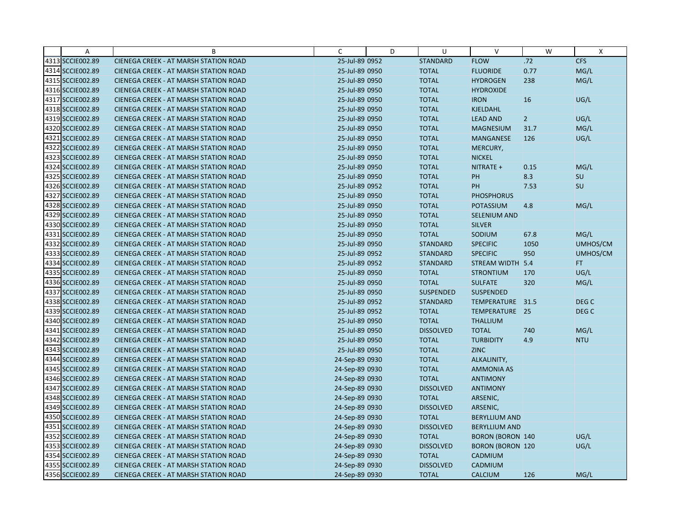| Α                | B                                            | C              | D | U                | $\mathsf{V}$            | W              | X          |
|------------------|----------------------------------------------|----------------|---|------------------|-------------------------|----------------|------------|
| 4313 SCCIE002.89 | CIENEGA CREEK - AT MARSH STATION ROAD        | 25-Jul-89 0952 |   | <b>STANDARD</b>  | <b>FLOW</b>             | .72            | <b>CFS</b> |
| 4314 SCCIE002.89 | <b>CIENEGA CREEK - AT MARSH STATION ROAD</b> | 25-Jul-89 0950 |   | <b>TOTAL</b>     | <b>FLUORIDE</b>         | 0.77           | MG/L       |
| 4315 SCCIE002.89 | <b>CIENEGA CREEK - AT MARSH STATION ROAD</b> | 25-Jul-89 0950 |   | <b>TOTAL</b>     | <b>HYDROGEN</b>         | 238            | MG/L       |
| 4316 SCCIE002.89 | CIENEGA CREEK - AT MARSH STATION ROAD        | 25-Jul-89 0950 |   | <b>TOTAL</b>     | <b>HYDROXIDE</b>        |                |            |
| 4317 SCCIE002.89 | CIENEGA CREEK - AT MARSH STATION ROAD        | 25-Jul-89 0950 |   | <b>TOTAL</b>     | <b>IRON</b>             | 16             | UG/L       |
| 4318 SCCIE002.89 | <b>CIENEGA CREEK - AT MARSH STATION ROAD</b> | 25-Jul-89 0950 |   | <b>TOTAL</b>     | <b>KJELDAHL</b>         |                |            |
| 4319 SCCIE002.89 | CIENEGA CREEK - AT MARSH STATION ROAD        | 25-Jul-89 0950 |   | <b>TOTAL</b>     | <b>LEAD AND</b>         | $\overline{2}$ | UG/L       |
| 4320 SCCIE002.89 | CIENEGA CREEK - AT MARSH STATION ROAD        | 25-Jul-89 0950 |   | <b>TOTAL</b>     | <b>MAGNESIUM</b>        | 31.7           | MG/L       |
| 4321 SCCIE002.89 | CIENEGA CREEK - AT MARSH STATION ROAD        | 25-Jul-89 0950 |   | <b>TOTAL</b>     | <b>MANGANESE</b>        | 126            | UG/L       |
| 4322 SCCIE002.89 | <b>CIENEGA CREEK - AT MARSH STATION ROAD</b> | 25-Jul-89 0950 |   | <b>TOTAL</b>     | MERCURY,                |                |            |
| 4323 SCCIE002.89 | <b>CIENEGA CREEK - AT MARSH STATION ROAD</b> | 25-Jul-89 0950 |   | <b>TOTAL</b>     | <b>NICKEL</b>           |                |            |
| 4324 SCCIE002.89 | CIENEGA CREEK - AT MARSH STATION ROAD        | 25-Jul-89 0950 |   | <b>TOTAL</b>     | NITRATE +               | 0.15           | MG/L       |
| 4325 SCCIE002.89 | CIENEGA CREEK - AT MARSH STATION ROAD        | 25-Jul-89 0950 |   | <b>TOTAL</b>     | PH                      | 8.3            | SU         |
| 4326 SCCIE002.89 | CIENEGA CREEK - AT MARSH STATION ROAD        | 25-Jul-89 0952 |   | <b>TOTAL</b>     | PH                      | 7.53           | SU         |
| 4327 SCCIE002.89 | CIENEGA CREEK - AT MARSH STATION ROAD        | 25-Jul-89 0950 |   | <b>TOTAL</b>     | <b>PHOSPHORUS</b>       |                |            |
| 4328 SCCIE002.89 | <b>CIENEGA CREEK - AT MARSH STATION ROAD</b> | 25-Jul-89 0950 |   | <b>TOTAL</b>     | <b>POTASSIUM</b>        | 4.8            | MG/L       |
| 4329 SCCIE002.89 | <b>CIENEGA CREEK - AT MARSH STATION ROAD</b> | 25-Jul-89 0950 |   | <b>TOTAL</b>     | SELENIUM AND            |                |            |
| 4330 SCCIE002.89 | CIENEGA CREEK - AT MARSH STATION ROAD        | 25-Jul-89 0950 |   | <b>TOTAL</b>     | <b>SILVER</b>           |                |            |
| 4331 SCCIE002.89 | <b>CIENEGA CREEK - AT MARSH STATION ROAD</b> | 25-Jul-89 0950 |   | <b>TOTAL</b>     | SODIUM                  | 67.8           | MG/L       |
| 4332 SCCIE002.89 | <b>CIENEGA CREEK - AT MARSH STATION ROAD</b> | 25-Jul-89 0950 |   | <b>STANDARD</b>  | <b>SPECIFIC</b>         | 1050           | UMHOS/CM   |
| 4333 SCCIE002.89 | CIENEGA CREEK - AT MARSH STATION ROAD        | 25-Jul-89 0952 |   | <b>STANDARD</b>  | <b>SPECIFIC</b>         | 950            | UMHOS/CM   |
| 4334 SCCIE002.89 | CIENEGA CREEK - AT MARSH STATION ROAD        | 25-Jul-89 0952 |   | <b>STANDARD</b>  | STREAM WIDTH 5.4        |                | FT.        |
| 4335 SCCIE002.89 | <b>CIENEGA CREEK - AT MARSH STATION ROAD</b> | 25-Jul-89 0950 |   | <b>TOTAL</b>     | <b>STRONTIUM</b>        | 170            | UG/L       |
| 4336 SCCIE002.89 | <b>CIENEGA CREEK - AT MARSH STATION ROAD</b> | 25-Jul-89 0950 |   | <b>TOTAL</b>     | <b>SULFATE</b>          | 320            | MG/L       |
| 4337 SCCIE002.89 | CIENEGA CREEK - AT MARSH STATION ROAD        | 25-Jul-89 0950 |   | SUSPENDED        | SUSPENDED               |                |            |
| 4338 SCCIE002.89 | CIENEGA CREEK - AT MARSH STATION ROAD        | 25-Jul-89 0952 |   | <b>STANDARD</b>  | TEMPERATURE 31.5        |                | DEG C      |
| 4339 SCCIE002.89 | <b>CIENEGA CREEK - AT MARSH STATION ROAD</b> | 25-Jul-89 0952 |   | <b>TOTAL</b>     | TEMPERATURE 25          |                | DEG C      |
| 4340 SCCIE002.89 | CIENEGA CREEK - AT MARSH STATION ROAD        | 25-Jul-89 0950 |   | <b>TOTAL</b>     | <b>THALLIUM</b>         |                |            |
| 4341 SCCIE002.89 | CIENEGA CREEK - AT MARSH STATION ROAD        | 25-Jul-89 0950 |   | <b>DISSOLVED</b> | <b>TOTAL</b>            | 740            | MG/L       |
| 4342 SCCIE002.89 | <b>CIENEGA CREEK - AT MARSH STATION ROAD</b> | 25-Jul-89 0950 |   | <b>TOTAL</b>     | <b>TURBIDITY</b>        | 4.9            | <b>NTU</b> |
| 4343 SCCIE002.89 | <b>CIENEGA CREEK - AT MARSH STATION ROAD</b> | 25-Jul-89 0950 |   | <b>TOTAL</b>     | <b>ZINC</b>             |                |            |
| 4344 SCCIE002.89 | CIENEGA CREEK - AT MARSH STATION ROAD        | 24-Sep-89 0930 |   | <b>TOTAL</b>     | ALKALINITY,             |                |            |
| 4345 SCCIE002.89 | CIENEGA CREEK - AT MARSH STATION ROAD        | 24-Sep-89 0930 |   | <b>TOTAL</b>     | <b>AMMONIA AS</b>       |                |            |
| 4346 SCCIE002.89 | CIENEGA CREEK - AT MARSH STATION ROAD        | 24-Sep-89 0930 |   | <b>TOTAL</b>     | <b>ANTIMONY</b>         |                |            |
| 4347 SCCIE002.89 | CIENEGA CREEK - AT MARSH STATION ROAD        | 24-Sep-89 0930 |   | <b>DISSOLVED</b> | <b>ANTIMONY</b>         |                |            |
| 4348 SCCIE002.89 | CIENEGA CREEK - AT MARSH STATION ROAD        | 24-Sep-89 0930 |   | <b>TOTAL</b>     | ARSENIC,                |                |            |
| 4349 SCCIE002.89 | <b>CIENEGA CREEK - AT MARSH STATION ROAD</b> | 24-Sep-89 0930 |   | <b>DISSOLVED</b> | ARSENIC,                |                |            |
| 4350 SCCIE002.89 | <b>CIENEGA CREEK - AT MARSH STATION ROAD</b> | 24-Sep-89 0930 |   | <b>TOTAL</b>     | <b>BERYLLIUM AND</b>    |                |            |
| 4351 SCCIE002.89 | CIENEGA CREEK - AT MARSH STATION ROAD        | 24-Sep-89 0930 |   | <b>DISSOLVED</b> | <b>BERYLLIUM AND</b>    |                |            |
| 4352 SCCIE002.89 | <b>CIENEGA CREEK - AT MARSH STATION ROAD</b> | 24-Sep-89 0930 |   | <b>TOTAL</b>     | <b>BORON (BORON 140</b> |                | UG/L       |
| 4353 SCCIE002.89 | <b>CIENEGA CREEK - AT MARSH STATION ROAD</b> | 24-Sep-89 0930 |   | <b>DISSOLVED</b> | <b>BORON (BORON 120</b> |                | UG/L       |
| 4354 SCCIE002.89 | CIENEGA CREEK - AT MARSH STATION ROAD        | 24-Sep-89 0930 |   | <b>TOTAL</b>     | CADMIUM                 |                |            |
| 4355 SCCIE002.89 | CIENEGA CREEK - AT MARSH STATION ROAD        | 24-Sep-89 0930 |   | <b>DISSOLVED</b> | CADMIUM                 |                |            |
| 4356 SCCIE002.89 | CIENEGA CREEK - AT MARSH STATION ROAD        | 24-Sep-89 0930 |   | <b>TOTAL</b>     | <b>CALCIUM</b>          | 126            | MG/L       |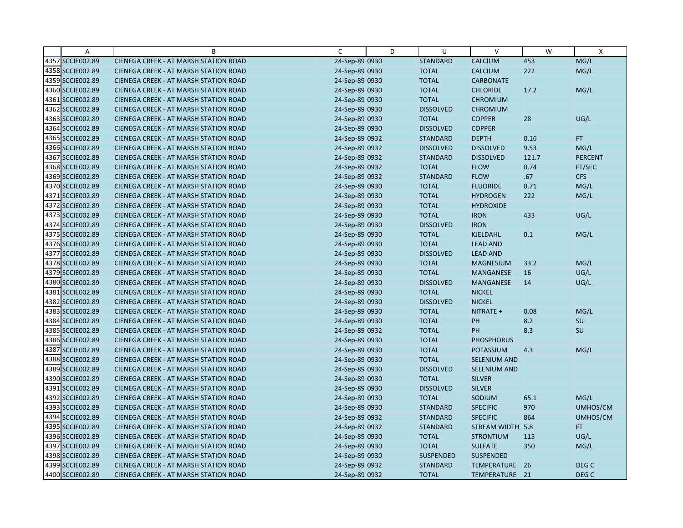| Α                | B                                            | C              | D | U                | $\vee$              | W     | $\boldsymbol{\mathsf{X}}$ |
|------------------|----------------------------------------------|----------------|---|------------------|---------------------|-------|---------------------------|
| 4357 SCCIE002.89 | CIENEGA CREEK - AT MARSH STATION ROAD        | 24-Sep-89 0930 |   | <b>STANDARD</b>  | CALCIUM             | 453   | MG/L                      |
| 4358 SCCIE002.89 | CIENEGA CREEK - AT MARSH STATION ROAD        | 24-Sep-89 0930 |   | <b>TOTAL</b>     | <b>CALCIUM</b>      | 222   | MG/L                      |
| 4359 SCCIE002.89 | <b>CIENEGA CREEK - AT MARSH STATION ROAD</b> | 24-Sep-89 0930 |   | <b>TOTAL</b>     | <b>CARBONATE</b>    |       |                           |
| 4360 SCCIE002.89 | CIENEGA CREEK - AT MARSH STATION ROAD        | 24-Sep-89 0930 |   | <b>TOTAL</b>     | <b>CHLORIDE</b>     | 17.2  | MG/L                      |
| 4361 SCCIE002.89 | <b>CIENEGA CREEK - AT MARSH STATION ROAD</b> | 24-Sep-89 0930 |   | <b>TOTAL</b>     | <b>CHROMIUM</b>     |       |                           |
| 4362 SCCIE002.89 | CIENEGA CREEK - AT MARSH STATION ROAD        | 24-Sep-89 0930 |   | <b>DISSOLVED</b> | <b>CHROMIUM</b>     |       |                           |
| 4363 SCCIE002.89 | <b>CIENEGA CREEK - AT MARSH STATION ROAD</b> | 24-Sep-89 0930 |   | <b>TOTAL</b>     | <b>COPPER</b>       | 28    | UG/L                      |
| 4364 SCCIE002.89 | CIENEGA CREEK - AT MARSH STATION ROAD        | 24-Sep-89 0930 |   | <b>DISSOLVED</b> | <b>COPPER</b>       |       |                           |
| 4365 SCCIE002.89 | <b>CIENEGA CREEK - AT MARSH STATION ROAD</b> | 24-Sep-89 0932 |   | <b>STANDARD</b>  | <b>DEPTH</b>        | 0.16  | FT.                       |
| 4366 SCCIE002.89 | CIENEGA CREEK - AT MARSH STATION ROAD        | 24-Sep-89 0932 |   | <b>DISSOLVED</b> | <b>DISSOLVED</b>    | 9.53  | MG/L                      |
| 4367 SCCIE002.89 | <b>CIENEGA CREEK - AT MARSH STATION ROAD</b> | 24-Sep-89 0932 |   | <b>STANDARD</b>  | <b>DISSOLVED</b>    | 121.7 | <b>PERCENT</b>            |
| 4368 SCCIE002.89 | CIENEGA CREEK - AT MARSH STATION ROAD        | 24-Sep-89 0932 |   | <b>TOTAL</b>     | <b>FLOW</b>         | 0.74  | FT/SEC                    |
| 4369 SCCIE002.89 | <b>CIENEGA CREEK - AT MARSH STATION ROAD</b> | 24-Sep-89 0932 |   | <b>STANDARD</b>  | <b>FLOW</b>         | .67   | <b>CFS</b>                |
| 4370 SCCIE002.89 | CIENEGA CREEK - AT MARSH STATION ROAD        | 24-Sep-89 0930 |   | <b>TOTAL</b>     | <b>FLUORIDE</b>     | 0.71  | MG/L                      |
| 4371 SCCIE002.89 | CIENEGA CREEK - AT MARSH STATION ROAD        | 24-Sep-89 0930 |   | <b>TOTAL</b>     | <b>HYDROGEN</b>     | 222   | MG/L                      |
| 4372 SCCIE002.89 | <b>CIENEGA CREEK - AT MARSH STATION ROAD</b> | 24-Sep-89 0930 |   | <b>TOTAL</b>     | <b>HYDROXIDE</b>    |       |                           |
| 4373 SCCIE002.89 | <b>CIENEGA CREEK - AT MARSH STATION ROAD</b> | 24-Sep-89 0930 |   | <b>TOTAL</b>     | <b>IRON</b>         | 433   | UG/L                      |
| 4374 SCCIE002.89 | CIENEGA CREEK - AT MARSH STATION ROAD        | 24-Sep-89 0930 |   | <b>DISSOLVED</b> | <b>IRON</b>         |       |                           |
| 4375 SCCIE002.89 | <b>CIENEGA CREEK - AT MARSH STATION ROAD</b> | 24-Sep-89 0930 |   | <b>TOTAL</b>     | KJELDAHL            | 0.1   | MG/L                      |
| 4376 SCCIE002.89 | <b>CIENEGA CREEK - AT MARSH STATION ROAD</b> | 24-Sep-89 0930 |   | <b>TOTAL</b>     | <b>LEAD AND</b>     |       |                           |
| 4377 SCCIE002.89 | <b>CIENEGA CREEK - AT MARSH STATION ROAD</b> | 24-Sep-89 0930 |   | <b>DISSOLVED</b> | <b>LEAD AND</b>     |       |                           |
| 4378 SCCIE002.89 | CIENEGA CREEK - AT MARSH STATION ROAD        | 24-Sep-89 0930 |   | <b>TOTAL</b>     | <b>MAGNESIUM</b>    | 33.2  | MG/L                      |
| 4379 SCCIE002.89 | CIENEGA CREEK - AT MARSH STATION ROAD        | 24-Sep-89 0930 |   | <b>TOTAL</b>     | <b>MANGANESE</b>    | 16    | UG/L                      |
| 4380 SCCIE002.89 | <b>CIENEGA CREEK - AT MARSH STATION ROAD</b> | 24-Sep-89 0930 |   | <b>DISSOLVED</b> | <b>MANGANESE</b>    | 14    | UG/L                      |
| 4381 SCCIE002.89 | <b>CIENEGA CREEK - AT MARSH STATION ROAD</b> | 24-Sep-89 0930 |   | <b>TOTAL</b>     | <b>NICKEL</b>       |       |                           |
| 4382 SCCIE002.89 | CIENEGA CREEK - AT MARSH STATION ROAD        | 24-Sep-89 0930 |   | <b>DISSOLVED</b> | <b>NICKEL</b>       |       |                           |
| 4383 SCCIE002.89 | <b>CIENEGA CREEK - AT MARSH STATION ROAD</b> | 24-Sep-89 0930 |   | <b>TOTAL</b>     | NITRATE +           | 0.08  | MG/L                      |
| 4384 SCCIE002.89 | <b>CIENEGA CREEK - AT MARSH STATION ROAD</b> | 24-Sep-89 0930 |   | <b>TOTAL</b>     | PH                  | 8.2   | SU                        |
| 4385 SCCIE002.89 | <b>CIENEGA CREEK - AT MARSH STATION ROAD</b> | 24-Sep-89 0932 |   | <b>TOTAL</b>     | PH                  | 8.3   | SU                        |
| 4386 SCCIE002.89 | CIENEGA CREEK - AT MARSH STATION ROAD        | 24-Sep-89 0930 |   | <b>TOTAL</b>     | <b>PHOSPHORUS</b>   |       |                           |
| 4387 SCCIE002.89 | CIENEGA CREEK - AT MARSH STATION ROAD        | 24-Sep-89 0930 |   | <b>TOTAL</b>     | <b>POTASSIUM</b>    | 4.3   | MG/L                      |
| 4388 SCCIE002.89 | <b>CIENEGA CREEK - AT MARSH STATION ROAD</b> | 24-Sep-89 0930 |   | <b>TOTAL</b>     | <b>SELENIUM AND</b> |       |                           |
| 4389 SCCIE002.89 | <b>CIENEGA CREEK - AT MARSH STATION ROAD</b> | 24-Sep-89 0930 |   | <b>DISSOLVED</b> | <b>SELENIUM AND</b> |       |                           |
| 4390 SCCIE002.89 | CIENEGA CREEK - AT MARSH STATION ROAD        | 24-Sep-89 0930 |   | <b>TOTAL</b>     | <b>SILVER</b>       |       |                           |
| 4391 SCCIE002.89 | CIENEGA CREEK - AT MARSH STATION ROAD        | 24-Sep-89 0930 |   | <b>DISSOLVED</b> | <b>SILVER</b>       |       |                           |
| 4392 SCCIE002.89 | <b>CIENEGA CREEK - AT MARSH STATION ROAD</b> | 24-Sep-89 0930 |   | <b>TOTAL</b>     | SODIUM              | 65.1  | MG/L                      |
| 4393 SCCIE002.89 | CIENEGA CREEK - AT MARSH STATION ROAD        | 24-Sep-89 0930 |   | <b>STANDARD</b>  | <b>SPECIFIC</b>     | 970   | UMHOS/CM                  |
| 4394 SCCIE002.89 | CIENEGA CREEK - AT MARSH STATION ROAD        | 24-Sep-89 0932 |   | <b>STANDARD</b>  | <b>SPECIFIC</b>     | 864   | UMHOS/CM                  |
| 4395 SCCIE002.89 | CIENEGA CREEK - AT MARSH STATION ROAD        | 24-Sep-89 0932 |   | <b>STANDARD</b>  | STREAM WIDTH 5.8    |       | FT.                       |
| 4396 SCCIE002.89 | <b>CIENEGA CREEK - AT MARSH STATION ROAD</b> | 24-Sep-89 0930 |   | <b>TOTAL</b>     | <b>STRONTIUM</b>    | 115   | UG/L                      |
| 4397 SCCIE002.89 | <b>CIENEGA CREEK - AT MARSH STATION ROAD</b> | 24-Sep-89 0930 |   | <b>TOTAL</b>     | <b>SULFATE</b>      | 350   | MG/L                      |
| 4398 SCCIE002.89 | CIENEGA CREEK - AT MARSH STATION ROAD        | 24-Sep-89 0930 |   | <b>SUSPENDED</b> | <b>SUSPENDED</b>    |       |                           |
| 4399 SCCIE002.89 | CIENEGA CREEK - AT MARSH STATION ROAD        | 24-Sep-89 0932 |   | <b>STANDARD</b>  | TEMPERATURE 26      |       | DEG C                     |
| 4400 SCCIE002.89 | CIENEGA CREEK - AT MARSH STATION ROAD        | 24-Sep-89 0932 |   | <b>TOTAL</b>     | TEMPERATURE 21      |       | DEG C                     |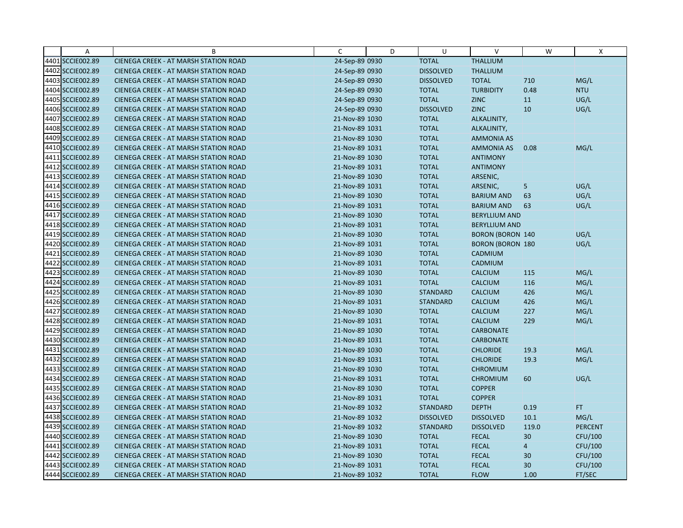| $\overline{A}$   | B                                            | C              | D | U                | $\vee$                  | W              | X              |
|------------------|----------------------------------------------|----------------|---|------------------|-------------------------|----------------|----------------|
| 4401 SCCIE002.89 | CIENEGA CREEK - AT MARSH STATION ROAD        | 24-Sep-89 0930 |   | <b>TOTAL</b>     | <b>THALLIUM</b>         |                |                |
| 4402 SCCIE002.89 | <b>CIENEGA CREEK - AT MARSH STATION ROAD</b> | 24-Sep-89 0930 |   | <b>DISSOLVED</b> | <b>THALLIUM</b>         |                |                |
| 4403 SCCIE002.89 | <b>CIENEGA CREEK - AT MARSH STATION ROAD</b> | 24-Sep-89 0930 |   | <b>DISSOLVED</b> | <b>TOTAL</b>            | 710            | MG/L           |
| 4404 SCCIE002.89 | <b>CIENEGA CREEK - AT MARSH STATION ROAD</b> | 24-Sep-89 0930 |   | <b>TOTAL</b>     | <b>TURBIDITY</b>        | 0.48           | <b>NTU</b>     |
| 4405 SCCIE002.89 | <b>CIENEGA CREEK - AT MARSH STATION ROAD</b> | 24-Sep-89 0930 |   | <b>TOTAL</b>     | <b>ZINC</b>             | 11             | UG/L           |
| 4406 SCCIE002.89 | <b>CIENEGA CREEK - AT MARSH STATION ROAD</b> | 24-Sep-89 0930 |   | <b>DISSOLVED</b> | <b>ZINC</b>             | 10             | UG/L           |
| 4407 SCCIE002.89 | <b>CIENEGA CREEK - AT MARSH STATION ROAD</b> | 21-Nov-89 1030 |   | <b>TOTAL</b>     | ALKALINITY,             |                |                |
| 4408 SCCIE002.89 | <b>CIENEGA CREEK - AT MARSH STATION ROAD</b> | 21-Nov-89 1031 |   | <b>TOTAL</b>     | ALKALINITY,             |                |                |
| 4409 SCCIE002.89 | CIENEGA CREEK - AT MARSH STATION ROAD        | 21-Nov-89 1030 |   | <b>TOTAL</b>     | <b>AMMONIA AS</b>       |                |                |
| 4410 SCCIE002.89 | <b>CIENEGA CREEK - AT MARSH STATION ROAD</b> | 21-Nov-89 1031 |   | <b>TOTAL</b>     | <b>AMMONIA AS</b>       | 0.08           | MG/L           |
| 4411 SCCIE002.89 | CIENEGA CREEK - AT MARSH STATION ROAD        | 21-Nov-89 1030 |   | <b>TOTAL</b>     | <b>ANTIMONY</b>         |                |                |
| 4412 SCCIE002.89 | CIENEGA CREEK - AT MARSH STATION ROAD        | 21-Nov-89 1031 |   | <b>TOTAL</b>     | <b>ANTIMONY</b>         |                |                |
| 4413 SCCIE002.89 | <b>CIENEGA CREEK - AT MARSH STATION ROAD</b> | 21-Nov-89 1030 |   | <b>TOTAL</b>     | ARSENIC,                |                |                |
| 4414 SCCIE002.89 | <b>CIENEGA CREEK - AT MARSH STATION ROAD</b> | 21-Nov-89 1031 |   | <b>TOTAL</b>     | ARSENIC,                | 5              | UG/L           |
| 4415 SCCIE002.89 | <b>CIENEGA CREEK - AT MARSH STATION ROAD</b> | 21-Nov-89 1030 |   | <b>TOTAL</b>     | <b>BARIUM AND</b>       | 63             | UG/L           |
| 4416 SCCIE002.89 | <b>CIENEGA CREEK - AT MARSH STATION ROAD</b> | 21-Nov-89 1031 |   | <b>TOTAL</b>     | <b>BARIUM AND</b>       | 63             | UG/L           |
| 4417 SCCIE002.89 | <b>CIENEGA CREEK - AT MARSH STATION ROAD</b> | 21-Nov-89 1030 |   | <b>TOTAL</b>     | <b>BERYLLIUM AND</b>    |                |                |
| 4418 SCCIE002.89 | <b>CIENEGA CREEK - AT MARSH STATION ROAD</b> | 21-Nov-89 1031 |   | <b>TOTAL</b>     | <b>BERYLLIUM AND</b>    |                |                |
| 4419 SCCIE002.89 | <b>CIENEGA CREEK - AT MARSH STATION ROAD</b> | 21-Nov-89 1030 |   | <b>TOTAL</b>     | <b>BORON (BORON 140</b> |                | UG/L           |
| 4420 SCCIE002.89 | <b>CIENEGA CREEK - AT MARSH STATION ROAD</b> | 21-Nov-89 1031 |   | <b>TOTAL</b>     | <b>BORON (BORON 180</b> |                | UG/L           |
| 4421 SCCIE002.89 | <b>CIENEGA CREEK - AT MARSH STATION ROAD</b> | 21-Nov-89 1030 |   | <b>TOTAL</b>     | <b>CADMIUM</b>          |                |                |
| 4422 SCCIE002.89 | <b>CIENEGA CREEK - AT MARSH STATION ROAD</b> | 21-Nov-89 1031 |   | <b>TOTAL</b>     | CADMIUM                 |                |                |
| 4423 SCCIE002.89 | CIENEGA CREEK - AT MARSH STATION ROAD        | 21-Nov-89 1030 |   | <b>TOTAL</b>     | <b>CALCIUM</b>          | 115            | MG/L           |
| 4424 SCCIE002.89 | <b>CIENEGA CREEK - AT MARSH STATION ROAD</b> | 21-Nov-89 1031 |   | <b>TOTAL</b>     | <b>CALCIUM</b>          | 116            | MG/L           |
| 4425 SCCIE002.89 | CIENEGA CREEK - AT MARSH STATION ROAD        | 21-Nov-89 1030 |   | <b>STANDARD</b>  | <b>CALCIUM</b>          | 426            | MG/L           |
| 4426 SCCIE002.89 | <b>CIENEGA CREEK - AT MARSH STATION ROAD</b> | 21-Nov-89 1031 |   | <b>STANDARD</b>  | <b>CALCIUM</b>          | 426            | MG/L           |
| 4427 SCCIE002.89 | <b>CIENEGA CREEK - AT MARSH STATION ROAD</b> | 21-Nov-89 1030 |   | <b>TOTAL</b>     | <b>CALCIUM</b>          | 227            | MG/L           |
| 4428 SCCIE002.89 | <b>CIENEGA CREEK - AT MARSH STATION ROAD</b> | 21-Nov-89 1031 |   | <b>TOTAL</b>     | <b>CALCIUM</b>          | 229            | MG/L           |
| 4429 SCCIE002.89 | <b>CIENEGA CREEK - AT MARSH STATION ROAD</b> | 21-Nov-89 1030 |   | <b>TOTAL</b>     | <b>CARBONATE</b>        |                |                |
| 4430 SCCIE002.89 | <b>CIENEGA CREEK - AT MARSH STATION ROAD</b> | 21-Nov-89 1031 |   | <b>TOTAL</b>     | <b>CARBONATE</b>        |                |                |
| 4431 SCCIE002.89 | CIENEGA CREEK - AT MARSH STATION ROAD        | 21-Nov-89 1030 |   | <b>TOTAL</b>     | <b>CHLORIDE</b>         | 19.3           | MG/L           |
| 4432 SCCIE002.89 | <b>CIENEGA CREEK - AT MARSH STATION ROAD</b> | 21-Nov-89 1031 |   | <b>TOTAL</b>     | <b>CHLORIDE</b>         | 19.3           | MG/L           |
| 4433 SCCIE002.89 | <b>CIENEGA CREEK - AT MARSH STATION ROAD</b> | 21-Nov-89 1030 |   | <b>TOTAL</b>     | <b>CHROMIUM</b>         |                |                |
| 4434 SCCIE002.89 | <b>CIENEGA CREEK - AT MARSH STATION ROAD</b> | 21-Nov-89 1031 |   | <b>TOTAL</b>     | <b>CHROMIUM</b>         | 60             | UG/L           |
| 4435 SCCIE002.89 | <b>CIENEGA CREEK - AT MARSH STATION ROAD</b> | 21-Nov-89 1030 |   | <b>TOTAL</b>     | <b>COPPER</b>           |                |                |
| 4436 SCCIE002.89 | <b>CIENEGA CREEK - AT MARSH STATION ROAD</b> | 21-Nov-89 1031 |   | <b>TOTAL</b>     | <b>COPPER</b>           |                |                |
| 4437 SCCIE002.89 | <b>CIENEGA CREEK - AT MARSH STATION ROAD</b> | 21-Nov-89 1032 |   | <b>STANDARD</b>  | <b>DEPTH</b>            | 0.19           | FT.            |
| 4438 SCCIE002.89 | CIENEGA CREEK - AT MARSH STATION ROAD        | 21-Nov-89 1032 |   | <b>DISSOLVED</b> | <b>DISSOLVED</b>        | 10.1           | MG/L           |
| 4439 SCCIE002.89 | CIENEGA CREEK - AT MARSH STATION ROAD        | 21-Nov-89 1032 |   | <b>STANDARD</b>  | <b>DISSOLVED</b>        | 119.0          | <b>PERCENT</b> |
| 4440 SCCIE002.89 | <b>CIENEGA CREEK - AT MARSH STATION ROAD</b> | 21-Nov-89 1030 |   | <b>TOTAL</b>     | <b>FECAL</b>            | 30             | CFU/100        |
| 4441 SCCIE002.89 | <b>CIENEGA CREEK - AT MARSH STATION ROAD</b> | 21-Nov-89 1031 |   | <b>TOTAL</b>     | <b>FECAL</b>            | $\overline{4}$ | CFU/100        |
| 4442 SCCIE002.89 | CIENEGA CREEK - AT MARSH STATION ROAD        | 21-Nov-89 1030 |   | <b>TOTAL</b>     | <b>FECAL</b>            | 30             | CFU/100        |
| 4443 SCCIE002.89 | <b>CIENEGA CREEK - AT MARSH STATION ROAD</b> | 21-Nov-89 1031 |   | <b>TOTAL</b>     | <b>FECAL</b>            | 30             | CFU/100        |
| 4444 SCCIE002.89 | CIENEGA CREEK - AT MARSH STATION ROAD        | 21-Nov-89 1032 |   | <b>TOTAL</b>     | <b>FLOW</b>             | 1.00           | FT/SEC         |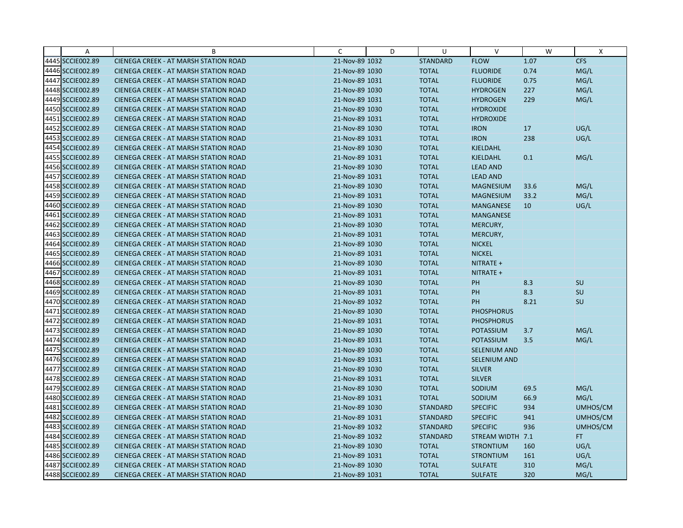| A                | B                                            | C              | D | U               | V                   | W    | X          |
|------------------|----------------------------------------------|----------------|---|-----------------|---------------------|------|------------|
| 4445 SCCIE002.89 | CIENEGA CREEK - AT MARSH STATION ROAD        | 21-Nov-89 1032 |   | <b>STANDARD</b> | <b>FLOW</b>         | 1.07 | <b>CFS</b> |
| 4446 SCCIE002.89 | <b>CIENEGA CREEK - AT MARSH STATION ROAD</b> | 21-Nov-89 1030 |   | <b>TOTAL</b>    | <b>FLUORIDE</b>     | 0.74 | MG/L       |
| 4447 SCCIE002.89 | <b>CIENEGA CREEK - AT MARSH STATION ROAD</b> | 21-Nov-89 1031 |   | <b>TOTAL</b>    | <b>FLUORIDE</b>     | 0.75 | MG/L       |
| 4448 SCCIE002.89 | <b>CIENEGA CREEK - AT MARSH STATION ROAD</b> | 21-Nov-89 1030 |   | <b>TOTAL</b>    | <b>HYDROGEN</b>     | 227  | MG/L       |
| 4449 SCCIE002.89 | <b>CIENEGA CREEK - AT MARSH STATION ROAD</b> | 21-Nov-89 1031 |   | <b>TOTAL</b>    | <b>HYDROGEN</b>     | 229  | MG/L       |
| 4450 SCCIE002.89 | <b>CIENEGA CREEK - AT MARSH STATION ROAD</b> | 21-Nov-89 1030 |   | <b>TOTAL</b>    | <b>HYDROXIDE</b>    |      |            |
| 4451 SCCIE002.89 | <b>CIENEGA CREEK - AT MARSH STATION ROAD</b> | 21-Nov-89 1031 |   | <b>TOTAL</b>    | <b>HYDROXIDE</b>    |      |            |
| 4452 SCCIE002.89 | <b>CIENEGA CREEK - AT MARSH STATION ROAD</b> | 21-Nov-89 1030 |   | <b>TOTAL</b>    | <b>IRON</b>         | 17   | UG/L       |
| 4453 SCCIE002.89 | <b>CIENEGA CREEK - AT MARSH STATION ROAD</b> | 21-Nov-89 1031 |   | <b>TOTAL</b>    | <b>IRON</b>         | 238  | UG/L       |
| 4454 SCCIE002.89 | <b>CIENEGA CREEK - AT MARSH STATION ROAD</b> | 21-Nov-89 1030 |   | <b>TOTAL</b>    | KJELDAHL            |      |            |
| 4455 SCCIE002.89 | <b>CIENEGA CREEK - AT MARSH STATION ROAD</b> | 21-Nov-89 1031 |   | <b>TOTAL</b>    | <b>KJELDAHL</b>     | 0.1  | MG/L       |
| 4456 SCCIE002.89 | <b>CIENEGA CREEK - AT MARSH STATION ROAD</b> | 21-Nov-89 1030 |   | <b>TOTAL</b>    | <b>LEAD AND</b>     |      |            |
| 4457 SCCIE002.89 | <b>CIENEGA CREEK - AT MARSH STATION ROAD</b> | 21-Nov-89 1031 |   | <b>TOTAL</b>    | <b>LEAD AND</b>     |      |            |
| 4458 SCCIE002.89 | <b>CIENEGA CREEK - AT MARSH STATION ROAD</b> | 21-Nov-89 1030 |   | <b>TOTAL</b>    | <b>MAGNESIUM</b>    | 33.6 | MG/L       |
| 4459 SCCIE002.89 | <b>CIENEGA CREEK - AT MARSH STATION ROAD</b> | 21-Nov-89 1031 |   | <b>TOTAL</b>    | <b>MAGNESIUM</b>    | 33.2 | MG/L       |
| 4460 SCCIE002.89 | <b>CIENEGA CREEK - AT MARSH STATION ROAD</b> | 21-Nov-89 1030 |   | <b>TOTAL</b>    | <b>MANGANESE</b>    | 10   | UG/L       |
| 4461 SCCIE002.89 | CIENEGA CREEK - AT MARSH STATION ROAD        | 21-Nov-89 1031 |   | <b>TOTAL</b>    | MANGANESE           |      |            |
| 4462 SCCIE002.89 | <b>CIENEGA CREEK - AT MARSH STATION ROAD</b> | 21-Nov-89 1030 |   | <b>TOTAL</b>    | MERCURY,            |      |            |
| 4463 SCCIE002.89 | <b>CIENEGA CREEK - AT MARSH STATION ROAD</b> | 21-Nov-89 1031 |   | <b>TOTAL</b>    | MERCURY,            |      |            |
| 4464 SCCIE002.89 | <b>CIENEGA CREEK - AT MARSH STATION ROAD</b> | 21-Nov-89 1030 |   | <b>TOTAL</b>    | <b>NICKEL</b>       |      |            |
| 4465 SCCIE002.89 | <b>CIENEGA CREEK - AT MARSH STATION ROAD</b> | 21-Nov-89 1031 |   | <b>TOTAL</b>    | <b>NICKEL</b>       |      |            |
| 4466 SCCIE002.89 | <b>CIENEGA CREEK - AT MARSH STATION ROAD</b> | 21-Nov-89 1030 |   | <b>TOTAL</b>    | NITRATE +           |      |            |
| 4467 SCCIE002.89 | CIENEGA CREEK - AT MARSH STATION ROAD        | 21-Nov-89 1031 |   | <b>TOTAL</b>    | NITRATE +           |      |            |
| 4468 SCCIE002.89 | <b>CIENEGA CREEK - AT MARSH STATION ROAD</b> | 21-Nov-89 1030 |   | <b>TOTAL</b>    | PH                  | 8.3  | SU         |
| 4469 SCCIE002.89 | CIENEGA CREEK - AT MARSH STATION ROAD        | 21-Nov-89 1031 |   | <b>TOTAL</b>    | PH                  | 8.3  | SU         |
| 4470 SCCIE002.89 | <b>CIENEGA CREEK - AT MARSH STATION ROAD</b> | 21-Nov-89 1032 |   | <b>TOTAL</b>    | PH                  | 8.21 | <b>SU</b>  |
| 4471 SCCIE002.89 | <b>CIENEGA CREEK - AT MARSH STATION ROAD</b> | 21-Nov-89 1030 |   | <b>TOTAL</b>    | <b>PHOSPHORUS</b>   |      |            |
| 4472 SCCIE002.89 | <b>CIENEGA CREEK - AT MARSH STATION ROAD</b> | 21-Nov-89 1031 |   | <b>TOTAL</b>    | <b>PHOSPHORUS</b>   |      |            |
| 4473 SCCIE002.89 | <b>CIENEGA CREEK - AT MARSH STATION ROAD</b> | 21-Nov-89 1030 |   | <b>TOTAL</b>    | <b>POTASSIUM</b>    | 3.7  | MG/L       |
| 4474 SCCIE002.89 | <b>CIENEGA CREEK - AT MARSH STATION ROAD</b> | 21-Nov-89 1031 |   | <b>TOTAL</b>    | <b>POTASSIUM</b>    | 3.5  | MG/L       |
| 4475 SCCIE002.89 | CIENEGA CREEK - AT MARSH STATION ROAD        | 21-Nov-89 1030 |   | <b>TOTAL</b>    | SELENIUM AND        |      |            |
| 4476 SCCIE002.89 | <b>CIENEGA CREEK - AT MARSH STATION ROAD</b> | 21-Nov-89 1031 |   | <b>TOTAL</b>    | <b>SELENIUM AND</b> |      |            |
| 4477 SCCIE002.89 | <b>CIENEGA CREEK - AT MARSH STATION ROAD</b> | 21-Nov-89 1030 |   | <b>TOTAL</b>    | <b>SILVER</b>       |      |            |
| 4478 SCCIE002.89 | <b>CIENEGA CREEK - AT MARSH STATION ROAD</b> | 21-Nov-89 1031 |   | <b>TOTAL</b>    | <b>SILVER</b>       |      |            |
| 4479 SCCIE002.89 | <b>CIENEGA CREEK - AT MARSH STATION ROAD</b> | 21-Nov-89 1030 |   | <b>TOTAL</b>    | SODIUM              | 69.5 | MG/L       |
| 4480 SCCIE002.89 | <b>CIENEGA CREEK - AT MARSH STATION ROAD</b> | 21-Nov-89 1031 |   | <b>TOTAL</b>    | SODIUM              | 66.9 | MG/L       |
| 4481 SCCIE002.89 | <b>CIENEGA CREEK - AT MARSH STATION ROAD</b> | 21-Nov-89 1030 |   | <b>STANDARD</b> | <b>SPECIFIC</b>     | 934  | UMHOS/CM   |
| 4482 SCCIE002.89 | <b>CIENEGA CREEK - AT MARSH STATION ROAD</b> | 21-Nov-89 1031 |   | <b>STANDARD</b> | <b>SPECIFIC</b>     | 941  | UMHOS/CM   |
| 4483 SCCIE002.89 | <b>CIENEGA CREEK - AT MARSH STATION ROAD</b> | 21-Nov-89 1032 |   | <b>STANDARD</b> | <b>SPECIFIC</b>     | 936  | UMHOS/CM   |
| 4484 SCCIE002.89 | <b>CIENEGA CREEK - AT MARSH STATION ROAD</b> | 21-Nov-89 1032 |   | <b>STANDARD</b> | STREAM WIDTH 7.1    |      | FT.        |
| 4485 SCCIE002.89 | <b>CIENEGA CREEK - AT MARSH STATION ROAD</b> | 21-Nov-89 1030 |   | <b>TOTAL</b>    | <b>STRONTIUM</b>    | 160  | UG/L       |
| 4486 SCCIE002.89 | <b>CIENEGA CREEK - AT MARSH STATION ROAD</b> | 21-Nov-89 1031 |   | <b>TOTAL</b>    | <b>STRONTIUM</b>    | 161  | UG/L       |
| 4487 SCCIE002.89 | CIENEGA CREEK - AT MARSH STATION ROAD        | 21-Nov-89 1030 |   | <b>TOTAL</b>    | <b>SULFATE</b>      | 310  | MG/L       |
| 4488 SCCIE002.89 | CIENEGA CREEK - AT MARSH STATION ROAD        | 21-Nov-89 1031 |   | <b>TOTAL</b>    | <b>SULFATE</b>      | 320  | MG/L       |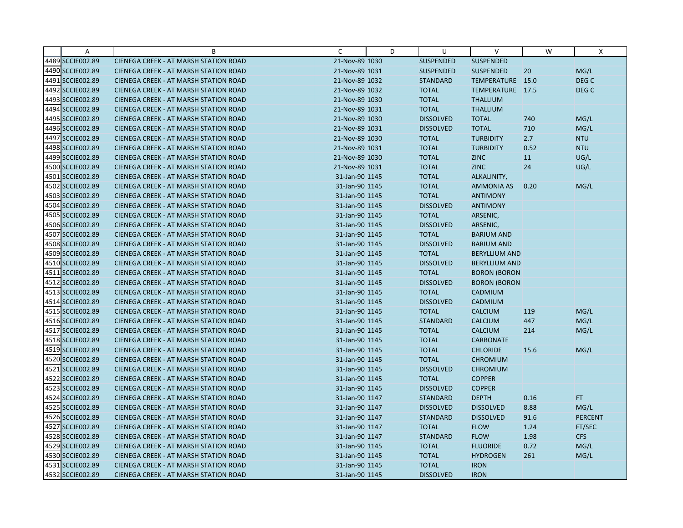| $\overline{A}$   | B                                            | C              | D | U                | V                    | W    | X                |
|------------------|----------------------------------------------|----------------|---|------------------|----------------------|------|------------------|
| 4489 SCCIE002.89 | CIENEGA CREEK - AT MARSH STATION ROAD        | 21-Nov-89 1030 |   | <b>SUSPENDED</b> | SUSPENDED            |      |                  |
| 4490 SCCIE002.89 | <b>CIENEGA CREEK - AT MARSH STATION ROAD</b> | 21-Nov-89 1031 |   | <b>SUSPENDED</b> | <b>SUSPENDED</b>     | 20   | MG/L             |
| 4491 SCCIE002.89 | <b>CIENEGA CREEK - AT MARSH STATION ROAD</b> | 21-Nov-89 1032 |   | <b>STANDARD</b>  | TEMPERATURE 15.0     |      | DEG <sub>C</sub> |
| 4492 SCCIE002.89 | <b>CIENEGA CREEK - AT MARSH STATION ROAD</b> | 21-Nov-89 1032 |   | <b>TOTAL</b>     | TEMPERATURE 17.5     |      | DEG <sub>C</sub> |
| 4493 SCCIE002.89 | CIENEGA CREEK - AT MARSH STATION ROAD        | 21-Nov-89 1030 |   | <b>TOTAL</b>     | <b>THALLIUM</b>      |      |                  |
| 4494 SCCIE002.89 | <b>CIENEGA CREEK - AT MARSH STATION ROAD</b> | 21-Nov-89 1031 |   | <b>TOTAL</b>     | <b>THALLIUM</b>      |      |                  |
| 4495 SCCIE002.89 | <b>CIENEGA CREEK - AT MARSH STATION ROAD</b> | 21-Nov-89 1030 |   | <b>DISSOLVED</b> | <b>TOTAL</b>         | 740  | MG/L             |
| 4496 SCCIE002.89 | <b>CIENEGA CREEK - AT MARSH STATION ROAD</b> | 21-Nov-89 1031 |   | <b>DISSOLVED</b> | <b>TOTAL</b>         | 710  | MG/L             |
| 4497 SCCIE002.89 | CIENEGA CREEK - AT MARSH STATION ROAD        | 21-Nov-89 1030 |   | <b>TOTAL</b>     | <b>TURBIDITY</b>     | 2.7  | <b>NTU</b>       |
| 4498 SCCIE002.89 | <b>CIENEGA CREEK - AT MARSH STATION ROAD</b> | 21-Nov-89 1031 |   | <b>TOTAL</b>     | <b>TURBIDITY</b>     | 0.52 | <b>NTU</b>       |
| 4499 SCCIE002.89 | <b>CIENEGA CREEK - AT MARSH STATION ROAD</b> | 21-Nov-89 1030 |   | <b>TOTAL</b>     | <b>ZINC</b>          | 11   | UG/L             |
| 4500 SCCIE002.89 | CIENEGA CREEK - AT MARSH STATION ROAD        | 21-Nov-89 1031 |   | <b>TOTAL</b>     | <b>ZINC</b>          | 24   | UG/L             |
| 4501 SCCIE002.89 | <b>CIENEGA CREEK - AT MARSH STATION ROAD</b> | 31-Jan-90 1145 |   | <b>TOTAL</b>     | ALKALINITY,          |      |                  |
| 4502 SCCIE002.89 | <b>CIENEGA CREEK - AT MARSH STATION ROAD</b> | 31-Jan-90 1145 |   | <b>TOTAL</b>     | <b>AMMONIA AS</b>    | 0.20 | MG/L             |
| 4503 SCCIE002.89 | <b>CIENEGA CREEK - AT MARSH STATION ROAD</b> | 31-Jan-90 1145 |   | <b>TOTAL</b>     | <b>ANTIMONY</b>      |      |                  |
| 4504 SCCIE002.89 | <b>CIENEGA CREEK - AT MARSH STATION ROAD</b> | 31-Jan-90 1145 |   | <b>DISSOLVED</b> | <b>ANTIMONY</b>      |      |                  |
| 4505 SCCIE002.89 | CIENEGA CREEK - AT MARSH STATION ROAD        | 31-Jan-90 1145 |   | <b>TOTAL</b>     | ARSENIC,             |      |                  |
| 4506 SCCIE002.89 | <b>CIENEGA CREEK - AT MARSH STATION ROAD</b> | 31-Jan-90 1145 |   | <b>DISSOLVED</b> | ARSENIC,             |      |                  |
| 4507 SCCIE002.89 | <b>CIENEGA CREEK - AT MARSH STATION ROAD</b> | 31-Jan-90 1145 |   | <b>TOTAL</b>     | <b>BARIUM AND</b>    |      |                  |
| 4508 SCCIE002.89 | <b>CIENEGA CREEK - AT MARSH STATION ROAD</b> | 31-Jan-90 1145 |   | <b>DISSOLVED</b> | <b>BARIUM AND</b>    |      |                  |
| 4509 SCCIE002.89 | <b>CIENEGA CREEK - AT MARSH STATION ROAD</b> | 31-Jan-90 1145 |   | <b>TOTAL</b>     | <b>BERYLLIUM AND</b> |      |                  |
| 4510 SCCIE002.89 | <b>CIENEGA CREEK - AT MARSH STATION ROAD</b> | 31-Jan-90 1145 |   | <b>DISSOLVED</b> | <b>BERYLLIUM AND</b> |      |                  |
| 4511 SCCIE002.89 | CIENEGA CREEK - AT MARSH STATION ROAD        | 31-Jan-90 1145 |   | <b>TOTAL</b>     | <b>BORON (BORON</b>  |      |                  |
| 4512 SCCIE002.89 | <b>CIENEGA CREEK - AT MARSH STATION ROAD</b> | 31-Jan-90 1145 |   | <b>DISSOLVED</b> | <b>BORON (BORON</b>  |      |                  |
| 4513 SCCIE002.89 | CIENEGA CREEK - AT MARSH STATION ROAD        | 31-Jan-90 1145 |   | <b>TOTAL</b>     | CADMIUM              |      |                  |
| 4514 SCCIE002.89 | <b>CIENEGA CREEK - AT MARSH STATION ROAD</b> | 31-Jan-90 1145 |   | <b>DISSOLVED</b> | CADMIUM              |      |                  |
| 4515 SCCIE002.89 | <b>CIENEGA CREEK - AT MARSH STATION ROAD</b> | 31-Jan-90 1145 |   | <b>TOTAL</b>     | <b>CALCIUM</b>       | 119  | MG/L             |
| 4516 SCCIE002.89 | CIENEGA CREEK - AT MARSH STATION ROAD        | 31-Jan-90 1145 |   | <b>STANDARD</b>  | <b>CALCIUM</b>       | 447  | MG/L             |
| 4517 SCCIE002.89 | <b>CIENEGA CREEK - AT MARSH STATION ROAD</b> | 31-Jan-90 1145 |   | <b>TOTAL</b>     | <b>CALCIUM</b>       | 214  | MG/L             |
| 4518 SCCIE002.89 | <b>CIENEGA CREEK - AT MARSH STATION ROAD</b> | 31-Jan-90 1145 |   | <b>TOTAL</b>     | <b>CARBONATE</b>     |      |                  |
| 4519 SCCIE002.89 | CIENEGA CREEK - AT MARSH STATION ROAD        | 31-Jan-90 1145 |   | <b>TOTAL</b>     | <b>CHLORIDE</b>      | 15.6 | MG/L             |
| 4520 SCCIE002.89 | <b>CIENEGA CREEK - AT MARSH STATION ROAD</b> | 31-Jan-90 1145 |   | <b>TOTAL</b>     | <b>CHROMIUM</b>      |      |                  |
| 4521 SCCIE002.89 | <b>CIENEGA CREEK - AT MARSH STATION ROAD</b> | 31-Jan-90 1145 |   | <b>DISSOLVED</b> | <b>CHROMIUM</b>      |      |                  |
| 4522 SCCIE002.89 | <b>CIENEGA CREEK - AT MARSH STATION ROAD</b> | 31-Jan-90 1145 |   | <b>TOTAL</b>     | <b>COPPER</b>        |      |                  |
| 4523 SCCIE002.89 | <b>CIENEGA CREEK - AT MARSH STATION ROAD</b> | 31-Jan-90 1145 |   | <b>DISSOLVED</b> | <b>COPPER</b>        |      |                  |
| 4524 SCCIE002.89 | <b>CIENEGA CREEK - AT MARSH STATION ROAD</b> | 31-Jan-90 1147 |   | <b>STANDARD</b>  | <b>DEPTH</b>         | 0.16 | FT.              |
| 4525 SCCIE002.89 | <b>CIENEGA CREEK - AT MARSH STATION ROAD</b> | 31-Jan-90 1147 |   | <b>DISSOLVED</b> | <b>DISSOLVED</b>     | 8.88 | MG/L             |
| 4526 SCCIE002.89 | CIENEGA CREEK - AT MARSH STATION ROAD        | 31-Jan-90 1147 |   | <b>STANDARD</b>  | <b>DISSOLVED</b>     | 91.6 | <b>PERCENT</b>   |
| 4527 SCCIE002.89 | CIENEGA CREEK - AT MARSH STATION ROAD        | 31-Jan-90 1147 |   | <b>TOTAL</b>     | <b>FLOW</b>          | 1.24 | FT/SEC           |
| 4528 SCCIE002.89 | <b>CIENEGA CREEK - AT MARSH STATION ROAD</b> | 31-Jan-90 1147 |   | <b>STANDARD</b>  | <b>FLOW</b>          | 1.98 | <b>CFS</b>       |
| 4529 SCCIE002.89 | <b>CIENEGA CREEK - AT MARSH STATION ROAD</b> | 31-Jan-90 1145 |   | <b>TOTAL</b>     | <b>FLUORIDE</b>      | 0.72 | MG/L             |
| 4530 SCCIE002.89 | CIENEGA CREEK - AT MARSH STATION ROAD        | 31-Jan-90 1145 |   | <b>TOTAL</b>     | <b>HYDROGEN</b>      | 261  | MG/L             |
| 4531 SCCIE002.89 | <b>CIENEGA CREEK - AT MARSH STATION ROAD</b> | 31-Jan-90 1145 |   | <b>TOTAL</b>     | <b>IRON</b>          |      |                  |
| 4532 SCCIE002.89 | CIENEGA CREEK - AT MARSH STATION ROAD        | 31-Jan-90 1145 |   | <b>DISSOLVED</b> | <b>IRON</b>          |      |                  |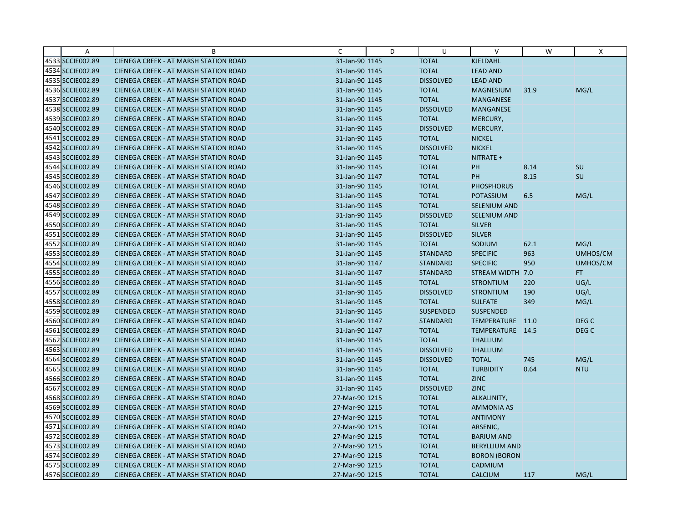| Α                | B                                            | C              | D | U                | $\vee$               | W    | X                |
|------------------|----------------------------------------------|----------------|---|------------------|----------------------|------|------------------|
| 4533 SCCIE002.89 | CIENEGA CREEK - AT MARSH STATION ROAD        | 31-Jan-90 1145 |   | <b>TOTAL</b>     | KJELDAHL             |      |                  |
| 4534 SCCIE002.89 | <b>CIENEGA CREEK - AT MARSH STATION ROAD</b> | 31-Jan-90 1145 |   | <b>TOTAL</b>     | <b>LEAD AND</b>      |      |                  |
| 4535 SCCIE002.89 | <b>CIENEGA CREEK - AT MARSH STATION ROAD</b> | 31-Jan-90 1145 |   | <b>DISSOLVED</b> | <b>LEAD AND</b>      |      |                  |
| 4536 SCCIE002.89 | CIENEGA CREEK - AT MARSH STATION ROAD        | 31-Jan-90 1145 |   | <b>TOTAL</b>     | <b>MAGNESIUM</b>     | 31.9 | MG/L             |
| 4537 SCCIE002.89 | <b>CIENEGA CREEK - AT MARSH STATION ROAD</b> | 31-Jan-90 1145 |   | <b>TOTAL</b>     | <b>MANGANESE</b>     |      |                  |
| 4538 SCCIE002.89 | <b>CIENEGA CREEK - AT MARSH STATION ROAD</b> | 31-Jan-90 1145 |   | <b>DISSOLVED</b> | <b>MANGANESE</b>     |      |                  |
| 4539 SCCIE002.89 | <b>CIENEGA CREEK - AT MARSH STATION ROAD</b> | 31-Jan-90 1145 |   | <b>TOTAL</b>     | MERCURY,             |      |                  |
| 4540 SCCIE002.89 | <b>CIENEGA CREEK - AT MARSH STATION ROAD</b> | 31-Jan-90 1145 |   | <b>DISSOLVED</b> | MERCURY,             |      |                  |
| 4541 SCCIE002.89 | CIENEGA CREEK - AT MARSH STATION ROAD        | 31-Jan-90 1145 |   | <b>TOTAL</b>     | <b>NICKEL</b>        |      |                  |
| 4542 SCCIE002.89 | CIENEGA CREEK - AT MARSH STATION ROAD        | 31-Jan-90 1145 |   | <b>DISSOLVED</b> | <b>NICKEL</b>        |      |                  |
| 4543 SCCIE002.89 | <b>CIENEGA CREEK - AT MARSH STATION ROAD</b> | 31-Jan-90 1145 |   | <b>TOTAL</b>     | NITRATE +            |      |                  |
| 4544 SCCIE002.89 | CIENEGA CREEK - AT MARSH STATION ROAD        | 31-Jan-90 1145 |   | <b>TOTAL</b>     | PH                   | 8.14 | <b>SU</b>        |
| 4545 SCCIE002.89 | <b>CIENEGA CREEK - AT MARSH STATION ROAD</b> | 31-Jan-90 1147 |   | <b>TOTAL</b>     | PH                   | 8.15 | SU               |
| 4546 SCCIE002.89 | <b>CIENEGA CREEK - AT MARSH STATION ROAD</b> | 31-Jan-90 1145 |   | <b>TOTAL</b>     | <b>PHOSPHORUS</b>    |      |                  |
| 4547 SCCIE002.89 | <b>CIENEGA CREEK - AT MARSH STATION ROAD</b> | 31-Jan-90 1145 |   | <b>TOTAL</b>     | <b>POTASSIUM</b>     | 6.5  | MG/L             |
| 4548 SCCIE002.89 | CIENEGA CREEK - AT MARSH STATION ROAD        | 31-Jan-90 1145 |   | <b>TOTAL</b>     | SELENIUM AND         |      |                  |
| 4549 SCCIE002.89 | CIENEGA CREEK - AT MARSH STATION ROAD        | 31-Jan-90 1145 |   | <b>DISSOLVED</b> | SELENIUM AND         |      |                  |
| 4550 SCCIE002.89 | <b>CIENEGA CREEK - AT MARSH STATION ROAD</b> | 31-Jan-90 1145 |   | <b>TOTAL</b>     | <b>SILVER</b>        |      |                  |
| 4551 SCCIE002.89 | <b>CIENEGA CREEK - AT MARSH STATION ROAD</b> | 31-Jan-90 1145 |   | <b>DISSOLVED</b> | <b>SILVER</b>        |      |                  |
| 4552 SCCIE002.89 | <b>CIENEGA CREEK - AT MARSH STATION ROAD</b> | 31-Jan-90 1145 |   | <b>TOTAL</b>     | SODIUM               | 62.1 | MG/L             |
| 4553 SCCIE002.89 | <b>CIENEGA CREEK - AT MARSH STATION ROAD</b> | 31-Jan-90 1145 |   | <b>STANDARD</b>  | <b>SPECIFIC</b>      | 963  | UMHOS/CM         |
| 4554 SCCIE002.89 | <b>CIENEGA CREEK - AT MARSH STATION ROAD</b> | 31-Jan-90 1147 |   | <b>STANDARD</b>  | <b>SPECIFIC</b>      | 950  | UMHOS/CM         |
| 4555 SCCIE002.89 | <b>CIENEGA CREEK - AT MARSH STATION ROAD</b> | 31-Jan-90 1147 |   | <b>STANDARD</b>  | STREAM WIDTH 7.0     |      | FT.              |
| 4556 SCCIE002.89 | <b>CIENEGA CREEK - AT MARSH STATION ROAD</b> | 31-Jan-90 1145 |   | <b>TOTAL</b>     | <b>STRONTIUM</b>     | 220  | UG/L             |
| 4557 SCCIE002.89 | CIENEGA CREEK - AT MARSH STATION ROAD        | 31-Jan-90 1145 |   | <b>DISSOLVED</b> | <b>STRONTIUM</b>     | 190  | UG/L             |
| 4558 SCCIE002.89 | <b>CIENEGA CREEK - AT MARSH STATION ROAD</b> | 31-Jan-90 1145 |   | <b>TOTAL</b>     | <b>SULFATE</b>       | 349  | MG/L             |
| 4559 SCCIE002.89 | <b>CIENEGA CREEK - AT MARSH STATION ROAD</b> | 31-Jan-90 1145 |   | <b>SUSPENDED</b> | <b>SUSPENDED</b>     |      |                  |
| 4560 SCCIE002.89 | CIENEGA CREEK - AT MARSH STATION ROAD        | 31-Jan-90 1147 |   | <b>STANDARD</b>  | TEMPERATURE 11.0     |      | DEG C            |
| 4561 SCCIE002.89 | <b>CIENEGA CREEK - AT MARSH STATION ROAD</b> | 31-Jan-90 1147 |   | <b>TOTAL</b>     | TEMPERATURE 14.5     |      | DEG <sub>C</sub> |
| 4562 SCCIE002.89 | <b>CIENEGA CREEK - AT MARSH STATION ROAD</b> | 31-Jan-90 1145 |   | <b>TOTAL</b>     | <b>THALLIUM</b>      |      |                  |
| 4563 SCCIE002.89 | CIENEGA CREEK - AT MARSH STATION ROAD        | 31-Jan-90 1145 |   | <b>DISSOLVED</b> | <b>THALLIUM</b>      |      |                  |
| 4564 SCCIE002.89 | <b>CIENEGA CREEK - AT MARSH STATION ROAD</b> | 31-Jan-90 1145 |   | <b>DISSOLVED</b> | <b>TOTAL</b>         | 745  | MG/L             |
| 4565 SCCIE002.89 | CIENEGA CREEK - AT MARSH STATION ROAD        | 31-Jan-90 1145 |   | <b>TOTAL</b>     | <b>TURBIDITY</b>     | 0.64 | <b>NTU</b>       |
| 4566 SCCIE002.89 | <b>CIENEGA CREEK - AT MARSH STATION ROAD</b> | 31-Jan-90 1145 |   | <b>TOTAL</b>     | <b>ZINC</b>          |      |                  |
| 4567 SCCIE002.89 | <b>CIENEGA CREEK - AT MARSH STATION ROAD</b> | 31-Jan-90 1145 |   | <b>DISSOLVED</b> | <b>ZINC</b>          |      |                  |
| 4568 SCCIE002.89 | <b>CIENEGA CREEK - AT MARSH STATION ROAD</b> | 27-Mar-90 1215 |   | <b>TOTAL</b>     | ALKALINITY,          |      |                  |
| 4569 SCCIE002.89 | <b>CIENEGA CREEK - AT MARSH STATION ROAD</b> | 27-Mar-90 1215 |   | <b>TOTAL</b>     | <b>AMMONIA AS</b>    |      |                  |
| 4570 SCCIE002.89 | CIENEGA CREEK - AT MARSH STATION ROAD        | 27-Mar-90 1215 |   | <b>TOTAL</b>     | <b>ANTIMONY</b>      |      |                  |
| 4571 SCCIE002.89 | CIENEGA CREEK - AT MARSH STATION ROAD        | 27-Mar-90 1215 |   | <b>TOTAL</b>     | ARSENIC,             |      |                  |
| 4572 SCCIE002.89 | <b>CIENEGA CREEK - AT MARSH STATION ROAD</b> | 27-Mar-90 1215 |   | <b>TOTAL</b>     | <b>BARIUM AND</b>    |      |                  |
| 4573 SCCIE002.89 | <b>CIENEGA CREEK - AT MARSH STATION ROAD</b> | 27-Mar-90 1215 |   | <b>TOTAL</b>     | <b>BERYLLIUM AND</b> |      |                  |
| 4574 SCCIE002.89 | CIENEGA CREEK - AT MARSH STATION ROAD        | 27-Mar-90 1215 |   | <b>TOTAL</b>     | <b>BORON (BORON</b>  |      |                  |
| 4575 SCCIE002.89 | CIENEGA CREEK - AT MARSH STATION ROAD        | 27-Mar-90 1215 |   | <b>TOTAL</b>     | CADMIUM              |      |                  |
| 4576 SCCIE002.89 | CIENEGA CREEK - AT MARSH STATION ROAD        | 27-Mar-90 1215 |   | <b>TOTAL</b>     | <b>CALCIUM</b>       | 117  | MG/L             |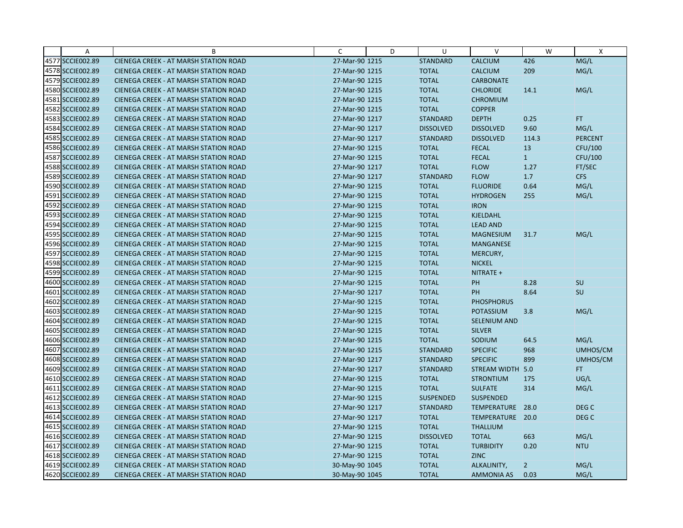| Α                | B                                            | C              | D | U                | $\vee$            | W              | Χ                |
|------------------|----------------------------------------------|----------------|---|------------------|-------------------|----------------|------------------|
| 4577 SCCIE002.89 | CIENEGA CREEK - AT MARSH STATION ROAD        | 27-Mar-90 1215 |   | <b>STANDARD</b>  | <b>CALCIUM</b>    | 426            | MG/L             |
| 4578 SCCIE002.89 | <b>CIENEGA CREEK - AT MARSH STATION ROAD</b> | 27-Mar-90 1215 |   | <b>TOTAL</b>     | CALCIUM           | 209            | MG/L             |
| 4579 SCCIE002.89 | <b>CIENEGA CREEK - AT MARSH STATION ROAD</b> | 27-Mar-90 1215 |   | <b>TOTAL</b>     | <b>CARBONATE</b>  |                |                  |
| 4580 SCCIE002.89 | <b>CIENEGA CREEK - AT MARSH STATION ROAD</b> | 27-Mar-90 1215 |   | <b>TOTAL</b>     | <b>CHLORIDE</b>   | 14.1           | MG/L             |
| 4581 SCCIE002.89 | <b>CIENEGA CREEK - AT MARSH STATION ROAD</b> | 27-Mar-90 1215 |   | <b>TOTAL</b>     | <b>CHROMIUM</b>   |                |                  |
| 4582 SCCIE002.89 | <b>CIENEGA CREEK - AT MARSH STATION ROAD</b> | 27-Mar-90 1215 |   | <b>TOTAL</b>     | <b>COPPER</b>     |                |                  |
| 4583 SCCIE002.89 | <b>CIENEGA CREEK - AT MARSH STATION ROAD</b> | 27-Mar-90 1217 |   | <b>STANDARD</b>  | <b>DEPTH</b>      | 0.25           | <b>FT</b>        |
| 4584 SCCIE002.89 | <b>CIENEGA CREEK - AT MARSH STATION ROAD</b> | 27-Mar-90 1217 |   | <b>DISSOLVED</b> | <b>DISSOLVED</b>  | 9.60           | MG/L             |
| 4585 SCCIE002.89 | CIENEGA CREEK - AT MARSH STATION ROAD        | 27-Mar-90 1217 |   | <b>STANDARD</b>  | <b>DISSOLVED</b>  | 114.3          | <b>PERCENT</b>   |
| 4586 SCCIE002.89 | <b>CIENEGA CREEK - AT MARSH STATION ROAD</b> | 27-Mar-90 1215 |   | <b>TOTAL</b>     | <b>FECAL</b>      | 13             | CFU/100          |
| 4587 SCCIE002.89 | <b>CIENEGA CREEK - AT MARSH STATION ROAD</b> | 27-Mar-90 1215 |   | <b>TOTAL</b>     | <b>FECAL</b>      | $\vert$ 1      | CFU/100          |
| 4588 SCCIE002.89 | CIENEGA CREEK - AT MARSH STATION ROAD        | 27-Mar-90 1217 |   | <b>TOTAL</b>     | <b>FLOW</b>       | 1.27           | FT/SEC           |
| 4589 SCCIE002.89 | <b>CIENEGA CREEK - AT MARSH STATION ROAD</b> | 27-Mar-90 1217 |   | <b>STANDARD</b>  | <b>FLOW</b>       | 1.7            | <b>CFS</b>       |
| 4590 SCCIE002.89 | <b>CIENEGA CREEK - AT MARSH STATION ROAD</b> | 27-Mar-90 1215 |   | <b>TOTAL</b>     | <b>FLUORIDE</b>   | 0.64           | MG/L             |
| 4591 SCCIE002.89 | <b>CIENEGA CREEK - AT MARSH STATION ROAD</b> | 27-Mar-90 1215 |   | <b>TOTAL</b>     | <b>HYDROGEN</b>   | 255            | MG/L             |
| 4592 SCCIE002.89 | <b>CIENEGA CREEK - AT MARSH STATION ROAD</b> | 27-Mar-90 1215 |   | <b>TOTAL</b>     | <b>IRON</b>       |                |                  |
| 4593 SCCIE002.89 | CIENEGA CREEK - AT MARSH STATION ROAD        | 27-Mar-90 1215 |   | <b>TOTAL</b>     | <b>KJELDAHL</b>   |                |                  |
| 4594 SCCIE002.89 | <b>CIENEGA CREEK - AT MARSH STATION ROAD</b> | 27-Mar-90 1215 |   | <b>TOTAL</b>     | <b>LEAD AND</b>   |                |                  |
| 4595 SCCIE002.89 | <b>CIENEGA CREEK - AT MARSH STATION ROAD</b> | 27-Mar-90 1215 |   | <b>TOTAL</b>     | <b>MAGNESIUM</b>  | 31.7           | MG/L             |
| 4596 SCCIE002.89 | <b>CIENEGA CREEK - AT MARSH STATION ROAD</b> | 27-Mar-90 1215 |   | <b>TOTAL</b>     | MANGANESE         |                |                  |
| 4597 SCCIE002.89 | <b>CIENEGA CREEK - AT MARSH STATION ROAD</b> | 27-Mar-90 1215 |   | <b>TOTAL</b>     | MERCURY,          |                |                  |
| 4598 SCCIE002.89 | <b>CIENEGA CREEK - AT MARSH STATION ROAD</b> | 27-Mar-90 1215 |   | <b>TOTAL</b>     | <b>NICKEL</b>     |                |                  |
| 4599 SCCIE002.89 | CIENEGA CREEK - AT MARSH STATION ROAD        | 27-Mar-90 1215 |   | <b>TOTAL</b>     | NITRATE +         |                |                  |
| 4600 SCCIE002.89 | <b>CIENEGA CREEK - AT MARSH STATION ROAD</b> | 27-Mar-90 1215 |   | <b>TOTAL</b>     | PH                | 8.28           | SU               |
| 4601 SCCIE002.89 | CIENEGA CREEK - AT MARSH STATION ROAD        | 27-Mar-90 1217 |   | <b>TOTAL</b>     | PH                | 8.64           | SU               |
| 4602 SCCIE002.89 | <b>CIENEGA CREEK - AT MARSH STATION ROAD</b> | 27-Mar-90 1215 |   | <b>TOTAL</b>     | <b>PHOSPHORUS</b> |                |                  |
| 4603 SCCIE002.89 | CIENEGA CREEK - AT MARSH STATION ROAD        | 27-Mar-90 1215 |   | <b>TOTAL</b>     | <b>POTASSIUM</b>  | 3.8            | MG/L             |
| 4604 SCCIE002.89 | CIENEGA CREEK - AT MARSH STATION ROAD        | 27-Mar-90 1215 |   | <b>TOTAL</b>     | SELENIUM AND      |                |                  |
| 4605 SCCIE002.89 | <b>CIENEGA CREEK - AT MARSH STATION ROAD</b> | 27-Mar-90 1215 |   | <b>TOTAL</b>     | <b>SILVER</b>     |                |                  |
| 4606 SCCIE002.89 | <b>CIENEGA CREEK - AT MARSH STATION ROAD</b> | 27-Mar-90 1215 |   | <b>TOTAL</b>     | SODIUM            | 64.5           | MG/L             |
| 4607 SCCIE002.89 | CIENEGA CREEK - AT MARSH STATION ROAD        | 27-Mar-90 1215 |   | <b>STANDARD</b>  | <b>SPECIFIC</b>   | 968            | UMHOS/CM         |
| 4608 SCCIE002.89 | <b>CIENEGA CREEK - AT MARSH STATION ROAD</b> | 27-Mar-90 1217 |   | <b>STANDARD</b>  | <b>SPECIFIC</b>   | 899            | UMHOS/CM         |
| 4609 SCCIE002.89 | <b>CIENEGA CREEK - AT MARSH STATION ROAD</b> | 27-Mar-90 1217 |   | <b>STANDARD</b>  | STREAM WIDTH 5.0  |                | FT.              |
| 4610 SCCIE002.89 | <b>CIENEGA CREEK - AT MARSH STATION ROAD</b> | 27-Mar-90 1215 |   | <b>TOTAL</b>     | <b>STRONTIUM</b>  | 175            | UG/L             |
| 4611 SCCIE002.89 | <b>CIENEGA CREEK - AT MARSH STATION ROAD</b> | 27-Mar-90 1215 |   | <b>TOTAL</b>     | <b>SULFATE</b>    | 314            | MG/L             |
| 4612 SCCIE002.89 | <b>CIENEGA CREEK - AT MARSH STATION ROAD</b> | 27-Mar-90 1215 |   | <b>SUSPENDED</b> | <b>SUSPENDED</b>  |                |                  |
| 4613 SCCIE002.89 | <b>CIENEGA CREEK - AT MARSH STATION ROAD</b> | 27-Mar-90 1217 |   | <b>STANDARD</b>  | TEMPERATURE 28.0  |                | DEG C            |
| 4614 SCCIE002.89 | CIENEGA CREEK - AT MARSH STATION ROAD        | 27-Mar-90 1217 |   | <b>TOTAL</b>     | TEMPERATURE       | 20.0           | DEG <sub>C</sub> |
| 4615 SCCIE002.89 | CIENEGA CREEK - AT MARSH STATION ROAD        | 27-Mar-90 1215 |   | <b>TOTAL</b>     | <b>THALLIUM</b>   |                |                  |
| 4616 SCCIE002.89 | <b>CIENEGA CREEK - AT MARSH STATION ROAD</b> | 27-Mar-90 1215 |   | <b>DISSOLVED</b> | <b>TOTAL</b>      | 663            | MG/L             |
| 4617 SCCIE002.89 | <b>CIENEGA CREEK - AT MARSH STATION ROAD</b> | 27-Mar-90 1215 |   | <b>TOTAL</b>     | <b>TURBIDITY</b>  | 0.20           | <b>NTU</b>       |
| 4618 SCCIE002.89 | <b>CIENEGA CREEK - AT MARSH STATION ROAD</b> | 27-Mar-90 1215 |   | <b>TOTAL</b>     | <b>ZINC</b>       |                |                  |
| 4619 SCCIE002.89 | CIENEGA CREEK - AT MARSH STATION ROAD        | 30-May-90 1045 |   | <b>TOTAL</b>     | ALKALINITY,       | $\overline{2}$ | MG/L             |
| 4620 SCCIE002.89 | CIENEGA CREEK - AT MARSH STATION ROAD        | 30-May-90 1045 |   | <b>TOTAL</b>     | AMMONIA AS        | 0.03           | MG/L             |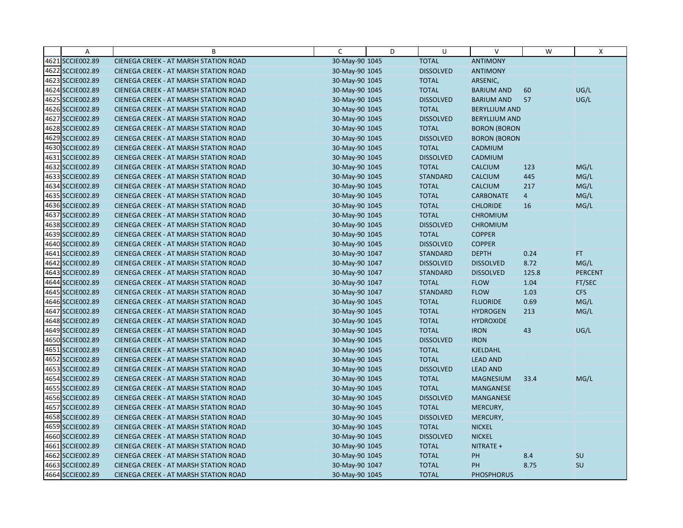| Α                | B                                            | C              | D | U                | $\vee$               | W              | Χ              |
|------------------|----------------------------------------------|----------------|---|------------------|----------------------|----------------|----------------|
| 4621 SCCIE002.89 | CIENEGA CREEK - AT MARSH STATION ROAD        | 30-May-90 1045 |   | <b>TOTAL</b>     | <b>ANTIMONY</b>      |                |                |
| 4622 SCCIE002.89 | CIENEGA CREEK - AT MARSH STATION ROAD        | 30-May-90 1045 |   | <b>DISSOLVED</b> | <b>ANTIMONY</b>      |                |                |
| 4623 SCCIE002.89 | <b>CIENEGA CREEK - AT MARSH STATION ROAD</b> | 30-May-90 1045 |   | <b>TOTAL</b>     | ARSENIC,             |                |                |
| 4624 SCCIE002.89 | <b>CIENEGA CREEK - AT MARSH STATION ROAD</b> | 30-May-90 1045 |   | <b>TOTAL</b>     | <b>BARIUM AND</b>    | 60             | UG/L           |
| 4625 SCCIE002.89 | CIENEGA CREEK - AT MARSH STATION ROAD        | 30-May-90 1045 |   | <b>DISSOLVED</b> | <b>BARIUM AND</b>    | 57             | UG/L           |
| 4626 SCCIE002.89 | CIENEGA CREEK - AT MARSH STATION ROAD        | 30-May-90 1045 |   | <b>TOTAL</b>     | <b>BERYLLIUM AND</b> |                |                |
| 4627 SCCIE002.89 | <b>CIENEGA CREEK - AT MARSH STATION ROAD</b> | 30-May-90 1045 |   | <b>DISSOLVED</b> | <b>BERYLLIUM AND</b> |                |                |
| 4628 SCCIE002.89 | <b>CIENEGA CREEK - AT MARSH STATION ROAD</b> | 30-May-90 1045 |   | <b>TOTAL</b>     | <b>BORON (BORON</b>  |                |                |
| 4629 SCCIE002.89 | CIENEGA CREEK - AT MARSH STATION ROAD        | 30-May-90 1045 |   | <b>DISSOLVED</b> | <b>BORON (BORON</b>  |                |                |
| 4630 SCCIE002.89 | CIENEGA CREEK - AT MARSH STATION ROAD        | 30-May-90 1045 |   | <b>TOTAL</b>     | <b>CADMIUM</b>       |                |                |
| 4631 SCCIE002.89 | <b>CIENEGA CREEK - AT MARSH STATION ROAD</b> | 30-May-90 1045 |   | <b>DISSOLVED</b> | CADMIUM              |                |                |
| 4632 SCCIE002.89 | CIENEGA CREEK - AT MARSH STATION ROAD        | 30-May-90 1045 |   | <b>TOTAL</b>     | <b>CALCIUM</b>       | 123            | MG/L           |
| 4633 SCCIE002.89 | CIENEGA CREEK - AT MARSH STATION ROAD        | 30-May-90 1045 |   | <b>STANDARD</b>  | <b>CALCIUM</b>       | 445            | MG/L           |
| 4634 SCCIE002.89 | CIENEGA CREEK - AT MARSH STATION ROAD        | 30-May-90 1045 |   | <b>TOTAL</b>     | <b>CALCIUM</b>       | 217            | MG/L           |
| 4635 SCCIE002.89 | <b>CIENEGA CREEK - AT MARSH STATION ROAD</b> | 30-May-90 1045 |   | <b>TOTAL</b>     | <b>CARBONATE</b>     | $\overline{4}$ | MG/L           |
| 4636 SCCIE002.89 | CIENEGA CREEK - AT MARSH STATION ROAD        | 30-May-90 1045 |   | <b>TOTAL</b>     | <b>CHLORIDE</b>      | 16             | MG/L           |
| 4637 SCCIE002.89 | CIENEGA CREEK - AT MARSH STATION ROAD        | 30-May-90 1045 |   | <b>TOTAL</b>     | <b>CHROMIUM</b>      |                |                |
| 4638 SCCIE002.89 | CIENEGA CREEK - AT MARSH STATION ROAD        | 30-May-90 1045 |   | <b>DISSOLVED</b> | <b>CHROMIUM</b>      |                |                |
| 4639 SCCIE002.89 | <b>CIENEGA CREEK - AT MARSH STATION ROAD</b> | 30-May-90 1045 |   | <b>TOTAL</b>     | <b>COPPER</b>        |                |                |
| 4640 SCCIE002.89 | CIENEGA CREEK - AT MARSH STATION ROAD        | 30-May-90 1045 |   | <b>DISSOLVED</b> | <b>COPPER</b>        |                |                |
| 4641 SCCIE002.89 | <b>CIENEGA CREEK - AT MARSH STATION ROAD</b> | 30-May-90 1047 |   | <b>STANDARD</b>  | <b>DEPTH</b>         | 0.24           | FT.            |
| 4642 SCCIE002.89 | CIENEGA CREEK - AT MARSH STATION ROAD        | 30-May-90 1047 |   | <b>DISSOLVED</b> | <b>DISSOLVED</b>     | 8.72           | MG/L           |
| 4643 SCCIE002.89 | CIENEGA CREEK - AT MARSH STATION ROAD        | 30-May-90 1047 |   | <b>STANDARD</b>  | <b>DISSOLVED</b>     | 125.8          | <b>PERCENT</b> |
| 4644 SCCIE002.89 | <b>CIENEGA CREEK - AT MARSH STATION ROAD</b> | 30-May-90 1047 |   | <b>TOTAL</b>     | <b>FLOW</b>          | 1.04           | FT/SEC         |
| 4645 SCCIE002.89 | CIENEGA CREEK - AT MARSH STATION ROAD        | 30-May-90 1047 |   | <b>STANDARD</b>  | <b>FLOW</b>          | 1.03           | <b>CFS</b>     |
| 4646 SCCIE002.89 | CIENEGA CREEK - AT MARSH STATION ROAD        | 30-May-90 1045 |   | <b>TOTAL</b>     | <b>FLUORIDE</b>      | 0.69           | MG/L           |
| 4647 SCCIE002.89 | CIENEGA CREEK - AT MARSH STATION ROAD        | 30-May-90 1045 |   | <b>TOTAL</b>     | <b>HYDROGEN</b>      | 213            | MG/L           |
| 4648 SCCIE002.89 | CIENEGA CREEK - AT MARSH STATION ROAD        | 30-May-90 1045 |   | <b>TOTAL</b>     | <b>HYDROXIDE</b>     |                |                |
| 4649 SCCIE002.89 | CIENEGA CREEK - AT MARSH STATION ROAD        | 30-May-90 1045 |   | <b>TOTAL</b>     | <b>IRON</b>          | 43             | UG/L           |
| 4650 SCCIE002.89 | <b>CIENEGA CREEK - AT MARSH STATION ROAD</b> | 30-May-90 1045 |   | <b>DISSOLVED</b> | <b>IRON</b>          |                |                |
| 4651 SCCIE002.89 | CIENEGA CREEK - AT MARSH STATION ROAD        | 30-May-90 1045 |   | <b>TOTAL</b>     | KJELDAHL             |                |                |
| 4652 SCCIE002.89 | CIENEGA CREEK - AT MARSH STATION ROAD        | 30-May-90 1045 |   | <b>TOTAL</b>     | <b>LEAD AND</b>      |                |                |
| 4653 SCCIE002.89 | CIENEGA CREEK - AT MARSH STATION ROAD        | 30-May-90 1045 |   | <b>DISSOLVED</b> | <b>LEAD AND</b>      |                |                |
| 4654 SCCIE002.89 | CIENEGA CREEK - AT MARSH STATION ROAD        | 30-May-90 1045 |   | <b>TOTAL</b>     | <b>MAGNESIUM</b>     | 33.4           | MG/L           |
| 4655 SCCIE002.89 | CIENEGA CREEK - AT MARSH STATION ROAD        | 30-May-90 1045 |   | <b>TOTAL</b>     | <b>MANGANESE</b>     |                |                |
| 4656 SCCIE002.89 | <b>CIENEGA CREEK - AT MARSH STATION ROAD</b> | 30-May-90 1045 |   | <b>DISSOLVED</b> | <b>MANGANESE</b>     |                |                |
| 4657 SCCIE002.89 | <b>CIENEGA CREEK - AT MARSH STATION ROAD</b> | 30-May-90 1045 |   | <b>TOTAL</b>     | MERCURY,             |                |                |
| 4658 SCCIE002.89 | CIENEGA CREEK - AT MARSH STATION ROAD        | 30-May-90 1045 |   | <b>DISSOLVED</b> | MERCURY,             |                |                |
| 4659 SCCIE002.89 | CIENEGA CREEK - AT MARSH STATION ROAD        | 30-May-90 1045 |   | <b>TOTAL</b>     | <b>NICKEL</b>        |                |                |
| 4660 SCCIE002.89 | <b>CIENEGA CREEK - AT MARSH STATION ROAD</b> | 30-May-90 1045 |   | <b>DISSOLVED</b> | <b>NICKEL</b>        |                |                |
| 4661 SCCIE002.89 | <b>CIENEGA CREEK - AT MARSH STATION ROAD</b> | 30-May-90 1045 |   | <b>TOTAL</b>     | NITRATE +            |                |                |
| 4662 SCCIE002.89 | CIENEGA CREEK - AT MARSH STATION ROAD        | 30-May-90 1045 |   | <b>TOTAL</b>     | PH                   | 8.4            | <b>SU</b>      |
| 4663 SCCIE002.89 | CIENEGA CREEK - AT MARSH STATION ROAD        | 30-May-90 1047 |   | <b>TOTAL</b>     | PH                   | 8.75           | SU             |
| 4664 SCCIE002.89 | CIENEGA CREEK - AT MARSH STATION ROAD        | 30-May-90 1045 |   | <b>TOTAL</b>     | <b>PHOSPHORUS</b>    |                |                |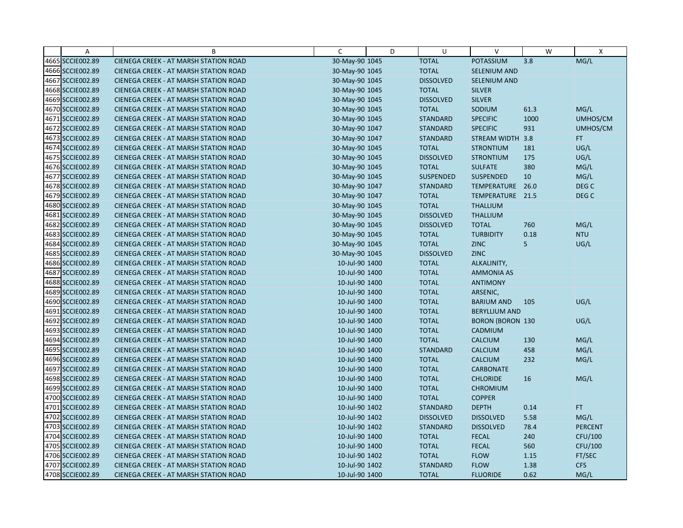| $\overline{A}$   | B                                            | C              | D | U                | $\vee$                  | W    | X                |
|------------------|----------------------------------------------|----------------|---|------------------|-------------------------|------|------------------|
| 4665 SCCIE002.89 | CIENEGA CREEK - AT MARSH STATION ROAD        | 30-May-90 1045 |   | <b>TOTAL</b>     | POTASSIUM               | 3.8  | MG/L             |
| 4666 SCCIE002.89 | CIENEGA CREEK - AT MARSH STATION ROAD        | 30-May-90 1045 |   | <b>TOTAL</b>     | SELENIUM AND            |      |                  |
| 4667 SCCIE002.89 | <b>CIENEGA CREEK - AT MARSH STATION ROAD</b> | 30-May-90 1045 |   | <b>DISSOLVED</b> | <b>SELENIUM AND</b>     |      |                  |
| 4668 SCCIE002.89 | <b>CIENEGA CREEK - AT MARSH STATION ROAD</b> | 30-May-90 1045 |   | <b>TOTAL</b>     | <b>SILVER</b>           |      |                  |
| 4669 SCCIE002.89 | CIENEGA CREEK - AT MARSH STATION ROAD        | 30-May-90 1045 |   | <b>DISSOLVED</b> | <b>SILVER</b>           |      |                  |
| 4670 SCCIE002.89 | <b>CIENEGA CREEK - AT MARSH STATION ROAD</b> | 30-May-90 1045 |   | <b>TOTAL</b>     | SODIUM                  | 61.3 | MG/L             |
| 4671 SCCIE002.89 | <b>CIENEGA CREEK - AT MARSH STATION ROAD</b> | 30-May-90 1045 |   | <b>STANDARD</b>  | <b>SPECIFIC</b>         | 1000 | UMHOS/CM         |
| 4672 SCCIE002.89 | <b>CIENEGA CREEK - AT MARSH STATION ROAD</b> | 30-May-90 1047 |   | <b>STANDARD</b>  | <b>SPECIFIC</b>         | 931  | UMHOS/CM         |
| 4673 SCCIE002.89 | CIENEGA CREEK - AT MARSH STATION ROAD        | 30-May-90 1047 |   | <b>STANDARD</b>  | STREAM WIDTH 3.8        |      | FT.              |
| 4674 SCCIE002.89 | CIENEGA CREEK - AT MARSH STATION ROAD        | 30-May-90 1045 |   | <b>TOTAL</b>     | <b>STRONTIUM</b>        | 181  | UG/L             |
| 4675 SCCIE002.89 | <b>CIENEGA CREEK - AT MARSH STATION ROAD</b> | 30-May-90 1045 |   | <b>DISSOLVED</b> | <b>STRONTIUM</b>        | 175  | UG/L             |
| 4676 SCCIE002.89 | CIENEGA CREEK - AT MARSH STATION ROAD        | 30-May-90 1045 |   | <b>TOTAL</b>     | <b>SULFATE</b>          | 380  | MG/L             |
| 4677 SCCIE002.89 | <b>CIENEGA CREEK - AT MARSH STATION ROAD</b> | 30-May-90 1045 |   | <b>SUSPENDED</b> | <b>SUSPENDED</b>        | 10   | MG/L             |
| 4678 SCCIE002.89 | <b>CIENEGA CREEK - AT MARSH STATION ROAD</b> | 30-May-90 1047 |   | <b>STANDARD</b>  | TEMPERATURE 26.0        |      | DEG C            |
| 4679 SCCIE002.89 | <b>CIENEGA CREEK - AT MARSH STATION ROAD</b> | 30-May-90 1047 |   | <b>TOTAL</b>     | TEMPERATURE 21.5        |      | DEG <sub>C</sub> |
| 4680 SCCIE002.89 | CIENEGA CREEK - AT MARSH STATION ROAD        | 30-May-90 1045 |   | <b>TOTAL</b>     | <b>THALLIUM</b>         |      |                  |
| 4681 SCCIE002.89 | CIENEGA CREEK - AT MARSH STATION ROAD        | 30-May-90 1045 |   | <b>DISSOLVED</b> | <b>THALLIUM</b>         |      |                  |
| 4682 SCCIE002.89 | CIENEGA CREEK - AT MARSH STATION ROAD        | 30-May-90 1045 |   | <b>DISSOLVED</b> | <b>TOTAL</b>            | 760  | MG/L             |
| 4683 SCCIE002.89 | <b>CIENEGA CREEK - AT MARSH STATION ROAD</b> | 30-May-90 1045 |   | <b>TOTAL</b>     | <b>TURBIDITY</b>        | 0.18 | <b>NTU</b>       |
| 4684 SCCIE002.89 | <b>CIENEGA CREEK - AT MARSH STATION ROAD</b> | 30-May-90 1045 |   | <b>TOTAL</b>     | <b>ZINC</b>             | 5    | UG/L             |
| 4685 SCCIE002.89 | <b>CIENEGA CREEK - AT MARSH STATION ROAD</b> | 30-May-90 1045 |   | <b>DISSOLVED</b> | <b>ZINC</b>             |      |                  |
| 4686 SCCIE002.89 | <b>CIENEGA CREEK - AT MARSH STATION ROAD</b> | 10-Jul-90 1400 |   | <b>TOTAL</b>     | ALKALINITY,             |      |                  |
| 4687 SCCIE002.89 | CIENEGA CREEK - AT MARSH STATION ROAD        | 10-Jul-90 1400 |   | <b>TOTAL</b>     | <b>AMMONIA AS</b>       |      |                  |
| 4688 SCCIE002.89 | <b>CIENEGA CREEK - AT MARSH STATION ROAD</b> | 10-Jul-90 1400 |   | <b>TOTAL</b>     | <b>ANTIMONY</b>         |      |                  |
| 4689 SCCIE002.89 | CIENEGA CREEK - AT MARSH STATION ROAD        | 10-Jul-90 1400 |   | <b>TOTAL</b>     | ARSENIC,                |      |                  |
| 4690 SCCIE002.89 | <b>CIENEGA CREEK - AT MARSH STATION ROAD</b> | 10-Jul-90 1400 |   | <b>TOTAL</b>     | <b>BARIUM AND</b>       | 105  | UG/L             |
| 4691 SCCIE002.89 | CIENEGA CREEK - AT MARSH STATION ROAD        | 10-Jul-90 1400 |   | <b>TOTAL</b>     | <b>BERYLLIUM AND</b>    |      |                  |
| 4692 SCCIE002.89 | CIENEGA CREEK - AT MARSH STATION ROAD        | 10-Jul-90 1400 |   | <b>TOTAL</b>     | <b>BORON (BORON 130</b> |      | UG/L             |
| 4693 SCCIE002.89 | <b>CIENEGA CREEK - AT MARSH STATION ROAD</b> | 10-Jul-90 1400 |   | <b>TOTAL</b>     | CADMIUM                 |      |                  |
| 4694 SCCIE002.89 | <b>CIENEGA CREEK - AT MARSH STATION ROAD</b> | 10-Jul-90 1400 |   | <b>TOTAL</b>     | <b>CALCIUM</b>          | 130  | MG/L             |
| 4695 SCCIE002.89 | CIENEGA CREEK - AT MARSH STATION ROAD        | 10-Jul-90 1400 |   | <b>STANDARD</b>  | <b>CALCIUM</b>          | 458  | MG/L             |
| 4696 SCCIE002.89 | <b>CIENEGA CREEK - AT MARSH STATION ROAD</b> | 10-Jul-90 1400 |   | <b>TOTAL</b>     | <b>CALCIUM</b>          | 232  | MG/L             |
| 4697 SCCIE002.89 | <b>CIENEGA CREEK - AT MARSH STATION ROAD</b> | 10-Jul-90 1400 |   | <b>TOTAL</b>     | <b>CARBONATE</b>        |      |                  |
| 4698 SCCIE002.89 | <b>CIENEGA CREEK - AT MARSH STATION ROAD</b> | 10-Jul-90 1400 |   | <b>TOTAL</b>     | <b>CHLORIDE</b>         | 16   | MG/L             |
| 4699 SCCIE002.89 | CIENEGA CREEK - AT MARSH STATION ROAD        | 10-Jul-90 1400 |   | <b>TOTAL</b>     | <b>CHROMIUM</b>         |      |                  |
| 4700 SCCIE002.89 | <b>CIENEGA CREEK - AT MARSH STATION ROAD</b> | 10-Jul-90 1400 |   | <b>TOTAL</b>     | <b>COPPER</b>           |      |                  |
| 4701 SCCIE002.89 | <b>CIENEGA CREEK - AT MARSH STATION ROAD</b> | 10-Jul-90 1402 |   | <b>STANDARD</b>  | <b>DEPTH</b>            | 0.14 | FT.              |
| 4702 SCCIE002.89 | CIENEGA CREEK - AT MARSH STATION ROAD        | 10-Jul-90 1402 |   | <b>DISSOLVED</b> | <b>DISSOLVED</b>        | 5.58 | MG/L             |
| 4703 SCCIE002.89 | CIENEGA CREEK - AT MARSH STATION ROAD        | 10-Jul-90 1402 |   | <b>STANDARD</b>  | <b>DISSOLVED</b>        | 78.4 | <b>PERCENT</b>   |
| 4704 SCCIE002.89 | <b>CIENEGA CREEK - AT MARSH STATION ROAD</b> | 10-Jul-90 1400 |   | <b>TOTAL</b>     | <b>FECAL</b>            | 240  | CFU/100          |
| 4705 SCCIE002.89 | <b>CIENEGA CREEK - AT MARSH STATION ROAD</b> | 10-Jul-90 1400 |   | <b>TOTAL</b>     | <b>FECAL</b>            | 560  | CFU/100          |
| 4706 SCCIE002.89 | CIENEGA CREEK - AT MARSH STATION ROAD        | 10-Jul-90 1402 |   | <b>TOTAL</b>     | <b>FLOW</b>             | 1.15 | FT/SEC           |
| 4707 SCCIE002.89 | <b>CIENEGA CREEK - AT MARSH STATION ROAD</b> | 10-Jul-90 1402 |   | <b>STANDARD</b>  | <b>FLOW</b>             | 1.38 | <b>CFS</b>       |
| 4708 SCCIE002.89 | CIENEGA CREEK - AT MARSH STATION ROAD        | 10-Jul-90 1400 |   | <b>TOTAL</b>     | <b>FLUORIDE</b>         | 0.62 | MG/L             |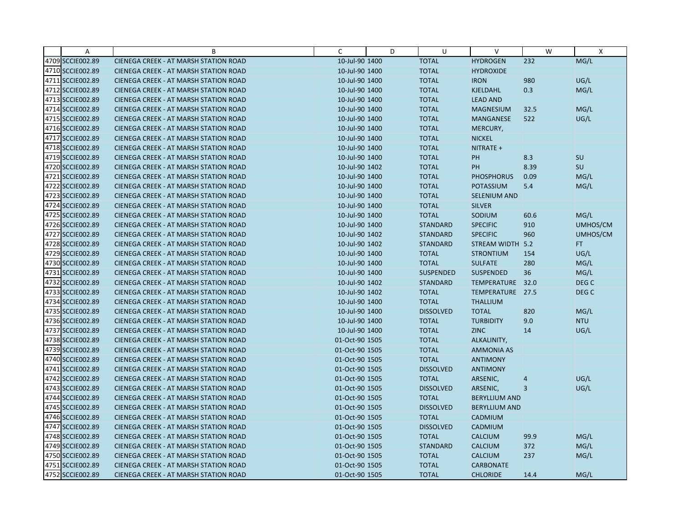| $\mathsf{A}$     | B                                            | C              | D | U                | V                    | W    | X                |
|------------------|----------------------------------------------|----------------|---|------------------|----------------------|------|------------------|
| 4709 SCCIE002.89 | CIENEGA CREEK - AT MARSH STATION ROAD        | 10-Jul-90 1400 |   | <b>TOTAL</b>     | <b>HYDROGEN</b>      | 232  | MG/L             |
| 4710 SCCIE002.89 | <b>CIENEGA CREEK - AT MARSH STATION ROAD</b> | 10-Jul-90 1400 |   | <b>TOTAL</b>     | <b>HYDROXIDE</b>     |      |                  |
| 4711 SCCIE002.89 | <b>CIENEGA CREEK - AT MARSH STATION ROAD</b> | 10-Jul-90 1400 |   | <b>TOTAL</b>     | <b>IRON</b>          | 980  | UG/L             |
| 4712 SCCIE002.89 | <b>CIENEGA CREEK - AT MARSH STATION ROAD</b> | 10-Jul-90 1400 |   | <b>TOTAL</b>     | KJELDAHL             | 0.3  | MG/L             |
| 4713 SCCIE002.89 | <b>CIENEGA CREEK - AT MARSH STATION ROAD</b> | 10-Jul-90 1400 |   | <b>TOTAL</b>     | <b>LEAD AND</b>      |      |                  |
| 4714 SCCIE002.89 | <b>CIENEGA CREEK - AT MARSH STATION ROAD</b> | 10-Jul-90 1400 |   | <b>TOTAL</b>     | <b>MAGNESIUM</b>     | 32.5 | MG/L             |
| 4715 SCCIE002.89 | <b>CIENEGA CREEK - AT MARSH STATION ROAD</b> | 10-Jul-90 1400 |   | <b>TOTAL</b>     | <b>MANGANESE</b>     | 522  | UG/L             |
| 4716 SCCIE002.89 | <b>CIENEGA CREEK - AT MARSH STATION ROAD</b> | 10-Jul-90 1400 |   | <b>TOTAL</b>     | MERCURY,             |      |                  |
| 4717 SCCIE002.89 | CIENEGA CREEK - AT MARSH STATION ROAD        | 10-Jul-90 1400 |   | <b>TOTAL</b>     | <b>NICKEL</b>        |      |                  |
| 4718 SCCIE002.89 | <b>CIENEGA CREEK - AT MARSH STATION ROAD</b> | 10-Jul-90 1400 |   | <b>TOTAL</b>     | NITRATE +            |      |                  |
| 4719 SCCIE002.89 | <b>CIENEGA CREEK - AT MARSH STATION ROAD</b> | 10-Jul-90 1400 |   | <b>TOTAL</b>     | <b>PH</b>            | 8.3  | SU               |
| 4720 SCCIE002.89 | CIENEGA CREEK - AT MARSH STATION ROAD        | 10-Jul-90 1402 |   | <b>TOTAL</b>     | <b>PH</b>            | 8.39 | SU               |
| 4721 SCCIE002.89 | <b>CIENEGA CREEK - AT MARSH STATION ROAD</b> | 10-Jul-90 1400 |   | <b>TOTAL</b>     | <b>PHOSPHORUS</b>    | 0.09 | MG/L             |
| 4722 SCCIE002.89 | <b>CIENEGA CREEK - AT MARSH STATION ROAD</b> | 10-Jul-90 1400 |   | <b>TOTAL</b>     | <b>POTASSIUM</b>     | 5.4  | MG/L             |
| 4723 SCCIE002.89 | <b>CIENEGA CREEK - AT MARSH STATION ROAD</b> | 10-Jul-90 1400 |   | <b>TOTAL</b>     | SELENIUM AND         |      |                  |
| 4724 SCCIE002.89 | <b>CIENEGA CREEK - AT MARSH STATION ROAD</b> | 10-Jul-90 1400 |   | <b>TOTAL</b>     | <b>SILVER</b>        |      |                  |
| 4725 SCCIE002.89 | CIENEGA CREEK - AT MARSH STATION ROAD        | 10-Jul-90 1400 |   | <b>TOTAL</b>     | SODIUM               | 60.6 | MG/L             |
| 4726 SCCIE002.89 | <b>CIENEGA CREEK - AT MARSH STATION ROAD</b> | 10-Jul-90 1400 |   | <b>STANDARD</b>  | <b>SPECIFIC</b>      | 910  | UMHOS/CM         |
| 4727 SCCIE002.89 | <b>CIENEGA CREEK - AT MARSH STATION ROAD</b> | 10-Jul-90 1402 |   | <b>STANDARD</b>  | <b>SPECIFIC</b>      | 960  | UMHOS/CM         |
| 4728 SCCIE002.89 | <b>CIENEGA CREEK - AT MARSH STATION ROAD</b> | 10-Jul-90 1402 |   | <b>STANDARD</b>  | STREAM WIDTH 5.2     |      | FT.              |
| 4729 SCCIE002.89 | <b>CIENEGA CREEK - AT MARSH STATION ROAD</b> | 10-Jul-90 1400 |   | <b>TOTAL</b>     | <b>STRONTIUM</b>     | 154  | UG/L             |
| 4730 SCCIE002.89 | <b>CIENEGA CREEK - AT MARSH STATION ROAD</b> | 10-Jul-90 1400 |   | <b>TOTAL</b>     | <b>SULFATE</b>       | 280  | MG/L             |
| 4731 SCCIE002.89 | <b>CIENEGA CREEK - AT MARSH STATION ROAD</b> | 10-Jul-90 1400 |   | SUSPENDED        | <b>SUSPENDED</b>     | 36   | MG/L             |
| 4732 SCCIE002.89 | <b>CIENEGA CREEK - AT MARSH STATION ROAD</b> | 10-Jul-90 1402 |   | <b>STANDARD</b>  | TEMPERATURE 32.0     |      | DEG <sub>C</sub> |
| 4733 SCCIE002.89 | CIENEGA CREEK - AT MARSH STATION ROAD        | 10-Jul-90 1402 |   | <b>TOTAL</b>     | TEMPERATURE 27.5     |      | DEG <sub>C</sub> |
| 4734 SCCIE002.89 | <b>CIENEGA CREEK - AT MARSH STATION ROAD</b> | 10-Jul-90 1400 |   | <b>TOTAL</b>     | <b>THALLIUM</b>      |      |                  |
| 4735 SCCIE002.89 | <b>CIENEGA CREEK - AT MARSH STATION ROAD</b> | 10-Jul-90 1400 |   | <b>DISSOLVED</b> | <b>TOTAL</b>         | 820  | MG/L             |
| 4736 SCCIE002.89 | <b>CIENEGA CREEK - AT MARSH STATION ROAD</b> | 10-Jul-90 1400 |   | <b>TOTAL</b>     | <b>TURBIDITY</b>     | 9.0  | <b>NTU</b>       |
| 4737 SCCIE002.89 | <b>CIENEGA CREEK - AT MARSH STATION ROAD</b> | 10-Jul-90 1400 |   | <b>TOTAL</b>     | <b>ZINC</b>          | 14   | UG/L             |
| 4738 SCCIE002.89 | <b>CIENEGA CREEK - AT MARSH STATION ROAD</b> | 01-Oct-90 1505 |   | <b>TOTAL</b>     | ALKALINITY,          |      |                  |
| 4739 SCCIE002.89 | CIENEGA CREEK - AT MARSH STATION ROAD        | 01-Oct-90 1505 |   | <b>TOTAL</b>     | <b>AMMONIA AS</b>    |      |                  |
| 4740 SCCIE002.89 | <b>CIENEGA CREEK - AT MARSH STATION ROAD</b> | 01-Oct-90 1505 |   | <b>TOTAL</b>     | <b>ANTIMONY</b>      |      |                  |
| 4741 SCCIE002.89 | <b>CIENEGA CREEK - AT MARSH STATION ROAD</b> | 01-Oct-90 1505 |   | <b>DISSOLVED</b> | <b>ANTIMONY</b>      |      |                  |
| 4742 SCCIE002.89 | <b>CIENEGA CREEK - AT MARSH STATION ROAD</b> | 01-Oct-90 1505 |   | <b>TOTAL</b>     | ARSENIC,             | 4    | UG/L             |
| 4743 SCCIE002.89 | <b>CIENEGA CREEK - AT MARSH STATION ROAD</b> | 01-Oct-90 1505 |   | <b>DISSOLVED</b> | ARSENIC,             | 3    | UG/L             |
| 4744 SCCIE002.89 | <b>CIENEGA CREEK - AT MARSH STATION ROAD</b> | 01-Oct-90 1505 |   | <b>TOTAL</b>     | <b>BERYLLIUM AND</b> |      |                  |
| 4745 SCCIE002.89 | <b>CIENEGA CREEK - AT MARSH STATION ROAD</b> | 01-Oct-90 1505 |   | <b>DISSOLVED</b> | <b>BERYLLIUM AND</b> |      |                  |
| 4746 SCCIE002.89 | <b>CIENEGA CREEK - AT MARSH STATION ROAD</b> | 01-Oct-90 1505 |   | <b>TOTAL</b>     | CADMIUM              |      |                  |
| 4747 SCCIE002.89 | CIENEGA CREEK - AT MARSH STATION ROAD        | 01-Oct-90 1505 |   | <b>DISSOLVED</b> | CADMIUM              |      |                  |
| 4748 SCCIE002.89 | <b>CIENEGA CREEK - AT MARSH STATION ROAD</b> | 01-Oct-90 1505 |   | <b>TOTAL</b>     | <b>CALCIUM</b>       | 99.9 | MG/L             |
| 4749 SCCIE002.89 | <b>CIENEGA CREEK - AT MARSH STATION ROAD</b> | 01-Oct-90 1505 |   | <b>STANDARD</b>  | <b>CALCIUM</b>       | 372  | MG/L             |
| 4750 SCCIE002.89 | CIENEGA CREEK - AT MARSH STATION ROAD        | 01-Oct-90 1505 |   | <b>TOTAL</b>     | <b>CALCIUM</b>       | 237  | MG/L             |
| 4751 SCCIE002.89 | <b>CIENEGA CREEK - AT MARSH STATION ROAD</b> | 01-Oct-90 1505 |   | <b>TOTAL</b>     | <b>CARBONATE</b>     |      |                  |
| 4752 SCCIE002.89 | CIENEGA CREEK - AT MARSH STATION ROAD        | 01-Oct-90 1505 |   | <b>TOTAL</b>     | <b>CHLORIDE</b>      | 14.4 | MG/L             |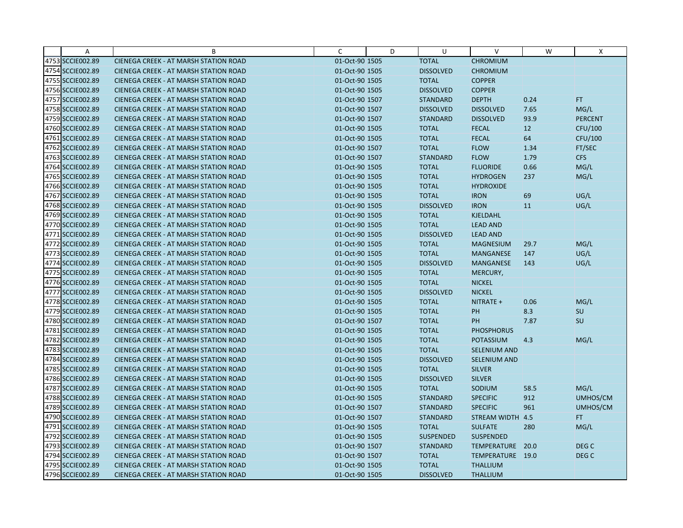| Α                | B                                            | C              | D | U                | V                   | W    | X                |
|------------------|----------------------------------------------|----------------|---|------------------|---------------------|------|------------------|
| 4753 SCCIE002.89 | CIENEGA CREEK - AT MARSH STATION ROAD        | 01-Oct-90 1505 |   | <b>TOTAL</b>     | <b>CHROMIUM</b>     |      |                  |
| 4754 SCCIE002.89 | <b>CIENEGA CREEK - AT MARSH STATION ROAD</b> | 01-Oct-90 1505 |   | <b>DISSOLVED</b> | <b>CHROMIUM</b>     |      |                  |
| 4755 SCCIE002.89 | <b>CIENEGA CREEK - AT MARSH STATION ROAD</b> | 01-Oct-90 1505 |   | <b>TOTAL</b>     | <b>COPPER</b>       |      |                  |
| 4756 SCCIE002.89 | <b>CIENEGA CREEK - AT MARSH STATION ROAD</b> | 01-Oct-90 1505 |   | <b>DISSOLVED</b> | <b>COPPER</b>       |      |                  |
| 4757 SCCIE002.89 | CIENEGA CREEK - AT MARSH STATION ROAD        | 01-Oct-90 1507 |   | <b>STANDARD</b>  | <b>DEPTH</b>        | 0.24 | FT.              |
| 4758 SCCIE002.89 | <b>CIENEGA CREEK - AT MARSH STATION ROAD</b> | 01-Oct-90 1507 |   | <b>DISSOLVED</b> | <b>DISSOLVED</b>    | 7.65 | MG/L             |
| 4759 SCCIE002.89 | <b>CIENEGA CREEK - AT MARSH STATION ROAD</b> | 01-Oct-90 1507 |   | <b>STANDARD</b>  | <b>DISSOLVED</b>    | 93.9 | <b>PERCENT</b>   |
| 4760 SCCIE002.89 | <b>CIENEGA CREEK - AT MARSH STATION ROAD</b> | 01-Oct-90 1505 |   | <b>TOTAL</b>     | <b>FECAL</b>        | 12   | <b>CFU/100</b>   |
| 4761 SCCIE002.89 | CIENEGA CREEK - AT MARSH STATION ROAD        | 01-Oct-90 1505 |   | <b>TOTAL</b>     | <b>FECAL</b>        | 64   | CFU/100          |
| 4762 SCCIE002.89 | <b>CIENEGA CREEK - AT MARSH STATION ROAD</b> | 01-Oct-90 1507 |   | <b>TOTAL</b>     | <b>FLOW</b>         | 1.34 | FT/SEC           |
| 4763 SCCIE002.89 | <b>CIENEGA CREEK - AT MARSH STATION ROAD</b> | 01-Oct-90 1507 |   | <b>STANDARD</b>  | <b>FLOW</b>         | 1.79 | <b>CFS</b>       |
| 4764 SCCIE002.89 | CIENEGA CREEK - AT MARSH STATION ROAD        | 01-Oct-90 1505 |   | <b>TOTAL</b>     | <b>FLUORIDE</b>     | 0.66 | MG/L             |
| 4765 SCCIE002.89 | <b>CIENEGA CREEK - AT MARSH STATION ROAD</b> | 01-Oct-90 1505 |   | <b>TOTAL</b>     | <b>HYDROGEN</b>     | 237  | MG/L             |
| 4766 SCCIE002.89 | <b>CIENEGA CREEK - AT MARSH STATION ROAD</b> | 01-Oct-90 1505 |   | <b>TOTAL</b>     | <b>HYDROXIDE</b>    |      |                  |
| 4767 SCCIE002.89 | <b>CIENEGA CREEK - AT MARSH STATION ROAD</b> | 01-Oct-90 1505 |   | <b>TOTAL</b>     | <b>IRON</b>         | 69   | UG/L             |
| 4768 SCCIE002.89 | <b>CIENEGA CREEK - AT MARSH STATION ROAD</b> | 01-Oct-90 1505 |   | <b>DISSOLVED</b> | <b>IRON</b>         | 11   | UG/L             |
| 4769 SCCIE002.89 | CIENEGA CREEK - AT MARSH STATION ROAD        | 01-Oct-90 1505 |   | <b>TOTAL</b>     | <b>KJELDAHL</b>     |      |                  |
| 4770 SCCIE002.89 | <b>CIENEGA CREEK - AT MARSH STATION ROAD</b> | 01-Oct-90 1505 |   | <b>TOTAL</b>     | <b>LEAD AND</b>     |      |                  |
| 4771 SCCIE002.89 | <b>CIENEGA CREEK - AT MARSH STATION ROAD</b> | 01-Oct-90 1505 |   | <b>DISSOLVED</b> | <b>LEAD AND</b>     |      |                  |
| 4772 SCCIE002.89 | CIENEGA CREEK - AT MARSH STATION ROAD        | 01-Oct-90 1505 |   | <b>TOTAL</b>     | <b>MAGNESIUM</b>    | 29.7 | MG/L             |
| 4773 SCCIE002.89 | <b>CIENEGA CREEK - AT MARSH STATION ROAD</b> | 01-Oct-90 1505 |   | <b>TOTAL</b>     | <b>MANGANESE</b>    | 147  | UG/L             |
| 4774 SCCIE002.89 | <b>CIENEGA CREEK - AT MARSH STATION ROAD</b> | 01-Oct-90 1505 |   | <b>DISSOLVED</b> | <b>MANGANESE</b>    | 143  | UG/L             |
| 4775 SCCIE002.89 | CIENEGA CREEK - AT MARSH STATION ROAD        | 01-Oct-90 1505 |   | <b>TOTAL</b>     | MERCURY,            |      |                  |
| 4776 SCCIE002.89 | <b>CIENEGA CREEK - AT MARSH STATION ROAD</b> | 01-Oct-90 1505 |   | <b>TOTAL</b>     | <b>NICKEL</b>       |      |                  |
| 4777 SCCIE002.89 | CIENEGA CREEK - AT MARSH STATION ROAD        | 01-Oct-90 1505 |   | <b>DISSOLVED</b> | <b>NICKEL</b>       |      |                  |
| 4778 SCCIE002.89 | <b>CIENEGA CREEK - AT MARSH STATION ROAD</b> | 01-Oct-90 1505 |   | <b>TOTAL</b>     | NITRATE +           | 0.06 | MG/L             |
| 4779 SCCIE002.89 | CIENEGA CREEK - AT MARSH STATION ROAD        | 01-Oct-90 1505 |   | <b>TOTAL</b>     | PH                  | 8.3  | SU               |
| 4780 SCCIE002.89 | CIENEGA CREEK - AT MARSH STATION ROAD        | 01-Oct-90 1507 |   | <b>TOTAL</b>     | PH                  | 7.87 | SU               |
| 4781 SCCIE002.89 | <b>CIENEGA CREEK - AT MARSH STATION ROAD</b> | 01-Oct-90 1505 |   | <b>TOTAL</b>     | <b>PHOSPHORUS</b>   |      |                  |
| 4782 SCCIE002.89 | <b>CIENEGA CREEK - AT MARSH STATION ROAD</b> | 01-Oct-90 1505 |   | <b>TOTAL</b>     | <b>POTASSIUM</b>    | 4.3  | MG/L             |
| 4783 SCCIE002.89 | <b>CIENEGA CREEK - AT MARSH STATION ROAD</b> | 01-Oct-90 1505 |   | <b>TOTAL</b>     | SELENIUM AND        |      |                  |
| 4784 SCCIE002.89 | <b>CIENEGA CREEK - AT MARSH STATION ROAD</b> | 01-Oct-90 1505 |   | <b>DISSOLVED</b> | <b>SELENIUM AND</b> |      |                  |
| 4785 SCCIE002.89 | <b>CIENEGA CREEK - AT MARSH STATION ROAD</b> | 01-Oct-90 1505 |   | <b>TOTAL</b>     | <b>SILVER</b>       |      |                  |
| 4786 SCCIE002.89 | <b>CIENEGA CREEK - AT MARSH STATION ROAD</b> | 01-Oct-90 1505 |   | <b>DISSOLVED</b> | <b>SILVER</b>       |      |                  |
| 4787 SCCIE002.89 | <b>CIENEGA CREEK - AT MARSH STATION ROAD</b> | 01-Oct-90 1505 |   | <b>TOTAL</b>     | SODIUM              | 58.5 | MG/L             |
| 4788 SCCIE002.89 | CIENEGA CREEK - AT MARSH STATION ROAD        | 01-Oct-90 1505 |   | <b>STANDARD</b>  | <b>SPECIFIC</b>     | 912  | UMHOS/CM         |
| 4789 SCCIE002.89 | <b>CIENEGA CREEK - AT MARSH STATION ROAD</b> | 01-Oct-90 1507 |   | <b>STANDARD</b>  | <b>SPECIFIC</b>     | 961  | UMHOS/CM         |
| 4790 SCCIE002.89 | <b>CIENEGA CREEK - AT MARSH STATION ROAD</b> | 01-Oct-90 1507 |   | <b>STANDARD</b>  | STREAM WIDTH 4.5    |      | FT.              |
| 4791 SCCIE002.89 | CIENEGA CREEK - AT MARSH STATION ROAD        | 01-Oct-90 1505 |   | <b>TOTAL</b>     | <b>SULFATE</b>      | 280  | MG/L             |
| 4792 SCCIE002.89 | <b>CIENEGA CREEK - AT MARSH STATION ROAD</b> | 01-Oct-90 1505 |   | <b>SUSPENDED</b> | <b>SUSPENDED</b>    |      |                  |
| 4793 SCCIE002.89 | <b>CIENEGA CREEK - AT MARSH STATION ROAD</b> | 01-Oct-90 1507 |   | <b>STANDARD</b>  | TEMPERATURE         | 20.0 | DEG <sub>C</sub> |
| 4794 SCCIE002.89 | <b>CIENEGA CREEK - AT MARSH STATION ROAD</b> | 01-Oct-90 1507 |   | <b>TOTAL</b>     | TEMPERATURE 19.0    |      | DEG <sub>C</sub> |
| 4795 SCCIE002.89 | <b>CIENEGA CREEK - AT MARSH STATION ROAD</b> | 01-Oct-90 1505 |   | <b>TOTAL</b>     | <b>THALLIUM</b>     |      |                  |
| 4796 SCCIE002.89 | CIENEGA CREEK - AT MARSH STATION ROAD        | 01-Oct-90 1505 |   | <b>DISSOLVED</b> | <b>THALLIUM</b>     |      |                  |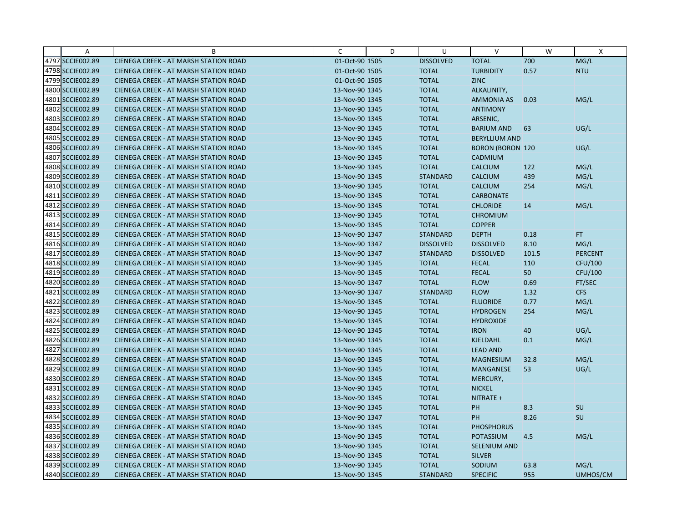| A                | B                                            | C              | D | U                | $\vee$                  | W     | X              |
|------------------|----------------------------------------------|----------------|---|------------------|-------------------------|-------|----------------|
| 4797 SCCIE002.89 | CIENEGA CREEK - AT MARSH STATION ROAD        | 01-Oct-90 1505 |   | <b>DISSOLVED</b> | <b>TOTAL</b>            | 700   | MG/L           |
| 4798 SCCIE002.89 | <b>CIENEGA CREEK - AT MARSH STATION ROAD</b> | 01-Oct-90 1505 |   | <b>TOTAL</b>     | <b>TURBIDITY</b>        | 0.57  | <b>NTU</b>     |
| 4799 SCCIE002.89 | <b>CIENEGA CREEK - AT MARSH STATION ROAD</b> | 01-Oct-90 1505 |   | <b>TOTAL</b>     | <b>ZINC</b>             |       |                |
| 4800 SCCIE002.89 | CIENEGA CREEK - AT MARSH STATION ROAD        | 13-Nov-90 1345 |   | <b>TOTAL</b>     | ALKALINITY,             |       |                |
| 4801 SCCIE002.89 | <b>CIENEGA CREEK - AT MARSH STATION ROAD</b> | 13-Nov-90 1345 |   | <b>TOTAL</b>     | <b>AMMONIA AS</b>       | 0.03  | MG/L           |
| 4802 SCCIE002.89 | <b>CIENEGA CREEK - AT MARSH STATION ROAD</b> | 13-Nov-90 1345 |   | <b>TOTAL</b>     | <b>ANTIMONY</b>         |       |                |
| 4803 SCCIE002.89 | <b>CIENEGA CREEK - AT MARSH STATION ROAD</b> | 13-Nov-90 1345 |   | <b>TOTAL</b>     | ARSENIC,                |       |                |
| 4804 SCCIE002.89 | <b>CIENEGA CREEK - AT MARSH STATION ROAD</b> | 13-Nov-90 1345 |   | <b>TOTAL</b>     | <b>BARIUM AND</b>       | 63    | UG/L           |
| 4805 SCCIE002.89 | CIENEGA CREEK - AT MARSH STATION ROAD        | 13-Nov-90 1345 |   | <b>TOTAL</b>     | <b>BERYLLIUM AND</b>    |       |                |
| 4806 SCCIE002.89 | <b>CIENEGA CREEK - AT MARSH STATION ROAD</b> | 13-Nov-90 1345 |   | <b>TOTAL</b>     | <b>BORON (BORON 120</b> |       | UG/L           |
| 4807 SCCIE002.89 | <b>CIENEGA CREEK - AT MARSH STATION ROAD</b> | 13-Nov-90 1345 |   | <b>TOTAL</b>     | CADMIUM                 |       |                |
| 4808 SCCIE002.89 | CIENEGA CREEK - AT MARSH STATION ROAD        | 13-Nov-90 1345 |   | <b>TOTAL</b>     | <b>CALCIUM</b>          | 122   | MG/L           |
| 4809 SCCIE002.89 | <b>CIENEGA CREEK - AT MARSH STATION ROAD</b> | 13-Nov-90 1345 |   | <b>STANDARD</b>  | <b>CALCIUM</b>          | 439   | MG/L           |
| 4810 SCCIE002.89 | <b>CIENEGA CREEK - AT MARSH STATION ROAD</b> | 13-Nov-90 1345 |   | <b>TOTAL</b>     | <b>CALCIUM</b>          | 254   | MG/L           |
| 4811 SCCIE002.89 | <b>CIENEGA CREEK - AT MARSH STATION ROAD</b> | 13-Nov-90 1345 |   | <b>TOTAL</b>     | <b>CARBONATE</b>        |       |                |
| 4812 SCCIE002.89 | <b>CIENEGA CREEK - AT MARSH STATION ROAD</b> | 13-Nov-90 1345 |   | <b>TOTAL</b>     | <b>CHLORIDE</b>         | 14    | MG/L           |
| 4813 SCCIE002.89 | CIENEGA CREEK - AT MARSH STATION ROAD        | 13-Nov-90 1345 |   | <b>TOTAL</b>     | <b>CHROMIUM</b>         |       |                |
| 4814 SCCIE002.89 | <b>CIENEGA CREEK - AT MARSH STATION ROAD</b> | 13-Nov-90 1345 |   | <b>TOTAL</b>     | <b>COPPER</b>           |       |                |
| 4815 SCCIE002.89 | <b>CIENEGA CREEK - AT MARSH STATION ROAD</b> | 13-Nov-90 1347 |   | <b>STANDARD</b>  | <b>DEPTH</b>            | 0.18  | FT.            |
| 4816 SCCIE002.89 | <b>CIENEGA CREEK - AT MARSH STATION ROAD</b> | 13-Nov-90 1347 |   | <b>DISSOLVED</b> | <b>DISSOLVED</b>        | 8.10  | MG/L           |
| 4817 SCCIE002.89 | <b>CIENEGA CREEK - AT MARSH STATION ROAD</b> | 13-Nov-90 1347 |   | <b>STANDARD</b>  | <b>DISSOLVED</b>        | 101.5 | <b>PERCENT</b> |
| 4818 SCCIE002.89 | <b>CIENEGA CREEK - AT MARSH STATION ROAD</b> | 13-Nov-90 1345 |   | <b>TOTAL</b>     | <b>FECAL</b>            | 110   | CFU/100        |
| 4819 SCCIE002.89 | CIENEGA CREEK - AT MARSH STATION ROAD        | 13-Nov-90 1345 |   | <b>TOTAL</b>     | <b>FECAL</b>            | 50    | <b>CFU/100</b> |
| 4820 SCCIE002.89 | <b>CIENEGA CREEK - AT MARSH STATION ROAD</b> | 13-Nov-90 1347 |   | <b>TOTAL</b>     | <b>FLOW</b>             | 0.69  | FT/SEC         |
| 4821 SCCIE002.89 | CIENEGA CREEK - AT MARSH STATION ROAD        | 13-Nov-90 1347 |   | <b>STANDARD</b>  | <b>FLOW</b>             | 1.32  | <b>CFS</b>     |
| 4822 SCCIE002.89 | <b>CIENEGA CREEK - AT MARSH STATION ROAD</b> | 13-Nov-90 1345 |   | <b>TOTAL</b>     | <b>FLUORIDE</b>         | 0.77  | MG/L           |
| 4823 SCCIE002.89 | CIENEGA CREEK - AT MARSH STATION ROAD        | 13-Nov-90 1345 |   | <b>TOTAL</b>     | <b>HYDROGEN</b>         | 254   | MG/L           |
| 4824 SCCIE002.89 | CIENEGA CREEK - AT MARSH STATION ROAD        | 13-Nov-90 1345 |   | <b>TOTAL</b>     | <b>HYDROXIDE</b>        |       |                |
| 4825 SCCIE002.89 | <b>CIENEGA CREEK - AT MARSH STATION ROAD</b> | 13-Nov-90 1345 |   | <b>TOTAL</b>     | <b>IRON</b>             | 40    | UG/L           |
| 4826 SCCIE002.89 | <b>CIENEGA CREEK - AT MARSH STATION ROAD</b> | 13-Nov-90 1345 |   | <b>TOTAL</b>     | <b>KJELDAHL</b>         | 0.1   | MG/L           |
| 4827 SCCIE002.89 | CIENEGA CREEK - AT MARSH STATION ROAD        | 13-Nov-90 1345 |   | <b>TOTAL</b>     | <b>LEAD AND</b>         |       |                |
| 4828 SCCIE002.89 | <b>CIENEGA CREEK - AT MARSH STATION ROAD</b> | 13-Nov-90 1345 |   | <b>TOTAL</b>     | <b>MAGNESIUM</b>        | 32.8  | MG/L           |
| 4829 SCCIE002.89 | <b>CIENEGA CREEK - AT MARSH STATION ROAD</b> | 13-Nov-90 1345 |   | <b>TOTAL</b>     | <b>MANGANESE</b>        | 53    | UG/L           |
| 4830 SCCIE002.89 | <b>CIENEGA CREEK - AT MARSH STATION ROAD</b> | 13-Nov-90 1345 |   | <b>TOTAL</b>     | MERCURY,                |       |                |
| 4831 SCCIE002.89 | CIENEGA CREEK - AT MARSH STATION ROAD        | 13-Nov-90 1345 |   | <b>TOTAL</b>     | <b>NICKEL</b>           |       |                |
| 4832 SCCIE002.89 | <b>CIENEGA CREEK - AT MARSH STATION ROAD</b> | 13-Nov-90 1345 |   | <b>TOTAL</b>     | NITRATE +               |       |                |
| 4833 SCCIE002.89 | <b>CIENEGA CREEK - AT MARSH STATION ROAD</b> | 13-Nov-90 1345 |   | <b>TOTAL</b>     | PH                      | 8.3   | SU             |
| 4834 SCCIE002.89 | CIENEGA CREEK - AT MARSH STATION ROAD        | 13-Nov-90 1347 |   | <b>TOTAL</b>     | <b>PH</b>               | 8.26  | <b>SU</b>      |
| 4835 SCCIE002.89 | CIENEGA CREEK - AT MARSH STATION ROAD        | 13-Nov-90 1345 |   | <b>TOTAL</b>     | <b>PHOSPHORUS</b>       |       |                |
| 4836 SCCIE002.89 | <b>CIENEGA CREEK - AT MARSH STATION ROAD</b> | 13-Nov-90 1345 |   | <b>TOTAL</b>     | <b>POTASSIUM</b>        | 4.5   | MG/L           |
| 4837 SCCIE002.89 | <b>CIENEGA CREEK - AT MARSH STATION ROAD</b> | 13-Nov-90 1345 |   | <b>TOTAL</b>     | <b>SELENIUM AND</b>     |       |                |
| 4838 SCCIE002.89 | <b>CIENEGA CREEK - AT MARSH STATION ROAD</b> | 13-Nov-90 1345 |   | <b>TOTAL</b>     | <b>SILVER</b>           |       |                |
| 4839 SCCIE002.89 | CIENEGA CREEK - AT MARSH STATION ROAD        | 13-Nov-90 1345 |   | <b>TOTAL</b>     | SODIUM                  | 63.8  | MG/L           |
| 4840 SCCIE002.89 | CIENEGA CREEK - AT MARSH STATION ROAD        | 13-Nov-90 1345 |   | <b>STANDARD</b>  | <b>SPECIFIC</b>         | 955   | UMHOS/CM       |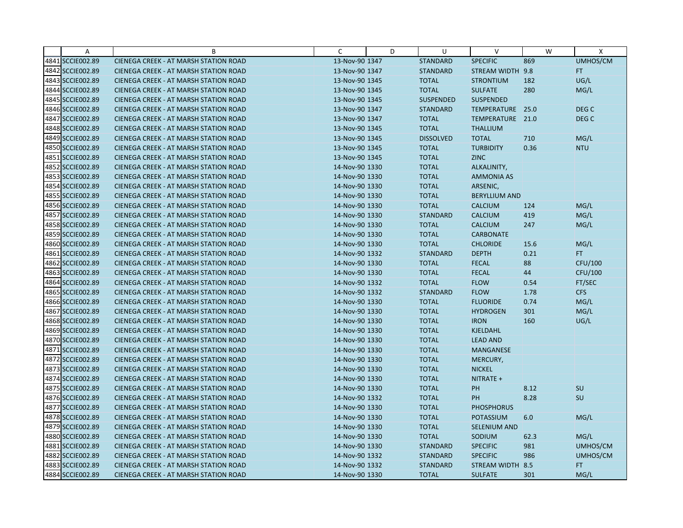| A                | B                                            | C              | D | U                | $\vee$               | W    | X                |
|------------------|----------------------------------------------|----------------|---|------------------|----------------------|------|------------------|
| 4841 SCCIE002.89 | CIENEGA CREEK - AT MARSH STATION ROAD        | 13-Nov-90 1347 |   | <b>STANDARD</b>  | <b>SPECIFIC</b>      | 869  | UMHOS/CM         |
| 4842 SCCIE002.89 | <b>CIENEGA CREEK - AT MARSH STATION ROAD</b> | 13-Nov-90 1347 |   | <b>STANDARD</b>  | STREAM WIDTH 9.8     |      | FT.              |
| 4843 SCCIE002.89 | <b>CIENEGA CREEK - AT MARSH STATION ROAD</b> | 13-Nov-90 1345 |   | <b>TOTAL</b>     | <b>STRONTIUM</b>     | 182  | UG/L             |
| 4844 SCCIE002.89 | <b>CIENEGA CREEK - AT MARSH STATION ROAD</b> | 13-Nov-90 1345 |   | <b>TOTAL</b>     | <b>SULFATE</b>       | 280  | MG/L             |
| 4845 SCCIE002.89 | CIENEGA CREEK - AT MARSH STATION ROAD        | 13-Nov-90 1345 |   | <b>SUSPENDED</b> | <b>SUSPENDED</b>     |      |                  |
| 4846 SCCIE002.89 | <b>CIENEGA CREEK - AT MARSH STATION ROAD</b> | 13-Nov-90 1347 |   | <b>STANDARD</b>  | TEMPERATURE          | 25.0 | DEG C            |
| 4847 SCCIE002.89 | <b>CIENEGA CREEK - AT MARSH STATION ROAD</b> | 13-Nov-90 1347 |   | <b>TOTAL</b>     | TEMPERATURE 21.0     |      | DEG <sub>C</sub> |
| 4848 SCCIE002.89 | <b>CIENEGA CREEK - AT MARSH STATION ROAD</b> | 13-Nov-90 1345 |   | <b>TOTAL</b>     | <b>THALLIUM</b>      |      |                  |
| 4849 SCCIE002.89 | CIENEGA CREEK - AT MARSH STATION ROAD        | 13-Nov-90 1345 |   | <b>DISSOLVED</b> | <b>TOTAL</b>         | 710  | MG/L             |
| 4850 SCCIE002.89 | <b>CIENEGA CREEK - AT MARSH STATION ROAD</b> | 13-Nov-90 1345 |   | <b>TOTAL</b>     | <b>TURBIDITY</b>     | 0.36 | <b>NTU</b>       |
| 4851 SCCIE002.89 | <b>CIENEGA CREEK - AT MARSH STATION ROAD</b> | 13-Nov-90 1345 |   | <b>TOTAL</b>     | <b>ZINC</b>          |      |                  |
| 4852 SCCIE002.89 | CIENEGA CREEK - AT MARSH STATION ROAD        | 14-Nov-90 1330 |   | <b>TOTAL</b>     | ALKALINITY,          |      |                  |
| 4853 SCCIE002.89 | <b>CIENEGA CREEK - AT MARSH STATION ROAD</b> | 14-Nov-90 1330 |   | <b>TOTAL</b>     | <b>AMMONIA AS</b>    |      |                  |
| 4854 SCCIE002.89 | <b>CIENEGA CREEK - AT MARSH STATION ROAD</b> | 14-Nov-90 1330 |   | <b>TOTAL</b>     | ARSENIC,             |      |                  |
| 4855 SCCIE002.89 | <b>CIENEGA CREEK - AT MARSH STATION ROAD</b> | 14-Nov-90 1330 |   | <b>TOTAL</b>     | <b>BERYLLIUM AND</b> |      |                  |
| 4856 SCCIE002.89 | <b>CIENEGA CREEK - AT MARSH STATION ROAD</b> | 14-Nov-90 1330 |   | <b>TOTAL</b>     | <b>CALCIUM</b>       | 124  | MG/L             |
| 4857 SCCIE002.89 | CIENEGA CREEK - AT MARSH STATION ROAD        | 14-Nov-90 1330 |   | <b>STANDARD</b>  | <b>CALCIUM</b>       | 419  | MG/L             |
| 4858 SCCIE002.89 | <b>CIENEGA CREEK - AT MARSH STATION ROAD</b> | 14-Nov-90 1330 |   | <b>TOTAL</b>     | <b>CALCIUM</b>       | 247  | MG/L             |
| 4859 SCCIE002.89 | CIENEGA CREEK - AT MARSH STATION ROAD        | 14-Nov-90 1330 |   | <b>TOTAL</b>     | <b>CARBONATE</b>     |      |                  |
| 4860 SCCIE002.89 | <b>CIENEGA CREEK - AT MARSH STATION ROAD</b> | 14-Nov-90 1330 |   | <b>TOTAL</b>     | <b>CHLORIDE</b>      | 15.6 | MG/L             |
| 4861 SCCIE002.89 | <b>CIENEGA CREEK - AT MARSH STATION ROAD</b> | 14-Nov-90 1332 |   | <b>STANDARD</b>  | <b>DEPTH</b>         | 0.21 | FT.              |
| 4862 SCCIE002.89 | <b>CIENEGA CREEK - AT MARSH STATION ROAD</b> | 14-Nov-90 1330 |   | <b>TOTAL</b>     | <b>FECAL</b>         | 88   | CFU/100          |
| 4863 SCCIE002.89 | CIENEGA CREEK - AT MARSH STATION ROAD        | 14-Nov-90 1330 |   | <b>TOTAL</b>     | <b>FECAL</b>         | 44   | CFU/100          |
| 4864 SCCIE002.89 | <b>CIENEGA CREEK - AT MARSH STATION ROAD</b> | 14-Nov-90 1332 |   | <b>TOTAL</b>     | <b>FLOW</b>          | 0.54 | FT/SEC           |
| 4865 SCCIE002.89 | CIENEGA CREEK - AT MARSH STATION ROAD        | 14-Nov-90 1332 |   | <b>STANDARD</b>  | <b>FLOW</b>          | 1.78 | <b>CFS</b>       |
| 4866 SCCIE002.89 | <b>CIENEGA CREEK - AT MARSH STATION ROAD</b> | 14-Nov-90 1330 |   | <b>TOTAL</b>     | <b>FLUORIDE</b>      | 0.74 | MG/L             |
| 4867 SCCIE002.89 | CIENEGA CREEK - AT MARSH STATION ROAD        | 14-Nov-90 1330 |   | <b>TOTAL</b>     | <b>HYDROGEN</b>      | 301  | MG/L             |
| 4868 SCCIE002.89 | CIENEGA CREEK - AT MARSH STATION ROAD        | 14-Nov-90 1330 |   | <b>TOTAL</b>     | <b>IRON</b>          | 160  | UG/L             |
| 4869 SCCIE002.89 | <b>CIENEGA CREEK - AT MARSH STATION ROAD</b> | 14-Nov-90 1330 |   | <b>TOTAL</b>     | KJELDAHL             |      |                  |
| 4870 SCCIE002.89 | <b>CIENEGA CREEK - AT MARSH STATION ROAD</b> | 14-Nov-90 1330 |   | <b>TOTAL</b>     | <b>LEAD AND</b>      |      |                  |
| 4871 SCCIE002.89 | CIENEGA CREEK - AT MARSH STATION ROAD        | 14-Nov-90 1330 |   | <b>TOTAL</b>     | <b>MANGANESE</b>     |      |                  |
| 4872 SCCIE002.89 | <b>CIENEGA CREEK - AT MARSH STATION ROAD</b> | 14-Nov-90 1330 |   | <b>TOTAL</b>     | MERCURY,             |      |                  |
| 4873 SCCIE002.89 | <b>CIENEGA CREEK - AT MARSH STATION ROAD</b> | 14-Nov-90 1330 |   | <b>TOTAL</b>     | <b>NICKEL</b>        |      |                  |
| 4874 SCCIE002.89 | <b>CIENEGA CREEK - AT MARSH STATION ROAD</b> | 14-Nov-90 1330 |   | <b>TOTAL</b>     | NITRATE +            |      |                  |
| 4875 SCCIE002.89 | <b>CIENEGA CREEK - AT MARSH STATION ROAD</b> | 14-Nov-90 1330 |   | <b>TOTAL</b>     | PH                   | 8.12 | SU               |
| 4876 SCCIE002.89 | <b>CIENEGA CREEK - AT MARSH STATION ROAD</b> | 14-Nov-90 1332 |   | <b>TOTAL</b>     | PH                   | 8.28 | SU               |
| 4877 SCCIE002.89 | <b>CIENEGA CREEK - AT MARSH STATION ROAD</b> | 14-Nov-90 1330 |   | <b>TOTAL</b>     | <b>PHOSPHORUS</b>    |      |                  |
| 4878 SCCIE002.89 | CIENEGA CREEK - AT MARSH STATION ROAD        | 14-Nov-90 1330 |   | <b>TOTAL</b>     | POTASSIUM            | 6.0  | MG/L             |
| 4879 SCCIE002.89 | CIENEGA CREEK - AT MARSH STATION ROAD        | 14-Nov-90 1330 |   | <b>TOTAL</b>     | <b>SELENIUM AND</b>  |      |                  |
| 4880 SCCIE002.89 | <b>CIENEGA CREEK - AT MARSH STATION ROAD</b> | 14-Nov-90 1330 |   | <b>TOTAL</b>     | SODIUM               | 62.3 | MG/L             |
| 4881 SCCIE002.89 | <b>CIENEGA CREEK - AT MARSH STATION ROAD</b> | 14-Nov-90 1330 |   | <b>STANDARD</b>  | <b>SPECIFIC</b>      | 981  | UMHOS/CM         |
| 4882 SCCIE002.89 | CIENEGA CREEK - AT MARSH STATION ROAD        | 14-Nov-90 1332 |   | <b>STANDARD</b>  | <b>SPECIFIC</b>      | 986  | UMHOS/CM         |
| 4883 SCCIE002.89 | <b>CIENEGA CREEK - AT MARSH STATION ROAD</b> | 14-Nov-90 1332 |   | <b>STANDARD</b>  | STREAM WIDTH 8.5     |      | FT.              |
| 4884 SCCIE002.89 | CIENEGA CREEK - AT MARSH STATION ROAD        | 14-Nov-90 1330 |   | <b>TOTAL</b>     | <b>SULFATE</b>       | 301  | MG/L             |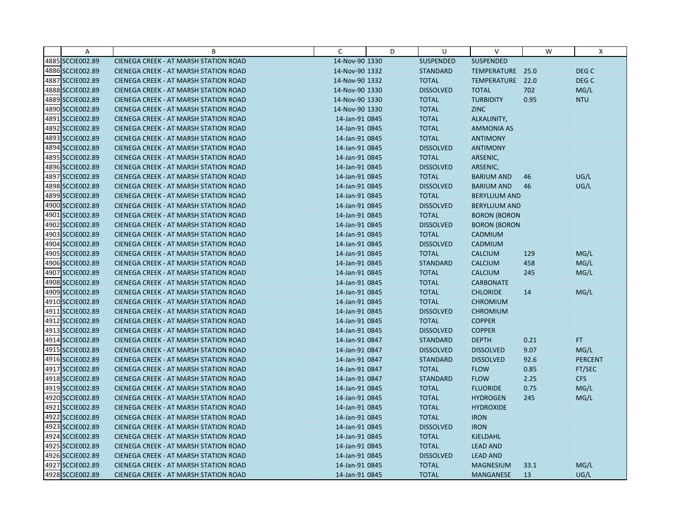| Α                | B                                            | C              | D | U                | $\vee$               | W    | X              |
|------------------|----------------------------------------------|----------------|---|------------------|----------------------|------|----------------|
| 4885 SCCIE002.89 | CIENEGA CREEK - AT MARSH STATION ROAD        | 14-Nov-90 1330 |   | <b>SUSPENDED</b> | <b>SUSPENDED</b>     |      |                |
| 4886 SCCIE002.89 | <b>CIENEGA CREEK - AT MARSH STATION ROAD</b> | 14-Nov-90 1332 |   | <b>STANDARD</b>  | TEMPERATURE 25.0     |      | DEG C          |
| 4887 SCCIE002.89 | <b>CIENEGA CREEK - AT MARSH STATION ROAD</b> | 14-Nov-90 1332 |   | <b>TOTAL</b>     | TEMPERATURE 22.0     |      | DEG C          |
| 4888 SCCIE002.89 | CIENEGA CREEK - AT MARSH STATION ROAD        | 14-Nov-90 1330 |   | <b>DISSOLVED</b> | <b>TOTAL</b>         | 702  | MG/L           |
| 4889 SCCIE002.89 | CIENEGA CREEK - AT MARSH STATION ROAD        | 14-Nov-90 1330 |   | <b>TOTAL</b>     | <b>TURBIDITY</b>     | 0.95 | <b>NTU</b>     |
| 4890 SCCIE002.89 | <b>CIENEGA CREEK - AT MARSH STATION ROAD</b> | 14-Nov-90 1330 |   | <b>TOTAL</b>     | <b>ZINC</b>          |      |                |
| 4891 SCCIE002.89 | <b>CIENEGA CREEK - AT MARSH STATION ROAD</b> | 14-Jan-91 0845 |   | <b>TOTAL</b>     | ALKALINITY,          |      |                |
| 4892 SCCIE002.89 | CIENEGA CREEK - AT MARSH STATION ROAD        | 14-Jan-91 0845 |   | <b>TOTAL</b>     | <b>AMMONIA AS</b>    |      |                |
| 4893 SCCIE002.89 | CIENEGA CREEK - AT MARSH STATION ROAD        | 14-Jan-91 0845 |   | <b>TOTAL</b>     | <b>ANTIMONY</b>      |      |                |
| 4894 SCCIE002.89 | <b>CIENEGA CREEK - AT MARSH STATION ROAD</b> | 14-Jan-91 0845 |   | <b>DISSOLVED</b> | <b>ANTIMONY</b>      |      |                |
| 4895 SCCIE002.89 | <b>CIENEGA CREEK - AT MARSH STATION ROAD</b> | 14-Jan-91 0845 |   | <b>TOTAL</b>     | ARSENIC,             |      |                |
| 4896 SCCIE002.89 | CIENEGA CREEK - AT MARSH STATION ROAD        | 14-Jan-91 0845 |   | <b>DISSOLVED</b> | ARSENIC,             |      |                |
| 4897 SCCIE002.89 | <b>CIENEGA CREEK - AT MARSH STATION ROAD</b> | 14-Jan-91 0845 |   | <b>TOTAL</b>     | <b>BARIUM AND</b>    | 46   | UG/L           |
| 4898 SCCIE002.89 | <b>CIENEGA CREEK - AT MARSH STATION ROAD</b> | 14-Jan-91 0845 |   | <b>DISSOLVED</b> | <b>BARIUM AND</b>    | 46   | UG/L           |
| 4899 SCCIE002.89 | <b>CIENEGA CREEK - AT MARSH STATION ROAD</b> | 14-Jan-91 0845 |   | <b>TOTAL</b>     | <b>BERYLLIUM AND</b> |      |                |
| 4900 SCCIE002.89 | CIENEGA CREEK - AT MARSH STATION ROAD        | 14-Jan-91 0845 |   | <b>DISSOLVED</b> | <b>BERYLLIUM AND</b> |      |                |
| 4901 SCCIE002.89 | CIENEGA CREEK - AT MARSH STATION ROAD        | 14-Jan-91 0845 |   | <b>TOTAL</b>     | <b>BORON (BORON</b>  |      |                |
| 4902 SCCIE002.89 | <b>CIENEGA CREEK - AT MARSH STATION ROAD</b> | 14-Jan-91 0845 |   | <b>DISSOLVED</b> | <b>BORON (BORON</b>  |      |                |
| 4903 SCCIE002.89 | <b>CIENEGA CREEK - AT MARSH STATION ROAD</b> | 14-Jan-91 0845 |   | <b>TOTAL</b>     | CADMIUM              |      |                |
| 4904 SCCIE002.89 | <b>CIENEGA CREEK - AT MARSH STATION ROAD</b> | 14-Jan-91 0845 |   | <b>DISSOLVED</b> | CADMIUM              |      |                |
| 4905 SCCIE002.89 | <b>CIENEGA CREEK - AT MARSH STATION ROAD</b> | 14-Jan-91 0845 |   | <b>TOTAL</b>     | <b>CALCIUM</b>       | 129  | MG/L           |
| 4906 SCCIE002.89 | <b>CIENEGA CREEK - AT MARSH STATION ROAD</b> | 14-Jan-91 0845 |   | <b>STANDARD</b>  | <b>CALCIUM</b>       | 458  | MG/L           |
| 4907 SCCIE002.89 | CIENEGA CREEK - AT MARSH STATION ROAD        | 14-Jan-91 0845 |   | <b>TOTAL</b>     | <b>CALCIUM</b>       | 245  | MG/L           |
| 4908 SCCIE002.89 | <b>CIENEGA CREEK - AT MARSH STATION ROAD</b> | 14-Jan-91 0845 |   | <b>TOTAL</b>     | <b>CARBONATE</b>     |      |                |
| 4909 SCCIE002.89 | CIENEGA CREEK - AT MARSH STATION ROAD        | 14-Jan-91 0845 |   | <b>TOTAL</b>     | <b>CHLORIDE</b>      | 14   | MG/L           |
| 4910 SCCIE002.89 | CIENEGA CREEK - AT MARSH STATION ROAD        | 14-Jan-91 0845 |   | <b>TOTAL</b>     | <b>CHROMIUM</b>      |      |                |
| 4911 SCCIE002.89 | CIENEGA CREEK - AT MARSH STATION ROAD        | 14-Jan-91 0845 |   | <b>DISSOLVED</b> | <b>CHROMIUM</b>      |      |                |
| 4912 SCCIE002.89 | CIENEGA CREEK - AT MARSH STATION ROAD        | 14-Jan-91 0845 |   | <b>TOTAL</b>     | <b>COPPER</b>        |      |                |
| 4913 SCCIE002.89 | <b>CIENEGA CREEK - AT MARSH STATION ROAD</b> | 14-Jan-91 0845 |   | <b>DISSOLVED</b> | <b>COPPER</b>        |      |                |
| 4914 SCCIE002.89 | <b>CIENEGA CREEK - AT MARSH STATION ROAD</b> | 14-Jan-91 0847 |   | <b>STANDARD</b>  | <b>DEPTH</b>         | 0.21 | FT.            |
| 4915 SCCIE002.89 | CIENEGA CREEK - AT MARSH STATION ROAD        | 14-Jan-91 0847 |   | <b>DISSOLVED</b> | <b>DISSOLVED</b>     | 9.07 | MG/L           |
| 4916 SCCIE002.89 | <b>CIENEGA CREEK - AT MARSH STATION ROAD</b> | 14-Jan-91 0847 |   | <b>STANDARD</b>  | <b>DISSOLVED</b>     | 92.6 | <b>PERCENT</b> |
| 4917 SCCIE002.89 | <b>CIENEGA CREEK - AT MARSH STATION ROAD</b> | 14-Jan-91 0847 |   | <b>TOTAL</b>     | <b>FLOW</b>          | 0.85 | FT/SEC         |
| 4918 SCCIE002.89 | CIENEGA CREEK - AT MARSH STATION ROAD        | 14-Jan-91 0847 |   | <b>STANDARD</b>  | <b>FLOW</b>          | 2.25 | <b>CFS</b>     |
| 4919 SCCIE002.89 | CIENEGA CREEK - AT MARSH STATION ROAD        | 14-Jan-91 0845 |   | <b>TOTAL</b>     | <b>FLUORIDE</b>      | 0.75 | MG/L           |
| 4920 SCCIE002.89 | <b>CIENEGA CREEK - AT MARSH STATION ROAD</b> | 14-Jan-91 0845 |   | <b>TOTAL</b>     | <b>HYDROGEN</b>      | 245  | MG/L           |
| 4921 SCCIE002.89 | <b>CIENEGA CREEK - AT MARSH STATION ROAD</b> | 14-Jan-91 0845 |   | <b>TOTAL</b>     | <b>HYDROXIDE</b>     |      |                |
| 4922 SCCIE002.89 | CIENEGA CREEK - AT MARSH STATION ROAD        | 14-Jan-91 0845 |   | <b>TOTAL</b>     | <b>IRON</b>          |      |                |
| 4923 SCCIE002.89 | CIENEGA CREEK - AT MARSH STATION ROAD        | 14-Jan-91 0845 |   | <b>DISSOLVED</b> | <b>IRON</b>          |      |                |
| 4924 SCCIE002.89 | <b>CIENEGA CREEK - AT MARSH STATION ROAD</b> | 14-Jan-91 0845 |   | <b>TOTAL</b>     | KJELDAHL             |      |                |
| 4925 SCCIE002.89 | <b>CIENEGA CREEK - AT MARSH STATION ROAD</b> | 14-Jan-91 0845 |   | <b>TOTAL</b>     | <b>LEAD AND</b>      |      |                |
| 4926 SCCIE002.89 | <b>CIENEGA CREEK - AT MARSH STATION ROAD</b> | 14-Jan-91 0845 |   | <b>DISSOLVED</b> | <b>LEAD AND</b>      |      |                |
| 4927 SCCIE002.89 | <b>CIENEGA CREEK - AT MARSH STATION ROAD</b> | 14-Jan-91 0845 |   | <b>TOTAL</b>     | <b>MAGNESIUM</b>     | 33.1 | MG/L           |
| 4928 SCCIE002.89 | CIENEGA CREEK - AT MARSH STATION ROAD        | 14-Jan-91 0845 |   | <b>TOTAL</b>     | MANGANESE            | 13   | UG/L           |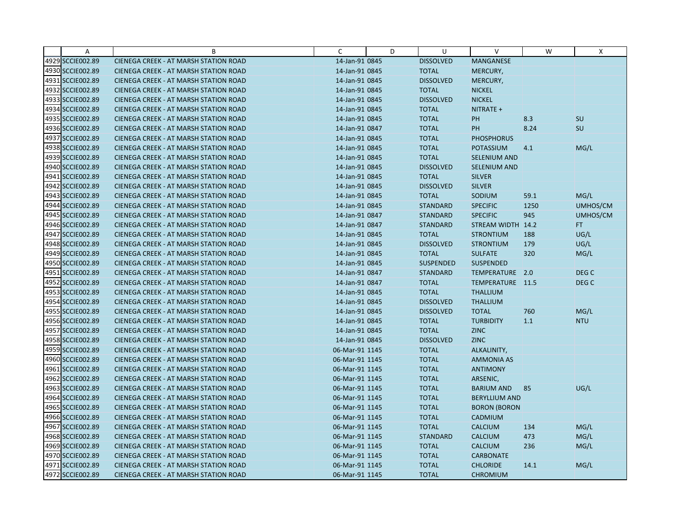| Α                | B                                            | C              | D | U                | V                    | W    | X                |
|------------------|----------------------------------------------|----------------|---|------------------|----------------------|------|------------------|
| 4929 SCCIE002.89 | CIENEGA CREEK - AT MARSH STATION ROAD        | 14-Jan-91 0845 |   | <b>DISSOLVED</b> | MANGANESE            |      |                  |
| 4930 SCCIE002.89 | <b>CIENEGA CREEK - AT MARSH STATION ROAD</b> | 14-Jan-91 0845 |   | <b>TOTAL</b>     | MERCURY,             |      |                  |
| 4931 SCCIE002.89 | <b>CIENEGA CREEK - AT MARSH STATION ROAD</b> | 14-Jan-91 0845 |   | <b>DISSOLVED</b> | MERCURY,             |      |                  |
| 4932 SCCIE002.89 | <b>CIENEGA CREEK - AT MARSH STATION ROAD</b> | 14-Jan-91 0845 |   | <b>TOTAL</b>     | <b>NICKEL</b>        |      |                  |
| 4933 SCCIE002.89 | <b>CIENEGA CREEK - AT MARSH STATION ROAD</b> | 14-Jan-91 0845 |   | <b>DISSOLVED</b> | <b>NICKEL</b>        |      |                  |
| 4934 SCCIE002.89 | <b>CIENEGA CREEK - AT MARSH STATION ROAD</b> | 14-Jan-91 0845 |   | <b>TOTAL</b>     | NITRATE +            |      |                  |
| 4935 SCCIE002.89 | CIENEGA CREEK - AT MARSH STATION ROAD        | 14-Jan-91 0845 |   | <b>TOTAL</b>     | PH                   | 8.3  | SU               |
| 4936 SCCIE002.89 | CIENEGA CREEK - AT MARSH STATION ROAD        | 14-Jan-91 0847 |   | <b>TOTAL</b>     | <b>PH</b>            | 8.24 | SU               |
| 4937 SCCIE002.89 | <b>CIENEGA CREEK - AT MARSH STATION ROAD</b> | 14-Jan-91 0845 |   | <b>TOTAL</b>     | <b>PHOSPHORUS</b>    |      |                  |
| 4938 SCCIE002.89 | <b>CIENEGA CREEK - AT MARSH STATION ROAD</b> | 14-Jan-91 0845 |   | <b>TOTAL</b>     | <b>POTASSIUM</b>     | 4.1  | MG/L             |
| 4939 SCCIE002.89 | <b>CIENEGA CREEK - AT MARSH STATION ROAD</b> | 14-Jan-91 0845 |   | <b>TOTAL</b>     | SELENIUM AND         |      |                  |
| 4940 SCCIE002.89 | <b>CIENEGA CREEK - AT MARSH STATION ROAD</b> | 14-Jan-91 0845 |   | <b>DISSOLVED</b> | SELENIUM AND         |      |                  |
| 4941 SCCIE002.89 | <b>CIENEGA CREEK - AT MARSH STATION ROAD</b> | 14-Jan-91 0845 |   | <b>TOTAL</b>     | <b>SILVER</b>        |      |                  |
| 4942 SCCIE002.89 | <b>CIENEGA CREEK - AT MARSH STATION ROAD</b> | 14-Jan-91 0845 |   | <b>DISSOLVED</b> | <b>SILVER</b>        |      |                  |
| 4943 SCCIE002.89 | <b>CIENEGA CREEK - AT MARSH STATION ROAD</b> | 14-Jan-91 0845 |   | <b>TOTAL</b>     | SODIUM               | 59.1 | MG/L             |
| 4944 SCCIE002.89 | <b>CIENEGA CREEK - AT MARSH STATION ROAD</b> | 14-Jan-91 0845 |   | <b>STANDARD</b>  | <b>SPECIFIC</b>      | 1250 | UMHOS/CM         |
| 4945 SCCIE002.89 | CIENEGA CREEK - AT MARSH STATION ROAD        | 14-Jan-91 0847 |   | <b>STANDARD</b>  | <b>SPECIFIC</b>      | 945  | UMHOS/CM         |
| 4946 SCCIE002.89 | <b>CIENEGA CREEK - AT MARSH STATION ROAD</b> | 14-Jan-91 0847 |   | <b>STANDARD</b>  | STREAM WIDTH 14.2    |      | FT.              |
| 4947 SCCIE002.89 | <b>CIENEGA CREEK - AT MARSH STATION ROAD</b> | 14-Jan-91 0845 |   | <b>TOTAL</b>     | <b>STRONTIUM</b>     | 188  | UG/L             |
| 4948 SCCIE002.89 | <b>CIENEGA CREEK - AT MARSH STATION ROAD</b> | 14-Jan-91 0845 |   | <b>DISSOLVED</b> | <b>STRONTIUM</b>     | 179  | UG/L             |
| 4949 SCCIE002.89 | <b>CIENEGA CREEK - AT MARSH STATION ROAD</b> | 14-Jan-91 0845 |   | <b>TOTAL</b>     | <b>SULFATE</b>       | 320  | MG/L             |
| 4950 SCCIE002.89 | <b>CIENEGA CREEK - AT MARSH STATION ROAD</b> | 14-Jan-91 0845 |   | <b>SUSPENDED</b> | <b>SUSPENDED</b>     |      |                  |
| 4951 SCCIE002.89 | <b>CIENEGA CREEK - AT MARSH STATION ROAD</b> | 14-Jan-91 0847 |   | <b>STANDARD</b>  | TEMPERATURE 2.0      |      | DEG <sub>C</sub> |
| 4952 SCCIE002.89 | <b>CIENEGA CREEK - AT MARSH STATION ROAD</b> | 14-Jan-91 0847 |   | <b>TOTAL</b>     | TEMPERATURE 11.5     |      | DEG <sub>C</sub> |
| 4953 SCCIE002.89 | CIENEGA CREEK - AT MARSH STATION ROAD        | 14-Jan-91 0845 |   | <b>TOTAL</b>     | <b>THALLIUM</b>      |      |                  |
| 4954 SCCIE002.89 | CIENEGA CREEK - AT MARSH STATION ROAD        | 14-Jan-91 0845 |   | <b>DISSOLVED</b> | <b>THALLIUM</b>      |      |                  |
| 4955 SCCIE002.89 | <b>CIENEGA CREEK - AT MARSH STATION ROAD</b> | 14-Jan-91 0845 |   | <b>DISSOLVED</b> | <b>TOTAL</b>         | 760  | MG/L             |
| 4956 SCCIE002.89 | <b>CIENEGA CREEK - AT MARSH STATION ROAD</b> | 14-Jan-91 0845 |   | <b>TOTAL</b>     | <b>TURBIDITY</b>     | 1.1  | <b>NTU</b>       |
| 4957 SCCIE002.89 | <b>CIENEGA CREEK - AT MARSH STATION ROAD</b> | 14-Jan-91 0845 |   | <b>TOTAL</b>     | <b>ZINC</b>          |      |                  |
| 4958 SCCIE002.89 | <b>CIENEGA CREEK - AT MARSH STATION ROAD</b> | 14-Jan-91 0845 |   | <b>DISSOLVED</b> | <b>ZINC</b>          |      |                  |
| 4959 SCCIE002.89 | CIENEGA CREEK - AT MARSH STATION ROAD        | 06-Mar-91 1145 |   | <b>TOTAL</b>     | ALKALINITY,          |      |                  |
| 4960 SCCIE002.89 | <b>CIENEGA CREEK - AT MARSH STATION ROAD</b> | 06-Mar-91 1145 |   | <b>TOTAL</b>     | <b>AMMONIA AS</b>    |      |                  |
| 4961 SCCIE002.89 | <b>CIENEGA CREEK - AT MARSH STATION ROAD</b> | 06-Mar-91 1145 |   | <b>TOTAL</b>     | <b>ANTIMONY</b>      |      |                  |
| 4962 SCCIE002.89 | <b>CIENEGA CREEK - AT MARSH STATION ROAD</b> | 06-Mar-91 1145 |   | <b>TOTAL</b>     | ARSENIC,             |      |                  |
| 4963 SCCIE002.89 | <b>CIENEGA CREEK - AT MARSH STATION ROAD</b> | 06-Mar-91 1145 |   | <b>TOTAL</b>     | <b>BARIUM AND</b>    | 85   | UG/L             |
| 4964 SCCIE002.89 | CIENEGA CREEK - AT MARSH STATION ROAD        | 06-Mar-91 1145 |   | <b>TOTAL</b>     | <b>BERYLLIUM AND</b> |      |                  |
| 4965 SCCIE002.89 | <b>CIENEGA CREEK - AT MARSH STATION ROAD</b> | 06-Mar-91 1145 |   | <b>TOTAL</b>     | <b>BORON (BORON</b>  |      |                  |
| 4966 SCCIE002.89 | <b>CIENEGA CREEK - AT MARSH STATION ROAD</b> | 06-Mar-91 1145 |   | <b>TOTAL</b>     | CADMIUM              |      |                  |
| 4967 SCCIE002.89 | CIENEGA CREEK - AT MARSH STATION ROAD        | 06-Mar-91 1145 |   | <b>TOTAL</b>     | <b>CALCIUM</b>       | 134  | MG/L             |
| 4968 SCCIE002.89 | <b>CIENEGA CREEK - AT MARSH STATION ROAD</b> | 06-Mar-91 1145 |   | <b>STANDARD</b>  | <b>CALCIUM</b>       | 473  | MG/L             |
| 4969 SCCIE002.89 | <b>CIENEGA CREEK - AT MARSH STATION ROAD</b> | 06-Mar-91 1145 |   | <b>TOTAL</b>     | <b>CALCIUM</b>       | 236  | MG/L             |
| 4970 SCCIE002.89 | CIENEGA CREEK - AT MARSH STATION ROAD        | 06-Mar-91 1145 |   | <b>TOTAL</b>     | <b>CARBONATE</b>     |      |                  |
| 4971 SCCIE002.89 | <b>CIENEGA CREEK - AT MARSH STATION ROAD</b> | 06-Mar-91 1145 |   | <b>TOTAL</b>     | <b>CHLORIDE</b>      | 14.1 | MG/L             |
| 4972 SCCIE002.89 | CIENEGA CREEK - AT MARSH STATION ROAD        | 06-Mar-91 1145 |   | <b>TOTAL</b>     | <b>CHROMIUM</b>      |      |                  |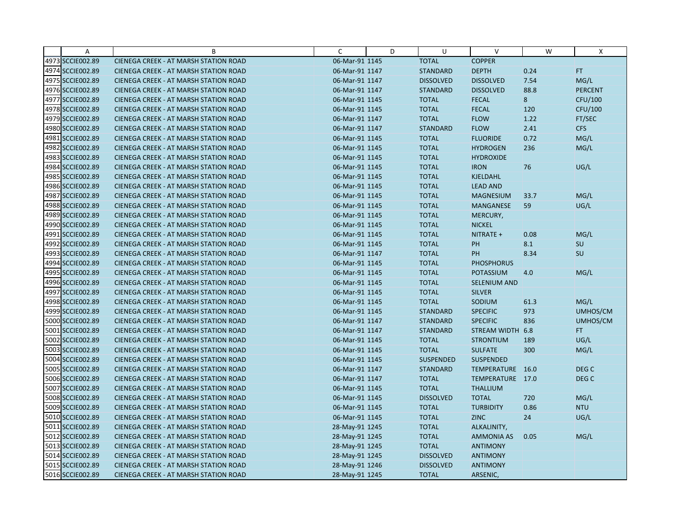| Α                | B                                            | C              | D | U                | $\vee$              | W    | X                |
|------------------|----------------------------------------------|----------------|---|------------------|---------------------|------|------------------|
| 4973 SCCIE002.89 | CIENEGA CREEK - AT MARSH STATION ROAD        | 06-Mar-91 1145 |   | <b>TOTAL</b>     | <b>COPPER</b>       |      |                  |
| 4974 SCCIE002.89 | CIENEGA CREEK - AT MARSH STATION ROAD        | 06-Mar-91 1147 |   | <b>STANDARD</b>  | <b>DEPTH</b>        | 0.24 | <b>FT</b>        |
| 4975 SCCIE002.89 | <b>CIENEGA CREEK - AT MARSH STATION ROAD</b> | 06-Mar-91 1147 |   | <b>DISSOLVED</b> | <b>DISSOLVED</b>    | 7.54 | MG/L             |
| 4976 SCCIE002.89 | <b>CIENEGA CREEK - AT MARSH STATION ROAD</b> | 06-Mar-91 1147 |   | <b>STANDARD</b>  | <b>DISSOLVED</b>    | 88.8 | <b>PERCENT</b>   |
| 4977 SCCIE002.89 | <b>CIENEGA CREEK - AT MARSH STATION ROAD</b> | 06-Mar-91 1145 |   | <b>TOTAL</b>     | <b>FECAL</b>        | 8    | CFU/100          |
| 4978 SCCIE002.89 | <b>CIENEGA CREEK - AT MARSH STATION ROAD</b> | 06-Mar-91 1145 |   | <b>TOTAL</b>     | <b>FECAL</b>        | 120  | CFU/100          |
| 4979 SCCIE002.89 | <b>CIENEGA CREEK - AT MARSH STATION ROAD</b> | 06-Mar-91 1147 |   | <b>TOTAL</b>     | <b>FLOW</b>         | 1.22 | FT/SEC           |
| 4980 SCCIE002.89 | <b>CIENEGA CREEK - AT MARSH STATION ROAD</b> | 06-Mar-91 1147 |   | <b>STANDARD</b>  | <b>FLOW</b>         | 2.41 | <b>CFS</b>       |
| 4981 SCCIE002.89 | CIENEGA CREEK - AT MARSH STATION ROAD        | 06-Mar-91 1145 |   | <b>TOTAL</b>     | <b>FLUORIDE</b>     | 0.72 | MG/L             |
| 4982 SCCIE002.89 | <b>CIENEGA CREEK - AT MARSH STATION ROAD</b> | 06-Mar-91 1145 |   | <b>TOTAL</b>     | <b>HYDROGEN</b>     | 236  | MG/L             |
| 4983 SCCIE002.89 | <b>CIENEGA CREEK - AT MARSH STATION ROAD</b> | 06-Mar-91 1145 |   | <b>TOTAL</b>     | <b>HYDROXIDE</b>    |      |                  |
| 4984 SCCIE002.89 | CIENEGA CREEK - AT MARSH STATION ROAD        | 06-Mar-91 1145 |   | <b>TOTAL</b>     | <b>IRON</b>         | 76   | UG/L             |
| 4985 SCCIE002.89 | <b>CIENEGA CREEK - AT MARSH STATION ROAD</b> | 06-Mar-91 1145 |   | <b>TOTAL</b>     | <b>KJELDAHL</b>     |      |                  |
| 4986 SCCIE002.89 | <b>CIENEGA CREEK - AT MARSH STATION ROAD</b> | 06-Mar-91 1145 |   | <b>TOTAL</b>     | <b>LEAD AND</b>     |      |                  |
| 4987 SCCIE002.89 | <b>CIENEGA CREEK - AT MARSH STATION ROAD</b> | 06-Mar-91 1145 |   | <b>TOTAL</b>     | <b>MAGNESIUM</b>    | 33.7 | MG/L             |
| 4988 SCCIE002.89 | CIENEGA CREEK - AT MARSH STATION ROAD        | 06-Mar-91 1145 |   | <b>TOTAL</b>     | <b>MANGANESE</b>    | 59   | UG/L             |
| 4989 SCCIE002.89 | CIENEGA CREEK - AT MARSH STATION ROAD        | 06-Mar-91 1145 |   | <b>TOTAL</b>     | MERCURY,            |      |                  |
| 4990 SCCIE002.89 | <b>CIENEGA CREEK - AT MARSH STATION ROAD</b> | 06-Mar-91 1145 |   | <b>TOTAL</b>     | <b>NICKEL</b>       |      |                  |
| 4991 SCCIE002.89 | <b>CIENEGA CREEK - AT MARSH STATION ROAD</b> | 06-Mar-91 1145 |   | <b>TOTAL</b>     | NITRATE +           | 0.08 | MG/L             |
| 4992 SCCIE002.89 | <b>CIENEGA CREEK - AT MARSH STATION ROAD</b> | 06-Mar-91 1145 |   | <b>TOTAL</b>     | PH                  | 8.1  | SU               |
| 4993 SCCIE002.89 | <b>CIENEGA CREEK - AT MARSH STATION ROAD</b> | 06-Mar-91 1147 |   | <b>TOTAL</b>     | PH                  | 8.34 | SU               |
| 4994 SCCIE002.89 | <b>CIENEGA CREEK - AT MARSH STATION ROAD</b> | 06-Mar-91 1145 |   | <b>TOTAL</b>     | <b>PHOSPHORUS</b>   |      |                  |
| 4995 SCCIE002.89 | CIENEGA CREEK - AT MARSH STATION ROAD        | 06-Mar-91 1145 |   | <b>TOTAL</b>     | <b>POTASSIUM</b>    | 4.0  | MG/L             |
| 4996 SCCIE002.89 | <b>CIENEGA CREEK - AT MARSH STATION ROAD</b> | 06-Mar-91 1145 |   | <b>TOTAL</b>     | <b>SELENIUM AND</b> |      |                  |
| 4997 SCCIE002.89 | CIENEGA CREEK - AT MARSH STATION ROAD        | 06-Mar-91 1145 |   | <b>TOTAL</b>     | <b>SILVER</b>       |      |                  |
| 4998 SCCIE002.89 | <b>CIENEGA CREEK - AT MARSH STATION ROAD</b> | 06-Mar-91 1145 |   | <b>TOTAL</b>     | SODIUM              | 61.3 | MG/L             |
| 4999 SCCIE002.89 | CIENEGA CREEK - AT MARSH STATION ROAD        | 06-Mar-91 1145 |   | <b>STANDARD</b>  | <b>SPECIFIC</b>     | 973  | UMHOS/CM         |
| 5000 SCCIE002.89 | CIENEGA CREEK - AT MARSH STATION ROAD        | 06-Mar-91 1147 |   | <b>STANDARD</b>  | <b>SPECIFIC</b>     | 836  | UMHOS/CM         |
| 5001 SCCIE002.89 | <b>CIENEGA CREEK - AT MARSH STATION ROAD</b> | 06-Mar-91 1147 |   | <b>STANDARD</b>  | STREAM WIDTH 6.8    |      | FT.              |
| 5002 SCCIE002.89 | <b>CIENEGA CREEK - AT MARSH STATION ROAD</b> | 06-Mar-91 1145 |   | <b>TOTAL</b>     | <b>STRONTIUM</b>    | 189  | UG/L             |
| 5003 SCCIE002.89 | CIENEGA CREEK - AT MARSH STATION ROAD        | 06-Mar-91 1145 |   | <b>TOTAL</b>     | <b>SULFATE</b>      | 300  | MG/L             |
| 5004 SCCIE002.89 | <b>CIENEGA CREEK - AT MARSH STATION ROAD</b> | 06-Mar-91 1145 |   | <b>SUSPENDED</b> | <b>SUSPENDED</b>    |      |                  |
| 5005 SCCIE002.89 | CIENEGA CREEK - AT MARSH STATION ROAD        | 06-Mar-91 1147 |   | <b>STANDARD</b>  | TEMPERATURE 16.0    |      | DEG <sub>C</sub> |
| 5006 SCCIE002.89 | CIENEGA CREEK - AT MARSH STATION ROAD        | 06-Mar-91 1147 |   | <b>TOTAL</b>     | TEMPERATURE 17.0    |      | DEG <sub>C</sub> |
| 5007 SCCIE002.89 | CIENEGA CREEK - AT MARSH STATION ROAD        | 06-Mar-91 1145 |   | <b>TOTAL</b>     | <b>THALLIUM</b>     |      |                  |
| 5008 SCCIE002.89 | <b>CIENEGA CREEK - AT MARSH STATION ROAD</b> | 06-Mar-91 1145 |   | <b>DISSOLVED</b> | <b>TOTAL</b>        | 720  | MG/L             |
| 5009 SCCIE002.89 | <b>CIENEGA CREEK - AT MARSH STATION ROAD</b> | 06-Mar-91 1145 |   | <b>TOTAL</b>     | <b>TURBIDITY</b>    | 0.86 | <b>NTU</b>       |
| 5010 SCCIE002.89 | CIENEGA CREEK - AT MARSH STATION ROAD        | 06-Mar-91 1145 |   | <b>TOTAL</b>     | <b>ZINC</b>         | 24   | UG/L             |
| 5011 SCCIE002.89 | CIENEGA CREEK - AT MARSH STATION ROAD        | 28-May-91 1245 |   | <b>TOTAL</b>     | ALKALINITY,         |      |                  |
| 5012 SCCIE002.89 | <b>CIENEGA CREEK - AT MARSH STATION ROAD</b> | 28-May-91 1245 |   | <b>TOTAL</b>     | <b>AMMONIA AS</b>   | 0.05 | MG/L             |
| 5013 SCCIE002.89 | <b>CIENEGA CREEK - AT MARSH STATION ROAD</b> | 28-May-91 1245 |   | <b>TOTAL</b>     | <b>ANTIMONY</b>     |      |                  |
| 5014 SCCIE002.89 | CIENEGA CREEK - AT MARSH STATION ROAD        | 28-May-91 1245 |   | <b>DISSOLVED</b> | <b>ANTIMONY</b>     |      |                  |
| 5015 SCCIE002.89 | CIENEGA CREEK - AT MARSH STATION ROAD        | 28-May-91 1246 |   | <b>DISSOLVED</b> | <b>ANTIMONY</b>     |      |                  |
| 5016 SCCIE002.89 | CIENEGA CREEK - AT MARSH STATION ROAD        | 28-May-91 1245 |   | <b>TOTAL</b>     | ARSENIC,            |      |                  |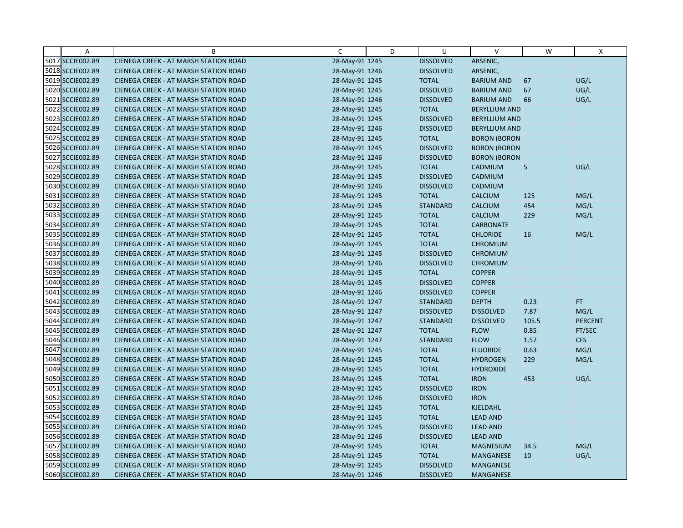| Α                | B                                            | C              | D | U                | V                    | W     | X              |
|------------------|----------------------------------------------|----------------|---|------------------|----------------------|-------|----------------|
| 5017 SCCIE002.89 | CIENEGA CREEK - AT MARSH STATION ROAD        | 28-May-91 1245 |   | <b>DISSOLVED</b> | ARSENIC,             |       |                |
| 5018 SCCIE002.89 | CIENEGA CREEK - AT MARSH STATION ROAD        | 28-May-91 1246 |   | <b>DISSOLVED</b> | ARSENIC,             |       |                |
| 5019 SCCIE002.89 | <b>CIENEGA CREEK - AT MARSH STATION ROAD</b> | 28-May-91 1245 |   | <b>TOTAL</b>     | <b>BARIUM AND</b>    | 67    | UG/L           |
| 5020 SCCIE002.89 | <b>CIENEGA CREEK - AT MARSH STATION ROAD</b> | 28-May-91 1245 |   | <b>DISSOLVED</b> | <b>BARIUM AND</b>    | 67    | UG/L           |
| 5021 SCCIE002.89 | CIENEGA CREEK - AT MARSH STATION ROAD        | 28-May-91 1246 |   | <b>DISSOLVED</b> | <b>BARIUM AND</b>    | 66    | UG/L           |
| 5022 SCCIE002.89 | CIENEGA CREEK - AT MARSH STATION ROAD        | 28-May-91 1245 |   | <b>TOTAL</b>     | <b>BERYLLIUM AND</b> |       |                |
| 5023 SCCIE002.89 | CIENEGA CREEK - AT MARSH STATION ROAD        | 28-May-91 1245 |   | <b>DISSOLVED</b> | <b>BERYLLIUM AND</b> |       |                |
| 5024 SCCIE002.89 | CIENEGA CREEK - AT MARSH STATION ROAD        | 28-May-91 1246 |   | <b>DISSOLVED</b> | <b>BERYLLIUM AND</b> |       |                |
| 5025 SCCIE002.89 | CIENEGA CREEK - AT MARSH STATION ROAD        | 28-May-91 1245 |   | <b>TOTAL</b>     | <b>BORON (BORON</b>  |       |                |
| 5026 SCCIE002.89 | CIENEGA CREEK - AT MARSH STATION ROAD        | 28-May-91 1245 |   | <b>DISSOLVED</b> | <b>BORON (BORON</b>  |       |                |
| 5027 SCCIE002.89 | CIENEGA CREEK - AT MARSH STATION ROAD        | 28-May-91 1246 |   | <b>DISSOLVED</b> | <b>BORON (BORON</b>  |       |                |
| 5028 SCCIE002.89 | CIENEGA CREEK - AT MARSH STATION ROAD        | 28-May-91 1245 |   | <b>TOTAL</b>     | CADMIUM              | 5     | UG/L           |
| 5029 SCCIE002.89 | CIENEGA CREEK - AT MARSH STATION ROAD        | 28-May-91 1245 |   | <b>DISSOLVED</b> | CADMIUM              |       |                |
| 5030 SCCIE002.89 | CIENEGA CREEK - AT MARSH STATION ROAD        | 28-May-91 1246 |   | <b>DISSOLVED</b> | CADMIUM              |       |                |
| 5031 SCCIE002.89 | CIENEGA CREEK - AT MARSH STATION ROAD        | 28-May-91 1245 |   | <b>TOTAL</b>     | <b>CALCIUM</b>       | 125   | MG/L           |
| 5032 SCCIE002.89 | CIENEGA CREEK - AT MARSH STATION ROAD        | 28-May-91 1245 |   | <b>STANDARD</b>  | <b>CALCIUM</b>       | 454   | MG/L           |
| 5033 SCCIE002.89 | CIENEGA CREEK - AT MARSH STATION ROAD        | 28-May-91 1245 |   | <b>TOTAL</b>     | <b>CALCIUM</b>       | 229   | MG/L           |
| 5034 SCCIE002.89 | CIENEGA CREEK - AT MARSH STATION ROAD        | 28-May-91 1245 |   | <b>TOTAL</b>     | <b>CARBONATE</b>     |       |                |
| 5035 SCCIE002.89 | <b>CIENEGA CREEK - AT MARSH STATION ROAD</b> | 28-May-91 1245 |   | <b>TOTAL</b>     | <b>CHLORIDE</b>      | 16    | MG/L           |
| 5036 SCCIE002.89 | CIENEGA CREEK - AT MARSH STATION ROAD        | 28-May-91 1245 |   | <b>TOTAL</b>     | <b>CHROMIUM</b>      |       |                |
| 5037 SCCIE002.89 | CIENEGA CREEK - AT MARSH STATION ROAD        | 28-May-91 1245 |   | <b>DISSOLVED</b> | <b>CHROMIUM</b>      |       |                |
| 5038 SCCIE002.89 | CIENEGA CREEK - AT MARSH STATION ROAD        | 28-May-91 1246 |   | <b>DISSOLVED</b> | <b>CHROMIUM</b>      |       |                |
| 5039 SCCIE002.89 | CIENEGA CREEK - AT MARSH STATION ROAD        | 28-May-91 1245 |   | <b>TOTAL</b>     | <b>COPPER</b>        |       |                |
| 5040 SCCIE002.89 | CIENEGA CREEK - AT MARSH STATION ROAD        | 28-May-91 1245 |   | <b>DISSOLVED</b> | <b>COPPER</b>        |       |                |
| 5041 SCCIE002.89 | CIENEGA CREEK - AT MARSH STATION ROAD        | 28-May-91 1246 |   | <b>DISSOLVED</b> | <b>COPPER</b>        |       |                |
| 5042 SCCIE002.89 | CIENEGA CREEK - AT MARSH STATION ROAD        | 28-May-91 1247 |   | <b>STANDARD</b>  | <b>DEPTH</b>         | 0.23  | FT.            |
| 5043 SCCIE002.89 | <b>CIENEGA CREEK - AT MARSH STATION ROAD</b> | 28-May-91 1247 |   | <b>DISSOLVED</b> | <b>DISSOLVED</b>     | 7.87  | MG/L           |
| 5044 SCCIE002.89 | CIENEGA CREEK - AT MARSH STATION ROAD        | 28-May-91 1247 |   | <b>STANDARD</b>  | <b>DISSOLVED</b>     | 105.5 | <b>PERCENT</b> |
| 5045 SCCIE002.89 | <b>CIENEGA CREEK - AT MARSH STATION ROAD</b> | 28-May-91 1247 |   | <b>TOTAL</b>     | <b>FLOW</b>          | 0.85  | FT/SEC         |
| 5046 SCCIE002.89 | <b>CIENEGA CREEK - AT MARSH STATION ROAD</b> | 28-May-91 1247 |   | <b>STANDARD</b>  | <b>FLOW</b>          | 1.57  | <b>CFS</b>     |
| 5047 SCCIE002.89 | CIENEGA CREEK - AT MARSH STATION ROAD        | 28-May-91 1245 |   | <b>TOTAL</b>     | <b>FLUORIDE</b>      | 0.63  | MG/L           |
| 5048 SCCIE002.89 | <b>CIENEGA CREEK - AT MARSH STATION ROAD</b> | 28-May-91 1245 |   | <b>TOTAL</b>     | <b>HYDROGEN</b>      | 229   | MG/L           |
| 5049 SCCIE002.89 | CIENEGA CREEK - AT MARSH STATION ROAD        | 28-May-91 1245 |   | <b>TOTAL</b>     | <b>HYDROXIDE</b>     |       |                |
| 5050 SCCIE002.89 | CIENEGA CREEK - AT MARSH STATION ROAD        | 28-May-91 1245 |   | <b>TOTAL</b>     | <b>IRON</b>          | 453   | UG/L           |
| 5051 SCCIE002.89 | <b>CIENEGA CREEK - AT MARSH STATION ROAD</b> | 28-May-91 1245 |   | <b>DISSOLVED</b> | <b>IRON</b>          |       |                |
| 5052 SCCIE002.89 | CIENEGA CREEK - AT MARSH STATION ROAD        | 28-May-91 1246 |   | <b>DISSOLVED</b> | <b>IRON</b>          |       |                |
| 5053 SCCIE002.89 | <b>CIENEGA CREEK - AT MARSH STATION ROAD</b> | 28-May-91 1245 |   | <b>TOTAL</b>     | <b>KJELDAHL</b>      |       |                |
| 5054 SCCIE002.89 | CIENEGA CREEK - AT MARSH STATION ROAD        | 28-May-91 1245 |   | <b>TOTAL</b>     | <b>LEAD AND</b>      |       |                |
| 5055 SCCIE002.89 | CIENEGA CREEK - AT MARSH STATION ROAD        | 28-May-91 1245 |   | <b>DISSOLVED</b> | <b>LEAD AND</b>      |       |                |
| 5056 SCCIE002.89 | <b>CIENEGA CREEK - AT MARSH STATION ROAD</b> | 28-May-91 1246 |   | <b>DISSOLVED</b> | <b>LEAD AND</b>      |       |                |
| 5057 SCCIE002.89 | <b>CIENEGA CREEK - AT MARSH STATION ROAD</b> | 28-May-91 1245 |   | <b>TOTAL</b>     | <b>MAGNESIUM</b>     | 34.5  | MG/L           |
| 5058 SCCIE002.89 | CIENEGA CREEK - AT MARSH STATION ROAD        | 28-May-91 1245 |   | <b>TOTAL</b>     | MANGANESE            | 10    | UG/L           |
| 5059 SCCIE002.89 | CIENEGA CREEK - AT MARSH STATION ROAD        | 28-May-91 1245 |   | <b>DISSOLVED</b> | MANGANESE            |       |                |
| 5060 SCCIE002.89 | CIENEGA CREEK - AT MARSH STATION ROAD        | 28-May-91 1246 |   | <b>DISSOLVED</b> | MANGANESE            |       |                |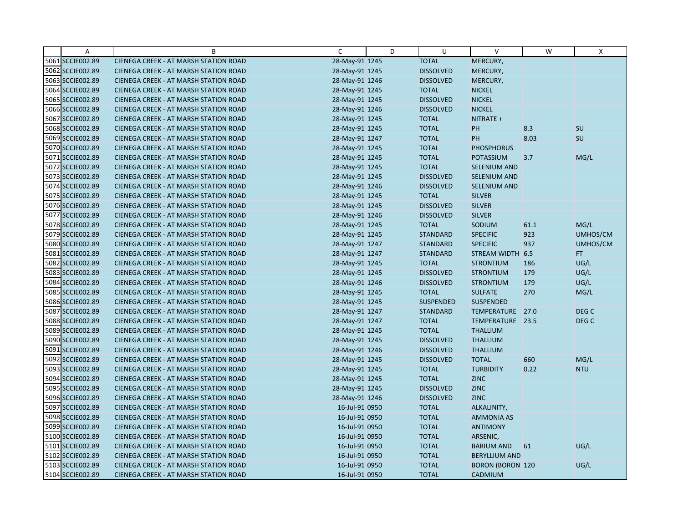| Α                | B                                            | C              | D | U                | $\vee$                  | W    | Χ          |
|------------------|----------------------------------------------|----------------|---|------------------|-------------------------|------|------------|
| 5061 SCCIE002.89 | CIENEGA CREEK - AT MARSH STATION ROAD        | 28-May-91 1245 |   | <b>TOTAL</b>     | MERCURY,                |      |            |
| 5062 SCCIE002.89 | CIENEGA CREEK - AT MARSH STATION ROAD        | 28-May-91 1245 |   | <b>DISSOLVED</b> | MERCURY,                |      |            |
| 5063 SCCIE002.89 | <b>CIENEGA CREEK - AT MARSH STATION ROAD</b> | 28-May-91 1246 |   | <b>DISSOLVED</b> | MERCURY,                |      |            |
| 5064 SCCIE002.89 | <b>CIENEGA CREEK - AT MARSH STATION ROAD</b> | 28-May-91 1245 |   | <b>TOTAL</b>     | <b>NICKEL</b>           |      |            |
| 5065 SCCIE002.89 | <b>CIENEGA CREEK - AT MARSH STATION ROAD</b> | 28-May-91 1245 |   | <b>DISSOLVED</b> | <b>NICKEL</b>           |      |            |
| 5066 SCCIE002.89 | CIENEGA CREEK - AT MARSH STATION ROAD        | 28-May-91 1246 |   | <b>DISSOLVED</b> | <b>NICKEL</b>           |      |            |
| 5067 SCCIE002.89 | <b>CIENEGA CREEK - AT MARSH STATION ROAD</b> | 28-May-91 1245 |   | <b>TOTAL</b>     | NITRATE +               |      |            |
| 5068 SCCIE002.89 | CIENEGA CREEK - AT MARSH STATION ROAD        | 28-May-91 1245 |   | <b>TOTAL</b>     | <b>PH</b>               | 8.3  | <b>SU</b>  |
| 5069 SCCIE002.89 | CIENEGA CREEK - AT MARSH STATION ROAD        | 28-May-91 1247 |   | <b>TOTAL</b>     | PH                      | 8.03 | SU         |
| 5070 SCCIE002.89 | CIENEGA CREEK - AT MARSH STATION ROAD        | 28-May-91 1245 |   | <b>TOTAL</b>     | <b>PHOSPHORUS</b>       |      |            |
| 5071 SCCIE002.89 | CIENEGA CREEK - AT MARSH STATION ROAD        | 28-May-91 1245 |   | <b>TOTAL</b>     | POTASSIUM               | 3.7  | MG/L       |
| 5072 SCCIE002.89 | CIENEGA CREEK - AT MARSH STATION ROAD        | 28-May-91 1245 |   | <b>TOTAL</b>     | <b>SELENIUM AND</b>     |      |            |
| 5073 SCCIE002.89 | CIENEGA CREEK - AT MARSH STATION ROAD        | 28-May-91 1245 |   | <b>DISSOLVED</b> | <b>SELENIUM AND</b>     |      |            |
| 5074 SCCIE002.89 | CIENEGA CREEK - AT MARSH STATION ROAD        | 28-May-91 1246 |   | <b>DISSOLVED</b> | <b>SELENIUM AND</b>     |      |            |
| 5075 SCCIE002.89 | <b>CIENEGA CREEK - AT MARSH STATION ROAD</b> | 28-May-91 1245 |   | <b>TOTAL</b>     | <b>SILVER</b>           |      |            |
| 5076 SCCIE002.89 | CIENEGA CREEK - AT MARSH STATION ROAD        | 28-May-91 1245 |   | <b>DISSOLVED</b> | <b>SILVER</b>           |      |            |
| 5077 SCCIE002.89 | CIENEGA CREEK - AT MARSH STATION ROAD        | 28-May-91 1246 |   | <b>DISSOLVED</b> | <b>SILVER</b>           |      |            |
| 5078 SCCIE002.89 | CIENEGA CREEK - AT MARSH STATION ROAD        | 28-May-91 1245 |   | <b>TOTAL</b>     | SODIUM                  | 61.1 | MG/L       |
| 5079 SCCIE002.89 | <b>CIENEGA CREEK - AT MARSH STATION ROAD</b> | 28-May-91 1245 |   | <b>STANDARD</b>  | <b>SPECIFIC</b>         | 923  | UMHOS/CM   |
| 5080 SCCIE002.89 | CIENEGA CREEK - AT MARSH STATION ROAD        | 28-May-91 1247 |   | <b>STANDARD</b>  | <b>SPECIFIC</b>         | 937  | UMHOS/CM   |
| 5081 SCCIE002.89 | <b>CIENEGA CREEK - AT MARSH STATION ROAD</b> | 28-May-91 1247 |   | <b>STANDARD</b>  | <b>STREAM WIDTH</b>     | 6.5  | FT.        |
| 5082 SCCIE002.89 | CIENEGA CREEK - AT MARSH STATION ROAD        | 28-May-91 1245 |   | <b>TOTAL</b>     | <b>STRONTIUM</b>        | 186  | UG/L       |
| 5083 SCCIE002.89 | CIENEGA CREEK - AT MARSH STATION ROAD        | 28-May-91 1245 |   | <b>DISSOLVED</b> | <b>STRONTIUM</b>        | 179  | UG/L       |
| 5084 SCCIE002.89 | <b>CIENEGA CREEK - AT MARSH STATION ROAD</b> | 28-May-91 1246 |   | <b>DISSOLVED</b> | <b>STRONTIUM</b>        | 179  | UG/L       |
| 5085 SCCIE002.89 | CIENEGA CREEK - AT MARSH STATION ROAD        | 28-May-91 1245 |   | <b>TOTAL</b>     | <b>SULFATE</b>          | 270  | MG/L       |
| 5086 SCCIE002.89 | CIENEGA CREEK - AT MARSH STATION ROAD        | 28-May-91 1245 |   | <b>SUSPENDED</b> | <b>SUSPENDED</b>        |      |            |
| 5087 SCCIE002.89 | CIENEGA CREEK - AT MARSH STATION ROAD        | 28-May-91 1247 |   | <b>STANDARD</b>  | TEMPERATURE 27.0        |      | DEG C      |
| 5088 SCCIE002.89 | CIENEGA CREEK - AT MARSH STATION ROAD        | 28-May-91 1247 |   | <b>TOTAL</b>     | TEMPERATURE 23.5        |      | DEG C      |
| 5089 SCCIE002.89 | CIENEGA CREEK - AT MARSH STATION ROAD        | 28-May-91 1245 |   | <b>TOTAL</b>     | <b>THALLIUM</b>         |      |            |
| 5090 SCCIE002.89 | <b>CIENEGA CREEK - AT MARSH STATION ROAD</b> | 28-May-91 1245 |   | <b>DISSOLVED</b> | <b>THALLIUM</b>         |      |            |
| 5091 SCCIE002.89 | CIENEGA CREEK - AT MARSH STATION ROAD        | 28-May-91 1246 |   | <b>DISSOLVED</b> | <b>THALLIUM</b>         |      |            |
| 5092 SCCIE002.89 | CIENEGA CREEK - AT MARSH STATION ROAD        | 28-May-91 1245 |   | <b>DISSOLVED</b> | <b>TOTAL</b>            | 660  | MG/L       |
| 5093 SCCIE002.89 | CIENEGA CREEK - AT MARSH STATION ROAD        | 28-May-91 1245 |   | <b>TOTAL</b>     | <b>TURBIDITY</b>        | 0.22 | <b>NTU</b> |
| 5094 SCCIE002.89 | CIENEGA CREEK - AT MARSH STATION ROAD        | 28-May-91 1245 |   | <b>TOTAL</b>     | <b>ZINC</b>             |      |            |
| 5095 SCCIE002.89 | CIENEGA CREEK - AT MARSH STATION ROAD        | 28-May-91 1245 |   | <b>DISSOLVED</b> | <b>ZINC</b>             |      |            |
| 5096 SCCIE002.89 | <b>CIENEGA CREEK - AT MARSH STATION ROAD</b> | 28-May-91 1246 |   | <b>DISSOLVED</b> | <b>ZINC</b>             |      |            |
| 5097 SCCIE002.89 | <b>CIENEGA CREEK - AT MARSH STATION ROAD</b> | 16-Jul-91 0950 |   | <b>TOTAL</b>     | ALKALINITY,             |      |            |
| 5098 SCCIE002.89 | CIENEGA CREEK - AT MARSH STATION ROAD        | 16-Jul-91 0950 |   | <b>TOTAL</b>     | <b>AMMONIA AS</b>       |      |            |
| 5099 SCCIE002.89 | CIENEGA CREEK - AT MARSH STATION ROAD        | 16-Jul-91 0950 |   | <b>TOTAL</b>     | <b>ANTIMONY</b>         |      |            |
| 5100 SCCIE002.89 | <b>CIENEGA CREEK - AT MARSH STATION ROAD</b> | 16-Jul-91 0950 |   | <b>TOTAL</b>     | ARSENIC,                |      |            |
| 5101 SCCIE002.89 | <b>CIENEGA CREEK - AT MARSH STATION ROAD</b> | 16-Jul-91 0950 |   | <b>TOTAL</b>     | <b>BARIUM AND</b>       | 61   | UG/L       |
| 5102 SCCIE002.89 | CIENEGA CREEK - AT MARSH STATION ROAD        | 16-Jul-91 0950 |   | <b>TOTAL</b>     | <b>BERYLLIUM AND</b>    |      |            |
| 5103 SCCIE002.89 | CIENEGA CREEK - AT MARSH STATION ROAD        | 16-Jul-91 0950 |   | <b>TOTAL</b>     | <b>BORON (BORON 120</b> |      | UG/L       |
| 5104 SCCIE002.89 | CIENEGA CREEK - AT MARSH STATION ROAD        | 16-Jul-91 0950 |   | <b>TOTAL</b>     | CADMIUM                 |      |            |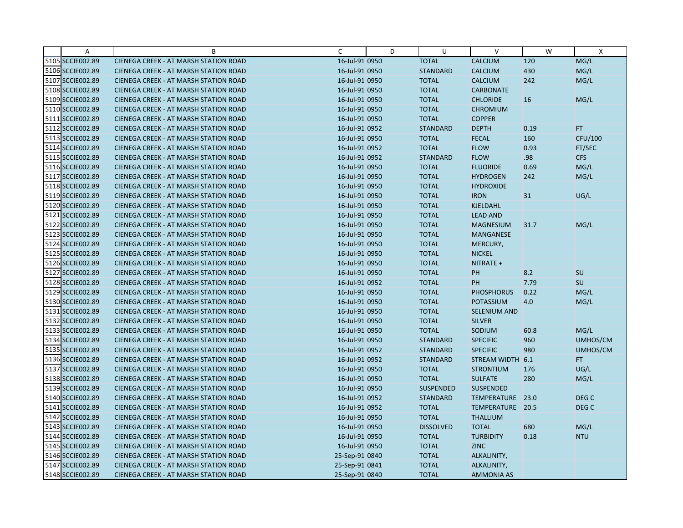| Α                | B                                            | C              | D | U                | $\vee$              | W    | X                |
|------------------|----------------------------------------------|----------------|---|------------------|---------------------|------|------------------|
| 5105 SCCIE002.89 | CIENEGA CREEK - AT MARSH STATION ROAD        | 16-Jul-91 0950 |   | <b>TOTAL</b>     | <b>CALCIUM</b>      | 120  | MG/L             |
| 5106 SCCIE002.89 | <b>CIENEGA CREEK - AT MARSH STATION ROAD</b> | 16-Jul-91 0950 |   | <b>STANDARD</b>  | <b>CALCIUM</b>      | 430  | MG/L             |
| 5107 SCCIE002.89 | <b>CIENEGA CREEK - AT MARSH STATION ROAD</b> | 16-Jul-91 0950 |   | <b>TOTAL</b>     | <b>CALCIUM</b>      | 242  | MG/L             |
| 5108 SCCIE002.89 | CIENEGA CREEK - AT MARSH STATION ROAD        | 16-Jul-91 0950 |   | <b>TOTAL</b>     | <b>CARBONATE</b>    |      |                  |
| 5109 SCCIE002.89 | CIENEGA CREEK - AT MARSH STATION ROAD        | 16-Jul-91 0950 |   | <b>TOTAL</b>     | <b>CHLORIDE</b>     | 16   | MG/L             |
| 5110 SCCIE002.89 | <b>CIENEGA CREEK - AT MARSH STATION ROAD</b> | 16-Jul-91 0950 |   | <b>TOTAL</b>     | <b>CHROMIUM</b>     |      |                  |
| 5111 SCCIE002.89 | CIENEGA CREEK - AT MARSH STATION ROAD        | 16-Jul-91 0950 |   | <b>TOTAL</b>     | <b>COPPER</b>       |      |                  |
| 5112 SCCIE002.89 | CIENEGA CREEK - AT MARSH STATION ROAD        | 16-Jul-91 0952 |   | <b>STANDARD</b>  | <b>DEPTH</b>        | 0.19 | FT.              |
| 5113 SCCIE002.89 | <b>CIENEGA CREEK - AT MARSH STATION ROAD</b> | 16-Jul-91 0950 |   | <b>TOTAL</b>     | <b>FECAL</b>        | 160  | CFU/100          |
| 5114 SCCIE002.89 | <b>CIENEGA CREEK - AT MARSH STATION ROAD</b> | 16-Jul-91 0952 |   | <b>TOTAL</b>     | <b>FLOW</b>         | 0.93 | FT/SEC           |
| 5115 SCCIE002.89 | <b>CIENEGA CREEK - AT MARSH STATION ROAD</b> | 16-Jul-91 0952 |   | <b>STANDARD</b>  | <b>FLOW</b>         | .98  | <b>CFS</b>       |
| 5116 SCCIE002.89 | CIENEGA CREEK - AT MARSH STATION ROAD        | 16-Jul-91 0950 |   | <b>TOTAL</b>     | <b>FLUORIDE</b>     | 0.69 | MG/L             |
| 5117 SCCIE002.89 | <b>CIENEGA CREEK - AT MARSH STATION ROAD</b> | 16-Jul-91 0950 |   | <b>TOTAL</b>     | <b>HYDROGEN</b>     | 242  | MG/L             |
| 5118 SCCIE002.89 | CIENEGA CREEK - AT MARSH STATION ROAD        | 16-Jul-91 0950 |   | <b>TOTAL</b>     | <b>HYDROXIDE</b>    |      |                  |
| 5119 SCCIE002.89 | CIENEGA CREEK - AT MARSH STATION ROAD        | 16-Jul-91 0950 |   | <b>TOTAL</b>     | <b>IRON</b>         | 31   | UG/L             |
| 5120 SCCIE002.89 | <b>CIENEGA CREEK - AT MARSH STATION ROAD</b> | 16-Jul-91 0950 |   | <b>TOTAL</b>     | KJELDAHL            |      |                  |
| 5121 SCCIE002.89 | <b>CIENEGA CREEK - AT MARSH STATION ROAD</b> | 16-Jul-91 0950 |   | <b>TOTAL</b>     | <b>LEAD AND</b>     |      |                  |
| 5122 SCCIE002.89 | CIENEGA CREEK - AT MARSH STATION ROAD        | 16-Jul-91 0950 |   | <b>TOTAL</b>     | <b>MAGNESIUM</b>    | 31.7 | MG/L             |
| 5123 SCCIE002.89 | <b>CIENEGA CREEK - AT MARSH STATION ROAD</b> | 16-Jul-91 0950 |   | <b>TOTAL</b>     | <b>MANGANESE</b>    |      |                  |
| 5124 SCCIE002.89 | <b>CIENEGA CREEK - AT MARSH STATION ROAD</b> | 16-Jul-91 0950 |   | <b>TOTAL</b>     | MERCURY,            |      |                  |
| 5125 SCCIE002.89 | CIENEGA CREEK - AT MARSH STATION ROAD        | 16-Jul-91 0950 |   | <b>TOTAL</b>     | <b>NICKEL</b>       |      |                  |
| 5126 SCCIE002.89 | CIENEGA CREEK - AT MARSH STATION ROAD        | 16-Jul-91 0950 |   | <b>TOTAL</b>     | NITRATE +           |      |                  |
| 5127 SCCIE002.89 | <b>CIENEGA CREEK - AT MARSH STATION ROAD</b> | 16-Jul-91 0950 |   | <b>TOTAL</b>     | <b>PH</b>           | 8.2  | SU               |
| 5128 SCCIE002.89 | <b>CIENEGA CREEK - AT MARSH STATION ROAD</b> | 16-Jul-91 0952 |   | <b>TOTAL</b>     | PH                  | 7.79 | SU               |
| 5129 SCCIE002.89 | CIENEGA CREEK - AT MARSH STATION ROAD        | 16-Jul-91 0950 |   | <b>TOTAL</b>     | <b>PHOSPHORUS</b>   | 0.22 | MG/L             |
| 5130 SCCIE002.89 | CIENEGA CREEK - AT MARSH STATION ROAD        | 16-Jul-91 0950 |   | <b>TOTAL</b>     | <b>POTASSIUM</b>    | 4.0  | MG/L             |
| 5131 SCCIE002.89 | <b>CIENEGA CREEK - AT MARSH STATION ROAD</b> | 16-Jul-91 0950 |   | <b>TOTAL</b>     | <b>SELENIUM AND</b> |      |                  |
| 5132 SCCIE002.89 | CIENEGA CREEK - AT MARSH STATION ROAD        | 16-Jul-91 0950 |   | <b>TOTAL</b>     | <b>SILVER</b>       |      |                  |
| 5133 SCCIE002.89 | CIENEGA CREEK - AT MARSH STATION ROAD        | 16-Jul-91 0950 |   | <b>TOTAL</b>     | SODIUM              | 60.8 | MG/L             |
| 5134 SCCIE002.89 | <b>CIENEGA CREEK - AT MARSH STATION ROAD</b> | 16-Jul-91 0950 |   | <b>STANDARD</b>  | <b>SPECIFIC</b>     | 960  | UMHOS/CM         |
| 5135 SCCIE002.89 | <b>CIENEGA CREEK - AT MARSH STATION ROAD</b> | 16-Jul-91 0952 |   | <b>STANDARD</b>  | <b>SPECIFIC</b>     | 980  | UMHOS/CM         |
| 5136 SCCIE002.89 | <b>CIENEGA CREEK - AT MARSH STATION ROAD</b> | 16-Jul-91 0952 |   | <b>STANDARD</b>  | STREAM WIDTH 6.1    |      | FT.              |
| 5137 SCCIE002.89 | CIENEGA CREEK - AT MARSH STATION ROAD        | 16-Jul-91 0950 |   | <b>TOTAL</b>     | <b>STRONTIUM</b>    | 176  | UG/L             |
| 5138 SCCIE002.89 | <b>CIENEGA CREEK - AT MARSH STATION ROAD</b> | 16-Jul-91 0950 |   | <b>TOTAL</b>     | <b>SULFATE</b>      | 280  | MG/L             |
| 5139 SCCIE002.89 | <b>CIENEGA CREEK - AT MARSH STATION ROAD</b> | 16-Jul-91 0950 |   | <b>SUSPENDED</b> | <b>SUSPENDED</b>    |      |                  |
| 5140 SCCIE002.89 | <b>CIENEGA CREEK - AT MARSH STATION ROAD</b> | 16-Jul-91 0952 |   | <b>STANDARD</b>  | TEMPERATURE 23.0    |      | DEG <sub>C</sub> |
| 5141 SCCIE002.89 | <b>CIENEGA CREEK - AT MARSH STATION ROAD</b> | 16-Jul-91 0952 |   | <b>TOTAL</b>     | TEMPERATURE 20.5    |      | DEG <sub>C</sub> |
| 5142 SCCIE002.89 | <b>CIENEGA CREEK - AT MARSH STATION ROAD</b> | 16-Jul-91 0950 |   | <b>TOTAL</b>     | <b>THALLIUM</b>     |      |                  |
| 5143 SCCIE002.89 | CIENEGA CREEK - AT MARSH STATION ROAD        | 16-Jul-91 0950 |   | <b>DISSOLVED</b> | <b>TOTAL</b>        | 680  | MG/L             |
| 5144 SCCIE002.89 | <b>CIENEGA CREEK - AT MARSH STATION ROAD</b> | 16-Jul-91 0950 |   | <b>TOTAL</b>     | <b>TURBIDITY</b>    | 0.18 | <b>NTU</b>       |
| 5145 SCCIE002.89 | <b>CIENEGA CREEK - AT MARSH STATION ROAD</b> | 16-Jul-91 0950 |   | <b>TOTAL</b>     | <b>ZINC</b>         |      |                  |
| 5146 SCCIE002.89 | CIENEGA CREEK - AT MARSH STATION ROAD        | 25-Sep-91 0840 |   | <b>TOTAL</b>     | ALKALINITY,         |      |                  |
| 5147 SCCIE002.89 | CIENEGA CREEK - AT MARSH STATION ROAD        | 25-Sep-91 0841 |   | <b>TOTAL</b>     | ALKALINITY,         |      |                  |
| 5148 SCCIE002.89 | CIENEGA CREEK - AT MARSH STATION ROAD        | 25-Sep-91 0840 |   | <b>TOTAL</b>     | <b>AMMONIA AS</b>   |      |                  |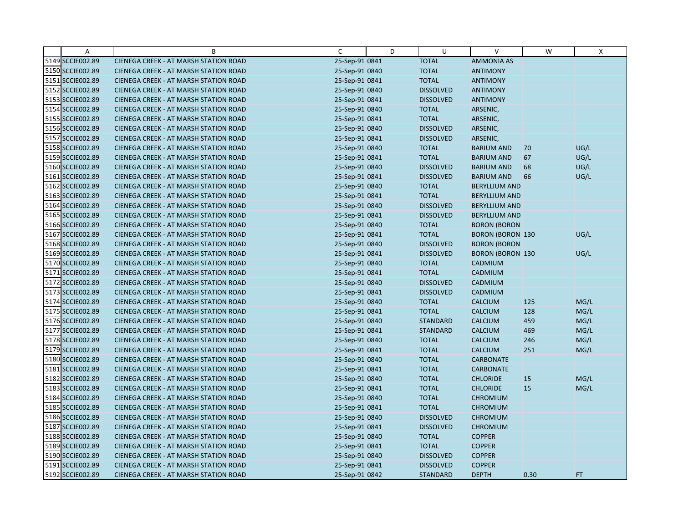| $\overline{A}$   | B                                            | $\mathsf{C}$   | D | U                | V                       | W    | Χ    |
|------------------|----------------------------------------------|----------------|---|------------------|-------------------------|------|------|
| 5149 SCCIE002.89 | CIENEGA CREEK - AT MARSH STATION ROAD        | 25-Sep-91 0841 |   | <b>TOTAL</b>     | <b>AMMONIA AS</b>       |      |      |
| 5150 SCCIE002.89 | CIENEGA CREEK - AT MARSH STATION ROAD        | 25-Sep-91 0840 |   | <b>TOTAL</b>     | <b>ANTIMONY</b>         |      |      |
| 5151 SCCIE002.89 | <b>CIENEGA CREEK - AT MARSH STATION ROAD</b> | 25-Sep-91 0841 |   | <b>TOTAL</b>     | <b>ANTIMONY</b>         |      |      |
| 5152 SCCIE002.89 | <b>CIENEGA CREEK - AT MARSH STATION ROAD</b> | 25-Sep-91 0840 |   | <b>DISSOLVED</b> | <b>ANTIMONY</b>         |      |      |
| 5153 SCCIE002.89 | CIENEGA CREEK - AT MARSH STATION ROAD        | 25-Sep-91 0841 |   | <b>DISSOLVED</b> | <b>ANTIMONY</b>         |      |      |
| 5154 SCCIE002.89 | <b>CIENEGA CREEK - AT MARSH STATION ROAD</b> | 25-Sep-91 0840 |   | <b>TOTAL</b>     | ARSENIC,                |      |      |
| 5155 SCCIE002.89 | <b>CIENEGA CREEK - AT MARSH STATION ROAD</b> | 25-Sep-91 0841 |   | <b>TOTAL</b>     | ARSENIC,                |      |      |
| 5156 SCCIE002.89 | CIENEGA CREEK - AT MARSH STATION ROAD        | 25-Sep-91 0840 |   | <b>DISSOLVED</b> | ARSENIC,                |      |      |
| 5157 SCCIE002.89 | CIENEGA CREEK - AT MARSH STATION ROAD        | 25-Sep-91 0841 |   | <b>DISSOLVED</b> | ARSENIC,                |      |      |
| 5158 SCCIE002.89 | CIENEGA CREEK - AT MARSH STATION ROAD        | 25-Sep-91 0840 |   | <b>TOTAL</b>     | <b>BARIUM AND</b>       | 70   | UG/L |
| 5159 SCCIE002.89 | <b>CIENEGA CREEK - AT MARSH STATION ROAD</b> | 25-Sep-91 0841 |   | <b>TOTAL</b>     | <b>BARIUM AND</b>       | 67   | UG/L |
| 5160 SCCIE002.89 | CIENEGA CREEK - AT MARSH STATION ROAD        | 25-Sep-91 0840 |   | <b>DISSOLVED</b> | <b>BARIUM AND</b>       | 68   | UG/L |
| 5161 SCCIE002.89 | CIENEGA CREEK - AT MARSH STATION ROAD        | 25-Sep-91 0841 |   | <b>DISSOLVED</b> | <b>BARIUM AND</b>       | 66   | UG/L |
| 5162 SCCIE002.89 | <b>CIENEGA CREEK - AT MARSH STATION ROAD</b> | 25-Sep-91 0840 |   | <b>TOTAL</b>     | <b>BERYLLIUM AND</b>    |      |      |
| 5163 SCCIE002.89 | <b>CIENEGA CREEK - AT MARSH STATION ROAD</b> | 25-Sep-91 0841 |   | <b>TOTAL</b>     | <b>BERYLLIUM AND</b>    |      |      |
| 5164 SCCIE002.89 | CIENEGA CREEK - AT MARSH STATION ROAD        | 25-Sep-91 0840 |   | <b>DISSOLVED</b> | <b>BERYLLIUM AND</b>    |      |      |
| 5165 SCCIE002.89 | CIENEGA CREEK - AT MARSH STATION ROAD        | 25-Sep-91 0841 |   | <b>DISSOLVED</b> | <b>BERYLLIUM AND</b>    |      |      |
| 5166 SCCIE002.89 | CIENEGA CREEK - AT MARSH STATION ROAD        | 25-Sep-91 0840 |   | <b>TOTAL</b>     | <b>BORON (BORON</b>     |      |      |
| 5167 SCCIE002.89 | <b>CIENEGA CREEK - AT MARSH STATION ROAD</b> | 25-Sep-91 0841 |   | <b>TOTAL</b>     | <b>BORON (BORON 130</b> |      | UG/L |
| 5168 SCCIE002.89 | CIENEGA CREEK - AT MARSH STATION ROAD        | 25-Sep-91 0840 |   | <b>DISSOLVED</b> | <b>BORON (BORON</b>     |      |      |
| 5169 SCCIE002.89 | CIENEGA CREEK - AT MARSH STATION ROAD        | 25-Sep-91 0841 |   | <b>DISSOLVED</b> | <b>BORON (BORON 130</b> |      | UG/L |
| 5170 SCCIE002.89 | <b>CIENEGA CREEK - AT MARSH STATION ROAD</b> | 25-Sep-91 0840 |   | <b>TOTAL</b>     | CADMIUM                 |      |      |
| 5171 SCCIE002.89 | CIENEGA CREEK - AT MARSH STATION ROAD        | 25-Sep-91 0841 |   | <b>TOTAL</b>     | CADMIUM                 |      |      |
| 5172 SCCIE002.89 | <b>CIENEGA CREEK - AT MARSH STATION ROAD</b> | 25-Sep-91 0840 |   | <b>DISSOLVED</b> | CADMIUM                 |      |      |
| 5173 SCCIE002.89 | CIENEGA CREEK - AT MARSH STATION ROAD        | 25-Sep-91 0841 |   | <b>DISSOLVED</b> | CADMIUM                 |      |      |
| 5174 SCCIE002.89 | CIENEGA CREEK - AT MARSH STATION ROAD        | 25-Sep-91 0840 |   | <b>TOTAL</b>     | <b>CALCIUM</b>          | 125  | MG/L |
| 5175 SCCIE002.89 | CIENEGA CREEK - AT MARSH STATION ROAD        | 25-Sep-91 0841 |   | <b>TOTAL</b>     | <b>CALCIUM</b>          | 128  | MG/L |
| 5176 SCCIE002.89 | CIENEGA CREEK - AT MARSH STATION ROAD        | 25-Sep-91 0840 |   | <b>STANDARD</b>  | <b>CALCIUM</b>          | 459  | MG/L |
| 5177 SCCIE002.89 | CIENEGA CREEK - AT MARSH STATION ROAD        | 25-Sep-91 0841 |   | <b>STANDARD</b>  | <b>CALCIUM</b>          | 469  | MG/L |
| 5178 SCCIE002.89 | <b>CIENEGA CREEK - AT MARSH STATION ROAD</b> | 25-Sep-91 0840 |   | <b>TOTAL</b>     | <b>CALCIUM</b>          | 246  | MG/L |
| 5179 SCCIE002.89 | CIENEGA CREEK - AT MARSH STATION ROAD        | 25-Sep-91 0841 |   | <b>TOTAL</b>     | <b>CALCIUM</b>          | 251  | MG/L |
| 5180 SCCIE002.89 | <b>CIENEGA CREEK - AT MARSH STATION ROAD</b> | 25-Sep-91 0840 |   | <b>TOTAL</b>     | <b>CARBONATE</b>        |      |      |
| 5181 SCCIE002.89 | CIENEGA CREEK - AT MARSH STATION ROAD        | 25-Sep-91 0841 |   | <b>TOTAL</b>     | <b>CARBONATE</b>        |      |      |
| 5182 SCCIE002.89 | CIENEGA CREEK - AT MARSH STATION ROAD        | 25-Sep-91 0840 |   | <b>TOTAL</b>     | <b>CHLORIDE</b>         | 15   | MG/L |
| 5183 SCCIE002.89 | CIENEGA CREEK - AT MARSH STATION ROAD        | 25-Sep-91 0841 |   | <b>TOTAL</b>     | <b>CHLORIDE</b>         | 15   | MG/L |
| 5184 SCCIE002.89 | <b>CIENEGA CREEK - AT MARSH STATION ROAD</b> | 25-Sep-91 0840 |   | <b>TOTAL</b>     | <b>CHROMIUM</b>         |      |      |
| 5185 SCCIE002.89 | <b>CIENEGA CREEK - AT MARSH STATION ROAD</b> | 25-Sep-91 0841 |   | <b>TOTAL</b>     | <b>CHROMIUM</b>         |      |      |
| 5186 SCCIE002.89 | CIENEGA CREEK - AT MARSH STATION ROAD        | 25-Sep-91 0840 |   | <b>DISSOLVED</b> | <b>CHROMIUM</b>         |      |      |
| 5187 SCCIE002.89 | CIENEGA CREEK - AT MARSH STATION ROAD        | 25-Sep-91 0841 |   | <b>DISSOLVED</b> | <b>CHROMIUM</b>         |      |      |
| 5188 SCCIE002.89 | <b>CIENEGA CREEK - AT MARSH STATION ROAD</b> | 25-Sep-91 0840 |   | <b>TOTAL</b>     | <b>COPPER</b>           |      |      |
| 5189 SCCIE002.89 | <b>CIENEGA CREEK - AT MARSH STATION ROAD</b> | 25-Sep-91 0841 |   | <b>TOTAL</b>     | <b>COPPER</b>           |      |      |
| 5190 SCCIE002.89 | CIENEGA CREEK - AT MARSH STATION ROAD        | 25-Sep-91 0840 |   | <b>DISSOLVED</b> | <b>COPPER</b>           |      |      |
| 5191 SCCIE002.89 | CIENEGA CREEK - AT MARSH STATION ROAD        | 25-Sep-91 0841 |   | <b>DISSOLVED</b> | <b>COPPER</b>           |      |      |
| 5192 SCCIE002.89 | CIENEGA CREEK - AT MARSH STATION ROAD        | 25-Sep-91 0842 |   | <b>STANDARD</b>  | <b>DEPTH</b>            | 0.30 | FT.  |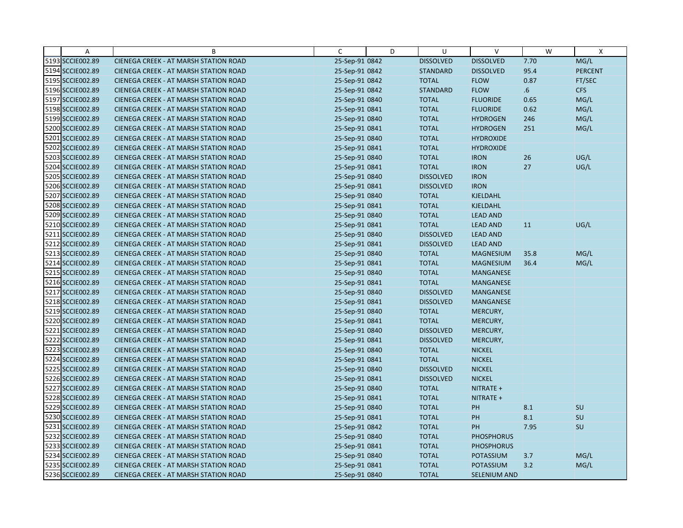| Α                | B                                            | C              | D | U                | $\vee$              | W    | $\boldsymbol{\mathsf{X}}$ |
|------------------|----------------------------------------------|----------------|---|------------------|---------------------|------|---------------------------|
| 5193 SCCIE002.89 | CIENEGA CREEK - AT MARSH STATION ROAD        | 25-Sep-91 0842 |   | <b>DISSOLVED</b> | <b>DISSOLVED</b>    | 7.70 | MG/L                      |
| 5194 SCCIE002.89 | CIENEGA CREEK - AT MARSH STATION ROAD        | 25-Sep-91 0842 |   | <b>STANDARD</b>  | <b>DISSOLVED</b>    | 95.4 | <b>PERCENT</b>            |
| 5195 SCCIE002.89 | <b>CIENEGA CREEK - AT MARSH STATION ROAD</b> | 25-Sep-91 0842 |   | <b>TOTAL</b>     | <b>FLOW</b>         | 0.87 | FT/SEC                    |
| 5196 SCCIE002.89 | <b>CIENEGA CREEK - AT MARSH STATION ROAD</b> | 25-Sep-91 0842 |   | <b>STANDARD</b>  | <b>FLOW</b>         | 6.6  | <b>CFS</b>                |
| 5197 SCCIE002.89 | CIENEGA CREEK - AT MARSH STATION ROAD        | 25-Sep-91 0840 |   | <b>TOTAL</b>     | <b>FLUORIDE</b>     | 0.65 | MG/L                      |
| 5198 SCCIE002.89 | CIENEGA CREEK - AT MARSH STATION ROAD        | 25-Sep-91 0841 |   | <b>TOTAL</b>     | <b>FLUORIDE</b>     | 0.62 | MG/L                      |
| 5199 SCCIE002.89 | <b>CIENEGA CREEK - AT MARSH STATION ROAD</b> | 25-Sep-91 0840 |   | <b>TOTAL</b>     | <b>HYDROGEN</b>     | 246  | MG/L                      |
| 5200 SCCIE002.89 | CIENEGA CREEK - AT MARSH STATION ROAD        | 25-Sep-91 0841 |   | <b>TOTAL</b>     | <b>HYDROGEN</b>     | 251  | MG/L                      |
| 5201 SCCIE002.89 | CIENEGA CREEK - AT MARSH STATION ROAD        | 25-Sep-91 0840 |   | <b>TOTAL</b>     | <b>HYDROXIDE</b>    |      |                           |
| 5202 SCCIE002.89 | CIENEGA CREEK - AT MARSH STATION ROAD        | 25-Sep-91 0841 |   | <b>TOTAL</b>     | <b>HYDROXIDE</b>    |      |                           |
| 5203 SCCIE002.89 | <b>CIENEGA CREEK - AT MARSH STATION ROAD</b> | 25-Sep-91 0840 |   | <b>TOTAL</b>     | <b>IRON</b>         | 26   | UG/L                      |
| 5204 SCCIE002.89 | CIENEGA CREEK - AT MARSH STATION ROAD        | 25-Sep-91 0841 |   | <b>TOTAL</b>     | <b>IRON</b>         | 27   | UG/L                      |
| 5205 SCCIE002.89 | CIENEGA CREEK - AT MARSH STATION ROAD        | 25-Sep-91 0840 |   | <b>DISSOLVED</b> | <b>IRON</b>         |      |                           |
| 5206 SCCIE002.89 | <b>CIENEGA CREEK - AT MARSH STATION ROAD</b> | 25-Sep-91 0841 |   | <b>DISSOLVED</b> | <b>IRON</b>         |      |                           |
| 5207 SCCIE002.89 | <b>CIENEGA CREEK - AT MARSH STATION ROAD</b> | 25-Sep-91 0840 |   | <b>TOTAL</b>     | KJELDAHL            |      |                           |
| 5208 SCCIE002.89 | CIENEGA CREEK - AT MARSH STATION ROAD        | 25-Sep-91 0841 |   | <b>TOTAL</b>     | KJELDAHL            |      |                           |
| 5209 SCCIE002.89 | CIENEGA CREEK - AT MARSH STATION ROAD        | 25-Sep-91 0840 |   | <b>TOTAL</b>     | <b>LEAD AND</b>     |      |                           |
| 5210 SCCIE002.89 | CIENEGA CREEK - AT MARSH STATION ROAD        | 25-Sep-91 0841 |   | <b>TOTAL</b>     | <b>LEAD AND</b>     | 11   | UG/L                      |
| 5211 SCCIE002.89 | <b>CIENEGA CREEK - AT MARSH STATION ROAD</b> | 25-Sep-91 0840 |   | <b>DISSOLVED</b> | <b>LEAD AND</b>     |      |                           |
| 5212 SCCIE002.89 | CIENEGA CREEK - AT MARSH STATION ROAD        | 25-Sep-91 0841 |   | <b>DISSOLVED</b> | <b>LEAD AND</b>     |      |                           |
| 5213 SCCIE002.89 | CIENEGA CREEK - AT MARSH STATION ROAD        | 25-Sep-91 0840 |   | <b>TOTAL</b>     | <b>MAGNESIUM</b>    | 35.8 | MG/L                      |
| 5214 SCCIE002.89 | CIENEGA CREEK - AT MARSH STATION ROAD        | 25-Sep-91 0841 |   | <b>TOTAL</b>     | <b>MAGNESIUM</b>    | 36.4 | MG/L                      |
| 5215 SCCIE002.89 | CIENEGA CREEK - AT MARSH STATION ROAD        | 25-Sep-91 0840 |   | <b>TOTAL</b>     | MANGANESE           |      |                           |
| 5216 SCCIE002.89 | <b>CIENEGA CREEK - AT MARSH STATION ROAD</b> | 25-Sep-91 0841 |   | <b>TOTAL</b>     | <b>MANGANESE</b>    |      |                           |
| 5217 SCCIE002.89 | CIENEGA CREEK - AT MARSH STATION ROAD        | 25-Sep-91 0840 |   | <b>DISSOLVED</b> | <b>MANGANESE</b>    |      |                           |
| 5218 SCCIE002.89 | CIENEGA CREEK - AT MARSH STATION ROAD        | 25-Sep-91 0841 |   | <b>DISSOLVED</b> | <b>MANGANESE</b>    |      |                           |
| 5219 SCCIE002.89 | CIENEGA CREEK - AT MARSH STATION ROAD        | 25-Sep-91 0840 |   | <b>TOTAL</b>     | MERCURY,            |      |                           |
| 5220 SCCIE002.89 | CIENEGA CREEK - AT MARSH STATION ROAD        | 25-Sep-91 0841 |   | <b>TOTAL</b>     | MERCURY,            |      |                           |
| 5221 SCCIE002.89 | CIENEGA CREEK - AT MARSH STATION ROAD        | 25-Sep-91 0840 |   | <b>DISSOLVED</b> | MERCURY,            |      |                           |
| 5222 SCCIE002.89 | <b>CIENEGA CREEK - AT MARSH STATION ROAD</b> | 25-Sep-91 0841 |   | <b>DISSOLVED</b> | MERCURY,            |      |                           |
| 5223 SCCIE002.89 | CIENEGA CREEK - AT MARSH STATION ROAD        | 25-Sep-91 0840 |   | <b>TOTAL</b>     | <b>NICKEL</b>       |      |                           |
| 5224 SCCIE002.89 | <b>CIENEGA CREEK - AT MARSH STATION ROAD</b> | 25-Sep-91 0841 |   | <b>TOTAL</b>     | <b>NICKEL</b>       |      |                           |
| 5225 SCCIE002.89 | CIENEGA CREEK - AT MARSH STATION ROAD        | 25-Sep-91 0840 |   | <b>DISSOLVED</b> | <b>NICKEL</b>       |      |                           |
| 5226 SCCIE002.89 | <b>CIENEGA CREEK - AT MARSH STATION ROAD</b> | 25-Sep-91 0841 |   | <b>DISSOLVED</b> | <b>NICKEL</b>       |      |                           |
| 5227 SCCIE002.89 | CIENEGA CREEK - AT MARSH STATION ROAD        | 25-Sep-91 0840 |   | <b>TOTAL</b>     | NITRATE +           |      |                           |
| 5228 SCCIE002.89 | <b>CIENEGA CREEK - AT MARSH STATION ROAD</b> | 25-Sep-91 0841 |   | <b>TOTAL</b>     | NITRATE +           |      |                           |
| 5229 SCCIE002.89 | <b>CIENEGA CREEK - AT MARSH STATION ROAD</b> | 25-Sep-91 0840 |   | <b>TOTAL</b>     | PH                  | 8.1  | SU                        |
| 5230 SCCIE002.89 | CIENEGA CREEK - AT MARSH STATION ROAD        | 25-Sep-91 0841 |   | <b>TOTAL</b>     | PH                  | 8.1  | SU                        |
| 5231 SCCIE002.89 | CIENEGA CREEK - AT MARSH STATION ROAD        | 25-Sep-91 0842 |   | <b>TOTAL</b>     | PH                  | 7.95 | SU                        |
| 5232 SCCIE002.89 | <b>CIENEGA CREEK - AT MARSH STATION ROAD</b> | 25-Sep-91 0840 |   | <b>TOTAL</b>     | <b>PHOSPHORUS</b>   |      |                           |
| 5233 SCCIE002.89 | <b>CIENEGA CREEK - AT MARSH STATION ROAD</b> | 25-Sep-91 0841 |   | <b>TOTAL</b>     | <b>PHOSPHORUS</b>   |      |                           |
| 5234 SCCIE002.89 | CIENEGA CREEK - AT MARSH STATION ROAD        | 25-Sep-91 0840 |   | <b>TOTAL</b>     | <b>POTASSIUM</b>    | 3.7  | MG/L                      |
| 5235 SCCIE002.89 | CIENEGA CREEK - AT MARSH STATION ROAD        | 25-Sep-91 0841 |   | <b>TOTAL</b>     | POTASSIUM           | 3.2  | MG/L                      |
| 5236 SCCIE002.89 | CIENEGA CREEK - AT MARSH STATION ROAD        | 25-Sep-91 0840 |   | <b>TOTAL</b>     | <b>SELENIUM AND</b> |      |                           |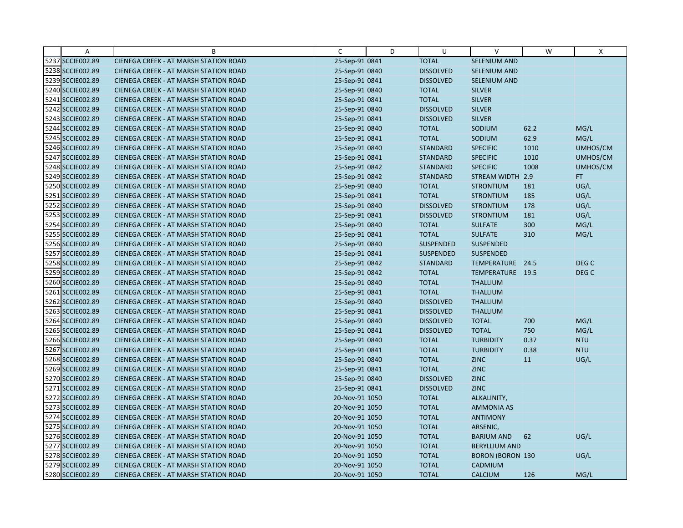| Α                | В                                            | C              | D | U                | V                       | W    | Χ                |
|------------------|----------------------------------------------|----------------|---|------------------|-------------------------|------|------------------|
| 5237 SCCIE002.89 | CIENEGA CREEK - AT MARSH STATION ROAD        | 25-Sep-91 0841 |   | <b>TOTAL</b>     | SELENIUM AND            |      |                  |
| 5238 SCCIE002.89 | <b>CIENEGA CREEK - AT MARSH STATION ROAD</b> | 25-Sep-91 0840 |   | <b>DISSOLVED</b> | <b>SELENIUM AND</b>     |      |                  |
| 5239 SCCIE002.89 | <b>CIENEGA CREEK - AT MARSH STATION ROAD</b> | 25-Sep-91 0841 |   | <b>DISSOLVED</b> | SELENIUM AND            |      |                  |
| 5240 SCCIE002.89 | CIENEGA CREEK - AT MARSH STATION ROAD        | 25-Sep-91 0840 |   | <b>TOTAL</b>     | <b>SILVER</b>           |      |                  |
| 5241 SCCIE002.89 | <b>CIENEGA CREEK - AT MARSH STATION ROAD</b> | 25-Sep-91 0841 |   | <b>TOTAL</b>     | <b>SILVER</b>           |      |                  |
| 5242 SCCIE002.89 | CIENEGA CREEK - AT MARSH STATION ROAD        | 25-Sep-91 0840 |   | <b>DISSOLVED</b> | <b>SILVER</b>           |      |                  |
| 5243 SCCIE002.89 | <b>CIENEGA CREEK - AT MARSH STATION ROAD</b> | 25-Sep-91 0841 |   | <b>DISSOLVED</b> | <b>SILVER</b>           |      |                  |
| 5244 SCCIE002.89 | CIENEGA CREEK - AT MARSH STATION ROAD        | 25-Sep-91 0840 |   | <b>TOTAL</b>     | SODIUM                  | 62.2 | MG/L             |
| 5245 SCCIE002.89 | <b>CIENEGA CREEK - AT MARSH STATION ROAD</b> | 25-Sep-91 0841 |   | <b>TOTAL</b>     | SODIUM                  | 62.9 | MG/L             |
| 5246 SCCIE002.89 | CIENEGA CREEK - AT MARSH STATION ROAD        | 25-Sep-91 0840 |   | <b>STANDARD</b>  | <b>SPECIFIC</b>         | 1010 | UMHOS/CM         |
| 5247 SCCIE002.89 | <b>CIENEGA CREEK - AT MARSH STATION ROAD</b> | 25-Sep-91 0841 |   | <b>STANDARD</b>  | <b>SPECIFIC</b>         | 1010 | UMHOS/CM         |
| 5248 SCCIE002.89 | CIENEGA CREEK - AT MARSH STATION ROAD        | 25-Sep-91 0842 |   | <b>STANDARD</b>  | <b>SPECIFIC</b>         | 1008 | UMHOS/CM         |
| 5249 SCCIE002.89 | <b>CIENEGA CREEK - AT MARSH STATION ROAD</b> | 25-Sep-91 0842 |   | <b>STANDARD</b>  | STREAM WIDTH 2.9        |      | FT.              |
| 5250 SCCIE002.89 | CIENEGA CREEK - AT MARSH STATION ROAD        | 25-Sep-91 0840 |   | <b>TOTAL</b>     | <b>STRONTIUM</b>        | 181  | UG/L             |
| 5251 SCCIE002.89 | CIENEGA CREEK - AT MARSH STATION ROAD        | 25-Sep-91 0841 |   | <b>TOTAL</b>     | <b>STRONTIUM</b>        | 185  | UG/L             |
| 5252 SCCIE002.89 | <b>CIENEGA CREEK - AT MARSH STATION ROAD</b> | 25-Sep-91 0840 |   | <b>DISSOLVED</b> | <b>STRONTIUM</b>        | 178  | UG/L             |
| 5253 SCCIE002.89 | <b>CIENEGA CREEK - AT MARSH STATION ROAD</b> | 25-Sep-91 0841 |   | <b>DISSOLVED</b> | <b>STRONTIUM</b>        | 181  | UG/L             |
| 5254 SCCIE002.89 | CIENEGA CREEK - AT MARSH STATION ROAD        | 25-Sep-91 0840 |   | <b>TOTAL</b>     | <b>SULFATE</b>          | 300  | MG/L             |
| 5255 SCCIE002.89 | <b>CIENEGA CREEK - AT MARSH STATION ROAD</b> | 25-Sep-91 0841 |   | <b>TOTAL</b>     | <b>SULFATE</b>          | 310  | MG/L             |
| 5256 SCCIE002.89 | <b>CIENEGA CREEK - AT MARSH STATION ROAD</b> | 25-Sep-91 0840 |   | <b>SUSPENDED</b> | <b>SUSPENDED</b>        |      |                  |
| 5257 SCCIE002.89 | CIENEGA CREEK - AT MARSH STATION ROAD        | 25-Sep-91 0841 |   | <b>SUSPENDED</b> | SUSPENDED               |      |                  |
| 5258 SCCIE002.89 | CIENEGA CREEK - AT MARSH STATION ROAD        | 25-Sep-91 0842 |   | <b>STANDARD</b>  | TEMPERATURE 24.5        |      | DEG <sub>C</sub> |
| 5259 SCCIE002.89 | CIENEGA CREEK - AT MARSH STATION ROAD        | 25-Sep-91 0842 |   | <b>TOTAL</b>     | TEMPERATURE 19.5        |      | DEG <sub>C</sub> |
| 5260 SCCIE002.89 | CIENEGA CREEK - AT MARSH STATION ROAD        | 25-Sep-91 0840 |   | <b>TOTAL</b>     | <b>THALLIUM</b>         |      |                  |
| 5261 SCCIE002.89 | <b>CIENEGA CREEK - AT MARSH STATION ROAD</b> | 25-Sep-91 0841 |   | <b>TOTAL</b>     | <b>THALLIUM</b>         |      |                  |
| 5262 SCCIE002.89 | CIENEGA CREEK - AT MARSH STATION ROAD        | 25-Sep-91 0840 |   | <b>DISSOLVED</b> | <b>THALLIUM</b>         |      |                  |
| 5263 SCCIE002.89 | <b>CIENEGA CREEK - AT MARSH STATION ROAD</b> | 25-Sep-91 0841 |   | <b>DISSOLVED</b> | <b>THALLIUM</b>         |      |                  |
| 5264 SCCIE002.89 | <b>CIENEGA CREEK - AT MARSH STATION ROAD</b> | 25-Sep-91 0840 |   | <b>DISSOLVED</b> | <b>TOTAL</b>            | 700  | MG/L             |
| 5265 SCCIE002.89 | CIENEGA CREEK - AT MARSH STATION ROAD        | 25-Sep-91 0841 |   | <b>DISSOLVED</b> | <b>TOTAL</b>            | 750  | MG/L             |
| 5266 SCCIE002.89 | CIENEGA CREEK - AT MARSH STATION ROAD        | 25-Sep-91 0840 |   | <b>TOTAL</b>     | <b>TURBIDITY</b>        | 0.37 | <b>NTU</b>       |
| 5267 SCCIE002.89 | CIENEGA CREEK - AT MARSH STATION ROAD        | 25-Sep-91 0841 |   | <b>TOTAL</b>     | <b>TURBIDITY</b>        | 0.38 | <b>NTU</b>       |
| 5268 SCCIE002.89 | <b>CIENEGA CREEK - AT MARSH STATION ROAD</b> | 25-Sep-91 0840 |   | <b>TOTAL</b>     | <b>ZINC</b>             | 11   | UG/L             |
| 5269 SCCIE002.89 | <b>CIENEGA CREEK - AT MARSH STATION ROAD</b> | 25-Sep-91 0841 |   | <b>TOTAL</b>     | <b>ZINC</b>             |      |                  |
| 5270 SCCIE002.89 | CIENEGA CREEK - AT MARSH STATION ROAD        | 25-Sep-91 0840 |   | <b>DISSOLVED</b> | <b>ZINC</b>             |      |                  |
| 5271 SCCIE002.89 | <b>CIENEGA CREEK - AT MARSH STATION ROAD</b> | 25-Sep-91 0841 |   | <b>DISSOLVED</b> | <b>ZINC</b>             |      |                  |
| 5272 SCCIE002.89 | <b>CIENEGA CREEK - AT MARSH STATION ROAD</b> | 20-Nov-91 1050 |   | <b>TOTAL</b>     | ALKALINITY,             |      |                  |
| 5273 SCCIE002.89 | CIENEGA CREEK - AT MARSH STATION ROAD        | 20-Nov-91 1050 |   | <b>TOTAL</b>     | <b>AMMONIA AS</b>       |      |                  |
| 5274 SCCIE002.89 | CIENEGA CREEK - AT MARSH STATION ROAD        | 20-Nov-91 1050 |   | <b>TOTAL</b>     | <b>ANTIMONY</b>         |      |                  |
| 5275 SCCIE002.89 | CIENEGA CREEK - AT MARSH STATION ROAD        | 20-Nov-91 1050 |   | <b>TOTAL</b>     | ARSENIC,                |      |                  |
| 5276 SCCIE002.89 | <b>CIENEGA CREEK - AT MARSH STATION ROAD</b> | 20-Nov-91 1050 |   | <b>TOTAL</b>     | <b>BARIUM AND</b>       | 62   | UG/L             |
| 5277 SCCIE002.89 | <b>CIENEGA CREEK - AT MARSH STATION ROAD</b> | 20-Nov-91 1050 |   | <b>TOTAL</b>     | <b>BERYLLIUM AND</b>    |      |                  |
| 5278 SCCIE002.89 | CIENEGA CREEK - AT MARSH STATION ROAD        | 20-Nov-91 1050 |   | <b>TOTAL</b>     | <b>BORON (BORON 130</b> |      | UG/L             |
| 5279 SCCIE002.89 | CIENEGA CREEK - AT MARSH STATION ROAD        | 20-Nov-91 1050 |   | <b>TOTAL</b>     | CADMIUM                 |      |                  |
| 5280 SCCIE002.89 | CIENEGA CREEK - AT MARSH STATION ROAD        | 20-Nov-91 1050 |   | <b>TOTAL</b>     | <b>CALCIUM</b>          | 126  | MG/L             |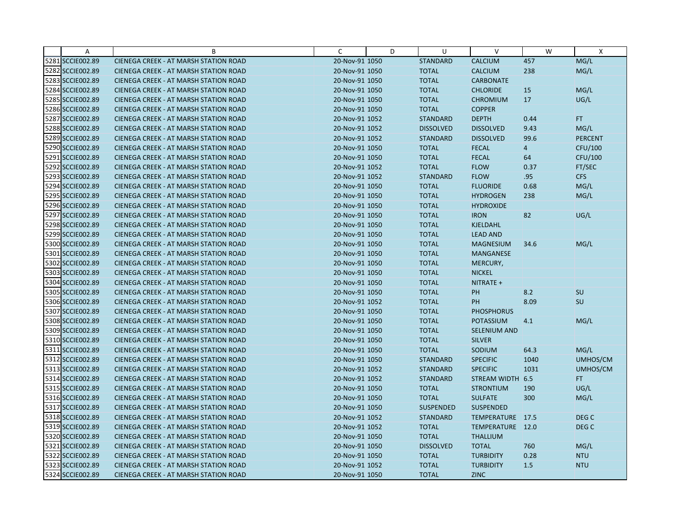| A                | B                                            | C              | D | U                | $\vee$              | W              | $\mathsf{X}$     |
|------------------|----------------------------------------------|----------------|---|------------------|---------------------|----------------|------------------|
| 5281 SCCIE002.89 | CIENEGA CREEK - AT MARSH STATION ROAD        | 20-Nov-91 1050 |   | <b>STANDARD</b>  | <b>CALCIUM</b>      | 457            | MG/L             |
| 5282 SCCIE002.89 | <b>CIENEGA CREEK - AT MARSH STATION ROAD</b> | 20-Nov-91 1050 |   | <b>TOTAL</b>     | <b>CALCIUM</b>      | 238            | MG/L             |
| 5283 SCCIE002.89 | <b>CIENEGA CREEK - AT MARSH STATION ROAD</b> | 20-Nov-91 1050 |   | <b>TOTAL</b>     | <b>CARBONATE</b>    |                |                  |
| 5284 SCCIE002.89 | <b>CIENEGA CREEK - AT MARSH STATION ROAD</b> | 20-Nov-91 1050 |   | <b>TOTAL</b>     | <b>CHLORIDE</b>     | 15             | MG/L             |
| 5285 SCCIE002.89 | <b>CIENEGA CREEK - AT MARSH STATION ROAD</b> | 20-Nov-91 1050 |   | <b>TOTAL</b>     | <b>CHROMIUM</b>     | 17             | UG/L             |
| 5286 SCCIE002.89 | <b>CIENEGA CREEK - AT MARSH STATION ROAD</b> | 20-Nov-91 1050 |   | <b>TOTAL</b>     | <b>COPPER</b>       |                |                  |
| 5287 SCCIE002.89 | <b>CIENEGA CREEK - AT MARSH STATION ROAD</b> | 20-Nov-91 1052 |   | <b>STANDARD</b>  | <b>DEPTH</b>        | 0.44           | <b>FT</b>        |
| 5288 SCCIE002.89 | <b>CIENEGA CREEK - AT MARSH STATION ROAD</b> | 20-Nov-91 1052 |   | <b>DISSOLVED</b> | <b>DISSOLVED</b>    | 9.43           | MG/L             |
| 5289 SCCIE002.89 | CIENEGA CREEK - AT MARSH STATION ROAD        | 20-Nov-91 1052 |   | <b>STANDARD</b>  | <b>DISSOLVED</b>    | 99.6           | <b>PERCENT</b>   |
| 5290 SCCIE002.89 | <b>CIENEGA CREEK - AT MARSH STATION ROAD</b> | 20-Nov-91 1050 |   | <b>TOTAL</b>     | <b>FECAL</b>        | $\overline{4}$ | CFU/100          |
| 5291 SCCIE002.89 | <b>CIENEGA CREEK - AT MARSH STATION ROAD</b> | 20-Nov-91 1050 |   | <b>TOTAL</b>     | <b>FECAL</b>        | 64             | CFU/100          |
| 5292 SCCIE002.89 | <b>CIENEGA CREEK - AT MARSH STATION ROAD</b> | 20-Nov-91 1052 |   | <b>TOTAL</b>     | <b>FLOW</b>         | 0.37           | FT/SEC           |
| 5293 SCCIE002.89 | CIENEGA CREEK - AT MARSH STATION ROAD        | 20-Nov-91 1052 |   | <b>STANDARD</b>  | <b>FLOW</b>         | .95            | <b>CFS</b>       |
| 5294 SCCIE002.89 | <b>CIENEGA CREEK - AT MARSH STATION ROAD</b> | 20-Nov-91 1050 |   | <b>TOTAL</b>     | <b>FLUORIDE</b>     | 0.68           | MG/L             |
| 5295 SCCIE002.89 | <b>CIENEGA CREEK - AT MARSH STATION ROAD</b> | 20-Nov-91 1050 |   | <b>TOTAL</b>     | <b>HYDROGEN</b>     | 238            | MG/L             |
| 5296 SCCIE002.89 | <b>CIENEGA CREEK - AT MARSH STATION ROAD</b> | 20-Nov-91 1050 |   | <b>TOTAL</b>     | <b>HYDROXIDE</b>    |                |                  |
| 5297 SCCIE002.89 | CIENEGA CREEK - AT MARSH STATION ROAD        | 20-Nov-91 1050 |   | <b>TOTAL</b>     | <b>IRON</b>         | 82             | UG/L             |
| 5298 SCCIE002.89 | <b>CIENEGA CREEK - AT MARSH STATION ROAD</b> | 20-Nov-91 1050 |   | <b>TOTAL</b>     | <b>KJELDAHL</b>     |                |                  |
| 5299 SCCIE002.89 | <b>CIENEGA CREEK - AT MARSH STATION ROAD</b> | 20-Nov-91 1050 |   | <b>TOTAL</b>     | <b>LEAD AND</b>     |                |                  |
| 5300 SCCIE002.89 | <b>CIENEGA CREEK - AT MARSH STATION ROAD</b> | 20-Nov-91 1050 |   | <b>TOTAL</b>     | <b>MAGNESIUM</b>    | 34.6           | MG/L             |
| 5301 SCCIE002.89 | <b>CIENEGA CREEK - AT MARSH STATION ROAD</b> | 20-Nov-91 1050 |   | <b>TOTAL</b>     | <b>MANGANESE</b>    |                |                  |
| 5302 SCCIE002.89 | <b>CIENEGA CREEK - AT MARSH STATION ROAD</b> | 20-Nov-91 1050 |   | <b>TOTAL</b>     | MERCURY,            |                |                  |
| 5303 SCCIE002.89 | <b>CIENEGA CREEK - AT MARSH STATION ROAD</b> | 20-Nov-91 1050 |   | <b>TOTAL</b>     | <b>NICKEL</b>       |                |                  |
| 5304 SCCIE002.89 | <b>CIENEGA CREEK - AT MARSH STATION ROAD</b> | 20-Nov-91 1050 |   | <b>TOTAL</b>     | NITRATE +           |                |                  |
| 5305 SCCIE002.89 | CIENEGA CREEK - AT MARSH STATION ROAD        | 20-Nov-91 1050 |   | <b>TOTAL</b>     | PH                  | 8.2            | <b>SU</b>        |
| 5306 SCCIE002.89 | <b>CIENEGA CREEK - AT MARSH STATION ROAD</b> | 20-Nov-91 1052 |   | <b>TOTAL</b>     | PH                  | 8.09           | SU               |
| 5307 SCCIE002.89 | <b>CIENEGA CREEK - AT MARSH STATION ROAD</b> | 20-Nov-91 1050 |   | <b>TOTAL</b>     | <b>PHOSPHORUS</b>   |                |                  |
| 5308 SCCIE002.89 | CIENEGA CREEK - AT MARSH STATION ROAD        | 20-Nov-91 1050 |   | <b>TOTAL</b>     | <b>POTASSIUM</b>    | 4.1            | MG/L             |
| 5309 SCCIE002.89 | <b>CIENEGA CREEK - AT MARSH STATION ROAD</b> | 20-Nov-91 1050 |   | <b>TOTAL</b>     | <b>SELENIUM AND</b> |                |                  |
| 5310 SCCIE002.89 | <b>CIENEGA CREEK - AT MARSH STATION ROAD</b> | 20-Nov-91 1050 |   | <b>TOTAL</b>     | <b>SILVER</b>       |                |                  |
| 5311 SCCIE002.89 | CIENEGA CREEK - AT MARSH STATION ROAD        | 20-Nov-91 1050 |   | <b>TOTAL</b>     | SODIUM              | 64.3           | MG/L             |
| 5312 SCCIE002.89 | <b>CIENEGA CREEK - AT MARSH STATION ROAD</b> | 20-Nov-91 1050 |   | <b>STANDARD</b>  | <b>SPECIFIC</b>     | 1040           | UMHOS/CM         |
| 5313 SCCIE002.89 | <b>CIENEGA CREEK - AT MARSH STATION ROAD</b> | 20-Nov-91 1052 |   | <b>STANDARD</b>  | <b>SPECIFIC</b>     | 1031           | UMHOS/CM         |
| 5314 SCCIE002.89 | <b>CIENEGA CREEK - AT MARSH STATION ROAD</b> | 20-Nov-91 1052 |   | <b>STANDARD</b>  | STREAM WIDTH        | 6.5            | FT.              |
| 5315 SCCIE002.89 | <b>CIENEGA CREEK - AT MARSH STATION ROAD</b> | 20-Nov-91 1050 |   | <b>TOTAL</b>     | <b>STRONTIUM</b>    | 190            | UG/L             |
| 5316 SCCIE002.89 | <b>CIENEGA CREEK - AT MARSH STATION ROAD</b> | 20-Nov-91 1050 |   | <b>TOTAL</b>     | <b>SULFATE</b>      | 300            | MG/L             |
| 5317 SCCIE002.89 | <b>CIENEGA CREEK - AT MARSH STATION ROAD</b> | 20-Nov-91 1050 |   | <b>SUSPENDED</b> | <b>SUSPENDED</b>    |                |                  |
| 5318 SCCIE002.89 | CIENEGA CREEK - AT MARSH STATION ROAD        | 20-Nov-91 1052 |   | <b>STANDARD</b>  | TEMPERATURE 17.5    |                | DEG C            |
| 5319 SCCIE002.89 | <b>CIENEGA CREEK - AT MARSH STATION ROAD</b> | 20-Nov-91 1052 |   | <b>TOTAL</b>     | TEMPERATURE 12.0    |                | DEG <sub>C</sub> |
| 5320 SCCIE002.89 | <b>CIENEGA CREEK - AT MARSH STATION ROAD</b> | 20-Nov-91 1050 |   | <b>TOTAL</b>     | <b>THALLIUM</b>     |                |                  |
| 5321 SCCIE002.89 | <b>CIENEGA CREEK - AT MARSH STATION ROAD</b> | 20-Nov-91 1050 |   | <b>DISSOLVED</b> | <b>TOTAL</b>        | 760            | MG/L             |
| 5322 SCCIE002.89 | <b>CIENEGA CREEK - AT MARSH STATION ROAD</b> | 20-Nov-91 1050 |   | <b>TOTAL</b>     | <b>TURBIDITY</b>    | 0.28           | <b>NTU</b>       |
| 5323 SCCIE002.89 | CIENEGA CREEK - AT MARSH STATION ROAD        | 20-Nov-91 1052 |   | <b>TOTAL</b>     | <b>TURBIDITY</b>    | 1.5            | <b>NTU</b>       |
| 5324 SCCIE002.89 | CIENEGA CREEK - AT MARSH STATION ROAD        | 20-Nov-91 1050 |   | <b>TOTAL</b>     | <b>ZINC</b>         |                |                  |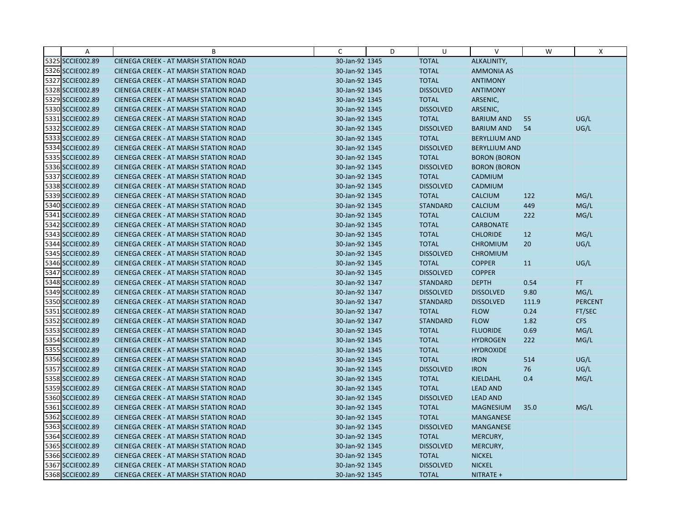| Α                | B                                            | C              | D | U                | $\vee$               | W     | Χ              |
|------------------|----------------------------------------------|----------------|---|------------------|----------------------|-------|----------------|
| 5325 SCCIE002.89 | CIENEGA CREEK - AT MARSH STATION ROAD        | 30-Jan-92 1345 |   | <b>TOTAL</b>     | ALKALINITY,          |       |                |
| 5326 SCCIE002.89 | <b>CIENEGA CREEK - AT MARSH STATION ROAD</b> | 30-Jan-92 1345 |   | <b>TOTAL</b>     | <b>AMMONIA AS</b>    |       |                |
| 5327 SCCIE002.89 | <b>CIENEGA CREEK - AT MARSH STATION ROAD</b> | 30-Jan-92 1345 |   | <b>TOTAL</b>     | <b>ANTIMONY</b>      |       |                |
| 5328 SCCIE002.89 | <b>CIENEGA CREEK - AT MARSH STATION ROAD</b> | 30-Jan-92 1345 |   | <b>DISSOLVED</b> | <b>ANTIMONY</b>      |       |                |
| 5329 SCCIE002.89 | <b>CIENEGA CREEK - AT MARSH STATION ROAD</b> | 30-Jan-92 1345 |   | <b>TOTAL</b>     | ARSENIC,             |       |                |
| 5330 SCCIE002.89 | <b>CIENEGA CREEK - AT MARSH STATION ROAD</b> | 30-Jan-92 1345 |   | <b>DISSOLVED</b> | ARSENIC,             |       |                |
| 5331 SCCIE002.89 | <b>CIENEGA CREEK - AT MARSH STATION ROAD</b> | 30-Jan-92 1345 |   | <b>TOTAL</b>     | <b>BARIUM AND</b>    | 55    | UG/L           |
| 5332 SCCIE002.89 | <b>CIENEGA CREEK - AT MARSH STATION ROAD</b> | 30-Jan-92 1345 |   | <b>DISSOLVED</b> | <b>BARIUM AND</b>    | 54    | UG/L           |
| 5333 SCCIE002.89 | CIENEGA CREEK - AT MARSH STATION ROAD        | 30-Jan-92 1345 |   | <b>TOTAL</b>     | <b>BERYLLIUM AND</b> |       |                |
| 5334 SCCIE002.89 | <b>CIENEGA CREEK - AT MARSH STATION ROAD</b> | 30-Jan-92 1345 |   | <b>DISSOLVED</b> | <b>BERYLLIUM AND</b> |       |                |
| 5335 SCCIE002.89 | <b>CIENEGA CREEK - AT MARSH STATION ROAD</b> | 30-Jan-92 1345 |   | <b>TOTAL</b>     | <b>BORON (BORON</b>  |       |                |
| 5336 SCCIE002.89 | CIENEGA CREEK - AT MARSH STATION ROAD        | 30-Jan-92 1345 |   | <b>DISSOLVED</b> | <b>BORON (BORON</b>  |       |                |
| 5337 SCCIE002.89 | <b>CIENEGA CREEK - AT MARSH STATION ROAD</b> | 30-Jan-92 1345 |   | <b>TOTAL</b>     | CADMIUM              |       |                |
| 5338 SCCIE002.89 | <b>CIENEGA CREEK - AT MARSH STATION ROAD</b> | 30-Jan-92 1345 |   | <b>DISSOLVED</b> | CADMIUM              |       |                |
| 5339 SCCIE002.89 | <b>CIENEGA CREEK - AT MARSH STATION ROAD</b> | 30-Jan-92 1345 |   | <b>TOTAL</b>     | <b>CALCIUM</b>       | 122   | MG/L           |
| 5340 SCCIE002.89 | <b>CIENEGA CREEK - AT MARSH STATION ROAD</b> | 30-Jan-92 1345 |   | <b>STANDARD</b>  | <b>CALCIUM</b>       | 449   | MG/L           |
| 5341 SCCIE002.89 | CIENEGA CREEK - AT MARSH STATION ROAD        | 30-Jan-92 1345 |   | <b>TOTAL</b>     | <b>CALCIUM</b>       | 222   | MG/L           |
| 5342 SCCIE002.89 | <b>CIENEGA CREEK - AT MARSH STATION ROAD</b> | 30-Jan-92 1345 |   | <b>TOTAL</b>     | <b>CARBONATE</b>     |       |                |
| 5343 SCCIE002.89 | <b>CIENEGA CREEK - AT MARSH STATION ROAD</b> | 30-Jan-92 1345 |   | <b>TOTAL</b>     | <b>CHLORIDE</b>      | 12    | MG/L           |
| 5344 SCCIE002.89 | <b>CIENEGA CREEK - AT MARSH STATION ROAD</b> | 30-Jan-92 1345 |   | <b>TOTAL</b>     | <b>CHROMIUM</b>      | 20    | UG/L           |
| 5345 SCCIE002.89 | <b>CIENEGA CREEK - AT MARSH STATION ROAD</b> | 30-Jan-92 1345 |   | <b>DISSOLVED</b> | <b>CHROMIUM</b>      |       |                |
| 5346 SCCIE002.89 | <b>CIENEGA CREEK - AT MARSH STATION ROAD</b> | 30-Jan-92 1345 |   | <b>TOTAL</b>     | <b>COPPER</b>        | 11    | UG/L           |
| 5347 SCCIE002.89 | CIENEGA CREEK - AT MARSH STATION ROAD        | 30-Jan-92 1345 |   | <b>DISSOLVED</b> | <b>COPPER</b>        |       |                |
| 5348 SCCIE002.89 | <b>CIENEGA CREEK - AT MARSH STATION ROAD</b> | 30-Jan-92 1347 |   | <b>STANDARD</b>  | <b>DEPTH</b>         | 0.54  | FT.            |
| 5349 SCCIE002.89 | CIENEGA CREEK - AT MARSH STATION ROAD        | 30-Jan-92 1347 |   | <b>DISSOLVED</b> | <b>DISSOLVED</b>     | 9.80  | MG/L           |
| 5350 SCCIE002.89 | <b>CIENEGA CREEK - AT MARSH STATION ROAD</b> | 30-Jan-92 1347 |   | <b>STANDARD</b>  | <b>DISSOLVED</b>     | 111.9 | <b>PERCENT</b> |
| 5351 SCCIE002.89 | CIENEGA CREEK - AT MARSH STATION ROAD        | 30-Jan-92 1347 |   | <b>TOTAL</b>     | <b>FLOW</b>          | 0.24  | FT/SEC         |
| 5352 SCCIE002.89 | CIENEGA CREEK - AT MARSH STATION ROAD        | 30-Jan-92 1347 |   | <b>STANDARD</b>  | <b>FLOW</b>          | 1.82  | <b>CFS</b>     |
| 5353 SCCIE002.89 | <b>CIENEGA CREEK - AT MARSH STATION ROAD</b> | 30-Jan-92 1345 |   | <b>TOTAL</b>     | <b>FLUORIDE</b>      | 0.69  | MG/L           |
| 5354 SCCIE002.89 | <b>CIENEGA CREEK - AT MARSH STATION ROAD</b> | 30-Jan-92 1345 |   | <b>TOTAL</b>     | <b>HYDROGEN</b>      | 222   | MG/L           |
| 5355 SCCIE002.89 | CIENEGA CREEK - AT MARSH STATION ROAD        | 30-Jan-92 1345 |   | <b>TOTAL</b>     | <b>HYDROXIDE</b>     |       |                |
| 5356 SCCIE002.89 | <b>CIENEGA CREEK - AT MARSH STATION ROAD</b> | 30-Jan-92 1345 |   | <b>TOTAL</b>     | <b>IRON</b>          | 514   | UG/L           |
| 5357 SCCIE002.89 | <b>CIENEGA CREEK - AT MARSH STATION ROAD</b> | 30-Jan-92 1345 |   | <b>DISSOLVED</b> | <b>IRON</b>          | 76    | UG/L           |
| 5358 SCCIE002.89 | <b>CIENEGA CREEK - AT MARSH STATION ROAD</b> | 30-Jan-92 1345 |   | <b>TOTAL</b>     | KJELDAHL             | 0.4   | MG/L           |
| 5359 SCCIE002.89 | <b>CIENEGA CREEK - AT MARSH STATION ROAD</b> | 30-Jan-92 1345 |   | <b>TOTAL</b>     | <b>LEAD AND</b>      |       |                |
| 5360 SCCIE002.89 | <b>CIENEGA CREEK - AT MARSH STATION ROAD</b> | 30-Jan-92 1345 |   | <b>DISSOLVED</b> | <b>LEAD AND</b>      |       |                |
| 5361 SCCIE002.89 | <b>CIENEGA CREEK - AT MARSH STATION ROAD</b> | 30-Jan-92 1345 |   | <b>TOTAL</b>     | <b>MAGNESIUM</b>     | 35.0  | MG/L           |
| 5362 SCCIE002.89 | CIENEGA CREEK - AT MARSH STATION ROAD        | 30-Jan-92 1345 |   | <b>TOTAL</b>     | MANGANESE            |       |                |
| 5363 SCCIE002.89 | CIENEGA CREEK - AT MARSH STATION ROAD        | 30-Jan-92 1345 |   | <b>DISSOLVED</b> | <b>MANGANESE</b>     |       |                |
| 5364 SCCIE002.89 | <b>CIENEGA CREEK - AT MARSH STATION ROAD</b> | 30-Jan-92 1345 |   | <b>TOTAL</b>     | MERCURY,             |       |                |
| 5365 SCCIE002.89 | <b>CIENEGA CREEK - AT MARSH STATION ROAD</b> | 30-Jan-92 1345 |   | <b>DISSOLVED</b> | MERCURY,             |       |                |
| 5366 SCCIE002.89 | CIENEGA CREEK - AT MARSH STATION ROAD        | 30-Jan-92 1345 |   | <b>TOTAL</b>     | <b>NICKEL</b>        |       |                |
| 5367 SCCIE002.89 | CIENEGA CREEK - AT MARSH STATION ROAD        | 30-Jan-92 1345 |   | <b>DISSOLVED</b> | <b>NICKEL</b>        |       |                |
| 5368 SCCIE002.89 | CIENEGA CREEK - AT MARSH STATION ROAD        | 30-Jan-92 1345 |   | <b>TOTAL</b>     | NITRATE +            |       |                |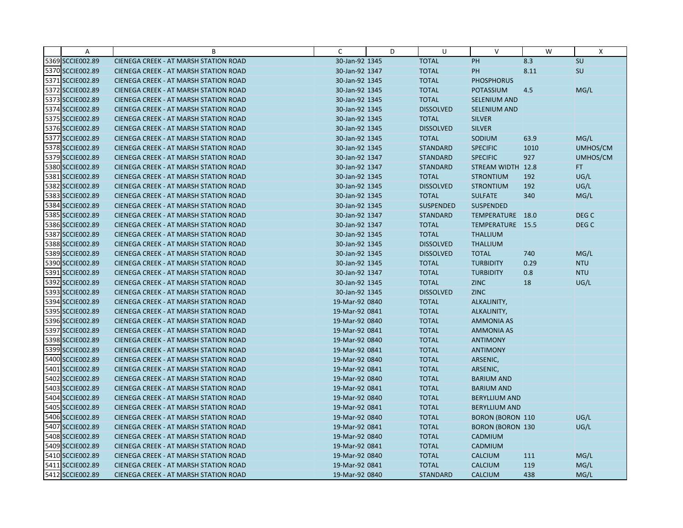| A                | B                                            | C              | D | U                | $\vee$                  | W    | X                |
|------------------|----------------------------------------------|----------------|---|------------------|-------------------------|------|------------------|
| 5369 SCCIE002.89 | CIENEGA CREEK - AT MARSH STATION ROAD        | 30-Jan-92 1345 |   | <b>TOTAL</b>     | PH                      | 8.3  | SU               |
| 5370 SCCIE002.89 | <b>CIENEGA CREEK - AT MARSH STATION ROAD</b> | 30-Jan-92 1347 |   | <b>TOTAL</b>     | PH                      | 8.11 | SU               |
| 5371 SCCIE002.89 | <b>CIENEGA CREEK - AT MARSH STATION ROAD</b> | 30-Jan-92 1345 |   | <b>TOTAL</b>     | <b>PHOSPHORUS</b>       |      |                  |
| 5372 SCCIE002.89 | <b>CIENEGA CREEK - AT MARSH STATION ROAD</b> | 30-Jan-92 1345 |   | <b>TOTAL</b>     | <b>POTASSIUM</b>        | 4.5  | MG/L             |
| 5373 SCCIE002.89 | <b>CIENEGA CREEK - AT MARSH STATION ROAD</b> | 30-Jan-92 1345 |   | <b>TOTAL</b>     | <b>SELENIUM AND</b>     |      |                  |
| 5374 SCCIE002.89 | <b>CIENEGA CREEK - AT MARSH STATION ROAD</b> | 30-Jan-92 1345 |   | <b>DISSOLVED</b> | SELENIUM AND            |      |                  |
| 5375 SCCIE002.89 | <b>CIENEGA CREEK - AT MARSH STATION ROAD</b> | 30-Jan-92 1345 |   | <b>TOTAL</b>     | <b>SILVER</b>           |      |                  |
| 5376 SCCIE002.89 | <b>CIENEGA CREEK - AT MARSH STATION ROAD</b> | 30-Jan-92 1345 |   | <b>DISSOLVED</b> | <b>SILVER</b>           |      |                  |
| 5377 SCCIE002.89 | CIENEGA CREEK - AT MARSH STATION ROAD        | 30-Jan-92 1345 |   | <b>TOTAL</b>     | SODIUM                  | 63.9 | MG/L             |
| 5378 SCCIE002.89 | <b>CIENEGA CREEK - AT MARSH STATION ROAD</b> | 30-Jan-92 1345 |   | <b>STANDARD</b>  | <b>SPECIFIC</b>         | 1010 | UMHOS/CM         |
| 5379 SCCIE002.89 | <b>CIENEGA CREEK - AT MARSH STATION ROAD</b> | 30-Jan-92 1347 |   | <b>STANDARD</b>  | <b>SPECIFIC</b>         | 927  | UMHOS/CM         |
| 5380 SCCIE002.89 | CIENEGA CREEK - AT MARSH STATION ROAD        | 30-Jan-92 1347 |   | <b>STANDARD</b>  | STREAM WIDTH 12.8       |      | FT.              |
| 5381 SCCIE002.89 | <b>CIENEGA CREEK - AT MARSH STATION ROAD</b> | 30-Jan-92 1345 |   | <b>TOTAL</b>     | <b>STRONTIUM</b>        | 192  | UG/L             |
| 5382 SCCIE002.89 | <b>CIENEGA CREEK - AT MARSH STATION ROAD</b> | 30-Jan-92 1345 |   | <b>DISSOLVED</b> | <b>STRONTIUM</b>        | 192  | UG/L             |
| 5383 SCCIE002.89 | <b>CIENEGA CREEK - AT MARSH STATION ROAD</b> | 30-Jan-92 1345 |   | <b>TOTAL</b>     | <b>SULFATE</b>          | 340  | MG/L             |
| 5384 SCCIE002.89 | <b>CIENEGA CREEK - AT MARSH STATION ROAD</b> | 30-Jan-92 1345 |   | <b>SUSPENDED</b> | <b>SUSPENDED</b>        |      |                  |
| 5385 SCCIE002.89 | CIENEGA CREEK - AT MARSH STATION ROAD        | 30-Jan-92 1347 |   | <b>STANDARD</b>  | TEMPERATURE 18.0        |      | DEG C            |
| 5386 SCCIE002.89 | <b>CIENEGA CREEK - AT MARSH STATION ROAD</b> | 30-Jan-92 1347 |   | <b>TOTAL</b>     | TEMPERATURE 15.5        |      | DEG <sub>C</sub> |
| 5387 SCCIE002.89 | <b>CIENEGA CREEK - AT MARSH STATION ROAD</b> | 30-Jan-92 1345 |   | <b>TOTAL</b>     | <b>THALLIUM</b>         |      |                  |
| 5388 SCCIE002.89 | <b>CIENEGA CREEK - AT MARSH STATION ROAD</b> | 30-Jan-92 1345 |   | <b>DISSOLVED</b> | <b>THALLIUM</b>         |      |                  |
| 5389 SCCIE002.89 | <b>CIENEGA CREEK - AT MARSH STATION ROAD</b> | 30-Jan-92 1345 |   | <b>DISSOLVED</b> | <b>TOTAL</b>            | 740  | MG/L             |
| 5390 SCCIE002.89 | <b>CIENEGA CREEK - AT MARSH STATION ROAD</b> | 30-Jan-92 1345 |   | <b>TOTAL</b>     | <b>TURBIDITY</b>        | 0.29 | <b>NTU</b>       |
| 5391 SCCIE002.89 | CIENEGA CREEK - AT MARSH STATION ROAD        | 30-Jan-92 1347 |   | <b>TOTAL</b>     | <b>TURBIDITY</b>        | 0.8  | <b>NTU</b>       |
| 5392 SCCIE002.89 | <b>CIENEGA CREEK - AT MARSH STATION ROAD</b> | 30-Jan-92 1345 |   | <b>TOTAL</b>     | <b>ZINC</b>             | 18   | UG/L             |
| 5393 SCCIE002.89 | CIENEGA CREEK - AT MARSH STATION ROAD        | 30-Jan-92 1345 |   | <b>DISSOLVED</b> | <b>ZINC</b>             |      |                  |
| 5394 SCCIE002.89 | <b>CIENEGA CREEK - AT MARSH STATION ROAD</b> | 19-Mar-92 0840 |   | <b>TOTAL</b>     | ALKALINITY,             |      |                  |
| 5395 SCCIE002.89 | CIENEGA CREEK - AT MARSH STATION ROAD        | 19-Mar-92 0841 |   | <b>TOTAL</b>     | ALKALINITY,             |      |                  |
| 5396 SCCIE002.89 | CIENEGA CREEK - AT MARSH STATION ROAD        | 19-Mar-92 0840 |   | <b>TOTAL</b>     | <b>AMMONIA AS</b>       |      |                  |
| 5397 SCCIE002.89 | <b>CIENEGA CREEK - AT MARSH STATION ROAD</b> | 19-Mar-92 0841 |   | <b>TOTAL</b>     | <b>AMMONIA AS</b>       |      |                  |
| 5398 SCCIE002.89 | <b>CIENEGA CREEK - AT MARSH STATION ROAD</b> | 19-Mar-92 0840 |   | <b>TOTAL</b>     | <b>ANTIMONY</b>         |      |                  |
| 5399 SCCIE002.89 | CIENEGA CREEK - AT MARSH STATION ROAD        | 19-Mar-92 0841 |   | <b>TOTAL</b>     | <b>ANTIMONY</b>         |      |                  |
| 5400 SCCIE002.89 | <b>CIENEGA CREEK - AT MARSH STATION ROAD</b> | 19-Mar-92 0840 |   | <b>TOTAL</b>     | ARSENIC,                |      |                  |
| 5401 SCCIE002.89 | <b>CIENEGA CREEK - AT MARSH STATION ROAD</b> | 19-Mar-92 0841 |   | <b>TOTAL</b>     | ARSENIC,                |      |                  |
| 5402 SCCIE002.89 | <b>CIENEGA CREEK - AT MARSH STATION ROAD</b> | 19-Mar-92 0840 |   | <b>TOTAL</b>     | <b>BARIUM AND</b>       |      |                  |
| 5403 SCCIE002.89 | <b>CIENEGA CREEK - AT MARSH STATION ROAD</b> | 19-Mar-92 0841 |   | <b>TOTAL</b>     | <b>BARIUM AND</b>       |      |                  |
| 5404 SCCIE002.89 | <b>CIENEGA CREEK - AT MARSH STATION ROAD</b> | 19-Mar-92 0840 |   | <b>TOTAL</b>     | <b>BERYLLIUM AND</b>    |      |                  |
| 5405 SCCIE002.89 | <b>CIENEGA CREEK - AT MARSH STATION ROAD</b> | 19-Mar-92 0841 |   | <b>TOTAL</b>     | <b>BERYLLIUM AND</b>    |      |                  |
| 5406 SCCIE002.89 | CIENEGA CREEK - AT MARSH STATION ROAD        | 19-Mar-92 0840 |   | <b>TOTAL</b>     | <b>BORON (BORON 110</b> |      | UG/L             |
| 5407 SCCIE002.89 | CIENEGA CREEK - AT MARSH STATION ROAD        | 19-Mar-92 0841 |   | <b>TOTAL</b>     | <b>BORON (BORON 130</b> |      | UG/L             |
| 5408 SCCIE002.89 | <b>CIENEGA CREEK - AT MARSH STATION ROAD</b> | 19-Mar-92 0840 |   | <b>TOTAL</b>     | CADMIUM                 |      |                  |
| 5409 SCCIE002.89 | <b>CIENEGA CREEK - AT MARSH STATION ROAD</b> | 19-Mar-92 0841 |   | <b>TOTAL</b>     | CADMIUM                 |      |                  |
| 5410 SCCIE002.89 | CIENEGA CREEK - AT MARSH STATION ROAD        | 19-Mar-92 0840 |   | <b>TOTAL</b>     | <b>CALCIUM</b>          | 111  | MG/L             |
| 5411 SCCIE002.89 | <b>CIENEGA CREEK - AT MARSH STATION ROAD</b> | 19-Mar-92 0841 |   | <b>TOTAL</b>     | <b>CALCIUM</b>          | 119  | MG/L             |
| 5412 SCCIE002.89 | CIENEGA CREEK - AT MARSH STATION ROAD        | 19-Mar-92 0840 |   | <b>STANDARD</b>  | <b>CALCIUM</b>          | 438  | MG/L             |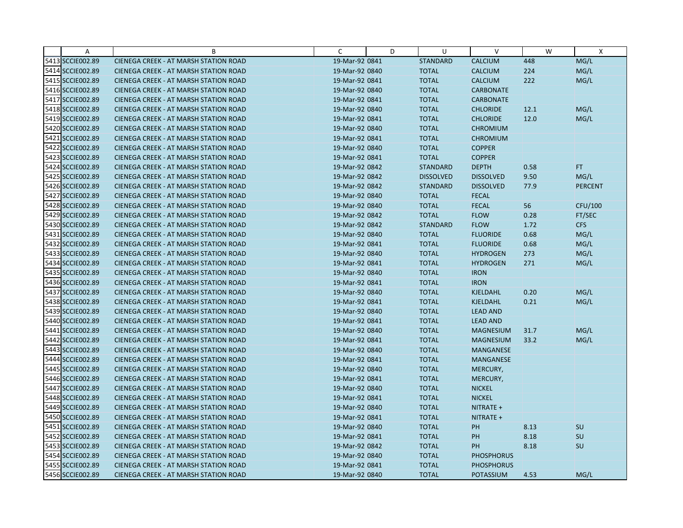| A                | B                                            | C              | D | U                | $\vee$            | W    | Χ              |
|------------------|----------------------------------------------|----------------|---|------------------|-------------------|------|----------------|
| 5413 SCCIE002.89 | CIENEGA CREEK - AT MARSH STATION ROAD        | 19-Mar-92 0841 |   | <b>STANDARD</b>  | <b>CALCIUM</b>    | 448  | MG/L           |
| 5414 SCCIE002.89 | <b>CIENEGA CREEK - AT MARSH STATION ROAD</b> | 19-Mar-92 0840 |   | <b>TOTAL</b>     | <b>CALCIUM</b>    | 224  | MG/L           |
| 5415 SCCIE002.89 | <b>CIENEGA CREEK - AT MARSH STATION ROAD</b> | 19-Mar-92 0841 |   | <b>TOTAL</b>     | <b>CALCIUM</b>    | 222  | MG/L           |
| 5416 SCCIE002.89 | <b>CIENEGA CREEK - AT MARSH STATION ROAD</b> | 19-Mar-92 0840 |   | <b>TOTAL</b>     | <b>CARBONATE</b>  |      |                |
| 5417 SCCIE002.89 | CIENEGA CREEK - AT MARSH STATION ROAD        | 19-Mar-92 0841 |   | <b>TOTAL</b>     | <b>CARBONATE</b>  |      |                |
| 5418 SCCIE002.89 | <b>CIENEGA CREEK - AT MARSH STATION ROAD</b> | 19-Mar-92 0840 |   | <b>TOTAL</b>     | <b>CHLORIDE</b>   | 12.1 | MG/L           |
| 5419 SCCIE002.89 | <b>CIENEGA CREEK - AT MARSH STATION ROAD</b> | 19-Mar-92 0841 |   | <b>TOTAL</b>     | <b>CHLORIDE</b>   | 12.0 | MG/L           |
| 5420 SCCIE002.89 | <b>CIENEGA CREEK - AT MARSH STATION ROAD</b> | 19-Mar-92 0840 |   | <b>TOTAL</b>     | <b>CHROMIUM</b>   |      |                |
| 5421 SCCIE002.89 | CIENEGA CREEK - AT MARSH STATION ROAD        | 19-Mar-92 0841 |   | <b>TOTAL</b>     | <b>CHROMIUM</b>   |      |                |
| 5422 SCCIE002.89 | <b>CIENEGA CREEK - AT MARSH STATION ROAD</b> | 19-Mar-92 0840 |   | <b>TOTAL</b>     | <b>COPPER</b>     |      |                |
| 5423 SCCIE002.89 | <b>CIENEGA CREEK - AT MARSH STATION ROAD</b> | 19-Mar-92 0841 |   | <b>TOTAL</b>     | <b>COPPER</b>     |      |                |
| 5424 SCCIE002.89 | CIENEGA CREEK - AT MARSH STATION ROAD        | 19-Mar-92 0842 |   | <b>STANDARD</b>  | <b>DEPTH</b>      | 0.58 | <b>FT</b>      |
| 5425 SCCIE002.89 | <b>CIENEGA CREEK - AT MARSH STATION ROAD</b> | 19-Mar-92 0842 |   | <b>DISSOLVED</b> | <b>DISSOLVED</b>  | 9.50 | MG/L           |
| 5426 SCCIE002.89 | <b>CIENEGA CREEK - AT MARSH STATION ROAD</b> | 19-Mar-92 0842 |   | <b>STANDARD</b>  | <b>DISSOLVED</b>  | 77.9 | <b>PERCENT</b> |
| 5427 SCCIE002.89 | <b>CIENEGA CREEK - AT MARSH STATION ROAD</b> | 19-Mar-92 0840 |   | <b>TOTAL</b>     | <b>FECAL</b>      |      |                |
| 5428 SCCIE002.89 | <b>CIENEGA CREEK - AT MARSH STATION ROAD</b> | 19-Mar-92 0840 |   | <b>TOTAL</b>     | <b>FECAL</b>      | 56   | CFU/100        |
| 5429 SCCIE002.89 | CIENEGA CREEK - AT MARSH STATION ROAD        | 19-Mar-92 0842 |   | <b>TOTAL</b>     | <b>FLOW</b>       | 0.28 | FT/SEC         |
| 5430 SCCIE002.89 | <b>CIENEGA CREEK - AT MARSH STATION ROAD</b> | 19-Mar-92 0842 |   | <b>STANDARD</b>  | <b>FLOW</b>       | 1.72 | <b>CFS</b>     |
| 5431 SCCIE002.89 | <b>CIENEGA CREEK - AT MARSH STATION ROAD</b> | 19-Mar-92 0840 |   | <b>TOTAL</b>     | <b>FLUORIDE</b>   | 0.68 | MG/L           |
| 5432 SCCIE002.89 | <b>CIENEGA CREEK - AT MARSH STATION ROAD</b> | 19-Mar-92 0841 |   | <b>TOTAL</b>     | <b>FLUORIDE</b>   | 0.68 | MG/L           |
| 5433 SCCIE002.89 | <b>CIENEGA CREEK - AT MARSH STATION ROAD</b> | 19-Mar-92 0840 |   | <b>TOTAL</b>     | <b>HYDROGEN</b>   | 273  | MG/L           |
| 5434 SCCIE002.89 | <b>CIENEGA CREEK - AT MARSH STATION ROAD</b> | 19-Mar-92 0841 |   | <b>TOTAL</b>     | <b>HYDROGEN</b>   | 271  | MG/L           |
| 5435 SCCIE002.89 | CIENEGA CREEK - AT MARSH STATION ROAD        | 19-Mar-92 0840 |   | <b>TOTAL</b>     | <b>IRON</b>       |      |                |
| 5436 SCCIE002.89 | <b>CIENEGA CREEK - AT MARSH STATION ROAD</b> | 19-Mar-92 0841 |   | <b>TOTAL</b>     | <b>IRON</b>       |      |                |
| 5437 SCCIE002.89 | CIENEGA CREEK - AT MARSH STATION ROAD        | 19-Mar-92 0840 |   | <b>TOTAL</b>     | <b>KJELDAHL</b>   | 0.20 | MG/L           |
| 5438 SCCIE002.89 | <b>CIENEGA CREEK - AT MARSH STATION ROAD</b> | 19-Mar-92 0841 |   | <b>TOTAL</b>     | <b>KJELDAHL</b>   | 0.21 | MG/L           |
| 5439 SCCIE002.89 | CIENEGA CREEK - AT MARSH STATION ROAD        | 19-Mar-92 0840 |   | <b>TOTAL</b>     | <b>LEAD AND</b>   |      |                |
| 5440 SCCIE002.89 | CIENEGA CREEK - AT MARSH STATION ROAD        | 19-Mar-92 0841 |   | <b>TOTAL</b>     | <b>LEAD AND</b>   |      |                |
| 5441 SCCIE002.89 | <b>CIENEGA CREEK - AT MARSH STATION ROAD</b> | 19-Mar-92 0840 |   | <b>TOTAL</b>     | <b>MAGNESIUM</b>  | 31.7 | MG/L           |
| 5442 SCCIE002.89 | <b>CIENEGA CREEK - AT MARSH STATION ROAD</b> | 19-Mar-92 0841 |   | <b>TOTAL</b>     | <b>MAGNESIUM</b>  | 33.2 | MG/L           |
| 5443 SCCIE002.89 | CIENEGA CREEK - AT MARSH STATION ROAD        | 19-Mar-92 0840 |   | <b>TOTAL</b>     | <b>MANGANESE</b>  |      |                |
| 5444 SCCIE002.89 | <b>CIENEGA CREEK - AT MARSH STATION ROAD</b> | 19-Mar-92 0841 |   | <b>TOTAL</b>     | <b>MANGANESE</b>  |      |                |
| 5445 SCCIE002.89 | <b>CIENEGA CREEK - AT MARSH STATION ROAD</b> | 19-Mar-92 0840 |   | <b>TOTAL</b>     | MERCURY,          |      |                |
| 5446 SCCIE002.89 | <b>CIENEGA CREEK - AT MARSH STATION ROAD</b> | 19-Mar-92 0841 |   | <b>TOTAL</b>     | MERCURY,          |      |                |
| 5447 SCCIE002.89 | <b>CIENEGA CREEK - AT MARSH STATION ROAD</b> | 19-Mar-92 0840 |   | <b>TOTAL</b>     | <b>NICKEL</b>     |      |                |
| 5448 SCCIE002.89 | <b>CIENEGA CREEK - AT MARSH STATION ROAD</b> | 19-Mar-92 0841 |   | <b>TOTAL</b>     | <b>NICKEL</b>     |      |                |
| 5449 SCCIE002.89 | <b>CIENEGA CREEK - AT MARSH STATION ROAD</b> | 19-Mar-92 0840 |   | <b>TOTAL</b>     | NITRATE +         |      |                |
| 5450 SCCIE002.89 | CIENEGA CREEK - AT MARSH STATION ROAD        | 19-Mar-92 0841 |   | <b>TOTAL</b>     | NITRATE +         |      |                |
| 5451 SCCIE002.89 | CIENEGA CREEK - AT MARSH STATION ROAD        | 19-Mar-92 0840 |   | <b>TOTAL</b>     | PH                | 8.13 | SU             |
| 5452 SCCIE002.89 | <b>CIENEGA CREEK - AT MARSH STATION ROAD</b> | 19-Mar-92 0841 |   | <b>TOTAL</b>     | PH                | 8.18 | SU             |
| 5453 SCCIE002.89 | <b>CIENEGA CREEK - AT MARSH STATION ROAD</b> | 19-Mar-92 0842 |   | <b>TOTAL</b>     | PH                | 8.18 | SU             |
| 5454 SCCIE002.89 | CIENEGA CREEK - AT MARSH STATION ROAD        | 19-Mar-92 0840 |   | <b>TOTAL</b>     | <b>PHOSPHORUS</b> |      |                |
| 5455 SCCIE002.89 | <b>CIENEGA CREEK - AT MARSH STATION ROAD</b> | 19-Mar-92 0841 |   | <b>TOTAL</b>     | <b>PHOSPHORUS</b> |      |                |
| 5456 SCCIE002.89 | CIENEGA CREEK - AT MARSH STATION ROAD        | 19-Mar-92 0840 |   | <b>TOTAL</b>     | <b>POTASSIUM</b>  | 4.53 | MG/L           |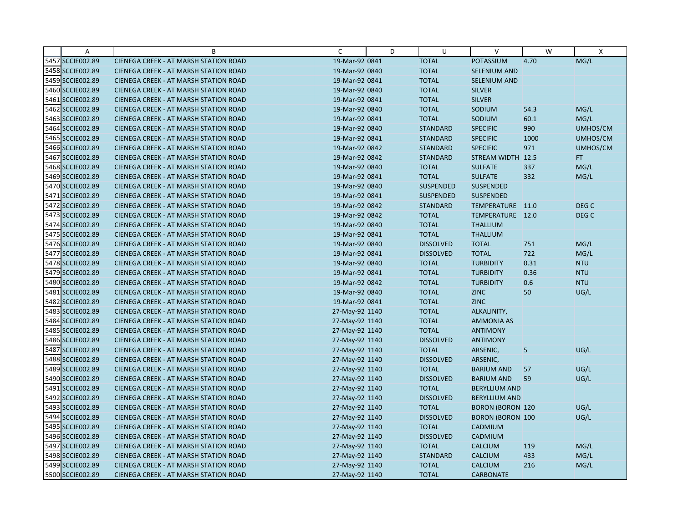| $\overline{A}$   | B                                            | C              | D | U                | v                       | W    | X                |
|------------------|----------------------------------------------|----------------|---|------------------|-------------------------|------|------------------|
| 5457 SCCIE002.89 | CIENEGA CREEK - AT MARSH STATION ROAD        | 19-Mar-92 0841 |   | <b>TOTAL</b>     | POTASSIUM               | 4.70 | MG/L             |
| 5458 SCCIE002.89 | CIENEGA CREEK - AT MARSH STATION ROAD        | 19-Mar-92 0840 |   | <b>TOTAL</b>     | SELENIUM AND            |      |                  |
| 5459 SCCIE002.89 | <b>CIENEGA CREEK - AT MARSH STATION ROAD</b> | 19-Mar-92 0841 |   | <b>TOTAL</b>     | <b>SELENIUM AND</b>     |      |                  |
| 5460 SCCIE002.89 | <b>CIENEGA CREEK - AT MARSH STATION ROAD</b> | 19-Mar-92 0840 |   | <b>TOTAL</b>     | <b>SILVER</b>           |      |                  |
| 5461 SCCIE002.89 | CIENEGA CREEK - AT MARSH STATION ROAD        | 19-Mar-92 0841 |   | <b>TOTAL</b>     | <b>SILVER</b>           |      |                  |
| 5462 SCCIE002.89 | <b>CIENEGA CREEK - AT MARSH STATION ROAD</b> | 19-Mar-92 0840 |   | <b>TOTAL</b>     | SODIUM                  | 54.3 | MG/L             |
| 5463 SCCIE002.89 | <b>CIENEGA CREEK - AT MARSH STATION ROAD</b> | 19-Mar-92 0841 |   | <b>TOTAL</b>     | SODIUM                  | 60.1 | MG/L             |
| 5464 SCCIE002.89 | <b>CIENEGA CREEK - AT MARSH STATION ROAD</b> | 19-Mar-92 0840 |   | <b>STANDARD</b>  | <b>SPECIFIC</b>         | 990  | UMHOS/CM         |
| 5465 SCCIE002.89 | CIENEGA CREEK - AT MARSH STATION ROAD        | 19-Mar-92 0841 |   | <b>STANDARD</b>  | <b>SPECIFIC</b>         | 1000 | UMHOS/CM         |
| 5466 SCCIE002.89 | <b>CIENEGA CREEK - AT MARSH STATION ROAD</b> | 19-Mar-92 0842 |   | <b>STANDARD</b>  | <b>SPECIFIC</b>         | 971  | UMHOS/CM         |
| 5467 SCCIE002.89 | <b>CIENEGA CREEK - AT MARSH STATION ROAD</b> | 19-Mar-92 0842 |   | <b>STANDARD</b>  | STREAM WIDTH 12.5       |      | FT.              |
| 5468 SCCIE002.89 | CIENEGA CREEK - AT MARSH STATION ROAD        | 19-Mar-92 0840 |   | <b>TOTAL</b>     | <b>SULFATE</b>          | 337  | MG/L             |
| 5469 SCCIE002.89 | <b>CIENEGA CREEK - AT MARSH STATION ROAD</b> | 19-Mar-92 0841 |   | <b>TOTAL</b>     | <b>SULFATE</b>          | 332  | MG/L             |
| 5470 SCCIE002.89 | <b>CIENEGA CREEK - AT MARSH STATION ROAD</b> | 19-Mar-92 0840 |   | <b>SUSPENDED</b> | SUSPENDED               |      |                  |
| 5471 SCCIE002.89 | <b>CIENEGA CREEK - AT MARSH STATION ROAD</b> | 19-Mar-92 0841 |   | <b>SUSPENDED</b> | <b>SUSPENDED</b>        |      |                  |
| 5472 SCCIE002.89 | <b>CIENEGA CREEK - AT MARSH STATION ROAD</b> | 19-Mar-92 0842 |   | <b>STANDARD</b>  | TEMPERATURE 11.0        |      | DEG C            |
| 5473 SCCIE002.89 | CIENEGA CREEK - AT MARSH STATION ROAD        | 19-Mar-92 0842 |   | <b>TOTAL</b>     | TEMPERATURE 12.0        |      | DEG <sub>C</sub> |
| 5474 SCCIE002.89 | <b>CIENEGA CREEK - AT MARSH STATION ROAD</b> | 19-Mar-92 0840 |   | <b>TOTAL</b>     | <b>THALLIUM</b>         |      |                  |
| 5475 SCCIE002.89 | <b>CIENEGA CREEK - AT MARSH STATION ROAD</b> | 19-Mar-92 0841 |   | <b>TOTAL</b>     | <b>THALLIUM</b>         |      |                  |
| 5476 SCCIE002.89 | <b>CIENEGA CREEK - AT MARSH STATION ROAD</b> | 19-Mar-92 0840 |   | <b>DISSOLVED</b> | <b>TOTAL</b>            | 751  | MG/L             |
| 5477 SCCIE002.89 | <b>CIENEGA CREEK - AT MARSH STATION ROAD</b> | 19-Mar-92 0841 |   | <b>DISSOLVED</b> | <b>TOTAL</b>            | 722  | MG/L             |
| 5478 SCCIE002.89 | <b>CIENEGA CREEK - AT MARSH STATION ROAD</b> | 19-Mar-92 0840 |   | <b>TOTAL</b>     | <b>TURBIDITY</b>        | 0.31 | <b>NTU</b>       |
| 5479 SCCIE002.89 | CIENEGA CREEK - AT MARSH STATION ROAD        | 19-Mar-92 0841 |   | <b>TOTAL</b>     | <b>TURBIDITY</b>        | 0.36 | <b>NTU</b>       |
| 5480 SCCIE002.89 | <b>CIENEGA CREEK - AT MARSH STATION ROAD</b> | 19-Mar-92 0842 |   | <b>TOTAL</b>     | <b>TURBIDITY</b>        | 0.6  | <b>NTU</b>       |
| 5481 SCCIE002.89 | CIENEGA CREEK - AT MARSH STATION ROAD        | 19-Mar-92 0840 |   | <b>TOTAL</b>     | <b>ZINC</b>             | 50   | UG/L             |
| 5482 SCCIE002.89 | <b>CIENEGA CREEK - AT MARSH STATION ROAD</b> | 19-Mar-92 0841 |   | <b>TOTAL</b>     | <b>ZINC</b>             |      |                  |
| 5483 SCCIE002.89 | <b>CIENEGA CREEK - AT MARSH STATION ROAD</b> | 27-May-92 1140 |   | <b>TOTAL</b>     | ALKALINITY,             |      |                  |
| 5484 SCCIE002.89 | CIENEGA CREEK - AT MARSH STATION ROAD        | 27-May-92 1140 |   | <b>TOTAL</b>     | <b>AMMONIA AS</b>       |      |                  |
| 5485 SCCIE002.89 | <b>CIENEGA CREEK - AT MARSH STATION ROAD</b> | 27-May-92 1140 |   | <b>TOTAL</b>     | <b>ANTIMONY</b>         |      |                  |
| 5486 SCCIE002.89 | <b>CIENEGA CREEK - AT MARSH STATION ROAD</b> | 27-May-92 1140 |   | <b>DISSOLVED</b> | <b>ANTIMONY</b>         |      |                  |
| 5487 SCCIE002.89 | CIENEGA CREEK - AT MARSH STATION ROAD        | 27-May-92 1140 |   | <b>TOTAL</b>     | ARSENIC,                | 5    | UG/L             |
| 5488 SCCIE002.89 | <b>CIENEGA CREEK - AT MARSH STATION ROAD</b> | 27-May-92 1140 |   | <b>DISSOLVED</b> | ARSENIC,                |      |                  |
| 5489 SCCIE002.89 | <b>CIENEGA CREEK - AT MARSH STATION ROAD</b> | 27-May-92 1140 |   | <b>TOTAL</b>     | <b>BARIUM AND</b>       | 57   | UG/L             |
| 5490 SCCIE002.89 | <b>CIENEGA CREEK - AT MARSH STATION ROAD</b> | 27-May-92 1140 |   | <b>DISSOLVED</b> | <b>BARIUM AND</b>       | 59   | UG/L             |
| 5491 SCCIE002.89 | <b>CIENEGA CREEK - AT MARSH STATION ROAD</b> | 27-May-92 1140 |   | <b>TOTAL</b>     | <b>BERYLLIUM AND</b>    |      |                  |
| 5492 SCCIE002.89 | <b>CIENEGA CREEK - AT MARSH STATION ROAD</b> | 27-May-92 1140 |   | <b>DISSOLVED</b> | <b>BERYLLIUM AND</b>    |      |                  |
| 5493 SCCIE002.89 | <b>CIENEGA CREEK - AT MARSH STATION ROAD</b> | 27-May-92 1140 |   | <b>TOTAL</b>     | <b>BORON (BORON 120</b> |      | UG/L             |
| 5494 SCCIE002.89 | CIENEGA CREEK - AT MARSH STATION ROAD        | 27-May-92 1140 |   | <b>DISSOLVED</b> | <b>BORON (BORON 100</b> |      | UG/L             |
| 5495 SCCIE002.89 | CIENEGA CREEK - AT MARSH STATION ROAD        | 27-May-92 1140 |   | <b>TOTAL</b>     | CADMIUM                 |      |                  |
| 5496 SCCIE002.89 | <b>CIENEGA CREEK - AT MARSH STATION ROAD</b> | 27-May-92 1140 |   | <b>DISSOLVED</b> | CADMIUM                 |      |                  |
| 5497 SCCIE002.89 | <b>CIENEGA CREEK - AT MARSH STATION ROAD</b> | 27-May-92 1140 |   | <b>TOTAL</b>     | <b>CALCIUM</b>          | 119  | MG/L             |
| 5498 SCCIE002.89 | CIENEGA CREEK - AT MARSH STATION ROAD        | 27-May-92 1140 |   | <b>STANDARD</b>  | <b>CALCIUM</b>          | 433  | MG/L             |
| 5499 SCCIE002.89 | CIENEGA CREEK - AT MARSH STATION ROAD        | 27-May-92 1140 |   | <b>TOTAL</b>     | <b>CALCIUM</b>          | 216  | MG/L             |
| 5500 SCCIE002.89 | CIENEGA CREEK - AT MARSH STATION ROAD        | 27-May-92 1140 |   | <b>TOTAL</b>     | <b>CARBONATE</b>        |      |                  |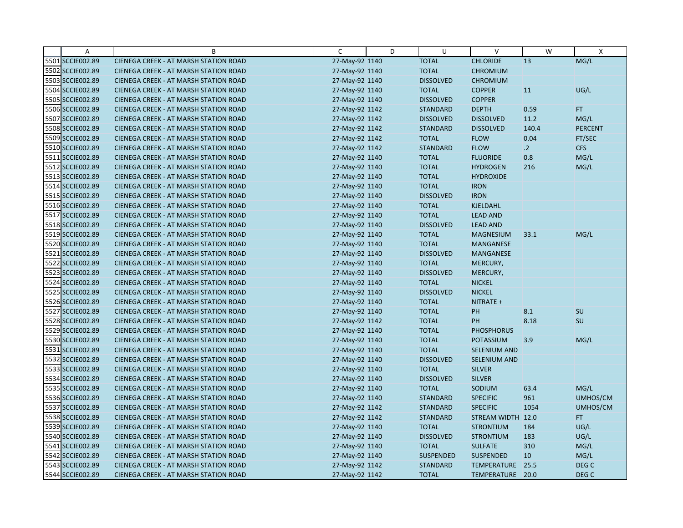| Α                | B                                            | C              | D | U                | $\vee$              | W              | $\mathsf{X}$     |
|------------------|----------------------------------------------|----------------|---|------------------|---------------------|----------------|------------------|
| 5501 SCCIE002.89 | CIENEGA CREEK - AT MARSH STATION ROAD        | 27-May-92 1140 |   | <b>TOTAL</b>     | <b>CHLORIDE</b>     | 13             | MG/L             |
| 5502 SCCIE002.89 | CIENEGA CREEK - AT MARSH STATION ROAD        | 27-May-92 1140 |   | <b>TOTAL</b>     | <b>CHROMIUM</b>     |                |                  |
| 5503 SCCIE002.89 | <b>CIENEGA CREEK - AT MARSH STATION ROAD</b> | 27-May-92 1140 |   | <b>DISSOLVED</b> | <b>CHROMIUM</b>     |                |                  |
| 5504 SCCIE002.89 | <b>CIENEGA CREEK - AT MARSH STATION ROAD</b> | 27-May-92 1140 |   | <b>TOTAL</b>     | <b>COPPER</b>       | 11             | UG/L             |
| 5505 SCCIE002.89 | <b>CIENEGA CREEK - AT MARSH STATION ROAD</b> | 27-May-92 1140 |   | <b>DISSOLVED</b> | <b>COPPER</b>       |                |                  |
| 5506 SCCIE002.89 | <b>CIENEGA CREEK - AT MARSH STATION ROAD</b> | 27-May-92 1142 |   | <b>STANDARD</b>  | <b>DEPTH</b>        | 0.59           | <b>FT</b>        |
| 5507 SCCIE002.89 | <b>CIENEGA CREEK - AT MARSH STATION ROAD</b> | 27-May-92 1142 |   | <b>DISSOLVED</b> | <b>DISSOLVED</b>    | 11.2           | MG/L             |
| 5508 SCCIE002.89 | CIENEGA CREEK - AT MARSH STATION ROAD        | 27-May-92 1142 |   | <b>STANDARD</b>  | <b>DISSOLVED</b>    | 140.4          | <b>PERCENT</b>   |
| 5509 SCCIE002.89 | CIENEGA CREEK - AT MARSH STATION ROAD        | 27-May-92 1142 |   | <b>TOTAL</b>     | <b>FLOW</b>         | 0.04           | FT/SEC           |
| 5510 SCCIE002.89 | <b>CIENEGA CREEK - AT MARSH STATION ROAD</b> | 27-May-92 1142 |   | <b>STANDARD</b>  | <b>FLOW</b>         | $\overline{2}$ | <b>CFS</b>       |
| 5511 SCCIE002.89 | <b>CIENEGA CREEK - AT MARSH STATION ROAD</b> | 27-May-92 1140 |   | <b>TOTAL</b>     | <b>FLUORIDE</b>     | 0.8            | MG/L             |
| 5512 SCCIE002.89 | CIENEGA CREEK - AT MARSH STATION ROAD        | 27-May-92 1140 |   | <b>TOTAL</b>     | <b>HYDROGEN</b>     | 216            | MG/L             |
| 5513 SCCIE002.89 | <b>CIENEGA CREEK - AT MARSH STATION ROAD</b> | 27-May-92 1140 |   | <b>TOTAL</b>     | <b>HYDROXIDE</b>    |                |                  |
| 5514 SCCIE002.89 | <b>CIENEGA CREEK - AT MARSH STATION ROAD</b> | 27-May-92 1140 |   | <b>TOTAL</b>     | <b>IRON</b>         |                |                  |
| 5515 SCCIE002.89 | <b>CIENEGA CREEK - AT MARSH STATION ROAD</b> | 27-May-92 1140 |   | <b>DISSOLVED</b> | <b>IRON</b>         |                |                  |
| 5516 SCCIE002.89 | <b>CIENEGA CREEK - AT MARSH STATION ROAD</b> | 27-May-92 1140 |   | <b>TOTAL</b>     | <b>KJELDAHL</b>     |                |                  |
| 5517 SCCIE002.89 | CIENEGA CREEK - AT MARSH STATION ROAD        | 27-May-92 1140 |   | <b>TOTAL</b>     | <b>LEAD AND</b>     |                |                  |
| 5518 SCCIE002.89 | <b>CIENEGA CREEK - AT MARSH STATION ROAD</b> | 27-May-92 1140 |   | <b>DISSOLVED</b> | <b>LEAD AND</b>     |                |                  |
| 5519 SCCIE002.89 | <b>CIENEGA CREEK - AT MARSH STATION ROAD</b> | 27-May-92 1140 |   | <b>TOTAL</b>     | <b>MAGNESIUM</b>    | 33.1           | MG/L             |
| 5520 SCCIE002.89 | CIENEGA CREEK - AT MARSH STATION ROAD        | 27-May-92 1140 |   | <b>TOTAL</b>     | <b>MANGANESE</b>    |                |                  |
| 5521 SCCIE002.89 | <b>CIENEGA CREEK - AT MARSH STATION ROAD</b> | 27-May-92 1140 |   | <b>DISSOLVED</b> | <b>MANGANESE</b>    |                |                  |
| 5522 SCCIE002.89 | CIENEGA CREEK - AT MARSH STATION ROAD        | 27-May-92 1140 |   | <b>TOTAL</b>     | MERCURY,            |                |                  |
| 5523 SCCIE002.89 | <b>CIENEGA CREEK - AT MARSH STATION ROAD</b> | 27-May-92 1140 |   | <b>DISSOLVED</b> | MERCURY,            |                |                  |
| 5524 SCCIE002.89 | <b>CIENEGA CREEK - AT MARSH STATION ROAD</b> | 27-May-92 1140 |   | <b>TOTAL</b>     | <b>NICKEL</b>       |                |                  |
| 5525 SCCIE002.89 | CIENEGA CREEK - AT MARSH STATION ROAD        | 27-May-92 1140 |   | <b>DISSOLVED</b> | <b>NICKEL</b>       |                |                  |
| 5526 SCCIE002.89 | CIENEGA CREEK - AT MARSH STATION ROAD        | 27-May-92 1140 |   | <b>TOTAL</b>     | NITRATE +           |                |                  |
| 5527 SCCIE002.89 | <b>CIENEGA CREEK - AT MARSH STATION ROAD</b> | 27-May-92 1140 |   | <b>TOTAL</b>     | PH                  | 8.1            | SU               |
| 5528 SCCIE002.89 | <b>CIENEGA CREEK - AT MARSH STATION ROAD</b> | 27-May-92 1142 |   | <b>TOTAL</b>     | PH                  | 8.18           | SU               |
| 5529 SCCIE002.89 | <b>CIENEGA CREEK - AT MARSH STATION ROAD</b> | 27-May-92 1140 |   | <b>TOTAL</b>     | <b>PHOSPHORUS</b>   |                |                  |
| 5530 SCCIE002.89 | <b>CIENEGA CREEK - AT MARSH STATION ROAD</b> | 27-May-92 1140 |   | <b>TOTAL</b>     | <b>POTASSIUM</b>    | 3.9            | MG/L             |
| 5531 SCCIE002.89 | CIENEGA CREEK - AT MARSH STATION ROAD        | 27-May-92 1140 |   | <b>TOTAL</b>     | SELENIUM AND        |                |                  |
| 5532 SCCIE002.89 | <b>CIENEGA CREEK - AT MARSH STATION ROAD</b> | 27-May-92 1140 |   | <b>DISSOLVED</b> | <b>SELENIUM AND</b> |                |                  |
| 5533 SCCIE002.89 | <b>CIENEGA CREEK - AT MARSH STATION ROAD</b> | 27-May-92 1140 |   | <b>TOTAL</b>     | <b>SILVER</b>       |                |                  |
| 5534 SCCIE002.89 | CIENEGA CREEK - AT MARSH STATION ROAD        | 27-May-92 1140 |   | <b>DISSOLVED</b> | <b>SILVER</b>       |                |                  |
| 5535 SCCIE002.89 | <b>CIENEGA CREEK - AT MARSH STATION ROAD</b> | 27-May-92 1140 |   | <b>TOTAL</b>     | SODIUM              | 63.4           | MG/L             |
| 5536 SCCIE002.89 | <b>CIENEGA CREEK - AT MARSH STATION ROAD</b> | 27-May-92 1140 |   | <b>STANDARD</b>  | <b>SPECIFIC</b>     | 961            | UMHOS/CM         |
| 5537 SCCIE002.89 | <b>CIENEGA CREEK - AT MARSH STATION ROAD</b> | 27-May-92 1142 |   | <b>STANDARD</b>  | <b>SPECIFIC</b>     | 1054           | UMHOS/CM         |
| 5538 SCCIE002.89 | CIENEGA CREEK - AT MARSH STATION ROAD        | 27-May-92 1142 |   | <b>STANDARD</b>  | STREAM WIDTH 12.0   |                | FT.              |
| 5539 SCCIE002.89 | CIENEGA CREEK - AT MARSH STATION ROAD        | 27-May-92 1140 |   | <b>TOTAL</b>     | <b>STRONTIUM</b>    | 184            | UG/L             |
| 5540 SCCIE002.89 | <b>CIENEGA CREEK - AT MARSH STATION ROAD</b> | 27-May-92 1140 |   | <b>DISSOLVED</b> | <b>STRONTIUM</b>    | 183            | UG/L             |
| 5541 SCCIE002.89 | <b>CIENEGA CREEK - AT MARSH STATION ROAD</b> | 27-May-92 1140 |   | <b>TOTAL</b>     | <b>SULFATE</b>      | 310            | MG/L             |
| 5542 SCCIE002.89 | CIENEGA CREEK - AT MARSH STATION ROAD        | 27-May-92 1140 |   | <b>SUSPENDED</b> | <b>SUSPENDED</b>    | 10             | MG/L             |
| 5543 SCCIE002.89 | CIENEGA CREEK - AT MARSH STATION ROAD        | 27-May-92 1142 |   | <b>STANDARD</b>  | TEMPERATURE         | 25.5           | DEG <sub>C</sub> |
| 5544 SCCIE002.89 | CIENEGA CREEK - AT MARSH STATION ROAD        | 27-May-92 1142 |   | <b>TOTAL</b>     | TEMPERATURE 20.0    |                | DEG C            |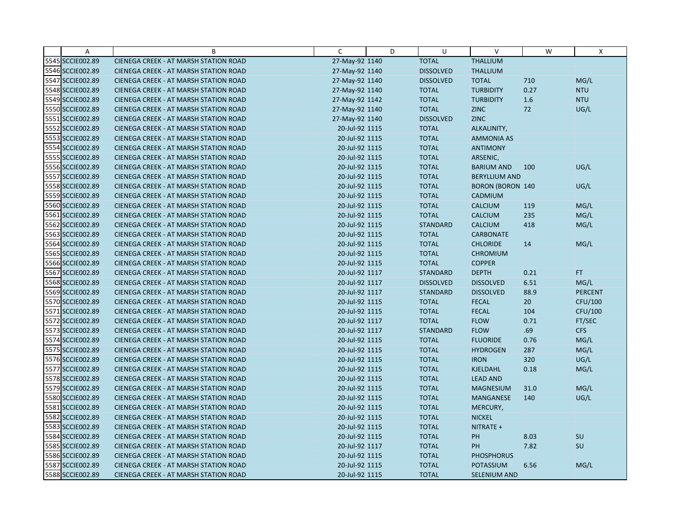| Α                | B                                            | C              | D | U                | $\vee$                  | W     | X              |
|------------------|----------------------------------------------|----------------|---|------------------|-------------------------|-------|----------------|
| 5545 SCCIE002.89 | CIENEGA CREEK - AT MARSH STATION ROAD        | 27-May-92 1140 |   | <b>TOTAL</b>     | <b>THALLIUM</b>         |       |                |
| 5546 SCCIE002.89 | CIENEGA CREEK - AT MARSH STATION ROAD        | 27-May-92 1140 |   | <b>DISSOLVED</b> | <b>THALLIUM</b>         |       |                |
| 5547 SCCIE002.89 | <b>CIENEGA CREEK - AT MARSH STATION ROAD</b> | 27-May-92 1140 |   | <b>DISSOLVED</b> | <b>TOTAL</b>            | 710   | MG/L           |
| 5548 SCCIE002.89 | <b>CIENEGA CREEK - AT MARSH STATION ROAD</b> | 27-May-92 1140 |   | <b>TOTAL</b>     | <b>TURBIDITY</b>        | 0.27  | <b>NTU</b>     |
| 5549 SCCIE002.89 | <b>CIENEGA CREEK - AT MARSH STATION ROAD</b> | 27-May-92 1142 |   | <b>TOTAL</b>     | <b>TURBIDITY</b>        | $1.6$ | <b>NTU</b>     |
| 5550 SCCIE002.89 | CIENEGA CREEK - AT MARSH STATION ROAD        | 27-May-92 1140 |   | <b>TOTAL</b>     | <b>ZINC</b>             | 72    | UG/L           |
| 5551 SCCIE002.89 | CIENEGA CREEK - AT MARSH STATION ROAD        | 27-May-92 1140 |   | <b>DISSOLVED</b> | <b>ZINC</b>             |       |                |
| 5552 SCCIE002.89 | <b>CIENEGA CREEK - AT MARSH STATION ROAD</b> | 20-Jul-92 1115 |   | <b>TOTAL</b>     | ALKALINITY,             |       |                |
| 5553 SCCIE002.89 | CIENEGA CREEK - AT MARSH STATION ROAD        | 20-Jul-92 1115 |   | <b>TOTAL</b>     | <b>AMMONIA AS</b>       |       |                |
| 5554 SCCIE002.89 | CIENEGA CREEK - AT MARSH STATION ROAD        | 20-Jul-92 1115 |   | <b>TOTAL</b>     | <b>ANTIMONY</b>         |       |                |
| 5555 SCCIE002.89 | <b>CIENEGA CREEK - AT MARSH STATION ROAD</b> | 20-Jul-92 1115 |   | <b>TOTAL</b>     | ARSENIC,                |       |                |
| 5556 SCCIE002.89 | <b>CIENEGA CREEK - AT MARSH STATION ROAD</b> | 20-Jul-92 1115 |   | <b>TOTAL</b>     | <b>BARIUM AND</b>       | 100   | UG/L           |
| 5557 SCCIE002.89 | CIENEGA CREEK - AT MARSH STATION ROAD        | 20-Jul-92 1115 |   | <b>TOTAL</b>     | <b>BERYLLIUM AND</b>    |       |                |
| 5558 SCCIE002.89 | CIENEGA CREEK - AT MARSH STATION ROAD        | 20-Jul-92 1115 |   | <b>TOTAL</b>     | <b>BORON (BORON 140</b> |       | UG/L           |
| 5559 SCCIE002.89 | CIENEGA CREEK - AT MARSH STATION ROAD        | 20-Jul-92 1115 |   | <b>TOTAL</b>     | CADMIUM                 |       |                |
| 5560 SCCIE002.89 | CIENEGA CREEK - AT MARSH STATION ROAD        | 20-Jul-92 1115 |   | <b>TOTAL</b>     | <b>CALCIUM</b>          | 119   | MG/L           |
| 5561 SCCIE002.89 | CIENEGA CREEK - AT MARSH STATION ROAD        | 20-Jul-92 1115 |   | <b>TOTAL</b>     | <b>CALCIUM</b>          | 235   | MG/L           |
| 5562 SCCIE002.89 | <b>CIENEGA CREEK - AT MARSH STATION ROAD</b> | 20-Jul-92 1115 |   | <b>STANDARD</b>  | <b>CALCIUM</b>          | 418   | MG/L           |
| 5563 SCCIE002.89 | <b>CIENEGA CREEK - AT MARSH STATION ROAD</b> | 20-Jul-92 1115 |   | <b>TOTAL</b>     | <b>CARBONATE</b>        |       |                |
| 5564 SCCIE002.89 | CIENEGA CREEK - AT MARSH STATION ROAD        | 20-Jul-92 1115 |   | <b>TOTAL</b>     | <b>CHLORIDE</b>         | 14    | MG/L           |
| 5565 SCCIE002.89 | <b>CIENEGA CREEK - AT MARSH STATION ROAD</b> | 20-Jul-92 1115 |   | <b>TOTAL</b>     | <b>CHROMIUM</b>         |       |                |
| 5566 SCCIE002.89 | CIENEGA CREEK - AT MARSH STATION ROAD        | 20-Jul-92 1115 |   | <b>TOTAL</b>     | <b>COPPER</b>           |       |                |
| 5567 SCCIE002.89 | CIENEGA CREEK - AT MARSH STATION ROAD        | 20-Jul-92 1117 |   | <b>STANDARD</b>  | <b>DEPTH</b>            | 0.21  | FT.            |
| 5568 SCCIE002.89 | <b>CIENEGA CREEK - AT MARSH STATION ROAD</b> | 20-Jul-92 1117 |   | <b>DISSOLVED</b> | <b>DISSOLVED</b>        | 6.51  | MG/L           |
| 5569 SCCIE002.89 | CIENEGA CREEK - AT MARSH STATION ROAD        | 20-Jul-92 1117 |   | <b>STANDARD</b>  | <b>DISSOLVED</b>        | 88.9  | <b>PERCENT</b> |
| 5570 SCCIE002.89 | <b>CIENEGA CREEK - AT MARSH STATION ROAD</b> | 20-Jul-92 1115 |   | <b>TOTAL</b>     | <b>FECAL</b>            | 20    | CFU/100        |
| 5571 SCCIE002.89 | <b>CIENEGA CREEK - AT MARSH STATION ROAD</b> | 20-Jul-92 1115 |   | <b>TOTAL</b>     | <b>FECAL</b>            | 104   | CFU/100        |
| 5572 SCCIE002.89 | CIENEGA CREEK - AT MARSH STATION ROAD        | 20-Jul-92 1117 |   | <b>TOTAL</b>     | <b>FLOW</b>             | 0.71  | FT/SEC         |
| 5573 SCCIE002.89 | <b>CIENEGA CREEK - AT MARSH STATION ROAD</b> | 20-Jul-92 1117 |   | <b>STANDARD</b>  | <b>FLOW</b>             | .69   | <b>CFS</b>     |
| 5574 SCCIE002.89 | <b>CIENEGA CREEK - AT MARSH STATION ROAD</b> | 20-Jul-92 1115 |   | <b>TOTAL</b>     | <b>FLUORIDE</b>         | 0.76  | MG/L           |
| 5575 SCCIE002.89 | CIENEGA CREEK - AT MARSH STATION ROAD        | 20-Jul-92 1115 |   | <b>TOTAL</b>     | <b>HYDROGEN</b>         | 287   | MG/L           |
| 5576 SCCIE002.89 | <b>CIENEGA CREEK - AT MARSH STATION ROAD</b> | 20-Jul-92 1115 |   | <b>TOTAL</b>     | <b>IRON</b>             | 320   | UG/L           |
| 5577 SCCIE002.89 | CIENEGA CREEK - AT MARSH STATION ROAD        | 20-Jul-92 1115 |   | <b>TOTAL</b>     | KJELDAHL                | 0.18  | MG/L           |
| 5578 SCCIE002.89 | <b>CIENEGA CREEK - AT MARSH STATION ROAD</b> | 20-Jul-92 1115 |   | <b>TOTAL</b>     | <b>LEAD AND</b>         |       |                |
| 5579 SCCIE002.89 | <b>CIENEGA CREEK - AT MARSH STATION ROAD</b> | 20-Jul-92 1115 |   | <b>TOTAL</b>     | <b>MAGNESIUM</b>        | 31.0  | MG/L           |
| 5580 SCCIE002.89 | CIENEGA CREEK - AT MARSH STATION ROAD        | 20-Jul-92 1115 |   | <b>TOTAL</b>     | <b>MANGANESE</b>        | 140   | UG/L           |
| 5581 SCCIE002.89 | <b>CIENEGA CREEK - AT MARSH STATION ROAD</b> | 20-Jul-92 1115 |   | <b>TOTAL</b>     | MERCURY,                |       |                |
| 5582 SCCIE002.89 | <b>CIENEGA CREEK - AT MARSH STATION ROAD</b> | 20-Jul-92 1115 |   | <b>TOTAL</b>     | <b>NICKEL</b>           |       |                |
| 5583 SCCIE002.89 | CIENEGA CREEK - AT MARSH STATION ROAD        | 20-Jul-92 1115 |   | <b>TOTAL</b>     | NITRATE +               |       |                |
| 5584 SCCIE002.89 | <b>CIENEGA CREEK - AT MARSH STATION ROAD</b> | 20-Jul-92 1115 |   | <b>TOTAL</b>     | PH                      | 8.03  | SU             |
| 5585 SCCIE002.89 | <b>CIENEGA CREEK - AT MARSH STATION ROAD</b> | 20-Jul-92 1117 |   | <b>TOTAL</b>     | PH                      | 7.82  | SU             |
| 5586 SCCIE002.89 | CIENEGA CREEK - AT MARSH STATION ROAD        | 20-Jul-92 1115 |   | <b>TOTAL</b>     | <b>PHOSPHORUS</b>       |       |                |
| 5587 SCCIE002.89 | CIENEGA CREEK - AT MARSH STATION ROAD        | 20-Jul-92 1115 |   | <b>TOTAL</b>     | <b>POTASSIUM</b>        | 6.56  | MG/L           |
| 5588 SCCIE002.89 | CIENEGA CREEK - AT MARSH STATION ROAD        | 20-Jul-92 1115 |   | <b>TOTAL</b>     | SELENIUM AND            |       |                |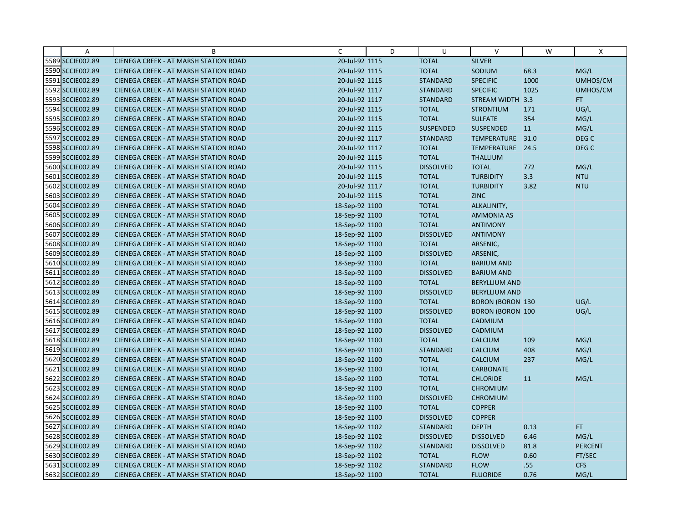| Α                | B                                            | C              | D | U                | $\vee$                  | W    | X                |
|------------------|----------------------------------------------|----------------|---|------------------|-------------------------|------|------------------|
| 5589 SCCIE002.89 | CIENEGA CREEK - AT MARSH STATION ROAD        | 20-Jul-92 1115 |   | <b>TOTAL</b>     | <b>SILVER</b>           |      |                  |
| 5590 SCCIE002.89 | CIENEGA CREEK - AT MARSH STATION ROAD        | 20-Jul-92 1115 |   | <b>TOTAL</b>     | SODIUM                  | 68.3 | MG/L             |
| 5591 SCCIE002.89 | <b>CIENEGA CREEK - AT MARSH STATION ROAD</b> | 20-Jul-92 1115 |   | <b>STANDARD</b>  | <b>SPECIFIC</b>         | 1000 | UMHOS/CM         |
| 5592 SCCIE002.89 | <b>CIENEGA CREEK - AT MARSH STATION ROAD</b> | 20-Jul-92 1117 |   | <b>STANDARD</b>  | <b>SPECIFIC</b>         | 1025 | UMHOS/CM         |
| 5593 SCCIE002.89 | <b>CIENEGA CREEK - AT MARSH STATION ROAD</b> | 20-Jul-92 1117 |   | <b>STANDARD</b>  | STREAM WIDTH 3.3        |      | FT.              |
| 5594 SCCIE002.89 | <b>CIENEGA CREEK - AT MARSH STATION ROAD</b> | 20-Jul-92 1115 |   | <b>TOTAL</b>     | <b>STRONTIUM</b>        | 171  | UG/L             |
| 5595 SCCIE002.89 | <b>CIENEGA CREEK - AT MARSH STATION ROAD</b> | 20-Jul-92 1115 |   | <b>TOTAL</b>     | <b>SULFATE</b>          | 354  | MG/L             |
| 5596 SCCIE002.89 | <b>CIENEGA CREEK - AT MARSH STATION ROAD</b> | 20-Jul-92 1115 |   | <b>SUSPENDED</b> | <b>SUSPENDED</b>        | 11   | MG/L             |
| 5597 SCCIE002.89 | CIENEGA CREEK - AT MARSH STATION ROAD        | 20-Jul-92 1117 |   | <b>STANDARD</b>  | <b>TEMPERATURE</b>      | 31.0 | DEG <sub>C</sub> |
| 5598 SCCIE002.89 | CIENEGA CREEK - AT MARSH STATION ROAD        | 20-Jul-92 1117 |   | <b>TOTAL</b>     | TEMPERATURE 24.5        |      | DEG <sub>C</sub> |
| 5599 SCCIE002.89 | <b>CIENEGA CREEK - AT MARSH STATION ROAD</b> | 20-Jul-92 1115 |   | <b>TOTAL</b>     | <b>THALLIUM</b>         |      |                  |
| 5600 SCCIE002.89 | CIENEGA CREEK - AT MARSH STATION ROAD        | 20-Jul-92 1115 |   | <b>DISSOLVED</b> | <b>TOTAL</b>            | 772  | MG/L             |
| 5601 SCCIE002.89 | CIENEGA CREEK - AT MARSH STATION ROAD        | 20-Jul-92 1115 |   | <b>TOTAL</b>     | <b>TURBIDITY</b>        | 3.3  | <b>NTU</b>       |
| 5602 SCCIE002.89 | <b>CIENEGA CREEK - AT MARSH STATION ROAD</b> | 20-Jul-92 1117 |   | <b>TOTAL</b>     | <b>TURBIDITY</b>        | 3.82 | <b>NTU</b>       |
| 5603 SCCIE002.89 | <b>CIENEGA CREEK - AT MARSH STATION ROAD</b> | 20-Jul-92 1115 |   | <b>TOTAL</b>     | <b>ZINC</b>             |      |                  |
| 5604 SCCIE002.89 | CIENEGA CREEK - AT MARSH STATION ROAD        | 18-Sep-92 1100 |   | <b>TOTAL</b>     | ALKALINITY,             |      |                  |
| 5605 SCCIE002.89 | CIENEGA CREEK - AT MARSH STATION ROAD        | 18-Sep-92 1100 |   | <b>TOTAL</b>     | <b>AMMONIA AS</b>       |      |                  |
| 5606 SCCIE002.89 | <b>CIENEGA CREEK - AT MARSH STATION ROAD</b> | 18-Sep-92 1100 |   | <b>TOTAL</b>     | <b>ANTIMONY</b>         |      |                  |
| 5607 SCCIE002.89 | <b>CIENEGA CREEK - AT MARSH STATION ROAD</b> | 18-Sep-92 1100 |   | <b>DISSOLVED</b> | <b>ANTIMONY</b>         |      |                  |
| 5608 SCCIE002.89 | CIENEGA CREEK - AT MARSH STATION ROAD        | 18-Sep-92 1100 |   | <b>TOTAL</b>     | ARSENIC,                |      |                  |
| 5609 SCCIE002.89 | <b>CIENEGA CREEK - AT MARSH STATION ROAD</b> | 18-Sep-92 1100 |   | <b>DISSOLVED</b> | ARSENIC,                |      |                  |
| 5610 SCCIE002.89 | <b>CIENEGA CREEK - AT MARSH STATION ROAD</b> | 18-Sep-92 1100 |   | <b>TOTAL</b>     | <b>BARIUM AND</b>       |      |                  |
| 5611 SCCIE002.89 | CIENEGA CREEK - AT MARSH STATION ROAD        | 18-Sep-92 1100 |   | <b>DISSOLVED</b> | <b>BARIUM AND</b>       |      |                  |
| 5612 SCCIE002.89 | <b>CIENEGA CREEK - AT MARSH STATION ROAD</b> | 18-Sep-92 1100 |   | <b>TOTAL</b>     | <b>BERYLLIUM AND</b>    |      |                  |
| 5613 SCCIE002.89 | CIENEGA CREEK - AT MARSH STATION ROAD        | 18-Sep-92 1100 |   | <b>DISSOLVED</b> | <b>BERYLLIUM AND</b>    |      |                  |
| 5614 SCCIE002.89 | CIENEGA CREEK - AT MARSH STATION ROAD        | 18-Sep-92 1100 |   | <b>TOTAL</b>     | <b>BORON (BORON 130</b> |      | UG/L             |
| 5615 SCCIE002.89 | CIENEGA CREEK - AT MARSH STATION ROAD        | 18-Sep-92 1100 |   | <b>DISSOLVED</b> | <b>BORON (BORON 100</b> |      | UG/L             |
| 5616 SCCIE002.89 | CIENEGA CREEK - AT MARSH STATION ROAD        | 18-Sep-92 1100 |   | <b>TOTAL</b>     | CADMIUM                 |      |                  |
| 5617 SCCIE002.89 | <b>CIENEGA CREEK - AT MARSH STATION ROAD</b> | 18-Sep-92 1100 |   | <b>DISSOLVED</b> | CADMIUM                 |      |                  |
| 5618 SCCIE002.89 | <b>CIENEGA CREEK - AT MARSH STATION ROAD</b> | 18-Sep-92 1100 |   | <b>TOTAL</b>     | <b>CALCIUM</b>          | 109  | MG/L             |
| 5619 SCCIE002.89 | CIENEGA CREEK - AT MARSH STATION ROAD        | 18-Sep-92 1100 |   | <b>STANDARD</b>  | <b>CALCIUM</b>          | 408  | MG/L             |
| 5620 SCCIE002.89 | <b>CIENEGA CREEK - AT MARSH STATION ROAD</b> | 18-Sep-92 1100 |   | <b>TOTAL</b>     | <b>CALCIUM</b>          | 237  | MG/L             |
| 5621 SCCIE002.89 | <b>CIENEGA CREEK - AT MARSH STATION ROAD</b> | 18-Sep-92 1100 |   | <b>TOTAL</b>     | <b>CARBONATE</b>        |      |                  |
| 5622 SCCIE002.89 | <b>CIENEGA CREEK - AT MARSH STATION ROAD</b> | 18-Sep-92 1100 |   | <b>TOTAL</b>     | <b>CHLORIDE</b>         | 11   | MG/L             |
| 5623 SCCIE002.89 | CIENEGA CREEK - AT MARSH STATION ROAD        | 18-Sep-92 1100 |   | <b>TOTAL</b>     | <b>CHROMIUM</b>         |      |                  |
| 5624 SCCIE002.89 | <b>CIENEGA CREEK - AT MARSH STATION ROAD</b> | 18-Sep-92 1100 |   | <b>DISSOLVED</b> | <b>CHROMIUM</b>         |      |                  |
| 5625 SCCIE002.89 | <b>CIENEGA CREEK - AT MARSH STATION ROAD</b> | 18-Sep-92 1100 |   | <b>TOTAL</b>     | <b>COPPER</b>           |      |                  |
| 5626 SCCIE002.89 | CIENEGA CREEK - AT MARSH STATION ROAD        | 18-Sep-92 1100 |   | <b>DISSOLVED</b> | <b>COPPER</b>           |      |                  |
| 5627 SCCIE002.89 | CIENEGA CREEK - AT MARSH STATION ROAD        | 18-Sep-92 1102 |   | <b>STANDARD</b>  | <b>DEPTH</b>            | 0.13 | FT.              |
| 5628 SCCIE002.89 | <b>CIENEGA CREEK - AT MARSH STATION ROAD</b> | 18-Sep-92 1102 |   | <b>DISSOLVED</b> | <b>DISSOLVED</b>        | 6.46 | MG/L             |
| 5629 SCCIE002.89 | <b>CIENEGA CREEK - AT MARSH STATION ROAD</b> | 18-Sep-92 1102 |   | <b>STANDARD</b>  | <b>DISSOLVED</b>        | 81.8 | <b>PERCENT</b>   |
| 5630 SCCIE002.89 | CIENEGA CREEK - AT MARSH STATION ROAD        | 18-Sep-92 1102 |   | <b>TOTAL</b>     | <b>FLOW</b>             | 0.60 | FT/SEC           |
| 5631 SCCIE002.89 | CIENEGA CREEK - AT MARSH STATION ROAD        | 18-Sep-92 1102 |   | <b>STANDARD</b>  | <b>FLOW</b>             | .55  | <b>CFS</b>       |
| 5632 SCCIE002.89 | <b>CIENEGA CREEK - AT MARSH STATION ROAD</b> | 18-Sep-92 1100 |   | <b>TOTAL</b>     | <b>FLUORIDE</b>         | 0.76 | MG/L             |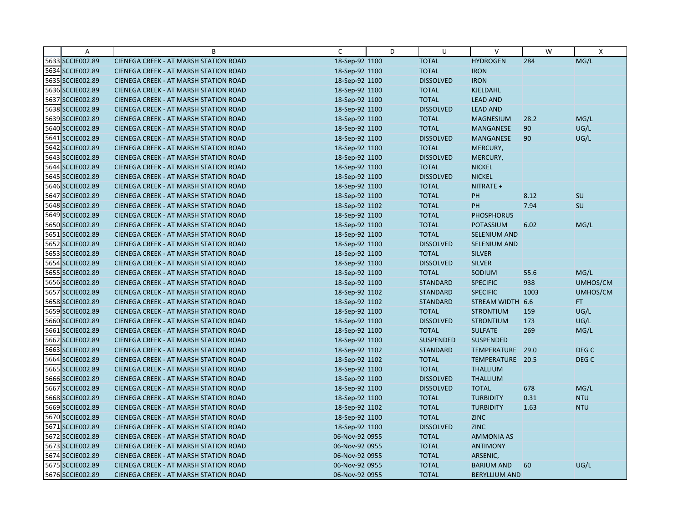| $\overline{A}$   | B                                            | $\mathsf{C}$   | D | U                | $\vee$               | W    | $\mathsf{X}$     |
|------------------|----------------------------------------------|----------------|---|------------------|----------------------|------|------------------|
| 5633 SCCIE002.89 | CIENEGA CREEK - AT MARSH STATION ROAD        | 18-Sep-92 1100 |   | <b>TOTAL</b>     | <b>HYDROGEN</b>      | 284  | MG/L             |
| 5634 SCCIE002.89 | CIENEGA CREEK - AT MARSH STATION ROAD        | 18-Sep-92 1100 |   | <b>TOTAL</b>     | <b>IRON</b>          |      |                  |
| 5635 SCCIE002.89 | <b>CIENEGA CREEK - AT MARSH STATION ROAD</b> | 18-Sep-92 1100 |   | <b>DISSOLVED</b> | <b>IRON</b>          |      |                  |
| 5636 SCCIE002.89 | <b>CIENEGA CREEK - AT MARSH STATION ROAD</b> | 18-Sep-92 1100 |   | <b>TOTAL</b>     | KJELDAHL             |      |                  |
| 5637 SCCIE002.89 | CIENEGA CREEK - AT MARSH STATION ROAD        | 18-Sep-92 1100 |   | <b>TOTAL</b>     | <b>LEAD AND</b>      |      |                  |
| 5638 SCCIE002.89 | <b>CIENEGA CREEK - AT MARSH STATION ROAD</b> | 18-Sep-92 1100 |   | <b>DISSOLVED</b> | <b>LEAD AND</b>      |      |                  |
| 5639 SCCIE002.89 | <b>CIENEGA CREEK - AT MARSH STATION ROAD</b> | 18-Sep-92 1100 |   | <b>TOTAL</b>     | <b>MAGNESIUM</b>     | 28.2 | MG/L             |
| 5640 SCCIE002.89 | <b>CIENEGA CREEK - AT MARSH STATION ROAD</b> | 18-Sep-92 1100 |   | <b>TOTAL</b>     | <b>MANGANESE</b>     | 90   | UG/L             |
| 5641 SCCIE002.89 | CIENEGA CREEK - AT MARSH STATION ROAD        | 18-Sep-92 1100 |   | <b>DISSOLVED</b> | <b>MANGANESE</b>     | 90   | UG/L             |
| 5642 SCCIE002.89 | <b>CIENEGA CREEK - AT MARSH STATION ROAD</b> | 18-Sep-92 1100 |   | <b>TOTAL</b>     | MERCURY,             |      |                  |
| 5643 SCCIE002.89 | <b>CIENEGA CREEK - AT MARSH STATION ROAD</b> | 18-Sep-92 1100 |   | <b>DISSOLVED</b> | MERCURY,             |      |                  |
| 5644 SCCIE002.89 | CIENEGA CREEK - AT MARSH STATION ROAD        | 18-Sep-92 1100 |   | <b>TOTAL</b>     | <b>NICKEL</b>        |      |                  |
| 5645 SCCIE002.89 | CIENEGA CREEK - AT MARSH STATION ROAD        | 18-Sep-92 1100 |   | <b>DISSOLVED</b> | <b>NICKEL</b>        |      |                  |
| 5646 SCCIE002.89 | <b>CIENEGA CREEK - AT MARSH STATION ROAD</b> | 18-Sep-92 1100 |   | <b>TOTAL</b>     | NITRATE +            |      |                  |
| 5647 SCCIE002.89 | <b>CIENEGA CREEK - AT MARSH STATION ROAD</b> | 18-Sep-92 1100 |   | <b>TOTAL</b>     | PH                   | 8.12 | SU               |
| 5648 SCCIE002.89 | <b>CIENEGA CREEK - AT MARSH STATION ROAD</b> | 18-Sep-92 1102 |   | <b>TOTAL</b>     | <b>PH</b>            | 7.94 | SU               |
| 5649 SCCIE002.89 | CIENEGA CREEK - AT MARSH STATION ROAD        | 18-Sep-92 1100 |   | <b>TOTAL</b>     | <b>PHOSPHORUS</b>    |      |                  |
| 5650 SCCIE002.89 | CIENEGA CREEK - AT MARSH STATION ROAD        | 18-Sep-92 1100 |   | <b>TOTAL</b>     | <b>POTASSIUM</b>     | 6.02 | MG/L             |
| 5651 SCCIE002.89 | <b>CIENEGA CREEK - AT MARSH STATION ROAD</b> | 18-Sep-92 1100 |   | <b>TOTAL</b>     | SELENIUM AND         |      |                  |
| 5652 SCCIE002.89 | <b>CIENEGA CREEK - AT MARSH STATION ROAD</b> | 18-Sep-92 1100 |   | <b>DISSOLVED</b> | SELENIUM AND         |      |                  |
| 5653 SCCIE002.89 | <b>CIENEGA CREEK - AT MARSH STATION ROAD</b> | 18-Sep-92 1100 |   | <b>TOTAL</b>     | <b>SILVER</b>        |      |                  |
| 5654 SCCIE002.89 | <b>CIENEGA CREEK - AT MARSH STATION ROAD</b> | 18-Sep-92 1100 |   | <b>DISSOLVED</b> | <b>SILVER</b>        |      |                  |
| 5655 SCCIE002.89 | CIENEGA CREEK - AT MARSH STATION ROAD        | 18-Sep-92 1100 |   | <b>TOTAL</b>     | SODIUM               | 55.6 | MG/L             |
| 5656 SCCIE002.89 | <b>CIENEGA CREEK - AT MARSH STATION ROAD</b> | 18-Sep-92 1100 |   | <b>STANDARD</b>  | <b>SPECIFIC</b>      | 938  | UMHOS/CM         |
| 5657 SCCIE002.89 | CIENEGA CREEK - AT MARSH STATION ROAD        | 18-Sep-92 1102 |   | <b>STANDARD</b>  | <b>SPECIFIC</b>      | 1003 | UMHOS/CM         |
| 5658 SCCIE002.89 | CIENEGA CREEK - AT MARSH STATION ROAD        | 18-Sep-92 1102 |   | <b>STANDARD</b>  | STREAM WIDTH 6.6     |      | FT.              |
| 5659 SCCIE002.89 | CIENEGA CREEK - AT MARSH STATION ROAD        | 18-Sep-92 1100 |   | <b>TOTAL</b>     | <b>STRONTIUM</b>     | 159  | UG/L             |
| 5660 SCCIE002.89 | CIENEGA CREEK - AT MARSH STATION ROAD        | 18-Sep-92 1100 |   | <b>DISSOLVED</b> | <b>STRONTIUM</b>     | 173  | UG/L             |
| 5661 SCCIE002.89 | <b>CIENEGA CREEK - AT MARSH STATION ROAD</b> | 18-Sep-92 1100 |   | <b>TOTAL</b>     | <b>SULFATE</b>       | 269  | MG/L             |
| 5662 SCCIE002.89 | <b>CIENEGA CREEK - AT MARSH STATION ROAD</b> | 18-Sep-92 1100 |   | <b>SUSPENDED</b> | <b>SUSPENDED</b>     |      |                  |
| 5663 SCCIE002.89 | CIENEGA CREEK - AT MARSH STATION ROAD        | 18-Sep-92 1102 |   | <b>STANDARD</b>  | TEMPERATURE          | 29.0 | DEG <sub>C</sub> |
| 5664 SCCIE002.89 | <b>CIENEGA CREEK - AT MARSH STATION ROAD</b> | 18-Sep-92 1102 |   | <b>TOTAL</b>     | TEMPERATURE 20.5     |      | DEG <sub>C</sub> |
| 5665 SCCIE002.89 | <b>CIENEGA CREEK - AT MARSH STATION ROAD</b> | 18-Sep-92 1100 |   | <b>TOTAL</b>     | <b>THALLIUM</b>      |      |                  |
| 5666 SCCIE002.89 | <b>CIENEGA CREEK - AT MARSH STATION ROAD</b> | 18-Sep-92 1100 |   | <b>DISSOLVED</b> | <b>THALLIUM</b>      |      |                  |
| 5667 SCCIE002.89 | <b>CIENEGA CREEK - AT MARSH STATION ROAD</b> | 18-Sep-92 1100 |   | <b>DISSOLVED</b> | <b>TOTAL</b>         | 678  | MG/L             |
| 5668 SCCIE002.89 | <b>CIENEGA CREEK - AT MARSH STATION ROAD</b> | 18-Sep-92 1100 |   | <b>TOTAL</b>     | <b>TURBIDITY</b>     | 0.31 | <b>NTU</b>       |
| 5669 SCCIE002.89 | <b>CIENEGA CREEK - AT MARSH STATION ROAD</b> | 18-Sep-92 1102 |   | <b>TOTAL</b>     | <b>TURBIDITY</b>     | 1.63 | <b>NTU</b>       |
| 5670 SCCIE002.89 | CIENEGA CREEK - AT MARSH STATION ROAD        | 18-Sep-92 1100 |   | <b>TOTAL</b>     | <b>ZINC</b>          |      |                  |
| 5671 SCCIE002.89 | CIENEGA CREEK - AT MARSH STATION ROAD        | 18-Sep-92 1100 |   | <b>DISSOLVED</b> | <b>ZINC</b>          |      |                  |
| 5672 SCCIE002.89 | <b>CIENEGA CREEK - AT MARSH STATION ROAD</b> | 06-Nov-92 0955 |   | <b>TOTAL</b>     | <b>AMMONIA AS</b>    |      |                  |
| 5673 SCCIE002.89 | <b>CIENEGA CREEK - AT MARSH STATION ROAD</b> | 06-Nov-92 0955 |   | <b>TOTAL</b>     | <b>ANTIMONY</b>      |      |                  |
| 5674 SCCIE002.89 | CIENEGA CREEK - AT MARSH STATION ROAD        | 06-Nov-92 0955 |   | <b>TOTAL</b>     | ARSENIC,             |      |                  |
| 5675 SCCIE002.89 | CIENEGA CREEK - AT MARSH STATION ROAD        | 06-Nov-92 0955 |   | <b>TOTAL</b>     | <b>BARIUM AND</b>    | 60   | UG/L             |
| 5676 SCCIE002.89 | CIENEGA CREEK - AT MARSH STATION ROAD        | 06-Nov-92 0955 |   | <b>TOTAL</b>     | <b>BERYLLIUM AND</b> |      |                  |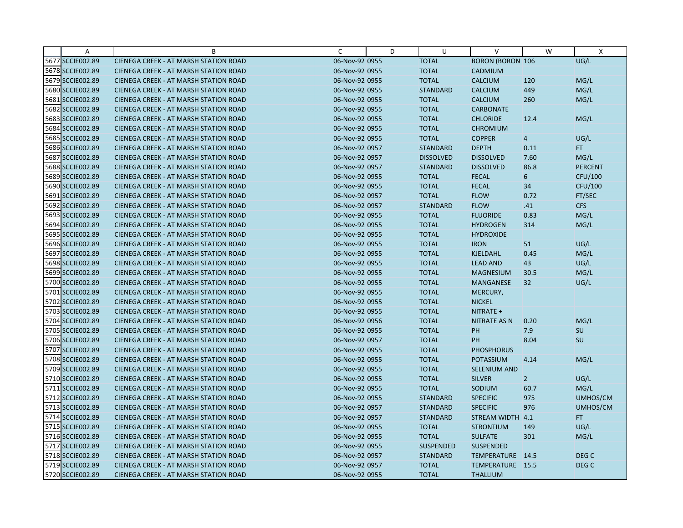| A                | B                                            | C              | D | U                | $\vee$                  | W              | $\boldsymbol{\mathsf{X}}$ |
|------------------|----------------------------------------------|----------------|---|------------------|-------------------------|----------------|---------------------------|
| 5677 SCCIE002.89 | CIENEGA CREEK - AT MARSH STATION ROAD        | 06-Nov-92 0955 |   | <b>TOTAL</b>     | <b>BORON (BORON 106</b> |                | UG/L                      |
| 5678 SCCIE002.89 | <b>CIENEGA CREEK - AT MARSH STATION ROAD</b> | 06-Nov-92 0955 |   | <b>TOTAL</b>     | CADMIUM                 |                |                           |
| 5679 SCCIE002.89 | <b>CIENEGA CREEK - AT MARSH STATION ROAD</b> | 06-Nov-92 0955 |   | <b>TOTAL</b>     | <b>CALCIUM</b>          | 120            | MG/L                      |
| 5680 SCCIE002.89 | <b>CIENEGA CREEK - AT MARSH STATION ROAD</b> | 06-Nov-92 0955 |   | <b>STANDARD</b>  | <b>CALCIUM</b>          | 449            | MG/L                      |
| 5681 SCCIE002.89 | CIENEGA CREEK - AT MARSH STATION ROAD        | 06-Nov-92 0955 |   | <b>TOTAL</b>     | <b>CALCIUM</b>          | 260            | MG/L                      |
| 5682 SCCIE002.89 | <b>CIENEGA CREEK - AT MARSH STATION ROAD</b> | 06-Nov-92 0955 |   | <b>TOTAL</b>     | <b>CARBONATE</b>        |                |                           |
| 5683 SCCIE002.89 | CIENEGA CREEK - AT MARSH STATION ROAD        | 06-Nov-92 0955 |   | <b>TOTAL</b>     | <b>CHLORIDE</b>         | 12.4           | MG/L                      |
| 5684 SCCIE002.89 | <b>CIENEGA CREEK - AT MARSH STATION ROAD</b> | 06-Nov-92 0955 |   | <b>TOTAL</b>     | <b>CHROMIUM</b>         |                |                           |
| 5685 SCCIE002.89 | CIENEGA CREEK - AT MARSH STATION ROAD        | 06-Nov-92 0955 |   | <b>TOTAL</b>     | <b>COPPER</b>           | $\overline{4}$ | UG/L                      |
| 5686 SCCIE002.89 | <b>CIENEGA CREEK - AT MARSH STATION ROAD</b> | 06-Nov-92 0957 |   | <b>STANDARD</b>  | <b>DEPTH</b>            | 0.11           | FT.                       |
| 5687 SCCIE002.89 | <b>CIENEGA CREEK - AT MARSH STATION ROAD</b> | 06-Nov-92 0957 |   | <b>DISSOLVED</b> | <b>DISSOLVED</b>        | 7.60           | MG/L                      |
| 5688 SCCIE002.89 | CIENEGA CREEK - AT MARSH STATION ROAD        | 06-Nov-92 0957 |   | <b>STANDARD</b>  | <b>DISSOLVED</b>        | 86.8           | <b>PERCENT</b>            |
| 5689 SCCIE002.89 | <b>CIENEGA CREEK - AT MARSH STATION ROAD</b> | 06-Nov-92 0955 |   | <b>TOTAL</b>     | <b>FECAL</b>            | 6              | CFU/100                   |
| 5690 SCCIE002.89 | <b>CIENEGA CREEK - AT MARSH STATION ROAD</b> | 06-Nov-92 0955 |   | <b>TOTAL</b>     | <b>FECAL</b>            | 34             | CFU/100                   |
| 5691 SCCIE002.89 | <b>CIENEGA CREEK - AT MARSH STATION ROAD</b> | 06-Nov-92 0957 |   | <b>TOTAL</b>     | <b>FLOW</b>             | 0.72           | FT/SEC                    |
| 5692 SCCIE002.89 | <b>CIENEGA CREEK - AT MARSH STATION ROAD</b> | 06-Nov-92 0957 |   | <b>STANDARD</b>  | <b>FLOW</b>             | .41            | <b>CFS</b>                |
| 5693 SCCIE002.89 | CIENEGA CREEK - AT MARSH STATION ROAD        | 06-Nov-92 0955 |   | <b>TOTAL</b>     | <b>FLUORIDE</b>         | 0.83           | MG/L                      |
| 5694 SCCIE002.89 | <b>CIENEGA CREEK - AT MARSH STATION ROAD</b> | 06-Nov-92 0955 |   | <b>TOTAL</b>     | <b>HYDROGEN</b>         | 314            | MG/L                      |
| 5695 SCCIE002.89 | CIENEGA CREEK - AT MARSH STATION ROAD        | 06-Nov-92 0955 |   | <b>TOTAL</b>     | <b>HYDROXIDE</b>        |                |                           |
| 5696 SCCIE002.89 | <b>CIENEGA CREEK - AT MARSH STATION ROAD</b> | 06-Nov-92 0955 |   | <b>TOTAL</b>     | <b>IRON</b>             | 51             | UG/L                      |
| 5697 SCCIE002.89 | <b>CIENEGA CREEK - AT MARSH STATION ROAD</b> | 06-Nov-92 0955 |   | <b>TOTAL</b>     | <b>KJELDAHL</b>         | 0.45           | MG/L                      |
| 5698 SCCIE002.89 | <b>CIENEGA CREEK - AT MARSH STATION ROAD</b> | 06-Nov-92 0955 |   | <b>TOTAL</b>     | <b>LEAD AND</b>         | 43             | UG/L                      |
| 5699 SCCIE002.89 | CIENEGA CREEK - AT MARSH STATION ROAD        | 06-Nov-92 0955 |   | <b>TOTAL</b>     | <b>MAGNESIUM</b>        | 30.5           | MG/L                      |
| 5700 SCCIE002.89 | <b>CIENEGA CREEK - AT MARSH STATION ROAD</b> | 06-Nov-92 0955 |   | <b>TOTAL</b>     | <b>MANGANESE</b>        | 32             | UG/L                      |
| 5701 SCCIE002.89 | CIENEGA CREEK - AT MARSH STATION ROAD        | 06-Nov-92 0955 |   | <b>TOTAL</b>     | MERCURY,                |                |                           |
| 5702 SCCIE002.89 | <b>CIENEGA CREEK - AT MARSH STATION ROAD</b> | 06-Nov-92 0955 |   | <b>TOTAL</b>     | <b>NICKEL</b>           |                |                           |
| 5703 SCCIE002.89 | CIENEGA CREEK - AT MARSH STATION ROAD        | 06-Nov-92 0955 |   | <b>TOTAL</b>     | NITRATE +               |                |                           |
| 5704 SCCIE002.89 | CIENEGA CREEK - AT MARSH STATION ROAD        | 06-Nov-92 0956 |   | <b>TOTAL</b>     | <b>NITRATE AS N</b>     | 0.20           | MG/L                      |
| 5705 SCCIE002.89 | <b>CIENEGA CREEK - AT MARSH STATION ROAD</b> | 06-Nov-92 0955 |   | <b>TOTAL</b>     | PH                      | 7.9            | SU                        |
| 5706 SCCIE002.89 | <b>CIENEGA CREEK - AT MARSH STATION ROAD</b> | 06-Nov-92 0957 |   | <b>TOTAL</b>     | PH                      | 8.04           | SU                        |
| 5707 SCCIE002.89 | CIENEGA CREEK - AT MARSH STATION ROAD        | 06-Nov-92 0955 |   | <b>TOTAL</b>     | <b>PHOSPHORUS</b>       |                |                           |
| 5708 SCCIE002.89 | <b>CIENEGA CREEK - AT MARSH STATION ROAD</b> | 06-Nov-92 0955 |   | <b>TOTAL</b>     | <b>POTASSIUM</b>        | 4.14           | MG/L                      |
| 5709 SCCIE002.89 | <b>CIENEGA CREEK - AT MARSH STATION ROAD</b> | 06-Nov-92 0955 |   | <b>TOTAL</b>     | <b>SELENIUM AND</b>     |                |                           |
| 5710 SCCIE002.89 | <b>CIENEGA CREEK - AT MARSH STATION ROAD</b> | 06-Nov-92 0955 |   | <b>TOTAL</b>     | <b>SILVER</b>           | $\overline{2}$ | UG/L                      |
| 5711 SCCIE002.89 | <b>CIENEGA CREEK - AT MARSH STATION ROAD</b> | 06-Nov-92 0955 |   | <b>TOTAL</b>     | SODIUM                  | 60.7           | MG/L                      |
| 5712 SCCIE002.89 | CIENEGA CREEK - AT MARSH STATION ROAD        | 06-Nov-92 0955 |   | <b>STANDARD</b>  | <b>SPECIFIC</b>         | 975            | UMHOS/CM                  |
| 5713 SCCIE002.89 | <b>CIENEGA CREEK - AT MARSH STATION ROAD</b> | 06-Nov-92 0957 |   | <b>STANDARD</b>  | <b>SPECIFIC</b>         | 976            | UMHOS/CM                  |
| 5714 SCCIE002.89 | CIENEGA CREEK - AT MARSH STATION ROAD        | 06-Nov-92 0957 |   | <b>STANDARD</b>  | STREAM WIDTH 4.1        |                | FT.                       |
| 5715 SCCIE002.89 | CIENEGA CREEK - AT MARSH STATION ROAD        | 06-Nov-92 0955 |   | <b>TOTAL</b>     | <b>STRONTIUM</b>        | 149            | UG/L                      |
| 5716 SCCIE002.89 | <b>CIENEGA CREEK - AT MARSH STATION ROAD</b> | 06-Nov-92 0955 |   | <b>TOTAL</b>     | <b>SULFATE</b>          | 301            | MG/L                      |
| 5717 SCCIE002.89 | <b>CIENEGA CREEK - AT MARSH STATION ROAD</b> | 06-Nov-92 0955 |   | <b>SUSPENDED</b> | <b>SUSPENDED</b>        |                |                           |
| 5718 SCCIE002.89 | CIENEGA CREEK - AT MARSH STATION ROAD        | 06-Nov-92 0957 |   | <b>STANDARD</b>  | TEMPERATURE 14.5        |                | DEG C                     |
| 5719 SCCIE002.89 | <b>CIENEGA CREEK - AT MARSH STATION ROAD</b> | 06-Nov-92 0957 |   | <b>TOTAL</b>     | TEMPERATURE 15.5        |                | DEG <sub>C</sub>          |
| 5720 SCCIE002.89 | CIENEGA CREEK - AT MARSH STATION ROAD        | 06-Nov-92 0955 |   | <b>TOTAL</b>     | <b>THALLIUM</b>         |                |                           |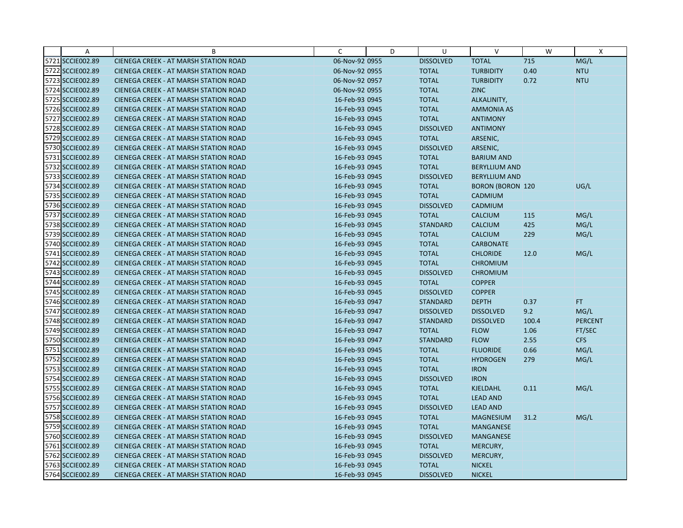| A                | B                                            | $\mathsf{C}$   | D | U                | $\vee$                  | W     | $\mathsf{x}$   |
|------------------|----------------------------------------------|----------------|---|------------------|-------------------------|-------|----------------|
| 5721 SCCIE002.89 | CIENEGA CREEK - AT MARSH STATION ROAD        | 06-Nov-92 0955 |   | <b>DISSOLVED</b> | <b>TOTAL</b>            | 715   | MG/L           |
| 5722 SCCIE002.89 | <b>CIENEGA CREEK - AT MARSH STATION ROAD</b> | 06-Nov-92 0955 |   | <b>TOTAL</b>     | <b>TURBIDITY</b>        | 0.40  | <b>NTU</b>     |
| 5723 SCCIE002.89 | <b>CIENEGA CREEK - AT MARSH STATION ROAD</b> | 06-Nov-92 0957 |   | <b>TOTAL</b>     | <b>TURBIDITY</b>        | 0.72  | <b>NTU</b>     |
| 5724 SCCIE002.89 | <b>CIENEGA CREEK - AT MARSH STATION ROAD</b> | 06-Nov-92 0955 |   | <b>TOTAL</b>     | <b>ZINC</b>             |       |                |
| 5725 SCCIE002.89 | <b>CIENEGA CREEK - AT MARSH STATION ROAD</b> | 16-Feb-93 0945 |   | <b>TOTAL</b>     | ALKALINITY,             |       |                |
| 5726 SCCIE002.89 | <b>CIENEGA CREEK - AT MARSH STATION ROAD</b> | 16-Feb-93 0945 |   | <b>TOTAL</b>     | <b>AMMONIA AS</b>       |       |                |
| 5727 SCCIE002.89 | <b>CIENEGA CREEK - AT MARSH STATION ROAD</b> | 16-Feb-93 0945 |   | <b>TOTAL</b>     | <b>ANTIMONY</b>         |       |                |
| 5728 SCCIE002.89 | <b>CIENEGA CREEK - AT MARSH STATION ROAD</b> | 16-Feb-93 0945 |   | <b>DISSOLVED</b> | <b>ANTIMONY</b>         |       |                |
| 5729 SCCIE002.89 | CIENEGA CREEK - AT MARSH STATION ROAD        | 16-Feb-93 0945 |   | <b>TOTAL</b>     | ARSENIC,                |       |                |
| 5730 SCCIE002.89 | <b>CIENEGA CREEK - AT MARSH STATION ROAD</b> | 16-Feb-93 0945 |   | <b>DISSOLVED</b> | ARSENIC,                |       |                |
| 5731 SCCIE002.89 | <b>CIENEGA CREEK - AT MARSH STATION ROAD</b> | 16-Feb-93 0945 |   | <b>TOTAL</b>     | <b>BARIUM AND</b>       |       |                |
| 5732 SCCIE002.89 | CIENEGA CREEK - AT MARSH STATION ROAD        | 16-Feb-93 0945 |   | <b>TOTAL</b>     | <b>BERYLLIUM AND</b>    |       |                |
| 5733 SCCIE002.89 | <b>CIENEGA CREEK - AT MARSH STATION ROAD</b> | 16-Feb-93 0945 |   | <b>DISSOLVED</b> | <b>BERYLLIUM AND</b>    |       |                |
| 5734 SCCIE002.89 | <b>CIENEGA CREEK - AT MARSH STATION ROAD</b> | 16-Feb-93 0945 |   | <b>TOTAL</b>     | <b>BORON (BORON 120</b> |       | UG/L           |
| 5735 SCCIE002.89 | <b>CIENEGA CREEK - AT MARSH STATION ROAD</b> | 16-Feb-93 0945 |   | <b>TOTAL</b>     | <b>CADMIUM</b>          |       |                |
| 5736 SCCIE002.89 | <b>CIENEGA CREEK - AT MARSH STATION ROAD</b> | 16-Feb-93 0945 |   | <b>DISSOLVED</b> | CADMIUM                 |       |                |
| 5737 SCCIE002.89 | <b>CIENEGA CREEK - AT MARSH STATION ROAD</b> | 16-Feb-93 0945 |   | <b>TOTAL</b>     | <b>CALCIUM</b>          | 115   | MG/L           |
| 5738 SCCIE002.89 | <b>CIENEGA CREEK - AT MARSH STATION ROAD</b> | 16-Feb-93 0945 |   | <b>STANDARD</b>  | <b>CALCIUM</b>          | 425   | MG/L           |
| 5739 SCCIE002.89 | <b>CIENEGA CREEK - AT MARSH STATION ROAD</b> | 16-Feb-93 0945 |   | <b>TOTAL</b>     | <b>CALCIUM</b>          | 229   | MG/L           |
| 5740 SCCIE002.89 | <b>CIENEGA CREEK - AT MARSH STATION ROAD</b> | 16-Feb-93 0945 |   | <b>TOTAL</b>     | <b>CARBONATE</b>        |       |                |
| 5741 SCCIE002.89 | <b>CIENEGA CREEK - AT MARSH STATION ROAD</b> | 16-Feb-93 0945 |   | <b>TOTAL</b>     | <b>CHLORIDE</b>         | 12.0  | MG/L           |
| 5742 SCCIE002.89 | <b>CIENEGA CREEK - AT MARSH STATION ROAD</b> | 16-Feb-93 0945 |   | <b>TOTAL</b>     | <b>CHROMIUM</b>         |       |                |
| 5743 SCCIE002.89 | CIENEGA CREEK - AT MARSH STATION ROAD        | 16-Feb-93 0945 |   | <b>DISSOLVED</b> | <b>CHROMIUM</b>         |       |                |
| 5744 SCCIE002.89 | <b>CIENEGA CREEK - AT MARSH STATION ROAD</b> | 16-Feb-93 0945 |   | <b>TOTAL</b>     | <b>COPPER</b>           |       |                |
| 5745 SCCIE002.89 | CIENEGA CREEK - AT MARSH STATION ROAD        | 16-Feb-93 0945 |   | <b>DISSOLVED</b> | <b>COPPER</b>           |       |                |
| 5746 SCCIE002.89 | <b>CIENEGA CREEK - AT MARSH STATION ROAD</b> | 16-Feb-93 0947 |   | <b>STANDARD</b>  | <b>DEPTH</b>            | 0.37  | FT.            |
| 5747 SCCIE002.89 | CIENEGA CREEK - AT MARSH STATION ROAD        | 16-Feb-93 0947 |   | <b>DISSOLVED</b> | <b>DISSOLVED</b>        | 9.2   | MG/L           |
| 5748 SCCIE002.89 | <b>CIENEGA CREEK - AT MARSH STATION ROAD</b> | 16-Feb-93 0947 |   | <b>STANDARD</b>  | <b>DISSOLVED</b>        | 100.4 | <b>PERCENT</b> |
| 5749 SCCIE002.89 | <b>CIENEGA CREEK - AT MARSH STATION ROAD</b> | 16-Feb-93 0947 |   | <b>TOTAL</b>     | <b>FLOW</b>             | 1.06  | FT/SEC         |
| 5750 SCCIE002.89 | <b>CIENEGA CREEK - AT MARSH STATION ROAD</b> | 16-Feb-93 0947 |   | <b>STANDARD</b>  | <b>FLOW</b>             | 2.55  | <b>CFS</b>     |
| 5751 SCCIE002.89 | CIENEGA CREEK - AT MARSH STATION ROAD        | 16-Feb-93 0945 |   | <b>TOTAL</b>     | <b>FLUORIDE</b>         | 0.66  | MG/L           |
| 5752 SCCIE002.89 | <b>CIENEGA CREEK - AT MARSH STATION ROAD</b> | 16-Feb-93 0945 |   | <b>TOTAL</b>     | <b>HYDROGEN</b>         | 279   | MG/L           |
| 5753 SCCIE002.89 | <b>CIENEGA CREEK - AT MARSH STATION ROAD</b> | 16-Feb-93 0945 |   | <b>TOTAL</b>     | <b>IRON</b>             |       |                |
| 5754 SCCIE002.89 | <b>CIENEGA CREEK - AT MARSH STATION ROAD</b> | 16-Feb-93 0945 |   | <b>DISSOLVED</b> | <b>IRON</b>             |       |                |
| 5755 SCCIE002.89 | <b>CIENEGA CREEK - AT MARSH STATION ROAD</b> | 16-Feb-93 0945 |   | <b>TOTAL</b>     | KJELDAHL                | 0.11  | MG/L           |
| 5756 SCCIE002.89 | <b>CIENEGA CREEK - AT MARSH STATION ROAD</b> | 16-Feb-93 0945 |   | <b>TOTAL</b>     | <b>LEAD AND</b>         |       |                |
| 5757 SCCIE002.89 | <b>CIENEGA CREEK - AT MARSH STATION ROAD</b> | 16-Feb-93 0945 |   | <b>DISSOLVED</b> | <b>LEAD AND</b>         |       |                |
| 5758 SCCIE002.89 | CIENEGA CREEK - AT MARSH STATION ROAD        | 16-Feb-93 0945 |   | <b>TOTAL</b>     | <b>MAGNESIUM</b>        | 31.2  | MG/L           |
| 5759 SCCIE002.89 | CIENEGA CREEK - AT MARSH STATION ROAD        | 16-Feb-93 0945 |   | <b>TOTAL</b>     | MANGANESE               |       |                |
| 5760 SCCIE002.89 | <b>CIENEGA CREEK - AT MARSH STATION ROAD</b> | 16-Feb-93 0945 |   | <b>DISSOLVED</b> | <b>MANGANESE</b>        |       |                |
| 5761 SCCIE002.89 | <b>CIENEGA CREEK - AT MARSH STATION ROAD</b> | 16-Feb-93 0945 |   | <b>TOTAL</b>     | MERCURY,                |       |                |
| 5762 SCCIE002.89 | CIENEGA CREEK - AT MARSH STATION ROAD        | 16-Feb-93 0945 |   | <b>DISSOLVED</b> | MERCURY,                |       |                |
| 5763 SCCIE002.89 | <b>CIENEGA CREEK - AT MARSH STATION ROAD</b> | 16-Feb-93 0945 |   | <b>TOTAL</b>     | <b>NICKEL</b>           |       |                |
| 5764 SCCIE002.89 | <b>CIENEGA CREEK - AT MARSH STATION ROAD</b> | 16-Feb-93 0945 |   | <b>DISSOLVED</b> | <b>NICKEL</b>           |       |                |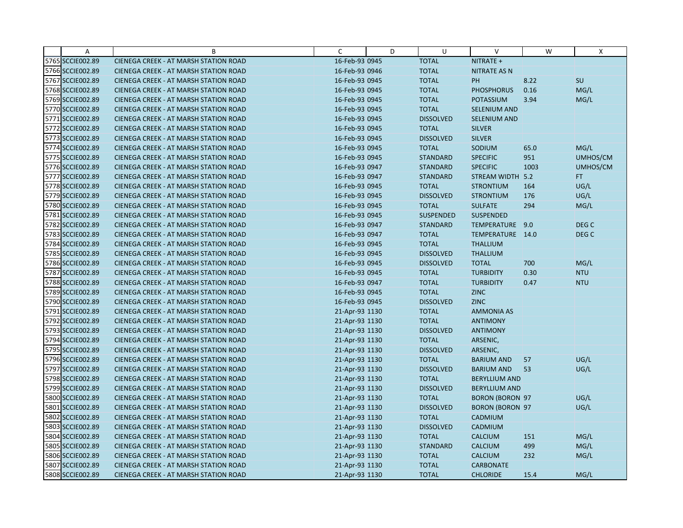| A                | B                                            | C              | D | U                | $\vee$                 | W    | X                |
|------------------|----------------------------------------------|----------------|---|------------------|------------------------|------|------------------|
| 5765 SCCIE002.89 | CIENEGA CREEK - AT MARSH STATION ROAD        | 16-Feb-93 0945 |   | <b>TOTAL</b>     | NITRATE +              |      |                  |
| 5766 SCCIE002.89 | <b>CIENEGA CREEK - AT MARSH STATION ROAD</b> | 16-Feb-93 0946 |   | <b>TOTAL</b>     | <b>NITRATE AS N</b>    |      |                  |
| 5767 SCCIE002.89 | <b>CIENEGA CREEK - AT MARSH STATION ROAD</b> | 16-Feb-93 0945 |   | <b>TOTAL</b>     | PH                     | 8.22 | SU               |
| 5768 SCCIE002.89 | <b>CIENEGA CREEK - AT MARSH STATION ROAD</b> | 16-Feb-93 0945 |   | <b>TOTAL</b>     | <b>PHOSPHORUS</b>      | 0.16 | MG/L             |
| 5769 SCCIE002.89 | <b>CIENEGA CREEK - AT MARSH STATION ROAD</b> | 16-Feb-93 0945 |   | <b>TOTAL</b>     | <b>POTASSIUM</b>       | 3.94 | MG/L             |
| 5770 SCCIE002.89 | <b>CIENEGA CREEK - AT MARSH STATION ROAD</b> | 16-Feb-93 0945 |   | <b>TOTAL</b>     | <b>SELENIUM AND</b>    |      |                  |
| 5771 SCCIE002.89 | <b>CIENEGA CREEK - AT MARSH STATION ROAD</b> | 16-Feb-93 0945 |   | <b>DISSOLVED</b> | <b>SELENIUM AND</b>    |      |                  |
| 5772 SCCIE002.89 | <b>CIENEGA CREEK - AT MARSH STATION ROAD</b> | 16-Feb-93 0945 |   | <b>TOTAL</b>     | <b>SILVER</b>          |      |                  |
| 5773 SCCIE002.89 | CIENEGA CREEK - AT MARSH STATION ROAD        | 16-Feb-93 0945 |   | <b>DISSOLVED</b> | <b>SILVER</b>          |      |                  |
| 5774 SCCIE002.89 | <b>CIENEGA CREEK - AT MARSH STATION ROAD</b> | 16-Feb-93 0945 |   | <b>TOTAL</b>     | SODIUM                 | 65.0 | MG/L             |
| 5775 SCCIE002.89 | <b>CIENEGA CREEK - AT MARSH STATION ROAD</b> | 16-Feb-93 0945 |   | <b>STANDARD</b>  | <b>SPECIFIC</b>        | 951  | UMHOS/CM         |
| 5776 SCCIE002.89 | CIENEGA CREEK - AT MARSH STATION ROAD        | 16-Feb-93 0947 |   | <b>STANDARD</b>  | <b>SPECIFIC</b>        | 1003 | UMHOS/CM         |
| 5777 SCCIE002.89 | <b>CIENEGA CREEK - AT MARSH STATION ROAD</b> | 16-Feb-93 0947 |   | <b>STANDARD</b>  | STREAM WIDTH 5.2       |      | <b>FT</b>        |
| 5778 SCCIE002.89 | <b>CIENEGA CREEK - AT MARSH STATION ROAD</b> | 16-Feb-93 0945 |   | <b>TOTAL</b>     | <b>STRONTIUM</b>       | 164  | UG/L             |
| 5779 SCCIE002.89 | <b>CIENEGA CREEK - AT MARSH STATION ROAD</b> | 16-Feb-93 0945 |   | <b>DISSOLVED</b> | <b>STRONTIUM</b>       | 176  | UG/L             |
| 5780 SCCIE002.89 | CIENEGA CREEK - AT MARSH STATION ROAD        | 16-Feb-93 0945 |   | <b>TOTAL</b>     | <b>SULFATE</b>         | 294  | MG/L             |
| 5781 SCCIE002.89 | CIENEGA CREEK - AT MARSH STATION ROAD        | 16-Feb-93 0945 |   | <b>SUSPENDED</b> | SUSPENDED              |      |                  |
| 5782 SCCIE002.89 | <b>CIENEGA CREEK - AT MARSH STATION ROAD</b> | 16-Feb-93 0947 |   | <b>STANDARD</b>  | TEMPERATURE 9.0        |      | DEG C            |
| 5783 SCCIE002.89 | <b>CIENEGA CREEK - AT MARSH STATION ROAD</b> | 16-Feb-93 0947 |   | <b>TOTAL</b>     | TEMPERATURE 14.0       |      | DEG <sub>C</sub> |
| 5784 SCCIE002.89 | <b>CIENEGA CREEK - AT MARSH STATION ROAD</b> | 16-Feb-93 0945 |   | <b>TOTAL</b>     | <b>THALLIUM</b>        |      |                  |
| 5785 SCCIE002.89 | <b>CIENEGA CREEK - AT MARSH STATION ROAD</b> | 16-Feb-93 0945 |   | <b>DISSOLVED</b> | <b>THALLIUM</b>        |      |                  |
| 5786 SCCIE002.89 | <b>CIENEGA CREEK - AT MARSH STATION ROAD</b> | 16-Feb-93 0945 |   | <b>DISSOLVED</b> | <b>TOTAL</b>           | 700  | MG/L             |
| 5787 SCCIE002.89 | CIENEGA CREEK - AT MARSH STATION ROAD        | 16-Feb-93 0945 |   | <b>TOTAL</b>     | <b>TURBIDITY</b>       | 0.30 | <b>NTU</b>       |
| 5788 SCCIE002.89 | <b>CIENEGA CREEK - AT MARSH STATION ROAD</b> | 16-Feb-93 0947 |   | <b>TOTAL</b>     | <b>TURBIDITY</b>       | 0.47 | <b>NTU</b>       |
| 5789 SCCIE002.89 | CIENEGA CREEK - AT MARSH STATION ROAD        | 16-Feb-93 0945 |   | <b>TOTAL</b>     | <b>ZINC</b>            |      |                  |
| 5790 SCCIE002.89 | <b>CIENEGA CREEK - AT MARSH STATION ROAD</b> | 16-Feb-93 0945 |   | <b>DISSOLVED</b> | <b>ZINC</b>            |      |                  |
| 5791 SCCIE002.89 | <b>CIENEGA CREEK - AT MARSH STATION ROAD</b> | 21-Apr-93 1130 |   | <b>TOTAL</b>     | <b>AMMONIA AS</b>      |      |                  |
| 5792 SCCIE002.89 | CIENEGA CREEK - AT MARSH STATION ROAD        | 21-Apr-93 1130 |   | <b>TOTAL</b>     | <b>ANTIMONY</b>        |      |                  |
| 5793 SCCIE002.89 | <b>CIENEGA CREEK - AT MARSH STATION ROAD</b> | 21-Apr-93 1130 |   | <b>DISSOLVED</b> | <b>ANTIMONY</b>        |      |                  |
| 5794 SCCIE002.89 | <b>CIENEGA CREEK - AT MARSH STATION ROAD</b> | 21-Apr-93 1130 |   | <b>TOTAL</b>     | ARSENIC,               |      |                  |
| 5795 SCCIE002.89 | CIENEGA CREEK - AT MARSH STATION ROAD        | 21-Apr-93 1130 |   | <b>DISSOLVED</b> | ARSENIC,               |      |                  |
| 5796 SCCIE002.89 | <b>CIENEGA CREEK - AT MARSH STATION ROAD</b> | 21-Apr-93 1130 |   | <b>TOTAL</b>     | <b>BARIUM AND</b>      | 57   | UG/L             |
| 5797 SCCIE002.89 | <b>CIENEGA CREEK - AT MARSH STATION ROAD</b> | 21-Apr-93 1130 |   | <b>DISSOLVED</b> | <b>BARIUM AND</b>      | 53   | UG/L             |
| 5798 SCCIE002.89 | <b>CIENEGA CREEK - AT MARSH STATION ROAD</b> | 21-Apr-93 1130 |   | <b>TOTAL</b>     | <b>BERYLLIUM AND</b>   |      |                  |
| 5799 SCCIE002.89 | <b>CIENEGA CREEK - AT MARSH STATION ROAD</b> | 21-Apr-93 1130 |   | <b>DISSOLVED</b> | <b>BERYLLIUM AND</b>   |      |                  |
| 5800 SCCIE002.89 | <b>CIENEGA CREEK - AT MARSH STATION ROAD</b> | 21-Apr-93 1130 |   | <b>TOTAL</b>     | <b>BORON (BORON 97</b> |      | UG/L             |
| 5801 SCCIE002.89 | <b>CIENEGA CREEK - AT MARSH STATION ROAD</b> | 21-Apr-93 1130 |   | <b>DISSOLVED</b> | <b>BORON (BORON 97</b> |      | UG/L             |
| 5802 SCCIE002.89 | CIENEGA CREEK - AT MARSH STATION ROAD        | 21-Apr-93 1130 |   | <b>TOTAL</b>     | CADMIUM                |      |                  |
| 5803 SCCIE002.89 | CIENEGA CREEK - AT MARSH STATION ROAD        | 21-Apr-93 1130 |   | <b>DISSOLVED</b> | CADMIUM                |      |                  |
| 5804 SCCIE002.89 | <b>CIENEGA CREEK - AT MARSH STATION ROAD</b> | 21-Apr-93 1130 |   | <b>TOTAL</b>     | <b>CALCIUM</b>         | 151  | MG/L             |
| 5805 SCCIE002.89 | <b>CIENEGA CREEK - AT MARSH STATION ROAD</b> | 21-Apr-93 1130 |   | <b>STANDARD</b>  | <b>CALCIUM</b>         | 499  | MG/L             |
| 5806 SCCIE002.89 | CIENEGA CREEK - AT MARSH STATION ROAD        | 21-Apr-93 1130 |   | <b>TOTAL</b>     | <b>CALCIUM</b>         | 232  | MG/L             |
| 5807 SCCIE002.89 | CIENEGA CREEK - AT MARSH STATION ROAD        | 21-Apr-93 1130 |   | <b>TOTAL</b>     | <b>CARBONATE</b>       |      |                  |
| 5808 SCCIE002.89 | CIENEGA CREEK - AT MARSH STATION ROAD        | 21-Apr-93 1130 |   | <b>TOTAL</b>     | <b>CHLORIDE</b>        | 15.4 | MG/L             |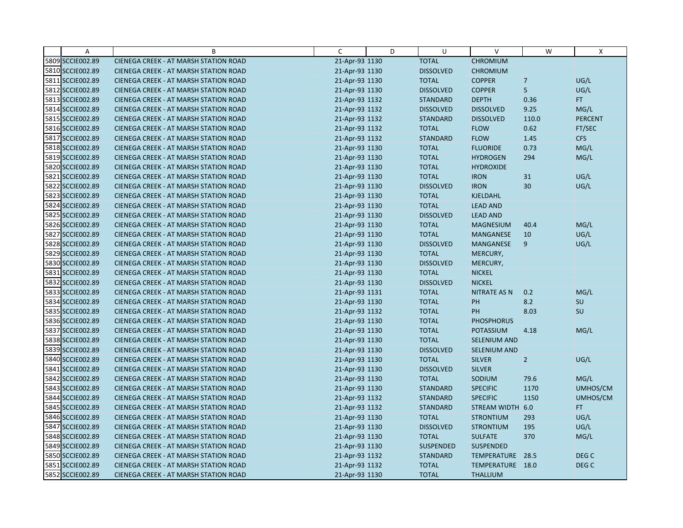| A                | B                                            | $\mathsf{C}$   | D | U                | V                   | W           | X              |
|------------------|----------------------------------------------|----------------|---|------------------|---------------------|-------------|----------------|
| 5809 SCCIE002.89 | CIENEGA CREEK - AT MARSH STATION ROAD        | 21-Apr-93 1130 |   | <b>TOTAL</b>     | <b>CHROMIUM</b>     |             |                |
| 5810 SCCIE002.89 | <b>CIENEGA CREEK - AT MARSH STATION ROAD</b> | 21-Apr-93 1130 |   | <b>DISSOLVED</b> | <b>CHROMIUM</b>     |             |                |
| 5811 SCCIE002.89 | <b>CIENEGA CREEK - AT MARSH STATION ROAD</b> | 21-Apr-93 1130 |   | <b>TOTAL</b>     | <b>COPPER</b>       | $\boxed{7}$ | UG/L           |
| 5812 SCCIE002.89 | CIENEGA CREEK - AT MARSH STATION ROAD        | 21-Apr-93 1130 |   | <b>DISSOLVED</b> | <b>COPPER</b>       | 5           | UG/L           |
| 5813 SCCIE002.89 | <b>CIENEGA CREEK - AT MARSH STATION ROAD</b> | 21-Apr-93 1132 |   | <b>STANDARD</b>  | <b>DEPTH</b>        | 0.36        | FT.            |
| 5814 SCCIE002.89 | CIENEGA CREEK - AT MARSH STATION ROAD        | 21-Apr-93 1132 |   | <b>DISSOLVED</b> | <b>DISSOLVED</b>    | 9.25        | MG/L           |
| 5815 SCCIE002.89 | <b>CIENEGA CREEK - AT MARSH STATION ROAD</b> | 21-Apr-93 1132 |   | <b>STANDARD</b>  | <b>DISSOLVED</b>    | 110.0       | <b>PERCENT</b> |
| 5816 SCCIE002.89 | <b>CIENEGA CREEK - AT MARSH STATION ROAD</b> | 21-Apr-93 1132 |   | <b>TOTAL</b>     | <b>FLOW</b>         | 0.62        | FT/SEC         |
| 5817 SCCIE002.89 | CIENEGA CREEK - AT MARSH STATION ROAD        | 21-Apr-93 1132 |   | <b>STANDARD</b>  | <b>FLOW</b>         | 1.45        | <b>CFS</b>     |
| 5818 SCCIE002.89 | CIENEGA CREEK - AT MARSH STATION ROAD        | 21-Apr-93 1130 |   | <b>TOTAL</b>     | <b>FLUORIDE</b>     | 0.73        | MG/L           |
| 5819 SCCIE002.89 | <b>CIENEGA CREEK - AT MARSH STATION ROAD</b> | 21-Apr-93 1130 |   | <b>TOTAL</b>     | <b>HYDROGEN</b>     | 294         | MG/L           |
| 5820 SCCIE002.89 | CIENEGA CREEK - AT MARSH STATION ROAD        | 21-Apr-93 1130 |   | <b>TOTAL</b>     | <b>HYDROXIDE</b>    |             |                |
| 5821 SCCIE002.89 | CIENEGA CREEK - AT MARSH STATION ROAD        | 21-Apr-93 1130 |   | <b>TOTAL</b>     | <b>IRON</b>         | 31          | UG/L           |
| 5822 SCCIE002.89 | CIENEGA CREEK - AT MARSH STATION ROAD        | 21-Apr-93 1130 |   | <b>DISSOLVED</b> | <b>IRON</b>         | 30          | UG/L           |
| 5823 SCCIE002.89 | <b>CIENEGA CREEK - AT MARSH STATION ROAD</b> | 21-Apr-93 1130 |   | <b>TOTAL</b>     | <b>KJELDAHL</b>     |             |                |
| 5824 SCCIE002.89 | <b>CIENEGA CREEK - AT MARSH STATION ROAD</b> | 21-Apr-93 1130 |   | <b>TOTAL</b>     | <b>LEAD AND</b>     |             |                |
| 5825 SCCIE002.89 | CIENEGA CREEK - AT MARSH STATION ROAD        | 21-Apr-93 1130 |   | <b>DISSOLVED</b> | <b>LEAD AND</b>     |             |                |
| 5826 SCCIE002.89 | <b>CIENEGA CREEK - AT MARSH STATION ROAD</b> | 21-Apr-93 1130 |   | <b>TOTAL</b>     | <b>MAGNESIUM</b>    | 40.4        | MG/L           |
| 5827 SCCIE002.89 | <b>CIENEGA CREEK - AT MARSH STATION ROAD</b> | 21-Apr-93 1130 |   | <b>TOTAL</b>     | <b>MANGANESE</b>    | 10          | UG/L           |
| 5828 SCCIE002.89 | CIENEGA CREEK - AT MARSH STATION ROAD        | 21-Apr-93 1130 |   | <b>DISSOLVED</b> | MANGANESE           | 9           | UG/L           |
| 5829 SCCIE002.89 | <b>CIENEGA CREEK - AT MARSH STATION ROAD</b> | 21-Apr-93 1130 |   | <b>TOTAL</b>     | MERCURY,            |             |                |
| 5830 SCCIE002.89 | CIENEGA CREEK - AT MARSH STATION ROAD        | 21-Apr-93 1130 |   | <b>DISSOLVED</b> | MERCURY,            |             |                |
| 5831 SCCIE002.89 | CIENEGA CREEK - AT MARSH STATION ROAD        | 21-Apr-93 1130 |   | <b>TOTAL</b>     | <b>NICKEL</b>       |             |                |
| 5832 SCCIE002.89 | <b>CIENEGA CREEK - AT MARSH STATION ROAD</b> | 21-Apr-93 1130 |   | <b>DISSOLVED</b> | <b>NICKEL</b>       |             |                |
| 5833 SCCIE002.89 | CIENEGA CREEK - AT MARSH STATION ROAD        | 21-Apr-93 1131 |   | <b>TOTAL</b>     | NITRATE AS N        | 0.2         | MG/L           |
| 5834 SCCIE002.89 | CIENEGA CREEK - AT MARSH STATION ROAD        | 21-Apr-93 1130 |   | <b>TOTAL</b>     | PH                  | 8.2         | SU             |
| 5835 SCCIE002.89 | <b>CIENEGA CREEK - AT MARSH STATION ROAD</b> | 21-Apr-93 1132 |   | <b>TOTAL</b>     | PH                  | 8.03        | SU             |
| 5836 SCCIE002.89 | <b>CIENEGA CREEK - AT MARSH STATION ROAD</b> | 21-Apr-93 1130 |   | <b>TOTAL</b>     | <b>PHOSPHORUS</b>   |             |                |
| 5837 SCCIE002.89 | <b>CIENEGA CREEK - AT MARSH STATION ROAD</b> | 21-Apr-93 1130 |   | <b>TOTAL</b>     | <b>POTASSIUM</b>    | 4.18        | MG/L           |
| 5838 SCCIE002.89 | CIENEGA CREEK - AT MARSH STATION ROAD        | 21-Apr-93 1130 |   | <b>TOTAL</b>     | <b>SELENIUM AND</b> |             |                |
| 5839 SCCIE002.89 | CIENEGA CREEK - AT MARSH STATION ROAD        | 21-Apr-93 1130 |   | <b>DISSOLVED</b> | SELENIUM AND        |             |                |
| 5840 SCCIE002.89 | <b>CIENEGA CREEK - AT MARSH STATION ROAD</b> | 21-Apr-93 1130 |   | <b>TOTAL</b>     | <b>SILVER</b>       | $\vert$ 2   | UG/L           |
| 5841 SCCIE002.89 | CIENEGA CREEK - AT MARSH STATION ROAD        | 21-Apr-93 1130 |   | <b>DISSOLVED</b> | <b>SILVER</b>       |             |                |
| 5842 SCCIE002.89 | <b>CIENEGA CREEK - AT MARSH STATION ROAD</b> | 21-Apr-93 1130 |   | <b>TOTAL</b>     | SODIUM              | 79.6        | MG/L           |
| 5843 SCCIE002.89 | CIENEGA CREEK - AT MARSH STATION ROAD        | 21-Apr-93 1130 |   | <b>STANDARD</b>  | <b>SPECIFIC</b>     | 1170        | UMHOS/CM       |
| 5844 SCCIE002.89 | <b>CIENEGA CREEK - AT MARSH STATION ROAD</b> | 21-Apr-93 1132 |   | <b>STANDARD</b>  | <b>SPECIFIC</b>     | 1150        | UMHOS/CM       |
| 5845 SCCIE002.89 | <b>CIENEGA CREEK - AT MARSH STATION ROAD</b> | 21-Apr-93 1132 |   | <b>STANDARD</b>  | STREAM WIDTH 6.0    |             | FT.            |
| 5846 SCCIE002.89 | CIENEGA CREEK - AT MARSH STATION ROAD        | 21-Apr-93 1130 |   | <b>TOTAL</b>     | <b>STRONTIUM</b>    | 293         | UG/L           |
| 5847 SCCIE002.89 | CIENEGA CREEK - AT MARSH STATION ROAD        | 21-Apr-93 1130 |   | <b>DISSOLVED</b> | <b>STRONTIUM</b>    | 195         | UG/L           |
| 5848 SCCIE002.89 | <b>CIENEGA CREEK - AT MARSH STATION ROAD</b> | 21-Apr-93 1130 |   | <b>TOTAL</b>     | <b>SULFATE</b>      | 370         | MG/L           |
| 5849 SCCIE002.89 | <b>CIENEGA CREEK - AT MARSH STATION ROAD</b> | 21-Apr-93 1130 |   | <b>SUSPENDED</b> | <b>SUSPENDED</b>    |             |                |
| 5850 SCCIE002.89 | CIENEGA CREEK - AT MARSH STATION ROAD        | 21-Apr-93 1132 |   | <b>STANDARD</b>  | TEMPERATURE 28.5    |             | DEG C          |
| 5851 SCCIE002.89 | CIENEGA CREEK - AT MARSH STATION ROAD        | 21-Apr-93 1132 |   | <b>TOTAL</b>     | TEMPERATURE 18.0    |             | DEG C          |
| 5852 SCCIE002.89 | CIENEGA CREEK - AT MARSH STATION ROAD        | 21-Apr-93 1130 |   | <b>TOTAL</b>     | <b>THALLIUM</b>     |             |                |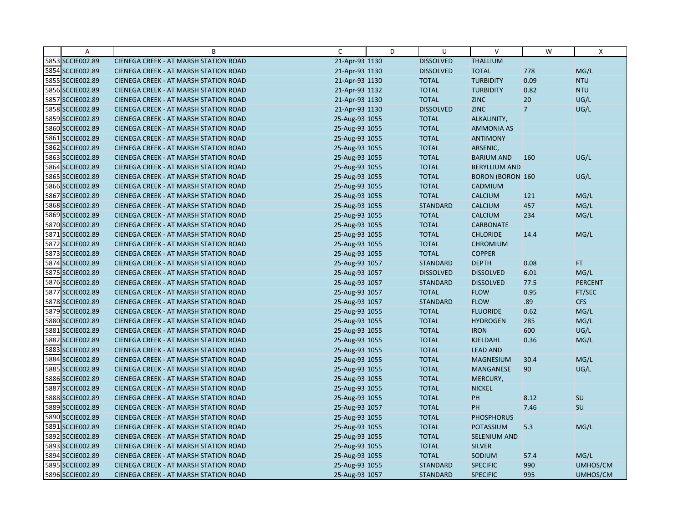| $\overline{A}$   | B                                            | C              | D | U                | $\vee$                  | W               | X              |
|------------------|----------------------------------------------|----------------|---|------------------|-------------------------|-----------------|----------------|
| 5853 SCCIE002.89 | CIENEGA CREEK - AT MARSH STATION ROAD        | 21-Apr-93 1130 |   | <b>DISSOLVED</b> | <b>THALLIUM</b>         |                 |                |
| 5854 SCCIE002.89 | CIENEGA CREEK - AT MARSH STATION ROAD        | 21-Apr-93 1130 |   | <b>DISSOLVED</b> | <b>TOTAL</b>            | 778             | MG/L           |
| 5855 SCCIE002.89 | <b>CIENEGA CREEK - AT MARSH STATION ROAD</b> | 21-Apr-93 1130 |   | <b>TOTAL</b>     | <b>TURBIDITY</b>        | 0.09            | <b>NTU</b>     |
| 5856 SCCIE002.89 | <b>CIENEGA CREEK - AT MARSH STATION ROAD</b> | 21-Apr-93 1132 |   | <b>TOTAL</b>     | <b>TURBIDITY</b>        | 0.82            | <b>NTU</b>     |
| 5857 SCCIE002.89 | CIENEGA CREEK - AT MARSH STATION ROAD        | 21-Apr-93 1130 |   | <b>TOTAL</b>     | <b>ZINC</b>             | 20              | UG/L           |
| 5858 SCCIE002.89 | <b>CIENEGA CREEK - AT MARSH STATION ROAD</b> | 21-Apr-93 1130 |   | <b>DISSOLVED</b> | <b>ZINC</b>             | $7\overline{ }$ | UG/L           |
| 5859 SCCIE002.89 | <b>CIENEGA CREEK - AT MARSH STATION ROAD</b> | 25-Aug-93 1055 |   | <b>TOTAL</b>     | ALKALINITY,             |                 |                |
| 5860 SCCIE002.89 | <b>CIENEGA CREEK - AT MARSH STATION ROAD</b> | 25-Aug-93 1055 |   | <b>TOTAL</b>     | <b>AMMONIA AS</b>       |                 |                |
| 5861 SCCIE002.89 | CIENEGA CREEK - AT MARSH STATION ROAD        | 25-Aug-93 1055 |   | <b>TOTAL</b>     | <b>ANTIMONY</b>         |                 |                |
| 5862 SCCIE002.89 | <b>CIENEGA CREEK - AT MARSH STATION ROAD</b> | 25-Aug-93 1055 |   | <b>TOTAL</b>     | ARSENIC,                |                 |                |
| 5863 SCCIE002.89 | <b>CIENEGA CREEK - AT MARSH STATION ROAD</b> | 25-Aug-93 1055 |   | <b>TOTAL</b>     | <b>BARIUM AND</b>       | 160             | UG/L           |
| 5864 SCCIE002.89 | CIENEGA CREEK - AT MARSH STATION ROAD        | 25-Aug-93 1055 |   | <b>TOTAL</b>     | <b>BERYLLIUM AND</b>    |                 |                |
| 5865 SCCIE002.89 | CIENEGA CREEK - AT MARSH STATION ROAD        | 25-Aug-93 1055 |   | <b>TOTAL</b>     | <b>BORON (BORON 160</b> |                 | UG/L           |
| 5866 SCCIE002.89 | <b>CIENEGA CREEK - AT MARSH STATION ROAD</b> | 25-Aug-93 1055 |   | <b>TOTAL</b>     | CADMIUM                 |                 |                |
| 5867 SCCIE002.89 | <b>CIENEGA CREEK - AT MARSH STATION ROAD</b> | 25-Aug-93 1055 |   | <b>TOTAL</b>     | <b>CALCIUM</b>          | 121             | MG/L           |
| 5868 SCCIE002.89 | CIENEGA CREEK - AT MARSH STATION ROAD        | 25-Aug-93 1055 |   | <b>STANDARD</b>  | <b>CALCIUM</b>          | 457             | MG/L           |
| 5869 SCCIE002.89 | CIENEGA CREEK - AT MARSH STATION ROAD        | 25-Aug-93 1055 |   | <b>TOTAL</b>     | <b>CALCIUM</b>          | 234             | MG/L           |
| 5870 SCCIE002.89 | <b>CIENEGA CREEK - AT MARSH STATION ROAD</b> | 25-Aug-93 1055 |   | <b>TOTAL</b>     | <b>CARBONATE</b>        |                 |                |
| 5871 SCCIE002.89 | <b>CIENEGA CREEK - AT MARSH STATION ROAD</b> | 25-Aug-93 1055 |   | <b>TOTAL</b>     | <b>CHLORIDE</b>         | 14.4            | MG/L           |
| 5872 SCCIE002.89 | CIENEGA CREEK - AT MARSH STATION ROAD        | 25-Aug-93 1055 |   | <b>TOTAL</b>     | <b>CHROMIUM</b>         |                 |                |
| 5873 SCCIE002.89 | <b>CIENEGA CREEK - AT MARSH STATION ROAD</b> | 25-Aug-93 1055 |   | <b>TOTAL</b>     | <b>COPPER</b>           |                 |                |
| 5874 SCCIE002.89 | <b>CIENEGA CREEK - AT MARSH STATION ROAD</b> | 25-Aug-93 1057 |   | <b>STANDARD</b>  | <b>DEPTH</b>            | 0.08            | FT.            |
| 5875 SCCIE002.89 | CIENEGA CREEK - AT MARSH STATION ROAD        | 25-Aug-93 1057 |   | <b>DISSOLVED</b> | <b>DISSOLVED</b>        | 6.01            | MG/L           |
| 5876 SCCIE002.89 | <b>CIENEGA CREEK - AT MARSH STATION ROAD</b> | 25-Aug-93 1057 |   | <b>STANDARD</b>  | <b>DISSOLVED</b>        | 77.5            | <b>PERCENT</b> |
| 5877 SCCIE002.89 | CIENEGA CREEK - AT MARSH STATION ROAD        | 25-Aug-93 1057 |   | <b>TOTAL</b>     | <b>FLOW</b>             | 0.95            | FT/SEC         |
| 5878 SCCIE002.89 | CIENEGA CREEK - AT MARSH STATION ROAD        | 25-Aug-93 1057 |   | <b>STANDARD</b>  | <b>FLOW</b>             | .89             | <b>CFS</b>     |
| 5879 SCCIE002.89 | CIENEGA CREEK - AT MARSH STATION ROAD        | 25-Aug-93 1055 |   | <b>TOTAL</b>     | <b>FLUORIDE</b>         | 0.62            | MG/L           |
| 5880 SCCIE002.89 | CIENEGA CREEK - AT MARSH STATION ROAD        | 25-Aug-93 1055 |   | <b>TOTAL</b>     | <b>HYDROGEN</b>         | 285             | MG/L           |
| 5881 SCCIE002.89 | <b>CIENEGA CREEK - AT MARSH STATION ROAD</b> | 25-Aug-93 1055 |   | <b>TOTAL</b>     | <b>IRON</b>             | 600             | UG/L           |
| 5882 SCCIE002.89 | <b>CIENEGA CREEK - AT MARSH STATION ROAD</b> | 25-Aug-93 1055 |   | <b>TOTAL</b>     | <b>KJELDAHL</b>         | 0.36            | MG/L           |
| 5883 SCCIE002.89 | CIENEGA CREEK - AT MARSH STATION ROAD        | 25-Aug-93 1055 |   | <b>TOTAL</b>     | <b>LEAD AND</b>         |                 |                |
| 5884 SCCIE002.89 | <b>CIENEGA CREEK - AT MARSH STATION ROAD</b> | 25-Aug-93 1055 |   | <b>TOTAL</b>     | <b>MAGNESIUM</b>        | 30.4            | MG/L           |
| 5885 SCCIE002.89 | CIENEGA CREEK - AT MARSH STATION ROAD        | 25-Aug-93 1055 |   | <b>TOTAL</b>     | <b>MANGANESE</b>        | 90              | UG/L           |
| 5886 SCCIE002.89 | <b>CIENEGA CREEK - AT MARSH STATION ROAD</b> | 25-Aug-93 1055 |   | <b>TOTAL</b>     | MERCURY,                |                 |                |
| 5887 SCCIE002.89 | CIENEGA CREEK - AT MARSH STATION ROAD        | 25-Aug-93 1055 |   | <b>TOTAL</b>     | <b>NICKEL</b>           |                 |                |
| 5888 SCCIE002.89 | <b>CIENEGA CREEK - AT MARSH STATION ROAD</b> | 25-Aug-93 1055 |   | <b>TOTAL</b>     | PH                      | 8.12            | SU             |
| 5889 SCCIE002.89 | <b>CIENEGA CREEK - AT MARSH STATION ROAD</b> | 25-Aug-93 1057 |   | <b>TOTAL</b>     | PH                      | 7.46            | SU             |
| 5890 SCCIE002.89 | CIENEGA CREEK - AT MARSH STATION ROAD        | 25-Aug-93 1055 |   | <b>TOTAL</b>     | <b>PHOSPHORUS</b>       |                 |                |
| 5891 SCCIE002.89 | CIENEGA CREEK - AT MARSH STATION ROAD        | 25-Aug-93 1055 |   | <b>TOTAL</b>     | POTASSIUM               | 5.3             | MG/L           |
| 5892 SCCIE002.89 | <b>CIENEGA CREEK - AT MARSH STATION ROAD</b> | 25-Aug-93 1055 |   | <b>TOTAL</b>     | <b>SELENIUM AND</b>     |                 |                |
| 5893 SCCIE002.89 | <b>CIENEGA CREEK - AT MARSH STATION ROAD</b> | 25-Aug-93 1055 |   | <b>TOTAL</b>     | <b>SILVER</b>           |                 |                |
| 5894 SCCIE002.89 | CIENEGA CREEK - AT MARSH STATION ROAD        | 25-Aug-93 1055 |   | <b>TOTAL</b>     | SODIUM                  | 57.4            | MG/L           |
| 5895 SCCIE002.89 | CIENEGA CREEK - AT MARSH STATION ROAD        | 25-Aug-93 1055 |   | <b>STANDARD</b>  | <b>SPECIFIC</b>         | 990             | UMHOS/CM       |
| 5896 SCCIE002.89 | CIENEGA CREEK - AT MARSH STATION ROAD        | 25-Aug-93 1057 |   | <b>STANDARD</b>  | <b>SPECIFIC</b>         | 995             | UMHOS/CM       |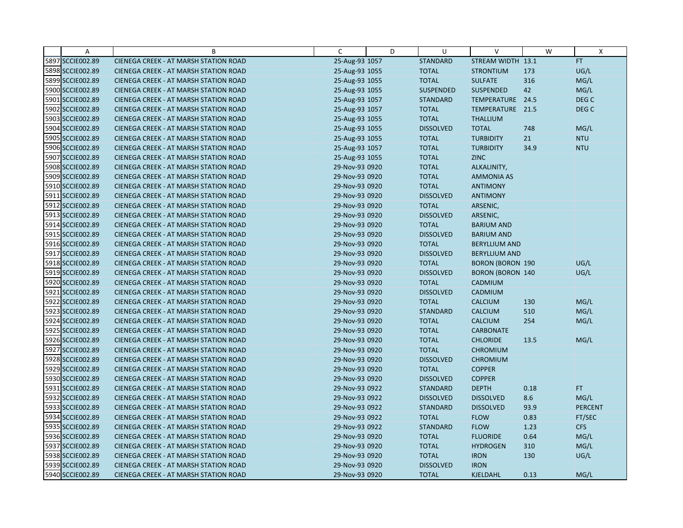| A                | B                                            | C              | D | U                | V                       | W    | X                |
|------------------|----------------------------------------------|----------------|---|------------------|-------------------------|------|------------------|
| 5897 SCCIE002.89 | CIENEGA CREEK - AT MARSH STATION ROAD        | 25-Aug-93 1057 |   | <b>STANDARD</b>  | STREAM WIDTH 13.1       |      | FT.              |
| 5898 SCCIE002.89 | CIENEGA CREEK - AT MARSH STATION ROAD        | 25-Aug-93 1055 |   | <b>TOTAL</b>     | <b>STRONTIUM</b>        | 173  | UG/L             |
| 5899 SCCIE002.89 | <b>CIENEGA CREEK - AT MARSH STATION ROAD</b> | 25-Aug-93 1055 |   | <b>TOTAL</b>     | <b>SULFATE</b>          | 316  | MG/L             |
| 5900 SCCIE002.89 | <b>CIENEGA CREEK - AT MARSH STATION ROAD</b> | 25-Aug-93 1055 |   | <b>SUSPENDED</b> | <b>SUSPENDED</b>        | 42   | MG/L             |
| 5901 SCCIE002.89 | CIENEGA CREEK - AT MARSH STATION ROAD        | 25-Aug-93 1057 |   | <b>STANDARD</b>  | TEMPERATURE 24.5        |      | DEG C            |
| 5902 SCCIE002.89 | <b>CIENEGA CREEK - AT MARSH STATION ROAD</b> | 25-Aug-93 1057 |   | <b>TOTAL</b>     | TEMPERATURE 21.5        |      | DEG <sub>C</sub> |
| 5903 SCCIE002.89 | <b>CIENEGA CREEK - AT MARSH STATION ROAD</b> | 25-Aug-93 1055 |   | <b>TOTAL</b>     | <b>THALLIUM</b>         |      |                  |
| 5904 SCCIE002.89 | <b>CIENEGA CREEK - AT MARSH STATION ROAD</b> | 25-Aug-93 1055 |   | <b>DISSOLVED</b> | <b>TOTAL</b>            | 748  | MG/L             |
| 5905 SCCIE002.89 | CIENEGA CREEK - AT MARSH STATION ROAD        | 25-Aug-93 1055 |   | <b>TOTAL</b>     | <b>TURBIDITY</b>        | 21   | <b>NTU</b>       |
| 5906 SCCIE002.89 | <b>CIENEGA CREEK - AT MARSH STATION ROAD</b> | 25-Aug-93 1057 |   | <b>TOTAL</b>     | <b>TURBIDITY</b>        | 34.9 | <b>NTU</b>       |
| 5907 SCCIE002.89 | <b>CIENEGA CREEK - AT MARSH STATION ROAD</b> | 25-Aug-93 1055 |   | <b>TOTAL</b>     | <b>ZINC</b>             |      |                  |
| 5908 SCCIE002.89 | CIENEGA CREEK - AT MARSH STATION ROAD        | 29-Nov-93 0920 |   | <b>TOTAL</b>     | ALKALINITY,             |      |                  |
| 5909 SCCIE002.89 | <b>CIENEGA CREEK - AT MARSH STATION ROAD</b> | 29-Nov-93 0920 |   | <b>TOTAL</b>     | <b>AMMONIA AS</b>       |      |                  |
| 5910 SCCIE002.89 | <b>CIENEGA CREEK - AT MARSH STATION ROAD</b> | 29-Nov-93 0920 |   | <b>TOTAL</b>     | <b>ANTIMONY</b>         |      |                  |
| 5911 SCCIE002.89 | <b>CIENEGA CREEK - AT MARSH STATION ROAD</b> | 29-Nov-93 0920 |   | <b>DISSOLVED</b> | <b>ANTIMONY</b>         |      |                  |
| 5912 SCCIE002.89 | CIENEGA CREEK - AT MARSH STATION ROAD        | 29-Nov-93 0920 |   | <b>TOTAL</b>     | ARSENIC,                |      |                  |
| 5913 SCCIE002.89 | CIENEGA CREEK - AT MARSH STATION ROAD        | 29-Nov-93 0920 |   | <b>DISSOLVED</b> | ARSENIC,                |      |                  |
| 5914 SCCIE002.89 | <b>CIENEGA CREEK - AT MARSH STATION ROAD</b> | 29-Nov-93 0920 |   | <b>TOTAL</b>     | <b>BARIUM AND</b>       |      |                  |
| 5915 SCCIE002.89 | <b>CIENEGA CREEK - AT MARSH STATION ROAD</b> | 29-Nov-93 0920 |   | <b>DISSOLVED</b> | <b>BARIUM AND</b>       |      |                  |
| 5916 SCCIE002.89 | <b>CIENEGA CREEK - AT MARSH STATION ROAD</b> | 29-Nov-93 0920 |   | <b>TOTAL</b>     | <b>BERYLLIUM AND</b>    |      |                  |
| 5917 SCCIE002.89 | <b>CIENEGA CREEK - AT MARSH STATION ROAD</b> | 29-Nov-93 0920 |   | <b>DISSOLVED</b> | <b>BERYLLIUM AND</b>    |      |                  |
| 5918 SCCIE002.89 | <b>CIENEGA CREEK - AT MARSH STATION ROAD</b> | 29-Nov-93 0920 |   | <b>TOTAL</b>     | <b>BORON (BORON 190</b> |      | UG/L             |
| 5919 SCCIE002.89 | CIENEGA CREEK - AT MARSH STATION ROAD        | 29-Nov-93 0920 |   | <b>DISSOLVED</b> | <b>BORON (BORON 140</b> |      | UG/L             |
| 5920 SCCIE002.89 | <b>CIENEGA CREEK - AT MARSH STATION ROAD</b> | 29-Nov-93 0920 |   | <b>TOTAL</b>     | CADMIUM                 |      |                  |
| 5921 SCCIE002.89 | CIENEGA CREEK - AT MARSH STATION ROAD        | 29-Nov-93 0920 |   | <b>DISSOLVED</b> | CADMIUM                 |      |                  |
| 5922 SCCIE002.89 | CIENEGA CREEK - AT MARSH STATION ROAD        | 29-Nov-93 0920 |   | <b>TOTAL</b>     | <b>CALCIUM</b>          | 130  | MG/L             |
| 5923 SCCIE002.89 | CIENEGA CREEK - AT MARSH STATION ROAD        | 29-Nov-93 0920 |   | <b>STANDARD</b>  | <b>CALCIUM</b>          | 510  | MG/L             |
| 5924 SCCIE002.89 | CIENEGA CREEK - AT MARSH STATION ROAD        | 29-Nov-93 0920 |   | <b>TOTAL</b>     | <b>CALCIUM</b>          | 254  | MG/L             |
| 5925 SCCIE002.89 | <b>CIENEGA CREEK - AT MARSH STATION ROAD</b> | 29-Nov-93 0920 |   | <b>TOTAL</b>     | <b>CARBONATE</b>        |      |                  |
| 5926 SCCIE002.89 | <b>CIENEGA CREEK - AT MARSH STATION ROAD</b> | 29-Nov-93 0920 |   | <b>TOTAL</b>     | <b>CHLORIDE</b>         | 13.5 | MG/L             |
| 5927 SCCIE002.89 | CIENEGA CREEK - AT MARSH STATION ROAD        | 29-Nov-93 0920 |   | <b>TOTAL</b>     | <b>CHROMIUM</b>         |      |                  |
| 5928 SCCIE002.89 | <b>CIENEGA CREEK - AT MARSH STATION ROAD</b> | 29-Nov-93 0920 |   | <b>DISSOLVED</b> | <b>CHROMIUM</b>         |      |                  |
| 5929 SCCIE002.89 | <b>CIENEGA CREEK - AT MARSH STATION ROAD</b> | 29-Nov-93 0920 |   | <b>TOTAL</b>     | <b>COPPER</b>           |      |                  |
| 5930 SCCIE002.89 | <b>CIENEGA CREEK - AT MARSH STATION ROAD</b> | 29-Nov-93 0920 |   | <b>DISSOLVED</b> | <b>COPPER</b>           |      |                  |
| 5931 SCCIE002.89 | CIENEGA CREEK - AT MARSH STATION ROAD        | 29-Nov-93 0922 |   | <b>STANDARD</b>  | <b>DEPTH</b>            | 0.18 | FT.              |
| 5932 SCCIE002.89 | <b>CIENEGA CREEK - AT MARSH STATION ROAD</b> | 29-Nov-93 0922 |   | <b>DISSOLVED</b> | <b>DISSOLVED</b>        | 8.6  | MG/L             |
| 5933 SCCIE002.89 | <b>CIENEGA CREEK - AT MARSH STATION ROAD</b> | 29-Nov-93 0922 |   | <b>STANDARD</b>  | <b>DISSOLVED</b>        | 93.9 | <b>PERCENT</b>   |
| 5934 SCCIE002.89 | CIENEGA CREEK - AT MARSH STATION ROAD        | 29-Nov-93 0922 |   | <b>TOTAL</b>     | <b>FLOW</b>             | 0.83 | FT/SEC           |
| 5935 SCCIE002.89 | CIENEGA CREEK - AT MARSH STATION ROAD        | 29-Nov-93 0922 |   | <b>STANDARD</b>  | <b>FLOW</b>             | 1.23 | <b>CFS</b>       |
| 5936 SCCIE002.89 | <b>CIENEGA CREEK - AT MARSH STATION ROAD</b> | 29-Nov-93 0920 |   | <b>TOTAL</b>     | <b>FLUORIDE</b>         | 0.64 | MG/L             |
| 5937 SCCIE002.89 | <b>CIENEGA CREEK - AT MARSH STATION ROAD</b> | 29-Nov-93 0920 |   | <b>TOTAL</b>     | <b>HYDROGEN</b>         | 310  | MG/L             |
| 5938 SCCIE002.89 | CIENEGA CREEK - AT MARSH STATION ROAD        | 29-Nov-93 0920 |   | <b>TOTAL</b>     | <b>IRON</b>             | 130  | UG/L             |
| 5939 SCCIE002.89 | <b>CIENEGA CREEK - AT MARSH STATION ROAD</b> | 29-Nov-93 0920 |   | <b>DISSOLVED</b> | <b>IRON</b>             |      |                  |
| 5940 SCCIE002.89 | CIENEGA CREEK - AT MARSH STATION ROAD        | 29-Nov-93 0920 |   | <b>TOTAL</b>     | <b>KJELDAHL</b>         | 0.13 | MG/L             |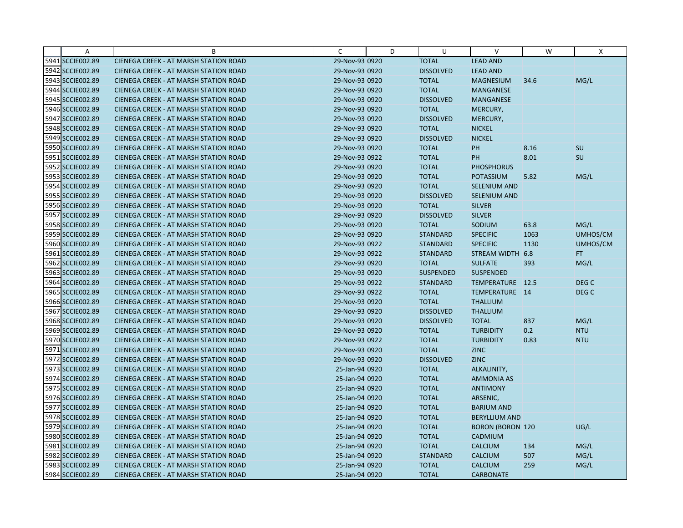| Α                | B                                            | C              | D | U                | V                       | W    | X                |
|------------------|----------------------------------------------|----------------|---|------------------|-------------------------|------|------------------|
| 5941 SCCIE002.89 | CIENEGA CREEK - AT MARSH STATION ROAD        | 29-Nov-93 0920 |   | <b>TOTAL</b>     | <b>LEAD AND</b>         |      |                  |
| 5942 SCCIE002.89 | <b>CIENEGA CREEK - AT MARSH STATION ROAD</b> | 29-Nov-93 0920 |   | <b>DISSOLVED</b> | <b>LEAD AND</b>         |      |                  |
| 5943 SCCIE002.89 | <b>CIENEGA CREEK - AT MARSH STATION ROAD</b> | 29-Nov-93 0920 |   | <b>TOTAL</b>     | <b>MAGNESIUM</b>        | 34.6 | MG/L             |
| 5944 SCCIE002.89 | <b>CIENEGA CREEK - AT MARSH STATION ROAD</b> | 29-Nov-93 0920 |   | <b>TOTAL</b>     | <b>MANGANESE</b>        |      |                  |
| 5945 SCCIE002.89 | CIENEGA CREEK - AT MARSH STATION ROAD        | 29-Nov-93 0920 |   | <b>DISSOLVED</b> | <b>MANGANESE</b>        |      |                  |
| 5946 SCCIE002.89 | <b>CIENEGA CREEK - AT MARSH STATION ROAD</b> | 29-Nov-93 0920 |   | <b>TOTAL</b>     | MERCURY,                |      |                  |
| 5947 SCCIE002.89 | <b>CIENEGA CREEK - AT MARSH STATION ROAD</b> | 29-Nov-93 0920 |   | <b>DISSOLVED</b> | MERCURY,                |      |                  |
| 5948 SCCIE002.89 | <b>CIENEGA CREEK - AT MARSH STATION ROAD</b> | 29-Nov-93 0920 |   | <b>TOTAL</b>     | <b>NICKEL</b>           |      |                  |
| 5949 SCCIE002.89 | <b>CIENEGA CREEK - AT MARSH STATION ROAD</b> | 29-Nov-93 0920 |   | <b>DISSOLVED</b> | <b>NICKEL</b>           |      |                  |
| 5950 SCCIE002.89 | <b>CIENEGA CREEK - AT MARSH STATION ROAD</b> | 29-Nov-93 0920 |   | <b>TOTAL</b>     | PH                      | 8.16 | SU               |
| 5951 SCCIE002.89 | <b>CIENEGA CREEK - AT MARSH STATION ROAD</b> | 29-Nov-93 0922 |   | <b>TOTAL</b>     | <b>PH</b>               | 8.01 | SU               |
| 5952 SCCIE002.89 | CIENEGA CREEK - AT MARSH STATION ROAD        | 29-Nov-93 0920 |   | <b>TOTAL</b>     | <b>PHOSPHORUS</b>       |      |                  |
| 5953 SCCIE002.89 | CIENEGA CREEK - AT MARSH STATION ROAD        | 29-Nov-93 0920 |   | <b>TOTAL</b>     | <b>POTASSIUM</b>        | 5.82 | MG/L             |
| 5954 SCCIE002.89 | CIENEGA CREEK - AT MARSH STATION ROAD        | 29-Nov-93 0920 |   | <b>TOTAL</b>     | <b>SELENIUM AND</b>     |      |                  |
| 5955 SCCIE002.89 | <b>CIENEGA CREEK - AT MARSH STATION ROAD</b> | 29-Nov-93 0920 |   | <b>DISSOLVED</b> | SELENIUM AND            |      |                  |
| 5956 SCCIE002.89 | CIENEGA CREEK - AT MARSH STATION ROAD        | 29-Nov-93 0920 |   | <b>TOTAL</b>     | <b>SILVER</b>           |      |                  |
| 5957 SCCIE002.89 | <b>CIENEGA CREEK - AT MARSH STATION ROAD</b> | 29-Nov-93 0920 |   | <b>DISSOLVED</b> | <b>SILVER</b>           |      |                  |
| 5958 SCCIE002.89 | <b>CIENEGA CREEK - AT MARSH STATION ROAD</b> | 29-Nov-93 0920 |   | <b>TOTAL</b>     | SODIUM                  | 63.8 | MG/L             |
| 5959 SCCIE002.89 | <b>CIENEGA CREEK - AT MARSH STATION ROAD</b> | 29-Nov-93 0920 |   | <b>STANDARD</b>  | <b>SPECIFIC</b>         | 1063 | UMHOS/CM         |
| 5960 SCCIE002.89 | <b>CIENEGA CREEK - AT MARSH STATION ROAD</b> | 29-Nov-93 0922 |   | <b>STANDARD</b>  | <b>SPECIFIC</b>         | 1130 | UMHOS/CM         |
| 5961 SCCIE002.89 | <b>CIENEGA CREEK - AT MARSH STATION ROAD</b> | 29-Nov-93 0922 |   | <b>STANDARD</b>  | STREAM WIDTH 6.8        |      | FT.              |
| 5962 SCCIE002.89 | CIENEGA CREEK - AT MARSH STATION ROAD        | 29-Nov-93 0920 |   | <b>TOTAL</b>     | <b>SULFATE</b>          | 393  | MG/L             |
| 5963 SCCIE002.89 | <b>CIENEGA CREEK - AT MARSH STATION ROAD</b> | 29-Nov-93 0920 |   | <b>SUSPENDED</b> | <b>SUSPENDED</b>        |      |                  |
| 5964 SCCIE002.89 | <b>CIENEGA CREEK - AT MARSH STATION ROAD</b> | 29-Nov-93 0922 |   | <b>STANDARD</b>  | TEMPERATURE 12.5        |      | DEG <sub>C</sub> |
| 5965 SCCIE002.89 | <b>CIENEGA CREEK - AT MARSH STATION ROAD</b> | 29-Nov-93 0922 |   | <b>TOTAL</b>     | TEMPERATURE 14          |      | DEG C            |
| 5966 SCCIE002.89 | CIENEGA CREEK - AT MARSH STATION ROAD        | 29-Nov-93 0920 |   | <b>TOTAL</b>     | <b>THALLIUM</b>         |      |                  |
| 5967 SCCIE002.89 | <b>CIENEGA CREEK - AT MARSH STATION ROAD</b> | 29-Nov-93 0920 |   | <b>DISSOLVED</b> | <b>THALLIUM</b>         |      |                  |
| 5968 SCCIE002.89 | <b>CIENEGA CREEK - AT MARSH STATION ROAD</b> | 29-Nov-93 0920 |   | <b>DISSOLVED</b> | <b>TOTAL</b>            | 837  | MG/L             |
| 5969 SCCIE002.89 | <b>CIENEGA CREEK - AT MARSH STATION ROAD</b> | 29-Nov-93 0920 |   | <b>TOTAL</b>     | <b>TURBIDITY</b>        | 0.2  | <b>NTU</b>       |
| 5970 SCCIE002.89 | <b>CIENEGA CREEK - AT MARSH STATION ROAD</b> | 29-Nov-93 0922 |   | <b>TOTAL</b>     | <b>TURBIDITY</b>        | 0.83 | <b>NTU</b>       |
| 5971 SCCIE002.89 | CIENEGA CREEK - AT MARSH STATION ROAD        | 29-Nov-93 0920 |   | <b>TOTAL</b>     | <b>ZINC</b>             |      |                  |
| 5972 SCCIE002.89 | <b>CIENEGA CREEK - AT MARSH STATION ROAD</b> | 29-Nov-93 0920 |   | <b>DISSOLVED</b> | <b>ZINC</b>             |      |                  |
| 5973 SCCIE002.89 | <b>CIENEGA CREEK - AT MARSH STATION ROAD</b> | 25-Jan-94 0920 |   | <b>TOTAL</b>     | ALKALINITY,             |      |                  |
| 5974 SCCIE002.89 | <b>CIENEGA CREEK - AT MARSH STATION ROAD</b> | 25-Jan-94 0920 |   | <b>TOTAL</b>     | AMMONIA AS              |      |                  |
| 5975 SCCIE002.89 | CIENEGA CREEK - AT MARSH STATION ROAD        | 25-Jan-94 0920 |   | <b>TOTAL</b>     | <b>ANTIMONY</b>         |      |                  |
| 5976 SCCIE002.89 | <b>CIENEGA CREEK - AT MARSH STATION ROAD</b> | 25-Jan-94 0920 |   | <b>TOTAL</b>     | ARSENIC,                |      |                  |
| 5977 SCCIE002.89 | CIENEGA CREEK - AT MARSH STATION ROAD        | 25-Jan-94 0920 |   | <b>TOTAL</b>     | <b>BARIUM AND</b>       |      |                  |
| 5978 SCCIE002.89 | CIENEGA CREEK - AT MARSH STATION ROAD        | 25-Jan-94 0920 |   | <b>TOTAL</b>     | <b>BERYLLIUM AND</b>    |      |                  |
| 5979 SCCIE002.89 | <b>CIENEGA CREEK - AT MARSH STATION ROAD</b> | 25-Jan-94 0920 |   | <b>TOTAL</b>     | <b>BORON (BORON 120</b> |      | UG/L             |
| 5980 SCCIE002.89 | CIENEGA CREEK - AT MARSH STATION ROAD        | 25-Jan-94 0920 |   | <b>TOTAL</b>     | CADMIUM                 |      |                  |
| 5981 SCCIE002.89 | CIENEGA CREEK - AT MARSH STATION ROAD        | 25-Jan-94 0920 |   | <b>TOTAL</b>     | <b>CALCIUM</b>          | 134  | MG/L             |
| 5982 SCCIE002.89 | CIENEGA CREEK - AT MARSH STATION ROAD        | 25-Jan-94 0920 |   | <b>STANDARD</b>  | <b>CALCIUM</b>          | 507  | MG/L             |
| 5983 SCCIE002.89 | <b>CIENEGA CREEK - AT MARSH STATION ROAD</b> | 25-Jan-94 0920 |   | <b>TOTAL</b>     | <b>CALCIUM</b>          | 259  | MG/L             |
| 5984 SCCIE002.89 | <b>CIENEGA CREEK - AT MARSH STATION ROAD</b> | 25-Jan-94 0920 |   | <b>TOTAL</b>     | <b>CARBONATE</b>        |      |                  |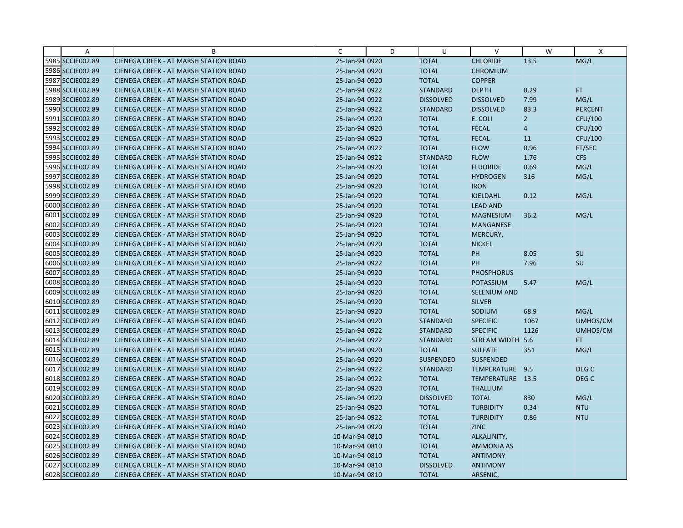| A                | B                                            | C              | D | U                | V                   | W              | X                |
|------------------|----------------------------------------------|----------------|---|------------------|---------------------|----------------|------------------|
| 5985 SCCIE002.89 | CIENEGA CREEK - AT MARSH STATION ROAD        | 25-Jan-94 0920 |   | <b>TOTAL</b>     | <b>CHLORIDE</b>     | 13.5           | MG/L             |
| 5986 SCCIE002.89 | <b>CIENEGA CREEK - AT MARSH STATION ROAD</b> | 25-Jan-94 0920 |   | <b>TOTAL</b>     | <b>CHROMIUM</b>     |                |                  |
| 5987 SCCIE002.89 | <b>CIENEGA CREEK - AT MARSH STATION ROAD</b> | 25-Jan-94 0920 |   | <b>TOTAL</b>     | <b>COPPER</b>       |                |                  |
| 5988 SCCIE002.89 | <b>CIENEGA CREEK - AT MARSH STATION ROAD</b> | 25-Jan-94 0922 |   | <b>STANDARD</b>  | <b>DEPTH</b>        | 0.29           | <b>FT</b>        |
| 5989 SCCIE002.89 | <b>CIENEGA CREEK - AT MARSH STATION ROAD</b> | 25-Jan-94 0922 |   | <b>DISSOLVED</b> | <b>DISSOLVED</b>    | 7.99           | MG/L             |
| 5990 SCCIE002.89 | <b>CIENEGA CREEK - AT MARSH STATION ROAD</b> | 25-Jan-94 0922 |   | <b>STANDARD</b>  | <b>DISSOLVED</b>    | 83.3           | <b>PERCENT</b>   |
| 5991 SCCIE002.89 | <b>CIENEGA CREEK - AT MARSH STATION ROAD</b> | 25-Jan-94 0920 |   | <b>TOTAL</b>     | E. COLI             | $\overline{2}$ | CFU/100          |
| 5992 SCCIE002.89 | <b>CIENEGA CREEK - AT MARSH STATION ROAD</b> | 25-Jan-94 0920 |   | <b>TOTAL</b>     | <b>FECAL</b>        | $\overline{4}$ | CFU/100          |
| 5993 SCCIE002.89 | <b>CIENEGA CREEK - AT MARSH STATION ROAD</b> | 25-Jan-94 0920 |   | <b>TOTAL</b>     | <b>FECAL</b>        | 11             | CFU/100          |
| 5994 SCCIE002.89 | <b>CIENEGA CREEK - AT MARSH STATION ROAD</b> | 25-Jan-94 0922 |   | <b>TOTAL</b>     | <b>FLOW</b>         | 0.96           | FT/SEC           |
| 5995 SCCIE002.89 | <b>CIENEGA CREEK - AT MARSH STATION ROAD</b> | 25-Jan-94 0922 |   | <b>STANDARD</b>  | <b>FLOW</b>         | 1.76           | <b>CFS</b>       |
| 5996 SCCIE002.89 | CIENEGA CREEK - AT MARSH STATION ROAD        | 25-Jan-94 0920 |   | <b>TOTAL</b>     | <b>FLUORIDE</b>     | 0.69           | MG/L             |
| 5997 SCCIE002.89 | <b>CIENEGA CREEK - AT MARSH STATION ROAD</b> | 25-Jan-94 0920 |   | <b>TOTAL</b>     | <b>HYDROGEN</b>     | 316            | MG/L             |
| 5998 SCCIE002.89 | <b>CIENEGA CREEK - AT MARSH STATION ROAD</b> | 25-Jan-94 0920 |   | <b>TOTAL</b>     | <b>IRON</b>         |                |                  |
| 5999 SCCIE002.89 | <b>CIENEGA CREEK - AT MARSH STATION ROAD</b> | 25-Jan-94 0920 |   | <b>TOTAL</b>     | <b>KJELDAHL</b>     | 0.12           | MG/L             |
| 6000 SCCIE002.89 | <b>CIENEGA CREEK - AT MARSH STATION ROAD</b> | 25-Jan-94 0920 |   | <b>TOTAL</b>     | <b>LEAD AND</b>     |                |                  |
| 6001 SCCIE002.89 | <b>CIENEGA CREEK - AT MARSH STATION ROAD</b> | 25-Jan-94 0920 |   | <b>TOTAL</b>     | <b>MAGNESIUM</b>    | 36.2           | MG/L             |
| 6002 SCCIE002.89 | <b>CIENEGA CREEK - AT MARSH STATION ROAD</b> | 25-Jan-94 0920 |   | <b>TOTAL</b>     | <b>MANGANESE</b>    |                |                  |
| 6003 SCCIE002.89 | <b>CIENEGA CREEK - AT MARSH STATION ROAD</b> | 25-Jan-94 0920 |   | <b>TOTAL</b>     | MERCURY,            |                |                  |
| 6004 SCCIE002.89 | <b>CIENEGA CREEK - AT MARSH STATION ROAD</b> | 25-Jan-94 0920 |   | <b>TOTAL</b>     | <b>NICKEL</b>       |                |                  |
| 6005 SCCIE002.89 | <b>CIENEGA CREEK - AT MARSH STATION ROAD</b> | 25-Jan-94 0920 |   | <b>TOTAL</b>     | PH                  | 8.05           | SU               |
| 6006 SCCIE002.89 | <b>CIENEGA CREEK - AT MARSH STATION ROAD</b> | 25-Jan-94 0922 |   | <b>TOTAL</b>     | PH                  | 7.96           | SU               |
| 6007 SCCIE002.89 | CIENEGA CREEK - AT MARSH STATION ROAD        | 25-Jan-94 0920 |   | <b>TOTAL</b>     | <b>PHOSPHORUS</b>   |                |                  |
| 6008 SCCIE002.89 | <b>CIENEGA CREEK - AT MARSH STATION ROAD</b> | 25-Jan-94 0920 |   | <b>TOTAL</b>     | <b>POTASSIUM</b>    | 5.47           | MG/L             |
| 6009 SCCIE002.89 | CIENEGA CREEK - AT MARSH STATION ROAD        | 25-Jan-94 0920 |   | <b>TOTAL</b>     | <b>SELENIUM AND</b> |                |                  |
| 6010 SCCIE002.89 | <b>CIENEGA CREEK - AT MARSH STATION ROAD</b> | 25-Jan-94 0920 |   | <b>TOTAL</b>     | <b>SILVER</b>       |                |                  |
| 6011 SCCIE002.89 | <b>CIENEGA CREEK - AT MARSH STATION ROAD</b> | 25-Jan-94 0920 |   | <b>TOTAL</b>     | SODIUM              | 68.9           | MG/L             |
| 6012 SCCIE002.89 | <b>CIENEGA CREEK - AT MARSH STATION ROAD</b> | 25-Jan-94 0920 |   | <b>STANDARD</b>  | <b>SPECIFIC</b>     | 1067           | UMHOS/CM         |
| 6013 SCCIE002.89 | <b>CIENEGA CREEK - AT MARSH STATION ROAD</b> | 25-Jan-94 0922 |   | <b>STANDARD</b>  | <b>SPECIFIC</b>     | 1126           | UMHOS/CM         |
| 6014 SCCIE002.89 | <b>CIENEGA CREEK - AT MARSH STATION ROAD</b> | 25-Jan-94 0922 |   | <b>STANDARD</b>  | STREAM WIDTH 5.6    |                | FT.              |
| 6015 SCCIE002.89 | CIENEGA CREEK - AT MARSH STATION ROAD        | 25-Jan-94 0920 |   | <b>TOTAL</b>     | <b>SULFATE</b>      | 351            | MG/L             |
| 6016 SCCIE002.89 | <b>CIENEGA CREEK - AT MARSH STATION ROAD</b> | 25-Jan-94 0920 |   | <b>SUSPENDED</b> | <b>SUSPENDED</b>    |                |                  |
| 6017 SCCIE002.89 | <b>CIENEGA CREEK - AT MARSH STATION ROAD</b> | 25-Jan-94 0922 |   | <b>STANDARD</b>  | TEMPERATURE 9.5     |                | DEG <sub>C</sub> |
| 6018 SCCIE002.89 | <b>CIENEGA CREEK - AT MARSH STATION ROAD</b> | 25-Jan-94 0922 |   | <b>TOTAL</b>     | TEMPERATURE 13.5    |                | DEG <sub>C</sub> |
| 6019 SCCIE002.89 | <b>CIENEGA CREEK - AT MARSH STATION ROAD</b> | 25-Jan-94 0920 |   | <b>TOTAL</b>     | <b>THALLIUM</b>     |                |                  |
| 6020 SCCIE002.89 | <b>CIENEGA CREEK - AT MARSH STATION ROAD</b> | 25-Jan-94 0920 |   | <b>DISSOLVED</b> | <b>TOTAL</b>        | 830            | MG/L             |
| 6021 SCCIE002.89 | <b>CIENEGA CREEK - AT MARSH STATION ROAD</b> | 25-Jan-94 0920 |   | <b>TOTAL</b>     | <b>TURBIDITY</b>    | 0.34           | <b>NTU</b>       |
| 6022 SCCIE002.89 | CIENEGA CREEK - AT MARSH STATION ROAD        | 25-Jan-94 0922 |   | <b>TOTAL</b>     | <b>TURBIDITY</b>    | 0.86           | <b>NTU</b>       |
| 6023 SCCIE002.89 | CIENEGA CREEK - AT MARSH STATION ROAD        | 25-Jan-94 0920 |   | <b>TOTAL</b>     | <b>ZINC</b>         |                |                  |
| 6024 SCCIE002.89 | <b>CIENEGA CREEK - AT MARSH STATION ROAD</b> | 10-Mar-94 0810 |   | <b>TOTAL</b>     | ALKALINITY,         |                |                  |
| 6025 SCCIE002.89 | <b>CIENEGA CREEK - AT MARSH STATION ROAD</b> | 10-Mar-94 0810 |   | <b>TOTAL</b>     | <b>AMMONIA AS</b>   |                |                  |
| 6026 SCCIE002.89 | CIENEGA CREEK - AT MARSH STATION ROAD        | 10-Mar-94 0810 |   | <b>TOTAL</b>     | <b>ANTIMONY</b>     |                |                  |
| 6027 SCCIE002.89 | <b>CIENEGA CREEK - AT MARSH STATION ROAD</b> | 10-Mar-94 0810 |   | <b>DISSOLVED</b> | <b>ANTIMONY</b>     |                |                  |
| 6028 SCCIE002.89 | CIENEGA CREEK - AT MARSH STATION ROAD        | 10-Mar-94 0810 |   | <b>TOTAL</b>     | ARSENIC,            |                |                  |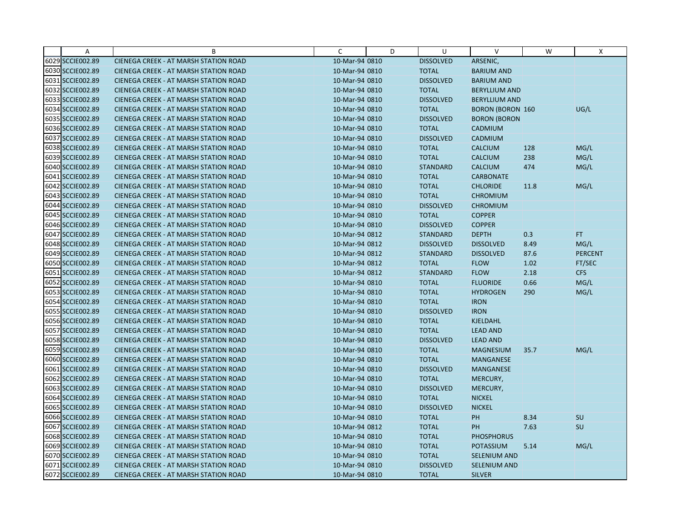| A                | B                                            | C              | D | U                | $\vee$                  | W    | X              |
|------------------|----------------------------------------------|----------------|---|------------------|-------------------------|------|----------------|
| 6029 SCCIE002.89 | CIENEGA CREEK - AT MARSH STATION ROAD        | 10-Mar-94 0810 |   | <b>DISSOLVED</b> | ARSENIC,                |      |                |
| 6030 SCCIE002.89 | <b>CIENEGA CREEK - AT MARSH STATION ROAD</b> | 10-Mar-94 0810 |   | <b>TOTAL</b>     | <b>BARIUM AND</b>       |      |                |
| 6031 SCCIE002.89 | <b>CIENEGA CREEK - AT MARSH STATION ROAD</b> | 10-Mar-94 0810 |   | <b>DISSOLVED</b> | <b>BARIUM AND</b>       |      |                |
| 6032 SCCIE002.89 | <b>CIENEGA CREEK - AT MARSH STATION ROAD</b> | 10-Mar-94 0810 |   | <b>TOTAL</b>     | <b>BERYLLIUM AND</b>    |      |                |
| 6033 SCCIE002.89 | <b>CIENEGA CREEK - AT MARSH STATION ROAD</b> | 10-Mar-94 0810 |   | <b>DISSOLVED</b> | <b>BERYLLIUM AND</b>    |      |                |
| 6034 SCCIE002.89 | <b>CIENEGA CREEK - AT MARSH STATION ROAD</b> | 10-Mar-94 0810 |   | <b>TOTAL</b>     | <b>BORON (BORON 160</b> |      | UG/L           |
| 6035 SCCIE002.89 | CIENEGA CREEK - AT MARSH STATION ROAD        | 10-Mar-94 0810 |   | <b>DISSOLVED</b> | <b>BORON (BORON</b>     |      |                |
| 6036 SCCIE002.89 | CIENEGA CREEK - AT MARSH STATION ROAD        | 10-Mar-94 0810 |   | <b>TOTAL</b>     | <b>CADMIUM</b>          |      |                |
| 6037 SCCIE002.89 | CIENEGA CREEK - AT MARSH STATION ROAD        | 10-Mar-94 0810 |   | <b>DISSOLVED</b> | CADMIUM                 |      |                |
| 6038 SCCIE002.89 | <b>CIENEGA CREEK - AT MARSH STATION ROAD</b> | 10-Mar-94 0810 |   | <b>TOTAL</b>     | <b>CALCIUM</b>          | 128  | MG/L           |
| 6039 SCCIE002.89 | CIENEGA CREEK - AT MARSH STATION ROAD        | 10-Mar-94 0810 |   | <b>TOTAL</b>     | <b>CALCIUM</b>          | 238  | MG/L           |
| 6040 SCCIE002.89 | CIENEGA CREEK - AT MARSH STATION ROAD        | 10-Mar-94 0810 |   | <b>STANDARD</b>  | <b>CALCIUM</b>          | 474  | MG/L           |
| 6041 SCCIE002.89 | <b>CIENEGA CREEK - AT MARSH STATION ROAD</b> | 10-Mar-94 0810 |   | <b>TOTAL</b>     | <b>CARBONATE</b>        |      |                |
| 6042 SCCIE002.89 | <b>CIENEGA CREEK - AT MARSH STATION ROAD</b> | 10-Mar-94 0810 |   | <b>TOTAL</b>     | <b>CHLORIDE</b>         | 11.8 | MG/L           |
| 6043 SCCIE002.89 | <b>CIENEGA CREEK - AT MARSH STATION ROAD</b> | 10-Mar-94 0810 |   | <b>TOTAL</b>     | <b>CHROMIUM</b>         |      |                |
| 6044 SCCIE002.89 | CIENEGA CREEK - AT MARSH STATION ROAD        | 10-Mar-94 0810 |   | <b>DISSOLVED</b> | <b>CHROMIUM</b>         |      |                |
| 6045 SCCIE002.89 | CIENEGA CREEK - AT MARSH STATION ROAD        | 10-Mar-94 0810 |   | <b>TOTAL</b>     | <b>COPPER</b>           |      |                |
| 6046 SCCIE002.89 | <b>CIENEGA CREEK - AT MARSH STATION ROAD</b> | 10-Mar-94 0810 |   | <b>DISSOLVED</b> | <b>COPPER</b>           |      |                |
| 6047 SCCIE002.89 | <b>CIENEGA CREEK - AT MARSH STATION ROAD</b> | 10-Mar-94 0812 |   | <b>STANDARD</b>  | <b>DEPTH</b>            | 0.3  | FT.            |
| 6048 SCCIE002.89 | <b>CIENEGA CREEK - AT MARSH STATION ROAD</b> | 10-Mar-94 0812 |   | <b>DISSOLVED</b> | <b>DISSOLVED</b>        | 8.49 | MG/L           |
| 6049 SCCIE002.89 | <b>CIENEGA CREEK - AT MARSH STATION ROAD</b> | 10-Mar-94 0812 |   | <b>STANDARD</b>  | <b>DISSOLVED</b>        | 87.6 | <b>PERCENT</b> |
| 6050 SCCIE002.89 | CIENEGA CREEK - AT MARSH STATION ROAD        | 10-Mar-94 0812 |   | <b>TOTAL</b>     | <b>FLOW</b>             | 1.02 | FT/SEC         |
| 6051 SCCIE002.89 | CIENEGA CREEK - AT MARSH STATION ROAD        | 10-Mar-94 0812 |   | <b>STANDARD</b>  | <b>FLOW</b>             | 2.18 | <b>CFS</b>     |
| 6052 SCCIE002.89 | <b>CIENEGA CREEK - AT MARSH STATION ROAD</b> | 10-Mar-94 0810 |   | <b>TOTAL</b>     | <b>FLUORIDE</b>         | 0.66 | MG/L           |
| 6053 SCCIE002.89 | CIENEGA CREEK - AT MARSH STATION ROAD        | 10-Mar-94 0810 |   | <b>TOTAL</b>     | <b>HYDROGEN</b>         | 290  | MG/L           |
| 6054 SCCIE002.89 | CIENEGA CREEK - AT MARSH STATION ROAD        | 10-Mar-94 0810 |   | <b>TOTAL</b>     | <b>IRON</b>             |      |                |
| 6055 SCCIE002.89 | CIENEGA CREEK - AT MARSH STATION ROAD        | 10-Mar-94 0810 |   | <b>DISSOLVED</b> | <b>IRON</b>             |      |                |
| 6056 SCCIE002.89 | CIENEGA CREEK - AT MARSH STATION ROAD        | 10-Mar-94 0810 |   | <b>TOTAL</b>     | KJELDAHL                |      |                |
| 6057 SCCIE002.89 | <b>CIENEGA CREEK - AT MARSH STATION ROAD</b> | 10-Mar-94 0810 |   | <b>TOTAL</b>     | <b>LEAD AND</b>         |      |                |
| 6058 SCCIE002.89 | <b>CIENEGA CREEK - AT MARSH STATION ROAD</b> | 10-Mar-94 0810 |   | <b>DISSOLVED</b> | <b>LEAD AND</b>         |      |                |
| 6059 SCCIE002.89 | CIENEGA CREEK - AT MARSH STATION ROAD        | 10-Mar-94 0810 |   | <b>TOTAL</b>     | <b>MAGNESIUM</b>        | 35.7 | MG/L           |
| 6060 SCCIE002.89 | <b>CIENEGA CREEK - AT MARSH STATION ROAD</b> | 10-Mar-94 0810 |   | <b>TOTAL</b>     | <b>MANGANESE</b>        |      |                |
| 6061 SCCIE002.89 | <b>CIENEGA CREEK - AT MARSH STATION ROAD</b> | 10-Mar-94 0810 |   | <b>DISSOLVED</b> | MANGANESE               |      |                |
| 6062 SCCIE002.89 | CIENEGA CREEK - AT MARSH STATION ROAD        | 10-Mar-94 0810 |   | <b>TOTAL</b>     | MERCURY,                |      |                |
| 6063 SCCIE002.89 | <b>CIENEGA CREEK - AT MARSH STATION ROAD</b> | 10-Mar-94 0810 |   | <b>DISSOLVED</b> | MERCURY,                |      |                |
| 6064 SCCIE002.89 | CIENEGA CREEK - AT MARSH STATION ROAD        | 10-Mar-94 0810 |   | <b>TOTAL</b>     | <b>NICKEL</b>           |      |                |
| 6065 SCCIE002.89 | <b>CIENEGA CREEK - AT MARSH STATION ROAD</b> | 10-Mar-94 0810 |   | <b>DISSOLVED</b> | <b>NICKEL</b>           |      |                |
| 6066 SCCIE002.89 | CIENEGA CREEK - AT MARSH STATION ROAD        | 10-Mar-94 0810 |   | <b>TOTAL</b>     | PH                      | 8.34 | SU             |
| 6067 SCCIE002.89 | CIENEGA CREEK - AT MARSH STATION ROAD        | 10-Mar-94 0812 |   | <b>TOTAL</b>     | <b>PH</b>               | 7.63 | SU             |
| 6068 SCCIE002.89 | <b>CIENEGA CREEK - AT MARSH STATION ROAD</b> | 10-Mar-94 0810 |   | <b>TOTAL</b>     | <b>PHOSPHORUS</b>       |      |                |
| 6069 SCCIE002.89 | <b>CIENEGA CREEK - AT MARSH STATION ROAD</b> | 10-Mar-94 0810 |   | <b>TOTAL</b>     | <b>POTASSIUM</b>        | 5.14 | MG/L           |
| 6070 SCCIE002.89 | CIENEGA CREEK - AT MARSH STATION ROAD        | 10-Mar-94 0810 |   | <b>TOTAL</b>     | <b>SELENIUM AND</b>     |      |                |
| 6071 SCCIE002.89 | <b>CIENEGA CREEK - AT MARSH STATION ROAD</b> | 10-Mar-94 0810 |   | <b>DISSOLVED</b> | <b>SELENIUM AND</b>     |      |                |
| 6072 SCCIE002.89 | CIENEGA CREEK - AT MARSH STATION ROAD        | 10-Mar-94 0810 |   | <b>TOTAL</b>     | <b>SILVER</b>           |      |                |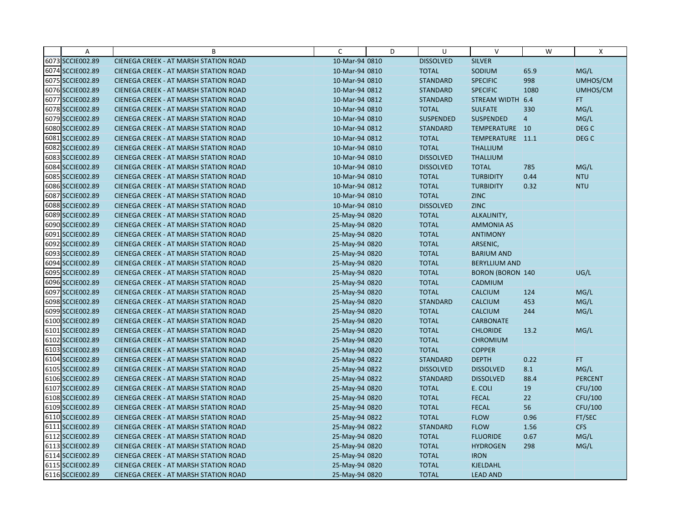| A                | B                                            | C              | D | U                | $\vee$                  | W              | X                |
|------------------|----------------------------------------------|----------------|---|------------------|-------------------------|----------------|------------------|
| 6073 SCCIE002.89 | CIENEGA CREEK - AT MARSH STATION ROAD        | 10-Mar-94 0810 |   | <b>DISSOLVED</b> | <b>SILVER</b>           |                |                  |
| 6074 SCCIE002.89 | CIENEGA CREEK - AT MARSH STATION ROAD        | 10-Mar-94 0810 |   | <b>TOTAL</b>     | SODIUM                  | 65.9           | MG/L             |
| 6075 SCCIE002.89 | <b>CIENEGA CREEK - AT MARSH STATION ROAD</b> | 10-Mar-94 0810 |   | <b>STANDARD</b>  | <b>SPECIFIC</b>         | 998            | UMHOS/CM         |
| 6076 SCCIE002.89 | CIENEGA CREEK - AT MARSH STATION ROAD        | 10-Mar-94 0812 |   | <b>STANDARD</b>  | <b>SPECIFIC</b>         | 1080           | UMHOS/CM         |
| 6077 SCCIE002.89 | CIENEGA CREEK - AT MARSH STATION ROAD        | 10-Mar-94 0812 |   | <b>STANDARD</b>  | STREAM WIDTH            | 6.4            | FT.              |
| 6078 SCCIE002.89 | <b>CIENEGA CREEK - AT MARSH STATION ROAD</b> | 10-Mar-94 0810 |   | <b>TOTAL</b>     | <b>SULFATE</b>          | 330            | MG/L             |
| 6079 SCCIE002.89 | <b>CIENEGA CREEK - AT MARSH STATION ROAD</b> | 10-Mar-94 0810 |   | <b>SUSPENDED</b> | <b>SUSPENDED</b>        | $\overline{4}$ | MG/L             |
| 6080 SCCIE002.89 | <b>CIENEGA CREEK - AT MARSH STATION ROAD</b> | 10-Mar-94 0812 |   | <b>STANDARD</b>  | TEMPERATURE 10          |                | DEG <sub>C</sub> |
| 6081 SCCIE002.89 | CIENEGA CREEK - AT MARSH STATION ROAD        | 10-Mar-94 0812 |   | <b>TOTAL</b>     | TEMPERATURE 11.1        |                | DEG <sub>C</sub> |
| 6082 SCCIE002.89 | CIENEGA CREEK - AT MARSH STATION ROAD        | 10-Mar-94 0810 |   | <b>TOTAL</b>     | <b>THALLIUM</b>         |                |                  |
| 6083 SCCIE002.89 | <b>CIENEGA CREEK - AT MARSH STATION ROAD</b> | 10-Mar-94 0810 |   | <b>DISSOLVED</b> | <b>THALLIUM</b>         |                |                  |
| 6084 SCCIE002.89 | CIENEGA CREEK - AT MARSH STATION ROAD        | 10-Mar-94 0810 |   | <b>DISSOLVED</b> | <b>TOTAL</b>            | 785            | MG/L             |
| 6085 SCCIE002.89 | CIENEGA CREEK - AT MARSH STATION ROAD        | 10-Mar-94 0810 |   | <b>TOTAL</b>     | <b>TURBIDITY</b>        | 0.44           | <b>NTU</b>       |
| 6086 SCCIE002.89 | <b>CIENEGA CREEK - AT MARSH STATION ROAD</b> | 10-Mar-94 0812 |   | <b>TOTAL</b>     | <b>TURBIDITY</b>        | 0.32           | <b>NTU</b>       |
| 6087 SCCIE002.89 | <b>CIENEGA CREEK - AT MARSH STATION ROAD</b> | 10-Mar-94 0810 |   | <b>TOTAL</b>     | <b>ZINC</b>             |                |                  |
| 6088 SCCIE002.89 | CIENEGA CREEK - AT MARSH STATION ROAD        | 10-Mar-94 0810 |   | <b>DISSOLVED</b> | <b>ZINC</b>             |                |                  |
| 6089 SCCIE002.89 | CIENEGA CREEK - AT MARSH STATION ROAD        | 25-May-94 0820 |   | <b>TOTAL</b>     | ALKALINITY,             |                |                  |
| 6090 SCCIE002.89 | CIENEGA CREEK - AT MARSH STATION ROAD        | 25-May-94 0820 |   | <b>TOTAL</b>     | <b>AMMONIA AS</b>       |                |                  |
| 6091 SCCIE002.89 | <b>CIENEGA CREEK - AT MARSH STATION ROAD</b> | 25-May-94 0820 |   | <b>TOTAL</b>     | <b>ANTIMONY</b>         |                |                  |
| 6092 SCCIE002.89 | CIENEGA CREEK - AT MARSH STATION ROAD        | 25-May-94 0820 |   | <b>TOTAL</b>     | ARSENIC,                |                |                  |
| 6093 SCCIE002.89 | CIENEGA CREEK - AT MARSH STATION ROAD        | 25-May-94 0820 |   | <b>TOTAL</b>     | <b>BARIUM AND</b>       |                |                  |
| 6094 SCCIE002.89 | CIENEGA CREEK - AT MARSH STATION ROAD        | 25-May-94 0820 |   | <b>TOTAL</b>     | <b>BERYLLIUM AND</b>    |                |                  |
| 6095 SCCIE002.89 | CIENEGA CREEK - AT MARSH STATION ROAD        | 25-May-94 0820 |   | <b>TOTAL</b>     | <b>BORON (BORON 140</b> |                | UG/L             |
| 6096 SCCIE002.89 | <b>CIENEGA CREEK - AT MARSH STATION ROAD</b> | 25-May-94 0820 |   | <b>TOTAL</b>     | CADMIUM                 |                |                  |
| 6097 SCCIE002.89 | CIENEGA CREEK - AT MARSH STATION ROAD        | 25-May-94 0820 |   | <b>TOTAL</b>     | <b>CALCIUM</b>          | 124            | MG/L             |
| 6098 SCCIE002.89 | CIENEGA CREEK - AT MARSH STATION ROAD        | 25-May-94 0820 |   | <b>STANDARD</b>  | CALCIUM                 | 453            | MG/L             |
| 6099 SCCIE002.89 | CIENEGA CREEK - AT MARSH STATION ROAD        | 25-May-94 0820 |   | <b>TOTAL</b>     | <b>CALCIUM</b>          | 244            | MG/L             |
| 6100 SCCIE002.89 | CIENEGA CREEK - AT MARSH STATION ROAD        | 25-May-94 0820 |   | <b>TOTAL</b>     | <b>CARBONATE</b>        |                |                  |
| 6101 SCCIE002.89 | CIENEGA CREEK - AT MARSH STATION ROAD        | 25-May-94 0820 |   | <b>TOTAL</b>     | <b>CHLORIDE</b>         | 13.2           | MG/L             |
| 6102 SCCIE002.89 | <b>CIENEGA CREEK - AT MARSH STATION ROAD</b> | 25-May-94 0820 |   | <b>TOTAL</b>     | <b>CHROMIUM</b>         |                |                  |
| 6103 SCCIE002.89 | CIENEGA CREEK - AT MARSH STATION ROAD        | 25-May-94 0820 |   | <b>TOTAL</b>     | <b>COPPER</b>           |                |                  |
| 6104 SCCIE002.89 | <b>CIENEGA CREEK - AT MARSH STATION ROAD</b> | 25-May-94 0822 |   | <b>STANDARD</b>  | <b>DEPTH</b>            | 0.22           | FT.              |
| 6105 SCCIE002.89 | CIENEGA CREEK - AT MARSH STATION ROAD        | 25-May-94 0822 |   | <b>DISSOLVED</b> | <b>DISSOLVED</b>        | 8.1            | MG/L             |
| 6106 SCCIE002.89 | <b>CIENEGA CREEK - AT MARSH STATION ROAD</b> | 25-May-94 0822 |   | <b>STANDARD</b>  | <b>DISSOLVED</b>        | 88.4           | <b>PERCENT</b>   |
| 6107 SCCIE002.89 | CIENEGA CREEK - AT MARSH STATION ROAD        | 25-May-94 0820 |   | <b>TOTAL</b>     | E. COLI                 | 19             | CFU/100          |
| 6108 SCCIE002.89 | <b>CIENEGA CREEK - AT MARSH STATION ROAD</b> | 25-May-94 0820 |   | <b>TOTAL</b>     | <b>FECAL</b>            | 22             | CFU/100          |
| 6109 SCCIE002.89 | <b>CIENEGA CREEK - AT MARSH STATION ROAD</b> | 25-May-94 0820 |   | <b>TOTAL</b>     | <b>FECAL</b>            | 56             | CFU/100          |
| 6110 SCCIE002.89 | CIENEGA CREEK - AT MARSH STATION ROAD        | 25-May-94 0822 |   | <b>TOTAL</b>     | <b>FLOW</b>             | 0.96           | FT/SEC           |
| 6111 SCCIE002.89 | CIENEGA CREEK - AT MARSH STATION ROAD        | 25-May-94 0822 |   | <b>STANDARD</b>  | <b>FLOW</b>             | 1.56           | <b>CFS</b>       |
| 6112 SCCIE002.89 | <b>CIENEGA CREEK - AT MARSH STATION ROAD</b> | 25-May-94 0820 |   | <b>TOTAL</b>     | <b>FLUORIDE</b>         | 0.67           | MG/L             |
| 6113 SCCIE002.89 | <b>CIENEGA CREEK - AT MARSH STATION ROAD</b> | 25-May-94 0820 |   | <b>TOTAL</b>     | <b>HYDROGEN</b>         | 298            | MG/L             |
| 6114 SCCIE002.89 | CIENEGA CREEK - AT MARSH STATION ROAD        | 25-May-94 0820 |   | <b>TOTAL</b>     | <b>IRON</b>             |                |                  |
| 6115 SCCIE002.89 | CIENEGA CREEK - AT MARSH STATION ROAD        | 25-May-94 0820 |   | <b>TOTAL</b>     | KJELDAHL                |                |                  |
| 6116 SCCIE002.89 | CIENEGA CREEK - AT MARSH STATION ROAD        | 25-May-94 0820 |   | <b>TOTAL</b>     | <b>LEAD AND</b>         |                |                  |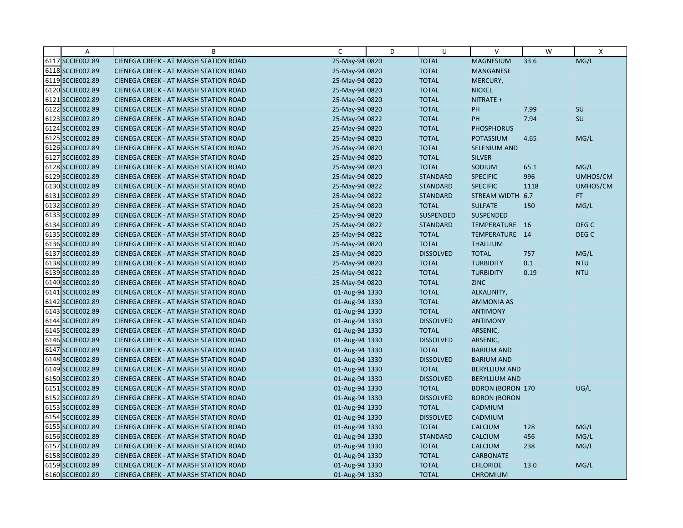| $\overline{A}$   | B                                            | $\mathsf{C}$   | D | U                | $\vee$                  | W    | X          |
|------------------|----------------------------------------------|----------------|---|------------------|-------------------------|------|------------|
| 6117 SCCIE002.89 | CIENEGA CREEK - AT MARSH STATION ROAD        | 25-May-94 0820 |   | <b>TOTAL</b>     | <b>MAGNESIUM</b>        | 33.6 | MG/L       |
| 6118 SCCIE002.89 | CIENEGA CREEK - AT MARSH STATION ROAD        | 25-May-94 0820 |   | <b>TOTAL</b>     | MANGANESE               |      |            |
| 6119 SCCIE002.89 | <b>CIENEGA CREEK - AT MARSH STATION ROAD</b> | 25-May-94 0820 |   | <b>TOTAL</b>     | MERCURY,                |      |            |
| 6120 SCCIE002.89 | <b>CIENEGA CREEK - AT MARSH STATION ROAD</b> | 25-May-94 0820 |   | <b>TOTAL</b>     | <b>NICKEL</b>           |      |            |
| 6121 SCCIE002.89 | CIENEGA CREEK - AT MARSH STATION ROAD        | 25-May-94 0820 |   | <b>TOTAL</b>     | NITRATE +               |      |            |
| 6122 SCCIE002.89 | <b>CIENEGA CREEK - AT MARSH STATION ROAD</b> | 25-May-94 0820 |   | <b>TOTAL</b>     | PH                      | 7.99 | SU         |
| 6123 SCCIE002.89 | <b>CIENEGA CREEK - AT MARSH STATION ROAD</b> | 25-May-94 0822 |   | <b>TOTAL</b>     | PH                      | 7.94 | SU         |
| 6124 SCCIE002.89 | <b>CIENEGA CREEK - AT MARSH STATION ROAD</b> | 25-May-94 0820 |   | <b>TOTAL</b>     | <b>PHOSPHORUS</b>       |      |            |
| 6125 SCCIE002.89 | CIENEGA CREEK - AT MARSH STATION ROAD        | 25-May-94 0820 |   | <b>TOTAL</b>     | POTASSIUM               | 4.65 | MG/L       |
| 6126 SCCIE002.89 | CIENEGA CREEK - AT MARSH STATION ROAD        | 25-May-94 0820 |   | <b>TOTAL</b>     | <b>SELENIUM AND</b>     |      |            |
| 6127 SCCIE002.89 | <b>CIENEGA CREEK - AT MARSH STATION ROAD</b> | 25-May-94 0820 |   | <b>TOTAL</b>     | <b>SILVER</b>           |      |            |
| 6128 SCCIE002.89 | CIENEGA CREEK - AT MARSH STATION ROAD        | 25-May-94 0820 |   | <b>TOTAL</b>     | SODIUM                  | 65.1 | MG/L       |
| 6129 SCCIE002.89 | CIENEGA CREEK - AT MARSH STATION ROAD        | 25-May-94 0820 |   | <b>STANDARD</b>  | <b>SPECIFIC</b>         | 996  | UMHOS/CM   |
| 6130 SCCIE002.89 | CIENEGA CREEK - AT MARSH STATION ROAD        | 25-May-94 0822 |   | <b>STANDARD</b>  | <b>SPECIFIC</b>         | 1118 | UMHOS/CM   |
| 6131 SCCIE002.89 | <b>CIENEGA CREEK - AT MARSH STATION ROAD</b> | 25-May-94 0822 |   | <b>STANDARD</b>  | STREAM WIDTH 6.7        |      | FT.        |
| 6132 SCCIE002.89 | CIENEGA CREEK - AT MARSH STATION ROAD        | 25-May-94 0820 |   | <b>TOTAL</b>     | <b>SULFATE</b>          | 150  | MG/L       |
| 6133 SCCIE002.89 | CIENEGA CREEK - AT MARSH STATION ROAD        | 25-May-94 0820 |   | <b>SUSPENDED</b> | SUSPENDED               |      |            |
| 6134 SCCIE002.89 | CIENEGA CREEK - AT MARSH STATION ROAD        | 25-May-94 0822 |   | <b>STANDARD</b>  | TEMPERATURE 16          |      | DEG C      |
| 6135 SCCIE002.89 | <b>CIENEGA CREEK - AT MARSH STATION ROAD</b> | 25-May-94 0822 |   | <b>TOTAL</b>     | TEMPERATURE 14          |      | DEG C      |
| 6136 SCCIE002.89 | CIENEGA CREEK - AT MARSH STATION ROAD        | 25-May-94 0820 |   | <b>TOTAL</b>     | <b>THALLIUM</b>         |      |            |
| 6137 SCCIE002.89 | CIENEGA CREEK - AT MARSH STATION ROAD        | 25-May-94 0820 |   | <b>DISSOLVED</b> | <b>TOTAL</b>            | 757  | MG/L       |
| 6138 SCCIE002.89 | CIENEGA CREEK - AT MARSH STATION ROAD        | 25-May-94 0820 |   | <b>TOTAL</b>     | <b>TURBIDITY</b>        | 0.1  | <b>NTU</b> |
| 6139 SCCIE002.89 | CIENEGA CREEK - AT MARSH STATION ROAD        | 25-May-94 0822 |   | <b>TOTAL</b>     | <b>TURBIDITY</b>        | 0.19 | <b>NTU</b> |
| 6140 SCCIE002.89 | <b>CIENEGA CREEK - AT MARSH STATION ROAD</b> | 25-May-94 0820 |   | <b>TOTAL</b>     | <b>ZINC</b>             |      |            |
| 6141 SCCIE002.89 | CIENEGA CREEK - AT MARSH STATION ROAD        | 01-Aug-94 1330 |   | <b>TOTAL</b>     | ALKALINITY,             |      |            |
| 6142 SCCIE002.89 | CIENEGA CREEK - AT MARSH STATION ROAD        | 01-Aug-94 1330 |   | <b>TOTAL</b>     | <b>AMMONIA AS</b>       |      |            |
| 6143 SCCIE002.89 | CIENEGA CREEK - AT MARSH STATION ROAD        | 01-Aug-94 1330 |   | <b>TOTAL</b>     | <b>ANTIMONY</b>         |      |            |
| 6144 SCCIE002.89 | CIENEGA CREEK - AT MARSH STATION ROAD        | 01-Aug-94 1330 |   | <b>DISSOLVED</b> | <b>ANTIMONY</b>         |      |            |
| 6145 SCCIE002.89 | CIENEGA CREEK - AT MARSH STATION ROAD        | 01-Aug-94 1330 |   | <b>TOTAL</b>     | ARSENIC,                |      |            |
| 6146 SCCIE002.89 | <b>CIENEGA CREEK - AT MARSH STATION ROAD</b> | 01-Aug-94 1330 |   | <b>DISSOLVED</b> | ARSENIC,                |      |            |
| 6147 SCCIE002.89 | CIENEGA CREEK - AT MARSH STATION ROAD        | 01-Aug-94 1330 |   | <b>TOTAL</b>     | <b>BARIUM AND</b>       |      |            |
| 6148 SCCIE002.89 | <b>CIENEGA CREEK - AT MARSH STATION ROAD</b> | 01-Aug-94 1330 |   | <b>DISSOLVED</b> | <b>BARIUM AND</b>       |      |            |
| 6149 SCCIE002.89 | CIENEGA CREEK - AT MARSH STATION ROAD        | 01-Aug-94 1330 |   | <b>TOTAL</b>     | <b>BERYLLIUM AND</b>    |      |            |
| 6150 SCCIE002.89 | <b>CIENEGA CREEK - AT MARSH STATION ROAD</b> | 01-Aug-94 1330 |   | <b>DISSOLVED</b> | <b>BERYLLIUM AND</b>    |      |            |
| 6151 SCCIE002.89 | CIENEGA CREEK - AT MARSH STATION ROAD        | 01-Aug-94 1330 |   | <b>TOTAL</b>     | <b>BORON (BORON 170</b> |      | UG/L       |
| 6152 SCCIE002.89 | <b>CIENEGA CREEK - AT MARSH STATION ROAD</b> | 01-Aug-94 1330 |   | <b>DISSOLVED</b> | <b>BORON (BORON</b>     |      |            |
| 6153 SCCIE002.89 | <b>CIENEGA CREEK - AT MARSH STATION ROAD</b> | 01-Aug-94 1330 |   | <b>TOTAL</b>     | CADMIUM                 |      |            |
| 6154 SCCIE002.89 | CIENEGA CREEK - AT MARSH STATION ROAD        | 01-Aug-94 1330 |   | <b>DISSOLVED</b> | CADMIUM                 |      |            |
| 6155 SCCIE002.89 | CIENEGA CREEK - AT MARSH STATION ROAD        | 01-Aug-94 1330 |   | <b>TOTAL</b>     | <b>CALCIUM</b>          | 128  | MG/L       |
| 6156 SCCIE002.89 | <b>CIENEGA CREEK - AT MARSH STATION ROAD</b> | 01-Aug-94 1330 |   | <b>STANDARD</b>  | <b>CALCIUM</b>          | 456  | MG/L       |
| 6157 SCCIE002.89 | <b>CIENEGA CREEK - AT MARSH STATION ROAD</b> | 01-Aug-94 1330 |   | <b>TOTAL</b>     | <b>CALCIUM</b>          | 238  | MG/L       |
| 6158 SCCIE002.89 | CIENEGA CREEK - AT MARSH STATION ROAD        | 01-Aug-94 1330 |   | <b>TOTAL</b>     | <b>CARBONATE</b>        |      |            |
| 6159 SCCIE002.89 | CIENEGA CREEK - AT MARSH STATION ROAD        | 01-Aug-94 1330 |   | <b>TOTAL</b>     | <b>CHLORIDE</b>         | 13.0 | MG/L       |
| 6160 SCCIE002.89 | CIENEGA CREEK - AT MARSH STATION ROAD        | 01-Aug-94 1330 |   | <b>TOTAL</b>     | <b>CHROMIUM</b>         |      |            |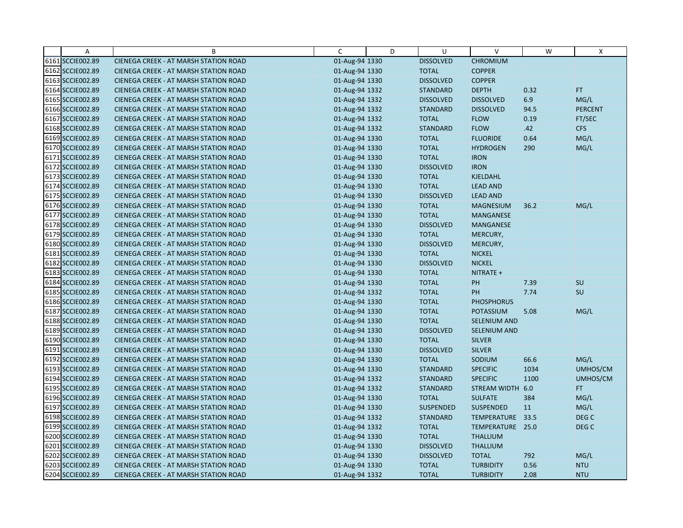| $\overline{A}$   | B                                            | C              | D | U                | $\vee$              | W    | X                |
|------------------|----------------------------------------------|----------------|---|------------------|---------------------|------|------------------|
| 6161 SCCIE002.89 | CIENEGA CREEK - AT MARSH STATION ROAD        | 01-Aug-94 1330 |   | <b>DISSOLVED</b> | <b>CHROMIUM</b>     |      |                  |
| 6162 SCCIE002.89 | CIENEGA CREEK - AT MARSH STATION ROAD        | 01-Aug-94 1330 |   | <b>TOTAL</b>     | <b>COPPER</b>       |      |                  |
| 6163 SCCIE002.89 | <b>CIENEGA CREEK - AT MARSH STATION ROAD</b> | 01-Aug-94 1330 |   | <b>DISSOLVED</b> | <b>COPPER</b>       |      |                  |
| 6164 SCCIE002.89 | <b>CIENEGA CREEK - AT MARSH STATION ROAD</b> | 01-Aug-94 1332 |   | <b>STANDARD</b>  | <b>DEPTH</b>        | 0.32 | <b>FT</b>        |
| 6165 SCCIE002.89 | <b>CIENEGA CREEK - AT MARSH STATION ROAD</b> | 01-Aug-94 1332 |   | <b>DISSOLVED</b> | <b>DISSOLVED</b>    | 6.9  | MG/L             |
| 6166 SCCIE002.89 | <b>CIENEGA CREEK - AT MARSH STATION ROAD</b> | 01-Aug-94 1332 |   | <b>STANDARD</b>  | <b>DISSOLVED</b>    | 94.5 | <b>PERCENT</b>   |
| 6167 SCCIE002.89 | <b>CIENEGA CREEK - AT MARSH STATION ROAD</b> | 01-Aug-94 1332 |   | <b>TOTAL</b>     | <b>FLOW</b>         | 0.19 | FT/SEC           |
| 6168 SCCIE002.89 | <b>CIENEGA CREEK - AT MARSH STATION ROAD</b> | 01-Aug-94 1332 |   | <b>STANDARD</b>  | <b>FLOW</b>         | .42  | <b>CFS</b>       |
| 6169 SCCIE002.89 | CIENEGA CREEK - AT MARSH STATION ROAD        | 01-Aug-94 1330 |   | <b>TOTAL</b>     | <b>FLUORIDE</b>     | 0.64 | MG/L             |
| 6170 SCCIE002.89 | <b>CIENEGA CREEK - AT MARSH STATION ROAD</b> | 01-Aug-94 1330 |   | <b>TOTAL</b>     | <b>HYDROGEN</b>     | 290  | MG/L             |
| 6171 SCCIE002.89 | <b>CIENEGA CREEK - AT MARSH STATION ROAD</b> | 01-Aug-94 1330 |   | <b>TOTAL</b>     | <b>IRON</b>         |      |                  |
| 6172 SCCIE002.89 | CIENEGA CREEK - AT MARSH STATION ROAD        | 01-Aug-94 1330 |   | <b>DISSOLVED</b> | <b>IRON</b>         |      |                  |
| 6173 SCCIE002.89 | CIENEGA CREEK - AT MARSH STATION ROAD        | 01-Aug-94 1330 |   | <b>TOTAL</b>     | KJELDAHL            |      |                  |
| 6174 SCCIE002.89 | <b>CIENEGA CREEK - AT MARSH STATION ROAD</b> | 01-Aug-94 1330 |   | <b>TOTAL</b>     | <b>LEAD AND</b>     |      |                  |
| 6175 SCCIE002.89 | <b>CIENEGA CREEK - AT MARSH STATION ROAD</b> | 01-Aug-94 1330 |   | <b>DISSOLVED</b> | <b>LEAD AND</b>     |      |                  |
| 6176 SCCIE002.89 | CIENEGA CREEK - AT MARSH STATION ROAD        | 01-Aug-94 1330 |   | <b>TOTAL</b>     | <b>MAGNESIUM</b>    | 36.2 | MG/L             |
| 6177 SCCIE002.89 | CIENEGA CREEK - AT MARSH STATION ROAD        | 01-Aug-94 1330 |   | <b>TOTAL</b>     | <b>MANGANESE</b>    |      |                  |
| 6178 SCCIE002.89 | CIENEGA CREEK - AT MARSH STATION ROAD        | 01-Aug-94 1330 |   | <b>DISSOLVED</b> | <b>MANGANESE</b>    |      |                  |
| 6179 SCCIE002.89 | <b>CIENEGA CREEK - AT MARSH STATION ROAD</b> | 01-Aug-94 1330 |   | <b>TOTAL</b>     | MERCURY,            |      |                  |
| 6180 SCCIE002.89 | <b>CIENEGA CREEK - AT MARSH STATION ROAD</b> | 01-Aug-94 1330 |   | <b>DISSOLVED</b> | MERCURY,            |      |                  |
| 6181 SCCIE002.89 | <b>CIENEGA CREEK - AT MARSH STATION ROAD</b> | 01-Aug-94 1330 |   | <b>TOTAL</b>     | <b>NICKEL</b>       |      |                  |
| 6182 SCCIE002.89 | <b>CIENEGA CREEK - AT MARSH STATION ROAD</b> | 01-Aug-94 1330 |   | <b>DISSOLVED</b> | <b>NICKEL</b>       |      |                  |
| 6183 SCCIE002.89 | CIENEGA CREEK - AT MARSH STATION ROAD        | 01-Aug-94 1330 |   | <b>TOTAL</b>     | NITRATE +           |      |                  |
| 6184 SCCIE002.89 | <b>CIENEGA CREEK - AT MARSH STATION ROAD</b> | 01-Aug-94 1330 |   | <b>TOTAL</b>     | PH                  | 7.39 | SU               |
| 6185 SCCIE002.89 | CIENEGA CREEK - AT MARSH STATION ROAD        | 01-Aug-94 1332 |   | <b>TOTAL</b>     | PH                  | 7.74 | SU               |
| 6186 SCCIE002.89 | CIENEGA CREEK - AT MARSH STATION ROAD        | 01-Aug-94 1330 |   | <b>TOTAL</b>     | <b>PHOSPHORUS</b>   |      |                  |
| 6187 SCCIE002.89 | CIENEGA CREEK - AT MARSH STATION ROAD        | 01-Aug-94 1330 |   | <b>TOTAL</b>     | <b>POTASSIUM</b>    | 5.08 | MG/L             |
| 6188 SCCIE002.89 | CIENEGA CREEK - AT MARSH STATION ROAD        | 01-Aug-94 1330 |   | <b>TOTAL</b>     | <b>SELENIUM AND</b> |      |                  |
| 6189 SCCIE002.89 | <b>CIENEGA CREEK - AT MARSH STATION ROAD</b> | 01-Aug-94 1330 |   | <b>DISSOLVED</b> | <b>SELENIUM AND</b> |      |                  |
| 6190 SCCIE002.89 | <b>CIENEGA CREEK - AT MARSH STATION ROAD</b> | 01-Aug-94 1330 |   | <b>TOTAL</b>     | <b>SILVER</b>       |      |                  |
| 6191 SCCIE002.89 | CIENEGA CREEK - AT MARSH STATION ROAD        | 01-Aug-94 1330 |   | <b>DISSOLVED</b> | <b>SILVER</b>       |      |                  |
| 6192 SCCIE002.89 | <b>CIENEGA CREEK - AT MARSH STATION ROAD</b> | 01-Aug-94 1330 |   | <b>TOTAL</b>     | SODIUM              | 66.6 | MG/L             |
| 6193 SCCIE002.89 | <b>CIENEGA CREEK - AT MARSH STATION ROAD</b> | 01-Aug-94 1330 |   | <b>STANDARD</b>  | <b>SPECIFIC</b>     | 1034 | UMHOS/CM         |
| 6194 SCCIE002.89 | <b>CIENEGA CREEK - AT MARSH STATION ROAD</b> | 01-Aug-94 1332 |   | <b>STANDARD</b>  | <b>SPECIFIC</b>     | 1100 | UMHOS/CM         |
| 6195 SCCIE002.89 | CIENEGA CREEK - AT MARSH STATION ROAD        | 01-Aug-94 1332 |   | <b>STANDARD</b>  | STREAM WIDTH 6.0    |      | FT.              |
| 6196 SCCIE002.89 | <b>CIENEGA CREEK - AT MARSH STATION ROAD</b> | 01-Aug-94 1330 |   | <b>TOTAL</b>     | <b>SULFATE</b>      | 384  | MG/L             |
| 6197 SCCIE002.89 | <b>CIENEGA CREEK - AT MARSH STATION ROAD</b> | 01-Aug-94 1330 |   | <b>SUSPENDED</b> | <b>SUSPENDED</b>    | 11   | MG/L             |
| 6198 SCCIE002.89 | CIENEGA CREEK - AT MARSH STATION ROAD        | 01-Aug-94 1332 |   | <b>STANDARD</b>  | TEMPERATURE         | 33.5 | DEG <sub>C</sub> |
| 6199 SCCIE002.89 | CIENEGA CREEK - AT MARSH STATION ROAD        | 01-Aug-94 1332 |   | <b>TOTAL</b>     | TEMPERATURE 25.0    |      | DEG C            |
| 6200 SCCIE002.89 | <b>CIENEGA CREEK - AT MARSH STATION ROAD</b> | 01-Aug-94 1330 |   | <b>TOTAL</b>     | <b>THALLIUM</b>     |      |                  |
| 6201 SCCIE002.89 | <b>CIENEGA CREEK - AT MARSH STATION ROAD</b> | 01-Aug-94 1330 |   | <b>DISSOLVED</b> | <b>THALLIUM</b>     |      |                  |
| 6202 SCCIE002.89 | CIENEGA CREEK - AT MARSH STATION ROAD        | 01-Aug-94 1330 |   | <b>DISSOLVED</b> | <b>TOTAL</b>        | 792  | MG/L             |
| 6203 SCCIE002.89 | CIENEGA CREEK - AT MARSH STATION ROAD        | 01-Aug-94 1330 |   | <b>TOTAL</b>     | <b>TURBIDITY</b>    | 0.56 | <b>NTU</b>       |
| 6204 SCCIE002.89 | CIENEGA CREEK - AT MARSH STATION ROAD        | 01-Aug-94 1332 |   | <b>TOTAL</b>     | <b>TURBIDITY</b>    | 2.08 | <b>NTU</b>       |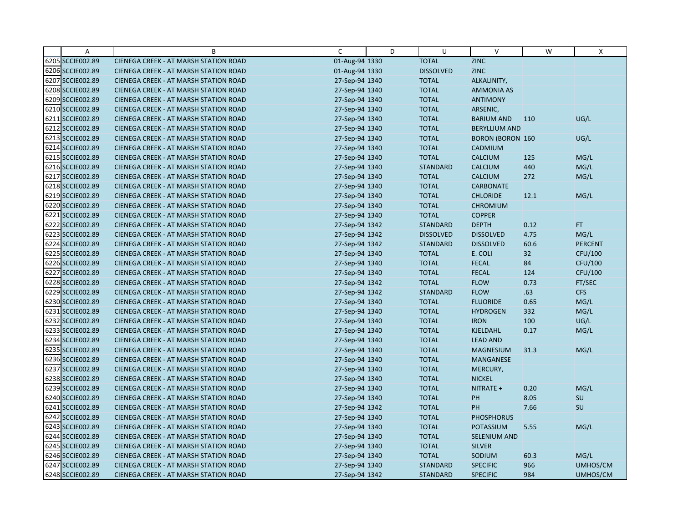| A                | B                                            | C              | D | U                | $\vee$                  | W    | Χ              |
|------------------|----------------------------------------------|----------------|---|------------------|-------------------------|------|----------------|
| 6205 SCCIE002.89 | CIENEGA CREEK - AT MARSH STATION ROAD        | 01-Aug-94 1330 |   | <b>TOTAL</b>     | ZINC                    |      |                |
| 6206 SCCIE002.89 | CIENEGA CREEK - AT MARSH STATION ROAD        | 01-Aug-94 1330 |   | <b>DISSOLVED</b> | ZINC                    |      |                |
| 6207 SCCIE002.89 | <b>CIENEGA CREEK - AT MARSH STATION ROAD</b> | 27-Sep-94 1340 |   | <b>TOTAL</b>     | ALKALINITY,             |      |                |
| 6208 SCCIE002.89 | <b>CIENEGA CREEK - AT MARSH STATION ROAD</b> | 27-Sep-94 1340 |   | <b>TOTAL</b>     | <b>AMMONIA AS</b>       |      |                |
| 6209 SCCIE002.89 | <b>CIENEGA CREEK - AT MARSH STATION ROAD</b> | 27-Sep-94 1340 |   | <b>TOTAL</b>     | <b>ANTIMONY</b>         |      |                |
| 6210 SCCIE002.89 | CIENEGA CREEK - AT MARSH STATION ROAD        | 27-Sep-94 1340 |   | <b>TOTAL</b>     | ARSENIC,                |      |                |
| 6211 SCCIE002.89 | CIENEGA CREEK - AT MARSH STATION ROAD        | 27-Sep-94 1340 |   | <b>TOTAL</b>     | <b>BARIUM AND</b>       | 110  | UG/L           |
| 6212 SCCIE002.89 | CIENEGA CREEK - AT MARSH STATION ROAD        | 27-Sep-94 1340 |   | <b>TOTAL</b>     | <b>BERYLLIUM AND</b>    |      |                |
| 6213 SCCIE002.89 | CIENEGA CREEK - AT MARSH STATION ROAD        | 27-Sep-94 1340 |   | <b>TOTAL</b>     | <b>BORON (BORON 160</b> |      | UG/L           |
| 6214 SCCIE002.89 | CIENEGA CREEK - AT MARSH STATION ROAD        | 27-Sep-94 1340 |   | <b>TOTAL</b>     | CADMIUM                 |      |                |
| 6215 SCCIE002.89 | <b>CIENEGA CREEK - AT MARSH STATION ROAD</b> | 27-Sep-94 1340 |   | <b>TOTAL</b>     | <b>CALCIUM</b>          | 125  | MG/L           |
| 6216 SCCIE002.89 | CIENEGA CREEK - AT MARSH STATION ROAD        | 27-Sep-94 1340 |   | <b>STANDARD</b>  | <b>CALCIUM</b>          | 440  | MG/L           |
| 6217 SCCIE002.89 | CIENEGA CREEK - AT MARSH STATION ROAD        | 27-Sep-94 1340 |   | <b>TOTAL</b>     | <b>CALCIUM</b>          | 272  | MG/L           |
| 6218 SCCIE002.89 | CIENEGA CREEK - AT MARSH STATION ROAD        | 27-Sep-94 1340 |   | <b>TOTAL</b>     | <b>CARBONATE</b>        |      |                |
| 6219 SCCIE002.89 | <b>CIENEGA CREEK - AT MARSH STATION ROAD</b> | 27-Sep-94 1340 |   | <b>TOTAL</b>     | <b>CHLORIDE</b>         | 12.1 | MG/L           |
| 6220 SCCIE002.89 | CIENEGA CREEK - AT MARSH STATION ROAD        | 27-Sep-94 1340 |   | <b>TOTAL</b>     | <b>CHROMIUM</b>         |      |                |
| 6221 SCCIE002.89 | CIENEGA CREEK - AT MARSH STATION ROAD        | 27-Sep-94 1340 |   | <b>TOTAL</b>     | <b>COPPER</b>           |      |                |
| 6222 SCCIE002.89 | CIENEGA CREEK - AT MARSH STATION ROAD        | 27-Sep-94 1342 |   | <b>STANDARD</b>  | <b>DEPTH</b>            | 0.12 | FT.            |
| 6223 SCCIE002.89 | <b>CIENEGA CREEK - AT MARSH STATION ROAD</b> | 27-Sep-94 1342 |   | <b>DISSOLVED</b> | <b>DISSOLVED</b>        | 4.75 | MG/L           |
| 6224 SCCIE002.89 | CIENEGA CREEK - AT MARSH STATION ROAD        | 27-Sep-94 1342 |   | <b>STANDARD</b>  | <b>DISSOLVED</b>        | 60.6 | <b>PERCENT</b> |
| 6225 SCCIE002.89 | <b>CIENEGA CREEK - AT MARSH STATION ROAD</b> | 27-Sep-94 1340 |   | <b>TOTAL</b>     | E. COLI                 | 32   | CFU/100        |
| 6226 SCCIE002.89 | CIENEGA CREEK - AT MARSH STATION ROAD        | 27-Sep-94 1340 |   | <b>TOTAL</b>     | <b>FECAL</b>            | 84   | CFU/100        |
| 6227 SCCIE002.89 | CIENEGA CREEK - AT MARSH STATION ROAD        | 27-Sep-94 1340 |   | <b>TOTAL</b>     | <b>FECAL</b>            | 124  | CFU/100        |
| 6228 SCCIE002.89 | <b>CIENEGA CREEK - AT MARSH STATION ROAD</b> | 27-Sep-94 1342 |   | <b>TOTAL</b>     | <b>FLOW</b>             | 0.73 | FT/SEC         |
| 6229 SCCIE002.89 | CIENEGA CREEK - AT MARSH STATION ROAD        | 27-Sep-94 1342 |   | <b>STANDARD</b>  | <b>FLOW</b>             | .63  | CFS            |
| 6230 SCCIE002.89 | CIENEGA CREEK - AT MARSH STATION ROAD        | 27-Sep-94 1340 |   | <b>TOTAL</b>     | <b>FLUORIDE</b>         | 0.65 | MG/L           |
| 6231 SCCIE002.89 | CIENEGA CREEK - AT MARSH STATION ROAD        | 27-Sep-94 1340 |   | <b>TOTAL</b>     | <b>HYDROGEN</b>         | 332  | MG/L           |
| 6232 SCCIE002.89 | CIENEGA CREEK - AT MARSH STATION ROAD        | 27-Sep-94 1340 |   | <b>TOTAL</b>     | <b>IRON</b>             | 100  | UG/L           |
| 6233 SCCIE002.89 | CIENEGA CREEK - AT MARSH STATION ROAD        | 27-Sep-94 1340 |   | <b>TOTAL</b>     | KJELDAHL                | 0.17 | MG/L           |
| 6234 SCCIE002.89 | <b>CIENEGA CREEK - AT MARSH STATION ROAD</b> | 27-Sep-94 1340 |   | <b>TOTAL</b>     | <b>LEAD AND</b>         |      |                |
| 6235 SCCIE002.89 | CIENEGA CREEK - AT MARSH STATION ROAD        | 27-Sep-94 1340 |   | <b>TOTAL</b>     | <b>MAGNESIUM</b>        | 31.3 | MG/L           |
| 6236 SCCIE002.89 | CIENEGA CREEK - AT MARSH STATION ROAD        | 27-Sep-94 1340 |   | <b>TOTAL</b>     | <b>MANGANESE</b>        |      |                |
| 6237 SCCIE002.89 | CIENEGA CREEK - AT MARSH STATION ROAD        | 27-Sep-94 1340 |   | <b>TOTAL</b>     | MERCURY,                |      |                |
| 6238 SCCIE002.89 | CIENEGA CREEK - AT MARSH STATION ROAD        | 27-Sep-94 1340 |   | <b>TOTAL</b>     | <b>NICKEL</b>           |      |                |
| 6239 SCCIE002.89 | CIENEGA CREEK - AT MARSH STATION ROAD        | 27-Sep-94 1340 |   | <b>TOTAL</b>     | NITRATE +               | 0.20 | MG/L           |
| 6240 SCCIE002.89 | <b>CIENEGA CREEK - AT MARSH STATION ROAD</b> | 27-Sep-94 1340 |   | <b>TOTAL</b>     | PH                      | 8.05 | SU             |
| 6241 SCCIE002.89 | <b>CIENEGA CREEK - AT MARSH STATION ROAD</b> | 27-Sep-94 1342 |   | <b>TOTAL</b>     | PH                      | 7.66 | SU             |
| 6242 SCCIE002.89 | CIENEGA CREEK - AT MARSH STATION ROAD        | 27-Sep-94 1340 |   | <b>TOTAL</b>     | <b>PHOSPHORUS</b>       |      |                |
| 6243 SCCIE002.89 | CIENEGA CREEK - AT MARSH STATION ROAD        | 27-Sep-94 1340 |   | <b>TOTAL</b>     | POTASSIUM               | 5.55 | MG/L           |
| 6244 SCCIE002.89 | <b>CIENEGA CREEK - AT MARSH STATION ROAD</b> | 27-Sep-94 1340 |   | <b>TOTAL</b>     | <b>SELENIUM AND</b>     |      |                |
| 6245 SCCIE002.89 | <b>CIENEGA CREEK - AT MARSH STATION ROAD</b> | 27-Sep-94 1340 |   | <b>TOTAL</b>     | <b>SILVER</b>           |      |                |
| 6246 SCCIE002.89 | CIENEGA CREEK - AT MARSH STATION ROAD        | 27-Sep-94 1340 |   | <b>TOTAL</b>     | SODIUM                  | 60.3 | MG/L           |
| 6247 SCCIE002.89 | CIENEGA CREEK - AT MARSH STATION ROAD        | 27-Sep-94 1340 |   | <b>STANDARD</b>  | <b>SPECIFIC</b>         | 966  | UMHOS/CM       |
| 6248 SCCIE002.89 | CIENEGA CREEK - AT MARSH STATION ROAD        | 27-Sep-94 1342 |   | <b>STANDARD</b>  | <b>SPECIFIC</b>         | 984  | UMHOS/CM       |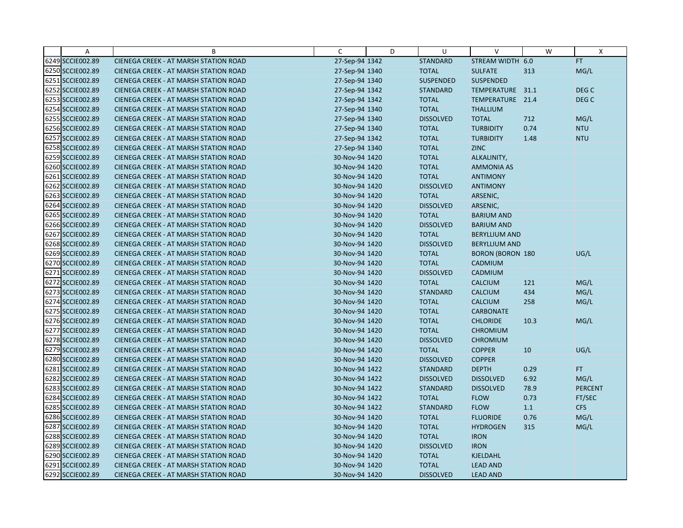| Α                | B                                            | C              | D | U                | $\vee$                  | W         | Χ                |
|------------------|----------------------------------------------|----------------|---|------------------|-------------------------|-----------|------------------|
| 6249 SCCIE002.89 | CIENEGA CREEK - AT MARSH STATION ROAD        | 27-Sep-94 1342 |   | <b>STANDARD</b>  | STREAM WIDTH 6.0        |           | FT.              |
| 6250 SCCIE002.89 | CIENEGA CREEK - AT MARSH STATION ROAD        | 27-Sep-94 1340 |   | <b>TOTAL</b>     | <b>SULFATE</b>          | 313       | MG/L             |
| 6251 SCCIE002.89 | <b>CIENEGA CREEK - AT MARSH STATION ROAD</b> | 27-Sep-94 1340 |   | <b>SUSPENDED</b> | <b>SUSPENDED</b>        |           |                  |
| 6252 SCCIE002.89 | <b>CIENEGA CREEK - AT MARSH STATION ROAD</b> | 27-Sep-94 1342 |   | <b>STANDARD</b>  | TEMPERATURE 31.1        |           | DEG C            |
| 6253 SCCIE002.89 | CIENEGA CREEK - AT MARSH STATION ROAD        | 27-Sep-94 1342 |   | <b>TOTAL</b>     | TEMPERATURE 21.4        |           | DEG <sub>C</sub> |
| 6254 SCCIE002.89 | <b>CIENEGA CREEK - AT MARSH STATION ROAD</b> | 27-Sep-94 1340 |   | <b>TOTAL</b>     | <b>THALLIUM</b>         |           |                  |
| 6255 SCCIE002.89 | <b>CIENEGA CREEK - AT MARSH STATION ROAD</b> | 27-Sep-94 1340 |   | <b>DISSOLVED</b> | <b>TOTAL</b>            | 712       | MG/L             |
| 6256 SCCIE002.89 | CIENEGA CREEK - AT MARSH STATION ROAD        | 27-Sep-94 1340 |   | <b>TOTAL</b>     | <b>TURBIDITY</b>        | 0.74      | <b>NTU</b>       |
| 6257 SCCIE002.89 | CIENEGA CREEK - AT MARSH STATION ROAD        | 27-Sep-94 1342 |   | <b>TOTAL</b>     | <b>TURBIDITY</b>        | 1.48      | <b>NTU</b>       |
| 6258 SCCIE002.89 | <b>CIENEGA CREEK - AT MARSH STATION ROAD</b> | 27-Sep-94 1340 |   | <b>TOTAL</b>     | <b>ZINC</b>             |           |                  |
| 6259 SCCIE002.89 | <b>CIENEGA CREEK - AT MARSH STATION ROAD</b> | 30-Nov-94 1420 |   | <b>TOTAL</b>     | ALKALINITY,             |           |                  |
| 6260 SCCIE002.89 | CIENEGA CREEK - AT MARSH STATION ROAD        | 30-Nov-94 1420 |   | <b>TOTAL</b>     | <b>AMMONIA AS</b>       |           |                  |
| 6261 SCCIE002.89 | CIENEGA CREEK - AT MARSH STATION ROAD        | 30-Nov-94 1420 |   | <b>TOTAL</b>     | <b>ANTIMONY</b>         |           |                  |
| 6262 SCCIE002.89 | <b>CIENEGA CREEK - AT MARSH STATION ROAD</b> | 30-Nov-94 1420 |   | <b>DISSOLVED</b> | <b>ANTIMONY</b>         |           |                  |
| 6263 SCCIE002.89 | <b>CIENEGA CREEK - AT MARSH STATION ROAD</b> | 30-Nov-94 1420 |   | <b>TOTAL</b>     | ARSENIC,                |           |                  |
| 6264 SCCIE002.89 | CIENEGA CREEK - AT MARSH STATION ROAD        | 30-Nov-94 1420 |   | <b>DISSOLVED</b> | ARSENIC,                |           |                  |
| 6265 SCCIE002.89 | CIENEGA CREEK - AT MARSH STATION ROAD        | 30-Nov-94 1420 |   | <b>TOTAL</b>     | <b>BARIUM AND</b>       |           |                  |
| 6266 SCCIE002.89 | <b>CIENEGA CREEK - AT MARSH STATION ROAD</b> | 30-Nov-94 1420 |   | <b>DISSOLVED</b> | <b>BARIUM AND</b>       |           |                  |
| 6267 SCCIE002.89 | <b>CIENEGA CREEK - AT MARSH STATION ROAD</b> | 30-Nov-94 1420 |   | <b>TOTAL</b>     | <b>BERYLLIUM AND</b>    |           |                  |
| 6268 SCCIE002.89 | <b>CIENEGA CREEK - AT MARSH STATION ROAD</b> | 30-Nov-94 1420 |   | <b>DISSOLVED</b> | <b>BERYLLIUM AND</b>    |           |                  |
| 6269 SCCIE002.89 | <b>CIENEGA CREEK - AT MARSH STATION ROAD</b> | 30-Nov-94 1420 |   | <b>TOTAL</b>     | <b>BORON (BORON 180</b> |           | UG/L             |
| 6270 SCCIE002.89 | <b>CIENEGA CREEK - AT MARSH STATION ROAD</b> | 30-Nov-94 1420 |   | <b>TOTAL</b>     | <b>CADMIUM</b>          |           |                  |
| 6271 SCCIE002.89 | CIENEGA CREEK - AT MARSH STATION ROAD        | 30-Nov-94 1420 |   | <b>DISSOLVED</b> | CADMIUM                 |           |                  |
| 6272 SCCIE002.89 | <b>CIENEGA CREEK - AT MARSH STATION ROAD</b> | 30-Nov-94 1420 |   | <b>TOTAL</b>     | <b>CALCIUM</b>          | 121       | MG/L             |
| 6273 SCCIE002.89 | CIENEGA CREEK - AT MARSH STATION ROAD        | 30-Nov-94 1420 |   | <b>STANDARD</b>  | <b>CALCIUM</b>          | 434       | MG/L             |
| 6274 SCCIE002.89 | CIENEGA CREEK - AT MARSH STATION ROAD        | 30-Nov-94 1420 |   | <b>TOTAL</b>     | <b>CALCIUM</b>          | 258       | MG/L             |
| 6275 SCCIE002.89 | CIENEGA CREEK - AT MARSH STATION ROAD        | 30-Nov-94 1420 |   | <b>TOTAL</b>     | <b>CARBONATE</b>        |           |                  |
| 6276 SCCIE002.89 | CIENEGA CREEK - AT MARSH STATION ROAD        | 30-Nov-94 1420 |   | <b>TOTAL</b>     | <b>CHLORIDE</b>         | 10.3      | MG/L             |
| 6277 SCCIE002.89 | <b>CIENEGA CREEK - AT MARSH STATION ROAD</b> | 30-Nov-94 1420 |   | <b>TOTAL</b>     | <b>CHROMIUM</b>         |           |                  |
| 6278 SCCIE002.89 | <b>CIENEGA CREEK - AT MARSH STATION ROAD</b> | 30-Nov-94 1420 |   | <b>DISSOLVED</b> | <b>CHROMIUM</b>         |           |                  |
| 6279 SCCIE002.89 | CIENEGA CREEK - AT MARSH STATION ROAD        | 30-Nov-94 1420 |   | <b>TOTAL</b>     | <b>COPPER</b>           | <b>10</b> | UG/L             |
| 6280 SCCIE002.89 | <b>CIENEGA CREEK - AT MARSH STATION ROAD</b> | 30-Nov-94 1420 |   | <b>DISSOLVED</b> | <b>COPPER</b>           |           |                  |
| 6281 SCCIE002.89 | <b>CIENEGA CREEK - AT MARSH STATION ROAD</b> | 30-Nov-94 1422 |   | <b>STANDARD</b>  | <b>DEPTH</b>            | 0.29      | FT.              |
| 6282 SCCIE002.89 | CIENEGA CREEK - AT MARSH STATION ROAD        | 30-Nov-94 1422 |   | <b>DISSOLVED</b> | <b>DISSOLVED</b>        | 6.92      | MG/L             |
| 6283 SCCIE002.89 | <b>CIENEGA CREEK - AT MARSH STATION ROAD</b> | 30-Nov-94 1422 |   | <b>STANDARD</b>  | <b>DISSOLVED</b>        | 78.9      | <b>PERCENT</b>   |
| 6284 SCCIE002.89 | <b>CIENEGA CREEK - AT MARSH STATION ROAD</b> | 30-Nov-94 1422 |   | <b>TOTAL</b>     | <b>FLOW</b>             | 0.73      | FT/SEC           |
| 6285 SCCIE002.89 | <b>CIENEGA CREEK - AT MARSH STATION ROAD</b> | 30-Nov-94 1422 |   | <b>STANDARD</b>  | <b>FLOW</b>             | 1.1       | <b>CFS</b>       |
| 6286 SCCIE002.89 | CIENEGA CREEK - AT MARSH STATION ROAD        | 30-Nov-94 1420 |   | <b>TOTAL</b>     | <b>FLUORIDE</b>         | 0.76      | MG/L             |
| 6287 SCCIE002.89 | <b>CIENEGA CREEK - AT MARSH STATION ROAD</b> | 30-Nov-94 1420 |   | <b>TOTAL</b>     | <b>HYDROGEN</b>         | 315       | MG/L             |
| 6288 SCCIE002.89 | <b>CIENEGA CREEK - AT MARSH STATION ROAD</b> | 30-Nov-94 1420 |   | <b>TOTAL</b>     | <b>IRON</b>             |           |                  |
| 6289 SCCIE002.89 | <b>CIENEGA CREEK - AT MARSH STATION ROAD</b> | 30-Nov-94 1420 |   | <b>DISSOLVED</b> | <b>IRON</b>             |           |                  |
| 6290 SCCIE002.89 | <b>CIENEGA CREEK - AT MARSH STATION ROAD</b> | 30-Nov-94 1420 |   | <b>TOTAL</b>     | <b>KJELDAHL</b>         |           |                  |
| 6291 SCCIE002.89 | CIENEGA CREEK - AT MARSH STATION ROAD        | 30-Nov-94 1420 |   | <b>TOTAL</b>     | <b>LEAD AND</b>         |           |                  |
| 6292 SCCIE002.89 | CIENEGA CREEK - AT MARSH STATION ROAD        | 30-Nov-94 1420 |   | <b>DISSOLVED</b> | <b>LEAD AND</b>         |           |                  |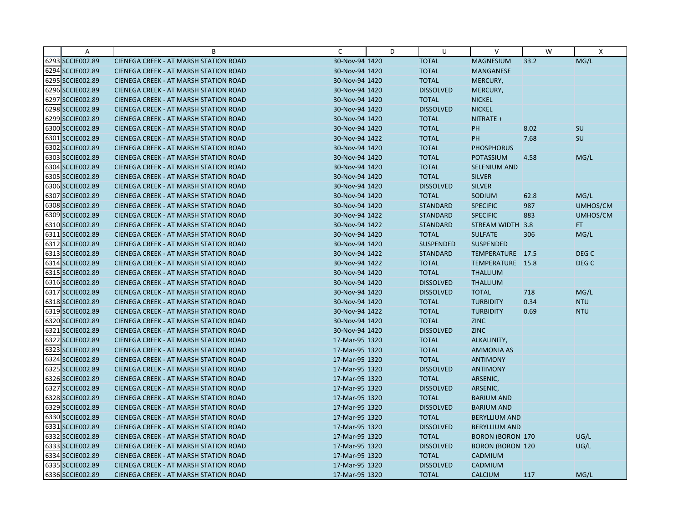| A                | B                                            | C              | D | U                | $\vee$                  | W    | Χ                |
|------------------|----------------------------------------------|----------------|---|------------------|-------------------------|------|------------------|
| 6293 SCCIE002.89 | CIENEGA CREEK - AT MARSH STATION ROAD        | 30-Nov-94 1420 |   | <b>TOTAL</b>     | <b>MAGNESIUM</b>        | 33.2 | MG/L             |
| 6294 SCCIE002.89 | <b>CIENEGA CREEK - AT MARSH STATION ROAD</b> | 30-Nov-94 1420 |   | <b>TOTAL</b>     | <b>MANGANESE</b>        |      |                  |
| 6295 SCCIE002.89 | <b>CIENEGA CREEK - AT MARSH STATION ROAD</b> | 30-Nov-94 1420 |   | <b>TOTAL</b>     | MERCURY,                |      |                  |
| 6296 SCCIE002.89 | <b>CIENEGA CREEK - AT MARSH STATION ROAD</b> | 30-Nov-94 1420 |   | <b>DISSOLVED</b> | MERCURY,                |      |                  |
| 6297 SCCIE002.89 | <b>CIENEGA CREEK - AT MARSH STATION ROAD</b> | 30-Nov-94 1420 |   | <b>TOTAL</b>     | <b>NICKEL</b>           |      |                  |
| 6298 SCCIE002.89 | <b>CIENEGA CREEK - AT MARSH STATION ROAD</b> | 30-Nov-94 1420 |   | <b>DISSOLVED</b> | <b>NICKEL</b>           |      |                  |
| 6299 SCCIE002.89 | CIENEGA CREEK - AT MARSH STATION ROAD        | 30-Nov-94 1420 |   | <b>TOTAL</b>     | NITRATE +               |      |                  |
| 6300 SCCIE002.89 | CIENEGA CREEK - AT MARSH STATION ROAD        | 30-Nov-94 1420 |   | <b>TOTAL</b>     | <b>PH</b>               | 8.02 | <b>SU</b>        |
| 6301 SCCIE002.89 | CIENEGA CREEK - AT MARSH STATION ROAD        | 30-Nov-94 1422 |   | <b>TOTAL</b>     | PH                      | 7.68 | SU               |
| 6302 SCCIE002.89 | <b>CIENEGA CREEK - AT MARSH STATION ROAD</b> | 30-Nov-94 1420 |   | <b>TOTAL</b>     | <b>PHOSPHORUS</b>       |      |                  |
| 6303 SCCIE002.89 | <b>CIENEGA CREEK - AT MARSH STATION ROAD</b> | 30-Nov-94 1420 |   | <b>TOTAL</b>     | POTASSIUM               | 4.58 | MG/L             |
| 6304 SCCIE002.89 | CIENEGA CREEK - AT MARSH STATION ROAD        | 30-Nov-94 1420 |   | <b>TOTAL</b>     | <b>SELENIUM AND</b>     |      |                  |
| 6305 SCCIE002.89 | <b>CIENEGA CREEK - AT MARSH STATION ROAD</b> | 30-Nov-94 1420 |   | <b>TOTAL</b>     | <b>SILVER</b>           |      |                  |
| 6306 SCCIE002.89 | <b>CIENEGA CREEK - AT MARSH STATION ROAD</b> | 30-Nov-94 1420 |   | <b>DISSOLVED</b> | <b>SILVER</b>           |      |                  |
| 6307 SCCIE002.89 | <b>CIENEGA CREEK - AT MARSH STATION ROAD</b> | 30-Nov-94 1420 |   | <b>TOTAL</b>     | SODIUM                  | 62.8 | MG/L             |
| 6308 SCCIE002.89 | CIENEGA CREEK - AT MARSH STATION ROAD        | 30-Nov-94 1420 |   | <b>STANDARD</b>  | <b>SPECIFIC</b>         | 987  | UMHOS/CM         |
| 6309 SCCIE002.89 | CIENEGA CREEK - AT MARSH STATION ROAD        | 30-Nov-94 1422 |   | <b>STANDARD</b>  | <b>SPECIFIC</b>         | 883  | UMHOS/CM         |
| 6310 SCCIE002.89 | <b>CIENEGA CREEK - AT MARSH STATION ROAD</b> | 30-Nov-94 1422 |   | <b>STANDARD</b>  | STREAM WIDTH 3.8        |      | FT.              |
| 6311 SCCIE002.89 | <b>CIENEGA CREEK - AT MARSH STATION ROAD</b> | 30-Nov-94 1420 |   | <b>TOTAL</b>     | <b>SULFATE</b>          | 306  | MG/L             |
| 6312 SCCIE002.89 | CIENEGA CREEK - AT MARSH STATION ROAD        | 30-Nov-94 1420 |   | <b>SUSPENDED</b> | SUSPENDED               |      |                  |
| 6313 SCCIE002.89 | <b>CIENEGA CREEK - AT MARSH STATION ROAD</b> | 30-Nov-94 1422 |   | <b>STANDARD</b>  | TEMPERATURE 17.5        |      | DEG <sub>C</sub> |
| 6314 SCCIE002.89 | <b>CIENEGA CREEK - AT MARSH STATION ROAD</b> | 30-Nov-94 1422 |   | <b>TOTAL</b>     | TEMPERATURE 15.8        |      | DEG C            |
| 6315 SCCIE002.89 | CIENEGA CREEK - AT MARSH STATION ROAD        | 30-Nov-94 1420 |   | <b>TOTAL</b>     | <b>THALLIUM</b>         |      |                  |
| 6316 SCCIE002.89 | <b>CIENEGA CREEK - AT MARSH STATION ROAD</b> | 30-Nov-94 1420 |   | <b>DISSOLVED</b> | <b>THALLIUM</b>         |      |                  |
| 6317 SCCIE002.89 | CIENEGA CREEK - AT MARSH STATION ROAD        | 30-Nov-94 1420 |   | <b>DISSOLVED</b> | <b>TOTAL</b>            | 718  | MG/L             |
| 6318 SCCIE002.89 | CIENEGA CREEK - AT MARSH STATION ROAD        | 30-Nov-94 1420 |   | <b>TOTAL</b>     | <b>TURBIDITY</b>        | 0.34 | <b>NTU</b>       |
| 6319 SCCIE002.89 | CIENEGA CREEK - AT MARSH STATION ROAD        | 30-Nov-94 1422 |   | <b>TOTAL</b>     | <b>TURBIDITY</b>        | 0.69 | <b>NTU</b>       |
| 6320 SCCIE002.89 | CIENEGA CREEK - AT MARSH STATION ROAD        | 30-Nov-94 1420 |   | <b>TOTAL</b>     | <b>ZINC</b>             |      |                  |
| 6321 SCCIE002.89 | <b>CIENEGA CREEK - AT MARSH STATION ROAD</b> | 30-Nov-94 1420 |   | <b>DISSOLVED</b> | <b>ZINC</b>             |      |                  |
| 6322 SCCIE002.89 | <b>CIENEGA CREEK - AT MARSH STATION ROAD</b> | 17-Mar-95 1320 |   | <b>TOTAL</b>     | ALKALINITY,             |      |                  |
| 6323 SCCIE002.89 | CIENEGA CREEK - AT MARSH STATION ROAD        | 17-Mar-95 1320 |   | <b>TOTAL</b>     | <b>AMMONIA AS</b>       |      |                  |
| 6324 SCCIE002.89 | <b>CIENEGA CREEK - AT MARSH STATION ROAD</b> | 17-Mar-95 1320 |   | <b>TOTAL</b>     | <b>ANTIMONY</b>         |      |                  |
| 6325 SCCIE002.89 | <b>CIENEGA CREEK - AT MARSH STATION ROAD</b> | 17-Mar-95 1320 |   | <b>DISSOLVED</b> | <b>ANTIMONY</b>         |      |                  |
| 6326 SCCIE002.89 | <b>CIENEGA CREEK - AT MARSH STATION ROAD</b> | 17-Mar-95 1320 |   | <b>TOTAL</b>     | ARSENIC,                |      |                  |
| 6327 SCCIE002.89 | <b>CIENEGA CREEK - AT MARSH STATION ROAD</b> | 17-Mar-95 1320 |   | <b>DISSOLVED</b> | ARSENIC,                |      |                  |
| 6328 SCCIE002.89 | CIENEGA CREEK - AT MARSH STATION ROAD        | 17-Mar-95 1320 |   | <b>TOTAL</b>     | <b>BARIUM AND</b>       |      |                  |
| 6329 SCCIE002.89 | <b>CIENEGA CREEK - AT MARSH STATION ROAD</b> | 17-Mar-95 1320 |   | <b>DISSOLVED</b> | <b>BARIUM AND</b>       |      |                  |
| 6330 SCCIE002.89 | CIENEGA CREEK - AT MARSH STATION ROAD        | 17-Mar-95 1320 |   | <b>TOTAL</b>     | <b>BERYLLIUM AND</b>    |      |                  |
| 6331 SCCIE002.89 | CIENEGA CREEK - AT MARSH STATION ROAD        | 17-Mar-95 1320 |   | <b>DISSOLVED</b> | <b>BERYLLIUM AND</b>    |      |                  |
| 6332 SCCIE002.89 | <b>CIENEGA CREEK - AT MARSH STATION ROAD</b> | 17-Mar-95 1320 |   | <b>TOTAL</b>     | <b>BORON (BORON 170</b> |      | UG/L             |
| 6333 SCCIE002.89 | <b>CIENEGA CREEK - AT MARSH STATION ROAD</b> | 17-Mar-95 1320 |   | <b>DISSOLVED</b> | <b>BORON (BORON 120</b> |      | UG/L             |
| 6334 SCCIE002.89 | CIENEGA CREEK - AT MARSH STATION ROAD        | 17-Mar-95 1320 |   | <b>TOTAL</b>     | CADMIUM                 |      |                  |
| 6335 SCCIE002.89 | <b>CIENEGA CREEK - AT MARSH STATION ROAD</b> | 17-Mar-95 1320 |   | <b>DISSOLVED</b> | CADMIUM                 |      |                  |
| 6336 SCCIE002.89 | CIENEGA CREEK - AT MARSH STATION ROAD        | 17-Mar-95 1320 |   | <b>TOTAL</b>     | <b>CALCIUM</b>          | 117  | MG/L             |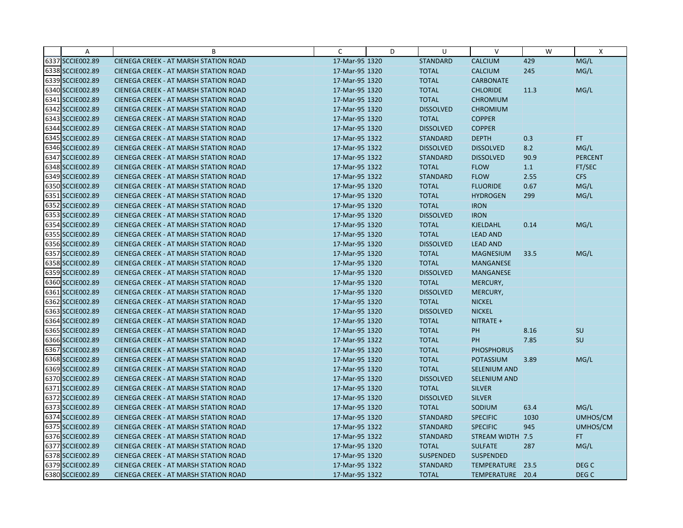| Α                | B                                            | C              | D | U                | $\vee$              | W    | X              |
|------------------|----------------------------------------------|----------------|---|------------------|---------------------|------|----------------|
| 6337 SCCIE002.89 | CIENEGA CREEK - AT MARSH STATION ROAD        | 17-Mar-95 1320 |   | <b>STANDARD</b>  | <b>CALCIUM</b>      | 429  | MG/L           |
| 6338 SCCIE002.89 | CIENEGA CREEK - AT MARSH STATION ROAD        | 17-Mar-95 1320 |   | <b>TOTAL</b>     | <b>CALCIUM</b>      | 245  | MG/L           |
| 6339 SCCIE002.89 | <b>CIENEGA CREEK - AT MARSH STATION ROAD</b> | 17-Mar-95 1320 |   | <b>TOTAL</b>     | <b>CARBONATE</b>    |      |                |
| 6340 SCCIE002.89 | <b>CIENEGA CREEK - AT MARSH STATION ROAD</b> | 17-Mar-95 1320 |   | <b>TOTAL</b>     | <b>CHLORIDE</b>     | 11.3 | MG/L           |
| 6341 SCCIE002.89 | <b>CIENEGA CREEK - AT MARSH STATION ROAD</b> | 17-Mar-95 1320 |   | <b>TOTAL</b>     | <b>CHROMIUM</b>     |      |                |
| 6342 SCCIE002.89 | <b>CIENEGA CREEK - AT MARSH STATION ROAD</b> | 17-Mar-95 1320 |   | <b>DISSOLVED</b> | <b>CHROMIUM</b>     |      |                |
| 6343 SCCIE002.89 | <b>CIENEGA CREEK - AT MARSH STATION ROAD</b> | 17-Mar-95 1320 |   | <b>TOTAL</b>     | <b>COPPER</b>       |      |                |
| 6344 SCCIE002.89 | CIENEGA CREEK - AT MARSH STATION ROAD        | 17-Mar-95 1320 |   | <b>DISSOLVED</b> | <b>COPPER</b>       |      |                |
| 6345 SCCIE002.89 | CIENEGA CREEK - AT MARSH STATION ROAD        | 17-Mar-95 1322 |   | <b>STANDARD</b>  | <b>DEPTH</b>        | 0.3  | FT.            |
| 6346 SCCIE002.89 | <b>CIENEGA CREEK - AT MARSH STATION ROAD</b> | 17-Mar-95 1322 |   | <b>DISSOLVED</b> | <b>DISSOLVED</b>    | 8.2  | MG/L           |
| 6347 SCCIE002.89 | <b>CIENEGA CREEK - AT MARSH STATION ROAD</b> | 17-Mar-95 1322 |   | <b>STANDARD</b>  | <b>DISSOLVED</b>    | 90.9 | <b>PERCENT</b> |
| 6348 SCCIE002.89 | CIENEGA CREEK - AT MARSH STATION ROAD        | 17-Mar-95 1322 |   | <b>TOTAL</b>     | <b>FLOW</b>         | 1.1  | FT/SEC         |
| 6349 SCCIE002.89 | CIENEGA CREEK - AT MARSH STATION ROAD        | 17-Mar-95 1322 |   | <b>STANDARD</b>  | <b>FLOW</b>         | 2.55 | <b>CFS</b>     |
| 6350 SCCIE002.89 | <b>CIENEGA CREEK - AT MARSH STATION ROAD</b> | 17-Mar-95 1320 |   | <b>TOTAL</b>     | <b>FLUORIDE</b>     | 0.67 | MG/L           |
| 6351 SCCIE002.89 | <b>CIENEGA CREEK - AT MARSH STATION ROAD</b> | 17-Mar-95 1320 |   | <b>TOTAL</b>     | <b>HYDROGEN</b>     | 299  | MG/L           |
| 6352 SCCIE002.89 | CIENEGA CREEK - AT MARSH STATION ROAD        | 17-Mar-95 1320 |   | <b>TOTAL</b>     | <b>IRON</b>         |      |                |
| 6353 SCCIE002.89 | CIENEGA CREEK - AT MARSH STATION ROAD        | 17-Mar-95 1320 |   | <b>DISSOLVED</b> | <b>IRON</b>         |      |                |
| 6354 SCCIE002.89 | <b>CIENEGA CREEK - AT MARSH STATION ROAD</b> | 17-Mar-95 1320 |   | <b>TOTAL</b>     | <b>KJELDAHL</b>     | 0.14 | MG/L           |
| 6355 SCCIE002.89 | <b>CIENEGA CREEK - AT MARSH STATION ROAD</b> | 17-Mar-95 1320 |   | <b>TOTAL</b>     | <b>LEAD AND</b>     |      |                |
| 6356 SCCIE002.89 | CIENEGA CREEK - AT MARSH STATION ROAD        | 17-Mar-95 1320 |   | <b>DISSOLVED</b> | <b>LEAD AND</b>     |      |                |
| 6357 SCCIE002.89 | <b>CIENEGA CREEK - AT MARSH STATION ROAD</b> | 17-Mar-95 1320 |   | <b>TOTAL</b>     | <b>MAGNESIUM</b>    | 33.5 | MG/L           |
| 6358 SCCIE002.89 | <b>CIENEGA CREEK - AT MARSH STATION ROAD</b> | 17-Mar-95 1320 |   | <b>TOTAL</b>     | <b>MANGANESE</b>    |      |                |
| 6359 SCCIE002.89 | <b>CIENEGA CREEK - AT MARSH STATION ROAD</b> | 17-Mar-95 1320 |   | <b>DISSOLVED</b> | MANGANESE           |      |                |
| 6360 SCCIE002.89 | <b>CIENEGA CREEK - AT MARSH STATION ROAD</b> | 17-Mar-95 1320 |   | <b>TOTAL</b>     | MERCURY,            |      |                |
| 6361 SCCIE002.89 | CIENEGA CREEK - AT MARSH STATION ROAD        | 17-Mar-95 1320 |   | <b>DISSOLVED</b> | MERCURY,            |      |                |
| 6362 SCCIE002.89 | CIENEGA CREEK - AT MARSH STATION ROAD        | 17-Mar-95 1320 |   | <b>TOTAL</b>     | <b>NICKEL</b>       |      |                |
| 6363 SCCIE002.89 | CIENEGA CREEK - AT MARSH STATION ROAD        | 17-Mar-95 1320 |   | <b>DISSOLVED</b> | <b>NICKEL</b>       |      |                |
| 6364 SCCIE002.89 | CIENEGA CREEK - AT MARSH STATION ROAD        | 17-Mar-95 1320 |   | <b>TOTAL</b>     | NITRATE +           |      |                |
| 6365 SCCIE002.89 | <b>CIENEGA CREEK - AT MARSH STATION ROAD</b> | 17-Mar-95 1320 |   | <b>TOTAL</b>     | PH                  | 8.16 | SU             |
| 6366 SCCIE002.89 | <b>CIENEGA CREEK - AT MARSH STATION ROAD</b> | 17-Mar-95 1322 |   | <b>TOTAL</b>     | <b>PH</b>           | 7.85 | SU             |
| 6367 SCCIE002.89 | CIENEGA CREEK - AT MARSH STATION ROAD        | 17-Mar-95 1320 |   | <b>TOTAL</b>     | <b>PHOSPHORUS</b>   |      |                |
| 6368 SCCIE002.89 | <b>CIENEGA CREEK - AT MARSH STATION ROAD</b> | 17-Mar-95 1320 |   | <b>TOTAL</b>     | <b>POTASSIUM</b>    | 3.89 | MG/L           |
| 6369 SCCIE002.89 | <b>CIENEGA CREEK - AT MARSH STATION ROAD</b> | 17-Mar-95 1320 |   | <b>TOTAL</b>     | <b>SELENIUM AND</b> |      |                |
| 6370 SCCIE002.89 | CIENEGA CREEK - AT MARSH STATION ROAD        | 17-Mar-95 1320 |   | <b>DISSOLVED</b> | <b>SELENIUM AND</b> |      |                |
| 6371 SCCIE002.89 | <b>CIENEGA CREEK - AT MARSH STATION ROAD</b> | 17-Mar-95 1320 |   | <b>TOTAL</b>     | <b>SILVER</b>       |      |                |
| 6372 SCCIE002.89 | <b>CIENEGA CREEK - AT MARSH STATION ROAD</b> | 17-Mar-95 1320 |   | <b>DISSOLVED</b> | <b>SILVER</b>       |      |                |
| 6373 SCCIE002.89 | <b>CIENEGA CREEK - AT MARSH STATION ROAD</b> | 17-Mar-95 1320 |   | <b>TOTAL</b>     | SODIUM              | 63.4 | MG/L           |
| 6374 SCCIE002.89 | CIENEGA CREEK - AT MARSH STATION ROAD        | 17-Mar-95 1320 |   | <b>STANDARD</b>  | <b>SPECIFIC</b>     | 1030 | UMHOS/CM       |
| 6375 SCCIE002.89 | CIENEGA CREEK - AT MARSH STATION ROAD        | 17-Mar-95 1322 |   | <b>STANDARD</b>  | <b>SPECIFIC</b>     | 945  | UMHOS/CM       |
| 6376 SCCIE002.89 | <b>CIENEGA CREEK - AT MARSH STATION ROAD</b> | 17-Mar-95 1322 |   | <b>STANDARD</b>  | STREAM WIDTH 7.5    |      | FT.            |
| 6377 SCCIE002.89 | <b>CIENEGA CREEK - AT MARSH STATION ROAD</b> | 17-Mar-95 1320 |   | <b>TOTAL</b>     | <b>SULFATE</b>      | 287  | MG/L           |
| 6378 SCCIE002.89 | <b>CIENEGA CREEK - AT MARSH STATION ROAD</b> | 17-Mar-95 1320 |   | <b>SUSPENDED</b> | <b>SUSPENDED</b>    |      |                |
| 6379 SCCIE002.89 | CIENEGA CREEK - AT MARSH STATION ROAD        | 17-Mar-95 1322 |   | <b>STANDARD</b>  | TEMPERATURE 23.5    |      | DEG C          |
| 6380 SCCIE002.89 | CIENEGA CREEK - AT MARSH STATION ROAD        | 17-Mar-95 1322 |   | <b>TOTAL</b>     | TEMPERATURE 20.4    |      | DEG C          |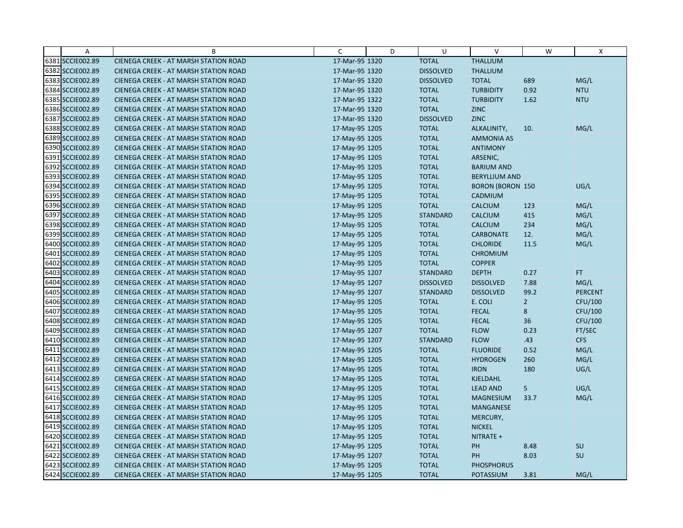| Α                | B                                            | C              | D | U                | V                       | W              | X              |
|------------------|----------------------------------------------|----------------|---|------------------|-------------------------|----------------|----------------|
| 6381 SCCIE002.89 | CIENEGA CREEK - AT MARSH STATION ROAD        | 17-Mar-95 1320 |   | <b>TOTAL</b>     | <b>THALLIUM</b>         |                |                |
| 6382 SCCIE002.89 | CIENEGA CREEK - AT MARSH STATION ROAD        | 17-Mar-95 1320 |   | <b>DISSOLVED</b> | <b>THALLIUM</b>         |                |                |
| 6383 SCCIE002.89 | <b>CIENEGA CREEK - AT MARSH STATION ROAD</b> | 17-Mar-95 1320 |   | <b>DISSOLVED</b> | <b>TOTAL</b>            | 689            | MG/L           |
| 6384 SCCIE002.89 | <b>CIENEGA CREEK - AT MARSH STATION ROAD</b> | 17-Mar-95 1320 |   | <b>TOTAL</b>     | <b>TURBIDITY</b>        | 0.92           | <b>NTU</b>     |
| 6385 SCCIE002.89 | <b>CIENEGA CREEK - AT MARSH STATION ROAD</b> | 17-Mar-95 1322 |   | <b>TOTAL</b>     | <b>TURBIDITY</b>        | 1.62           | <b>NTU</b>     |
| 6386 SCCIE002.89 | CIENEGA CREEK - AT MARSH STATION ROAD        | 17-Mar-95 1320 |   | <b>TOTAL</b>     | <b>ZINC</b>             |                |                |
| 6387 SCCIE002.89 | CIENEGA CREEK - AT MARSH STATION ROAD        | 17-Mar-95 1320 |   | <b>DISSOLVED</b> | <b>ZINC</b>             |                |                |
| 6388 SCCIE002.89 | <b>CIENEGA CREEK - AT MARSH STATION ROAD</b> | 17-May-95 1205 |   | <b>TOTAL</b>     | ALKALINITY,             | 10.            | MG/L           |
| 6389 SCCIE002.89 | <b>CIENEGA CREEK - AT MARSH STATION ROAD</b> | 17-May-95 1205 |   | <b>TOTAL</b>     | <b>AMMONIA AS</b>       |                |                |
| 6390 SCCIE002.89 | CIENEGA CREEK - AT MARSH STATION ROAD        | 17-May-95 1205 |   | <b>TOTAL</b>     | <b>ANTIMONY</b>         |                |                |
| 6391 SCCIE002.89 | <b>CIENEGA CREEK - AT MARSH STATION ROAD</b> | 17-May-95 1205 |   | <b>TOTAL</b>     | ARSENIC,                |                |                |
| 6392 SCCIE002.89 | <b>CIENEGA CREEK - AT MARSH STATION ROAD</b> | 17-May-95 1205 |   | <b>TOTAL</b>     | <b>BARIUM AND</b>       |                |                |
| 6393 SCCIE002.89 | CIENEGA CREEK - AT MARSH STATION ROAD        | 17-May-95 1205 |   | <b>TOTAL</b>     | <b>BERYLLIUM AND</b>    |                |                |
| 6394 SCCIE002.89 | CIENEGA CREEK - AT MARSH STATION ROAD        | 17-May-95 1205 |   | <b>TOTAL</b>     | <b>BORON (BORON 150</b> |                | UG/L           |
| 6395 SCCIE002.89 | <b>CIENEGA CREEK - AT MARSH STATION ROAD</b> | 17-May-95 1205 |   | <b>TOTAL</b>     | CADMIUM                 |                |                |
| 6396 SCCIE002.89 | <b>CIENEGA CREEK - AT MARSH STATION ROAD</b> | 17-May-95 1205 |   | <b>TOTAL</b>     | <b>CALCIUM</b>          | 123            | MG/L           |
| 6397 SCCIE002.89 | CIENEGA CREEK - AT MARSH STATION ROAD        | 17-May-95 1205 |   | <b>STANDARD</b>  | <b>CALCIUM</b>          | 415            | MG/L           |
| 6398 SCCIE002.89 | <b>CIENEGA CREEK - AT MARSH STATION ROAD</b> | 17-May-95 1205 |   | <b>TOTAL</b>     | <b>CALCIUM</b>          | 234            | MG/L           |
| 6399 SCCIE002.89 | <b>CIENEGA CREEK - AT MARSH STATION ROAD</b> | 17-May-95 1205 |   | <b>TOTAL</b>     | <b>CARBONATE</b>        | 12.            | MG/L           |
| 6400 SCCIE002.89 | CIENEGA CREEK - AT MARSH STATION ROAD        | 17-May-95 1205 |   | <b>TOTAL</b>     | <b>CHLORIDE</b>         | 11.5           | MG/L           |
| 6401 SCCIE002.89 | <b>CIENEGA CREEK - AT MARSH STATION ROAD</b> | 17-May-95 1205 |   | <b>TOTAL</b>     | <b>CHROMIUM</b>         |                |                |
| 6402 SCCIE002.89 | CIENEGA CREEK - AT MARSH STATION ROAD        | 17-May-95 1205 |   | <b>TOTAL</b>     | <b>COPPER</b>           |                |                |
| 6403 SCCIE002.89 | CIENEGA CREEK - AT MARSH STATION ROAD        | 17-May-95 1207 |   | <b>STANDARD</b>  | <b>DEPTH</b>            | 0.27           | FT.            |
| 6404 SCCIE002.89 | <b>CIENEGA CREEK - AT MARSH STATION ROAD</b> | 17-May-95 1207 |   | <b>DISSOLVED</b> | <b>DISSOLVED</b>        | 7.88           | MG/L           |
| 6405 SCCIE002.89 | CIENEGA CREEK - AT MARSH STATION ROAD        | 17-May-95 1207 |   | <b>STANDARD</b>  | <b>DISSOLVED</b>        | 99.2           | <b>PERCENT</b> |
| 6406 SCCIE002.89 | CIENEGA CREEK - AT MARSH STATION ROAD        | 17-May-95 1205 |   | <b>TOTAL</b>     | E. COLI                 | $\overline{2}$ | CFU/100        |
| 6407 SCCIE002.89 | <b>CIENEGA CREEK - AT MARSH STATION ROAD</b> | 17-May-95 1205 |   | <b>TOTAL</b>     | <b>FECAL</b>            | 8              | <b>CFU/100</b> |
| 6408 SCCIE002.89 | CIENEGA CREEK - AT MARSH STATION ROAD        | 17-May-95 1205 |   | <b>TOTAL</b>     | <b>FECAL</b>            | 36             | CFU/100        |
| 6409 SCCIE002.89 | <b>CIENEGA CREEK - AT MARSH STATION ROAD</b> | 17-May-95 1207 |   | <b>TOTAL</b>     | <b>FLOW</b>             | 0.23           | FT/SEC         |
| 6410 SCCIE002.89 | <b>CIENEGA CREEK - AT MARSH STATION ROAD</b> | 17-May-95 1207 |   | <b>STANDARD</b>  | <b>FLOW</b>             | .43            | <b>CFS</b>     |
| 6411 SCCIE002.89 | CIENEGA CREEK - AT MARSH STATION ROAD        | 17-May-95 1205 |   | <b>TOTAL</b>     | <b>FLUORIDE</b>         | 0.52           | MG/L           |
| 6412 SCCIE002.89 | <b>CIENEGA CREEK - AT MARSH STATION ROAD</b> | 17-May-95 1205 |   | <b>TOTAL</b>     | <b>HYDROGEN</b>         | 260            | MG/L           |
| 6413 SCCIE002.89 | CIENEGA CREEK - AT MARSH STATION ROAD        | 17-May-95 1205 |   | <b>TOTAL</b>     | <b>IRON</b>             | 180            | UG/L           |
| 6414 SCCIE002.89 | <b>CIENEGA CREEK - AT MARSH STATION ROAD</b> | 17-May-95 1205 |   | <b>TOTAL</b>     | <b>KJELDAHL</b>         |                |                |
| 6415 SCCIE002.89 | <b>CIENEGA CREEK - AT MARSH STATION ROAD</b> | 17-May-95 1205 |   | <b>TOTAL</b>     | <b>LEAD AND</b>         | 5              | UG/L           |
| 6416 SCCIE002.89 | CIENEGA CREEK - AT MARSH STATION ROAD        | 17-May-95 1205 |   | <b>TOTAL</b>     | <b>MAGNESIUM</b>        | 33.7           | MG/L           |
| 6417 SCCIE002.89 | <b>CIENEGA CREEK - AT MARSH STATION ROAD</b> | 17-May-95 1205 |   | <b>TOTAL</b>     | <b>MANGANESE</b>        |                |                |
| 6418 SCCIE002.89 | <b>CIENEGA CREEK - AT MARSH STATION ROAD</b> | 17-May-95 1205 |   | <b>TOTAL</b>     | MERCURY,                |                |                |
| 6419 SCCIE002.89 | CIENEGA CREEK - AT MARSH STATION ROAD        | 17-May-95 1205 |   | <b>TOTAL</b>     | <b>NICKEL</b>           |                |                |
| 6420 SCCIE002.89 | <b>CIENEGA CREEK - AT MARSH STATION ROAD</b> | 17-May-95 1205 |   | <b>TOTAL</b>     | NITRATE +               |                |                |
| 6421 SCCIE002.89 | <b>CIENEGA CREEK - AT MARSH STATION ROAD</b> | 17-May-95 1205 |   | <b>TOTAL</b>     | PH                      | 8.48           | <b>SU</b>      |
| 6422 SCCIE002.89 | CIENEGA CREEK - AT MARSH STATION ROAD        | 17-May-95 1207 |   | <b>TOTAL</b>     | PH                      | 8.03           | SU             |
| 6423 SCCIE002.89 | <b>CIENEGA CREEK - AT MARSH STATION ROAD</b> | 17-May-95 1205 |   | <b>TOTAL</b>     | <b>PHOSPHORUS</b>       |                |                |
| 6424 SCCIE002.89 | CIENEGA CREEK - AT MARSH STATION ROAD        | 17-May-95 1205 |   | <b>TOTAL</b>     | <b>POTASSIUM</b>        | 3.81           | MG/L           |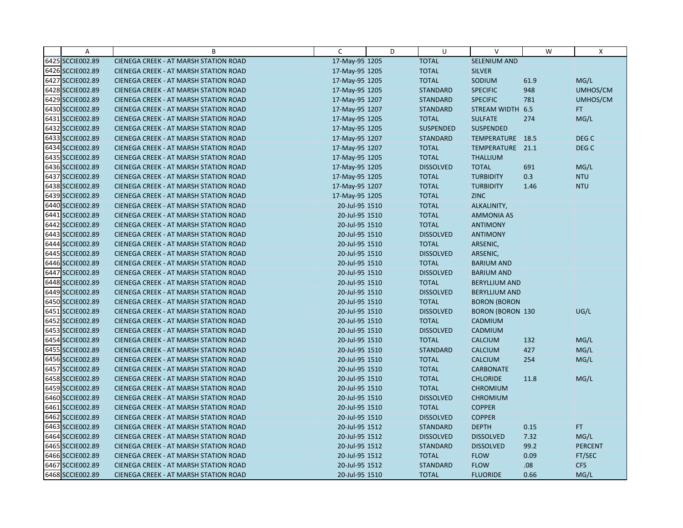| Α                | B                                            | C              | D | U                | $\vee$                  | W    | X                |
|------------------|----------------------------------------------|----------------|---|------------------|-------------------------|------|------------------|
| 6425 SCCIE002.89 | CIENEGA CREEK - AT MARSH STATION ROAD        | 17-May-95 1205 |   | <b>TOTAL</b>     | SELENIUM AND            |      |                  |
| 6426 SCCIE002.89 | CIENEGA CREEK - AT MARSH STATION ROAD        | 17-May-95 1205 |   | <b>TOTAL</b>     | <b>SILVER</b>           |      |                  |
| 6427 SCCIE002.89 | <b>CIENEGA CREEK - AT MARSH STATION ROAD</b> | 17-May-95 1205 |   | <b>TOTAL</b>     | SODIUM                  | 61.9 | MG/L             |
| 6428 SCCIE002.89 | CIENEGA CREEK - AT MARSH STATION ROAD        | 17-May-95 1205 |   | <b>STANDARD</b>  | <b>SPECIFIC</b>         | 948  | UMHOS/CM         |
| 6429 SCCIE002.89 | CIENEGA CREEK - AT MARSH STATION ROAD        | 17-May-95 1207 |   | <b>STANDARD</b>  | <b>SPECIFIC</b>         | 781  | UMHOS/CM         |
| 6430 SCCIE002.89 | CIENEGA CREEK - AT MARSH STATION ROAD        | 17-May-95 1207 |   | <b>STANDARD</b>  | STREAM WIDTH 6.5        |      | FT.              |
| 6431 SCCIE002.89 | <b>CIENEGA CREEK - AT MARSH STATION ROAD</b> | 17-May-95 1205 |   | <b>TOTAL</b>     | <b>SULFATE</b>          | 274  | MG/L             |
| 6432 SCCIE002.89 | <b>CIENEGA CREEK - AT MARSH STATION ROAD</b> | 17-May-95 1205 |   | <b>SUSPENDED</b> | <b>SUSPENDED</b>        |      |                  |
| 6433 SCCIE002.89 | CIENEGA CREEK - AT MARSH STATION ROAD        | 17-May-95 1207 |   | <b>STANDARD</b>  | TEMPERATURE 18.5        |      | DEG <sub>C</sub> |
| 6434 SCCIE002.89 | CIENEGA CREEK - AT MARSH STATION ROAD        | 17-May-95 1207 |   | <b>TOTAL</b>     | TEMPERATURE 21.1        |      | DEG <sub>C</sub> |
| 6435 SCCIE002.89 | <b>CIENEGA CREEK - AT MARSH STATION ROAD</b> | 17-May-95 1205 |   | <b>TOTAL</b>     | <b>THALLIUM</b>         |      |                  |
| 6436 SCCIE002.89 | CIENEGA CREEK - AT MARSH STATION ROAD        | 17-May-95 1205 |   | <b>DISSOLVED</b> | <b>TOTAL</b>            | 691  | MG/L             |
| 6437 SCCIE002.89 | CIENEGA CREEK - AT MARSH STATION ROAD        | 17-May-95 1205 |   | <b>TOTAL</b>     | <b>TURBIDITY</b>        | 0.3  | <b>NTU</b>       |
| 6438 SCCIE002.89 | <b>CIENEGA CREEK - AT MARSH STATION ROAD</b> | 17-May-95 1207 |   | <b>TOTAL</b>     | <b>TURBIDITY</b>        | 1.46 | <b>NTU</b>       |
| 6439 SCCIE002.89 | <b>CIENEGA CREEK - AT MARSH STATION ROAD</b> | 17-May-95 1205 |   | <b>TOTAL</b>     | <b>ZINC</b>             |      |                  |
| 6440 SCCIE002.89 | CIENEGA CREEK - AT MARSH STATION ROAD        | 20-Jul-95 1510 |   | <b>TOTAL</b>     | ALKALINITY,             |      |                  |
| 6441 SCCIE002.89 | CIENEGA CREEK - AT MARSH STATION ROAD        | 20-Jul-95 1510 |   | <b>TOTAL</b>     | <b>AMMONIA AS</b>       |      |                  |
| 6442 SCCIE002.89 | CIENEGA CREEK - AT MARSH STATION ROAD        | 20-Jul-95 1510 |   | <b>TOTAL</b>     | <b>ANTIMONY</b>         |      |                  |
| 6443 SCCIE002.89 | <b>CIENEGA CREEK - AT MARSH STATION ROAD</b> | 20-Jul-95 1510 |   | <b>DISSOLVED</b> | <b>ANTIMONY</b>         |      |                  |
| 6444 SCCIE002.89 | CIENEGA CREEK - AT MARSH STATION ROAD        | 20-Jul-95 1510 |   | <b>TOTAL</b>     | ARSENIC,                |      |                  |
| 6445 SCCIE002.89 | CIENEGA CREEK - AT MARSH STATION ROAD        | 20-Jul-95 1510 |   | <b>DISSOLVED</b> | ARSENIC,                |      |                  |
| 6446 SCCIE002.89 | CIENEGA CREEK - AT MARSH STATION ROAD        | 20-Jul-95 1510 |   | <b>TOTAL</b>     | <b>BARIUM AND</b>       |      |                  |
| 6447 SCCIE002.89 | CIENEGA CREEK - AT MARSH STATION ROAD        | 20-Jul-95 1510 |   | <b>DISSOLVED</b> | <b>BARIUM AND</b>       |      |                  |
| 6448 SCCIE002.89 | <b>CIENEGA CREEK - AT MARSH STATION ROAD</b> | 20-Jul-95 1510 |   | <b>TOTAL</b>     | <b>BERYLLIUM AND</b>    |      |                  |
| 6449 SCCIE002.89 | CIENEGA CREEK - AT MARSH STATION ROAD        | 20-Jul-95 1510 |   | <b>DISSOLVED</b> | <b>BERYLLIUM AND</b>    |      |                  |
| 6450 SCCIE002.89 | CIENEGA CREEK - AT MARSH STATION ROAD        | 20-Jul-95 1510 |   | <b>TOTAL</b>     | <b>BORON (BORON</b>     |      |                  |
| 6451 SCCIE002.89 | CIENEGA CREEK - AT MARSH STATION ROAD        | 20-Jul-95 1510 |   | <b>DISSOLVED</b> | <b>BORON (BORON 130</b> |      | UG/L             |
| 6452 SCCIE002.89 | CIENEGA CREEK - AT MARSH STATION ROAD        | 20-Jul-95 1510 |   | <b>TOTAL</b>     | CADMIUM                 |      |                  |
| 6453 SCCIE002.89 | <b>CIENEGA CREEK - AT MARSH STATION ROAD</b> | 20-Jul-95 1510 |   | <b>DISSOLVED</b> | CADMIUM                 |      |                  |
| 6454 SCCIE002.89 | <b>CIENEGA CREEK - AT MARSH STATION ROAD</b> | 20-Jul-95 1510 |   | <b>TOTAL</b>     | <b>CALCIUM</b>          | 132  | MG/L             |
| 6455 SCCIE002.89 | CIENEGA CREEK - AT MARSH STATION ROAD        | 20-Jul-95 1510 |   | <b>STANDARD</b>  | <b>CALCIUM</b>          | 427  | MG/L             |
| 6456 SCCIE002.89 | <b>CIENEGA CREEK - AT MARSH STATION ROAD</b> | 20-Jul-95 1510 |   | <b>TOTAL</b>     | <b>CALCIUM</b>          | 254  | MG/L             |
| 6457 SCCIE002.89 | CIENEGA CREEK - AT MARSH STATION ROAD        | 20-Jul-95 1510 |   | <b>TOTAL</b>     | <b>CARBONATE</b>        |      |                  |
| 6458 SCCIE002.89 | <b>CIENEGA CREEK - AT MARSH STATION ROAD</b> | 20-Jul-95 1510 |   | <b>TOTAL</b>     | <b>CHLORIDE</b>         | 11.8 | MG/L             |
| 6459 SCCIE002.89 | CIENEGA CREEK - AT MARSH STATION ROAD        | 20-Jul-95 1510 |   | <b>TOTAL</b>     | <b>CHROMIUM</b>         |      |                  |
| 6460 SCCIE002.89 | <b>CIENEGA CREEK - AT MARSH STATION ROAD</b> | 20-Jul-95 1510 |   | <b>DISSOLVED</b> | <b>CHROMIUM</b>         |      |                  |
| 6461 SCCIE002.89 | <b>CIENEGA CREEK - AT MARSH STATION ROAD</b> | 20-Jul-95 1510 |   | <b>TOTAL</b>     | <b>COPPER</b>           |      |                  |
| 6462 SCCIE002.89 | CIENEGA CREEK - AT MARSH STATION ROAD        | 20-Jul-95 1510 |   | <b>DISSOLVED</b> | <b>COPPER</b>           |      |                  |
| 6463 SCCIE002.89 | CIENEGA CREEK - AT MARSH STATION ROAD        | 20-Jul-95 1512 |   | <b>STANDARD</b>  | <b>DEPTH</b>            | 0.15 | FT.              |
| 6464 SCCIE002.89 | <b>CIENEGA CREEK - AT MARSH STATION ROAD</b> | 20-Jul-95 1512 |   | <b>DISSOLVED</b> | <b>DISSOLVED</b>        | 7.32 | MG/L             |
| 6465 SCCIE002.89 | <b>CIENEGA CREEK - AT MARSH STATION ROAD</b> | 20-Jul-95 1512 |   | <b>STANDARD</b>  | <b>DISSOLVED</b>        | 99.2 | <b>PERCENT</b>   |
| 6466 SCCIE002.89 | CIENEGA CREEK - AT MARSH STATION ROAD        | 20-Jul-95 1512 |   | <b>TOTAL</b>     | <b>FLOW</b>             | 0.09 | FT/SEC           |
| 6467 SCCIE002.89 | CIENEGA CREEK - AT MARSH STATION ROAD        | 20-Jul-95 1512 |   | <b>STANDARD</b>  | <b>FLOW</b>             | .08  | <b>CFS</b>       |
| 6468 SCCIE002.89 | CIENEGA CREEK - AT MARSH STATION ROAD        | 20-Jul-95 1510 |   | <b>TOTAL</b>     | <b>FLUORIDE</b>         | 0.66 | MG/L             |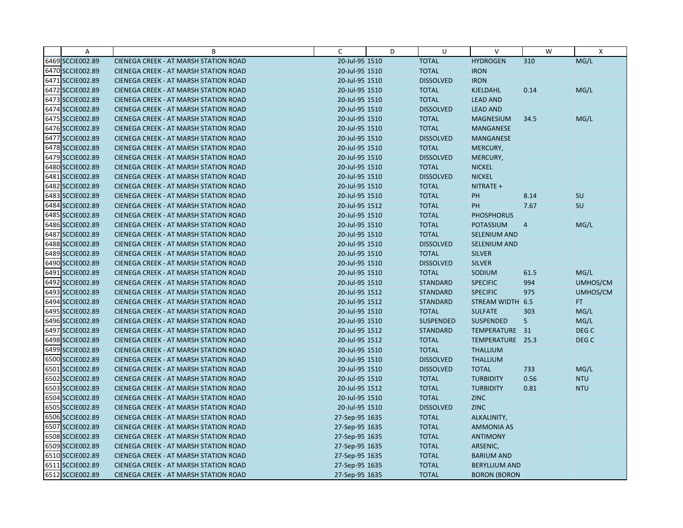| A                | B                                            | C              | D | U                | V                    | W              | $\mathsf{X}$     |
|------------------|----------------------------------------------|----------------|---|------------------|----------------------|----------------|------------------|
| 6469 SCCIE002.89 | CIENEGA CREEK - AT MARSH STATION ROAD        | 20-Jul-95 1510 |   | <b>TOTAL</b>     | <b>HYDROGEN</b>      | 310            | MG/L             |
| 6470 SCCIE002.89 | <b>CIENEGA CREEK - AT MARSH STATION ROAD</b> | 20-Jul-95 1510 |   | <b>TOTAL</b>     | <b>IRON</b>          |                |                  |
| 6471 SCCIE002.89 | <b>CIENEGA CREEK - AT MARSH STATION ROAD</b> | 20-Jul-95 1510 |   | <b>DISSOLVED</b> | <b>IRON</b>          |                |                  |
| 6472 SCCIE002.89 | <b>CIENEGA CREEK - AT MARSH STATION ROAD</b> | 20-Jul-95 1510 |   | <b>TOTAL</b>     | KJELDAHL             | 0.14           | MG/L             |
| 6473 SCCIE002.89 | <b>CIENEGA CREEK - AT MARSH STATION ROAD</b> | 20-Jul-95 1510 |   | <b>TOTAL</b>     | <b>LEAD AND</b>      |                |                  |
| 6474 SCCIE002.89 | <b>CIENEGA CREEK - AT MARSH STATION ROAD</b> | 20-Jul-95 1510 |   | <b>DISSOLVED</b> | <b>LEAD AND</b>      |                |                  |
| 6475 SCCIE002.89 | <b>CIENEGA CREEK - AT MARSH STATION ROAD</b> | 20-Jul-95 1510 |   | <b>TOTAL</b>     | <b>MAGNESIUM</b>     | 34.5           | MG/L             |
| 6476 SCCIE002.89 | <b>CIENEGA CREEK - AT MARSH STATION ROAD</b> | 20-Jul-95 1510 |   | <b>TOTAL</b>     | <b>MANGANESE</b>     |                |                  |
| 6477 SCCIE002.89 | <b>CIENEGA CREEK - AT MARSH STATION ROAD</b> | 20-Jul-95 1510 |   | <b>DISSOLVED</b> | MANGANESE            |                |                  |
| 6478 SCCIE002.89 | <b>CIENEGA CREEK - AT MARSH STATION ROAD</b> | 20-Jul-95 1510 |   | <b>TOTAL</b>     | MERCURY,             |                |                  |
| 6479 SCCIE002.89 | <b>CIENEGA CREEK - AT MARSH STATION ROAD</b> | 20-Jul-95 1510 |   | <b>DISSOLVED</b> | MERCURY,             |                |                  |
| 6480 SCCIE002.89 | <b>CIENEGA CREEK - AT MARSH STATION ROAD</b> | 20-Jul-95 1510 |   | <b>TOTAL</b>     | <b>NICKEL</b>        |                |                  |
| 6481 SCCIE002.89 | <b>CIENEGA CREEK - AT MARSH STATION ROAD</b> | 20-Jul-95 1510 |   | <b>DISSOLVED</b> | <b>NICKEL</b>        |                |                  |
| 6482 SCCIE002.89 | <b>CIENEGA CREEK - AT MARSH STATION ROAD</b> | 20-Jul-95 1510 |   | <b>TOTAL</b>     | NITRATE +            |                |                  |
| 6483 SCCIE002.89 | <b>CIENEGA CREEK - AT MARSH STATION ROAD</b> | 20-Jul-95 1510 |   | <b>TOTAL</b>     | PH                   | 8.14           | SU               |
| 6484 SCCIE002.89 | <b>CIENEGA CREEK - AT MARSH STATION ROAD</b> | 20-Jul-95 1512 |   | <b>TOTAL</b>     | PH                   | 7.67           | SU               |
| 6485 SCCIE002.89 | CIENEGA CREEK - AT MARSH STATION ROAD        | 20-Jul-95 1510 |   | <b>TOTAL</b>     | <b>PHOSPHORUS</b>    |                |                  |
| 6486 SCCIE002.89 | <b>CIENEGA CREEK - AT MARSH STATION ROAD</b> | 20-Jul-95 1510 |   | <b>TOTAL</b>     | <b>POTASSIUM</b>     | $\overline{4}$ | MG/L             |
| 6487 SCCIE002.89 | <b>CIENEGA CREEK - AT MARSH STATION ROAD</b> | 20-Jul-95 1510 |   | <b>TOTAL</b>     | <b>SELENIUM AND</b>  |                |                  |
| 6488 SCCIE002.89 | CIENEGA CREEK - AT MARSH STATION ROAD        | 20-Jul-95 1510 |   | <b>DISSOLVED</b> | SELENIUM AND         |                |                  |
| 6489 SCCIE002.89 | <b>CIENEGA CREEK - AT MARSH STATION ROAD</b> | 20-Jul-95 1510 |   | <b>TOTAL</b>     | <b>SILVER</b>        |                |                  |
| 6490 SCCIE002.89 | <b>CIENEGA CREEK - AT MARSH STATION ROAD</b> | 20-Jul-95 1510 |   | <b>DISSOLVED</b> | <b>SILVER</b>        |                |                  |
| 6491 SCCIE002.89 | <b>CIENEGA CREEK - AT MARSH STATION ROAD</b> | 20-Jul-95 1510 |   | <b>TOTAL</b>     | SODIUM               | 61.5           | MG/L             |
| 6492 SCCIE002.89 | <b>CIENEGA CREEK - AT MARSH STATION ROAD</b> | 20-Jul-95 1510 |   | <b>STANDARD</b>  | <b>SPECIFIC</b>      | 994            | UMHOS/CM         |
| 6493 SCCIE002.89 | CIENEGA CREEK - AT MARSH STATION ROAD        | 20-Jul-95 1512 |   | <b>STANDARD</b>  | <b>SPECIFIC</b>      | 975            | UMHOS/CM         |
| 6494 SCCIE002.89 | <b>CIENEGA CREEK - AT MARSH STATION ROAD</b> | 20-Jul-95 1512 |   | <b>STANDARD</b>  | STREAM WIDTH 6.5     |                | FT.              |
| 6495 SCCIE002.89 | <b>CIENEGA CREEK - AT MARSH STATION ROAD</b> | 20-Jul-95 1510 |   | <b>TOTAL</b>     | <b>SULFATE</b>       | 303            | MG/L             |
| 6496 SCCIE002.89 | CIENEGA CREEK - AT MARSH STATION ROAD        | 20-Jul-95 1510 |   | SUSPENDED        | <b>SUSPENDED</b>     | 5 <sup>1</sup> | MG/L             |
| 6497 SCCIE002.89 | <b>CIENEGA CREEK - AT MARSH STATION ROAD</b> | 20-Jul-95 1512 |   | <b>STANDARD</b>  | TEMPERATURE 31       |                | DEG <sub>C</sub> |
| 6498 SCCIE002.89 | <b>CIENEGA CREEK - AT MARSH STATION ROAD</b> | 20-Jul-95 1512 |   | <b>TOTAL</b>     | TEMPERATURE 25.3     |                | DEG <sub>C</sub> |
| 6499 SCCIE002.89 | CIENEGA CREEK - AT MARSH STATION ROAD        | 20-Jul-95 1510 |   | <b>TOTAL</b>     | <b>THALLIUM</b>      |                |                  |
| 6500 SCCIE002.89 | <b>CIENEGA CREEK - AT MARSH STATION ROAD</b> | 20-Jul-95 1510 |   | <b>DISSOLVED</b> | <b>THALLIUM</b>      |                |                  |
| 6501 SCCIE002.89 | <b>CIENEGA CREEK - AT MARSH STATION ROAD</b> | 20-Jul-95 1510 |   | <b>DISSOLVED</b> | <b>TOTAL</b>         | 733            | MG/L             |
| 6502 SCCIE002.89 | <b>CIENEGA CREEK - AT MARSH STATION ROAD</b> | 20-Jul-95 1510 |   | <b>TOTAL</b>     | <b>TURBIDITY</b>     | 0.56           | <b>NTU</b>       |
| 6503 SCCIE002.89 | <b>CIENEGA CREEK - AT MARSH STATION ROAD</b> | 20-Jul-95 1512 |   | <b>TOTAL</b>     | <b>TURBIDITY</b>     | 0.81           | <b>NTU</b>       |
| 6504 SCCIE002.89 | <b>CIENEGA CREEK - AT MARSH STATION ROAD</b> | 20-Jul-95 1510 |   | <b>TOTAL</b>     | <b>ZINC</b>          |                |                  |
| 6505 SCCIE002.89 | <b>CIENEGA CREEK - AT MARSH STATION ROAD</b> | 20-Jul-95 1510 |   | <b>DISSOLVED</b> | <b>ZINC</b>          |                |                  |
| 6506 SCCIE002.89 | <b>CIENEGA CREEK - AT MARSH STATION ROAD</b> | 27-Sep-95 1635 |   | <b>TOTAL</b>     | ALKALINITY,          |                |                  |
| 6507 SCCIE002.89 | <b>CIENEGA CREEK - AT MARSH STATION ROAD</b> | 27-Sep-95 1635 |   | <b>TOTAL</b>     | <b>AMMONIA AS</b>    |                |                  |
| 6508 SCCIE002.89 | <b>CIENEGA CREEK - AT MARSH STATION ROAD</b> | 27-Sep-95 1635 |   | <b>TOTAL</b>     | <b>ANTIMONY</b>      |                |                  |
| 6509 SCCIE002.89 | <b>CIENEGA CREEK - AT MARSH STATION ROAD</b> | 27-Sep-95 1635 |   | <b>TOTAL</b>     | ARSENIC,             |                |                  |
| 6510 SCCIE002.89 | <b>CIENEGA CREEK - AT MARSH STATION ROAD</b> | 27-Sep-95 1635 |   | <b>TOTAL</b>     | <b>BARIUM AND</b>    |                |                  |
| 6511 SCCIE002.89 | CIENEGA CREEK - AT MARSH STATION ROAD        | 27-Sep-95 1635 |   | <b>TOTAL</b>     | <b>BERYLLIUM AND</b> |                |                  |
| 6512 SCCIE002.89 | CIENEGA CREEK - AT MARSH STATION ROAD        | 27-Sep-95 1635 |   | <b>TOTAL</b>     | <b>BORON (BORON</b>  |                |                  |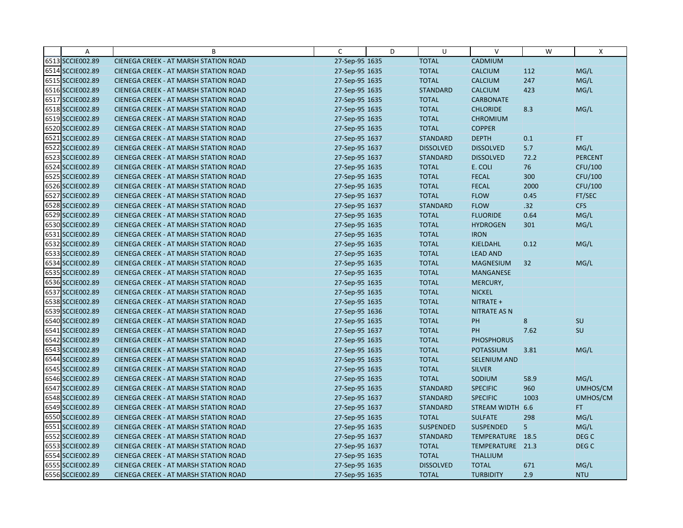| Α                | B                                            | C              | D | U                | $\vee$              | W    | X                |
|------------------|----------------------------------------------|----------------|---|------------------|---------------------|------|------------------|
| 6513 SCCIE002.89 | CIENEGA CREEK - AT MARSH STATION ROAD        | 27-Sep-95 1635 |   | <b>TOTAL</b>     | CADMIUM             |      |                  |
| 6514 SCCIE002.89 | CIENEGA CREEK - AT MARSH STATION ROAD        | 27-Sep-95 1635 |   | <b>TOTAL</b>     | CALCIUM             | 112  | MG/L             |
| 6515 SCCIE002.89 | <b>CIENEGA CREEK - AT MARSH STATION ROAD</b> | 27-Sep-95 1635 |   | <b>TOTAL</b>     | <b>CALCIUM</b>      | 247  | MG/L             |
| 6516 SCCIE002.89 | <b>CIENEGA CREEK - AT MARSH STATION ROAD</b> | 27-Sep-95 1635 |   | <b>STANDARD</b>  | CALCIUM             | 423  | MG/L             |
| 6517 SCCIE002.89 | CIENEGA CREEK - AT MARSH STATION ROAD        | 27-Sep-95 1635 |   | <b>TOTAL</b>     | <b>CARBONATE</b>    |      |                  |
| 6518 SCCIE002.89 | <b>CIENEGA CREEK - AT MARSH STATION ROAD</b> | 27-Sep-95 1635 |   | <b>TOTAL</b>     | <b>CHLORIDE</b>     | 8.3  | MG/L             |
| 6519 SCCIE002.89 | CIENEGA CREEK - AT MARSH STATION ROAD        | 27-Sep-95 1635 |   | <b>TOTAL</b>     | <b>CHROMIUM</b>     |      |                  |
| 6520 SCCIE002.89 | <b>CIENEGA CREEK - AT MARSH STATION ROAD</b> | 27-Sep-95 1635 |   | <b>TOTAL</b>     | <b>COPPER</b>       |      |                  |
| 6521 SCCIE002.89 | CIENEGA CREEK - AT MARSH STATION ROAD        | 27-Sep-95 1637 |   | <b>STANDARD</b>  | <b>DEPTH</b>        | 0.1  | FT.              |
| 6522 SCCIE002.89 | <b>CIENEGA CREEK - AT MARSH STATION ROAD</b> | 27-Sep-95 1637 |   | <b>DISSOLVED</b> | <b>DISSOLVED</b>    | 5.7  | MG/L             |
| 6523 SCCIE002.89 | <b>CIENEGA CREEK - AT MARSH STATION ROAD</b> | 27-Sep-95 1637 |   | <b>STANDARD</b>  | <b>DISSOLVED</b>    | 72.2 | <b>PERCENT</b>   |
| 6524 SCCIE002.89 | CIENEGA CREEK - AT MARSH STATION ROAD        | 27-Sep-95 1635 |   | <b>TOTAL</b>     | E. COLI             | 76   | CFU/100          |
| 6525 SCCIE002.89 | <b>CIENEGA CREEK - AT MARSH STATION ROAD</b> | 27-Sep-95 1635 |   | <b>TOTAL</b>     | <b>FECAL</b>        | 300  | CFU/100          |
| 6526 SCCIE002.89 | CIENEGA CREEK - AT MARSH STATION ROAD        | 27-Sep-95 1635 |   | <b>TOTAL</b>     | <b>FECAL</b>        | 2000 | CFU/100          |
| 6527 SCCIE002.89 | CIENEGA CREEK - AT MARSH STATION ROAD        | 27-Sep-95 1637 |   | <b>TOTAL</b>     | <b>FLOW</b>         | 0.45 | FT/SEC           |
| 6528 SCCIE002.89 | <b>CIENEGA CREEK - AT MARSH STATION ROAD</b> | 27-Sep-95 1637 |   | <b>STANDARD</b>  | <b>FLOW</b>         | .32  | <b>CFS</b>       |
| 6529 SCCIE002.89 | <b>CIENEGA CREEK - AT MARSH STATION ROAD</b> | 27-Sep-95 1635 |   | <b>TOTAL</b>     | <b>FLUORIDE</b>     | 0.64 | MG/L             |
| 6530 SCCIE002.89 | CIENEGA CREEK - AT MARSH STATION ROAD        | 27-Sep-95 1635 |   | <b>TOTAL</b>     | <b>HYDROGEN</b>     | 301  | MG/L             |
| 6531 SCCIE002.89 | <b>CIENEGA CREEK - AT MARSH STATION ROAD</b> | 27-Sep-95 1635 |   | <b>TOTAL</b>     | <b>IRON</b>         |      |                  |
| 6532 SCCIE002.89 | <b>CIENEGA CREEK - AT MARSH STATION ROAD</b> | 27-Sep-95 1635 |   | <b>TOTAL</b>     | <b>KJELDAHL</b>     | 0.12 | MG/L             |
| 6533 SCCIE002.89 | CIENEGA CREEK - AT MARSH STATION ROAD        | 27-Sep-95 1635 |   | <b>TOTAL</b>     | <b>LEAD AND</b>     |      |                  |
| 6534 SCCIE002.89 | CIENEGA CREEK - AT MARSH STATION ROAD        | 27-Sep-95 1635 |   | <b>TOTAL</b>     | <b>MAGNESIUM</b>    | 32   | MG/L             |
| 6535 SCCIE002.89 | <b>CIENEGA CREEK - AT MARSH STATION ROAD</b> | 27-Sep-95 1635 |   | <b>TOTAL</b>     | <b>MANGANESE</b>    |      |                  |
| 6536 SCCIE002.89 | <b>CIENEGA CREEK - AT MARSH STATION ROAD</b> | 27-Sep-95 1635 |   | <b>TOTAL</b>     | MERCURY,            |      |                  |
| 6537 SCCIE002.89 | CIENEGA CREEK - AT MARSH STATION ROAD        | 27-Sep-95 1635 |   | <b>TOTAL</b>     | <b>NICKEL</b>       |      |                  |
| 6538 SCCIE002.89 | CIENEGA CREEK - AT MARSH STATION ROAD        | 27-Sep-95 1635 |   | <b>TOTAL</b>     | NITRATE +           |      |                  |
| 6539 SCCIE002.89 | CIENEGA CREEK - AT MARSH STATION ROAD        | 27-Sep-95 1636 |   | <b>TOTAL</b>     | <b>NITRATE AS N</b> |      |                  |
| 6540 SCCIE002.89 | CIENEGA CREEK - AT MARSH STATION ROAD        | 27-Sep-95 1635 |   | <b>TOTAL</b>     | PH                  | 8    | <b>SU</b>        |
| 6541 SCCIE002.89 | CIENEGA CREEK - AT MARSH STATION ROAD        | 27-Sep-95 1637 |   | <b>TOTAL</b>     | PH                  | 7.62 | SU               |
| 6542 SCCIE002.89 | <b>CIENEGA CREEK - AT MARSH STATION ROAD</b> | 27-Sep-95 1635 |   | <b>TOTAL</b>     | <b>PHOSPHORUS</b>   |      |                  |
| 6543 SCCIE002.89 | <b>CIENEGA CREEK - AT MARSH STATION ROAD</b> | 27-Sep-95 1635 |   | <b>TOTAL</b>     | <b>POTASSIUM</b>    | 3.81 | MG/L             |
| 6544 SCCIE002.89 | CIENEGA CREEK - AT MARSH STATION ROAD        | 27-Sep-95 1635 |   | <b>TOTAL</b>     | <b>SELENIUM AND</b> |      |                  |
| 6545 SCCIE002.89 | CIENEGA CREEK - AT MARSH STATION ROAD        | 27-Sep-95 1635 |   | <b>TOTAL</b>     | <b>SILVER</b>       |      |                  |
| 6546 SCCIE002.89 | CIENEGA CREEK - AT MARSH STATION ROAD        | 27-Sep-95 1635 |   | <b>TOTAL</b>     | SODIUM              | 58.9 | MG/L             |
| 6547 SCCIE002.89 | CIENEGA CREEK - AT MARSH STATION ROAD        | 27-Sep-95 1635 |   | <b>STANDARD</b>  | <b>SPECIFIC</b>     | 960  | UMHOS/CM         |
| 6548 SCCIE002.89 | CIENEGA CREEK - AT MARSH STATION ROAD        | 27-Sep-95 1637 |   | <b>STANDARD</b>  | <b>SPECIFIC</b>     | 1003 | UMHOS/CM         |
| 6549 SCCIE002.89 | CIENEGA CREEK - AT MARSH STATION ROAD        | 27-Sep-95 1637 |   | <b>STANDARD</b>  | STREAM WIDTH        | 6.6  | <b>FT</b>        |
| 6550 SCCIE002.89 | <b>CIENEGA CREEK - AT MARSH STATION ROAD</b> | 27-Sep-95 1635 |   | <b>TOTAL</b>     | <b>SULFATE</b>      | 298  | MG/L             |
| 6551 SCCIE002.89 | CIENEGA CREEK - AT MARSH STATION ROAD        | 27-Sep-95 1635 |   | SUSPENDED        | <b>SUSPENDED</b>    | 5    | MG/L             |
| 6552 SCCIE002.89 | <b>CIENEGA CREEK - AT MARSH STATION ROAD</b> | 27-Sep-95 1637 |   | <b>STANDARD</b>  | TEMPERATURE 18.5    |      | DEG C            |
| 6553 SCCIE002.89 | <b>CIENEGA CREEK - AT MARSH STATION ROAD</b> | 27-Sep-95 1637 |   | <b>TOTAL</b>     | TEMPERATURE 21.3    |      | DEG <sub>C</sub> |
| 6554 SCCIE002.89 | CIENEGA CREEK - AT MARSH STATION ROAD        | 27-Sep-95 1635 |   | <b>TOTAL</b>     | <b>THALLIUM</b>     |      |                  |
| 6555 SCCIE002.89 | CIENEGA CREEK - AT MARSH STATION ROAD        | 27-Sep-95 1635 |   | <b>DISSOLVED</b> | <b>TOTAL</b>        | 671  | MG/L             |
| 6556 SCCIE002.89 | CIENEGA CREEK - AT MARSH STATION ROAD        | 27-Sep-95 1635 |   | <b>TOTAL</b>     | <b>TURBIDITY</b>    | 2.9  | <b>NTU</b>       |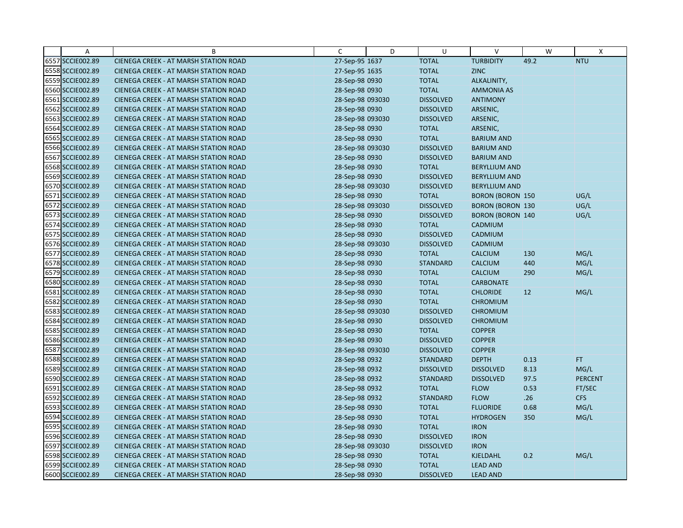| A                | B                                            | C                | D | U                | $\vee$                  | W    | X              |
|------------------|----------------------------------------------|------------------|---|------------------|-------------------------|------|----------------|
| 6557 SCCIE002.89 | CIENEGA CREEK - AT MARSH STATION ROAD        | 27-Sep-95 1637   |   | <b>TOTAL</b>     | <b>TURBIDITY</b>        | 49.2 | <b>NTU</b>     |
| 6558 SCCIE002.89 | CIENEGA CREEK - AT MARSH STATION ROAD        | 27-Sep-95 1635   |   | <b>TOTAL</b>     | <b>ZINC</b>             |      |                |
| 6559 SCCIE002.89 | <b>CIENEGA CREEK - AT MARSH STATION ROAD</b> | 28-Sep-98 0930   |   | <b>TOTAL</b>     | ALKALINITY,             |      |                |
| 6560 SCCIE002.89 | CIENEGA CREEK - AT MARSH STATION ROAD        | 28-Sep-98 0930   |   | <b>TOTAL</b>     | <b>AMMONIA AS</b>       |      |                |
| 6561 SCCIE002.89 | <b>CIENEGA CREEK - AT MARSH STATION ROAD</b> | 28-Sep-98 093030 |   | <b>DISSOLVED</b> | <b>ANTIMONY</b>         |      |                |
| 6562 SCCIE002.89 | CIENEGA CREEK - AT MARSH STATION ROAD        | 28-Sep-98 0930   |   | <b>DISSOLVED</b> | ARSENIC,                |      |                |
| 6563 SCCIE002.89 | CIENEGA CREEK - AT MARSH STATION ROAD        | 28-Sep-98 093030 |   | <b>DISSOLVED</b> | ARSENIC,                |      |                |
| 6564 SCCIE002.89 | CIENEGA CREEK - AT MARSH STATION ROAD        | 28-Sep-98 0930   |   | <b>TOTAL</b>     | ARSENIC,                |      |                |
| 6565 SCCIE002.89 | CIENEGA CREEK - AT MARSH STATION ROAD        | 28-Sep-98 0930   |   | <b>TOTAL</b>     | <b>BARIUM AND</b>       |      |                |
| 6566 SCCIE002.89 | CIENEGA CREEK - AT MARSH STATION ROAD        | 28-Sep-98 093030 |   | <b>DISSOLVED</b> | <b>BARIUM AND</b>       |      |                |
| 6567 SCCIE002.89 | CIENEGA CREEK - AT MARSH STATION ROAD        | 28-Sep-98 0930   |   | <b>DISSOLVED</b> | <b>BARIUM AND</b>       |      |                |
| 6568 SCCIE002.89 | CIENEGA CREEK - AT MARSH STATION ROAD        | 28-Sep-98 0930   |   | <b>TOTAL</b>     | <b>BERYLLIUM AND</b>    |      |                |
| 6569 SCCIE002.89 | CIENEGA CREEK - AT MARSH STATION ROAD        | 28-Sep-98 0930   |   | <b>DISSOLVED</b> | <b>BERYLLIUM AND</b>    |      |                |
| 6570 SCCIE002.89 | CIENEGA CREEK - AT MARSH STATION ROAD        | 28-Sep-98 093030 |   | <b>DISSOLVED</b> | <b>BERYLLIUM AND</b>    |      |                |
| 6571 SCCIE002.89 | CIENEGA CREEK - AT MARSH STATION ROAD        | 28-Sep-98 0930   |   | <b>TOTAL</b>     | <b>BORON (BORON 150</b> |      | UG/L           |
| 6572 SCCIE002.89 | CIENEGA CREEK - AT MARSH STATION ROAD        | 28-Sep-98 093030 |   | <b>DISSOLVED</b> | <b>BORON (BORON 130</b> |      | UG/L           |
| 6573 SCCIE002.89 | CIENEGA CREEK - AT MARSH STATION ROAD        | 28-Sep-98 0930   |   | <b>DISSOLVED</b> | <b>BORON (BORON 140</b> |      | UG/L           |
| 6574 SCCIE002.89 | CIENEGA CREEK - AT MARSH STATION ROAD        | 28-Sep-98 0930   |   | <b>TOTAL</b>     | CADMIUM                 |      |                |
| 6575 SCCIE002.89 | <b>CIENEGA CREEK - AT MARSH STATION ROAD</b> | 28-Sep-98 0930   |   | <b>DISSOLVED</b> | CADMIUM                 |      |                |
| 6576 SCCIE002.89 | CIENEGA CREEK - AT MARSH STATION ROAD        | 28-Sep-98 093030 |   | <b>DISSOLVED</b> | CADMIUM                 |      |                |
| 6577 SCCIE002.89 | <b>CIENEGA CREEK - AT MARSH STATION ROAD</b> | 28-Sep-98 0930   |   | <b>TOTAL</b>     | <b>CALCIUM</b>          | 130  | MG/L           |
| 6578 SCCIE002.89 | CIENEGA CREEK - AT MARSH STATION ROAD        | 28-Sep-98 0930   |   | <b>STANDARD</b>  | <b>CALCIUM</b>          | 440  | MG/L           |
| 6579 SCCIE002.89 | CIENEGA CREEK - AT MARSH STATION ROAD        | 28-Sep-98 0930   |   | <b>TOTAL</b>     | <b>CALCIUM</b>          | 290  | MG/L           |
| 6580 SCCIE002.89 | <b>CIENEGA CREEK - AT MARSH STATION ROAD</b> | 28-Sep-98 0930   |   | <b>TOTAL</b>     | <b>CARBONATE</b>        |      |                |
| 6581 SCCIE002.89 | CIENEGA CREEK - AT MARSH STATION ROAD        | 28-Sep-98 0930   |   | <b>TOTAL</b>     | <b>CHLORIDE</b>         | 12   | MG/L           |
| 6582 SCCIE002.89 | CIENEGA CREEK - AT MARSH STATION ROAD        | 28-Sep-98 0930   |   | <b>TOTAL</b>     | <b>CHROMIUM</b>         |      |                |
| 6583 SCCIE002.89 | CIENEGA CREEK - AT MARSH STATION ROAD        | 28-Sep-98 093030 |   | <b>DISSOLVED</b> | <b>CHROMIUM</b>         |      |                |
| 6584 SCCIE002.89 | CIENEGA CREEK - AT MARSH STATION ROAD        | 28-Sep-98 0930   |   | <b>DISSOLVED</b> | <b>CHROMIUM</b>         |      |                |
| 6585 SCCIE002.89 | CIENEGA CREEK - AT MARSH STATION ROAD        | 28-Sep-98 0930   |   | <b>TOTAL</b>     | <b>COPPER</b>           |      |                |
| 6586 SCCIE002.89 | <b>CIENEGA CREEK - AT MARSH STATION ROAD</b> | 28-Sep-98 0930   |   | <b>DISSOLVED</b> | <b>COPPER</b>           |      |                |
| 6587 SCCIE002.89 | CIENEGA CREEK - AT MARSH STATION ROAD        | 28-Sep-98 093030 |   | <b>DISSOLVED</b> | <b>COPPER</b>           |      |                |
| 6588 SCCIE002.89 | CIENEGA CREEK - AT MARSH STATION ROAD        | 28-Sep-98 0932   |   | <b>STANDARD</b>  | <b>DEPTH</b>            | 0.13 | FT.            |
| 6589 SCCIE002.89 | CIENEGA CREEK - AT MARSH STATION ROAD        | 28-Sep-98 0932   |   | <b>DISSOLVED</b> | <b>DISSOLVED</b>        | 8.13 | MG/L           |
| 6590 SCCIE002.89 | CIENEGA CREEK - AT MARSH STATION ROAD        | 28-Sep-98 0932   |   | <b>STANDARD</b>  | <b>DISSOLVED</b>        | 97.5 | <b>PERCENT</b> |
| 6591 SCCIE002.89 | <b>CIENEGA CREEK - AT MARSH STATION ROAD</b> | 28-Sep-98 0932   |   | <b>TOTAL</b>     | <b>FLOW</b>             | 0.53 | FT/SEC         |
| 6592 SCCIE002.89 | CIENEGA CREEK - AT MARSH STATION ROAD        | 28-Sep-98 0932   |   | <b>STANDARD</b>  | <b>FLOW</b>             | .26  | <b>CFS</b>     |
| 6593 SCCIE002.89 | CIENEGA CREEK - AT MARSH STATION ROAD        | 28-Sep-98 0930   |   | <b>TOTAL</b>     | <b>FLUORIDE</b>         | 0.68 | MG/L           |
| 6594 SCCIE002.89 | CIENEGA CREEK - AT MARSH STATION ROAD        | 28-Sep-98 0930   |   | <b>TOTAL</b>     | <b>HYDROGEN</b>         | 350  | MG/L           |
| 6595 SCCIE002.89 | CIENEGA CREEK - AT MARSH STATION ROAD        | 28-Sep-98 0930   |   | <b>TOTAL</b>     | <b>IRON</b>             |      |                |
| 6596 SCCIE002.89 | <b>CIENEGA CREEK - AT MARSH STATION ROAD</b> | 28-Sep-98 0930   |   | <b>DISSOLVED</b> | <b>IRON</b>             |      |                |
| 6597 SCCIE002.89 | <b>CIENEGA CREEK - AT MARSH STATION ROAD</b> | 28-Sep-98 093030 |   | <b>DISSOLVED</b> | <b>IRON</b>             |      |                |
| 6598 SCCIE002.89 | CIENEGA CREEK - AT MARSH STATION ROAD        | 28-Sep-98 0930   |   | <b>TOTAL</b>     | KJELDAHL                | 0.2  | MG/L           |
| 6599 SCCIE002.89 | CIENEGA CREEK - AT MARSH STATION ROAD        | 28-Sep-98 0930   |   | <b>TOTAL</b>     | <b>LEAD AND</b>         |      |                |
| 6600 SCCIE002.89 | <b>CIENEGA CREEK - AT MARSH STATION ROAD</b> | 28-Sep-98 0930   |   | <b>DISSOLVED</b> | <b>LEAD AND</b>         |      |                |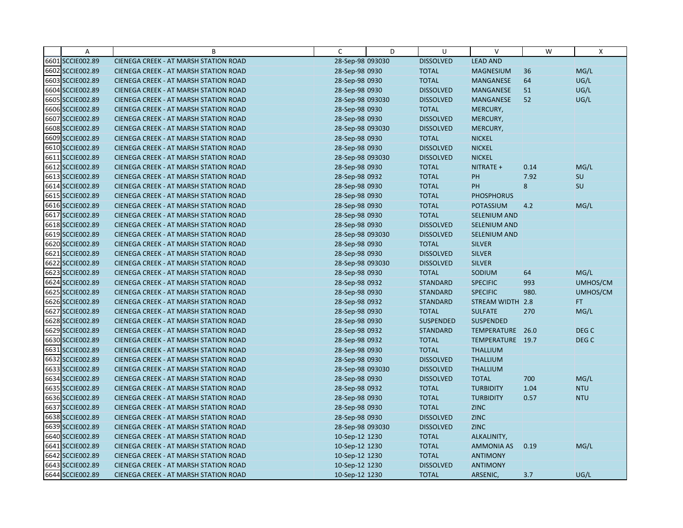| Α                | B                                            | C                | D | U                | $\vee$              | W    | X                |
|------------------|----------------------------------------------|------------------|---|------------------|---------------------|------|------------------|
| 6601 SCCIE002.89 | CIENEGA CREEK - AT MARSH STATION ROAD        | 28-Sep-98 093030 |   | <b>DISSOLVED</b> | <b>LEAD AND</b>     |      |                  |
| 6602 SCCIE002.89 | CIENEGA CREEK - AT MARSH STATION ROAD        | 28-Sep-98 0930   |   | <b>TOTAL</b>     | <b>MAGNESIUM</b>    | 36   | MG/L             |
| 6603 SCCIE002.89 | <b>CIENEGA CREEK - AT MARSH STATION ROAD</b> | 28-Sep-98 0930   |   | <b>TOTAL</b>     | <b>MANGANESE</b>    | 64   | UG/L             |
| 6604 SCCIE002.89 | CIENEGA CREEK - AT MARSH STATION ROAD        | 28-Sep-98 0930   |   | <b>DISSOLVED</b> | <b>MANGANESE</b>    | 51   | UG/L             |
| 6605 SCCIE002.89 | CIENEGA CREEK - AT MARSH STATION ROAD        | 28-Sep-98 093030 |   | <b>DISSOLVED</b> | MANGANESE           | 52   | UG/L             |
| 6606 SCCIE002.89 | CIENEGA CREEK - AT MARSH STATION ROAD        | 28-Sep-98 0930   |   | <b>TOTAL</b>     | MERCURY,            |      |                  |
| 6607 SCCIE002.89 | <b>CIENEGA CREEK - AT MARSH STATION ROAD</b> | 28-Sep-98 0930   |   | <b>DISSOLVED</b> | MERCURY,            |      |                  |
| 6608 SCCIE002.89 | CIENEGA CREEK - AT MARSH STATION ROAD        | 28-Sep-98 093030 |   | <b>DISSOLVED</b> | MERCURY,            |      |                  |
| 6609 SCCIE002.89 | CIENEGA CREEK - AT MARSH STATION ROAD        | 28-Sep-98 0930   |   | <b>TOTAL</b>     | <b>NICKEL</b>       |      |                  |
| 6610 SCCIE002.89 | CIENEGA CREEK - AT MARSH STATION ROAD        | 28-Sep-98 0930   |   | <b>DISSOLVED</b> | <b>NICKEL</b>       |      |                  |
| 6611 SCCIE002.89 | <b>CIENEGA CREEK - AT MARSH STATION ROAD</b> | 28-Sep-98 093030 |   | <b>DISSOLVED</b> | <b>NICKEL</b>       |      |                  |
| 6612 SCCIE002.89 | CIENEGA CREEK - AT MARSH STATION ROAD        | 28-Sep-98 0930   |   | <b>TOTAL</b>     | NITRATE +           | 0.14 | MG/L             |
| 6613 SCCIE002.89 | CIENEGA CREEK - AT MARSH STATION ROAD        | 28-Sep-98 0932   |   | <b>TOTAL</b>     | PH                  | 7.92 | <b>SU</b>        |
| 6614 SCCIE002.89 | CIENEGA CREEK - AT MARSH STATION ROAD        | 28-Sep-98 0930   |   | <b>TOTAL</b>     | PH                  | 8    | SU               |
| 6615 SCCIE002.89 | <b>CIENEGA CREEK - AT MARSH STATION ROAD</b> | 28-Sep-98 0930   |   | <b>TOTAL</b>     | <b>PHOSPHORUS</b>   |      |                  |
| 6616 SCCIE002.89 | CIENEGA CREEK - AT MARSH STATION ROAD        | 28-Sep-98 0930   |   | <b>TOTAL</b>     | POTASSIUM           | 4.2  | MG/L             |
| 6617 SCCIE002.89 | CIENEGA CREEK - AT MARSH STATION ROAD        | 28-Sep-98 0930   |   | <b>TOTAL</b>     | <b>SELENIUM AND</b> |      |                  |
| 6618 SCCIE002.89 | <b>CIENEGA CREEK - AT MARSH STATION ROAD</b> | 28-Sep-98 0930   |   | <b>DISSOLVED</b> | SELENIUM AND        |      |                  |
| 6619 SCCIE002.89 | <b>CIENEGA CREEK - AT MARSH STATION ROAD</b> | 28-Sep-98 093030 |   | <b>DISSOLVED</b> | <b>SELENIUM AND</b> |      |                  |
| 6620 SCCIE002.89 | <b>CIENEGA CREEK - AT MARSH STATION ROAD</b> | 28-Sep-98 0930   |   | <b>TOTAL</b>     | <b>SILVER</b>       |      |                  |
| 6621 SCCIE002.89 | <b>CIENEGA CREEK - AT MARSH STATION ROAD</b> | 28-Sep-98 0930   |   | <b>DISSOLVED</b> | <b>SILVER</b>       |      |                  |
| 6622 SCCIE002.89 | CIENEGA CREEK - AT MARSH STATION ROAD        | 28-Sep-98 093030 |   | <b>DISSOLVED</b> | <b>SILVER</b>       |      |                  |
| 6623 SCCIE002.89 | <b>CIENEGA CREEK - AT MARSH STATION ROAD</b> | 28-Sep-98 0930   |   | <b>TOTAL</b>     | SODIUM              | 64   | MG/L             |
| 6624 SCCIE002.89 | <b>CIENEGA CREEK - AT MARSH STATION ROAD</b> | 28-Sep-98 0932   |   | <b>STANDARD</b>  | <b>SPECIFIC</b>     | 993  | UMHOS/CM         |
| 6625 SCCIE002.89 | CIENEGA CREEK - AT MARSH STATION ROAD        | 28-Sep-98 0930   |   | <b>STANDARD</b>  | <b>SPECIFIC</b>     | 980. | UMHOS/CM         |
| 6626 SCCIE002.89 | CIENEGA CREEK - AT MARSH STATION ROAD        | 28-Sep-98 0932   |   | <b>STANDARD</b>  | <b>STREAM WIDTH</b> | 2.8  | FT.              |
| 6627 SCCIE002.89 | <b>CIENEGA CREEK - AT MARSH STATION ROAD</b> | 28-Sep-98 0930   |   | <b>TOTAL</b>     | <b>SULFATE</b>      | 270  | MG/L             |
| 6628 SCCIE002.89 | <b>CIENEGA CREEK - AT MARSH STATION ROAD</b> | 28-Sep-98 0930   |   | <b>SUSPENDED</b> | <b>SUSPENDED</b>    |      |                  |
| 6629 SCCIE002.89 | <b>CIENEGA CREEK - AT MARSH STATION ROAD</b> | 28-Sep-98 0932   |   | <b>STANDARD</b>  | TEMPERATURE         | 26.0 | DEG C            |
| 6630 SCCIE002.89 | <b>CIENEGA CREEK - AT MARSH STATION ROAD</b> | 28-Sep-98 0932   |   | <b>TOTAL</b>     | TEMPERATURE 19.7    |      | DEG <sub>C</sub> |
| 6631 SCCIE002.89 | CIENEGA CREEK - AT MARSH STATION ROAD        | 28-Sep-98 0930   |   | <b>TOTAL</b>     | <b>THALLIUM</b>     |      |                  |
| 6632 SCCIE002.89 | <b>CIENEGA CREEK - AT MARSH STATION ROAD</b> | 28-Sep-98 0930   |   | <b>DISSOLVED</b> | <b>THALLIUM</b>     |      |                  |
| 6633 SCCIE002.89 | <b>CIENEGA CREEK - AT MARSH STATION ROAD</b> | 28-Sep-98 093030 |   | <b>DISSOLVED</b> | <b>THALLIUM</b>     |      |                  |
| 6634 SCCIE002.89 | CIENEGA CREEK - AT MARSH STATION ROAD        | 28-Sep-98 0930   |   | <b>DISSOLVED</b> | <b>TOTAL</b>        | 700  | MG/L             |
| 6635 SCCIE002.89 | <b>CIENEGA CREEK - AT MARSH STATION ROAD</b> | 28-Sep-98 0932   |   | <b>TOTAL</b>     | <b>TURBIDITY</b>    | 1.04 | <b>NTU</b>       |
| 6636 SCCIE002.89 | CIENEGA CREEK - AT MARSH STATION ROAD        | 28-Sep-98 0930   |   | <b>TOTAL</b>     | <b>TURBIDITY</b>    | 0.57 | <b>NTU</b>       |
| 6637 SCCIE002.89 | <b>CIENEGA CREEK - AT MARSH STATION ROAD</b> | 28-Sep-98 0930   |   | <b>TOTAL</b>     | <b>ZINC</b>         |      |                  |
| 6638 SCCIE002.89 | CIENEGA CREEK - AT MARSH STATION ROAD        | 28-Sep-98 0930   |   | <b>DISSOLVED</b> | <b>ZINC</b>         |      |                  |
| 6639 SCCIE002.89 | CIENEGA CREEK - AT MARSH STATION ROAD        | 28-Sep-98 093030 |   | <b>DISSOLVED</b> | <b>ZINC</b>         |      |                  |
| 6640 SCCIE002.89 | <b>CIENEGA CREEK - AT MARSH STATION ROAD</b> | 10-Sep-12 1230   |   | <b>TOTAL</b>     | ALKALINITY,         |      |                  |
| 6641 SCCIE002.89 | <b>CIENEGA CREEK - AT MARSH STATION ROAD</b> | 10-Sep-12 1230   |   | <b>TOTAL</b>     | <b>AMMONIA AS</b>   | 0.19 | MG/L             |
| 6642 SCCIE002.89 | CIENEGA CREEK - AT MARSH STATION ROAD        | 10-Sep-12 1230   |   | <b>TOTAL</b>     | <b>ANTIMONY</b>     |      |                  |
| 6643 SCCIE002.89 | CIENEGA CREEK - AT MARSH STATION ROAD        | 10-Sep-12 1230   |   | <b>DISSOLVED</b> | <b>ANTIMONY</b>     |      |                  |
| 6644 SCCIE002.89 | <b>CIENEGA CREEK - AT MARSH STATION ROAD</b> | 10-Sep-12 1230   |   | <b>TOTAL</b>     | ARSENIC,            | 3.7  | UG/L             |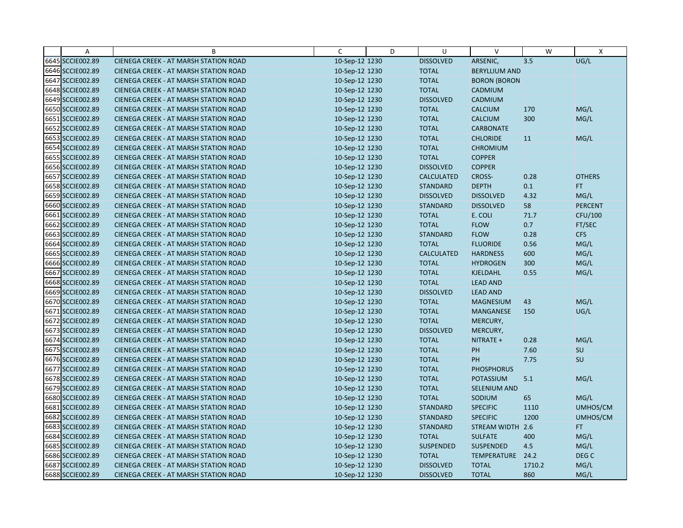| A                | B                                            | C              | D | U                 | V                    | W      | $\mathsf{X}$     |
|------------------|----------------------------------------------|----------------|---|-------------------|----------------------|--------|------------------|
| 6645 SCCIE002.89 | CIENEGA CREEK - AT MARSH STATION ROAD        | 10-Sep-12 1230 |   | <b>DISSOLVED</b>  | ARSENIC,             | 3.5    | UG/L             |
| 6646 SCCIE002.89 | <b>CIENEGA CREEK - AT MARSH STATION ROAD</b> | 10-Sep-12 1230 |   | <b>TOTAL</b>      | <b>BERYLLIUM AND</b> |        |                  |
| 6647 SCCIE002.89 | <b>CIENEGA CREEK - AT MARSH STATION ROAD</b> | 10-Sep-12 1230 |   | <b>TOTAL</b>      | <b>BORON (BORON</b>  |        |                  |
| 6648 SCCIE002.89 | <b>CIENEGA CREEK - AT MARSH STATION ROAD</b> | 10-Sep-12 1230 |   | <b>TOTAL</b>      | CADMIUM              |        |                  |
| 6649 SCCIE002.89 | <b>CIENEGA CREEK - AT MARSH STATION ROAD</b> | 10-Sep-12 1230 |   | <b>DISSOLVED</b>  | CADMIUM              |        |                  |
| 6650 SCCIE002.89 | <b>CIENEGA CREEK - AT MARSH STATION ROAD</b> | 10-Sep-12 1230 |   | <b>TOTAL</b>      | <b>CALCIUM</b>       | 170    | MG/L             |
| 6651 SCCIE002.89 | CIENEGA CREEK - AT MARSH STATION ROAD        | 10-Sep-12 1230 |   | <b>TOTAL</b>      | <b>CALCIUM</b>       | 300    | MG/L             |
| 6652 SCCIE002.89 | CIENEGA CREEK - AT MARSH STATION ROAD        | 10-Sep-12 1230 |   | <b>TOTAL</b>      | <b>CARBONATE</b>     |        |                  |
| 6653 SCCIE002.89 | CIENEGA CREEK - AT MARSH STATION ROAD        | 10-Sep-12 1230 |   | <b>TOTAL</b>      | <b>CHLORIDE</b>      | 11     | MG/L             |
| 6654 SCCIE002.89 | CIENEGA CREEK - AT MARSH STATION ROAD        | 10-Sep-12 1230 |   | <b>TOTAL</b>      | <b>CHROMIUM</b>      |        |                  |
| 6655 SCCIE002.89 | <b>CIENEGA CREEK - AT MARSH STATION ROAD</b> | 10-Sep-12 1230 |   | <b>TOTAL</b>      | <b>COPPER</b>        |        |                  |
| 6656 SCCIE002.89 | <b>CIENEGA CREEK - AT MARSH STATION ROAD</b> | 10-Sep-12 1230 |   | <b>DISSOLVED</b>  | <b>COPPER</b>        |        |                  |
| 6657 SCCIE002.89 | CIENEGA CREEK - AT MARSH STATION ROAD        | 10-Sep-12 1230 |   | <b>CALCULATED</b> | CROSS-               | 0.28   | <b>OTHERS</b>    |
| 6658 SCCIE002.89 | CIENEGA CREEK - AT MARSH STATION ROAD        | 10-Sep-12 1230 |   | <b>STANDARD</b>   | <b>DEPTH</b>         | 0.1    | FT.              |
| 6659 SCCIE002.89 | CIENEGA CREEK - AT MARSH STATION ROAD        | 10-Sep-12 1230 |   | <b>DISSOLVED</b>  | <b>DISSOLVED</b>     | 4.32   | MG/L             |
| 6660 SCCIE002.89 | <b>CIENEGA CREEK - AT MARSH STATION ROAD</b> | 10-Sep-12 1230 |   | <b>STANDARD</b>   | <b>DISSOLVED</b>     | 58     | <b>PERCENT</b>   |
| 6661 SCCIE002.89 | CIENEGA CREEK - AT MARSH STATION ROAD        | 10-Sep-12 1230 |   | <b>TOTAL</b>      | E. COLI              | 71.7   | CFU/100          |
| 6662 SCCIE002.89 | <b>CIENEGA CREEK - AT MARSH STATION ROAD</b> | 10-Sep-12 1230 |   | <b>TOTAL</b>      | <b>FLOW</b>          | 0.7    | FT/SEC           |
| 6663 SCCIE002.89 | <b>CIENEGA CREEK - AT MARSH STATION ROAD</b> | 10-Sep-12 1230 |   | <b>STANDARD</b>   | <b>FLOW</b>          | 0.28   | <b>CFS</b>       |
| 6664 SCCIE002.89 | CIENEGA CREEK - AT MARSH STATION ROAD        | 10-Sep-12 1230 |   | <b>TOTAL</b>      | <b>FLUORIDE</b>      | 0.56   | MG/L             |
| 6665 SCCIE002.89 | <b>CIENEGA CREEK - AT MARSH STATION ROAD</b> | 10-Sep-12 1230 |   | <b>CALCULATED</b> | <b>HARDNESS</b>      | 600    | MG/L             |
| 6666 SCCIE002.89 | CIENEGA CREEK - AT MARSH STATION ROAD        | 10-Sep-12 1230 |   | <b>TOTAL</b>      | <b>HYDROGEN</b>      | 300    | MG/L             |
| 6667 SCCIE002.89 | CIENEGA CREEK - AT MARSH STATION ROAD        | 10-Sep-12 1230 |   | <b>TOTAL</b>      | KJELDAHL             | 0.55   | MG/L             |
| 6668 SCCIE002.89 | CIENEGA CREEK - AT MARSH STATION ROAD        | 10-Sep-12 1230 |   | <b>TOTAL</b>      | <b>LEAD AND</b>      |        |                  |
| 6669 SCCIE002.89 | CIENEGA CREEK - AT MARSH STATION ROAD        | 10-Sep-12 1230 |   | <b>DISSOLVED</b>  | <b>LEAD AND</b>      |        |                  |
| 6670 SCCIE002.89 | CIENEGA CREEK - AT MARSH STATION ROAD        | 10-Sep-12 1230 |   | <b>TOTAL</b>      | <b>MAGNESIUM</b>     | 43     | MG/L             |
| 6671 SCCIE002.89 | CIENEGA CREEK - AT MARSH STATION ROAD        | 10-Sep-12 1230 |   | <b>TOTAL</b>      | MANGANESE            | 150    | UG/L             |
| 6672 SCCIE002.89 | CIENEGA CREEK - AT MARSH STATION ROAD        | 10-Sep-12 1230 |   | <b>TOTAL</b>      | MERCURY,             |        |                  |
| 6673 SCCIE002.89 | CIENEGA CREEK - AT MARSH STATION ROAD        | 10-Sep-12 1230 |   | <b>DISSOLVED</b>  | MERCURY,             |        |                  |
| 6674 SCCIE002.89 | <b>CIENEGA CREEK - AT MARSH STATION ROAD</b> | 10-Sep-12 1230 |   | <b>TOTAL</b>      | NITRATE +            | 0.28   | MG/L             |
| 6675 SCCIE002.89 | CIENEGA CREEK - AT MARSH STATION ROAD        | 10-Sep-12 1230 |   | <b>TOTAL</b>      | PH                   | 7.60   | SU               |
| 6676 SCCIE002.89 | <b>CIENEGA CREEK - AT MARSH STATION ROAD</b> | 10-Sep-12 1230 |   | <b>TOTAL</b>      | PH                   | 7.75   | SU               |
| 6677 SCCIE002.89 | CIENEGA CREEK - AT MARSH STATION ROAD        | 10-Sep-12 1230 |   | <b>TOTAL</b>      | <b>PHOSPHORUS</b>    |        |                  |
| 6678 SCCIE002.89 | <b>CIENEGA CREEK - AT MARSH STATION ROAD</b> | 10-Sep-12 1230 |   | <b>TOTAL</b>      | <b>POTASSIUM</b>     | 5.1    | MG/L             |
| 6679 SCCIE002.89 | CIENEGA CREEK - AT MARSH STATION ROAD        | 10-Sep-12 1230 |   | <b>TOTAL</b>      | <b>SELENIUM AND</b>  |        |                  |
| 6680 SCCIE002.89 | CIENEGA CREEK - AT MARSH STATION ROAD        | 10-Sep-12 1230 |   | <b>TOTAL</b>      | SODIUM               | 65     | MG/L             |
| 6681 SCCIE002.89 | <b>CIENEGA CREEK - AT MARSH STATION ROAD</b> | 10-Sep-12 1230 |   | <b>STANDARD</b>   | <b>SPECIFIC</b>      | 1110   | UMHOS/CM         |
| 6682 SCCIE002.89 | CIENEGA CREEK - AT MARSH STATION ROAD        | 10-Sep-12 1230 |   | <b>STANDARD</b>   | <b>SPECIFIC</b>      | 1200   | UMHOS/CM         |
| 6683 SCCIE002.89 | CIENEGA CREEK - AT MARSH STATION ROAD        | 10-Sep-12 1230 |   | <b>STANDARD</b>   | STREAM WIDTH 2.6     |        | FT.              |
| 6684 SCCIE002.89 | <b>CIENEGA CREEK - AT MARSH STATION ROAD</b> | 10-Sep-12 1230 |   | <b>TOTAL</b>      | <b>SULFATE</b>       | 400    | MG/L             |
| 6685 SCCIE002.89 | <b>CIENEGA CREEK - AT MARSH STATION ROAD</b> | 10-Sep-12 1230 |   | <b>SUSPENDED</b>  | <b>SUSPENDED</b>     | 4.5    | MG/L             |
| 6686 SCCIE002.89 | CIENEGA CREEK - AT MARSH STATION ROAD        | 10-Sep-12 1230 |   | <b>TOTAL</b>      | TEMPERATURE 24.2     |        | DEG <sub>C</sub> |
| 6687 SCCIE002.89 | CIENEGA CREEK - AT MARSH STATION ROAD        | 10-Sep-12 1230 |   | <b>DISSOLVED</b>  | <b>TOTAL</b>         | 1710.2 | MG/L             |
| 6688 SCCIE002.89 | CIENEGA CREEK - AT MARSH STATION ROAD        | 10-Sep-12 1230 |   | <b>DISSOLVED</b>  | <b>TOTAL</b>         | 860    | MG/L             |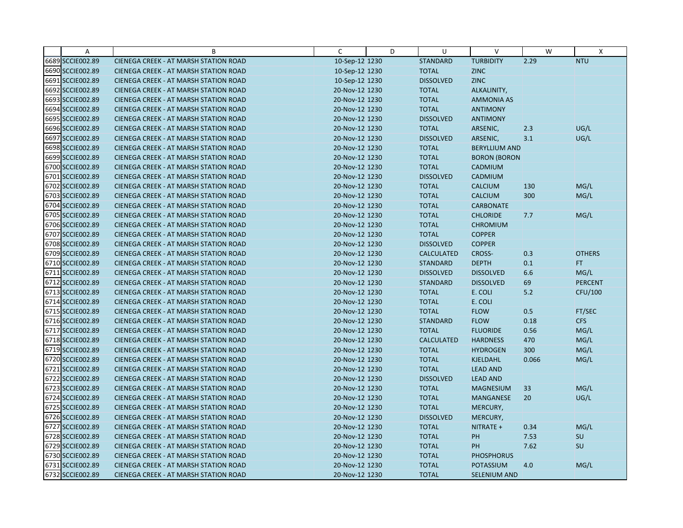| $\overline{A}$   | B                                            | $\mathsf{C}$   | D | U                 | $\vee$               | W     | X              |
|------------------|----------------------------------------------|----------------|---|-------------------|----------------------|-------|----------------|
| 6689 SCCIE002.89 | CIENEGA CREEK - AT MARSH STATION ROAD        | 10-Sep-12 1230 |   | <b>STANDARD</b>   | <b>TURBIDITY</b>     | 2.29  | <b>NTU</b>     |
| 6690 SCCIE002.89 | <b>CIENEGA CREEK - AT MARSH STATION ROAD</b> | 10-Sep-12 1230 |   | <b>TOTAL</b>      | <b>ZINC</b>          |       |                |
| 6691 SCCIE002.89 | <b>CIENEGA CREEK - AT MARSH STATION ROAD</b> | 10-Sep-12 1230 |   | <b>DISSOLVED</b>  | <b>ZINC</b>          |       |                |
| 6692 SCCIE002.89 | <b>CIENEGA CREEK - AT MARSH STATION ROAD</b> | 20-Nov-12 1230 |   | <b>TOTAL</b>      | ALKALINITY,          |       |                |
| 6693 SCCIE002.89 | <b>CIENEGA CREEK - AT MARSH STATION ROAD</b> | 20-Nov-12 1230 |   | <b>TOTAL</b>      | <b>AMMONIA AS</b>    |       |                |
| 6694 SCCIE002.89 | <b>CIENEGA CREEK - AT MARSH STATION ROAD</b> | 20-Nov-12 1230 |   | <b>TOTAL</b>      | <b>ANTIMONY</b>      |       |                |
| 6695 SCCIE002.89 | <b>CIENEGA CREEK - AT MARSH STATION ROAD</b> | 20-Nov-12 1230 |   | <b>DISSOLVED</b>  | <b>ANTIMONY</b>      |       |                |
| 6696 SCCIE002.89 | <b>CIENEGA CREEK - AT MARSH STATION ROAD</b> | 20-Nov-12 1230 |   | <b>TOTAL</b>      | ARSENIC,             | 2.3   | UG/L           |
| 6697 SCCIE002.89 | CIENEGA CREEK - AT MARSH STATION ROAD        | 20-Nov-12 1230 |   | <b>DISSOLVED</b>  | ARSENIC,             | 3.1   | UG/L           |
| 6698 SCCIE002.89 | <b>CIENEGA CREEK - AT MARSH STATION ROAD</b> | 20-Nov-12 1230 |   | <b>TOTAL</b>      | <b>BERYLLIUM AND</b> |       |                |
| 6699 SCCIE002.89 | <b>CIENEGA CREEK - AT MARSH STATION ROAD</b> | 20-Nov-12 1230 |   | <b>TOTAL</b>      | <b>BORON (BORON</b>  |       |                |
| 6700 SCCIE002.89 | CIENEGA CREEK - AT MARSH STATION ROAD        | 20-Nov-12 1230 |   | <b>TOTAL</b>      | CADMIUM              |       |                |
| 6701 SCCIE002.89 | <b>CIENEGA CREEK - AT MARSH STATION ROAD</b> | 20-Nov-12 1230 |   | <b>DISSOLVED</b>  | CADMIUM              |       |                |
| 6702 SCCIE002.89 | <b>CIENEGA CREEK - AT MARSH STATION ROAD</b> | 20-Nov-12 1230 |   | <b>TOTAL</b>      | <b>CALCIUM</b>       | 130   | MG/L           |
| 6703 SCCIE002.89 | <b>CIENEGA CREEK - AT MARSH STATION ROAD</b> | 20-Nov-12 1230 |   | <b>TOTAL</b>      | <b>CALCIUM</b>       | 300   | MG/L           |
| 6704 SCCIE002.89 | <b>CIENEGA CREEK - AT MARSH STATION ROAD</b> | 20-Nov-12 1230 |   | <b>TOTAL</b>      | <b>CARBONATE</b>     |       |                |
| 6705 SCCIE002.89 | <b>CIENEGA CREEK - AT MARSH STATION ROAD</b> | 20-Nov-12 1230 |   | <b>TOTAL</b>      | <b>CHLORIDE</b>      | 7.7   | MG/L           |
| 6706 SCCIE002.89 | <b>CIENEGA CREEK - AT MARSH STATION ROAD</b> | 20-Nov-12 1230 |   | <b>TOTAL</b>      | <b>CHROMIUM</b>      |       |                |
| 6707 SCCIE002.89 | <b>CIENEGA CREEK - AT MARSH STATION ROAD</b> | 20-Nov-12 1230 |   | <b>TOTAL</b>      | <b>COPPER</b>        |       |                |
| 6708 SCCIE002.89 | <b>CIENEGA CREEK - AT MARSH STATION ROAD</b> | 20-Nov-12 1230 |   | <b>DISSOLVED</b>  | <b>COPPER</b>        |       |                |
| 6709 SCCIE002.89 | <b>CIENEGA CREEK - AT MARSH STATION ROAD</b> | 20-Nov-12 1230 |   | <b>CALCULATED</b> | <b>CROSS-</b>        | 0.3   | <b>OTHERS</b>  |
| 6710 SCCIE002.89 | <b>CIENEGA CREEK - AT MARSH STATION ROAD</b> | 20-Nov-12 1230 |   | <b>STANDARD</b>   | <b>DEPTH</b>         | 0.1   | FT.            |
| 6711 SCCIE002.89 | CIENEGA CREEK - AT MARSH STATION ROAD        | 20-Nov-12 1230 |   | <b>DISSOLVED</b>  | <b>DISSOLVED</b>     | 6.6   | MG/L           |
| 6712 SCCIE002.89 | <b>CIENEGA CREEK - AT MARSH STATION ROAD</b> | 20-Nov-12 1230 |   | <b>STANDARD</b>   | <b>DISSOLVED</b>     | 69    | <b>PERCENT</b> |
| 6713 SCCIE002.89 | CIENEGA CREEK - AT MARSH STATION ROAD        | 20-Nov-12 1230 |   | <b>TOTAL</b>      | E. COLI              | 5.2   | CFU/100        |
| 6714 SCCIE002.89 | <b>CIENEGA CREEK - AT MARSH STATION ROAD</b> | 20-Nov-12 1230 |   | <b>TOTAL</b>      | E. COLI              |       |                |
| 6715 SCCIE002.89 | CIENEGA CREEK - AT MARSH STATION ROAD        | 20-Nov-12 1230 |   | <b>TOTAL</b>      | <b>FLOW</b>          | 0.5   | FT/SEC         |
| 6716 SCCIE002.89 | <b>CIENEGA CREEK - AT MARSH STATION ROAD</b> | 20-Nov-12 1230 |   | <b>STANDARD</b>   | <b>FLOW</b>          | 0.18  | <b>CFS</b>     |
| 6717 SCCIE002.89 | <b>CIENEGA CREEK - AT MARSH STATION ROAD</b> | 20-Nov-12 1230 |   | <b>TOTAL</b>      | <b>FLUORIDE</b>      | 0.56  | MG/L           |
| 6718 SCCIE002.89 | <b>CIENEGA CREEK - AT MARSH STATION ROAD</b> | 20-Nov-12 1230 |   | <b>CALCULATED</b> | <b>HARDNESS</b>      | 470   | MG/L           |
| 6719 SCCIE002.89 | CIENEGA CREEK - AT MARSH STATION ROAD        | 20-Nov-12 1230 |   | <b>TOTAL</b>      | <b>HYDROGEN</b>      | 300   | MG/L           |
| 6720 SCCIE002.89 | <b>CIENEGA CREEK - AT MARSH STATION ROAD</b> | 20-Nov-12 1230 |   | <b>TOTAL</b>      | KJELDAHL             | 0.066 | MG/L           |
| 6721 SCCIE002.89 | <b>CIENEGA CREEK - AT MARSH STATION ROAD</b> | 20-Nov-12 1230 |   | <b>TOTAL</b>      | <b>LEAD AND</b>      |       |                |
| 6722 SCCIE002.89 | <b>CIENEGA CREEK - AT MARSH STATION ROAD</b> | 20-Nov-12 1230 |   | <b>DISSOLVED</b>  | <b>LEAD AND</b>      |       |                |
| 6723 SCCIE002.89 | <b>CIENEGA CREEK - AT MARSH STATION ROAD</b> | 20-Nov-12 1230 |   | <b>TOTAL</b>      | <b>MAGNESIUM</b>     | 33    | MG/L           |
| 6724 SCCIE002.89 | <b>CIENEGA CREEK - AT MARSH STATION ROAD</b> | 20-Nov-12 1230 |   | <b>TOTAL</b>      | <b>MANGANESE</b>     | 20    | UG/L           |
| 6725 SCCIE002.89 | <b>CIENEGA CREEK - AT MARSH STATION ROAD</b> | 20-Nov-12 1230 |   | <b>TOTAL</b>      | MERCURY,             |       |                |
| 6726 SCCIE002.89 | CIENEGA CREEK - AT MARSH STATION ROAD        | 20-Nov-12 1230 |   | <b>DISSOLVED</b>  | MERCURY,             |       |                |
| 6727 SCCIE002.89 | <b>CIENEGA CREEK - AT MARSH STATION ROAD</b> | 20-Nov-12 1230 |   | <b>TOTAL</b>      | NITRATE +            | 0.34  | MG/L           |
| 6728 SCCIE002.89 | <b>CIENEGA CREEK - AT MARSH STATION ROAD</b> | 20-Nov-12 1230 |   | <b>TOTAL</b>      | PH                   | 7.53  | SU             |
| 6729 SCCIE002.89 | <b>CIENEGA CREEK - AT MARSH STATION ROAD</b> | 20-Nov-12 1230 |   | <b>TOTAL</b>      | PH                   | 7.62  | SU             |
| 6730 SCCIE002.89 | CIENEGA CREEK - AT MARSH STATION ROAD        | 20-Nov-12 1230 |   | <b>TOTAL</b>      | <b>PHOSPHORUS</b>    |       |                |
| 6731 SCCIE002.89 | <b>CIENEGA CREEK - AT MARSH STATION ROAD</b> | 20-Nov-12 1230 |   | <b>TOTAL</b>      | POTASSIUM            | 4.0   | MG/L           |
| 6732 SCCIE002.89 | CIENEGA CREEK - AT MARSH STATION ROAD        | 20-Nov-12 1230 |   | <b>TOTAL</b>      | <b>SELENIUM AND</b>  |       |                |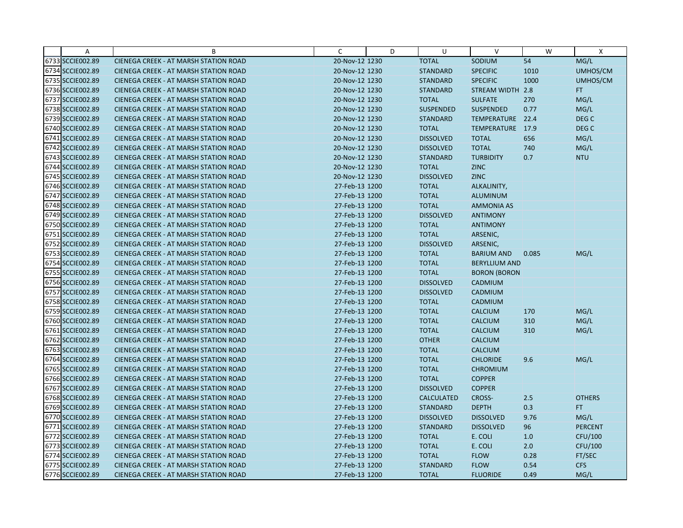| Α                | B                                            | C              | D | U                 | $\vee$               | W     | X                |
|------------------|----------------------------------------------|----------------|---|-------------------|----------------------|-------|------------------|
| 6733 SCCIE002.89 | <b>CIENEGA CREEK - AT MARSH STATION ROAD</b> | 20-Nov-12 1230 |   | <b>TOTAL</b>      | SODIUM               | 54    | MG/L             |
| 6734 SCCIE002.89 | <b>CIENEGA CREEK - AT MARSH STATION ROAD</b> | 20-Nov-12 1230 |   | <b>STANDARD</b>   | <b>SPECIFIC</b>      | 1010  | UMHOS/CM         |
| 6735 SCCIE002.89 | <b>CIENEGA CREEK - AT MARSH STATION ROAD</b> | 20-Nov-12 1230 |   | <b>STANDARD</b>   | <b>SPECIFIC</b>      | 1000  | UMHOS/CM         |
| 6736 SCCIE002.89 | <b>CIENEGA CREEK - AT MARSH STATION ROAD</b> | 20-Nov-12 1230 |   | <b>STANDARD</b>   | STREAM WIDTH 2.8     |       | FT.              |
| 6737 SCCIE002.89 | <b>CIENEGA CREEK - AT MARSH STATION ROAD</b> | 20-Nov-12 1230 |   | <b>TOTAL</b>      | <b>SULFATE</b>       | 270   | MG/L             |
| 6738 SCCIE002.89 | <b>CIENEGA CREEK - AT MARSH STATION ROAD</b> | 20-Nov-12 1230 |   | <b>SUSPENDED</b>  | <b>SUSPENDED</b>     | 0.77  | MG/L             |
| 6739 SCCIE002.89 | <b>CIENEGA CREEK - AT MARSH STATION ROAD</b> | 20-Nov-12 1230 |   | <b>STANDARD</b>   | TEMPERATURE 22.4     |       | DEG <sub>C</sub> |
| 6740 SCCIE002.89 | <b>CIENEGA CREEK - AT MARSH STATION ROAD</b> | 20-Nov-12 1230 |   | <b>TOTAL</b>      | TEMPERATURE 17.9     |       | DEG C            |
| 6741 SCCIE002.89 | CIENEGA CREEK - AT MARSH STATION ROAD        | 20-Nov-12 1230 |   | <b>DISSOLVED</b>  | <b>TOTAL</b>         | 656   | MG/L             |
| 6742 SCCIE002.89 | <b>CIENEGA CREEK - AT MARSH STATION ROAD</b> | 20-Nov-12 1230 |   | <b>DISSOLVED</b>  | <b>TOTAL</b>         | 740   | MG/L             |
| 6743 SCCIE002.89 | <b>CIENEGA CREEK - AT MARSH STATION ROAD</b> | 20-Nov-12 1230 |   | <b>STANDARD</b>   | <b>TURBIDITY</b>     | 0.7   | <b>NTU</b>       |
| 6744 SCCIE002.89 | <b>CIENEGA CREEK - AT MARSH STATION ROAD</b> | 20-Nov-12 1230 |   | <b>TOTAL</b>      | <b>ZINC</b>          |       |                  |
| 6745 SCCIE002.89 | <b>CIENEGA CREEK - AT MARSH STATION ROAD</b> | 20-Nov-12 1230 |   | <b>DISSOLVED</b>  | <b>ZINC</b>          |       |                  |
| 6746 SCCIE002.89 | <b>CIENEGA CREEK - AT MARSH STATION ROAD</b> | 27-Feb-13 1200 |   | <b>TOTAL</b>      | ALKALINITY,          |       |                  |
| 6747 SCCIE002.89 | <b>CIENEGA CREEK - AT MARSH STATION ROAD</b> | 27-Feb-13 1200 |   | <b>TOTAL</b>      | <b>ALUMINUM</b>      |       |                  |
| 6748 SCCIE002.89 | <b>CIENEGA CREEK - AT MARSH STATION ROAD</b> | 27-Feb-13 1200 |   | <b>TOTAL</b>      | <b>AMMONIA AS</b>    |       |                  |
| 6749 SCCIE002.89 | CIENEGA CREEK - AT MARSH STATION ROAD        | 27-Feb-13 1200 |   | <b>DISSOLVED</b>  | <b>ANTIMONY</b>      |       |                  |
| 6750 SCCIE002.89 | <b>CIENEGA CREEK - AT MARSH STATION ROAD</b> | 27-Feb-13 1200 |   | <b>TOTAL</b>      | <b>ANTIMONY</b>      |       |                  |
| 6751 SCCIE002.89 | <b>CIENEGA CREEK - AT MARSH STATION ROAD</b> | 27-Feb-13 1200 |   | <b>TOTAL</b>      | ARSENIC,             |       |                  |
| 6752 SCCIE002.89 | <b>CIENEGA CREEK - AT MARSH STATION ROAD</b> | 27-Feb-13 1200 |   | <b>DISSOLVED</b>  | ARSENIC,             |       |                  |
| 6753 SCCIE002.89 | <b>CIENEGA CREEK - AT MARSH STATION ROAD</b> | 27-Feb-13 1200 |   | <b>TOTAL</b>      | <b>BARIUM AND</b>    | 0.085 | MG/L             |
| 6754 SCCIE002.89 | <b>CIENEGA CREEK - AT MARSH STATION ROAD</b> | 27-Feb-13 1200 |   | <b>TOTAL</b>      | <b>BERYLLIUM AND</b> |       |                  |
| 6755 SCCIE002.89 | CIENEGA CREEK - AT MARSH STATION ROAD        | 27-Feb-13 1200 |   | <b>TOTAL</b>      | <b>BORON (BORON</b>  |       |                  |
| 6756 SCCIE002.89 | <b>CIENEGA CREEK - AT MARSH STATION ROAD</b> | 27-Feb-13 1200 |   | <b>DISSOLVED</b>  | CADMIUM              |       |                  |
| 6757 SCCIE002.89 | CIENEGA CREEK - AT MARSH STATION ROAD        | 27-Feb-13 1200 |   | <b>DISSOLVED</b>  | CADMIUM              |       |                  |
| 6758 SCCIE002.89 | CIENEGA CREEK - AT MARSH STATION ROAD        | 27-Feb-13 1200 |   | <b>TOTAL</b>      | <b>CADMIUM</b>       |       |                  |
| 6759 SCCIE002.89 | CIENEGA CREEK - AT MARSH STATION ROAD        | 27-Feb-13 1200 |   | <b>TOTAL</b>      | <b>CALCIUM</b>       | 170   | MG/L             |
| 6760 SCCIE002.89 | CIENEGA CREEK - AT MARSH STATION ROAD        | 27-Feb-13 1200 |   | <b>TOTAL</b>      | CALCIUM              | 310   | MG/L             |
| 6761 SCCIE002.89 | <b>CIENEGA CREEK - AT MARSH STATION ROAD</b> | 27-Feb-13 1200 |   | <b>TOTAL</b>      | <b>CALCIUM</b>       | 310   | MG/L             |
| 6762 SCCIE002.89 | <b>CIENEGA CREEK - AT MARSH STATION ROAD</b> | 27-Feb-13 1200 |   | <b>OTHER</b>      | <b>CALCIUM</b>       |       |                  |
| 6763 SCCIE002.89 | <b>CIENEGA CREEK - AT MARSH STATION ROAD</b> | 27-Feb-13 1200 |   | <b>TOTAL</b>      | <b>CALCIUM</b>       |       |                  |
| 6764 SCCIE002.89 | <b>CIENEGA CREEK - AT MARSH STATION ROAD</b> | 27-Feb-13 1200 |   | <b>TOTAL</b>      | <b>CHLORIDE</b>      | 9.6   | MG/L             |
| 6765 SCCIE002.89 | <b>CIENEGA CREEK - AT MARSH STATION ROAD</b> | 27-Feb-13 1200 |   | <b>TOTAL</b>      | <b>CHROMIUM</b>      |       |                  |
| 6766 SCCIE002.89 | <b>CIENEGA CREEK - AT MARSH STATION ROAD</b> | 27-Feb-13 1200 |   | <b>TOTAL</b>      | <b>COPPER</b>        |       |                  |
| 6767 SCCIE002.89 | <b>CIENEGA CREEK - AT MARSH STATION ROAD</b> | 27-Feb-13 1200 |   | <b>DISSOLVED</b>  | <b>COPPER</b>        |       |                  |
| 6768 SCCIE002.89 | <b>CIENEGA CREEK - AT MARSH STATION ROAD</b> | 27-Feb-13 1200 |   | <b>CALCULATED</b> | <b>CROSS-</b>        | 2.5   | <b>OTHERS</b>    |
| 6769 SCCIE002.89 | <b>CIENEGA CREEK - AT MARSH STATION ROAD</b> | 27-Feb-13 1200 |   | <b>STANDARD</b>   | <b>DEPTH</b>         | 0.3   | FT.              |
| 6770 SCCIE002.89 | CIENEGA CREEK - AT MARSH STATION ROAD        | 27-Feb-13 1200 |   | <b>DISSOLVED</b>  | <b>DISSOLVED</b>     | 9.76  | MG/L             |
| 6771 SCCIE002.89 | CIENEGA CREEK - AT MARSH STATION ROAD        | 27-Feb-13 1200 |   | <b>STANDARD</b>   | <b>DISSOLVED</b>     | 96    | <b>PERCENT</b>   |
| 6772 SCCIE002.89 | <b>CIENEGA CREEK - AT MARSH STATION ROAD</b> | 27-Feb-13 1200 |   | <b>TOTAL</b>      | E. COLI              | 1.0   | CFU/100          |
| 6773 SCCIE002.89 | <b>CIENEGA CREEK - AT MARSH STATION ROAD</b> | 27-Feb-13 1200 |   | <b>TOTAL</b>      | E. COLI              | 2.0   | CFU/100          |
| 6774 SCCIE002.89 | CIENEGA CREEK - AT MARSH STATION ROAD        | 27-Feb-13 1200 |   | <b>TOTAL</b>      | <b>FLOW</b>          | 0.28  | FT/SEC           |
| 6775 SCCIE002.89 | <b>CIENEGA CREEK - AT MARSH STATION ROAD</b> | 27-Feb-13 1200 |   | <b>STANDARD</b>   | <b>FLOW</b>          | 0.54  | <b>CFS</b>       |
| 6776 SCCIE002.89 | <b>CIENEGA CREEK - AT MARSH STATION ROAD</b> | 27-Feb-13 1200 |   | <b>TOTAL</b>      | <b>FLUORIDE</b>      | 0.49  | MG/L             |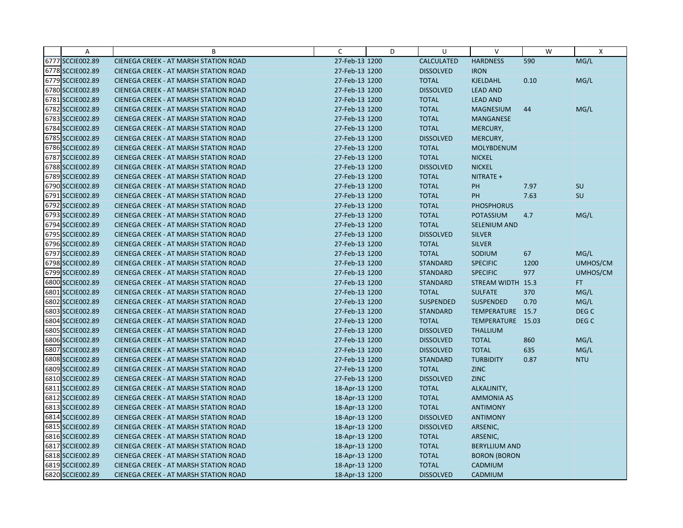| A                | B                                            | C              | D | U                 | $\vee$               | W    | X                |
|------------------|----------------------------------------------|----------------|---|-------------------|----------------------|------|------------------|
| 6777 SCCIE002.89 | CIENEGA CREEK - AT MARSH STATION ROAD        | 27-Feb-13 1200 |   | <b>CALCULATED</b> | <b>HARDNESS</b>      | 590  | MG/L             |
| 6778 SCCIE002.89 | CIENEGA CREEK - AT MARSH STATION ROAD        | 27-Feb-13 1200 |   | <b>DISSOLVED</b>  | <b>IRON</b>          |      |                  |
| 6779 SCCIE002.89 | <b>CIENEGA CREEK - AT MARSH STATION ROAD</b> | 27-Feb-13 1200 |   | <b>TOTAL</b>      | KJELDAHL             | 0.10 | MG/L             |
| 6780 SCCIE002.89 | <b>CIENEGA CREEK - AT MARSH STATION ROAD</b> | 27-Feb-13 1200 |   | <b>DISSOLVED</b>  | <b>LEAD AND</b>      |      |                  |
| 6781 SCCIE002.89 | CIENEGA CREEK - AT MARSH STATION ROAD        | 27-Feb-13 1200 |   | <b>TOTAL</b>      | <b>LEAD AND</b>      |      |                  |
| 6782 SCCIE002.89 | <b>CIENEGA CREEK - AT MARSH STATION ROAD</b> | 27-Feb-13 1200 |   | <b>TOTAL</b>      | <b>MAGNESIUM</b>     | 44   | MG/L             |
| 6783 SCCIE002.89 | <b>CIENEGA CREEK - AT MARSH STATION ROAD</b> | 27-Feb-13 1200 |   | <b>TOTAL</b>      | <b>MANGANESE</b>     |      |                  |
| 6784 SCCIE002.89 | <b>CIENEGA CREEK - AT MARSH STATION ROAD</b> | 27-Feb-13 1200 |   | <b>TOTAL</b>      | MERCURY,             |      |                  |
| 6785 SCCIE002.89 | CIENEGA CREEK - AT MARSH STATION ROAD        | 27-Feb-13 1200 |   | <b>DISSOLVED</b>  | MERCURY,             |      |                  |
| 6786 SCCIE002.89 | <b>CIENEGA CREEK - AT MARSH STATION ROAD</b> | 27-Feb-13 1200 |   | <b>TOTAL</b>      | <b>MOLYBDENUM</b>    |      |                  |
| 6787 SCCIE002.89 | <b>CIENEGA CREEK - AT MARSH STATION ROAD</b> | 27-Feb-13 1200 |   | <b>TOTAL</b>      | <b>NICKEL</b>        |      |                  |
| 6788 SCCIE002.89 | CIENEGA CREEK - AT MARSH STATION ROAD        | 27-Feb-13 1200 |   | <b>DISSOLVED</b>  | <b>NICKEL</b>        |      |                  |
| 6789 SCCIE002.89 | <b>CIENEGA CREEK - AT MARSH STATION ROAD</b> | 27-Feb-13 1200 |   | <b>TOTAL</b>      | NITRATE +            |      |                  |
| 6790 SCCIE002.89 | <b>CIENEGA CREEK - AT MARSH STATION ROAD</b> | 27-Feb-13 1200 |   | <b>TOTAL</b>      | PH                   | 7.97 | <b>SU</b>        |
| 6791 SCCIE002.89 | <b>CIENEGA CREEK - AT MARSH STATION ROAD</b> | 27-Feb-13 1200 |   | <b>TOTAL</b>      | PH                   | 7.63 | SU               |
| 6792 SCCIE002.89 | CIENEGA CREEK - AT MARSH STATION ROAD        | 27-Feb-13 1200 |   | <b>TOTAL</b>      | <b>PHOSPHORUS</b>    |      |                  |
| 6793 SCCIE002.89 | CIENEGA CREEK - AT MARSH STATION ROAD        | 27-Feb-13 1200 |   | <b>TOTAL</b>      | <b>POTASSIUM</b>     | 4.7  | MG/L             |
| 6794 SCCIE002.89 | <b>CIENEGA CREEK - AT MARSH STATION ROAD</b> | 27-Feb-13 1200 |   | <b>TOTAL</b>      | <b>SELENIUM AND</b>  |      |                  |
| 6795 SCCIE002.89 | <b>CIENEGA CREEK - AT MARSH STATION ROAD</b> | 27-Feb-13 1200 |   | <b>DISSOLVED</b>  | <b>SILVER</b>        |      |                  |
| 6796 SCCIE002.89 | <b>CIENEGA CREEK - AT MARSH STATION ROAD</b> | 27-Feb-13 1200 |   | <b>TOTAL</b>      | <b>SILVER</b>        |      |                  |
| 6797 SCCIE002.89 | <b>CIENEGA CREEK - AT MARSH STATION ROAD</b> | 27-Feb-13 1200 |   | <b>TOTAL</b>      | SODIUM               | 67   | MG/L             |
| 6798 SCCIE002.89 | <b>CIENEGA CREEK - AT MARSH STATION ROAD</b> | 27-Feb-13 1200 |   | <b>STANDARD</b>   | <b>SPECIFIC</b>      | 1200 | UMHOS/CM         |
| 6799 SCCIE002.89 | CIENEGA CREEK - AT MARSH STATION ROAD        | 27-Feb-13 1200 |   | <b>STANDARD</b>   | <b>SPECIFIC</b>      | 977  | UMHOS/CM         |
| 6800 SCCIE002.89 | <b>CIENEGA CREEK - AT MARSH STATION ROAD</b> | 27-Feb-13 1200 |   | <b>STANDARD</b>   | STREAM WIDTH 15.3    |      | FT.              |
| 6801 SCCIE002.89 | CIENEGA CREEK - AT MARSH STATION ROAD        | 27-Feb-13 1200 |   | <b>TOTAL</b>      | <b>SULFATE</b>       | 370  | MG/L             |
| 6802 SCCIE002.89 | CIENEGA CREEK - AT MARSH STATION ROAD        | 27-Feb-13 1200 |   | <b>SUSPENDED</b>  | <b>SUSPENDED</b>     | 0.70 | MG/L             |
| 6803 SCCIE002.89 | CIENEGA CREEK - AT MARSH STATION ROAD        | 27-Feb-13 1200 |   | <b>STANDARD</b>   | TEMPERATURE 15.7     |      | DEG C            |
| 6804 SCCIE002.89 | CIENEGA CREEK - AT MARSH STATION ROAD        | 27-Feb-13 1200 |   | <b>TOTAL</b>      | TEMPERATURE 15.03    |      | DEG <sub>C</sub> |
| 6805 SCCIE002.89 | <b>CIENEGA CREEK - AT MARSH STATION ROAD</b> | 27-Feb-13 1200 |   | <b>DISSOLVED</b>  | <b>THALLIUM</b>      |      |                  |
| 6806 SCCIE002.89 | <b>CIENEGA CREEK - AT MARSH STATION ROAD</b> | 27-Feb-13 1200 |   | <b>DISSOLVED</b>  | <b>TOTAL</b>         | 860  | MG/L             |
| 6807 SCCIE002.89 | CIENEGA CREEK - AT MARSH STATION ROAD        | 27-Feb-13 1200 |   | <b>DISSOLVED</b>  | <b>TOTAL</b>         | 635  | MG/L             |
| 6808 SCCIE002.89 | <b>CIENEGA CREEK - AT MARSH STATION ROAD</b> | 27-Feb-13 1200 |   | <b>STANDARD</b>   | <b>TURBIDITY</b>     | 0.87 | <b>NTU</b>       |
| 6809 SCCIE002.89 | <b>CIENEGA CREEK - AT MARSH STATION ROAD</b> | 27-Feb-13 1200 |   | <b>TOTAL</b>      | <b>ZINC</b>          |      |                  |
| 6810 SCCIE002.89 | <b>CIENEGA CREEK - AT MARSH STATION ROAD</b> | 27-Feb-13 1200 |   | <b>DISSOLVED</b>  | <b>ZINC</b>          |      |                  |
| 6811 SCCIE002.89 | <b>CIENEGA CREEK - AT MARSH STATION ROAD</b> | 18-Apr-13 1200 |   | <b>TOTAL</b>      | ALKALINITY,          |      |                  |
| 6812 SCCIE002.89 | <b>CIENEGA CREEK - AT MARSH STATION ROAD</b> | 18-Apr-13 1200 |   | <b>TOTAL</b>      | <b>AMMONIA AS</b>    |      |                  |
| 6813 SCCIE002.89 | <b>CIENEGA CREEK - AT MARSH STATION ROAD</b> | 18-Apr-13 1200 |   | <b>TOTAL</b>      | <b>ANTIMONY</b>      |      |                  |
| 6814 SCCIE002.89 | CIENEGA CREEK - AT MARSH STATION ROAD        | 18-Apr-13 1200 |   | <b>DISSOLVED</b>  | <b>ANTIMONY</b>      |      |                  |
| 6815 SCCIE002.89 | CIENEGA CREEK - AT MARSH STATION ROAD        | 18-Apr-13 1200 |   | <b>DISSOLVED</b>  | ARSENIC,             |      |                  |
| 6816 SCCIE002.89 | <b>CIENEGA CREEK - AT MARSH STATION ROAD</b> | 18-Apr-13 1200 |   | <b>TOTAL</b>      | ARSENIC,             |      |                  |
| 6817 SCCIE002.89 | <b>CIENEGA CREEK - AT MARSH STATION ROAD</b> | 18-Apr-13 1200 |   | <b>TOTAL</b>      | <b>BERYLLIUM AND</b> |      |                  |
| 6818 SCCIE002.89 | CIENEGA CREEK - AT MARSH STATION ROAD        | 18-Apr-13 1200 |   | <b>TOTAL</b>      | <b>BORON (BORON</b>  |      |                  |
| 6819 SCCIE002.89 | CIENEGA CREEK - AT MARSH STATION ROAD        | 18-Apr-13 1200 |   | <b>TOTAL</b>      | CADMIUM              |      |                  |
| 6820 SCCIE002.89 | CIENEGA CREEK - AT MARSH STATION ROAD        | 18-Apr-13 1200 |   | <b>DISSOLVED</b>  | CADMIUM              |      |                  |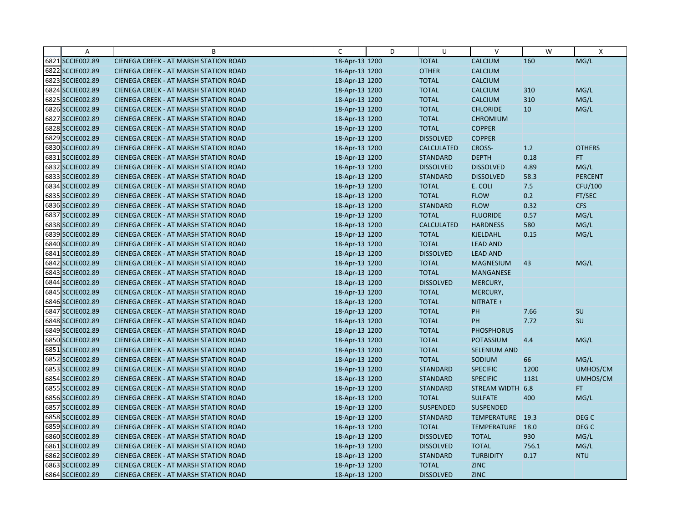| A                | B                                            | C              | D | U                 | v                   | W     | X              |
|------------------|----------------------------------------------|----------------|---|-------------------|---------------------|-------|----------------|
| 6821 SCCIE002.89 | CIENEGA CREEK - AT MARSH STATION ROAD        | 18-Apr-13 1200 |   | <b>TOTAL</b>      | CALCIUM             | 160   | MG/L           |
| 6822 SCCIE002.89 | CIENEGA CREEK - AT MARSH STATION ROAD        | 18-Apr-13 1200 |   | <b>OTHER</b>      | <b>CALCIUM</b>      |       |                |
| 6823 SCCIE002.89 | <b>CIENEGA CREEK - AT MARSH STATION ROAD</b> | 18-Apr-13 1200 |   | <b>TOTAL</b>      | <b>CALCIUM</b>      |       |                |
| 6824 SCCIE002.89 | CIENEGA CREEK - AT MARSH STATION ROAD        | 18-Apr-13 1200 |   | <b>TOTAL</b>      | <b>CALCIUM</b>      | 310   | MG/L           |
| 6825 SCCIE002.89 | CIENEGA CREEK - AT MARSH STATION ROAD        | 18-Apr-13 1200 |   | <b>TOTAL</b>      | <b>CALCIUM</b>      | 310   | MG/L           |
| 6826 SCCIE002.89 | CIENEGA CREEK - AT MARSH STATION ROAD        | 18-Apr-13 1200 |   | <b>TOTAL</b>      | <b>CHLORIDE</b>     | 10    | MG/L           |
| 6827 SCCIE002.89 | <b>CIENEGA CREEK - AT MARSH STATION ROAD</b> | 18-Apr-13 1200 |   | <b>TOTAL</b>      | <b>CHROMIUM</b>     |       |                |
| 6828 SCCIE002.89 | <b>CIENEGA CREEK - AT MARSH STATION ROAD</b> | 18-Apr-13 1200 |   | <b>TOTAL</b>      | <b>COPPER</b>       |       |                |
| 6829 SCCIE002.89 | CIENEGA CREEK - AT MARSH STATION ROAD        | 18-Apr-13 1200 |   | <b>DISSOLVED</b>  | <b>COPPER</b>       |       |                |
| 6830 SCCIE002.89 | CIENEGA CREEK - AT MARSH STATION ROAD        | 18-Apr-13 1200 |   | <b>CALCULATED</b> | CROSS-              | 1.2   | <b>OTHERS</b>  |
| 6831 SCCIE002.89 | <b>CIENEGA CREEK - AT MARSH STATION ROAD</b> | 18-Apr-13 1200 |   | <b>STANDARD</b>   | <b>DEPTH</b>        | 0.18  | FT.            |
| 6832 SCCIE002.89 | CIENEGA CREEK - AT MARSH STATION ROAD        | 18-Apr-13 1200 |   | <b>DISSOLVED</b>  | <b>DISSOLVED</b>    | 4.89  | MG/L           |
| 6833 SCCIE002.89 | <b>CIENEGA CREEK - AT MARSH STATION ROAD</b> | 18-Apr-13 1200 |   | <b>STANDARD</b>   | <b>DISSOLVED</b>    | 58.3  | <b>PERCENT</b> |
| 6834 SCCIE002.89 | <b>CIENEGA CREEK - AT MARSH STATION ROAD</b> | 18-Apr-13 1200 |   | <b>TOTAL</b>      | E. COLI             | 7.5   | CFU/100        |
| 6835 SCCIE002.89 | <b>CIENEGA CREEK - AT MARSH STATION ROAD</b> | 18-Apr-13 1200 |   | <b>TOTAL</b>      | <b>FLOW</b>         | 0.2   | FT/SEC         |
| 6836 SCCIE002.89 | <b>CIENEGA CREEK - AT MARSH STATION ROAD</b> | 18-Apr-13 1200 |   | <b>STANDARD</b>   | <b>FLOW</b>         | 0.32  | <b>CFS</b>     |
| 6837 SCCIE002.89 | CIENEGA CREEK - AT MARSH STATION ROAD        | 18-Apr-13 1200 |   | <b>TOTAL</b>      | <b>FLUORIDE</b>     | 0.57  | MG/L           |
| 6838 SCCIE002.89 | <b>CIENEGA CREEK - AT MARSH STATION ROAD</b> | 18-Apr-13 1200 |   | <b>CALCULATED</b> | <b>HARDNESS</b>     | 580   | MG/L           |
| 6839 SCCIE002.89 | <b>CIENEGA CREEK - AT MARSH STATION ROAD</b> | 18-Apr-13 1200 |   | <b>TOTAL</b>      | <b>KJELDAHL</b>     | 0.15  | MG/L           |
| 6840 SCCIE002.89 | CIENEGA CREEK - AT MARSH STATION ROAD        | 18-Apr-13 1200 |   | <b>TOTAL</b>      | <b>LEAD AND</b>     |       |                |
| 6841 SCCIE002.89 | <b>CIENEGA CREEK - AT MARSH STATION ROAD</b> | 18-Apr-13 1200 |   | <b>DISSOLVED</b>  | <b>LEAD AND</b>     |       |                |
| 6842 SCCIE002.89 | CIENEGA CREEK - AT MARSH STATION ROAD        | 18-Apr-13 1200 |   | <b>TOTAL</b>      | <b>MAGNESIUM</b>    | 43    | MG/L           |
| 6843 SCCIE002.89 | CIENEGA CREEK - AT MARSH STATION ROAD        | 18-Apr-13 1200 |   | <b>TOTAL</b>      | MANGANESE           |       |                |
| 6844 SCCIE002.89 | <b>CIENEGA CREEK - AT MARSH STATION ROAD</b> | 18-Apr-13 1200 |   | <b>DISSOLVED</b>  | MERCURY,            |       |                |
| 6845 SCCIE002.89 | CIENEGA CREEK - AT MARSH STATION ROAD        | 18-Apr-13 1200 |   | <b>TOTAL</b>      | MERCURY,            |       |                |
| 6846 SCCIE002.89 | CIENEGA CREEK - AT MARSH STATION ROAD        | 18-Apr-13 1200 |   | <b>TOTAL</b>      | NITRATE +           |       |                |
| 6847 SCCIE002.89 | <b>CIENEGA CREEK - AT MARSH STATION ROAD</b> | 18-Apr-13 1200 |   | <b>TOTAL</b>      | PH                  | 7.66  | SU             |
| 6848 SCCIE002.89 | <b>CIENEGA CREEK - AT MARSH STATION ROAD</b> | 18-Apr-13 1200 |   | <b>TOTAL</b>      | PH                  | 7.72  | SU             |
| 6849 SCCIE002.89 | <b>CIENEGA CREEK - AT MARSH STATION ROAD</b> | 18-Apr-13 1200 |   | <b>TOTAL</b>      | <b>PHOSPHORUS</b>   |       |                |
| 6850 SCCIE002.89 | CIENEGA CREEK - AT MARSH STATION ROAD        | 18-Apr-13 1200 |   | <b>TOTAL</b>      | <b>POTASSIUM</b>    | 4.4   | MG/L           |
| 6851 SCCIE002.89 | CIENEGA CREEK - AT MARSH STATION ROAD        | 18-Apr-13 1200 |   | <b>TOTAL</b>      | <b>SELENIUM AND</b> |       |                |
| 6852 SCCIE002.89 | <b>CIENEGA CREEK - AT MARSH STATION ROAD</b> | 18-Apr-13 1200 |   | <b>TOTAL</b>      | SODIUM              | 66    | MG/L           |
| 6853 SCCIE002.89 | CIENEGA CREEK - AT MARSH STATION ROAD        | 18-Apr-13 1200 |   | <b>STANDARD</b>   | <b>SPECIFIC</b>     | 1200  | UMHOS/CM       |
| 6854 SCCIE002.89 | <b>CIENEGA CREEK - AT MARSH STATION ROAD</b> | 18-Apr-13 1200 |   | <b>STANDARD</b>   | <b>SPECIFIC</b>     | 1181  | UMHOS/CM       |
| 6855 SCCIE002.89 | <b>CIENEGA CREEK - AT MARSH STATION ROAD</b> | 18-Apr-13 1200 |   | <b>STANDARD</b>   | STREAM WIDTH 6.8    |       | FT.            |
| 6856 SCCIE002.89 | <b>CIENEGA CREEK - AT MARSH STATION ROAD</b> | 18-Apr-13 1200 |   | <b>TOTAL</b>      | <b>SULFATE</b>      | 400   | MG/L           |
| 6857 SCCIE002.89 | <b>CIENEGA CREEK - AT MARSH STATION ROAD</b> | 18-Apr-13 1200 |   | <b>SUSPENDED</b>  | <b>SUSPENDED</b>    |       |                |
| 6858 SCCIE002.89 | CIENEGA CREEK - AT MARSH STATION ROAD        | 18-Apr-13 1200 |   | <b>STANDARD</b>   | TEMPERATURE         | 19.3  | DEG C          |
| 6859 SCCIE002.89 | CIENEGA CREEK - AT MARSH STATION ROAD        | 18-Apr-13 1200 |   | <b>TOTAL</b>      | TEMPERATURE 18.0    |       | DEG C          |
| 6860 SCCIE002.89 | <b>CIENEGA CREEK - AT MARSH STATION ROAD</b> | 18-Apr-13 1200 |   | <b>DISSOLVED</b>  | <b>TOTAL</b>        | 930   | MG/L           |
| 6861 SCCIE002.89 | <b>CIENEGA CREEK - AT MARSH STATION ROAD</b> | 18-Apr-13 1200 |   | <b>DISSOLVED</b>  | <b>TOTAL</b>        | 756.1 | MG/L           |
| 6862 SCCIE002.89 | CIENEGA CREEK - AT MARSH STATION ROAD        | 18-Apr-13 1200 |   | <b>STANDARD</b>   | <b>TURBIDITY</b>    | 0.17  | <b>NTU</b>     |
| 6863 SCCIE002.89 | CIENEGA CREEK - AT MARSH STATION ROAD        | 18-Apr-13 1200 |   | <b>TOTAL</b>      | <b>ZINC</b>         |       |                |
| 6864 SCCIE002.89 | CIENEGA CREEK - AT MARSH STATION ROAD        | 18-Apr-13 1200 |   | <b>DISSOLVED</b>  | <b>ZINC</b>         |       |                |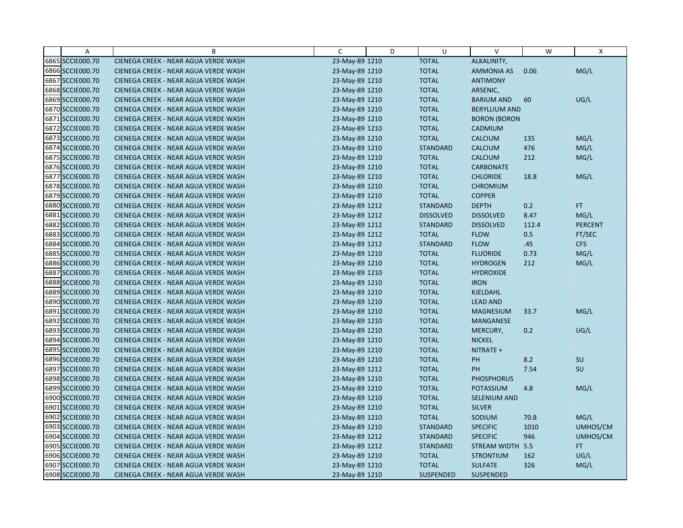| Α                | B                                    | C              | D | U                | $\vee$               | W     | X              |
|------------------|--------------------------------------|----------------|---|------------------|----------------------|-------|----------------|
| 6865 SCCIE000.70 | CIENEGA CREEK - NEAR AGUA VERDE WASH | 23-May-89 1210 |   | <b>TOTAL</b>     | ALKALINITY,          |       |                |
| 6866 SCCIE000.70 | CIENEGA CREEK - NEAR AGUA VERDE WASH | 23-May-89 1210 |   | <b>TOTAL</b>     | <b>AMMONIA AS</b>    | 0.06  | MG/L           |
| 6867 SCCIE000.70 | CIENEGA CREEK - NEAR AGUA VERDE WASH | 23-May-89 1210 |   | <b>TOTAL</b>     | <b>ANTIMONY</b>      |       |                |
| 6868 SCCIE000.70 | CIENEGA CREEK - NEAR AGUA VERDE WASH | 23-May-89 1210 |   | <b>TOTAL</b>     | ARSENIC,             |       |                |
| 6869 SCCIE000.70 | CIENEGA CREEK - NEAR AGUA VERDE WASH | 23-May-89 1210 |   | <b>TOTAL</b>     | <b>BARIUM AND</b>    | 60    | UG/L           |
| 6870 SCCIE000.70 | CIENEGA CREEK - NEAR AGUA VERDE WASH | 23-May-89 1210 |   | <b>TOTAL</b>     | <b>BERYLLIUM AND</b> |       |                |
| 6871 SCCIE000.70 | CIENEGA CREEK - NEAR AGUA VERDE WASH | 23-May-89 1210 |   | <b>TOTAL</b>     | <b>BORON (BORON</b>  |       |                |
| 6872 SCCIE000.70 | CIENEGA CREEK - NEAR AGUA VERDE WASH | 23-May-89 1210 |   | <b>TOTAL</b>     | CADMIUM              |       |                |
| 6873 SCCIE000.70 | CIENEGA CREEK - NEAR AGUA VERDE WASH | 23-May-89 1210 |   | <b>TOTAL</b>     | <b>CALCIUM</b>       | 135   | MG/L           |
| 6874 SCCIE000.70 | CIENEGA CREEK - NEAR AGUA VERDE WASH | 23-May-89 1210 |   | <b>STANDARD</b>  | <b>CALCIUM</b>       | 476   | MG/L           |
| 6875 SCCIE000.70 | CIENEGA CREEK - NEAR AGUA VERDE WASH | 23-May-89 1210 |   | <b>TOTAL</b>     | <b>CALCIUM</b>       | 212   | MG/L           |
| 6876 SCCIE000.70 | CIENEGA CREEK - NEAR AGUA VERDE WASH | 23-May-89 1210 |   | <b>TOTAL</b>     | <b>CARBONATE</b>     |       |                |
| 6877 SCCIE000.70 | CIENEGA CREEK - NEAR AGUA VERDE WASH | 23-May-89 1210 |   | <b>TOTAL</b>     | <b>CHLORIDE</b>      | 18.8  | MG/L           |
| 6878 SCCIE000.70 | CIENEGA CREEK - NEAR AGUA VERDE WASH | 23-May-89 1210 |   | <b>TOTAL</b>     | <b>CHROMIUM</b>      |       |                |
| 6879 SCCIE000.70 | CIENEGA CREEK - NEAR AGUA VERDE WASH | 23-May-89 1210 |   | <b>TOTAL</b>     | <b>COPPER</b>        |       |                |
| 6880 SCCIE000.70 | CIENEGA CREEK - NEAR AGUA VERDE WASH | 23-May-89 1212 |   | <b>STANDARD</b>  | <b>DEPTH</b>         | 0.2   | FT.            |
| 6881 SCCIE000.70 | CIENEGA CREEK - NEAR AGUA VERDE WASH | 23-May-89 1212 |   | <b>DISSOLVED</b> | <b>DISSOLVED</b>     | 8.47  | MG/L           |
| 6882 SCCIE000.70 | CIENEGA CREEK - NEAR AGUA VERDE WASH | 23-May-89 1212 |   | <b>STANDARD</b>  | <b>DISSOLVED</b>     | 112.4 | <b>PERCENT</b> |
| 6883 SCCIE000.70 | CIENEGA CREEK - NEAR AGUA VERDE WASH | 23-May-89 1212 |   | <b>TOTAL</b>     | <b>FLOW</b>          | 0.5   | FT/SEC         |
| 6884 SCCIE000.70 | CIENEGA CREEK - NEAR AGUA VERDE WASH | 23-May-89 1212 |   | <b>STANDARD</b>  | <b>FLOW</b>          | .45   | CFS            |
| 6885 SCCIE000.70 | CIENEGA CREEK - NEAR AGUA VERDE WASH | 23-May-89 1210 |   | <b>TOTAL</b>     | <b>FLUORIDE</b>      | 0.73  | MG/L           |
| 6886 SCCIE000.70 | CIENEGA CREEK - NEAR AGUA VERDE WASH | 23-May-89 1210 |   | <b>TOTAL</b>     | <b>HYDROGEN</b>      | 212   | MG/L           |
| 6887 SCCIE000.70 | CIENEGA CREEK - NEAR AGUA VERDE WASH | 23-May-89 1210 |   | <b>TOTAL</b>     | <b>HYDROXIDE</b>     |       |                |
| 6888 SCCIE000.70 | CIENEGA CREEK - NEAR AGUA VERDE WASH | 23-May-89 1210 |   | <b>TOTAL</b>     | <b>IRON</b>          |       |                |
| 6889 SCCIE000.70 | CIENEGA CREEK - NEAR AGUA VERDE WASH | 23-May-89 1210 |   | <b>TOTAL</b>     | KJELDAHL             |       |                |
| 6890 SCCIE000.70 | CIENEGA CREEK - NEAR AGUA VERDE WASH | 23-May-89 1210 |   | <b>TOTAL</b>     | <b>LEAD AND</b>      |       |                |
| 6891 SCCIE000.70 | CIENEGA CREEK - NEAR AGUA VERDE WASH | 23-May-89 1210 |   | <b>TOTAL</b>     | <b>MAGNESIUM</b>     | 33.7  | MG/L           |
| 6892 SCCIE000.70 | CIENEGA CREEK - NEAR AGUA VERDE WASH | 23-May-89 1210 |   | <b>TOTAL</b>     | MANGANESE            |       |                |
| 6893 SCCIE000.70 | CIENEGA CREEK - NEAR AGUA VERDE WASH | 23-May-89 1210 |   | <b>TOTAL</b>     | MERCURY,             | 0.2   | UG/L           |
| 6894 SCCIE000.70 | CIENEGA CREEK - NEAR AGUA VERDE WASH | 23-May-89 1210 |   | <b>TOTAL</b>     | <b>NICKEL</b>        |       |                |
| 6895 SCCIE000.70 | CIENEGA CREEK - NEAR AGUA VERDE WASH | 23-May-89 1210 |   | <b>TOTAL</b>     | NITRATE +            |       |                |
| 6896 SCCIE000.70 | CIENEGA CREEK - NEAR AGUA VERDE WASH | 23-May-89 1210 |   | <b>TOTAL</b>     | PH                   | 8.2   | <b>SU</b>      |
| 6897 SCCIE000.70 | CIENEGA CREEK - NEAR AGUA VERDE WASH | 23-May-89 1212 |   | <b>TOTAL</b>     | PH                   | 7.54  | SU             |
| 6898 SCCIE000.70 | CIENEGA CREEK - NEAR AGUA VERDE WASH | 23-May-89 1210 |   | <b>TOTAL</b>     | <b>PHOSPHORUS</b>    |       |                |
| 6899 SCCIE000.70 | CIENEGA CREEK - NEAR AGUA VERDE WASH | 23-May-89 1210 |   | <b>TOTAL</b>     | POTASSIUM            | 4.8   | MG/L           |
| 6900 SCCIE000.70 | CIENEGA CREEK - NEAR AGUA VERDE WASH | 23-May-89 1210 |   | <b>TOTAL</b>     | <b>SELENIUM AND</b>  |       |                |
| 6901 SCCIE000.70 | CIENEGA CREEK - NEAR AGUA VERDE WASH | 23-May-89 1210 |   | <b>TOTAL</b>     | <b>SILVER</b>        |       |                |
| 6902 SCCIE000.70 | CIENEGA CREEK - NEAR AGUA VERDE WASH | 23-May-89 1210 |   | <b>TOTAL</b>     | SODIUM               | 70.8  | MG/L           |
| 6903 SCCIE000.70 | CIENEGA CREEK - NEAR AGUA VERDE WASH | 23-May-89 1210 |   | <b>STANDARD</b>  | <b>SPECIFIC</b>      | 1010  | UMHOS/CM       |
| 6904 SCCIE000.70 | CIENEGA CREEK - NEAR AGUA VERDE WASH | 23-May-89 1212 |   | <b>STANDARD</b>  | <b>SPECIFIC</b>      | 946   | UMHOS/CM       |
| 6905 SCCIE000.70 | CIENEGA CREEK - NEAR AGUA VERDE WASH | 23-May-89 1212 |   | <b>STANDARD</b>  | <b>STREAM WIDTH</b>  | 5.5   | FT.            |
| 6906 SCCIE000.70 | CIENEGA CREEK - NEAR AGUA VERDE WASH | 23-May-89 1210 |   | <b>TOTAL</b>     | <b>STRONTIUM</b>     | 162   | UG/L           |
| 6907 SCCIE000.70 | CIENEGA CREEK - NEAR AGUA VERDE WASH | 23-May-89 1210 |   | <b>TOTAL</b>     | <b>SULFATE</b>       | 326   | MG/L           |
| 6908 SCCIE000.70 | CIENEGA CREEK - NEAR AGUA VERDE WASH | 23-May-89 1210 |   | <b>SUSPENDED</b> | <b>SUSPENDED</b>     |       |                |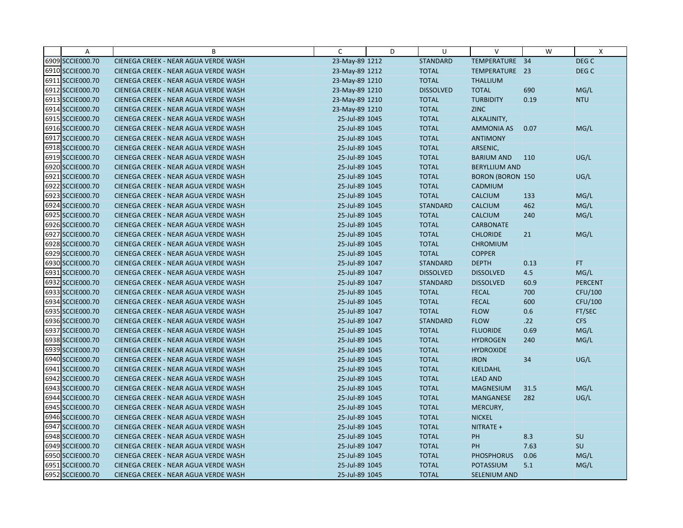| Α                | B                                    | C              | D | U                | $\vee$                  | W    | $\mathsf{x}$     |
|------------------|--------------------------------------|----------------|---|------------------|-------------------------|------|------------------|
| 6909 SCCIE000.70 | CIENEGA CREEK - NEAR AGUA VERDE WASH | 23-May-89 1212 |   | <b>STANDARD</b>  | TEMPERATURE 34          |      | DEG C            |
| 6910 SCCIE000.70 | CIENEGA CREEK - NEAR AGUA VERDE WASH | 23-May-89 1212 |   | <b>TOTAL</b>     | TEMPERATURE 23          |      | DEG <sub>C</sub> |
| 6911 SCCIE000.70 | CIENEGA CREEK - NEAR AGUA VERDE WASH | 23-May-89 1210 |   | <b>TOTAL</b>     | <b>THALLIUM</b>         |      |                  |
| 6912 SCCIE000.70 | CIENEGA CREEK - NEAR AGUA VERDE WASH | 23-May-89 1210 |   | <b>DISSOLVED</b> | <b>TOTAL</b>            | 690  | MG/L             |
| 6913 SCCIE000.70 | CIENEGA CREEK - NEAR AGUA VERDE WASH | 23-May-89 1210 |   | <b>TOTAL</b>     | <b>TURBIDITY</b>        | 0.19 | <b>NTU</b>       |
| 6914 SCCIE000.70 | CIENEGA CREEK - NEAR AGUA VERDE WASH | 23-May-89 1210 |   | <b>TOTAL</b>     | <b>ZINC</b>             |      |                  |
| 6915 SCCIE000.70 | CIENEGA CREEK - NEAR AGUA VERDE WASH | 25-Jul-89 1045 |   | <b>TOTAL</b>     | ALKALINITY,             |      |                  |
| 6916 SCCIE000.70 | CIENEGA CREEK - NEAR AGUA VERDE WASH | 25-Jul-89 1045 |   | <b>TOTAL</b>     | <b>AMMONIA AS</b>       | 0.07 | MG/L             |
| 6917 SCCIE000.70 | CIENEGA CREEK - NEAR AGUA VERDE WASH | 25-Jul-89 1045 |   | <b>TOTAL</b>     | <b>ANTIMONY</b>         |      |                  |
| 6918 SCCIE000.70 | CIENEGA CREEK - NEAR AGUA VERDE WASH | 25-Jul-89 1045 |   | <b>TOTAL</b>     | ARSENIC,                |      |                  |
| 6919 SCCIE000.70 | CIENEGA CREEK - NEAR AGUA VERDE WASH | 25-Jul-89 1045 |   | <b>TOTAL</b>     | <b>BARIUM AND</b>       | 110  | UG/L             |
| 6920 SCCIE000.70 | CIENEGA CREEK - NEAR AGUA VERDE WASH | 25-Jul-89 1045 |   | <b>TOTAL</b>     | <b>BERYLLIUM AND</b>    |      |                  |
| 6921 SCCIE000.70 | CIENEGA CREEK - NEAR AGUA VERDE WASH | 25-Jul-89 1045 |   | <b>TOTAL</b>     | <b>BORON (BORON 150</b> |      | UG/L             |
| 6922 SCCIE000.70 | CIENEGA CREEK - NEAR AGUA VERDE WASH | 25-Jul-89 1045 |   | <b>TOTAL</b>     | CADMIUM                 |      |                  |
| 6923 SCCIE000.70 | CIENEGA CREEK - NEAR AGUA VERDE WASH | 25-Jul-89 1045 |   | <b>TOTAL</b>     | <b>CALCIUM</b>          | 133  | MG/L             |
| 6924 SCCIE000.70 | CIENEGA CREEK - NEAR AGUA VERDE WASH | 25-Jul-89 1045 |   | <b>STANDARD</b>  | <b>CALCIUM</b>          | 462  | MG/L             |
| 6925 SCCIE000.70 | CIENEGA CREEK - NEAR AGUA VERDE WASH | 25-Jul-89 1045 |   | <b>TOTAL</b>     | <b>CALCIUM</b>          | 240  | MG/L             |
| 6926 SCCIE000.70 | CIENEGA CREEK - NEAR AGUA VERDE WASH | 25-Jul-89 1045 |   | <b>TOTAL</b>     | <b>CARBONATE</b>        |      |                  |
| 6927 SCCIE000.70 | CIENEGA CREEK - NEAR AGUA VERDE WASH | 25-Jul-89 1045 |   | <b>TOTAL</b>     | <b>CHLORIDE</b>         | 21   | MG/L             |
| 6928 SCCIE000.70 | CIENEGA CREEK - NEAR AGUA VERDE WASH | 25-Jul-89 1045 |   | <b>TOTAL</b>     | <b>CHROMIUM</b>         |      |                  |
| 6929 SCCIE000.70 | CIENEGA CREEK - NEAR AGUA VERDE WASH | 25-Jul-89 1045 |   | <b>TOTAL</b>     | <b>COPPER</b>           |      |                  |
| 6930 SCCIE000.70 | CIENEGA CREEK - NEAR AGUA VERDE WASH | 25-Jul-89 1047 |   | <b>STANDARD</b>  | <b>DEPTH</b>            | 0.13 | FT.              |
| 6931 SCCIE000.70 | CIENEGA CREEK - NEAR AGUA VERDE WASH | 25-Jul-89 1047 |   | <b>DISSOLVED</b> | <b>DISSOLVED</b>        | 4.5  | MG/L             |
| 6932 SCCIE000.70 | CIENEGA CREEK - NEAR AGUA VERDE WASH | 25-Jul-89 1047 |   | <b>STANDARD</b>  | <b>DISSOLVED</b>        | 60.9 | <b>PERCENT</b>   |
| 6933 SCCIE000.70 | CIENEGA CREEK - NEAR AGUA VERDE WASH | 25-Jul-89 1045 |   | <b>TOTAL</b>     | <b>FECAL</b>            | 700  | CFU/100          |
| 6934 SCCIE000.70 | CIENEGA CREEK - NEAR AGUA VERDE WASH | 25-Jul-89 1045 |   | <b>TOTAL</b>     | <b>FECAL</b>            | 600  | CFU/100          |
| 6935 SCCIE000.70 | CIENEGA CREEK - NEAR AGUA VERDE WASH | 25-Jul-89 1047 |   | <b>TOTAL</b>     | <b>FLOW</b>             | 0.6  | FT/SEC           |
| 6936 SCCIE000.70 | CIENEGA CREEK - NEAR AGUA VERDE WASH | 25-Jul-89 1047 |   | <b>STANDARD</b>  | <b>FLOW</b>             | .22  | <b>CFS</b>       |
| 6937 SCCIE000.70 | CIENEGA CREEK - NEAR AGUA VERDE WASH | 25-Jul-89 1045 |   | <b>TOTAL</b>     | <b>FLUORIDE</b>         | 0.69 | MG/L             |
| 6938 SCCIE000.70 | CIENEGA CREEK - NEAR AGUA VERDE WASH | 25-Jul-89 1045 |   | <b>TOTAL</b>     | <b>HYDROGEN</b>         | 240  | MG/L             |
| 6939 SCCIE000.70 | CIENEGA CREEK - NEAR AGUA VERDE WASH | 25-Jul-89 1045 |   | <b>TOTAL</b>     | <b>HYDROXIDE</b>        |      |                  |
| 6940 SCCIE000.70 | CIENEGA CREEK - NEAR AGUA VERDE WASH | 25-Jul-89 1045 |   | <b>TOTAL</b>     | <b>IRON</b>             | 34   | UG/L             |
| 6941 SCCIE000.70 | CIENEGA CREEK - NEAR AGUA VERDE WASH | 25-Jul-89 1045 |   | <b>TOTAL</b>     | <b>KJELDAHL</b>         |      |                  |
| 6942 SCCIE000.70 | CIENEGA CREEK - NEAR AGUA VERDE WASH | 25-Jul-89 1045 |   | <b>TOTAL</b>     | <b>LEAD AND</b>         |      |                  |
| 6943 SCCIE000.70 | CIENEGA CREEK - NEAR AGUA VERDE WASH | 25-Jul-89 1045 |   | <b>TOTAL</b>     | <b>MAGNESIUM</b>        | 31.5 | MG/L             |
| 6944 SCCIE000.70 | CIENEGA CREEK - NEAR AGUA VERDE WASH | 25-Jul-89 1045 |   | <b>TOTAL</b>     | <b>MANGANESE</b>        | 282  | UG/L             |
| 6945 SCCIE000.70 | CIENEGA CREEK - NEAR AGUA VERDE WASH | 25-Jul-89 1045 |   | <b>TOTAL</b>     | MERCURY,                |      |                  |
| 6946 SCCIE000.70 | CIENEGA CREEK - NEAR AGUA VERDE WASH | 25-Jul-89 1045 |   | <b>TOTAL</b>     | <b>NICKEL</b>           |      |                  |
| 6947 SCCIE000.70 | CIENEGA CREEK - NEAR AGUA VERDE WASH | 25-Jul-89 1045 |   | <b>TOTAL</b>     | NITRATE +               |      |                  |
| 6948 SCCIE000.70 | CIENEGA CREEK - NEAR AGUA VERDE WASH | 25-Jul-89 1045 |   | <b>TOTAL</b>     | PH                      | 8.3  | SU               |
| 6949 SCCIE000.70 | CIENEGA CREEK - NEAR AGUA VERDE WASH | 25-Jul-89 1047 |   | <b>TOTAL</b>     | PH                      | 7.63 | SU               |
| 6950 SCCIE000.70 | CIENEGA CREEK - NEAR AGUA VERDE WASH | 25-Jul-89 1045 |   | <b>TOTAL</b>     | <b>PHOSPHORUS</b>       | 0.06 | MG/L             |
| 6951 SCCIE000.70 | CIENEGA CREEK - NEAR AGUA VERDE WASH | 25-Jul-89 1045 |   | <b>TOTAL</b>     | POTASSIUM               | 5.1  | MG/L             |
| 6952 SCCIE000.70 | CIENEGA CREEK - NEAR AGUA VERDE WASH | 25-Jul-89 1045 |   | <b>TOTAL</b>     | SELENIUM AND            |      |                  |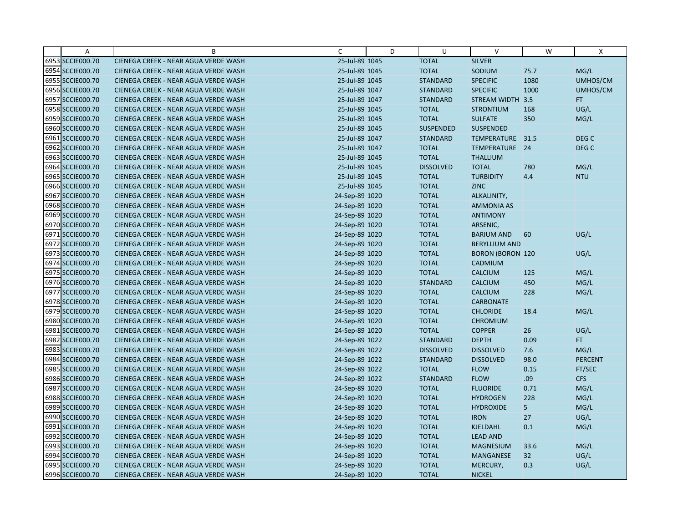| Α                | B                                    | C              | D | U                | $\vee$                  | W    | X                |
|------------------|--------------------------------------|----------------|---|------------------|-------------------------|------|------------------|
| 6953 SCCIE000.70 | CIENEGA CREEK - NEAR AGUA VERDE WASH | 25-Jul-89 1045 |   | <b>TOTAL</b>     | <b>SILVER</b>           |      |                  |
| 6954 SCCIE000.70 | CIENEGA CREEK - NEAR AGUA VERDE WASH | 25-Jul-89 1045 |   | <b>TOTAL</b>     | SODIUM                  | 75.7 | MG/L             |
| 6955 SCCIE000.70 | CIENEGA CREEK - NEAR AGUA VERDE WASH | 25-Jul-89 1045 |   | <b>STANDARD</b>  | <b>SPECIFIC</b>         | 1080 | UMHOS/CM         |
| 6956 SCCIE000.70 | CIENEGA CREEK - NEAR AGUA VERDE WASH | 25-Jul-89 1047 |   | <b>STANDARD</b>  | <b>SPECIFIC</b>         | 1000 | UMHOS/CM         |
| 6957 SCCIE000.70 | CIENEGA CREEK - NEAR AGUA VERDE WASH | 25-Jul-89 1047 |   | <b>STANDARD</b>  | STREAM WIDTH 3.5        |      | FT.              |
| 6958 SCCIE000.70 | CIENEGA CREEK - NEAR AGUA VERDE WASH | 25-Jul-89 1045 |   | <b>TOTAL</b>     | <b>STRONTIUM</b>        | 168  | UG/L             |
| 6959 SCCIE000.70 | CIENEGA CREEK - NEAR AGUA VERDE WASH | 25-Jul-89 1045 |   | <b>TOTAL</b>     | <b>SULFATE</b>          | 350  | MG/L             |
| 6960 SCCIE000.70 | CIENEGA CREEK - NEAR AGUA VERDE WASH | 25-Jul-89 1045 |   | <b>SUSPENDED</b> | <b>SUSPENDED</b>        |      |                  |
| 6961 SCCIE000.70 | CIENEGA CREEK - NEAR AGUA VERDE WASH | 25-Jul-89 1047 |   | <b>STANDARD</b>  | <b>TEMPERATURE</b>      | 31.5 | DEG <sub>C</sub> |
| 6962 SCCIE000.70 | CIENEGA CREEK - NEAR AGUA VERDE WASH | 25-Jul-89 1047 |   | <b>TOTAL</b>     | TEMPERATURE 24          |      | DEG <sub>C</sub> |
| 6963 SCCIE000.70 | CIENEGA CREEK - NEAR AGUA VERDE WASH | 25-Jul-89 1045 |   | <b>TOTAL</b>     | <b>THALLIUM</b>         |      |                  |
| 6964 SCCIE000.70 | CIENEGA CREEK - NEAR AGUA VERDE WASH | 25-Jul-89 1045 |   | <b>DISSOLVED</b> | <b>TOTAL</b>            | 780  | MG/L             |
| 6965 SCCIE000.70 | CIENEGA CREEK - NEAR AGUA VERDE WASH | 25-Jul-89 1045 |   | <b>TOTAL</b>     | <b>TURBIDITY</b>        | 4.4  | <b>NTU</b>       |
| 6966 SCCIE000.70 | CIENEGA CREEK - NEAR AGUA VERDE WASH | 25-Jul-89 1045 |   | <b>TOTAL</b>     | <b>ZINC</b>             |      |                  |
| 6967 SCCIE000.70 | CIENEGA CREEK - NEAR AGUA VERDE WASH | 24-Sep-89 1020 |   | <b>TOTAL</b>     | ALKALINITY,             |      |                  |
| 6968 SCCIE000.70 | CIENEGA CREEK - NEAR AGUA VERDE WASH | 24-Sep-89 1020 |   | <b>TOTAL</b>     | <b>AMMONIA AS</b>       |      |                  |
| 6969 SCCIE000.70 | CIENEGA CREEK - NEAR AGUA VERDE WASH | 24-Sep-89 1020 |   | <b>TOTAL</b>     | <b>ANTIMONY</b>         |      |                  |
| 6970 SCCIE000.70 | CIENEGA CREEK - NEAR AGUA VERDE WASH | 24-Sep-89 1020 |   | <b>TOTAL</b>     | ARSENIC,                |      |                  |
| 6971 SCCIE000.70 | CIENEGA CREEK - NEAR AGUA VERDE WASH | 24-Sep-89 1020 |   | <b>TOTAL</b>     | <b>BARIUM AND</b>       | 60   | UG/L             |
| 6972 SCCIE000.70 | CIENEGA CREEK - NEAR AGUA VERDE WASH | 24-Sep-89 1020 |   | <b>TOTAL</b>     | <b>BERYLLIUM AND</b>    |      |                  |
| 6973 SCCIE000.70 | CIENEGA CREEK - NEAR AGUA VERDE WASH | 24-Sep-89 1020 |   | <b>TOTAL</b>     | <b>BORON (BORON 120</b> |      | UG/L             |
| 6974 SCCIE000.70 | CIENEGA CREEK - NEAR AGUA VERDE WASH | 24-Sep-89 1020 |   | <b>TOTAL</b>     | CADMIUM                 |      |                  |
| 6975 SCCIE000.70 | CIENEGA CREEK - NEAR AGUA VERDE WASH | 24-Sep-89 1020 |   | <b>TOTAL</b>     | CALCIUM                 | 125  | MG/L             |
| 6976 SCCIE000.70 | CIENEGA CREEK - NEAR AGUA VERDE WASH | 24-Sep-89 1020 |   | <b>STANDARD</b>  | <b>CALCIUM</b>          | 450  | MG/L             |
| 6977 SCCIE000.70 | CIENEGA CREEK - NEAR AGUA VERDE WASH | 24-Sep-89 1020 |   | <b>TOTAL</b>     | CALCIUM                 | 228  | MG/L             |
| 6978 SCCIE000.70 | CIENEGA CREEK - NEAR AGUA VERDE WASH | 24-Sep-89 1020 |   | <b>TOTAL</b>     | <b>CARBONATE</b>        |      |                  |
| 6979 SCCIE000.70 | CIENEGA CREEK - NEAR AGUA VERDE WASH | 24-Sep-89 1020 |   | <b>TOTAL</b>     | <b>CHLORIDE</b>         | 18.4 | MG/L             |
| 6980 SCCIE000.70 | CIENEGA CREEK - NEAR AGUA VERDE WASH | 24-Sep-89 1020 |   | <b>TOTAL</b>     | <b>CHROMIUM</b>         |      |                  |
| 6981 SCCIE000.70 | CIENEGA CREEK - NEAR AGUA VERDE WASH | 24-Sep-89 1020 |   | <b>TOTAL</b>     | <b>COPPER</b>           | 26   | UG/L             |
| 6982 SCCIE000.70 | CIENEGA CREEK - NEAR AGUA VERDE WASH | 24-Sep-89 1022 |   | <b>STANDARD</b>  | <b>DEPTH</b>            | 0.09 | FT.              |
| 6983 SCCIE000.70 | CIENEGA CREEK - NEAR AGUA VERDE WASH | 24-Sep-89 1022 |   | <b>DISSOLVED</b> | <b>DISSOLVED</b>        | 7.6  | MG/L             |
| 6984 SCCIE000.70 | CIENEGA CREEK - NEAR AGUA VERDE WASH | 24-Sep-89 1022 |   | <b>STANDARD</b>  | <b>DISSOLVED</b>        | 98.0 | <b>PERCENT</b>   |
| 6985 SCCIE000.70 | CIENEGA CREEK - NEAR AGUA VERDE WASH | 24-Sep-89 1022 |   | <b>TOTAL</b>     | <b>FLOW</b>             | 0.15 | FT/SEC           |
| 6986 SCCIE000.70 | CIENEGA CREEK - NEAR AGUA VERDE WASH | 24-Sep-89 1022 |   | <b>STANDARD</b>  | <b>FLOW</b>             | .09  | <b>CFS</b>       |
| 6987 SCCIE000.70 | CIENEGA CREEK - NEAR AGUA VERDE WASH | 24-Sep-89 1020 |   | <b>TOTAL</b>     | <b>FLUORIDE</b>         | 0.71 | MG/L             |
| 6988 SCCIE000.70 | CIENEGA CREEK - NEAR AGUA VERDE WASH | 24-Sep-89 1020 |   | <b>TOTAL</b>     | <b>HYDROGEN</b>         | 228  | MG/L             |
| 6989 SCCIE000.70 | CIENEGA CREEK - NEAR AGUA VERDE WASH | 24-Sep-89 1020 |   | <b>TOTAL</b>     | <b>HYDROXIDE</b>        | 5    | MG/L             |
| 6990 SCCIE000.70 | CIENEGA CREEK - NEAR AGUA VERDE WASH | 24-Sep-89 1020 |   | <b>TOTAL</b>     | <b>IRON</b>             | 27   | UG/L             |
| 6991 SCCIE000.70 | CIENEGA CREEK - NEAR AGUA VERDE WASH | 24-Sep-89 1020 |   | <b>TOTAL</b>     | KJELDAHL                | 0.1  | MG/L             |
| 6992 SCCIE000.70 | CIENEGA CREEK - NEAR AGUA VERDE WASH | 24-Sep-89 1020 |   | <b>TOTAL</b>     | <b>LEAD AND</b>         |      |                  |
| 6993 SCCIE000.70 | CIENEGA CREEK - NEAR AGUA VERDE WASH | 24-Sep-89 1020 |   | <b>TOTAL</b>     | <b>MAGNESIUM</b>        | 33.6 | MG/L             |
| 6994 SCCIE000.70 | CIENEGA CREEK - NEAR AGUA VERDE WASH | 24-Sep-89 1020 |   | <b>TOTAL</b>     | MANGANESE               | 32   | UG/L             |
| 6995 SCCIE000.70 | CIENEGA CREEK - NEAR AGUA VERDE WASH | 24-Sep-89 1020 |   | <b>TOTAL</b>     | MERCURY,                | 0.3  | UG/L             |
| 6996 SCCIE000.70 | CIENEGA CREEK - NEAR AGUA VERDE WASH | 24-Sep-89 1020 |   | <b>TOTAL</b>     | <b>NICKEL</b>           |      |                  |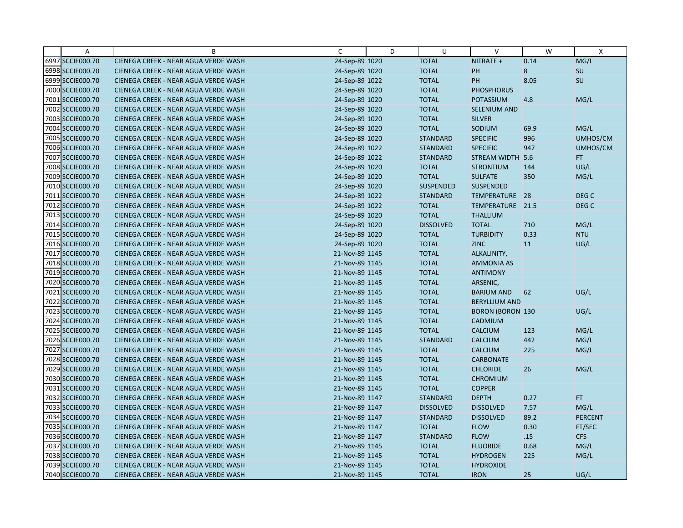| A                | B                                    | C              | D | U                | $\vee$                  | W    | $\mathsf{X}$     |
|------------------|--------------------------------------|----------------|---|------------------|-------------------------|------|------------------|
| 6997 SCCIE000.70 | CIENEGA CREEK - NEAR AGUA VERDE WASH | 24-Sep-89 1020 |   | <b>TOTAL</b>     | NITRATE +               | 0.14 | MG/L             |
| 6998 SCCIE000.70 | CIENEGA CREEK - NEAR AGUA VERDE WASH | 24-Sep-89 1020 |   | <b>TOTAL</b>     | PH                      | 8    | SU               |
| 6999 SCCIE000.70 | CIENEGA CREEK - NEAR AGUA VERDE WASH | 24-Sep-89 1022 |   | <b>TOTAL</b>     | PH                      | 8.05 | SU               |
| 7000 SCCIE000.70 | CIENEGA CREEK - NEAR AGUA VERDE WASH | 24-Sep-89 1020 |   | <b>TOTAL</b>     | <b>PHOSPHORUS</b>       |      |                  |
| 7001 SCCIE000.70 | CIENEGA CREEK - NEAR AGUA VERDE WASH | 24-Sep-89 1020 |   | <b>TOTAL</b>     | POTASSIUM               | 4.8  | MG/L             |
| 7002 SCCIE000.70 | CIENEGA CREEK - NEAR AGUA VERDE WASH | 24-Sep-89 1020 |   | <b>TOTAL</b>     | <b>SELENIUM AND</b>     |      |                  |
| 7003 SCCIE000.70 | CIENEGA CREEK - NEAR AGUA VERDE WASH | 24-Sep-89 1020 |   | <b>TOTAL</b>     | <b>SILVER</b>           |      |                  |
| 7004 SCCIE000.70 | CIENEGA CREEK - NEAR AGUA VERDE WASH | 24-Sep-89 1020 |   | <b>TOTAL</b>     | SODIUM                  | 69.9 | MG/L             |
| 7005 SCCIE000.70 | CIENEGA CREEK - NEAR AGUA VERDE WASH | 24-Sep-89 1020 |   | <b>STANDARD</b>  | <b>SPECIFIC</b>         | 996  | UMHOS/CM         |
| 7006 SCCIE000.70 | CIENEGA CREEK - NEAR AGUA VERDE WASH | 24-Sep-89 1022 |   | <b>STANDARD</b>  | <b>SPECIFIC</b>         | 947  | UMHOS/CM         |
| 7007 SCCIE000.70 | CIENEGA CREEK - NEAR AGUA VERDE WASH | 24-Sep-89 1022 |   | <b>STANDARD</b>  | STREAM WIDTH 5.6        |      | FT.              |
| 7008 SCCIE000.70 | CIENEGA CREEK - NEAR AGUA VERDE WASH | 24-Sep-89 1020 |   | <b>TOTAL</b>     | <b>STRONTIUM</b>        | 144  | UG/L             |
| 7009 SCCIE000.70 | CIENEGA CREEK - NEAR AGUA VERDE WASH | 24-Sep-89 1020 |   | <b>TOTAL</b>     | <b>SULFATE</b>          | 350  | MG/L             |
| 7010 SCCIE000.70 | CIENEGA CREEK - NEAR AGUA VERDE WASH | 24-Sep-89 1020 |   | <b>SUSPENDED</b> | <b>SUSPENDED</b>        |      |                  |
| 7011 SCCIE000.70 | CIENEGA CREEK - NEAR AGUA VERDE WASH | 24-Sep-89 1022 |   | <b>STANDARD</b>  | TEMPERATURE 28          |      | DEG <sub>C</sub> |
| 7012 SCCIE000.70 | CIENEGA CREEK - NEAR AGUA VERDE WASH | 24-Sep-89 1022 |   | <b>TOTAL</b>     | TEMPERATURE 21.5        |      | DEG <sub>C</sub> |
| 7013 SCCIE000.70 | CIENEGA CREEK - NEAR AGUA VERDE WASH | 24-Sep-89 1020 |   | <b>TOTAL</b>     | <b>THALLIUM</b>         |      |                  |
| 7014 SCCIE000.70 | CIENEGA CREEK - NEAR AGUA VERDE WASH | 24-Sep-89 1020 |   | <b>DISSOLVED</b> | <b>TOTAL</b>            | 710  | MG/L             |
| 7015 SCCIE000.70 | CIENEGA CREEK - NEAR AGUA VERDE WASH | 24-Sep-89 1020 |   | <b>TOTAL</b>     | <b>TURBIDITY</b>        | 0.33 | <b>NTU</b>       |
| 7016 SCCIE000.70 | CIENEGA CREEK - NEAR AGUA VERDE WASH | 24-Sep-89 1020 |   | <b>TOTAL</b>     | <b>ZINC</b>             | 11   | UG/L             |
| 7017 SCCIE000.70 | CIENEGA CREEK - NEAR AGUA VERDE WASH | 21-Nov-89 1145 |   | <b>TOTAL</b>     | ALKALINITY,             |      |                  |
| 7018 SCCIE000.70 | CIENEGA CREEK - NEAR AGUA VERDE WASH | 21-Nov-89 1145 |   | <b>TOTAL</b>     | <b>AMMONIA AS</b>       |      |                  |
| 7019 SCCIE000.70 | CIENEGA CREEK - NEAR AGUA VERDE WASH | 21-Nov-89 1145 |   | <b>TOTAL</b>     | <b>ANTIMONY</b>         |      |                  |
| 7020 SCCIE000.70 | CIENEGA CREEK - NEAR AGUA VERDE WASH | 21-Nov-89 1145 |   | <b>TOTAL</b>     | ARSENIC,                |      |                  |
| 7021 SCCIE000.70 | CIENEGA CREEK - NEAR AGUA VERDE WASH | 21-Nov-89 1145 |   | <b>TOTAL</b>     | <b>BARIUM AND</b>       | 62   | UG/L             |
| 7022 SCCIE000.70 | CIENEGA CREEK - NEAR AGUA VERDE WASH | 21-Nov-89 1145 |   | <b>TOTAL</b>     | <b>BERYLLIUM AND</b>    |      |                  |
| 7023 SCCIE000.70 | CIENEGA CREEK - NEAR AGUA VERDE WASH | 21-Nov-89 1145 |   | <b>TOTAL</b>     | <b>BORON (BORON 130</b> |      | UG/L             |
| 7024 SCCIE000.70 | CIENEGA CREEK - NEAR AGUA VERDE WASH | 21-Nov-89 1145 |   | <b>TOTAL</b>     | CADMIUM                 |      |                  |
| 7025 SCCIE000.70 | CIENEGA CREEK - NEAR AGUA VERDE WASH | 21-Nov-89 1145 |   | <b>TOTAL</b>     | <b>CALCIUM</b>          | 123  | MG/L             |
| 7026 SCCIE000.70 | CIENEGA CREEK - NEAR AGUA VERDE WASH | 21-Nov-89 1145 |   | <b>STANDARD</b>  | <b>CALCIUM</b>          | 442  | MG/L             |
| 7027 SCCIE000.70 | CIENEGA CREEK - NEAR AGUA VERDE WASH | 21-Nov-89 1145 |   | <b>TOTAL</b>     | <b>CALCIUM</b>          | 225  | MG/L             |
| 7028 SCCIE000.70 | CIENEGA CREEK - NEAR AGUA VERDE WASH | 21-Nov-89 1145 |   | <b>TOTAL</b>     | <b>CARBONATE</b>        |      |                  |
| 7029 SCCIE000.70 | CIENEGA CREEK - NEAR AGUA VERDE WASH | 21-Nov-89 1145 |   | <b>TOTAL</b>     | <b>CHLORIDE</b>         | 26   | MG/L             |
| 7030 SCCIE000.70 | CIENEGA CREEK - NEAR AGUA VERDE WASH | 21-Nov-89 1145 |   | <b>TOTAL</b>     | <b>CHROMIUM</b>         |      |                  |
| 7031 SCCIE000.70 | CIENEGA CREEK - NEAR AGUA VERDE WASH | 21-Nov-89 1145 |   | <b>TOTAL</b>     | <b>COPPER</b>           |      |                  |
| 7032 SCCIE000.70 | CIENEGA CREEK - NEAR AGUA VERDE WASH | 21-Nov-89 1147 |   | <b>STANDARD</b>  | <b>DEPTH</b>            | 0.27 | <b>FT</b>        |
| 7033 SCCIE000.70 | CIENEGA CREEK - NEAR AGUA VERDE WASH | 21-Nov-89 1147 |   | <b>DISSOLVED</b> | <b>DISSOLVED</b>        | 7.57 | MG/L             |
| 7034 SCCIE000.70 | CIENEGA CREEK - NEAR AGUA VERDE WASH | 21-Nov-89 1147 |   | <b>STANDARD</b>  | <b>DISSOLVED</b>        | 89.2 | <b>PERCENT</b>   |
| 7035 SCCIE000.70 | CIENEGA CREEK - NEAR AGUA VERDE WASH | 21-Nov-89 1147 |   | <b>TOTAL</b>     | <b>FLOW</b>             | 0.30 | FT/SEC           |
| 7036 SCCIE000.70 | CIENEGA CREEK - NEAR AGUA VERDE WASH | 21-Nov-89 1147 |   | <b>STANDARD</b>  | <b>FLOW</b>             | .15  | <b>CFS</b>       |
| 7037 SCCIE000.70 | CIENEGA CREEK - NEAR AGUA VERDE WASH | 21-Nov-89 1145 |   | <b>TOTAL</b>     | <b>FLUORIDE</b>         | 0.68 | MG/L             |
| 7038 SCCIE000.70 | CIENEGA CREEK - NEAR AGUA VERDE WASH | 21-Nov-89 1145 |   | <b>TOTAL</b>     | <b>HYDROGEN</b>         | 225  | MG/L             |
| 7039 SCCIE000.70 | CIENEGA CREEK - NEAR AGUA VERDE WASH | 21-Nov-89 1145 |   | <b>TOTAL</b>     | <b>HYDROXIDE</b>        |      |                  |
| 7040 SCCIE000.70 | CIENEGA CREEK - NEAR AGUA VERDE WASH | 21-Nov-89 1145 |   | <b>TOTAL</b>     | <b>IRON</b>             | 25   | UG/L             |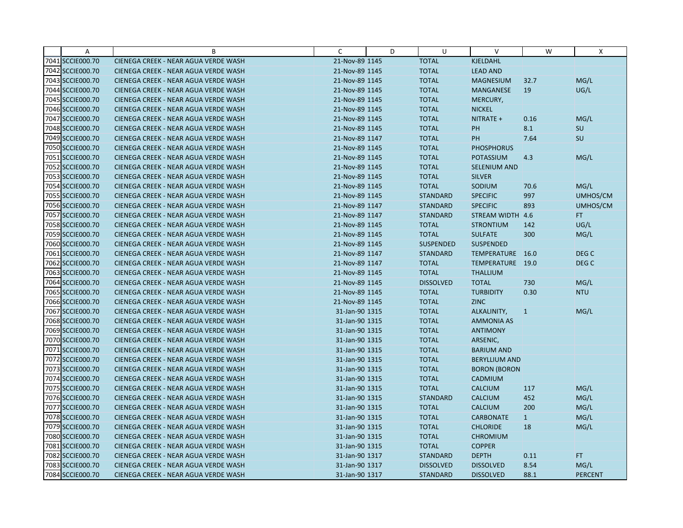| $\overline{A}$   | B                                    | C              | D | U                | $\vee$               | W            | X                |
|------------------|--------------------------------------|----------------|---|------------------|----------------------|--------------|------------------|
| 7041 SCCIE000.70 | CIENEGA CREEK - NEAR AGUA VERDE WASH | 21-Nov-89 1145 |   | <b>TOTAL</b>     | KJELDAHL             |              |                  |
| 7042 SCCIE000.70 | CIENEGA CREEK - NEAR AGUA VERDE WASH | 21-Nov-89 1145 |   | <b>TOTAL</b>     | <b>LEAD AND</b>      |              |                  |
| 7043 SCCIE000.70 | CIENEGA CREEK - NEAR AGUA VERDE WASH | 21-Nov-89 1145 |   | <b>TOTAL</b>     | <b>MAGNESIUM</b>     | 32.7         | MG/L             |
| 7044 SCCIE000.70 | CIENEGA CREEK - NEAR AGUA VERDE WASH | 21-Nov-89 1145 |   | <b>TOTAL</b>     | <b>MANGANESE</b>     | 19           | UG/L             |
| 7045 SCCIE000.70 | CIENEGA CREEK - NEAR AGUA VERDE WASH | 21-Nov-89 1145 |   | <b>TOTAL</b>     | MERCURY,             |              |                  |
| 7046 SCCIE000.70 | CIENEGA CREEK - NEAR AGUA VERDE WASH | 21-Nov-89 1145 |   | <b>TOTAL</b>     | <b>NICKEL</b>        |              |                  |
| 7047 SCCIE000.70 | CIENEGA CREEK - NEAR AGUA VERDE WASH | 21-Nov-89 1145 |   | <b>TOTAL</b>     | NITRATE +            | 0.16         | MG/L             |
| 7048 SCCIE000.70 | CIENEGA CREEK - NEAR AGUA VERDE WASH | 21-Nov-89 1145 |   | <b>TOTAL</b>     | PH                   | 8.1          | <b>SU</b>        |
| 7049 SCCIE000.70 | CIENEGA CREEK - NEAR AGUA VERDE WASH | 21-Nov-89 1147 |   | <b>TOTAL</b>     | PH                   | 7.64         | SU               |
| 7050 SCCIE000.70 | CIENEGA CREEK - NEAR AGUA VERDE WASH | 21-Nov-89 1145 |   | <b>TOTAL</b>     | <b>PHOSPHORUS</b>    |              |                  |
| 7051 SCCIE000.70 | CIENEGA CREEK - NEAR AGUA VERDE WASH | 21-Nov-89 1145 |   | <b>TOTAL</b>     | <b>POTASSIUM</b>     | 4.3          | MG/L             |
| 7052 SCCIE000.70 | CIENEGA CREEK - NEAR AGUA VERDE WASH | 21-Nov-89 1145 |   | <b>TOTAL</b>     | SELENIUM AND         |              |                  |
| 7053 SCCIE000.70 | CIENEGA CREEK - NEAR AGUA VERDE WASH | 21-Nov-89 1145 |   | <b>TOTAL</b>     | <b>SILVER</b>        |              |                  |
| 7054 SCCIE000.70 | CIENEGA CREEK - NEAR AGUA VERDE WASH | 21-Nov-89 1145 |   | <b>TOTAL</b>     | SODIUM               | 70.6         | MG/L             |
| 7055 SCCIE000.70 | CIENEGA CREEK - NEAR AGUA VERDE WASH | 21-Nov-89 1145 |   | <b>STANDARD</b>  | <b>SPECIFIC</b>      | 997          | UMHOS/CM         |
| 7056 SCCIE000.70 | CIENEGA CREEK - NEAR AGUA VERDE WASH | 21-Nov-89 1147 |   | <b>STANDARD</b>  | <b>SPECIFIC</b>      | 893          | UMHOS/CM         |
| 7057 SCCIE000.70 | CIENEGA CREEK - NEAR AGUA VERDE WASH | 21-Nov-89 1147 |   | <b>STANDARD</b>  | STREAM WIDTH 4.6     |              | FT.              |
| 7058 SCCIE000.70 | CIENEGA CREEK - NEAR AGUA VERDE WASH | 21-Nov-89 1145 |   | <b>TOTAL</b>     | <b>STRONTIUM</b>     | 142          | UG/L             |
| 7059 SCCIE000.70 | CIENEGA CREEK - NEAR AGUA VERDE WASH | 21-Nov-89 1145 |   | <b>TOTAL</b>     | <b>SULFATE</b>       | 300          | MG/L             |
| 7060 SCCIE000.70 | CIENEGA CREEK - NEAR AGUA VERDE WASH | 21-Nov-89 1145 |   | <b>SUSPENDED</b> | <b>SUSPENDED</b>     |              |                  |
| 7061 SCCIE000.70 | CIENEGA CREEK - NEAR AGUA VERDE WASH | 21-Nov-89 1147 |   | <b>STANDARD</b>  | TEMPERATURE 16.0     |              | DEG <sub>C</sub> |
| 7062 SCCIE000.70 | CIENEGA CREEK - NEAR AGUA VERDE WASH | 21-Nov-89 1147 |   | <b>TOTAL</b>     | TEMPERATURE 19.0     |              | DEG <sub>C</sub> |
| 7063 SCCIE000.70 | CIENEGA CREEK - NEAR AGUA VERDE WASH | 21-Nov-89 1145 |   | <b>TOTAL</b>     | <b>THALLIUM</b>      |              |                  |
| 7064 SCCIE000.70 | CIENEGA CREEK - NEAR AGUA VERDE WASH | 21-Nov-89 1145 |   | <b>DISSOLVED</b> | <b>TOTAL</b>         | 730          | MG/L             |
| 7065 SCCIE000.70 | CIENEGA CREEK - NEAR AGUA VERDE WASH | 21-Nov-89 1145 |   | <b>TOTAL</b>     | <b>TURBIDITY</b>     | 0.30         | <b>NTU</b>       |
| 7066 SCCIE000.70 | CIENEGA CREEK - NEAR AGUA VERDE WASH | 21-Nov-89 1145 |   | <b>TOTAL</b>     | <b>ZINC</b>          |              |                  |
| 7067 SCCIE000.70 | CIENEGA CREEK - NEAR AGUA VERDE WASH | 31-Jan-90 1315 |   | <b>TOTAL</b>     | ALKALINITY,          | $\vert$ 1    | MG/L             |
| 7068 SCCIE000.70 | CIENEGA CREEK - NEAR AGUA VERDE WASH | 31-Jan-90 1315 |   | <b>TOTAL</b>     | <b>AMMONIA AS</b>    |              |                  |
| 7069 SCCIE000.70 | CIENEGA CREEK - NEAR AGUA VERDE WASH | 31-Jan-90 1315 |   | <b>TOTAL</b>     | <b>ANTIMONY</b>      |              |                  |
| 7070 SCCIE000.70 | CIENEGA CREEK - NEAR AGUA VERDE WASH | 31-Jan-90 1315 |   | <b>TOTAL</b>     | ARSENIC,             |              |                  |
| 7071 SCCIE000.70 | CIENEGA CREEK - NEAR AGUA VERDE WASH | 31-Jan-90 1315 |   | <b>TOTAL</b>     | <b>BARIUM AND</b>    |              |                  |
| 7072 SCCIE000.70 | CIENEGA CREEK - NEAR AGUA VERDE WASH | 31-Jan-90 1315 |   | <b>TOTAL</b>     | <b>BERYLLIUM AND</b> |              |                  |
| 7073 SCCIE000.70 | CIENEGA CREEK - NEAR AGUA VERDE WASH | 31-Jan-90 1315 |   | <b>TOTAL</b>     | <b>BORON (BORON</b>  |              |                  |
| 7074 SCCIE000.70 | CIENEGA CREEK - NEAR AGUA VERDE WASH | 31-Jan-90 1315 |   | <b>TOTAL</b>     | CADMIUM              |              |                  |
| 7075 SCCIE000.70 | CIENEGA CREEK - NEAR AGUA VERDE WASH | 31-Jan-90 1315 |   | <b>TOTAL</b>     | <b>CALCIUM</b>       | 117          | MG/L             |
| 7076 SCCIE000.70 | CIENEGA CREEK - NEAR AGUA VERDE WASH | 31-Jan-90 1315 |   | <b>STANDARD</b>  | <b>CALCIUM</b>       | 452          | MG/L             |
| 7077 SCCIE000.70 | CIENEGA CREEK - NEAR AGUA VERDE WASH | 31-Jan-90 1315 |   | <b>TOTAL</b>     | <b>CALCIUM</b>       | 200          | MG/L             |
| 7078 SCCIE000.70 | CIENEGA CREEK - NEAR AGUA VERDE WASH | 31-Jan-90 1315 |   | <b>TOTAL</b>     | <b>CARBONATE</b>     | $\mathbf{1}$ | MG/L             |
| 7079 SCCIE000.70 | CIENEGA CREEK - NEAR AGUA VERDE WASH | 31-Jan-90 1315 |   | <b>TOTAL</b>     | <b>CHLORIDE</b>      | 18           | MG/L             |
| 7080 SCCIE000.70 | CIENEGA CREEK - NEAR AGUA VERDE WASH | 31-Jan-90 1315 |   | <b>TOTAL</b>     | <b>CHROMIUM</b>      |              |                  |
| 7081 SCCIE000.70 | CIENEGA CREEK - NEAR AGUA VERDE WASH | 31-Jan-90 1315 |   | <b>TOTAL</b>     | <b>COPPER</b>        |              |                  |
| 7082 SCCIE000.70 | CIENEGA CREEK - NEAR AGUA VERDE WASH | 31-Jan-90 1317 |   | <b>STANDARD</b>  | <b>DEPTH</b>         | 0.11         | FT.              |
| 7083 SCCIE000.70 | CIENEGA CREEK - NEAR AGUA VERDE WASH | 31-Jan-90 1317 |   | <b>DISSOLVED</b> | <b>DISSOLVED</b>     | 8.54         | MG/L             |
| 7084 SCCIE000.70 | CIENEGA CREEK - NEAR AGUA VERDE WASH | 31-Jan-90 1317 |   | <b>STANDARD</b>  | <b>DISSOLVED</b>     | 88.1         | <b>PERCENT</b>   |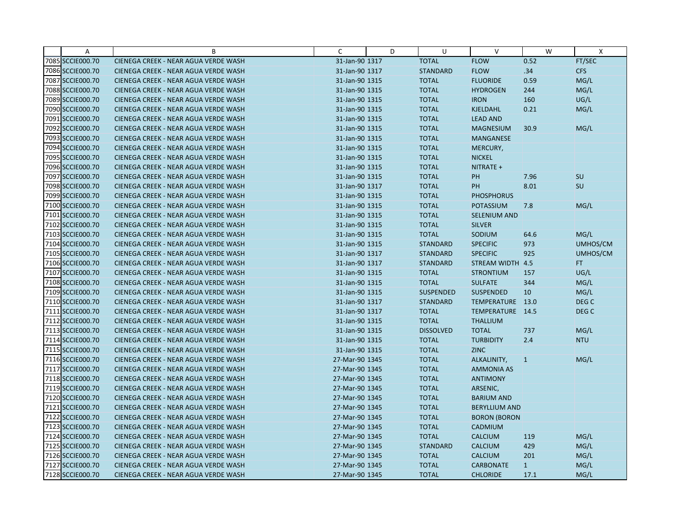| A                | B                                    | C              | D | U                | $\vee$               | W            | X                |
|------------------|--------------------------------------|----------------|---|------------------|----------------------|--------------|------------------|
| 7085 SCCIE000.70 | CIENEGA CREEK - NEAR AGUA VERDE WASH | 31-Jan-90 1317 |   | <b>TOTAL</b>     | <b>FLOW</b>          | 0.52         | FT/SEC           |
| 7086 SCCIE000.70 | CIENEGA CREEK - NEAR AGUA VERDE WASH | 31-Jan-90 1317 |   | <b>STANDARD</b>  | <b>FLOW</b>          | .34          | <b>CFS</b>       |
| 7087 SCCIE000.70 | CIENEGA CREEK - NEAR AGUA VERDE WASH | 31-Jan-90 1315 |   | <b>TOTAL</b>     | <b>FLUORIDE</b>      | 0.59         | MG/L             |
| 7088 SCCIE000.70 | CIENEGA CREEK - NEAR AGUA VERDE WASH | 31-Jan-90 1315 |   | <b>TOTAL</b>     | <b>HYDROGEN</b>      | 244          | MG/L             |
| 7089 SCCIE000.70 | CIENEGA CREEK - NEAR AGUA VERDE WASH | 31-Jan-90 1315 |   | <b>TOTAL</b>     | <b>IRON</b>          | 160          | UG/L             |
| 7090 SCCIE000.70 | CIENEGA CREEK - NEAR AGUA VERDE WASH | 31-Jan-90 1315 |   | <b>TOTAL</b>     | KJELDAHL             | 0.21         | MG/L             |
| 7091 SCCIE000.70 | CIENEGA CREEK - NEAR AGUA VERDE WASH | 31-Jan-90 1315 |   | <b>TOTAL</b>     | <b>LEAD AND</b>      |              |                  |
| 7092 SCCIE000.70 | CIENEGA CREEK - NEAR AGUA VERDE WASH | 31-Jan-90 1315 |   | <b>TOTAL</b>     | <b>MAGNESIUM</b>     | 30.9         | MG/L             |
| 7093 SCCIE000.70 | CIENEGA CREEK - NEAR AGUA VERDE WASH | 31-Jan-90 1315 |   | <b>TOTAL</b>     | <b>MANGANESE</b>     |              |                  |
| 7094 SCCIE000.70 | CIENEGA CREEK - NEAR AGUA VERDE WASH | 31-Jan-90 1315 |   | <b>TOTAL</b>     | MERCURY,             |              |                  |
| 7095 SCCIE000.70 | CIENEGA CREEK - NEAR AGUA VERDE WASH | 31-Jan-90 1315 |   | <b>TOTAL</b>     | <b>NICKEL</b>        |              |                  |
| 7096 SCCIE000.70 | CIENEGA CREEK - NEAR AGUA VERDE WASH | 31-Jan-90 1315 |   | <b>TOTAL</b>     | NITRATE +            |              |                  |
| 7097 SCCIE000.70 | CIENEGA CREEK - NEAR AGUA VERDE WASH | 31-Jan-90 1315 |   | <b>TOTAL</b>     | PH                   | 7.96         | SU               |
| 7098 SCCIE000.70 | CIENEGA CREEK - NEAR AGUA VERDE WASH | 31-Jan-90 1317 |   | <b>TOTAL</b>     | PH                   | 8.01         | <b>SU</b>        |
| 7099 SCCIE000.70 | CIENEGA CREEK - NEAR AGUA VERDE WASH | 31-Jan-90 1315 |   | <b>TOTAL</b>     | <b>PHOSPHORUS</b>    |              |                  |
| 7100 SCCIE000.70 | CIENEGA CREEK - NEAR AGUA VERDE WASH | 31-Jan-90 1315 |   | <b>TOTAL</b>     | <b>POTASSIUM</b>     | 7.8          | MG/L             |
| 7101 SCCIE000.70 | CIENEGA CREEK - NEAR AGUA VERDE WASH | 31-Jan-90 1315 |   | <b>TOTAL</b>     | SELENIUM AND         |              |                  |
| 7102 SCCIE000.70 | CIENEGA CREEK - NEAR AGUA VERDE WASH | 31-Jan-90 1315 |   | <b>TOTAL</b>     | <b>SILVER</b>        |              |                  |
| 7103 SCCIE000.70 | CIENEGA CREEK - NEAR AGUA VERDE WASH | 31-Jan-90 1315 |   | <b>TOTAL</b>     | SODIUM               | 64.6         | MG/L             |
| 7104 SCCIE000.70 | CIENEGA CREEK - NEAR AGUA VERDE WASH | 31-Jan-90 1315 |   | <b>STANDARD</b>  | <b>SPECIFIC</b>      | 973          | UMHOS/CM         |
| 7105 SCCIE000.70 | CIENEGA CREEK - NEAR AGUA VERDE WASH | 31-Jan-90 1317 |   | <b>STANDARD</b>  | <b>SPECIFIC</b>      | 925          | UMHOS/CM         |
| 7106 SCCIE000.70 | CIENEGA CREEK - NEAR AGUA VERDE WASH | 31-Jan-90 1317 |   | <b>STANDARD</b>  | STREAM WIDTH 4.5     |              | FT.              |
| 7107 SCCIE000.70 | CIENEGA CREEK - NEAR AGUA VERDE WASH | 31-Jan-90 1315 |   | <b>TOTAL</b>     | <b>STRONTIUM</b>     | 157          | UG/L             |
| 7108 SCCIE000.70 | CIENEGA CREEK - NEAR AGUA VERDE WASH | 31-Jan-90 1315 |   | <b>TOTAL</b>     | <b>SULFATE</b>       | 344          | MG/L             |
| 7109 SCCIE000.70 | CIENEGA CREEK - NEAR AGUA VERDE WASH | 31-Jan-90 1315 |   | <b>SUSPENDED</b> | <b>SUSPENDED</b>     | 10           | MG/L             |
| 7110 SCCIE000.70 | CIENEGA CREEK - NEAR AGUA VERDE WASH | 31-Jan-90 1317 |   | <b>STANDARD</b>  | TEMPERATURE 13.0     |              | DEG <sub>C</sub> |
| 7111 SCCIE000.70 | CIENEGA CREEK - NEAR AGUA VERDE WASH | 31-Jan-90 1317 |   | <b>TOTAL</b>     | TEMPERATURE 14.5     |              | DEG <sub>C</sub> |
| 7112 SCCIE000.70 | CIENEGA CREEK - NEAR AGUA VERDE WASH | 31-Jan-90 1315 |   | <b>TOTAL</b>     | <b>THALLIUM</b>      |              |                  |
| 7113 SCCIE000.70 | CIENEGA CREEK - NEAR AGUA VERDE WASH | 31-Jan-90 1315 |   | <b>DISSOLVED</b> | <b>TOTAL</b>         | 737          | MG/L             |
| 7114 SCCIE000.70 | CIENEGA CREEK - NEAR AGUA VERDE WASH | 31-Jan-90 1315 |   | <b>TOTAL</b>     | <b>TURBIDITY</b>     | 2.4          | <b>NTU</b>       |
| 7115 SCCIE000.70 | CIENEGA CREEK - NEAR AGUA VERDE WASH | 31-Jan-90 1315 |   | <b>TOTAL</b>     | <b>ZINC</b>          |              |                  |
| 7116 SCCIE000.70 | CIENEGA CREEK - NEAR AGUA VERDE WASH | 27-Mar-90 1345 |   | <b>TOTAL</b>     | ALKALINITY,          | $\mathbf{1}$ | MG/L             |
| 7117 SCCIE000.70 | CIENEGA CREEK - NEAR AGUA VERDE WASH | 27-Mar-90 1345 |   | <b>TOTAL</b>     | <b>AMMONIA AS</b>    |              |                  |
| 7118 SCCIE000.70 | CIENEGA CREEK - NEAR AGUA VERDE WASH | 27-Mar-90 1345 |   | <b>TOTAL</b>     | <b>ANTIMONY</b>      |              |                  |
| 7119 SCCIE000.70 | CIENEGA CREEK - NEAR AGUA VERDE WASH | 27-Mar-90 1345 |   | <b>TOTAL</b>     | ARSENIC,             |              |                  |
| 7120 SCCIE000.70 | CIENEGA CREEK - NEAR AGUA VERDE WASH | 27-Mar-90 1345 |   | <b>TOTAL</b>     | <b>BARIUM AND</b>    |              |                  |
| 7121 SCCIE000.70 | CIENEGA CREEK - NEAR AGUA VERDE WASH | 27-Mar-90 1345 |   | <b>TOTAL</b>     | <b>BERYLLIUM AND</b> |              |                  |
| 7122 SCCIE000.70 | CIENEGA CREEK - NEAR AGUA VERDE WASH | 27-Mar-90 1345 |   | <b>TOTAL</b>     | <b>BORON (BORON</b>  |              |                  |
| 7123 SCCIE000.70 | CIENEGA CREEK - NEAR AGUA VERDE WASH | 27-Mar-90 1345 |   | <b>TOTAL</b>     | CADMIUM              |              |                  |
| 7124 SCCIE000.70 | CIENEGA CREEK - NEAR AGUA VERDE WASH | 27-Mar-90 1345 |   | <b>TOTAL</b>     | <b>CALCIUM</b>       | 119          | MG/L             |
| 7125 SCCIE000.70 | CIENEGA CREEK - NEAR AGUA VERDE WASH | 27-Mar-90 1345 |   | <b>STANDARD</b>  | <b>CALCIUM</b>       | 429          | MG/L             |
| 7126 SCCIE000.70 | CIENEGA CREEK - NEAR AGUA VERDE WASH | 27-Mar-90 1345 |   | <b>TOTAL</b>     | <b>CALCIUM</b>       | 201          | MG/L             |
| 7127 SCCIE000.70 | CIENEGA CREEK - NEAR AGUA VERDE WASH | 27-Mar-90 1345 |   | <b>TOTAL</b>     | <b>CARBONATE</b>     | $\mathbf{1}$ | MG/L             |
| 7128 SCCIE000.70 | CIENEGA CREEK - NEAR AGUA VERDE WASH | 27-Mar-90 1345 |   | <b>TOTAL</b>     | <b>CHLORIDE</b>      | 17.1         | MG/L             |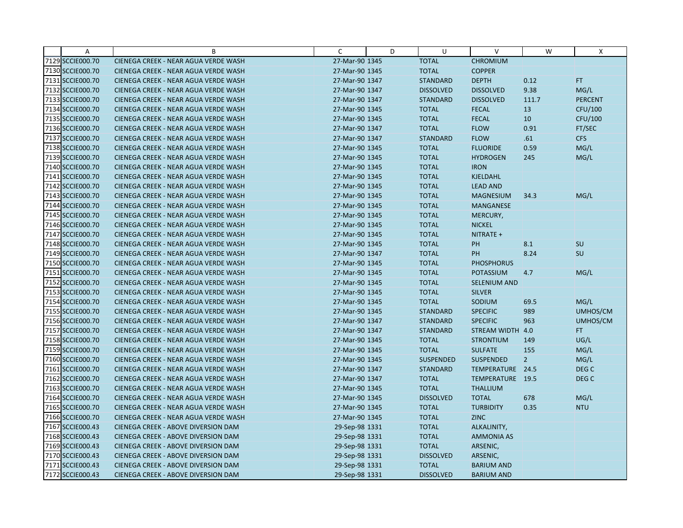| A                | B                                    | C              | D | U                | V                   | W              | X                |
|------------------|--------------------------------------|----------------|---|------------------|---------------------|----------------|------------------|
| 7129 SCCIE000.70 | CIENEGA CREEK - NEAR AGUA VERDE WASH | 27-Mar-90 1345 |   | <b>TOTAL</b>     | <b>CHROMIUM</b>     |                |                  |
| 7130 SCCIE000.70 | CIENEGA CREEK - NEAR AGUA VERDE WASH | 27-Mar-90 1345 |   | <b>TOTAL</b>     | <b>COPPER</b>       |                |                  |
| 7131 SCCIE000.70 | CIENEGA CREEK - NEAR AGUA VERDE WASH | 27-Mar-90 1347 |   | <b>STANDARD</b>  | <b>DEPTH</b>        | 0.12           | FT.              |
| 7132 SCCIE000.70 | CIENEGA CREEK - NEAR AGUA VERDE WASH | 27-Mar-90 1347 |   | <b>DISSOLVED</b> | <b>DISSOLVED</b>    | 9.38           | MG/L             |
| 7133 SCCIE000.70 | CIENEGA CREEK - NEAR AGUA VERDE WASH | 27-Mar-90 1347 |   | <b>STANDARD</b>  | <b>DISSOLVED</b>    | 111.7          | <b>PERCENT</b>   |
| 7134 SCCIE000.70 | CIENEGA CREEK - NEAR AGUA VERDE WASH | 27-Mar-90 1345 |   | <b>TOTAL</b>     | <b>FECAL</b>        | 13             | CFU/100          |
| 7135 SCCIE000.70 | CIENEGA CREEK - NEAR AGUA VERDE WASH | 27-Mar-90 1345 |   | <b>TOTAL</b>     | <b>FECAL</b>        | 10             | CFU/100          |
| 7136 SCCIE000.70 | CIENEGA CREEK - NEAR AGUA VERDE WASH | 27-Mar-90 1347 |   | <b>TOTAL</b>     | <b>FLOW</b>         | 0.91           | FT/SEC           |
| 7137 SCCIE000.70 | CIENEGA CREEK - NEAR AGUA VERDE WASH | 27-Mar-90 1347 |   | <b>STANDARD</b>  | <b>FLOW</b>         | .61            | <b>CFS</b>       |
| 7138 SCCIE000.70 | CIENEGA CREEK - NEAR AGUA VERDE WASH | 27-Mar-90 1345 |   | <b>TOTAL</b>     | <b>FLUORIDE</b>     | 0.59           | MG/L             |
| 7139 SCCIE000.70 | CIENEGA CREEK - NEAR AGUA VERDE WASH | 27-Mar-90 1345 |   | <b>TOTAL</b>     | <b>HYDROGEN</b>     | 245            | MG/L             |
| 7140 SCCIE000.70 | CIENEGA CREEK - NEAR AGUA VERDE WASH | 27-Mar-90 1345 |   | <b>TOTAL</b>     | <b>IRON</b>         |                |                  |
| 7141 SCCIE000.70 | CIENEGA CREEK - NEAR AGUA VERDE WASH | 27-Mar-90 1345 |   | <b>TOTAL</b>     | KJELDAHL            |                |                  |
| 7142 SCCIE000.70 | CIENEGA CREEK - NEAR AGUA VERDE WASH | 27-Mar-90 1345 |   | <b>TOTAL</b>     | <b>LEAD AND</b>     |                |                  |
| 7143 SCCIE000.70 | CIENEGA CREEK - NEAR AGUA VERDE WASH | 27-Mar-90 1345 |   | <b>TOTAL</b>     | <b>MAGNESIUM</b>    | 34.3           | MG/L             |
| 7144 SCCIE000.70 | CIENEGA CREEK - NEAR AGUA VERDE WASH | 27-Mar-90 1345 |   | <b>TOTAL</b>     | <b>MANGANESE</b>    |                |                  |
| 7145 SCCIE000.70 | CIENEGA CREEK - NEAR AGUA VERDE WASH | 27-Mar-90 1345 |   | <b>TOTAL</b>     | MERCURY,            |                |                  |
| 7146 SCCIE000.70 | CIENEGA CREEK - NEAR AGUA VERDE WASH | 27-Mar-90 1345 |   | <b>TOTAL</b>     | <b>NICKEL</b>       |                |                  |
| 7147 SCCIE000.70 | CIENEGA CREEK - NEAR AGUA VERDE WASH | 27-Mar-90 1345 |   | <b>TOTAL</b>     | NITRATE +           |                |                  |
| 7148 SCCIE000.70 | CIENEGA CREEK - NEAR AGUA VERDE WASH | 27-Mar-90 1345 |   | <b>TOTAL</b>     | PH                  | 8.1            | <b>SU</b>        |
| 7149 SCCIE000.70 | CIENEGA CREEK - NEAR AGUA VERDE WASH | 27-Mar-90 1347 |   | <b>TOTAL</b>     | PH                  | 8.24           | SU               |
| 7150 SCCIE000.70 | CIENEGA CREEK - NEAR AGUA VERDE WASH | 27-Mar-90 1345 |   | <b>TOTAL</b>     | <b>PHOSPHORUS</b>   |                |                  |
| 7151 SCCIE000.70 | CIENEGA CREEK - NEAR AGUA VERDE WASH | 27-Mar-90 1345 |   | <b>TOTAL</b>     | POTASSIUM           | 4.7            | MG/L             |
| 7152 SCCIE000.70 | CIENEGA CREEK - NEAR AGUA VERDE WASH | 27-Mar-90 1345 |   | <b>TOTAL</b>     | <b>SELENIUM AND</b> |                |                  |
| 7153 SCCIE000.70 | CIENEGA CREEK - NEAR AGUA VERDE WASH | 27-Mar-90 1345 |   | <b>TOTAL</b>     | <b>SILVER</b>       |                |                  |
| 7154 SCCIE000.70 | CIENEGA CREEK - NEAR AGUA VERDE WASH | 27-Mar-90 1345 |   | <b>TOTAL</b>     | SODIUM              | 69.5           | MG/L             |
| 7155 SCCIE000.70 | CIENEGA CREEK - NEAR AGUA VERDE WASH | 27-Mar-90 1345 |   | <b>STANDARD</b>  | <b>SPECIFIC</b>     | 989            | UMHOS/CM         |
| 7156 SCCIE000.70 | CIENEGA CREEK - NEAR AGUA VERDE WASH | 27-Mar-90 1347 |   | <b>STANDARD</b>  | <b>SPECIFIC</b>     | 963            | UMHOS/CM         |
| 7157 SCCIE000.70 | CIENEGA CREEK - NEAR AGUA VERDE WASH | 27-Mar-90 1347 |   | <b>STANDARD</b>  | STREAM WIDTH 4.0    |                | FT.              |
| 7158 SCCIE000.70 | CIENEGA CREEK - NEAR AGUA VERDE WASH | 27-Mar-90 1345 |   | <b>TOTAL</b>     | <b>STRONTIUM</b>    | 149            | UG/L             |
| 7159 SCCIE000.70 | CIENEGA CREEK - NEAR AGUA VERDE WASH | 27-Mar-90 1345 |   | <b>TOTAL</b>     | <b>SULFATE</b>      | 155            | MG/L             |
| 7160 SCCIE000.70 | CIENEGA CREEK - NEAR AGUA VERDE WASH | 27-Mar-90 1345 |   | <b>SUSPENDED</b> | <b>SUSPENDED</b>    | $\overline{2}$ | MG/L             |
| 7161 SCCIE000.70 | CIENEGA CREEK - NEAR AGUA VERDE WASH | 27-Mar-90 1347 |   | <b>STANDARD</b>  | TEMPERATURE 24.5    |                | DEG <sub>C</sub> |
| 7162 SCCIE000.70 | CIENEGA CREEK - NEAR AGUA VERDE WASH | 27-Mar-90 1347 |   | <b>TOTAL</b>     | TEMPERATURE 19.5    |                | DEG <sub>C</sub> |
| 7163 SCCIE000.70 | CIENEGA CREEK - NEAR AGUA VERDE WASH | 27-Mar-90 1345 |   | <b>TOTAL</b>     | <b>THALLIUM</b>     |                |                  |
| 7164 SCCIE000.70 | CIENEGA CREEK - NEAR AGUA VERDE WASH | 27-Mar-90 1345 |   | <b>DISSOLVED</b> | <b>TOTAL</b>        | 678            | MG/L             |
| 7165 SCCIE000.70 | CIENEGA CREEK - NEAR AGUA VERDE WASH | 27-Mar-90 1345 |   | <b>TOTAL</b>     | <b>TURBIDITY</b>    | 0.35           | <b>NTU</b>       |
| 7166 SCCIE000.70 | CIENEGA CREEK - NEAR AGUA VERDE WASH | 27-Mar-90 1345 |   | <b>TOTAL</b>     | <b>ZINC</b>         |                |                  |
| 7167 SCCIE000.43 | CIENEGA CREEK - ABOVE DIVERSION DAM  | 29-Sep-98 1331 |   | <b>TOTAL</b>     | ALKALINITY,         |                |                  |
| 7168 SCCIE000.43 | CIENEGA CREEK - ABOVE DIVERSION DAM  | 29-Sep-98 1331 |   | <b>TOTAL</b>     | <b>AMMONIA AS</b>   |                |                  |
| 7169 SCCIE000.43 | CIENEGA CREEK - ABOVE DIVERSION DAM  | 29-Sep-98 1331 |   | <b>TOTAL</b>     | ARSENIC,            |                |                  |
| 7170 SCCIE000.43 | CIENEGA CREEK - ABOVE DIVERSION DAM  | 29-Sep-98 1331 |   | <b>DISSOLVED</b> | ARSENIC,            |                |                  |
| 7171 SCCIE000.43 | CIENEGA CREEK - ABOVE DIVERSION DAM  | 29-Sep-98 1331 |   | <b>TOTAL</b>     | <b>BARIUM AND</b>   |                |                  |
| 7172 SCCIE000.43 | CIENEGA CREEK - ABOVE DIVERSION DAM  | 29-Sep-98 1331 |   | <b>DISSOLVED</b> | <b>BARIUM AND</b>   |                |                  |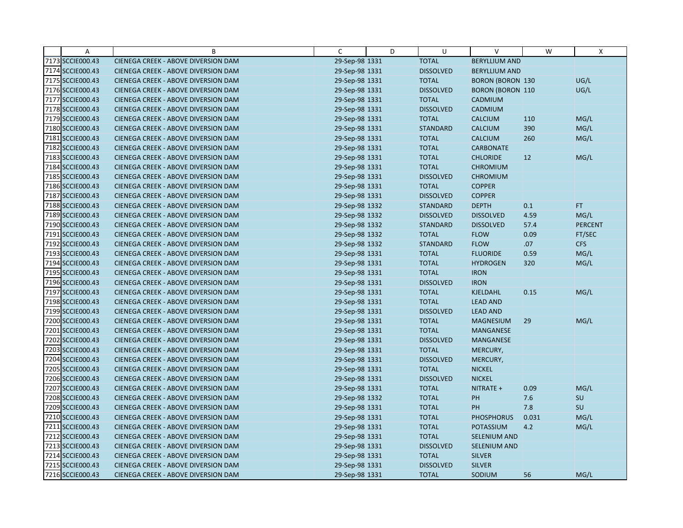| Α                | B                                   | C              | D | U                | V                       | W     | X              |
|------------------|-------------------------------------|----------------|---|------------------|-------------------------|-------|----------------|
| 7173 SCCIE000.43 | CIENEGA CREEK - ABOVE DIVERSION DAM | 29-Sep-98 1331 |   | <b>TOTAL</b>     | <b>BERYLLIUM AND</b>    |       |                |
| 7174 SCCIE000.43 | CIENEGA CREEK - ABOVE DIVERSION DAM | 29-Sep-98 1331 |   | <b>DISSOLVED</b> | <b>BERYLLIUM AND</b>    |       |                |
| 7175 SCCIE000.43 | CIENEGA CREEK - ABOVE DIVERSION DAM | 29-Sep-98 1331 |   | <b>TOTAL</b>     | <b>BORON (BORON 130</b> |       | UG/L           |
| 7176 SCCIE000.43 | CIENEGA CREEK - ABOVE DIVERSION DAM | 29-Sep-98 1331 |   | <b>DISSOLVED</b> | <b>BORON (BORON 110</b> |       | UG/L           |
| 7177 SCCIE000.43 | CIENEGA CREEK - ABOVE DIVERSION DAM | 29-Sep-98 1331 |   | <b>TOTAL</b>     | CADMIUM                 |       |                |
| 7178 SCCIE000.43 | CIENEGA CREEK - ABOVE DIVERSION DAM | 29-Sep-98 1331 |   | <b>DISSOLVED</b> | CADMIUM                 |       |                |
| 7179 SCCIE000.43 | CIENEGA CREEK - ABOVE DIVERSION DAM | 29-Sep-98 1331 |   | <b>TOTAL</b>     | <b>CALCIUM</b>          | 110   | MG/L           |
| 7180 SCCIE000.43 | CIENEGA CREEK - ABOVE DIVERSION DAM | 29-Sep-98 1331 |   | <b>STANDARD</b>  | CALCIUM                 | 390   | MG/L           |
| 7181 SCCIE000.43 | CIENEGA CREEK - ABOVE DIVERSION DAM | 29-Sep-98 1331 |   | <b>TOTAL</b>     | <b>CALCIUM</b>          | 260   | MG/L           |
| 7182 SCCIE000.43 | CIENEGA CREEK - ABOVE DIVERSION DAM | 29-Sep-98 1331 |   | <b>TOTAL</b>     | <b>CARBONATE</b>        |       |                |
| 7183 SCCIE000.43 | CIENEGA CREEK - ABOVE DIVERSION DAM | 29-Sep-98 1331 |   | <b>TOTAL</b>     | <b>CHLORIDE</b>         | 12    | MG/L           |
| 7184 SCCIE000.43 | CIENEGA CREEK - ABOVE DIVERSION DAM | 29-Sep-98 1331 |   | <b>TOTAL</b>     | <b>CHROMIUM</b>         |       |                |
| 7185 SCCIE000.43 | CIENEGA CREEK - ABOVE DIVERSION DAM | 29-Sep-98 1331 |   | <b>DISSOLVED</b> | <b>CHROMIUM</b>         |       |                |
| 7186 SCCIE000.43 | CIENEGA CREEK - ABOVE DIVERSION DAM | 29-Sep-98 1331 |   | <b>TOTAL</b>     | <b>COPPER</b>           |       |                |
| 7187 SCCIE000.43 | CIENEGA CREEK - ABOVE DIVERSION DAM | 29-Sep-98 1331 |   | <b>DISSOLVED</b> | <b>COPPER</b>           |       |                |
| 7188 SCCIE000.43 | CIENEGA CREEK - ABOVE DIVERSION DAM | 29-Sep-98 1332 |   | <b>STANDARD</b>  | <b>DEPTH</b>            | 0.1   | FT.            |
| 7189 SCCIE000.43 | CIENEGA CREEK - ABOVE DIVERSION DAM | 29-Sep-98 1332 |   | <b>DISSOLVED</b> | <b>DISSOLVED</b>        | 4.59  | MG/L           |
| 7190 SCCIE000.43 | CIENEGA CREEK - ABOVE DIVERSION DAM | 29-Sep-98 1332 |   | <b>STANDARD</b>  | <b>DISSOLVED</b>        | 57.4  | <b>PERCENT</b> |
| 7191 SCCIE000.43 | CIENEGA CREEK - ABOVE DIVERSION DAM | 29-Sep-98 1332 |   | <b>TOTAL</b>     | <b>FLOW</b>             | 0.09  | FT/SEC         |
| 7192 SCCIE000.43 | CIENEGA CREEK - ABOVE DIVERSION DAM | 29-Sep-98 1332 |   | <b>STANDARD</b>  | <b>FLOW</b>             | .07   | <b>CFS</b>     |
| 7193 SCCIE000.43 | CIENEGA CREEK - ABOVE DIVERSION DAM | 29-Sep-98 1331 |   | <b>TOTAL</b>     | <b>FLUORIDE</b>         | 0.59  | MG/L           |
| 7194 SCCIE000.43 | CIENEGA CREEK - ABOVE DIVERSION DAM | 29-Sep-98 1331 |   | <b>TOTAL</b>     | <b>HYDROGEN</b>         | 320   | MG/L           |
| 7195 SCCIE000.43 | CIENEGA CREEK - ABOVE DIVERSION DAM | 29-Sep-98 1331 |   | <b>TOTAL</b>     | <b>IRON</b>             |       |                |
| 7196 SCCIE000.43 | CIENEGA CREEK - ABOVE DIVERSION DAM | 29-Sep-98 1331 |   | <b>DISSOLVED</b> | <b>IRON</b>             |       |                |
| 7197 SCCIE000.43 | CIENEGA CREEK - ABOVE DIVERSION DAM | 29-Sep-98 1331 |   | <b>TOTAL</b>     | KJELDAHL                | 0.15  | MG/L           |
| 7198 SCCIE000.43 | CIENEGA CREEK - ABOVE DIVERSION DAM | 29-Sep-98 1331 |   | <b>TOTAL</b>     | <b>LEAD AND</b>         |       |                |
| 7199 SCCIE000.43 | CIENEGA CREEK - ABOVE DIVERSION DAM | 29-Sep-98 1331 |   | <b>DISSOLVED</b> | <b>LEAD AND</b>         |       |                |
| 7200 SCCIE000.43 | CIENEGA CREEK - ABOVE DIVERSION DAM | 29-Sep-98 1331 |   | <b>TOTAL</b>     | <b>MAGNESIUM</b>        | 29    | MG/L           |
| 7201 SCCIE000.43 | CIENEGA CREEK - ABOVE DIVERSION DAM | 29-Sep-98 1331 |   | <b>TOTAL</b>     | <b>MANGANESE</b>        |       |                |
| 7202 SCCIE000.43 | CIENEGA CREEK - ABOVE DIVERSION DAM | 29-Sep-98 1331 |   | <b>DISSOLVED</b> | <b>MANGANESE</b>        |       |                |
| 7203 SCCIE000.43 | CIENEGA CREEK - ABOVE DIVERSION DAM | 29-Sep-98 1331 |   | <b>TOTAL</b>     | MERCURY,                |       |                |
| 7204 SCCIE000.43 | CIENEGA CREEK - ABOVE DIVERSION DAM | 29-Sep-98 1331 |   | <b>DISSOLVED</b> | MERCURY,                |       |                |
| 7205 SCCIE000.43 | CIENEGA CREEK - ABOVE DIVERSION DAM | 29-Sep-98 1331 |   | <b>TOTAL</b>     | <b>NICKEL</b>           |       |                |
| 7206 SCCIE000.43 | CIENEGA CREEK - ABOVE DIVERSION DAM | 29-Sep-98 1331 |   | <b>DISSOLVED</b> | <b>NICKEL</b>           |       |                |
| 7207 SCCIE000.43 | CIENEGA CREEK - ABOVE DIVERSION DAM | 29-Sep-98 1331 |   | <b>TOTAL</b>     | NITRATE +               | 0.09  | MG/L           |
| 7208 SCCIE000.43 | CIENEGA CREEK - ABOVE DIVERSION DAM | 29-Sep-98 1332 |   | <b>TOTAL</b>     | PH                      | 7.6   | SU             |
| 7209 SCCIE000.43 | CIENEGA CREEK - ABOVE DIVERSION DAM | 29-Sep-98 1331 |   | <b>TOTAL</b>     | PH                      | 7.8   | SU             |
| 7210 SCCIE000.43 | CIENEGA CREEK - ABOVE DIVERSION DAM | 29-Sep-98 1331 |   | <b>TOTAL</b>     | <b>PHOSPHORUS</b>       | 0.031 | MG/L           |
| 7211 SCCIE000.43 | CIENEGA CREEK - ABOVE DIVERSION DAM | 29-Sep-98 1331 |   | <b>TOTAL</b>     | POTASSIUM               | 4.2   | MG/L           |
| 7212 SCCIE000.43 | CIENEGA CREEK - ABOVE DIVERSION DAM | 29-Sep-98 1331 |   | <b>TOTAL</b>     | <b>SELENIUM AND</b>     |       |                |
| 7213 SCCIE000.43 | CIENEGA CREEK - ABOVE DIVERSION DAM | 29-Sep-98 1331 |   | <b>DISSOLVED</b> | SELENIUM AND            |       |                |
| 7214 SCCIE000.43 | CIENEGA CREEK - ABOVE DIVERSION DAM | 29-Sep-98 1331 |   | <b>TOTAL</b>     | <b>SILVER</b>           |       |                |
| 7215 SCCIE000.43 | CIENEGA CREEK - ABOVE DIVERSION DAM | 29-Sep-98 1331 |   | <b>DISSOLVED</b> | <b>SILVER</b>           |       |                |
| 7216 SCCIE000.43 | CIENEGA CREEK - ABOVE DIVERSION DAM | 29-Sep-98 1331 |   | <b>TOTAL</b>     | SODIUM                  | 56    | MG/L           |